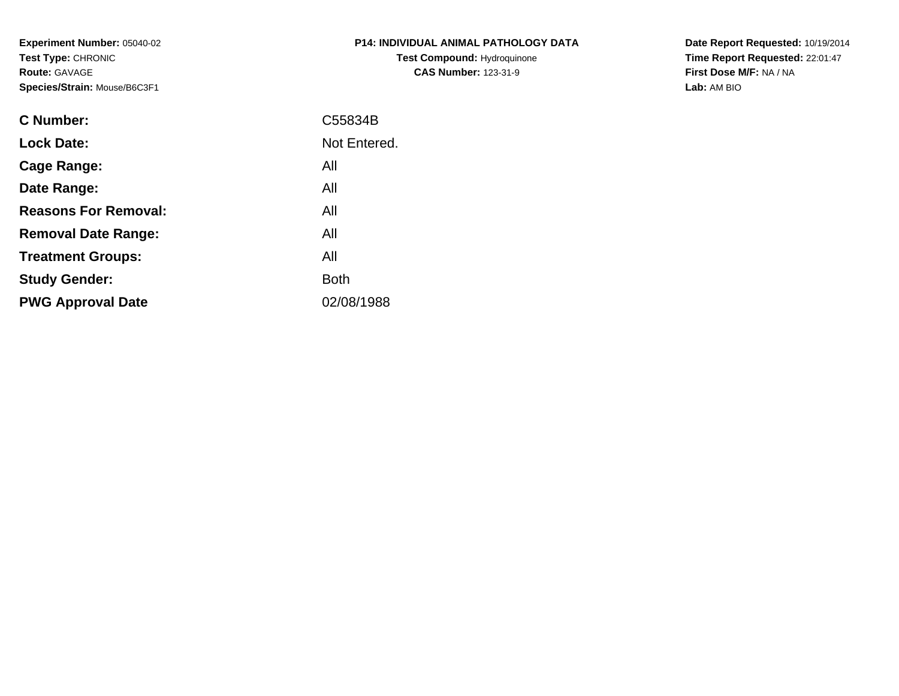**Experiment Number:** 05040-02**Test Type:** CHRONIC**Route:** GAVAGE**Species/Strain:** Mouse/B6C3F1

| P14: INDIVIDUAL ANIMAL PATHOLOGY DATA |
|---------------------------------------|
| <b>Test Compound: Hydroguinone</b>    |
| <b>CAS Number: 123-31-9</b>           |

**Date Report Requested:** 10/19/2014 **Time Report Requested:** 22:01:47**First Dose M/F:** NA / NA**Lab:** AM BIO

| C Number:                   | C55834B      |
|-----------------------------|--------------|
| <b>Lock Date:</b>           | Not Entered. |
| Cage Range:                 | All          |
| Date Range:                 | All          |
| <b>Reasons For Removal:</b> | All          |
| <b>Removal Date Range:</b>  | All          |
| <b>Treatment Groups:</b>    | All          |
| <b>Study Gender:</b>        | <b>Both</b>  |
| <b>PWG Approval Date</b>    | 02/08/1988   |
|                             |              |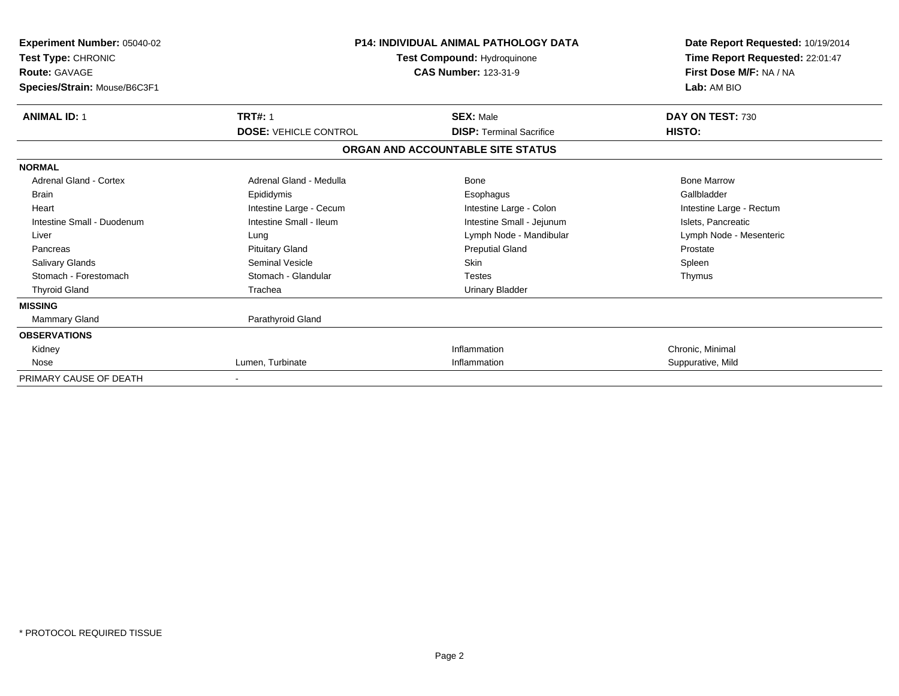| Experiment Number: 05040-02<br>Test Type: CHRONIC<br><b>Route: GAVAGE</b><br>Species/Strain: Mouse/B6C3F1 | <b>P14: INDIVIDUAL ANIMAL PATHOLOGY DATA</b><br>Test Compound: Hydroquinone<br><b>CAS Number: 123-31-9</b> |                                   | Date Report Requested: 10/19/2014<br>Time Report Requested: 22:01:47<br>First Dose M/F: NA / NA<br>Lab: AM BIO |
|-----------------------------------------------------------------------------------------------------------|------------------------------------------------------------------------------------------------------------|-----------------------------------|----------------------------------------------------------------------------------------------------------------|
| <b>ANIMAL ID: 1</b>                                                                                       | <b>TRT#: 1</b>                                                                                             | <b>SEX: Male</b>                  | DAY ON TEST: 730                                                                                               |
|                                                                                                           | <b>DOSE: VEHICLE CONTROL</b>                                                                               | <b>DISP: Terminal Sacrifice</b>   | HISTO:                                                                                                         |
|                                                                                                           |                                                                                                            | ORGAN AND ACCOUNTABLE SITE STATUS |                                                                                                                |
| <b>NORMAL</b>                                                                                             |                                                                                                            |                                   |                                                                                                                |
| Adrenal Gland - Cortex                                                                                    | Adrenal Gland - Medulla                                                                                    | Bone                              | <b>Bone Marrow</b>                                                                                             |
| <b>Brain</b>                                                                                              | Epididymis                                                                                                 | Esophagus                         | Gallbladder                                                                                                    |
| Heart                                                                                                     | Intestine Large - Cecum                                                                                    | Intestine Large - Colon           | Intestine Large - Rectum                                                                                       |
| Intestine Small - Duodenum                                                                                | Intestine Small - Ileum                                                                                    | Intestine Small - Jejunum         | Islets, Pancreatic                                                                                             |
| Liver                                                                                                     | Lung                                                                                                       | Lymph Node - Mandibular           | Lymph Node - Mesenteric                                                                                        |
| Pancreas                                                                                                  | <b>Pituitary Gland</b>                                                                                     | <b>Preputial Gland</b>            | Prostate                                                                                                       |
| <b>Salivary Glands</b>                                                                                    | Seminal Vesicle                                                                                            | <b>Skin</b>                       | Spleen                                                                                                         |
| Stomach - Forestomach                                                                                     | Stomach - Glandular                                                                                        | Testes                            | Thymus                                                                                                         |
| <b>Thyroid Gland</b>                                                                                      | Trachea                                                                                                    | <b>Urinary Bladder</b>            |                                                                                                                |
| <b>MISSING</b>                                                                                            |                                                                                                            |                                   |                                                                                                                |
| Mammary Gland                                                                                             | Parathyroid Gland                                                                                          |                                   |                                                                                                                |
| <b>OBSERVATIONS</b>                                                                                       |                                                                                                            |                                   |                                                                                                                |
| Kidney                                                                                                    |                                                                                                            | Inflammation                      | Chronic, Minimal                                                                                               |
| Nose                                                                                                      | Lumen, Turbinate                                                                                           | Inflammation                      | Suppurative, Mild                                                                                              |
| PRIMARY CAUSE OF DEATH                                                                                    |                                                                                                            |                                   |                                                                                                                |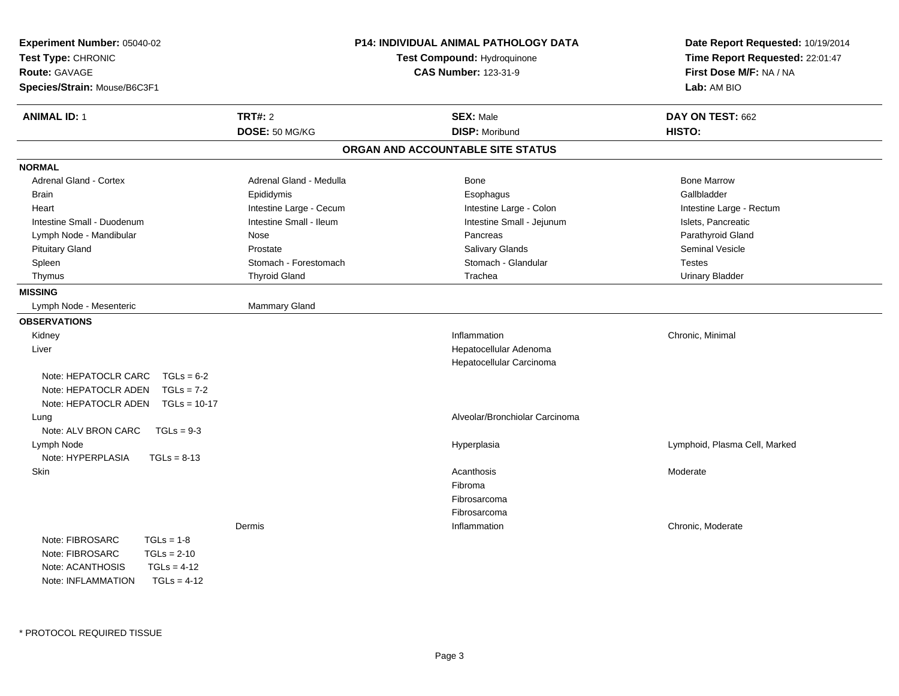| Experiment Number: 05040-02<br>Test Type: CHRONIC<br><b>Route: GAVAGE</b><br>Species/Strain: Mouse/B6C3F1 | P14: INDIVIDUAL ANIMAL PATHOLOGY DATA<br>Test Compound: Hydroquinone<br><b>CAS Number: 123-31-9</b> |                                   | Date Report Requested: 10/19/2014<br>Time Report Requested: 22:01:47<br>First Dose M/F: NA / NA<br>Lab: AM BIO |  |
|-----------------------------------------------------------------------------------------------------------|-----------------------------------------------------------------------------------------------------|-----------------------------------|----------------------------------------------------------------------------------------------------------------|--|
| <b>ANIMAL ID: 1</b>                                                                                       | <b>TRT#: 2</b>                                                                                      | <b>SEX: Male</b>                  | DAY ON TEST: 662                                                                                               |  |
|                                                                                                           | DOSE: 50 MG/KG                                                                                      | <b>DISP: Moribund</b>             | HISTO:                                                                                                         |  |
|                                                                                                           |                                                                                                     | ORGAN AND ACCOUNTABLE SITE STATUS |                                                                                                                |  |
| <b>NORMAL</b>                                                                                             |                                                                                                     |                                   |                                                                                                                |  |
| Adrenal Gland - Cortex                                                                                    | Adrenal Gland - Medulla                                                                             | <b>Bone</b>                       | <b>Bone Marrow</b>                                                                                             |  |
| <b>Brain</b>                                                                                              | Epididymis                                                                                          | Esophagus                         | Gallbladder                                                                                                    |  |
| Heart                                                                                                     | Intestine Large - Cecum                                                                             | Intestine Large - Colon           | Intestine Large - Rectum                                                                                       |  |
| Intestine Small - Duodenum                                                                                | Intestine Small - Ileum                                                                             | Intestine Small - Jejunum         | Islets, Pancreatic                                                                                             |  |
| Lymph Node - Mandibular                                                                                   | Nose                                                                                                | Pancreas                          | Parathyroid Gland                                                                                              |  |
| <b>Pituitary Gland</b>                                                                                    | Prostate                                                                                            | Salivary Glands                   | Seminal Vesicle                                                                                                |  |
| Spleen                                                                                                    | Stomach - Forestomach                                                                               | Stomach - Glandular               | <b>Testes</b>                                                                                                  |  |
| Thymus                                                                                                    | <b>Thyroid Gland</b>                                                                                | Trachea                           | <b>Urinary Bladder</b>                                                                                         |  |
| <b>MISSING</b>                                                                                            |                                                                                                     |                                   |                                                                                                                |  |
| Lymph Node - Mesenteric                                                                                   | Mammary Gland                                                                                       |                                   |                                                                                                                |  |
| <b>OBSERVATIONS</b>                                                                                       |                                                                                                     |                                   |                                                                                                                |  |
| Kidney                                                                                                    |                                                                                                     | Inflammation                      | Chronic, Minimal                                                                                               |  |
| Liver                                                                                                     |                                                                                                     | Hepatocellular Adenoma            |                                                                                                                |  |
|                                                                                                           |                                                                                                     | Hepatocellular Carcinoma          |                                                                                                                |  |
| Note: HEPATOCLR CARC<br>$TGLs = 6-2$                                                                      |                                                                                                     |                                   |                                                                                                                |  |
| Note: HEPATOCLR ADEN<br>$TGLs = 7-2$                                                                      |                                                                                                     |                                   |                                                                                                                |  |
| Note: HEPATOCLR ADEN<br>$TGLs = 10-17$                                                                    |                                                                                                     |                                   |                                                                                                                |  |
| Lung                                                                                                      |                                                                                                     | Alveolar/Bronchiolar Carcinoma    |                                                                                                                |  |
| Note: ALV BRON CARC<br>$TGLs = 9-3$                                                                       |                                                                                                     |                                   |                                                                                                                |  |
| Lymph Node                                                                                                |                                                                                                     | Hyperplasia                       | Lymphoid, Plasma Cell, Marked                                                                                  |  |
| Note: HYPERPLASIA<br>$TGLs = 8-13$                                                                        |                                                                                                     |                                   |                                                                                                                |  |
| Skin                                                                                                      |                                                                                                     | Acanthosis                        | Moderate                                                                                                       |  |
|                                                                                                           |                                                                                                     | Fibroma                           |                                                                                                                |  |
|                                                                                                           |                                                                                                     | Fibrosarcoma                      |                                                                                                                |  |
|                                                                                                           |                                                                                                     | Fibrosarcoma                      |                                                                                                                |  |
|                                                                                                           | Dermis                                                                                              | Inflammation                      | Chronic, Moderate                                                                                              |  |
| Note: FIBROSARC<br>$TGLs = 1-8$                                                                           |                                                                                                     |                                   |                                                                                                                |  |
| Note: FIBROSARC<br>$TGLs = 2-10$                                                                          |                                                                                                     |                                   |                                                                                                                |  |
| Note: ACANTHOSIS<br>$TGLs = 4-12$                                                                         |                                                                                                     |                                   |                                                                                                                |  |
| Note: INFI AMMATION<br>$TGI = 4-12$                                                                       |                                                                                                     |                                   |                                                                                                                |  |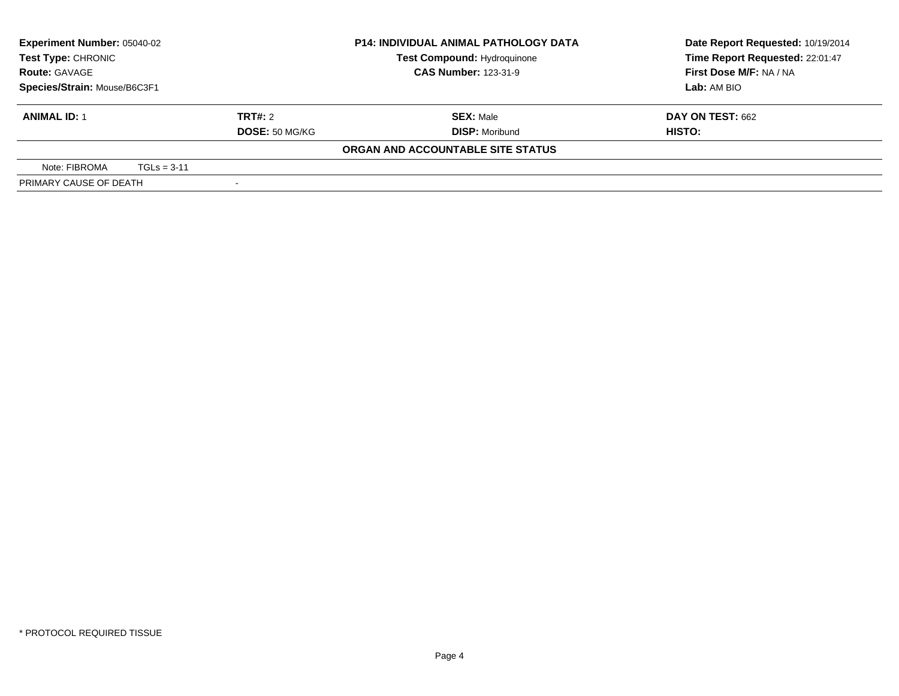| Test Type: CHRONIC           | <b>Experiment Number: 05040-02</b><br><b>P14: INDIVIDUAL ANIMAL PATHOLOGY DATA</b><br><b>Test Compound: Hydroquinone</b> |         |                                   | Date Report Requested: 10/19/2014<br>Time Report Requested: 22:01:47 |
|------------------------------|--------------------------------------------------------------------------------------------------------------------------|---------|-----------------------------------|----------------------------------------------------------------------|
| <b>Route: GAVAGE</b>         |                                                                                                                          |         | <b>CAS Number: 123-31-9</b>       | First Dose M/F: NA / NA                                              |
| Species/Strain: Mouse/B6C3F1 |                                                                                                                          |         |                                   | Lab: AM BIO                                                          |
| <b>ANIMAL ID: 1</b>          |                                                                                                                          | TRT#: 2 | <b>SEX: Male</b>                  | <b>DAY ON TEST: 662</b>                                              |
|                              | DOSE: 50 MG/KG                                                                                                           |         | <b>DISP: Moribund</b>             | HISTO:                                                               |
|                              |                                                                                                                          |         | ORGAN AND ACCOUNTABLE SITE STATUS |                                                                      |
| Note: FIBROMA                | $TGLs = 3-11$                                                                                                            |         |                                   |                                                                      |
| PRIMARY CAUSE OF DEATH       |                                                                                                                          |         |                                   |                                                                      |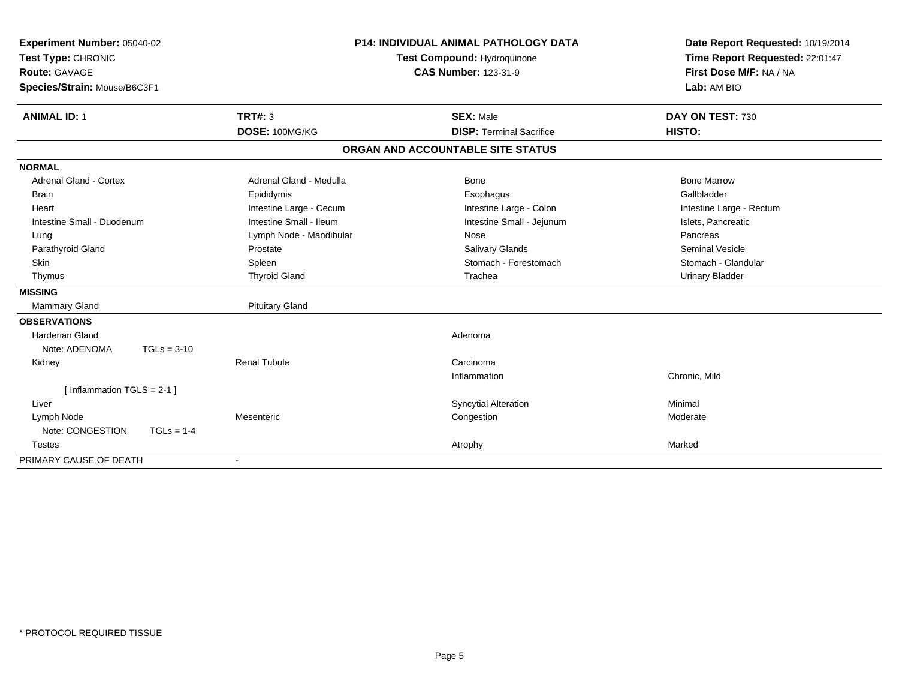| Experiment Number: 05040-02<br>Test Type: CHRONIC<br><b>Route: GAVAGE</b><br>Species/Strain: Mouse/B6C3F1<br><b>ANIMAL ID: 1</b> |               | TRT#: 3                 | <b>P14: INDIVIDUAL ANIMAL PATHOLOGY DATA</b><br><b>Test Compound: Hydroquinone</b><br><b>CAS Number: 123-31-9</b><br><b>SEX: Male</b> |                                   | Date Report Requested: 10/19/2014<br>Time Report Requested: 22:01:47<br>First Dose M/F: NA / NA<br>Lab: AM BIO<br>DAY ON TEST: 730 |
|----------------------------------------------------------------------------------------------------------------------------------|---------------|-------------------------|---------------------------------------------------------------------------------------------------------------------------------------|-----------------------------------|------------------------------------------------------------------------------------------------------------------------------------|
|                                                                                                                                  |               | DOSE: 100MG/KG          |                                                                                                                                       | <b>DISP: Terminal Sacrifice</b>   | HISTO:                                                                                                                             |
|                                                                                                                                  |               |                         |                                                                                                                                       | ORGAN AND ACCOUNTABLE SITE STATUS |                                                                                                                                    |
| <b>NORMAL</b>                                                                                                                    |               |                         |                                                                                                                                       |                                   |                                                                                                                                    |
| Adrenal Gland - Cortex                                                                                                           |               | Adrenal Gland - Medulla |                                                                                                                                       | Bone                              | <b>Bone Marrow</b>                                                                                                                 |
| <b>Brain</b>                                                                                                                     |               | Epididymis              |                                                                                                                                       | Esophagus                         | Gallbladder                                                                                                                        |
| Heart                                                                                                                            |               | Intestine Large - Cecum |                                                                                                                                       | Intestine Large - Colon           | Intestine Large - Rectum                                                                                                           |
| Intestine Small - Duodenum                                                                                                       |               | Intestine Small - Ileum |                                                                                                                                       | Intestine Small - Jejunum         | Islets, Pancreatic                                                                                                                 |
| Lung                                                                                                                             |               | Lymph Node - Mandibular |                                                                                                                                       | Nose                              | Pancreas                                                                                                                           |
| Parathyroid Gland                                                                                                                |               | Prostate                |                                                                                                                                       | Salivary Glands                   | <b>Seminal Vesicle</b>                                                                                                             |
| <b>Skin</b>                                                                                                                      |               | Spleen                  |                                                                                                                                       | Stomach - Forestomach             | Stomach - Glandular                                                                                                                |
| Thymus                                                                                                                           |               | <b>Thyroid Gland</b>    |                                                                                                                                       | Trachea                           | <b>Urinary Bladder</b>                                                                                                             |
| <b>MISSING</b>                                                                                                                   |               |                         |                                                                                                                                       |                                   |                                                                                                                                    |
| <b>Mammary Gland</b>                                                                                                             |               | <b>Pituitary Gland</b>  |                                                                                                                                       |                                   |                                                                                                                                    |
| <b>OBSERVATIONS</b>                                                                                                              |               |                         |                                                                                                                                       |                                   |                                                                                                                                    |
| <b>Harderian Gland</b>                                                                                                           |               |                         |                                                                                                                                       | Adenoma                           |                                                                                                                                    |
| Note: ADENOMA                                                                                                                    | $TGLs = 3-10$ |                         |                                                                                                                                       |                                   |                                                                                                                                    |
| Kidney                                                                                                                           |               | Renal Tubule            |                                                                                                                                       | Carcinoma                         |                                                                                                                                    |
|                                                                                                                                  |               |                         |                                                                                                                                       | Inflammation                      | Chronic, Mild                                                                                                                      |
| [Inflammation TGLS = $2-1$ ]                                                                                                     |               |                         |                                                                                                                                       |                                   |                                                                                                                                    |
| Liver                                                                                                                            |               |                         |                                                                                                                                       | <b>Syncytial Alteration</b>       | Minimal                                                                                                                            |
| Lymph Node                                                                                                                       |               | Mesenteric              |                                                                                                                                       | Congestion                        | Moderate                                                                                                                           |
| Note: CONGESTION                                                                                                                 | $TGLs = 1-4$  |                         |                                                                                                                                       |                                   |                                                                                                                                    |
| <b>Testes</b>                                                                                                                    |               |                         |                                                                                                                                       | Atrophy                           | Marked                                                                                                                             |
| PRIMARY CAUSE OF DEATH                                                                                                           |               |                         |                                                                                                                                       |                                   |                                                                                                                                    |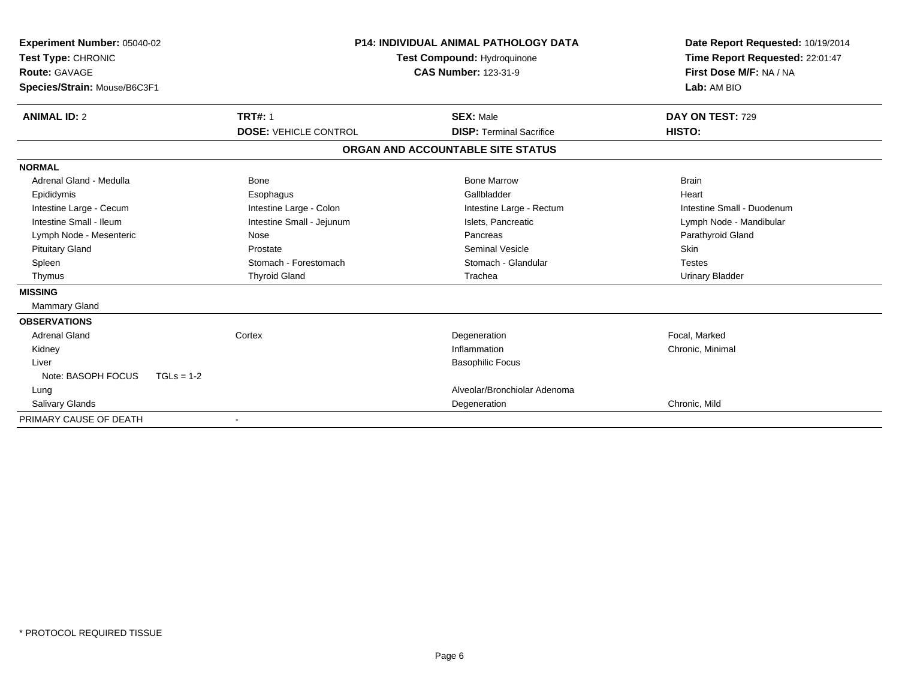| Experiment Number: 05040-02<br>Test Type: CHRONIC<br><b>Route: GAVAGE</b><br>Species/Strain: Mouse/B6C3F1 |                              | <b>P14: INDIVIDUAL ANIMAL PATHOLOGY DATA</b><br>Test Compound: Hydroquinone<br><b>CAS Number: 123-31-9</b> | Date Report Requested: 10/19/2014<br>Time Report Requested: 22:01:47<br>First Dose M/F: NA / NA<br>Lab: AM BIO |
|-----------------------------------------------------------------------------------------------------------|------------------------------|------------------------------------------------------------------------------------------------------------|----------------------------------------------------------------------------------------------------------------|
| <b>ANIMAL ID: 2</b>                                                                                       | <b>TRT#: 1</b>               | <b>SEX: Male</b>                                                                                           | DAY ON TEST: 729                                                                                               |
|                                                                                                           | <b>DOSE: VEHICLE CONTROL</b> | <b>DISP: Terminal Sacrifice</b>                                                                            | HISTO:                                                                                                         |
|                                                                                                           |                              | ORGAN AND ACCOUNTABLE SITE STATUS                                                                          |                                                                                                                |
| <b>NORMAL</b>                                                                                             |                              |                                                                                                            |                                                                                                                |
| Adrenal Gland - Medulla                                                                                   | Bone                         | <b>Bone Marrow</b>                                                                                         | <b>Brain</b>                                                                                                   |
| Epididymis                                                                                                | Esophagus                    | Gallbladder                                                                                                | Heart                                                                                                          |
| Intestine Large - Cecum                                                                                   | Intestine Large - Colon      | Intestine Large - Rectum                                                                                   | Intestine Small - Duodenum                                                                                     |
| Intestine Small - Ileum                                                                                   | Intestine Small - Jejunum    | Islets. Pancreatic                                                                                         | Lymph Node - Mandibular                                                                                        |
| Lymph Node - Mesenteric                                                                                   | Nose                         | Pancreas                                                                                                   | Parathyroid Gland                                                                                              |
| <b>Pituitary Gland</b>                                                                                    | Prostate                     | <b>Seminal Vesicle</b>                                                                                     | Skin                                                                                                           |
| Spleen                                                                                                    | Stomach - Forestomach        | Stomach - Glandular                                                                                        | <b>Testes</b>                                                                                                  |
| Thymus                                                                                                    | <b>Thyroid Gland</b>         | Trachea                                                                                                    | <b>Urinary Bladder</b>                                                                                         |
| <b>MISSING</b>                                                                                            |                              |                                                                                                            |                                                                                                                |
| <b>Mammary Gland</b>                                                                                      |                              |                                                                                                            |                                                                                                                |
| <b>OBSERVATIONS</b>                                                                                       |                              |                                                                                                            |                                                                                                                |
| Adrenal Gland                                                                                             | Cortex                       | Degeneration                                                                                               | Focal, Marked                                                                                                  |
| Kidney                                                                                                    |                              | Inflammation                                                                                               | Chronic, Minimal                                                                                               |
| Liver                                                                                                     |                              | <b>Basophilic Focus</b>                                                                                    |                                                                                                                |
| Note: BASOPH FOCUS<br>$TGLs = 1-2$                                                                        |                              |                                                                                                            |                                                                                                                |
| Lung                                                                                                      |                              | Alveolar/Bronchiolar Adenoma                                                                               |                                                                                                                |
| <b>Salivary Glands</b>                                                                                    |                              | Degeneration                                                                                               | Chronic, Mild                                                                                                  |
| PRIMARY CAUSE OF DEATH                                                                                    |                              |                                                                                                            |                                                                                                                |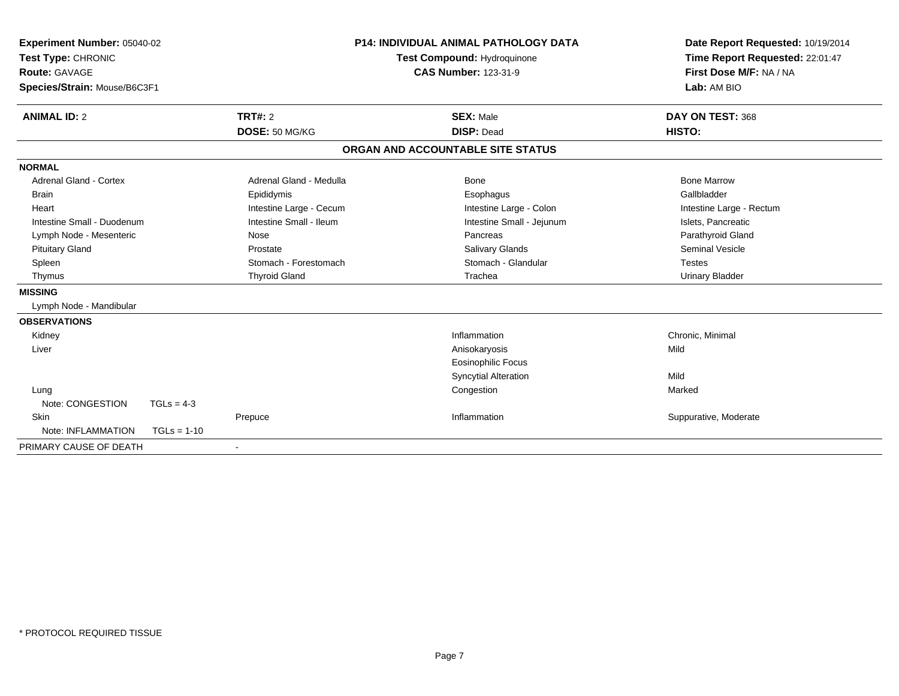| Experiment Number: 05040-02<br>Test Type: CHRONIC |                         | P14: INDIVIDUAL ANIMAL PATHOLOGY DATA<br>Test Compound: Hydroquinone |                                   | Date Report Requested: 10/19/2014<br>Time Report Requested: 22:01:47 |
|---------------------------------------------------|-------------------------|----------------------------------------------------------------------|-----------------------------------|----------------------------------------------------------------------|
| <b>Route: GAVAGE</b>                              |                         | <b>CAS Number: 123-31-9</b>                                          |                                   | First Dose M/F: NA / NA                                              |
| Species/Strain: Mouse/B6C3F1                      |                         |                                                                      |                                   | Lab: AM BIO                                                          |
| <b>ANIMAL ID: 2</b>                               | <b>TRT#: 2</b>          |                                                                      | <b>SEX: Male</b>                  | DAY ON TEST: 368                                                     |
|                                                   | DOSE: 50 MG/KG          |                                                                      | <b>DISP: Dead</b>                 | HISTO:                                                               |
|                                                   |                         |                                                                      | ORGAN AND ACCOUNTABLE SITE STATUS |                                                                      |
| <b>NORMAL</b>                                     |                         |                                                                      |                                   |                                                                      |
| Adrenal Gland - Cortex                            | Adrenal Gland - Medulla |                                                                      | Bone                              | <b>Bone Marrow</b>                                                   |
| <b>Brain</b>                                      | Epididymis              |                                                                      | Esophagus                         | Gallbladder                                                          |
| Heart                                             | Intestine Large - Cecum |                                                                      | Intestine Large - Colon           | Intestine Large - Rectum                                             |
| Intestine Small - Duodenum                        | Intestine Small - Ileum |                                                                      | Intestine Small - Jejunum         | Islets, Pancreatic                                                   |
| Lymph Node - Mesenteric                           | Nose                    |                                                                      | Pancreas                          | Parathyroid Gland                                                    |
| <b>Pituitary Gland</b>                            | Prostate                |                                                                      | Salivary Glands                   | <b>Seminal Vesicle</b>                                               |
| Spleen                                            | Stomach - Forestomach   |                                                                      | Stomach - Glandular               | <b>Testes</b>                                                        |
| Thymus                                            | <b>Thyroid Gland</b>    |                                                                      | Trachea                           | <b>Urinary Bladder</b>                                               |
| <b>MISSING</b>                                    |                         |                                                                      |                                   |                                                                      |
| Lymph Node - Mandibular                           |                         |                                                                      |                                   |                                                                      |
| <b>OBSERVATIONS</b>                               |                         |                                                                      |                                   |                                                                      |
| Kidney                                            |                         |                                                                      | Inflammation                      | Chronic, Minimal                                                     |
| Liver                                             |                         |                                                                      | Anisokaryosis                     | Mild                                                                 |
|                                                   |                         |                                                                      | <b>Eosinophilic Focus</b>         |                                                                      |
|                                                   |                         |                                                                      | <b>Syncytial Alteration</b>       | Mild                                                                 |
| Lung                                              |                         |                                                                      | Congestion                        | Marked                                                               |
| Note: CONGESTION                                  | $TGLs = 4-3$            |                                                                      |                                   |                                                                      |
| Skin                                              | Prepuce                 |                                                                      | Inflammation                      | Suppurative, Moderate                                                |
| Note: INFLAMMATION                                | $TGLs = 1-10$           |                                                                      |                                   |                                                                      |
| PRIMARY CAUSE OF DEATH                            |                         |                                                                      |                                   |                                                                      |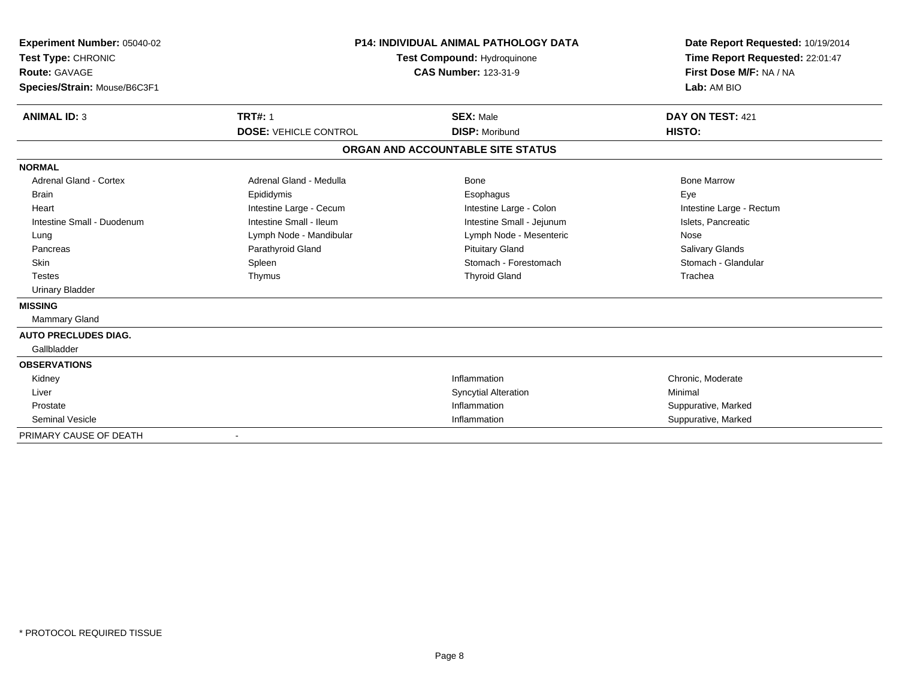| Experiment Number: 05040-02<br>Test Type: CHRONIC<br><b>Route: GAVAGE</b><br>Species/Strain: Mouse/B6C3F1<br><b>ANIMAL ID: 3</b>                                                                                | <b>P14: INDIVIDUAL ANIMAL PATHOLOGY DATA</b><br>Test Compound: Hydroquinone<br><b>CAS Number: 123-31-9</b><br><b>TRT#: 1</b><br><b>SEX: Male</b>                |                                                                                                                                                                                 | Date Report Requested: 10/19/2014<br>Time Report Requested: 22:01:47<br>First Dose M/F: NA / NA<br>Lab: AM BIO<br>DAY ON TEST: 421<br>HISTO:    |
|-----------------------------------------------------------------------------------------------------------------------------------------------------------------------------------------------------------------|-----------------------------------------------------------------------------------------------------------------------------------------------------------------|---------------------------------------------------------------------------------------------------------------------------------------------------------------------------------|-------------------------------------------------------------------------------------------------------------------------------------------------|
|                                                                                                                                                                                                                 | <b>DOSE: VEHICLE CONTROL</b>                                                                                                                                    | <b>DISP: Moribund</b><br>ORGAN AND ACCOUNTABLE SITE STATUS                                                                                                                      |                                                                                                                                                 |
|                                                                                                                                                                                                                 |                                                                                                                                                                 |                                                                                                                                                                                 |                                                                                                                                                 |
| <b>NORMAL</b><br>Adrenal Gland - Cortex<br><b>Brain</b><br>Heart<br>Intestine Small - Duodenum<br>Lung<br>Pancreas<br>Skin<br><b>Testes</b><br><b>Urinary Bladder</b><br><b>MISSING</b><br><b>Mammary Gland</b> | Adrenal Gland - Medulla<br>Epididymis<br>Intestine Large - Cecum<br>Intestine Small - Ileum<br>Lymph Node - Mandibular<br>Parathyroid Gland<br>Spleen<br>Thymus | Bone<br>Esophagus<br>Intestine Large - Colon<br>Intestine Small - Jejunum<br>Lymph Node - Mesenteric<br><b>Pituitary Gland</b><br>Stomach - Forestomach<br><b>Thyroid Gland</b> | <b>Bone Marrow</b><br>Eye<br>Intestine Large - Rectum<br>Islets, Pancreatic<br>Nose<br><b>Salivary Glands</b><br>Stomach - Glandular<br>Trachea |
| <b>AUTO PRECLUDES DIAG.</b>                                                                                                                                                                                     |                                                                                                                                                                 |                                                                                                                                                                                 |                                                                                                                                                 |
| Gallbladder                                                                                                                                                                                                     |                                                                                                                                                                 |                                                                                                                                                                                 |                                                                                                                                                 |
| <b>OBSERVATIONS</b><br>Kidney<br>Liver                                                                                                                                                                          |                                                                                                                                                                 | Inflammation<br><b>Syncytial Alteration</b>                                                                                                                                     | Chronic, Moderate<br>Minimal                                                                                                                    |
| Prostate<br><b>Seminal Vesicle</b><br>PRIMARY CAUSE OF DEATH                                                                                                                                                    |                                                                                                                                                                 | Inflammation<br>Inflammation                                                                                                                                                    | Suppurative, Marked<br>Suppurative, Marked                                                                                                      |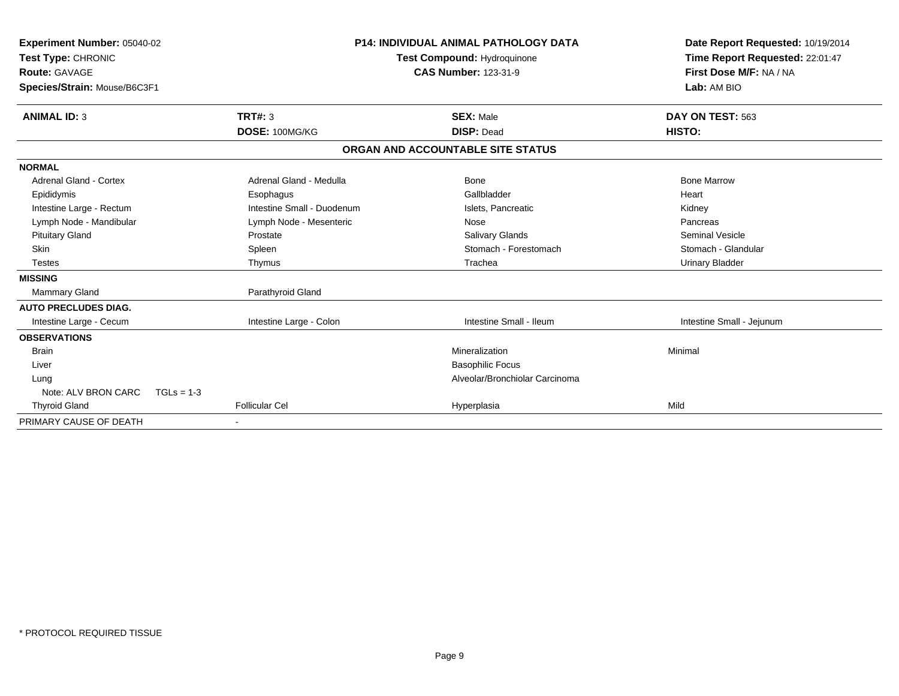| Experiment Number: 05040-02<br>Test Type: CHRONIC<br><b>Route: GAVAGE</b><br>Species/Strain: Mouse/B6C3F1 |                       | <b>P14: INDIVIDUAL ANIMAL PATHOLOGY DATA</b><br><b>Test Compound: Hydroquinone</b><br><b>CAS Number: 123-31-9</b> |                                   | Date Report Requested: 10/19/2014<br>Time Report Requested: 22:01:47<br>First Dose M/F: NA / NA<br>Lab: AM BIO |
|-----------------------------------------------------------------------------------------------------------|-----------------------|-------------------------------------------------------------------------------------------------------------------|-----------------------------------|----------------------------------------------------------------------------------------------------------------|
|                                                                                                           |                       |                                                                                                                   |                                   |                                                                                                                |
| <b>ANIMAL ID: 3</b>                                                                                       | TRT#: 3               |                                                                                                                   | <b>SEX: Male</b>                  | DAY ON TEST: 563                                                                                               |
|                                                                                                           | DOSE: 100MG/KG        |                                                                                                                   | <b>DISP: Dead</b>                 | HISTO:                                                                                                         |
|                                                                                                           |                       |                                                                                                                   | ORGAN AND ACCOUNTABLE SITE STATUS |                                                                                                                |
| <b>NORMAL</b>                                                                                             |                       |                                                                                                                   |                                   |                                                                                                                |
| Adrenal Gland - Cortex                                                                                    |                       | Adrenal Gland - Medulla                                                                                           | Bone                              | <b>Bone Marrow</b>                                                                                             |
| Epididymis                                                                                                | Esophagus             |                                                                                                                   | Gallbladder                       | Heart                                                                                                          |
| Intestine Large - Rectum                                                                                  |                       | Intestine Small - Duodenum                                                                                        | Islets, Pancreatic                | Kidney                                                                                                         |
| Lymph Node - Mandibular                                                                                   |                       | Lymph Node - Mesenteric                                                                                           | Nose                              | Pancreas                                                                                                       |
| <b>Pituitary Gland</b>                                                                                    | Prostate              |                                                                                                                   | Salivary Glands                   | <b>Seminal Vesicle</b>                                                                                         |
| Skin                                                                                                      | Spleen                |                                                                                                                   | Stomach - Forestomach             | Stomach - Glandular                                                                                            |
| <b>Testes</b>                                                                                             | Thymus                |                                                                                                                   | Trachea                           | <b>Urinary Bladder</b>                                                                                         |
| <b>MISSING</b>                                                                                            |                       |                                                                                                                   |                                   |                                                                                                                |
| <b>Mammary Gland</b>                                                                                      |                       | Parathyroid Gland                                                                                                 |                                   |                                                                                                                |
| <b>AUTO PRECLUDES DIAG.</b>                                                                               |                       |                                                                                                                   |                                   |                                                                                                                |
| Intestine Large - Cecum                                                                                   |                       | Intestine Large - Colon                                                                                           | Intestine Small - Ileum           | Intestine Small - Jejunum                                                                                      |
| <b>OBSERVATIONS</b>                                                                                       |                       |                                                                                                                   |                                   |                                                                                                                |
| <b>Brain</b>                                                                                              |                       |                                                                                                                   | Mineralization                    | Minimal                                                                                                        |
| Liver                                                                                                     |                       |                                                                                                                   | <b>Basophilic Focus</b>           |                                                                                                                |
| Lung                                                                                                      |                       |                                                                                                                   | Alveolar/Bronchiolar Carcinoma    |                                                                                                                |
| Note: ALV BRON CARC                                                                                       | $TGLs = 1-3$          |                                                                                                                   |                                   |                                                                                                                |
| <b>Thyroid Gland</b>                                                                                      | <b>Follicular Cel</b> |                                                                                                                   | Hyperplasia                       | Mild                                                                                                           |
| PRIMARY CAUSE OF DEATH                                                                                    |                       |                                                                                                                   |                                   |                                                                                                                |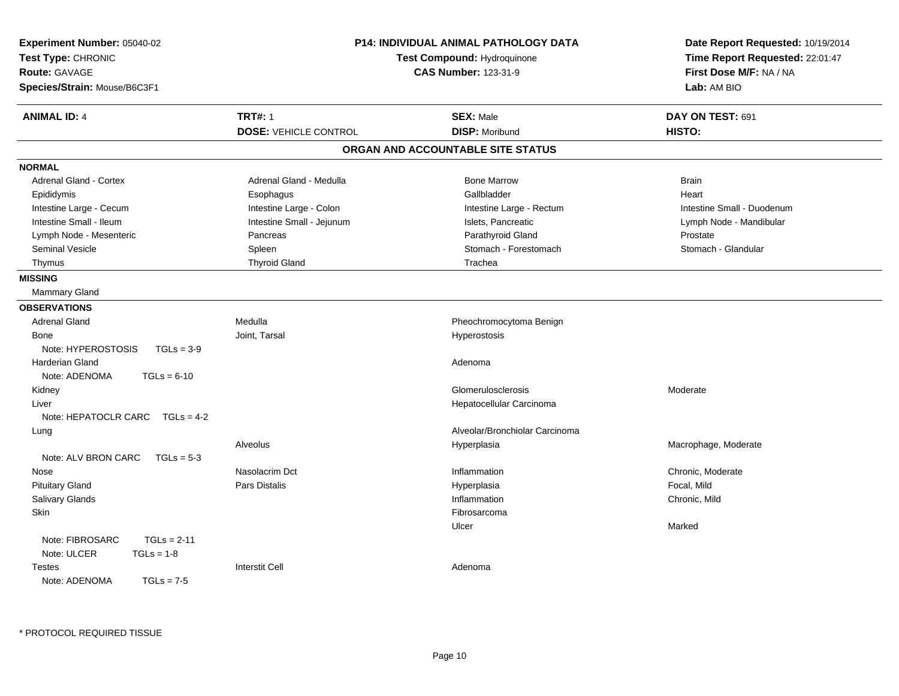| Experiment Number: 05040-02<br>Test Type: CHRONIC<br>Route: GAVAGE<br>Species/Strain: Mouse/B6C3F1 |                              | P14: INDIVIDUAL ANIMAL PATHOLOGY DATA<br>Test Compound: Hydroquinone<br><b>CAS Number: 123-31-9</b> | Date Report Requested: 10/19/2014<br>Time Report Requested: 22:01:47<br>First Dose M/F: NA / NA<br>Lab: AM BIO |  |
|----------------------------------------------------------------------------------------------------|------------------------------|-----------------------------------------------------------------------------------------------------|----------------------------------------------------------------------------------------------------------------|--|
| <b>ANIMAL ID: 4</b>                                                                                | <b>TRT#: 1</b>               | <b>SEX: Male</b>                                                                                    | DAY ON TEST: 691                                                                                               |  |
|                                                                                                    | <b>DOSE: VEHICLE CONTROL</b> | <b>DISP: Moribund</b>                                                                               | HISTO:                                                                                                         |  |
|                                                                                                    |                              | ORGAN AND ACCOUNTABLE SITE STATUS                                                                   |                                                                                                                |  |
| <b>NORMAL</b>                                                                                      |                              |                                                                                                     |                                                                                                                |  |
| <b>Adrenal Gland - Cortex</b>                                                                      | Adrenal Gland - Medulla      | <b>Bone Marrow</b>                                                                                  | <b>Brain</b>                                                                                                   |  |
| Epididymis                                                                                         | Esophagus                    | Gallbladder                                                                                         | Heart                                                                                                          |  |
| Intestine Large - Cecum                                                                            | Intestine Large - Colon      | Intestine Large - Rectum                                                                            | Intestine Small - Duodenum                                                                                     |  |
| Intestine Small - Ileum                                                                            | Intestine Small - Jejunum    | Islets, Pancreatic                                                                                  | Lymph Node - Mandibular                                                                                        |  |
| Lymph Node - Mesenteric                                                                            | Pancreas                     | Parathyroid Gland                                                                                   | Prostate                                                                                                       |  |
| <b>Seminal Vesicle</b>                                                                             | Spleen                       | Stomach - Forestomach                                                                               | Stomach - Glandular                                                                                            |  |
| Thymus                                                                                             | <b>Thyroid Gland</b>         | Trachea                                                                                             |                                                                                                                |  |
| <b>MISSING</b>                                                                                     |                              |                                                                                                     |                                                                                                                |  |
| Mammary Gland                                                                                      |                              |                                                                                                     |                                                                                                                |  |
| <b>OBSERVATIONS</b>                                                                                |                              |                                                                                                     |                                                                                                                |  |
| <b>Adrenal Gland</b>                                                                               | Medulla                      | Pheochromocytoma Benign                                                                             |                                                                                                                |  |
| Bone                                                                                               | Joint, Tarsal                | Hyperostosis                                                                                        |                                                                                                                |  |
| Note: HYPEROSTOSIS<br>$TGLs = 3-9$                                                                 |                              |                                                                                                     |                                                                                                                |  |
| <b>Harderian Gland</b>                                                                             |                              | Adenoma                                                                                             |                                                                                                                |  |
| Note: ADENOMA<br>$TGLs = 6-10$                                                                     |                              |                                                                                                     |                                                                                                                |  |
| Kidney                                                                                             |                              | Glomerulosclerosis                                                                                  | Moderate                                                                                                       |  |
| Liver                                                                                              |                              | Hepatocellular Carcinoma                                                                            |                                                                                                                |  |
| Note: HEPATOCLR CARC<br>$TGLs = 4-2$                                                               |                              |                                                                                                     |                                                                                                                |  |
| Lung                                                                                               |                              | Alveolar/Bronchiolar Carcinoma                                                                      |                                                                                                                |  |
|                                                                                                    | Alveolus                     | Hyperplasia                                                                                         | Macrophage, Moderate                                                                                           |  |
| Note: ALV BRON CARC<br>$TGLs = 5-3$                                                                |                              |                                                                                                     |                                                                                                                |  |
| Nose                                                                                               | Nasolacrim Dct               | Inflammation                                                                                        | Chronic, Moderate                                                                                              |  |
| <b>Pituitary Gland</b>                                                                             | <b>Pars Distalis</b>         | Hyperplasia                                                                                         | Focal, Mild                                                                                                    |  |
| Salivary Glands                                                                                    |                              | Inflammation                                                                                        | Chronic, Mild                                                                                                  |  |
| Skin                                                                                               |                              | Fibrosarcoma                                                                                        |                                                                                                                |  |
|                                                                                                    |                              | Ulcer                                                                                               | Marked                                                                                                         |  |
| Note: FIBROSARC<br>$TGLs = 2-11$                                                                   |                              |                                                                                                     |                                                                                                                |  |
| Note: ULCER<br>$TGLs = 1-8$                                                                        |                              |                                                                                                     |                                                                                                                |  |
| Testes                                                                                             | <b>Interstit Cell</b>        | Adenoma                                                                                             |                                                                                                                |  |
| Note: ADENOMA<br>$TGLs = 7-5$                                                                      |                              |                                                                                                     |                                                                                                                |  |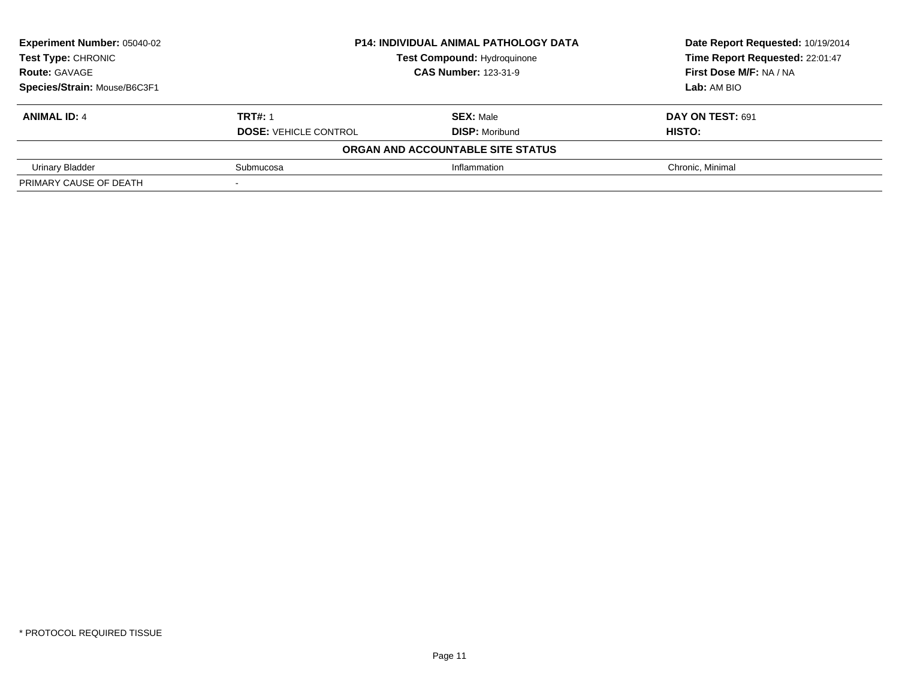| Experiment Number: 05040-02  | <b>P14: INDIVIDUAL ANIMAL PATHOLOGY DATA</b> | Date Report Requested: 10/19/2014 |                                 |
|------------------------------|----------------------------------------------|-----------------------------------|---------------------------------|
| <b>Test Type: CHRONIC</b>    | <b>Test Compound: Hydroquinone</b>           |                                   | Time Report Requested: 22:01:47 |
| <b>Route: GAVAGE</b>         | <b>CAS Number: 123-31-9</b>                  |                                   | First Dose M/F: NA / NA         |
| Species/Strain: Mouse/B6C3F1 |                                              |                                   | Lab: AM BIO                     |
| <b>ANIMAL ID: 4</b>          | <b>TRT#: 1</b>                               | <b>SEX: Male</b>                  | DAY ON TEST: 691                |
|                              | <b>DOSE: VEHICLE CONTROL</b>                 | <b>DISP: Moribund</b>             | <b>HISTO:</b>                   |
|                              |                                              | ORGAN AND ACCOUNTABLE SITE STATUS |                                 |
| Urinary Bladder              | Submucosa                                    | Inflammation                      | Chronic, Minimal                |
| PRIMARY CAUSE OF DEATH       |                                              |                                   |                                 |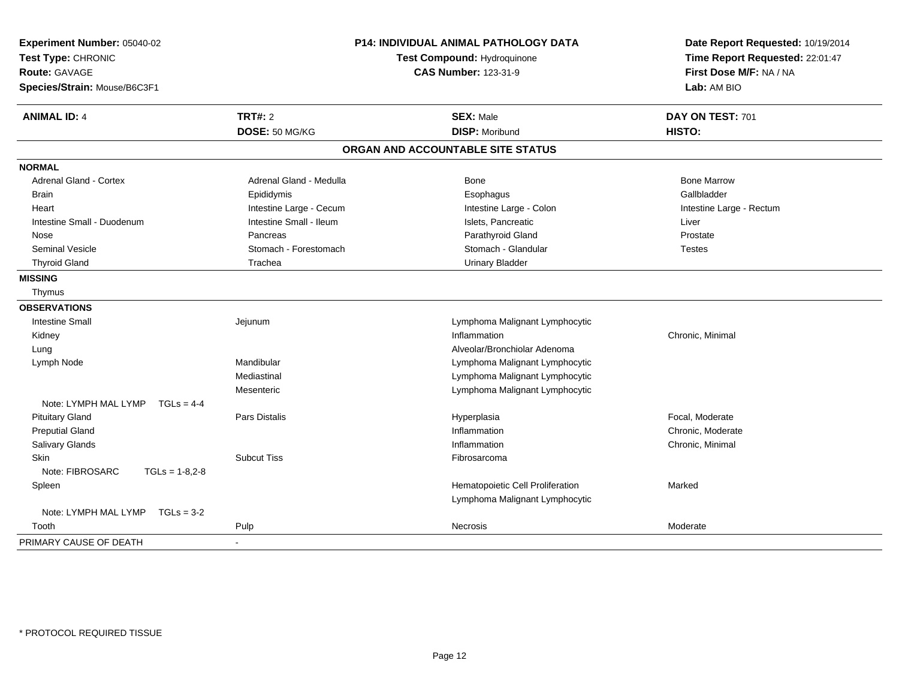| Experiment Number: 05040-02<br>Test Type: CHRONIC<br><b>Route: GAVAGE</b><br>Species/Strain: Mouse/B6C3F1 |                         | <b>P14: INDIVIDUAL ANIMAL PATHOLOGY DATA</b><br>Test Compound: Hydroquinone<br><b>CAS Number: 123-31-9</b> | Date Report Requested: 10/19/2014<br>Time Report Requested: 22:01:47<br>First Dose M/F: NA / NA<br>Lab: AM BIO |
|-----------------------------------------------------------------------------------------------------------|-------------------------|------------------------------------------------------------------------------------------------------------|----------------------------------------------------------------------------------------------------------------|
| <b>ANIMAL ID: 4</b>                                                                                       | TRT#: 2                 | <b>SEX: Male</b>                                                                                           | DAY ON TEST: 701                                                                                               |
|                                                                                                           | DOSE: 50 MG/KG          | <b>DISP: Moribund</b>                                                                                      | HISTO:                                                                                                         |
|                                                                                                           |                         | ORGAN AND ACCOUNTABLE SITE STATUS                                                                          |                                                                                                                |
| <b>NORMAL</b>                                                                                             |                         |                                                                                                            |                                                                                                                |
| <b>Adrenal Gland - Cortex</b>                                                                             | Adrenal Gland - Medulla | Bone                                                                                                       | <b>Bone Marrow</b>                                                                                             |
| Brain                                                                                                     | Epididymis              | Esophagus                                                                                                  | Gallbladder                                                                                                    |
| Heart                                                                                                     | Intestine Large - Cecum | Intestine Large - Colon                                                                                    | Intestine Large - Rectum                                                                                       |
| Intestine Small - Duodenum                                                                                | Intestine Small - Ileum | Islets, Pancreatic                                                                                         | Liver                                                                                                          |
| Nose                                                                                                      | Pancreas                | Parathyroid Gland                                                                                          | Prostate                                                                                                       |
| <b>Seminal Vesicle</b>                                                                                    | Stomach - Forestomach   | Stomach - Glandular                                                                                        | <b>Testes</b>                                                                                                  |
| <b>Thyroid Gland</b>                                                                                      | Trachea                 | <b>Urinary Bladder</b>                                                                                     |                                                                                                                |
| <b>MISSING</b>                                                                                            |                         |                                                                                                            |                                                                                                                |
| Thymus                                                                                                    |                         |                                                                                                            |                                                                                                                |
| <b>OBSERVATIONS</b>                                                                                       |                         |                                                                                                            |                                                                                                                |
| <b>Intestine Small</b>                                                                                    | Jejunum                 | Lymphoma Malignant Lymphocytic                                                                             |                                                                                                                |
| Kidney                                                                                                    |                         | Inflammation                                                                                               | Chronic, Minimal                                                                                               |
| Lung                                                                                                      |                         | Alveolar/Bronchiolar Adenoma                                                                               |                                                                                                                |
| Lymph Node                                                                                                | Mandibular              | Lymphoma Malignant Lymphocytic                                                                             |                                                                                                                |
|                                                                                                           | Mediastinal             | Lymphoma Malignant Lymphocytic                                                                             |                                                                                                                |
|                                                                                                           | Mesenteric              | Lymphoma Malignant Lymphocytic                                                                             |                                                                                                                |
| Note: LYMPH MAL LYMP<br>$TGLs = 4-4$                                                                      |                         |                                                                                                            |                                                                                                                |
| <b>Pituitary Gland</b>                                                                                    | Pars Distalis           | Hyperplasia                                                                                                | Focal, Moderate                                                                                                |
| <b>Preputial Gland</b>                                                                                    |                         | Inflammation                                                                                               | Chronic, Moderate                                                                                              |
| Salivary Glands                                                                                           |                         | Inflammation                                                                                               | Chronic, Minimal                                                                                               |
| <b>Skin</b>                                                                                               | <b>Subcut Tiss</b>      | Fibrosarcoma                                                                                               |                                                                                                                |
| Note: FIBROSARC<br>$TGLs = 1-8,2-8$                                                                       |                         |                                                                                                            |                                                                                                                |
| Spleen                                                                                                    |                         | Hematopoietic Cell Proliferation                                                                           | Marked                                                                                                         |
|                                                                                                           |                         | Lymphoma Malignant Lymphocytic                                                                             |                                                                                                                |
| Note: LYMPH MAL LYMP<br>$TGLs = 3-2$                                                                      |                         |                                                                                                            |                                                                                                                |
| Tooth                                                                                                     | Pulp                    | Necrosis                                                                                                   | Moderate                                                                                                       |
| PRIMARY CAUSE OF DEATH                                                                                    |                         |                                                                                                            |                                                                                                                |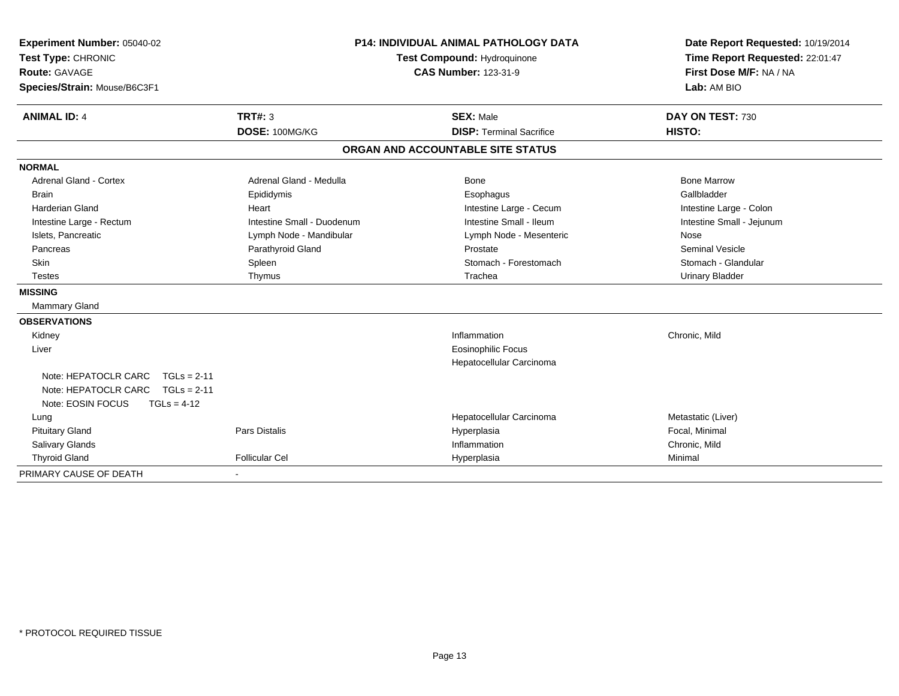| Experiment Number: 05040-02<br>Test Type: CHRONIC |                            | <b>P14: INDIVIDUAL ANIMAL PATHOLOGY DATA</b><br>Test Compound: Hydroquinone | Date Report Requested: 10/19/2014<br>Time Report Requested: 22:01:47 |
|---------------------------------------------------|----------------------------|-----------------------------------------------------------------------------|----------------------------------------------------------------------|
| Route: GAVAGE                                     |                            | <b>CAS Number: 123-31-9</b>                                                 | First Dose M/F: NA / NA                                              |
| Species/Strain: Mouse/B6C3F1                      |                            |                                                                             | Lab: AM BIO                                                          |
| <b>ANIMAL ID: 4</b>                               | TRT#: 3                    | <b>SEX: Male</b>                                                            | DAY ON TEST: 730                                                     |
|                                                   | DOSE: 100MG/KG             | <b>DISP: Terminal Sacrifice</b>                                             | HISTO:                                                               |
|                                                   |                            | ORGAN AND ACCOUNTABLE SITE STATUS                                           |                                                                      |
| <b>NORMAL</b>                                     |                            |                                                                             |                                                                      |
| <b>Adrenal Gland - Cortex</b>                     | Adrenal Gland - Medulla    | Bone                                                                        | <b>Bone Marrow</b>                                                   |
| <b>Brain</b>                                      | Epididymis                 | Esophagus                                                                   | Gallbladder                                                          |
| <b>Harderian Gland</b>                            | Heart                      | Intestine Large - Cecum                                                     | Intestine Large - Colon                                              |
| Intestine Large - Rectum                          | Intestine Small - Duodenum | Intestine Small - Ileum                                                     | Intestine Small - Jejunum                                            |
| Islets, Pancreatic                                | Lymph Node - Mandibular    | Lymph Node - Mesenteric                                                     | Nose                                                                 |
| Pancreas                                          | Parathyroid Gland          | Prostate                                                                    | <b>Seminal Vesicle</b>                                               |
| Skin                                              | Spleen                     | Stomach - Forestomach                                                       | Stomach - Glandular                                                  |
| Testes                                            | Thymus                     | Trachea                                                                     | <b>Urinary Bladder</b>                                               |
| <b>MISSING</b>                                    |                            |                                                                             |                                                                      |
| Mammary Gland                                     |                            |                                                                             |                                                                      |
| <b>OBSERVATIONS</b>                               |                            |                                                                             |                                                                      |
| Kidney                                            |                            | Inflammation                                                                | Chronic, Mild                                                        |
| Liver                                             |                            | <b>Eosinophilic Focus</b>                                                   |                                                                      |
|                                                   |                            | Hepatocellular Carcinoma                                                    |                                                                      |
| Note: HEPATOCLR CARC<br>$TGLs = 2-11$             |                            |                                                                             |                                                                      |
| Note: HEPATOCLR CARC<br>$TGLs = 2-11$             |                            |                                                                             |                                                                      |
| Note: EOSIN FOCUS<br>$TGLs = 4-12$                |                            |                                                                             |                                                                      |
| Lung                                              |                            | Hepatocellular Carcinoma                                                    | Metastatic (Liver)                                                   |
| <b>Pituitary Gland</b>                            | <b>Pars Distalis</b>       | Hyperplasia                                                                 | Focal, Minimal                                                       |
| Salivary Glands                                   |                            | Inflammation                                                                | Chronic, Mild                                                        |
| <b>Thyroid Gland</b>                              | <b>Follicular Cel</b>      | Hyperplasia                                                                 | Minimal                                                              |
| PRIMARY CAUSE OF DEATH                            |                            |                                                                             |                                                                      |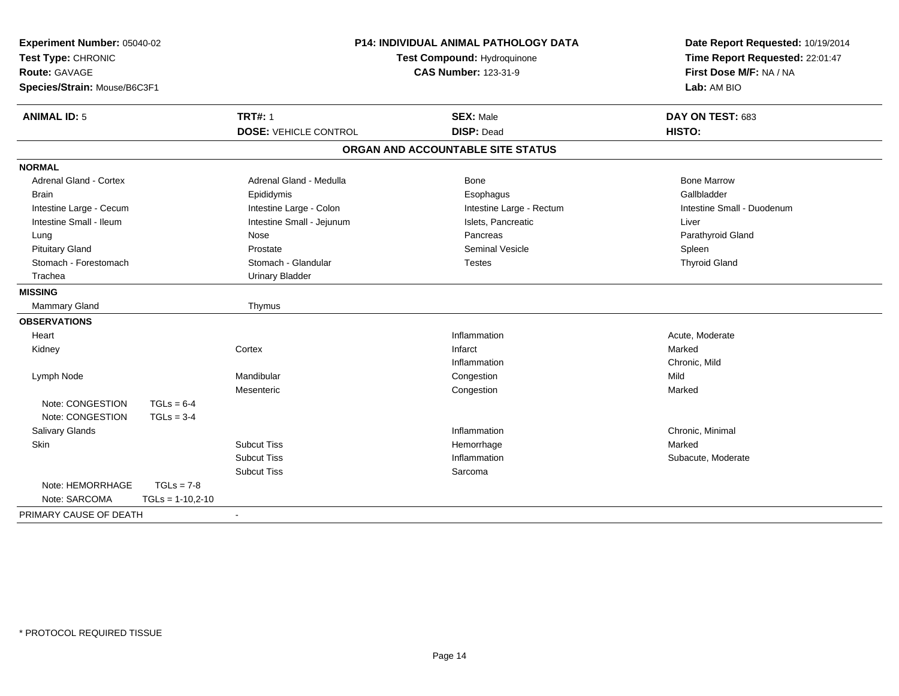| Experiment Number: 05040-02<br>Test Type: CHRONIC<br><b>Route: GAVAGE</b><br>Species/Strain: Mouse/B6C3F1 |                    | <b>P14: INDIVIDUAL ANIMAL PATHOLOGY DATA</b><br>Test Compound: Hydroquinone<br><b>CAS Number: 123-31-9</b> |                                       | Date Report Requested: 10/19/2014<br>Time Report Requested: 22:01:47<br>First Dose M/F: NA / NA<br>Lab: AM BIO |
|-----------------------------------------------------------------------------------------------------------|--------------------|------------------------------------------------------------------------------------------------------------|---------------------------------------|----------------------------------------------------------------------------------------------------------------|
| <b>ANIMAL ID: 5</b>                                                                                       |                    | <b>TRT#: 1</b>                                                                                             | <b>SEX: Male</b><br><b>DISP: Dead</b> | DAY ON TEST: 683                                                                                               |
|                                                                                                           |                    | <b>DOSE: VEHICLE CONTROL</b>                                                                               |                                       | HISTO:                                                                                                         |
|                                                                                                           |                    |                                                                                                            | ORGAN AND ACCOUNTABLE SITE STATUS     |                                                                                                                |
| <b>NORMAL</b>                                                                                             |                    |                                                                                                            |                                       |                                                                                                                |
| <b>Adrenal Gland - Cortex</b>                                                                             |                    | Adrenal Gland - Medulla                                                                                    | <b>Bone</b>                           | <b>Bone Marrow</b>                                                                                             |
| <b>Brain</b>                                                                                              |                    | Epididymis                                                                                                 | Esophagus                             | Gallbladder                                                                                                    |
| Intestine Large - Cecum                                                                                   |                    | Intestine Large - Colon                                                                                    | Intestine Large - Rectum              | Intestine Small - Duodenum                                                                                     |
| Intestine Small - Ileum                                                                                   |                    | Intestine Small - Jejunum                                                                                  | Islets, Pancreatic                    | Liver                                                                                                          |
| Lung                                                                                                      |                    | Nose                                                                                                       | Pancreas                              | Parathyroid Gland                                                                                              |
| <b>Pituitary Gland</b>                                                                                    |                    | Prostate                                                                                                   | <b>Seminal Vesicle</b>                | Spleen                                                                                                         |
| Stomach - Forestomach                                                                                     |                    | Stomach - Glandular                                                                                        | <b>Testes</b>                         | <b>Thyroid Gland</b>                                                                                           |
| Trachea                                                                                                   |                    | <b>Urinary Bladder</b>                                                                                     |                                       |                                                                                                                |
| <b>MISSING</b>                                                                                            |                    |                                                                                                            |                                       |                                                                                                                |
| <b>Mammary Gland</b>                                                                                      |                    | Thymus                                                                                                     |                                       |                                                                                                                |
| <b>OBSERVATIONS</b>                                                                                       |                    |                                                                                                            |                                       |                                                                                                                |
| Heart                                                                                                     |                    |                                                                                                            | Inflammation                          | Acute, Moderate                                                                                                |
| Kidney                                                                                                    |                    | Cortex                                                                                                     | Infarct                               | Marked                                                                                                         |
|                                                                                                           |                    |                                                                                                            | Inflammation                          | Chronic, Mild                                                                                                  |
| Lymph Node                                                                                                |                    | Mandibular                                                                                                 | Congestion                            | Mild                                                                                                           |
|                                                                                                           |                    | Mesenteric                                                                                                 | Congestion                            | Marked                                                                                                         |
| Note: CONGESTION                                                                                          | $TGLs = 6-4$       |                                                                                                            |                                       |                                                                                                                |
| Note: CONGESTION                                                                                          | $TGLs = 3-4$       |                                                                                                            |                                       |                                                                                                                |
| Salivary Glands                                                                                           |                    |                                                                                                            | Inflammation                          | Chronic, Minimal                                                                                               |
| <b>Skin</b>                                                                                               |                    | <b>Subcut Tiss</b>                                                                                         | Hemorrhage                            | Marked                                                                                                         |
|                                                                                                           |                    | <b>Subcut Tiss</b>                                                                                         | Inflammation                          | Subacute, Moderate                                                                                             |
|                                                                                                           |                    | <b>Subcut Tiss</b>                                                                                         | Sarcoma                               |                                                                                                                |
| Note: HEMORRHAGE                                                                                          | $TGLs = 7-8$       |                                                                                                            |                                       |                                                                                                                |
| Note: SARCOMA                                                                                             | $TGLs = 1-10,2-10$ |                                                                                                            |                                       |                                                                                                                |
| PRIMARY CAUSE OF DEATH                                                                                    |                    |                                                                                                            |                                       |                                                                                                                |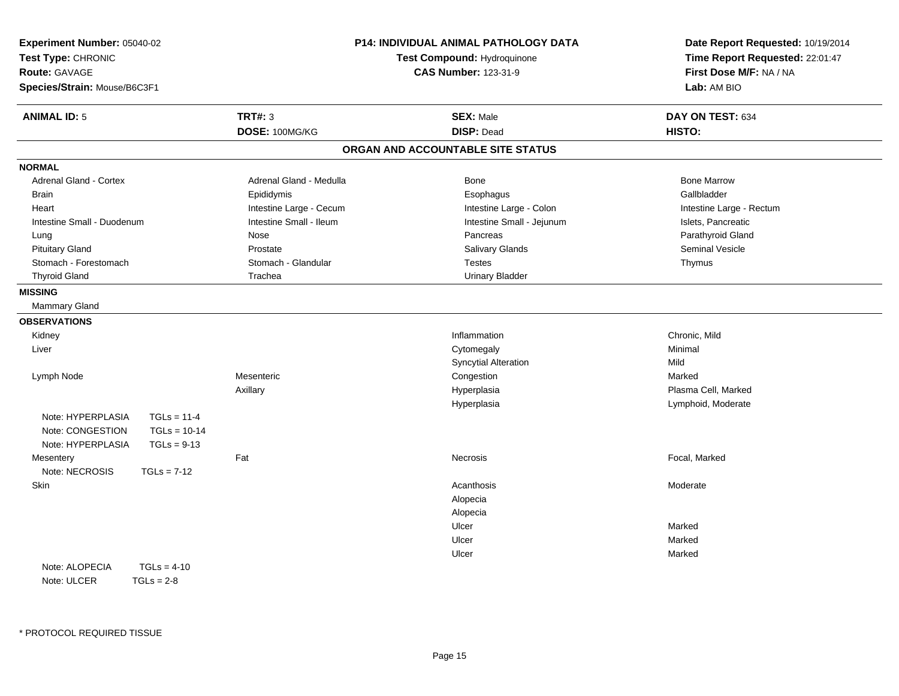| Experiment Number: 05040-02<br>Test Type: CHRONIC<br>Route: GAVAGE<br>Species/Strain: Mouse/B6C3F1 |                         | <b>P14: INDIVIDUAL ANIMAL PATHOLOGY DATA</b><br>Test Compound: Hydroquinone<br><b>CAS Number: 123-31-9</b> | Date Report Requested: 10/19/2014<br>Time Report Requested: 22:01:47<br>First Dose M/F: NA / NA<br>Lab: AM BIO |
|----------------------------------------------------------------------------------------------------|-------------------------|------------------------------------------------------------------------------------------------------------|----------------------------------------------------------------------------------------------------------------|
| <b>ANIMAL ID: 5</b>                                                                                | <b>TRT#: 3</b>          | <b>SEX: Male</b>                                                                                           | DAY ON TEST: 634                                                                                               |
|                                                                                                    | DOSE: 100MG/KG          | <b>DISP: Dead</b>                                                                                          | HISTO:                                                                                                         |
|                                                                                                    |                         | ORGAN AND ACCOUNTABLE SITE STATUS                                                                          |                                                                                                                |
| <b>NORMAL</b>                                                                                      |                         |                                                                                                            |                                                                                                                |
| Adrenal Gland - Cortex                                                                             | Adrenal Gland - Medulla | Bone                                                                                                       | <b>Bone Marrow</b>                                                                                             |
| <b>Brain</b>                                                                                       | Epididymis              | Esophagus                                                                                                  | Gallbladder                                                                                                    |
| Heart                                                                                              | Intestine Large - Cecum | Intestine Large - Colon                                                                                    | Intestine Large - Rectum                                                                                       |
| Intestine Small - Duodenum                                                                         | Intestine Small - Ileum | Intestine Small - Jejunum                                                                                  | Islets, Pancreatic                                                                                             |
| Lung                                                                                               | Nose                    | Pancreas                                                                                                   | Parathyroid Gland                                                                                              |
| <b>Pituitary Gland</b>                                                                             | Prostate                | Salivary Glands                                                                                            | Seminal Vesicle                                                                                                |
| Stomach - Forestomach                                                                              | Stomach - Glandular     | <b>Testes</b>                                                                                              | Thymus                                                                                                         |
| <b>Thyroid Gland</b>                                                                               | Trachea                 | <b>Urinary Bladder</b>                                                                                     |                                                                                                                |
| <b>MISSING</b>                                                                                     |                         |                                                                                                            |                                                                                                                |
| Mammary Gland                                                                                      |                         |                                                                                                            |                                                                                                                |
| <b>OBSERVATIONS</b>                                                                                |                         |                                                                                                            |                                                                                                                |
| Kidney                                                                                             |                         | Inflammation                                                                                               | Chronic, Mild                                                                                                  |
| Liver                                                                                              |                         | Cytomegaly                                                                                                 | Minimal                                                                                                        |
|                                                                                                    |                         | <b>Syncytial Alteration</b>                                                                                | Mild                                                                                                           |
| Lymph Node                                                                                         | Mesenteric              | Congestion                                                                                                 | Marked                                                                                                         |
|                                                                                                    | Axillary                | Hyperplasia                                                                                                | Plasma Cell, Marked                                                                                            |
|                                                                                                    |                         | Hyperplasia                                                                                                | Lymphoid, Moderate                                                                                             |
| Note: HYPERPLASIA<br>$TGLs = 11-4$                                                                 |                         |                                                                                                            |                                                                                                                |
| $TGLs = 10-14$<br>Note: CONGESTION                                                                 |                         |                                                                                                            |                                                                                                                |
| Note: HYPERPLASIA<br>$TGLs = 9-13$                                                                 |                         |                                                                                                            |                                                                                                                |
| Mesentery                                                                                          | Fat                     | Necrosis                                                                                                   | Focal, Marked                                                                                                  |
| Note: NECROSIS<br>$TGLs = 7-12$                                                                    |                         |                                                                                                            |                                                                                                                |
| Skin                                                                                               |                         | Acanthosis                                                                                                 | Moderate                                                                                                       |
|                                                                                                    |                         | Alopecia                                                                                                   |                                                                                                                |
|                                                                                                    |                         | Alopecia                                                                                                   |                                                                                                                |
|                                                                                                    |                         | Ulcer                                                                                                      | Marked                                                                                                         |
|                                                                                                    |                         | Ulcer                                                                                                      | Marked                                                                                                         |
|                                                                                                    |                         | Ulcer                                                                                                      | Marked                                                                                                         |
| Note: ALOPECIA<br>$TGLs = 4-10$                                                                    |                         |                                                                                                            |                                                                                                                |
| Note: ULCER<br>$TGLs = 2-8$                                                                        |                         |                                                                                                            |                                                                                                                |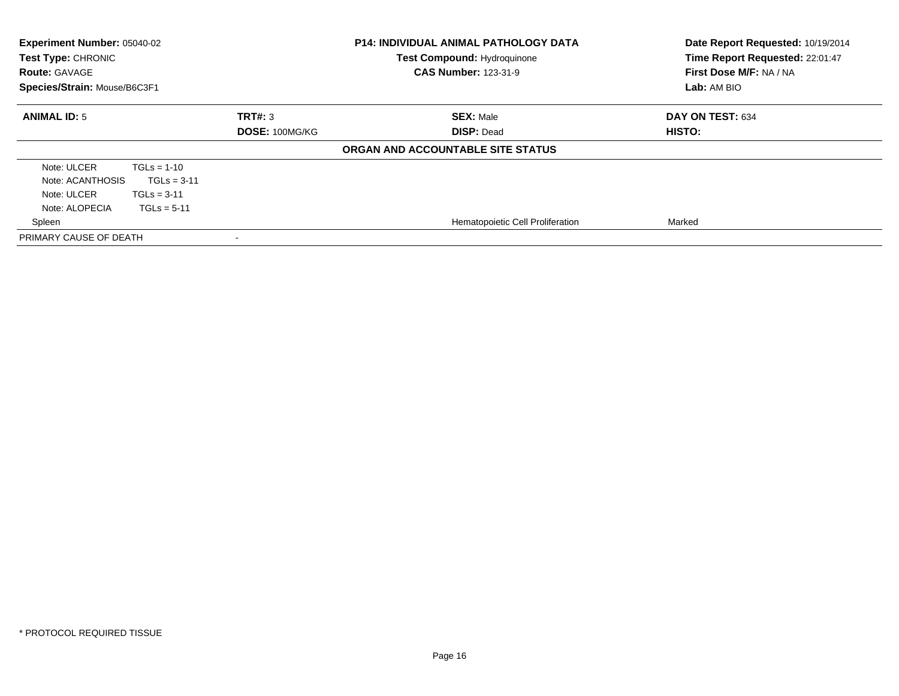| Experiment Number: 05040-02<br>Test Type: CHRONIC<br><b>Route: GAVAGE</b><br>Species/Strain: Mouse/B6C3F1           |                          | <b>P14: INDIVIDUAL ANIMAL PATHOLOGY DATA</b><br><b>Test Compound: Hydroquinone</b><br><b>CAS Number: 123-31-9</b> | Date Report Requested: 10/19/2014<br>Time Report Requested: 22:01:47<br>First Dose M/F: NA / NA<br>Lab: AM BIO |
|---------------------------------------------------------------------------------------------------------------------|--------------------------|-------------------------------------------------------------------------------------------------------------------|----------------------------------------------------------------------------------------------------------------|
| <b>ANIMAL ID: 5</b>                                                                                                 | TRT#: 3                  | <b>SEX: Male</b>                                                                                                  | DAY ON TEST: 634                                                                                               |
|                                                                                                                     | DOSE: 100MG/KG           | <b>DISP: Dead</b><br>ORGAN AND ACCOUNTABLE SITE STATUS                                                            | HISTO:                                                                                                         |
| Note: ULCER<br>$TGLs = 1-10$<br>Note: ACANTHOSIS<br>Note: ULCER<br>$TGLs = 3-11$<br>Note: ALOPECIA<br>$TGLs = 5-11$ | $TGLs = 3-11$            |                                                                                                                   |                                                                                                                |
| Spleen                                                                                                              |                          | Hematopoietic Cell Proliferation                                                                                  | Marked                                                                                                         |
| PRIMARY CAUSE OF DEATH                                                                                              | $\overline{\phantom{a}}$ |                                                                                                                   |                                                                                                                |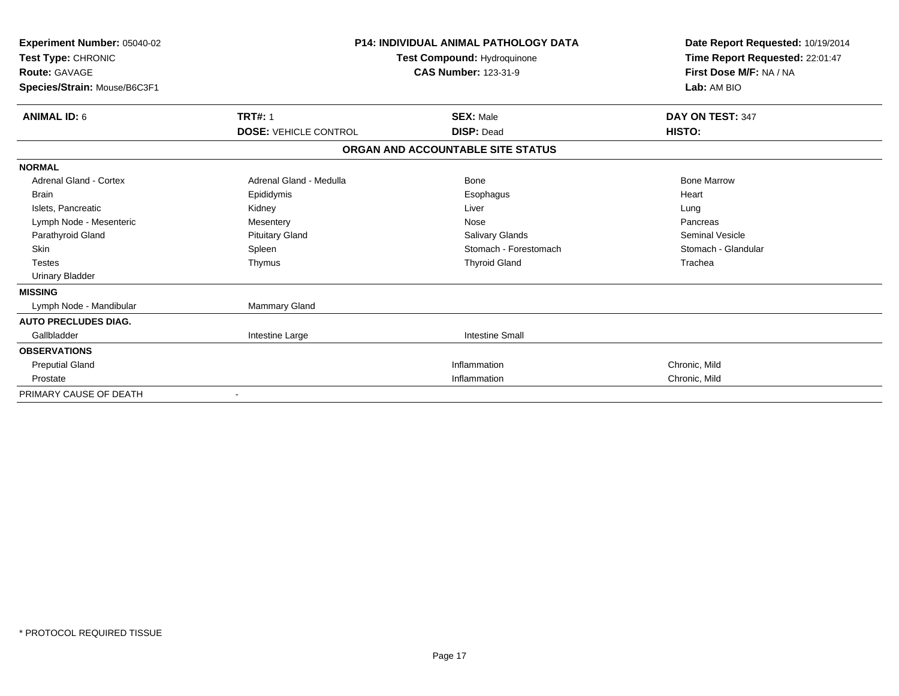| Experiment Number: 05040-02<br>Test Type: CHRONIC<br><b>Route: GAVAGE</b><br>Species/Strain: Mouse/B6C3F1 | <b>P14: INDIVIDUAL ANIMAL PATHOLOGY DATA</b><br>Test Compound: Hydroquinone<br><b>CAS Number: 123-31-9</b> |                                   | Date Report Requested: 10/19/2014<br>Time Report Requested: 22:01:47<br>First Dose M/F: NA / NA<br>Lab: AM BIO |
|-----------------------------------------------------------------------------------------------------------|------------------------------------------------------------------------------------------------------------|-----------------------------------|----------------------------------------------------------------------------------------------------------------|
| <b>ANIMAL ID: 6</b>                                                                                       | <b>TRT#: 1</b>                                                                                             | <b>SEX: Male</b>                  | DAY ON TEST: 347                                                                                               |
|                                                                                                           | <b>DOSE: VEHICLE CONTROL</b>                                                                               | <b>DISP: Dead</b>                 | HISTO:                                                                                                         |
|                                                                                                           |                                                                                                            | ORGAN AND ACCOUNTABLE SITE STATUS |                                                                                                                |
| <b>NORMAL</b>                                                                                             |                                                                                                            |                                   |                                                                                                                |
| <b>Adrenal Gland - Cortex</b>                                                                             | Adrenal Gland - Medulla                                                                                    | <b>Bone</b>                       | <b>Bone Marrow</b>                                                                                             |
| Brain                                                                                                     | Epididymis                                                                                                 | Esophagus                         | Heart                                                                                                          |
| Islets, Pancreatic                                                                                        | Kidney                                                                                                     | Liver                             | Lung                                                                                                           |
| Lymph Node - Mesenteric                                                                                   | Mesentery                                                                                                  | Nose                              | Pancreas                                                                                                       |
| Parathyroid Gland                                                                                         | <b>Pituitary Gland</b>                                                                                     | <b>Salivary Glands</b>            | <b>Seminal Vesicle</b>                                                                                         |
| <b>Skin</b>                                                                                               | Spleen                                                                                                     | Stomach - Forestomach             | Stomach - Glandular                                                                                            |
| <b>Testes</b>                                                                                             | Thymus                                                                                                     | <b>Thyroid Gland</b>              | Trachea                                                                                                        |
| <b>Urinary Bladder</b>                                                                                    |                                                                                                            |                                   |                                                                                                                |
| <b>MISSING</b>                                                                                            |                                                                                                            |                                   |                                                                                                                |
| Lymph Node - Mandibular                                                                                   | <b>Mammary Gland</b>                                                                                       |                                   |                                                                                                                |
| <b>AUTO PRECLUDES DIAG.</b>                                                                               |                                                                                                            |                                   |                                                                                                                |
| Gallbladder                                                                                               | Intestine Large                                                                                            | <b>Intestine Small</b>            |                                                                                                                |
| <b>OBSERVATIONS</b>                                                                                       |                                                                                                            |                                   |                                                                                                                |
| <b>Preputial Gland</b>                                                                                    |                                                                                                            | Inflammation                      | Chronic, Mild                                                                                                  |
| Prostate                                                                                                  |                                                                                                            | Inflammation                      | Chronic, Mild                                                                                                  |
| PRIMARY CAUSE OF DEATH                                                                                    |                                                                                                            |                                   |                                                                                                                |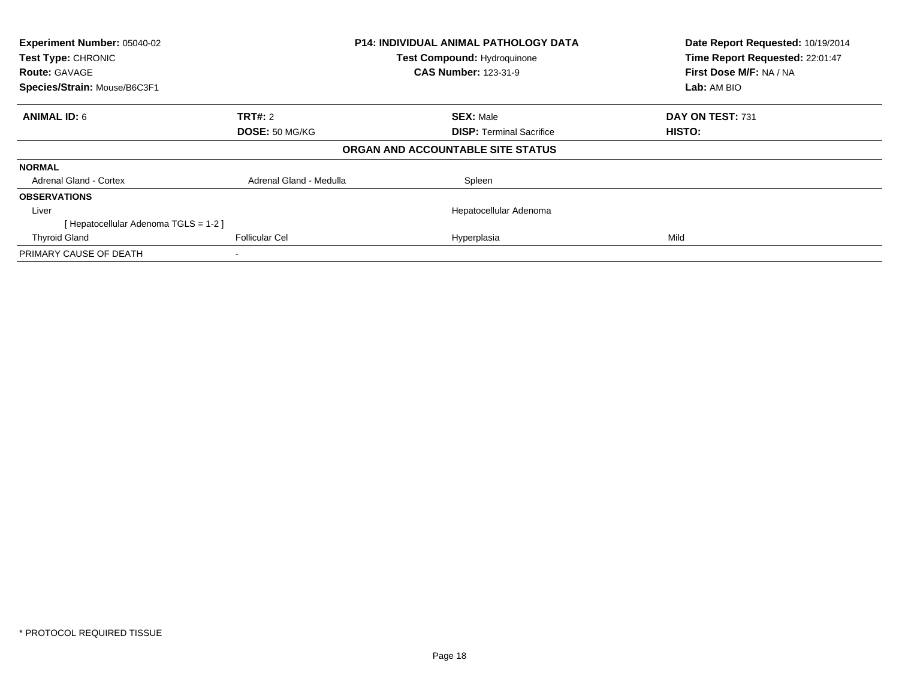| Experiment Number: 05040-02<br>Test Type: CHRONIC<br><b>Route: GAVAGE</b><br>Species/Strain: Mouse/B6C3F1 |                         | <b>P14: INDIVIDUAL ANIMAL PATHOLOGY DATA</b><br><b>Test Compound: Hydroquinone</b><br><b>CAS Number: 123-31-9</b> | Date Report Requested: 10/19/2014<br>Time Report Requested: 22:01:47<br>First Dose M/F: NA / NA<br>Lab: AM BIO |
|-----------------------------------------------------------------------------------------------------------|-------------------------|-------------------------------------------------------------------------------------------------------------------|----------------------------------------------------------------------------------------------------------------|
|                                                                                                           |                         |                                                                                                                   |                                                                                                                |
| <b>ANIMAL ID: 6</b>                                                                                       | <b>TRT#: 2</b>          | <b>SEX: Male</b>                                                                                                  | DAY ON TEST: 731                                                                                               |
|                                                                                                           | DOSE: 50 MG/KG          | <b>DISP:</b> Terminal Sacrifice                                                                                   | HISTO:                                                                                                         |
|                                                                                                           |                         | ORGAN AND ACCOUNTABLE SITE STATUS                                                                                 |                                                                                                                |
| <b>NORMAL</b>                                                                                             |                         |                                                                                                                   |                                                                                                                |
| <b>Adrenal Gland - Cortex</b>                                                                             | Adrenal Gland - Medulla | Spleen                                                                                                            |                                                                                                                |
| <b>OBSERVATIONS</b>                                                                                       |                         |                                                                                                                   |                                                                                                                |
| Liver                                                                                                     |                         | Hepatocellular Adenoma                                                                                            |                                                                                                                |
| [Hepatocellular Adenoma TGLS = 1-2]                                                                       |                         |                                                                                                                   |                                                                                                                |
| <b>Thyroid Gland</b>                                                                                      | <b>Follicular Cel</b>   | Hyperplasia                                                                                                       | Mild                                                                                                           |
| PRIMARY CAUSE OF DEATH                                                                                    |                         |                                                                                                                   |                                                                                                                |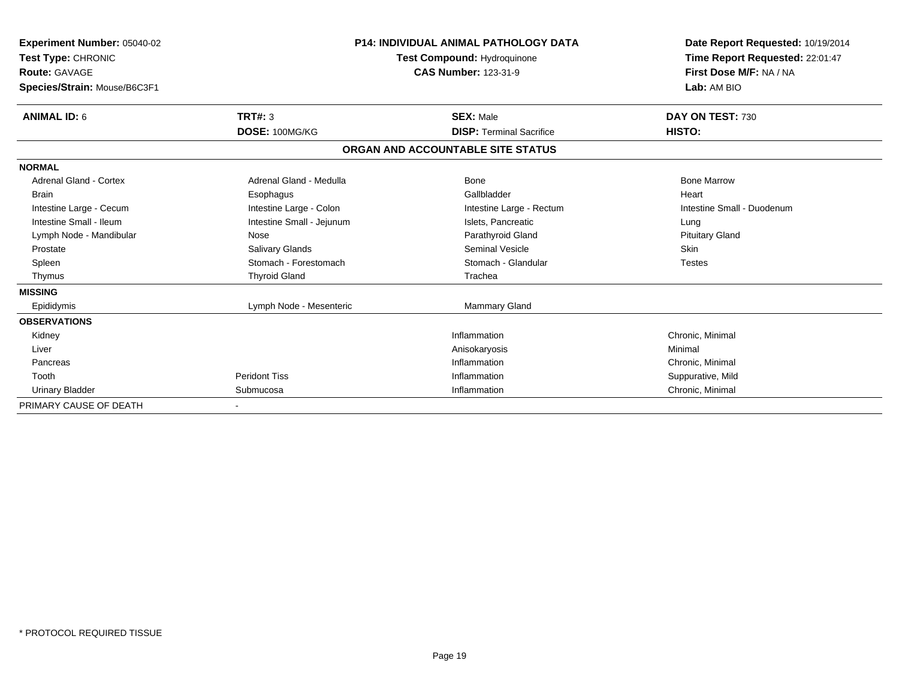| Experiment Number: 05040-02<br>Test Type: CHRONIC<br><b>Route: GAVAGE</b><br>Species/Strain: Mouse/B6C3F1 |                           | <b>P14: INDIVIDUAL ANIMAL PATHOLOGY DATA</b><br>Test Compound: Hydroquinone<br><b>CAS Number: 123-31-9</b> | Date Report Requested: 10/19/2014<br>Time Report Requested: 22:01:47<br>First Dose M/F: NA / NA<br>Lab: AM BIO |
|-----------------------------------------------------------------------------------------------------------|---------------------------|------------------------------------------------------------------------------------------------------------|----------------------------------------------------------------------------------------------------------------|
| <b>ANIMAL ID: 6</b>                                                                                       | TRT#: 3                   | <b>SEX: Male</b>                                                                                           | DAY ON TEST: 730                                                                                               |
|                                                                                                           | DOSE: 100MG/KG            | <b>DISP: Terminal Sacrifice</b>                                                                            | HISTO:                                                                                                         |
|                                                                                                           |                           | ORGAN AND ACCOUNTABLE SITE STATUS                                                                          |                                                                                                                |
| <b>NORMAL</b>                                                                                             |                           |                                                                                                            |                                                                                                                |
| <b>Adrenal Gland - Cortex</b>                                                                             | Adrenal Gland - Medulla   | Bone                                                                                                       | <b>Bone Marrow</b>                                                                                             |
| <b>Brain</b>                                                                                              | Esophagus                 | Gallbladder                                                                                                | Heart                                                                                                          |
| Intestine Large - Cecum                                                                                   | Intestine Large - Colon   | Intestine Large - Rectum                                                                                   | Intestine Small - Duodenum                                                                                     |
| Intestine Small - Ileum                                                                                   | Intestine Small - Jejunum | Islets, Pancreatic                                                                                         | Lung                                                                                                           |
| Lymph Node - Mandibular                                                                                   | Nose                      | Parathyroid Gland                                                                                          | <b>Pituitary Gland</b>                                                                                         |
| Prostate                                                                                                  | <b>Salivary Glands</b>    | Seminal Vesicle                                                                                            | Skin                                                                                                           |
| Spleen                                                                                                    | Stomach - Forestomach     | Stomach - Glandular                                                                                        | <b>Testes</b>                                                                                                  |
| Thymus                                                                                                    | <b>Thyroid Gland</b>      | Trachea                                                                                                    |                                                                                                                |
| <b>MISSING</b>                                                                                            |                           |                                                                                                            |                                                                                                                |
| Epididymis                                                                                                | Lymph Node - Mesenteric   | Mammary Gland                                                                                              |                                                                                                                |
| <b>OBSERVATIONS</b>                                                                                       |                           |                                                                                                            |                                                                                                                |
| Kidney                                                                                                    |                           | Inflammation                                                                                               | Chronic, Minimal                                                                                               |
| Liver                                                                                                     |                           | Anisokaryosis                                                                                              | Minimal                                                                                                        |
| Pancreas                                                                                                  |                           | Inflammation                                                                                               | Chronic, Minimal                                                                                               |
| Tooth                                                                                                     | <b>Peridont Tiss</b>      | Inflammation                                                                                               | Suppurative, Mild                                                                                              |
| <b>Urinary Bladder</b>                                                                                    | Submucosa                 | Inflammation                                                                                               | Chronic, Minimal                                                                                               |
| PRIMARY CAUSE OF DEATH                                                                                    |                           |                                                                                                            |                                                                                                                |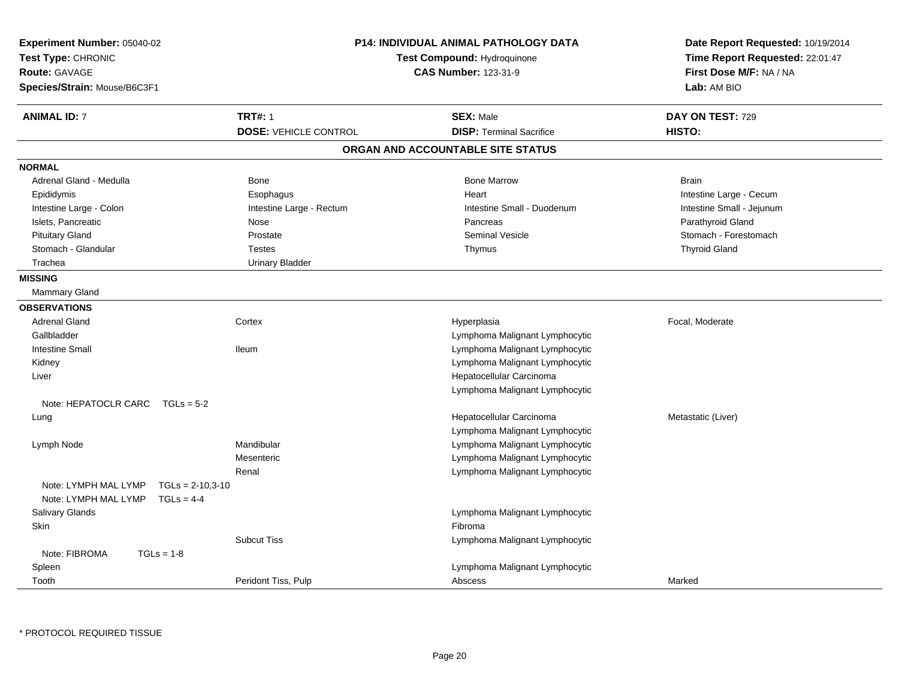| Experiment Number: 05040-02<br>Test Type: CHRONIC<br><b>Route: GAVAGE</b><br>Species/Strain: Mouse/B6C3F1 |                              | <b>P14: INDIVIDUAL ANIMAL PATHOLOGY DATA</b><br>Test Compound: Hydroquinone<br><b>CAS Number: 123-31-9</b> | Date Report Requested: 10/19/2014<br>Time Report Requested: 22:01:47<br>First Dose M/F: NA / NA<br>Lab: AM BIO |
|-----------------------------------------------------------------------------------------------------------|------------------------------|------------------------------------------------------------------------------------------------------------|----------------------------------------------------------------------------------------------------------------|
| <b>ANIMAL ID: 7</b>                                                                                       | <b>TRT#: 1</b>               | <b>SEX: Male</b>                                                                                           | DAY ON TEST: 729                                                                                               |
|                                                                                                           | <b>DOSE: VEHICLE CONTROL</b> | <b>DISP: Terminal Sacrifice</b>                                                                            | HISTO:                                                                                                         |
|                                                                                                           |                              | ORGAN AND ACCOUNTABLE SITE STATUS                                                                          |                                                                                                                |
| <b>NORMAL</b>                                                                                             |                              |                                                                                                            |                                                                                                                |
| Adrenal Gland - Medulla                                                                                   | Bone                         | <b>Bone Marrow</b>                                                                                         | <b>Brain</b>                                                                                                   |
| Epididymis                                                                                                | Esophagus                    | Heart                                                                                                      | Intestine Large - Cecum                                                                                        |
| Intestine Large - Colon                                                                                   | Intestine Large - Rectum     | Intestine Small - Duodenum                                                                                 | Intestine Small - Jejunum                                                                                      |
| Islets, Pancreatic                                                                                        | Nose                         | Pancreas                                                                                                   | Parathyroid Gland                                                                                              |
| <b>Pituitary Gland</b>                                                                                    | Prostate                     | <b>Seminal Vesicle</b>                                                                                     | Stomach - Forestomach                                                                                          |
| Stomach - Glandular                                                                                       | <b>Testes</b>                | Thymus                                                                                                     | <b>Thyroid Gland</b>                                                                                           |
| Trachea                                                                                                   | <b>Urinary Bladder</b>       |                                                                                                            |                                                                                                                |
| <b>MISSING</b>                                                                                            |                              |                                                                                                            |                                                                                                                |
| <b>Mammary Gland</b>                                                                                      |                              |                                                                                                            |                                                                                                                |
| <b>OBSERVATIONS</b>                                                                                       |                              |                                                                                                            |                                                                                                                |
| <b>Adrenal Gland</b>                                                                                      | Cortex                       | Hyperplasia                                                                                                | Focal, Moderate                                                                                                |
| Gallbladder                                                                                               |                              | Lymphoma Malignant Lymphocytic                                                                             |                                                                                                                |
| <b>Intestine Small</b>                                                                                    | lleum                        | Lymphoma Malignant Lymphocytic                                                                             |                                                                                                                |
| Kidney                                                                                                    |                              | Lymphoma Malignant Lymphocytic                                                                             |                                                                                                                |
| Liver                                                                                                     |                              | Hepatocellular Carcinoma                                                                                   |                                                                                                                |
|                                                                                                           |                              | Lymphoma Malignant Lymphocytic                                                                             |                                                                                                                |
| Note: HEPATOCLR CARC $TGLs = 5-2$                                                                         |                              |                                                                                                            |                                                                                                                |
| Lung                                                                                                      |                              | Hepatocellular Carcinoma                                                                                   | Metastatic (Liver)                                                                                             |
|                                                                                                           |                              | Lymphoma Malignant Lymphocytic                                                                             |                                                                                                                |
| Lymph Node                                                                                                | Mandibular                   | Lymphoma Malignant Lymphocytic                                                                             |                                                                                                                |
|                                                                                                           | Mesenteric                   | Lymphoma Malignant Lymphocytic                                                                             |                                                                                                                |
|                                                                                                           | Renal                        | Lymphoma Malignant Lymphocytic                                                                             |                                                                                                                |
| Note: LYMPH MAL LYMP<br>$TGLs = 2-10.3-10$<br>Note: LYMPH MAL LYMP<br>$TGLs = 4-4$                        |                              |                                                                                                            |                                                                                                                |
| Salivary Glands                                                                                           |                              | Lymphoma Malignant Lymphocytic                                                                             |                                                                                                                |
| <b>Skin</b>                                                                                               |                              | Fibroma                                                                                                    |                                                                                                                |
|                                                                                                           | <b>Subcut Tiss</b>           | Lymphoma Malignant Lymphocytic                                                                             |                                                                                                                |
| Note: FIBROMA<br>$TGLs = 1-8$                                                                             |                              |                                                                                                            |                                                                                                                |
| Spleen                                                                                                    |                              | Lymphoma Malignant Lymphocytic                                                                             |                                                                                                                |
| Tooth                                                                                                     | Peridont Tiss, Pulp          | Abscess                                                                                                    | Marked                                                                                                         |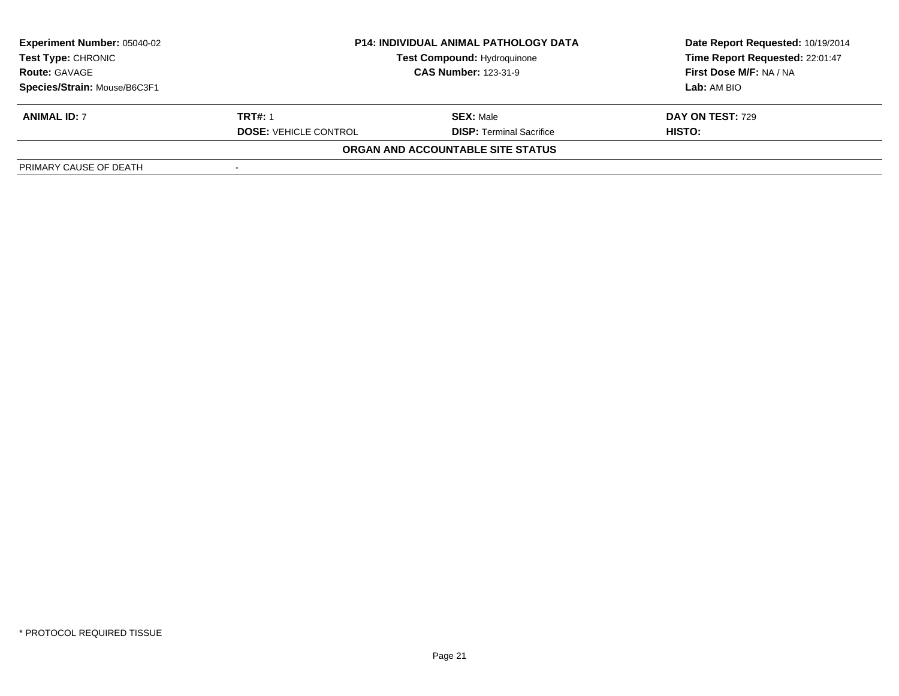| <b>Experiment Number: 05040-02</b> |                              | <b>P14: INDIVIDUAL ANIMAL PATHOLOGY DATA</b> | Date Report Requested: 10/19/2014<br>Time Report Requested: 22:01:47 |
|------------------------------------|------------------------------|----------------------------------------------|----------------------------------------------------------------------|
| <b>Test Type: CHRONIC</b>          |                              | <b>Test Compound: Hydroquinone</b>           |                                                                      |
| <b>Route: GAVAGE</b>               | <b>CAS Number: 123-31-9</b>  |                                              | First Dose M/F: NA / NA                                              |
| Species/Strain: Mouse/B6C3F1       |                              |                                              | Lab: AM BIO                                                          |
| <b>ANIMAL ID: 7</b>                | <b>TRT#: 1</b>               | <b>SEX: Male</b>                             | <b>DAY ON TEST: 729</b>                                              |
|                                    | <b>DOSE: VEHICLE CONTROL</b> | <b>DISP: Terminal Sacrifice</b>              | HISTO:                                                               |
|                                    |                              | ORGAN AND ACCOUNTABLE SITE STATUS            |                                                                      |
| PRIMARY CAUSE OF DEATH             |                              |                                              |                                                                      |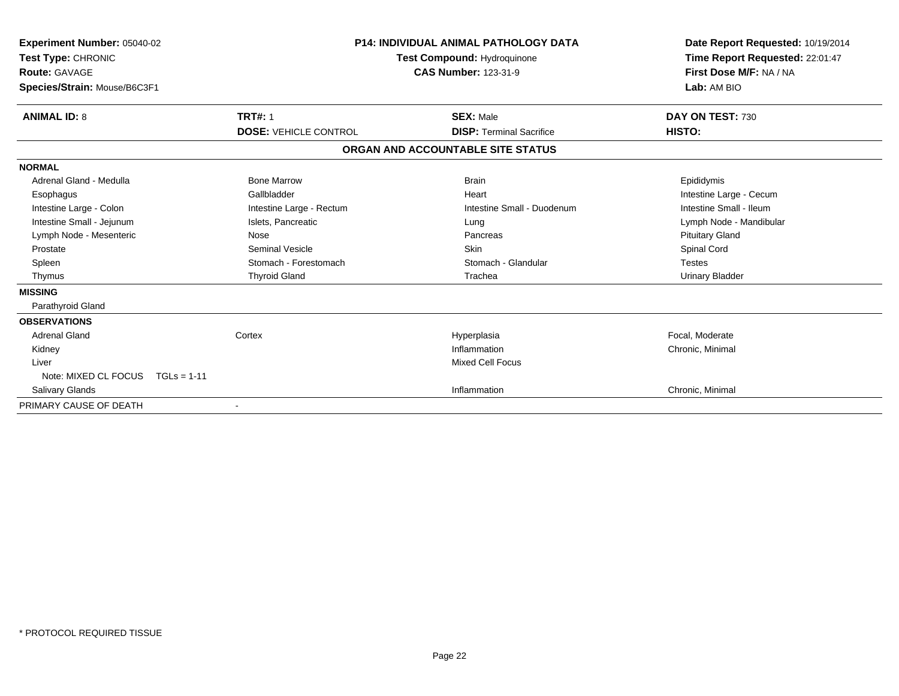| Experiment Number: 05040-02<br>Test Type: CHRONIC<br><b>Route: GAVAGE</b><br>Species/Strain: Mouse/B6C3F1 | <b>P14: INDIVIDUAL ANIMAL PATHOLOGY DATA</b><br>Test Compound: Hydroquinone<br><b>CAS Number: 123-31-9</b> |                                   | Date Report Requested: 10/19/2014<br>Time Report Requested: 22:01:47<br>First Dose M/F: NA / NA<br>Lab: AM BIO |
|-----------------------------------------------------------------------------------------------------------|------------------------------------------------------------------------------------------------------------|-----------------------------------|----------------------------------------------------------------------------------------------------------------|
| <b>ANIMAL ID: 8</b>                                                                                       | <b>TRT#: 1</b>                                                                                             | <b>SEX: Male</b>                  | DAY ON TEST: 730                                                                                               |
|                                                                                                           | <b>DOSE: VEHICLE CONTROL</b>                                                                               | <b>DISP: Terminal Sacrifice</b>   | HISTO:                                                                                                         |
|                                                                                                           |                                                                                                            | ORGAN AND ACCOUNTABLE SITE STATUS |                                                                                                                |
| <b>NORMAL</b>                                                                                             |                                                                                                            |                                   |                                                                                                                |
| Adrenal Gland - Medulla                                                                                   | <b>Bone Marrow</b>                                                                                         | <b>Brain</b>                      | Epididymis                                                                                                     |
| Esophagus                                                                                                 | Gallbladder                                                                                                | Heart                             | Intestine Large - Cecum                                                                                        |
| Intestine Large - Colon                                                                                   | Intestine Large - Rectum                                                                                   | Intestine Small - Duodenum        | Intestine Small - Ileum                                                                                        |
| Intestine Small - Jejunum                                                                                 | Islets, Pancreatic                                                                                         | Lung                              | Lymph Node - Mandibular                                                                                        |
| Lymph Node - Mesenteric                                                                                   | Nose                                                                                                       | Pancreas                          | <b>Pituitary Gland</b>                                                                                         |
| Prostate                                                                                                  | Seminal Vesicle                                                                                            | <b>Skin</b>                       | Spinal Cord                                                                                                    |
| Spleen                                                                                                    | Stomach - Forestomach                                                                                      | Stomach - Glandular               | <b>Testes</b>                                                                                                  |
| Thymus                                                                                                    | <b>Thyroid Gland</b>                                                                                       | Trachea                           | <b>Urinary Bladder</b>                                                                                         |
| <b>MISSING</b>                                                                                            |                                                                                                            |                                   |                                                                                                                |
| Parathyroid Gland                                                                                         |                                                                                                            |                                   |                                                                                                                |
| <b>OBSERVATIONS</b>                                                                                       |                                                                                                            |                                   |                                                                                                                |
| <b>Adrenal Gland</b>                                                                                      | Cortex                                                                                                     | Hyperplasia                       | Focal, Moderate                                                                                                |
| Kidney                                                                                                    |                                                                                                            | Inflammation                      | Chronic, Minimal                                                                                               |
| Liver                                                                                                     |                                                                                                            | <b>Mixed Cell Focus</b>           |                                                                                                                |
| Note: MIXED CL FOCUS                                                                                      | $TGLs = 1-11$                                                                                              |                                   |                                                                                                                |
| Salivary Glands                                                                                           |                                                                                                            | Inflammation                      | Chronic, Minimal                                                                                               |
| PRIMARY CAUSE OF DEATH                                                                                    |                                                                                                            |                                   |                                                                                                                |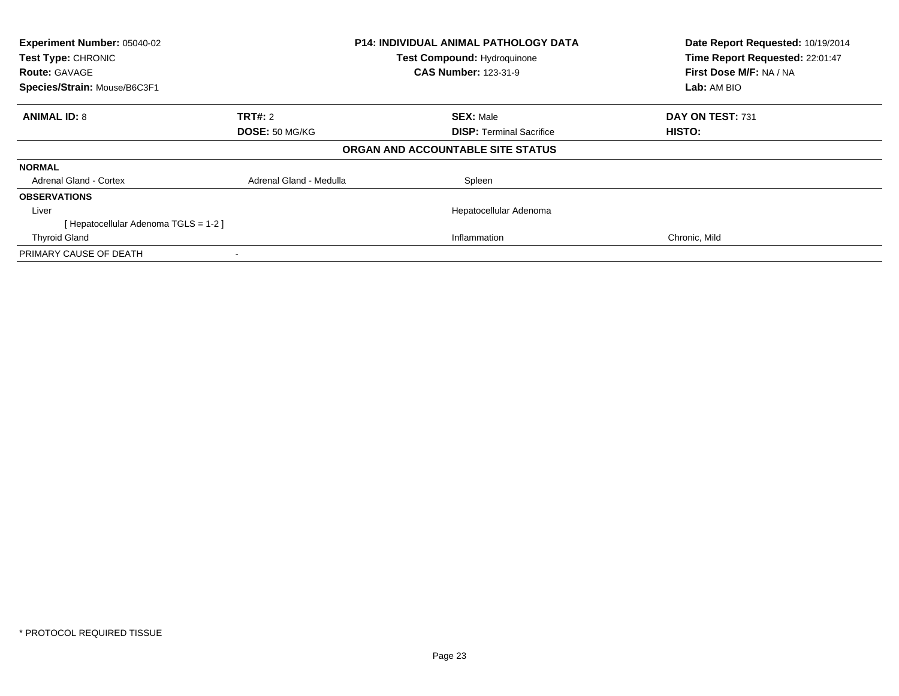| Experiment Number: 05040-02<br>Test Type: CHRONIC<br><b>Route: GAVAGE</b><br>Species/Strain: Mouse/B6C3F1 | <b>P14: INDIVIDUAL ANIMAL PATHOLOGY DATA</b><br><b>Test Compound: Hydroquinone</b><br><b>CAS Number: 123-31-9</b> |                                   | Date Report Requested: 10/19/2014<br>Time Report Requested: 22:01:47<br>First Dose M/F: NA / NA<br>Lab: AM BIO |
|-----------------------------------------------------------------------------------------------------------|-------------------------------------------------------------------------------------------------------------------|-----------------------------------|----------------------------------------------------------------------------------------------------------------|
| <b>ANIMAL ID: 8</b>                                                                                       | <b>TRT#: 2</b>                                                                                                    | <b>SEX: Male</b>                  | DAY ON TEST: 731                                                                                               |
|                                                                                                           | DOSE: 50 MG/KG                                                                                                    | <b>DISP:</b> Terminal Sacrifice   | <b>HISTO:</b>                                                                                                  |
|                                                                                                           |                                                                                                                   | ORGAN AND ACCOUNTABLE SITE STATUS |                                                                                                                |
| <b>NORMAL</b>                                                                                             |                                                                                                                   |                                   |                                                                                                                |
| <b>Adrenal Gland - Cortex</b>                                                                             | Adrenal Gland - Medulla                                                                                           | Spleen                            |                                                                                                                |
| <b>OBSERVATIONS</b>                                                                                       |                                                                                                                   |                                   |                                                                                                                |
| Liver                                                                                                     |                                                                                                                   | Hepatocellular Adenoma            |                                                                                                                |
| [Hepatocellular Adenoma TGLS = 1-2]                                                                       |                                                                                                                   |                                   |                                                                                                                |
| <b>Thyroid Gland</b>                                                                                      |                                                                                                                   | Inflammation                      | Chronic, Mild                                                                                                  |
| PRIMARY CAUSE OF DEATH                                                                                    |                                                                                                                   |                                   |                                                                                                                |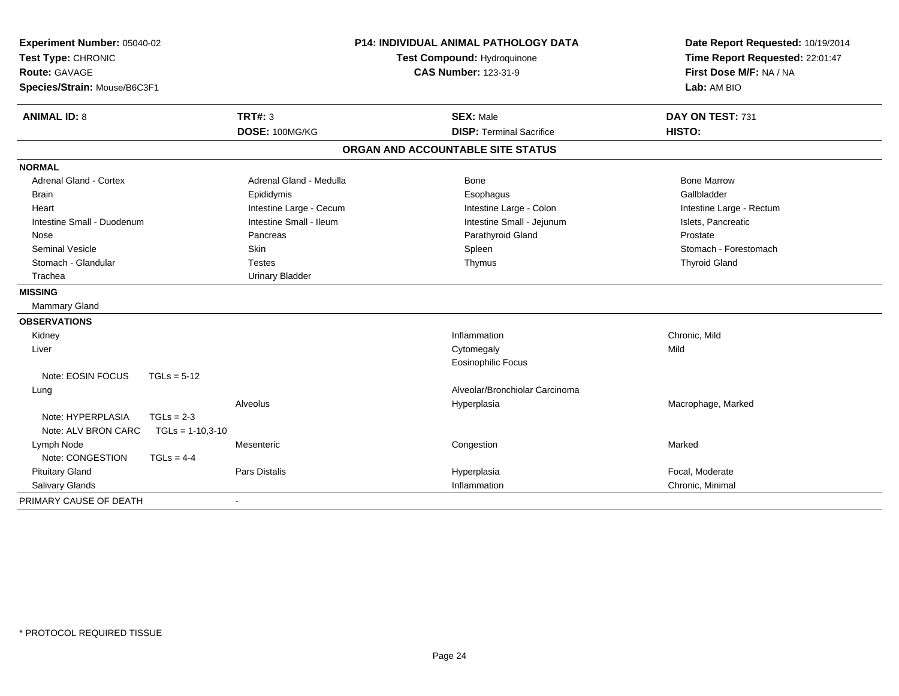| Experiment Number: 05040-02<br>Test Type: CHRONIC<br><b>Route: GAVAGE</b><br>Species/Strain: Mouse/B6C3F1 |                          | P14: INDIVIDUAL ANIMAL PATHOLOGY DATA<br>Test Compound: Hydroquinone<br><b>CAS Number: 123-31-9</b> | Date Report Requested: 10/19/2014<br>Time Report Requested: 22:01:47<br>First Dose M/F: NA / NA<br>Lab: AM BIO |  |
|-----------------------------------------------------------------------------------------------------------|--------------------------|-----------------------------------------------------------------------------------------------------|----------------------------------------------------------------------------------------------------------------|--|
| <b>ANIMAL ID: 8</b>                                                                                       | <b>TRT#: 3</b>           | <b>SEX: Male</b>                                                                                    | DAY ON TEST: 731                                                                                               |  |
|                                                                                                           | DOSE: 100MG/KG           | <b>DISP: Terminal Sacrifice</b>                                                                     | <b>HISTO:</b>                                                                                                  |  |
|                                                                                                           |                          | ORGAN AND ACCOUNTABLE SITE STATUS                                                                   |                                                                                                                |  |
| <b>NORMAL</b>                                                                                             |                          |                                                                                                     |                                                                                                                |  |
| Adrenal Gland - Cortex                                                                                    | Adrenal Gland - Medulla  | Bone                                                                                                | <b>Bone Marrow</b>                                                                                             |  |
| <b>Brain</b>                                                                                              | Epididymis               | Esophagus                                                                                           | Gallbladder                                                                                                    |  |
| Heart                                                                                                     | Intestine Large - Cecum  | Intestine Large - Colon                                                                             | Intestine Large - Rectum                                                                                       |  |
| Intestine Small - Duodenum                                                                                | Intestine Small - Ileum  | Intestine Small - Jejunum                                                                           | Islets, Pancreatic                                                                                             |  |
| Nose                                                                                                      | Pancreas                 | Parathyroid Gland                                                                                   | Prostate                                                                                                       |  |
| <b>Seminal Vesicle</b>                                                                                    | Skin                     | Spleen                                                                                              | Stomach - Forestomach                                                                                          |  |
| Stomach - Glandular                                                                                       | <b>Testes</b>            | Thymus                                                                                              | <b>Thyroid Gland</b>                                                                                           |  |
| Trachea                                                                                                   | <b>Urinary Bladder</b>   |                                                                                                     |                                                                                                                |  |
| <b>MISSING</b>                                                                                            |                          |                                                                                                     |                                                                                                                |  |
| Mammary Gland                                                                                             |                          |                                                                                                     |                                                                                                                |  |
| <b>OBSERVATIONS</b>                                                                                       |                          |                                                                                                     |                                                                                                                |  |
| Kidney                                                                                                    |                          | Inflammation                                                                                        | Chronic, Mild                                                                                                  |  |
| Liver                                                                                                     |                          | Cytomegaly                                                                                          | Mild                                                                                                           |  |
|                                                                                                           |                          | <b>Eosinophilic Focus</b>                                                                           |                                                                                                                |  |
| Note: EOSIN FOCUS<br>$TGLs = 5-12$                                                                        |                          |                                                                                                     |                                                                                                                |  |
| Lung                                                                                                      |                          | Alveolar/Bronchiolar Carcinoma                                                                      |                                                                                                                |  |
|                                                                                                           | Alveolus                 | Hyperplasia                                                                                         | Macrophage, Marked                                                                                             |  |
| Note: HYPERPLASIA<br>$TGLs = 2-3$                                                                         |                          |                                                                                                     |                                                                                                                |  |
| Note: ALV BRON CARC<br>$TGLs = 1-10,3-10$                                                                 |                          |                                                                                                     |                                                                                                                |  |
| Lymph Node                                                                                                | Mesenteric               | Congestion                                                                                          | Marked                                                                                                         |  |
| Note: CONGESTION<br>$TGLs = 4-4$                                                                          |                          |                                                                                                     |                                                                                                                |  |
| <b>Pituitary Gland</b>                                                                                    | Pars Distalis            | Hyperplasia                                                                                         | Focal, Moderate                                                                                                |  |
| Salivary Glands                                                                                           |                          | Inflammation                                                                                        | Chronic, Minimal                                                                                               |  |
| PRIMARY CAUSE OF DEATH                                                                                    | $\overline{\phantom{a}}$ |                                                                                                     |                                                                                                                |  |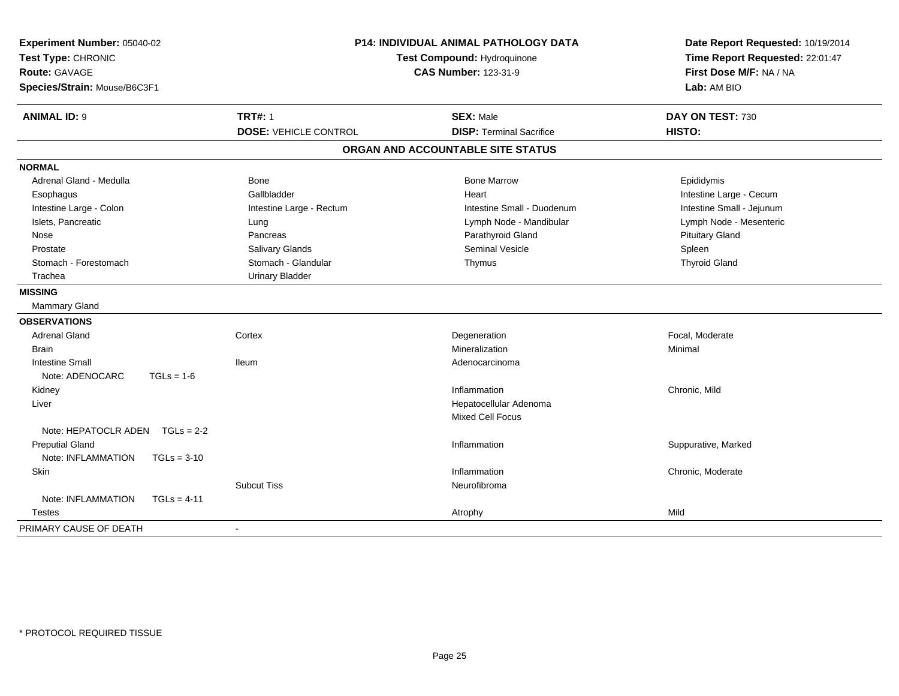| Experiment Number: 05040-02<br>Test Type: CHRONIC<br><b>Route: GAVAGE</b><br>Species/Strain: Mouse/B6C3F1 | P14: INDIVIDUAL ANIMAL PATHOLOGY DATA<br>Test Compound: Hydroquinone<br><b>CAS Number: 123-31-9</b> |                              | Date Report Requested: 10/19/2014<br>Time Report Requested: 22:01:47<br>First Dose M/F: NA / NA<br>Lab: AM BIO |                           |
|-----------------------------------------------------------------------------------------------------------|-----------------------------------------------------------------------------------------------------|------------------------------|----------------------------------------------------------------------------------------------------------------|---------------------------|
| <b>ANIMAL ID: 9</b>                                                                                       |                                                                                                     | <b>TRT#: 1</b>               | <b>SEX: Male</b>                                                                                               | DAY ON TEST: 730          |
|                                                                                                           |                                                                                                     | <b>DOSE: VEHICLE CONTROL</b> | <b>DISP: Terminal Sacrifice</b>                                                                                | HISTO:                    |
|                                                                                                           |                                                                                                     |                              | ORGAN AND ACCOUNTABLE SITE STATUS                                                                              |                           |
| <b>NORMAL</b>                                                                                             |                                                                                                     |                              |                                                                                                                |                           |
| Adrenal Gland - Medulla                                                                                   |                                                                                                     | Bone                         | <b>Bone Marrow</b>                                                                                             | Epididymis                |
| Esophagus                                                                                                 |                                                                                                     | Gallbladder                  | Heart                                                                                                          | Intestine Large - Cecum   |
| Intestine Large - Colon                                                                                   |                                                                                                     | Intestine Large - Rectum     | Intestine Small - Duodenum                                                                                     | Intestine Small - Jejunum |
| Islets, Pancreatic                                                                                        |                                                                                                     | Lung                         | Lymph Node - Mandibular                                                                                        | Lymph Node - Mesenteric   |
| Nose                                                                                                      |                                                                                                     | Pancreas                     | Parathyroid Gland                                                                                              | <b>Pituitary Gland</b>    |
| Prostate                                                                                                  |                                                                                                     | <b>Salivary Glands</b>       | <b>Seminal Vesicle</b>                                                                                         | Spleen                    |
| Stomach - Forestomach                                                                                     |                                                                                                     | Stomach - Glandular          | Thymus                                                                                                         | <b>Thyroid Gland</b>      |
| Trachea                                                                                                   |                                                                                                     | <b>Urinary Bladder</b>       |                                                                                                                |                           |
| <b>MISSING</b>                                                                                            |                                                                                                     |                              |                                                                                                                |                           |
| Mammary Gland                                                                                             |                                                                                                     |                              |                                                                                                                |                           |
| <b>OBSERVATIONS</b>                                                                                       |                                                                                                     |                              |                                                                                                                |                           |
| <b>Adrenal Gland</b>                                                                                      |                                                                                                     | Cortex                       | Degeneration                                                                                                   | Focal, Moderate           |
| <b>Brain</b>                                                                                              |                                                                                                     |                              | Mineralization                                                                                                 | Minimal                   |
| <b>Intestine Small</b>                                                                                    |                                                                                                     | <b>Ileum</b>                 | Adenocarcinoma                                                                                                 |                           |
| Note: ADENOCARC                                                                                           | $TGLs = 1-6$                                                                                        |                              |                                                                                                                |                           |
| Kidney                                                                                                    |                                                                                                     |                              | Inflammation                                                                                                   | Chronic, Mild             |
| Liver                                                                                                     |                                                                                                     |                              | Hepatocellular Adenoma                                                                                         |                           |
|                                                                                                           |                                                                                                     |                              | <b>Mixed Cell Focus</b>                                                                                        |                           |
| Note: HEPATOCLR ADEN                                                                                      | $TGLs = 2-2$                                                                                        |                              |                                                                                                                |                           |
| <b>Preputial Gland</b>                                                                                    |                                                                                                     |                              | Inflammation                                                                                                   | Suppurative, Marked       |
| Note: INFLAMMATION                                                                                        | $TGLs = 3-10$                                                                                       |                              |                                                                                                                |                           |
| Skin                                                                                                      |                                                                                                     |                              | Inflammation                                                                                                   | Chronic, Moderate         |
|                                                                                                           |                                                                                                     | <b>Subcut Tiss</b>           | Neurofibroma                                                                                                   |                           |
| Note: INFLAMMATION                                                                                        | $TGLs = 4-11$                                                                                       |                              |                                                                                                                |                           |
| <b>Testes</b>                                                                                             |                                                                                                     |                              | Atrophy                                                                                                        | Mild                      |
| PRIMARY CAUSE OF DEATH                                                                                    |                                                                                                     | $\blacksquare$               |                                                                                                                |                           |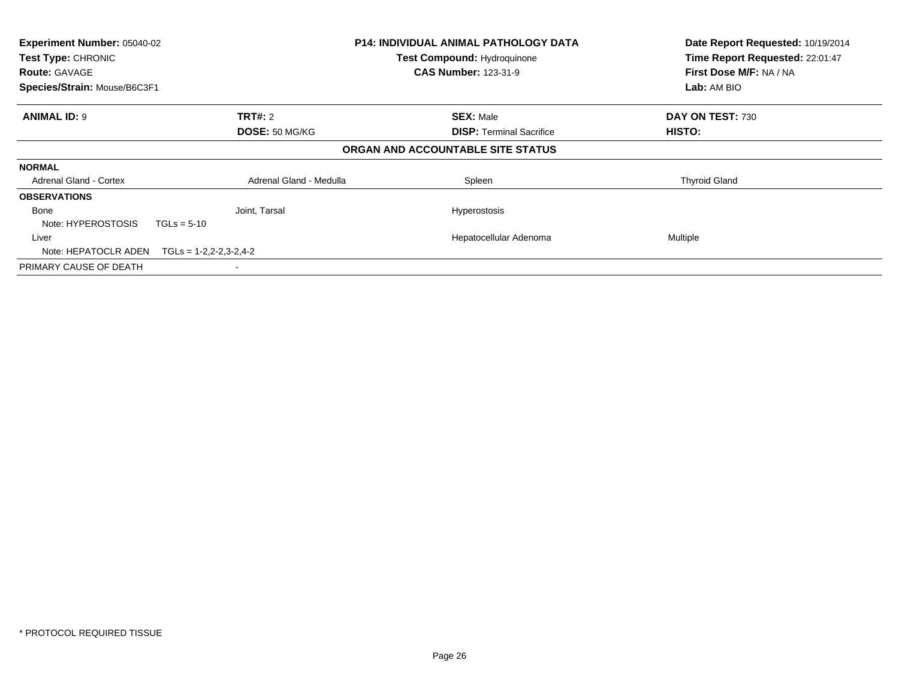| Experiment Number: 05040-02<br>Test Type: CHRONIC<br><b>Route: GAVAGE</b><br>Species/Strain: Mouse/B6C3F1 |                             | <b>P14: INDIVIDUAL ANIMAL PATHOLOGY DATA</b><br>Test Compound: Hydroquinone<br><b>CAS Number: 123-31-9</b> | Date Report Requested: 10/19/2014<br>Time Report Requested: 22:01:47<br>First Dose M/F: NA / NA<br>Lab: AM BIO |
|-----------------------------------------------------------------------------------------------------------|-----------------------------|------------------------------------------------------------------------------------------------------------|----------------------------------------------------------------------------------------------------------------|
| <b>ANIMAL ID: 9</b>                                                                                       | <b>TRT#: 2</b>              | <b>SEX: Male</b>                                                                                           | DAY ON TEST: 730                                                                                               |
|                                                                                                           | DOSE: 50 MG/KG              | <b>DISP:</b> Terminal Sacrifice                                                                            | <b>HISTO:</b>                                                                                                  |
|                                                                                                           |                             | ORGAN AND ACCOUNTABLE SITE STATUS                                                                          |                                                                                                                |
| <b>NORMAL</b>                                                                                             |                             |                                                                                                            |                                                                                                                |
| <b>Adrenal Gland - Cortex</b>                                                                             | Adrenal Gland - Medulla     | Spleen                                                                                                     | <b>Thyroid Gland</b>                                                                                           |
| <b>OBSERVATIONS</b>                                                                                       |                             |                                                                                                            |                                                                                                                |
| Bone                                                                                                      | Joint, Tarsal               | <b>Hyperostosis</b>                                                                                        |                                                                                                                |
| Note: HYPEROSTOSIS                                                                                        | $TGLs = 5-10$               |                                                                                                            |                                                                                                                |
| Liver                                                                                                     |                             | Hepatocellular Adenoma                                                                                     | Multiple                                                                                                       |
| Note: HEPATOCLR ADEN                                                                                      | $TGLs = 1-2, 2-2, 3-2, 4-2$ |                                                                                                            |                                                                                                                |
| PRIMARY CAUSE OF DEATH                                                                                    |                             |                                                                                                            |                                                                                                                |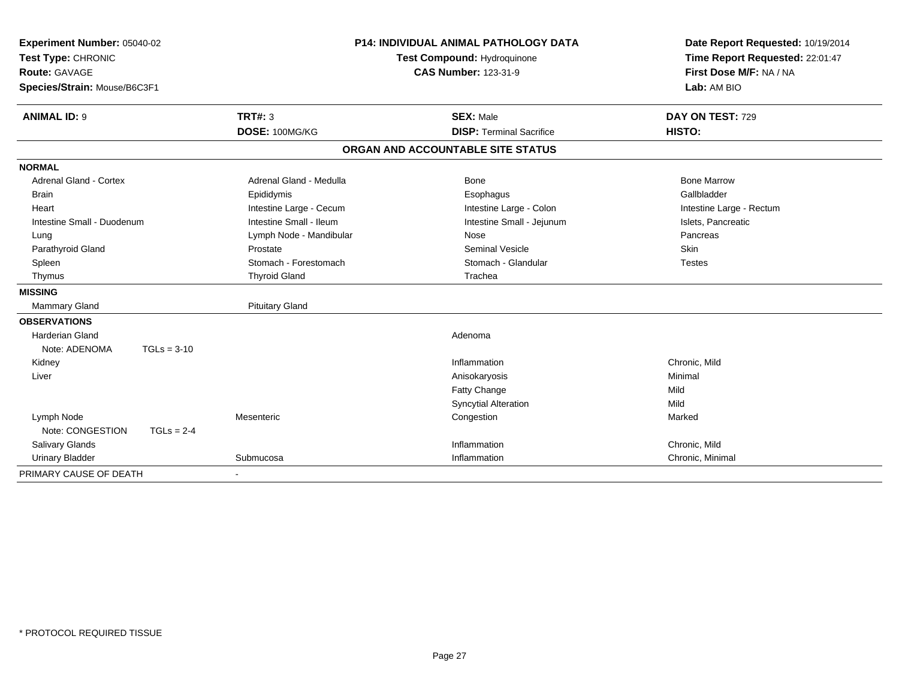| Experiment Number: 05040-02<br>Test Type: CHRONIC<br><b>Route: GAVAGE</b> |               |                             |  | <b>P14: INDIVIDUAL ANIMAL PATHOLOGY DATA</b> | Date Report Requested: 10/19/2014 |  |
|---------------------------------------------------------------------------|---------------|-----------------------------|--|----------------------------------------------|-----------------------------------|--|
|                                                                           |               | Test Compound: Hydroquinone |  | Time Report Requested: 22:01:47              |                                   |  |
|                                                                           |               |                             |  | <b>CAS Number: 123-31-9</b>                  | First Dose M/F: NA / NA           |  |
| Species/Strain: Mouse/B6C3F1                                              |               |                             |  |                                              | Lab: AM BIO                       |  |
| <b>ANIMAL ID: 9</b>                                                       |               | TRT#: 3                     |  | <b>SEX: Male</b>                             | DAY ON TEST: 729                  |  |
|                                                                           |               | DOSE: 100MG/KG              |  | <b>DISP: Terminal Sacrifice</b>              | HISTO:                            |  |
|                                                                           |               |                             |  | ORGAN AND ACCOUNTABLE SITE STATUS            |                                   |  |
| <b>NORMAL</b>                                                             |               |                             |  |                                              |                                   |  |
| <b>Adrenal Gland - Cortex</b>                                             |               | Adrenal Gland - Medulla     |  | Bone                                         | <b>Bone Marrow</b>                |  |
| <b>Brain</b>                                                              |               | Epididymis                  |  | Esophagus                                    | Gallbladder                       |  |
| Heart                                                                     |               | Intestine Large - Cecum     |  | Intestine Large - Colon                      | Intestine Large - Rectum          |  |
| Intestine Small - Duodenum                                                |               | Intestine Small - Ileum     |  | Intestine Small - Jejunum                    | Islets, Pancreatic                |  |
| Lung                                                                      |               | Lymph Node - Mandibular     |  | Nose                                         | Pancreas                          |  |
| Parathyroid Gland                                                         |               | Prostate                    |  | <b>Seminal Vesicle</b>                       | <b>Skin</b>                       |  |
| Spleen                                                                    |               | Stomach - Forestomach       |  | Stomach - Glandular                          | <b>Testes</b>                     |  |
| Thymus                                                                    |               | <b>Thyroid Gland</b>        |  | Trachea                                      |                                   |  |
| <b>MISSING</b>                                                            |               |                             |  |                                              |                                   |  |
| <b>Mammary Gland</b>                                                      |               | <b>Pituitary Gland</b>      |  |                                              |                                   |  |
| <b>OBSERVATIONS</b>                                                       |               |                             |  |                                              |                                   |  |
| <b>Harderian Gland</b>                                                    |               |                             |  | Adenoma                                      |                                   |  |
| Note: ADENOMA                                                             | $TGLs = 3-10$ |                             |  |                                              |                                   |  |
| Kidney                                                                    |               |                             |  | Inflammation                                 | Chronic, Mild                     |  |
| Liver                                                                     |               |                             |  | Anisokaryosis                                | Minimal                           |  |
|                                                                           |               |                             |  | Fatty Change                                 | Mild                              |  |
|                                                                           |               |                             |  | <b>Syncytial Alteration</b>                  | Mild                              |  |
| Lymph Node                                                                |               | Mesenteric                  |  | Congestion                                   | Marked                            |  |
| Note: CONGESTION                                                          | $TGLs = 2-4$  |                             |  |                                              |                                   |  |
| Salivary Glands                                                           |               |                             |  | Inflammation                                 | Chronic, Mild                     |  |
| <b>Urinary Bladder</b>                                                    |               | Submucosa                   |  | Inflammation                                 | Chronic, Minimal                  |  |
| PRIMARY CAUSE OF DEATH                                                    |               |                             |  |                                              |                                   |  |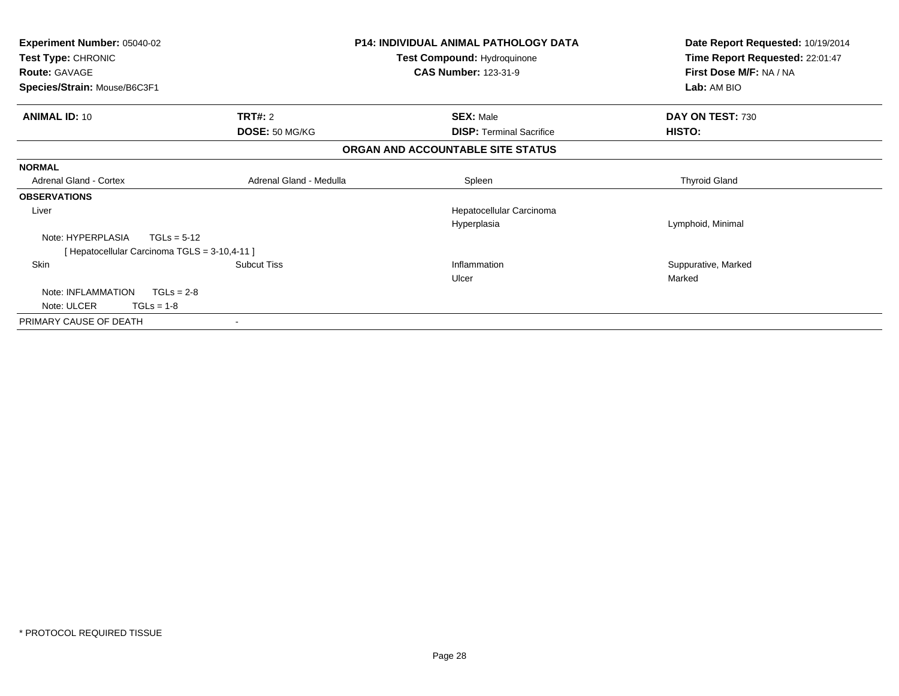| Experiment Number: 05040-02                   |                         | <b>P14: INDIVIDUAL ANIMAL PATHOLOGY DATA</b> | Date Report Requested: 10/19/2014 |  |
|-----------------------------------------------|-------------------------|----------------------------------------------|-----------------------------------|--|
| Test Type: CHRONIC                            |                         | Test Compound: Hydroquinone                  | Time Report Requested: 22:01:47   |  |
| <b>Route: GAVAGE</b>                          |                         | <b>CAS Number: 123-31-9</b>                  | First Dose M/F: NA / NA           |  |
| Species/Strain: Mouse/B6C3F1                  |                         |                                              | Lab: AM BIO                       |  |
| <b>ANIMAL ID: 10</b>                          | <b>TRT#: 2</b>          | <b>SEX: Male</b>                             | DAY ON TEST: 730                  |  |
|                                               | DOSE: 50 MG/KG          | <b>DISP:</b> Terminal Sacrifice              | HISTO:                            |  |
|                                               |                         | ORGAN AND ACCOUNTABLE SITE STATUS            |                                   |  |
| <b>NORMAL</b>                                 |                         |                                              |                                   |  |
| <b>Adrenal Gland - Cortex</b>                 | Adrenal Gland - Medulla | Spleen                                       | <b>Thyroid Gland</b>              |  |
| <b>OBSERVATIONS</b>                           |                         |                                              |                                   |  |
| Liver                                         |                         | Hepatocellular Carcinoma                     |                                   |  |
|                                               |                         | Hyperplasia                                  | Lymphoid, Minimal                 |  |
| Note: HYPERPLASIA                             | $TGLs = 5-12$           |                                              |                                   |  |
| [ Hepatocellular Carcinoma TGLS = 3-10,4-11 ] |                         |                                              |                                   |  |
| <b>Skin</b>                                   | <b>Subcut Tiss</b>      | Inflammation                                 | Suppurative, Marked               |  |
|                                               |                         | Ulcer                                        | Marked                            |  |
| Note: INFLAMMATION                            | $TGLs = 2-8$            |                                              |                                   |  |
| Note: ULCER<br>$TGLs = 1-8$                   |                         |                                              |                                   |  |
| PRIMARY CAUSE OF DEATH                        |                         |                                              |                                   |  |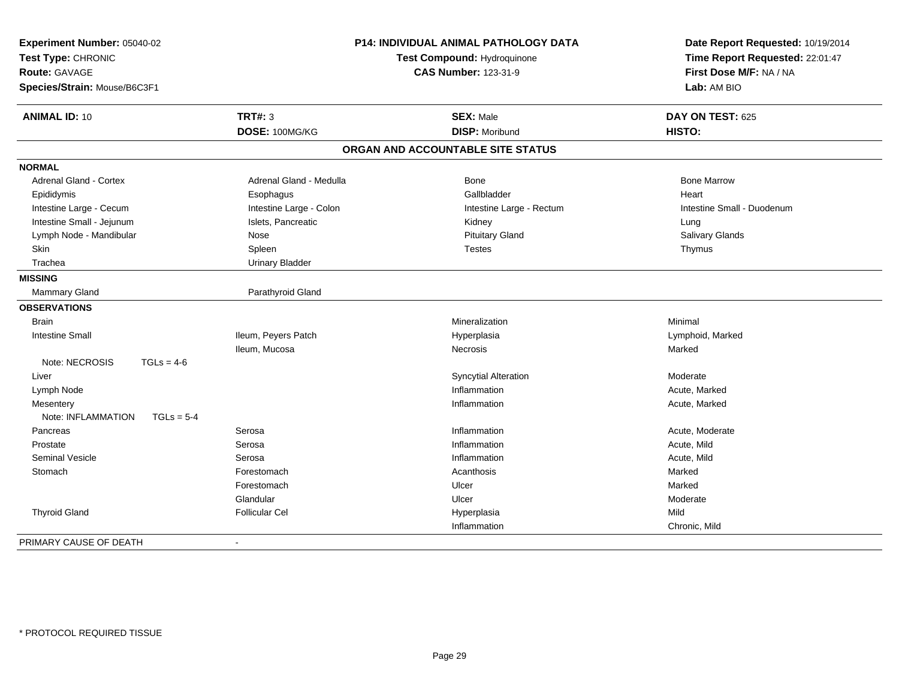| Experiment Number: 05040-02<br>Test Type: CHRONIC<br><b>Route: GAVAGE</b><br>Species/Strain: Mouse/B6C3F1 |                         | P14: INDIVIDUAL ANIMAL PATHOLOGY DATA<br>Test Compound: Hydroquinone<br><b>CAS Number: 123-31-9</b> | Date Report Requested: 10/19/2014<br>Time Report Requested: 22:01:47<br>First Dose M/F: NA / NA<br>Lab: AM BIO |  |
|-----------------------------------------------------------------------------------------------------------|-------------------------|-----------------------------------------------------------------------------------------------------|----------------------------------------------------------------------------------------------------------------|--|
| <b>ANIMAL ID: 10</b>                                                                                      | <b>TRT#: 3</b>          | <b>SEX: Male</b>                                                                                    | DAY ON TEST: 625                                                                                               |  |
|                                                                                                           | DOSE: 100MG/KG          | <b>DISP: Moribund</b>                                                                               | HISTO:                                                                                                         |  |
|                                                                                                           |                         | ORGAN AND ACCOUNTABLE SITE STATUS                                                                   |                                                                                                                |  |
| <b>NORMAL</b>                                                                                             |                         |                                                                                                     |                                                                                                                |  |
| <b>Adrenal Gland - Cortex</b>                                                                             | Adrenal Gland - Medulla | <b>Bone</b>                                                                                         | <b>Bone Marrow</b>                                                                                             |  |
| Epididymis                                                                                                | Esophagus               | Gallbladder                                                                                         | Heart                                                                                                          |  |
| Intestine Large - Cecum                                                                                   | Intestine Large - Colon | Intestine Large - Rectum                                                                            | Intestine Small - Duodenum                                                                                     |  |
| Intestine Small - Jejunum                                                                                 | Islets, Pancreatic      | Kidney                                                                                              | Lung                                                                                                           |  |
| Lymph Node - Mandibular                                                                                   | Nose                    | <b>Pituitary Gland</b>                                                                              | Salivary Glands                                                                                                |  |
| Skin                                                                                                      | Spleen                  | <b>Testes</b>                                                                                       | Thymus                                                                                                         |  |
| Trachea                                                                                                   | <b>Urinary Bladder</b>  |                                                                                                     |                                                                                                                |  |
| <b>MISSING</b>                                                                                            |                         |                                                                                                     |                                                                                                                |  |
| Mammary Gland                                                                                             | Parathyroid Gland       |                                                                                                     |                                                                                                                |  |
| <b>OBSERVATIONS</b>                                                                                       |                         |                                                                                                     |                                                                                                                |  |
| <b>Brain</b>                                                                                              |                         | Mineralization                                                                                      | Minimal                                                                                                        |  |
| <b>Intestine Small</b>                                                                                    | Ileum, Peyers Patch     | Hyperplasia                                                                                         | Lymphoid, Marked                                                                                               |  |
|                                                                                                           | Ileum, Mucosa           | <b>Necrosis</b>                                                                                     | Marked                                                                                                         |  |
| Note: NECROSIS<br>$TGLs = 4-6$                                                                            |                         |                                                                                                     |                                                                                                                |  |
| Liver                                                                                                     |                         | <b>Syncytial Alteration</b>                                                                         | Moderate                                                                                                       |  |
| Lymph Node                                                                                                |                         | Inflammation                                                                                        | Acute, Marked                                                                                                  |  |
| Mesentery                                                                                                 |                         | Inflammation                                                                                        | Acute, Marked                                                                                                  |  |
| Note: INFLAMMATION<br>$TGLs = 5-4$                                                                        |                         |                                                                                                     |                                                                                                                |  |
| Pancreas                                                                                                  | Serosa                  | Inflammation                                                                                        | Acute, Moderate                                                                                                |  |
| Prostate                                                                                                  | Serosa                  | Inflammation                                                                                        | Acute, Mild                                                                                                    |  |
| <b>Seminal Vesicle</b>                                                                                    | Serosa                  | Inflammation                                                                                        | Acute, Mild                                                                                                    |  |
| Stomach                                                                                                   | Forestomach             | Acanthosis                                                                                          | Marked                                                                                                         |  |
|                                                                                                           | Forestomach             | Ulcer                                                                                               | Marked                                                                                                         |  |
|                                                                                                           | Glandular               | Ulcer                                                                                               | Moderate                                                                                                       |  |
| <b>Thyroid Gland</b>                                                                                      | <b>Follicular Cel</b>   | Hyperplasia                                                                                         | Mild                                                                                                           |  |
|                                                                                                           |                         | Inflammation                                                                                        | Chronic, Mild                                                                                                  |  |
| PRIMARY CAUSE OF DEATH                                                                                    | $\blacksquare$          |                                                                                                     |                                                                                                                |  |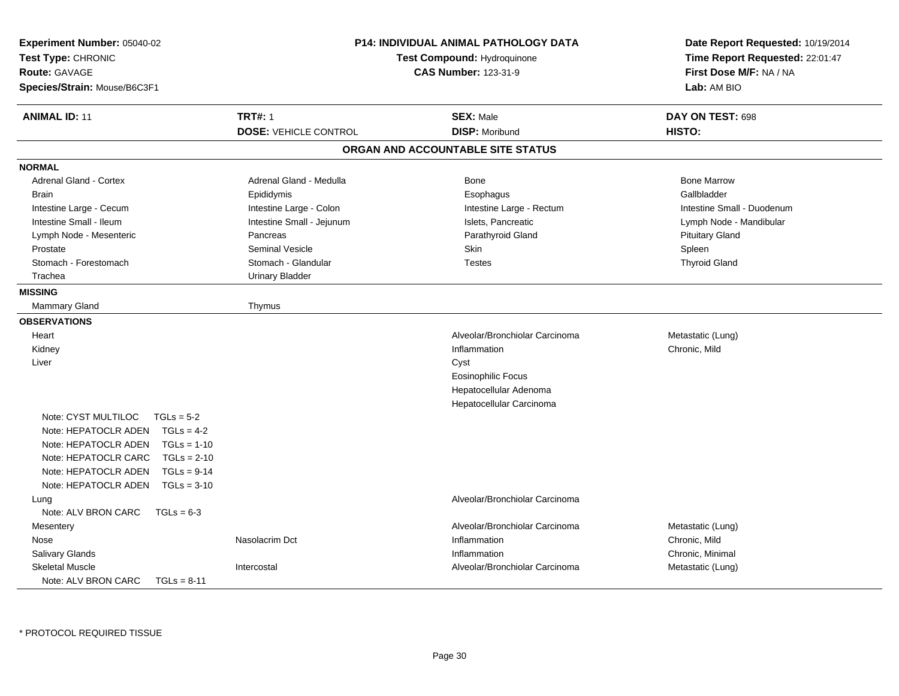| Experiment Number: 05040-02<br>Test Type: CHRONIC<br><b>Route: GAVAGE</b><br>Species/Strain: Mouse/B6C3F1 |                              | P14: INDIVIDUAL ANIMAL PATHOLOGY DATA<br>Test Compound: Hydroquinone<br><b>CAS Number: 123-31-9</b> | Date Report Requested: 10/19/2014<br>Time Report Requested: 22:01:47<br>First Dose M/F: NA / NA<br>Lab: AM BIO |
|-----------------------------------------------------------------------------------------------------------|------------------------------|-----------------------------------------------------------------------------------------------------|----------------------------------------------------------------------------------------------------------------|
| <b>ANIMAL ID: 11</b>                                                                                      | <b>TRT#: 1</b>               | <b>SEX: Male</b>                                                                                    | DAY ON TEST: 698                                                                                               |
|                                                                                                           | <b>DOSE: VEHICLE CONTROL</b> | <b>DISP: Moribund</b>                                                                               | HISTO:                                                                                                         |
|                                                                                                           |                              | ORGAN AND ACCOUNTABLE SITE STATUS                                                                   |                                                                                                                |
| <b>NORMAL</b>                                                                                             |                              |                                                                                                     |                                                                                                                |
| <b>Adrenal Gland - Cortex</b>                                                                             | Adrenal Gland - Medulla      | Bone                                                                                                | <b>Bone Marrow</b>                                                                                             |
| <b>Brain</b>                                                                                              | Epididymis                   | Esophagus                                                                                           | Gallbladder                                                                                                    |
| Intestine Large - Cecum                                                                                   | Intestine Large - Colon      | Intestine Large - Rectum                                                                            | Intestine Small - Duodenum                                                                                     |
| Intestine Small - Ileum                                                                                   | Intestine Small - Jejunum    | Islets, Pancreatic                                                                                  | Lymph Node - Mandibular                                                                                        |
| Lymph Node - Mesenteric                                                                                   | Pancreas                     | Parathyroid Gland                                                                                   | <b>Pituitary Gland</b>                                                                                         |
| Prostate                                                                                                  | <b>Seminal Vesicle</b>       | <b>Skin</b>                                                                                         | Spleen                                                                                                         |
| Stomach - Forestomach                                                                                     | Stomach - Glandular          | <b>Testes</b>                                                                                       | <b>Thyroid Gland</b>                                                                                           |
| Trachea                                                                                                   | <b>Urinary Bladder</b>       |                                                                                                     |                                                                                                                |
| <b>MISSING</b>                                                                                            |                              |                                                                                                     |                                                                                                                |
| <b>Mammary Gland</b>                                                                                      | Thymus                       |                                                                                                     |                                                                                                                |
| <b>OBSERVATIONS</b>                                                                                       |                              |                                                                                                     |                                                                                                                |
| Heart                                                                                                     |                              | Alveolar/Bronchiolar Carcinoma                                                                      | Metastatic (Lung)                                                                                              |
| Kidney                                                                                                    |                              | Inflammation                                                                                        | Chronic, Mild                                                                                                  |
| Liver                                                                                                     |                              | Cyst                                                                                                |                                                                                                                |
|                                                                                                           |                              | <b>Eosinophilic Focus</b>                                                                           |                                                                                                                |
|                                                                                                           |                              | Hepatocellular Adenoma                                                                              |                                                                                                                |
|                                                                                                           |                              | Hepatocellular Carcinoma                                                                            |                                                                                                                |
| Note: CYST MULTILOC<br>$TGLs = 5-2$                                                                       |                              |                                                                                                     |                                                                                                                |
| Note: HEPATOCLR ADEN<br>$TGLs = 4-2$                                                                      |                              |                                                                                                     |                                                                                                                |
| $TGLs = 1-10$<br>Note: HEPATOCLR ADEN                                                                     |                              |                                                                                                     |                                                                                                                |
| Note: HEPATOCLR CARC<br>$TGLs = 2-10$                                                                     |                              |                                                                                                     |                                                                                                                |
| Note: HEPATOCLR ADEN<br>$TGLs = 9-14$                                                                     |                              |                                                                                                     |                                                                                                                |
| Note: HEPATOCLR ADEN<br>$TGLs = 3-10$                                                                     |                              |                                                                                                     |                                                                                                                |
| Lung                                                                                                      |                              | Alveolar/Bronchiolar Carcinoma                                                                      |                                                                                                                |
| Note: ALV BRON CARC<br>$TGLs = 6-3$                                                                       |                              |                                                                                                     |                                                                                                                |
| Mesentery                                                                                                 |                              | Alveolar/Bronchiolar Carcinoma                                                                      | Metastatic (Lung)                                                                                              |
| Nose                                                                                                      | Nasolacrim Dct               | Inflammation                                                                                        | Chronic, Mild                                                                                                  |
| Salivary Glands                                                                                           |                              | Inflammation                                                                                        | Chronic, Minimal                                                                                               |
| <b>Skeletal Muscle</b>                                                                                    | Intercostal                  | Alveolar/Bronchiolar Carcinoma                                                                      | Metastatic (Lung)                                                                                              |
| Note: ALV BRON CARC<br>$TGLs = 8-11$                                                                      |                              |                                                                                                     |                                                                                                                |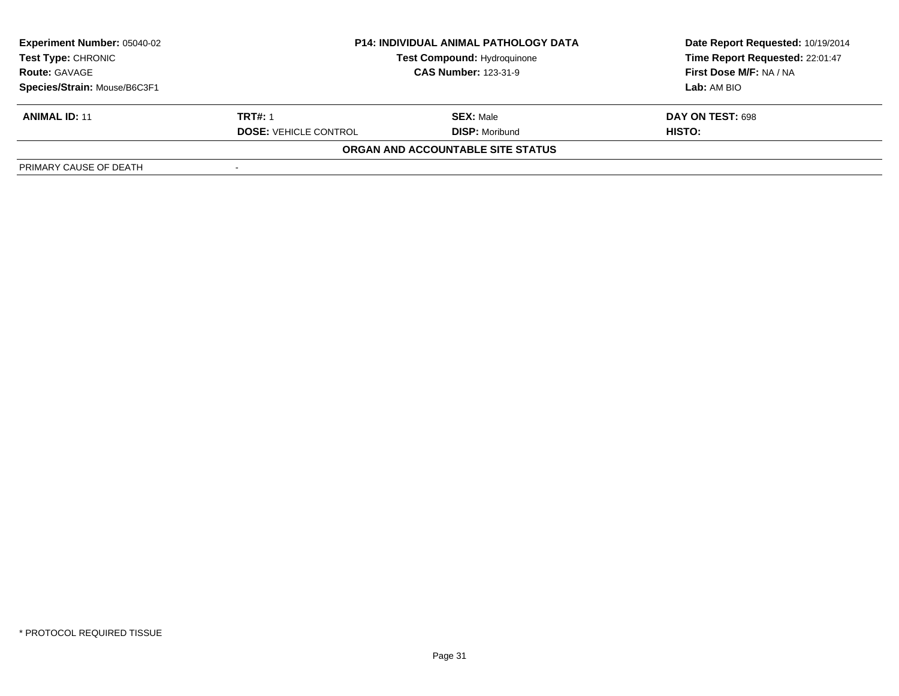| <b>Experiment Number: 05040-02</b> | <b>P14: INDIVIDUAL ANIMAL PATHOLOGY DATA</b> |                                    | Date Report Requested: 10/19/2014 |  |
|------------------------------------|----------------------------------------------|------------------------------------|-----------------------------------|--|
| <b>Test Type: CHRONIC</b>          |                                              | <b>Test Compound: Hydroquinone</b> | Time Report Requested: 22:01:47   |  |
| <b>Route: GAVAGE</b>               |                                              | <b>CAS Number: 123-31-9</b>        | First Dose M/F: NA / NA           |  |
| Species/Strain: Mouse/B6C3F1       |                                              |                                    | Lab: AM BIO                       |  |
| <b>ANIMAL ID: 11</b>               | <b>TRT#: 1</b>                               | <b>SEX:</b> Male                   | <b>DAY ON TEST: 698</b>           |  |
|                                    | <b>DOSE: VEHICLE CONTROL</b>                 | <b>DISP:</b> Moribund              | HISTO:                            |  |
|                                    |                                              | ORGAN AND ACCOUNTABLE SITE STATUS  |                                   |  |
| PRIMARY CAUSE OF DEATH             |                                              |                                    |                                   |  |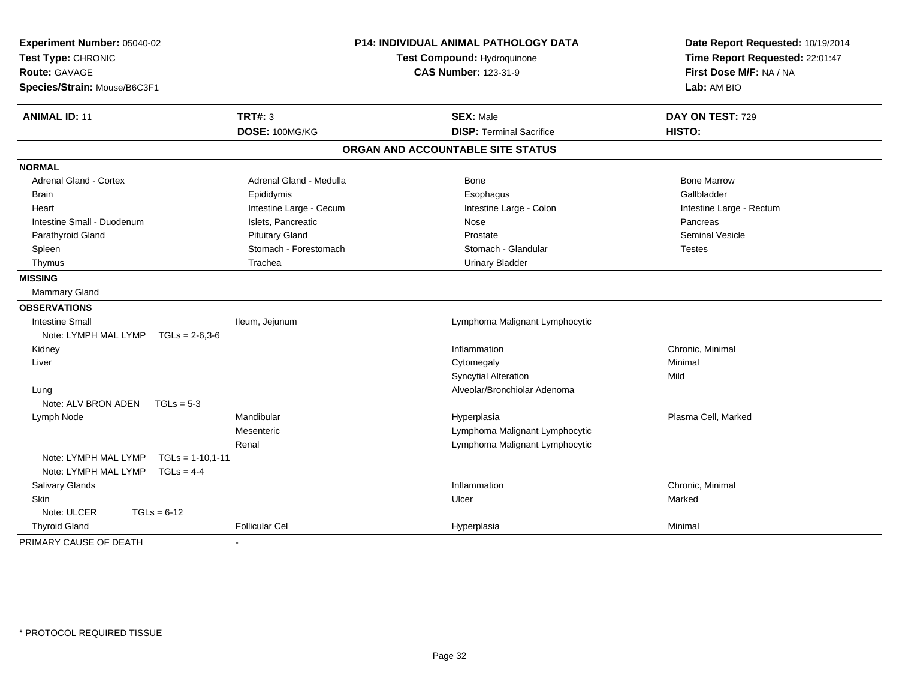| Experiment Number: 05040-02<br>Test Type: CHRONIC<br>Route: GAVAGE<br>Species/Strain: Mouse/B6C3F1 |                          | P14: INDIVIDUAL ANIMAL PATHOLOGY DATA<br>Test Compound: Hydroquinone<br><b>CAS Number: 123-31-9</b> | Date Report Requested: 10/19/2014<br>Time Report Requested: 22:01:47<br>First Dose M/F: NA / NA<br>Lab: AM BIO |
|----------------------------------------------------------------------------------------------------|--------------------------|-----------------------------------------------------------------------------------------------------|----------------------------------------------------------------------------------------------------------------|
| <b>ANIMAL ID: 11</b>                                                                               | <b>TRT#: 3</b>           | <b>SEX: Male</b>                                                                                    | DAY ON TEST: 729                                                                                               |
|                                                                                                    | DOSE: 100MG/KG           | <b>DISP: Terminal Sacrifice</b>                                                                     | HISTO:                                                                                                         |
|                                                                                                    |                          | ORGAN AND ACCOUNTABLE SITE STATUS                                                                   |                                                                                                                |
| <b>NORMAL</b>                                                                                      |                          |                                                                                                     |                                                                                                                |
| <b>Adrenal Gland - Cortex</b>                                                                      | Adrenal Gland - Medulla  | <b>Bone</b>                                                                                         | <b>Bone Marrow</b>                                                                                             |
| <b>Brain</b>                                                                                       | Epididymis               | Esophagus                                                                                           | Gallbladder                                                                                                    |
| Heart                                                                                              | Intestine Large - Cecum  | Intestine Large - Colon                                                                             | Intestine Large - Rectum                                                                                       |
| Intestine Small - Duodenum                                                                         | Islets, Pancreatic       | Nose                                                                                                | Pancreas                                                                                                       |
| Parathyroid Gland                                                                                  | <b>Pituitary Gland</b>   | Prostate                                                                                            | <b>Seminal Vesicle</b>                                                                                         |
| Spleen                                                                                             | Stomach - Forestomach    | Stomach - Glandular                                                                                 | <b>Testes</b>                                                                                                  |
| Thymus                                                                                             | Trachea                  | <b>Urinary Bladder</b>                                                                              |                                                                                                                |
| <b>MISSING</b>                                                                                     |                          |                                                                                                     |                                                                                                                |
| <b>Mammary Gland</b>                                                                               |                          |                                                                                                     |                                                                                                                |
| <b>OBSERVATIONS</b>                                                                                |                          |                                                                                                     |                                                                                                                |
| <b>Intestine Small</b>                                                                             | Ileum, Jejunum           | Lymphoma Malignant Lymphocytic                                                                      |                                                                                                                |
| Note: LYMPH MAL LYMP TGLs = 2-6,3-6                                                                |                          |                                                                                                     |                                                                                                                |
| Kidney                                                                                             |                          | Inflammation                                                                                        | Chronic, Minimal                                                                                               |
| Liver                                                                                              |                          | Cytomegaly                                                                                          | Minimal                                                                                                        |
|                                                                                                    |                          | <b>Syncytial Alteration</b>                                                                         | Mild                                                                                                           |
| Lung                                                                                               |                          | Alveolar/Bronchiolar Adenoma                                                                        |                                                                                                                |
| Note: ALV BRON ADEN                                                                                | $TGLs = 5-3$             |                                                                                                     |                                                                                                                |
| Lymph Node                                                                                         | Mandibular               | Hyperplasia                                                                                         | Plasma Cell, Marked                                                                                            |
|                                                                                                    | Mesenteric               | Lymphoma Malignant Lymphocytic                                                                      |                                                                                                                |
|                                                                                                    | Renal                    | Lymphoma Malignant Lymphocytic                                                                      |                                                                                                                |
| Note: LYMPH MAL LYMP                                                                               | $TGLs = 1-10.1-11$       |                                                                                                     |                                                                                                                |
| Note: LYMPH MAL LYMP                                                                               | $TGLS = 4-4$             |                                                                                                     |                                                                                                                |
| Salivary Glands                                                                                    |                          | Inflammation                                                                                        | Chronic, Minimal                                                                                               |
| <b>Skin</b>                                                                                        |                          | Ulcer                                                                                               | Marked                                                                                                         |
| Note: ULCER<br>$TGLs = 6-12$                                                                       |                          |                                                                                                     |                                                                                                                |
| <b>Thyroid Gland</b>                                                                               | Follicular Cel           | Hyperplasia                                                                                         | Minimal                                                                                                        |
| PRIMARY CAUSE OF DEATH                                                                             | $\overline{\phantom{a}}$ |                                                                                                     |                                                                                                                |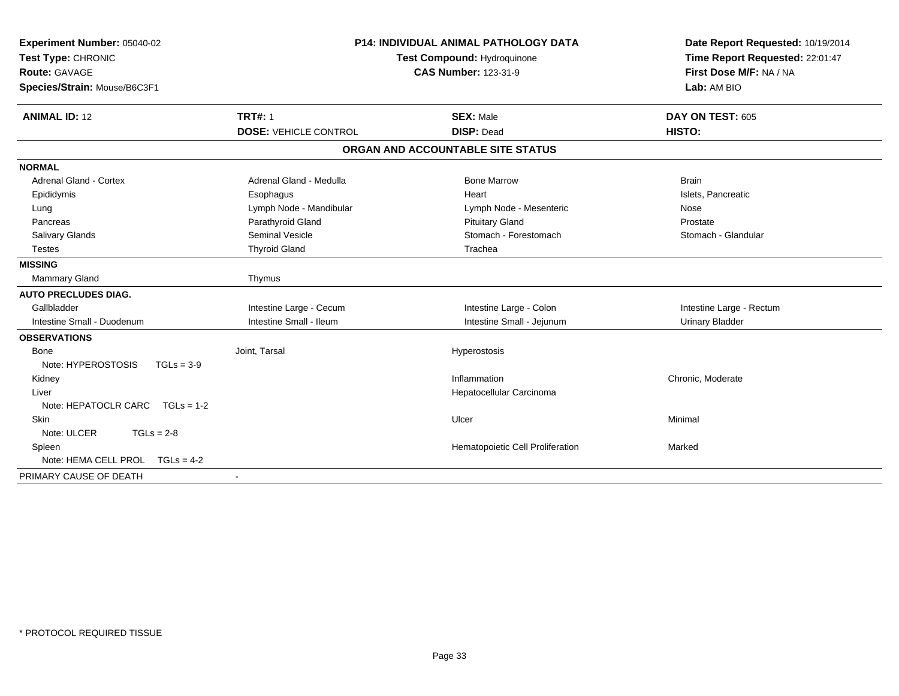| Experiment Number: 05040-02<br>Test Type: CHRONIC<br><b>Route: GAVAGE</b><br>Species/Strain: Mouse/B6C3F1 | <b>P14: INDIVIDUAL ANIMAL PATHOLOGY DATA</b><br>Test Compound: Hydroquinone<br><b>CAS Number: 123-31-9</b> |                                   | Date Report Requested: 10/19/2014<br>Time Report Requested: 22:01:47<br>First Dose M/F: NA / NA<br>Lab: AM BIO |
|-----------------------------------------------------------------------------------------------------------|------------------------------------------------------------------------------------------------------------|-----------------------------------|----------------------------------------------------------------------------------------------------------------|
| <b>ANIMAL ID: 12</b>                                                                                      | <b>TRT#: 1</b>                                                                                             | <b>SEX: Male</b>                  | DAY ON TEST: 605                                                                                               |
|                                                                                                           | <b>DOSE: VEHICLE CONTROL</b>                                                                               | <b>DISP: Dead</b>                 | HISTO:                                                                                                         |
|                                                                                                           |                                                                                                            | ORGAN AND ACCOUNTABLE SITE STATUS |                                                                                                                |
| <b>NORMAL</b>                                                                                             |                                                                                                            |                                   |                                                                                                                |
| <b>Adrenal Gland - Cortex</b>                                                                             | Adrenal Gland - Medulla                                                                                    | <b>Bone Marrow</b>                | <b>Brain</b>                                                                                                   |
| Epididymis                                                                                                | Esophagus                                                                                                  | Heart                             | Islets, Pancreatic                                                                                             |
| Lung                                                                                                      | Lymph Node - Mandibular                                                                                    | Lymph Node - Mesenteric           | Nose                                                                                                           |
| Pancreas                                                                                                  | Parathyroid Gland                                                                                          | <b>Pituitary Gland</b>            | Prostate                                                                                                       |
| Salivary Glands                                                                                           | <b>Seminal Vesicle</b>                                                                                     | Stomach - Forestomach             | Stomach - Glandular                                                                                            |
| <b>Testes</b>                                                                                             | <b>Thyroid Gland</b>                                                                                       | Trachea                           |                                                                                                                |
| <b>MISSING</b>                                                                                            |                                                                                                            |                                   |                                                                                                                |
| <b>Mammary Gland</b>                                                                                      | Thymus                                                                                                     |                                   |                                                                                                                |
| <b>AUTO PRECLUDES DIAG.</b>                                                                               |                                                                                                            |                                   |                                                                                                                |
| Gallbladder                                                                                               | Intestine Large - Cecum                                                                                    | Intestine Large - Colon           | Intestine Large - Rectum                                                                                       |
| Intestine Small - Duodenum                                                                                | Intestine Small - Ileum                                                                                    | Intestine Small - Jejunum         | <b>Urinary Bladder</b>                                                                                         |
| <b>OBSERVATIONS</b>                                                                                       |                                                                                                            |                                   |                                                                                                                |
| <b>Bone</b>                                                                                               | Joint, Tarsal                                                                                              | Hyperostosis                      |                                                                                                                |
| Note: HYPEROSTOSIS<br>$TGLs = 3-9$                                                                        |                                                                                                            |                                   |                                                                                                                |
| Kidney                                                                                                    |                                                                                                            | Inflammation                      | Chronic, Moderate                                                                                              |
| Liver                                                                                                     |                                                                                                            | Hepatocellular Carcinoma          |                                                                                                                |
| Note: HEPATOCLR CARC TGLs = 1-2                                                                           |                                                                                                            |                                   |                                                                                                                |
| <b>Skin</b>                                                                                               |                                                                                                            | Ulcer                             | Minimal                                                                                                        |
| Note: ULCER<br>$TGLs = 2-8$                                                                               |                                                                                                            |                                   |                                                                                                                |
| Spleen                                                                                                    |                                                                                                            | Hematopoietic Cell Proliferation  | Marked                                                                                                         |
| Note: HEMA CELL PROL TGLs = 4-2                                                                           |                                                                                                            |                                   |                                                                                                                |
| PRIMARY CAUSE OF DEATH                                                                                    |                                                                                                            |                                   |                                                                                                                |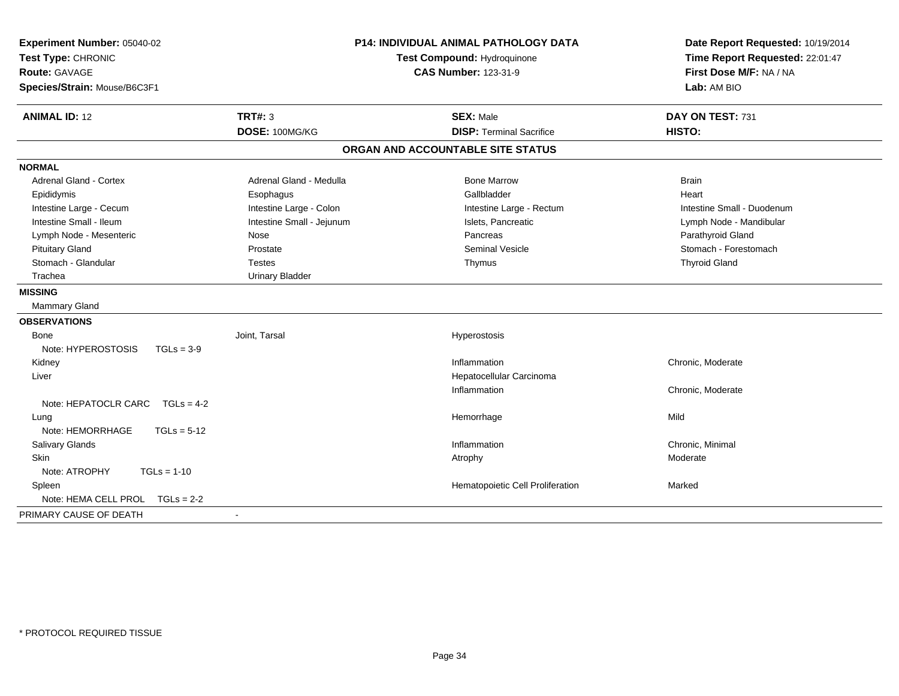| Experiment Number: 05040-02<br>Test Type: CHRONIC<br>Route: GAVAGE<br>Species/Strain: Mouse/B6C3F1 | <b>P14: INDIVIDUAL ANIMAL PATHOLOGY DATA</b><br>Test Compound: Hydroquinone<br><b>CAS Number: 123-31-9</b> |                                                     | Date Report Requested: 10/19/2014<br>Time Report Requested: 22:01:47<br>First Dose M/F: NA / NA<br>Lab: AM BIO |  |
|----------------------------------------------------------------------------------------------------|------------------------------------------------------------------------------------------------------------|-----------------------------------------------------|----------------------------------------------------------------------------------------------------------------|--|
| <b>ANIMAL ID: 12</b>                                                                               | <b>TRT#: 3</b><br>DOSE: 100MG/KG                                                                           | <b>SEX: Male</b><br><b>DISP: Terminal Sacrifice</b> | DAY ON TEST: 731<br>HISTO:                                                                                     |  |
|                                                                                                    |                                                                                                            |                                                     |                                                                                                                |  |
|                                                                                                    |                                                                                                            | ORGAN AND ACCOUNTABLE SITE STATUS                   |                                                                                                                |  |
| <b>NORMAL</b>                                                                                      |                                                                                                            |                                                     |                                                                                                                |  |
| <b>Adrenal Gland - Cortex</b>                                                                      | Adrenal Gland - Medulla                                                                                    | <b>Bone Marrow</b>                                  | <b>Brain</b>                                                                                                   |  |
| Epididymis                                                                                         | Esophagus                                                                                                  | Gallbladder                                         | Heart                                                                                                          |  |
| Intestine Large - Cecum                                                                            | Intestine Large - Colon                                                                                    | Intestine Large - Rectum                            | Intestine Small - Duodenum                                                                                     |  |
| Intestine Small - Ileum                                                                            | Intestine Small - Jejunum                                                                                  | Islets, Pancreatic                                  | Lymph Node - Mandibular                                                                                        |  |
| Lymph Node - Mesenteric                                                                            | Nose                                                                                                       | Pancreas                                            | Parathyroid Gland                                                                                              |  |
| <b>Pituitary Gland</b>                                                                             | Prostate                                                                                                   | <b>Seminal Vesicle</b>                              | Stomach - Forestomach                                                                                          |  |
| Stomach - Glandular                                                                                | <b>Testes</b>                                                                                              | Thymus                                              | <b>Thyroid Gland</b>                                                                                           |  |
| Trachea                                                                                            | <b>Urinary Bladder</b>                                                                                     |                                                     |                                                                                                                |  |
| <b>MISSING</b>                                                                                     |                                                                                                            |                                                     |                                                                                                                |  |
| Mammary Gland                                                                                      |                                                                                                            |                                                     |                                                                                                                |  |
| <b>OBSERVATIONS</b>                                                                                |                                                                                                            |                                                     |                                                                                                                |  |
| Bone                                                                                               | Joint. Tarsal                                                                                              | Hyperostosis                                        |                                                                                                                |  |
| Note: HYPEROSTOSIS<br>$TGLs = 3-9$                                                                 |                                                                                                            |                                                     |                                                                                                                |  |
| Kidney                                                                                             |                                                                                                            | Inflammation                                        | Chronic, Moderate                                                                                              |  |
| Liver                                                                                              |                                                                                                            | Hepatocellular Carcinoma                            |                                                                                                                |  |
|                                                                                                    |                                                                                                            | Inflammation                                        | Chronic, Moderate                                                                                              |  |
| Note: HEPATOCLR CARC<br>$TGLs = 4-2$                                                               |                                                                                                            |                                                     |                                                                                                                |  |
| Lung                                                                                               |                                                                                                            | Hemorrhage                                          | Mild                                                                                                           |  |
| Note: HEMORRHAGE<br>$TGLs = 5-12$                                                                  |                                                                                                            |                                                     |                                                                                                                |  |
| Salivary Glands                                                                                    |                                                                                                            | Inflammation                                        | Chronic, Minimal                                                                                               |  |
| Skin                                                                                               |                                                                                                            | Atrophy                                             | Moderate                                                                                                       |  |
| Note: ATROPHY<br>$TGLs = 1-10$                                                                     |                                                                                                            |                                                     |                                                                                                                |  |
| Spleen                                                                                             |                                                                                                            | Hematopoietic Cell Proliferation                    | Marked                                                                                                         |  |
| Note: HEMA CELL PROL TGLs = 2-2                                                                    |                                                                                                            |                                                     |                                                                                                                |  |
| PRIMARY CAUSE OF DEATH                                                                             | $\overline{a}$                                                                                             |                                                     |                                                                                                                |  |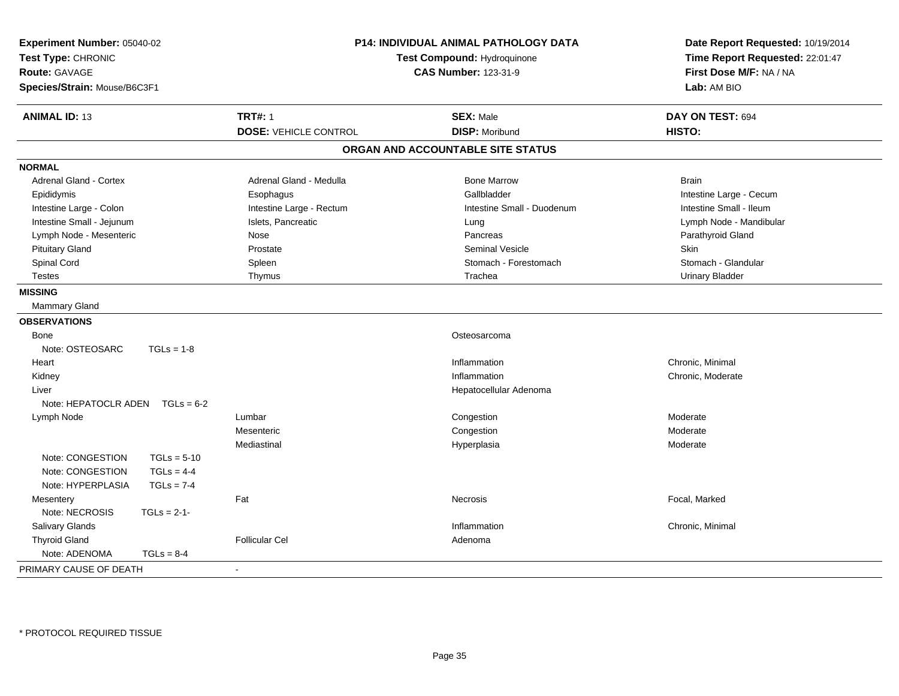| Experiment Number: 05040-02<br>Test Type: CHRONIC<br><b>Route: GAVAGE</b><br>Species/Strain: Mouse/B6C3F1 |               | <b>P14: INDIVIDUAL ANIMAL PATHOLOGY DATA</b><br>Test Compound: Hydroquinone<br><b>CAS Number: 123-31-9</b> |                                   | Date Report Requested: 10/19/2014<br>Time Report Requested: 22:01:47<br>First Dose M/F: NA / NA<br>Lab: AM BIO |  |
|-----------------------------------------------------------------------------------------------------------|---------------|------------------------------------------------------------------------------------------------------------|-----------------------------------|----------------------------------------------------------------------------------------------------------------|--|
| <b>ANIMAL ID: 13</b>                                                                                      |               | <b>TRT#: 1</b>                                                                                             | <b>SEX: Male</b>                  | DAY ON TEST: 694                                                                                               |  |
|                                                                                                           |               | <b>DOSE: VEHICLE CONTROL</b>                                                                               | <b>DISP: Moribund</b>             | HISTO:                                                                                                         |  |
|                                                                                                           |               |                                                                                                            | ORGAN AND ACCOUNTABLE SITE STATUS |                                                                                                                |  |
| <b>NORMAL</b>                                                                                             |               |                                                                                                            |                                   |                                                                                                                |  |
| Adrenal Gland - Cortex                                                                                    |               | Adrenal Gland - Medulla                                                                                    | <b>Bone Marrow</b>                | <b>Brain</b>                                                                                                   |  |
| Epididymis                                                                                                |               | Esophagus                                                                                                  | Gallbladder                       | Intestine Large - Cecum                                                                                        |  |
| Intestine Large - Colon                                                                                   |               | Intestine Large - Rectum                                                                                   | Intestine Small - Duodenum        | Intestine Small - Ileum                                                                                        |  |
| Intestine Small - Jejunum                                                                                 |               | Islets, Pancreatic                                                                                         | Lung                              | Lymph Node - Mandibular                                                                                        |  |
| Lymph Node - Mesenteric                                                                                   |               | Nose                                                                                                       | Pancreas                          | Parathyroid Gland                                                                                              |  |
| <b>Pituitary Gland</b>                                                                                    |               | Prostate                                                                                                   | <b>Seminal Vesicle</b>            | <b>Skin</b>                                                                                                    |  |
| Spinal Cord                                                                                               |               | Spleen                                                                                                     | Stomach - Forestomach             | Stomach - Glandular                                                                                            |  |
| <b>Testes</b>                                                                                             |               | Thymus                                                                                                     | Trachea                           | <b>Urinary Bladder</b>                                                                                         |  |
| <b>MISSING</b>                                                                                            |               |                                                                                                            |                                   |                                                                                                                |  |
| Mammary Gland                                                                                             |               |                                                                                                            |                                   |                                                                                                                |  |
| <b>OBSERVATIONS</b>                                                                                       |               |                                                                                                            |                                   |                                                                                                                |  |
| Bone                                                                                                      |               |                                                                                                            | Osteosarcoma                      |                                                                                                                |  |
| Note: OSTEOSARC                                                                                           | $TGLs = 1-8$  |                                                                                                            |                                   |                                                                                                                |  |
| Heart                                                                                                     |               |                                                                                                            | Inflammation                      | Chronic, Minimal                                                                                               |  |
| Kidney                                                                                                    |               |                                                                                                            | Inflammation                      | Chronic, Moderate                                                                                              |  |
| Liver                                                                                                     |               |                                                                                                            | Hepatocellular Adenoma            |                                                                                                                |  |
| Note: HEPATOCLR ADEN                                                                                      | $TGLs = 6-2$  |                                                                                                            |                                   |                                                                                                                |  |
| Lymph Node                                                                                                |               | Lumbar                                                                                                     | Congestion                        | Moderate                                                                                                       |  |
|                                                                                                           |               | Mesenteric                                                                                                 | Congestion                        | Moderate                                                                                                       |  |
|                                                                                                           |               | Mediastinal                                                                                                | Hyperplasia                       | Moderate                                                                                                       |  |
| Note: CONGESTION                                                                                          | $TGLs = 5-10$ |                                                                                                            |                                   |                                                                                                                |  |
| Note: CONGESTION                                                                                          | $TGLs = 4-4$  |                                                                                                            |                                   |                                                                                                                |  |
| Note: HYPERPLASIA                                                                                         | $TGLs = 7-4$  |                                                                                                            |                                   |                                                                                                                |  |
| Mesentery                                                                                                 |               | Fat                                                                                                        | Necrosis                          | Focal, Marked                                                                                                  |  |
| Note: NECROSIS                                                                                            | $TGLS = 2-1-$ |                                                                                                            |                                   |                                                                                                                |  |
| <b>Salivary Glands</b>                                                                                    |               |                                                                                                            | Inflammation                      | Chronic, Minimal                                                                                               |  |
| <b>Thyroid Gland</b>                                                                                      |               | <b>Follicular Cel</b>                                                                                      | Adenoma                           |                                                                                                                |  |
| Note: ADENOMA                                                                                             | $TGLs = 8-4$  |                                                                                                            |                                   |                                                                                                                |  |
| PRIMARY CAUSE OF DEATH                                                                                    |               | $\blacksquare$                                                                                             |                                   |                                                                                                                |  |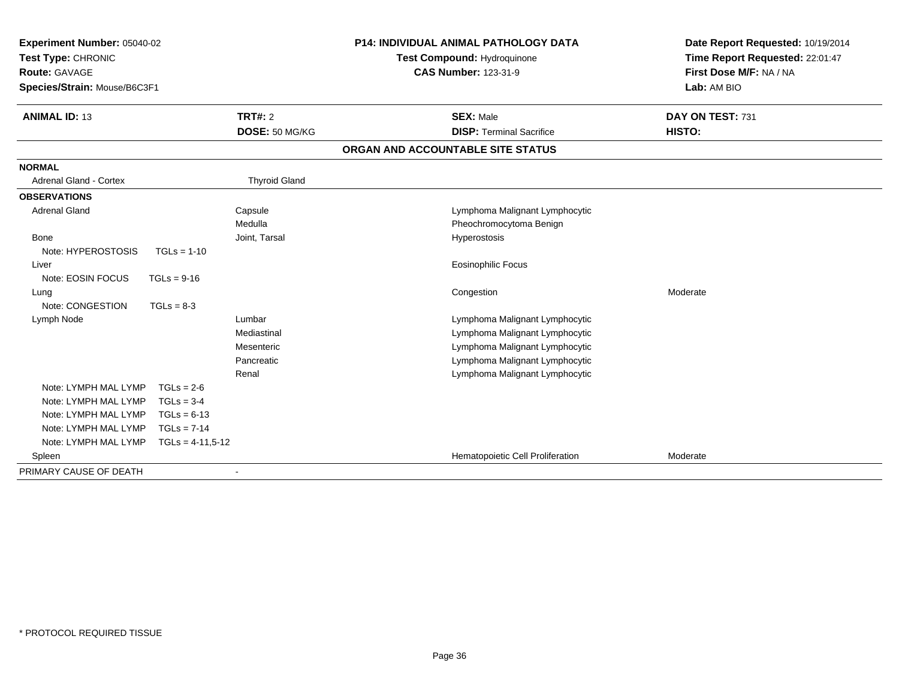| Experiment Number: 05040-02<br>Test Type: CHRONIC<br><b>Route: GAVAGE</b><br>Species/Strain: Mouse/B6C3F1 |                    | <b>P14: INDIVIDUAL ANIMAL PATHOLOGY DATA</b><br>Test Compound: Hydroquinone<br><b>CAS Number: 123-31-9</b> |  | Date Report Requested: 10/19/2014<br>Time Report Requested: 22:01:47<br>First Dose M/F: NA / NA<br>Lab: AM BIO |                            |
|-----------------------------------------------------------------------------------------------------------|--------------------|------------------------------------------------------------------------------------------------------------|--|----------------------------------------------------------------------------------------------------------------|----------------------------|
| <b>ANIMAL ID: 13</b>                                                                                      |                    | TRT#: 2<br>DOSE: 50 MG/KG                                                                                  |  | <b>SEX: Male</b><br><b>DISP: Terminal Sacrifice</b>                                                            | DAY ON TEST: 731<br>HISTO: |
|                                                                                                           |                    |                                                                                                            |  | ORGAN AND ACCOUNTABLE SITE STATUS                                                                              |                            |
| <b>NORMAL</b>                                                                                             |                    |                                                                                                            |  |                                                                                                                |                            |
| <b>Adrenal Gland - Cortex</b>                                                                             |                    | <b>Thyroid Gland</b>                                                                                       |  |                                                                                                                |                            |
| <b>OBSERVATIONS</b>                                                                                       |                    |                                                                                                            |  |                                                                                                                |                            |
| <b>Adrenal Gland</b>                                                                                      |                    | Capsule                                                                                                    |  | Lymphoma Malignant Lymphocytic                                                                                 |                            |
|                                                                                                           |                    | Medulla                                                                                                    |  | Pheochromocytoma Benign                                                                                        |                            |
| Bone                                                                                                      |                    | Joint, Tarsal                                                                                              |  | Hyperostosis                                                                                                   |                            |
| Note: HYPEROSTOSIS                                                                                        | $TGLs = 1-10$      |                                                                                                            |  |                                                                                                                |                            |
| Liver                                                                                                     |                    |                                                                                                            |  | Eosinophilic Focus                                                                                             |                            |
| Note: EOSIN FOCUS                                                                                         | $TGLs = 9-16$      |                                                                                                            |  |                                                                                                                |                            |
| Lung                                                                                                      |                    |                                                                                                            |  | Congestion                                                                                                     | Moderate                   |
| Note: CONGESTION                                                                                          | $TGLs = 8-3$       |                                                                                                            |  |                                                                                                                |                            |
| Lymph Node                                                                                                |                    | Lumbar                                                                                                     |  | Lymphoma Malignant Lymphocytic                                                                                 |                            |
|                                                                                                           |                    | Mediastinal                                                                                                |  | Lymphoma Malignant Lymphocytic                                                                                 |                            |
|                                                                                                           |                    | Mesenteric                                                                                                 |  | Lymphoma Malignant Lymphocytic                                                                                 |                            |
|                                                                                                           |                    | Pancreatic                                                                                                 |  | Lymphoma Malignant Lymphocytic                                                                                 |                            |
|                                                                                                           |                    | Renal                                                                                                      |  | Lymphoma Malignant Lymphocytic                                                                                 |                            |
| Note: LYMPH MAL LYMP                                                                                      | $TGLs = 2-6$       |                                                                                                            |  |                                                                                                                |                            |
| Note: LYMPH MAL LYMP                                                                                      | $TGLs = 3-4$       |                                                                                                            |  |                                                                                                                |                            |
| Note: LYMPH MAL LYMP                                                                                      | $TGLs = 6-13$      |                                                                                                            |  |                                                                                                                |                            |
| Note: LYMPH MAL LYMP                                                                                      | $TGLs = 7-14$      |                                                                                                            |  |                                                                                                                |                            |
| Note: LYMPH MAL LYMP                                                                                      | $TGLs = 4-11,5-12$ |                                                                                                            |  |                                                                                                                |                            |
| Spleen                                                                                                    |                    |                                                                                                            |  | Hematopoietic Cell Proliferation                                                                               | Moderate                   |
| PRIMARY CAUSE OF DEATH                                                                                    |                    |                                                                                                            |  |                                                                                                                |                            |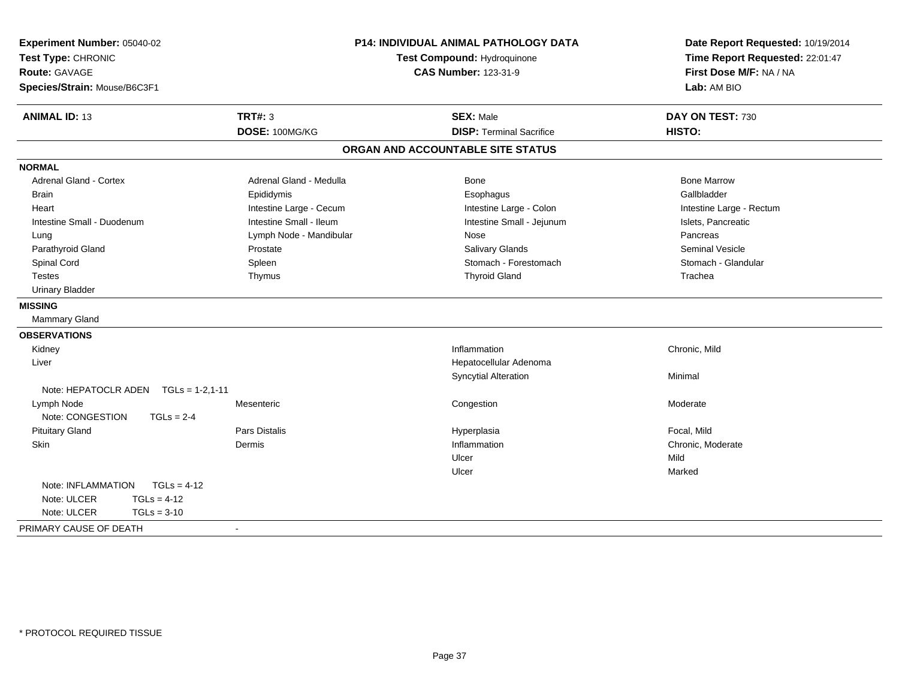| Experiment Number: 05040-02<br>Test Type: CHRONIC<br><b>Route: GAVAGE</b><br>Species/Strain: Mouse/B6C3F1 |                         | P14: INDIVIDUAL ANIMAL PATHOLOGY DATA<br>Test Compound: Hydroquinone<br><b>CAS Number: 123-31-9</b> | Date Report Requested: 10/19/2014<br>Time Report Requested: 22:01:47<br>First Dose M/F: NA / NA<br>Lab: AM BIO |  |
|-----------------------------------------------------------------------------------------------------------|-------------------------|-----------------------------------------------------------------------------------------------------|----------------------------------------------------------------------------------------------------------------|--|
| <b>ANIMAL ID: 13</b>                                                                                      | <b>TRT#: 3</b>          | <b>SEX: Male</b>                                                                                    | DAY ON TEST: 730                                                                                               |  |
|                                                                                                           | DOSE: 100MG/KG          | <b>DISP: Terminal Sacrifice</b>                                                                     | HISTO:                                                                                                         |  |
|                                                                                                           |                         | ORGAN AND ACCOUNTABLE SITE STATUS                                                                   |                                                                                                                |  |
| <b>NORMAL</b>                                                                                             |                         |                                                                                                     |                                                                                                                |  |
| <b>Adrenal Gland - Cortex</b>                                                                             | Adrenal Gland - Medulla | Bone                                                                                                | <b>Bone Marrow</b>                                                                                             |  |
| <b>Brain</b>                                                                                              | Epididymis              | Esophagus                                                                                           | Gallbladder                                                                                                    |  |
| Heart                                                                                                     | Intestine Large - Cecum | Intestine Large - Colon                                                                             | Intestine Large - Rectum                                                                                       |  |
| Intestine Small - Duodenum                                                                                | Intestine Small - Ileum | Intestine Small - Jejunum                                                                           | Islets, Pancreatic                                                                                             |  |
| Lung                                                                                                      | Lymph Node - Mandibular | Nose                                                                                                | Pancreas                                                                                                       |  |
| Parathyroid Gland                                                                                         | Prostate                | <b>Salivary Glands</b>                                                                              | <b>Seminal Vesicle</b>                                                                                         |  |
| Spinal Cord                                                                                               | Spleen                  | Stomach - Forestomach                                                                               | Stomach - Glandular                                                                                            |  |
| <b>Testes</b>                                                                                             | Thymus                  | <b>Thyroid Gland</b>                                                                                | Trachea                                                                                                        |  |
| <b>Urinary Bladder</b>                                                                                    |                         |                                                                                                     |                                                                                                                |  |
| <b>MISSING</b>                                                                                            |                         |                                                                                                     |                                                                                                                |  |
| Mammary Gland                                                                                             |                         |                                                                                                     |                                                                                                                |  |
| <b>OBSERVATIONS</b>                                                                                       |                         |                                                                                                     |                                                                                                                |  |
| Kidney                                                                                                    |                         | Inflammation                                                                                        | Chronic, Mild                                                                                                  |  |
| Liver                                                                                                     |                         | Hepatocellular Adenoma                                                                              |                                                                                                                |  |
|                                                                                                           |                         | <b>Syncytial Alteration</b>                                                                         | Minimal                                                                                                        |  |
| Note: HEPATOCLR ADEN TGLs = 1-2,1-11                                                                      |                         |                                                                                                     |                                                                                                                |  |
| Lymph Node                                                                                                | Mesenteric              | Congestion                                                                                          | Moderate                                                                                                       |  |
| Note: CONGESTION<br>$TGLs = 2-4$                                                                          |                         |                                                                                                     |                                                                                                                |  |
| <b>Pituitary Gland</b>                                                                                    | Pars Distalis           | Hyperplasia                                                                                         | Focal, Mild                                                                                                    |  |
| Skin                                                                                                      | Dermis                  | Inflammation                                                                                        | Chronic, Moderate                                                                                              |  |
|                                                                                                           |                         | Ulcer                                                                                               | Mild                                                                                                           |  |
|                                                                                                           |                         | Ulcer                                                                                               | Marked                                                                                                         |  |
| $TGLs = 4-12$<br>Note: INFLAMMATION                                                                       |                         |                                                                                                     |                                                                                                                |  |
| Note: ULCER<br>$TGLs = 4-12$                                                                              |                         |                                                                                                     |                                                                                                                |  |
| Note: ULCER<br>$TGLs = 3-10$                                                                              |                         |                                                                                                     |                                                                                                                |  |
| PRIMARY CAUSE OF DEATH                                                                                    |                         |                                                                                                     |                                                                                                                |  |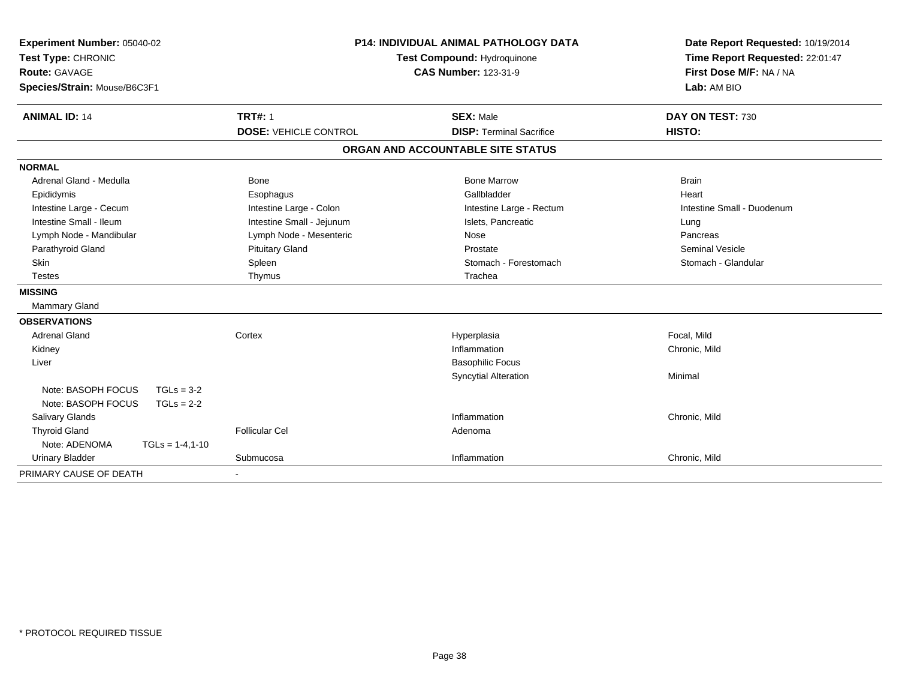| Experiment Number: 05040-02<br>Test Type: CHRONIC | <b>P14: INDIVIDUAL ANIMAL PATHOLOGY DATA</b><br>Test Compound: Hydroquinone |                                   | Date Report Requested: 10/19/2014<br>Time Report Requested: 22:01:47 |
|---------------------------------------------------|-----------------------------------------------------------------------------|-----------------------------------|----------------------------------------------------------------------|
| <b>Route: GAVAGE</b>                              |                                                                             | <b>CAS Number: 123-31-9</b>       | First Dose M/F: NA / NA                                              |
| Species/Strain: Mouse/B6C3F1                      |                                                                             |                                   | Lab: AM BIO                                                          |
| <b>ANIMAL ID: 14</b>                              | <b>TRT#: 1</b>                                                              | <b>SEX: Male</b>                  | DAY ON TEST: 730                                                     |
|                                                   | <b>DOSE: VEHICLE CONTROL</b>                                                | <b>DISP: Terminal Sacrifice</b>   | <b>HISTO:</b>                                                        |
|                                                   |                                                                             | ORGAN AND ACCOUNTABLE SITE STATUS |                                                                      |
| <b>NORMAL</b>                                     |                                                                             |                                   |                                                                      |
| Adrenal Gland - Medulla                           | <b>Bone</b>                                                                 | <b>Bone Marrow</b>                | <b>Brain</b>                                                         |
| Epididymis                                        | Esophagus                                                                   | Gallbladder                       | Heart                                                                |
| Intestine Large - Cecum                           | Intestine Large - Colon                                                     | Intestine Large - Rectum          | Intestine Small - Duodenum                                           |
| Intestine Small - Ileum                           | Intestine Small - Jejunum                                                   | Islets, Pancreatic                | Lung                                                                 |
| Lymph Node - Mandibular                           | Lymph Node - Mesenteric                                                     | Nose                              | Pancreas                                                             |
| Parathyroid Gland                                 | <b>Pituitary Gland</b>                                                      | Prostate                          | <b>Seminal Vesicle</b>                                               |
| Skin                                              | Spleen                                                                      | Stomach - Forestomach             | Stomach - Glandular                                                  |
| <b>Testes</b>                                     | Thymus                                                                      | Trachea                           |                                                                      |
| <b>MISSING</b>                                    |                                                                             |                                   |                                                                      |
| Mammary Gland                                     |                                                                             |                                   |                                                                      |
| <b>OBSERVATIONS</b>                               |                                                                             |                                   |                                                                      |
| <b>Adrenal Gland</b>                              | Cortex                                                                      | Hyperplasia                       | Focal, Mild                                                          |
| Kidney                                            |                                                                             | Inflammation                      | Chronic, Mild                                                        |
| Liver                                             |                                                                             | <b>Basophilic Focus</b>           |                                                                      |
|                                                   |                                                                             | <b>Syncytial Alteration</b>       | Minimal                                                              |
| Note: BASOPH FOCUS<br>$TGLs = 3-2$                |                                                                             |                                   |                                                                      |
| Note: BASOPH FOCUS<br>$TGLs = 2-2$                |                                                                             |                                   |                                                                      |
| <b>Salivary Glands</b>                            |                                                                             | Inflammation                      | Chronic, Mild                                                        |
| <b>Thyroid Gland</b>                              | <b>Follicular Cel</b>                                                       | Adenoma                           |                                                                      |
| Note: ADENOMA<br>$TGLs = 1-4, 1-10$               |                                                                             |                                   |                                                                      |
| <b>Urinary Bladder</b>                            | Submucosa                                                                   | Inflammation                      | Chronic, Mild                                                        |
| PRIMARY CAUSE OF DEATH                            |                                                                             |                                   |                                                                      |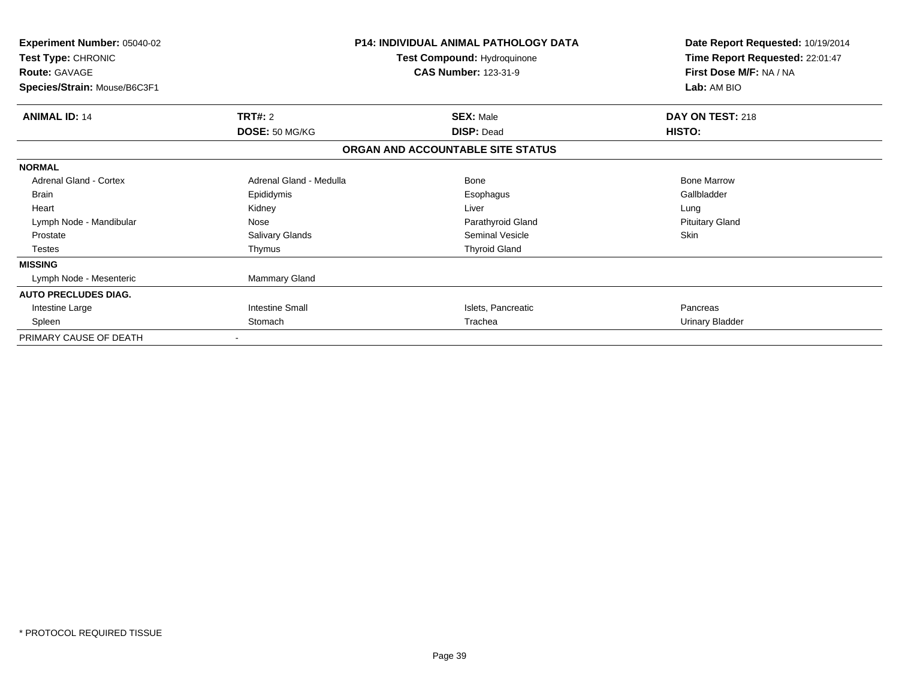| <b>Experiment Number: 05040-02</b><br>Test Type: CHRONIC<br><b>Route: GAVAGE</b><br>Species/Strain: Mouse/B6C3F1 |                                  | <b>P14: INDIVIDUAL ANIMAL PATHOLOGY DATA</b><br>Test Compound: Hydroquinone<br><b>CAS Number: 123-31-9</b> | Date Report Requested: 10/19/2014<br>Time Report Requested: 22:01:47<br>First Dose M/F: NA / NA<br>Lab: AM BIO |
|------------------------------------------------------------------------------------------------------------------|----------------------------------|------------------------------------------------------------------------------------------------------------|----------------------------------------------------------------------------------------------------------------|
| <b>ANIMAL ID: 14</b>                                                                                             | <b>TRT#: 2</b><br>DOSE: 50 MG/KG | <b>SEX: Male</b><br><b>DISP: Dead</b>                                                                      | DAY ON TEST: 218<br>HISTO:                                                                                     |
|                                                                                                                  |                                  | ORGAN AND ACCOUNTABLE SITE STATUS                                                                          |                                                                                                                |
| <b>NORMAL</b>                                                                                                    |                                  |                                                                                                            |                                                                                                                |
| Adrenal Gland - Cortex                                                                                           | Adrenal Gland - Medulla          | <b>Bone</b>                                                                                                | <b>Bone Marrow</b>                                                                                             |
| <b>Brain</b>                                                                                                     | Epididymis                       | Esophagus                                                                                                  | Gallbladder                                                                                                    |
| Heart                                                                                                            | Kidney                           | Liver                                                                                                      | Lung                                                                                                           |
| Lymph Node - Mandibular                                                                                          | Nose                             | Parathyroid Gland                                                                                          | <b>Pituitary Gland</b>                                                                                         |
| Prostate                                                                                                         | Salivary Glands                  | <b>Seminal Vesicle</b>                                                                                     | <b>Skin</b>                                                                                                    |
| <b>Testes</b>                                                                                                    | Thymus                           | <b>Thyroid Gland</b>                                                                                       |                                                                                                                |
| <b>MISSING</b>                                                                                                   |                                  |                                                                                                            |                                                                                                                |
| Lymph Node - Mesenteric                                                                                          | Mammary Gland                    |                                                                                                            |                                                                                                                |
| <b>AUTO PRECLUDES DIAG.</b>                                                                                      |                                  |                                                                                                            |                                                                                                                |
| Intestine Large                                                                                                  | <b>Intestine Small</b>           | Islets, Pancreatic                                                                                         | Pancreas                                                                                                       |
| Spleen                                                                                                           | Stomach                          | Trachea                                                                                                    | Urinary Bladder                                                                                                |
| PRIMARY CAUSE OF DEATH                                                                                           |                                  |                                                                                                            |                                                                                                                |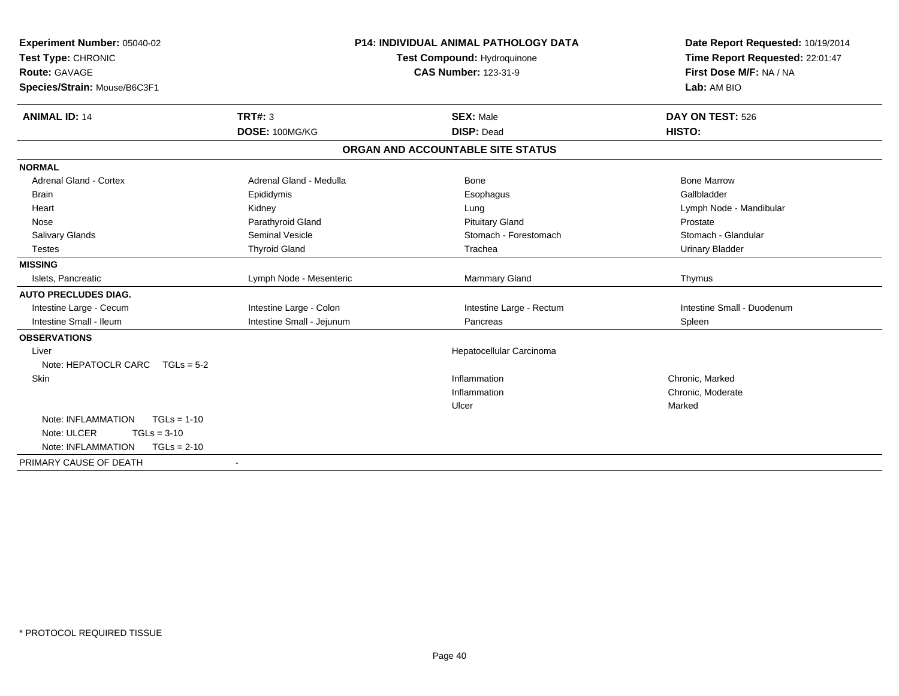| Experiment Number: 05040-02          | <b>P14: INDIVIDUAL ANIMAL PATHOLOGY DATA</b> |                                   | Date Report Requested: 10/19/2014 |
|--------------------------------------|----------------------------------------------|-----------------------------------|-----------------------------------|
| Test Type: CHRONIC                   | <b>Test Compound: Hydroquinone</b>           |                                   | Time Report Requested: 22:01:47   |
| <b>Route: GAVAGE</b>                 |                                              | <b>CAS Number: 123-31-9</b>       | First Dose M/F: NA / NA           |
| Species/Strain: Mouse/B6C3F1         |                                              |                                   | Lab: AM BIO                       |
| <b>ANIMAL ID: 14</b>                 | <b>TRT#: 3</b>                               | <b>SEX: Male</b>                  | DAY ON TEST: 526                  |
|                                      | DOSE: 100MG/KG                               | <b>DISP: Dead</b>                 | HISTO:                            |
|                                      |                                              | ORGAN AND ACCOUNTABLE SITE STATUS |                                   |
| <b>NORMAL</b>                        |                                              |                                   |                                   |
| <b>Adrenal Gland - Cortex</b>        | Adrenal Gland - Medulla                      | Bone                              | <b>Bone Marrow</b>                |
| <b>Brain</b>                         | Epididymis                                   | Esophagus                         | Gallbladder                       |
| Heart                                | Kidney                                       | Lung                              | Lymph Node - Mandibular           |
| Nose                                 | Parathyroid Gland                            | <b>Pituitary Gland</b>            | Prostate                          |
| <b>Salivary Glands</b>               | <b>Seminal Vesicle</b>                       | Stomach - Forestomach             | Stomach - Glandular               |
| <b>Testes</b>                        | <b>Thyroid Gland</b>                         | Trachea                           | <b>Urinary Bladder</b>            |
| <b>MISSING</b>                       |                                              |                                   |                                   |
| Islets, Pancreatic                   | Lymph Node - Mesenteric                      | <b>Mammary Gland</b>              | Thymus                            |
| <b>AUTO PRECLUDES DIAG.</b>          |                                              |                                   |                                   |
| Intestine Large - Cecum              | Intestine Large - Colon                      | Intestine Large - Rectum          | Intestine Small - Duodenum        |
| Intestine Small - Ileum              | Intestine Small - Jejunum                    | Pancreas                          | Spleen                            |
| <b>OBSERVATIONS</b>                  |                                              |                                   |                                   |
| Liver                                |                                              | Hepatocellular Carcinoma          |                                   |
| Note: HEPATOCLR CARC<br>$TGLs = 5-2$ |                                              |                                   |                                   |
| Skin                                 |                                              | Inflammation                      | Chronic, Marked                   |
|                                      |                                              | Inflammation                      | Chronic, Moderate                 |
|                                      |                                              | Ulcer                             | Marked                            |
| Note: INFLAMMATION<br>$TGLs = 1-10$  |                                              |                                   |                                   |
| Note: ULCER<br>$TGLs = 3-10$         |                                              |                                   |                                   |
| Note: INFLAMMATION<br>$TGLs = 2-10$  |                                              |                                   |                                   |
| PRIMARY CAUSE OF DEATH               | $\overline{\phantom{a}}$                     |                                   |                                   |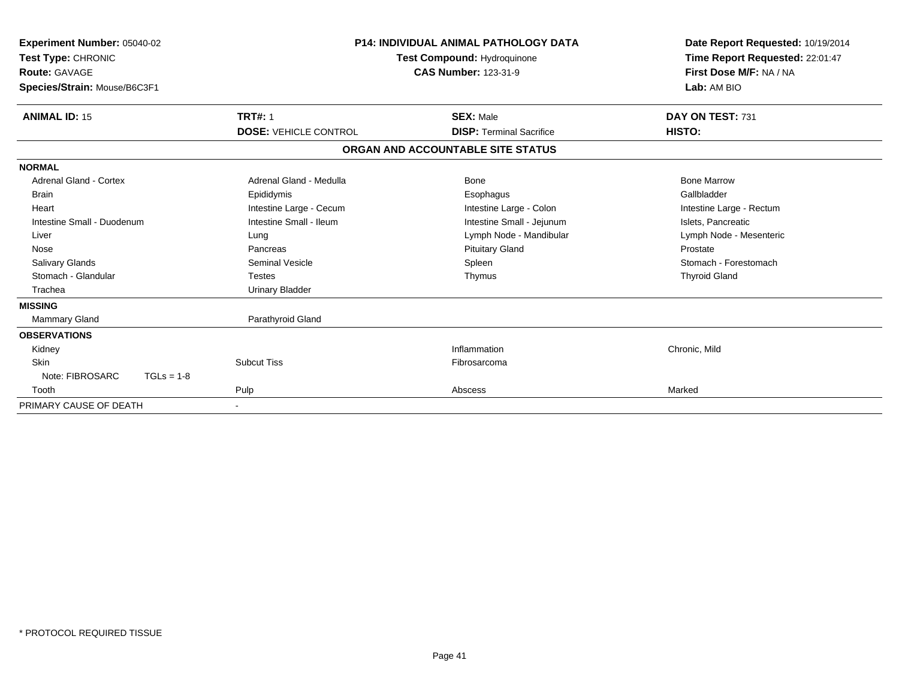| Experiment Number: 05040-02<br>Test Type: CHRONIC<br>Route: GAVAGE<br>Species/Strain: Mouse/B6C3F1 |                              | <b>P14: INDIVIDUAL ANIMAL PATHOLOGY DATA</b><br><b>Test Compound: Hydroquinone</b><br><b>CAS Number: 123-31-9</b> | Date Report Requested: 10/19/2014<br>Time Report Requested: 22:01:47<br>First Dose M/F: NA / NA<br>Lab: AM BIO |  |
|----------------------------------------------------------------------------------------------------|------------------------------|-------------------------------------------------------------------------------------------------------------------|----------------------------------------------------------------------------------------------------------------|--|
| <b>ANIMAL ID: 15</b>                                                                               | <b>TRT#: 1</b>               | <b>SEX: Male</b>                                                                                                  | DAY ON TEST: 731                                                                                               |  |
|                                                                                                    | <b>DOSE: VEHICLE CONTROL</b> | <b>DISP: Terminal Sacrifice</b>                                                                                   | HISTO:                                                                                                         |  |
|                                                                                                    |                              | ORGAN AND ACCOUNTABLE SITE STATUS                                                                                 |                                                                                                                |  |
| <b>NORMAL</b>                                                                                      |                              |                                                                                                                   |                                                                                                                |  |
| <b>Adrenal Gland - Cortex</b>                                                                      | Adrenal Gland - Medulla      | Bone                                                                                                              | <b>Bone Marrow</b>                                                                                             |  |
| Brain                                                                                              | Epididymis                   | Esophagus                                                                                                         | Gallbladder                                                                                                    |  |
| Heart                                                                                              | Intestine Large - Cecum      | Intestine Large - Colon                                                                                           | Intestine Large - Rectum                                                                                       |  |
| Intestine Small - Duodenum                                                                         | Intestine Small - Ileum      | Intestine Small - Jejunum                                                                                         | Islets, Pancreatic                                                                                             |  |
| Liver                                                                                              | Lung                         | Lymph Node - Mandibular                                                                                           | Lymph Node - Mesenteric                                                                                        |  |
| Nose                                                                                               | Pancreas                     | <b>Pituitary Gland</b>                                                                                            | Prostate                                                                                                       |  |
| <b>Salivary Glands</b>                                                                             | <b>Seminal Vesicle</b>       | Spleen                                                                                                            | Stomach - Forestomach                                                                                          |  |
| Stomach - Glandular                                                                                | <b>Testes</b>                | Thymus                                                                                                            | <b>Thyroid Gland</b>                                                                                           |  |
| Trachea                                                                                            | <b>Urinary Bladder</b>       |                                                                                                                   |                                                                                                                |  |
| <b>MISSING</b>                                                                                     |                              |                                                                                                                   |                                                                                                                |  |
| <b>Mammary Gland</b>                                                                               | Parathyroid Gland            |                                                                                                                   |                                                                                                                |  |
| <b>OBSERVATIONS</b>                                                                                |                              |                                                                                                                   |                                                                                                                |  |
| Kidney                                                                                             |                              | Inflammation                                                                                                      | Chronic, Mild                                                                                                  |  |
| Skin                                                                                               | <b>Subcut Tiss</b>           | Fibrosarcoma                                                                                                      |                                                                                                                |  |
| Note: FIBROSARC<br>$TGLs = 1-8$                                                                    |                              |                                                                                                                   |                                                                                                                |  |
| Tooth                                                                                              | Pulp                         | Abscess                                                                                                           | Marked                                                                                                         |  |
| PRIMARY CAUSE OF DEATH                                                                             |                              |                                                                                                                   |                                                                                                                |  |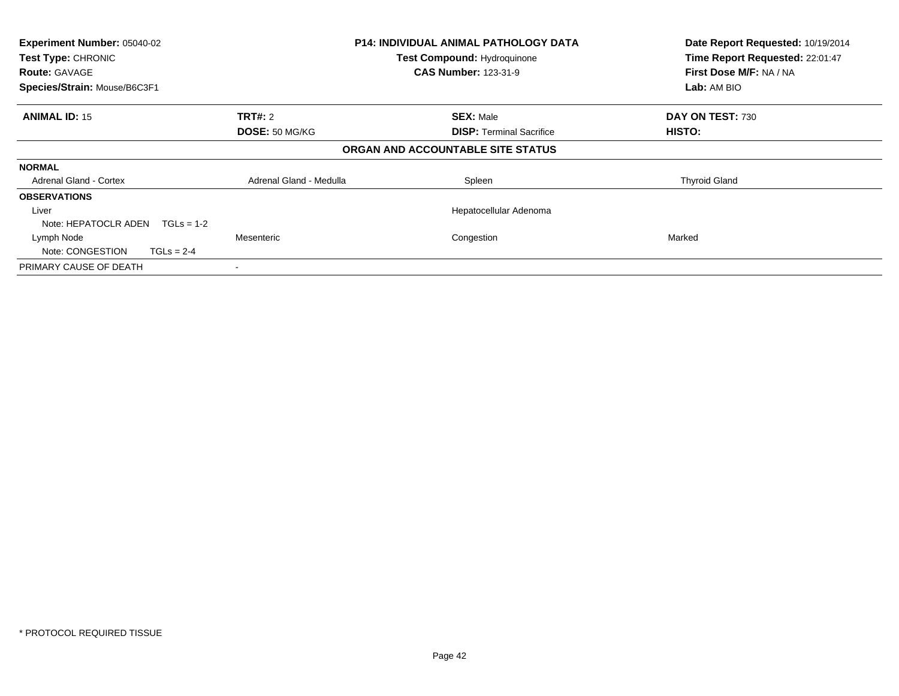| Experiment Number: 05040-02<br>Test Type: CHRONIC |                         | <b>P14: INDIVIDUAL ANIMAL PATHOLOGY DATA</b><br><b>Test Compound: Hydroquinone</b> | Date Report Requested: 10/19/2014<br>Time Report Requested: 22:01:47 |
|---------------------------------------------------|-------------------------|------------------------------------------------------------------------------------|----------------------------------------------------------------------|
| <b>Route: GAVAGE</b>                              |                         | <b>CAS Number: 123-31-9</b>                                                        | First Dose M/F: NA / NA                                              |
| Species/Strain: Mouse/B6C3F1                      |                         |                                                                                    | Lab: AM BIO                                                          |
| <b>ANIMAL ID: 15</b>                              | <b>TRT#: 2</b>          | <b>SEX: Male</b>                                                                   | DAY ON TEST: 730                                                     |
|                                                   | DOSE: 50 MG/KG          | <b>DISP:</b> Terminal Sacrifice                                                    | HISTO:                                                               |
|                                                   |                         | ORGAN AND ACCOUNTABLE SITE STATUS                                                  |                                                                      |
| <b>NORMAL</b>                                     |                         |                                                                                    |                                                                      |
| <b>Adrenal Gland - Cortex</b>                     | Adrenal Gland - Medulla | Spleen                                                                             | <b>Thyroid Gland</b>                                                 |
| <b>OBSERVATIONS</b>                               |                         |                                                                                    |                                                                      |
| Liver                                             |                         | Hepatocellular Adenoma                                                             |                                                                      |
| Note: HEPATOCLR ADEN<br>$TGLs = 1-2$              |                         |                                                                                    |                                                                      |
| Lymph Node                                        | Mesenteric              | Congestion                                                                         | Marked                                                               |
| Note: CONGESTION<br>$TGLs = 2-4$                  |                         |                                                                                    |                                                                      |
| PRIMARY CAUSE OF DEATH                            |                         |                                                                                    |                                                                      |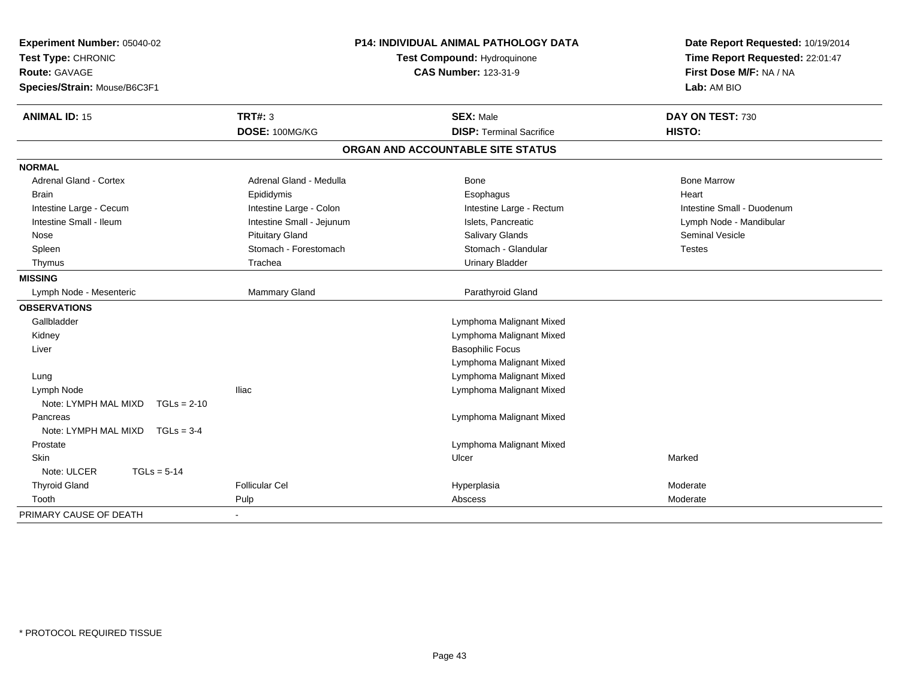| Experiment Number: 05040-02<br>Test Type: CHRONIC<br><b>Route: GAVAGE</b><br>Species/Strain: Mouse/B6C3F1 |                           | <b>P14: INDIVIDUAL ANIMAL PATHOLOGY DATA</b><br>Test Compound: Hydroquinone<br><b>CAS Number: 123-31-9</b> | Date Report Requested: 10/19/2014<br>Time Report Requested: 22:01:47<br>First Dose M/F: NA / NA<br>Lab: AM BIO |  |
|-----------------------------------------------------------------------------------------------------------|---------------------------|------------------------------------------------------------------------------------------------------------|----------------------------------------------------------------------------------------------------------------|--|
| <b>ANIMAL ID: 15</b>                                                                                      | <b>TRT#: 3</b>            | <b>SEX: Male</b>                                                                                           | DAY ON TEST: 730                                                                                               |  |
|                                                                                                           | DOSE: 100MG/KG            | <b>DISP: Terminal Sacrifice</b>                                                                            | HISTO:                                                                                                         |  |
|                                                                                                           |                           | ORGAN AND ACCOUNTABLE SITE STATUS                                                                          |                                                                                                                |  |
| <b>NORMAL</b>                                                                                             |                           |                                                                                                            |                                                                                                                |  |
| <b>Adrenal Gland - Cortex</b>                                                                             | Adrenal Gland - Medulla   | <b>Bone</b>                                                                                                | <b>Bone Marrow</b>                                                                                             |  |
| <b>Brain</b>                                                                                              | Epididymis                | Esophagus                                                                                                  | Heart                                                                                                          |  |
| Intestine Large - Cecum                                                                                   | Intestine Large - Colon   | Intestine Large - Rectum                                                                                   | Intestine Small - Duodenum                                                                                     |  |
| Intestine Small - Ileum                                                                                   | Intestine Small - Jejunum | Islets, Pancreatic                                                                                         | Lymph Node - Mandibular                                                                                        |  |
| Nose                                                                                                      | <b>Pituitary Gland</b>    | Salivary Glands                                                                                            | Seminal Vesicle                                                                                                |  |
| Spleen                                                                                                    | Stomach - Forestomach     | Stomach - Glandular                                                                                        | <b>Testes</b>                                                                                                  |  |
| Thymus                                                                                                    | Trachea                   | <b>Urinary Bladder</b>                                                                                     |                                                                                                                |  |
| <b>MISSING</b>                                                                                            |                           |                                                                                                            |                                                                                                                |  |
| Lymph Node - Mesenteric                                                                                   | Mammary Gland             | Parathyroid Gland                                                                                          |                                                                                                                |  |
| <b>OBSERVATIONS</b>                                                                                       |                           |                                                                                                            |                                                                                                                |  |
| Gallbladder                                                                                               |                           | Lymphoma Malignant Mixed                                                                                   |                                                                                                                |  |
| Kidney                                                                                                    |                           | Lymphoma Malignant Mixed                                                                                   |                                                                                                                |  |
| Liver                                                                                                     |                           | <b>Basophilic Focus</b>                                                                                    |                                                                                                                |  |
|                                                                                                           |                           | Lymphoma Malignant Mixed                                                                                   |                                                                                                                |  |
| Lung                                                                                                      |                           | Lymphoma Malignant Mixed                                                                                   |                                                                                                                |  |
| Lymph Node                                                                                                | <b>Iliac</b>              | Lymphoma Malignant Mixed                                                                                   |                                                                                                                |  |
| Note: LYMPH MAL MIXD<br>$TGLs = 2-10$                                                                     |                           |                                                                                                            |                                                                                                                |  |
| Pancreas                                                                                                  |                           | Lymphoma Malignant Mixed                                                                                   |                                                                                                                |  |
| Note: LYMPH MAL MIXD TGLs = 3-4                                                                           |                           |                                                                                                            |                                                                                                                |  |
| Prostate                                                                                                  |                           | Lymphoma Malignant Mixed                                                                                   |                                                                                                                |  |
| <b>Skin</b>                                                                                               |                           | Ulcer                                                                                                      | Marked                                                                                                         |  |
| Note: ULCER<br>$TGLs = 5-14$                                                                              |                           |                                                                                                            |                                                                                                                |  |
| <b>Thyroid Gland</b>                                                                                      | <b>Follicular Cel</b>     | Hyperplasia                                                                                                | Moderate                                                                                                       |  |
| Tooth                                                                                                     | Pulp                      | Abscess                                                                                                    | Moderate                                                                                                       |  |
| PRIMARY CAUSE OF DEATH                                                                                    |                           |                                                                                                            |                                                                                                                |  |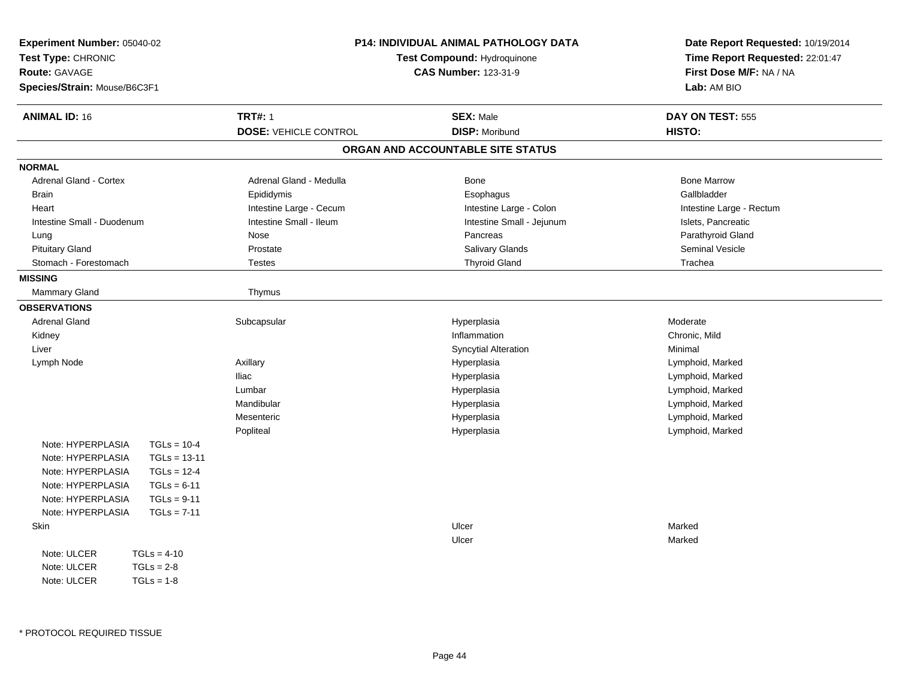| Experiment Number: 05040-02<br>Test Type: CHRONIC<br>Route: GAVAGE<br>Species/Strain: Mouse/B6C3F1 | <b>P14: INDIVIDUAL ANIMAL PATHOLOGY DATA</b><br>Test Compound: Hydroquinone<br><b>CAS Number: 123-31-9</b> |                                           | Date Report Requested: 10/19/2014<br>Time Report Requested: 22:01:47<br>First Dose M/F: NA / NA<br>Lab: AM BIO |
|----------------------------------------------------------------------------------------------------|------------------------------------------------------------------------------------------------------------|-------------------------------------------|----------------------------------------------------------------------------------------------------------------|
| <b>ANIMAL ID: 16</b>                                                                               | <b>TRT#: 1</b><br><b>DOSE: VEHICLE CONTROL</b>                                                             | <b>SEX: Male</b><br><b>DISP: Moribund</b> | DAY ON TEST: 555<br>HISTO:                                                                                     |
|                                                                                                    |                                                                                                            | ORGAN AND ACCOUNTABLE SITE STATUS         |                                                                                                                |
| <b>NORMAL</b>                                                                                      |                                                                                                            |                                           |                                                                                                                |
| Adrenal Gland - Cortex                                                                             | Adrenal Gland - Medulla                                                                                    | Bone                                      | <b>Bone Marrow</b>                                                                                             |
| <b>Brain</b>                                                                                       | Epididymis                                                                                                 | Esophagus                                 | Gallbladder                                                                                                    |
| Heart                                                                                              | Intestine Large - Cecum                                                                                    | Intestine Large - Colon                   | Intestine Large - Rectum                                                                                       |
| Intestine Small - Duodenum                                                                         | Intestine Small - Ileum                                                                                    | Intestine Small - Jejunum                 | Islets, Pancreatic                                                                                             |
| Lung                                                                                               | Nose                                                                                                       | Pancreas                                  | Parathyroid Gland                                                                                              |
| <b>Pituitary Gland</b>                                                                             | Prostate                                                                                                   | Salivary Glands                           | Seminal Vesicle                                                                                                |
| Stomach - Forestomach                                                                              | <b>Testes</b>                                                                                              | <b>Thyroid Gland</b>                      | Trachea                                                                                                        |
| <b>MISSING</b>                                                                                     |                                                                                                            |                                           |                                                                                                                |
| Mammary Gland                                                                                      | Thymus                                                                                                     |                                           |                                                                                                                |
| <b>OBSERVATIONS</b>                                                                                |                                                                                                            |                                           |                                                                                                                |
| <b>Adrenal Gland</b>                                                                               | Subcapsular                                                                                                | Hyperplasia                               | Moderate                                                                                                       |
| Kidney                                                                                             |                                                                                                            | Inflammation                              | Chronic, Mild                                                                                                  |
| Liver                                                                                              |                                                                                                            | <b>Syncytial Alteration</b>               | Minimal                                                                                                        |
| Lymph Node                                                                                         | Axillary                                                                                                   | Hyperplasia                               | Lymphoid, Marked                                                                                               |
|                                                                                                    | <b>Iliac</b>                                                                                               | Hyperplasia                               | Lymphoid, Marked                                                                                               |
|                                                                                                    | Lumbar                                                                                                     | Hyperplasia                               | Lymphoid, Marked                                                                                               |
|                                                                                                    | Mandibular                                                                                                 | Hyperplasia                               | Lymphoid, Marked                                                                                               |
|                                                                                                    | Mesenteric                                                                                                 | Hyperplasia                               | Lymphoid, Marked                                                                                               |
|                                                                                                    | Popliteal                                                                                                  | Hyperplasia                               | Lymphoid, Marked                                                                                               |
| Note: HYPERPLASIA<br>$TGLs = 10-4$                                                                 |                                                                                                            |                                           |                                                                                                                |
| Note: HYPERPLASIA<br>$TGLs = 13-11$                                                                |                                                                                                            |                                           |                                                                                                                |
| Note: HYPERPLASIA<br>$TGLs = 12-4$                                                                 |                                                                                                            |                                           |                                                                                                                |
| Note: HYPERPLASIA<br>$TGLs = 6-11$                                                                 |                                                                                                            |                                           |                                                                                                                |
| Note: HYPERPLASIA<br>$TGLs = 9-11$                                                                 |                                                                                                            |                                           |                                                                                                                |
| Note: HYPERPLASIA<br>$TGLs = 7-11$                                                                 |                                                                                                            |                                           |                                                                                                                |
| Skin                                                                                               |                                                                                                            | Ulcer                                     | Marked                                                                                                         |
|                                                                                                    |                                                                                                            | Ulcer                                     | Marked                                                                                                         |
| Note: ULCER<br>$TGLs = 4-10$                                                                       |                                                                                                            |                                           |                                                                                                                |
| Note: ULCER<br>$TGLs = 2-8$                                                                        |                                                                                                            |                                           |                                                                                                                |
| $TGLs = 1-8$<br>Note: ULCER                                                                        |                                                                                                            |                                           |                                                                                                                |

\* PROTOCOL REQUIRED TISSUE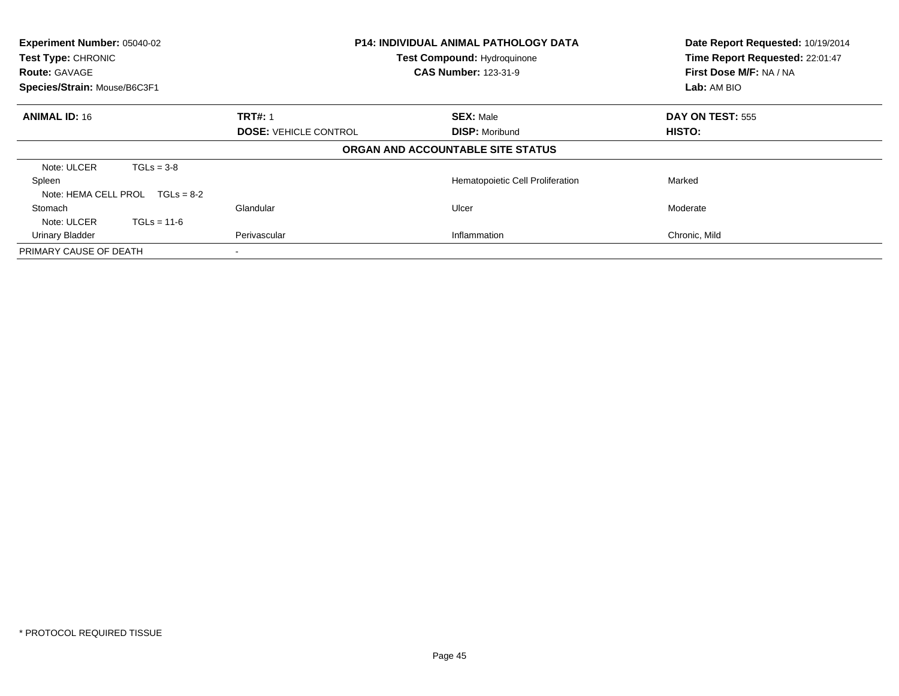| Experiment Number: 05040-02<br>Test Type: CHRONIC<br><b>Route: GAVAGE</b><br>Species/Strain: Mouse/B6C3F1 | <b>P14: INDIVIDUAL ANIMAL PATHOLOGY DATA</b><br><b>Test Compound: Hydroquinone</b><br><b>CAS Number: 123-31-9</b> |                                           | Date Report Requested: 10/19/2014<br>Time Report Requested: 22:01:47<br>First Dose M/F: NA / NA<br>Lab: AM BIO |
|-----------------------------------------------------------------------------------------------------------|-------------------------------------------------------------------------------------------------------------------|-------------------------------------------|----------------------------------------------------------------------------------------------------------------|
| <b>ANIMAL ID: 16</b>                                                                                      | <b>TRT#: 1</b><br><b>DOSE: VEHICLE CONTROL</b>                                                                    | <b>SEX: Male</b><br><b>DISP: Moribund</b> | DAY ON TEST: 555<br>HISTO:                                                                                     |
|                                                                                                           |                                                                                                                   | ORGAN AND ACCOUNTABLE SITE STATUS         |                                                                                                                |
| Note: ULCER<br>$TGLs = 3-8$<br>Spleen<br>Note: HEMA CELL PROL<br>$TGLs = 8-2$                             |                                                                                                                   | Hematopoietic Cell Proliferation          | Marked                                                                                                         |
| Stomach<br>Note: ULCER<br>$TGLs = 11-6$<br><b>Urinary Bladder</b>                                         | Glandular<br>Perivascular                                                                                         | Ulcer<br>Inflammation                     | Moderate<br>Chronic, Mild                                                                                      |
| PRIMARY CAUSE OF DEATH                                                                                    |                                                                                                                   |                                           |                                                                                                                |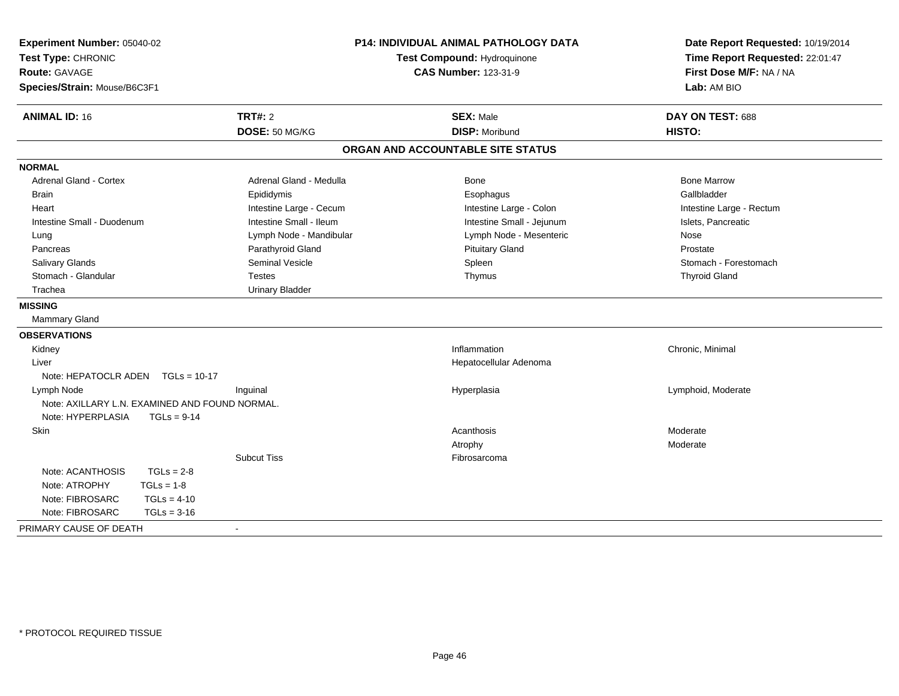| Experiment Number: 05040-02<br>Test Type: CHRONIC<br><b>Route: GAVAGE</b><br>Species/Strain: Mouse/B6C3F1 |                                                | P14: INDIVIDUAL ANIMAL PATHOLOGY DATA<br>Test Compound: Hydroquinone<br><b>CAS Number: 123-31-9</b> |                           | Date Report Requested: 10/19/2014<br>Time Report Requested: 22:01:47<br>First Dose M/F: NA / NA<br>Lab: AM BIO |
|-----------------------------------------------------------------------------------------------------------|------------------------------------------------|-----------------------------------------------------------------------------------------------------|---------------------------|----------------------------------------------------------------------------------------------------------------|
| <b>ANIMAL ID: 16</b>                                                                                      | TRT#: 2                                        |                                                                                                     | <b>SEX: Male</b>          | DAY ON TEST: 688                                                                                               |
|                                                                                                           | DOSE: 50 MG/KG                                 |                                                                                                     | <b>DISP: Moribund</b>     | HISTO:                                                                                                         |
|                                                                                                           |                                                | ORGAN AND ACCOUNTABLE SITE STATUS                                                                   |                           |                                                                                                                |
| <b>NORMAL</b>                                                                                             |                                                |                                                                                                     |                           |                                                                                                                |
| Adrenal Gland - Cortex                                                                                    |                                                | Adrenal Gland - Medulla                                                                             | <b>Bone</b>               | <b>Bone Marrow</b>                                                                                             |
| Brain                                                                                                     | Epididymis                                     |                                                                                                     | Esophagus                 | Gallbladder                                                                                                    |
| Heart                                                                                                     |                                                | Intestine Large - Cecum                                                                             | Intestine Large - Colon   | Intestine Large - Rectum                                                                                       |
| Intestine Small - Duodenum                                                                                | Intestine Small - Ileum                        |                                                                                                     | Intestine Small - Jejunum | Islets, Pancreatic                                                                                             |
| Lung                                                                                                      |                                                | Lymph Node - Mandibular                                                                             | Lymph Node - Mesenteric   | Nose                                                                                                           |
| Pancreas                                                                                                  | Parathyroid Gland                              |                                                                                                     | <b>Pituitary Gland</b>    | Prostate                                                                                                       |
| Salivary Glands                                                                                           | <b>Seminal Vesicle</b>                         |                                                                                                     | Spleen                    | Stomach - Forestomach                                                                                          |
| Stomach - Glandular                                                                                       | <b>Testes</b>                                  |                                                                                                     | Thymus                    | <b>Thyroid Gland</b>                                                                                           |
| Trachea                                                                                                   | <b>Urinary Bladder</b>                         |                                                                                                     |                           |                                                                                                                |
| <b>MISSING</b>                                                                                            |                                                |                                                                                                     |                           |                                                                                                                |
| Mammary Gland                                                                                             |                                                |                                                                                                     |                           |                                                                                                                |
| <b>OBSERVATIONS</b>                                                                                       |                                                |                                                                                                     |                           |                                                                                                                |
| Kidney                                                                                                    |                                                |                                                                                                     | Inflammation              | Chronic, Minimal                                                                                               |
| Liver                                                                                                     |                                                |                                                                                                     | Hepatocellular Adenoma    |                                                                                                                |
| Note: HEPATOCLR ADEN TGLs = 10-17                                                                         |                                                |                                                                                                     |                           |                                                                                                                |
| Lymph Node                                                                                                | Inguinal                                       |                                                                                                     | Hyperplasia               | Lymphoid, Moderate                                                                                             |
|                                                                                                           | Note: AXILLARY L.N. EXAMINED AND FOUND NORMAL. |                                                                                                     |                           |                                                                                                                |
| Note: HYPERPLASIA                                                                                         | $TGLs = 9-14$                                  |                                                                                                     |                           |                                                                                                                |
| Skin                                                                                                      |                                                |                                                                                                     | Acanthosis                | Moderate                                                                                                       |
|                                                                                                           |                                                |                                                                                                     | Atrophy                   | Moderate                                                                                                       |
|                                                                                                           | <b>Subcut Tiss</b>                             |                                                                                                     | Fibrosarcoma              |                                                                                                                |
| Note: ACANTHOSIS                                                                                          | $TGLs = 2-8$                                   |                                                                                                     |                           |                                                                                                                |
| Note: ATROPHY                                                                                             | $TGLs = 1-8$                                   |                                                                                                     |                           |                                                                                                                |
| Note: FIBROSARC                                                                                           | $TGLs = 4-10$                                  |                                                                                                     |                           |                                                                                                                |
| Note: FIBROSARC                                                                                           | $TGLs = 3-16$                                  |                                                                                                     |                           |                                                                                                                |
| PRIMARY CAUSE OF DEATH                                                                                    |                                                |                                                                                                     |                           |                                                                                                                |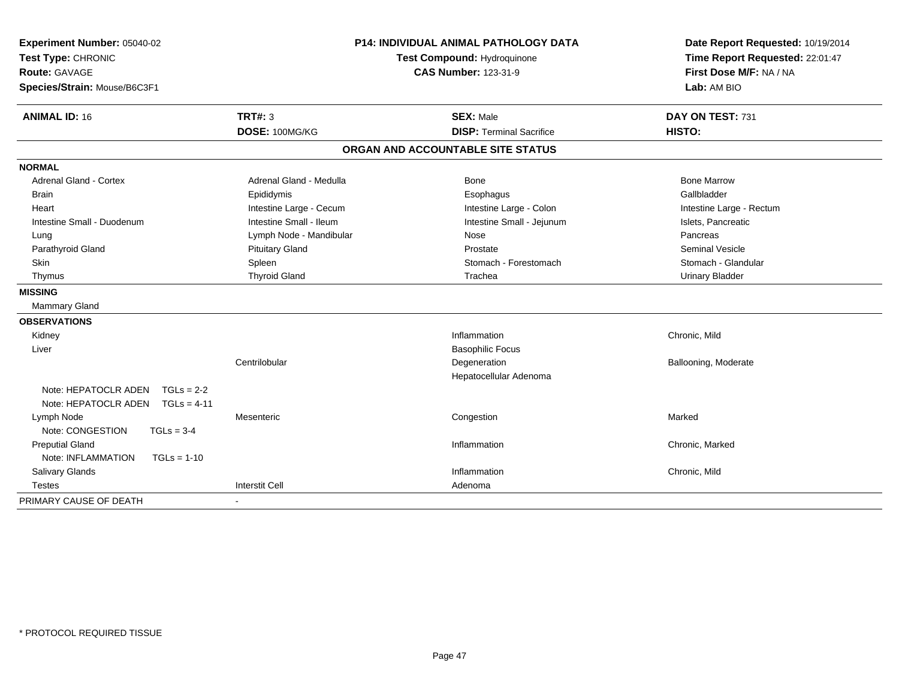| Experiment Number: 05040-02<br>Test Type: CHRONIC<br><b>Route: GAVAGE</b><br>Species/Strain: Mouse/B6C3F1 |                         | <b>P14: INDIVIDUAL ANIMAL PATHOLOGY DATA</b><br>Test Compound: Hydroquinone<br><b>CAS Number: 123-31-9</b> | Date Report Requested: 10/19/2014<br>Time Report Requested: 22:01:47<br>First Dose M/F: NA / NA<br>Lab: AM BIO |  |
|-----------------------------------------------------------------------------------------------------------|-------------------------|------------------------------------------------------------------------------------------------------------|----------------------------------------------------------------------------------------------------------------|--|
| <b>ANIMAL ID: 16</b>                                                                                      | <b>TRT#: 3</b>          | <b>SEX: Male</b>                                                                                           | DAY ON TEST: 731                                                                                               |  |
|                                                                                                           | DOSE: 100MG/KG          | <b>DISP: Terminal Sacrifice</b>                                                                            | HISTO:                                                                                                         |  |
|                                                                                                           |                         | ORGAN AND ACCOUNTABLE SITE STATUS                                                                          |                                                                                                                |  |
| <b>NORMAL</b>                                                                                             |                         |                                                                                                            |                                                                                                                |  |
| <b>Adrenal Gland - Cortex</b>                                                                             | Adrenal Gland - Medulla | Bone                                                                                                       | <b>Bone Marrow</b>                                                                                             |  |
| <b>Brain</b>                                                                                              | Epididymis              | Esophagus                                                                                                  | Gallbladder                                                                                                    |  |
| Heart                                                                                                     | Intestine Large - Cecum | Intestine Large - Colon                                                                                    | Intestine Large - Rectum                                                                                       |  |
| Intestine Small - Duodenum                                                                                | Intestine Small - Ileum | Intestine Small - Jejunum                                                                                  | Islets, Pancreatic                                                                                             |  |
| Lung                                                                                                      | Lymph Node - Mandibular | Nose                                                                                                       | Pancreas                                                                                                       |  |
| Parathyroid Gland                                                                                         | <b>Pituitary Gland</b>  | Prostate                                                                                                   | <b>Seminal Vesicle</b>                                                                                         |  |
| Skin                                                                                                      | Spleen                  | Stomach - Forestomach                                                                                      | Stomach - Glandular                                                                                            |  |
| Thymus                                                                                                    | <b>Thyroid Gland</b>    | Trachea                                                                                                    | <b>Urinary Bladder</b>                                                                                         |  |
| <b>MISSING</b>                                                                                            |                         |                                                                                                            |                                                                                                                |  |
| Mammary Gland                                                                                             |                         |                                                                                                            |                                                                                                                |  |
| <b>OBSERVATIONS</b>                                                                                       |                         |                                                                                                            |                                                                                                                |  |
| Kidney                                                                                                    |                         | Inflammation                                                                                               | Chronic, Mild                                                                                                  |  |
| Liver                                                                                                     |                         | <b>Basophilic Focus</b>                                                                                    |                                                                                                                |  |
|                                                                                                           | Centrilobular           | Degeneration                                                                                               | Ballooning, Moderate                                                                                           |  |
|                                                                                                           |                         | Hepatocellular Adenoma                                                                                     |                                                                                                                |  |
| Note: HEPATOCLR ADEN<br>$TGLs = 2-2$                                                                      |                         |                                                                                                            |                                                                                                                |  |
| Note: HEPATOCLR ADEN<br>$TGLs = 4-11$                                                                     |                         |                                                                                                            |                                                                                                                |  |
| Lymph Node                                                                                                | Mesenteric              | Congestion                                                                                                 | Marked                                                                                                         |  |
| Note: CONGESTION<br>$TGLs = 3-4$                                                                          |                         |                                                                                                            |                                                                                                                |  |
| <b>Preputial Gland</b>                                                                                    |                         | Inflammation                                                                                               | Chronic, Marked                                                                                                |  |
| Note: INFLAMMATION<br>$TGLs = 1-10$                                                                       |                         |                                                                                                            |                                                                                                                |  |
| Salivary Glands                                                                                           |                         | Inflammation                                                                                               | Chronic, Mild                                                                                                  |  |
| <b>Testes</b>                                                                                             | <b>Interstit Cell</b>   | Adenoma                                                                                                    |                                                                                                                |  |
| PRIMARY CAUSE OF DEATH                                                                                    |                         |                                                                                                            |                                                                                                                |  |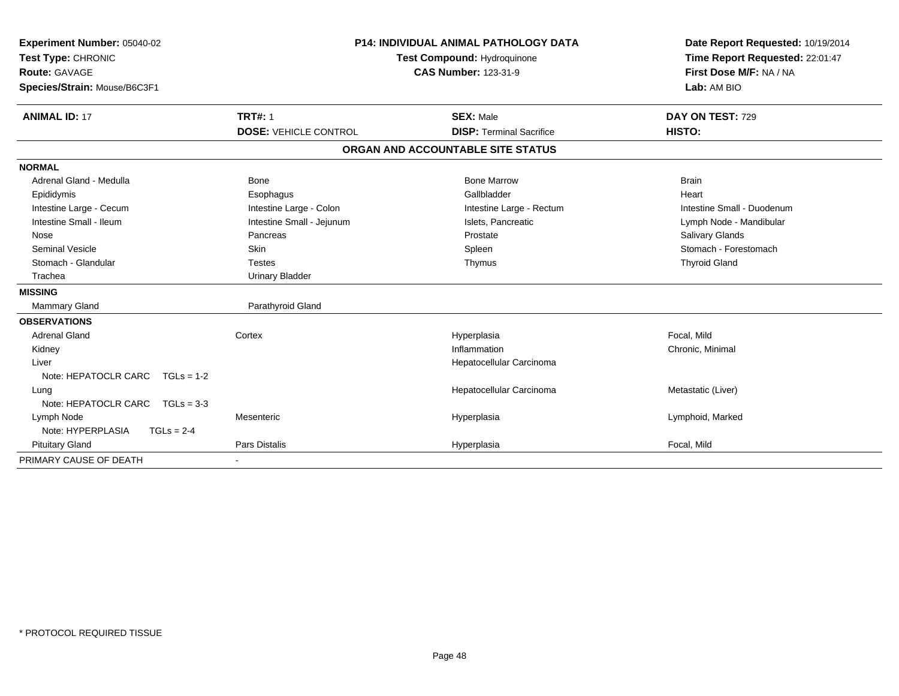| Experiment Number: 05040-02<br>Test Type: CHRONIC<br><b>Route: GAVAGE</b> | <b>P14: INDIVIDUAL ANIMAL PATHOLOGY DATA</b><br>Test Compound: Hydroquinone<br><b>CAS Number: 123-31-9</b> |                                   | Date Report Requested: 10/19/2014<br>Time Report Requested: 22:01:47<br>First Dose M/F: NA / NA |
|---------------------------------------------------------------------------|------------------------------------------------------------------------------------------------------------|-----------------------------------|-------------------------------------------------------------------------------------------------|
| Species/Strain: Mouse/B6C3F1                                              |                                                                                                            |                                   | Lab: AM BIO                                                                                     |
| <b>ANIMAL ID: 17</b>                                                      | <b>TRT#: 1</b>                                                                                             | <b>SEX: Male</b>                  | DAY ON TEST: 729                                                                                |
|                                                                           | <b>DOSE: VEHICLE CONTROL</b>                                                                               | <b>DISP: Terminal Sacrifice</b>   | HISTO:                                                                                          |
|                                                                           |                                                                                                            | ORGAN AND ACCOUNTABLE SITE STATUS |                                                                                                 |
| <b>NORMAL</b>                                                             |                                                                                                            |                                   |                                                                                                 |
| Adrenal Gland - Medulla                                                   | <b>Bone</b>                                                                                                | <b>Bone Marrow</b>                | <b>Brain</b>                                                                                    |
| Epididymis                                                                | Esophagus                                                                                                  | Gallbladder                       | Heart                                                                                           |
| Intestine Large - Cecum                                                   | Intestine Large - Colon                                                                                    | Intestine Large - Rectum          | Intestine Small - Duodenum                                                                      |
| Intestine Small - Ileum                                                   | Intestine Small - Jejunum                                                                                  | Islets, Pancreatic                | Lymph Node - Mandibular                                                                         |
| Nose                                                                      | Pancreas                                                                                                   | Prostate                          | Salivary Glands                                                                                 |
| <b>Seminal Vesicle</b>                                                    | Skin                                                                                                       | Spleen                            | Stomach - Forestomach                                                                           |
| Stomach - Glandular                                                       | <b>Testes</b>                                                                                              | Thymus                            | <b>Thyroid Gland</b>                                                                            |
| Trachea                                                                   | <b>Urinary Bladder</b>                                                                                     |                                   |                                                                                                 |
| <b>MISSING</b>                                                            |                                                                                                            |                                   |                                                                                                 |
| Mammary Gland                                                             | Parathyroid Gland                                                                                          |                                   |                                                                                                 |
| <b>OBSERVATIONS</b>                                                       |                                                                                                            |                                   |                                                                                                 |
| <b>Adrenal Gland</b>                                                      | Cortex                                                                                                     | Hyperplasia                       | Focal, Mild                                                                                     |
| Kidney                                                                    |                                                                                                            | Inflammation                      | Chronic, Minimal                                                                                |
| Liver                                                                     |                                                                                                            | Hepatocellular Carcinoma          |                                                                                                 |
| Note: HEPATOCLR CARC<br>$TGLs = 1-2$                                      |                                                                                                            |                                   |                                                                                                 |
| Lung                                                                      |                                                                                                            | Hepatocellular Carcinoma          | Metastatic (Liver)                                                                              |
| Note: HEPATOCLR CARC<br>$TGLs = 3-3$                                      |                                                                                                            |                                   |                                                                                                 |
| Lymph Node                                                                | Mesenteric                                                                                                 | Hyperplasia                       | Lymphoid, Marked                                                                                |
| Note: HYPERPLASIA<br>$TGLs = 2-4$                                         |                                                                                                            |                                   |                                                                                                 |
| <b>Pituitary Gland</b>                                                    | Pars Distalis                                                                                              | Hyperplasia                       | Focal, Mild                                                                                     |
| PRIMARY CAUSE OF DEATH                                                    |                                                                                                            |                                   |                                                                                                 |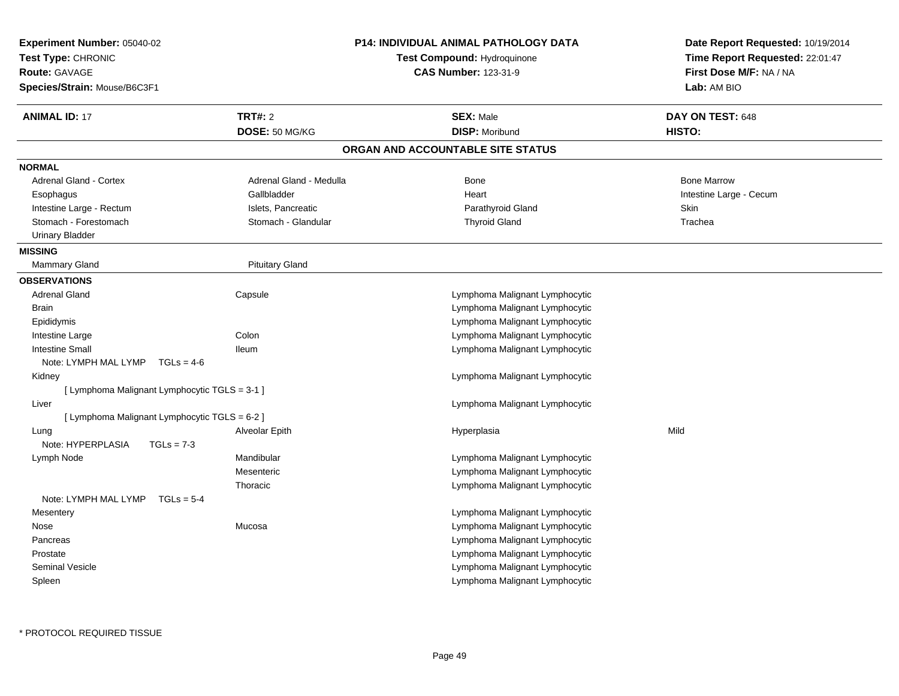| Experiment Number: 05040-02<br>Test Type: CHRONIC<br><b>Route: GAVAGE</b> | <b>P14: INDIVIDUAL ANIMAL PATHOLOGY DATA</b><br>Test Compound: Hydroquinone<br><b>CAS Number: 123-31-9</b> |                                   | Date Report Requested: 10/19/2014<br>Time Report Requested: 22:01:47<br>First Dose M/F: NA / NA |  |
|---------------------------------------------------------------------------|------------------------------------------------------------------------------------------------------------|-----------------------------------|-------------------------------------------------------------------------------------------------|--|
| Species/Strain: Mouse/B6C3F1                                              |                                                                                                            |                                   | Lab: AM BIO                                                                                     |  |
| <b>ANIMAL ID: 17</b>                                                      | <b>TRT#: 2</b>                                                                                             | <b>SEX: Male</b>                  | DAY ON TEST: 648                                                                                |  |
|                                                                           | DOSE: 50 MG/KG                                                                                             | <b>DISP: Moribund</b>             | HISTO:                                                                                          |  |
|                                                                           |                                                                                                            | ORGAN AND ACCOUNTABLE SITE STATUS |                                                                                                 |  |
| <b>NORMAL</b>                                                             |                                                                                                            |                                   |                                                                                                 |  |
| <b>Adrenal Gland - Cortex</b>                                             | Adrenal Gland - Medulla                                                                                    | <b>Bone</b>                       | <b>Bone Marrow</b>                                                                              |  |
| Esophagus                                                                 | Gallbladder                                                                                                | Heart                             | Intestine Large - Cecum                                                                         |  |
| Intestine Large - Rectum                                                  | Islets, Pancreatic                                                                                         | Parathyroid Gland                 | <b>Skin</b>                                                                                     |  |
| Stomach - Forestomach                                                     | Stomach - Glandular                                                                                        | <b>Thyroid Gland</b>              | Trachea                                                                                         |  |
| <b>Urinary Bladder</b>                                                    |                                                                                                            |                                   |                                                                                                 |  |
| <b>MISSING</b>                                                            |                                                                                                            |                                   |                                                                                                 |  |
| Mammary Gland                                                             | <b>Pituitary Gland</b>                                                                                     |                                   |                                                                                                 |  |
| <b>OBSERVATIONS</b>                                                       |                                                                                                            |                                   |                                                                                                 |  |
| <b>Adrenal Gland</b>                                                      | Capsule                                                                                                    | Lymphoma Malignant Lymphocytic    |                                                                                                 |  |
| <b>Brain</b>                                                              |                                                                                                            | Lymphoma Malignant Lymphocytic    |                                                                                                 |  |
| Epididymis                                                                |                                                                                                            | Lymphoma Malignant Lymphocytic    |                                                                                                 |  |
| Intestine Large                                                           | Colon                                                                                                      | Lymphoma Malignant Lymphocytic    |                                                                                                 |  |
| <b>Intestine Small</b>                                                    | lleum                                                                                                      | Lymphoma Malignant Lymphocytic    |                                                                                                 |  |
| Note: LYMPH MAL LYMP $TGLs = 4-6$                                         |                                                                                                            |                                   |                                                                                                 |  |
| Kidney                                                                    |                                                                                                            | Lymphoma Malignant Lymphocytic    |                                                                                                 |  |
| [ Lymphoma Malignant Lymphocytic TGLS = 3-1 ]                             |                                                                                                            |                                   |                                                                                                 |  |
| Liver                                                                     |                                                                                                            | Lymphoma Malignant Lymphocytic    |                                                                                                 |  |
| [ Lymphoma Malignant Lymphocytic TGLS = 6-2 ]                             |                                                                                                            |                                   |                                                                                                 |  |
| Lung                                                                      | Alveolar Epith                                                                                             | Hyperplasia                       | Mild                                                                                            |  |
| Note: HYPERPLASIA<br>$TGLs = 7-3$                                         |                                                                                                            |                                   |                                                                                                 |  |
| Lymph Node                                                                | Mandibular                                                                                                 | Lymphoma Malignant Lymphocytic    |                                                                                                 |  |
|                                                                           | Mesenteric                                                                                                 | Lymphoma Malignant Lymphocytic    |                                                                                                 |  |
|                                                                           | Thoracic                                                                                                   | Lymphoma Malignant Lymphocytic    |                                                                                                 |  |
| Note: LYMPH MAL LYMP $TGLs = 5-4$                                         |                                                                                                            |                                   |                                                                                                 |  |
| Mesentery                                                                 |                                                                                                            | Lymphoma Malignant Lymphocytic    |                                                                                                 |  |
| Nose                                                                      | Mucosa                                                                                                     | Lymphoma Malignant Lymphocytic    |                                                                                                 |  |
| Pancreas                                                                  |                                                                                                            | Lymphoma Malignant Lymphocytic    |                                                                                                 |  |
| Prostate                                                                  |                                                                                                            | Lymphoma Malignant Lymphocytic    |                                                                                                 |  |
| <b>Seminal Vesicle</b>                                                    |                                                                                                            | Lymphoma Malignant Lymphocytic    |                                                                                                 |  |
| Spleen                                                                    |                                                                                                            | Lymphoma Malignant Lymphocytic    |                                                                                                 |  |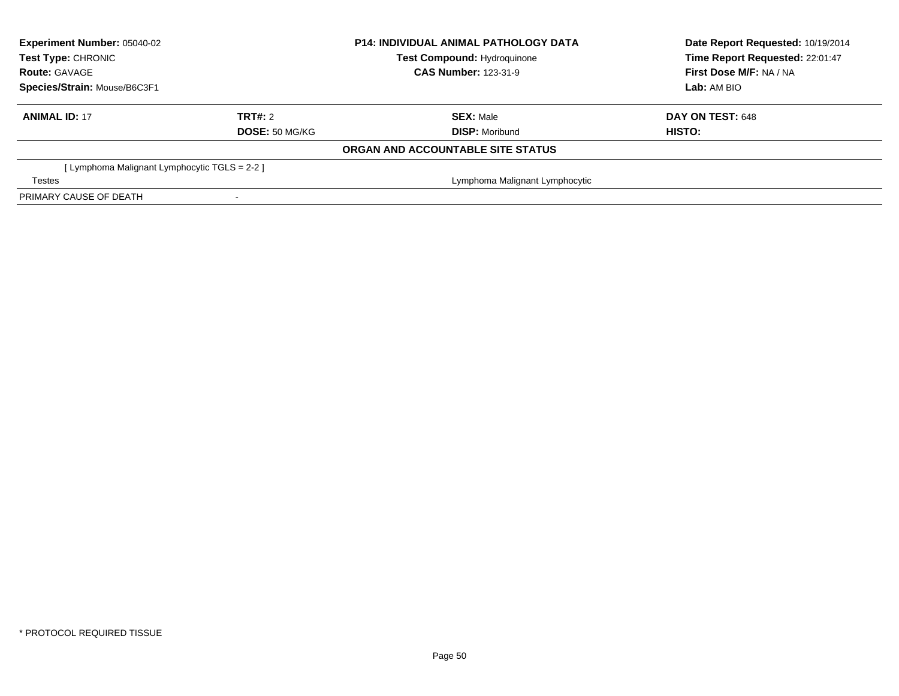| <b>Experiment Number: 05040-02</b><br>Test Type: CHRONIC |                       | <b>P14: INDIVIDUAL ANIMAL PATHOLOGY DATA</b> | Date Report Requested: 10/19/2014 |  |
|----------------------------------------------------------|-----------------------|----------------------------------------------|-----------------------------------|--|
|                                                          |                       | <b>Test Compound: Hydroquinone</b>           | Time Report Requested: 22:01:47   |  |
| <b>Route: GAVAGE</b>                                     |                       | <b>CAS Number: 123-31-9</b>                  | First Dose M/F: NA / NA           |  |
| Species/Strain: Mouse/B6C3F1                             |                       |                                              | Lab: AM BIO                       |  |
| <b>ANIMAL ID: 17</b>                                     | TRT#: 2               | <b>SEX: Male</b>                             | DAY ON TEST: 648                  |  |
|                                                          | <b>DOSE: 50 MG/KG</b> | <b>DISP: Moribund</b>                        | HISTO:                            |  |
|                                                          |                       | ORGAN AND ACCOUNTABLE SITE STATUS            |                                   |  |
| [ Lymphoma Malignant Lymphocytic TGLS = 2-2 ]            |                       |                                              |                                   |  |
| <b>Testes</b>                                            |                       | Lymphoma Malignant Lymphocytic               |                                   |  |
| PRIMARY CAUSE OF DEATH                                   |                       |                                              |                                   |  |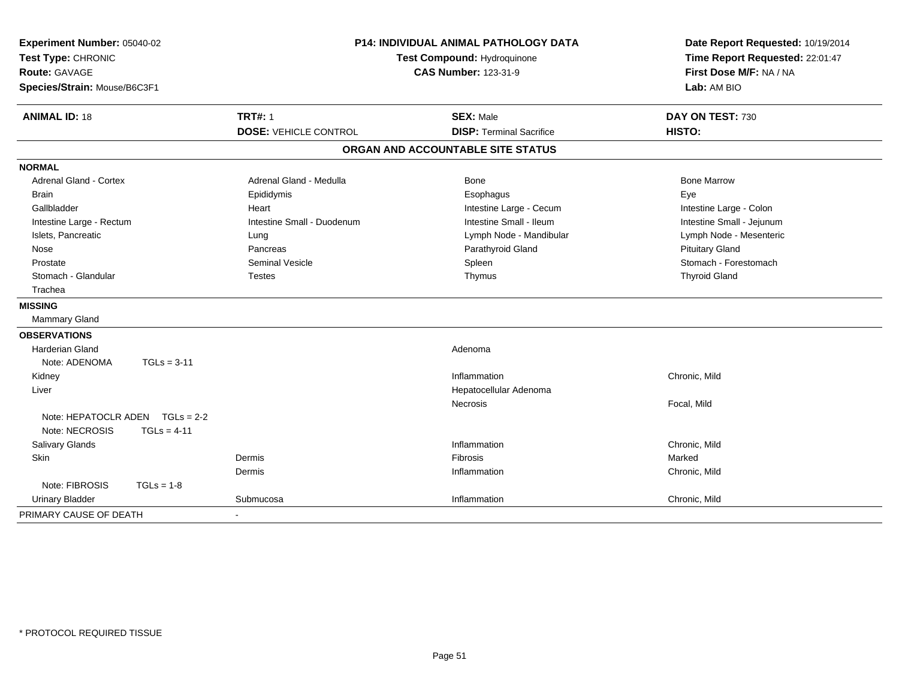| Experiment Number: 05040-02<br>Test Type: CHRONIC<br><b>Route: GAVAGE</b><br>Species/Strain: Mouse/B6C3F1 |                                                | P14: INDIVIDUAL ANIMAL PATHOLOGY DATA<br>Test Compound: Hydroquinone<br><b>CAS Number: 123-31-9</b> | Date Report Requested: 10/19/2014<br>Time Report Requested: 22:01:47<br>First Dose M/F: NA / NA<br>Lab: AM BIO |
|-----------------------------------------------------------------------------------------------------------|------------------------------------------------|-----------------------------------------------------------------------------------------------------|----------------------------------------------------------------------------------------------------------------|
| <b>ANIMAL ID: 18</b>                                                                                      | <b>TRT#: 1</b><br><b>DOSE: VEHICLE CONTROL</b> | <b>SEX: Male</b><br><b>DISP: Terminal Sacrifice</b>                                                 | DAY ON TEST: 730<br>HISTO:                                                                                     |
|                                                                                                           |                                                | ORGAN AND ACCOUNTABLE SITE STATUS                                                                   |                                                                                                                |
| <b>NORMAL</b>                                                                                             |                                                |                                                                                                     |                                                                                                                |
| <b>Adrenal Gland - Cortex</b>                                                                             | Adrenal Gland - Medulla                        | Bone                                                                                                | <b>Bone Marrow</b>                                                                                             |
| <b>Brain</b>                                                                                              | Epididymis                                     | Esophagus                                                                                           | Eye                                                                                                            |
| Gallbladder                                                                                               | Heart                                          | Intestine Large - Cecum                                                                             | Intestine Large - Colon                                                                                        |
| Intestine Large - Rectum                                                                                  | Intestine Small - Duodenum                     | Intestine Small - Ileum                                                                             | Intestine Small - Jejunum                                                                                      |
| Islets, Pancreatic                                                                                        | Lung                                           | Lymph Node - Mandibular                                                                             | Lymph Node - Mesenteric                                                                                        |
| Nose                                                                                                      | Pancreas                                       | Parathyroid Gland                                                                                   | <b>Pituitary Gland</b>                                                                                         |
| Prostate                                                                                                  | <b>Seminal Vesicle</b>                         | Spleen                                                                                              | Stomach - Forestomach                                                                                          |
| Stomach - Glandular                                                                                       | <b>Testes</b>                                  | Thymus                                                                                              | <b>Thyroid Gland</b>                                                                                           |
| Trachea                                                                                                   |                                                |                                                                                                     |                                                                                                                |
| <b>MISSING</b>                                                                                            |                                                |                                                                                                     |                                                                                                                |
| Mammary Gland                                                                                             |                                                |                                                                                                     |                                                                                                                |
| <b>OBSERVATIONS</b>                                                                                       |                                                |                                                                                                     |                                                                                                                |
| <b>Harderian Gland</b>                                                                                    |                                                | Adenoma                                                                                             |                                                                                                                |
| Note: ADENOMA                                                                                             | $TGLs = 3-11$                                  |                                                                                                     |                                                                                                                |
| Kidney                                                                                                    |                                                | Inflammation                                                                                        | Chronic, Mild                                                                                                  |
| Liver                                                                                                     |                                                | Hepatocellular Adenoma                                                                              |                                                                                                                |
|                                                                                                           |                                                | Necrosis                                                                                            | Focal, Mild                                                                                                    |
| Note: HEPATOCLR ADEN $TGLs = 2-2$                                                                         |                                                |                                                                                                     |                                                                                                                |
| Note: NECROSIS<br>$TGLs = 4-11$                                                                           |                                                |                                                                                                     |                                                                                                                |
| Salivary Glands                                                                                           |                                                | Inflammation                                                                                        | Chronic, Mild                                                                                                  |
| Skin                                                                                                      | Dermis                                         | <b>Fibrosis</b>                                                                                     | Marked                                                                                                         |
|                                                                                                           | Dermis                                         | Inflammation                                                                                        | Chronic, Mild                                                                                                  |
| Note: FIBROSIS<br>$TGLs = 1-8$                                                                            |                                                |                                                                                                     |                                                                                                                |
| <b>Urinary Bladder</b>                                                                                    | Submucosa                                      | Inflammation                                                                                        | Chronic, Mild                                                                                                  |
| PRIMARY CAUSE OF DEATH                                                                                    |                                                |                                                                                                     |                                                                                                                |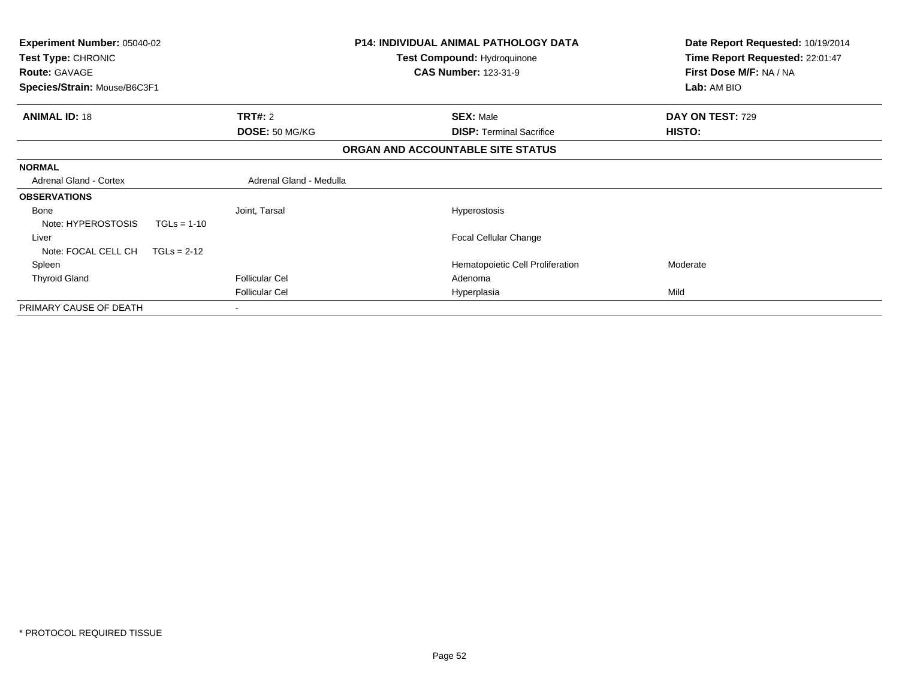| P14: INDIVIDUAL ANIMAL PATHOLOGY DATA<br><b>Experiment Number: 05040-02</b><br>Test Type: CHRONIC<br>Test Compound: Hydroquinone<br><b>CAS Number: 123-31-9</b><br><b>Route: GAVAGE</b> |                         | Date Report Requested: 10/19/2014<br>Time Report Requested: 22:01:47<br>First Dose M/F: NA / NA |                  |
|-----------------------------------------------------------------------------------------------------------------------------------------------------------------------------------------|-------------------------|-------------------------------------------------------------------------------------------------|------------------|
| Species/Strain: Mouse/B6C3F1                                                                                                                                                            |                         |                                                                                                 | Lab: AM BIO      |
| <b>ANIMAL ID: 18</b>                                                                                                                                                                    | <b>TRT#: 2</b>          | <b>SEX: Male</b>                                                                                | DAY ON TEST: 729 |
|                                                                                                                                                                                         | DOSE: 50 MG/KG          | <b>DISP:</b> Terminal Sacrifice                                                                 | HISTO:           |
|                                                                                                                                                                                         |                         | ORGAN AND ACCOUNTABLE SITE STATUS                                                               |                  |
| <b>NORMAL</b>                                                                                                                                                                           |                         |                                                                                                 |                  |
| <b>Adrenal Gland - Cortex</b>                                                                                                                                                           | Adrenal Gland - Medulla |                                                                                                 |                  |
| <b>OBSERVATIONS</b>                                                                                                                                                                     |                         |                                                                                                 |                  |
| Bone<br>Note: HYPEROSTOSIS<br>$TGLs = 1-10$                                                                                                                                             | Joint, Tarsal           | <b>Hyperostosis</b>                                                                             |                  |
| Liver                                                                                                                                                                                   |                         | <b>Focal Cellular Change</b>                                                                    |                  |
| Note: FOCAL CELL CH<br>$TGLs = 2-12$                                                                                                                                                    |                         |                                                                                                 |                  |
| Spleen                                                                                                                                                                                  |                         | Hematopoietic Cell Proliferation                                                                | Moderate         |
| <b>Thyroid Gland</b>                                                                                                                                                                    | <b>Follicular Cel</b>   | Adenoma                                                                                         |                  |
|                                                                                                                                                                                         | <b>Follicular Cel</b>   | Hyperplasia                                                                                     | Mild             |
| PRIMARY CAUSE OF DEATH                                                                                                                                                                  |                         |                                                                                                 |                  |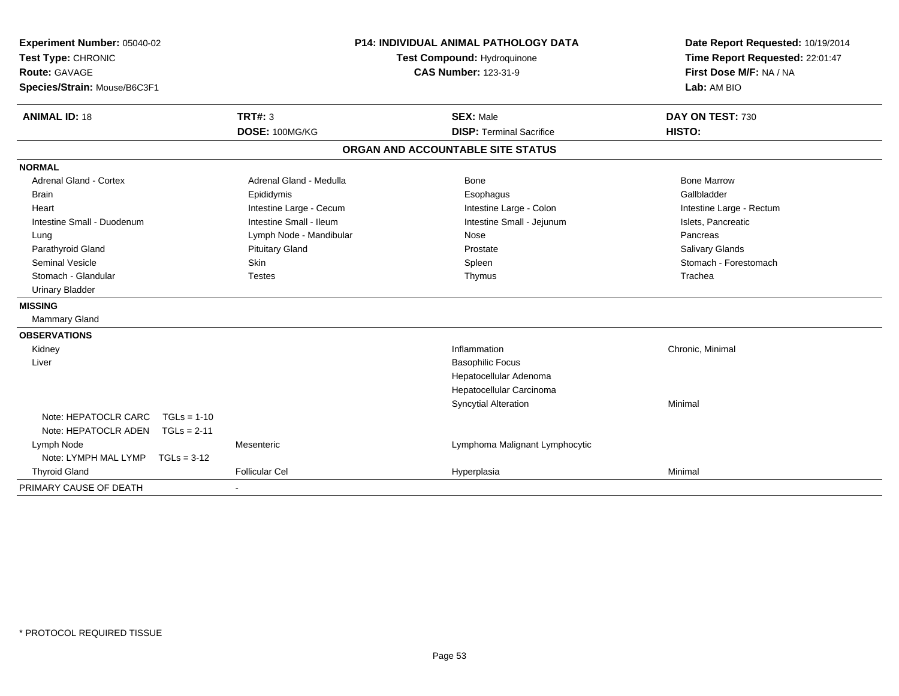| Experiment Number: 05040-02<br>Test Type: CHRONIC<br><b>Route: GAVAGE</b><br>Species/Strain: Mouse/B6C3F1 |                         | <b>P14: INDIVIDUAL ANIMAL PATHOLOGY DATA</b><br>Test Compound: Hydroquinone<br><b>CAS Number: 123-31-9</b> | Date Report Requested: 10/19/2014<br>Time Report Requested: 22:01:47<br>First Dose M/F: NA / NA<br>Lab: AM BIO |
|-----------------------------------------------------------------------------------------------------------|-------------------------|------------------------------------------------------------------------------------------------------------|----------------------------------------------------------------------------------------------------------------|
| <b>ANIMAL ID: 18</b>                                                                                      | TRT#: 3                 | <b>SEX: Male</b>                                                                                           | DAY ON TEST: 730                                                                                               |
|                                                                                                           | DOSE: 100MG/KG          | <b>DISP: Terminal Sacrifice</b>                                                                            | HISTO:                                                                                                         |
|                                                                                                           |                         | ORGAN AND ACCOUNTABLE SITE STATUS                                                                          |                                                                                                                |
| <b>NORMAL</b>                                                                                             |                         |                                                                                                            |                                                                                                                |
| <b>Adrenal Gland - Cortex</b>                                                                             | Adrenal Gland - Medulla | Bone                                                                                                       | <b>Bone Marrow</b>                                                                                             |
| <b>Brain</b>                                                                                              | Epididymis              | Esophagus                                                                                                  | Gallbladder                                                                                                    |
| Heart                                                                                                     | Intestine Large - Cecum | Intestine Large - Colon                                                                                    | Intestine Large - Rectum                                                                                       |
| Intestine Small - Duodenum                                                                                | Intestine Small - Ileum | Intestine Small - Jejunum                                                                                  | Islets, Pancreatic                                                                                             |
| Lung                                                                                                      | Lymph Node - Mandibular | Nose                                                                                                       | Pancreas                                                                                                       |
| Parathyroid Gland                                                                                         | <b>Pituitary Gland</b>  | Prostate                                                                                                   | Salivary Glands                                                                                                |
| <b>Seminal Vesicle</b>                                                                                    | Skin                    | Spleen                                                                                                     | Stomach - Forestomach                                                                                          |
| Stomach - Glandular                                                                                       | <b>Testes</b>           | Thymus                                                                                                     | Trachea                                                                                                        |
| <b>Urinary Bladder</b>                                                                                    |                         |                                                                                                            |                                                                                                                |
| <b>MISSING</b>                                                                                            |                         |                                                                                                            |                                                                                                                |
| Mammary Gland                                                                                             |                         |                                                                                                            |                                                                                                                |
| <b>OBSERVATIONS</b>                                                                                       |                         |                                                                                                            |                                                                                                                |
| Kidney                                                                                                    |                         | Inflammation                                                                                               | Chronic, Minimal                                                                                               |
| Liver                                                                                                     |                         | <b>Basophilic Focus</b>                                                                                    |                                                                                                                |
|                                                                                                           |                         | Hepatocellular Adenoma                                                                                     |                                                                                                                |
|                                                                                                           |                         | Hepatocellular Carcinoma                                                                                   |                                                                                                                |
|                                                                                                           |                         | <b>Syncytial Alteration</b>                                                                                | Minimal                                                                                                        |
| Note: HEPATOCLR CARC<br>$TGLs = 1-10$                                                                     |                         |                                                                                                            |                                                                                                                |
| Note: HEPATOCLR ADEN<br>$TGLs = 2-11$                                                                     |                         |                                                                                                            |                                                                                                                |
| Lymph Node                                                                                                | Mesenteric              | Lymphoma Malignant Lymphocytic                                                                             |                                                                                                                |
| Note: LYMPH MAL LYMP<br>$TGLs = 3-12$                                                                     |                         |                                                                                                            |                                                                                                                |
| <b>Thyroid Gland</b>                                                                                      | <b>Follicular Cel</b>   | Hyperplasia                                                                                                | Minimal                                                                                                        |
| PRIMARY CAUSE OF DEATH                                                                                    |                         |                                                                                                            |                                                                                                                |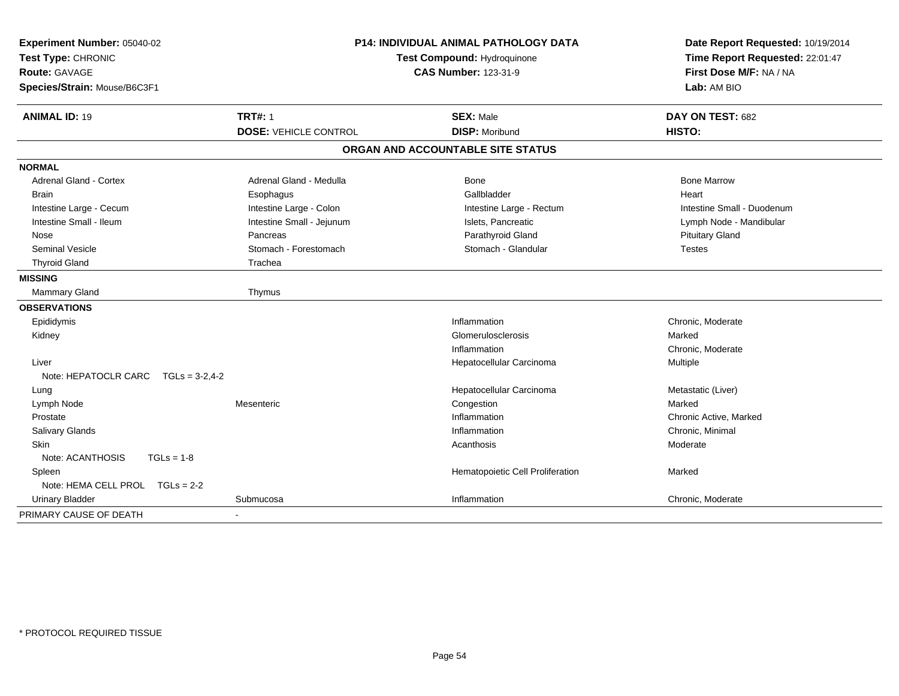| Experiment Number: 05040-02<br>Test Type: CHRONIC<br><b>Route: GAVAGE</b><br>Species/Strain: Mouse/B6C3F1 |                              | <b>P14: INDIVIDUAL ANIMAL PATHOLOGY DATA</b><br>Test Compound: Hydroquinone<br><b>CAS Number: 123-31-9</b> | Date Report Requested: 10/19/2014<br>Time Report Requested: 22:01:47<br>First Dose M/F: NA / NA<br>Lab: AM BIO |  |
|-----------------------------------------------------------------------------------------------------------|------------------------------|------------------------------------------------------------------------------------------------------------|----------------------------------------------------------------------------------------------------------------|--|
| <b>ANIMAL ID: 19</b>                                                                                      | <b>TRT#: 1</b>               | <b>SEX: Male</b>                                                                                           | DAY ON TEST: 682                                                                                               |  |
|                                                                                                           | <b>DOSE: VEHICLE CONTROL</b> | <b>DISP: Moribund</b>                                                                                      | HISTO:                                                                                                         |  |
|                                                                                                           |                              | ORGAN AND ACCOUNTABLE SITE STATUS                                                                          |                                                                                                                |  |
| <b>NORMAL</b>                                                                                             |                              |                                                                                                            |                                                                                                                |  |
| <b>Adrenal Gland - Cortex</b>                                                                             | Adrenal Gland - Medulla      | <b>Bone</b>                                                                                                | <b>Bone Marrow</b>                                                                                             |  |
| <b>Brain</b>                                                                                              | Esophagus                    | Gallbladder                                                                                                | Heart                                                                                                          |  |
| Intestine Large - Cecum                                                                                   | Intestine Large - Colon      | Intestine Large - Rectum                                                                                   | Intestine Small - Duodenum                                                                                     |  |
| Intestine Small - Ileum                                                                                   | Intestine Small - Jejunum    | Islets, Pancreatic                                                                                         | Lymph Node - Mandibular                                                                                        |  |
| Nose                                                                                                      | Pancreas                     | Parathyroid Gland                                                                                          | <b>Pituitary Gland</b>                                                                                         |  |
| Seminal Vesicle                                                                                           | Stomach - Forestomach        | Stomach - Glandular                                                                                        | <b>Testes</b>                                                                                                  |  |
| <b>Thyroid Gland</b>                                                                                      | Trachea                      |                                                                                                            |                                                                                                                |  |
| <b>MISSING</b>                                                                                            |                              |                                                                                                            |                                                                                                                |  |
| <b>Mammary Gland</b>                                                                                      | Thymus                       |                                                                                                            |                                                                                                                |  |
| <b>OBSERVATIONS</b>                                                                                       |                              |                                                                                                            |                                                                                                                |  |
| Epididymis                                                                                                |                              | Inflammation                                                                                               | Chronic, Moderate                                                                                              |  |
| Kidney                                                                                                    |                              | Glomerulosclerosis                                                                                         | Marked                                                                                                         |  |
|                                                                                                           |                              | Inflammation                                                                                               | Chronic, Moderate                                                                                              |  |
| Liver                                                                                                     |                              | Hepatocellular Carcinoma                                                                                   | Multiple                                                                                                       |  |
| Note: HEPATOCLR CARC<br>$TGLs = 3-2.4-2$                                                                  |                              |                                                                                                            |                                                                                                                |  |
| Lung                                                                                                      |                              | Hepatocellular Carcinoma                                                                                   | Metastatic (Liver)                                                                                             |  |
| Lymph Node                                                                                                | Mesenteric                   | Congestion                                                                                                 | Marked                                                                                                         |  |
| Prostate                                                                                                  |                              | Inflammation                                                                                               | Chronic Active, Marked                                                                                         |  |
| <b>Salivary Glands</b>                                                                                    |                              | Inflammation                                                                                               | Chronic, Minimal                                                                                               |  |
| <b>Skin</b>                                                                                               |                              | Acanthosis                                                                                                 | Moderate                                                                                                       |  |
| Note: ACANTHOSIS<br>$TGLs = 1-8$                                                                          |                              |                                                                                                            |                                                                                                                |  |
| Spleen                                                                                                    |                              | Hematopoietic Cell Proliferation                                                                           | Marked                                                                                                         |  |
| Note: HEMA CELL PROL TGLs = 2-2                                                                           |                              |                                                                                                            |                                                                                                                |  |
| <b>Urinary Bladder</b>                                                                                    | Submucosa                    | Inflammation                                                                                               | Chronic, Moderate                                                                                              |  |
| PRIMARY CAUSE OF DEATH                                                                                    |                              |                                                                                                            |                                                                                                                |  |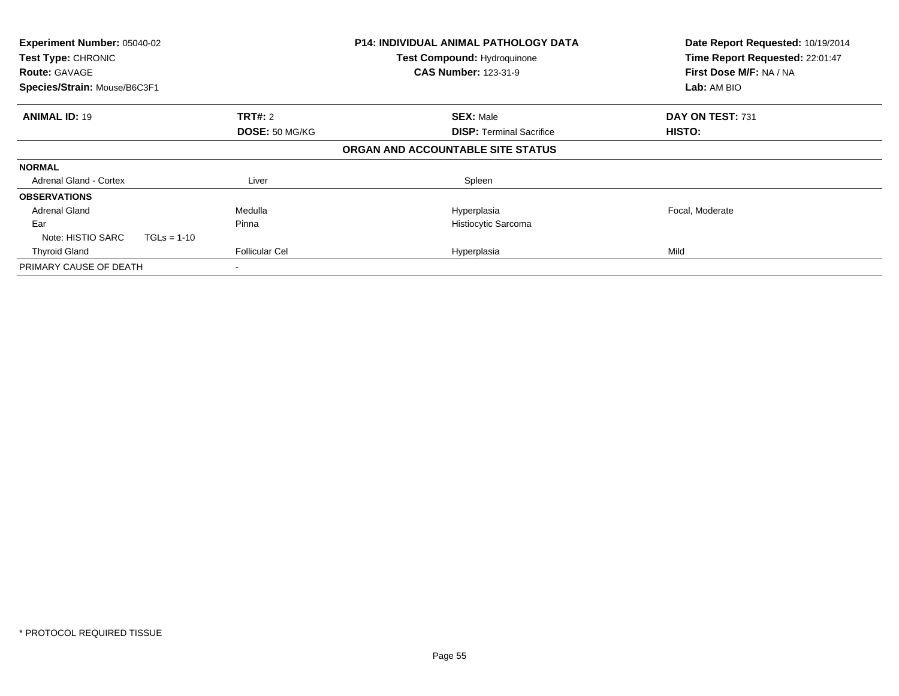| Experiment Number: 05040-02<br>Test Type: CHRONIC<br><b>Route: GAVAGE</b><br>Species/Strain: Mouse/B6C3F1 |                                  | <b>P14: INDIVIDUAL ANIMAL PATHOLOGY DATA</b><br><b>Test Compound: Hydroquinone</b><br><b>CAS Number: 123-31-9</b> | Date Report Requested: 10/19/2014<br>Time Report Requested: 22:01:47<br>First Dose M/F: NA / NA<br>Lab: AM BIO |
|-----------------------------------------------------------------------------------------------------------|----------------------------------|-------------------------------------------------------------------------------------------------------------------|----------------------------------------------------------------------------------------------------------------|
| <b>ANIMAL ID: 19</b>                                                                                      | <b>TRT#: 2</b><br>DOSE: 50 MG/KG | <b>SEX: Male</b><br><b>DISP:</b> Terminal Sacrifice                                                               | DAY ON TEST: 731<br>HISTO:                                                                                     |
|                                                                                                           |                                  | ORGAN AND ACCOUNTABLE SITE STATUS                                                                                 |                                                                                                                |
| <b>NORMAL</b>                                                                                             |                                  |                                                                                                                   |                                                                                                                |
| Adrenal Gland - Cortex                                                                                    | Liver                            | Spleen                                                                                                            |                                                                                                                |
| <b>OBSERVATIONS</b>                                                                                       |                                  |                                                                                                                   |                                                                                                                |
| <b>Adrenal Gland</b>                                                                                      | Medulla                          | Hyperplasia                                                                                                       | Focal, Moderate                                                                                                |
| Ear                                                                                                       | Pinna                            | Histiocytic Sarcoma                                                                                               |                                                                                                                |
| Note: HISTIO SARC                                                                                         | $TGLs = 1-10$                    |                                                                                                                   |                                                                                                                |
| <b>Thyroid Gland</b>                                                                                      | <b>Follicular Cel</b>            | Hyperplasia                                                                                                       | Mild                                                                                                           |
| PRIMARY CAUSE OF DEATH                                                                                    |                                  |                                                                                                                   |                                                                                                                |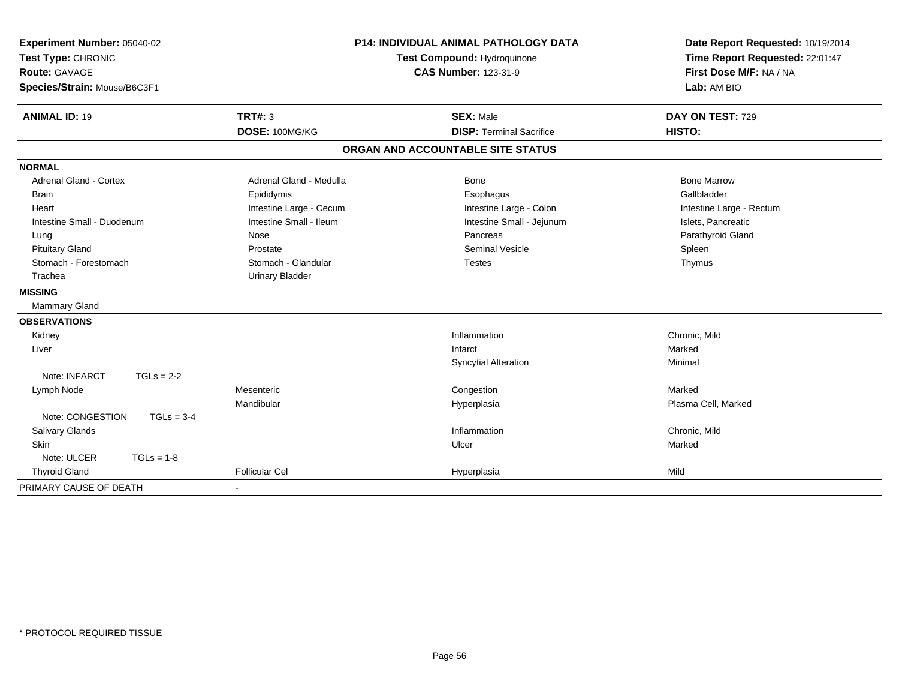| Experiment Number: 05040-02<br>Test Type: CHRONIC<br><b>Route: GAVAGE</b><br>Species/Strain: Mouse/B6C3F1 |                          | <b>P14: INDIVIDUAL ANIMAL PATHOLOGY DATA</b><br>Test Compound: Hydroquinone<br><b>CAS Number: 123-31-9</b> | Date Report Requested: 10/19/2014<br>Time Report Requested: 22:01:47<br>First Dose M/F: NA / NA<br>Lab: AM BIO |  |
|-----------------------------------------------------------------------------------------------------------|--------------------------|------------------------------------------------------------------------------------------------------------|----------------------------------------------------------------------------------------------------------------|--|
| <b>ANIMAL ID: 19</b>                                                                                      | <b>TRT#: 3</b>           | <b>SEX: Male</b>                                                                                           | DAY ON TEST: 729                                                                                               |  |
|                                                                                                           | DOSE: 100MG/KG           | <b>DISP: Terminal Sacrifice</b>                                                                            | HISTO:                                                                                                         |  |
|                                                                                                           |                          | ORGAN AND ACCOUNTABLE SITE STATUS                                                                          |                                                                                                                |  |
| <b>NORMAL</b>                                                                                             |                          |                                                                                                            |                                                                                                                |  |
| <b>Adrenal Gland - Cortex</b>                                                                             | Adrenal Gland - Medulla  | <b>Bone</b>                                                                                                | <b>Bone Marrow</b>                                                                                             |  |
| <b>Brain</b>                                                                                              | Epididymis               | Esophagus                                                                                                  | Gallbladder                                                                                                    |  |
| Heart                                                                                                     | Intestine Large - Cecum  | Intestine Large - Colon                                                                                    | Intestine Large - Rectum                                                                                       |  |
| Intestine Small - Duodenum                                                                                | Intestine Small - Ileum  | Intestine Small - Jejunum                                                                                  | Islets, Pancreatic                                                                                             |  |
| Lung                                                                                                      | Nose                     | Pancreas                                                                                                   | Parathyroid Gland                                                                                              |  |
| <b>Pituitary Gland</b>                                                                                    | Prostate                 | Seminal Vesicle                                                                                            | Spleen                                                                                                         |  |
| Stomach - Forestomach                                                                                     | Stomach - Glandular      | <b>Testes</b>                                                                                              | Thymus                                                                                                         |  |
| Trachea                                                                                                   | <b>Urinary Bladder</b>   |                                                                                                            |                                                                                                                |  |
| <b>MISSING</b>                                                                                            |                          |                                                                                                            |                                                                                                                |  |
| Mammary Gland                                                                                             |                          |                                                                                                            |                                                                                                                |  |
| <b>OBSERVATIONS</b>                                                                                       |                          |                                                                                                            |                                                                                                                |  |
| Kidney                                                                                                    |                          | Inflammation                                                                                               | Chronic, Mild                                                                                                  |  |
| Liver                                                                                                     |                          | Infarct                                                                                                    | Marked                                                                                                         |  |
|                                                                                                           |                          | Syncytial Alteration                                                                                       | Minimal                                                                                                        |  |
| Note: INFARCT<br>$TGLs = 2-2$                                                                             |                          |                                                                                                            |                                                                                                                |  |
| Lymph Node                                                                                                | Mesenteric               | Congestion                                                                                                 | Marked                                                                                                         |  |
|                                                                                                           | Mandibular               | Hyperplasia                                                                                                | Plasma Cell, Marked                                                                                            |  |
| Note: CONGESTION<br>$TGLs = 3-4$                                                                          |                          |                                                                                                            |                                                                                                                |  |
| Salivary Glands                                                                                           |                          | Inflammation                                                                                               | Chronic, Mild                                                                                                  |  |
| Skin                                                                                                      |                          | Ulcer                                                                                                      | Marked                                                                                                         |  |
| $TGLs = 1-8$<br>Note: ULCER                                                                               |                          |                                                                                                            |                                                                                                                |  |
| <b>Thyroid Gland</b>                                                                                      | <b>Follicular Cel</b>    | Hyperplasia                                                                                                | Mild                                                                                                           |  |
| PRIMARY CAUSE OF DEATH                                                                                    | $\overline{\phantom{a}}$ |                                                                                                            |                                                                                                                |  |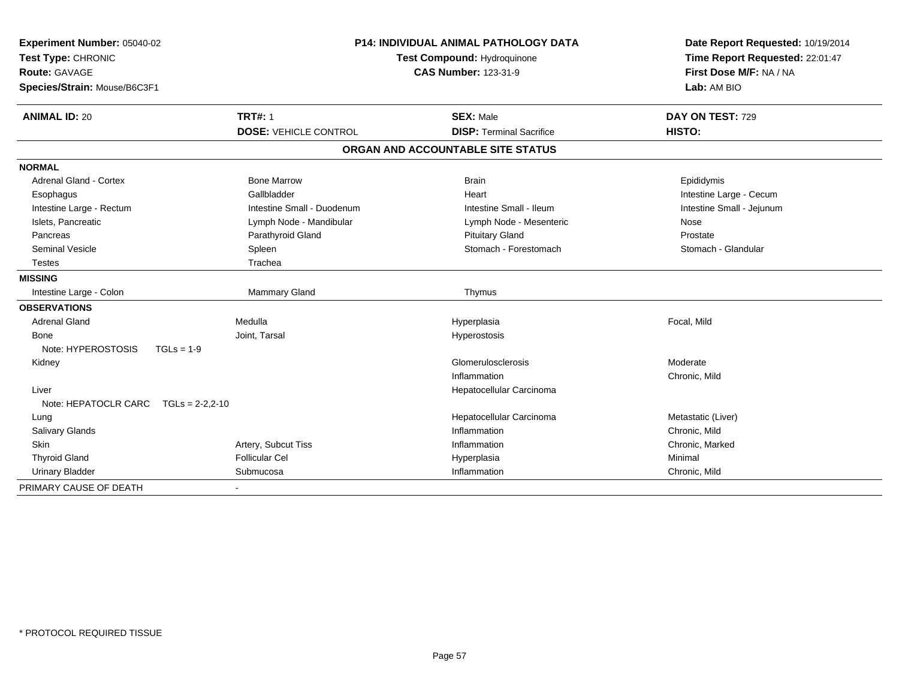| Experiment Number: 05040-02<br>Test Type: CHRONIC<br>Route: GAVAGE<br>Species/Strain: Mouse/B6C3F1 |                              | <b>P14: INDIVIDUAL ANIMAL PATHOLOGY DATA</b><br>Test Compound: Hydroquinone<br><b>CAS Number: 123-31-9</b> | Date Report Requested: 10/19/2014<br>Time Report Requested: 22:01:47<br>First Dose M/F: NA / NA<br>Lab: AM BIO |  |
|----------------------------------------------------------------------------------------------------|------------------------------|------------------------------------------------------------------------------------------------------------|----------------------------------------------------------------------------------------------------------------|--|
| <b>ANIMAL ID: 20</b>                                                                               | <b>TRT#: 1</b>               | <b>SEX: Male</b>                                                                                           | DAY ON TEST: 729                                                                                               |  |
|                                                                                                    | <b>DOSE: VEHICLE CONTROL</b> | <b>DISP: Terminal Sacrifice</b>                                                                            | HISTO:                                                                                                         |  |
|                                                                                                    |                              | ORGAN AND ACCOUNTABLE SITE STATUS                                                                          |                                                                                                                |  |
| <b>NORMAL</b>                                                                                      |                              |                                                                                                            |                                                                                                                |  |
| <b>Adrenal Gland - Cortex</b>                                                                      | <b>Bone Marrow</b>           | <b>Brain</b>                                                                                               | Epididymis                                                                                                     |  |
| Esophagus                                                                                          | Gallbladder                  | Heart                                                                                                      | Intestine Large - Cecum                                                                                        |  |
| Intestine Large - Rectum                                                                           | Intestine Small - Duodenum   | Intestine Small - Ileum                                                                                    | Intestine Small - Jejunum                                                                                      |  |
| Islets, Pancreatic                                                                                 | Lymph Node - Mandibular      | Lymph Node - Mesenteric                                                                                    | Nose                                                                                                           |  |
| Pancreas                                                                                           | Parathyroid Gland            | <b>Pituitary Gland</b>                                                                                     | Prostate                                                                                                       |  |
| <b>Seminal Vesicle</b>                                                                             | Spleen                       | Stomach - Forestomach                                                                                      | Stomach - Glandular                                                                                            |  |
| <b>Testes</b>                                                                                      | Trachea                      |                                                                                                            |                                                                                                                |  |
| <b>MISSING</b>                                                                                     |                              |                                                                                                            |                                                                                                                |  |
| Intestine Large - Colon                                                                            | Mammary Gland                | Thymus                                                                                                     |                                                                                                                |  |
| <b>OBSERVATIONS</b>                                                                                |                              |                                                                                                            |                                                                                                                |  |
| <b>Adrenal Gland</b>                                                                               | Medulla                      | Hyperplasia                                                                                                | Focal, Mild                                                                                                    |  |
| Bone                                                                                               | Joint, Tarsal                | Hyperostosis                                                                                               |                                                                                                                |  |
| Note: HYPEROSTOSIS<br>$TGLs = 1-9$                                                                 |                              |                                                                                                            |                                                                                                                |  |
| Kidney                                                                                             |                              | Glomerulosclerosis                                                                                         | Moderate                                                                                                       |  |
|                                                                                                    |                              | Inflammation                                                                                               | Chronic, Mild                                                                                                  |  |
| Liver                                                                                              |                              | Hepatocellular Carcinoma                                                                                   |                                                                                                                |  |
| Note: HEPATOCLR CARC TGLs = 2-2,2-10                                                               |                              |                                                                                                            |                                                                                                                |  |
| Lung                                                                                               |                              | Hepatocellular Carcinoma                                                                                   | Metastatic (Liver)                                                                                             |  |
| Salivary Glands                                                                                    |                              | Inflammation                                                                                               | Chronic, Mild                                                                                                  |  |
| Skin                                                                                               | Artery, Subcut Tiss          | Inflammation                                                                                               | Chronic, Marked                                                                                                |  |
| <b>Thyroid Gland</b>                                                                               | <b>Follicular Cel</b>        | Hyperplasia                                                                                                | Minimal                                                                                                        |  |
| <b>Urinary Bladder</b>                                                                             | Submucosa                    | Inflammation                                                                                               | Chronic, Mild                                                                                                  |  |
| PRIMARY CAUSE OF DEATH                                                                             |                              |                                                                                                            |                                                                                                                |  |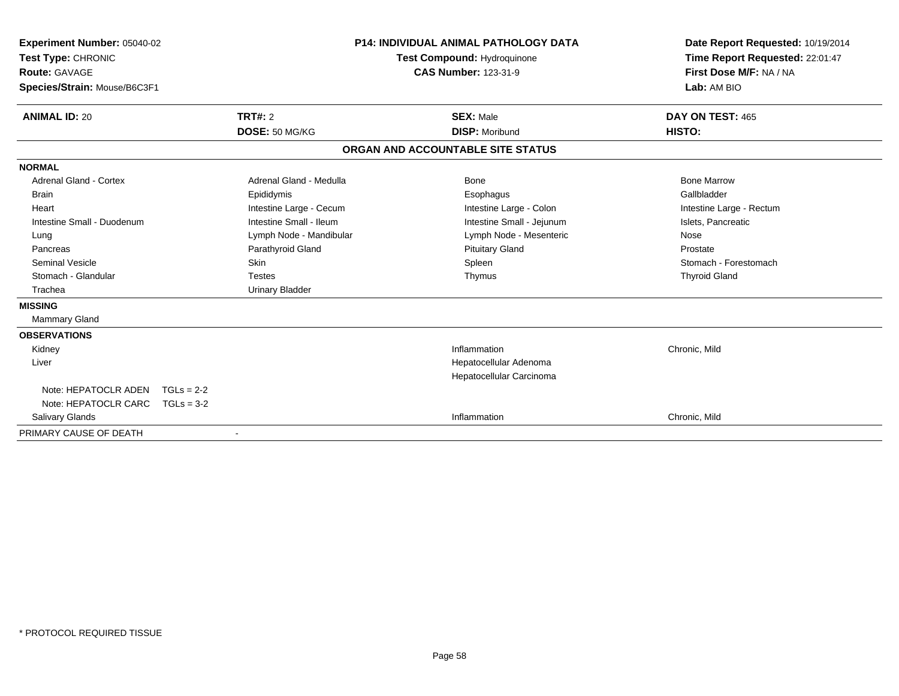| Experiment Number: 05040-02<br>Test Type: CHRONIC<br>Route: GAVAGE<br>Species/Strain: Mouse/B6C3F1 |              |                         | <b>P14: INDIVIDUAL ANIMAL PATHOLOGY DATA</b><br><b>Test Compound: Hydroquinone</b><br><b>CAS Number: 123-31-9</b> |                                   | Date Report Requested: 10/19/2014<br>Time Report Requested: 22:01:47<br>First Dose M/F: NA / NA<br>Lab: AM BIO |
|----------------------------------------------------------------------------------------------------|--------------|-------------------------|-------------------------------------------------------------------------------------------------------------------|-----------------------------------|----------------------------------------------------------------------------------------------------------------|
| <b>ANIMAL ID: 20</b>                                                                               |              | <b>TRT#: 2</b>          |                                                                                                                   | <b>SEX: Male</b>                  | DAY ON TEST: 465                                                                                               |
|                                                                                                    |              | DOSE: 50 MG/KG          |                                                                                                                   | <b>DISP: Moribund</b>             | HISTO:                                                                                                         |
|                                                                                                    |              |                         |                                                                                                                   | ORGAN AND ACCOUNTABLE SITE STATUS |                                                                                                                |
| <b>NORMAL</b>                                                                                      |              |                         |                                                                                                                   |                                   |                                                                                                                |
| <b>Adrenal Gland - Cortex</b>                                                                      |              | Adrenal Gland - Medulla |                                                                                                                   | Bone                              | <b>Bone Marrow</b>                                                                                             |
| <b>Brain</b>                                                                                       |              | Epididymis              |                                                                                                                   | Esophagus                         | Gallbladder                                                                                                    |
| Heart                                                                                              |              | Intestine Large - Cecum |                                                                                                                   | Intestine Large - Colon           | Intestine Large - Rectum                                                                                       |
| Intestine Small - Duodenum                                                                         |              | Intestine Small - Ileum |                                                                                                                   | Intestine Small - Jejunum         | Islets, Pancreatic                                                                                             |
| Lung                                                                                               |              | Lymph Node - Mandibular |                                                                                                                   | Lymph Node - Mesenteric           | Nose                                                                                                           |
| Pancreas                                                                                           |              | Parathyroid Gland       |                                                                                                                   | <b>Pituitary Gland</b>            | Prostate                                                                                                       |
| <b>Seminal Vesicle</b>                                                                             |              | Skin                    |                                                                                                                   | Spleen                            | Stomach - Forestomach                                                                                          |
| Stomach - Glandular                                                                                |              | <b>Testes</b>           |                                                                                                                   | Thymus                            | <b>Thyroid Gland</b>                                                                                           |
| Trachea                                                                                            |              | <b>Urinary Bladder</b>  |                                                                                                                   |                                   |                                                                                                                |
| <b>MISSING</b>                                                                                     |              |                         |                                                                                                                   |                                   |                                                                                                                |
| Mammary Gland                                                                                      |              |                         |                                                                                                                   |                                   |                                                                                                                |
| <b>OBSERVATIONS</b>                                                                                |              |                         |                                                                                                                   |                                   |                                                                                                                |
| Kidney                                                                                             |              |                         |                                                                                                                   | Inflammation                      | Chronic, Mild                                                                                                  |
| Liver                                                                                              |              |                         |                                                                                                                   | Hepatocellular Adenoma            |                                                                                                                |
|                                                                                                    |              |                         |                                                                                                                   | Hepatocellular Carcinoma          |                                                                                                                |
| Note: HEPATOCLR ADEN                                                                               | $TGLs = 2-2$ |                         |                                                                                                                   |                                   |                                                                                                                |
| Note: HEPATOCLR CARC                                                                               | $TGLs = 3-2$ |                         |                                                                                                                   |                                   |                                                                                                                |
| Salivary Glands                                                                                    |              |                         |                                                                                                                   | Inflammation                      | Chronic, Mild                                                                                                  |
| PRIMARY CAUSE OF DEATH                                                                             |              |                         |                                                                                                                   |                                   |                                                                                                                |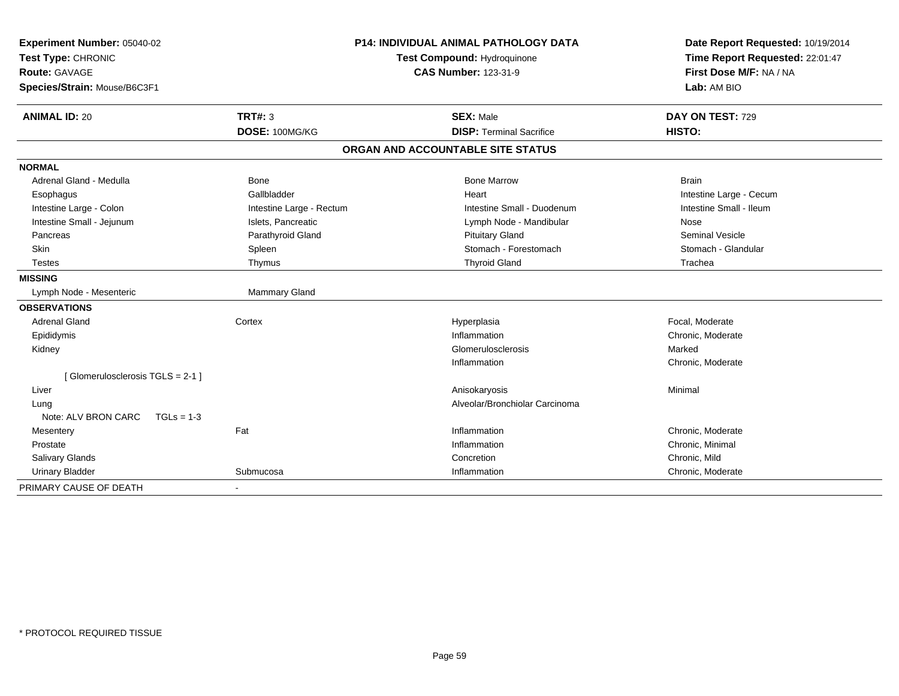| Experiment Number: 05040-02<br>Test Type: CHRONIC |                          | <b>P14: INDIVIDUAL ANIMAL PATHOLOGY DATA</b><br>Test Compound: Hydroquinone | Date Report Requested: 10/19/2014<br>Time Report Requested: 22:01:47 |  |
|---------------------------------------------------|--------------------------|-----------------------------------------------------------------------------|----------------------------------------------------------------------|--|
| Route: GAVAGE                                     |                          | <b>CAS Number: 123-31-9</b>                                                 | First Dose M/F: NA / NA                                              |  |
| Species/Strain: Mouse/B6C3F1                      |                          |                                                                             | Lab: AM BIO                                                          |  |
| <b>ANIMAL ID: 20</b>                              | <b>TRT#: 3</b>           | <b>SEX: Male</b>                                                            | DAY ON TEST: 729                                                     |  |
|                                                   | DOSE: 100MG/KG           | <b>DISP: Terminal Sacrifice</b>                                             | HISTO:                                                               |  |
|                                                   |                          | ORGAN AND ACCOUNTABLE SITE STATUS                                           |                                                                      |  |
| <b>NORMAL</b>                                     |                          |                                                                             |                                                                      |  |
| Adrenal Gland - Medulla                           | Bone                     | <b>Bone Marrow</b>                                                          | <b>Brain</b>                                                         |  |
| Esophagus                                         | Gallbladder              | Heart                                                                       | Intestine Large - Cecum                                              |  |
| Intestine Large - Colon                           | Intestine Large - Rectum | Intestine Small - Duodenum                                                  | Intestine Small - Ileum                                              |  |
| Intestine Small - Jejunum                         | Islets, Pancreatic       | Lymph Node - Mandibular                                                     | Nose                                                                 |  |
| Pancreas                                          | Parathyroid Gland        | <b>Pituitary Gland</b>                                                      | <b>Seminal Vesicle</b>                                               |  |
| <b>Skin</b>                                       | Spleen                   | Stomach - Forestomach                                                       | Stomach - Glandular                                                  |  |
| <b>Testes</b>                                     | Thymus                   | <b>Thyroid Gland</b>                                                        | Trachea                                                              |  |
| <b>MISSING</b>                                    |                          |                                                                             |                                                                      |  |
| Lymph Node - Mesenteric                           | Mammary Gland            |                                                                             |                                                                      |  |
| <b>OBSERVATIONS</b>                               |                          |                                                                             |                                                                      |  |
| <b>Adrenal Gland</b>                              | Cortex                   | Hyperplasia                                                                 | Focal, Moderate                                                      |  |
| Epididymis                                        |                          | Inflammation                                                                | Chronic, Moderate                                                    |  |
| Kidney                                            |                          | Glomerulosclerosis                                                          | Marked                                                               |  |
|                                                   |                          | Inflammation                                                                | Chronic, Moderate                                                    |  |
| [Glomerulosclerosis TGLS = 2-1]                   |                          |                                                                             |                                                                      |  |
| Liver                                             |                          | Anisokaryosis                                                               | Minimal                                                              |  |
| Lung                                              |                          | Alveolar/Bronchiolar Carcinoma                                              |                                                                      |  |
| Note: ALV BRON CARC<br>$TGLs = 1-3$               |                          |                                                                             |                                                                      |  |
| Mesentery                                         | Fat                      | Inflammation                                                                | Chronic, Moderate                                                    |  |
| Prostate                                          |                          | Inflammation                                                                | Chronic, Minimal                                                     |  |
| <b>Salivary Glands</b>                            |                          | Concretion                                                                  | Chronic. Mild                                                        |  |
| <b>Urinary Bladder</b>                            | Submucosa                | Inflammation                                                                | Chronic, Moderate                                                    |  |
| PRIMARY CAUSE OF DEATH                            |                          |                                                                             |                                                                      |  |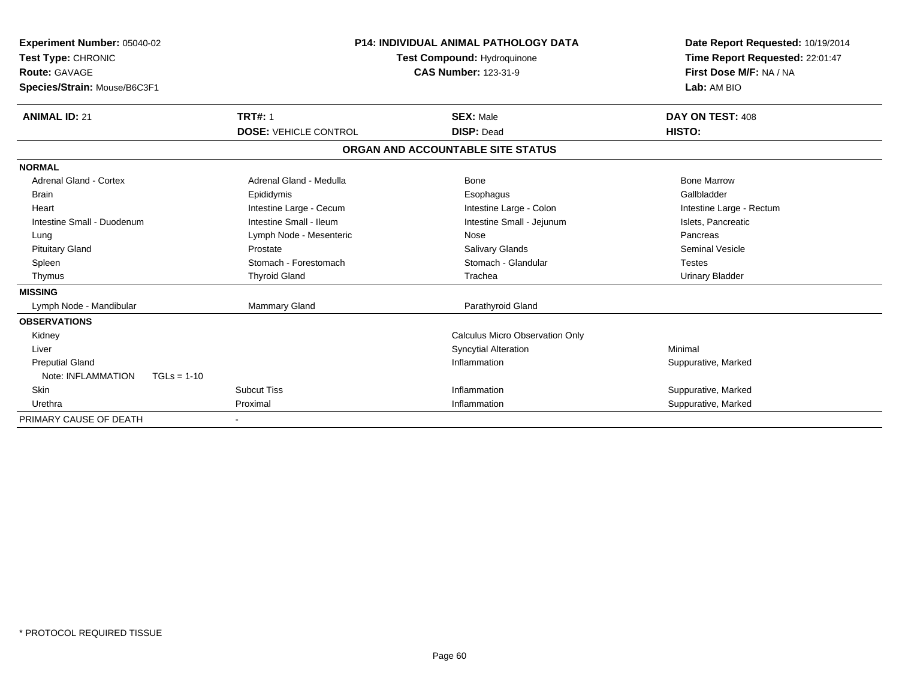| Experiment Number: 05040-02<br>Test Type: CHRONIC<br><b>Route: GAVAGE</b><br>Species/Strain: Mouse/B6C3F1 |                              | <b>P14: INDIVIDUAL ANIMAL PATHOLOGY DATA</b><br><b>Test Compound: Hydroquinone</b><br><b>CAS Number: 123-31-9</b> | Date Report Requested: 10/19/2014<br>Time Report Requested: 22:01:47<br>First Dose M/F: NA / NA<br>Lab: AM BIO |
|-----------------------------------------------------------------------------------------------------------|------------------------------|-------------------------------------------------------------------------------------------------------------------|----------------------------------------------------------------------------------------------------------------|
| <b>ANIMAL ID: 21</b>                                                                                      | <b>TRT#: 1</b>               | <b>SEX: Male</b>                                                                                                  | DAY ON TEST: 408                                                                                               |
|                                                                                                           | <b>DOSE: VEHICLE CONTROL</b> | <b>DISP: Dead</b>                                                                                                 | HISTO:                                                                                                         |
|                                                                                                           |                              | ORGAN AND ACCOUNTABLE SITE STATUS                                                                                 |                                                                                                                |
| <b>NORMAL</b>                                                                                             |                              |                                                                                                                   |                                                                                                                |
| Adrenal Gland - Cortex                                                                                    | Adrenal Gland - Medulla      | <b>Bone</b>                                                                                                       | <b>Bone Marrow</b>                                                                                             |
| <b>Brain</b>                                                                                              | Epididymis                   | Esophagus                                                                                                         | Gallbladder                                                                                                    |
| Heart                                                                                                     | Intestine Large - Cecum      | Intestine Large - Colon                                                                                           | Intestine Large - Rectum                                                                                       |
| Intestine Small - Duodenum                                                                                | Intestine Small - Ileum      | Intestine Small - Jejunum                                                                                         | Islets, Pancreatic                                                                                             |
| Lung                                                                                                      | Lymph Node - Mesenteric      | Nose                                                                                                              | Pancreas                                                                                                       |
| <b>Pituitary Gland</b>                                                                                    | Prostate                     | <b>Salivary Glands</b>                                                                                            | <b>Seminal Vesicle</b>                                                                                         |
| Spleen                                                                                                    | Stomach - Forestomach        | Stomach - Glandular                                                                                               | <b>Testes</b>                                                                                                  |
| Thymus                                                                                                    | <b>Thyroid Gland</b>         | Trachea                                                                                                           | <b>Urinary Bladder</b>                                                                                         |
| <b>MISSING</b>                                                                                            |                              |                                                                                                                   |                                                                                                                |
| Lymph Node - Mandibular                                                                                   | Mammary Gland                | Parathyroid Gland                                                                                                 |                                                                                                                |
| <b>OBSERVATIONS</b>                                                                                       |                              |                                                                                                                   |                                                                                                                |
| Kidney                                                                                                    |                              | <b>Calculus Micro Observation Only</b>                                                                            |                                                                                                                |
| Liver                                                                                                     |                              | <b>Syncytial Alteration</b>                                                                                       | Minimal                                                                                                        |
| <b>Preputial Gland</b>                                                                                    |                              | Inflammation                                                                                                      | Suppurative, Marked                                                                                            |
| Note: INFLAMMATION<br>$TGLs = 1-10$                                                                       |                              |                                                                                                                   |                                                                                                                |
| Skin                                                                                                      | <b>Subcut Tiss</b>           | Inflammation                                                                                                      | Suppurative, Marked                                                                                            |
| Urethra                                                                                                   | Proximal                     | Inflammation                                                                                                      | Suppurative, Marked                                                                                            |
| PRIMARY CAUSE OF DEATH                                                                                    |                              |                                                                                                                   |                                                                                                                |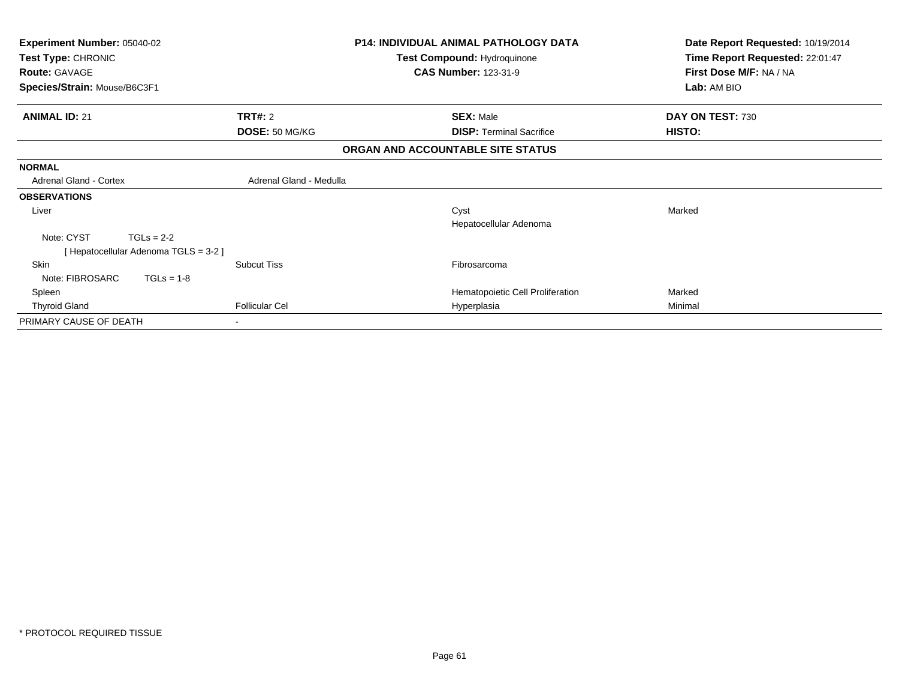| <b>Experiment Number: 05040-02</b><br>Test Type: CHRONIC<br><b>Route: GAVAGE</b> | <b>P14: INDIVIDUAL ANIMAL PATHOLOGY DATA</b><br>Test Compound: Hydroquinone<br><b>CAS Number: 123-31-9</b> |                                   | Date Report Requested: 10/19/2014<br>Time Report Requested: 22:01:47<br>First Dose M/F: NA / NA |
|----------------------------------------------------------------------------------|------------------------------------------------------------------------------------------------------------|-----------------------------------|-------------------------------------------------------------------------------------------------|
| Species/Strain: Mouse/B6C3F1                                                     |                                                                                                            |                                   | Lab: AM BIO                                                                                     |
| <b>ANIMAL ID: 21</b>                                                             | <b>TRT#:</b> 2                                                                                             | <b>SEX: Male</b>                  | DAY ON TEST: 730                                                                                |
|                                                                                  | DOSE: 50 MG/KG                                                                                             | <b>DISP:</b> Terminal Sacrifice   | HISTO:                                                                                          |
|                                                                                  |                                                                                                            | ORGAN AND ACCOUNTABLE SITE STATUS |                                                                                                 |
| <b>NORMAL</b>                                                                    |                                                                                                            |                                   |                                                                                                 |
| <b>Adrenal Gland - Cortex</b>                                                    | Adrenal Gland - Medulla                                                                                    |                                   |                                                                                                 |
| <b>OBSERVATIONS</b>                                                              |                                                                                                            |                                   |                                                                                                 |
| Liver                                                                            |                                                                                                            | Cyst<br>Hepatocellular Adenoma    | Marked                                                                                          |
| Note: CYST<br>$TGLs = 2-2$<br>[Hepatocellular Adenoma TGLS = 3-2]                |                                                                                                            |                                   |                                                                                                 |
| <b>Skin</b><br>Note: FIBROSARC<br>$TGLs = 1-8$                                   | <b>Subcut Tiss</b>                                                                                         | Fibrosarcoma                      |                                                                                                 |
| Spleen                                                                           |                                                                                                            | Hematopoietic Cell Proliferation  | Marked                                                                                          |
| <b>Thyroid Gland</b>                                                             | <b>Follicular Cel</b>                                                                                      | Hyperplasia                       | Minimal                                                                                         |
| PRIMARY CAUSE OF DEATH                                                           |                                                                                                            |                                   |                                                                                                 |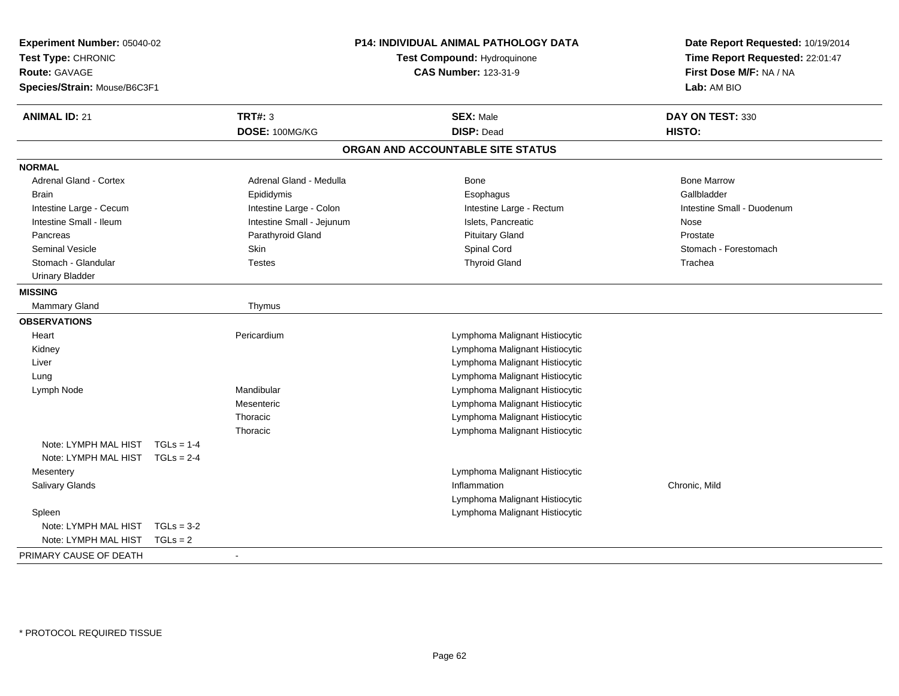| Experiment Number: 05040-02<br>Test Type: CHRONIC<br><b>Route: GAVAGE</b><br>Species/Strain: Mouse/B6C3F1 |              | P14: INDIVIDUAL ANIMAL PATHOLOGY DATA<br>Test Compound: Hydroquinone<br><b>CAS Number: 123-31-9</b> |                                   | Date Report Requested: 10/19/2014<br>Time Report Requested: 22:01:47<br>First Dose M/F: NA / NA<br>Lab: AM BIO |  |
|-----------------------------------------------------------------------------------------------------------|--------------|-----------------------------------------------------------------------------------------------------|-----------------------------------|----------------------------------------------------------------------------------------------------------------|--|
| <b>ANIMAL ID: 21</b>                                                                                      |              | <b>TRT#: 3</b>                                                                                      | <b>SEX: Male</b>                  | DAY ON TEST: 330                                                                                               |  |
|                                                                                                           |              | DOSE: 100MG/KG                                                                                      | <b>DISP: Dead</b>                 | <b>HISTO:</b>                                                                                                  |  |
|                                                                                                           |              |                                                                                                     | ORGAN AND ACCOUNTABLE SITE STATUS |                                                                                                                |  |
| <b>NORMAL</b>                                                                                             |              |                                                                                                     |                                   |                                                                                                                |  |
| Adrenal Gland - Cortex                                                                                    |              | Adrenal Gland - Medulla                                                                             | <b>Bone</b>                       | <b>Bone Marrow</b>                                                                                             |  |
| <b>Brain</b>                                                                                              |              | Epididymis                                                                                          | Esophagus                         | Gallbladder                                                                                                    |  |
| Intestine Large - Cecum                                                                                   |              | Intestine Large - Colon                                                                             | Intestine Large - Rectum          | Intestine Small - Duodenum                                                                                     |  |
| Intestine Small - Ileum                                                                                   |              | Intestine Small - Jejunum                                                                           | Islets, Pancreatic                | Nose                                                                                                           |  |
| Pancreas                                                                                                  |              | Parathyroid Gland                                                                                   | <b>Pituitary Gland</b>            | Prostate                                                                                                       |  |
| <b>Seminal Vesicle</b>                                                                                    |              | Skin                                                                                                | Spinal Cord                       | Stomach - Forestomach                                                                                          |  |
| Stomach - Glandular                                                                                       |              | <b>Testes</b>                                                                                       | <b>Thyroid Gland</b>              | Trachea                                                                                                        |  |
| <b>Urinary Bladder</b>                                                                                    |              |                                                                                                     |                                   |                                                                                                                |  |
| <b>MISSING</b>                                                                                            |              |                                                                                                     |                                   |                                                                                                                |  |
| <b>Mammary Gland</b>                                                                                      |              | Thymus                                                                                              |                                   |                                                                                                                |  |
| <b>OBSERVATIONS</b>                                                                                       |              |                                                                                                     |                                   |                                                                                                                |  |
| Heart                                                                                                     |              | Pericardium                                                                                         | Lymphoma Malignant Histiocytic    |                                                                                                                |  |
| Kidney                                                                                                    |              |                                                                                                     | Lymphoma Malignant Histiocytic    |                                                                                                                |  |
| Liver                                                                                                     |              |                                                                                                     | Lymphoma Malignant Histiocytic    |                                                                                                                |  |
| Lung                                                                                                      |              |                                                                                                     | Lymphoma Malignant Histiocytic    |                                                                                                                |  |
| Lymph Node                                                                                                |              | Mandibular                                                                                          | Lymphoma Malignant Histiocytic    |                                                                                                                |  |
|                                                                                                           |              | Mesenteric                                                                                          | Lymphoma Malignant Histiocytic    |                                                                                                                |  |
|                                                                                                           |              | Thoracic                                                                                            | Lymphoma Malignant Histiocytic    |                                                                                                                |  |
|                                                                                                           |              | Thoracic                                                                                            | Lymphoma Malignant Histiocytic    |                                                                                                                |  |
| Note: LYMPH MAL HIST                                                                                      | $TGLs = 1-4$ |                                                                                                     |                                   |                                                                                                                |  |
| Note: LYMPH MAL HIST TGLs = 2-4                                                                           |              |                                                                                                     |                                   |                                                                                                                |  |
| Mesentery                                                                                                 |              |                                                                                                     | Lymphoma Malignant Histiocytic    |                                                                                                                |  |
| Salivary Glands                                                                                           |              |                                                                                                     | Inflammation                      | Chronic, Mild                                                                                                  |  |
|                                                                                                           |              |                                                                                                     | Lymphoma Malignant Histiocytic    |                                                                                                                |  |
| Spleen                                                                                                    |              |                                                                                                     | Lymphoma Malignant Histiocytic    |                                                                                                                |  |
| Note: LYMPH MAL HIST                                                                                      | $TGLs = 3-2$ |                                                                                                     |                                   |                                                                                                                |  |
| Note: LYMPH MAL HIST                                                                                      | $TGLS = 2$   |                                                                                                     |                                   |                                                                                                                |  |
| PRIMARY CAUSE OF DEATH                                                                                    |              |                                                                                                     |                                   |                                                                                                                |  |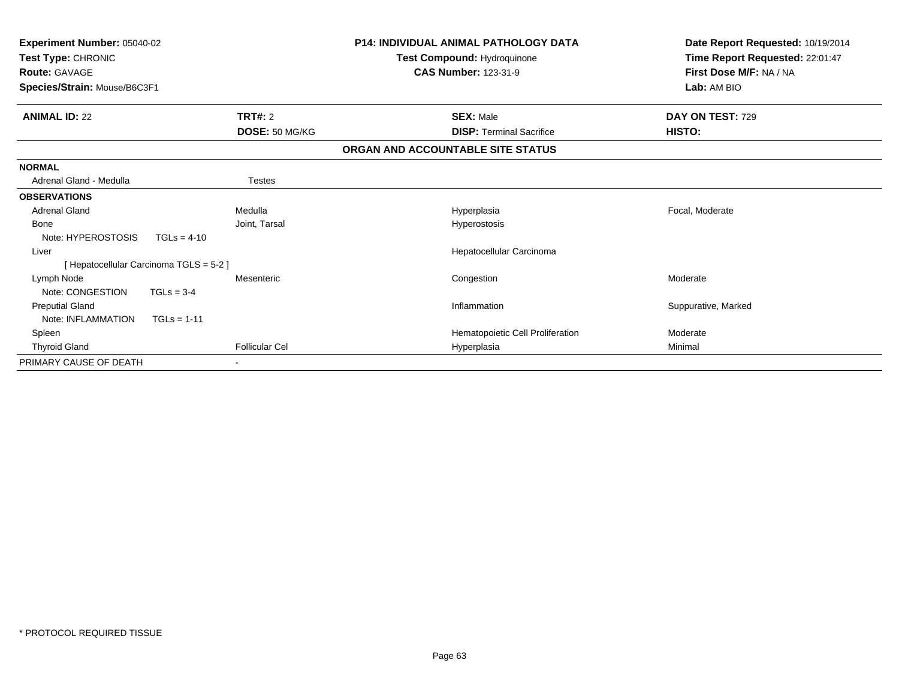| Experiment Number: 05040-02<br>Test Type: CHRONIC<br><b>Route: GAVAGE</b><br>Species/Strain: Mouse/B6C3F1 |               |                       | <b>P14: INDIVIDUAL ANIMAL PATHOLOGY DATA</b><br>Test Compound: Hydroquinone<br><b>CAS Number: 123-31-9</b> | Date Report Requested: 10/19/2014<br>Time Report Requested: 22:01:47<br>First Dose M/F: NA / NA<br>Lab: AM BIO |
|-----------------------------------------------------------------------------------------------------------|---------------|-----------------------|------------------------------------------------------------------------------------------------------------|----------------------------------------------------------------------------------------------------------------|
| <b>ANIMAL ID: 22</b>                                                                                      |               | <b>TRT#: 2</b>        | <b>SEX: Male</b>                                                                                           | DAY ON TEST: 729                                                                                               |
|                                                                                                           |               | DOSE: 50 MG/KG        | <b>DISP:</b> Terminal Sacrifice                                                                            | <b>HISTO:</b>                                                                                                  |
|                                                                                                           |               |                       | ORGAN AND ACCOUNTABLE SITE STATUS                                                                          |                                                                                                                |
| <b>NORMAL</b>                                                                                             |               |                       |                                                                                                            |                                                                                                                |
| Adrenal Gland - Medulla                                                                                   |               | <b>Testes</b>         |                                                                                                            |                                                                                                                |
| <b>OBSERVATIONS</b>                                                                                       |               |                       |                                                                                                            |                                                                                                                |
| <b>Adrenal Gland</b>                                                                                      |               | Medulla               | Hyperplasia                                                                                                | Focal, Moderate                                                                                                |
| Bone                                                                                                      |               | Joint, Tarsal         | Hyperostosis                                                                                               |                                                                                                                |
| Note: HYPEROSTOSIS                                                                                        | $TGLs = 4-10$ |                       |                                                                                                            |                                                                                                                |
| Liver                                                                                                     |               |                       | Hepatocellular Carcinoma                                                                                   |                                                                                                                |
| [ Hepatocellular Carcinoma TGLS = 5-2 ]                                                                   |               |                       |                                                                                                            |                                                                                                                |
| Lymph Node                                                                                                |               | Mesenteric            | Congestion                                                                                                 | Moderate                                                                                                       |
| Note: CONGESTION                                                                                          | $TGLs = 3-4$  |                       |                                                                                                            |                                                                                                                |
| <b>Preputial Gland</b>                                                                                    |               |                       | Inflammation                                                                                               | Suppurative, Marked                                                                                            |
| Note: INFLAMMATION                                                                                        | $TGLs = 1-11$ |                       |                                                                                                            |                                                                                                                |
| Spleen                                                                                                    |               |                       | Hematopoietic Cell Proliferation                                                                           | Moderate                                                                                                       |
| <b>Thyroid Gland</b>                                                                                      |               | <b>Follicular Cel</b> | Hyperplasia                                                                                                | Minimal                                                                                                        |
| PRIMARY CAUSE OF DEATH                                                                                    |               |                       |                                                                                                            |                                                                                                                |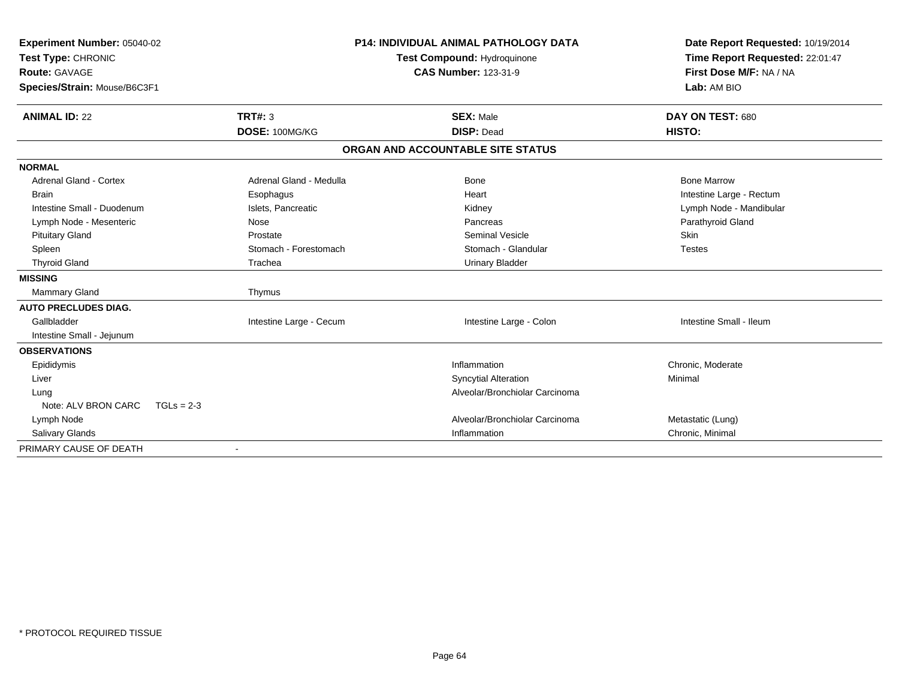| Experiment Number: 05040-02<br>Test Type: CHRONIC<br><b>Route: GAVAGE</b><br>Species/Strain: Mouse/B6C3F1 |                         | <b>P14: INDIVIDUAL ANIMAL PATHOLOGY DATA</b><br>Test Compound: Hydroquinone<br><b>CAS Number: 123-31-9</b> | Date Report Requested: 10/19/2014<br>Time Report Requested: 22:01:47<br>First Dose M/F: NA / NA<br>Lab: AM BIO |
|-----------------------------------------------------------------------------------------------------------|-------------------------|------------------------------------------------------------------------------------------------------------|----------------------------------------------------------------------------------------------------------------|
| <b>ANIMAL ID: 22</b>                                                                                      | TRT#: 3                 | <b>SEX: Male</b>                                                                                           | DAY ON TEST: 680                                                                                               |
|                                                                                                           | DOSE: 100MG/KG          | <b>DISP: Dead</b>                                                                                          | HISTO:                                                                                                         |
|                                                                                                           |                         | ORGAN AND ACCOUNTABLE SITE STATUS                                                                          |                                                                                                                |
| <b>NORMAL</b>                                                                                             |                         |                                                                                                            |                                                                                                                |
| Adrenal Gland - Cortex                                                                                    | Adrenal Gland - Medulla | <b>Bone</b>                                                                                                | <b>Bone Marrow</b>                                                                                             |
| <b>Brain</b>                                                                                              | Esophagus               | Heart                                                                                                      | Intestine Large - Rectum                                                                                       |
| Intestine Small - Duodenum                                                                                | Islets, Pancreatic      | Kidney                                                                                                     | Lymph Node - Mandibular                                                                                        |
| Lymph Node - Mesenteric                                                                                   | Nose                    | Pancreas                                                                                                   | Parathyroid Gland                                                                                              |
| <b>Pituitary Gland</b>                                                                                    | Prostate                | <b>Seminal Vesicle</b>                                                                                     | <b>Skin</b>                                                                                                    |
| Spleen                                                                                                    | Stomach - Forestomach   | Stomach - Glandular                                                                                        | <b>Testes</b>                                                                                                  |
| <b>Thyroid Gland</b>                                                                                      | Trachea                 | <b>Urinary Bladder</b>                                                                                     |                                                                                                                |
| <b>MISSING</b>                                                                                            |                         |                                                                                                            |                                                                                                                |
| <b>Mammary Gland</b>                                                                                      | Thymus                  |                                                                                                            |                                                                                                                |
| <b>AUTO PRECLUDES DIAG.</b>                                                                               |                         |                                                                                                            |                                                                                                                |
| Gallbladder                                                                                               | Intestine Large - Cecum | Intestine Large - Colon                                                                                    | Intestine Small - Ileum                                                                                        |
| Intestine Small - Jejunum                                                                                 |                         |                                                                                                            |                                                                                                                |
| <b>OBSERVATIONS</b>                                                                                       |                         |                                                                                                            |                                                                                                                |
| Epididymis                                                                                                |                         | Inflammation                                                                                               | Chronic, Moderate                                                                                              |
| Liver                                                                                                     |                         | <b>Syncytial Alteration</b>                                                                                | Minimal                                                                                                        |
| Lung                                                                                                      |                         | Alveolar/Bronchiolar Carcinoma                                                                             |                                                                                                                |
| Note: ALV BRON CARC<br>$TGLs = 2-3$                                                                       |                         |                                                                                                            |                                                                                                                |
| Lymph Node                                                                                                |                         | Alveolar/Bronchiolar Carcinoma                                                                             | Metastatic (Lung)                                                                                              |
| Salivary Glands                                                                                           |                         | Inflammation                                                                                               | Chronic, Minimal                                                                                               |
| PRIMARY CAUSE OF DEATH                                                                                    |                         |                                                                                                            |                                                                                                                |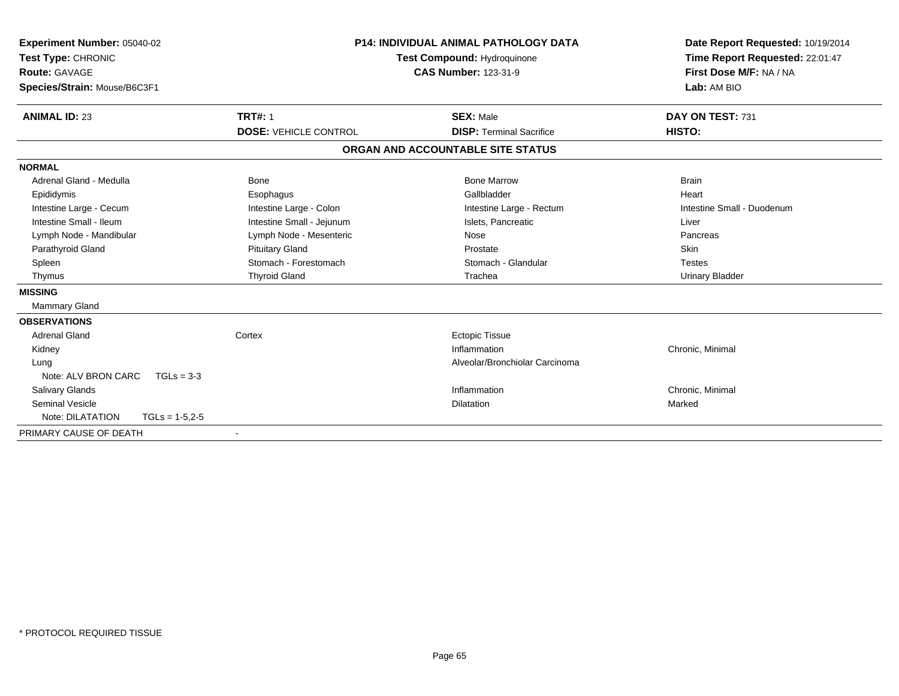| Experiment Number: 05040-02<br>Test Type: CHRONIC<br><b>Route: GAVAGE</b><br>Species/Strain: Mouse/B6C3F1 |                              | <b>P14: INDIVIDUAL ANIMAL PATHOLOGY DATA</b><br><b>Test Compound: Hydroquinone</b><br><b>CAS Number: 123-31-9</b> | Date Report Requested: 10/19/2014<br>Time Report Requested: 22:01:47<br>First Dose M/F: NA / NA<br>Lab: AM BIO |
|-----------------------------------------------------------------------------------------------------------|------------------------------|-------------------------------------------------------------------------------------------------------------------|----------------------------------------------------------------------------------------------------------------|
| <b>ANIMAL ID: 23</b>                                                                                      | <b>TRT#: 1</b>               | <b>SEX: Male</b>                                                                                                  | DAY ON TEST: 731                                                                                               |
|                                                                                                           | <b>DOSE: VEHICLE CONTROL</b> | <b>DISP: Terminal Sacrifice</b>                                                                                   | HISTO:                                                                                                         |
|                                                                                                           |                              | ORGAN AND ACCOUNTABLE SITE STATUS                                                                                 |                                                                                                                |
| <b>NORMAL</b>                                                                                             |                              |                                                                                                                   |                                                                                                                |
| Adrenal Gland - Medulla                                                                                   | Bone                         | <b>Bone Marrow</b>                                                                                                | <b>Brain</b>                                                                                                   |
| Epididymis                                                                                                | Esophagus                    | Gallbladder                                                                                                       | Heart                                                                                                          |
| Intestine Large - Cecum                                                                                   | Intestine Large - Colon      | Intestine Large - Rectum                                                                                          | Intestine Small - Duodenum                                                                                     |
| Intestine Small - Ileum                                                                                   | Intestine Small - Jejunum    | Islets, Pancreatic                                                                                                | Liver                                                                                                          |
| Lymph Node - Mandibular                                                                                   | Lymph Node - Mesenteric      | Nose                                                                                                              | Pancreas                                                                                                       |
| Parathyroid Gland                                                                                         | <b>Pituitary Gland</b>       | Prostate                                                                                                          | Skin                                                                                                           |
| Spleen                                                                                                    | Stomach - Forestomach        | Stomach - Glandular                                                                                               | <b>Testes</b>                                                                                                  |
| Thymus                                                                                                    | <b>Thyroid Gland</b>         | Trachea                                                                                                           | <b>Urinary Bladder</b>                                                                                         |
| <b>MISSING</b>                                                                                            |                              |                                                                                                                   |                                                                                                                |
| Mammary Gland                                                                                             |                              |                                                                                                                   |                                                                                                                |
| <b>OBSERVATIONS</b>                                                                                       |                              |                                                                                                                   |                                                                                                                |
| <b>Adrenal Gland</b>                                                                                      | Cortex                       | <b>Ectopic Tissue</b>                                                                                             |                                                                                                                |
| Kidney                                                                                                    |                              | Inflammation                                                                                                      | Chronic, Minimal                                                                                               |
| Lung                                                                                                      |                              | Alveolar/Bronchiolar Carcinoma                                                                                    |                                                                                                                |
| Note: ALV BRON CARC<br>$TGLs = 3-3$                                                                       |                              |                                                                                                                   |                                                                                                                |
| Salivary Glands                                                                                           |                              | Inflammation                                                                                                      | Chronic, Minimal                                                                                               |
| <b>Seminal Vesicle</b>                                                                                    |                              | <b>Dilatation</b>                                                                                                 | Marked                                                                                                         |
| Note: DILATATION<br>$TGLs = 1-5,2-5$                                                                      |                              |                                                                                                                   |                                                                                                                |
| PRIMARY CAUSE OF DEATH                                                                                    |                              |                                                                                                                   |                                                                                                                |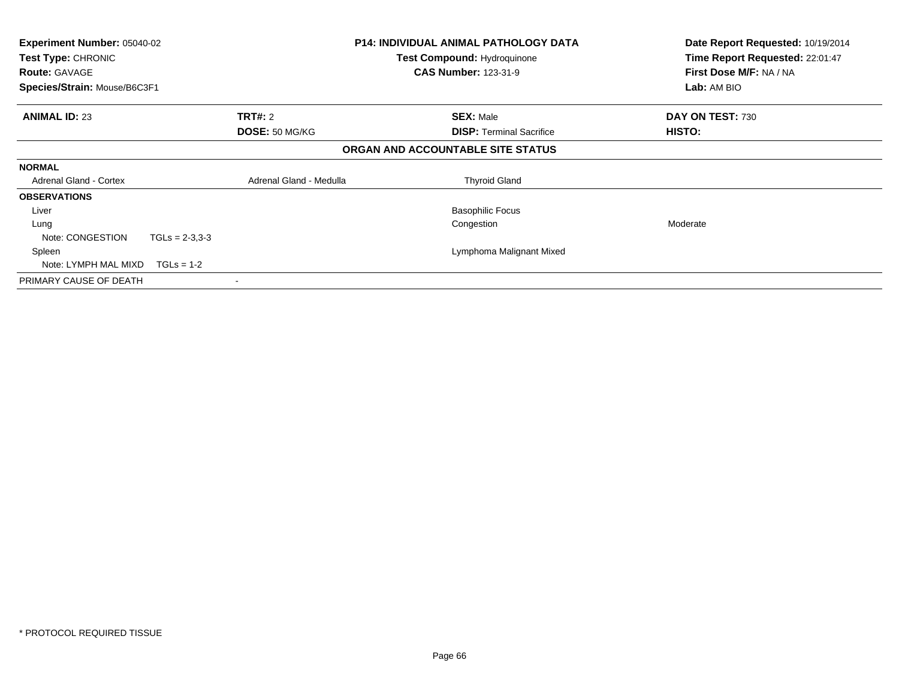| <b>Experiment Number: 05040-02</b><br><b>Test Type: CHRONIC</b><br><b>Route: GAVAGE</b> |                         | <b>P14: INDIVIDUAL ANIMAL PATHOLOGY DATA</b><br><b>Test Compound: Hydroquinone</b><br><b>CAS Number: 123-31-9</b> | Date Report Requested: 10/19/2014<br>Time Report Requested: 22:01:47<br>First Dose M/F: NA / NA |
|-----------------------------------------------------------------------------------------|-------------------------|-------------------------------------------------------------------------------------------------------------------|-------------------------------------------------------------------------------------------------|
| Species/Strain: Mouse/B6C3F1                                                            |                         |                                                                                                                   | Lab: AM BIO                                                                                     |
| <b>ANIMAL ID: 23</b>                                                                    | TRT#: 2                 | <b>SEX: Male</b>                                                                                                  | DAY ON TEST: 730                                                                                |
|                                                                                         | <b>DOSE: 50 MG/KG</b>   | <b>DISP: Terminal Sacrifice</b>                                                                                   | HISTO:                                                                                          |
|                                                                                         |                         | ORGAN AND ACCOUNTABLE SITE STATUS                                                                                 |                                                                                                 |
| <b>NORMAL</b>                                                                           |                         |                                                                                                                   |                                                                                                 |
| <b>Adrenal Gland - Cortex</b>                                                           | Adrenal Gland - Medulla | <b>Thyroid Gland</b>                                                                                              |                                                                                                 |
| <b>OBSERVATIONS</b>                                                                     |                         |                                                                                                                   |                                                                                                 |
| Liver                                                                                   |                         | <b>Basophilic Focus</b>                                                                                           |                                                                                                 |
| Lung                                                                                    |                         | Congestion                                                                                                        | Moderate                                                                                        |
| Note: CONGESTION<br>$TGLs = 2-3.3-3$                                                    |                         |                                                                                                                   |                                                                                                 |
| Spleen                                                                                  |                         | Lymphoma Malignant Mixed                                                                                          |                                                                                                 |
| Note: LYMPH MAL MIXD<br>$TGLs = 1-2$                                                    |                         |                                                                                                                   |                                                                                                 |
| PRIMARY CAUSE OF DEATH                                                                  |                         |                                                                                                                   |                                                                                                 |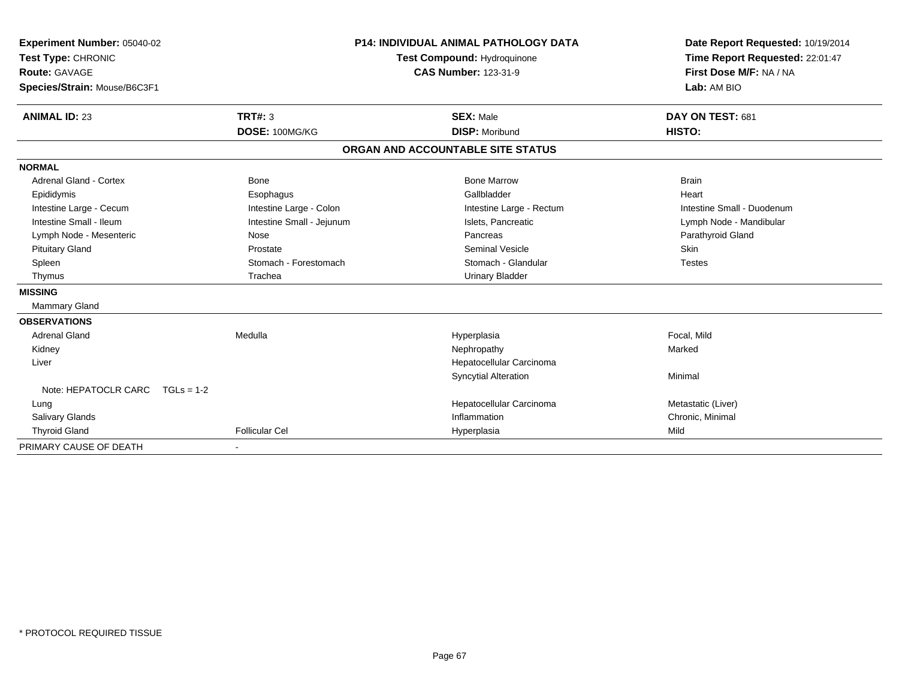| Experiment Number: 05040-02<br>Test Type: CHRONIC<br><b>Route: GAVAGE</b><br>Species/Strain: Mouse/B6C3F1<br><b>ANIMAL ID: 23</b> | TRT#: $3$<br>DOSE: 100MG/KG | <b>P14: INDIVIDUAL ANIMAL PATHOLOGY DATA</b><br><b>Test Compound: Hydroquinone</b><br><b>CAS Number: 123-31-9</b><br><b>SEX: Male</b><br><b>DISP: Moribund</b> | Date Report Requested: 10/19/2014<br>Time Report Requested: 22:01:47<br>First Dose M/F: NA / NA<br>Lab: AM BIO<br>DAY ON TEST: 681<br>HISTO: |
|-----------------------------------------------------------------------------------------------------------------------------------|-----------------------------|----------------------------------------------------------------------------------------------------------------------------------------------------------------|----------------------------------------------------------------------------------------------------------------------------------------------|
|                                                                                                                                   |                             | ORGAN AND ACCOUNTABLE SITE STATUS                                                                                                                              |                                                                                                                                              |
| <b>NORMAL</b>                                                                                                                     |                             |                                                                                                                                                                |                                                                                                                                              |
| <b>Adrenal Gland - Cortex</b>                                                                                                     | Bone                        | <b>Bone Marrow</b>                                                                                                                                             | <b>Brain</b>                                                                                                                                 |
| Epididymis                                                                                                                        | Esophagus                   | Gallbladder                                                                                                                                                    | Heart                                                                                                                                        |
| Intestine Large - Cecum                                                                                                           | Intestine Large - Colon     | Intestine Large - Rectum                                                                                                                                       | Intestine Small - Duodenum                                                                                                                   |
| Intestine Small - Ileum                                                                                                           | Intestine Small - Jejunum   | Islets, Pancreatic                                                                                                                                             | Lymph Node - Mandibular                                                                                                                      |
| Lymph Node - Mesenteric                                                                                                           | Nose                        | Pancreas                                                                                                                                                       | Parathyroid Gland                                                                                                                            |
| <b>Pituitary Gland</b>                                                                                                            | Prostate                    | <b>Seminal Vesicle</b>                                                                                                                                         | Skin                                                                                                                                         |
| Spleen                                                                                                                            | Stomach - Forestomach       | Stomach - Glandular                                                                                                                                            | <b>Testes</b>                                                                                                                                |
| Thymus                                                                                                                            | Trachea                     | <b>Urinary Bladder</b>                                                                                                                                         |                                                                                                                                              |
| <b>MISSING</b>                                                                                                                    |                             |                                                                                                                                                                |                                                                                                                                              |
| Mammary Gland                                                                                                                     |                             |                                                                                                                                                                |                                                                                                                                              |
| <b>OBSERVATIONS</b>                                                                                                               |                             |                                                                                                                                                                |                                                                                                                                              |
| <b>Adrenal Gland</b>                                                                                                              | Medulla                     | Hyperplasia                                                                                                                                                    | Focal, Mild                                                                                                                                  |
| Kidney                                                                                                                            |                             | Nephropathy                                                                                                                                                    | Marked                                                                                                                                       |
| Liver                                                                                                                             |                             | Hepatocellular Carcinoma                                                                                                                                       |                                                                                                                                              |
|                                                                                                                                   |                             | <b>Syncytial Alteration</b>                                                                                                                                    | Minimal                                                                                                                                      |
| Note: HEPATOCLR CARC<br>$TGLs = 1-2$                                                                                              |                             |                                                                                                                                                                |                                                                                                                                              |
| Lung                                                                                                                              |                             | Hepatocellular Carcinoma                                                                                                                                       | Metastatic (Liver)                                                                                                                           |
| <b>Salivary Glands</b>                                                                                                            |                             | Inflammation                                                                                                                                                   | Chronic, Minimal                                                                                                                             |
| <b>Thyroid Gland</b>                                                                                                              | <b>Follicular Cel</b>       | Hyperplasia                                                                                                                                                    | Mild                                                                                                                                         |
| PRIMARY CAUSE OF DEATH                                                                                                            |                             |                                                                                                                                                                |                                                                                                                                              |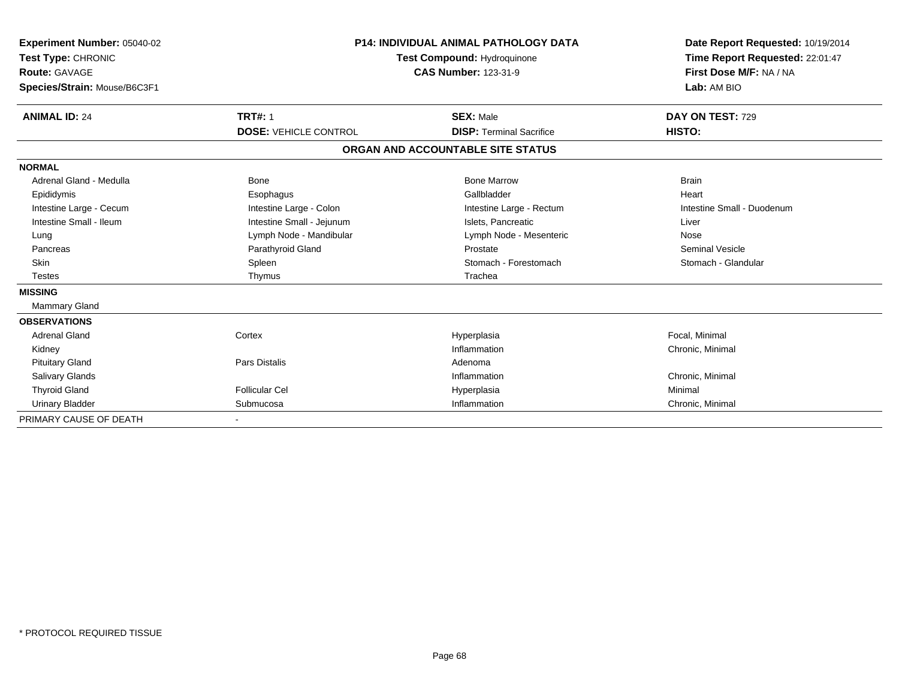| Experiment Number: 05040-02<br>Test Type: CHRONIC<br>Route: GAVAGE<br>Species/Strain: Mouse/B6C3F1 |                              | <b>P14: INDIVIDUAL ANIMAL PATHOLOGY DATA</b><br>Test Compound: Hydroquinone<br><b>CAS Number: 123-31-9</b> | Date Report Requested: 10/19/2014<br>Time Report Requested: 22:01:47<br>First Dose M/F: NA / NA<br>Lab: AM BIO |  |
|----------------------------------------------------------------------------------------------------|------------------------------|------------------------------------------------------------------------------------------------------------|----------------------------------------------------------------------------------------------------------------|--|
| <b>ANIMAL ID: 24</b>                                                                               | <b>TRT#: 1</b>               | <b>SEX: Male</b>                                                                                           | DAY ON TEST: 729                                                                                               |  |
|                                                                                                    | <b>DOSE: VEHICLE CONTROL</b> | <b>DISP: Terminal Sacrifice</b>                                                                            | HISTO:                                                                                                         |  |
|                                                                                                    |                              | ORGAN AND ACCOUNTABLE SITE STATUS                                                                          |                                                                                                                |  |
| <b>NORMAL</b>                                                                                      |                              |                                                                                                            |                                                                                                                |  |
| Adrenal Gland - Medulla                                                                            | <b>Bone</b>                  | <b>Bone Marrow</b>                                                                                         | <b>Brain</b>                                                                                                   |  |
| Epididymis                                                                                         | Esophagus                    | Gallbladder                                                                                                | Heart                                                                                                          |  |
| Intestine Large - Cecum                                                                            | Intestine Large - Colon      | Intestine Large - Rectum                                                                                   | Intestine Small - Duodenum                                                                                     |  |
| Intestine Small - Ileum                                                                            | Intestine Small - Jejunum    | Islets, Pancreatic                                                                                         | Liver                                                                                                          |  |
| Lung                                                                                               | Lymph Node - Mandibular      | Lymph Node - Mesenteric                                                                                    | Nose                                                                                                           |  |
| Pancreas                                                                                           | Parathyroid Gland            | Prostate                                                                                                   | <b>Seminal Vesicle</b>                                                                                         |  |
| <b>Skin</b>                                                                                        | Spleen                       | Stomach - Forestomach                                                                                      | Stomach - Glandular                                                                                            |  |
| <b>Testes</b>                                                                                      | Thymus                       | Trachea                                                                                                    |                                                                                                                |  |
| <b>MISSING</b>                                                                                     |                              |                                                                                                            |                                                                                                                |  |
| <b>Mammary Gland</b>                                                                               |                              |                                                                                                            |                                                                                                                |  |
| <b>OBSERVATIONS</b>                                                                                |                              |                                                                                                            |                                                                                                                |  |
| <b>Adrenal Gland</b>                                                                               | Cortex                       | Hyperplasia                                                                                                | Focal, Minimal                                                                                                 |  |
| Kidney                                                                                             |                              | Inflammation                                                                                               | Chronic, Minimal                                                                                               |  |
| <b>Pituitary Gland</b>                                                                             | Pars Distalis                | Adenoma                                                                                                    |                                                                                                                |  |
| Salivary Glands                                                                                    |                              | Inflammation                                                                                               | Chronic, Minimal                                                                                               |  |
| <b>Thyroid Gland</b>                                                                               | Follicular Cel               | Hyperplasia                                                                                                | Minimal                                                                                                        |  |
| <b>Urinary Bladder</b>                                                                             | Submucosa                    | Inflammation                                                                                               | Chronic, Minimal                                                                                               |  |
| PRIMARY CAUSE OF DEATH                                                                             |                              |                                                                                                            |                                                                                                                |  |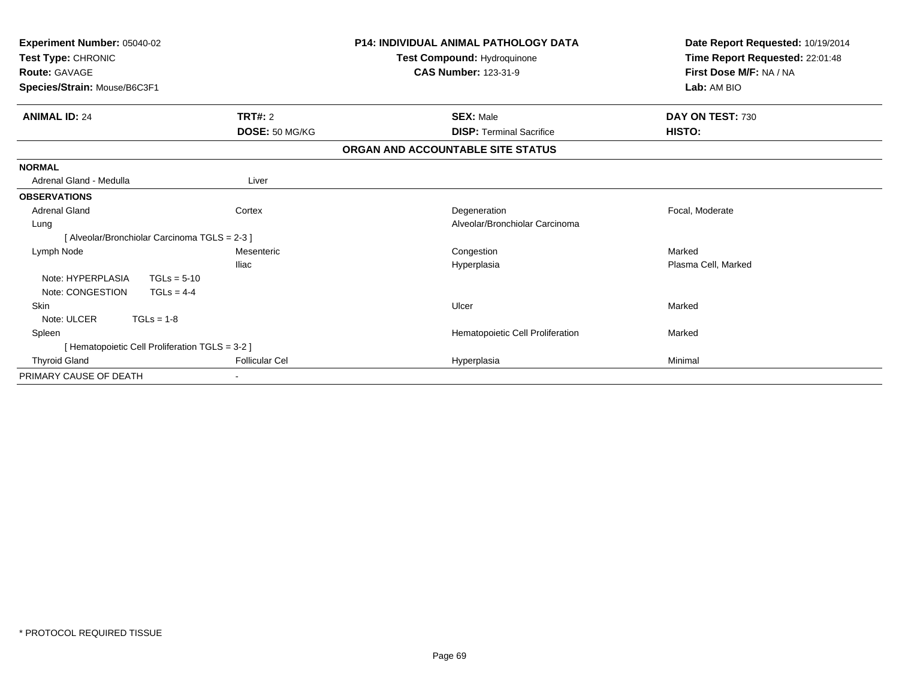| Experiment Number: 05040-02<br>Test Type: CHRONIC<br><b>Route: GAVAGE</b><br>Species/Strain: Mouse/B6C3F1 |                       | <b>P14: INDIVIDUAL ANIMAL PATHOLOGY DATA</b><br>Test Compound: Hydroquinone<br><b>CAS Number: 123-31-9</b> | Date Report Requested: 10/19/2014<br>Time Report Requested: 22:01:48<br>First Dose M/F: NA / NA<br>Lab: AM BIO |  |
|-----------------------------------------------------------------------------------------------------------|-----------------------|------------------------------------------------------------------------------------------------------------|----------------------------------------------------------------------------------------------------------------|--|
| <b>ANIMAL ID: 24</b>                                                                                      | TRT#: 2               | <b>SEX: Male</b>                                                                                           | DAY ON TEST: 730                                                                                               |  |
|                                                                                                           | DOSE: 50 MG/KG        | <b>DISP: Terminal Sacrifice</b>                                                                            | HISTO:                                                                                                         |  |
|                                                                                                           |                       | ORGAN AND ACCOUNTABLE SITE STATUS                                                                          |                                                                                                                |  |
| <b>NORMAL</b>                                                                                             |                       |                                                                                                            |                                                                                                                |  |
| Adrenal Gland - Medulla                                                                                   | Liver                 |                                                                                                            |                                                                                                                |  |
| <b>OBSERVATIONS</b>                                                                                       |                       |                                                                                                            |                                                                                                                |  |
| <b>Adrenal Gland</b>                                                                                      | Cortex                | Degeneration                                                                                               | Focal, Moderate                                                                                                |  |
| Lung                                                                                                      |                       | Alveolar/Bronchiolar Carcinoma                                                                             |                                                                                                                |  |
| [Alveolar/Bronchiolar Carcinoma TGLS = 2-3 ]                                                              |                       |                                                                                                            |                                                                                                                |  |
| Lymph Node                                                                                                | Mesenteric            | Congestion                                                                                                 | Marked                                                                                                         |  |
|                                                                                                           | <b>Iliac</b>          | Hyperplasia                                                                                                | Plasma Cell, Marked                                                                                            |  |
| Note: HYPERPLASIA<br>$TGLs = 5-10$                                                                        |                       |                                                                                                            |                                                                                                                |  |
| Note: CONGESTION<br>$TGLS = 4-4$                                                                          |                       |                                                                                                            |                                                                                                                |  |
| Skin                                                                                                      |                       | Ulcer                                                                                                      | Marked                                                                                                         |  |
| Note: ULCER<br>$TGLs = 1-8$                                                                               |                       |                                                                                                            |                                                                                                                |  |
| Spleen                                                                                                    |                       | Hematopoietic Cell Proliferation                                                                           | Marked                                                                                                         |  |
| [ Hematopoietic Cell Proliferation TGLS = 3-2 ]                                                           |                       |                                                                                                            |                                                                                                                |  |
| <b>Thyroid Gland</b>                                                                                      | <b>Follicular Cel</b> | Hyperplasia                                                                                                | Minimal                                                                                                        |  |
| PRIMARY CAUSE OF DEATH                                                                                    |                       |                                                                                                            |                                                                                                                |  |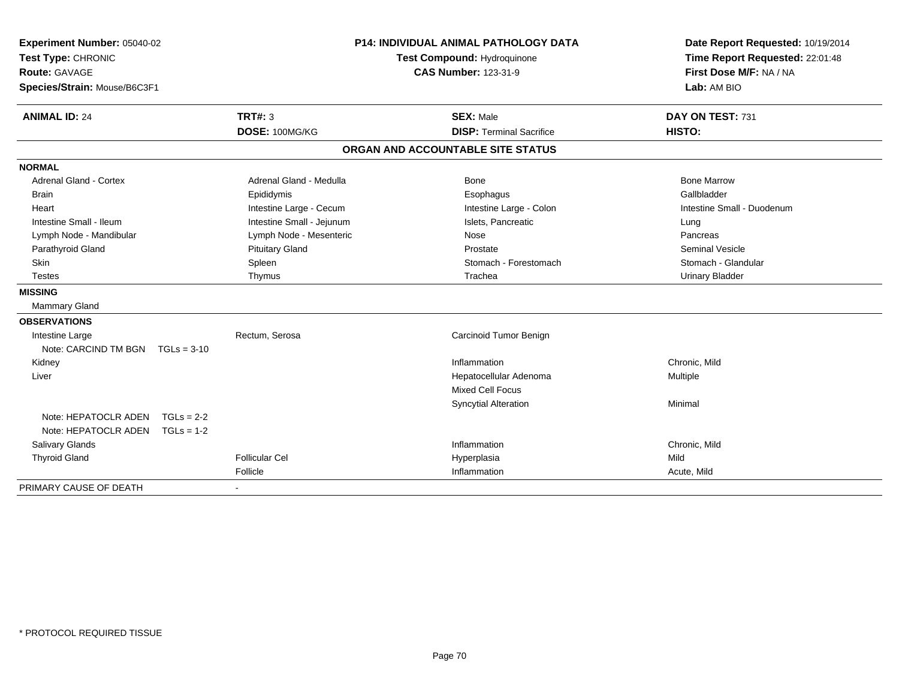| Experiment Number: 05040-02<br>Test Type: CHRONIC<br>Route: GAVAGE<br>Species/Strain: Mouse/B6C3F1 |              |                           | <b>P14: INDIVIDUAL ANIMAL PATHOLOGY DATA</b><br>Test Compound: Hydroquinone<br><b>CAS Number: 123-31-9</b> |                                   | Date Report Requested: 10/19/2014<br>Time Report Requested: 22:01:48<br>First Dose M/F: NA / NA<br>Lab: AM BIO |  |
|----------------------------------------------------------------------------------------------------|--------------|---------------------------|------------------------------------------------------------------------------------------------------------|-----------------------------------|----------------------------------------------------------------------------------------------------------------|--|
| <b>ANIMAL ID: 24</b>                                                                               |              | <b>TRT#: 3</b>            |                                                                                                            | <b>SEX: Male</b>                  | DAY ON TEST: 731                                                                                               |  |
|                                                                                                    |              | DOSE: 100MG/KG            |                                                                                                            | <b>DISP: Terminal Sacrifice</b>   | HISTO:                                                                                                         |  |
|                                                                                                    |              |                           |                                                                                                            | ORGAN AND ACCOUNTABLE SITE STATUS |                                                                                                                |  |
| <b>NORMAL</b>                                                                                      |              |                           |                                                                                                            |                                   |                                                                                                                |  |
| Adrenal Gland - Cortex                                                                             |              | Adrenal Gland - Medulla   |                                                                                                            | <b>Bone</b>                       | <b>Bone Marrow</b>                                                                                             |  |
| Brain                                                                                              |              | Epididymis                |                                                                                                            | Esophagus                         | Gallbladder                                                                                                    |  |
| Heart                                                                                              |              | Intestine Large - Cecum   |                                                                                                            | Intestine Large - Colon           | Intestine Small - Duodenum                                                                                     |  |
| Intestine Small - Ileum                                                                            |              | Intestine Small - Jejunum |                                                                                                            | Islets, Pancreatic                | Lung                                                                                                           |  |
| Lymph Node - Mandibular                                                                            |              | Lymph Node - Mesenteric   |                                                                                                            | Nose                              | Pancreas                                                                                                       |  |
| Parathyroid Gland                                                                                  |              | <b>Pituitary Gland</b>    |                                                                                                            | Prostate                          | <b>Seminal Vesicle</b>                                                                                         |  |
| <b>Skin</b>                                                                                        |              | Spleen                    |                                                                                                            | Stomach - Forestomach             | Stomach - Glandular                                                                                            |  |
| <b>Testes</b>                                                                                      |              | Thymus                    |                                                                                                            | Trachea                           | <b>Urinary Bladder</b>                                                                                         |  |
| <b>MISSING</b>                                                                                     |              |                           |                                                                                                            |                                   |                                                                                                                |  |
| Mammary Gland                                                                                      |              |                           |                                                                                                            |                                   |                                                                                                                |  |
| <b>OBSERVATIONS</b>                                                                                |              |                           |                                                                                                            |                                   |                                                                                                                |  |
| Intestine Large                                                                                    |              | Rectum, Serosa            |                                                                                                            | Carcinoid Tumor Benign            |                                                                                                                |  |
| Note: CARCIND TM BGN $TGLs = 3-10$                                                                 |              |                           |                                                                                                            |                                   |                                                                                                                |  |
| Kidney                                                                                             |              |                           |                                                                                                            | Inflammation                      | Chronic, Mild                                                                                                  |  |
| Liver                                                                                              |              |                           |                                                                                                            | Hepatocellular Adenoma            | Multiple                                                                                                       |  |
|                                                                                                    |              |                           |                                                                                                            | <b>Mixed Cell Focus</b>           |                                                                                                                |  |
|                                                                                                    |              |                           |                                                                                                            | <b>Syncytial Alteration</b>       | Minimal                                                                                                        |  |
| Note: HEPATOCLR ADEN                                                                               | $TGLs = 2-2$ |                           |                                                                                                            |                                   |                                                                                                                |  |
| Note: HEPATOCLR ADEN                                                                               | $TGLs = 1-2$ |                           |                                                                                                            |                                   |                                                                                                                |  |
| <b>Salivary Glands</b>                                                                             |              |                           |                                                                                                            | Inflammation                      | Chronic, Mild                                                                                                  |  |
| <b>Thyroid Gland</b>                                                                               |              | <b>Follicular Cel</b>     |                                                                                                            | Hyperplasia                       | Mild                                                                                                           |  |
|                                                                                                    |              | Follicle                  |                                                                                                            | Inflammation                      | Acute, Mild                                                                                                    |  |
| PRIMARY CAUSE OF DEATH                                                                             |              |                           |                                                                                                            |                                   |                                                                                                                |  |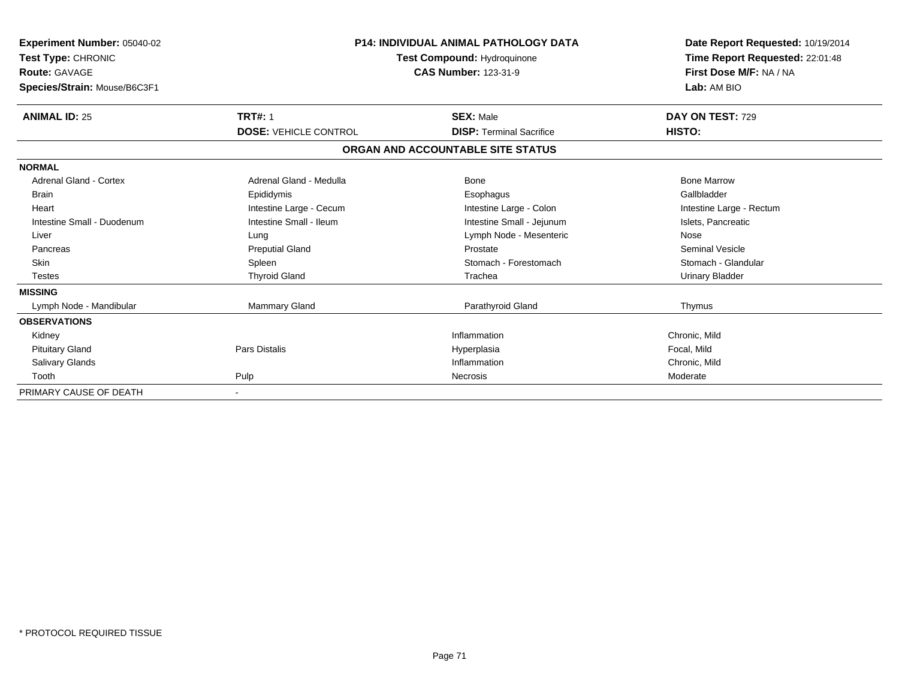| Experiment Number: 05040-02<br><b>Test Type: CHRONIC</b><br><b>Route: GAVAGE</b><br>Species/Strain: Mouse/B6C3F1 | <b>P14: INDIVIDUAL ANIMAL PATHOLOGY DATA</b><br>Test Compound: Hydroquinone<br><b>CAS Number: 123-31-9</b> |                                   | Date Report Requested: 10/19/2014<br>Time Report Requested: 22:01:48<br>First Dose M/F: NA / NA<br>Lab: AM BIO |
|------------------------------------------------------------------------------------------------------------------|------------------------------------------------------------------------------------------------------------|-----------------------------------|----------------------------------------------------------------------------------------------------------------|
| <b>ANIMAL ID: 25</b>                                                                                             | <b>TRT#: 1</b>                                                                                             | <b>SEX: Male</b>                  | DAY ON TEST: 729                                                                                               |
|                                                                                                                  | <b>DOSE: VEHICLE CONTROL</b>                                                                               | <b>DISP: Terminal Sacrifice</b>   | HISTO:                                                                                                         |
|                                                                                                                  |                                                                                                            | ORGAN AND ACCOUNTABLE SITE STATUS |                                                                                                                |
| <b>NORMAL</b>                                                                                                    |                                                                                                            |                                   |                                                                                                                |
| <b>Adrenal Gland - Cortex</b>                                                                                    | Adrenal Gland - Medulla                                                                                    | <b>Bone</b>                       | <b>Bone Marrow</b>                                                                                             |
| <b>Brain</b>                                                                                                     | Epididymis                                                                                                 | Esophagus                         | Gallbladder                                                                                                    |
| Heart                                                                                                            | Intestine Large - Cecum                                                                                    | Intestine Large - Colon           | Intestine Large - Rectum                                                                                       |
| Intestine Small - Duodenum                                                                                       | Intestine Small - Ileum                                                                                    | Intestine Small - Jejunum         | Islets, Pancreatic                                                                                             |
| Liver                                                                                                            | Lung                                                                                                       | Lymph Node - Mesenteric           | Nose                                                                                                           |
| Pancreas                                                                                                         | <b>Preputial Gland</b>                                                                                     | Prostate                          | <b>Seminal Vesicle</b>                                                                                         |
| <b>Skin</b>                                                                                                      | Spleen                                                                                                     | Stomach - Forestomach             | Stomach - Glandular                                                                                            |
| <b>Testes</b>                                                                                                    | <b>Thyroid Gland</b>                                                                                       | Trachea                           | <b>Urinary Bladder</b>                                                                                         |
| <b>MISSING</b>                                                                                                   |                                                                                                            |                                   |                                                                                                                |
| Lymph Node - Mandibular                                                                                          | <b>Mammary Gland</b>                                                                                       | Parathyroid Gland                 | Thymus                                                                                                         |
| <b>OBSERVATIONS</b>                                                                                              |                                                                                                            |                                   |                                                                                                                |
| Kidney                                                                                                           |                                                                                                            | Inflammation                      | Chronic, Mild                                                                                                  |
| <b>Pituitary Gland</b>                                                                                           | <b>Pars Distalis</b>                                                                                       | Hyperplasia                       | Focal, Mild                                                                                                    |
| <b>Salivary Glands</b>                                                                                           |                                                                                                            | Inflammation                      | Chronic, Mild                                                                                                  |
| Tooth                                                                                                            | Pulp                                                                                                       | Necrosis                          | Moderate                                                                                                       |
| PRIMARY CAUSE OF DEATH                                                                                           |                                                                                                            |                                   |                                                                                                                |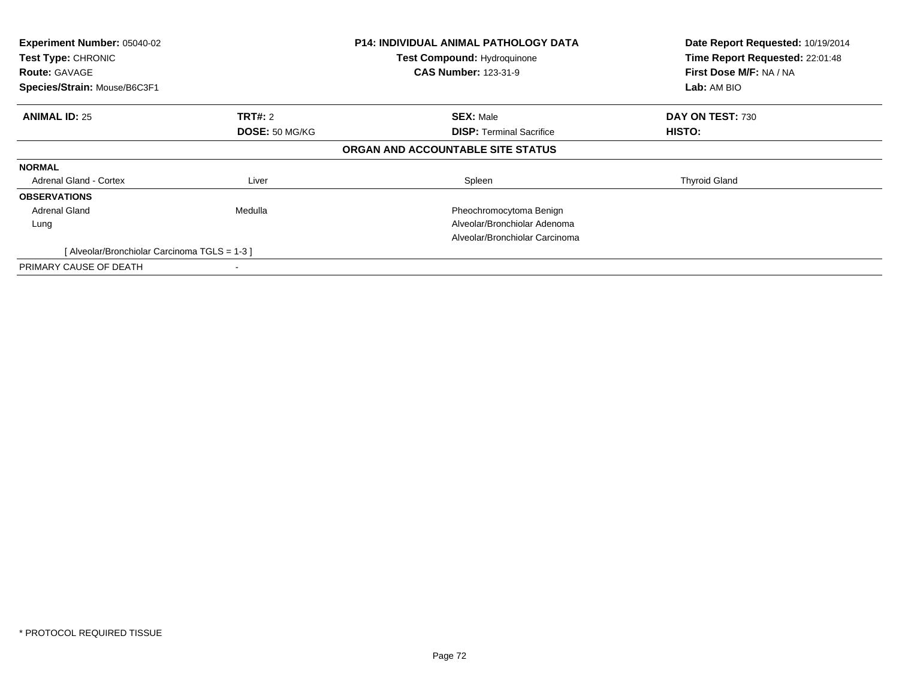| Experiment Number: 05040-02<br>Test Type: CHRONIC<br><b>Route: GAVAGE</b><br>Species/Strain: Mouse/B6C3F1 |                                  | <b>P14: INDIVIDUAL ANIMAL PATHOLOGY DATA</b><br><b>Test Compound: Hydroquinone</b><br><b>CAS Number: 123-31-9</b> | Date Report Requested: 10/19/2014<br>Time Report Requested: 22:01:48<br>First Dose M/F: NA / NA<br>Lab: AM BIO |
|-----------------------------------------------------------------------------------------------------------|----------------------------------|-------------------------------------------------------------------------------------------------------------------|----------------------------------------------------------------------------------------------------------------|
| <b>ANIMAL ID: 25</b>                                                                                      | <b>TRT#: 2</b><br>DOSE: 50 MG/KG | <b>SEX: Male</b><br><b>DISP:</b> Terminal Sacrifice                                                               | DAY ON TEST: 730<br>HISTO:                                                                                     |
|                                                                                                           |                                  | ORGAN AND ACCOUNTABLE SITE STATUS                                                                                 |                                                                                                                |
| <b>NORMAL</b>                                                                                             |                                  |                                                                                                                   |                                                                                                                |
| <b>Adrenal Gland - Cortex</b>                                                                             | Liver                            | Spleen                                                                                                            | <b>Thyroid Gland</b>                                                                                           |
| <b>OBSERVATIONS</b>                                                                                       |                                  |                                                                                                                   |                                                                                                                |
| Adrenal Gland                                                                                             | Medulla                          | Pheochromocytoma Benign                                                                                           |                                                                                                                |
| Lung                                                                                                      |                                  | Alveolar/Bronchiolar Adenoma                                                                                      |                                                                                                                |
|                                                                                                           |                                  | Alveolar/Bronchiolar Carcinoma                                                                                    |                                                                                                                |
| [Alveolar/Bronchiolar Carcinoma TGLS = 1-3]                                                               |                                  |                                                                                                                   |                                                                                                                |
| PRIMARY CAUSE OF DEATH                                                                                    |                                  |                                                                                                                   |                                                                                                                |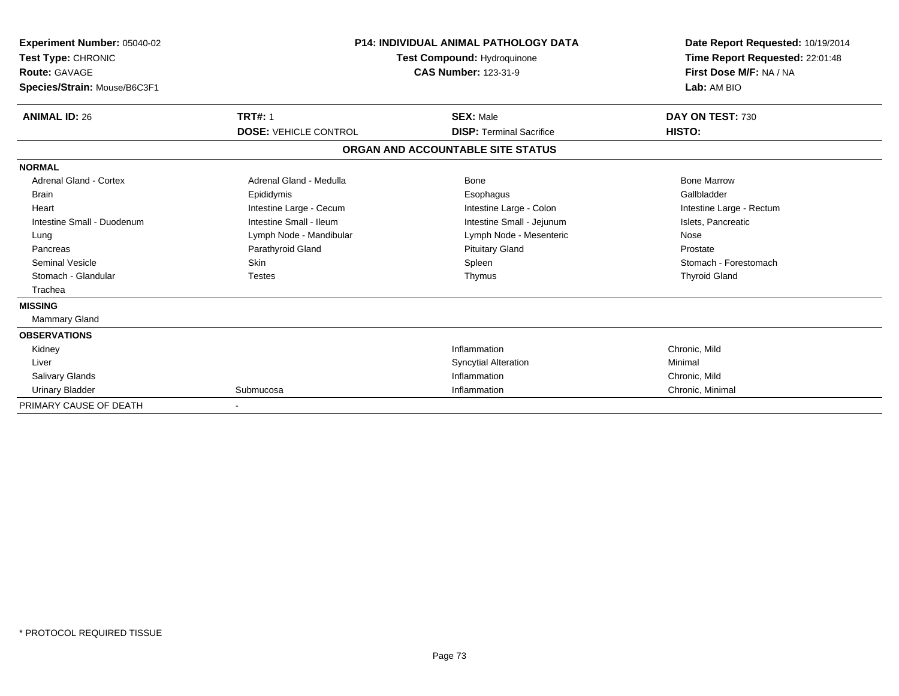| <b>Experiment Number: 05040-02</b><br>Test Type: CHRONIC<br><b>Route: GAVAGE</b><br>Species/Strain: Mouse/B6C3F1 |                              | <b>P14: INDIVIDUAL ANIMAL PATHOLOGY DATA</b><br>Test Compound: Hydroquinone<br><b>CAS Number: 123-31-9</b> | Date Report Requested: 10/19/2014<br>Time Report Requested: 22:01:48<br>First Dose M/F: NA / NA<br>Lab: AM BIO |
|------------------------------------------------------------------------------------------------------------------|------------------------------|------------------------------------------------------------------------------------------------------------|----------------------------------------------------------------------------------------------------------------|
| <b>ANIMAL ID: 26</b>                                                                                             | <b>TRT#: 1</b>               | <b>SEX: Male</b>                                                                                           | DAY ON TEST: 730                                                                                               |
|                                                                                                                  | <b>DOSE: VEHICLE CONTROL</b> | <b>DISP: Terminal Sacrifice</b>                                                                            | HISTO:                                                                                                         |
|                                                                                                                  |                              | ORGAN AND ACCOUNTABLE SITE STATUS                                                                          |                                                                                                                |
| <b>NORMAL</b>                                                                                                    |                              |                                                                                                            |                                                                                                                |
| <b>Adrenal Gland - Cortex</b>                                                                                    | Adrenal Gland - Medulla      | <b>Bone</b>                                                                                                | <b>Bone Marrow</b>                                                                                             |
| Brain                                                                                                            | Epididymis                   | Esophagus                                                                                                  | Gallbladder                                                                                                    |
| Heart                                                                                                            | Intestine Large - Cecum      | Intestine Large - Colon                                                                                    | Intestine Large - Rectum                                                                                       |
| Intestine Small - Duodenum                                                                                       | Intestine Small - Ileum      | Intestine Small - Jejunum                                                                                  | Islets, Pancreatic                                                                                             |
| Lung                                                                                                             | Lymph Node - Mandibular      | Lymph Node - Mesenteric                                                                                    | Nose                                                                                                           |
| Pancreas                                                                                                         | Parathyroid Gland            | <b>Pituitary Gland</b>                                                                                     | Prostate                                                                                                       |
| <b>Seminal Vesicle</b>                                                                                           | <b>Skin</b>                  | Spleen                                                                                                     | Stomach - Forestomach                                                                                          |
| Stomach - Glandular                                                                                              | <b>Testes</b>                | Thymus                                                                                                     | <b>Thyroid Gland</b>                                                                                           |
| Trachea                                                                                                          |                              |                                                                                                            |                                                                                                                |
| <b>MISSING</b>                                                                                                   |                              |                                                                                                            |                                                                                                                |
| <b>Mammary Gland</b>                                                                                             |                              |                                                                                                            |                                                                                                                |
| <b>OBSERVATIONS</b>                                                                                              |                              |                                                                                                            |                                                                                                                |
| Kidney                                                                                                           |                              | Inflammation                                                                                               | Chronic, Mild                                                                                                  |
| Liver                                                                                                            |                              | <b>Syncytial Alteration</b>                                                                                | Minimal                                                                                                        |
| <b>Salivary Glands</b>                                                                                           |                              | Inflammation                                                                                               | Chronic, Mild                                                                                                  |
| <b>Urinary Bladder</b>                                                                                           | Submucosa                    | Inflammation                                                                                               | Chronic, Minimal                                                                                               |
| PRIMARY CAUSE OF DEATH                                                                                           |                              |                                                                                                            |                                                                                                                |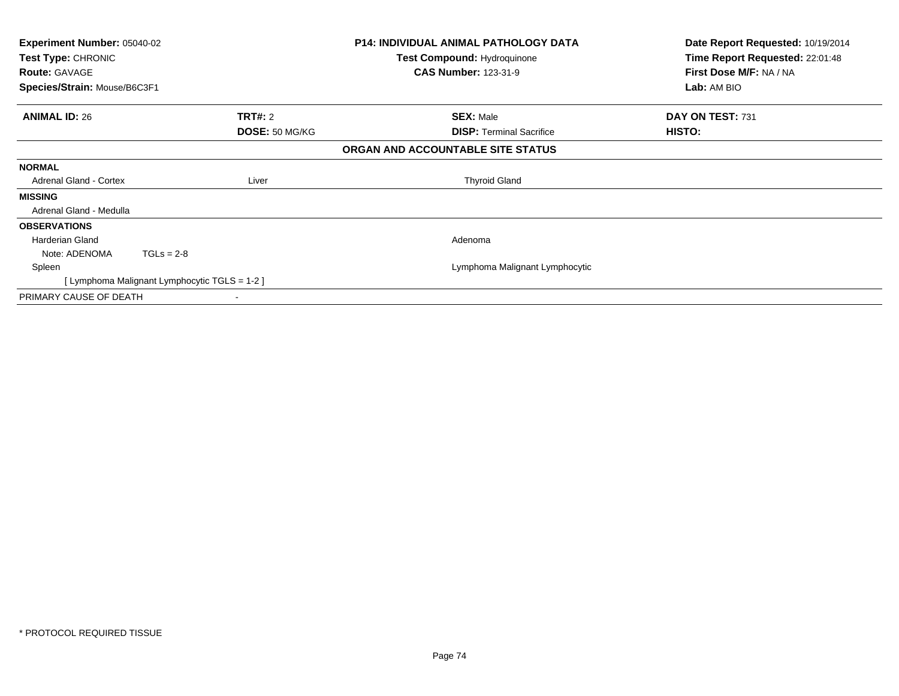| <b>Experiment Number: 05040-02</b><br>Test Type: CHRONIC<br><b>Route: GAVAGE</b><br>Species/Strain: Mouse/B6C3F1 |                                             |                |                                   | <b>P14: INDIVIDUAL ANIMAL PATHOLOGY DATA</b><br>Test Compound: Hydroquinone<br><b>CAS Number: 123-31-9</b> | Date Report Requested: 10/19/2014<br>Time Report Requested: 22:01:48<br>First Dose M/F: NA / NA<br>Lab: AM BIO |
|------------------------------------------------------------------------------------------------------------------|---------------------------------------------|----------------|-----------------------------------|------------------------------------------------------------------------------------------------------------|----------------------------------------------------------------------------------------------------------------|
| <b>ANIMAL ID: 26</b>                                                                                             |                                             | <b>TRT#: 2</b> |                                   | <b>SEX: Male</b>                                                                                           | DAY ON TEST: 731                                                                                               |
|                                                                                                                  |                                             | DOSE: 50 MG/KG |                                   | <b>DISP:</b> Terminal Sacrifice                                                                            | HISTO:                                                                                                         |
|                                                                                                                  |                                             |                | ORGAN AND ACCOUNTABLE SITE STATUS |                                                                                                            |                                                                                                                |
| <b>NORMAL</b>                                                                                                    |                                             |                |                                   |                                                                                                            |                                                                                                                |
| Adrenal Gland - Cortex                                                                                           |                                             | Liver          |                                   | <b>Thyroid Gland</b>                                                                                       |                                                                                                                |
| <b>MISSING</b>                                                                                                   |                                             |                |                                   |                                                                                                            |                                                                                                                |
| Adrenal Gland - Medulla                                                                                          |                                             |                |                                   |                                                                                                            |                                                                                                                |
| <b>OBSERVATIONS</b>                                                                                              |                                             |                |                                   |                                                                                                            |                                                                                                                |
| Harderian Gland                                                                                                  |                                             |                |                                   | Adenoma                                                                                                    |                                                                                                                |
| Note: ADENOMA                                                                                                    | $TGLs = 2-8$                                |                |                                   |                                                                                                            |                                                                                                                |
| Spleen                                                                                                           |                                             |                |                                   | Lymphoma Malignant Lymphocytic                                                                             |                                                                                                                |
|                                                                                                                  | [Lymphoma Malignant Lymphocytic TGLS = 1-2] |                |                                   |                                                                                                            |                                                                                                                |
| PRIMARY CAUSE OF DEATH                                                                                           |                                             |                |                                   |                                                                                                            |                                                                                                                |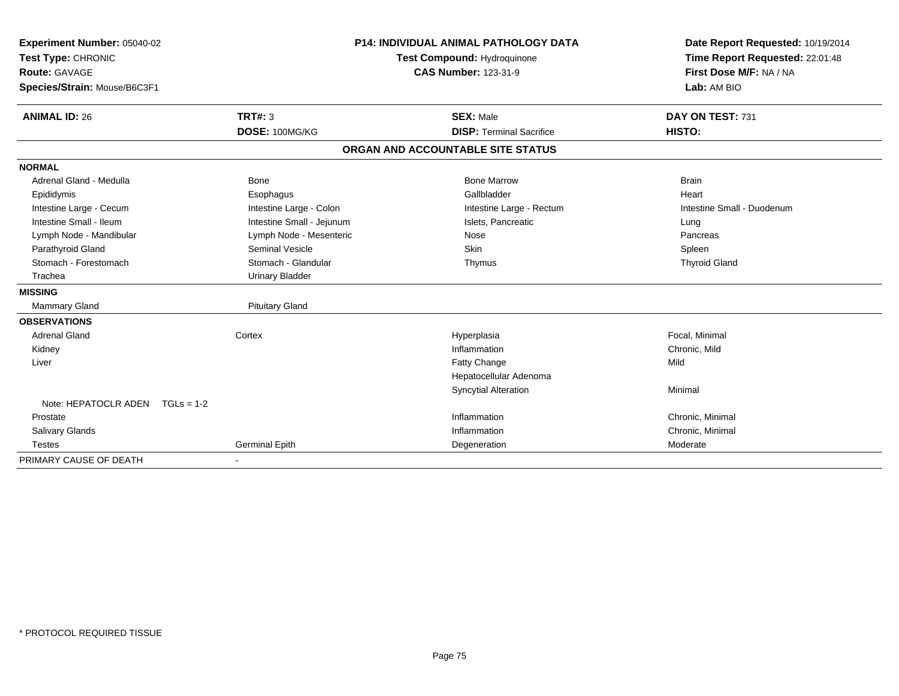| Experiment Number: 05040-02     |                           | <b>P14: INDIVIDUAL ANIMAL PATHOLOGY DATA</b> | Date Report Requested: 10/19/2014 |
|---------------------------------|---------------------------|----------------------------------------------|-----------------------------------|
| Test Type: CHRONIC              |                           | Test Compound: Hydroquinone                  | Time Report Requested: 22:01:48   |
| <b>Route: GAVAGE</b>            |                           | <b>CAS Number: 123-31-9</b>                  | First Dose M/F: NA / NA           |
| Species/Strain: Mouse/B6C3F1    |                           |                                              | Lab: AM BIO                       |
| <b>ANIMAL ID: 26</b>            | TRT#: 3                   | <b>SEX: Male</b>                             | DAY ON TEST: 731                  |
|                                 | DOSE: 100MG/KG            | <b>DISP: Terminal Sacrifice</b>              | HISTO:                            |
|                                 |                           | ORGAN AND ACCOUNTABLE SITE STATUS            |                                   |
| <b>NORMAL</b>                   |                           |                                              |                                   |
| Adrenal Gland - Medulla         | <b>Bone</b>               | <b>Bone Marrow</b>                           | <b>Brain</b>                      |
| Epididymis                      | Esophagus                 | Gallbladder                                  | Heart                             |
| Intestine Large - Cecum         | Intestine Large - Colon   | Intestine Large - Rectum                     | Intestine Small - Duodenum        |
| Intestine Small - Ileum         | Intestine Small - Jejunum | Islets, Pancreatic                           | Lung                              |
| Lymph Node - Mandibular         | Lymph Node - Mesenteric   | Nose                                         | Pancreas                          |
| Parathyroid Gland               | <b>Seminal Vesicle</b>    | <b>Skin</b>                                  | Spleen                            |
| Stomach - Forestomach           | Stomach - Glandular       | Thymus                                       | <b>Thyroid Gland</b>              |
| Trachea                         | <b>Urinary Bladder</b>    |                                              |                                   |
| <b>MISSING</b>                  |                           |                                              |                                   |
| Mammary Gland                   | <b>Pituitary Gland</b>    |                                              |                                   |
| <b>OBSERVATIONS</b>             |                           |                                              |                                   |
| <b>Adrenal Gland</b>            | Cortex                    | Hyperplasia                                  | Focal, Minimal                    |
| Kidney                          |                           | Inflammation                                 | Chronic, Mild                     |
| Liver                           |                           | Fatty Change                                 | Mild                              |
|                                 |                           | Hepatocellular Adenoma                       |                                   |
|                                 |                           | <b>Syncytial Alteration</b>                  | Minimal                           |
| Note: HEPATOCLR ADEN TGLs = 1-2 |                           |                                              |                                   |
| Prostate                        |                           | Inflammation                                 | Chronic, Minimal                  |
| Salivary Glands                 |                           | Inflammation                                 | Chronic, Minimal                  |
| <b>Testes</b>                   | <b>Germinal Epith</b>     | Degeneration                                 | Moderate                          |
| PRIMARY CAUSE OF DEATH          |                           |                                              |                                   |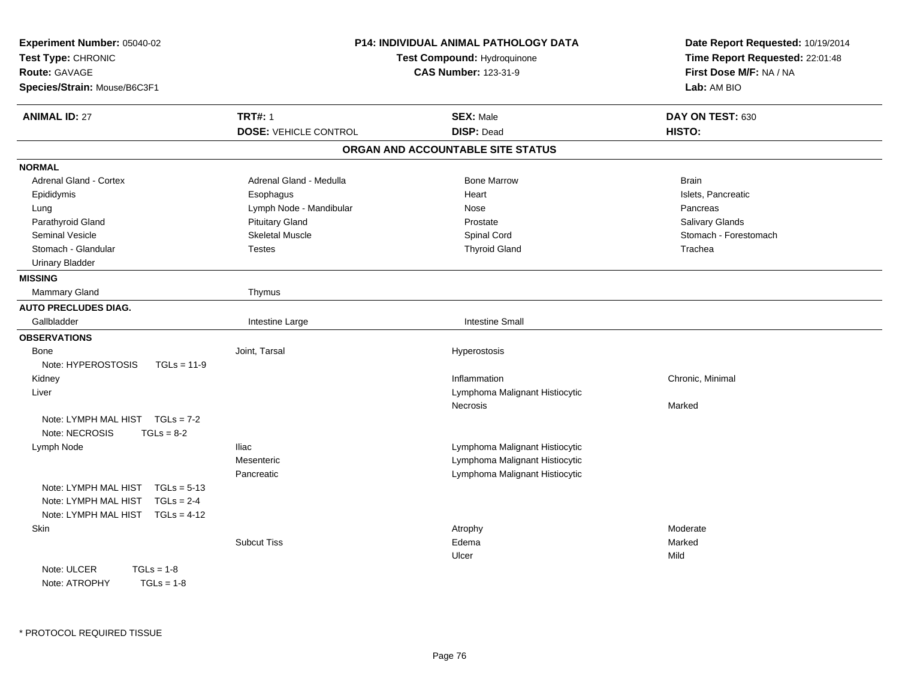| Experiment Number: 05040-02<br>Test Type: CHRONIC<br>Route: GAVAGE<br>Species/Strain: Mouse/B6C3F1 |                              | P14: INDIVIDUAL ANIMAL PATHOLOGY DATA<br>Test Compound: Hydroquinone<br><b>CAS Number: 123-31-9</b> | Date Report Requested: 10/19/2014<br>Time Report Requested: 22:01:48<br>First Dose M/F: NA / NA<br>Lab: AM BIO |
|----------------------------------------------------------------------------------------------------|------------------------------|-----------------------------------------------------------------------------------------------------|----------------------------------------------------------------------------------------------------------------|
| <b>ANIMAL ID: 27</b>                                                                               | <b>TRT#: 1</b>               | <b>SEX: Male</b>                                                                                    | DAY ON TEST: 630                                                                                               |
|                                                                                                    | <b>DOSE: VEHICLE CONTROL</b> | <b>DISP: Dead</b>                                                                                   | HISTO:                                                                                                         |
|                                                                                                    |                              | ORGAN AND ACCOUNTABLE SITE STATUS                                                                   |                                                                                                                |
| <b>NORMAL</b>                                                                                      |                              |                                                                                                     |                                                                                                                |
| Adrenal Gland - Cortex                                                                             | Adrenal Gland - Medulla      | <b>Bone Marrow</b>                                                                                  | <b>Brain</b>                                                                                                   |
| Epididymis                                                                                         | Esophagus                    | Heart                                                                                               | Islets, Pancreatic                                                                                             |
| Lung                                                                                               | Lymph Node - Mandibular      | <b>Nose</b>                                                                                         | Pancreas                                                                                                       |
| Parathyroid Gland                                                                                  | <b>Pituitary Gland</b>       | Prostate                                                                                            | Salivary Glands                                                                                                |
| <b>Seminal Vesicle</b>                                                                             | <b>Skeletal Muscle</b>       | Spinal Cord                                                                                         | Stomach - Forestomach                                                                                          |
| Stomach - Glandular                                                                                | <b>Testes</b>                | <b>Thyroid Gland</b>                                                                                | Trachea                                                                                                        |
| <b>Urinary Bladder</b>                                                                             |                              |                                                                                                     |                                                                                                                |
| <b>MISSING</b>                                                                                     |                              |                                                                                                     |                                                                                                                |
| Mammary Gland                                                                                      | Thymus                       |                                                                                                     |                                                                                                                |
| <b>AUTO PRECLUDES DIAG.</b>                                                                        |                              |                                                                                                     |                                                                                                                |
| Gallbladder                                                                                        | Intestine Large              | <b>Intestine Small</b>                                                                              |                                                                                                                |
| <b>OBSERVATIONS</b>                                                                                |                              |                                                                                                     |                                                                                                                |
| <b>Bone</b>                                                                                        | Joint, Tarsal                | Hyperostosis                                                                                        |                                                                                                                |
| Note: HYPEROSTOSIS<br>$TGLs = 11-9$                                                                |                              |                                                                                                     |                                                                                                                |
| Kidney                                                                                             |                              | Inflammation                                                                                        | Chronic, Minimal                                                                                               |
| Liver                                                                                              |                              | Lymphoma Malignant Histiocytic                                                                      |                                                                                                                |
|                                                                                                    |                              | Necrosis                                                                                            | Marked                                                                                                         |
| Note: LYMPH MAL HIST TGLs = 7-2                                                                    |                              |                                                                                                     |                                                                                                                |
| Note: NECROSIS<br>$TGLs = 8-2$                                                                     |                              |                                                                                                     |                                                                                                                |
| Lymph Node                                                                                         | <b>Iliac</b>                 | Lymphoma Malignant Histiocytic                                                                      |                                                                                                                |
|                                                                                                    | Mesenteric                   | Lymphoma Malignant Histiocytic                                                                      |                                                                                                                |
|                                                                                                    | Pancreatic                   | Lymphoma Malignant Histiocytic                                                                      |                                                                                                                |
| Note: LYMPH MAL HIST<br>$TGLs = 5-13$                                                              |                              |                                                                                                     |                                                                                                                |
| $TGLs = 2-4$<br>Note: LYMPH MAL HIST                                                               |                              |                                                                                                     |                                                                                                                |
| Note: LYMPH MAL HIST<br>$TGLs = 4-12$                                                              |                              |                                                                                                     |                                                                                                                |
| Skin                                                                                               |                              | Atrophy                                                                                             | Moderate                                                                                                       |
|                                                                                                    | <b>Subcut Tiss</b>           | Edema                                                                                               | Marked                                                                                                         |
|                                                                                                    |                              | Ulcer                                                                                               | Mild                                                                                                           |
| Note: ULCER<br>$TGLs = 1-8$                                                                        |                              |                                                                                                     |                                                                                                                |
| $TGLs = 1-8$<br>Note: ATROPHY                                                                      |                              |                                                                                                     |                                                                                                                |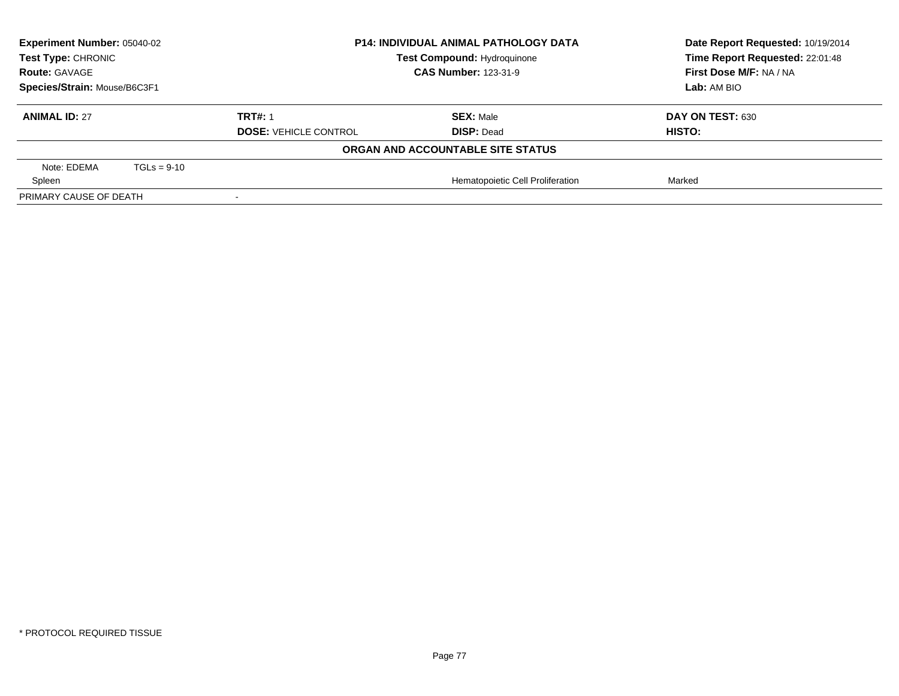| <b>Experiment Number: 05040-02</b><br>Test Type: CHRONIC<br><b>Route: GAVAGE</b><br>Species/Strain: Mouse/B6C3F1 |               | <b>P14: INDIVIDUAL ANIMAL PATHOLOGY DATA</b><br><b>Test Compound: Hydroquinone</b><br><b>CAS Number: 123-31-9</b> |                                   | Date Report Requested: 10/19/2014<br>Time Report Requested: 22:01:48 |
|------------------------------------------------------------------------------------------------------------------|---------------|-------------------------------------------------------------------------------------------------------------------|-----------------------------------|----------------------------------------------------------------------|
|                                                                                                                  |               |                                                                                                                   |                                   | First Dose M/F: NA / NA                                              |
|                                                                                                                  |               |                                                                                                                   |                                   | Lab: AM BIO                                                          |
| <b>ANIMAL ID: 27</b>                                                                                             |               | <b>TRT#: 1</b>                                                                                                    | <b>SEX: Male</b>                  | DAY ON TEST: 630                                                     |
|                                                                                                                  |               | <b>DOSE: VEHICLE CONTROL</b>                                                                                      | <b>DISP: Dead</b>                 | HISTO:                                                               |
|                                                                                                                  |               |                                                                                                                   | ORGAN AND ACCOUNTABLE SITE STATUS |                                                                      |
| Note: EDEMA                                                                                                      | $TGLs = 9-10$ |                                                                                                                   |                                   |                                                                      |
| Spleen                                                                                                           |               |                                                                                                                   | Hematopoietic Cell Proliferation  | Marked                                                               |
| PRIMARY CAUSE OF DEATH                                                                                           |               |                                                                                                                   |                                   |                                                                      |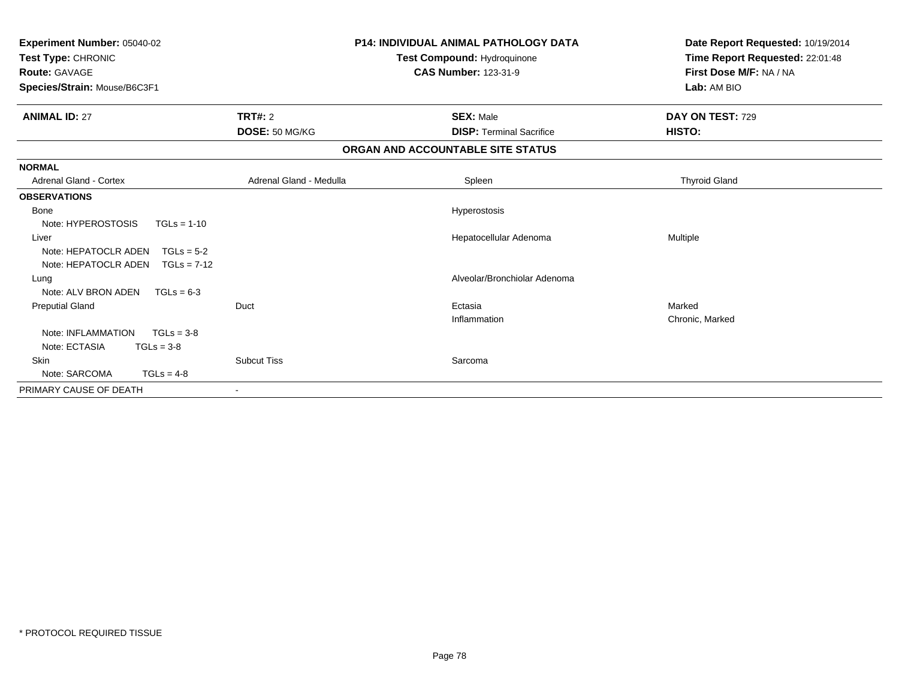| Experiment Number: 05040-02<br>Test Type: CHRONIC<br>Route: GAVAGE<br>Species/Strain: Mouse/B6C3F1 |                         | <b>P14: INDIVIDUAL ANIMAL PATHOLOGY DATA</b><br>Test Compound: Hydroquinone<br><b>CAS Number: 123-31-9</b> | Date Report Requested: 10/19/2014<br>Time Report Requested: 22:01:48<br>First Dose M/F: NA / NA<br>Lab: AM BIO |
|----------------------------------------------------------------------------------------------------|-------------------------|------------------------------------------------------------------------------------------------------------|----------------------------------------------------------------------------------------------------------------|
| <b>ANIMAL ID: 27</b>                                                                               | <b>TRT#: 2</b>          | <b>SEX: Male</b>                                                                                           | DAY ON TEST: 729                                                                                               |
|                                                                                                    | DOSE: 50 MG/KG          | <b>DISP: Terminal Sacrifice</b>                                                                            | HISTO:                                                                                                         |
|                                                                                                    |                         | ORGAN AND ACCOUNTABLE SITE STATUS                                                                          |                                                                                                                |
| <b>NORMAL</b>                                                                                      |                         |                                                                                                            |                                                                                                                |
| <b>Adrenal Gland - Cortex</b>                                                                      | Adrenal Gland - Medulla | Spleen                                                                                                     | <b>Thyroid Gland</b>                                                                                           |
| <b>OBSERVATIONS</b>                                                                                |                         |                                                                                                            |                                                                                                                |
| Bone                                                                                               |                         | Hyperostosis                                                                                               |                                                                                                                |
| Note: HYPEROSTOSIS<br>$TGLs = 1-10$                                                                |                         |                                                                                                            |                                                                                                                |
| Liver                                                                                              |                         | Hepatocellular Adenoma                                                                                     | Multiple                                                                                                       |
| Note: HEPATOCLR ADEN<br>$TGLs = 5-2$                                                               |                         |                                                                                                            |                                                                                                                |
| Note: HEPATOCLR ADEN<br>$TGLs = 7-12$                                                              |                         |                                                                                                            |                                                                                                                |
| Lung                                                                                               |                         | Alveolar/Bronchiolar Adenoma                                                                               |                                                                                                                |
| Note: ALV BRON ADEN<br>$TGLs = 6-3$                                                                |                         |                                                                                                            |                                                                                                                |
| <b>Preputial Gland</b>                                                                             | Duct                    | Ectasia                                                                                                    | Marked                                                                                                         |
|                                                                                                    |                         | Inflammation                                                                                               | Chronic, Marked                                                                                                |
| Note: INFLAMMATION<br>$TGLs = 3-8$<br>Note: ECTASIA                                                |                         |                                                                                                            |                                                                                                                |
| $TGLs = 3-8$<br>Skin                                                                               | <b>Subcut Tiss</b>      | Sarcoma                                                                                                    |                                                                                                                |
| Note: SARCOMA<br>$TGLs = 4-8$                                                                      |                         |                                                                                                            |                                                                                                                |
| PRIMARY CAUSE OF DEATH                                                                             |                         |                                                                                                            |                                                                                                                |
|                                                                                                    |                         |                                                                                                            |                                                                                                                |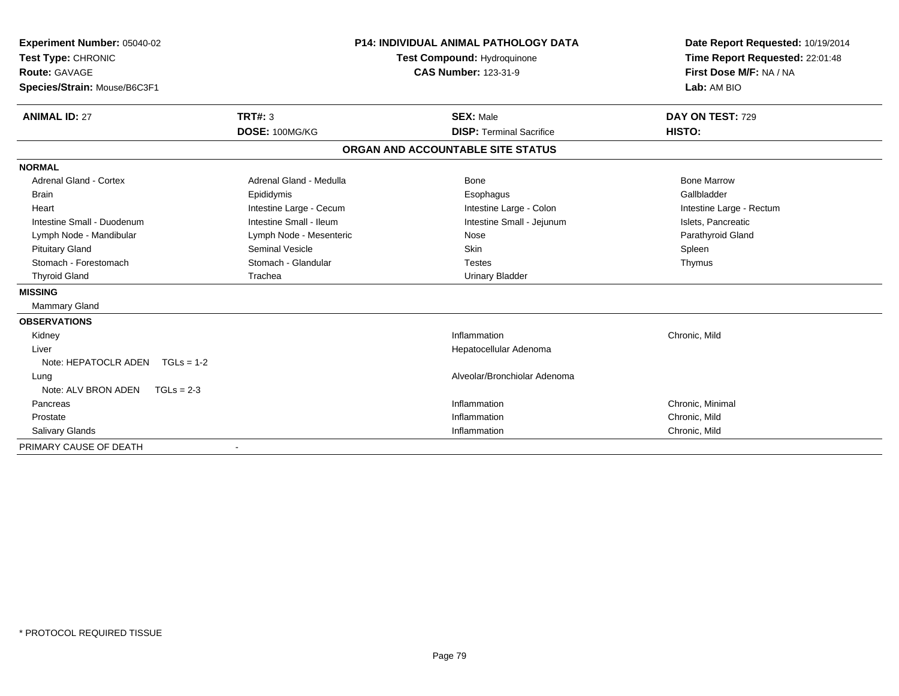| Experiment Number: 05040-02<br>Test Type: CHRONIC<br><b>Route: GAVAGE</b><br>Species/Strain: Mouse/B6C3F1 |                         | <b>P14: INDIVIDUAL ANIMAL PATHOLOGY DATA</b><br>Test Compound: Hydroquinone<br><b>CAS Number: 123-31-9</b> | Date Report Requested: 10/19/2014<br>Time Report Requested: 22:01:48<br>First Dose M/F: NA / NA<br>Lab: AM BIO |
|-----------------------------------------------------------------------------------------------------------|-------------------------|------------------------------------------------------------------------------------------------------------|----------------------------------------------------------------------------------------------------------------|
|                                                                                                           |                         |                                                                                                            |                                                                                                                |
| <b>ANIMAL ID: 27</b>                                                                                      | TRT#: 3                 | <b>SEX: Male</b>                                                                                           | DAY ON TEST: 729                                                                                               |
|                                                                                                           | DOSE: 100MG/KG          | <b>DISP: Terminal Sacrifice</b>                                                                            | HISTO:                                                                                                         |
|                                                                                                           |                         | ORGAN AND ACCOUNTABLE SITE STATUS                                                                          |                                                                                                                |
| <b>NORMAL</b>                                                                                             |                         |                                                                                                            |                                                                                                                |
| <b>Adrenal Gland - Cortex</b>                                                                             | Adrenal Gland - Medulla | <b>Bone</b>                                                                                                | <b>Bone Marrow</b>                                                                                             |
| <b>Brain</b>                                                                                              | Epididymis              | Esophagus                                                                                                  | Gallbladder                                                                                                    |
| Heart                                                                                                     | Intestine Large - Cecum | Intestine Large - Colon                                                                                    | Intestine Large - Rectum                                                                                       |
| Intestine Small - Duodenum                                                                                | Intestine Small - Ileum | Intestine Small - Jejunum                                                                                  | Islets, Pancreatic                                                                                             |
| Lymph Node - Mandibular                                                                                   | Lymph Node - Mesenteric | Nose                                                                                                       | Parathyroid Gland                                                                                              |
| <b>Pituitary Gland</b>                                                                                    | Seminal Vesicle         | <b>Skin</b>                                                                                                | Spleen                                                                                                         |
| Stomach - Forestomach                                                                                     | Stomach - Glandular     | <b>Testes</b>                                                                                              | Thymus                                                                                                         |
| <b>Thyroid Gland</b>                                                                                      | Trachea                 | <b>Urinary Bladder</b>                                                                                     |                                                                                                                |
| <b>MISSING</b>                                                                                            |                         |                                                                                                            |                                                                                                                |
| <b>Mammary Gland</b>                                                                                      |                         |                                                                                                            |                                                                                                                |
| <b>OBSERVATIONS</b>                                                                                       |                         |                                                                                                            |                                                                                                                |
| Kidney                                                                                                    |                         | Inflammation                                                                                               | Chronic, Mild                                                                                                  |
| Liver                                                                                                     |                         | Hepatocellular Adenoma                                                                                     |                                                                                                                |
| Note: HEPATOCLR ADEN TGLs = 1-2                                                                           |                         |                                                                                                            |                                                                                                                |
| Lung                                                                                                      |                         | Alveolar/Bronchiolar Adenoma                                                                               |                                                                                                                |
| Note: ALV BRON ADEN<br>$TGLs = 2-3$                                                                       |                         |                                                                                                            |                                                                                                                |
| Pancreas                                                                                                  |                         | Inflammation                                                                                               | Chronic, Minimal                                                                                               |
| Prostate                                                                                                  |                         | Inflammation                                                                                               | Chronic, Mild                                                                                                  |
| <b>Salivary Glands</b>                                                                                    |                         | Inflammation                                                                                               | Chronic, Mild                                                                                                  |
| PRIMARY CAUSE OF DEATH                                                                                    |                         |                                                                                                            |                                                                                                                |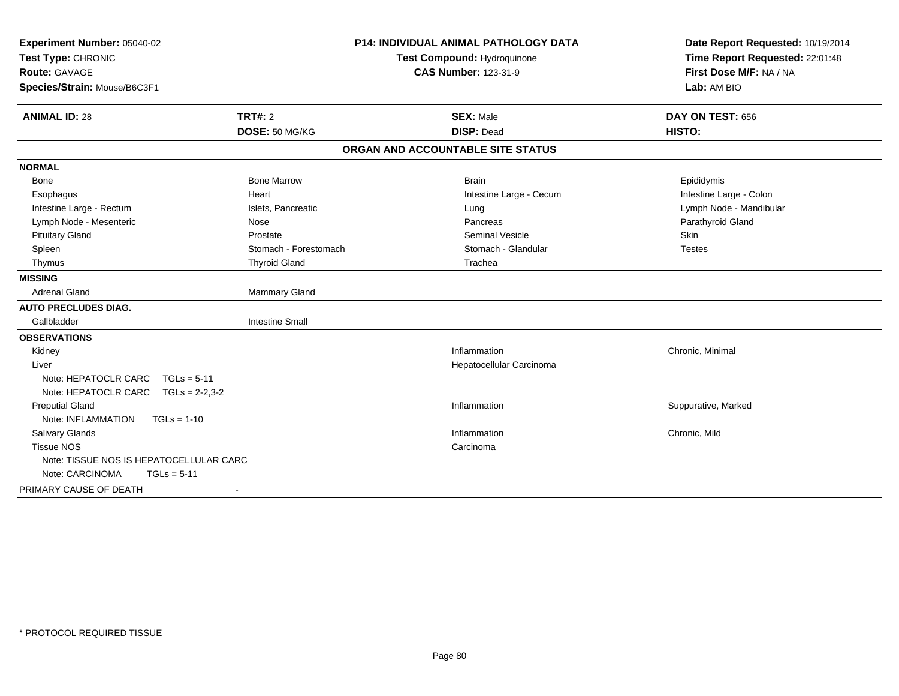| Experiment Number: 05040-02              |                             | P14: INDIVIDUAL ANIMAL PATHOLOGY DATA | Date Report Requested: 10/19/2014 |
|------------------------------------------|-----------------------------|---------------------------------------|-----------------------------------|
| Test Type: CHRONIC                       | Test Compound: Hydroquinone |                                       | Time Report Requested: 22:01:48   |
| Route: GAVAGE                            |                             | <b>CAS Number: 123-31-9</b>           | First Dose M/F: NA / NA           |
| Species/Strain: Mouse/B6C3F1             |                             |                                       | Lab: AM BIO                       |
| <b>ANIMAL ID: 28</b>                     | TRT#: 2                     | <b>SEX: Male</b>                      | DAY ON TEST: 656                  |
|                                          | DOSE: 50 MG/KG              | <b>DISP: Dead</b>                     | HISTO:                            |
|                                          |                             | ORGAN AND ACCOUNTABLE SITE STATUS     |                                   |
| <b>NORMAL</b>                            |                             |                                       |                                   |
| <b>Bone</b>                              | <b>Bone Marrow</b>          | <b>Brain</b>                          | Epididymis                        |
| Esophagus                                | Heart                       | Intestine Large - Cecum               | Intestine Large - Colon           |
| Intestine Large - Rectum                 | Islets, Pancreatic          | Lung                                  | Lymph Node - Mandibular           |
| Lymph Node - Mesenteric                  | Nose                        | Pancreas                              | Parathyroid Gland                 |
| <b>Pituitary Gland</b>                   | Prostate                    | Seminal Vesicle                       | Skin                              |
| Spleen                                   | Stomach - Forestomach       | Stomach - Glandular                   | <b>Testes</b>                     |
| Thymus                                   | <b>Thyroid Gland</b>        | Trachea                               |                                   |
| <b>MISSING</b>                           |                             |                                       |                                   |
| <b>Adrenal Gland</b>                     | <b>Mammary Gland</b>        |                                       |                                   |
| <b>AUTO PRECLUDES DIAG.</b>              |                             |                                       |                                   |
| Gallbladder                              | <b>Intestine Small</b>      |                                       |                                   |
| <b>OBSERVATIONS</b>                      |                             |                                       |                                   |
| Kidney                                   |                             | Inflammation                          | Chronic, Minimal                  |
| Liver                                    |                             | Hepatocellular Carcinoma              |                                   |
| Note: HEPATOCLR CARC<br>$TGLs = 5-11$    |                             |                                       |                                   |
| Note: HEPATOCLR CARC<br>$TGLs = 2-2,3-2$ |                             |                                       |                                   |
| <b>Preputial Gland</b>                   |                             | Inflammation                          | Suppurative, Marked               |
| Note: INFLAMMATION<br>$TGLs = 1-10$      |                             |                                       |                                   |
| Salivary Glands                          |                             | Inflammation                          | Chronic, Mild                     |
| <b>Tissue NOS</b>                        |                             | Carcinoma                             |                                   |
| Note: TISSUE NOS IS HEPATOCELLULAR CARC  |                             |                                       |                                   |
| Note: CARCINOMA<br>$TGLs = 5-11$         |                             |                                       |                                   |
| PRIMARY CAUSE OF DEATH                   |                             |                                       |                                   |
|                                          |                             |                                       |                                   |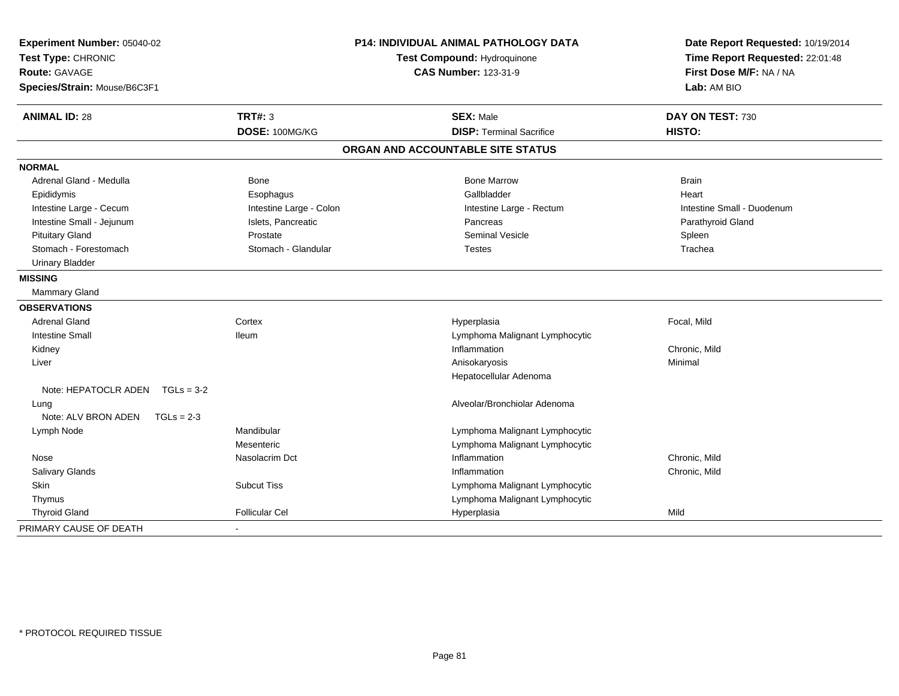| Experiment Number: 05040-02<br>Test Type: CHRONIC |                         | <b>P14: INDIVIDUAL ANIMAL PATHOLOGY DATA</b><br>Test Compound: Hydroquinone | Date Report Requested: 10/19/2014<br>Time Report Requested: 22:01:48 |
|---------------------------------------------------|-------------------------|-----------------------------------------------------------------------------|----------------------------------------------------------------------|
| <b>Route: GAVAGE</b>                              |                         | <b>CAS Number: 123-31-9</b>                                                 | First Dose M/F: NA / NA                                              |
| Species/Strain: Mouse/B6C3F1                      |                         |                                                                             | Lab: AM BIO                                                          |
| <b>ANIMAL ID: 28</b>                              | <b>TRT#: 3</b>          | <b>SEX: Male</b>                                                            | DAY ON TEST: 730                                                     |
|                                                   | DOSE: 100MG/KG          | <b>DISP: Terminal Sacrifice</b>                                             | HISTO:                                                               |
|                                                   |                         | ORGAN AND ACCOUNTABLE SITE STATUS                                           |                                                                      |
| <b>NORMAL</b>                                     |                         |                                                                             |                                                                      |
| Adrenal Gland - Medulla                           | <b>Bone</b>             | <b>Bone Marrow</b>                                                          | <b>Brain</b>                                                         |
| Epididymis                                        | Esophagus               | Gallbladder                                                                 | Heart                                                                |
| Intestine Large - Cecum                           | Intestine Large - Colon | Intestine Large - Rectum                                                    | Intestine Small - Duodenum                                           |
| Intestine Small - Jejunum                         | Islets, Pancreatic      | Pancreas                                                                    | Parathyroid Gland                                                    |
| <b>Pituitary Gland</b>                            | Prostate                | <b>Seminal Vesicle</b>                                                      | Spleen                                                               |
| Stomach - Forestomach                             | Stomach - Glandular     | Testes                                                                      | Trachea                                                              |
| <b>Urinary Bladder</b>                            |                         |                                                                             |                                                                      |
| <b>MISSING</b>                                    |                         |                                                                             |                                                                      |
| <b>Mammary Gland</b>                              |                         |                                                                             |                                                                      |
| <b>OBSERVATIONS</b>                               |                         |                                                                             |                                                                      |
| <b>Adrenal Gland</b>                              | Cortex                  | Hyperplasia                                                                 | Focal, Mild                                                          |
| <b>Intestine Small</b>                            | <b>Ileum</b>            | Lymphoma Malignant Lymphocytic                                              |                                                                      |
| Kidney                                            |                         | Inflammation                                                                | Chronic, Mild                                                        |
| Liver                                             |                         | Anisokaryosis                                                               | Minimal                                                              |
|                                                   |                         | Hepatocellular Adenoma                                                      |                                                                      |
| Note: HEPATOCLR ADEN TGLs = 3-2                   |                         |                                                                             |                                                                      |
| Lung                                              |                         | Alveolar/Bronchiolar Adenoma                                                |                                                                      |
| Note: ALV BRON ADEN<br>$TGLs = 2-3$               |                         |                                                                             |                                                                      |
| Lymph Node                                        | Mandibular              | Lymphoma Malignant Lymphocytic                                              |                                                                      |
|                                                   | Mesenteric              | Lymphoma Malignant Lymphocytic                                              |                                                                      |
| Nose                                              | Nasolacrim Dct          | Inflammation                                                                | Chronic, Mild                                                        |
| Salivary Glands                                   |                         | Inflammation                                                                | Chronic, Mild                                                        |
| Skin                                              | <b>Subcut Tiss</b>      | Lymphoma Malignant Lymphocytic                                              |                                                                      |
| Thymus                                            |                         | Lymphoma Malignant Lymphocytic                                              |                                                                      |
| <b>Thyroid Gland</b>                              | <b>Follicular Cel</b>   | Hyperplasia                                                                 | Mild                                                                 |
| PRIMARY CAUSE OF DEATH                            |                         |                                                                             |                                                                      |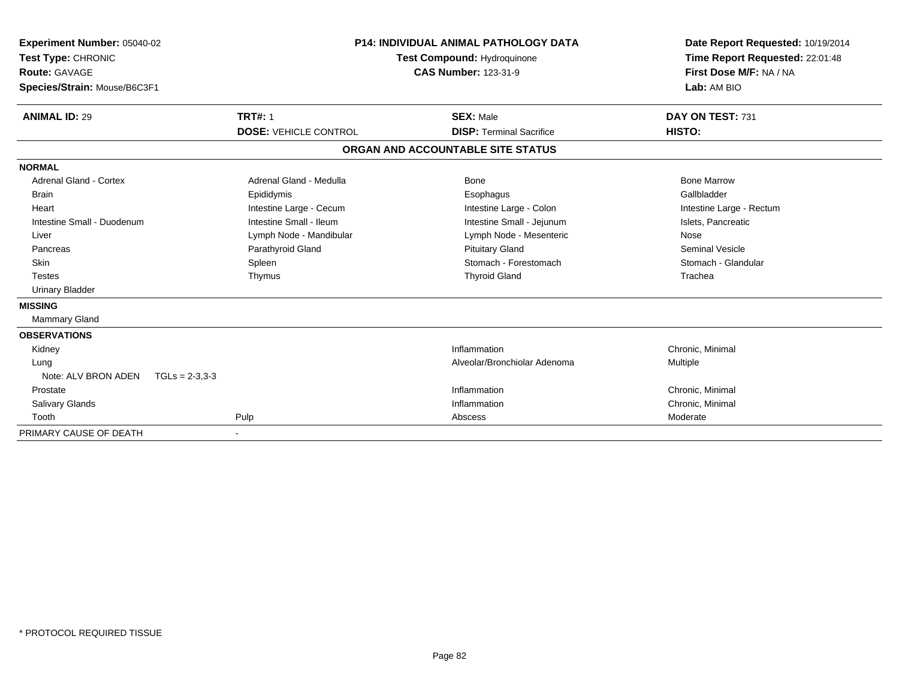| Experiment Number: 05040-02<br>Test Type: CHRONIC<br>Route: GAVAGE<br>Species/Strain: Mouse/B6C3F1 | <b>P14: INDIVIDUAL ANIMAL PATHOLOGY DATA</b><br><b>Test Compound: Hydroquinone</b><br><b>CAS Number: 123-31-9</b> |                                                     | Date Report Requested: 10/19/2014<br>Time Report Requested: 22:01:48<br>First Dose M/F: NA / NA<br>Lab: AM BIO |
|----------------------------------------------------------------------------------------------------|-------------------------------------------------------------------------------------------------------------------|-----------------------------------------------------|----------------------------------------------------------------------------------------------------------------|
| <b>ANIMAL ID: 29</b>                                                                               | <b>TRT#: 1</b><br><b>DOSE: VEHICLE CONTROL</b>                                                                    | <b>SEX: Male</b><br><b>DISP:</b> Terminal Sacrifice | DAY ON TEST: 731<br>HISTO:                                                                                     |
|                                                                                                    |                                                                                                                   |                                                     |                                                                                                                |
|                                                                                                    |                                                                                                                   | ORGAN AND ACCOUNTABLE SITE STATUS                   |                                                                                                                |
| <b>NORMAL</b>                                                                                      |                                                                                                                   |                                                     |                                                                                                                |
| <b>Adrenal Gland - Cortex</b>                                                                      | Adrenal Gland - Medulla                                                                                           | Bone                                                | <b>Bone Marrow</b>                                                                                             |
| <b>Brain</b>                                                                                       | Epididymis                                                                                                        | Esophagus                                           | Gallbladder                                                                                                    |
| Heart                                                                                              | Intestine Large - Cecum                                                                                           | Intestine Large - Colon                             | Intestine Large - Rectum                                                                                       |
| Intestine Small - Duodenum                                                                         | Intestine Small - Ileum                                                                                           | Intestine Small - Jejunum                           | Islets, Pancreatic                                                                                             |
| Liver                                                                                              | Lymph Node - Mandibular                                                                                           | Lymph Node - Mesenteric                             | Nose                                                                                                           |
| Pancreas                                                                                           | Parathyroid Gland                                                                                                 | <b>Pituitary Gland</b>                              | <b>Seminal Vesicle</b>                                                                                         |
| <b>Skin</b>                                                                                        | Spleen                                                                                                            | Stomach - Forestomach                               | Stomach - Glandular                                                                                            |
| <b>Testes</b>                                                                                      | Thymus                                                                                                            | <b>Thyroid Gland</b>                                | Trachea                                                                                                        |
| <b>Urinary Bladder</b>                                                                             |                                                                                                                   |                                                     |                                                                                                                |
| <b>MISSING</b>                                                                                     |                                                                                                                   |                                                     |                                                                                                                |
| <b>Mammary Gland</b>                                                                               |                                                                                                                   |                                                     |                                                                                                                |
| <b>OBSERVATIONS</b>                                                                                |                                                                                                                   |                                                     |                                                                                                                |
| Kidney                                                                                             |                                                                                                                   | Inflammation                                        | Chronic, Minimal                                                                                               |
| Lung                                                                                               |                                                                                                                   | Alveolar/Bronchiolar Adenoma                        | Multiple                                                                                                       |
| Note: ALV BRON ADEN<br>$TGLs = 2-3.3-3$                                                            |                                                                                                                   |                                                     |                                                                                                                |
| Prostate                                                                                           |                                                                                                                   | Inflammation                                        | Chronic, Minimal                                                                                               |
| <b>Salivary Glands</b>                                                                             |                                                                                                                   | Inflammation                                        | Chronic, Minimal                                                                                               |
| Tooth                                                                                              | Pulp                                                                                                              | Abscess                                             | Moderate                                                                                                       |
| PRIMARY CAUSE OF DEATH                                                                             | $\blacksquare$                                                                                                    |                                                     |                                                                                                                |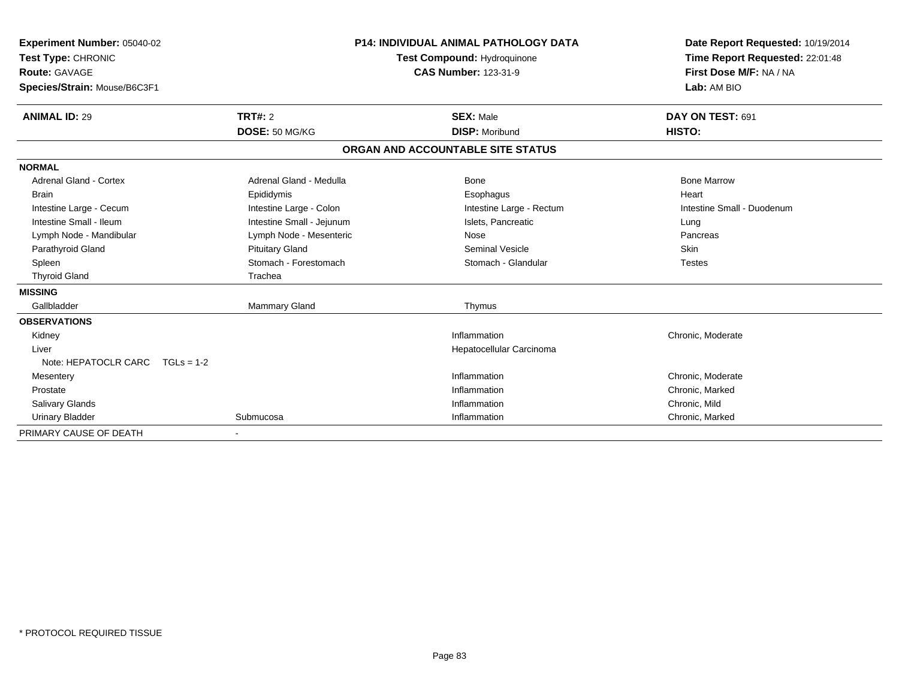| Experiment Number: 05040-02<br>Test Type: CHRONIC<br>Route: GAVAGE |                           | <b>P14: INDIVIDUAL ANIMAL PATHOLOGY DATA</b><br>Test Compound: Hydroquinone<br><b>CAS Number: 123-31-9</b> | Date Report Requested: 10/19/2014<br>Time Report Requested: 22:01:48<br>First Dose M/F: NA / NA<br>Lab: AM BIO |
|--------------------------------------------------------------------|---------------------------|------------------------------------------------------------------------------------------------------------|----------------------------------------------------------------------------------------------------------------|
| Species/Strain: Mouse/B6C3F1                                       |                           |                                                                                                            |                                                                                                                |
| <b>ANIMAL ID: 29</b>                                               | <b>TRT#: 2</b>            | <b>SEX: Male</b>                                                                                           | DAY ON TEST: 691                                                                                               |
|                                                                    | DOSE: 50 MG/KG            | <b>DISP: Moribund</b>                                                                                      | HISTO:                                                                                                         |
|                                                                    |                           | ORGAN AND ACCOUNTABLE SITE STATUS                                                                          |                                                                                                                |
| <b>NORMAL</b>                                                      |                           |                                                                                                            |                                                                                                                |
| <b>Adrenal Gland - Cortex</b>                                      | Adrenal Gland - Medulla   | <b>Bone</b>                                                                                                | <b>Bone Marrow</b>                                                                                             |
| <b>Brain</b>                                                       | Epididymis                | Esophagus                                                                                                  | Heart                                                                                                          |
| Intestine Large - Cecum                                            | Intestine Large - Colon   | Intestine Large - Rectum                                                                                   | Intestine Small - Duodenum                                                                                     |
| Intestine Small - Ileum                                            | Intestine Small - Jejunum | Islets, Pancreatic                                                                                         | Lung                                                                                                           |
| Lymph Node - Mandibular                                            | Lymph Node - Mesenteric   | Nose                                                                                                       | Pancreas                                                                                                       |
| Parathyroid Gland                                                  | <b>Pituitary Gland</b>    | <b>Seminal Vesicle</b>                                                                                     | Skin                                                                                                           |
| Spleen                                                             | Stomach - Forestomach     | Stomach - Glandular                                                                                        | <b>Testes</b>                                                                                                  |
| <b>Thyroid Gland</b>                                               | Trachea                   |                                                                                                            |                                                                                                                |
| <b>MISSING</b>                                                     |                           |                                                                                                            |                                                                                                                |
| Gallbladder                                                        | <b>Mammary Gland</b>      | Thymus                                                                                                     |                                                                                                                |
| <b>OBSERVATIONS</b>                                                |                           |                                                                                                            |                                                                                                                |
| Kidney                                                             |                           | Inflammation                                                                                               | Chronic, Moderate                                                                                              |
| Liver                                                              |                           | Hepatocellular Carcinoma                                                                                   |                                                                                                                |
| Note: HEPATOCLR CARC TGLs = 1-2                                    |                           |                                                                                                            |                                                                                                                |
| Mesentery                                                          |                           | Inflammation                                                                                               | Chronic, Moderate                                                                                              |
| Prostate                                                           |                           | Inflammation                                                                                               | Chronic, Marked                                                                                                |
| Salivary Glands                                                    |                           | Inflammation                                                                                               | Chronic, Mild                                                                                                  |
| <b>Urinary Bladder</b>                                             | Submucosa                 | Inflammation                                                                                               | Chronic, Marked                                                                                                |
| PRIMARY CAUSE OF DEATH                                             |                           |                                                                                                            |                                                                                                                |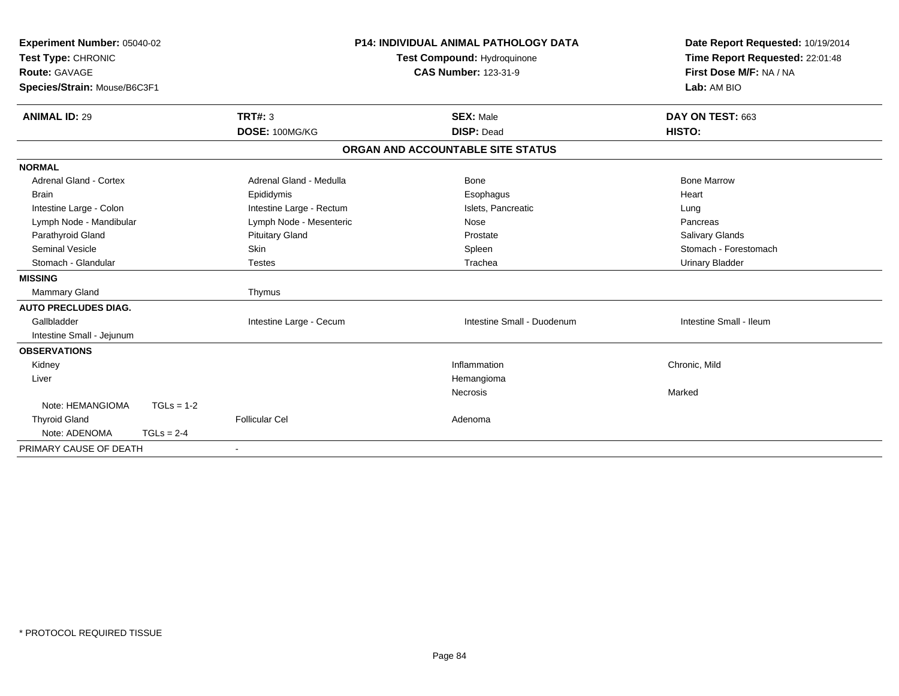| Experiment Number: 05040-02      |                          | <b>P14: INDIVIDUAL ANIMAL PATHOLOGY DATA</b> | Date Report Requested: 10/19/2014 |
|----------------------------------|--------------------------|----------------------------------------------|-----------------------------------|
| Test Type: CHRONIC               |                          | <b>Test Compound: Hydroquinone</b>           | Time Report Requested: 22:01:48   |
| Route: GAVAGE                    |                          | <b>CAS Number: 123-31-9</b>                  | First Dose M/F: NA / NA           |
| Species/Strain: Mouse/B6C3F1     |                          |                                              | Lab: AM BIO                       |
| <b>ANIMAL ID: 29</b>             | TRT#: 3                  | <b>SEX: Male</b>                             | DAY ON TEST: 663                  |
|                                  | DOSE: 100MG/KG           | <b>DISP: Dead</b>                            | HISTO:                            |
|                                  |                          | ORGAN AND ACCOUNTABLE SITE STATUS            |                                   |
| <b>NORMAL</b>                    |                          |                                              |                                   |
| <b>Adrenal Gland - Cortex</b>    | Adrenal Gland - Medulla  | <b>Bone</b>                                  | <b>Bone Marrow</b>                |
| <b>Brain</b>                     | Epididymis               | Esophagus                                    | Heart                             |
| Intestine Large - Colon          | Intestine Large - Rectum | Islets, Pancreatic                           | Lung                              |
| Lymph Node - Mandibular          | Lymph Node - Mesenteric  | Nose                                         | Pancreas                          |
| Parathyroid Gland                | <b>Pituitary Gland</b>   | Prostate                                     | Salivary Glands                   |
| <b>Seminal Vesicle</b>           | Skin                     | Spleen                                       | Stomach - Forestomach             |
| Stomach - Glandular              | <b>Testes</b>            | Trachea                                      | <b>Urinary Bladder</b>            |
| <b>MISSING</b>                   |                          |                                              |                                   |
| Mammary Gland                    | Thymus                   |                                              |                                   |
| <b>AUTO PRECLUDES DIAG.</b>      |                          |                                              |                                   |
| Gallbladder                      | Intestine Large - Cecum  | Intestine Small - Duodenum                   | Intestine Small - Ileum           |
| Intestine Small - Jejunum        |                          |                                              |                                   |
| <b>OBSERVATIONS</b>              |                          |                                              |                                   |
| Kidney                           |                          | Inflammation                                 | Chronic, Mild                     |
| Liver                            |                          | Hemangioma                                   |                                   |
|                                  |                          | Necrosis                                     | Marked                            |
| Note: HEMANGIOMA<br>$TGLs = 1-2$ |                          |                                              |                                   |
| <b>Thyroid Gland</b>             | <b>Follicular Cel</b>    | Adenoma                                      |                                   |
| Note: ADENOMA<br>$TGLs = 2-4$    |                          |                                              |                                   |
| PRIMARY CAUSE OF DEATH           | $\blacksquare$           |                                              |                                   |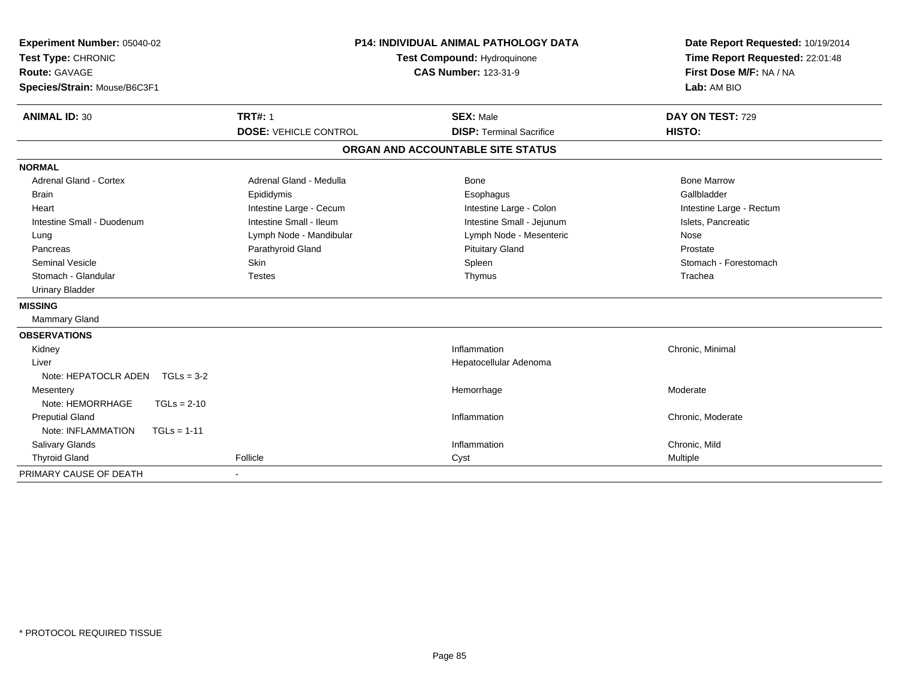| Experiment Number: 05040-02<br>Test Type: CHRONIC<br>Route: GAVAGE<br>Species/Strain: Mouse/B6C3F1 |                              | <b>P14: INDIVIDUAL ANIMAL PATHOLOGY DATA</b><br>Test Compound: Hydroquinone<br><b>CAS Number: 123-31-9</b> | Date Report Requested: 10/19/2014<br>Time Report Requested: 22:01:48<br>First Dose M/F: NA / NA<br>Lab: AM BIO |
|----------------------------------------------------------------------------------------------------|------------------------------|------------------------------------------------------------------------------------------------------------|----------------------------------------------------------------------------------------------------------------|
| <b>ANIMAL ID: 30</b>                                                                               | <b>TRT#: 1</b>               | <b>SEX: Male</b>                                                                                           | DAY ON TEST: 729                                                                                               |
|                                                                                                    | <b>DOSE: VEHICLE CONTROL</b> | <b>DISP: Terminal Sacrifice</b>                                                                            | HISTO:                                                                                                         |
|                                                                                                    |                              | ORGAN AND ACCOUNTABLE SITE STATUS                                                                          |                                                                                                                |
| <b>NORMAL</b>                                                                                      |                              |                                                                                                            |                                                                                                                |
| <b>Adrenal Gland - Cortex</b>                                                                      | Adrenal Gland - Medulla      | Bone                                                                                                       | <b>Bone Marrow</b>                                                                                             |
| <b>Brain</b>                                                                                       | Epididymis                   | Esophagus                                                                                                  | Gallbladder                                                                                                    |
| Heart                                                                                              | Intestine Large - Cecum      | Intestine Large - Colon                                                                                    | Intestine Large - Rectum                                                                                       |
| Intestine Small - Duodenum                                                                         | Intestine Small - Ileum      | Intestine Small - Jejunum                                                                                  | Islets, Pancreatic                                                                                             |
| Lung                                                                                               | Lymph Node - Mandibular      | Lymph Node - Mesenteric                                                                                    | Nose                                                                                                           |
| Pancreas                                                                                           | Parathyroid Gland            | <b>Pituitary Gland</b>                                                                                     | Prostate                                                                                                       |
| <b>Seminal Vesicle</b>                                                                             | Skin                         | Spleen                                                                                                     | Stomach - Forestomach                                                                                          |
| Stomach - Glandular                                                                                | <b>Testes</b>                | Thymus                                                                                                     | Trachea                                                                                                        |
| <b>Urinary Bladder</b>                                                                             |                              |                                                                                                            |                                                                                                                |
| <b>MISSING</b>                                                                                     |                              |                                                                                                            |                                                                                                                |
| Mammary Gland                                                                                      |                              |                                                                                                            |                                                                                                                |
| <b>OBSERVATIONS</b>                                                                                |                              |                                                                                                            |                                                                                                                |
| Kidney                                                                                             |                              | Inflammation                                                                                               | Chronic, Minimal                                                                                               |
| Liver                                                                                              |                              | Hepatocellular Adenoma                                                                                     |                                                                                                                |
| Note: HEPATOCLR ADEN<br>$TGLs = 3-2$                                                               |                              |                                                                                                            |                                                                                                                |
| Mesentery                                                                                          |                              | Hemorrhage                                                                                                 | Moderate                                                                                                       |
| Note: HEMORRHAGE<br>$TGLs = 2-10$                                                                  |                              |                                                                                                            |                                                                                                                |
| <b>Preputial Gland</b>                                                                             |                              | Inflammation                                                                                               | Chronic, Moderate                                                                                              |
| Note: INFLAMMATION<br>$TGLs = 1-11$                                                                |                              |                                                                                                            |                                                                                                                |
| <b>Salivary Glands</b>                                                                             |                              | Inflammation                                                                                               | Chronic, Mild                                                                                                  |
| <b>Thyroid Gland</b>                                                                               | Follicle                     | Cyst                                                                                                       | Multiple                                                                                                       |
| PRIMARY CAUSE OF DEATH                                                                             |                              |                                                                                                            |                                                                                                                |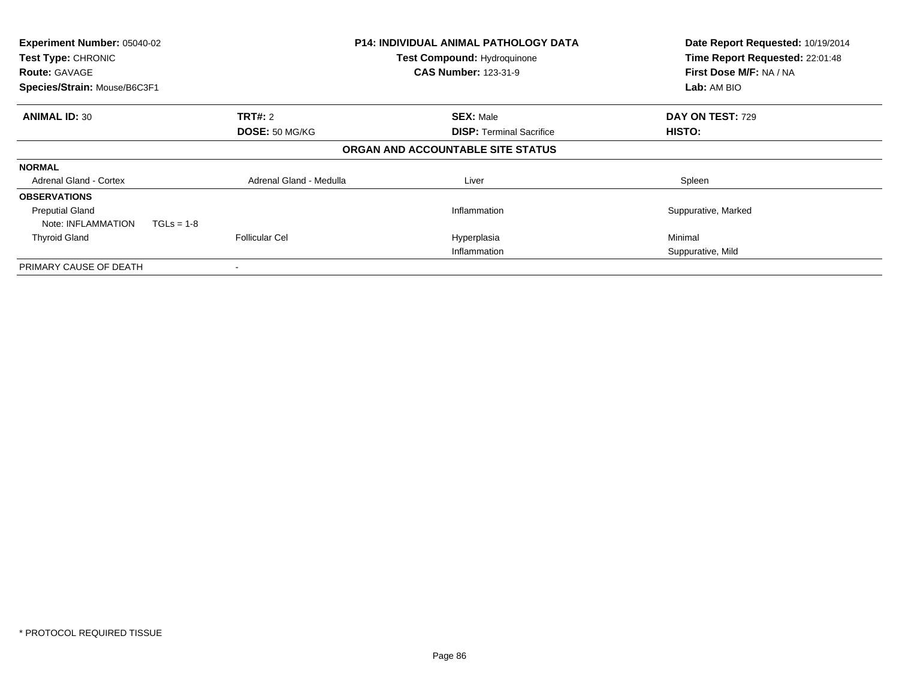| Experiment Number: 05040-02<br>Test Type: CHRONIC<br><b>Route: GAVAGE</b><br>Species/Strain: Mouse/B6C3F1 |                         | <b>P14: INDIVIDUAL ANIMAL PATHOLOGY DATA</b><br><b>Test Compound: Hydroquinone</b><br><b>CAS Number: 123-31-9</b> | Date Report Requested: 10/19/2014<br>Time Report Requested: 22:01:48<br>First Dose M/F: NA / NA<br>Lab: AM BIO |  |
|-----------------------------------------------------------------------------------------------------------|-------------------------|-------------------------------------------------------------------------------------------------------------------|----------------------------------------------------------------------------------------------------------------|--|
|                                                                                                           |                         |                                                                                                                   |                                                                                                                |  |
| <b>ANIMAL ID: 30</b>                                                                                      | <b>TRT#: 2</b>          | <b>SEX: Male</b>                                                                                                  | DAY ON TEST: 729                                                                                               |  |
|                                                                                                           | DOSE: 50 MG/KG          | <b>DISP: Terminal Sacrifice</b>                                                                                   | HISTO:                                                                                                         |  |
|                                                                                                           |                         | ORGAN AND ACCOUNTABLE SITE STATUS                                                                                 |                                                                                                                |  |
| <b>NORMAL</b>                                                                                             |                         |                                                                                                                   |                                                                                                                |  |
| <b>Adrenal Gland - Cortex</b>                                                                             | Adrenal Gland - Medulla | Liver                                                                                                             | Spleen                                                                                                         |  |
| <b>OBSERVATIONS</b>                                                                                       |                         |                                                                                                                   |                                                                                                                |  |
| <b>Preputial Gland</b>                                                                                    |                         | Inflammation                                                                                                      | Suppurative, Marked                                                                                            |  |
| Note: INFLAMMATION<br>$TGLs = 1-8$                                                                        |                         |                                                                                                                   |                                                                                                                |  |
| <b>Thyroid Gland</b>                                                                                      | <b>Follicular Cel</b>   | Hyperplasia                                                                                                       | Minimal                                                                                                        |  |
|                                                                                                           |                         | Inflammation                                                                                                      | Suppurative, Mild                                                                                              |  |
| PRIMARY CAUSE OF DEATH                                                                                    |                         |                                                                                                                   |                                                                                                                |  |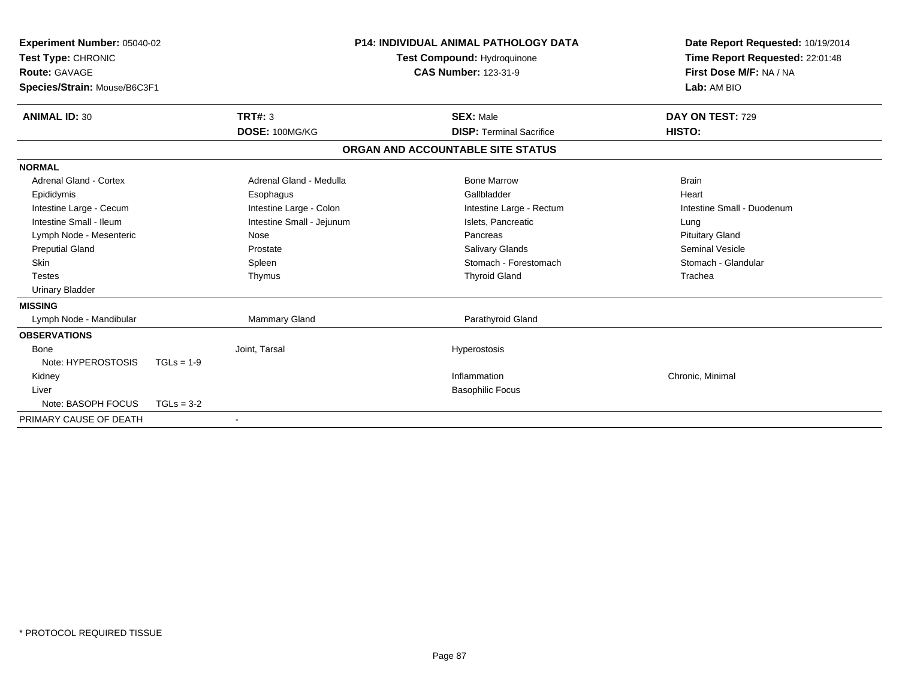| <b>Experiment Number: 05040-02</b><br>Test Type: CHRONIC<br>Route: GAVAGE<br>Species/Strain: Mouse/B6C3F1 |              | <b>P14: INDIVIDUAL ANIMAL PATHOLOGY DATA</b><br><b>Test Compound: Hydroquinone</b><br><b>CAS Number: 123-31-9</b> |  | Date Report Requested: 10/19/2014<br>Time Report Requested: 22:01:48<br>First Dose M/F: NA / NA<br>Lab: AM BIO |                            |
|-----------------------------------------------------------------------------------------------------------|--------------|-------------------------------------------------------------------------------------------------------------------|--|----------------------------------------------------------------------------------------------------------------|----------------------------|
| <b>ANIMAL ID: 30</b>                                                                                      |              | <b>TRT#: 3</b>                                                                                                    |  | <b>SEX: Male</b>                                                                                               | DAY ON TEST: 729           |
|                                                                                                           |              | DOSE: 100MG/KG                                                                                                    |  | <b>DISP: Terminal Sacrifice</b>                                                                                | HISTO:                     |
|                                                                                                           |              |                                                                                                                   |  | ORGAN AND ACCOUNTABLE SITE STATUS                                                                              |                            |
| <b>NORMAL</b>                                                                                             |              |                                                                                                                   |  |                                                                                                                |                            |
| Adrenal Gland - Cortex                                                                                    |              | Adrenal Gland - Medulla                                                                                           |  | <b>Bone Marrow</b>                                                                                             | <b>Brain</b>               |
| Epididymis                                                                                                |              | Esophagus                                                                                                         |  | Gallbladder                                                                                                    | Heart                      |
| Intestine Large - Cecum                                                                                   |              | Intestine Large - Colon                                                                                           |  | Intestine Large - Rectum                                                                                       | Intestine Small - Duodenum |
| Intestine Small - Ileum                                                                                   |              | Intestine Small - Jejunum                                                                                         |  | Islets, Pancreatic                                                                                             | Lung                       |
| Lymph Node - Mesenteric                                                                                   |              | Nose                                                                                                              |  | Pancreas                                                                                                       | <b>Pituitary Gland</b>     |
| <b>Preputial Gland</b>                                                                                    |              | Prostate                                                                                                          |  | <b>Salivary Glands</b>                                                                                         | <b>Seminal Vesicle</b>     |
| Skin                                                                                                      |              | Spleen                                                                                                            |  | Stomach - Forestomach                                                                                          | Stomach - Glandular        |
| <b>Testes</b>                                                                                             |              | Thymus                                                                                                            |  | <b>Thyroid Gland</b>                                                                                           | Trachea                    |
| <b>Urinary Bladder</b>                                                                                    |              |                                                                                                                   |  |                                                                                                                |                            |
| <b>MISSING</b>                                                                                            |              |                                                                                                                   |  |                                                                                                                |                            |
| Lymph Node - Mandibular                                                                                   |              | Mammary Gland                                                                                                     |  | Parathyroid Gland                                                                                              |                            |
| <b>OBSERVATIONS</b>                                                                                       |              |                                                                                                                   |  |                                                                                                                |                            |
| <b>Bone</b>                                                                                               |              | Joint, Tarsal                                                                                                     |  | Hyperostosis                                                                                                   |                            |
| Note: HYPEROSTOSIS                                                                                        | $TGLs = 1-9$ |                                                                                                                   |  |                                                                                                                |                            |
| Kidney                                                                                                    |              |                                                                                                                   |  | Inflammation                                                                                                   | Chronic, Minimal           |
| Liver                                                                                                     |              |                                                                                                                   |  | <b>Basophilic Focus</b>                                                                                        |                            |
| Note: BASOPH FOCUS                                                                                        | $TGLs = 3-2$ |                                                                                                                   |  |                                                                                                                |                            |
| PRIMARY CAUSE OF DEATH                                                                                    |              |                                                                                                                   |  |                                                                                                                |                            |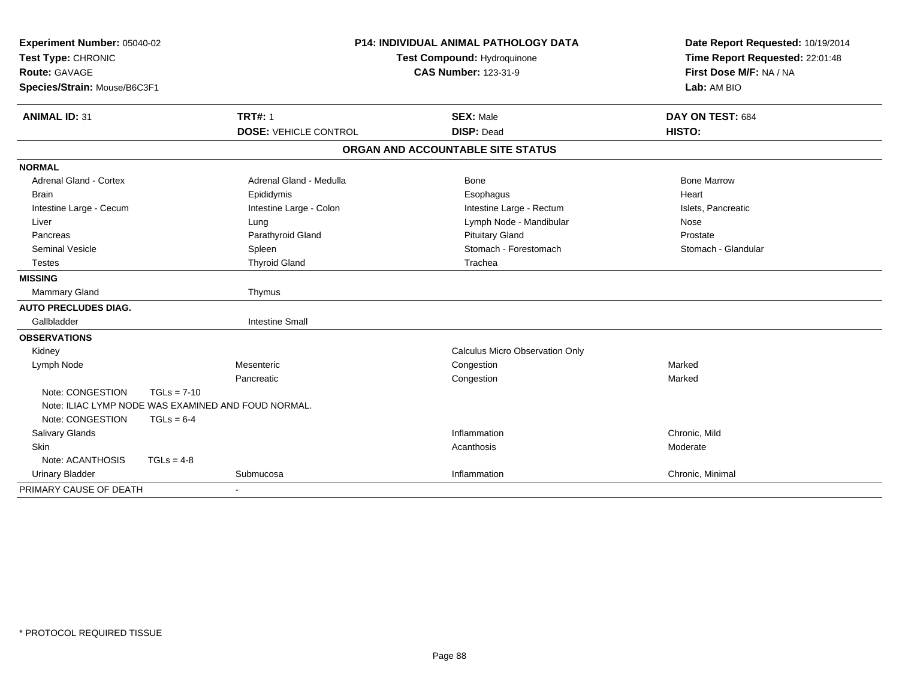| Experiment Number: 05040-02                         |               |                              | <b>P14: INDIVIDUAL ANIMAL PATHOLOGY DATA</b> | Date Report Requested: 10/19/2014 |  |
|-----------------------------------------------------|---------------|------------------------------|----------------------------------------------|-----------------------------------|--|
| Test Type: CHRONIC                                  |               |                              | Test Compound: Hydroquinone                  | Time Report Requested: 22:01:48   |  |
| <b>Route: GAVAGE</b>                                |               |                              | <b>CAS Number: 123-31-9</b>                  | First Dose M/F: NA / NA           |  |
| Species/Strain: Mouse/B6C3F1                        |               |                              |                                              | Lab: AM BIO                       |  |
| <b>ANIMAL ID: 31</b>                                |               | <b>TRT#: 1</b>               | <b>SEX: Male</b>                             | DAY ON TEST: 684                  |  |
|                                                     |               | <b>DOSE: VEHICLE CONTROL</b> | <b>DISP: Dead</b>                            | HISTO:                            |  |
|                                                     |               |                              | ORGAN AND ACCOUNTABLE SITE STATUS            |                                   |  |
| <b>NORMAL</b>                                       |               |                              |                                              |                                   |  |
| Adrenal Gland - Cortex                              |               | Adrenal Gland - Medulla      | Bone                                         | <b>Bone Marrow</b>                |  |
| <b>Brain</b>                                        |               | Epididymis                   | Esophagus                                    | Heart                             |  |
| Intestine Large - Cecum                             |               | Intestine Large - Colon      | Intestine Large - Rectum                     | Islets, Pancreatic                |  |
| Liver                                               |               | Lung                         | Lymph Node - Mandibular                      | Nose                              |  |
| Pancreas                                            |               | Parathyroid Gland            | <b>Pituitary Gland</b>                       | Prostate                          |  |
| <b>Seminal Vesicle</b>                              |               | Spleen                       | Stomach - Forestomach                        | Stomach - Glandular               |  |
| <b>Testes</b>                                       |               | <b>Thyroid Gland</b>         | Trachea                                      |                                   |  |
| <b>MISSING</b>                                      |               |                              |                                              |                                   |  |
| Mammary Gland                                       |               | Thymus                       |                                              |                                   |  |
| <b>AUTO PRECLUDES DIAG.</b>                         |               |                              |                                              |                                   |  |
| Gallbladder                                         |               | <b>Intestine Small</b>       |                                              |                                   |  |
| <b>OBSERVATIONS</b>                                 |               |                              |                                              |                                   |  |
| Kidney                                              |               |                              | Calculus Micro Observation Only              |                                   |  |
| Lymph Node                                          |               | Mesenteric                   | Congestion                                   | Marked                            |  |
|                                                     |               | Pancreatic                   | Congestion                                   | Marked                            |  |
| Note: CONGESTION                                    | $TGLs = 7-10$ |                              |                                              |                                   |  |
| Note: ILIAC LYMP NODE WAS EXAMINED AND FOUD NORMAL. |               |                              |                                              |                                   |  |
| Note: CONGESTION                                    | $TGLs = 6-4$  |                              |                                              |                                   |  |
| Salivary Glands                                     |               |                              | Inflammation                                 | Chronic, Mild                     |  |
| Skin                                                |               |                              | Acanthosis                                   | Moderate                          |  |
| Note: ACANTHOSIS                                    | $TGLs = 4-8$  |                              |                                              |                                   |  |
| <b>Urinary Bladder</b>                              |               | Submucosa                    | Inflammation                                 | Chronic, Minimal                  |  |
| PRIMARY CAUSE OF DEATH                              |               | $\sim$                       |                                              |                                   |  |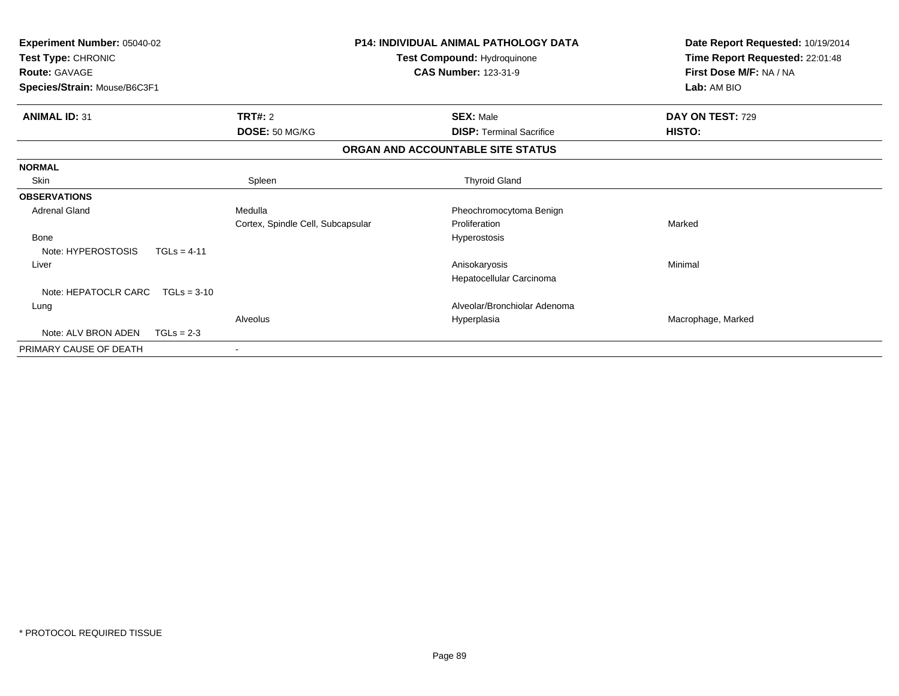| Experiment Number: 05040-02<br>Test Type: CHRONIC<br><b>Route: GAVAGE</b><br>Species/Strain: Mouse/B6C3F1 |               | <b>P14: INDIVIDUAL ANIMAL PATHOLOGY DATA</b><br>Test Compound: Hydroquinone<br><b>CAS Number: 123-31-9</b> |                                   | Date Report Requested: 10/19/2014<br>Time Report Requested: 22:01:48<br>First Dose M/F: NA / NA<br>Lab: AM BIO |
|-----------------------------------------------------------------------------------------------------------|---------------|------------------------------------------------------------------------------------------------------------|-----------------------------------|----------------------------------------------------------------------------------------------------------------|
| <b>ANIMAL ID: 31</b>                                                                                      |               | TRT#: 2                                                                                                    | <b>SEX: Male</b>                  | DAY ON TEST: 729                                                                                               |
|                                                                                                           |               | DOSE: 50 MG/KG                                                                                             | <b>DISP: Terminal Sacrifice</b>   | HISTO:                                                                                                         |
|                                                                                                           |               |                                                                                                            | ORGAN AND ACCOUNTABLE SITE STATUS |                                                                                                                |
| <b>NORMAL</b>                                                                                             |               |                                                                                                            |                                   |                                                                                                                |
| Skin                                                                                                      |               | Spleen                                                                                                     | <b>Thyroid Gland</b>              |                                                                                                                |
| <b>OBSERVATIONS</b>                                                                                       |               |                                                                                                            |                                   |                                                                                                                |
| <b>Adrenal Gland</b>                                                                                      |               | Medulla                                                                                                    | Pheochromocytoma Benign           |                                                                                                                |
|                                                                                                           |               | Cortex, Spindle Cell, Subcapsular                                                                          | Proliferation                     | Marked                                                                                                         |
| <b>Bone</b>                                                                                               |               |                                                                                                            | Hyperostosis                      |                                                                                                                |
| Note: HYPEROSTOSIS                                                                                        | $TGLs = 4-11$ |                                                                                                            |                                   |                                                                                                                |
| Liver                                                                                                     |               |                                                                                                            | Anisokaryosis                     | Minimal                                                                                                        |
|                                                                                                           |               |                                                                                                            | Hepatocellular Carcinoma          |                                                                                                                |
| Note: HEPATOCLR CARC                                                                                      | $TGLs = 3-10$ |                                                                                                            |                                   |                                                                                                                |
| Lung                                                                                                      |               |                                                                                                            | Alveolar/Bronchiolar Adenoma      |                                                                                                                |
|                                                                                                           |               | Alveolus                                                                                                   | Hyperplasia                       | Macrophage, Marked                                                                                             |
| Note: ALV BRON ADEN                                                                                       | $TGLs = 2-3$  |                                                                                                            |                                   |                                                                                                                |
| PRIMARY CAUSE OF DEATH                                                                                    |               |                                                                                                            |                                   |                                                                                                                |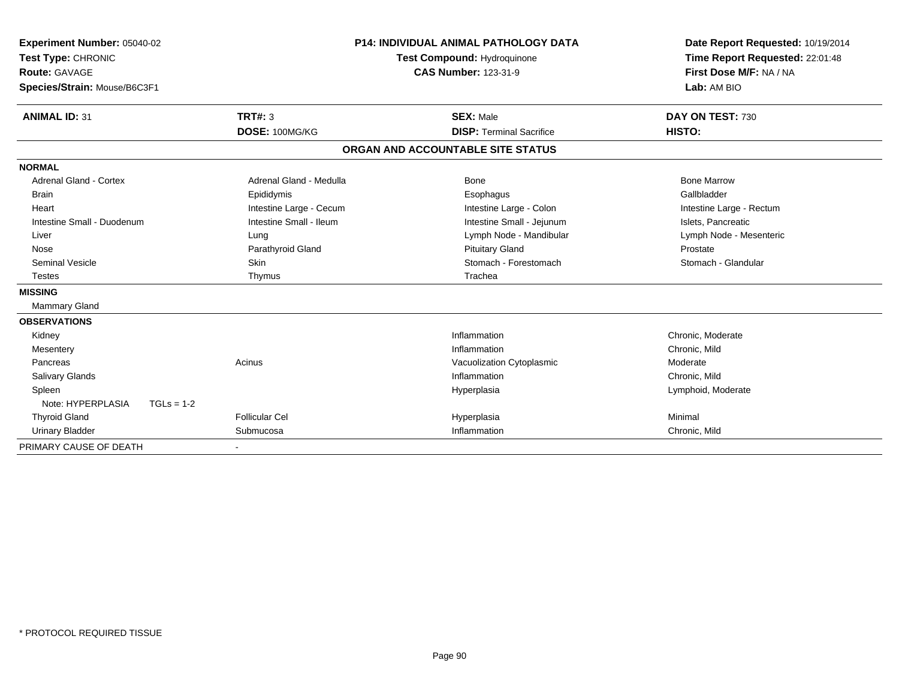| Experiment Number: 05040-02<br>Test Type: CHRONIC<br><b>Route: GAVAGE</b><br>Species/Strain: Mouse/B6C3F1 |                                  | <b>P14: INDIVIDUAL ANIMAL PATHOLOGY DATA</b><br><b>Test Compound: Hydroquinone</b><br><b>CAS Number: 123-31-9</b> | Date Report Requested: 10/19/2014<br>Time Report Requested: 22:01:48<br>First Dose M/F: NA / NA<br>Lab: AM BIO |
|-----------------------------------------------------------------------------------------------------------|----------------------------------|-------------------------------------------------------------------------------------------------------------------|----------------------------------------------------------------------------------------------------------------|
| <b>ANIMAL ID: 31</b>                                                                                      | <b>TRT#: 3</b><br>DOSE: 100MG/KG | <b>SEX: Male</b><br><b>DISP: Terminal Sacrifice</b>                                                               | DAY ON TEST: 730<br>HISTO:                                                                                     |
|                                                                                                           |                                  |                                                                                                                   |                                                                                                                |
|                                                                                                           |                                  | ORGAN AND ACCOUNTABLE SITE STATUS                                                                                 |                                                                                                                |
| <b>NORMAL</b>                                                                                             |                                  |                                                                                                                   |                                                                                                                |
| <b>Adrenal Gland - Cortex</b>                                                                             | Adrenal Gland - Medulla          | Bone                                                                                                              | <b>Bone Marrow</b>                                                                                             |
| <b>Brain</b>                                                                                              | Epididymis                       | Esophagus                                                                                                         | Gallbladder                                                                                                    |
| Heart                                                                                                     | Intestine Large - Cecum          | Intestine Large - Colon                                                                                           | Intestine Large - Rectum                                                                                       |
| Intestine Small - Duodenum                                                                                | Intestine Small - Ileum          | Intestine Small - Jejunum                                                                                         | Islets, Pancreatic                                                                                             |
| Liver                                                                                                     | Lung                             | Lymph Node - Mandibular                                                                                           | Lymph Node - Mesenteric                                                                                        |
| Nose                                                                                                      | Parathyroid Gland                | <b>Pituitary Gland</b>                                                                                            | Prostate                                                                                                       |
| Seminal Vesicle                                                                                           | <b>Skin</b>                      | Stomach - Forestomach                                                                                             | Stomach - Glandular                                                                                            |
| <b>Testes</b>                                                                                             | Thymus                           | Trachea                                                                                                           |                                                                                                                |
| <b>MISSING</b>                                                                                            |                                  |                                                                                                                   |                                                                                                                |
| <b>Mammary Gland</b>                                                                                      |                                  |                                                                                                                   |                                                                                                                |
| <b>OBSERVATIONS</b>                                                                                       |                                  |                                                                                                                   |                                                                                                                |
| Kidney                                                                                                    |                                  | Inflammation                                                                                                      | Chronic. Moderate                                                                                              |
| Mesentery                                                                                                 |                                  | Inflammation                                                                                                      | Chronic, Mild                                                                                                  |
| Pancreas                                                                                                  | Acinus                           | Vacuolization Cytoplasmic                                                                                         | Moderate                                                                                                       |
| <b>Salivary Glands</b>                                                                                    |                                  | Inflammation                                                                                                      | Chronic, Mild                                                                                                  |
| Spleen                                                                                                    |                                  | Hyperplasia                                                                                                       | Lymphoid, Moderate                                                                                             |
| Note: HYPERPLASIA<br>$TGLs = 1-2$                                                                         |                                  |                                                                                                                   |                                                                                                                |
| <b>Thyroid Gland</b>                                                                                      | <b>Follicular Cel</b>            | Hyperplasia                                                                                                       | Minimal                                                                                                        |
| <b>Urinary Bladder</b>                                                                                    | Submucosa                        | Inflammation                                                                                                      | Chronic, Mild                                                                                                  |
| PRIMARY CAUSE OF DEATH                                                                                    |                                  |                                                                                                                   |                                                                                                                |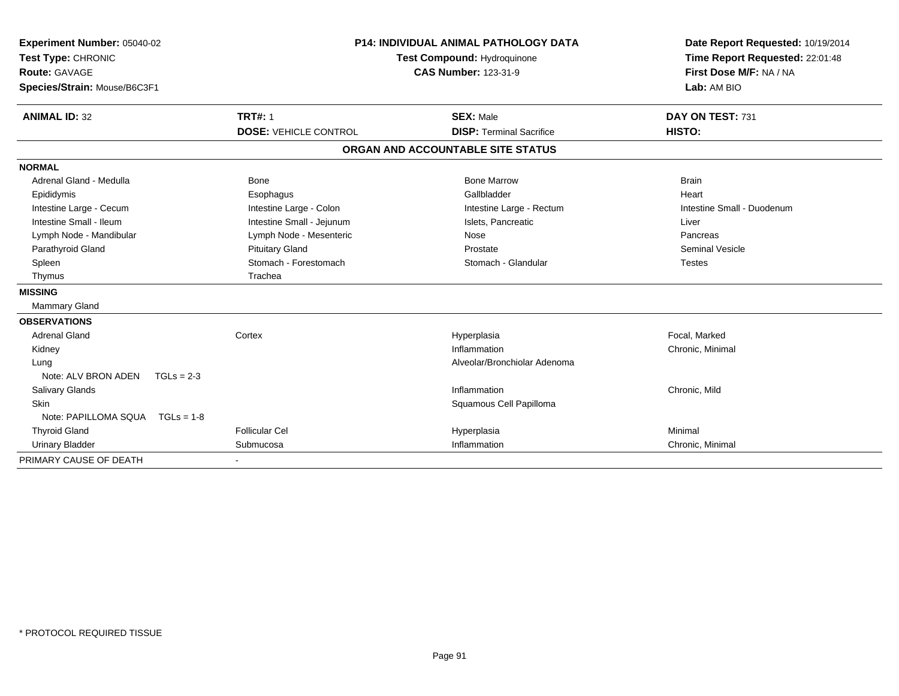| Experiment Number: 05040-02<br>Test Type: CHRONIC<br><b>Route: GAVAGE</b><br>Species/Strain: Mouse/B6C3F1 |                              | <b>P14: INDIVIDUAL ANIMAL PATHOLOGY DATA</b><br>Test Compound: Hydroquinone<br><b>CAS Number: 123-31-9</b> | Date Report Requested: 10/19/2014<br>Time Report Requested: 22:01:48<br>First Dose M/F: NA / NA<br>Lab: AM BIO |
|-----------------------------------------------------------------------------------------------------------|------------------------------|------------------------------------------------------------------------------------------------------------|----------------------------------------------------------------------------------------------------------------|
| <b>ANIMAL ID: 32</b>                                                                                      | <b>TRT#: 1</b>               | <b>SEX: Male</b>                                                                                           | DAY ON TEST: 731                                                                                               |
|                                                                                                           | <b>DOSE: VEHICLE CONTROL</b> | <b>DISP: Terminal Sacrifice</b>                                                                            | HISTO:                                                                                                         |
|                                                                                                           |                              | ORGAN AND ACCOUNTABLE SITE STATUS                                                                          |                                                                                                                |
| <b>NORMAL</b>                                                                                             |                              |                                                                                                            |                                                                                                                |
| Adrenal Gland - Medulla                                                                                   | <b>Bone</b>                  | <b>Bone Marrow</b>                                                                                         | <b>Brain</b>                                                                                                   |
| Epididymis                                                                                                | Esophagus                    | Gallbladder                                                                                                | Heart                                                                                                          |
| Intestine Large - Cecum                                                                                   | Intestine Large - Colon      | Intestine Large - Rectum                                                                                   | Intestine Small - Duodenum                                                                                     |
| Intestine Small - Ileum                                                                                   | Intestine Small - Jejunum    | Islets, Pancreatic                                                                                         | Liver                                                                                                          |
| Lymph Node - Mandibular                                                                                   | Lymph Node - Mesenteric      | Nose                                                                                                       | Pancreas                                                                                                       |
| Parathyroid Gland                                                                                         | <b>Pituitary Gland</b>       | Prostate                                                                                                   | <b>Seminal Vesicle</b>                                                                                         |
| Spleen                                                                                                    | Stomach - Forestomach        | Stomach - Glandular                                                                                        | <b>Testes</b>                                                                                                  |
| Thymus                                                                                                    | Trachea                      |                                                                                                            |                                                                                                                |
| <b>MISSING</b>                                                                                            |                              |                                                                                                            |                                                                                                                |
| Mammary Gland                                                                                             |                              |                                                                                                            |                                                                                                                |
| <b>OBSERVATIONS</b>                                                                                       |                              |                                                                                                            |                                                                                                                |
| <b>Adrenal Gland</b>                                                                                      | Cortex                       | Hyperplasia                                                                                                | Focal, Marked                                                                                                  |
| Kidney                                                                                                    |                              | Inflammation                                                                                               | Chronic, Minimal                                                                                               |
| Lung                                                                                                      |                              | Alveolar/Bronchiolar Adenoma                                                                               |                                                                                                                |
| Note: ALV BRON ADEN<br>$TGLs = 2-3$                                                                       |                              |                                                                                                            |                                                                                                                |
| Salivary Glands                                                                                           |                              | Inflammation                                                                                               | Chronic, Mild                                                                                                  |
| <b>Skin</b>                                                                                               |                              | Squamous Cell Papilloma                                                                                    |                                                                                                                |
| Note: PAPILLOMA SQUA  TGLs = 1-8                                                                          |                              |                                                                                                            |                                                                                                                |
| <b>Thyroid Gland</b>                                                                                      | Follicular Cel               | Hyperplasia                                                                                                | Minimal                                                                                                        |
| <b>Urinary Bladder</b>                                                                                    | Submucosa                    | Inflammation                                                                                               | Chronic, Minimal                                                                                               |
| PRIMARY CAUSE OF DEATH                                                                                    |                              |                                                                                                            |                                                                                                                |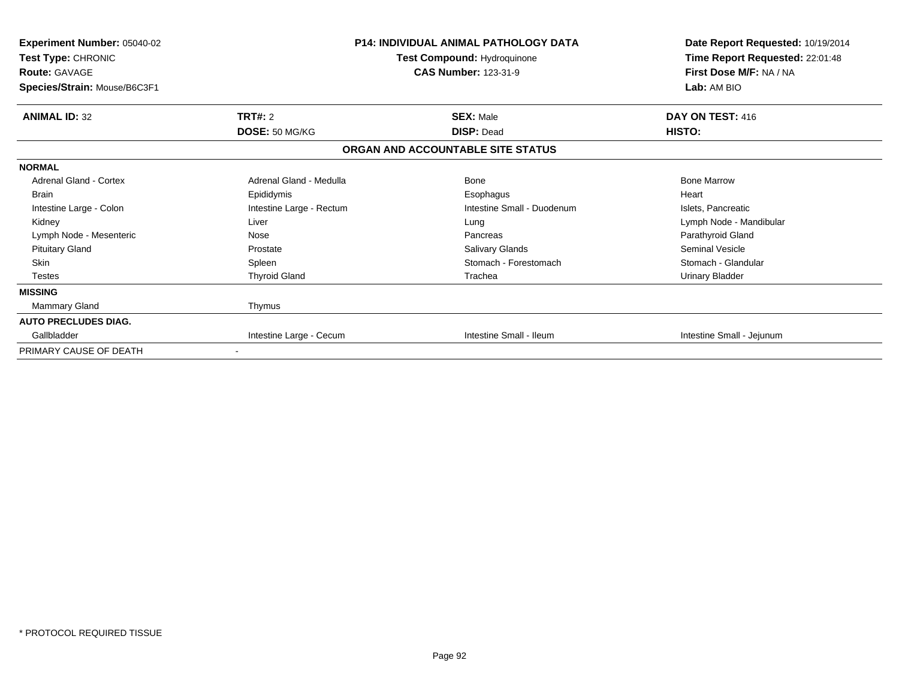| <b>Experiment Number: 05040-02</b><br>Test Type: CHRONIC<br><b>Route: GAVAGE</b><br>Species/Strain: Mouse/B6C3F1 |                          | <b>P14: INDIVIDUAL ANIMAL PATHOLOGY DATA</b><br>Test Compound: Hydroquinone<br><b>CAS Number: 123-31-9</b> | Date Report Requested: 10/19/2014<br>Time Report Requested: 22:01:48<br>First Dose M/F: NA / NA<br>Lab: AM BIO |  |
|------------------------------------------------------------------------------------------------------------------|--------------------------|------------------------------------------------------------------------------------------------------------|----------------------------------------------------------------------------------------------------------------|--|
| <b>ANIMAL ID: 32</b>                                                                                             | TRT#: 2                  | <b>SEX: Male</b>                                                                                           | DAY ON TEST: 416                                                                                               |  |
|                                                                                                                  | DOSE: 50 MG/KG           | <b>DISP: Dead</b>                                                                                          | <b>HISTO:</b>                                                                                                  |  |
|                                                                                                                  |                          | ORGAN AND ACCOUNTABLE SITE STATUS                                                                          |                                                                                                                |  |
| <b>NORMAL</b>                                                                                                    |                          |                                                                                                            |                                                                                                                |  |
| <b>Adrenal Gland - Cortex</b>                                                                                    | Adrenal Gland - Medulla  | Bone                                                                                                       | <b>Bone Marrow</b>                                                                                             |  |
| <b>Brain</b>                                                                                                     | Epididymis               | Esophagus                                                                                                  | Heart                                                                                                          |  |
| Intestine Large - Colon                                                                                          | Intestine Large - Rectum | Intestine Small - Duodenum                                                                                 | Islets, Pancreatic                                                                                             |  |
| Kidney                                                                                                           | Liver                    | Lung                                                                                                       | Lymph Node - Mandibular                                                                                        |  |
| Lymph Node - Mesenteric                                                                                          | Nose                     | Pancreas                                                                                                   | Parathyroid Gland                                                                                              |  |
| <b>Pituitary Gland</b>                                                                                           | Prostate                 | <b>Salivary Glands</b>                                                                                     | Seminal Vesicle                                                                                                |  |
| <b>Skin</b>                                                                                                      | Spleen                   | Stomach - Forestomach                                                                                      | Stomach - Glandular                                                                                            |  |
| <b>Testes</b>                                                                                                    | <b>Thyroid Gland</b>     | Trachea                                                                                                    | <b>Urinary Bladder</b>                                                                                         |  |
| <b>MISSING</b>                                                                                                   |                          |                                                                                                            |                                                                                                                |  |
| Mammary Gland                                                                                                    | Thymus                   |                                                                                                            |                                                                                                                |  |
| <b>AUTO PRECLUDES DIAG.</b>                                                                                      |                          |                                                                                                            |                                                                                                                |  |
| Gallbladder                                                                                                      | Intestine Large - Cecum  | Intestine Small - Ileum                                                                                    | Intestine Small - Jejunum                                                                                      |  |
| PRIMARY CAUSE OF DEATH                                                                                           |                          |                                                                                                            |                                                                                                                |  |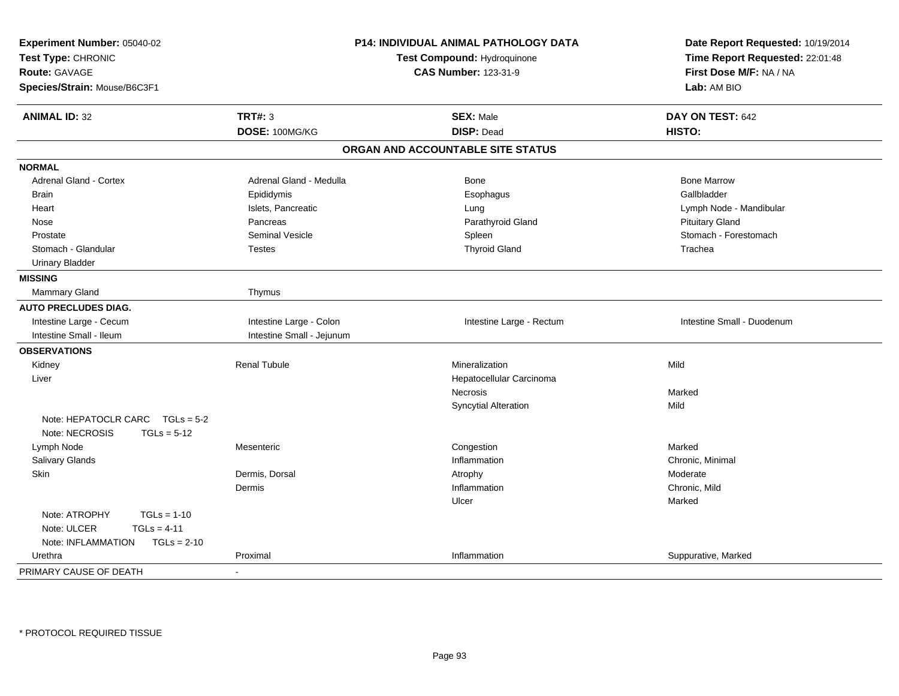| Experiment Number: 05040-02<br>Test Type: CHRONIC<br><b>Route: GAVAGE</b><br>Species/Strain: Mouse/B6C3F1 |                           | P14: INDIVIDUAL ANIMAL PATHOLOGY DATA<br>Test Compound: Hydroquinone<br><b>CAS Number: 123-31-9</b> | Date Report Requested: 10/19/2014<br>Time Report Requested: 22:01:48<br>First Dose M/F: NA / NA<br>Lab: AM BIO |  |
|-----------------------------------------------------------------------------------------------------------|---------------------------|-----------------------------------------------------------------------------------------------------|----------------------------------------------------------------------------------------------------------------|--|
| <b>ANIMAL ID: 32</b>                                                                                      | <b>TRT#: 3</b>            | <b>SEX: Male</b>                                                                                    | DAY ON TEST: 642                                                                                               |  |
|                                                                                                           | DOSE: 100MG/KG            | <b>DISP: Dead</b>                                                                                   | HISTO:                                                                                                         |  |
|                                                                                                           |                           | ORGAN AND ACCOUNTABLE SITE STATUS                                                                   |                                                                                                                |  |
| <b>NORMAL</b>                                                                                             |                           |                                                                                                     |                                                                                                                |  |
| Adrenal Gland - Cortex                                                                                    | Adrenal Gland - Medulla   | Bone                                                                                                | <b>Bone Marrow</b>                                                                                             |  |
| <b>Brain</b>                                                                                              | Epididymis                | Esophagus                                                                                           | Gallbladder                                                                                                    |  |
| Heart                                                                                                     | Islets, Pancreatic        | Lung                                                                                                | Lymph Node - Mandibular                                                                                        |  |
| Nose                                                                                                      | Pancreas                  | Parathyroid Gland                                                                                   | <b>Pituitary Gland</b>                                                                                         |  |
| Prostate                                                                                                  | <b>Seminal Vesicle</b>    | Spleen                                                                                              | Stomach - Forestomach                                                                                          |  |
| Stomach - Glandular                                                                                       | <b>Testes</b>             | <b>Thyroid Gland</b>                                                                                | Trachea                                                                                                        |  |
| <b>Urinary Bladder</b>                                                                                    |                           |                                                                                                     |                                                                                                                |  |
| <b>MISSING</b>                                                                                            |                           |                                                                                                     |                                                                                                                |  |
| Mammary Gland                                                                                             | Thymus                    |                                                                                                     |                                                                                                                |  |
| <b>AUTO PRECLUDES DIAG.</b>                                                                               |                           |                                                                                                     |                                                                                                                |  |
| Intestine Large - Cecum                                                                                   | Intestine Large - Colon   | Intestine Large - Rectum                                                                            | Intestine Small - Duodenum                                                                                     |  |
| Intestine Small - Ileum                                                                                   | Intestine Small - Jejunum |                                                                                                     |                                                                                                                |  |
| <b>OBSERVATIONS</b>                                                                                       |                           |                                                                                                     |                                                                                                                |  |
| Kidney                                                                                                    | <b>Renal Tubule</b>       | Mineralization                                                                                      | Mild                                                                                                           |  |
| Liver                                                                                                     |                           | Hepatocellular Carcinoma                                                                            |                                                                                                                |  |
|                                                                                                           |                           | Necrosis                                                                                            | Marked                                                                                                         |  |
|                                                                                                           |                           | <b>Syncytial Alteration</b>                                                                         | Mild                                                                                                           |  |
| Note: HEPATOCLR CARC TGLs = 5-2<br>Note: NECROSIS<br>$TGLs = 5-12$                                        |                           |                                                                                                     |                                                                                                                |  |
| Lymph Node                                                                                                | Mesenteric                | Congestion                                                                                          | Marked                                                                                                         |  |
| Salivary Glands                                                                                           |                           | Inflammation                                                                                        | Chronic, Minimal                                                                                               |  |
| Skin                                                                                                      | Dermis, Dorsal            | Atrophy                                                                                             | Moderate                                                                                                       |  |
|                                                                                                           | Dermis                    | Inflammation                                                                                        | Chronic, Mild                                                                                                  |  |
|                                                                                                           |                           | Ulcer                                                                                               | Marked                                                                                                         |  |
| Note: ATROPHY<br>$TGLs = 1-10$                                                                            |                           |                                                                                                     |                                                                                                                |  |
| Note: ULCER<br>$TGLs = 4-11$                                                                              |                           |                                                                                                     |                                                                                                                |  |
| Note: INFLAMMATION<br>$TGLs = 2-10$                                                                       |                           |                                                                                                     |                                                                                                                |  |
| Urethra                                                                                                   | Proximal                  | Inflammation                                                                                        | Suppurative, Marked                                                                                            |  |
| PRIMARY CAUSE OF DEATH                                                                                    |                           |                                                                                                     |                                                                                                                |  |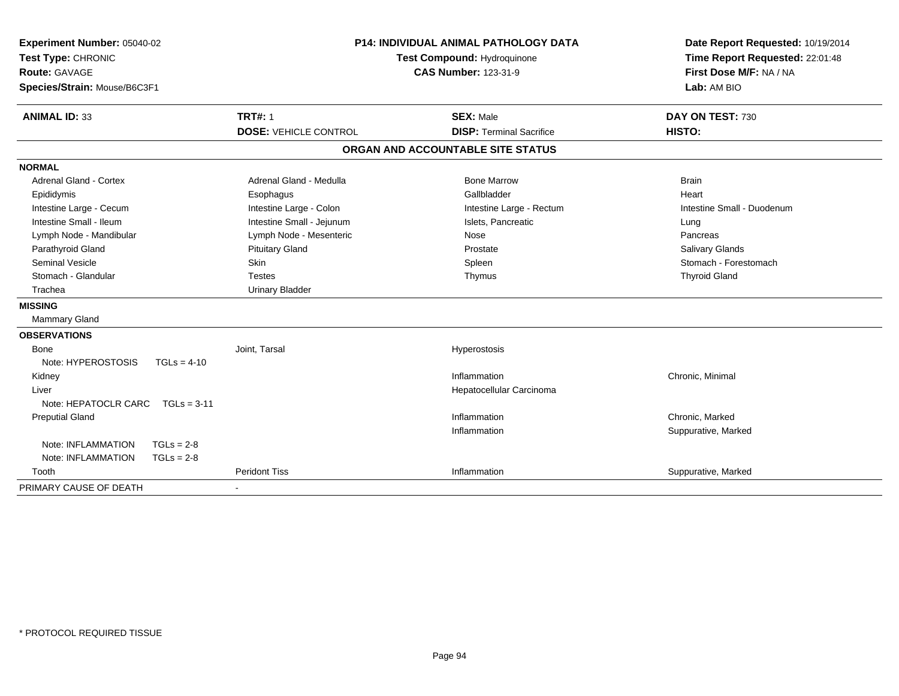| Test Type: CHRONIC<br><b>Route: GAVAGE</b> | <b>P14: INDIVIDUAL ANIMAL PATHOLOGY DATA</b><br>Experiment Number: 05040-02<br>Test Compound: Hydroquinone<br><b>CAS Number: 123-31-9</b><br>Species/Strain: Mouse/B6C3F1 |                              |                                   | Date Report Requested: 10/19/2014<br>Time Report Requested: 22:01:48<br>First Dose M/F: NA / NA<br>Lab: AM BIO |
|--------------------------------------------|---------------------------------------------------------------------------------------------------------------------------------------------------------------------------|------------------------------|-----------------------------------|----------------------------------------------------------------------------------------------------------------|
| <b>ANIMAL ID: 33</b>                       |                                                                                                                                                                           | <b>TRT#: 1</b>               | <b>SEX: Male</b>                  | DAY ON TEST: 730                                                                                               |
|                                            |                                                                                                                                                                           | <b>DOSE: VEHICLE CONTROL</b> | <b>DISP: Terminal Sacrifice</b>   | HISTO:                                                                                                         |
|                                            |                                                                                                                                                                           |                              | ORGAN AND ACCOUNTABLE SITE STATUS |                                                                                                                |
| <b>NORMAL</b>                              |                                                                                                                                                                           |                              |                                   |                                                                                                                |
| Adrenal Gland - Cortex                     |                                                                                                                                                                           | Adrenal Gland - Medulla      | <b>Bone Marrow</b>                | <b>Brain</b>                                                                                                   |
| Epididymis                                 |                                                                                                                                                                           | Esophagus                    | Gallbladder                       | Heart                                                                                                          |
| Intestine Large - Cecum                    |                                                                                                                                                                           | Intestine Large - Colon      | Intestine Large - Rectum          | Intestine Small - Duodenum                                                                                     |
| Intestine Small - Ileum                    |                                                                                                                                                                           | Intestine Small - Jejunum    | Islets, Pancreatic                | Lung                                                                                                           |
| Lymph Node - Mandibular                    |                                                                                                                                                                           | Lymph Node - Mesenteric      | Nose                              | Pancreas                                                                                                       |
| Parathyroid Gland                          |                                                                                                                                                                           | <b>Pituitary Gland</b>       | Prostate                          | <b>Salivary Glands</b>                                                                                         |
| <b>Seminal Vesicle</b>                     |                                                                                                                                                                           | <b>Skin</b>                  | Spleen                            | Stomach - Forestomach                                                                                          |
| Stomach - Glandular                        |                                                                                                                                                                           | <b>Testes</b>                | Thymus                            | <b>Thyroid Gland</b>                                                                                           |
| Trachea                                    |                                                                                                                                                                           | <b>Urinary Bladder</b>       |                                   |                                                                                                                |
| <b>MISSING</b>                             |                                                                                                                                                                           |                              |                                   |                                                                                                                |
| Mammary Gland                              |                                                                                                                                                                           |                              |                                   |                                                                                                                |
| <b>OBSERVATIONS</b>                        |                                                                                                                                                                           |                              |                                   |                                                                                                                |
| Bone                                       |                                                                                                                                                                           | Joint, Tarsal                | Hyperostosis                      |                                                                                                                |
| Note: HYPEROSTOSIS                         | $TGLs = 4-10$                                                                                                                                                             |                              |                                   |                                                                                                                |
| Kidney                                     |                                                                                                                                                                           |                              | Inflammation                      | Chronic, Minimal                                                                                               |
| Liver                                      |                                                                                                                                                                           |                              | Hepatocellular Carcinoma          |                                                                                                                |
| Note: HEPATOCLR CARC                       | $TGLs = 3-11$                                                                                                                                                             |                              |                                   |                                                                                                                |
| <b>Preputial Gland</b>                     |                                                                                                                                                                           |                              | Inflammation                      | Chronic, Marked                                                                                                |
|                                            |                                                                                                                                                                           |                              | Inflammation                      | Suppurative, Marked                                                                                            |
| Note: INFLAMMATION                         | $TGLs = 2-8$                                                                                                                                                              |                              |                                   |                                                                                                                |
| Note: INFLAMMATION                         | $TGLs = 2-8$                                                                                                                                                              |                              |                                   |                                                                                                                |
| Tooth                                      |                                                                                                                                                                           | <b>Peridont Tiss</b>         | Inflammation                      | Suppurative, Marked                                                                                            |
| PRIMARY CAUSE OF DEATH                     |                                                                                                                                                                           |                              |                                   |                                                                                                                |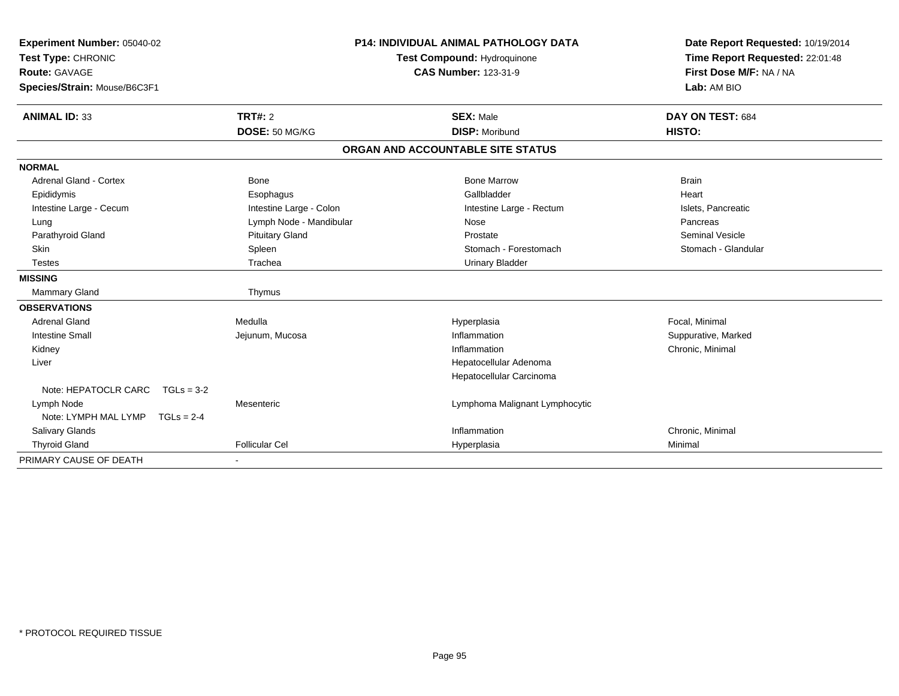| Experiment Number: 05040-02<br>Test Type: CHRONIC<br><b>Route: GAVAGE</b> |                         | <b>P14: INDIVIDUAL ANIMAL PATHOLOGY DATA</b><br>Test Compound: Hydroquinone<br><b>CAS Number: 123-31-9</b> | Date Report Requested: 10/19/2014<br>Time Report Requested: 22:01:48<br>First Dose M/F: NA / NA |
|---------------------------------------------------------------------------|-------------------------|------------------------------------------------------------------------------------------------------------|-------------------------------------------------------------------------------------------------|
| Species/Strain: Mouse/B6C3F1                                              |                         |                                                                                                            | Lab: AM BIO                                                                                     |
| <b>ANIMAL ID: 33</b>                                                      | TRT#: 2                 | <b>SEX: Male</b>                                                                                           | DAY ON TEST: 684                                                                                |
|                                                                           | DOSE: 50 MG/KG          | <b>DISP: Moribund</b>                                                                                      | HISTO:                                                                                          |
|                                                                           |                         | ORGAN AND ACCOUNTABLE SITE STATUS                                                                          |                                                                                                 |
| <b>NORMAL</b>                                                             |                         |                                                                                                            |                                                                                                 |
| <b>Adrenal Gland - Cortex</b>                                             | <b>Bone</b>             | <b>Bone Marrow</b>                                                                                         | <b>Brain</b>                                                                                    |
| Epididymis                                                                | Esophagus               | Gallbladder                                                                                                | Heart                                                                                           |
| Intestine Large - Cecum                                                   | Intestine Large - Colon | Intestine Large - Rectum                                                                                   | Islets, Pancreatic                                                                              |
| Lung                                                                      | Lymph Node - Mandibular | Nose                                                                                                       | Pancreas                                                                                        |
| Parathyroid Gland                                                         | <b>Pituitary Gland</b>  | Prostate                                                                                                   | <b>Seminal Vesicle</b>                                                                          |
| <b>Skin</b>                                                               | Spleen                  | Stomach - Forestomach                                                                                      | Stomach - Glandular                                                                             |
| <b>Testes</b>                                                             | Trachea                 | <b>Urinary Bladder</b>                                                                                     |                                                                                                 |
| <b>MISSING</b>                                                            |                         |                                                                                                            |                                                                                                 |
| <b>Mammary Gland</b>                                                      | Thymus                  |                                                                                                            |                                                                                                 |
| <b>OBSERVATIONS</b>                                                       |                         |                                                                                                            |                                                                                                 |
| Adrenal Gland                                                             | Medulla                 | Hyperplasia                                                                                                | Focal, Minimal                                                                                  |
| <b>Intestine Small</b>                                                    | Jejunum, Mucosa         | Inflammation                                                                                               | Suppurative, Marked                                                                             |
| Kidney                                                                    |                         | Inflammation                                                                                               | Chronic, Minimal                                                                                |
| Liver                                                                     |                         | Hepatocellular Adenoma                                                                                     |                                                                                                 |
|                                                                           |                         | Hepatocellular Carcinoma                                                                                   |                                                                                                 |
| Note: HEPATOCLR CARC                                                      | $TGLs = 3-2$            |                                                                                                            |                                                                                                 |
| Lymph Node                                                                | Mesenteric              | Lymphoma Malignant Lymphocytic                                                                             |                                                                                                 |
| Note: LYMPH MAL LYMP                                                      | $TGLs = 2-4$            |                                                                                                            |                                                                                                 |
| Salivary Glands                                                           |                         | Inflammation                                                                                               | Chronic, Minimal                                                                                |
| <b>Thyroid Gland</b>                                                      | <b>Follicular Cel</b>   | Hyperplasia                                                                                                | Minimal                                                                                         |
| PRIMARY CAUSE OF DEATH                                                    |                         |                                                                                                            |                                                                                                 |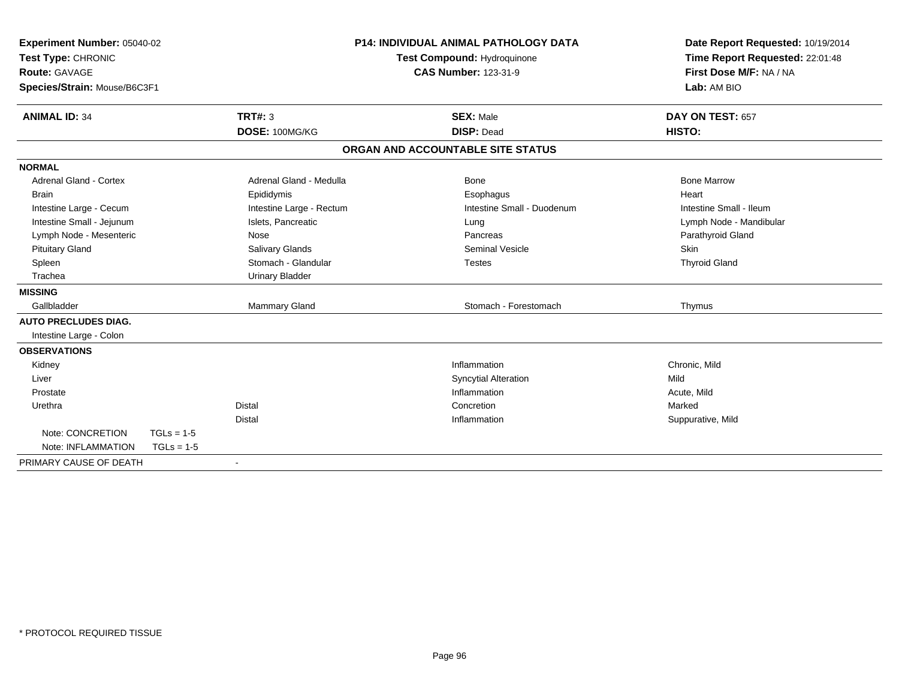| Experiment Number: 05040-02<br>Test Type: CHRONIC<br><b>Route: GAVAGE</b><br>Species/Strain: Mouse/B6C3F1<br><b>TRT#: 3</b><br><b>ANIMAL ID: 34</b> |              | <b>P14: INDIVIDUAL ANIMAL PATHOLOGY DATA</b><br>Test Compound: Hydroquinone<br><b>CAS Number: 123-31-9</b><br><b>SEX: Male</b> |                                   | Date Report Requested: 10/19/2014<br>Time Report Requested: 22:01:48<br>First Dose M/F: NA / NA<br>Lab: AM BIO<br>DAY ON TEST: 657 |                         |  |
|-----------------------------------------------------------------------------------------------------------------------------------------------------|--------------|--------------------------------------------------------------------------------------------------------------------------------|-----------------------------------|------------------------------------------------------------------------------------------------------------------------------------|-------------------------|--|
|                                                                                                                                                     |              | DOSE: 100MG/KG                                                                                                                 | <b>DISP: Dead</b>                 |                                                                                                                                    | HISTO:                  |  |
|                                                                                                                                                     |              |                                                                                                                                | ORGAN AND ACCOUNTABLE SITE STATUS |                                                                                                                                    |                         |  |
| <b>NORMAL</b>                                                                                                                                       |              |                                                                                                                                |                                   |                                                                                                                                    |                         |  |
| <b>Adrenal Gland - Cortex</b>                                                                                                                       |              | Adrenal Gland - Medulla                                                                                                        | Bone                              |                                                                                                                                    | <b>Bone Marrow</b>      |  |
| <b>Brain</b>                                                                                                                                        |              | Epididymis                                                                                                                     | Esophagus                         |                                                                                                                                    | Heart                   |  |
| Intestine Large - Cecum                                                                                                                             |              | Intestine Large - Rectum                                                                                                       | Intestine Small - Duodenum        |                                                                                                                                    | Intestine Small - Ileum |  |
| Intestine Small - Jejunum                                                                                                                           |              | Islets, Pancreatic                                                                                                             | Lung                              |                                                                                                                                    | Lymph Node - Mandibular |  |
| Lymph Node - Mesenteric                                                                                                                             |              | Nose                                                                                                                           | Pancreas                          |                                                                                                                                    | Parathyroid Gland       |  |
| <b>Pituitary Gland</b>                                                                                                                              |              | Salivary Glands                                                                                                                | <b>Seminal Vesicle</b>            |                                                                                                                                    | Skin                    |  |
| Spleen                                                                                                                                              |              | Stomach - Glandular                                                                                                            | <b>Testes</b>                     |                                                                                                                                    | <b>Thyroid Gland</b>    |  |
| Trachea                                                                                                                                             |              | <b>Urinary Bladder</b>                                                                                                         |                                   |                                                                                                                                    |                         |  |
| <b>MISSING</b>                                                                                                                                      |              |                                                                                                                                |                                   |                                                                                                                                    |                         |  |
| Gallbladder                                                                                                                                         |              | <b>Mammary Gland</b>                                                                                                           | Stomach - Forestomach             |                                                                                                                                    | Thymus                  |  |
| <b>AUTO PRECLUDES DIAG.</b>                                                                                                                         |              |                                                                                                                                |                                   |                                                                                                                                    |                         |  |
| Intestine Large - Colon                                                                                                                             |              |                                                                                                                                |                                   |                                                                                                                                    |                         |  |
| <b>OBSERVATIONS</b>                                                                                                                                 |              |                                                                                                                                |                                   |                                                                                                                                    |                         |  |
| Kidney                                                                                                                                              |              |                                                                                                                                | Inflammation                      |                                                                                                                                    | Chronic, Mild           |  |
| Liver                                                                                                                                               |              |                                                                                                                                | <b>Syncytial Alteration</b>       |                                                                                                                                    | Mild                    |  |
| Prostate                                                                                                                                            |              |                                                                                                                                | Inflammation                      |                                                                                                                                    | Acute, Mild             |  |
| Urethra                                                                                                                                             |              | <b>Distal</b>                                                                                                                  | Concretion                        |                                                                                                                                    | Marked                  |  |
|                                                                                                                                                     |              | <b>Distal</b>                                                                                                                  | Inflammation                      |                                                                                                                                    | Suppurative, Mild       |  |
| Note: CONCRETION                                                                                                                                    | $TGLs = 1-5$ |                                                                                                                                |                                   |                                                                                                                                    |                         |  |
| Note: INFLAMMATION                                                                                                                                  | $TGLs = 1-5$ |                                                                                                                                |                                   |                                                                                                                                    |                         |  |
| PRIMARY CAUSE OF DEATH                                                                                                                              |              | $\blacksquare$                                                                                                                 |                                   |                                                                                                                                    |                         |  |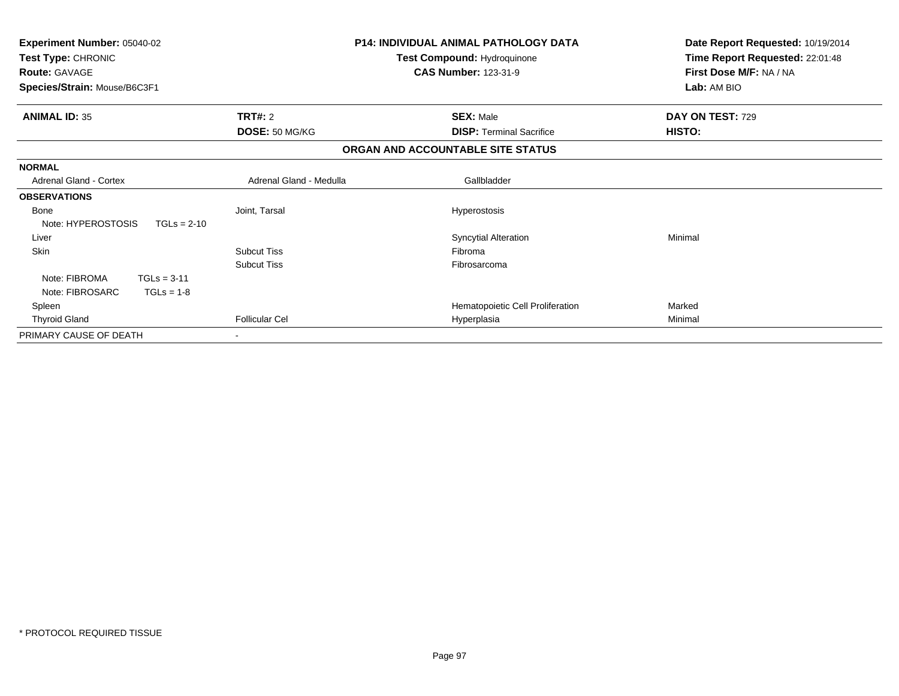| <b>Experiment Number: 05040-02</b><br>Test Type: CHRONIC<br><b>Route: GAVAGE</b><br>Species/Strain: Mouse/B6C3F1 |                         | <b>P14: INDIVIDUAL ANIMAL PATHOLOGY DATA</b><br>Test Compound: Hydroquinone<br><b>CAS Number: 123-31-9</b> | Date Report Requested: 10/19/2014<br>Time Report Requested: 22:01:48<br>First Dose M/F: NA / NA<br>Lab: AM BIO |
|------------------------------------------------------------------------------------------------------------------|-------------------------|------------------------------------------------------------------------------------------------------------|----------------------------------------------------------------------------------------------------------------|
| <b>ANIMAL ID: 35</b>                                                                                             | <b>TRT#: 2</b>          | <b>SEX: Male</b>                                                                                           | DAY ON TEST: 729                                                                                               |
|                                                                                                                  | DOSE: 50 MG/KG          | <b>DISP: Terminal Sacrifice</b>                                                                            | HISTO:                                                                                                         |
|                                                                                                                  |                         | ORGAN AND ACCOUNTABLE SITE STATUS                                                                          |                                                                                                                |
| <b>NORMAL</b>                                                                                                    |                         |                                                                                                            |                                                                                                                |
| <b>Adrenal Gland - Cortex</b>                                                                                    | Adrenal Gland - Medulla | Gallbladder                                                                                                |                                                                                                                |
| <b>OBSERVATIONS</b>                                                                                              |                         |                                                                                                            |                                                                                                                |
| Bone                                                                                                             | Joint, Tarsal           | Hyperostosis                                                                                               |                                                                                                                |
| Note: HYPEROSTOSIS<br>$TGLs = 2-10$                                                                              |                         |                                                                                                            |                                                                                                                |
| Liver                                                                                                            |                         | <b>Syncytial Alteration</b>                                                                                | Minimal                                                                                                        |
| Skin                                                                                                             | <b>Subcut Tiss</b>      | Fibroma                                                                                                    |                                                                                                                |
|                                                                                                                  | <b>Subcut Tiss</b>      | Fibrosarcoma                                                                                               |                                                                                                                |
| Note: FIBROMA<br>$TGLs = 3-11$                                                                                   |                         |                                                                                                            |                                                                                                                |
| Note: FIBROSARC<br>$TGLs = 1-8$                                                                                  |                         |                                                                                                            |                                                                                                                |
| Spleen                                                                                                           |                         | Hematopoietic Cell Proliferation                                                                           | Marked                                                                                                         |
| <b>Thyroid Gland</b>                                                                                             | <b>Follicular Cel</b>   | Hyperplasia                                                                                                | Minimal                                                                                                        |
| PRIMARY CAUSE OF DEATH                                                                                           |                         |                                                                                                            |                                                                                                                |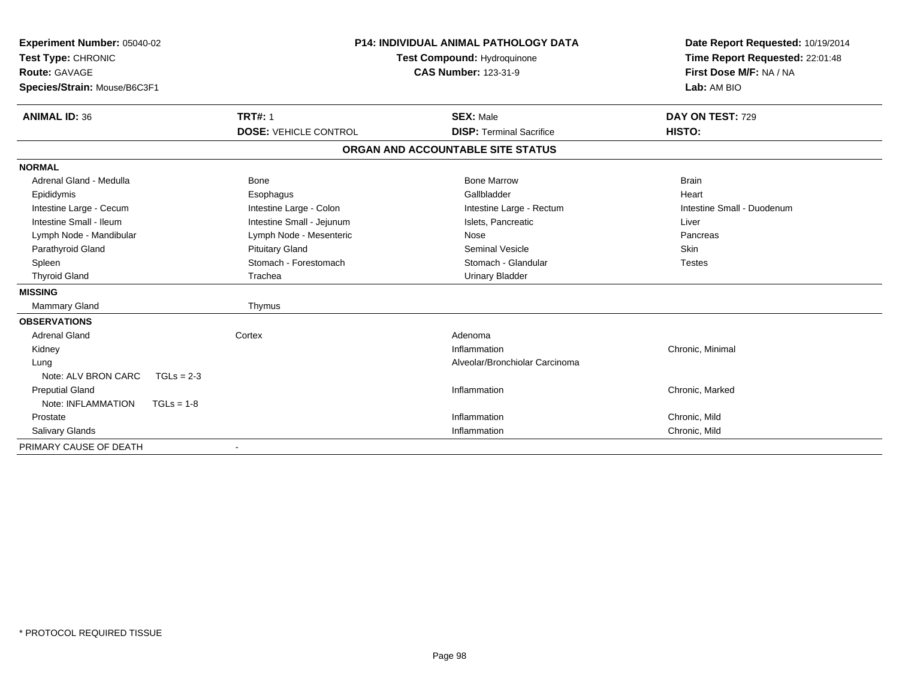| Experiment Number: 05040-02<br>Test Type: CHRONIC<br><b>Route: GAVAGE</b><br>Species/Strain: Mouse/B6C3F1 |                              | <b>P14: INDIVIDUAL ANIMAL PATHOLOGY DATA</b><br>Test Compound: Hydroquinone<br><b>CAS Number: 123-31-9</b> | Date Report Requested: 10/19/2014<br>Time Report Requested: 22:01:48<br>First Dose M/F: NA / NA<br>Lab: AM BIO |
|-----------------------------------------------------------------------------------------------------------|------------------------------|------------------------------------------------------------------------------------------------------------|----------------------------------------------------------------------------------------------------------------|
| <b>ANIMAL ID: 36</b>                                                                                      | <b>TRT#: 1</b>               | <b>SEX: Male</b>                                                                                           | DAY ON TEST: 729                                                                                               |
|                                                                                                           | <b>DOSE: VEHICLE CONTROL</b> | <b>DISP: Terminal Sacrifice</b>                                                                            | HISTO:                                                                                                         |
|                                                                                                           |                              | ORGAN AND ACCOUNTABLE SITE STATUS                                                                          |                                                                                                                |
| <b>NORMAL</b>                                                                                             |                              |                                                                                                            |                                                                                                                |
| Adrenal Gland - Medulla                                                                                   | Bone                         | <b>Bone Marrow</b>                                                                                         | <b>Brain</b>                                                                                                   |
| Epididymis                                                                                                | Esophagus                    | Gallbladder                                                                                                | Heart                                                                                                          |
| Intestine Large - Cecum                                                                                   | Intestine Large - Colon      | Intestine Large - Rectum                                                                                   | Intestine Small - Duodenum                                                                                     |
| Intestine Small - Ileum                                                                                   | Intestine Small - Jejunum    | Islets. Pancreatic                                                                                         | Liver                                                                                                          |
| Lymph Node - Mandibular                                                                                   | Lymph Node - Mesenteric      | Nose                                                                                                       | Pancreas                                                                                                       |
| Parathyroid Gland                                                                                         | <b>Pituitary Gland</b>       | <b>Seminal Vesicle</b>                                                                                     | Skin                                                                                                           |
| Spleen                                                                                                    | Stomach - Forestomach        | Stomach - Glandular                                                                                        | <b>Testes</b>                                                                                                  |
| <b>Thyroid Gland</b>                                                                                      | Trachea                      | <b>Urinary Bladder</b>                                                                                     |                                                                                                                |
| <b>MISSING</b>                                                                                            |                              |                                                                                                            |                                                                                                                |
| <b>Mammary Gland</b>                                                                                      | Thymus                       |                                                                                                            |                                                                                                                |
| <b>OBSERVATIONS</b>                                                                                       |                              |                                                                                                            |                                                                                                                |
| <b>Adrenal Gland</b>                                                                                      | Cortex                       | Adenoma                                                                                                    |                                                                                                                |
| Kidney                                                                                                    |                              | Inflammation                                                                                               | Chronic, Minimal                                                                                               |
| Lung                                                                                                      |                              | Alveolar/Bronchiolar Carcinoma                                                                             |                                                                                                                |
| Note: ALV BRON CARC<br>$TGLs = 2-3$                                                                       |                              |                                                                                                            |                                                                                                                |
| <b>Preputial Gland</b>                                                                                    |                              | Inflammation                                                                                               | Chronic, Marked                                                                                                |
| Note: INFLAMMATION<br>$TGLs = 1-8$                                                                        |                              |                                                                                                            |                                                                                                                |
| Prostate                                                                                                  |                              | Inflammation                                                                                               | Chronic, Mild                                                                                                  |
| Salivary Glands                                                                                           |                              | Inflammation                                                                                               | Chronic, Mild                                                                                                  |
| PRIMARY CAUSE OF DEATH                                                                                    |                              |                                                                                                            |                                                                                                                |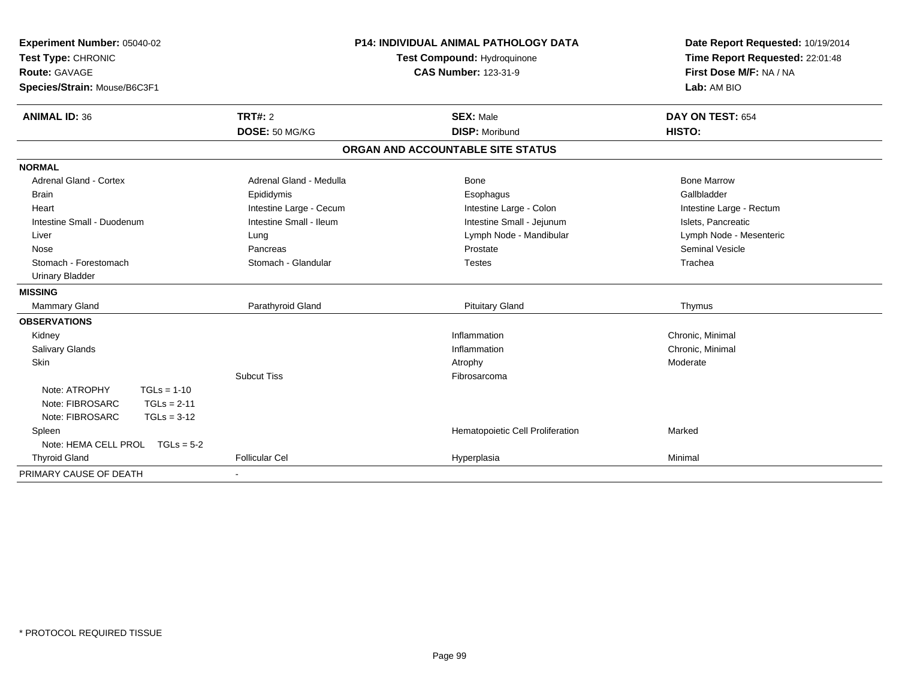| Experiment Number: 05040-02<br>Test Type: CHRONIC<br><b>Route: GAVAGE</b> |                         | <b>P14: INDIVIDUAL ANIMAL PATHOLOGY DATA</b><br>Test Compound: Hydroquinone<br><b>CAS Number: 123-31-9</b> | Date Report Requested: 10/19/2014<br>Time Report Requested: 22:01:48<br>First Dose M/F: NA / NA |
|---------------------------------------------------------------------------|-------------------------|------------------------------------------------------------------------------------------------------------|-------------------------------------------------------------------------------------------------|
| Species/Strain: Mouse/B6C3F1                                              |                         |                                                                                                            | Lab: AM BIO                                                                                     |
| <b>ANIMAL ID: 36</b>                                                      | TRT#: 2                 | <b>SEX: Male</b>                                                                                           | DAY ON TEST: 654                                                                                |
|                                                                           | DOSE: 50 MG/KG          | <b>DISP: Moribund</b>                                                                                      | HISTO:                                                                                          |
|                                                                           |                         | ORGAN AND ACCOUNTABLE SITE STATUS                                                                          |                                                                                                 |
| <b>NORMAL</b>                                                             |                         |                                                                                                            |                                                                                                 |
| <b>Adrenal Gland - Cortex</b>                                             | Adrenal Gland - Medulla | Bone                                                                                                       | <b>Bone Marrow</b>                                                                              |
| <b>Brain</b>                                                              | Epididymis              | Esophagus                                                                                                  | Gallbladder                                                                                     |
| Heart                                                                     | Intestine Large - Cecum | Intestine Large - Colon                                                                                    | Intestine Large - Rectum                                                                        |
| Intestine Small - Duodenum                                                | Intestine Small - Ileum | Intestine Small - Jejunum                                                                                  | Islets, Pancreatic                                                                              |
| Liver                                                                     | Lung                    | Lymph Node - Mandibular                                                                                    | Lymph Node - Mesenteric                                                                         |
| Nose                                                                      | Pancreas                | Prostate                                                                                                   | <b>Seminal Vesicle</b>                                                                          |
| Stomach - Forestomach                                                     | Stomach - Glandular     | <b>Testes</b>                                                                                              | Trachea                                                                                         |
| <b>Urinary Bladder</b>                                                    |                         |                                                                                                            |                                                                                                 |
| <b>MISSING</b>                                                            |                         |                                                                                                            |                                                                                                 |
| Mammary Gland                                                             | Parathyroid Gland       | <b>Pituitary Gland</b>                                                                                     | Thymus                                                                                          |
| <b>OBSERVATIONS</b>                                                       |                         |                                                                                                            |                                                                                                 |
| Kidney                                                                    |                         | Inflammation                                                                                               | Chronic, Minimal                                                                                |
| Salivary Glands                                                           |                         | Inflammation                                                                                               | Chronic, Minimal                                                                                |
| Skin                                                                      |                         | Atrophy                                                                                                    | Moderate                                                                                        |
|                                                                           | <b>Subcut Tiss</b>      | Fibrosarcoma                                                                                               |                                                                                                 |
| Note: ATROPHY<br>$TGLs = 1-10$                                            |                         |                                                                                                            |                                                                                                 |
| Note: FIBROSARC<br>$TGLs = 2-11$                                          |                         |                                                                                                            |                                                                                                 |
| Note: FIBROSARC<br>$TGLs = 3-12$                                          |                         |                                                                                                            |                                                                                                 |
| Spleen                                                                    |                         | Hematopoietic Cell Proliferation                                                                           | Marked                                                                                          |
| Note: HEMA CELL PROL $TGLs = 5-2$                                         |                         |                                                                                                            |                                                                                                 |
| <b>Thyroid Gland</b>                                                      | <b>Follicular Cel</b>   | Hyperplasia                                                                                                | Minimal                                                                                         |
| PRIMARY CAUSE OF DEATH                                                    |                         |                                                                                                            |                                                                                                 |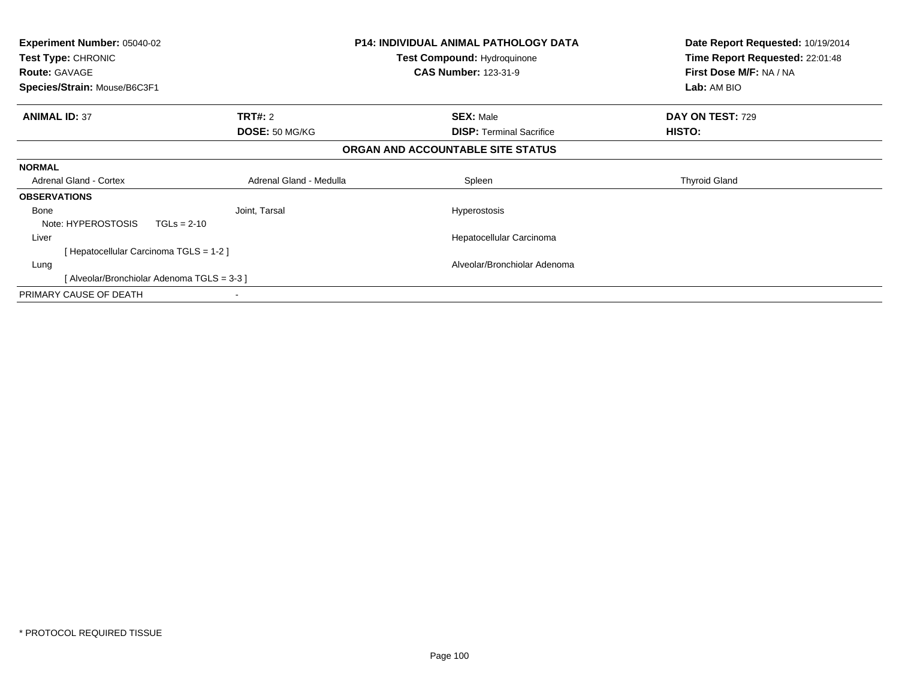| Experiment Number: 05040-02<br>Test Type: CHRONIC<br><b>Route: GAVAGE</b><br>Species/Strain: Mouse/B6C3F1 |                         | <b>P14: INDIVIDUAL ANIMAL PATHOLOGY DATA</b><br><b>Test Compound: Hydroquinone</b><br><b>CAS Number: 123-31-9</b> | Date Report Requested: 10/19/2014<br>Time Report Requested: 22:01:48<br>First Dose M/F: NA / NA<br>Lab: AM BIO |
|-----------------------------------------------------------------------------------------------------------|-------------------------|-------------------------------------------------------------------------------------------------------------------|----------------------------------------------------------------------------------------------------------------|
| <b>ANIMAL ID: 37</b>                                                                                      | <b>TRT#:</b> 2          | <b>SEX: Male</b>                                                                                                  | DAY ON TEST: 729                                                                                               |
|                                                                                                           | DOSE: 50 MG/KG          | <b>DISP:</b> Terminal Sacrifice                                                                                   | HISTO:                                                                                                         |
|                                                                                                           |                         | ORGAN AND ACCOUNTABLE SITE STATUS                                                                                 |                                                                                                                |
| <b>NORMAL</b>                                                                                             |                         |                                                                                                                   |                                                                                                                |
| <b>Adrenal Gland - Cortex</b>                                                                             | Adrenal Gland - Medulla | Spleen                                                                                                            | <b>Thyroid Gland</b>                                                                                           |
| <b>OBSERVATIONS</b>                                                                                       |                         |                                                                                                                   |                                                                                                                |
| Bone                                                                                                      | Joint, Tarsal           | Hyperostosis                                                                                                      |                                                                                                                |
| Note: HYPEROSTOSIS<br>$TGLs = 2-10$                                                                       |                         |                                                                                                                   |                                                                                                                |
| Liver                                                                                                     |                         | Hepatocellular Carcinoma                                                                                          |                                                                                                                |
| [Hepatocellular Carcinoma TGLS = 1-2]                                                                     |                         |                                                                                                                   |                                                                                                                |
| Lung                                                                                                      |                         | Alveolar/Bronchiolar Adenoma                                                                                      |                                                                                                                |
| [Alveolar/Bronchiolar Adenoma TGLS = 3-3 ]                                                                |                         |                                                                                                                   |                                                                                                                |
| PRIMARY CAUSE OF DEATH                                                                                    |                         |                                                                                                                   |                                                                                                                |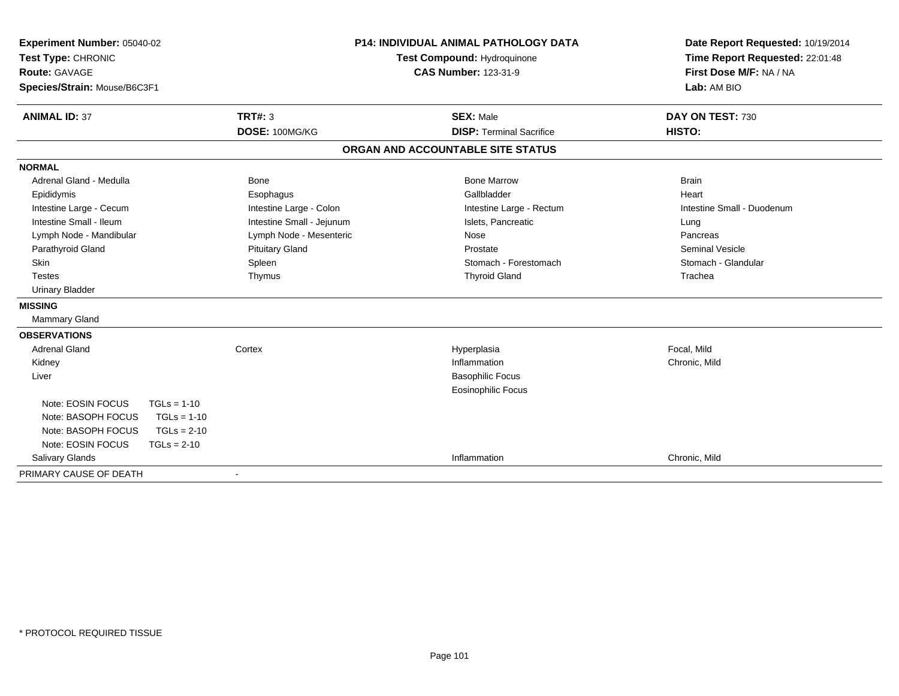| Experiment Number: 05040-02         |                           | <b>P14: INDIVIDUAL ANIMAL PATHOLOGY DATA</b> | Date Report Requested: 10/19/2014 |  |
|-------------------------------------|---------------------------|----------------------------------------------|-----------------------------------|--|
| Test Type: CHRONIC                  |                           | Test Compound: Hydroquinone                  | Time Report Requested: 22:01:48   |  |
| <b>Route: GAVAGE</b>                |                           | <b>CAS Number: 123-31-9</b>                  | First Dose M/F: NA / NA           |  |
| Species/Strain: Mouse/B6C3F1        |                           |                                              | Lab: AM BIO                       |  |
| <b>ANIMAL ID: 37</b>                | TRT#: 3                   | <b>SEX: Male</b>                             | DAY ON TEST: 730                  |  |
|                                     | DOSE: 100MG/KG            | <b>DISP: Terminal Sacrifice</b>              | <b>HISTO:</b>                     |  |
|                                     |                           | ORGAN AND ACCOUNTABLE SITE STATUS            |                                   |  |
| <b>NORMAL</b>                       |                           |                                              |                                   |  |
| Adrenal Gland - Medulla             | Bone                      | <b>Bone Marrow</b>                           | <b>Brain</b>                      |  |
| Epididymis                          | Esophagus                 | Gallbladder                                  | Heart                             |  |
| Intestine Large - Cecum             | Intestine Large - Colon   | Intestine Large - Rectum                     | Intestine Small - Duodenum        |  |
| Intestine Small - Ileum             | Intestine Small - Jejunum | Islets, Pancreatic                           | Lung                              |  |
| Lymph Node - Mandibular             | Lymph Node - Mesenteric   | Nose                                         | Pancreas                          |  |
| Parathyroid Gland                   | <b>Pituitary Gland</b>    | Prostate                                     | Seminal Vesicle                   |  |
| Skin                                | Spleen                    | Stomach - Forestomach                        | Stomach - Glandular               |  |
| <b>Testes</b>                       | Thymus                    | <b>Thyroid Gland</b>                         | Trachea                           |  |
| <b>Urinary Bladder</b>              |                           |                                              |                                   |  |
| <b>MISSING</b>                      |                           |                                              |                                   |  |
| Mammary Gland                       |                           |                                              |                                   |  |
| <b>OBSERVATIONS</b>                 |                           |                                              |                                   |  |
| <b>Adrenal Gland</b>                | Cortex                    | Hyperplasia                                  | Focal, Mild                       |  |
| Kidney                              |                           | Inflammation                                 | Chronic, Mild                     |  |
| Liver                               |                           | <b>Basophilic Focus</b>                      |                                   |  |
|                                     |                           | <b>Eosinophilic Focus</b>                    |                                   |  |
| Note: EOSIN FOCUS<br>$TGLs = 1-10$  |                           |                                              |                                   |  |
| Note: BASOPH FOCUS<br>$TGLs = 1-10$ |                           |                                              |                                   |  |
| Note: BASOPH FOCUS<br>$TGLs = 2-10$ |                           |                                              |                                   |  |
| Note: EOSIN FOCUS<br>$TGLs = 2-10$  |                           |                                              |                                   |  |
| Salivary Glands                     |                           | Inflammation                                 | Chronic, Mild                     |  |
| PRIMARY CAUSE OF DEATH              |                           |                                              |                                   |  |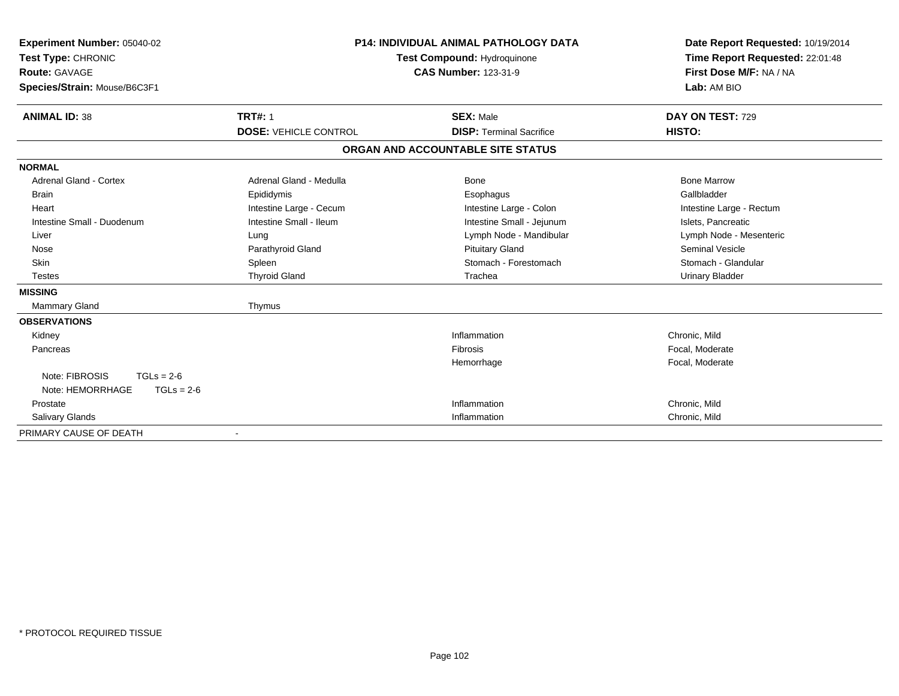| Experiment Number: 05040-02<br>Test Type: CHRONIC<br><b>Route: GAVAGE</b><br>Species/Strain: Mouse/B6C3F1 |                              | <b>P14: INDIVIDUAL ANIMAL PATHOLOGY DATA</b><br>Test Compound: Hydroquinone<br><b>CAS Number: 123-31-9</b> | Date Report Requested: 10/19/2014<br>Time Report Requested: 22:01:48<br>First Dose M/F: NA / NA<br>Lab: AM BIO |  |
|-----------------------------------------------------------------------------------------------------------|------------------------------|------------------------------------------------------------------------------------------------------------|----------------------------------------------------------------------------------------------------------------|--|
| <b>ANIMAL ID: 38</b>                                                                                      | <b>TRT#: 1</b>               | <b>SEX: Male</b>                                                                                           | DAY ON TEST: 729                                                                                               |  |
|                                                                                                           | <b>DOSE: VEHICLE CONTROL</b> | <b>DISP: Terminal Sacrifice</b>                                                                            | HISTO:                                                                                                         |  |
|                                                                                                           |                              | ORGAN AND ACCOUNTABLE SITE STATUS                                                                          |                                                                                                                |  |
| <b>NORMAL</b>                                                                                             |                              |                                                                                                            |                                                                                                                |  |
| <b>Adrenal Gland - Cortex</b>                                                                             | Adrenal Gland - Medulla      | <b>Bone</b>                                                                                                | <b>Bone Marrow</b>                                                                                             |  |
| <b>Brain</b>                                                                                              | Epididymis                   | Esophagus                                                                                                  | Gallbladder                                                                                                    |  |
| Heart                                                                                                     | Intestine Large - Cecum      | Intestine Large - Colon                                                                                    | Intestine Large - Rectum                                                                                       |  |
| Intestine Small - Duodenum                                                                                | Intestine Small - Ileum      | Intestine Small - Jejunum                                                                                  | Islets, Pancreatic                                                                                             |  |
| Liver                                                                                                     | Lung                         | Lymph Node - Mandibular                                                                                    | Lymph Node - Mesenteric                                                                                        |  |
| Nose                                                                                                      | Parathyroid Gland            | <b>Pituitary Gland</b>                                                                                     | <b>Seminal Vesicle</b>                                                                                         |  |
| <b>Skin</b>                                                                                               | Spleen                       | Stomach - Forestomach                                                                                      | Stomach - Glandular                                                                                            |  |
| <b>Testes</b>                                                                                             | <b>Thyroid Gland</b>         | Trachea                                                                                                    | <b>Urinary Bladder</b>                                                                                         |  |
| <b>MISSING</b>                                                                                            |                              |                                                                                                            |                                                                                                                |  |
| Mammary Gland                                                                                             | Thymus                       |                                                                                                            |                                                                                                                |  |
| <b>OBSERVATIONS</b>                                                                                       |                              |                                                                                                            |                                                                                                                |  |
| Kidney                                                                                                    |                              | Inflammation                                                                                               | Chronic, Mild                                                                                                  |  |
| Pancreas                                                                                                  |                              | Fibrosis                                                                                                   | Focal, Moderate                                                                                                |  |
|                                                                                                           |                              | Hemorrhage                                                                                                 | Focal, Moderate                                                                                                |  |
| Note: FIBROSIS<br>$TGLs = 2-6$                                                                            |                              |                                                                                                            |                                                                                                                |  |
| Note: HEMORRHAGE<br>$TGLs = 2-6$                                                                          |                              |                                                                                                            |                                                                                                                |  |
| Prostate                                                                                                  |                              | Inflammation                                                                                               | Chronic, Mild                                                                                                  |  |
| Salivary Glands                                                                                           |                              | Inflammation                                                                                               | Chronic, Mild                                                                                                  |  |
| PRIMARY CAUSE OF DEATH                                                                                    |                              |                                                                                                            |                                                                                                                |  |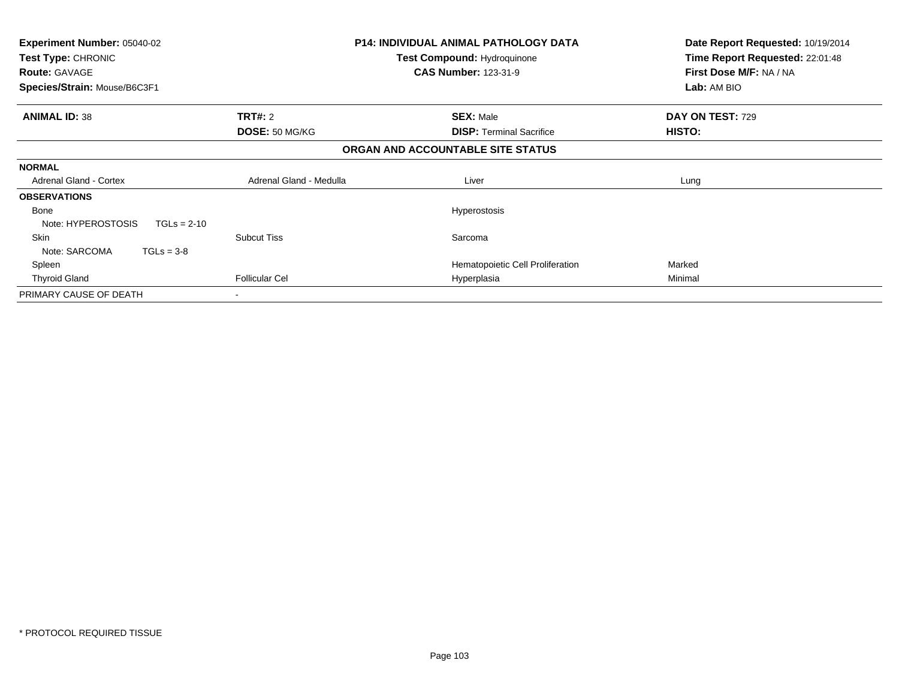| Experiment Number: 05040-02<br>Test Type: CHRONIC<br><b>Route: GAVAGE</b> |                         | <b>P14: INDIVIDUAL ANIMAL PATHOLOGY DATA</b><br><b>Test Compound: Hydroquinone</b><br><b>CAS Number: 123-31-9</b> | Date Report Requested: 10/19/2014<br>Time Report Requested: 22:01:48<br>First Dose M/F: NA / NA |
|---------------------------------------------------------------------------|-------------------------|-------------------------------------------------------------------------------------------------------------------|-------------------------------------------------------------------------------------------------|
| Species/Strain: Mouse/B6C3F1                                              |                         |                                                                                                                   | Lab: AM BIO                                                                                     |
| <b>ANIMAL ID: 38</b>                                                      | <b>TRT#: 2</b>          | <b>SEX: Male</b>                                                                                                  | DAY ON TEST: 729                                                                                |
|                                                                           | DOSE: 50 MG/KG          | <b>DISP:</b> Terminal Sacrifice                                                                                   | HISTO:                                                                                          |
|                                                                           |                         | ORGAN AND ACCOUNTABLE SITE STATUS                                                                                 |                                                                                                 |
| <b>NORMAL</b>                                                             |                         |                                                                                                                   |                                                                                                 |
| <b>Adrenal Gland - Cortex</b>                                             | Adrenal Gland - Medulla | Liver                                                                                                             | Lung                                                                                            |
| <b>OBSERVATIONS</b>                                                       |                         |                                                                                                                   |                                                                                                 |
| Bone<br>Note: HYPEROSTOSIS<br>$TGLs = 2-10$                               |                         | Hyperostosis                                                                                                      |                                                                                                 |
| <b>Skin</b><br>Note: SARCOMA<br>$TGLs = 3-8$                              | <b>Subcut Tiss</b>      | Sarcoma                                                                                                           |                                                                                                 |
| Spleen                                                                    |                         | Hematopoietic Cell Proliferation                                                                                  | Marked                                                                                          |
| <b>Thyroid Gland</b>                                                      | <b>Follicular Cel</b>   | Hyperplasia                                                                                                       | Minimal                                                                                         |
| PRIMARY CAUSE OF DEATH                                                    |                         |                                                                                                                   |                                                                                                 |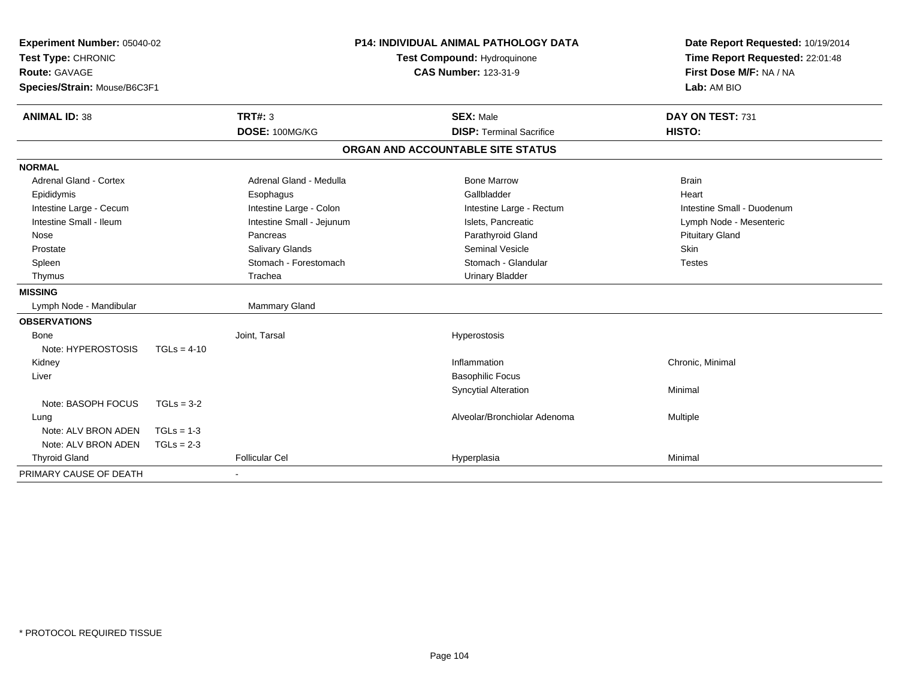| Experiment Number: 05040-02<br>Test Type: CHRONIC<br><b>Route: GAVAGE</b><br>Species/Strain: Mouse/B6C3F1 |               |                           | <b>P14: INDIVIDUAL ANIMAL PATHOLOGY DATA</b><br>Test Compound: Hydroquinone<br><b>CAS Number: 123-31-9</b> | Date Report Requested: 10/19/2014<br>Time Report Requested: 22:01:48<br>First Dose M/F: NA / NA<br>Lab: AM BIO |
|-----------------------------------------------------------------------------------------------------------|---------------|---------------------------|------------------------------------------------------------------------------------------------------------|----------------------------------------------------------------------------------------------------------------|
| <b>ANIMAL ID: 38</b>                                                                                      |               | TRT#: 3                   | <b>SEX: Male</b>                                                                                           | DAY ON TEST: 731                                                                                               |
|                                                                                                           |               | DOSE: 100MG/KG            | <b>DISP: Terminal Sacrifice</b>                                                                            | HISTO:                                                                                                         |
|                                                                                                           |               |                           | ORGAN AND ACCOUNTABLE SITE STATUS                                                                          |                                                                                                                |
| <b>NORMAL</b>                                                                                             |               |                           |                                                                                                            |                                                                                                                |
| <b>Adrenal Gland - Cortex</b>                                                                             |               | Adrenal Gland - Medulla   | <b>Bone Marrow</b>                                                                                         | <b>Brain</b>                                                                                                   |
| Epididymis                                                                                                |               | Esophagus                 | Gallbladder                                                                                                | Heart                                                                                                          |
| Intestine Large - Cecum                                                                                   |               | Intestine Large - Colon   | Intestine Large - Rectum                                                                                   | Intestine Small - Duodenum                                                                                     |
| Intestine Small - Ileum                                                                                   |               | Intestine Small - Jejunum | Islets, Pancreatic                                                                                         | Lymph Node - Mesenteric                                                                                        |
| Nose                                                                                                      |               | Pancreas                  | Parathyroid Gland                                                                                          | <b>Pituitary Gland</b>                                                                                         |
| Prostate                                                                                                  |               | Salivary Glands           | <b>Seminal Vesicle</b>                                                                                     | Skin                                                                                                           |
| Spleen                                                                                                    |               | Stomach - Forestomach     | Stomach - Glandular                                                                                        | <b>Testes</b>                                                                                                  |
| Thymus                                                                                                    |               | Trachea                   | <b>Urinary Bladder</b>                                                                                     |                                                                                                                |
| <b>MISSING</b>                                                                                            |               |                           |                                                                                                            |                                                                                                                |
| Lymph Node - Mandibular                                                                                   |               | Mammary Gland             |                                                                                                            |                                                                                                                |
| <b>OBSERVATIONS</b>                                                                                       |               |                           |                                                                                                            |                                                                                                                |
| <b>Bone</b>                                                                                               |               | Joint, Tarsal             | Hyperostosis                                                                                               |                                                                                                                |
| Note: HYPEROSTOSIS                                                                                        | $TGLs = 4-10$ |                           |                                                                                                            |                                                                                                                |
| Kidney                                                                                                    |               |                           | Inflammation                                                                                               | Chronic, Minimal                                                                                               |
| Liver                                                                                                     |               |                           | <b>Basophilic Focus</b>                                                                                    |                                                                                                                |
|                                                                                                           |               |                           | <b>Syncytial Alteration</b>                                                                                | Minimal                                                                                                        |
| Note: BASOPH FOCUS                                                                                        | $TGLs = 3-2$  |                           |                                                                                                            |                                                                                                                |
| Lung                                                                                                      |               |                           | Alveolar/Bronchiolar Adenoma                                                                               | Multiple                                                                                                       |
| Note: ALV BRON ADEN                                                                                       | $TGLs = 1-3$  |                           |                                                                                                            |                                                                                                                |
| Note: ALV BRON ADEN                                                                                       | $TGLs = 2-3$  |                           |                                                                                                            |                                                                                                                |
| <b>Thyroid Gland</b>                                                                                      |               | <b>Follicular Cel</b>     | Hyperplasia                                                                                                | Minimal                                                                                                        |
| PRIMARY CAUSE OF DEATH                                                                                    |               |                           |                                                                                                            |                                                                                                                |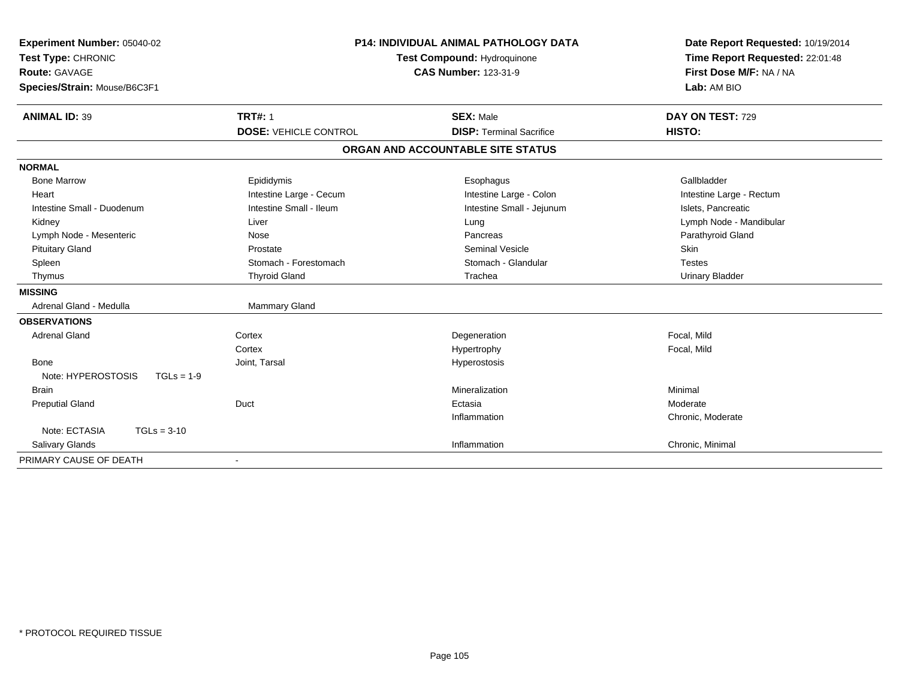| <b>Experiment Number: 05040-02</b> | <b>P14: INDIVIDUAL ANIMAL PATHOLOGY DATA</b><br>Test Compound: Hydroquinone |                                   | Date Report Requested: 10/19/2014 |
|------------------------------------|-----------------------------------------------------------------------------|-----------------------------------|-----------------------------------|
| Test Type: CHRONIC                 |                                                                             |                                   | Time Report Requested: 22:01:48   |
| Route: GAVAGE                      |                                                                             | <b>CAS Number: 123-31-9</b>       | First Dose M/F: NA / NA           |
| Species/Strain: Mouse/B6C3F1       |                                                                             |                                   | Lab: AM BIO                       |
| <b>ANIMAL ID: 39</b>               | <b>TRT#: 1</b>                                                              | <b>SEX: Male</b>                  | DAY ON TEST: 729                  |
|                                    | <b>DOSE: VEHICLE CONTROL</b>                                                | <b>DISP: Terminal Sacrifice</b>   | HISTO:                            |
|                                    |                                                                             | ORGAN AND ACCOUNTABLE SITE STATUS |                                   |
| <b>NORMAL</b>                      |                                                                             |                                   |                                   |
| <b>Bone Marrow</b>                 | Epididymis                                                                  | Esophagus                         | Gallbladder                       |
| Heart                              | Intestine Large - Cecum                                                     | Intestine Large - Colon           | Intestine Large - Rectum          |
| Intestine Small - Duodenum         | Intestine Small - Ileum                                                     | Intestine Small - Jejunum         | Islets, Pancreatic                |
| Kidney                             | Liver                                                                       | Lung                              | Lymph Node - Mandibular           |
| Lymph Node - Mesenteric            | Nose                                                                        | Pancreas                          | Parathyroid Gland                 |
| <b>Pituitary Gland</b>             | Prostate                                                                    | <b>Seminal Vesicle</b>            | Skin                              |
| Spleen                             | Stomach - Forestomach                                                       | Stomach - Glandular               | <b>Testes</b>                     |
| Thymus                             | <b>Thyroid Gland</b>                                                        | Trachea                           | <b>Urinary Bladder</b>            |
| <b>MISSING</b>                     |                                                                             |                                   |                                   |
| Adrenal Gland - Medulla            | Mammary Gland                                                               |                                   |                                   |
| <b>OBSERVATIONS</b>                |                                                                             |                                   |                                   |
| <b>Adrenal Gland</b>               | Cortex                                                                      | Degeneration                      | Focal, Mild                       |
|                                    | Cortex                                                                      | Hypertrophy                       | Focal, Mild                       |
| Bone                               | Joint, Tarsal                                                               | Hyperostosis                      |                                   |
| Note: HYPEROSTOSIS<br>$TGLs = 1-9$ |                                                                             |                                   |                                   |
| <b>Brain</b>                       |                                                                             | Mineralization                    | Minimal                           |
| <b>Preputial Gland</b>             | Duct                                                                        | Ectasia                           | Moderate                          |
|                                    |                                                                             | Inflammation                      | Chronic, Moderate                 |
| Note: ECTASIA<br>$TGLs = 3-10$     |                                                                             |                                   |                                   |
| Salivary Glands                    |                                                                             | Inflammation                      | Chronic, Minimal                  |
| PRIMARY CAUSE OF DEATH             |                                                                             |                                   |                                   |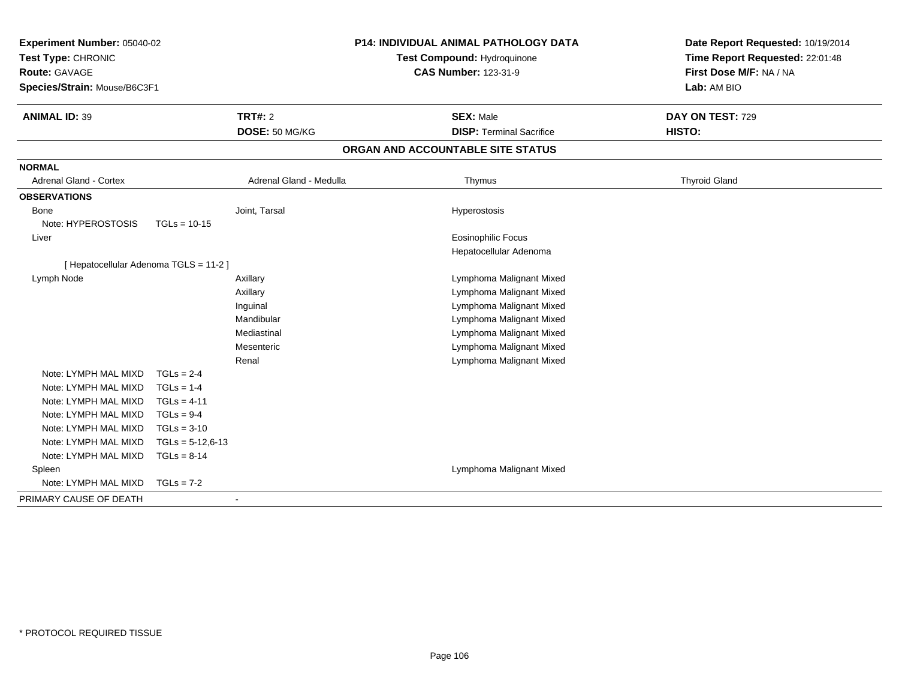| Experiment Number: 05040-02<br>Test Type: CHRONIC<br><b>Route: GAVAGE</b><br>Species/Strain: Mouse/B6C3F1<br><b>ANIMAL ID: 39</b> |                    | <b>TRT#: 2</b><br>DOSE: 50 MG/KG | <b>P14: INDIVIDUAL ANIMAL PATHOLOGY DATA</b><br>Test Compound: Hydroquinone<br><b>CAS Number: 123-31-9</b><br><b>SEX: Male</b><br><b>DISP: Terminal Sacrifice</b> | Date Report Requested: 10/19/2014<br>Time Report Requested: 22:01:48<br>First Dose M/F: NA / NA<br>Lab: AM BIO<br>DAY ON TEST: 729<br>HISTO: |
|-----------------------------------------------------------------------------------------------------------------------------------|--------------------|----------------------------------|-------------------------------------------------------------------------------------------------------------------------------------------------------------------|----------------------------------------------------------------------------------------------------------------------------------------------|
|                                                                                                                                   |                    |                                  | ORGAN AND ACCOUNTABLE SITE STATUS                                                                                                                                 |                                                                                                                                              |
| <b>NORMAL</b>                                                                                                                     |                    |                                  |                                                                                                                                                                   |                                                                                                                                              |
| <b>Adrenal Gland - Cortex</b>                                                                                                     |                    | Adrenal Gland - Medulla          | Thymus                                                                                                                                                            | <b>Thyroid Gland</b>                                                                                                                         |
| <b>OBSERVATIONS</b>                                                                                                               |                    |                                  |                                                                                                                                                                   |                                                                                                                                              |
| Bone                                                                                                                              |                    | Joint, Tarsal                    | Hyperostosis                                                                                                                                                      |                                                                                                                                              |
| Note: HYPEROSTOSIS                                                                                                                | $TGLs = 10-15$     |                                  |                                                                                                                                                                   |                                                                                                                                              |
| Liver                                                                                                                             |                    |                                  | Eosinophilic Focus                                                                                                                                                |                                                                                                                                              |
|                                                                                                                                   |                    |                                  | Hepatocellular Adenoma                                                                                                                                            |                                                                                                                                              |
| [ Hepatocellular Adenoma TGLS = 11-2 ]                                                                                            |                    |                                  |                                                                                                                                                                   |                                                                                                                                              |
| Lymph Node                                                                                                                        |                    | Axillary                         | Lymphoma Malignant Mixed                                                                                                                                          |                                                                                                                                              |
|                                                                                                                                   |                    | Axillary                         | Lymphoma Malignant Mixed                                                                                                                                          |                                                                                                                                              |
|                                                                                                                                   |                    | Inguinal                         | Lymphoma Malignant Mixed                                                                                                                                          |                                                                                                                                              |
|                                                                                                                                   |                    | Mandibular                       | Lymphoma Malignant Mixed                                                                                                                                          |                                                                                                                                              |
|                                                                                                                                   |                    | Mediastinal                      | Lymphoma Malignant Mixed                                                                                                                                          |                                                                                                                                              |
|                                                                                                                                   |                    | Mesenteric                       | Lymphoma Malignant Mixed                                                                                                                                          |                                                                                                                                              |
|                                                                                                                                   |                    | Renal                            | Lymphoma Malignant Mixed                                                                                                                                          |                                                                                                                                              |
| Note: LYMPH MAL MIXD                                                                                                              | $TGLs = 2-4$       |                                  |                                                                                                                                                                   |                                                                                                                                              |
| Note: LYMPH MAL MIXD                                                                                                              | $TGLs = 1-4$       |                                  |                                                                                                                                                                   |                                                                                                                                              |
| Note: LYMPH MAL MIXD                                                                                                              | $TGLs = 4-11$      |                                  |                                                                                                                                                                   |                                                                                                                                              |
| Note: LYMPH MAL MIXD                                                                                                              | $TGLs = 9-4$       |                                  |                                                                                                                                                                   |                                                                                                                                              |
| Note: LYMPH MAL MIXD                                                                                                              | $TGLs = 3-10$      |                                  |                                                                                                                                                                   |                                                                                                                                              |
| Note: LYMPH MAL MIXD                                                                                                              | $TGLs = 5-12,6-13$ |                                  |                                                                                                                                                                   |                                                                                                                                              |
| Note: LYMPH MAL MIXD                                                                                                              | $TGLs = 8-14$      |                                  |                                                                                                                                                                   |                                                                                                                                              |
| Spleen<br>Note: LYMPH MAL MIXD                                                                                                    | $TGLs = 7-2$       |                                  | Lymphoma Malignant Mixed                                                                                                                                          |                                                                                                                                              |
|                                                                                                                                   |                    |                                  |                                                                                                                                                                   |                                                                                                                                              |
| PRIMARY CAUSE OF DEATH                                                                                                            |                    |                                  |                                                                                                                                                                   |                                                                                                                                              |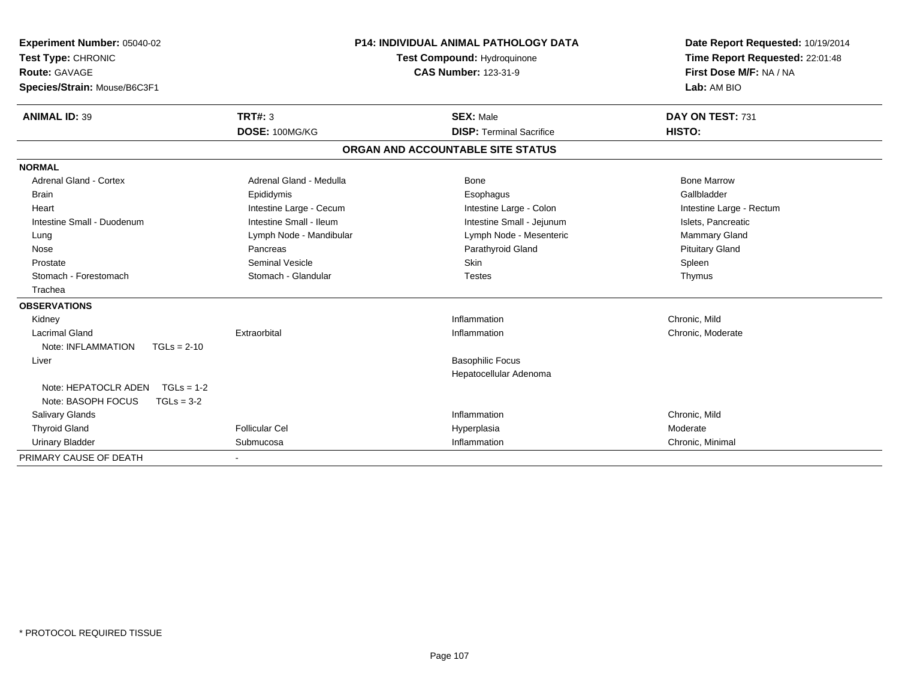| <b>Experiment Number: 05040-02</b>   |                          | <b>P14: INDIVIDUAL ANIMAL PATHOLOGY DATA</b> | Date Report Requested: 10/19/2014 |
|--------------------------------------|--------------------------|----------------------------------------------|-----------------------------------|
| Test Type: CHRONIC                   |                          | Test Compound: Hydroquinone                  | Time Report Requested: 22:01:48   |
| <b>Route: GAVAGE</b>                 |                          | <b>CAS Number: 123-31-9</b>                  | First Dose M/F: NA / NA           |
| Species/Strain: Mouse/B6C3F1         |                          |                                              | Lab: AM BIO                       |
| <b>ANIMAL ID: 39</b>                 | <b>TRT#: 3</b>           | <b>SEX: Male</b>                             | DAY ON TEST: 731                  |
|                                      | DOSE: 100MG/KG           | <b>DISP: Terminal Sacrifice</b>              | HISTO:                            |
|                                      |                          | ORGAN AND ACCOUNTABLE SITE STATUS            |                                   |
| <b>NORMAL</b>                        |                          |                                              |                                   |
| <b>Adrenal Gland - Cortex</b>        | Adrenal Gland - Medulla  | Bone                                         | <b>Bone Marrow</b>                |
| <b>Brain</b>                         | Epididymis               | Esophagus                                    | Gallbladder                       |
| Heart                                | Intestine Large - Cecum  | Intestine Large - Colon                      | Intestine Large - Rectum          |
| Intestine Small - Duodenum           | Intestine Small - Ileum  | Intestine Small - Jejunum                    | Islets, Pancreatic                |
| Lung                                 | Lymph Node - Mandibular  | Lymph Node - Mesenteric                      | Mammary Gland                     |
| Nose                                 | Pancreas                 | Parathyroid Gland                            | <b>Pituitary Gland</b>            |
| Prostate                             | <b>Seminal Vesicle</b>   | <b>Skin</b>                                  | Spleen                            |
| Stomach - Forestomach                | Stomach - Glandular      | <b>Testes</b>                                | Thymus                            |
| Trachea                              |                          |                                              |                                   |
| <b>OBSERVATIONS</b>                  |                          |                                              |                                   |
| Kidney                               |                          | Inflammation                                 | Chronic, Mild                     |
| Lacrimal Gland                       | Extraorbital             | Inflammation                                 | Chronic, Moderate                 |
| Note: INFLAMMATION<br>$TGLs = 2-10$  |                          |                                              |                                   |
| Liver                                |                          | <b>Basophilic Focus</b>                      |                                   |
|                                      |                          | Hepatocellular Adenoma                       |                                   |
| Note: HEPATOCLR ADEN<br>$TGLs = 1-2$ |                          |                                              |                                   |
| Note: BASOPH FOCUS<br>$TGLs = 3-2$   |                          |                                              |                                   |
| <b>Salivary Glands</b>               |                          | Inflammation                                 | Chronic, Mild                     |
| <b>Thyroid Gland</b>                 | <b>Follicular Cel</b>    | Hyperplasia                                  | Moderate                          |
| <b>Urinary Bladder</b>               | Submucosa                | Inflammation                                 | Chronic, Minimal                  |
| PRIMARY CAUSE OF DEATH               | $\overline{\phantom{a}}$ |                                              |                                   |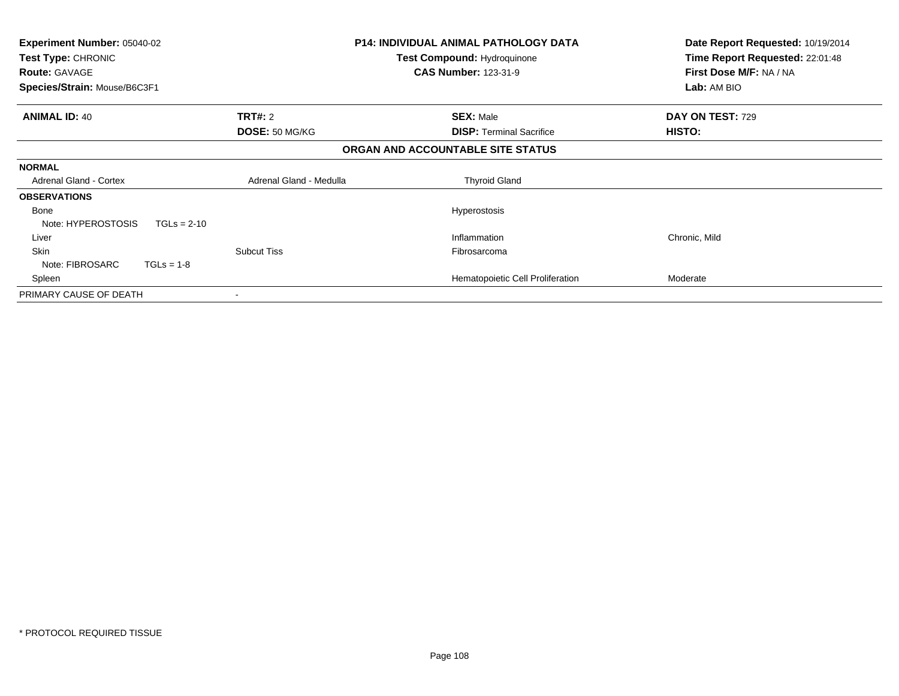| <b>Experiment Number: 05040-02</b><br>Test Type: CHRONIC<br><b>Route: GAVAGE</b><br>Species/Strain: Mouse/B6C3F1 |                         | <b>P14: INDIVIDUAL ANIMAL PATHOLOGY DATA</b><br>Test Compound: Hydroquinone<br><b>CAS Number: 123-31-9</b> | Date Report Requested: 10/19/2014<br>Time Report Requested: 22:01:48<br>First Dose M/F: NA / NA<br>Lab: AM BIO |
|------------------------------------------------------------------------------------------------------------------|-------------------------|------------------------------------------------------------------------------------------------------------|----------------------------------------------------------------------------------------------------------------|
| <b>ANIMAL ID: 40</b>                                                                                             | <b>TRT#: 2</b>          | <b>SEX: Male</b>                                                                                           | DAY ON TEST: 729                                                                                               |
|                                                                                                                  | DOSE: 50 MG/KG          | <b>DISP:</b> Terminal Sacrifice                                                                            | HISTO:                                                                                                         |
|                                                                                                                  |                         | ORGAN AND ACCOUNTABLE SITE STATUS                                                                          |                                                                                                                |
| <b>NORMAL</b>                                                                                                    |                         |                                                                                                            |                                                                                                                |
| <b>Adrenal Gland - Cortex</b>                                                                                    | Adrenal Gland - Medulla | <b>Thyroid Gland</b>                                                                                       |                                                                                                                |
| <b>OBSERVATIONS</b>                                                                                              |                         |                                                                                                            |                                                                                                                |
| Bone                                                                                                             |                         | <b>Hyperostosis</b>                                                                                        |                                                                                                                |
| Note: HYPEROSTOSIS<br>$TGLs = 2-10$                                                                              |                         |                                                                                                            |                                                                                                                |
| Liver                                                                                                            |                         | Inflammation                                                                                               | Chronic, Mild                                                                                                  |
| Skin                                                                                                             | <b>Subcut Tiss</b>      | Fibrosarcoma                                                                                               |                                                                                                                |
| Note: FIBROSARC<br>$TGLs = 1-8$                                                                                  |                         |                                                                                                            |                                                                                                                |
| Spleen                                                                                                           |                         | Hematopoietic Cell Proliferation                                                                           | Moderate                                                                                                       |
| PRIMARY CAUSE OF DEATH                                                                                           |                         |                                                                                                            |                                                                                                                |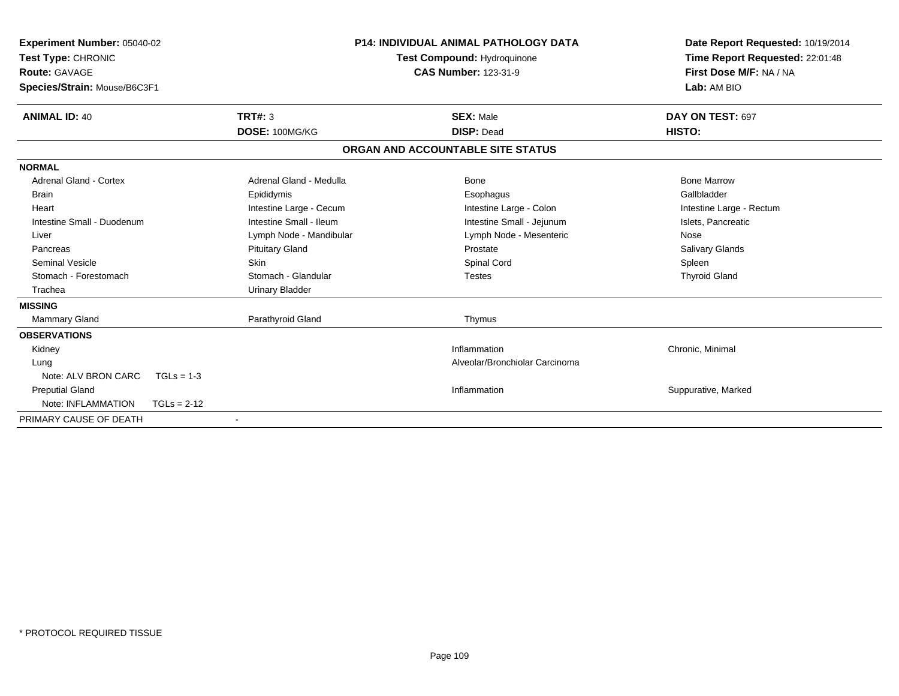| <b>Experiment Number: 05040-02</b><br>Test Type: CHRONIC<br><b>Route: GAVAGE</b><br>Species/Strain: Mouse/B6C3F1 |                         | <b>P14: INDIVIDUAL ANIMAL PATHOLOGY DATA</b><br><b>Test Compound: Hydroquinone</b><br><b>CAS Number: 123-31-9</b> | Date Report Requested: 10/19/2014<br>Time Report Requested: 22:01:48<br>First Dose M/F: NA / NA<br>Lab: AM BIO |
|------------------------------------------------------------------------------------------------------------------|-------------------------|-------------------------------------------------------------------------------------------------------------------|----------------------------------------------------------------------------------------------------------------|
| <b>ANIMAL ID: 40</b>                                                                                             | <b>TRT#: 3</b>          | <b>SEX: Male</b>                                                                                                  | DAY ON TEST: 697                                                                                               |
|                                                                                                                  | DOSE: 100MG/KG          | <b>DISP: Dead</b>                                                                                                 | HISTO:                                                                                                         |
|                                                                                                                  |                         | ORGAN AND ACCOUNTABLE SITE STATUS                                                                                 |                                                                                                                |
| <b>NORMAL</b>                                                                                                    |                         |                                                                                                                   |                                                                                                                |
| <b>Adrenal Gland - Cortex</b>                                                                                    | Adrenal Gland - Medulla | Bone                                                                                                              | <b>Bone Marrow</b>                                                                                             |
| Brain                                                                                                            | Epididymis              | Esophagus                                                                                                         | Gallbladder                                                                                                    |
| Heart                                                                                                            | Intestine Large - Cecum | Intestine Large - Colon                                                                                           | Intestine Large - Rectum                                                                                       |
| Intestine Small - Duodenum                                                                                       | Intestine Small - Ileum | Intestine Small - Jejunum                                                                                         | Islets, Pancreatic                                                                                             |
| Liver                                                                                                            | Lymph Node - Mandibular | Lymph Node - Mesenteric                                                                                           | Nose                                                                                                           |
| Pancreas                                                                                                         | <b>Pituitary Gland</b>  | Prostate                                                                                                          | Salivary Glands                                                                                                |
| <b>Seminal Vesicle</b>                                                                                           | Skin                    | Spinal Cord                                                                                                       | Spleen                                                                                                         |
| Stomach - Forestomach                                                                                            | Stomach - Glandular     | <b>Testes</b>                                                                                                     | <b>Thyroid Gland</b>                                                                                           |
| Trachea                                                                                                          | <b>Urinary Bladder</b>  |                                                                                                                   |                                                                                                                |
| <b>MISSING</b>                                                                                                   |                         |                                                                                                                   |                                                                                                                |
| Mammary Gland                                                                                                    | Parathyroid Gland       | Thymus                                                                                                            |                                                                                                                |
| <b>OBSERVATIONS</b>                                                                                              |                         |                                                                                                                   |                                                                                                                |
| Kidney                                                                                                           |                         | Inflammation                                                                                                      | Chronic, Minimal                                                                                               |
| Lung                                                                                                             |                         | Alveolar/Bronchiolar Carcinoma                                                                                    |                                                                                                                |
| Note: ALV BRON CARC                                                                                              | $TGLs = 1-3$            |                                                                                                                   |                                                                                                                |
| <b>Preputial Gland</b>                                                                                           |                         | Inflammation                                                                                                      | Suppurative, Marked                                                                                            |
| Note: INFLAMMATION                                                                                               | $TGLs = 2-12$           |                                                                                                                   |                                                                                                                |
| PRIMARY CAUSE OF DEATH                                                                                           |                         |                                                                                                                   |                                                                                                                |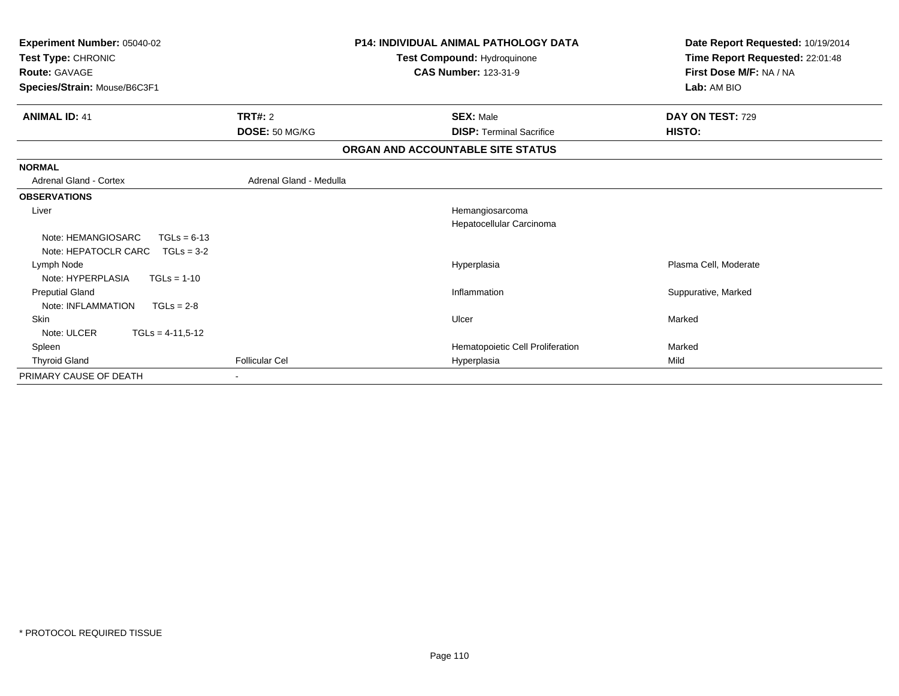| Experiment Number: 05040-02<br>Test Type: CHRONIC<br><b>Route: GAVAGE</b><br>Species/Strain: Mouse/B6C3F1 |                         | <b>P14: INDIVIDUAL ANIMAL PATHOLOGY DATA</b><br>Test Compound: Hydroquinone<br><b>CAS Number: 123-31-9</b> | Date Report Requested: 10/19/2014<br>Time Report Requested: 22:01:48<br>First Dose M/F: NA / NA<br>Lab: AM BIO |
|-----------------------------------------------------------------------------------------------------------|-------------------------|------------------------------------------------------------------------------------------------------------|----------------------------------------------------------------------------------------------------------------|
| <b>ANIMAL ID: 41</b>                                                                                      | TRT#: 2                 | <b>SEX: Male</b>                                                                                           | DAY ON TEST: 729                                                                                               |
|                                                                                                           | DOSE: 50 MG/KG          | <b>DISP: Terminal Sacrifice</b>                                                                            | HISTO:                                                                                                         |
|                                                                                                           |                         | ORGAN AND ACCOUNTABLE SITE STATUS                                                                          |                                                                                                                |
| <b>NORMAL</b>                                                                                             |                         |                                                                                                            |                                                                                                                |
| <b>Adrenal Gland - Cortex</b>                                                                             | Adrenal Gland - Medulla |                                                                                                            |                                                                                                                |
| <b>OBSERVATIONS</b>                                                                                       |                         |                                                                                                            |                                                                                                                |
| Liver                                                                                                     |                         | Hemangiosarcoma<br>Hepatocellular Carcinoma                                                                |                                                                                                                |
| Note: HEMANGIOSARC<br>$TGLs = 6-13$<br>Note: HEPATOCLR CARC<br>$TGLs = 3-2$                               |                         |                                                                                                            |                                                                                                                |
| Lymph Node<br>Note: HYPERPLASIA<br>$TGLs = 1-10$                                                          |                         | Hyperplasia                                                                                                | Plasma Cell, Moderate                                                                                          |
| <b>Preputial Gland</b><br>Note: INFLAMMATION<br>$TGLs = 2-8$                                              |                         | Inflammation                                                                                               | Suppurative, Marked                                                                                            |
| <b>Skin</b><br>Note: ULCER<br>$TGLs = 4-11,5-12$                                                          |                         | Ulcer                                                                                                      | Marked                                                                                                         |
| Spleen                                                                                                    |                         | Hematopoietic Cell Proliferation                                                                           | Marked                                                                                                         |
| <b>Thyroid Gland</b>                                                                                      | <b>Follicular Cel</b>   | Hyperplasia                                                                                                | Mild                                                                                                           |
| PRIMARY CAUSE OF DEATH                                                                                    |                         |                                                                                                            |                                                                                                                |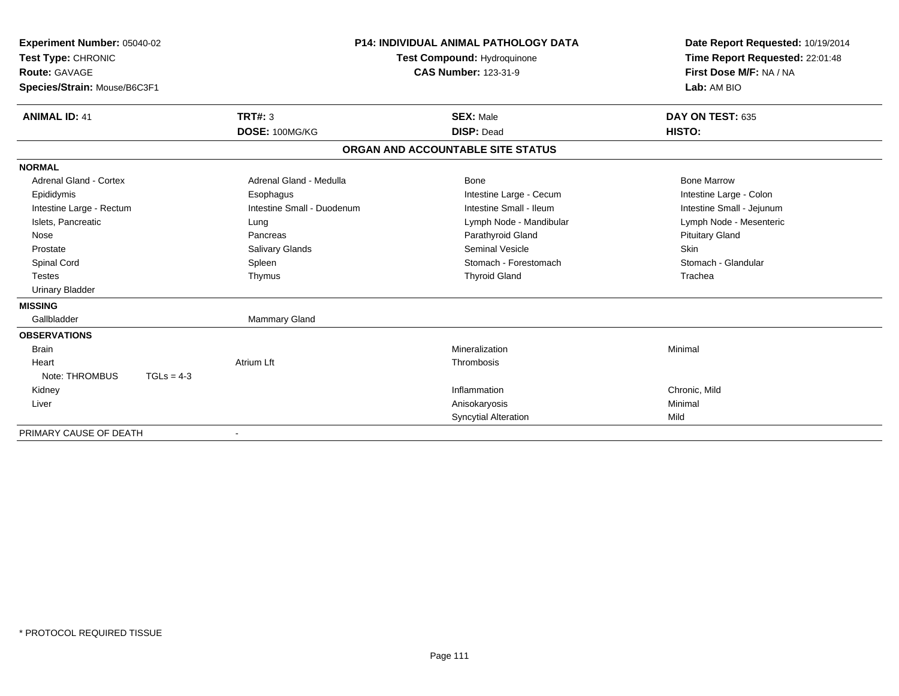| Experiment Number: 05040-02<br>Test Type: CHRONIC |                            | <b>P14: INDIVIDUAL ANIMAL PATHOLOGY DATA</b><br>Test Compound: Hydroquinone |  | Date Report Requested: 10/19/2014<br>Time Report Requested: 22:01:48 |  |
|---------------------------------------------------|----------------------------|-----------------------------------------------------------------------------|--|----------------------------------------------------------------------|--|
| <b>Route: GAVAGE</b>                              |                            | <b>CAS Number: 123-31-9</b>                                                 |  | First Dose M/F: NA / NA                                              |  |
| Species/Strain: Mouse/B6C3F1                      |                            |                                                                             |  | Lab: AM BIO                                                          |  |
|                                                   |                            |                                                                             |  |                                                                      |  |
| <b>ANIMAL ID: 41</b>                              | <b>TRT#: 3</b>             | <b>SEX: Male</b>                                                            |  | DAY ON TEST: 635                                                     |  |
|                                                   | DOSE: 100MG/KG             | <b>DISP: Dead</b>                                                           |  | HISTO:                                                               |  |
|                                                   |                            | ORGAN AND ACCOUNTABLE SITE STATUS                                           |  |                                                                      |  |
| <b>NORMAL</b>                                     |                            |                                                                             |  |                                                                      |  |
| Adrenal Gland - Cortex                            | Adrenal Gland - Medulla    | Bone                                                                        |  | <b>Bone Marrow</b>                                                   |  |
| Epididymis                                        | Esophagus                  | Intestine Large - Cecum                                                     |  | Intestine Large - Colon                                              |  |
| Intestine Large - Rectum                          | Intestine Small - Duodenum | Intestine Small - Ileum                                                     |  | Intestine Small - Jejunum                                            |  |
| Islets, Pancreatic                                | Lung                       | Lymph Node - Mandibular                                                     |  | Lymph Node - Mesenteric                                              |  |
| Nose                                              | Pancreas                   | Parathyroid Gland                                                           |  | <b>Pituitary Gland</b>                                               |  |
| Prostate                                          | <b>Salivary Glands</b>     | <b>Seminal Vesicle</b>                                                      |  | <b>Skin</b>                                                          |  |
| Spinal Cord                                       | Spleen                     | Stomach - Forestomach                                                       |  | Stomach - Glandular                                                  |  |
| <b>Testes</b>                                     | Thymus                     | <b>Thyroid Gland</b>                                                        |  | Trachea                                                              |  |
| <b>Urinary Bladder</b>                            |                            |                                                                             |  |                                                                      |  |
| <b>MISSING</b>                                    |                            |                                                                             |  |                                                                      |  |
| Gallbladder                                       | <b>Mammary Gland</b>       |                                                                             |  |                                                                      |  |
| <b>OBSERVATIONS</b>                               |                            |                                                                             |  |                                                                      |  |
| <b>Brain</b>                                      |                            | Mineralization                                                              |  | Minimal                                                              |  |
| Heart                                             | <b>Atrium Lft</b>          | Thrombosis                                                                  |  |                                                                      |  |
| Note: THROMBUS                                    | $TGLs = 4-3$               |                                                                             |  |                                                                      |  |
| Kidney                                            |                            | Inflammation                                                                |  | Chronic, Mild                                                        |  |
| Liver                                             |                            | Anisokaryosis                                                               |  | Minimal                                                              |  |
|                                                   |                            | <b>Syncytial Alteration</b>                                                 |  | Mild                                                                 |  |
| PRIMARY CAUSE OF DEATH                            | $\blacksquare$             |                                                                             |  |                                                                      |  |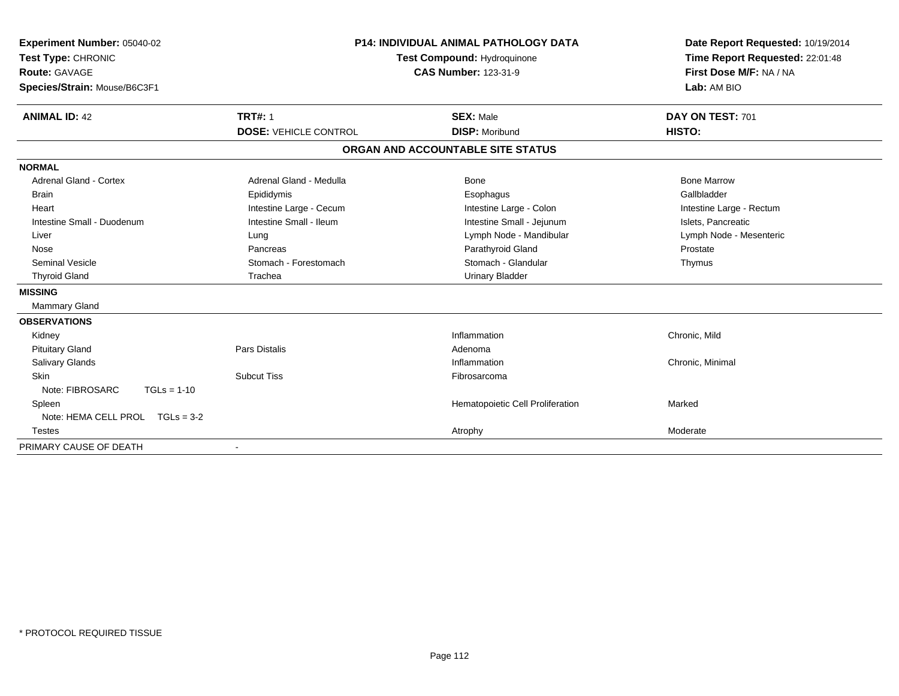| Experiment Number: 05040-02<br>Test Type: CHRONIC<br><b>Route: GAVAGE</b> | <b>P14: INDIVIDUAL ANIMAL PATHOLOGY DATA</b><br>Test Compound: Hydroquinone<br><b>CAS Number: 123-31-9</b> |                                   | Date Report Requested: 10/19/2014<br>Time Report Requested: 22:01:48<br>First Dose M/F: NA / NA |  |
|---------------------------------------------------------------------------|------------------------------------------------------------------------------------------------------------|-----------------------------------|-------------------------------------------------------------------------------------------------|--|
| Species/Strain: Mouse/B6C3F1                                              |                                                                                                            |                                   | Lab: AM BIO                                                                                     |  |
| <b>ANIMAL ID: 42</b>                                                      | <b>TRT#: 1</b>                                                                                             | <b>SEX: Male</b>                  | DAY ON TEST: 701                                                                                |  |
|                                                                           | <b>DOSE: VEHICLE CONTROL</b>                                                                               | <b>DISP: Moribund</b>             | HISTO:                                                                                          |  |
|                                                                           |                                                                                                            | ORGAN AND ACCOUNTABLE SITE STATUS |                                                                                                 |  |
| <b>NORMAL</b>                                                             |                                                                                                            |                                   |                                                                                                 |  |
| <b>Adrenal Gland - Cortex</b>                                             | Adrenal Gland - Medulla                                                                                    | Bone                              | <b>Bone Marrow</b>                                                                              |  |
| Brain                                                                     | Epididymis                                                                                                 | Esophagus                         | Gallbladder                                                                                     |  |
| Heart                                                                     | Intestine Large - Cecum                                                                                    | Intestine Large - Colon           | Intestine Large - Rectum                                                                        |  |
| Intestine Small - Duodenum                                                | Intestine Small - Ileum                                                                                    | Intestine Small - Jejunum         | Islets, Pancreatic                                                                              |  |
| Liver                                                                     | Lung                                                                                                       | Lymph Node - Mandibular           | Lymph Node - Mesenteric                                                                         |  |
| Nose                                                                      | Pancreas                                                                                                   | Parathyroid Gland                 | Prostate                                                                                        |  |
| Seminal Vesicle                                                           | Stomach - Forestomach                                                                                      | Stomach - Glandular               | Thymus                                                                                          |  |
| <b>Thyroid Gland</b>                                                      | Trachea                                                                                                    | <b>Urinary Bladder</b>            |                                                                                                 |  |
| <b>MISSING</b>                                                            |                                                                                                            |                                   |                                                                                                 |  |
| Mammary Gland                                                             |                                                                                                            |                                   |                                                                                                 |  |
| <b>OBSERVATIONS</b>                                                       |                                                                                                            |                                   |                                                                                                 |  |
| Kidney                                                                    |                                                                                                            | Inflammation                      | Chronic, Mild                                                                                   |  |
| <b>Pituitary Gland</b>                                                    | Pars Distalis                                                                                              | Adenoma                           |                                                                                                 |  |
| <b>Salivary Glands</b>                                                    |                                                                                                            | Inflammation                      | Chronic, Minimal                                                                                |  |
| <b>Skin</b>                                                               | <b>Subcut Tiss</b>                                                                                         | Fibrosarcoma                      |                                                                                                 |  |
| Note: FIBROSARC<br>$TGLs = 1-10$                                          |                                                                                                            |                                   |                                                                                                 |  |
| Spleen                                                                    |                                                                                                            | Hematopoietic Cell Proliferation  | Marked                                                                                          |  |
| Note: HEMA CELL PROL TGLs = 3-2                                           |                                                                                                            |                                   |                                                                                                 |  |
| <b>Testes</b>                                                             |                                                                                                            | Atrophy                           | Moderate                                                                                        |  |
| PRIMARY CAUSE OF DEATH                                                    |                                                                                                            |                                   |                                                                                                 |  |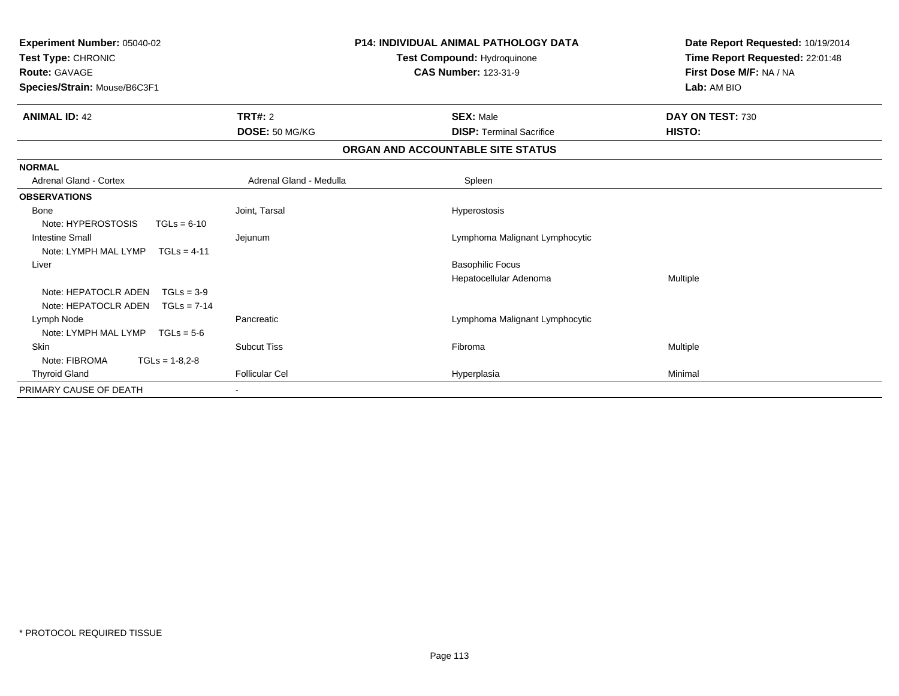| P14: INDIVIDUAL ANIMAL PATHOLOGY DATA<br>Experiment Number: 05040-02<br>Test Type: CHRONIC<br>Test Compound: Hydroquinone<br><b>Route: GAVAGE</b><br><b>CAS Number: 123-31-9</b><br>Species/Strain: Mouse/B6C3F1 |                         |                                   | Date Report Requested: 10/19/2014<br>Time Report Requested: 22:01:48<br>First Dose M/F: NA / NA<br>Lab: AM BIO |
|------------------------------------------------------------------------------------------------------------------------------------------------------------------------------------------------------------------|-------------------------|-----------------------------------|----------------------------------------------------------------------------------------------------------------|
| <b>ANIMAL ID: 42</b>                                                                                                                                                                                             | <b>TRT#: 2</b>          | <b>SEX: Male</b>                  | DAY ON TEST: 730                                                                                               |
|                                                                                                                                                                                                                  | DOSE: 50 MG/KG          | <b>DISP: Terminal Sacrifice</b>   | HISTO:                                                                                                         |
|                                                                                                                                                                                                                  |                         | ORGAN AND ACCOUNTABLE SITE STATUS |                                                                                                                |
| <b>NORMAL</b>                                                                                                                                                                                                    |                         |                                   |                                                                                                                |
| Adrenal Gland - Cortex                                                                                                                                                                                           | Adrenal Gland - Medulla | Spleen                            |                                                                                                                |
| <b>OBSERVATIONS</b>                                                                                                                                                                                              |                         |                                   |                                                                                                                |
| Bone                                                                                                                                                                                                             | Joint, Tarsal           | Hyperostosis                      |                                                                                                                |
| Note: HYPEROSTOSIS<br>$TGLs = 6-10$                                                                                                                                                                              |                         |                                   |                                                                                                                |
| <b>Intestine Small</b>                                                                                                                                                                                           | Jejunum                 | Lymphoma Malignant Lymphocytic    |                                                                                                                |
| Note: LYMPH MAL LYMP<br>$TGLs = 4-11$                                                                                                                                                                            |                         |                                   |                                                                                                                |
| Liver                                                                                                                                                                                                            |                         | <b>Basophilic Focus</b>           |                                                                                                                |
|                                                                                                                                                                                                                  |                         | Hepatocellular Adenoma            | Multiple                                                                                                       |
| Note: HEPATOCLR ADEN<br>$TGLs = 3-9$                                                                                                                                                                             |                         |                                   |                                                                                                                |
| Note: HEPATOCLR ADEN<br>$TGLs = 7-14$                                                                                                                                                                            |                         |                                   |                                                                                                                |
| Lymph Node                                                                                                                                                                                                       | Pancreatic              | Lymphoma Malignant Lymphocytic    |                                                                                                                |
| Note: LYMPH MAL LYMP<br>$TGLs = 5-6$                                                                                                                                                                             |                         |                                   |                                                                                                                |
| Skin                                                                                                                                                                                                             | <b>Subcut Tiss</b>      | Fibroma                           | Multiple                                                                                                       |
| Note: FIBROMA<br>$TGLs = 1-8.2-8$                                                                                                                                                                                |                         |                                   |                                                                                                                |
| <b>Thyroid Gland</b>                                                                                                                                                                                             | <b>Follicular Cel</b>   | Hyperplasia                       | Minimal                                                                                                        |
| PRIMARY CAUSE OF DEATH                                                                                                                                                                                           |                         |                                   |                                                                                                                |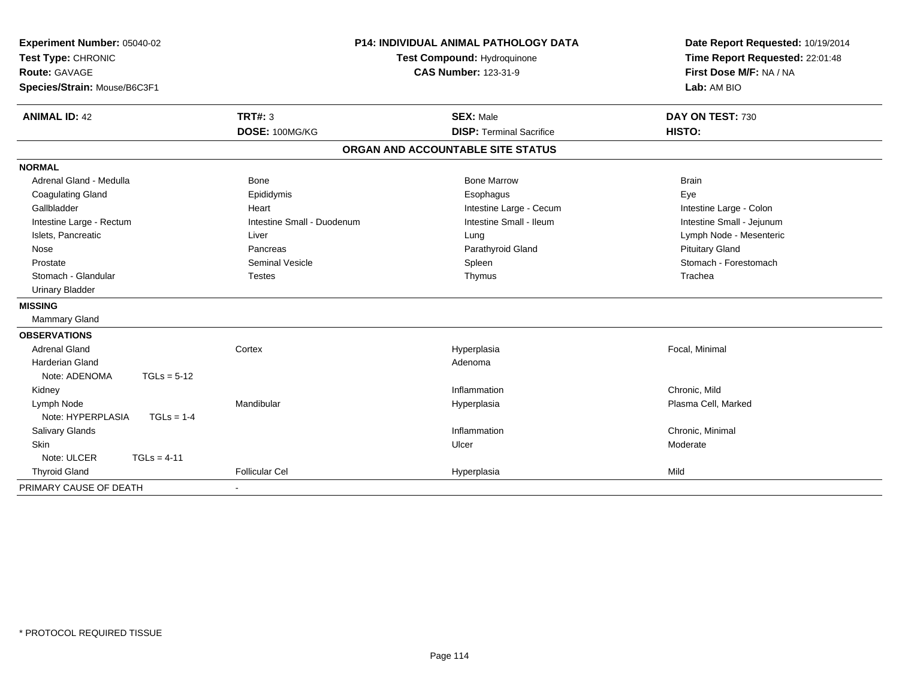| Experiment Number: 05040-02<br>Test Type: CHRONIC<br><b>Route: GAVAGE</b><br>Species/Strain: Mouse/B6C3F1 |                            | <b>P14: INDIVIDUAL ANIMAL PATHOLOGY DATA</b><br>Test Compound: Hydroquinone<br><b>CAS Number: 123-31-9</b> | Date Report Requested: 10/19/2014<br>Time Report Requested: 22:01:48<br>First Dose M/F: NA / NA<br>Lab: AM BIO |  |
|-----------------------------------------------------------------------------------------------------------|----------------------------|------------------------------------------------------------------------------------------------------------|----------------------------------------------------------------------------------------------------------------|--|
| <b>ANIMAL ID: 42</b>                                                                                      | TRT#: 3                    | <b>SEX: Male</b>                                                                                           | DAY ON TEST: 730                                                                                               |  |
|                                                                                                           | DOSE: 100MG/KG             | <b>DISP: Terminal Sacrifice</b>                                                                            | HISTO:                                                                                                         |  |
|                                                                                                           |                            | ORGAN AND ACCOUNTABLE SITE STATUS                                                                          |                                                                                                                |  |
| <b>NORMAL</b>                                                                                             |                            |                                                                                                            |                                                                                                                |  |
| Adrenal Gland - Medulla                                                                                   | <b>Bone</b>                | <b>Bone Marrow</b>                                                                                         | <b>Brain</b>                                                                                                   |  |
| <b>Coagulating Gland</b>                                                                                  | Epididymis                 | Esophagus                                                                                                  | Eye                                                                                                            |  |
| Gallbladder                                                                                               | Heart                      | Intestine Large - Cecum                                                                                    | Intestine Large - Colon                                                                                        |  |
| Intestine Large - Rectum                                                                                  | Intestine Small - Duodenum | Intestine Small - Ileum                                                                                    | Intestine Small - Jejunum                                                                                      |  |
| Islets, Pancreatic                                                                                        | Liver                      | Lung                                                                                                       | Lymph Node - Mesenteric                                                                                        |  |
| Nose                                                                                                      | Pancreas                   | Parathyroid Gland                                                                                          | <b>Pituitary Gland</b>                                                                                         |  |
| Prostate                                                                                                  | <b>Seminal Vesicle</b>     | Spleen                                                                                                     | Stomach - Forestomach                                                                                          |  |
| Stomach - Glandular                                                                                       | <b>Testes</b>              | Thymus                                                                                                     | Trachea                                                                                                        |  |
| <b>Urinary Bladder</b>                                                                                    |                            |                                                                                                            |                                                                                                                |  |
| <b>MISSING</b>                                                                                            |                            |                                                                                                            |                                                                                                                |  |
| Mammary Gland                                                                                             |                            |                                                                                                            |                                                                                                                |  |
| <b>OBSERVATIONS</b>                                                                                       |                            |                                                                                                            |                                                                                                                |  |
| <b>Adrenal Gland</b>                                                                                      | Cortex                     | Hyperplasia                                                                                                | Focal, Minimal                                                                                                 |  |
| <b>Harderian Gland</b>                                                                                    |                            | Adenoma                                                                                                    |                                                                                                                |  |
| Note: ADENOMA<br>$TGLs = 5-12$                                                                            |                            |                                                                                                            |                                                                                                                |  |
| Kidney                                                                                                    |                            | Inflammation                                                                                               | Chronic, Mild                                                                                                  |  |
| Lymph Node                                                                                                | Mandibular                 | Hyperplasia                                                                                                | Plasma Cell, Marked                                                                                            |  |
| Note: HYPERPLASIA<br>$TGLs = 1-4$                                                                         |                            |                                                                                                            |                                                                                                                |  |
| Salivary Glands                                                                                           |                            | Inflammation                                                                                               | Chronic, Minimal                                                                                               |  |
| <b>Skin</b>                                                                                               |                            | Ulcer                                                                                                      | Moderate                                                                                                       |  |
| $TGLs = 4-11$<br>Note: ULCER                                                                              |                            |                                                                                                            |                                                                                                                |  |
| <b>Thyroid Gland</b>                                                                                      | <b>Follicular Cel</b>      | Hyperplasia                                                                                                | Mild                                                                                                           |  |
| PRIMARY CAUSE OF DEATH                                                                                    |                            |                                                                                                            |                                                                                                                |  |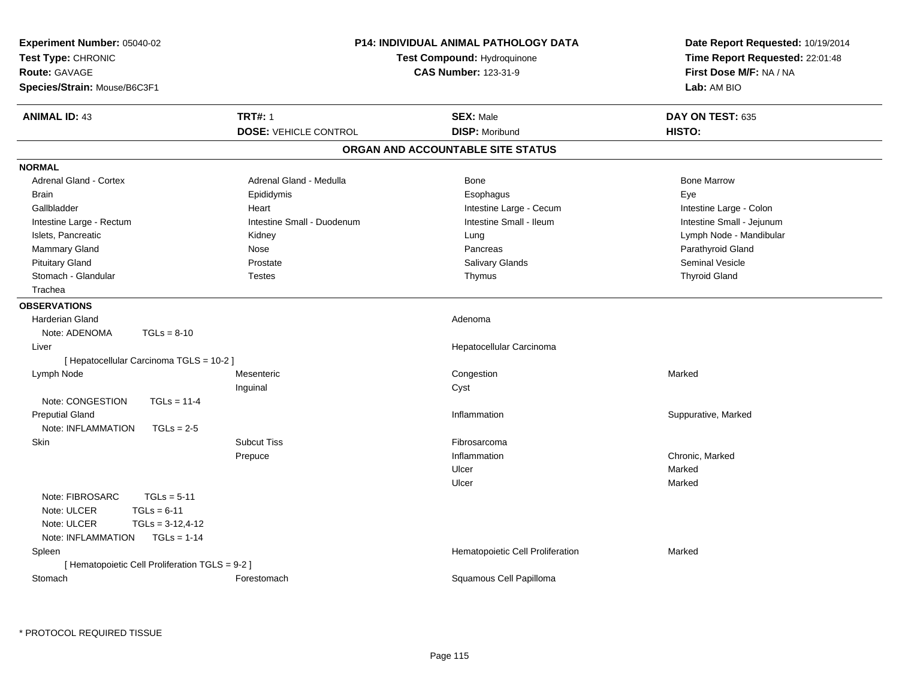| Experiment Number: 05040-02<br>Test Type: CHRONIC<br><b>Route: GAVAGE</b><br>Species/Strain: Mouse/B6C3F1                                     |                                                | P14: INDIVIDUAL ANIMAL PATHOLOGY DATA<br>Test Compound: Hydroquinone<br><b>CAS Number: 123-31-9</b> | Date Report Requested: 10/19/2014<br>Time Report Requested: 22:01:48<br>First Dose M/F: NA / NA<br>Lab: AM BIO |
|-----------------------------------------------------------------------------------------------------------------------------------------------|------------------------------------------------|-----------------------------------------------------------------------------------------------------|----------------------------------------------------------------------------------------------------------------|
| <b>ANIMAL ID: 43</b>                                                                                                                          | <b>TRT#: 1</b><br><b>DOSE: VEHICLE CONTROL</b> | <b>SEX: Male</b><br><b>DISP: Moribund</b>                                                           | DAY ON TEST: 635<br>HISTO:                                                                                     |
|                                                                                                                                               |                                                | ORGAN AND ACCOUNTABLE SITE STATUS                                                                   |                                                                                                                |
| <b>NORMAL</b>                                                                                                                                 |                                                |                                                                                                     |                                                                                                                |
| Adrenal Gland - Cortex                                                                                                                        | Adrenal Gland - Medulla                        | <b>Bone</b>                                                                                         | <b>Bone Marrow</b>                                                                                             |
| <b>Brain</b>                                                                                                                                  | Epididymis                                     | Esophagus                                                                                           | Eye                                                                                                            |
| Gallbladder                                                                                                                                   | Heart                                          | Intestine Large - Cecum                                                                             | Intestine Large - Colon                                                                                        |
| Intestine Large - Rectum                                                                                                                      | Intestine Small - Duodenum                     | Intestine Small - Ileum                                                                             | Intestine Small - Jejunum                                                                                      |
| Islets, Pancreatic                                                                                                                            | Kidney                                         | Lung                                                                                                | Lymph Node - Mandibular                                                                                        |
| Mammary Gland                                                                                                                                 | Nose                                           | Pancreas                                                                                            | Parathyroid Gland                                                                                              |
| <b>Pituitary Gland</b>                                                                                                                        | Prostate                                       | Salivary Glands                                                                                     | <b>Seminal Vesicle</b>                                                                                         |
| Stomach - Glandular                                                                                                                           | <b>Testes</b>                                  | Thymus                                                                                              | <b>Thyroid Gland</b>                                                                                           |
| Trachea                                                                                                                                       |                                                |                                                                                                     |                                                                                                                |
| <b>OBSERVATIONS</b>                                                                                                                           |                                                |                                                                                                     |                                                                                                                |
| <b>Harderian Gland</b>                                                                                                                        |                                                | Adenoma                                                                                             |                                                                                                                |
| Note: ADENOMA<br>$TGLs = 8-10$                                                                                                                |                                                |                                                                                                     |                                                                                                                |
| Liver                                                                                                                                         |                                                | Hepatocellular Carcinoma                                                                            |                                                                                                                |
| [ Hepatocellular Carcinoma TGLS = 10-2 ]                                                                                                      |                                                |                                                                                                     |                                                                                                                |
| Lymph Node                                                                                                                                    | Mesenteric                                     | Congestion                                                                                          | Marked                                                                                                         |
|                                                                                                                                               | Inguinal                                       | Cyst                                                                                                |                                                                                                                |
| Note: CONGESTION<br>$TGLs = 11-4$                                                                                                             |                                                |                                                                                                     |                                                                                                                |
| <b>Preputial Gland</b>                                                                                                                        |                                                | Inflammation                                                                                        | Suppurative, Marked                                                                                            |
| Note: INFLAMMATION<br>$TGLs = 2-5$                                                                                                            |                                                |                                                                                                     |                                                                                                                |
| <b>Skin</b>                                                                                                                                   | <b>Subcut Tiss</b>                             | Fibrosarcoma                                                                                        |                                                                                                                |
|                                                                                                                                               | Prepuce                                        | Inflammation                                                                                        | Chronic, Marked                                                                                                |
|                                                                                                                                               |                                                | Ulcer                                                                                               | Marked                                                                                                         |
|                                                                                                                                               |                                                | Ulcer                                                                                               | Marked                                                                                                         |
| Note: FIBROSARC<br>$TGLs = 5-11$<br>Note: ULCER<br>$TGLs = 6-11$<br>$TGLS = 3-12, 4-12$<br>Note: ULCER<br>$TGLs = 1-14$<br>Note: INFLAMMATION |                                                |                                                                                                     |                                                                                                                |
| Spleen                                                                                                                                        |                                                | Hematopoietic Cell Proliferation                                                                    | Marked                                                                                                         |
| [ Hematopoietic Cell Proliferation TGLS = 9-2 ]                                                                                               |                                                |                                                                                                     |                                                                                                                |
| Stomach                                                                                                                                       | Forestomach                                    | Squamous Cell Papilloma                                                                             |                                                                                                                |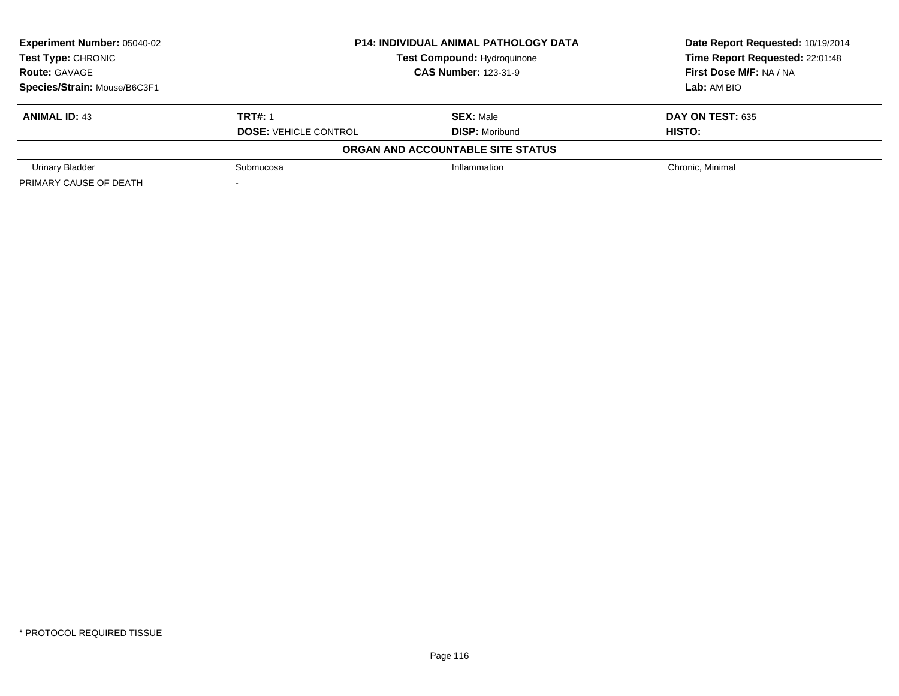| <b>Experiment Number: 05040-02</b> | <b>P14: INDIVIDUAL ANIMAL PATHOLOGY DATA</b> | Date Report Requested: 10/19/2014  |                                 |
|------------------------------------|----------------------------------------------|------------------------------------|---------------------------------|
| Test Type: CHRONIC                 |                                              | <b>Test Compound: Hydroquinone</b> | Time Report Requested: 22:01:48 |
| <b>Route: GAVAGE</b>               | <b>CAS Number: 123-31-9</b>                  |                                    | First Dose M/F: NA / NA         |
| Species/Strain: Mouse/B6C3F1       |                                              | Lab: AM BIO                        |                                 |
| <b>ANIMAL ID: 43</b>               | <b>TRT#: 1</b>                               | <b>SEX: Male</b>                   | DAY ON TEST: 635                |
|                                    | <b>DOSE: VEHICLE CONTROL</b>                 | <b>DISP: Moribund</b>              | HISTO:                          |
|                                    |                                              | ORGAN AND ACCOUNTABLE SITE STATUS  |                                 |
| <b>Urinary Bladder</b>             | Submucosa                                    | Inflammation                       | Chronic, Minimal                |
| PRIMARY CAUSE OF DEATH             |                                              |                                    |                                 |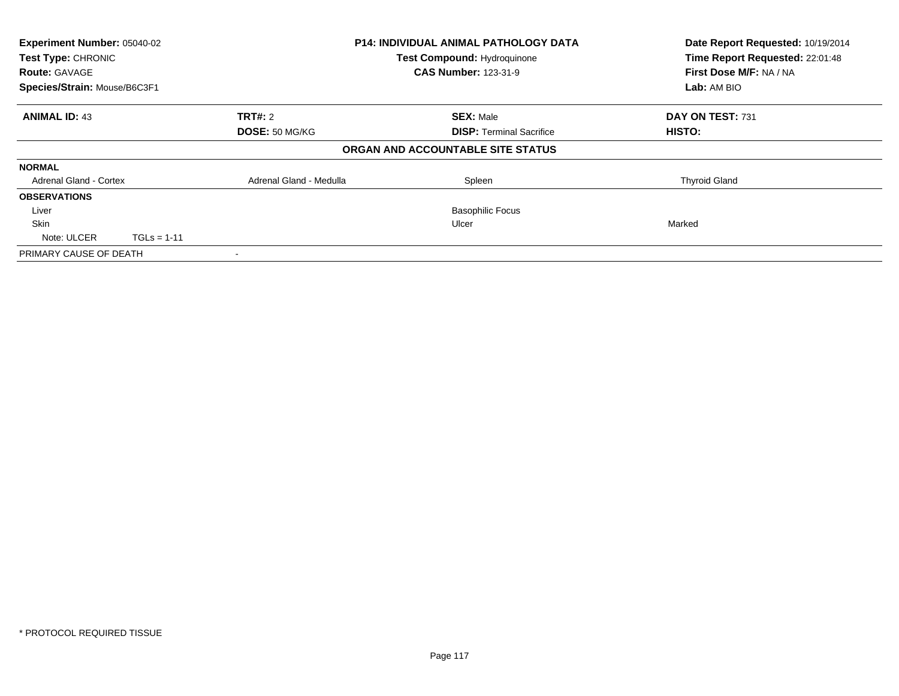| Experiment Number: 05040-02<br>Test Type: CHRONIC<br><b>Route: GAVAGE</b><br>Species/Strain: Mouse/B6C3F1 |                           |                         | <b>P14: INDIVIDUAL ANIMAL PATHOLOGY DATA</b><br><b>Test Compound: Hydroquinone</b><br><b>CAS Number: 123-31-9</b> | Date Report Requested: 10/19/2014<br>Time Report Requested: 22:01:48<br>First Dose M/F: NA / NA<br>Lab: AM BIO |
|-----------------------------------------------------------------------------------------------------------|---------------------------|-------------------------|-------------------------------------------------------------------------------------------------------------------|----------------------------------------------------------------------------------------------------------------|
|                                                                                                           |                           |                         |                                                                                                                   |                                                                                                                |
| <b>ANIMAL ID: 43</b>                                                                                      | TRT#: 2<br>DOSE: 50 MG/KG |                         | <b>SEX: Male</b><br><b>DISP: Terminal Sacrifice</b>                                                               | DAY ON TEST: 731<br><b>HISTO:</b>                                                                              |
|                                                                                                           |                           |                         | ORGAN AND ACCOUNTABLE SITE STATUS                                                                                 |                                                                                                                |
| <b>NORMAL</b>                                                                                             |                           |                         |                                                                                                                   |                                                                                                                |
| <b>Adrenal Gland - Cortex</b>                                                                             |                           | Adrenal Gland - Medulla | Spleen                                                                                                            | <b>Thyroid Gland</b>                                                                                           |
| <b>OBSERVATIONS</b>                                                                                       |                           |                         |                                                                                                                   |                                                                                                                |
| Liver                                                                                                     |                           |                         | <b>Basophilic Focus</b>                                                                                           |                                                                                                                |
| <b>Skin</b>                                                                                               |                           |                         | Ulcer                                                                                                             | Marked                                                                                                         |
| Note: ULCER                                                                                               | $TGLs = 1-11$             |                         |                                                                                                                   |                                                                                                                |
| PRIMARY CAUSE OF DEATH                                                                                    |                           |                         |                                                                                                                   |                                                                                                                |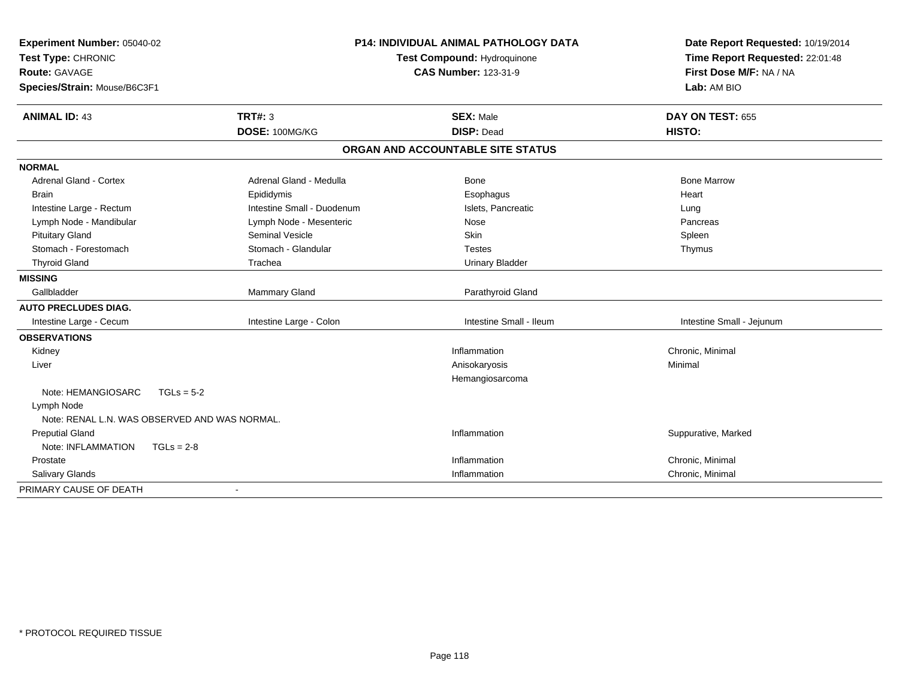| Experiment Number: 05040-02                   | <b>P14: INDIVIDUAL ANIMAL PATHOLOGY DATA</b> |                                   | Date Report Requested: 10/19/2014 |  |
|-----------------------------------------------|----------------------------------------------|-----------------------------------|-----------------------------------|--|
| Test Type: CHRONIC                            |                                              | Test Compound: Hydroquinone       | Time Report Requested: 22:01:48   |  |
| Route: GAVAGE                                 |                                              | <b>CAS Number: 123-31-9</b>       | First Dose M/F: NA / NA           |  |
| Species/Strain: Mouse/B6C3F1                  |                                              |                                   | Lab: AM BIO                       |  |
| <b>ANIMAL ID: 43</b>                          | <b>TRT#: 3</b>                               | <b>SEX: Male</b>                  | DAY ON TEST: 655                  |  |
|                                               | DOSE: 100MG/KG                               | <b>DISP: Dead</b>                 | HISTO:                            |  |
|                                               |                                              | ORGAN AND ACCOUNTABLE SITE STATUS |                                   |  |
| <b>NORMAL</b>                                 |                                              |                                   |                                   |  |
| <b>Adrenal Gland - Cortex</b>                 | Adrenal Gland - Medulla                      | Bone                              | <b>Bone Marrow</b>                |  |
| <b>Brain</b>                                  | Epididymis                                   | Esophagus                         | Heart                             |  |
| Intestine Large - Rectum                      | Intestine Small - Duodenum                   | Islets, Pancreatic                | Lung                              |  |
| Lymph Node - Mandibular                       | Lymph Node - Mesenteric                      | Nose                              | Pancreas                          |  |
| <b>Pituitary Gland</b>                        | <b>Seminal Vesicle</b>                       | Skin                              | Spleen                            |  |
| Stomach - Forestomach                         | Stomach - Glandular                          | <b>Testes</b>                     | Thymus                            |  |
| <b>Thyroid Gland</b>                          | Trachea                                      | <b>Urinary Bladder</b>            |                                   |  |
| <b>MISSING</b>                                |                                              |                                   |                                   |  |
| Gallbladder                                   | Mammary Gland                                | Parathyroid Gland                 |                                   |  |
| <b>AUTO PRECLUDES DIAG.</b>                   |                                              |                                   |                                   |  |
| Intestine Large - Cecum                       | Intestine Large - Colon                      | Intestine Small - Ileum           | Intestine Small - Jejunum         |  |
| <b>OBSERVATIONS</b>                           |                                              |                                   |                                   |  |
| Kidney                                        |                                              | Inflammation                      | Chronic, Minimal                  |  |
| Liver                                         |                                              | Anisokaryosis                     | Minimal                           |  |
|                                               |                                              | Hemangiosarcoma                   |                                   |  |
| Note: HEMANGIOSARC                            | $TGLs = 5-2$                                 |                                   |                                   |  |
| Lymph Node                                    |                                              |                                   |                                   |  |
| Note: RENAL L.N. WAS OBSERVED AND WAS NORMAL. |                                              |                                   |                                   |  |
| <b>Preputial Gland</b>                        |                                              | Inflammation                      | Suppurative, Marked               |  |
| Note: INFLAMMATION                            | $TGLs = 2-8$                                 |                                   |                                   |  |
| Prostate                                      |                                              | Inflammation                      | Chronic, Minimal                  |  |
| <b>Salivary Glands</b>                        |                                              | Inflammation                      | Chronic, Minimal                  |  |
| PRIMARY CAUSE OF DEATH                        | $\blacksquare$                               |                                   |                                   |  |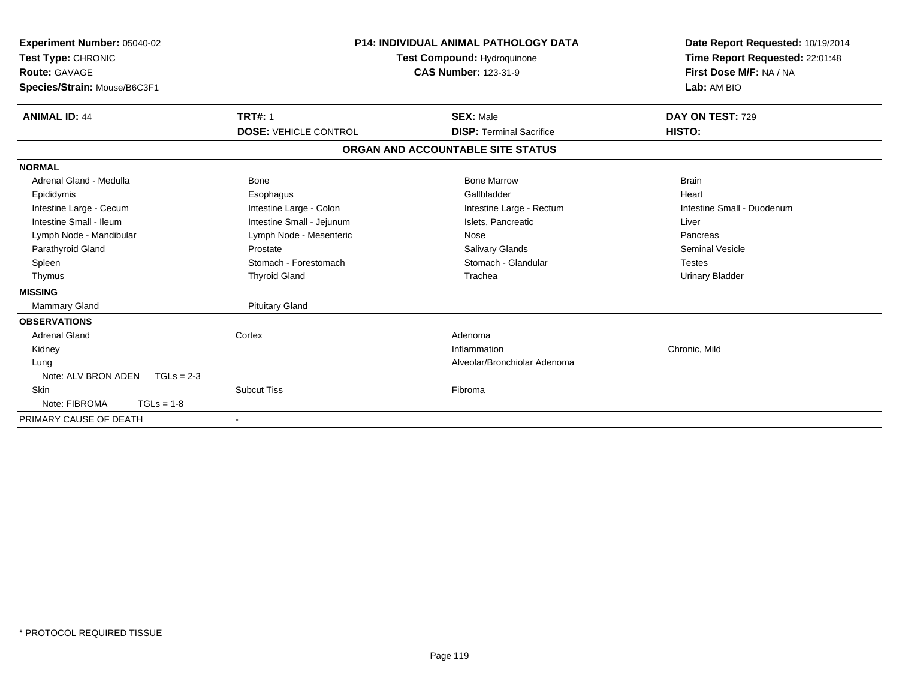| <b>P14: INDIVIDUAL ANIMAL PATHOLOGY DATA</b><br>Experiment Number: 05040-02<br>Test Type: CHRONIC<br><b>Test Compound: Hydroquinone</b><br>Route: GAVAGE<br><b>CAS Number: 123-31-9</b><br>Species/Strain: Mouse/B6C3F1 |                              |                                   | Date Report Requested: 10/19/2014<br>Time Report Requested: 22:01:48<br>First Dose M/F: NA / NA<br>Lab: AM BIO |
|-------------------------------------------------------------------------------------------------------------------------------------------------------------------------------------------------------------------------|------------------------------|-----------------------------------|----------------------------------------------------------------------------------------------------------------|
| <b>ANIMAL ID: 44</b>                                                                                                                                                                                                    | <b>TRT#: 1</b>               | <b>SEX: Male</b>                  | DAY ON TEST: 729                                                                                               |
|                                                                                                                                                                                                                         | <b>DOSE: VEHICLE CONTROL</b> | <b>DISP: Terminal Sacrifice</b>   | HISTO:                                                                                                         |
|                                                                                                                                                                                                                         |                              | ORGAN AND ACCOUNTABLE SITE STATUS |                                                                                                                |
| <b>NORMAL</b>                                                                                                                                                                                                           |                              |                                   |                                                                                                                |
| Adrenal Gland - Medulla                                                                                                                                                                                                 | Bone                         | <b>Bone Marrow</b>                | <b>Brain</b>                                                                                                   |
| Epididymis                                                                                                                                                                                                              | Esophagus                    | Gallbladder                       | Heart                                                                                                          |
| Intestine Large - Cecum                                                                                                                                                                                                 | Intestine Large - Colon      | Intestine Large - Rectum          | Intestine Small - Duodenum                                                                                     |
| Intestine Small - Ileum                                                                                                                                                                                                 | Intestine Small - Jejunum    | Islets, Pancreatic                | Liver                                                                                                          |
| Lymph Node - Mandibular                                                                                                                                                                                                 | Lymph Node - Mesenteric      | Nose                              | Pancreas                                                                                                       |
| Parathyroid Gland                                                                                                                                                                                                       | Prostate                     | Salivary Glands                   | <b>Seminal Vesicle</b>                                                                                         |
| Spleen                                                                                                                                                                                                                  | Stomach - Forestomach        | Stomach - Glandular               | <b>Testes</b>                                                                                                  |
| Thymus                                                                                                                                                                                                                  | <b>Thyroid Gland</b>         | Trachea                           | <b>Urinary Bladder</b>                                                                                         |
| <b>MISSING</b>                                                                                                                                                                                                          |                              |                                   |                                                                                                                |
| <b>Mammary Gland</b>                                                                                                                                                                                                    | <b>Pituitary Gland</b>       |                                   |                                                                                                                |
| <b>OBSERVATIONS</b>                                                                                                                                                                                                     |                              |                                   |                                                                                                                |
| <b>Adrenal Gland</b>                                                                                                                                                                                                    | Cortex                       | Adenoma                           |                                                                                                                |
| Kidney                                                                                                                                                                                                                  |                              | Inflammation                      | Chronic, Mild                                                                                                  |
| Lung                                                                                                                                                                                                                    |                              | Alveolar/Bronchiolar Adenoma      |                                                                                                                |
| Note: ALV BRON ADEN<br>$TGLs = 2-3$                                                                                                                                                                                     |                              |                                   |                                                                                                                |
| Skin                                                                                                                                                                                                                    | <b>Subcut Tiss</b>           | Fibroma                           |                                                                                                                |
| Note: FIBROMA<br>$TGLs = 1-8$                                                                                                                                                                                           |                              |                                   |                                                                                                                |
| PRIMARY CAUSE OF DEATH                                                                                                                                                                                                  |                              |                                   |                                                                                                                |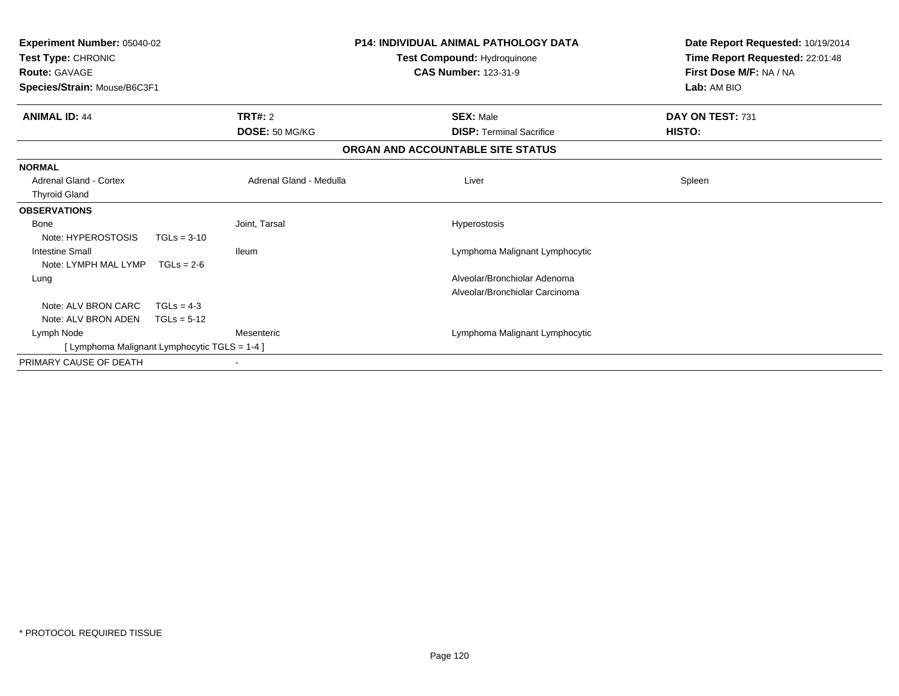| <b>Experiment Number: 05040-02</b><br>Test Type: CHRONIC<br><b>Route: GAVAGE</b><br>Species/Strain: Mouse/B6C3F1 |               |                         | <b>P14: INDIVIDUAL ANIMAL PATHOLOGY DATA</b><br>Test Compound: Hydroquinone<br><b>CAS Number: 123-31-9</b> | Date Report Requested: 10/19/2014<br>Time Report Requested: 22:01:48<br>First Dose M/F: NA / NA<br>Lab: AM BIO |
|------------------------------------------------------------------------------------------------------------------|---------------|-------------------------|------------------------------------------------------------------------------------------------------------|----------------------------------------------------------------------------------------------------------------|
| <b>ANIMAL ID: 44</b>                                                                                             |               | TRT#: 2                 | <b>SEX: Male</b>                                                                                           | DAY ON TEST: 731                                                                                               |
|                                                                                                                  |               | DOSE: 50 MG/KG          | <b>DISP: Terminal Sacrifice</b>                                                                            | <b>HISTO:</b>                                                                                                  |
|                                                                                                                  |               |                         | ORGAN AND ACCOUNTABLE SITE STATUS                                                                          |                                                                                                                |
| <b>NORMAL</b>                                                                                                    |               |                         |                                                                                                            |                                                                                                                |
| <b>Adrenal Gland - Cortex</b>                                                                                    |               | Adrenal Gland - Medulla | Liver                                                                                                      | Spleen                                                                                                         |
| <b>Thyroid Gland</b>                                                                                             |               |                         |                                                                                                            |                                                                                                                |
| <b>OBSERVATIONS</b>                                                                                              |               |                         |                                                                                                            |                                                                                                                |
| Bone                                                                                                             |               | Joint. Tarsal           | Hyperostosis                                                                                               |                                                                                                                |
| Note: HYPEROSTOSIS                                                                                               | $TGLs = 3-10$ |                         |                                                                                                            |                                                                                                                |
| <b>Intestine Small</b>                                                                                           |               | <b>Ileum</b>            | Lymphoma Malignant Lymphocytic                                                                             |                                                                                                                |
| Note: LYMPH MAL LYMP                                                                                             | $TGLs = 2-6$  |                         |                                                                                                            |                                                                                                                |
| Lung                                                                                                             |               |                         | Alveolar/Bronchiolar Adenoma                                                                               |                                                                                                                |
|                                                                                                                  |               |                         | Alveolar/Bronchiolar Carcinoma                                                                             |                                                                                                                |
| Note: ALV BRON CARC                                                                                              | $TGLs = 4-3$  |                         |                                                                                                            |                                                                                                                |
| Note: ALV BRON ADEN                                                                                              | $TGLs = 5-12$ |                         |                                                                                                            |                                                                                                                |
| Lymph Node                                                                                                       |               | Mesenteric              | Lymphoma Malignant Lymphocytic                                                                             |                                                                                                                |
| [ Lymphoma Malignant Lymphocytic TGLS = 1-4 ]                                                                    |               |                         |                                                                                                            |                                                                                                                |
| PRIMARY CAUSE OF DEATH                                                                                           |               |                         |                                                                                                            |                                                                                                                |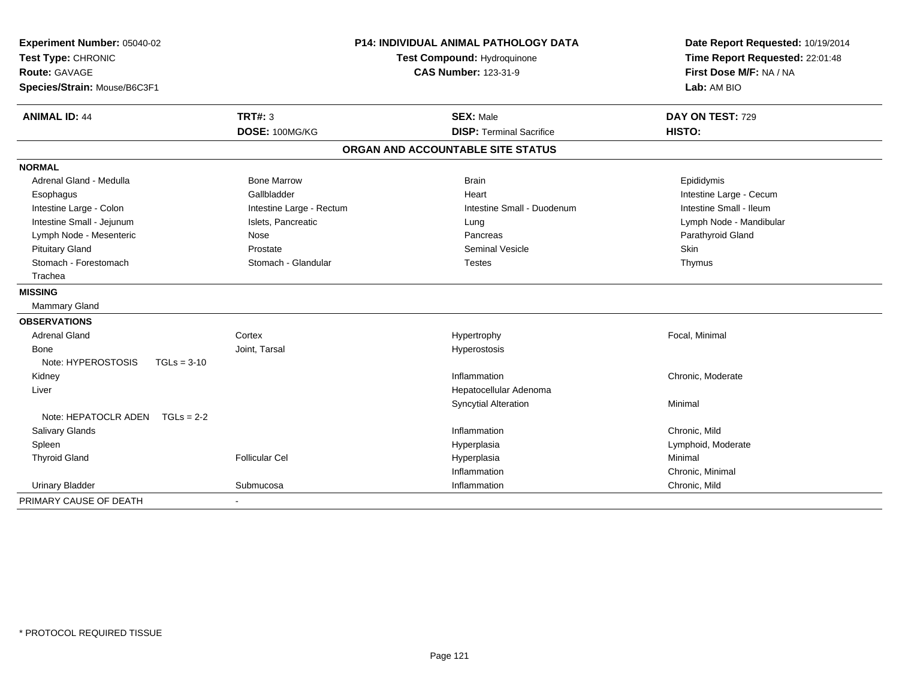| Experiment Number: 05040-02<br>Test Type: CHRONIC<br><b>Route: GAVAGE</b><br>Species/Strain: Mouse/B6C3F1 | P14: INDIVIDUAL ANIMAL PATHOLOGY DATA<br>Test Compound: Hydroquinone<br><b>CAS Number: 123-31-9</b> |                                   | Date Report Requested: 10/19/2014<br>Time Report Requested: 22:01:48<br>First Dose M/F: NA / NA<br>Lab: AM BIO |
|-----------------------------------------------------------------------------------------------------------|-----------------------------------------------------------------------------------------------------|-----------------------------------|----------------------------------------------------------------------------------------------------------------|
| <b>ANIMAL ID: 44</b>                                                                                      | TRT#: 3                                                                                             | <b>SEX: Male</b>                  | DAY ON TEST: 729                                                                                               |
|                                                                                                           | DOSE: 100MG/KG                                                                                      | <b>DISP: Terminal Sacrifice</b>   | HISTO:                                                                                                         |
|                                                                                                           |                                                                                                     | ORGAN AND ACCOUNTABLE SITE STATUS |                                                                                                                |
| <b>NORMAL</b>                                                                                             |                                                                                                     |                                   |                                                                                                                |
| Adrenal Gland - Medulla                                                                                   | <b>Bone Marrow</b>                                                                                  | <b>Brain</b>                      | Epididymis                                                                                                     |
| Esophagus                                                                                                 | Gallbladder                                                                                         | Heart                             | Intestine Large - Cecum                                                                                        |
| Intestine Large - Colon                                                                                   | Intestine Large - Rectum                                                                            | Intestine Small - Duodenum        | Intestine Small - Ileum                                                                                        |
| Intestine Small - Jejunum                                                                                 | Islets, Pancreatic                                                                                  | Lung                              | Lymph Node - Mandibular                                                                                        |
| Lymph Node - Mesenteric                                                                                   | Nose                                                                                                | Pancreas                          | Parathyroid Gland                                                                                              |
| <b>Pituitary Gland</b>                                                                                    | Prostate                                                                                            | Seminal Vesicle                   | Skin                                                                                                           |
| Stomach - Forestomach                                                                                     | Stomach - Glandular                                                                                 | <b>Testes</b>                     | Thymus                                                                                                         |
| Trachea                                                                                                   |                                                                                                     |                                   |                                                                                                                |
| <b>MISSING</b>                                                                                            |                                                                                                     |                                   |                                                                                                                |
| Mammary Gland                                                                                             |                                                                                                     |                                   |                                                                                                                |
| <b>OBSERVATIONS</b>                                                                                       |                                                                                                     |                                   |                                                                                                                |
| Adrenal Gland                                                                                             | Cortex                                                                                              | Hypertrophy                       | Focal, Minimal                                                                                                 |
| Bone                                                                                                      | Joint, Tarsal                                                                                       | Hyperostosis                      |                                                                                                                |
| Note: HYPEROSTOSIS<br>$TGLs = 3-10$                                                                       |                                                                                                     |                                   |                                                                                                                |
| Kidney                                                                                                    |                                                                                                     | Inflammation                      | Chronic, Moderate                                                                                              |
| Liver                                                                                                     |                                                                                                     | Hepatocellular Adenoma            |                                                                                                                |
|                                                                                                           |                                                                                                     | <b>Syncytial Alteration</b>       | Minimal                                                                                                        |
| Note: HEPATOCLR ADEN $TGLs = 2-2$                                                                         |                                                                                                     |                                   |                                                                                                                |
| Salivary Glands                                                                                           |                                                                                                     | Inflammation                      | Chronic, Mild                                                                                                  |
| Spleen                                                                                                    |                                                                                                     | Hyperplasia                       | Lymphoid, Moderate                                                                                             |
| <b>Thyroid Gland</b>                                                                                      | <b>Follicular Cel</b>                                                                               | Hyperplasia                       | Minimal                                                                                                        |
|                                                                                                           |                                                                                                     | Inflammation                      | Chronic, Minimal                                                                                               |
| <b>Urinary Bladder</b>                                                                                    | Submucosa                                                                                           | Inflammation                      | Chronic, Mild                                                                                                  |
| PRIMARY CAUSE OF DEATH                                                                                    |                                                                                                     |                                   |                                                                                                                |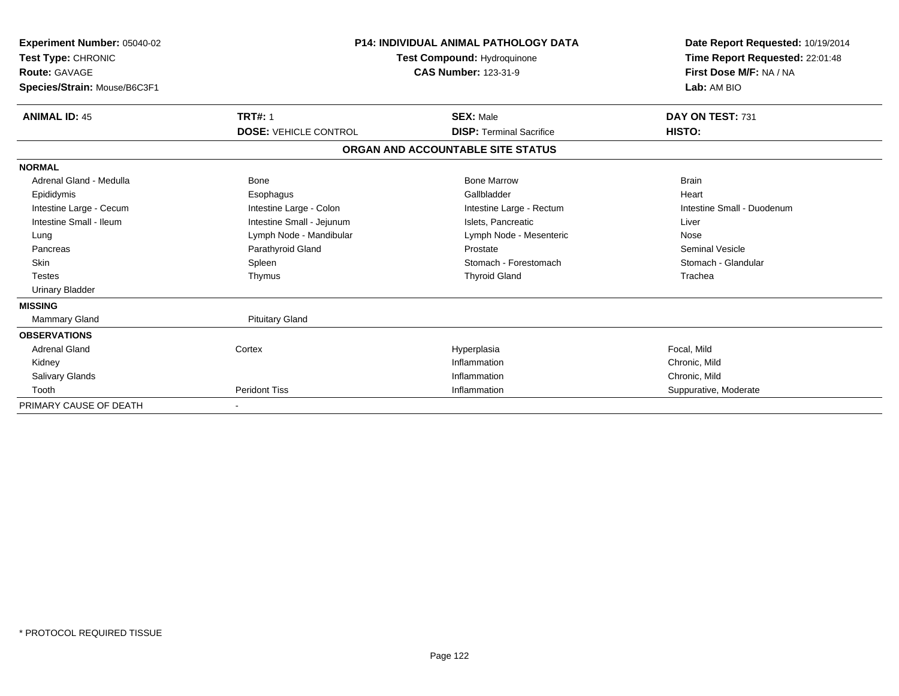| Experiment Number: 05040-02<br>Test Type: CHRONIC<br>Route: GAVAGE<br>Species/Strain: Mouse/B6C3F1 |                              | <b>P14: INDIVIDUAL ANIMAL PATHOLOGY DATA</b><br>Test Compound: Hydroquinone<br><b>CAS Number: 123-31-9</b> | Date Report Requested: 10/19/2014<br>Time Report Requested: 22:01:48<br>First Dose M/F: NA / NA<br>Lab: AM BIO |
|----------------------------------------------------------------------------------------------------|------------------------------|------------------------------------------------------------------------------------------------------------|----------------------------------------------------------------------------------------------------------------|
| <b>ANIMAL ID: 45</b>                                                                               | <b>TRT#: 1</b>               | <b>SEX: Male</b>                                                                                           | DAY ON TEST: 731                                                                                               |
|                                                                                                    | <b>DOSE: VEHICLE CONTROL</b> | <b>DISP: Terminal Sacrifice</b>                                                                            | HISTO:                                                                                                         |
|                                                                                                    |                              | ORGAN AND ACCOUNTABLE SITE STATUS                                                                          |                                                                                                                |
| <b>NORMAL</b>                                                                                      |                              |                                                                                                            |                                                                                                                |
| Adrenal Gland - Medulla                                                                            | <b>Bone</b>                  | <b>Bone Marrow</b>                                                                                         | <b>Brain</b>                                                                                                   |
| Epididymis                                                                                         | Esophagus                    | Gallbladder                                                                                                | Heart                                                                                                          |
| Intestine Large - Cecum                                                                            | Intestine Large - Colon      | Intestine Large - Rectum                                                                                   | Intestine Small - Duodenum                                                                                     |
| Intestine Small - Ileum                                                                            | Intestine Small - Jejunum    | Islets, Pancreatic                                                                                         | Liver                                                                                                          |
| Lung                                                                                               | Lymph Node - Mandibular      | Lymph Node - Mesenteric                                                                                    | Nose                                                                                                           |
| Pancreas                                                                                           | Parathyroid Gland            | Prostate                                                                                                   | <b>Seminal Vesicle</b>                                                                                         |
| <b>Skin</b>                                                                                        | Spleen                       | Stomach - Forestomach                                                                                      | Stomach - Glandular                                                                                            |
| <b>Testes</b>                                                                                      | Thymus                       | <b>Thyroid Gland</b>                                                                                       | Trachea                                                                                                        |
| <b>Urinary Bladder</b>                                                                             |                              |                                                                                                            |                                                                                                                |
| <b>MISSING</b>                                                                                     |                              |                                                                                                            |                                                                                                                |
| <b>Mammary Gland</b>                                                                               | <b>Pituitary Gland</b>       |                                                                                                            |                                                                                                                |
| <b>OBSERVATIONS</b>                                                                                |                              |                                                                                                            |                                                                                                                |
| <b>Adrenal Gland</b>                                                                               | Cortex                       | Hyperplasia                                                                                                | Focal, Mild                                                                                                    |
| Kidney                                                                                             |                              | Inflammation                                                                                               | Chronic, Mild                                                                                                  |
| <b>Salivary Glands</b>                                                                             |                              | Inflammation                                                                                               | Chronic, Mild                                                                                                  |
| Tooth                                                                                              | <b>Peridont Tiss</b>         | Inflammation                                                                                               | Suppurative, Moderate                                                                                          |
| PRIMARY CAUSE OF DEATH                                                                             |                              |                                                                                                            |                                                                                                                |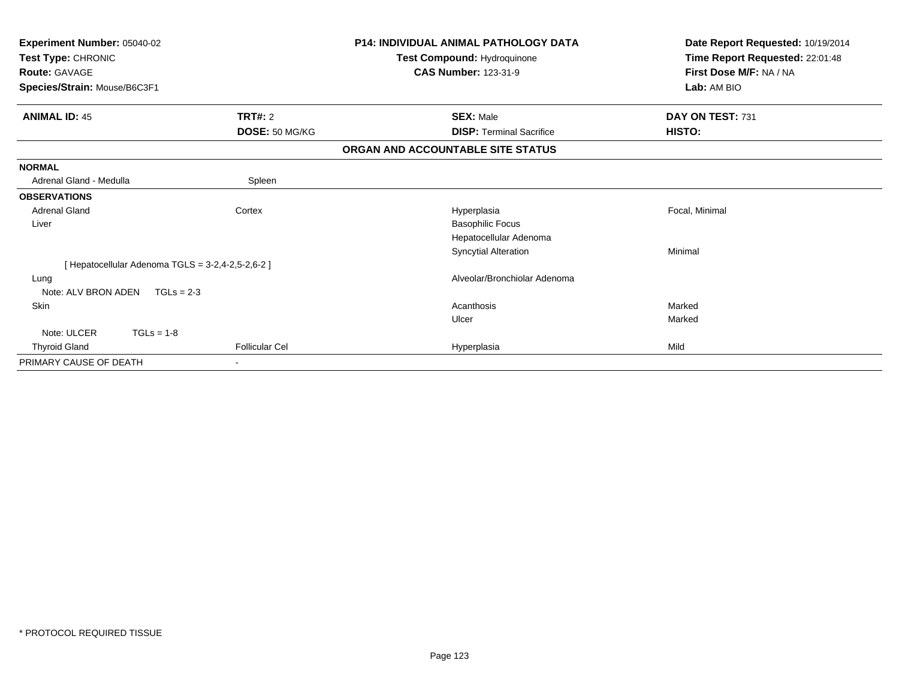| Experiment Number: 05040-02  |                                                 | <b>P14: INDIVIDUAL ANIMAL PATHOLOGY DATA</b> | Date Report Requested: 10/19/2014 |
|------------------------------|-------------------------------------------------|----------------------------------------------|-----------------------------------|
| Test Type: CHRONIC           |                                                 | Test Compound: Hydroquinone                  | Time Report Requested: 22:01:48   |
| <b>Route: GAVAGE</b>         |                                                 | <b>CAS Number: 123-31-9</b>                  | First Dose M/F: NA / NA           |
| Species/Strain: Mouse/B6C3F1 |                                                 |                                              | Lab: AM BIO                       |
| <b>ANIMAL ID: 45</b>         | <b>TRT#: 2</b>                                  | <b>SEX: Male</b>                             | DAY ON TEST: 731                  |
|                              | DOSE: 50 MG/KG                                  | <b>DISP:</b> Terminal Sacrifice              | HISTO:                            |
|                              |                                                 | ORGAN AND ACCOUNTABLE SITE STATUS            |                                   |
| <b>NORMAL</b>                |                                                 |                                              |                                   |
| Adrenal Gland - Medulla      | Spleen                                          |                                              |                                   |
| <b>OBSERVATIONS</b>          |                                                 |                                              |                                   |
| <b>Adrenal Gland</b>         | Cortex                                          | Hyperplasia                                  | Focal, Minimal                    |
| Liver                        |                                                 | <b>Basophilic Focus</b>                      |                                   |
|                              |                                                 | Hepatocellular Adenoma                       |                                   |
|                              |                                                 | <b>Syncytial Alteration</b>                  | Minimal                           |
|                              | [Hepatocellular Adenoma TGLS = 3-2,4-2,5-2,6-2] |                                              |                                   |
| Lung                         |                                                 | Alveolar/Bronchiolar Adenoma                 |                                   |
| Note: ALV BRON ADEN          | $TGLs = 2-3$                                    |                                              |                                   |
| Skin                         |                                                 | Acanthosis                                   | Marked                            |
|                              |                                                 | Ulcer                                        | Marked                            |
| Note: ULCER<br>$TGLs = 1-8$  |                                                 |                                              |                                   |
| <b>Thyroid Gland</b>         | <b>Follicular Cel</b>                           | Hyperplasia                                  | Mild                              |
| PRIMARY CAUSE OF DEATH       |                                                 |                                              |                                   |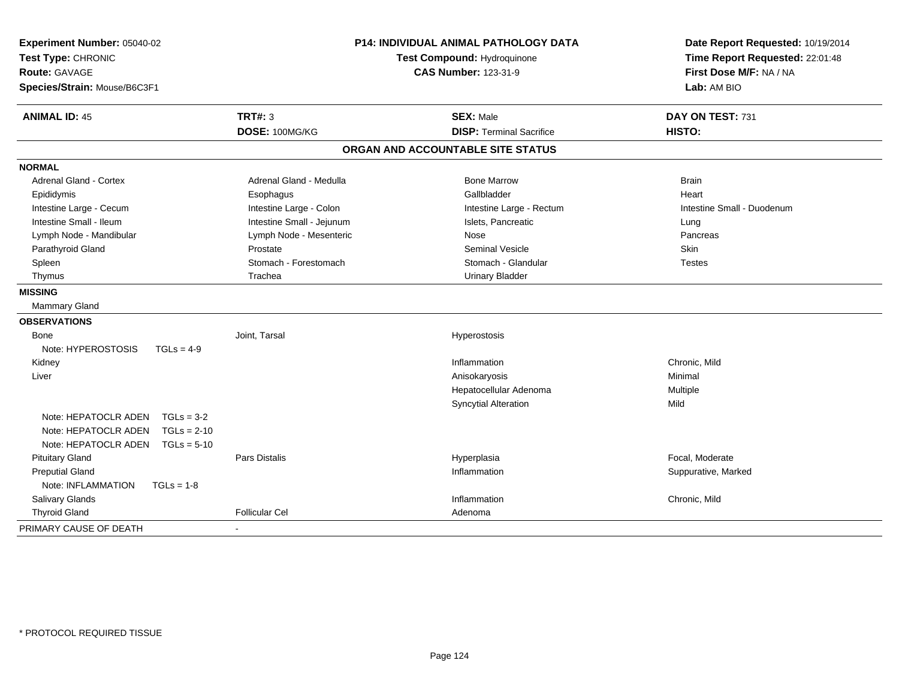| Experiment Number: 05040-02<br>Test Type: CHRONIC<br><b>Route: GAVAGE</b><br>Species/Strain: Mouse/B6C3F1                                                                                                                                                                            |                                                                                                                                                                                          | <b>P14: INDIVIDUAL ANIMAL PATHOLOGY DATA</b><br>Test Compound: Hydroquinone<br><b>CAS Number: 123-31-9</b>                                                                             | Date Report Requested: 10/19/2014<br>Time Report Requested: 22:01:48<br>First Dose M/F: NA / NA<br>Lab: AM BIO |  |
|--------------------------------------------------------------------------------------------------------------------------------------------------------------------------------------------------------------------------------------------------------------------------------------|------------------------------------------------------------------------------------------------------------------------------------------------------------------------------------------|----------------------------------------------------------------------------------------------------------------------------------------------------------------------------------------|----------------------------------------------------------------------------------------------------------------|--|
| <b>ANIMAL ID: 45</b>                                                                                                                                                                                                                                                                 | <b>TRT#: 3</b><br>DOSE: 100MG/KG                                                                                                                                                         | <b>SEX: Male</b><br><b>DISP: Terminal Sacrifice</b>                                                                                                                                    | DAY ON TEST: 731<br>HISTO:                                                                                     |  |
|                                                                                                                                                                                                                                                                                      |                                                                                                                                                                                          | ORGAN AND ACCOUNTABLE SITE STATUS                                                                                                                                                      |                                                                                                                |  |
| <b>NORMAL</b>                                                                                                                                                                                                                                                                        |                                                                                                                                                                                          |                                                                                                                                                                                        |                                                                                                                |  |
| <b>Adrenal Gland - Cortex</b><br>Epididymis<br>Intestine Large - Cecum<br>Intestine Small - Ileum<br>Lymph Node - Mandibular<br>Parathyroid Gland<br>Spleen<br>Thymus<br><b>MISSING</b><br><b>Mammary Gland</b><br><b>OBSERVATIONS</b><br>Bone<br>Note: HYPEROSTOSIS<br>$TGLs = 4-9$ | Adrenal Gland - Medulla<br>Esophagus<br>Intestine Large - Colon<br>Intestine Small - Jejunum<br>Lymph Node - Mesenteric<br>Prostate<br>Stomach - Forestomach<br>Trachea<br>Joint, Tarsal | <b>Bone Marrow</b><br>Gallbladder<br>Intestine Large - Rectum<br>Islets, Pancreatic<br>Nose<br><b>Seminal Vesicle</b><br>Stomach - Glandular<br><b>Urinary Bladder</b><br>Hyperostosis | <b>Brain</b><br>Heart<br>Intestine Small - Duodenum<br>Lung<br>Pancreas<br><b>Skin</b><br><b>Testes</b>        |  |
| Kidney<br>Liver<br>Note: HEPATOCLR ADEN<br>$TGLs = 3-2$<br>Note: HEPATOCLR ADEN<br>$TGLs = 2-10$<br>Note: HEPATOCLR ADEN<br>$TGLs = 5-10$<br><b>Pituitary Gland</b><br><b>Preputial Gland</b><br>Note: INFLAMMATION<br>$TGLs = 1-8$<br>Salivary Glands                               | <b>Pars Distalis</b><br><b>Follicular Cel</b>                                                                                                                                            | Inflammation<br>Anisokaryosis<br>Hepatocellular Adenoma<br><b>Syncytial Alteration</b><br>Hyperplasia<br>Inflammation<br>Inflammation                                                  | Chronic, Mild<br>Minimal<br>Multiple<br>Mild<br>Focal, Moderate<br>Suppurative, Marked<br>Chronic, Mild        |  |
| <b>Thyroid Gland</b>                                                                                                                                                                                                                                                                 |                                                                                                                                                                                          | Adenoma                                                                                                                                                                                |                                                                                                                |  |
| PRIMARY CAUSE OF DEATH                                                                                                                                                                                                                                                               |                                                                                                                                                                                          |                                                                                                                                                                                        |                                                                                                                |  |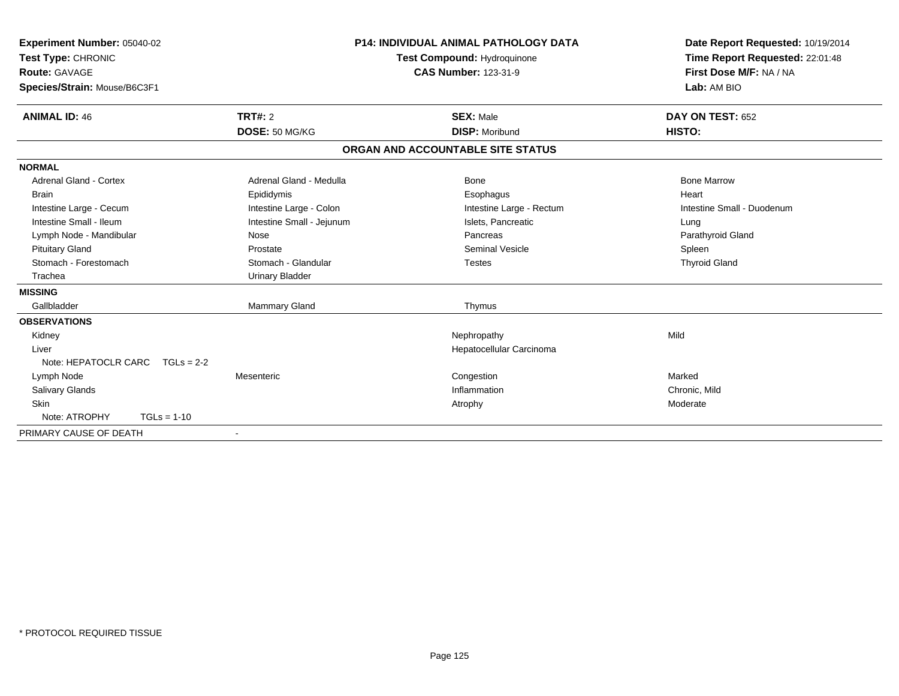| Experiment Number: 05040-02<br>Test Type: CHRONIC<br><b>Route: GAVAGE</b><br>Species/Strain: Mouse/B6C3F1 |                           | <b>P14: INDIVIDUAL ANIMAL PATHOLOGY DATA</b><br>Test Compound: Hydroquinone<br><b>CAS Number: 123-31-9</b> | Date Report Requested: 10/19/2014<br>Time Report Requested: 22:01:48<br>First Dose M/F: NA / NA<br>Lab: AM BIO |
|-----------------------------------------------------------------------------------------------------------|---------------------------|------------------------------------------------------------------------------------------------------------|----------------------------------------------------------------------------------------------------------------|
| <b>ANIMAL ID: 46</b>                                                                                      | <b>TRT#: 2</b>            | <b>SEX: Male</b>                                                                                           | DAY ON TEST: 652                                                                                               |
|                                                                                                           | DOSE: 50 MG/KG            | <b>DISP: Moribund</b>                                                                                      | HISTO:                                                                                                         |
|                                                                                                           |                           | ORGAN AND ACCOUNTABLE SITE STATUS                                                                          |                                                                                                                |
| <b>NORMAL</b>                                                                                             |                           |                                                                                                            |                                                                                                                |
| <b>Adrenal Gland - Cortex</b>                                                                             | Adrenal Gland - Medulla   | <b>Bone</b>                                                                                                | <b>Bone Marrow</b>                                                                                             |
| <b>Brain</b>                                                                                              | Epididymis                | Esophagus                                                                                                  | Heart                                                                                                          |
| Intestine Large - Cecum                                                                                   | Intestine Large - Colon   | Intestine Large - Rectum                                                                                   | Intestine Small - Duodenum                                                                                     |
| Intestine Small - Ileum                                                                                   | Intestine Small - Jejunum | Islets, Pancreatic                                                                                         | Lung                                                                                                           |
| Lymph Node - Mandibular                                                                                   | Nose                      | Pancreas                                                                                                   | Parathyroid Gland                                                                                              |
| <b>Pituitary Gland</b>                                                                                    | Prostate                  | <b>Seminal Vesicle</b>                                                                                     | Spleen                                                                                                         |
| Stomach - Forestomach                                                                                     | Stomach - Glandular       | <b>Testes</b>                                                                                              | <b>Thyroid Gland</b>                                                                                           |
| Trachea                                                                                                   | <b>Urinary Bladder</b>    |                                                                                                            |                                                                                                                |
| <b>MISSING</b>                                                                                            |                           |                                                                                                            |                                                                                                                |
| Gallbladder                                                                                               | <b>Mammary Gland</b>      | Thymus                                                                                                     |                                                                                                                |
| <b>OBSERVATIONS</b>                                                                                       |                           |                                                                                                            |                                                                                                                |
| Kidney                                                                                                    |                           | Nephropathy                                                                                                | Mild                                                                                                           |
| Liver                                                                                                     |                           | Hepatocellular Carcinoma                                                                                   |                                                                                                                |
| Note: HEPATOCLR CARC<br>$TGLs = 2-2$                                                                      |                           |                                                                                                            |                                                                                                                |
| Lymph Node                                                                                                | Mesenteric                | Congestion                                                                                                 | Marked                                                                                                         |
| <b>Salivary Glands</b>                                                                                    |                           | Inflammation                                                                                               | Chronic, Mild                                                                                                  |
| <b>Skin</b>                                                                                               |                           | Atrophy                                                                                                    | Moderate                                                                                                       |
| Note: ATROPHY<br>$TGLs = 1-10$                                                                            |                           |                                                                                                            |                                                                                                                |
| PRIMARY CAUSE OF DEATH                                                                                    | $\blacksquare$            |                                                                                                            |                                                                                                                |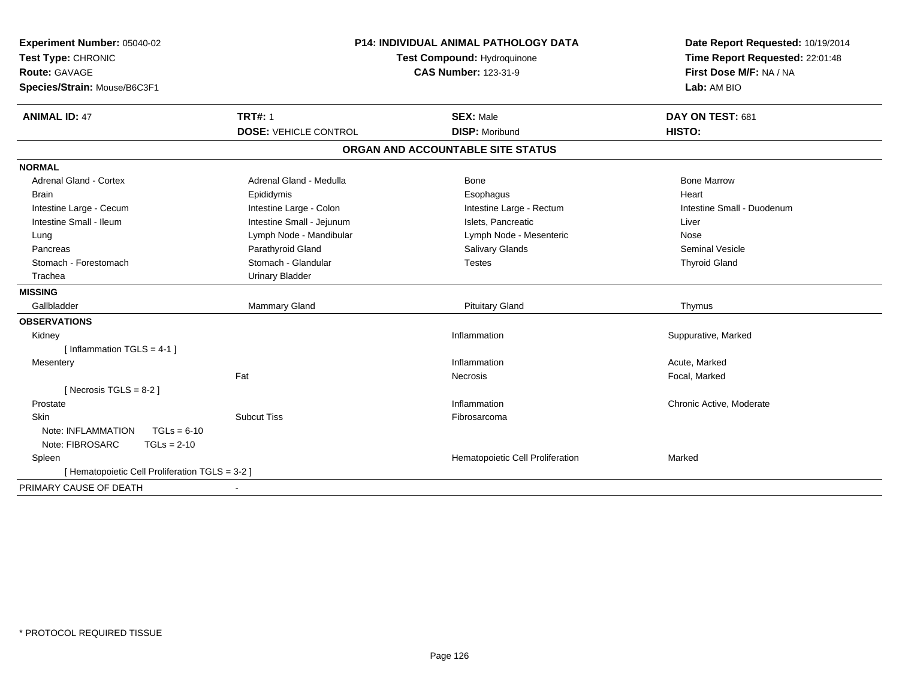| Experiment Number: 05040-02<br>Test Type: CHRONIC<br><b>Route: GAVAGE</b><br>Species/Strain: Mouse/B6C3F1 | <b>P14: INDIVIDUAL ANIMAL PATHOLOGY DATA</b><br>Test Compound: Hydroquinone<br><b>CAS Number: 123-31-9</b> |                                   | Date Report Requested: 10/19/2014<br>Time Report Requested: 22:01:48<br>First Dose M/F: NA / NA<br>Lab: AM BIO |
|-----------------------------------------------------------------------------------------------------------|------------------------------------------------------------------------------------------------------------|-----------------------------------|----------------------------------------------------------------------------------------------------------------|
| <b>ANIMAL ID: 47</b>                                                                                      | <b>TRT#: 1</b>                                                                                             | <b>SEX: Male</b>                  | DAY ON TEST: 681                                                                                               |
|                                                                                                           | <b>DOSE: VEHICLE CONTROL</b>                                                                               | <b>DISP: Moribund</b>             | HISTO:                                                                                                         |
|                                                                                                           |                                                                                                            | ORGAN AND ACCOUNTABLE SITE STATUS |                                                                                                                |
| <b>NORMAL</b>                                                                                             |                                                                                                            |                                   |                                                                                                                |
| <b>Adrenal Gland - Cortex</b>                                                                             | Adrenal Gland - Medulla                                                                                    | Bone                              | <b>Bone Marrow</b>                                                                                             |
| Brain                                                                                                     | Epididymis                                                                                                 | Esophagus                         | Heart                                                                                                          |
| Intestine Large - Cecum                                                                                   | Intestine Large - Colon                                                                                    | Intestine Large - Rectum          | Intestine Small - Duodenum                                                                                     |
| Intestine Small - Ileum                                                                                   | Intestine Small - Jejunum                                                                                  | Islets, Pancreatic                | Liver                                                                                                          |
| Lung                                                                                                      | Lymph Node - Mandibular                                                                                    | Lymph Node - Mesenteric           | Nose                                                                                                           |
| Pancreas                                                                                                  | Parathyroid Gland                                                                                          | <b>Salivary Glands</b>            | <b>Seminal Vesicle</b>                                                                                         |
| Stomach - Forestomach                                                                                     | Stomach - Glandular                                                                                        | <b>Testes</b>                     | <b>Thyroid Gland</b>                                                                                           |
| Trachea                                                                                                   | <b>Urinary Bladder</b>                                                                                     |                                   |                                                                                                                |
| <b>MISSING</b>                                                                                            |                                                                                                            |                                   |                                                                                                                |
| Gallbladder                                                                                               | Mammary Gland                                                                                              | <b>Pituitary Gland</b>            | Thymus                                                                                                         |
| <b>OBSERVATIONS</b>                                                                                       |                                                                                                            |                                   |                                                                                                                |
| Kidney                                                                                                    |                                                                                                            | Inflammation                      | Suppurative, Marked                                                                                            |
| [Inflammation TGLS = $4-1$ ]                                                                              |                                                                                                            |                                   |                                                                                                                |
| Mesentery                                                                                                 |                                                                                                            | Inflammation                      | Acute, Marked                                                                                                  |
|                                                                                                           | Fat                                                                                                        | <b>Necrosis</b>                   | Focal, Marked                                                                                                  |
| [ Necrosis TGLS = $8-2$ ]                                                                                 |                                                                                                            |                                   |                                                                                                                |
| Prostate                                                                                                  |                                                                                                            | Inflammation                      | Chronic Active, Moderate                                                                                       |
| Skin                                                                                                      | <b>Subcut Tiss</b>                                                                                         | Fibrosarcoma                      |                                                                                                                |
| Note: INFLAMMATION<br>$TGLs = 6-10$                                                                       |                                                                                                            |                                   |                                                                                                                |
| Note: FIBROSARC<br>$TGLs = 2-10$                                                                          |                                                                                                            |                                   |                                                                                                                |
| Spleen                                                                                                    |                                                                                                            | Hematopoietic Cell Proliferation  | Marked                                                                                                         |
| [ Hematopoietic Cell Proliferation TGLS = 3-2 ]                                                           |                                                                                                            |                                   |                                                                                                                |
| PRIMARY CAUSE OF DEATH                                                                                    |                                                                                                            |                                   |                                                                                                                |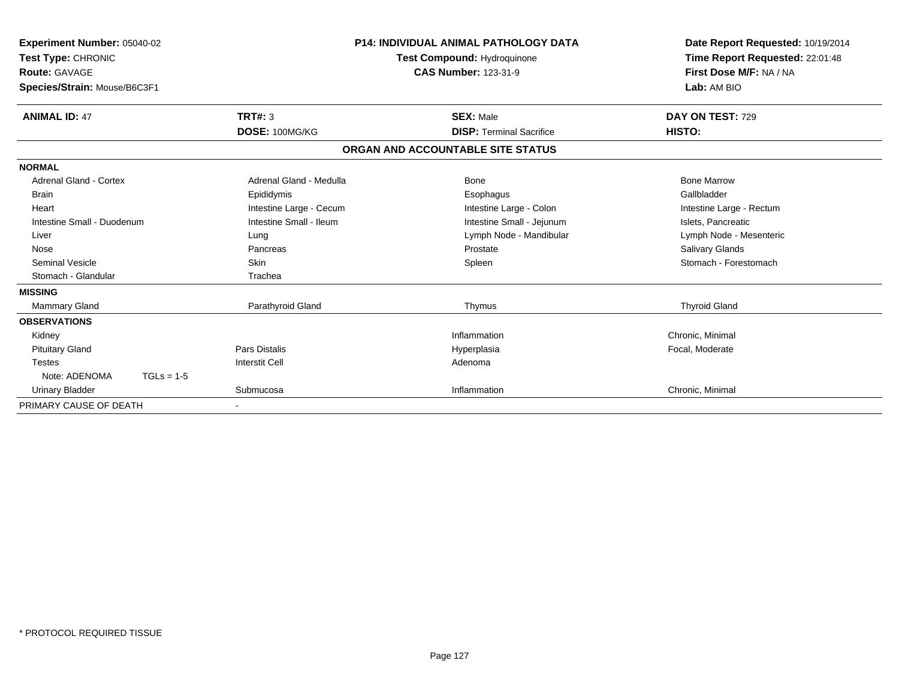| Experiment Number: 05040-02<br>Test Type: CHRONIC<br>Route: GAVAGE<br>Species/Strain: Mouse/B6C3F1 |              | <b>P14: INDIVIDUAL ANIMAL PATHOLOGY DATA</b><br>Test Compound: Hydroquinone<br><b>CAS Number: 123-31-9</b> |  |                                   | Date Report Requested: 10/19/2014<br>Time Report Requested: 22:01:48<br>First Dose M/F: NA / NA<br>Lab: AM BIO |  |
|----------------------------------------------------------------------------------------------------|--------------|------------------------------------------------------------------------------------------------------------|--|-----------------------------------|----------------------------------------------------------------------------------------------------------------|--|
| <b>ANIMAL ID: 47</b>                                                                               |              | TRT#: 3                                                                                                    |  | <b>SEX: Male</b>                  | DAY ON TEST: 729                                                                                               |  |
|                                                                                                    |              | DOSE: 100MG/KG                                                                                             |  | <b>DISP: Terminal Sacrifice</b>   | HISTO:                                                                                                         |  |
|                                                                                                    |              |                                                                                                            |  | ORGAN AND ACCOUNTABLE SITE STATUS |                                                                                                                |  |
| <b>NORMAL</b>                                                                                      |              |                                                                                                            |  |                                   |                                                                                                                |  |
| <b>Adrenal Gland - Cortex</b>                                                                      |              | Adrenal Gland - Medulla                                                                                    |  | Bone                              | <b>Bone Marrow</b>                                                                                             |  |
| Brain                                                                                              |              | Epididymis                                                                                                 |  | Esophagus                         | Gallbladder                                                                                                    |  |
| Heart                                                                                              |              | Intestine Large - Cecum                                                                                    |  | Intestine Large - Colon           | Intestine Large - Rectum                                                                                       |  |
| Intestine Small - Duodenum                                                                         |              | Intestine Small - Ileum                                                                                    |  | Intestine Small - Jejunum         | Islets, Pancreatic                                                                                             |  |
| Liver                                                                                              |              | Lung                                                                                                       |  | Lymph Node - Mandibular           | Lymph Node - Mesenteric                                                                                        |  |
| Nose                                                                                               |              | Pancreas                                                                                                   |  | Prostate                          | <b>Salivary Glands</b>                                                                                         |  |
| <b>Seminal Vesicle</b>                                                                             |              | Skin                                                                                                       |  | Spleen                            | Stomach - Forestomach                                                                                          |  |
| Stomach - Glandular                                                                                |              | Trachea                                                                                                    |  |                                   |                                                                                                                |  |
| <b>MISSING</b>                                                                                     |              |                                                                                                            |  |                                   |                                                                                                                |  |
| <b>Mammary Gland</b>                                                                               |              | Parathyroid Gland                                                                                          |  | Thymus                            | <b>Thyroid Gland</b>                                                                                           |  |
| <b>OBSERVATIONS</b>                                                                                |              |                                                                                                            |  |                                   |                                                                                                                |  |
| Kidney                                                                                             |              |                                                                                                            |  | Inflammation                      | Chronic, Minimal                                                                                               |  |
| <b>Pituitary Gland</b>                                                                             |              | <b>Pars Distalis</b>                                                                                       |  | Hyperplasia                       | Focal, Moderate                                                                                                |  |
| <b>Testes</b>                                                                                      |              | <b>Interstit Cell</b>                                                                                      |  | Adenoma                           |                                                                                                                |  |
| Note: ADENOMA                                                                                      | $TGLs = 1-5$ |                                                                                                            |  |                                   |                                                                                                                |  |
| <b>Urinary Bladder</b>                                                                             |              | Submucosa                                                                                                  |  | Inflammation                      | Chronic, Minimal                                                                                               |  |
| PRIMARY CAUSE OF DEATH                                                                             |              |                                                                                                            |  |                                   |                                                                                                                |  |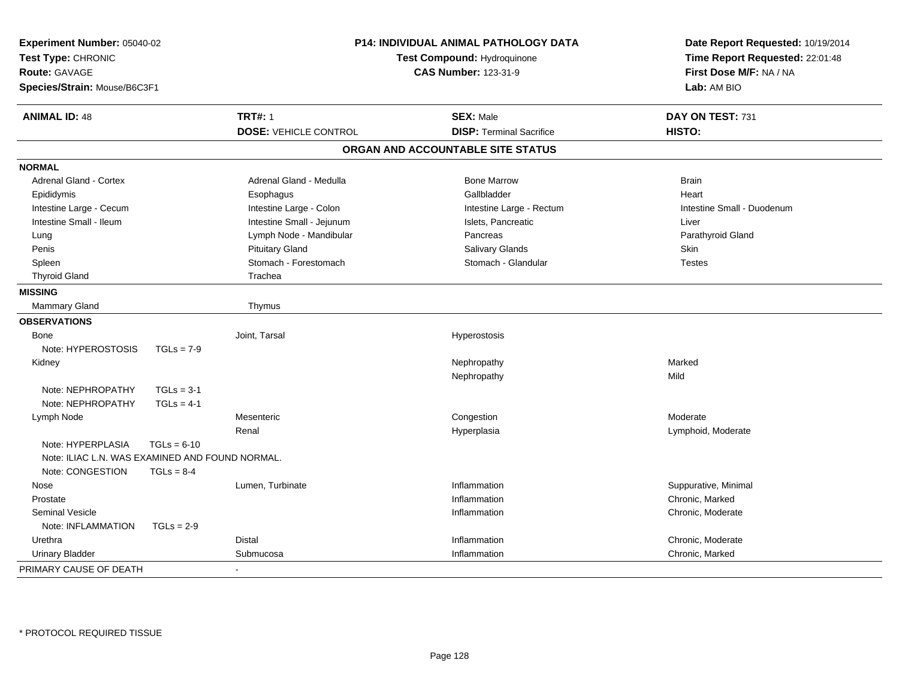| Experiment Number: 05040-02<br>Test Type: CHRONIC<br><b>Route: GAVAGE</b><br>Species/Strain: Mouse/B6C3F1 |               | P14: INDIVIDUAL ANIMAL PATHOLOGY DATA<br>Test Compound: Hydroquinone<br><b>CAS Number: 123-31-9</b> |                                   | Date Report Requested: 10/19/2014<br>Time Report Requested: 22:01:48<br>First Dose M/F: NA / NA<br>Lab: AM BIO |  |
|-----------------------------------------------------------------------------------------------------------|---------------|-----------------------------------------------------------------------------------------------------|-----------------------------------|----------------------------------------------------------------------------------------------------------------|--|
| <b>ANIMAL ID: 48</b>                                                                                      |               | <b>TRT#: 1</b>                                                                                      | <b>SEX: Male</b>                  | DAY ON TEST: 731                                                                                               |  |
|                                                                                                           |               | <b>DOSE: VEHICLE CONTROL</b>                                                                        | <b>DISP: Terminal Sacrifice</b>   | HISTO:                                                                                                         |  |
|                                                                                                           |               |                                                                                                     | ORGAN AND ACCOUNTABLE SITE STATUS |                                                                                                                |  |
| <b>NORMAL</b>                                                                                             |               |                                                                                                     |                                   |                                                                                                                |  |
| <b>Adrenal Gland - Cortex</b>                                                                             |               | Adrenal Gland - Medulla                                                                             | <b>Bone Marrow</b>                | <b>Brain</b>                                                                                                   |  |
| Epididymis                                                                                                |               | Esophagus                                                                                           | Gallbladder                       | Heart                                                                                                          |  |
| Intestine Large - Cecum                                                                                   |               | Intestine Large - Colon                                                                             | Intestine Large - Rectum          | Intestine Small - Duodenum                                                                                     |  |
| Intestine Small - Ileum                                                                                   |               | Intestine Small - Jejunum                                                                           | Islets, Pancreatic                | Liver                                                                                                          |  |
| Lung                                                                                                      |               | Lymph Node - Mandibular                                                                             | Pancreas                          | Parathyroid Gland                                                                                              |  |
| Penis                                                                                                     |               | <b>Pituitary Gland</b>                                                                              | <b>Salivary Glands</b>            | Skin                                                                                                           |  |
| Spleen                                                                                                    |               | Stomach - Forestomach                                                                               | Stomach - Glandular               | <b>Testes</b>                                                                                                  |  |
| <b>Thyroid Gland</b>                                                                                      |               | Trachea                                                                                             |                                   |                                                                                                                |  |
| <b>MISSING</b>                                                                                            |               |                                                                                                     |                                   |                                                                                                                |  |
| Mammary Gland                                                                                             |               | Thymus                                                                                              |                                   |                                                                                                                |  |
| <b>OBSERVATIONS</b>                                                                                       |               |                                                                                                     |                                   |                                                                                                                |  |
| Bone                                                                                                      |               | Joint, Tarsal                                                                                       | Hyperostosis                      |                                                                                                                |  |
| Note: HYPEROSTOSIS                                                                                        | $TGLs = 7-9$  |                                                                                                     |                                   |                                                                                                                |  |
| Kidney                                                                                                    |               |                                                                                                     | Nephropathy                       | Marked                                                                                                         |  |
|                                                                                                           |               |                                                                                                     | Nephropathy                       | Mild                                                                                                           |  |
| Note: NEPHROPATHY                                                                                         | $TGLs = 3-1$  |                                                                                                     |                                   |                                                                                                                |  |
| Note: NEPHROPATHY                                                                                         | $TGLs = 4-1$  |                                                                                                     |                                   |                                                                                                                |  |
| Lymph Node                                                                                                |               | Mesenteric                                                                                          | Congestion                        | Moderate                                                                                                       |  |
|                                                                                                           |               | Renal                                                                                               | Hyperplasia                       | Lymphoid, Moderate                                                                                             |  |
| Note: HYPERPLASIA                                                                                         | $TGLs = 6-10$ |                                                                                                     |                                   |                                                                                                                |  |
| Note: ILIAC L.N. WAS EXAMINED AND FOUND NORMAL.                                                           |               |                                                                                                     |                                   |                                                                                                                |  |
| Note: CONGESTION                                                                                          | $TGLs = 8-4$  |                                                                                                     |                                   |                                                                                                                |  |
| Nose                                                                                                      |               | Lumen, Turbinate                                                                                    | Inflammation                      | Suppurative, Minimal                                                                                           |  |
| Prostate                                                                                                  |               |                                                                                                     | Inflammation                      | Chronic, Marked                                                                                                |  |
| <b>Seminal Vesicle</b>                                                                                    |               |                                                                                                     | Inflammation                      | Chronic, Moderate                                                                                              |  |
| Note: INFLAMMATION                                                                                        | $TGLs = 2-9$  |                                                                                                     |                                   |                                                                                                                |  |
| Urethra                                                                                                   |               | <b>Distal</b>                                                                                       | Inflammation                      | Chronic, Moderate                                                                                              |  |
| <b>Urinary Bladder</b>                                                                                    |               | Submucosa                                                                                           | Inflammation                      | Chronic, Marked                                                                                                |  |
| PRIMARY CAUSE OF DEATH                                                                                    |               |                                                                                                     |                                   |                                                                                                                |  |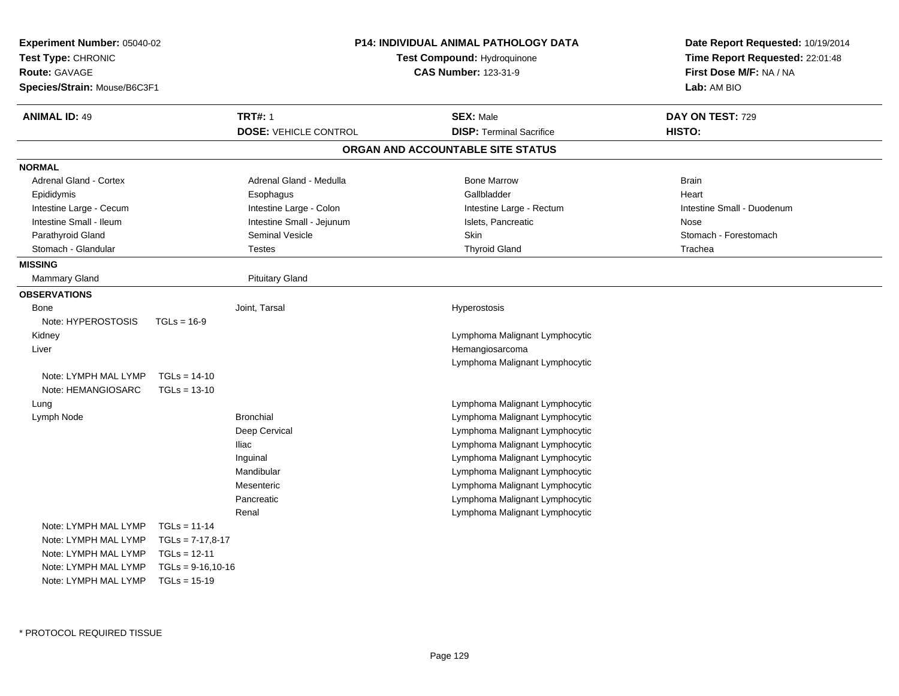| Experiment Number: 05040-02<br>Test Type: CHRONIC<br><b>Route: GAVAGE</b><br>Species/Strain: Mouse/B6C3F1 |                      |                              | <b>P14: INDIVIDUAL ANIMAL PATHOLOGY DATA</b><br>Test Compound: Hydroquinone<br><b>CAS Number: 123-31-9</b> |                                   | Date Report Requested: 10/19/2014<br>Time Report Requested: 22:01:48<br>First Dose M/F: NA / NA<br>Lab: AM BIO |
|-----------------------------------------------------------------------------------------------------------|----------------------|------------------------------|------------------------------------------------------------------------------------------------------------|-----------------------------------|----------------------------------------------------------------------------------------------------------------|
| <b>ANIMAL ID: 49</b>                                                                                      |                      | <b>TRT#: 1</b>               |                                                                                                            | <b>SEX: Male</b>                  | DAY ON TEST: 729                                                                                               |
|                                                                                                           |                      | <b>DOSE: VEHICLE CONTROL</b> |                                                                                                            | <b>DISP: Terminal Sacrifice</b>   | HISTO:                                                                                                         |
|                                                                                                           |                      |                              |                                                                                                            | ORGAN AND ACCOUNTABLE SITE STATUS |                                                                                                                |
| <b>NORMAL</b>                                                                                             |                      |                              |                                                                                                            |                                   |                                                                                                                |
| <b>Adrenal Gland - Cortex</b>                                                                             |                      | Adrenal Gland - Medulla      |                                                                                                            | <b>Bone Marrow</b>                | <b>Brain</b>                                                                                                   |
| Epididymis                                                                                                |                      | Esophagus                    |                                                                                                            | Gallbladder                       | Heart                                                                                                          |
| Intestine Large - Cecum                                                                                   |                      | Intestine Large - Colon      |                                                                                                            | Intestine Large - Rectum          | Intestine Small - Duodenum                                                                                     |
| Intestine Small - Ileum                                                                                   |                      | Intestine Small - Jejunum    |                                                                                                            | Islets, Pancreatic                | Nose                                                                                                           |
| Parathyroid Gland                                                                                         |                      | Seminal Vesicle              |                                                                                                            | Skin                              | Stomach - Forestomach                                                                                          |
| Stomach - Glandular                                                                                       |                      | <b>Testes</b>                |                                                                                                            | <b>Thyroid Gland</b>              | Trachea                                                                                                        |
| <b>MISSING</b>                                                                                            |                      |                              |                                                                                                            |                                   |                                                                                                                |
| Mammary Gland                                                                                             |                      | <b>Pituitary Gland</b>       |                                                                                                            |                                   |                                                                                                                |
| <b>OBSERVATIONS</b>                                                                                       |                      |                              |                                                                                                            |                                   |                                                                                                                |
| Bone                                                                                                      |                      | Joint, Tarsal                |                                                                                                            | Hyperostosis                      |                                                                                                                |
| Note: HYPEROSTOSIS                                                                                        | $TGLs = 16-9$        |                              |                                                                                                            |                                   |                                                                                                                |
| Kidney                                                                                                    |                      |                              |                                                                                                            | Lymphoma Malignant Lymphocytic    |                                                                                                                |
| Liver                                                                                                     |                      |                              |                                                                                                            | Hemangiosarcoma                   |                                                                                                                |
|                                                                                                           |                      |                              |                                                                                                            | Lymphoma Malignant Lymphocytic    |                                                                                                                |
| Note: LYMPH MAL LYMP                                                                                      | $TGLs = 14-10$       |                              |                                                                                                            |                                   |                                                                                                                |
| Note: HEMANGIOSARC                                                                                        | $TGLs = 13-10$       |                              |                                                                                                            |                                   |                                                                                                                |
| Lung                                                                                                      |                      |                              |                                                                                                            | Lymphoma Malignant Lymphocytic    |                                                                                                                |
| Lymph Node                                                                                                |                      | <b>Bronchial</b>             |                                                                                                            | Lymphoma Malignant Lymphocytic    |                                                                                                                |
|                                                                                                           |                      | Deep Cervical                |                                                                                                            | Lymphoma Malignant Lymphocytic    |                                                                                                                |
|                                                                                                           |                      | <b>Iliac</b>                 |                                                                                                            | Lymphoma Malignant Lymphocytic    |                                                                                                                |
|                                                                                                           |                      | Inguinal                     |                                                                                                            | Lymphoma Malignant Lymphocytic    |                                                                                                                |
|                                                                                                           |                      | Mandibular                   |                                                                                                            | Lymphoma Malignant Lymphocytic    |                                                                                                                |
|                                                                                                           |                      | Mesenteric                   |                                                                                                            | Lymphoma Malignant Lymphocytic    |                                                                                                                |
|                                                                                                           |                      | Pancreatic                   |                                                                                                            | Lymphoma Malignant Lymphocytic    |                                                                                                                |
|                                                                                                           |                      | Renal                        |                                                                                                            | Lymphoma Malignant Lymphocytic    |                                                                                                                |
| Note: LYMPH MAL LYMP                                                                                      | $TGLs = 11-14$       |                              |                                                                                                            |                                   |                                                                                                                |
| Note: LYMPH MAL LYMP                                                                                      | $TGLs = 7-17,8-17$   |                              |                                                                                                            |                                   |                                                                                                                |
| Note: LYMPH MAL LYMP                                                                                      | $TGLs = 12-11$       |                              |                                                                                                            |                                   |                                                                                                                |
| Note: LYMPH MAL LYMP                                                                                      | $TGLs = 9-16, 10-16$ |                              |                                                                                                            |                                   |                                                                                                                |
| Note: LYMPH MAL LYMP                                                                                      | $TGLs = 15-19$       |                              |                                                                                                            |                                   |                                                                                                                |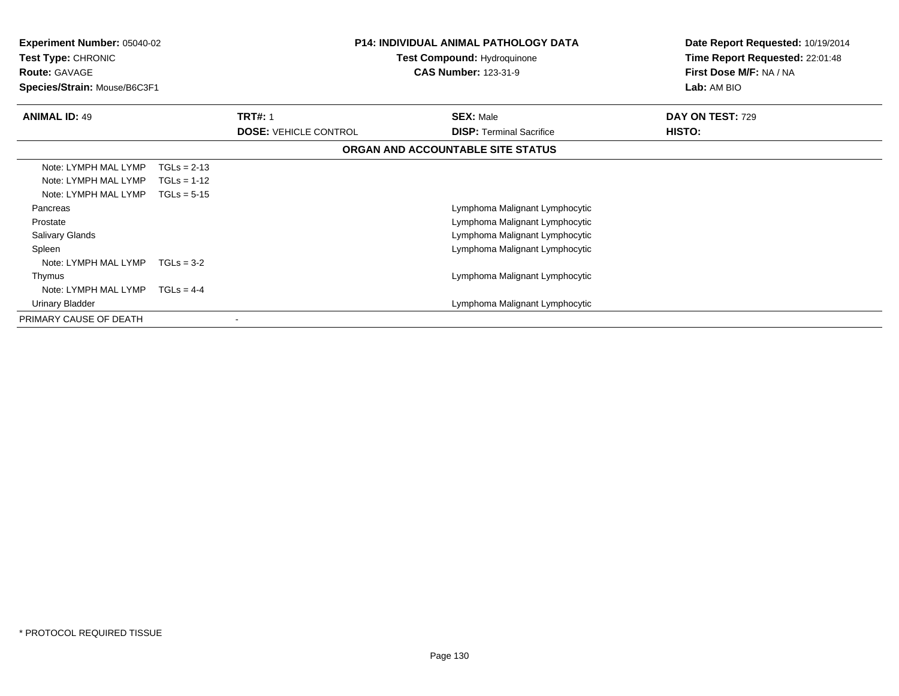| <b>Experiment Number: 05040-02</b><br>Test Type: CHRONIC<br><b>Route: GAVAGE</b><br>Species/Strain: Mouse/B6C3F1 | <b>P14: INDIVIDUAL ANIMAL PATHOLOGY DATA</b><br><b>Test Compound: Hydroquinone</b><br><b>CAS Number: 123-31-9</b> |                              | Date Report Requested: 10/19/2014<br>Time Report Requested: 22:01:48<br>First Dose M/F: NA / NA<br>Lab: AM BIO |                  |
|------------------------------------------------------------------------------------------------------------------|-------------------------------------------------------------------------------------------------------------------|------------------------------|----------------------------------------------------------------------------------------------------------------|------------------|
| <b>ANIMAL ID: 49</b>                                                                                             |                                                                                                                   | <b>TRT#: 1</b>               | <b>SEX: Male</b>                                                                                               | DAY ON TEST: 729 |
|                                                                                                                  |                                                                                                                   | <b>DOSE: VEHICLE CONTROL</b> | <b>DISP:</b> Terminal Sacrifice                                                                                | <b>HISTO:</b>    |
|                                                                                                                  |                                                                                                                   |                              | ORGAN AND ACCOUNTABLE SITE STATUS                                                                              |                  |
| Note: LYMPH MAL LYMP                                                                                             | $TGLs = 2-13$                                                                                                     |                              |                                                                                                                |                  |
| Note: LYMPH MAL LYMP                                                                                             | $TGLs = 1-12$                                                                                                     |                              |                                                                                                                |                  |
| Note: LYMPH MAL LYMP                                                                                             | $TGLs = 5-15$                                                                                                     |                              |                                                                                                                |                  |
| Pancreas                                                                                                         |                                                                                                                   |                              | Lymphoma Malignant Lymphocytic                                                                                 |                  |
| Prostate                                                                                                         |                                                                                                                   |                              | Lymphoma Malignant Lymphocytic                                                                                 |                  |
| Salivary Glands                                                                                                  |                                                                                                                   |                              | Lymphoma Malignant Lymphocytic                                                                                 |                  |
| Spleen                                                                                                           |                                                                                                                   |                              | Lymphoma Malignant Lymphocytic                                                                                 |                  |
| Note: LYMPH MAL LYMP                                                                                             | $TGLs = 3-2$                                                                                                      |                              |                                                                                                                |                  |
| Thymus                                                                                                           |                                                                                                                   |                              | Lymphoma Malignant Lymphocytic                                                                                 |                  |
| Note: LYMPH MAL LYMP                                                                                             | $TGLS = 4-4$                                                                                                      |                              |                                                                                                                |                  |
| Urinary Bladder                                                                                                  |                                                                                                                   |                              | Lymphoma Malignant Lymphocytic                                                                                 |                  |
| PRIMARY CAUSE OF DEATH                                                                                           |                                                                                                                   |                              |                                                                                                                |                  |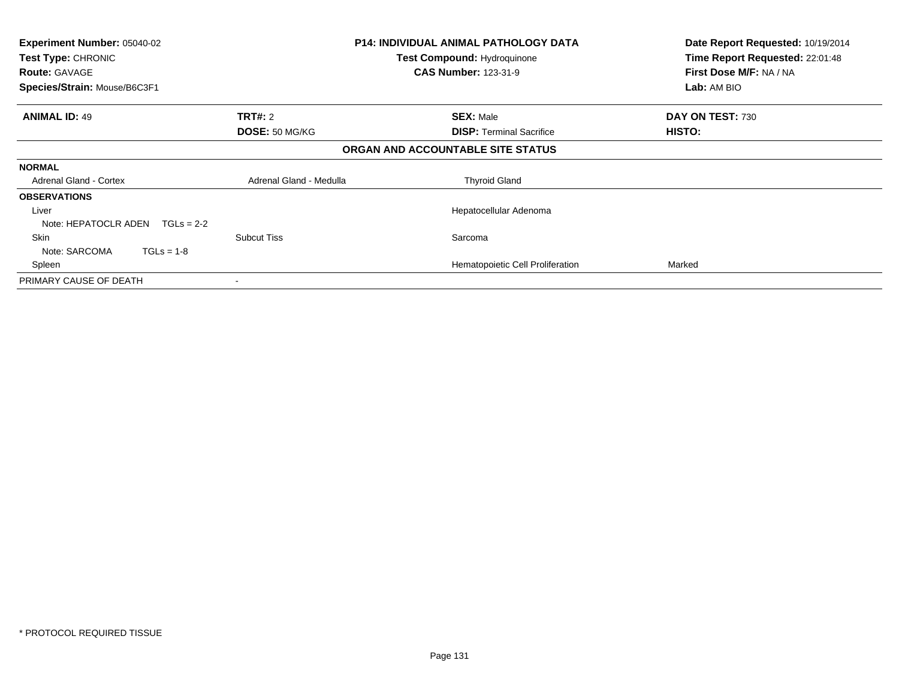| <b>Experiment Number: 05040-02</b><br>Test Type: CHRONIC<br><b>Route: GAVAGE</b> |                         | <b>P14: INDIVIDUAL ANIMAL PATHOLOGY DATA</b><br><b>Test Compound: Hydroquinone</b><br><b>CAS Number: 123-31-9</b> | Date Report Requested: 10/19/2014<br>Time Report Requested: 22:01:48<br>First Dose M/F: NA / NA |
|----------------------------------------------------------------------------------|-------------------------|-------------------------------------------------------------------------------------------------------------------|-------------------------------------------------------------------------------------------------|
| Species/Strain: Mouse/B6C3F1                                                     |                         |                                                                                                                   | Lab: AM BIO                                                                                     |
| <b>ANIMAL ID: 49</b>                                                             | <b>TRT#:</b> 2          | <b>SEX: Male</b>                                                                                                  | DAY ON TEST: 730                                                                                |
|                                                                                  | DOSE: 50 MG/KG          | <b>DISP: Terminal Sacrifice</b>                                                                                   | HISTO:                                                                                          |
|                                                                                  |                         | ORGAN AND ACCOUNTABLE SITE STATUS                                                                                 |                                                                                                 |
| <b>NORMAL</b>                                                                    |                         |                                                                                                                   |                                                                                                 |
| <b>Adrenal Gland - Cortex</b>                                                    | Adrenal Gland - Medulla | <b>Thyroid Gland</b>                                                                                              |                                                                                                 |
| <b>OBSERVATIONS</b>                                                              |                         |                                                                                                                   |                                                                                                 |
| Liver                                                                            |                         | Hepatocellular Adenoma                                                                                            |                                                                                                 |
| Note: HEPATOCLR ADEN<br>$TGLs = 2-2$                                             |                         |                                                                                                                   |                                                                                                 |
| Skin                                                                             | <b>Subcut Tiss</b>      | Sarcoma                                                                                                           |                                                                                                 |
| Note: SARCOMA<br>$TGLs = 1-8$                                                    |                         |                                                                                                                   |                                                                                                 |
| Spleen                                                                           |                         | Hematopoietic Cell Proliferation                                                                                  | Marked                                                                                          |
| PRIMARY CAUSE OF DEATH                                                           |                         |                                                                                                                   |                                                                                                 |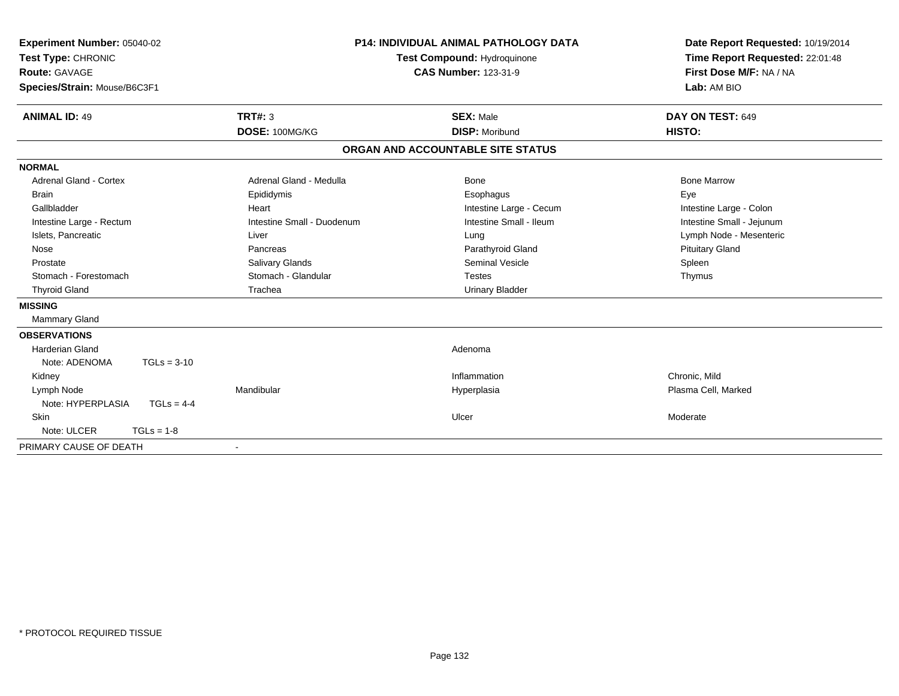| Experiment Number: 05040-02<br>Test Type: CHRONIC<br>Route: GAVAGE<br>Species/Strain: Mouse/B6C3F1 |                            | <b>P14: INDIVIDUAL ANIMAL PATHOLOGY DATA</b><br>Test Compound: Hydroquinone<br><b>CAS Number: 123-31-9</b> | Date Report Requested: 10/19/2014<br>Time Report Requested: 22:01:48<br>First Dose M/F: NA / NA<br>Lab: AM BIO |
|----------------------------------------------------------------------------------------------------|----------------------------|------------------------------------------------------------------------------------------------------------|----------------------------------------------------------------------------------------------------------------|
| <b>ANIMAL ID: 49</b>                                                                               | <b>TRT#: 3</b>             | <b>SEX: Male</b>                                                                                           | DAY ON TEST: 649                                                                                               |
|                                                                                                    | DOSE: 100MG/KG             | <b>DISP: Moribund</b>                                                                                      | HISTO:                                                                                                         |
|                                                                                                    |                            | ORGAN AND ACCOUNTABLE SITE STATUS                                                                          |                                                                                                                |
| <b>NORMAL</b>                                                                                      |                            |                                                                                                            |                                                                                                                |
| <b>Adrenal Gland - Cortex</b>                                                                      | Adrenal Gland - Medulla    | Bone                                                                                                       | <b>Bone Marrow</b>                                                                                             |
| <b>Brain</b>                                                                                       | Epididymis                 | Esophagus                                                                                                  | Eye                                                                                                            |
| Gallbladder                                                                                        | Heart                      | Intestine Large - Cecum                                                                                    | Intestine Large - Colon                                                                                        |
| Intestine Large - Rectum                                                                           | Intestine Small - Duodenum | Intestine Small - Ileum                                                                                    | Intestine Small - Jejunum                                                                                      |
| Islets, Pancreatic                                                                                 | Liver                      | Lung                                                                                                       | Lymph Node - Mesenteric                                                                                        |
| Nose                                                                                               | Pancreas                   | Parathyroid Gland                                                                                          | <b>Pituitary Gland</b>                                                                                         |
| Prostate                                                                                           | <b>Salivary Glands</b>     | <b>Seminal Vesicle</b>                                                                                     | Spleen                                                                                                         |
| Stomach - Forestomach                                                                              | Stomach - Glandular        | <b>Testes</b>                                                                                              | Thymus                                                                                                         |
| <b>Thyroid Gland</b>                                                                               | Trachea                    | <b>Urinary Bladder</b>                                                                                     |                                                                                                                |
| <b>MISSING</b>                                                                                     |                            |                                                                                                            |                                                                                                                |
| Mammary Gland                                                                                      |                            |                                                                                                            |                                                                                                                |
| <b>OBSERVATIONS</b>                                                                                |                            |                                                                                                            |                                                                                                                |
| Harderian Gland                                                                                    |                            | Adenoma                                                                                                    |                                                                                                                |
| $TGLs = 3-10$<br>Note: ADENOMA                                                                     |                            |                                                                                                            |                                                                                                                |
| Kidney                                                                                             |                            | Inflammation                                                                                               | Chronic, Mild                                                                                                  |
| Lymph Node                                                                                         | Mandibular                 | Hyperplasia                                                                                                | Plasma Cell, Marked                                                                                            |
| Note: HYPERPLASIA<br>$TGLs = 4-4$                                                                  |                            |                                                                                                            |                                                                                                                |
| Skin                                                                                               |                            | Ulcer                                                                                                      | Moderate                                                                                                       |
| Note: ULCER<br>$TGLs = 1-8$                                                                        |                            |                                                                                                            |                                                                                                                |
| PRIMARY CAUSE OF DEATH                                                                             | $\blacksquare$             |                                                                                                            |                                                                                                                |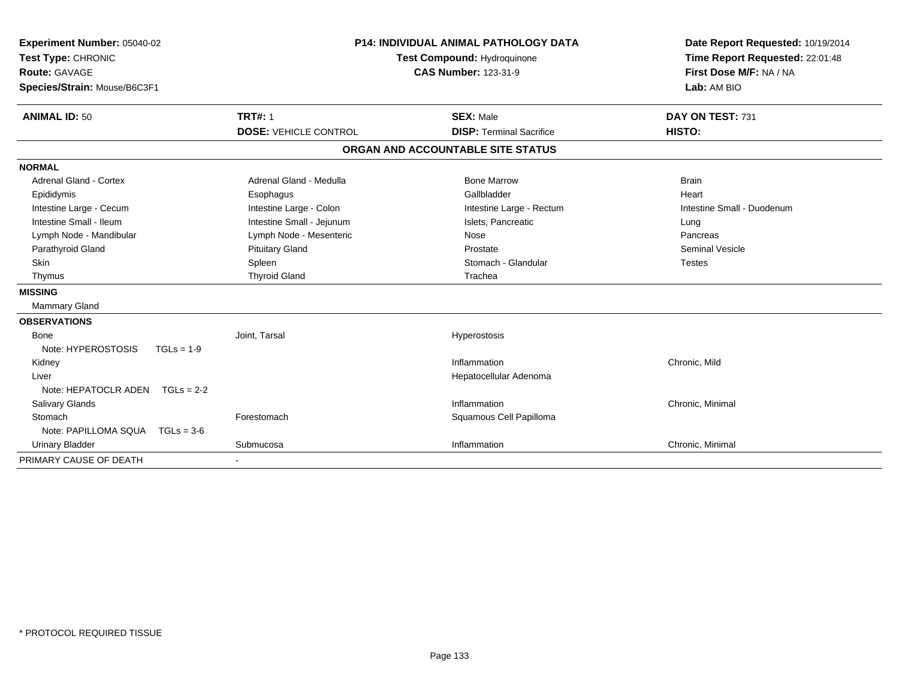| Experiment Number: 05040-02<br>Test Type: CHRONIC<br><b>Route: GAVAGE</b><br>Species/Strain: Mouse/B6C3F1 | <b>P14: INDIVIDUAL ANIMAL PATHOLOGY DATA</b><br>Test Compound: Hydroquinone<br><b>CAS Number: 123-31-9</b> |                                                     | Date Report Requested: 10/19/2014<br>Time Report Requested: 22:01:48<br>First Dose M/F: NA / NA<br>Lab: AM BIO |  |
|-----------------------------------------------------------------------------------------------------------|------------------------------------------------------------------------------------------------------------|-----------------------------------------------------|----------------------------------------------------------------------------------------------------------------|--|
| <b>ANIMAL ID: 50</b>                                                                                      | <b>TRT#: 1</b><br><b>DOSE: VEHICLE CONTROL</b>                                                             | <b>SEX: Male</b><br><b>DISP: Terminal Sacrifice</b> | DAY ON TEST: 731<br>HISTO:                                                                                     |  |
|                                                                                                           |                                                                                                            | ORGAN AND ACCOUNTABLE SITE STATUS                   |                                                                                                                |  |
| <b>NORMAL</b>                                                                                             |                                                                                                            |                                                     |                                                                                                                |  |
| <b>Adrenal Gland - Cortex</b>                                                                             | Adrenal Gland - Medulla                                                                                    | <b>Bone Marrow</b>                                  | <b>Brain</b>                                                                                                   |  |
| Epididymis                                                                                                | Esophagus                                                                                                  | Gallbladder                                         | Heart                                                                                                          |  |
| Intestine Large - Cecum                                                                                   | Intestine Large - Colon                                                                                    | Intestine Large - Rectum                            | Intestine Small - Duodenum                                                                                     |  |
| Intestine Small - Ileum                                                                                   | Intestine Small - Jejunum                                                                                  | Islets, Pancreatic                                  | Lung                                                                                                           |  |
| Lymph Node - Mandibular                                                                                   | Lymph Node - Mesenteric                                                                                    | Nose                                                | Pancreas                                                                                                       |  |
| Parathyroid Gland                                                                                         | <b>Pituitary Gland</b>                                                                                     | Prostate                                            | <b>Seminal Vesicle</b>                                                                                         |  |
| Skin                                                                                                      | Spleen                                                                                                     | Stomach - Glandular                                 | <b>Testes</b>                                                                                                  |  |
| Thymus                                                                                                    | <b>Thyroid Gland</b>                                                                                       | Trachea                                             |                                                                                                                |  |
| <b>MISSING</b>                                                                                            |                                                                                                            |                                                     |                                                                                                                |  |
| <b>Mammary Gland</b>                                                                                      |                                                                                                            |                                                     |                                                                                                                |  |
| <b>OBSERVATIONS</b>                                                                                       |                                                                                                            |                                                     |                                                                                                                |  |
| Bone                                                                                                      | Joint, Tarsal                                                                                              | Hyperostosis                                        |                                                                                                                |  |
| Note: HYPEROSTOSIS<br>$TGLs = 1-9$                                                                        |                                                                                                            |                                                     |                                                                                                                |  |
| Kidney                                                                                                    |                                                                                                            | Inflammation                                        | Chronic, Mild                                                                                                  |  |
| Liver                                                                                                     |                                                                                                            | Hepatocellular Adenoma                              |                                                                                                                |  |
| Note: HEPATOCLR ADEN<br>$TGLs = 2-2$                                                                      |                                                                                                            |                                                     |                                                                                                                |  |
| Salivary Glands                                                                                           |                                                                                                            | Inflammation                                        | Chronic, Minimal                                                                                               |  |
| Stomach                                                                                                   | Forestomach                                                                                                | Squamous Cell Papilloma                             |                                                                                                                |  |
| Note: PAPILLOMA SQUA<br>$TGLs = 3-6$                                                                      |                                                                                                            |                                                     |                                                                                                                |  |
| <b>Urinary Bladder</b>                                                                                    | Submucosa                                                                                                  | Inflammation                                        | Chronic, Minimal                                                                                               |  |
| PRIMARY CAUSE OF DEATH                                                                                    |                                                                                                            |                                                     |                                                                                                                |  |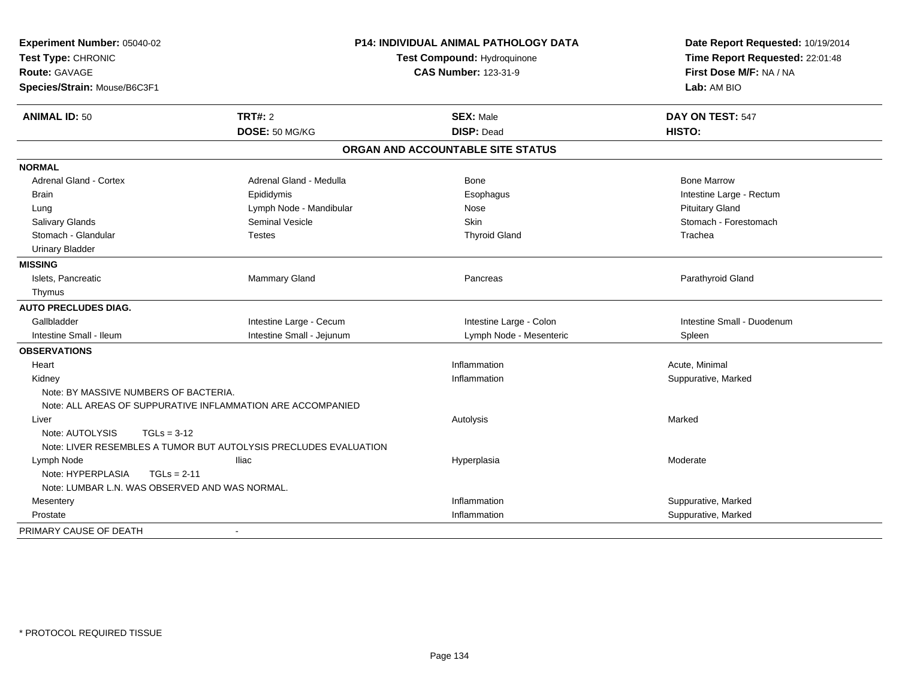| Experiment Number: 05040-02<br>Test Type: CHRONIC<br><b>Route: GAVAGE</b><br>Species/Strain: Mouse/B6C3F1 |                                                                  | <b>P14: INDIVIDUAL ANIMAL PATHOLOGY DATA</b><br>Test Compound: Hydroquinone<br><b>CAS Number: 123-31-9</b> | Date Report Requested: 10/19/2014<br>Time Report Requested: 22:01:48<br>First Dose M/F: NA / NA<br>Lab: AM BIO |  |
|-----------------------------------------------------------------------------------------------------------|------------------------------------------------------------------|------------------------------------------------------------------------------------------------------------|----------------------------------------------------------------------------------------------------------------|--|
| <b>ANIMAL ID: 50</b>                                                                                      | <b>TRT#: 2</b>                                                   | <b>SEX: Male</b>                                                                                           | DAY ON TEST: 547                                                                                               |  |
|                                                                                                           | DOSE: 50 MG/KG                                                   | <b>DISP: Dead</b>                                                                                          | HISTO:                                                                                                         |  |
|                                                                                                           |                                                                  | ORGAN AND ACCOUNTABLE SITE STATUS                                                                          |                                                                                                                |  |
| <b>NORMAL</b>                                                                                             |                                                                  |                                                                                                            |                                                                                                                |  |
| <b>Adrenal Gland - Cortex</b>                                                                             | Adrenal Gland - Medulla                                          | Bone                                                                                                       | <b>Bone Marrow</b>                                                                                             |  |
| <b>Brain</b>                                                                                              | Epididymis                                                       | Esophagus                                                                                                  | Intestine Large - Rectum                                                                                       |  |
| Lung                                                                                                      | Lymph Node - Mandibular                                          | Nose                                                                                                       | <b>Pituitary Gland</b>                                                                                         |  |
| Salivary Glands                                                                                           | <b>Seminal Vesicle</b>                                           | <b>Skin</b>                                                                                                | Stomach - Forestomach                                                                                          |  |
| Stomach - Glandular                                                                                       | <b>Testes</b>                                                    | <b>Thyroid Gland</b>                                                                                       | Trachea                                                                                                        |  |
| <b>Urinary Bladder</b>                                                                                    |                                                                  |                                                                                                            |                                                                                                                |  |
| <b>MISSING</b>                                                                                            |                                                                  |                                                                                                            |                                                                                                                |  |
| Islets, Pancreatic                                                                                        | Mammary Gland                                                    | Pancreas                                                                                                   | Parathyroid Gland                                                                                              |  |
| Thymus                                                                                                    |                                                                  |                                                                                                            |                                                                                                                |  |
| <b>AUTO PRECLUDES DIAG.</b>                                                                               |                                                                  |                                                                                                            |                                                                                                                |  |
| Gallbladder                                                                                               | Intestine Large - Cecum                                          | Intestine Large - Colon                                                                                    | Intestine Small - Duodenum                                                                                     |  |
| Intestine Small - Ileum                                                                                   | Intestine Small - Jejunum                                        | Lymph Node - Mesenteric                                                                                    | Spleen                                                                                                         |  |
| <b>OBSERVATIONS</b>                                                                                       |                                                                  |                                                                                                            |                                                                                                                |  |
| Heart                                                                                                     |                                                                  | Inflammation                                                                                               | Acute, Minimal                                                                                                 |  |
| Kidney                                                                                                    |                                                                  | Inflammation                                                                                               | Suppurative, Marked                                                                                            |  |
| Note: BY MASSIVE NUMBERS OF BACTERIA.                                                                     |                                                                  |                                                                                                            |                                                                                                                |  |
|                                                                                                           | Note: ALL AREAS OF SUPPURATIVE INFLAMMATION ARE ACCOMPANIED      |                                                                                                            |                                                                                                                |  |
| Liver                                                                                                     |                                                                  | Autolysis                                                                                                  | Marked                                                                                                         |  |
| Note: AUTOLYSIS<br>$TGLs = 3-12$                                                                          |                                                                  |                                                                                                            |                                                                                                                |  |
|                                                                                                           | Note: LIVER RESEMBLES A TUMOR BUT AUTOLYSIS PRECLUDES EVALUATION |                                                                                                            |                                                                                                                |  |
| Lymph Node                                                                                                | <b>Iliac</b>                                                     | Hyperplasia                                                                                                | Moderate                                                                                                       |  |
| Note: HYPERPLASIA<br>$TGLs = 2-11$                                                                        |                                                                  |                                                                                                            |                                                                                                                |  |
| Note: LUMBAR L.N. WAS OBSERVED AND WAS NORMAL.                                                            |                                                                  |                                                                                                            |                                                                                                                |  |
| Mesentery                                                                                                 |                                                                  | Inflammation                                                                                               | Suppurative, Marked                                                                                            |  |
| Prostate                                                                                                  |                                                                  | Inflammation                                                                                               | Suppurative, Marked                                                                                            |  |
| PRIMARY CAUSE OF DEATH                                                                                    |                                                                  |                                                                                                            |                                                                                                                |  |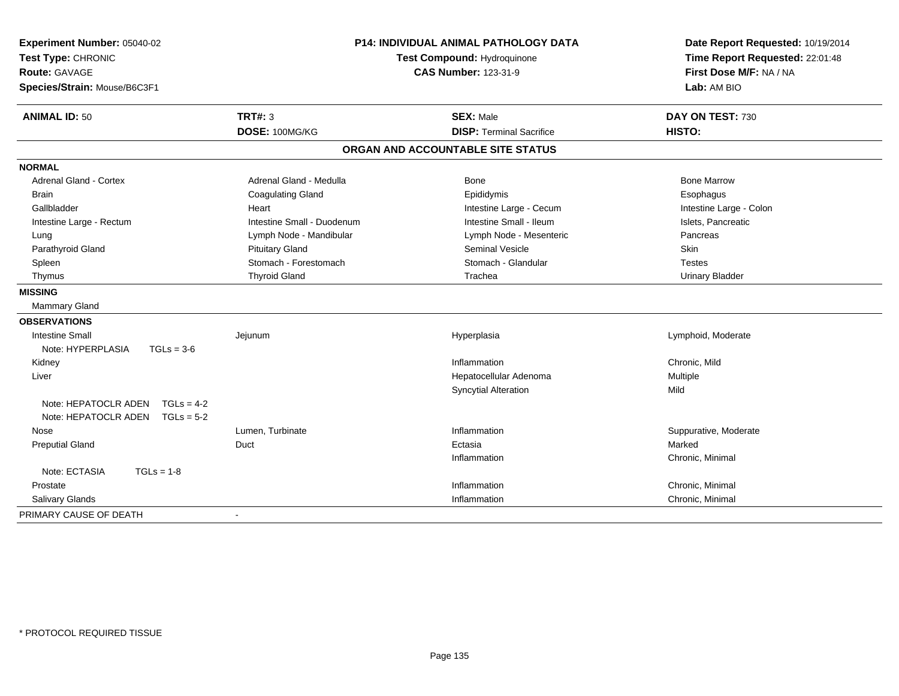| Experiment Number: 05040-02<br>Test Type: CHRONIC<br><b>Route: GAVAGE</b><br>Species/Strain: Mouse/B6C3F1 | <b>P14: INDIVIDUAL ANIMAL PATHOLOGY DATA</b><br>Test Compound: Hydroquinone<br><b>CAS Number: 123-31-9</b> |                                   | Date Report Requested: 10/19/2014<br>Time Report Requested: 22:01:48<br>First Dose M/F: NA / NA<br>Lab: AM BIO |  |
|-----------------------------------------------------------------------------------------------------------|------------------------------------------------------------------------------------------------------------|-----------------------------------|----------------------------------------------------------------------------------------------------------------|--|
| <b>ANIMAL ID: 50</b>                                                                                      | <b>TRT#: 3</b>                                                                                             | <b>SEX: Male</b>                  | DAY ON TEST: 730                                                                                               |  |
|                                                                                                           | DOSE: 100MG/KG                                                                                             | <b>DISP: Terminal Sacrifice</b>   | HISTO:                                                                                                         |  |
|                                                                                                           |                                                                                                            | ORGAN AND ACCOUNTABLE SITE STATUS |                                                                                                                |  |
| <b>NORMAL</b>                                                                                             |                                                                                                            |                                   |                                                                                                                |  |
| <b>Adrenal Gland - Cortex</b>                                                                             | Adrenal Gland - Medulla                                                                                    | <b>Bone</b>                       | <b>Bone Marrow</b>                                                                                             |  |
| <b>Brain</b>                                                                                              | <b>Coagulating Gland</b>                                                                                   | Epididymis                        | Esophagus                                                                                                      |  |
| Gallbladder                                                                                               | Heart                                                                                                      | Intestine Large - Cecum           | Intestine Large - Colon                                                                                        |  |
| Intestine Large - Rectum                                                                                  | Intestine Small - Duodenum                                                                                 | Intestine Small - Ileum           | Islets, Pancreatic                                                                                             |  |
| Lung                                                                                                      | Lymph Node - Mandibular                                                                                    | Lymph Node - Mesenteric           | Pancreas                                                                                                       |  |
| Parathyroid Gland                                                                                         | <b>Pituitary Gland</b>                                                                                     | Seminal Vesicle                   | Skin                                                                                                           |  |
| Spleen                                                                                                    | Stomach - Forestomach                                                                                      | Stomach - Glandular               | <b>Testes</b>                                                                                                  |  |
| Thymus                                                                                                    | <b>Thyroid Gland</b>                                                                                       | Trachea                           | <b>Urinary Bladder</b>                                                                                         |  |
| <b>MISSING</b>                                                                                            |                                                                                                            |                                   |                                                                                                                |  |
| Mammary Gland                                                                                             |                                                                                                            |                                   |                                                                                                                |  |
| <b>OBSERVATIONS</b>                                                                                       |                                                                                                            |                                   |                                                                                                                |  |
| <b>Intestine Small</b>                                                                                    | Jejunum                                                                                                    | Hyperplasia                       | Lymphoid, Moderate                                                                                             |  |
| Note: HYPERPLASIA<br>$TGLs = 3-6$                                                                         |                                                                                                            |                                   |                                                                                                                |  |
| Kidney                                                                                                    |                                                                                                            | Inflammation                      | Chronic, Mild                                                                                                  |  |
| Liver                                                                                                     |                                                                                                            | Hepatocellular Adenoma            | Multiple                                                                                                       |  |
|                                                                                                           |                                                                                                            | <b>Syncytial Alteration</b>       | Mild                                                                                                           |  |
| Note: HEPATOCLR ADEN<br>$TGLs = 4-2$                                                                      |                                                                                                            |                                   |                                                                                                                |  |
| Note: HEPATOCLR ADEN<br>$TGLs = 5-2$                                                                      |                                                                                                            |                                   |                                                                                                                |  |
| Nose                                                                                                      | Lumen, Turbinate                                                                                           | Inflammation                      | Suppurative, Moderate                                                                                          |  |
| <b>Preputial Gland</b>                                                                                    | Duct                                                                                                       | Ectasia                           | Marked                                                                                                         |  |
|                                                                                                           |                                                                                                            | Inflammation                      | Chronic, Minimal                                                                                               |  |
| Note: ECTASIA<br>$TGLs = 1-8$                                                                             |                                                                                                            |                                   |                                                                                                                |  |
| Prostate                                                                                                  |                                                                                                            | Inflammation                      | Chronic, Minimal                                                                                               |  |
| Salivary Glands                                                                                           |                                                                                                            | Inflammation                      | Chronic, Minimal                                                                                               |  |
| PRIMARY CAUSE OF DEATH                                                                                    |                                                                                                            |                                   |                                                                                                                |  |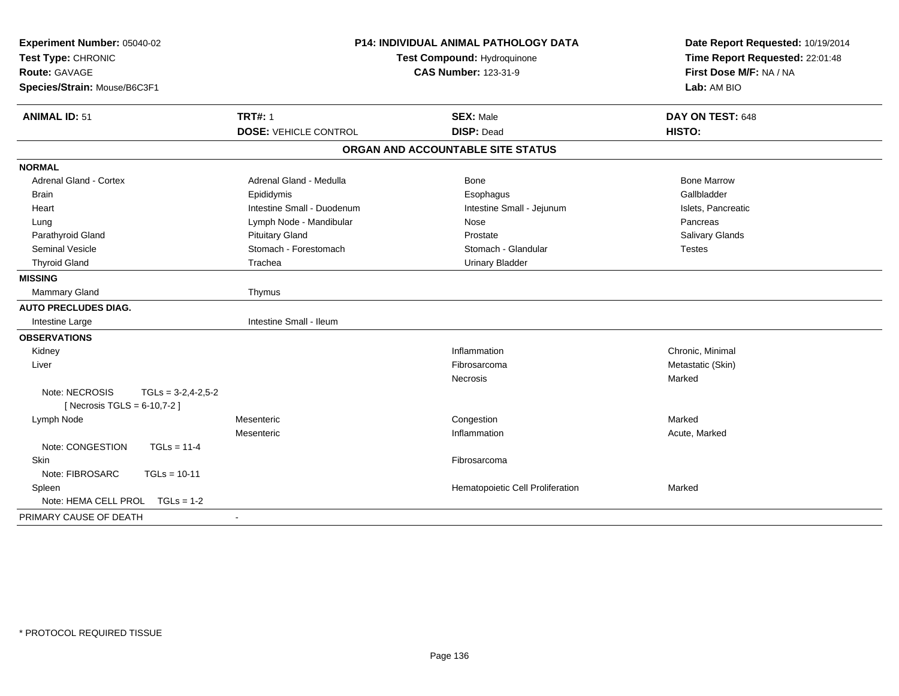| Experiment Number: 05040-02<br>Test Type: CHRONIC<br><b>Route: GAVAGE</b><br>Species/Strain: Mouse/B6C3F1 | P14: INDIVIDUAL ANIMAL PATHOLOGY DATA<br><b>Test Compound: Hydroquinone</b><br><b>CAS Number: 123-31-9</b> |                                       | Date Report Requested: 10/19/2014<br>Time Report Requested: 22:01:48<br>First Dose M/F: NA / NA<br>Lab: AM BIO |  |
|-----------------------------------------------------------------------------------------------------------|------------------------------------------------------------------------------------------------------------|---------------------------------------|----------------------------------------------------------------------------------------------------------------|--|
| <b>ANIMAL ID: 51</b>                                                                                      | <b>TRT#: 1</b>                                                                                             | <b>SEX: Male</b><br><b>DISP: Dead</b> | DAY ON TEST: 648<br>HISTO:                                                                                     |  |
|                                                                                                           | <b>DOSE: VEHICLE CONTROL</b>                                                                               |                                       |                                                                                                                |  |
|                                                                                                           |                                                                                                            | ORGAN AND ACCOUNTABLE SITE STATUS     |                                                                                                                |  |
| <b>NORMAL</b>                                                                                             |                                                                                                            |                                       |                                                                                                                |  |
| <b>Adrenal Gland - Cortex</b>                                                                             | Adrenal Gland - Medulla                                                                                    | Bone                                  | <b>Bone Marrow</b>                                                                                             |  |
| <b>Brain</b>                                                                                              | Epididymis                                                                                                 | Esophagus                             | Gallbladder                                                                                                    |  |
| Heart                                                                                                     | Intestine Small - Duodenum                                                                                 | Intestine Small - Jejunum             | Islets, Pancreatic                                                                                             |  |
| Lung                                                                                                      | Lymph Node - Mandibular                                                                                    | Nose                                  | Pancreas                                                                                                       |  |
| Parathyroid Gland                                                                                         | <b>Pituitary Gland</b>                                                                                     | Prostate                              | Salivary Glands                                                                                                |  |
| Seminal Vesicle                                                                                           | Stomach - Forestomach                                                                                      | Stomach - Glandular                   | <b>Testes</b>                                                                                                  |  |
| <b>Thyroid Gland</b>                                                                                      | Trachea                                                                                                    | <b>Urinary Bladder</b>                |                                                                                                                |  |
| <b>MISSING</b>                                                                                            |                                                                                                            |                                       |                                                                                                                |  |
| <b>Mammary Gland</b>                                                                                      | Thymus                                                                                                     |                                       |                                                                                                                |  |
| <b>AUTO PRECLUDES DIAG.</b>                                                                               |                                                                                                            |                                       |                                                                                                                |  |
| Intestine Large                                                                                           | Intestine Small - Ileum                                                                                    |                                       |                                                                                                                |  |
| <b>OBSERVATIONS</b>                                                                                       |                                                                                                            |                                       |                                                                                                                |  |
| Kidney                                                                                                    |                                                                                                            | Inflammation                          | Chronic, Minimal                                                                                               |  |
| Liver                                                                                                     |                                                                                                            | Fibrosarcoma                          | Metastatic (Skin)                                                                                              |  |
|                                                                                                           |                                                                                                            | Necrosis                              | Marked                                                                                                         |  |
| Note: NECROSIS<br>$TGLS = 3-2, 4-2, 5-2$                                                                  |                                                                                                            |                                       |                                                                                                                |  |
| [ Necrosis TGLS = $6-10,7-2$ ]                                                                            |                                                                                                            |                                       |                                                                                                                |  |
| Lymph Node                                                                                                | Mesenteric                                                                                                 | Congestion                            | Marked                                                                                                         |  |
|                                                                                                           | Mesenteric                                                                                                 | Inflammation                          | Acute, Marked                                                                                                  |  |
| Note: CONGESTION<br>$TGLs = 11-4$                                                                         |                                                                                                            |                                       |                                                                                                                |  |
| Skin                                                                                                      |                                                                                                            | Fibrosarcoma                          |                                                                                                                |  |
| Note: FIBROSARC<br>$TGLs = 10-11$                                                                         |                                                                                                            |                                       |                                                                                                                |  |
| Spleen                                                                                                    |                                                                                                            | Hematopoietic Cell Proliferation      | Marked                                                                                                         |  |
| Note: HEMA CELL PROL TGLs = 1-2                                                                           |                                                                                                            |                                       |                                                                                                                |  |
| PRIMARY CAUSE OF DEATH                                                                                    | $\mathbf{r}$                                                                                               |                                       |                                                                                                                |  |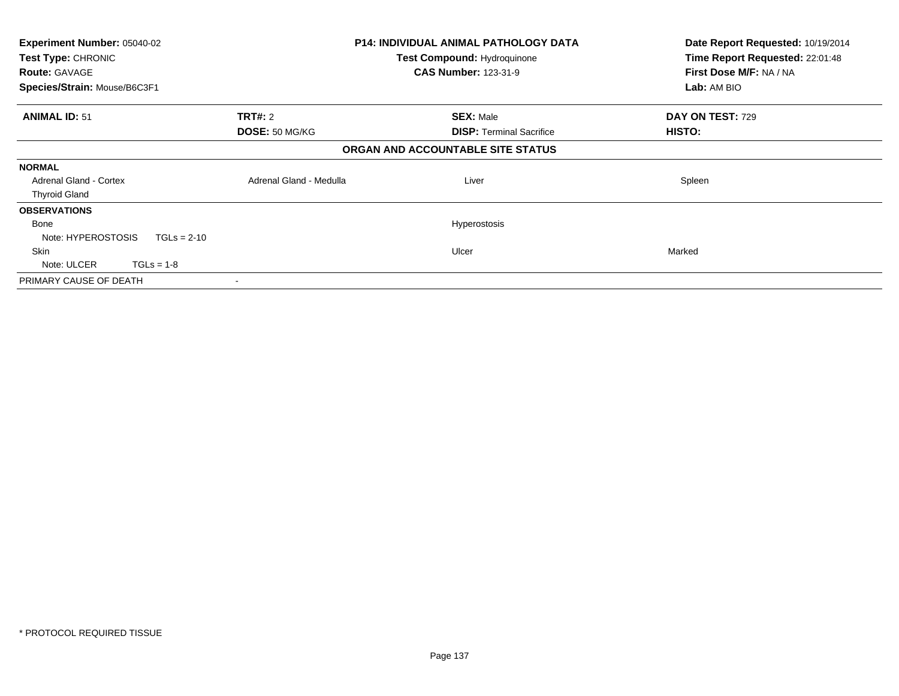| <b>Experiment Number: 05040-02</b>  |                         | <b>P14: INDIVIDUAL ANIMAL PATHOLOGY DATA</b> | Date Report Requested: 10/19/2014 |
|-------------------------------------|-------------------------|----------------------------------------------|-----------------------------------|
| Test Type: CHRONIC                  |                         | <b>Test Compound: Hydroquinone</b>           | Time Report Requested: 22:01:48   |
| <b>Route: GAVAGE</b>                |                         | <b>CAS Number: 123-31-9</b>                  | First Dose M/F: NA / NA           |
| Species/Strain: Mouse/B6C3F1        |                         |                                              | Lab: AM BIO                       |
| <b>ANIMAL ID: 51</b>                | <b>TRT#: 2</b>          | <b>SEX: Male</b>                             | DAY ON TEST: 729                  |
|                                     | DOSE: 50 MG/KG          | <b>DISP: Terminal Sacrifice</b>              | HISTO:                            |
|                                     |                         | ORGAN AND ACCOUNTABLE SITE STATUS            |                                   |
| <b>NORMAL</b>                       |                         |                                              |                                   |
| <b>Adrenal Gland - Cortex</b>       | Adrenal Gland - Medulla | Liver                                        | Spleen                            |
| <b>Thyroid Gland</b>                |                         |                                              |                                   |
| <b>OBSERVATIONS</b>                 |                         |                                              |                                   |
| Bone                                |                         | Hyperostosis                                 |                                   |
| Note: HYPEROSTOSIS<br>$TGLs = 2-10$ |                         |                                              |                                   |
| <b>Skin</b>                         |                         | Ulcer                                        | Marked                            |
| Note: ULCER<br>$TGLs = 1-8$         |                         |                                              |                                   |
| PRIMARY CAUSE OF DEATH              |                         |                                              |                                   |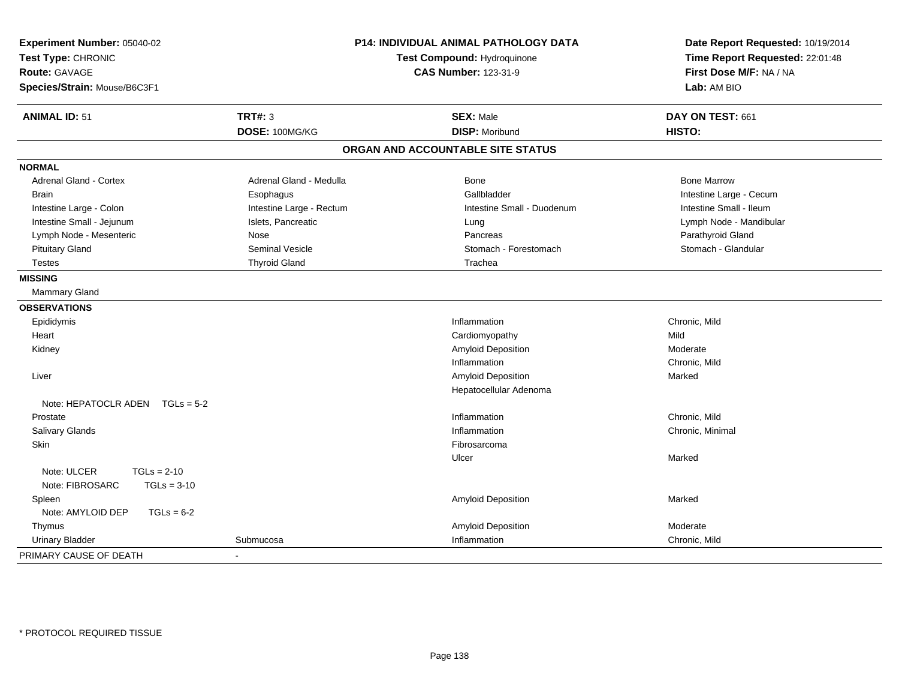| <b>P14: INDIVIDUAL ANIMAL PATHOLOGY DATA</b><br>Experiment Number: 05040-02<br>Test Type: CHRONIC<br>Test Compound: Hydroquinone<br><b>CAS Number: 123-31-9</b><br><b>Route: GAVAGE</b><br>Species/Strain: Mouse/B6C3F1 |                          |                                   | Date Report Requested: 10/19/2014<br>Time Report Requested: 22:01:48<br>First Dose M/F: NA / NA<br>Lab: AM BIO |
|-------------------------------------------------------------------------------------------------------------------------------------------------------------------------------------------------------------------------|--------------------------|-----------------------------------|----------------------------------------------------------------------------------------------------------------|
| <b>ANIMAL ID: 51</b>                                                                                                                                                                                                    | <b>TRT#: 3</b>           | <b>SEX: Male</b>                  | DAY ON TEST: 661                                                                                               |
|                                                                                                                                                                                                                         | DOSE: 100MG/KG           | <b>DISP: Moribund</b>             | HISTO:                                                                                                         |
|                                                                                                                                                                                                                         |                          | ORGAN AND ACCOUNTABLE SITE STATUS |                                                                                                                |
| <b>NORMAL</b>                                                                                                                                                                                                           |                          |                                   |                                                                                                                |
| Adrenal Gland - Cortex                                                                                                                                                                                                  | Adrenal Gland - Medulla  | Bone                              | <b>Bone Marrow</b>                                                                                             |
| <b>Brain</b>                                                                                                                                                                                                            | Esophagus                | Gallbladder                       | Intestine Large - Cecum                                                                                        |
| Intestine Large - Colon                                                                                                                                                                                                 | Intestine Large - Rectum | Intestine Small - Duodenum        | Intestine Small - Ileum                                                                                        |
| Intestine Small - Jejunum                                                                                                                                                                                               | Islets, Pancreatic       | Lung                              | Lymph Node - Mandibular                                                                                        |
| Lymph Node - Mesenteric                                                                                                                                                                                                 | <b>Nose</b>              | Pancreas                          | Parathyroid Gland                                                                                              |
| <b>Pituitary Gland</b>                                                                                                                                                                                                  | Seminal Vesicle          | Stomach - Forestomach             | Stomach - Glandular                                                                                            |
| <b>Testes</b>                                                                                                                                                                                                           | <b>Thyroid Gland</b>     | Trachea                           |                                                                                                                |
| <b>MISSING</b>                                                                                                                                                                                                          |                          |                                   |                                                                                                                |
| <b>Mammary Gland</b>                                                                                                                                                                                                    |                          |                                   |                                                                                                                |
| <b>OBSERVATIONS</b>                                                                                                                                                                                                     |                          |                                   |                                                                                                                |
| Epididymis                                                                                                                                                                                                              |                          | Inflammation                      | Chronic, Mild                                                                                                  |
| Heart                                                                                                                                                                                                                   |                          | Cardiomyopathy                    | Mild                                                                                                           |
| Kidney                                                                                                                                                                                                                  |                          | Amyloid Deposition                | Moderate                                                                                                       |
|                                                                                                                                                                                                                         |                          | Inflammation                      | Chronic, Mild                                                                                                  |
| Liver                                                                                                                                                                                                                   |                          | Amyloid Deposition                | Marked                                                                                                         |
|                                                                                                                                                                                                                         |                          | Hepatocellular Adenoma            |                                                                                                                |
| Note: HEPATOCLR ADEN $TGLs = 5-2$                                                                                                                                                                                       |                          |                                   |                                                                                                                |
| Prostate                                                                                                                                                                                                                |                          | Inflammation                      | Chronic, Mild                                                                                                  |
| Salivary Glands                                                                                                                                                                                                         |                          | Inflammation                      | Chronic, Minimal                                                                                               |
| Skin                                                                                                                                                                                                                    |                          | Fibrosarcoma                      |                                                                                                                |
|                                                                                                                                                                                                                         |                          | Ulcer                             | Marked                                                                                                         |
| Note: ULCER<br>$TGLs = 2-10$                                                                                                                                                                                            |                          |                                   |                                                                                                                |
| Note: FIBROSARC<br>$TGLs = 3-10$                                                                                                                                                                                        |                          |                                   |                                                                                                                |
| Spleen                                                                                                                                                                                                                  |                          | Amyloid Deposition                | Marked                                                                                                         |
| Note: AMYLOID DEP<br>$TGLs = 6-2$                                                                                                                                                                                       |                          |                                   |                                                                                                                |
| Thymus                                                                                                                                                                                                                  |                          | Amyloid Deposition                | Moderate                                                                                                       |
| <b>Urinary Bladder</b>                                                                                                                                                                                                  | Submucosa                | Inflammation                      | Chronic, Mild                                                                                                  |
| PRIMARY CAUSE OF DEATH                                                                                                                                                                                                  |                          |                                   |                                                                                                                |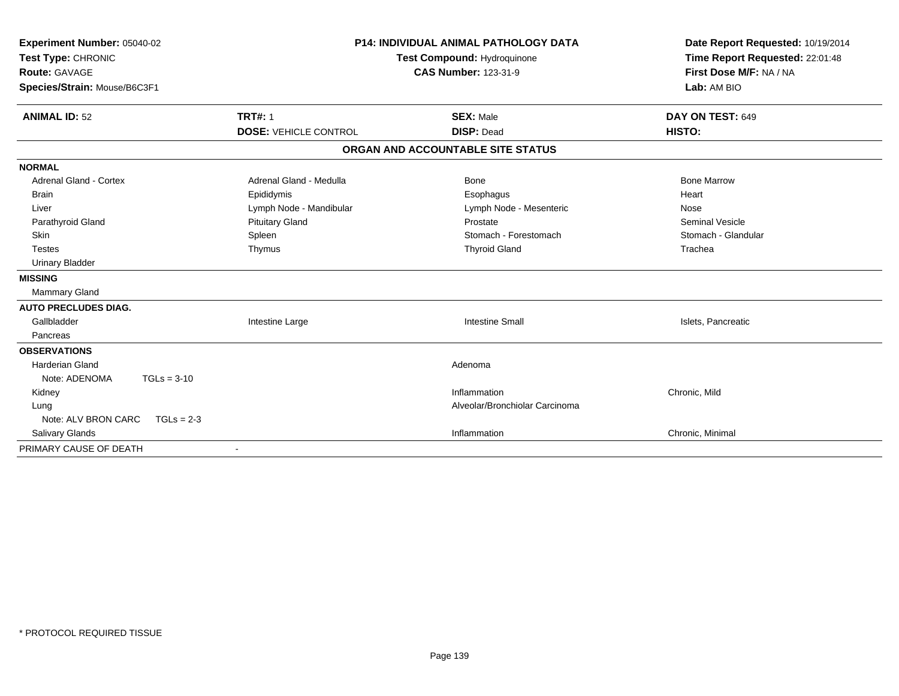| Experiment Number: 05040-02<br>Test Type: CHRONIC<br><b>Route: GAVAGE</b><br>Species/Strain: Mouse/B6C3F1 |                              | <b>P14: INDIVIDUAL ANIMAL PATHOLOGY DATA</b><br>Test Compound: Hydroquinone<br><b>CAS Number: 123-31-9</b> | Date Report Requested: 10/19/2014<br>Time Report Requested: 22:01:48<br>First Dose M/F: NA / NA<br>Lab: AM BIO |  |
|-----------------------------------------------------------------------------------------------------------|------------------------------|------------------------------------------------------------------------------------------------------------|----------------------------------------------------------------------------------------------------------------|--|
| <b>ANIMAL ID: 52</b>                                                                                      | <b>TRT#: 1</b>               | <b>SEX: Male</b>                                                                                           | DAY ON TEST: 649                                                                                               |  |
|                                                                                                           | <b>DOSE: VEHICLE CONTROL</b> | <b>DISP: Dead</b>                                                                                          | HISTO:                                                                                                         |  |
|                                                                                                           |                              | ORGAN AND ACCOUNTABLE SITE STATUS                                                                          |                                                                                                                |  |
| <b>NORMAL</b>                                                                                             |                              |                                                                                                            |                                                                                                                |  |
| Adrenal Gland - Cortex                                                                                    | Adrenal Gland - Medulla      | Bone                                                                                                       | <b>Bone Marrow</b>                                                                                             |  |
| <b>Brain</b>                                                                                              | Epididymis                   | Esophagus                                                                                                  | Heart                                                                                                          |  |
| Liver                                                                                                     | Lymph Node - Mandibular      | Lymph Node - Mesenteric                                                                                    | Nose                                                                                                           |  |
| Parathyroid Gland                                                                                         | <b>Pituitary Gland</b>       | Prostate                                                                                                   | <b>Seminal Vesicle</b>                                                                                         |  |
| Skin                                                                                                      | Spleen                       | Stomach - Forestomach                                                                                      | Stomach - Glandular                                                                                            |  |
| <b>Testes</b>                                                                                             | Thymus                       | <b>Thyroid Gland</b>                                                                                       | Trachea                                                                                                        |  |
| <b>Urinary Bladder</b>                                                                                    |                              |                                                                                                            |                                                                                                                |  |
| <b>MISSING</b>                                                                                            |                              |                                                                                                            |                                                                                                                |  |
| <b>Mammary Gland</b>                                                                                      |                              |                                                                                                            |                                                                                                                |  |
| <b>AUTO PRECLUDES DIAG.</b>                                                                               |                              |                                                                                                            |                                                                                                                |  |
| Gallbladder                                                                                               | Intestine Large              | <b>Intestine Small</b>                                                                                     | Islets, Pancreatic                                                                                             |  |
| Pancreas                                                                                                  |                              |                                                                                                            |                                                                                                                |  |
| <b>OBSERVATIONS</b>                                                                                       |                              |                                                                                                            |                                                                                                                |  |
| <b>Harderian Gland</b>                                                                                    |                              | Adenoma                                                                                                    |                                                                                                                |  |
| Note: ADENOMA<br>$TGLs = 3-10$                                                                            |                              |                                                                                                            |                                                                                                                |  |
| Kidney                                                                                                    |                              | Inflammation                                                                                               | Chronic, Mild                                                                                                  |  |
| Lung                                                                                                      |                              | Alveolar/Bronchiolar Carcinoma                                                                             |                                                                                                                |  |
| Note: ALV BRON CARC<br>$TGLs = 2-3$                                                                       |                              |                                                                                                            |                                                                                                                |  |
| Salivary Glands                                                                                           |                              | Inflammation                                                                                               | Chronic, Minimal                                                                                               |  |
| PRIMARY CAUSE OF DEATH                                                                                    |                              |                                                                                                            |                                                                                                                |  |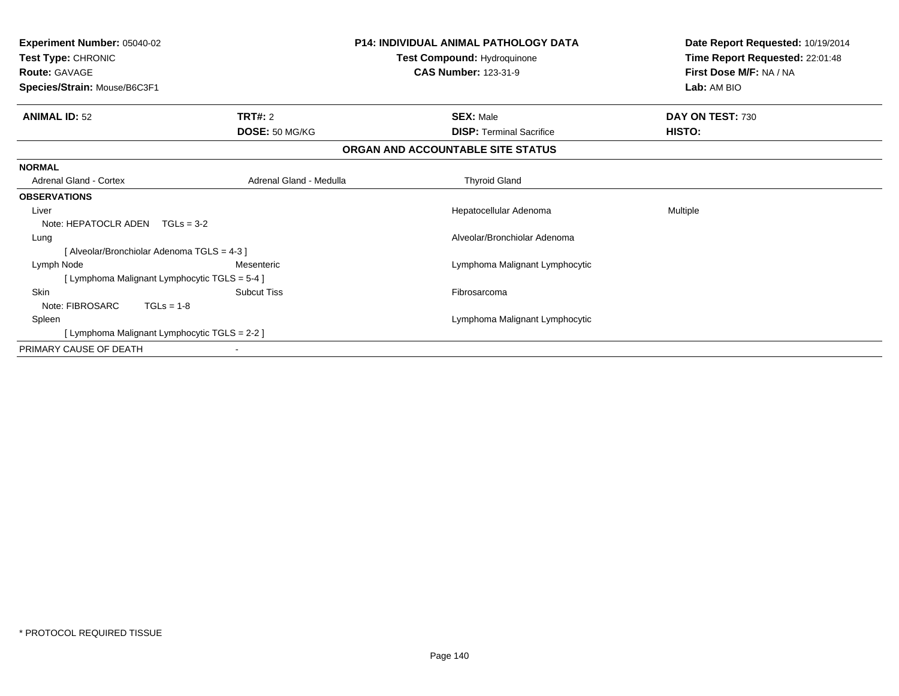| <b>Experiment Number: 05040-02</b><br>Test Type: CHRONIC<br><b>Route: GAVAGE</b><br>Species/Strain: Mouse/B6C3F1 |                                               | <b>P14: INDIVIDUAL ANIMAL PATHOLOGY DATA</b><br>Test Compound: Hydroquinone<br><b>CAS Number: 123-31-9</b> | Date Report Requested: 10/19/2014<br>Time Report Requested: 22:01:48<br>First Dose M/F: NA / NA<br>Lab: AM BIO |
|------------------------------------------------------------------------------------------------------------------|-----------------------------------------------|------------------------------------------------------------------------------------------------------------|----------------------------------------------------------------------------------------------------------------|
| <b>ANIMAL ID: 52</b>                                                                                             | <b>TRT#: 2</b>                                | <b>SEX: Male</b>                                                                                           | DAY ON TEST: 730                                                                                               |
|                                                                                                                  | DOSE: 50 MG/KG                                | <b>DISP: Terminal Sacrifice</b>                                                                            | HISTO:                                                                                                         |
|                                                                                                                  |                                               | ORGAN AND ACCOUNTABLE SITE STATUS                                                                          |                                                                                                                |
| <b>NORMAL</b>                                                                                                    |                                               |                                                                                                            |                                                                                                                |
| Adrenal Gland - Cortex                                                                                           | Adrenal Gland - Medulla                       | <b>Thyroid Gland</b>                                                                                       |                                                                                                                |
| <b>OBSERVATIONS</b>                                                                                              |                                               |                                                                                                            |                                                                                                                |
| Liver                                                                                                            |                                               | Hepatocellular Adenoma                                                                                     | Multiple                                                                                                       |
| Note: HEPATOCLR ADEN                                                                                             | $TGLs = 3-2$                                  |                                                                                                            |                                                                                                                |
| Lung                                                                                                             |                                               | Alveolar/Bronchiolar Adenoma                                                                               |                                                                                                                |
|                                                                                                                  | [Alveolar/Bronchiolar Adenoma TGLS = 4-3]     |                                                                                                            |                                                                                                                |
| Lymph Node                                                                                                       | Mesenteric                                    | Lymphoma Malignant Lymphocytic                                                                             |                                                                                                                |
|                                                                                                                  | [ Lymphoma Malignant Lymphocytic TGLS = 5-4 ] |                                                                                                            |                                                                                                                |
| Skin                                                                                                             | <b>Subcut Tiss</b>                            | Fibrosarcoma                                                                                               |                                                                                                                |
| Note: FIBROSARC                                                                                                  | $TGLs = 1-8$                                  |                                                                                                            |                                                                                                                |
| Spleen                                                                                                           |                                               | Lymphoma Malignant Lymphocytic                                                                             |                                                                                                                |
|                                                                                                                  | [ Lymphoma Malignant Lymphocytic TGLS = 2-2 ] |                                                                                                            |                                                                                                                |
| PRIMARY CAUSE OF DEATH                                                                                           |                                               |                                                                                                            |                                                                                                                |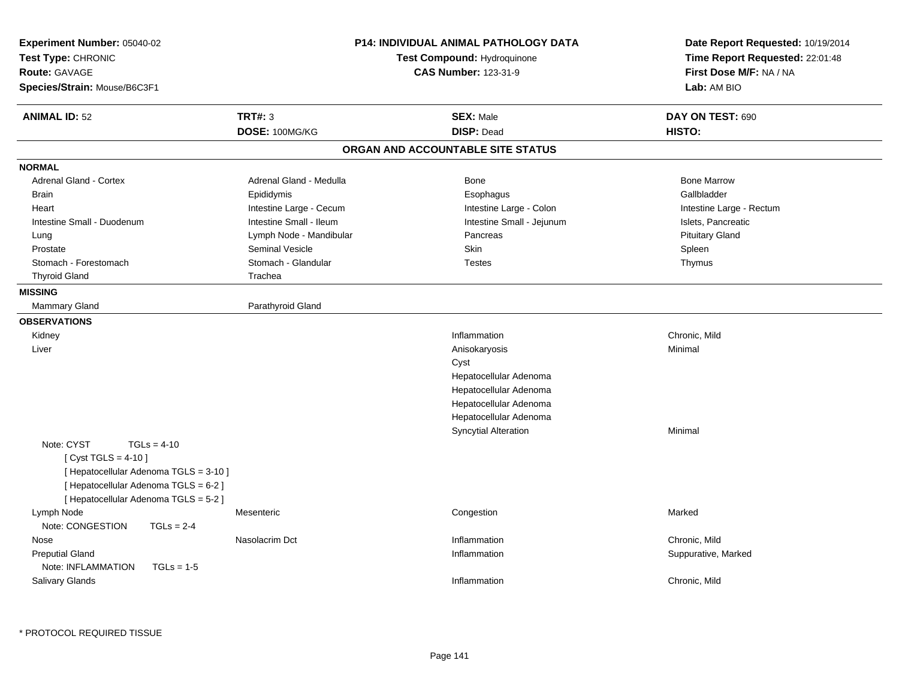| Experiment Number: 05040-02<br>Test Type: CHRONIC<br><b>Route: GAVAGE</b><br>Species/Strain: Mouse/B6C3F1                                                                       | <b>P14: INDIVIDUAL ANIMAL PATHOLOGY DATA</b><br>Test Compound: Hydroquinone<br><b>CAS Number: 123-31-9</b> |  | Date Report Requested: 10/19/2014<br>Time Report Requested: 22:01:48<br>First Dose M/F: NA / NA<br>Lab: AM BIO |                                      |
|---------------------------------------------------------------------------------------------------------------------------------------------------------------------------------|------------------------------------------------------------------------------------------------------------|--|----------------------------------------------------------------------------------------------------------------|--------------------------------------|
| <b>ANIMAL ID: 52</b>                                                                                                                                                            | <b>TRT#: 3</b>                                                                                             |  | <b>SEX: Male</b>                                                                                               | DAY ON TEST: 690                     |
|                                                                                                                                                                                 | DOSE: 100MG/KG                                                                                             |  | <b>DISP: Dead</b>                                                                                              | HISTO:                               |
|                                                                                                                                                                                 |                                                                                                            |  | ORGAN AND ACCOUNTABLE SITE STATUS                                                                              |                                      |
| <b>NORMAL</b>                                                                                                                                                                   |                                                                                                            |  |                                                                                                                |                                      |
| <b>Adrenal Gland - Cortex</b>                                                                                                                                                   | Adrenal Gland - Medulla                                                                                    |  | Bone                                                                                                           | <b>Bone Marrow</b>                   |
| <b>Brain</b>                                                                                                                                                                    | Epididymis                                                                                                 |  | Esophagus                                                                                                      | Gallbladder                          |
| Heart                                                                                                                                                                           | Intestine Large - Cecum                                                                                    |  | Intestine Large - Colon                                                                                        | Intestine Large - Rectum             |
| Intestine Small - Duodenum                                                                                                                                                      | Intestine Small - Ileum                                                                                    |  | Intestine Small - Jejunum                                                                                      | Islets, Pancreatic                   |
| Lung                                                                                                                                                                            | Lymph Node - Mandibular                                                                                    |  | Pancreas                                                                                                       | <b>Pituitary Gland</b>               |
| Prostate                                                                                                                                                                        | <b>Seminal Vesicle</b>                                                                                     |  | Skin                                                                                                           | Spleen                               |
| Stomach - Forestomach                                                                                                                                                           | Stomach - Glandular                                                                                        |  | <b>Testes</b>                                                                                                  | Thymus                               |
| <b>Thyroid Gland</b>                                                                                                                                                            | Trachea                                                                                                    |  |                                                                                                                |                                      |
| <b>MISSING</b>                                                                                                                                                                  |                                                                                                            |  |                                                                                                                |                                      |
| Mammary Gland                                                                                                                                                                   | Parathyroid Gland                                                                                          |  |                                                                                                                |                                      |
| <b>OBSERVATIONS</b>                                                                                                                                                             |                                                                                                            |  |                                                                                                                |                                      |
| Kidney                                                                                                                                                                          |                                                                                                            |  | Inflammation                                                                                                   | Chronic, Mild                        |
| Liver                                                                                                                                                                           |                                                                                                            |  | Anisokaryosis                                                                                                  | Minimal                              |
|                                                                                                                                                                                 |                                                                                                            |  | Cyst                                                                                                           |                                      |
|                                                                                                                                                                                 |                                                                                                            |  | Hepatocellular Adenoma                                                                                         |                                      |
|                                                                                                                                                                                 |                                                                                                            |  | Hepatocellular Adenoma                                                                                         |                                      |
|                                                                                                                                                                                 |                                                                                                            |  | Hepatocellular Adenoma                                                                                         |                                      |
|                                                                                                                                                                                 |                                                                                                            |  | Hepatocellular Adenoma                                                                                         |                                      |
|                                                                                                                                                                                 |                                                                                                            |  | <b>Syncytial Alteration</b>                                                                                    | Minimal                              |
| Note: CYST<br>$TGLs = 4-10$<br>[ Cyst TGLS = 4-10 ]<br>[ Hepatocellular Adenoma TGLS = 3-10 ]<br>[ Hepatocellular Adenoma TGLS = 6-2 ]<br>[ Hepatocellular Adenoma TGLS = 5-2 ] |                                                                                                            |  |                                                                                                                |                                      |
| Lymph Node<br>Note: CONGESTION<br>$TGLs = 2-4$                                                                                                                                  | Mesenteric                                                                                                 |  | Congestion                                                                                                     | Marked                               |
| Nose<br><b>Preputial Gland</b><br>Note: INFLAMMATION<br>$TGLs = 1-5$                                                                                                            | Nasolacrim Dct                                                                                             |  | Inflammation<br>Inflammation                                                                                   | Chronic, Mild<br>Suppurative, Marked |
| Salivary Glands                                                                                                                                                                 |                                                                                                            |  | Inflammation                                                                                                   | Chronic, Mild                        |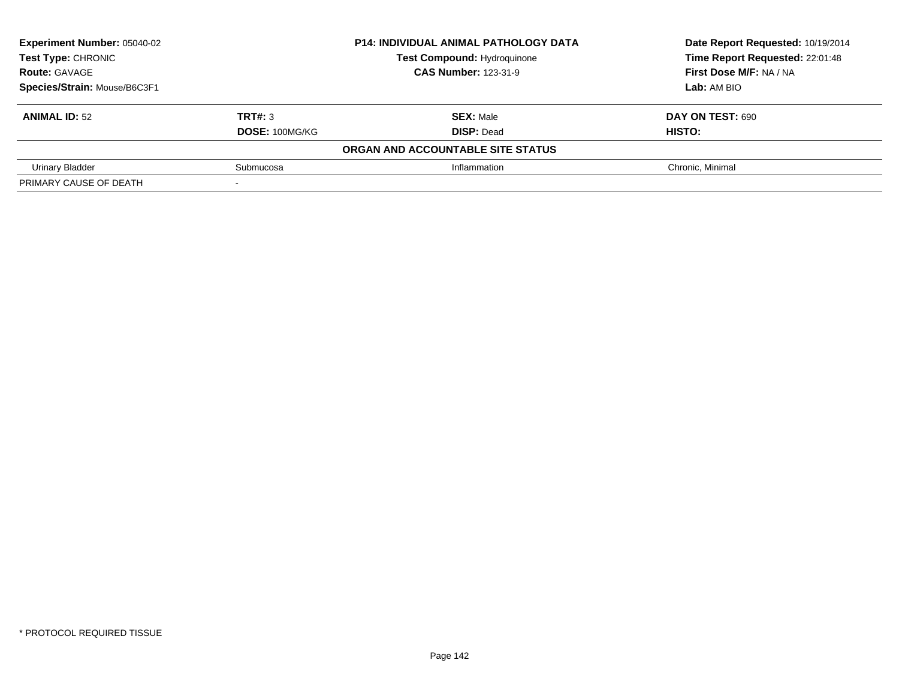| <b>Experiment Number: 05040-02</b> |                             | <b>P14: INDIVIDUAL ANIMAL PATHOLOGY DATA</b> | Date Report Requested: 10/19/2014 |  |
|------------------------------------|-----------------------------|----------------------------------------------|-----------------------------------|--|
| Test Type: CHRONIC                 |                             | <b>Test Compound: Hydroquinone</b>           | Time Report Requested: 22:01:48   |  |
| <b>Route: GAVAGE</b>               | <b>CAS Number: 123-31-9</b> |                                              | First Dose M/F: NA / NA           |  |
| Species/Strain: Mouse/B6C3F1       |                             |                                              | Lab: AM BIO                       |  |
| <b>ANIMAL ID: 52</b>               | TRT#: 3                     | <b>SEX: Male</b>                             | DAY ON TEST: 690                  |  |
|                                    | <b>DOSE: 100MG/KG</b>       | <b>DISP: Dead</b>                            | HISTO:                            |  |
|                                    |                             | ORGAN AND ACCOUNTABLE SITE STATUS            |                                   |  |
| Urinary Bladder                    | Submucosa                   | Inflammation                                 | Chronic, Minimal                  |  |
| PRIMARY CAUSE OF DEATH             |                             |                                              |                                   |  |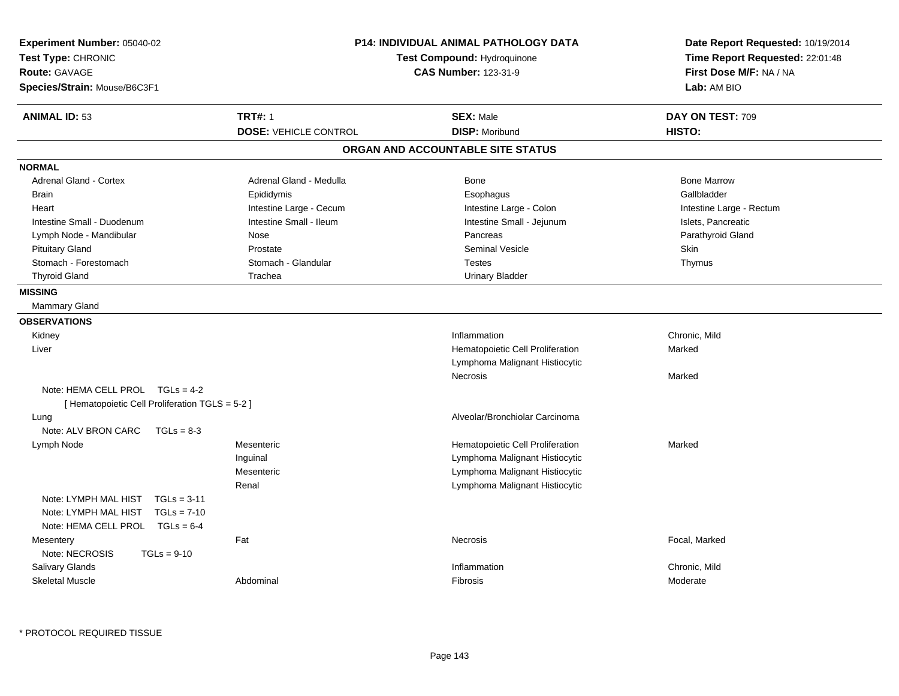| Experiment Number: 05040-02<br>Test Type: CHRONIC<br><b>Route: GAVAGE</b><br>Species/Strain: Mouse/B6C3F1 | <b>P14: INDIVIDUAL ANIMAL PATHOLOGY DATA</b><br>Test Compound: Hydroquinone<br><b>CAS Number: 123-31-9</b> |                                           | Date Report Requested: 10/19/2014<br>Time Report Requested: 22:01:48<br>First Dose M/F: NA / NA<br>Lab: AM BIO |  |
|-----------------------------------------------------------------------------------------------------------|------------------------------------------------------------------------------------------------------------|-------------------------------------------|----------------------------------------------------------------------------------------------------------------|--|
| <b>ANIMAL ID: 53</b>                                                                                      | <b>TRT#: 1</b><br><b>DOSE: VEHICLE CONTROL</b>                                                             | <b>SEX: Male</b><br><b>DISP: Moribund</b> | DAY ON TEST: 709<br>HISTO:                                                                                     |  |
|                                                                                                           |                                                                                                            | ORGAN AND ACCOUNTABLE SITE STATUS         |                                                                                                                |  |
|                                                                                                           |                                                                                                            |                                           |                                                                                                                |  |
| <b>NORMAL</b>                                                                                             |                                                                                                            |                                           |                                                                                                                |  |
| Adrenal Gland - Cortex                                                                                    | Adrenal Gland - Medulla                                                                                    | Bone                                      | <b>Bone Marrow</b>                                                                                             |  |
| <b>Brain</b>                                                                                              | Epididymis                                                                                                 | Esophagus                                 | Gallbladder                                                                                                    |  |
| Heart                                                                                                     | Intestine Large - Cecum                                                                                    | Intestine Large - Colon                   | Intestine Large - Rectum                                                                                       |  |
| Intestine Small - Duodenum                                                                                | Intestine Small - Ileum                                                                                    | Intestine Small - Jejunum                 | Islets, Pancreatic                                                                                             |  |
| Lymph Node - Mandibular                                                                                   | Nose                                                                                                       | Pancreas                                  | Parathyroid Gland                                                                                              |  |
| <b>Pituitary Gland</b>                                                                                    | Prostate                                                                                                   | <b>Seminal Vesicle</b>                    | Skin                                                                                                           |  |
| Stomach - Forestomach                                                                                     | Stomach - Glandular                                                                                        | <b>Testes</b>                             | Thymus                                                                                                         |  |
| <b>Thyroid Gland</b>                                                                                      | Trachea                                                                                                    | <b>Urinary Bladder</b>                    |                                                                                                                |  |
| <b>MISSING</b>                                                                                            |                                                                                                            |                                           |                                                                                                                |  |
| <b>Mammary Gland</b>                                                                                      |                                                                                                            |                                           |                                                                                                                |  |
| <b>OBSERVATIONS</b>                                                                                       |                                                                                                            |                                           |                                                                                                                |  |
| Kidney                                                                                                    |                                                                                                            | Inflammation                              | Chronic, Mild                                                                                                  |  |
| Liver                                                                                                     |                                                                                                            | Hematopoietic Cell Proliferation          | Marked                                                                                                         |  |
|                                                                                                           |                                                                                                            | Lymphoma Malignant Histiocytic            |                                                                                                                |  |
|                                                                                                           |                                                                                                            | Necrosis                                  | Marked                                                                                                         |  |
| Note: HEMA CELL PROL $TGLs = 4-2$                                                                         |                                                                                                            |                                           |                                                                                                                |  |
| [ Hematopoietic Cell Proliferation TGLS = 5-2 ]                                                           |                                                                                                            |                                           |                                                                                                                |  |
| Lung                                                                                                      |                                                                                                            | Alveolar/Bronchiolar Carcinoma            |                                                                                                                |  |
| Note: ALV BRON CARC<br>$TGLs = 8-3$                                                                       |                                                                                                            |                                           |                                                                                                                |  |
| Lymph Node                                                                                                | Mesenteric                                                                                                 | Hematopoietic Cell Proliferation          | Marked                                                                                                         |  |
|                                                                                                           | Inguinal                                                                                                   | Lymphoma Malignant Histiocytic            |                                                                                                                |  |
|                                                                                                           | Mesenteric                                                                                                 | Lymphoma Malignant Histiocytic            |                                                                                                                |  |
|                                                                                                           | Renal                                                                                                      | Lymphoma Malignant Histiocytic            |                                                                                                                |  |
| Note: LYMPH MAL HIST<br>$TGLs = 3-11$                                                                     |                                                                                                            |                                           |                                                                                                                |  |
| Note: LYMPH MAL HIST<br>$TGLs = 7-10$                                                                     |                                                                                                            |                                           |                                                                                                                |  |
| Note: HEMA CELL PROL<br>$TGLs = 6-4$                                                                      |                                                                                                            |                                           |                                                                                                                |  |
| Fat<br>Mesentery                                                                                          |                                                                                                            | Necrosis                                  | Focal, Marked                                                                                                  |  |
| Note: NECROSIS<br>$TGLs = 9-10$                                                                           |                                                                                                            |                                           |                                                                                                                |  |
| Salivary Glands                                                                                           |                                                                                                            | Inflammation                              | Chronic, Mild                                                                                                  |  |
| <b>Skeletal Muscle</b>                                                                                    | Abdominal                                                                                                  | Fibrosis                                  | Moderate                                                                                                       |  |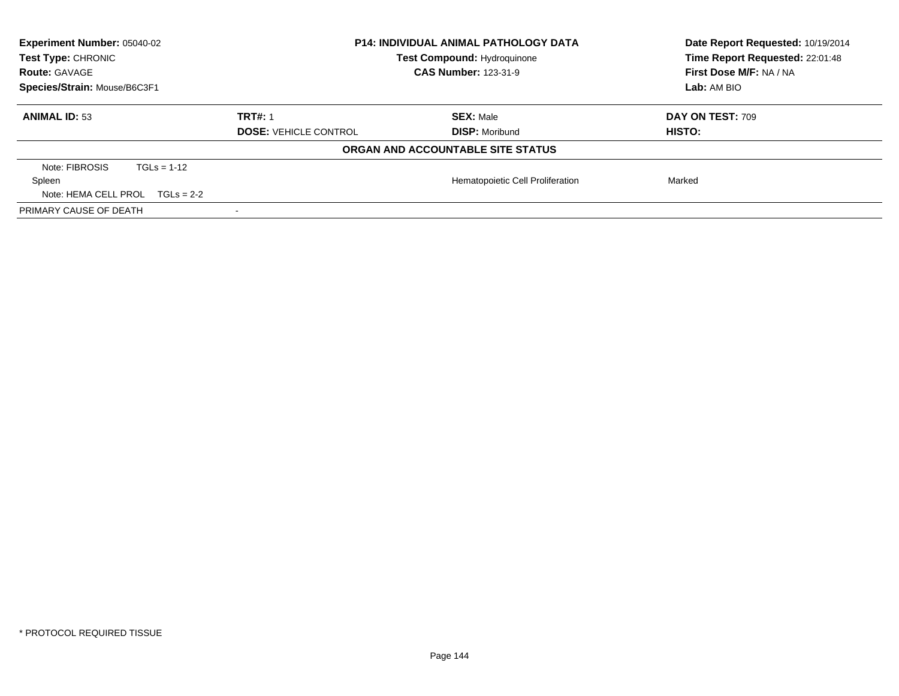| Experiment Number: 05040-02<br>Test Type: CHRONIC | <b>P14: INDIVIDUAL ANIMAL PATHOLOGY DATA</b><br><b>Test Compound: Hydroquinone</b> |                                   | Date Report Requested: 10/19/2014<br>Time Report Requested: 22:01:48 |
|---------------------------------------------------|------------------------------------------------------------------------------------|-----------------------------------|----------------------------------------------------------------------|
| <b>Route: GAVAGE</b>                              |                                                                                    | <b>CAS Number: 123-31-9</b>       | First Dose M/F: NA / NA                                              |
| Species/Strain: Mouse/B6C3F1                      |                                                                                    |                                   | Lab: AM BIO                                                          |
| <b>ANIMAL ID: 53</b>                              | <b>TRT#: 1</b>                                                                     | <b>SEX: Male</b>                  | DAY ON TEST: 709                                                     |
|                                                   | <b>DOSE: VEHICLE CONTROL</b>                                                       | <b>DISP: Moribund</b>             | HISTO:                                                               |
|                                                   |                                                                                    | ORGAN AND ACCOUNTABLE SITE STATUS |                                                                      |
| Note: FIBROSIS<br>$TGLs = 1-12$                   |                                                                                    |                                   |                                                                      |
| Spleen                                            |                                                                                    | Hematopoietic Cell Proliferation  | Marked                                                               |
| Note: HEMA CELL PROL<br>$TGLs = 2-2$              |                                                                                    |                                   |                                                                      |
| PRIMARY CAUSE OF DEATH                            |                                                                                    |                                   |                                                                      |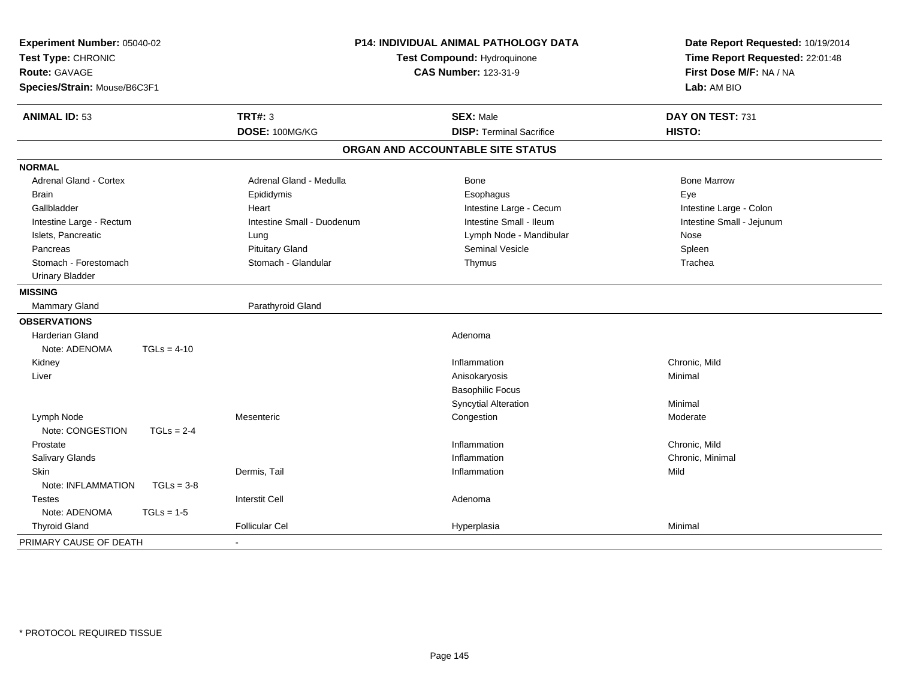| Experiment Number: 05040-02<br>Test Type: CHRONIC<br><b>Route: GAVAGE</b><br>Species/Strain: Mouse/B6C3F1 | P14: INDIVIDUAL ANIMAL PATHOLOGY DATA<br>Test Compound: Hydroquinone<br><b>CAS Number: 123-31-9</b> |                                   | Date Report Requested: 10/19/2014<br>Time Report Requested: 22:01:48<br>First Dose M/F: NA / NA<br>Lab: AM BIO |  |
|-----------------------------------------------------------------------------------------------------------|-----------------------------------------------------------------------------------------------------|-----------------------------------|----------------------------------------------------------------------------------------------------------------|--|
| <b>ANIMAL ID: 53</b>                                                                                      | <b>TRT#: 3</b>                                                                                      | <b>SEX: Male</b>                  | DAY ON TEST: 731                                                                                               |  |
|                                                                                                           | DOSE: 100MG/KG                                                                                      | <b>DISP: Terminal Sacrifice</b>   | HISTO:                                                                                                         |  |
|                                                                                                           |                                                                                                     | ORGAN AND ACCOUNTABLE SITE STATUS |                                                                                                                |  |
| <b>NORMAL</b>                                                                                             |                                                                                                     |                                   |                                                                                                                |  |
| Adrenal Gland - Cortex                                                                                    | Adrenal Gland - Medulla                                                                             | Bone                              | <b>Bone Marrow</b>                                                                                             |  |
| <b>Brain</b>                                                                                              | Epididymis                                                                                          | Esophagus                         | Eye                                                                                                            |  |
| Gallbladder                                                                                               | Heart                                                                                               | Intestine Large - Cecum           | Intestine Large - Colon                                                                                        |  |
| Intestine Large - Rectum                                                                                  | Intestine Small - Duodenum                                                                          | Intestine Small - Ileum           | Intestine Small - Jejunum                                                                                      |  |
| Islets, Pancreatic                                                                                        | Lung                                                                                                | Lymph Node - Mandibular           | Nose                                                                                                           |  |
| Pancreas                                                                                                  | <b>Pituitary Gland</b>                                                                              | Seminal Vesicle                   | Spleen                                                                                                         |  |
| Stomach - Forestomach                                                                                     | Stomach - Glandular                                                                                 | Thymus                            | Trachea                                                                                                        |  |
| <b>Urinary Bladder</b>                                                                                    |                                                                                                     |                                   |                                                                                                                |  |
| <b>MISSING</b>                                                                                            |                                                                                                     |                                   |                                                                                                                |  |
| Mammary Gland                                                                                             | Parathyroid Gland                                                                                   |                                   |                                                                                                                |  |
| <b>OBSERVATIONS</b>                                                                                       |                                                                                                     |                                   |                                                                                                                |  |
| <b>Harderian Gland</b>                                                                                    |                                                                                                     | Adenoma                           |                                                                                                                |  |
| Note: ADENOMA<br>$TGLs = 4-10$                                                                            |                                                                                                     |                                   |                                                                                                                |  |
| Kidney                                                                                                    |                                                                                                     | Inflammation                      | Chronic, Mild                                                                                                  |  |
| Liver                                                                                                     |                                                                                                     | Anisokaryosis                     | Minimal                                                                                                        |  |
|                                                                                                           |                                                                                                     | <b>Basophilic Focus</b>           |                                                                                                                |  |
|                                                                                                           |                                                                                                     | <b>Syncytial Alteration</b>       | Minimal                                                                                                        |  |
| Lymph Node                                                                                                | Mesenteric                                                                                          | Congestion                        | Moderate                                                                                                       |  |
| Note: CONGESTION<br>$TGLs = 2-4$                                                                          |                                                                                                     |                                   |                                                                                                                |  |
| Prostate                                                                                                  |                                                                                                     | Inflammation                      | Chronic, Mild                                                                                                  |  |
| Salivary Glands                                                                                           |                                                                                                     | Inflammation                      | Chronic, Minimal                                                                                               |  |
| <b>Skin</b>                                                                                               | Dermis, Tail                                                                                        | Inflammation                      | Mild                                                                                                           |  |
| Note: INFLAMMATION<br>$TGLs = 3-8$                                                                        |                                                                                                     |                                   |                                                                                                                |  |
| <b>Testes</b>                                                                                             | <b>Interstit Cell</b>                                                                               | Adenoma                           |                                                                                                                |  |
| Note: ADENOMA<br>$TGLs = 1-5$                                                                             |                                                                                                     |                                   |                                                                                                                |  |
| <b>Thyroid Gland</b>                                                                                      | <b>Follicular Cel</b>                                                                               | Hyperplasia                       | Minimal                                                                                                        |  |
| PRIMARY CAUSE OF DEATH                                                                                    |                                                                                                     |                                   |                                                                                                                |  |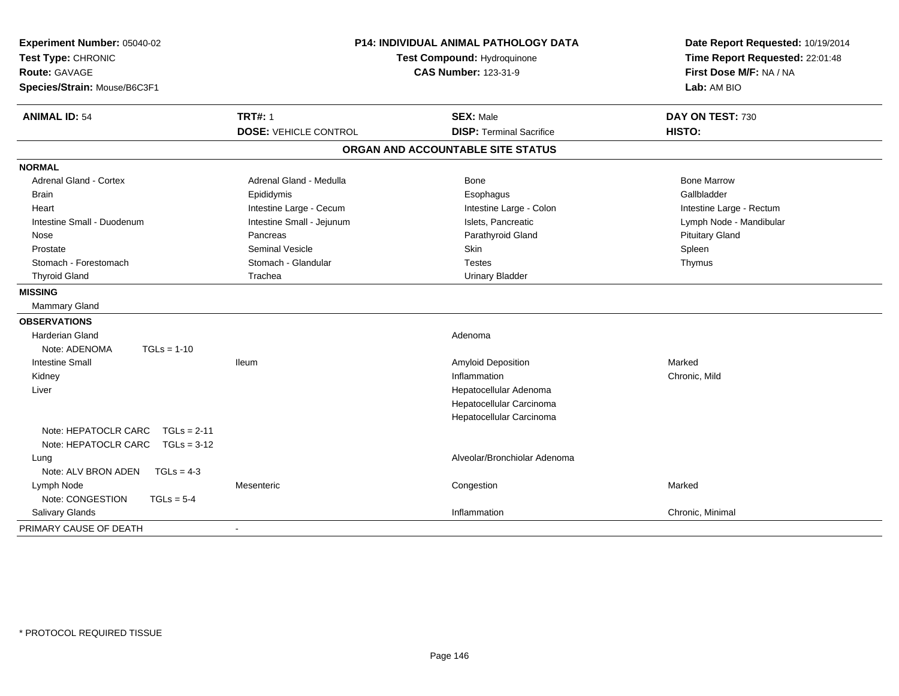| <b>TRT#: 1</b><br><b>ANIMAL ID: 54</b><br><b>SEX: Male</b><br>DAY ON TEST: 730<br><b>DOSE: VEHICLE CONTROL</b><br><b>DISP: Terminal Sacrifice</b><br>HISTO:<br>ORGAN AND ACCOUNTABLE SITE STATUS<br><b>Adrenal Gland - Cortex</b><br>Adrenal Gland - Medulla<br>Bone<br><b>Bone Marrow</b><br>Gallbladder<br><b>Brain</b><br>Epididymis<br>Esophagus<br>Intestine Large - Cecum<br>Intestine Large - Colon<br>Heart<br>Intestine Large - Rectum<br>Intestine Small - Duodenum<br>Intestine Small - Jejunum<br>Islets, Pancreatic<br>Lymph Node - Mandibular<br>Parathyroid Gland<br><b>Pituitary Gland</b><br>Pancreas<br>Nose<br><b>Seminal Vesicle</b><br>Skin<br>Spleen<br>Prostate<br>Stomach - Glandular<br>Stomach - Forestomach<br><b>Testes</b><br>Thymus<br><b>Thyroid Gland</b><br>Trachea<br><b>Urinary Bladder</b><br>Mammary Gland<br><b>Harderian Gland</b><br>Adenoma<br>Note: ADENOMA<br>$TGLs = 1-10$<br><b>Intestine Small</b><br><b>Amyloid Deposition</b><br>Marked<br><b>Ileum</b><br>Inflammation<br>Chronic, Mild<br>Kidney<br>Liver<br>Hepatocellular Adenoma<br>Hepatocellular Carcinoma<br>Hepatocellular Carcinoma<br>Note: HEPATOCLR CARC<br>$TGLs = 2-11$<br>Note: HEPATOCLR CARC<br>$TGLs = 3-12$<br>Alveolar/Bronchiolar Adenoma<br>Lung<br>Note: ALV BRON ADEN<br>$TGLs = 4-3$<br>Marked<br>Lymph Node<br>Mesenteric<br>Congestion<br>Note: CONGESTION<br>$TGLs = 5-4$<br>Salivary Glands<br>Inflammation<br>Chronic, Minimal<br>$\overline{\phantom{a}}$ | Experiment Number: 05040-02<br>Test Type: CHRONIC<br><b>Route: GAVAGE</b><br>Species/Strain: Mouse/B6C3F1 | <b>P14: INDIVIDUAL ANIMAL PATHOLOGY DATA</b><br>Test Compound: Hydroquinone<br><b>CAS Number: 123-31-9</b> | Date Report Requested: 10/19/2014<br>Time Report Requested: 22:01:48<br>First Dose M/F: NA / NA<br>Lab: AM BIO |
|-------------------------------------------------------------------------------------------------------------------------------------------------------------------------------------------------------------------------------------------------------------------------------------------------------------------------------------------------------------------------------------------------------------------------------------------------------------------------------------------------------------------------------------------------------------------------------------------------------------------------------------------------------------------------------------------------------------------------------------------------------------------------------------------------------------------------------------------------------------------------------------------------------------------------------------------------------------------------------------------------------------------------------------------------------------------------------------------------------------------------------------------------------------------------------------------------------------------------------------------------------------------------------------------------------------------------------------------------------------------------------------------------------------------------------------------------------------------------------------------|-----------------------------------------------------------------------------------------------------------|------------------------------------------------------------------------------------------------------------|----------------------------------------------------------------------------------------------------------------|
|                                                                                                                                                                                                                                                                                                                                                                                                                                                                                                                                                                                                                                                                                                                                                                                                                                                                                                                                                                                                                                                                                                                                                                                                                                                                                                                                                                                                                                                                                           |                                                                                                           |                                                                                                            |                                                                                                                |
|                                                                                                                                                                                                                                                                                                                                                                                                                                                                                                                                                                                                                                                                                                                                                                                                                                                                                                                                                                                                                                                                                                                                                                                                                                                                                                                                                                                                                                                                                           |                                                                                                           |                                                                                                            |                                                                                                                |
|                                                                                                                                                                                                                                                                                                                                                                                                                                                                                                                                                                                                                                                                                                                                                                                                                                                                                                                                                                                                                                                                                                                                                                                                                                                                                                                                                                                                                                                                                           |                                                                                                           |                                                                                                            |                                                                                                                |
|                                                                                                                                                                                                                                                                                                                                                                                                                                                                                                                                                                                                                                                                                                                                                                                                                                                                                                                                                                                                                                                                                                                                                                                                                                                                                                                                                                                                                                                                                           | <b>NORMAL</b>                                                                                             |                                                                                                            |                                                                                                                |
|                                                                                                                                                                                                                                                                                                                                                                                                                                                                                                                                                                                                                                                                                                                                                                                                                                                                                                                                                                                                                                                                                                                                                                                                                                                                                                                                                                                                                                                                                           |                                                                                                           |                                                                                                            |                                                                                                                |
|                                                                                                                                                                                                                                                                                                                                                                                                                                                                                                                                                                                                                                                                                                                                                                                                                                                                                                                                                                                                                                                                                                                                                                                                                                                                                                                                                                                                                                                                                           |                                                                                                           |                                                                                                            |                                                                                                                |
|                                                                                                                                                                                                                                                                                                                                                                                                                                                                                                                                                                                                                                                                                                                                                                                                                                                                                                                                                                                                                                                                                                                                                                                                                                                                                                                                                                                                                                                                                           |                                                                                                           |                                                                                                            |                                                                                                                |
|                                                                                                                                                                                                                                                                                                                                                                                                                                                                                                                                                                                                                                                                                                                                                                                                                                                                                                                                                                                                                                                                                                                                                                                                                                                                                                                                                                                                                                                                                           |                                                                                                           |                                                                                                            |                                                                                                                |
|                                                                                                                                                                                                                                                                                                                                                                                                                                                                                                                                                                                                                                                                                                                                                                                                                                                                                                                                                                                                                                                                                                                                                                                                                                                                                                                                                                                                                                                                                           |                                                                                                           |                                                                                                            |                                                                                                                |
|                                                                                                                                                                                                                                                                                                                                                                                                                                                                                                                                                                                                                                                                                                                                                                                                                                                                                                                                                                                                                                                                                                                                                                                                                                                                                                                                                                                                                                                                                           |                                                                                                           |                                                                                                            |                                                                                                                |
|                                                                                                                                                                                                                                                                                                                                                                                                                                                                                                                                                                                                                                                                                                                                                                                                                                                                                                                                                                                                                                                                                                                                                                                                                                                                                                                                                                                                                                                                                           |                                                                                                           |                                                                                                            |                                                                                                                |
|                                                                                                                                                                                                                                                                                                                                                                                                                                                                                                                                                                                                                                                                                                                                                                                                                                                                                                                                                                                                                                                                                                                                                                                                                                                                                                                                                                                                                                                                                           |                                                                                                           |                                                                                                            |                                                                                                                |
|                                                                                                                                                                                                                                                                                                                                                                                                                                                                                                                                                                                                                                                                                                                                                                                                                                                                                                                                                                                                                                                                                                                                                                                                                                                                                                                                                                                                                                                                                           | <b>MISSING</b>                                                                                            |                                                                                                            |                                                                                                                |
|                                                                                                                                                                                                                                                                                                                                                                                                                                                                                                                                                                                                                                                                                                                                                                                                                                                                                                                                                                                                                                                                                                                                                                                                                                                                                                                                                                                                                                                                                           |                                                                                                           |                                                                                                            |                                                                                                                |
|                                                                                                                                                                                                                                                                                                                                                                                                                                                                                                                                                                                                                                                                                                                                                                                                                                                                                                                                                                                                                                                                                                                                                                                                                                                                                                                                                                                                                                                                                           | <b>OBSERVATIONS</b>                                                                                       |                                                                                                            |                                                                                                                |
|                                                                                                                                                                                                                                                                                                                                                                                                                                                                                                                                                                                                                                                                                                                                                                                                                                                                                                                                                                                                                                                                                                                                                                                                                                                                                                                                                                                                                                                                                           |                                                                                                           |                                                                                                            |                                                                                                                |
|                                                                                                                                                                                                                                                                                                                                                                                                                                                                                                                                                                                                                                                                                                                                                                                                                                                                                                                                                                                                                                                                                                                                                                                                                                                                                                                                                                                                                                                                                           |                                                                                                           |                                                                                                            |                                                                                                                |
|                                                                                                                                                                                                                                                                                                                                                                                                                                                                                                                                                                                                                                                                                                                                                                                                                                                                                                                                                                                                                                                                                                                                                                                                                                                                                                                                                                                                                                                                                           |                                                                                                           |                                                                                                            |                                                                                                                |
|                                                                                                                                                                                                                                                                                                                                                                                                                                                                                                                                                                                                                                                                                                                                                                                                                                                                                                                                                                                                                                                                                                                                                                                                                                                                                                                                                                                                                                                                                           |                                                                                                           |                                                                                                            |                                                                                                                |
|                                                                                                                                                                                                                                                                                                                                                                                                                                                                                                                                                                                                                                                                                                                                                                                                                                                                                                                                                                                                                                                                                                                                                                                                                                                                                                                                                                                                                                                                                           |                                                                                                           |                                                                                                            |                                                                                                                |
|                                                                                                                                                                                                                                                                                                                                                                                                                                                                                                                                                                                                                                                                                                                                                                                                                                                                                                                                                                                                                                                                                                                                                                                                                                                                                                                                                                                                                                                                                           |                                                                                                           |                                                                                                            |                                                                                                                |
|                                                                                                                                                                                                                                                                                                                                                                                                                                                                                                                                                                                                                                                                                                                                                                                                                                                                                                                                                                                                                                                                                                                                                                                                                                                                                                                                                                                                                                                                                           |                                                                                                           |                                                                                                            |                                                                                                                |
|                                                                                                                                                                                                                                                                                                                                                                                                                                                                                                                                                                                                                                                                                                                                                                                                                                                                                                                                                                                                                                                                                                                                                                                                                                                                                                                                                                                                                                                                                           |                                                                                                           |                                                                                                            |                                                                                                                |
|                                                                                                                                                                                                                                                                                                                                                                                                                                                                                                                                                                                                                                                                                                                                                                                                                                                                                                                                                                                                                                                                                                                                                                                                                                                                                                                                                                                                                                                                                           |                                                                                                           |                                                                                                            |                                                                                                                |
|                                                                                                                                                                                                                                                                                                                                                                                                                                                                                                                                                                                                                                                                                                                                                                                                                                                                                                                                                                                                                                                                                                                                                                                                                                                                                                                                                                                                                                                                                           |                                                                                                           |                                                                                                            |                                                                                                                |
|                                                                                                                                                                                                                                                                                                                                                                                                                                                                                                                                                                                                                                                                                                                                                                                                                                                                                                                                                                                                                                                                                                                                                                                                                                                                                                                                                                                                                                                                                           |                                                                                                           |                                                                                                            |                                                                                                                |
|                                                                                                                                                                                                                                                                                                                                                                                                                                                                                                                                                                                                                                                                                                                                                                                                                                                                                                                                                                                                                                                                                                                                                                                                                                                                                                                                                                                                                                                                                           |                                                                                                           |                                                                                                            |                                                                                                                |
|                                                                                                                                                                                                                                                                                                                                                                                                                                                                                                                                                                                                                                                                                                                                                                                                                                                                                                                                                                                                                                                                                                                                                                                                                                                                                                                                                                                                                                                                                           |                                                                                                           |                                                                                                            |                                                                                                                |
|                                                                                                                                                                                                                                                                                                                                                                                                                                                                                                                                                                                                                                                                                                                                                                                                                                                                                                                                                                                                                                                                                                                                                                                                                                                                                                                                                                                                                                                                                           | PRIMARY CAUSE OF DEATH                                                                                    |                                                                                                            |                                                                                                                |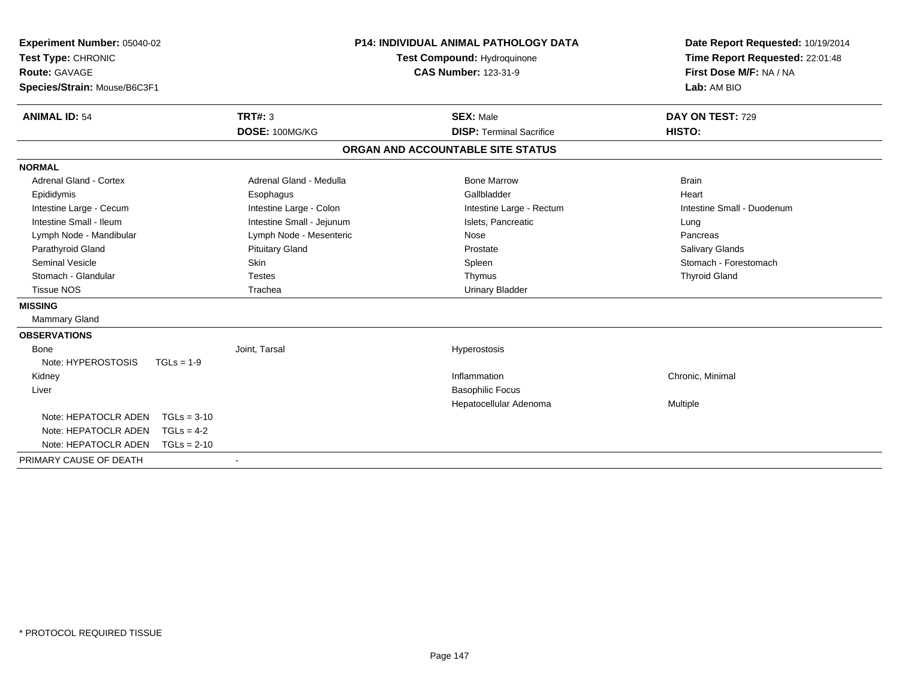| Experiment Number: 05040-02<br>Test Type: CHRONIC<br><b>Route: GAVAGE</b><br>Species/Strain: Mouse/B6C3F1<br><b>ANIMAL ID: 54</b> |               | TRT#: 3<br>DOSE: 100MG/KG | <b>P14: INDIVIDUAL ANIMAL PATHOLOGY DATA</b><br><b>Test Compound: Hydroquinone</b><br><b>CAS Number: 123-31-9</b><br><b>SEX: Male</b><br><b>DISP: Terminal Sacrifice</b> |                                   | Date Report Requested: 10/19/2014<br>Time Report Requested: 22:01:48<br>First Dose M/F: NA / NA<br>Lab: AM BIO<br>DAY ON TEST: 729<br>HISTO: |
|-----------------------------------------------------------------------------------------------------------------------------------|---------------|---------------------------|--------------------------------------------------------------------------------------------------------------------------------------------------------------------------|-----------------------------------|----------------------------------------------------------------------------------------------------------------------------------------------|
|                                                                                                                                   |               |                           |                                                                                                                                                                          | ORGAN AND ACCOUNTABLE SITE STATUS |                                                                                                                                              |
| <b>NORMAL</b>                                                                                                                     |               |                           |                                                                                                                                                                          |                                   |                                                                                                                                              |
| <b>Adrenal Gland - Cortex</b>                                                                                                     |               | Adrenal Gland - Medulla   |                                                                                                                                                                          | <b>Bone Marrow</b>                | <b>Brain</b>                                                                                                                                 |
| Epididymis                                                                                                                        |               | Esophagus                 |                                                                                                                                                                          | Gallbladder                       | Heart                                                                                                                                        |
| Intestine Large - Cecum                                                                                                           |               | Intestine Large - Colon   |                                                                                                                                                                          | Intestine Large - Rectum          | Intestine Small - Duodenum                                                                                                                   |
| Intestine Small - Ileum                                                                                                           |               | Intestine Small - Jejunum |                                                                                                                                                                          | Islets, Pancreatic                | Lung                                                                                                                                         |
| Lymph Node - Mandibular                                                                                                           |               | Lymph Node - Mesenteric   |                                                                                                                                                                          | Nose                              | Pancreas                                                                                                                                     |
| Parathyroid Gland                                                                                                                 |               | <b>Pituitary Gland</b>    |                                                                                                                                                                          | Prostate                          | <b>Salivary Glands</b>                                                                                                                       |
| Seminal Vesicle                                                                                                                   |               | <b>Skin</b>               |                                                                                                                                                                          | Spleen                            | Stomach - Forestomach                                                                                                                        |
| Stomach - Glandular                                                                                                               |               | <b>Testes</b>             |                                                                                                                                                                          | Thymus                            | <b>Thyroid Gland</b>                                                                                                                         |
| <b>Tissue NOS</b>                                                                                                                 |               | Trachea                   |                                                                                                                                                                          | <b>Urinary Bladder</b>            |                                                                                                                                              |
| <b>MISSING</b>                                                                                                                    |               |                           |                                                                                                                                                                          |                                   |                                                                                                                                              |
| Mammary Gland                                                                                                                     |               |                           |                                                                                                                                                                          |                                   |                                                                                                                                              |
| <b>OBSERVATIONS</b>                                                                                                               |               |                           |                                                                                                                                                                          |                                   |                                                                                                                                              |
| <b>Bone</b>                                                                                                                       |               | Joint, Tarsal             |                                                                                                                                                                          | Hyperostosis                      |                                                                                                                                              |
| Note: HYPEROSTOSIS                                                                                                                | $TGLs = 1-9$  |                           |                                                                                                                                                                          |                                   |                                                                                                                                              |
| Kidney                                                                                                                            |               |                           |                                                                                                                                                                          | Inflammation                      | Chronic, Minimal                                                                                                                             |
| Liver                                                                                                                             |               |                           |                                                                                                                                                                          | <b>Basophilic Focus</b>           |                                                                                                                                              |
|                                                                                                                                   |               |                           |                                                                                                                                                                          | Hepatocellular Adenoma            | Multiple                                                                                                                                     |
| Note: HEPATOCLR ADEN                                                                                                              | $TGLs = 3-10$ |                           |                                                                                                                                                                          |                                   |                                                                                                                                              |
| Note: HEPATOCLR ADEN                                                                                                              | $TGLs = 4-2$  |                           |                                                                                                                                                                          |                                   |                                                                                                                                              |
| Note: HEPATOCLR ADEN                                                                                                              | $TGLs = 2-10$ |                           |                                                                                                                                                                          |                                   |                                                                                                                                              |
| PRIMARY CAUSE OF DEATH                                                                                                            |               |                           |                                                                                                                                                                          |                                   |                                                                                                                                              |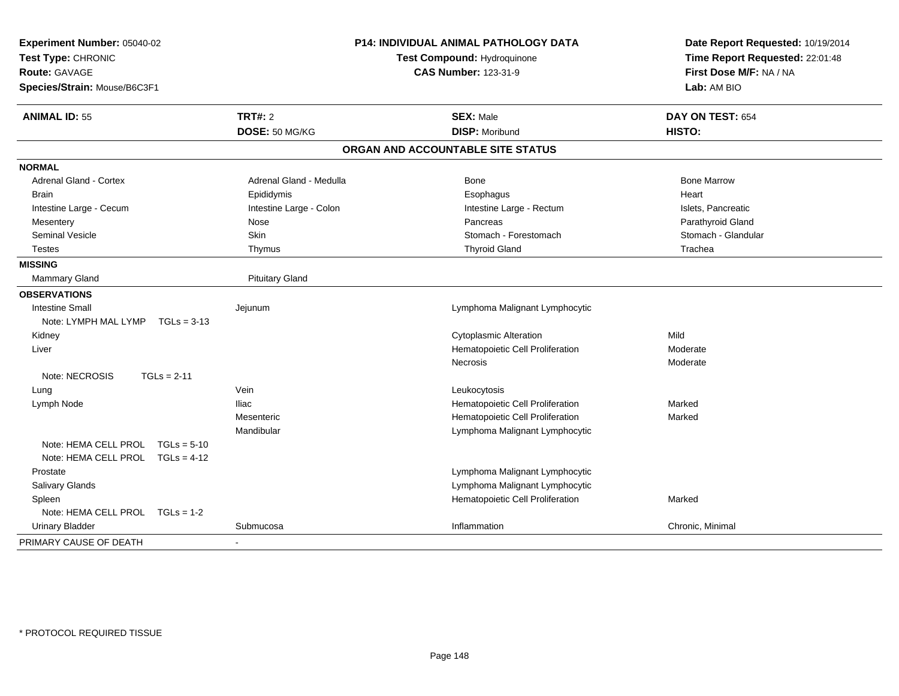| Experiment Number: 05040-02<br>Test Type: CHRONIC<br>Route: GAVAGE<br>Species/Strain: Mouse/B6C3F1 |                         | P14: INDIVIDUAL ANIMAL PATHOLOGY DATA<br>Test Compound: Hydroquinone<br><b>CAS Number: 123-31-9</b> | Date Report Requested: 10/19/2014<br>Time Report Requested: 22:01:48<br>First Dose M/F: NA / NA<br>Lab: AM BIO |  |
|----------------------------------------------------------------------------------------------------|-------------------------|-----------------------------------------------------------------------------------------------------|----------------------------------------------------------------------------------------------------------------|--|
| <b>ANIMAL ID: 55</b>                                                                               | <b>TRT#: 2</b>          | <b>SEX: Male</b>                                                                                    | DAY ON TEST: 654                                                                                               |  |
|                                                                                                    | DOSE: 50 MG/KG          | <b>DISP: Moribund</b>                                                                               | HISTO:                                                                                                         |  |
|                                                                                                    |                         | ORGAN AND ACCOUNTABLE SITE STATUS                                                                   |                                                                                                                |  |
| <b>NORMAL</b>                                                                                      |                         |                                                                                                     |                                                                                                                |  |
| Adrenal Gland - Cortex                                                                             | Adrenal Gland - Medulla | Bone                                                                                                | <b>Bone Marrow</b>                                                                                             |  |
| <b>Brain</b>                                                                                       | Epididymis              | Esophagus                                                                                           | Heart                                                                                                          |  |
| Intestine Large - Cecum                                                                            | Intestine Large - Colon | Intestine Large - Rectum                                                                            | Islets, Pancreatic                                                                                             |  |
| Mesentery                                                                                          | Nose                    | Pancreas                                                                                            | Parathyroid Gland                                                                                              |  |
| <b>Seminal Vesicle</b>                                                                             | <b>Skin</b>             | Stomach - Forestomach                                                                               | Stomach - Glandular                                                                                            |  |
| <b>Testes</b>                                                                                      | Thymus                  | <b>Thyroid Gland</b>                                                                                | Trachea                                                                                                        |  |
| <b>MISSING</b>                                                                                     |                         |                                                                                                     |                                                                                                                |  |
| Mammary Gland                                                                                      | <b>Pituitary Gland</b>  |                                                                                                     |                                                                                                                |  |
| <b>OBSERVATIONS</b>                                                                                |                         |                                                                                                     |                                                                                                                |  |
| <b>Intestine Small</b>                                                                             | Jejunum                 | Lymphoma Malignant Lymphocytic                                                                      |                                                                                                                |  |
| Note: LYMPH MAL LYMP<br>$TGLs = 3-13$                                                              |                         |                                                                                                     |                                                                                                                |  |
| Kidney                                                                                             |                         | <b>Cytoplasmic Alteration</b>                                                                       | Mild                                                                                                           |  |
| Liver                                                                                              |                         | Hematopoietic Cell Proliferation                                                                    | Moderate                                                                                                       |  |
|                                                                                                    |                         | <b>Necrosis</b>                                                                                     | Moderate                                                                                                       |  |
| Note: NECROSIS<br>$TGLs = 2-11$                                                                    |                         |                                                                                                     |                                                                                                                |  |
| Lung                                                                                               | Vein                    | Leukocytosis                                                                                        |                                                                                                                |  |
| Lymph Node                                                                                         | <b>Iliac</b>            | Hematopoietic Cell Proliferation                                                                    | Marked                                                                                                         |  |
|                                                                                                    | Mesenteric              | Hematopoietic Cell Proliferation                                                                    | Marked                                                                                                         |  |
|                                                                                                    | Mandibular              | Lymphoma Malignant Lymphocytic                                                                      |                                                                                                                |  |
| Note: HEMA CELL PROL<br>$TGLs = 5-10$                                                              |                         |                                                                                                     |                                                                                                                |  |
| Note: HEMA CELL PROL $TGLs = 4-12$                                                                 |                         |                                                                                                     |                                                                                                                |  |
| Prostate                                                                                           |                         | Lymphoma Malignant Lymphocytic                                                                      |                                                                                                                |  |
| Salivary Glands                                                                                    |                         | Lymphoma Malignant Lymphocytic                                                                      |                                                                                                                |  |
| Spleen                                                                                             |                         | Hematopoietic Cell Proliferation                                                                    | Marked                                                                                                         |  |
| Note: HEMA CELL PROL TGLs = 1-2                                                                    |                         |                                                                                                     |                                                                                                                |  |
| <b>Urinary Bladder</b>                                                                             | Submucosa               | Inflammation                                                                                        | Chronic, Minimal                                                                                               |  |
| PRIMARY CAUSE OF DEATH                                                                             |                         |                                                                                                     |                                                                                                                |  |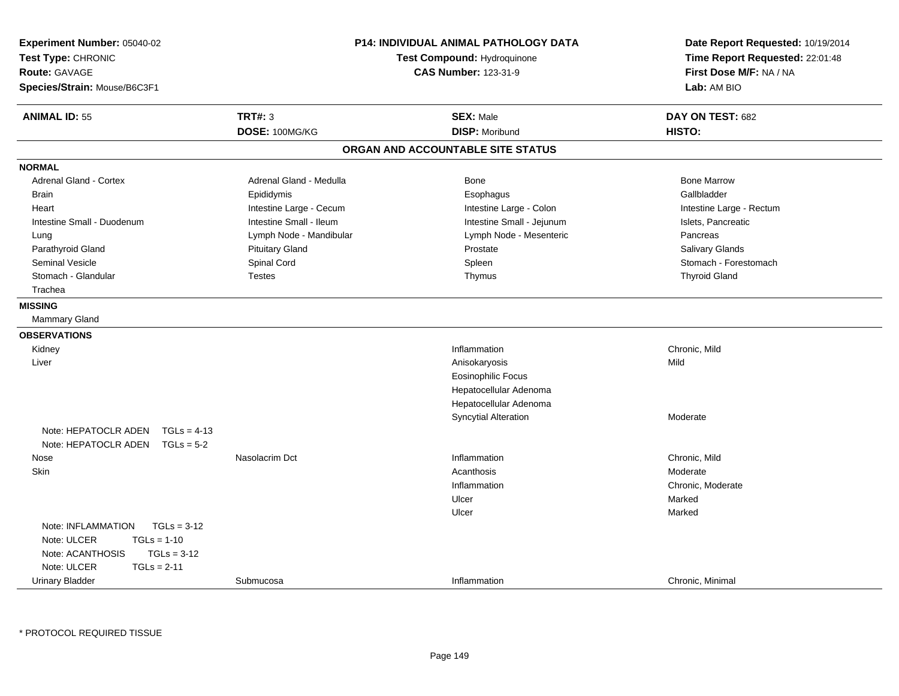| Experiment Number: 05040-02<br>Test Type: CHRONIC<br><b>Route: GAVAGE</b><br>Species/Strain: Mouse/B6C3F1 | <b>P14: INDIVIDUAL ANIMAL PATHOLOGY DATA</b><br>Test Compound: Hydroquinone<br><b>CAS Number: 123-31-9</b> |                                   | Date Report Requested: 10/19/2014<br>Time Report Requested: 22:01:48<br>First Dose M/F: NA / NA<br>Lab: AM BIO |  |
|-----------------------------------------------------------------------------------------------------------|------------------------------------------------------------------------------------------------------------|-----------------------------------|----------------------------------------------------------------------------------------------------------------|--|
| <b>ANIMAL ID: 55</b>                                                                                      | <b>TRT#: 3</b>                                                                                             | <b>SEX: Male</b>                  | DAY ON TEST: 682                                                                                               |  |
|                                                                                                           | DOSE: 100MG/KG                                                                                             | <b>DISP: Moribund</b>             | HISTO:                                                                                                         |  |
|                                                                                                           |                                                                                                            | ORGAN AND ACCOUNTABLE SITE STATUS |                                                                                                                |  |
| <b>NORMAL</b>                                                                                             |                                                                                                            |                                   |                                                                                                                |  |
| <b>Adrenal Gland - Cortex</b>                                                                             | Adrenal Gland - Medulla                                                                                    | Bone                              | <b>Bone Marrow</b>                                                                                             |  |
| <b>Brain</b>                                                                                              | Epididymis                                                                                                 | Esophagus                         | Gallbladder                                                                                                    |  |
| Heart                                                                                                     | Intestine Large - Cecum                                                                                    | Intestine Large - Colon           | Intestine Large - Rectum                                                                                       |  |
| Intestine Small - Duodenum                                                                                | Intestine Small - Ileum                                                                                    | Intestine Small - Jejunum         | Islets, Pancreatic                                                                                             |  |
| Lung                                                                                                      | Lymph Node - Mandibular                                                                                    | Lymph Node - Mesenteric           | Pancreas                                                                                                       |  |
| Parathyroid Gland                                                                                         | <b>Pituitary Gland</b>                                                                                     | Prostate                          | Salivary Glands                                                                                                |  |
| Seminal Vesicle                                                                                           | Spinal Cord                                                                                                | Spleen                            | Stomach - Forestomach                                                                                          |  |
| Stomach - Glandular                                                                                       | <b>Testes</b>                                                                                              | Thymus                            | <b>Thyroid Gland</b>                                                                                           |  |
| Trachea                                                                                                   |                                                                                                            |                                   |                                                                                                                |  |
| <b>MISSING</b>                                                                                            |                                                                                                            |                                   |                                                                                                                |  |
| Mammary Gland                                                                                             |                                                                                                            |                                   |                                                                                                                |  |
| <b>OBSERVATIONS</b>                                                                                       |                                                                                                            |                                   |                                                                                                                |  |
| Kidney                                                                                                    |                                                                                                            | Inflammation                      | Chronic, Mild                                                                                                  |  |
| Liver                                                                                                     |                                                                                                            | Anisokaryosis                     | Mild                                                                                                           |  |
|                                                                                                           |                                                                                                            | <b>Eosinophilic Focus</b>         |                                                                                                                |  |
|                                                                                                           |                                                                                                            | Hepatocellular Adenoma            |                                                                                                                |  |
|                                                                                                           |                                                                                                            | Hepatocellular Adenoma            |                                                                                                                |  |
|                                                                                                           |                                                                                                            | <b>Syncytial Alteration</b>       | Moderate                                                                                                       |  |
| Note: HEPATOCLR ADEN<br>$TGLs = 4-13$                                                                     |                                                                                                            |                                   |                                                                                                                |  |
| Note: HEPATOCLR ADEN<br>$TGLs = 5-2$                                                                      |                                                                                                            |                                   |                                                                                                                |  |
| Nose                                                                                                      | Nasolacrim Dct                                                                                             | Inflammation                      | Chronic, Mild                                                                                                  |  |
| Skin                                                                                                      |                                                                                                            | Acanthosis                        | Moderate                                                                                                       |  |
|                                                                                                           |                                                                                                            | Inflammation                      | Chronic, Moderate                                                                                              |  |
|                                                                                                           |                                                                                                            | Ulcer                             | Marked                                                                                                         |  |
|                                                                                                           |                                                                                                            | Ulcer                             | Marked                                                                                                         |  |
| $TGLs = 3-12$<br>Note: INFLAMMATION                                                                       |                                                                                                            |                                   |                                                                                                                |  |
| Note: ULCER<br>$TGLs = 1-10$                                                                              |                                                                                                            |                                   |                                                                                                                |  |
| Note: ACANTHOSIS<br>$TGLs = 3-12$                                                                         |                                                                                                            |                                   |                                                                                                                |  |
| Note: ULCER<br>$TGLs = 2-11$                                                                              |                                                                                                            |                                   |                                                                                                                |  |
| <b>Urinary Bladder</b>                                                                                    | Submucosa                                                                                                  | Inflammation                      | Chronic, Minimal                                                                                               |  |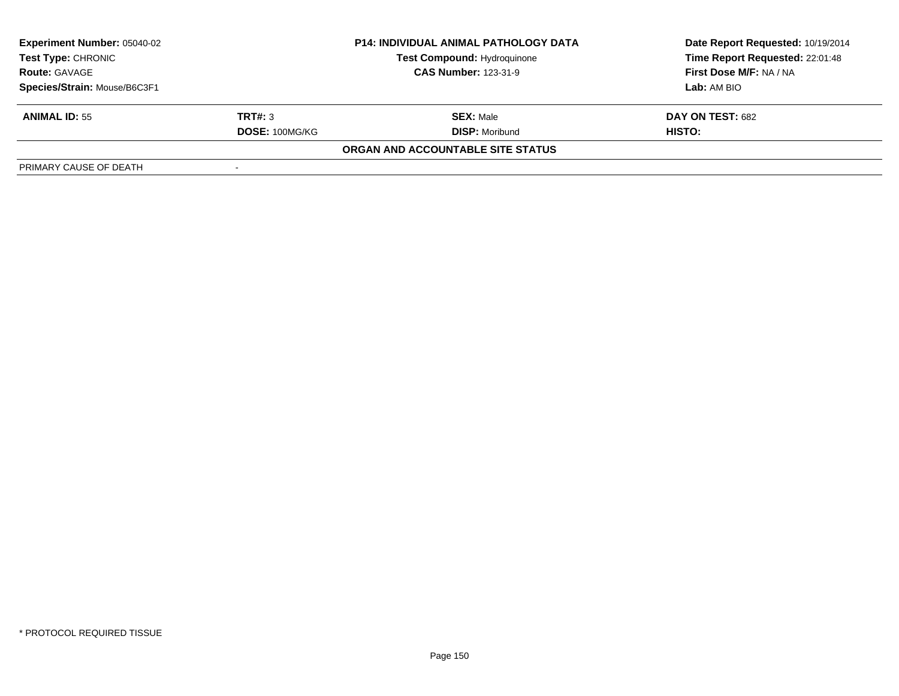| <b>Experiment Number: 05040-02</b> |                             | <b>P14: INDIVIDUAL ANIMAL PATHOLOGY DATA</b> | Date Report Requested: 10/19/2014 |
|------------------------------------|-----------------------------|----------------------------------------------|-----------------------------------|
| <b>Test Type: CHRONIC</b>          | Test Compound: Hydroquinone |                                              | Time Report Requested: 22:01:48   |
| <b>Route: GAVAGE</b>               |                             | <b>CAS Number: 123-31-9</b>                  | First Dose M/F: NA / NA           |
| Species/Strain: Mouse/B6C3F1       |                             |                                              | Lab: AM BIO                       |
| <b>ANIMAL ID: 55</b>               | TRT#: 3                     | <b>SEX: Male</b>                             | <b>DAY ON TEST: 682</b>           |
|                                    | DOSE: 100MG/KG              | <b>DISP: Moribund</b>                        | <b>HISTO:</b>                     |
|                                    |                             | ORGAN AND ACCOUNTABLE SITE STATUS            |                                   |
| PRIMARY CAUSE OF DEATH             |                             |                                              |                                   |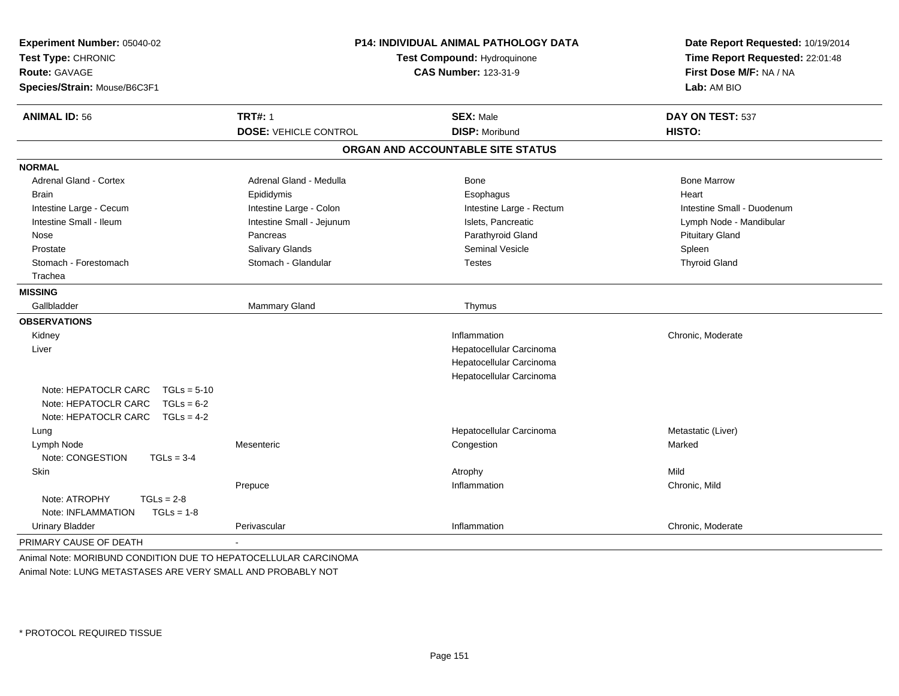| Experiment Number: 05040-02<br>Test Type: CHRONIC<br><b>Route: GAVAGE</b><br>Species/Strain: Mouse/B6C3F1             | P14: INDIVIDUAL ANIMAL PATHOLOGY DATA<br>Test Compound: Hydroquinone<br><b>CAS Number: 123-31-9</b> |                                   | Date Report Requested: 10/19/2014<br>Time Report Requested: 22:01:48<br>First Dose M/F: NA / NA<br>Lab: AM BIO |  |
|-----------------------------------------------------------------------------------------------------------------------|-----------------------------------------------------------------------------------------------------|-----------------------------------|----------------------------------------------------------------------------------------------------------------|--|
| <b>ANIMAL ID: 56</b>                                                                                                  | <b>TRT#: 1</b>                                                                                      | <b>SEX: Male</b>                  | DAY ON TEST: 537                                                                                               |  |
|                                                                                                                       | <b>DOSE: VEHICLE CONTROL</b>                                                                        | <b>DISP: Moribund</b>             | HISTO:                                                                                                         |  |
|                                                                                                                       |                                                                                                     | ORGAN AND ACCOUNTABLE SITE STATUS |                                                                                                                |  |
| <b>NORMAL</b>                                                                                                         |                                                                                                     |                                   |                                                                                                                |  |
| <b>Adrenal Gland - Cortex</b>                                                                                         | Adrenal Gland - Medulla                                                                             | <b>Bone</b>                       | <b>Bone Marrow</b>                                                                                             |  |
| <b>Brain</b>                                                                                                          | Epididymis                                                                                          | Esophagus                         | Heart                                                                                                          |  |
| Intestine Large - Cecum                                                                                               | Intestine Large - Colon                                                                             | Intestine Large - Rectum          | Intestine Small - Duodenum                                                                                     |  |
| Intestine Small - Ileum                                                                                               | Intestine Small - Jejunum                                                                           | Islets, Pancreatic                | Lymph Node - Mandibular                                                                                        |  |
| Nose                                                                                                                  | Pancreas                                                                                            | Parathyroid Gland                 | <b>Pituitary Gland</b>                                                                                         |  |
| Prostate                                                                                                              | Salivary Glands                                                                                     | Seminal Vesicle                   | Spleen                                                                                                         |  |
| Stomach - Forestomach                                                                                                 | Stomach - Glandular                                                                                 | <b>Testes</b>                     | <b>Thyroid Gland</b>                                                                                           |  |
| Trachea                                                                                                               |                                                                                                     |                                   |                                                                                                                |  |
| <b>MISSING</b>                                                                                                        |                                                                                                     |                                   |                                                                                                                |  |
| Gallbladder                                                                                                           | <b>Mammary Gland</b>                                                                                | Thymus                            |                                                                                                                |  |
| <b>OBSERVATIONS</b>                                                                                                   |                                                                                                     |                                   |                                                                                                                |  |
| Kidney                                                                                                                |                                                                                                     | Inflammation                      | Chronic, Moderate                                                                                              |  |
| Liver                                                                                                                 |                                                                                                     | Hepatocellular Carcinoma          |                                                                                                                |  |
|                                                                                                                       |                                                                                                     | Hepatocellular Carcinoma          |                                                                                                                |  |
|                                                                                                                       |                                                                                                     | Hepatocellular Carcinoma          |                                                                                                                |  |
| Note: HEPATOCLR CARC<br>$TGLs = 5-10$<br>Note: HEPATOCLR CARC<br>$TGLs = 6-2$<br>Note: HEPATOCLR CARC<br>$TGLs = 4-2$ |                                                                                                     |                                   |                                                                                                                |  |
| Lung                                                                                                                  |                                                                                                     | Hepatocellular Carcinoma          | Metastatic (Liver)                                                                                             |  |
| Lymph Node<br>Note: CONGESTION<br>$TGLs = 3-4$                                                                        | Mesenteric                                                                                          | Congestion                        | Marked                                                                                                         |  |
| Skin                                                                                                                  |                                                                                                     | Atrophy                           | Mild                                                                                                           |  |
|                                                                                                                       | Prepuce                                                                                             | Inflammation                      | Chronic, Mild                                                                                                  |  |
| Note: ATROPHY<br>$TGLs = 2-8$<br>Note: INFLAMMATION<br>$TGLs = 1-8$                                                   |                                                                                                     |                                   |                                                                                                                |  |
| <b>Urinary Bladder</b>                                                                                                | Perivascular                                                                                        | Inflammation                      | Chronic, Moderate                                                                                              |  |
| PRIMARY CAUSE OF DEATH                                                                                                |                                                                                                     |                                   |                                                                                                                |  |

Animal Note: MORIBUND CONDITION DUE TO HEPATOCELLULAR CARCINOMAAnimal Note: LUNG METASTASES ARE VERY SMALL AND PROBABLY NOT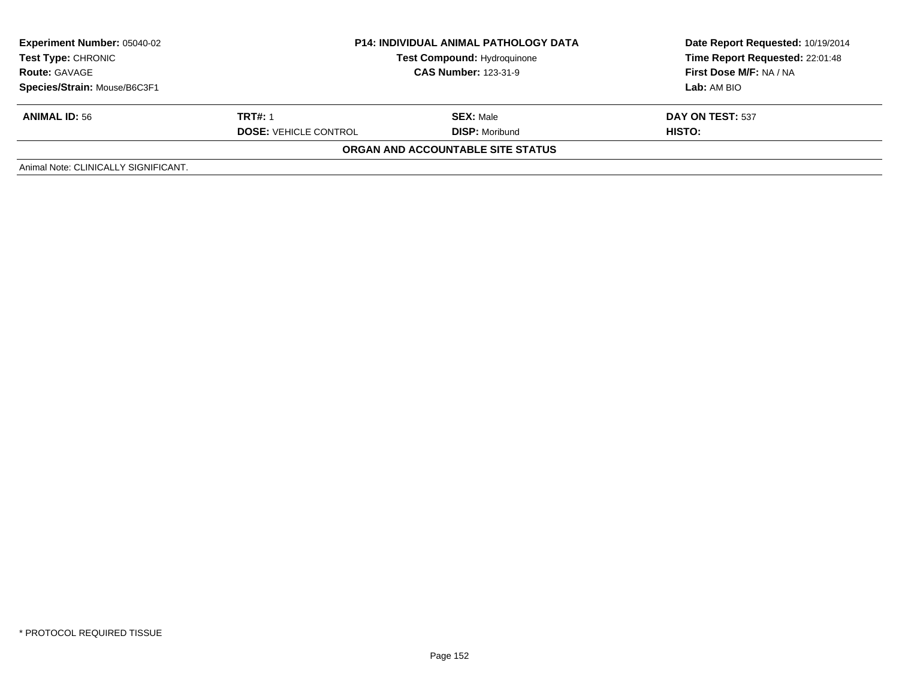| <b>Experiment Number: 05040-02</b><br>Test Type: CHRONIC<br><b>Route: GAVAGE</b> | <b>P14: INDIVIDUAL ANIMAL PATHOLOGY DATA</b><br>Test Compound: Hydroquinone<br><b>CAS Number: 123-31-9</b> |                                   | Date Report Requested: 10/19/2014<br>Time Report Requested: 22:01:48<br>First Dose M/F: NA / NA |
|----------------------------------------------------------------------------------|------------------------------------------------------------------------------------------------------------|-----------------------------------|-------------------------------------------------------------------------------------------------|
| Species/Strain: Mouse/B6C3F1                                                     |                                                                                                            |                                   | Lab: AM BIO                                                                                     |
| <b>ANIMAL ID: 56</b>                                                             | <b>TRT#: 1</b>                                                                                             | <b>SEX: Male</b>                  | DAY ON TEST: 537                                                                                |
|                                                                                  | <b>DOSE: VEHICLE CONTROL</b>                                                                               | <b>DISP:</b> Moribund             | HISTO:                                                                                          |
|                                                                                  |                                                                                                            | ORGAN AND ACCOUNTABLE SITE STATUS |                                                                                                 |
| Animal Note: CLINICALLY SIGNIFICANT.                                             |                                                                                                            |                                   |                                                                                                 |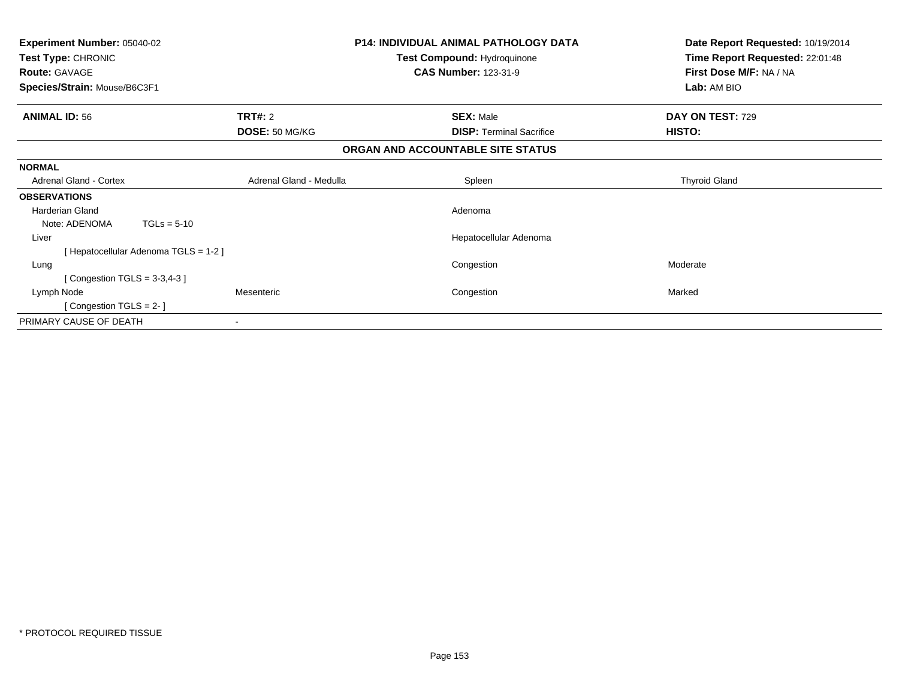| <b>Experiment Number: 05040-02</b><br>Test Type: CHRONIC<br><b>Route: GAVAGE</b> |                         | <b>P14: INDIVIDUAL ANIMAL PATHOLOGY DATA</b><br>Test Compound: Hydroquinone<br><b>CAS Number: 123-31-9</b> | Date Report Requested: 10/19/2014<br>Time Report Requested: 22:01:48<br>First Dose M/F: NA / NA |
|----------------------------------------------------------------------------------|-------------------------|------------------------------------------------------------------------------------------------------------|-------------------------------------------------------------------------------------------------|
| Species/Strain: Mouse/B6C3F1                                                     |                         |                                                                                                            | Lab: AM BIO                                                                                     |
| <b>ANIMAL ID: 56</b>                                                             | <b>TRT#: 2</b>          | <b>SEX: Male</b>                                                                                           | DAY ON TEST: 729                                                                                |
|                                                                                  | DOSE: 50 MG/KG          | <b>DISP:</b> Terminal Sacrifice                                                                            | HISTO:                                                                                          |
|                                                                                  |                         | ORGAN AND ACCOUNTABLE SITE STATUS                                                                          |                                                                                                 |
| <b>NORMAL</b>                                                                    |                         |                                                                                                            |                                                                                                 |
| <b>Adrenal Gland - Cortex</b>                                                    | Adrenal Gland - Medulla | Spleen                                                                                                     | <b>Thyroid Gland</b>                                                                            |
| <b>OBSERVATIONS</b>                                                              |                         |                                                                                                            |                                                                                                 |
| <b>Harderian Gland</b>                                                           |                         | Adenoma                                                                                                    |                                                                                                 |
| Note: ADENOMA<br>$TGLs = 5-10$                                                   |                         |                                                                                                            |                                                                                                 |
| Liver                                                                            |                         | Hepatocellular Adenoma                                                                                     |                                                                                                 |
| [Hepatocellular Adenoma TGLS = 1-2]                                              |                         |                                                                                                            |                                                                                                 |
| Lung                                                                             |                         | Congestion                                                                                                 | Moderate                                                                                        |
| Congestion $TGLS = 3-3,4-3$                                                      |                         |                                                                                                            |                                                                                                 |
| Lymph Node                                                                       | Mesenteric              | Congestion                                                                                                 | Marked                                                                                          |
| Congestion TGLS = 2-1                                                            |                         |                                                                                                            |                                                                                                 |
| PRIMARY CAUSE OF DEATH                                                           |                         |                                                                                                            |                                                                                                 |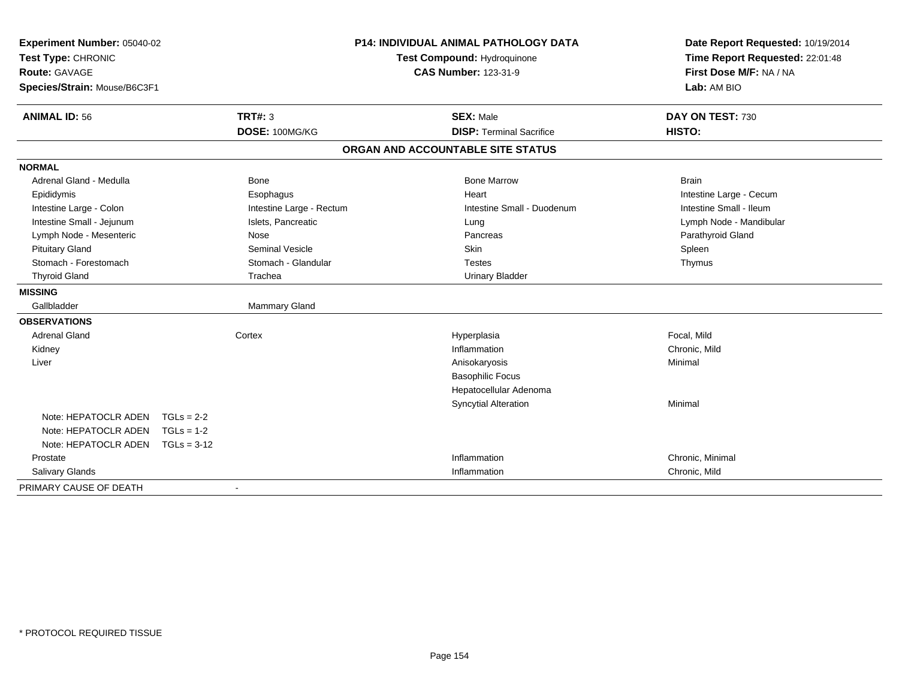| Experiment Number: 05040-02  |               |                          | <b>P14: INDIVIDUAL ANIMAL PATHOLOGY DATA</b> | Date Report Requested: 10/19/2014 |
|------------------------------|---------------|--------------------------|----------------------------------------------|-----------------------------------|
| Test Type: CHRONIC           |               |                          | Test Compound: Hydroquinone                  | Time Report Requested: 22:01:48   |
| Route: GAVAGE                |               |                          | <b>CAS Number: 123-31-9</b>                  | First Dose M/F: NA / NA           |
| Species/Strain: Mouse/B6C3F1 |               |                          |                                              | Lab: AM BIO                       |
| <b>ANIMAL ID: 56</b>         |               | <b>TRT#: 3</b>           | <b>SEX: Male</b>                             | DAY ON TEST: 730                  |
|                              |               | DOSE: 100MG/KG           | <b>DISP: Terminal Sacrifice</b>              | HISTO:                            |
|                              |               |                          | ORGAN AND ACCOUNTABLE SITE STATUS            |                                   |
| <b>NORMAL</b>                |               |                          |                                              |                                   |
| Adrenal Gland - Medulla      |               | <b>Bone</b>              | <b>Bone Marrow</b>                           | <b>Brain</b>                      |
| Epididymis                   |               | Esophagus                | Heart                                        | Intestine Large - Cecum           |
| Intestine Large - Colon      |               | Intestine Large - Rectum | Intestine Small - Duodenum                   | Intestine Small - Ileum           |
| Intestine Small - Jejunum    |               | Islets, Pancreatic       | Lung                                         | Lymph Node - Mandibular           |
| Lymph Node - Mesenteric      |               | <b>Nose</b>              | Pancreas                                     | Parathyroid Gland                 |
| <b>Pituitary Gland</b>       |               | <b>Seminal Vesicle</b>   | Skin                                         | Spleen                            |
| Stomach - Forestomach        |               | Stomach - Glandular      | <b>Testes</b>                                | Thymus                            |
| <b>Thyroid Gland</b>         |               | Trachea                  | <b>Urinary Bladder</b>                       |                                   |
| <b>MISSING</b>               |               |                          |                                              |                                   |
| Gallbladder                  |               | <b>Mammary Gland</b>     |                                              |                                   |
| <b>OBSERVATIONS</b>          |               |                          |                                              |                                   |
| <b>Adrenal Gland</b>         |               | Cortex                   | Hyperplasia                                  | Focal, Mild                       |
| Kidney                       |               |                          | Inflammation                                 | Chronic, Mild                     |
| Liver                        |               |                          | Anisokaryosis                                | Minimal                           |
|                              |               |                          | <b>Basophilic Focus</b>                      |                                   |
|                              |               |                          | Hepatocellular Adenoma                       |                                   |
|                              |               |                          | <b>Syncytial Alteration</b>                  | Minimal                           |
| Note: HEPATOCLR ADEN         | $TGLs = 2-2$  |                          |                                              |                                   |
| Note: HEPATOCLR ADEN         | $TGLs = 1-2$  |                          |                                              |                                   |
| Note: HEPATOCLR ADEN         | $TGLs = 3-12$ |                          |                                              |                                   |
| Prostate                     |               |                          | Inflammation                                 | Chronic, Minimal                  |
| Salivary Glands              |               |                          | Inflammation                                 | Chronic, Mild                     |
| PRIMARY CAUSE OF DEATH       |               | $\blacksquare$           |                                              |                                   |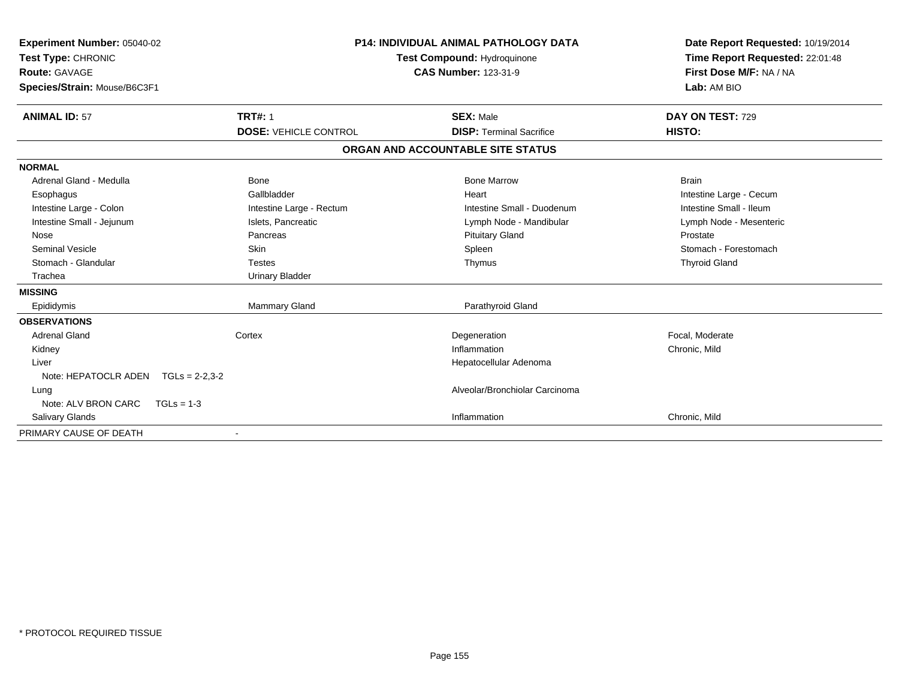| Experiment Number: 05040-02<br>Test Type: CHRONIC<br><b>Route: GAVAGE</b><br>Species/Strain: Mouse/B6C3F1 |                                                | <b>P14: INDIVIDUAL ANIMAL PATHOLOGY DATA</b><br><b>Test Compound: Hydroquinone</b><br><b>CAS Number: 123-31-9</b> | Date Report Requested: 10/19/2014<br>Time Report Requested: 22:01:48<br>First Dose M/F: NA / NA<br>Lab: AM BIO |  |
|-----------------------------------------------------------------------------------------------------------|------------------------------------------------|-------------------------------------------------------------------------------------------------------------------|----------------------------------------------------------------------------------------------------------------|--|
| <b>ANIMAL ID: 57</b>                                                                                      | <b>TRT#: 1</b><br><b>DOSE: VEHICLE CONTROL</b> | <b>SEX: Male</b><br><b>DISP: Terminal Sacrifice</b>                                                               | DAY ON TEST: 729<br>HISTO:                                                                                     |  |
|                                                                                                           |                                                |                                                                                                                   |                                                                                                                |  |
|                                                                                                           |                                                | ORGAN AND ACCOUNTABLE SITE STATUS                                                                                 |                                                                                                                |  |
| <b>NORMAL</b>                                                                                             |                                                |                                                                                                                   |                                                                                                                |  |
| Adrenal Gland - Medulla                                                                                   | Bone                                           | <b>Bone Marrow</b>                                                                                                | <b>Brain</b>                                                                                                   |  |
| Esophagus                                                                                                 | Gallbladder                                    | Heart                                                                                                             | Intestine Large - Cecum                                                                                        |  |
| Intestine Large - Colon                                                                                   | Intestine Large - Rectum                       | Intestine Small - Duodenum                                                                                        | Intestine Small - Ileum                                                                                        |  |
| Intestine Small - Jejunum                                                                                 | Islets, Pancreatic                             | Lymph Node - Mandibular                                                                                           | Lymph Node - Mesenteric                                                                                        |  |
| Nose                                                                                                      | Pancreas                                       | <b>Pituitary Gland</b>                                                                                            | Prostate                                                                                                       |  |
| <b>Seminal Vesicle</b>                                                                                    | <b>Skin</b>                                    | Spleen                                                                                                            | Stomach - Forestomach                                                                                          |  |
| Stomach - Glandular                                                                                       | <b>Testes</b>                                  | Thymus                                                                                                            | <b>Thyroid Gland</b>                                                                                           |  |
| Trachea                                                                                                   | <b>Urinary Bladder</b>                         |                                                                                                                   |                                                                                                                |  |
| <b>MISSING</b>                                                                                            |                                                |                                                                                                                   |                                                                                                                |  |
| Epididymis                                                                                                | Mammary Gland                                  | Parathyroid Gland                                                                                                 |                                                                                                                |  |
| <b>OBSERVATIONS</b>                                                                                       |                                                |                                                                                                                   |                                                                                                                |  |
| <b>Adrenal Gland</b>                                                                                      | Cortex                                         | Degeneration                                                                                                      | Focal. Moderate                                                                                                |  |
| Kidney                                                                                                    |                                                | Inflammation                                                                                                      | Chronic, Mild                                                                                                  |  |
| Liver                                                                                                     |                                                | Hepatocellular Adenoma                                                                                            |                                                                                                                |  |
| Note: HEPATOCLR ADEN<br>$TGLs = 2-2,3-2$                                                                  |                                                |                                                                                                                   |                                                                                                                |  |
| Lung                                                                                                      |                                                | Alveolar/Bronchiolar Carcinoma                                                                                    |                                                                                                                |  |
| Note: ALV BRON CARC<br>$TGLs = 1-3$                                                                       |                                                |                                                                                                                   |                                                                                                                |  |
| Salivary Glands                                                                                           |                                                | Inflammation                                                                                                      | Chronic, Mild                                                                                                  |  |
| PRIMARY CAUSE OF DEATH                                                                                    |                                                |                                                                                                                   |                                                                                                                |  |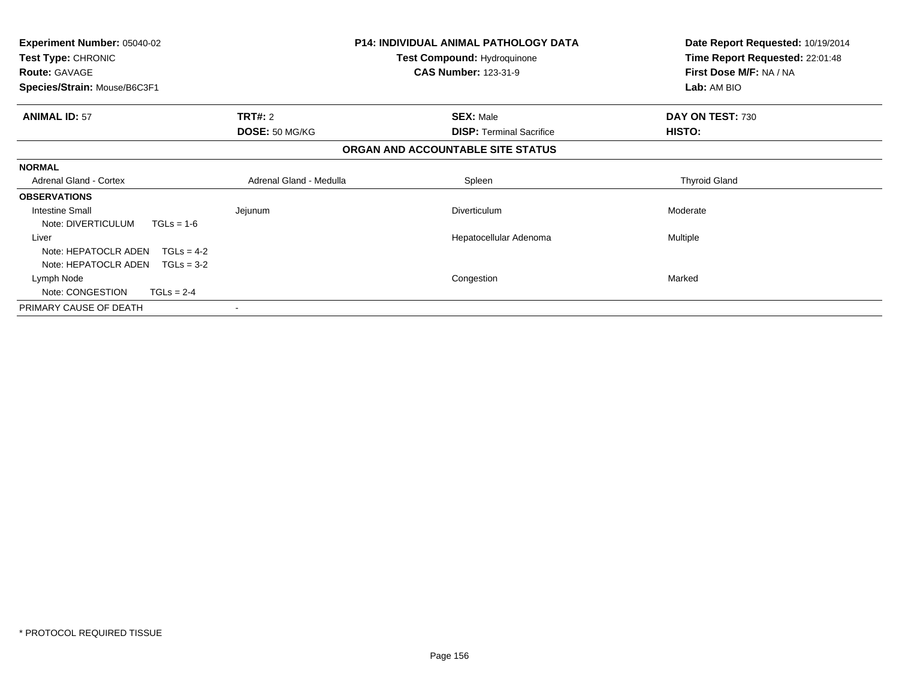| <b>Experiment Number: 05040-02</b><br>Test Type: CHRONIC<br><b>Route: GAVAGE</b> |                                  | <b>P14: INDIVIDUAL ANIMAL PATHOLOGY DATA</b><br><b>Test Compound: Hydroquinone</b><br><b>CAS Number: 123-31-9</b> | Date Report Requested: 10/19/2014<br>Time Report Requested: 22:01:48<br>First Dose M/F: NA / NA |
|----------------------------------------------------------------------------------|----------------------------------|-------------------------------------------------------------------------------------------------------------------|-------------------------------------------------------------------------------------------------|
| Species/Strain: Mouse/B6C3F1                                                     |                                  |                                                                                                                   | Lab: AM BIO                                                                                     |
| <b>ANIMAL ID: 57</b>                                                             | <b>TRT#: 2</b><br>DOSE: 50 MG/KG | <b>SEX: Male</b><br><b>DISP:</b> Terminal Sacrifice                                                               | DAY ON TEST: 730<br><b>HISTO:</b>                                                               |
|                                                                                  |                                  | ORGAN AND ACCOUNTABLE SITE STATUS                                                                                 |                                                                                                 |
| <b>NORMAL</b>                                                                    |                                  |                                                                                                                   |                                                                                                 |
| <b>Adrenal Gland - Cortex</b>                                                    | Adrenal Gland - Medulla          | Spleen                                                                                                            | <b>Thyroid Gland</b>                                                                            |
| <b>OBSERVATIONS</b>                                                              |                                  |                                                                                                                   |                                                                                                 |
| Intestine Small<br>Note: DIVERTICULUM<br>$TGLs = 1-6$                            | Jejunum                          | Diverticulum                                                                                                      | Moderate                                                                                        |
| Liver                                                                            |                                  | Hepatocellular Adenoma                                                                                            | Multiple                                                                                        |
| Note: HEPATOCLR ADEN<br>$TGLs = 4-2$                                             |                                  |                                                                                                                   |                                                                                                 |
| Note: HEPATOCLR ADEN<br>$TGLs = 3-2$                                             |                                  |                                                                                                                   |                                                                                                 |
| Lymph Node                                                                       |                                  | Congestion                                                                                                        | Marked                                                                                          |
| Note: CONGESTION<br>$TGLs = 2-4$                                                 |                                  |                                                                                                                   |                                                                                                 |
| PRIMARY CAUSE OF DEATH                                                           |                                  |                                                                                                                   |                                                                                                 |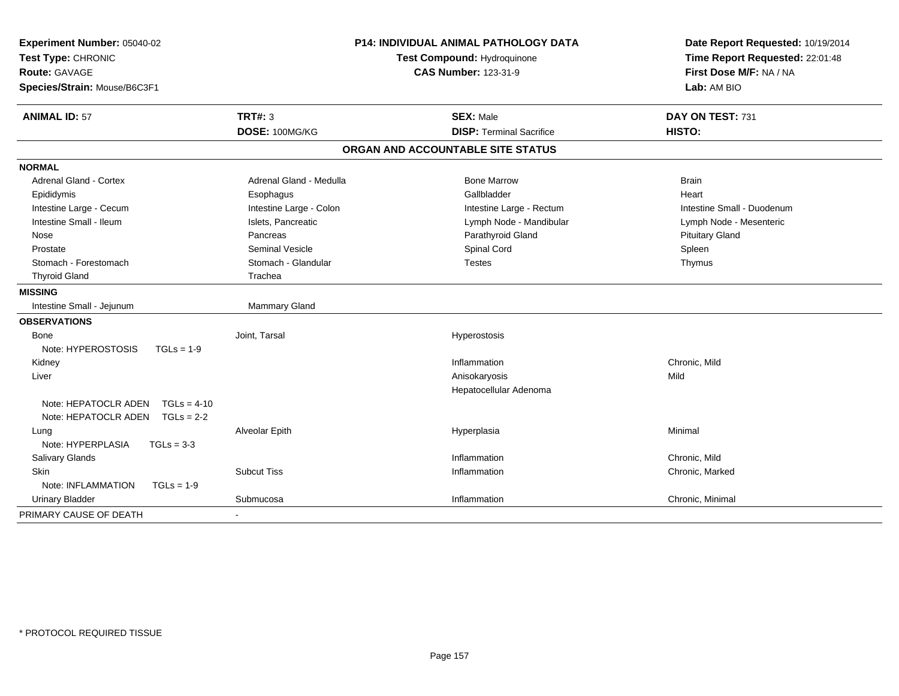| Experiment Number: 05040-02<br>Test Type: CHRONIC<br><b>Route: GAVAGE</b><br>Species/Strain: Mouse/B6C3F1 |                         | <b>P14: INDIVIDUAL ANIMAL PATHOLOGY DATA</b><br>Test Compound: Hydroquinone<br><b>CAS Number: 123-31-9</b> | Date Report Requested: 10/19/2014<br>Time Report Requested: 22:01:48<br>First Dose M/F: NA / NA<br>Lab: AM BIO |
|-----------------------------------------------------------------------------------------------------------|-------------------------|------------------------------------------------------------------------------------------------------------|----------------------------------------------------------------------------------------------------------------|
| <b>ANIMAL ID: 57</b>                                                                                      | <b>TRT#: 3</b>          | <b>SEX: Male</b>                                                                                           | DAY ON TEST: 731                                                                                               |
|                                                                                                           | DOSE: 100MG/KG          | <b>DISP: Terminal Sacrifice</b>                                                                            | HISTO:                                                                                                         |
|                                                                                                           |                         | ORGAN AND ACCOUNTABLE SITE STATUS                                                                          |                                                                                                                |
| <b>NORMAL</b>                                                                                             |                         |                                                                                                            |                                                                                                                |
| <b>Adrenal Gland - Cortex</b>                                                                             | Adrenal Gland - Medulla | <b>Bone Marrow</b>                                                                                         | Brain                                                                                                          |
| Epididymis                                                                                                | Esophagus               | Gallbladder                                                                                                | Heart                                                                                                          |
| Intestine Large - Cecum                                                                                   | Intestine Large - Colon | Intestine Large - Rectum                                                                                   | Intestine Small - Duodenum                                                                                     |
| Intestine Small - Ileum                                                                                   | Islets, Pancreatic      | Lymph Node - Mandibular                                                                                    | Lymph Node - Mesenteric                                                                                        |
| Nose                                                                                                      | Pancreas                | Parathyroid Gland                                                                                          | <b>Pituitary Gland</b>                                                                                         |
| Prostate                                                                                                  | <b>Seminal Vesicle</b>  | Spinal Cord                                                                                                | Spleen                                                                                                         |
| Stomach - Forestomach                                                                                     | Stomach - Glandular     | <b>Testes</b>                                                                                              | Thymus                                                                                                         |
| <b>Thyroid Gland</b>                                                                                      | Trachea                 |                                                                                                            |                                                                                                                |
| <b>MISSING</b>                                                                                            |                         |                                                                                                            |                                                                                                                |
| Intestine Small - Jejunum                                                                                 | <b>Mammary Gland</b>    |                                                                                                            |                                                                                                                |
| <b>OBSERVATIONS</b>                                                                                       |                         |                                                                                                            |                                                                                                                |
| Bone                                                                                                      | Joint, Tarsal           | Hyperostosis                                                                                               |                                                                                                                |
| Note: HYPEROSTOSIS<br>$TGLs = 1-9$                                                                        |                         |                                                                                                            |                                                                                                                |
| Kidney                                                                                                    |                         | Inflammation                                                                                               | Chronic, Mild                                                                                                  |
| Liver                                                                                                     |                         | Anisokaryosis                                                                                              | Mild                                                                                                           |
|                                                                                                           |                         | Hepatocellular Adenoma                                                                                     |                                                                                                                |
| Note: HEPATOCLR ADEN<br>$TGLs = 4-10$                                                                     |                         |                                                                                                            |                                                                                                                |
| Note: HEPATOCLR ADEN<br>$TGLs = 2-2$                                                                      |                         |                                                                                                            |                                                                                                                |
| Lung                                                                                                      | Alveolar Epith          | Hyperplasia                                                                                                | Minimal                                                                                                        |
| Note: HYPERPLASIA<br>$TGLs = 3-3$                                                                         |                         |                                                                                                            |                                                                                                                |
| Salivary Glands                                                                                           |                         | Inflammation                                                                                               | Chronic, Mild                                                                                                  |
| <b>Skin</b>                                                                                               | <b>Subcut Tiss</b>      | Inflammation                                                                                               | Chronic, Marked                                                                                                |
| Note: INFLAMMATION<br>$TGLs = 1-9$                                                                        |                         |                                                                                                            |                                                                                                                |
| <b>Urinary Bladder</b>                                                                                    | Submucosa               | Inflammation                                                                                               | Chronic, Minimal                                                                                               |
| PRIMARY CAUSE OF DEATH                                                                                    |                         |                                                                                                            |                                                                                                                |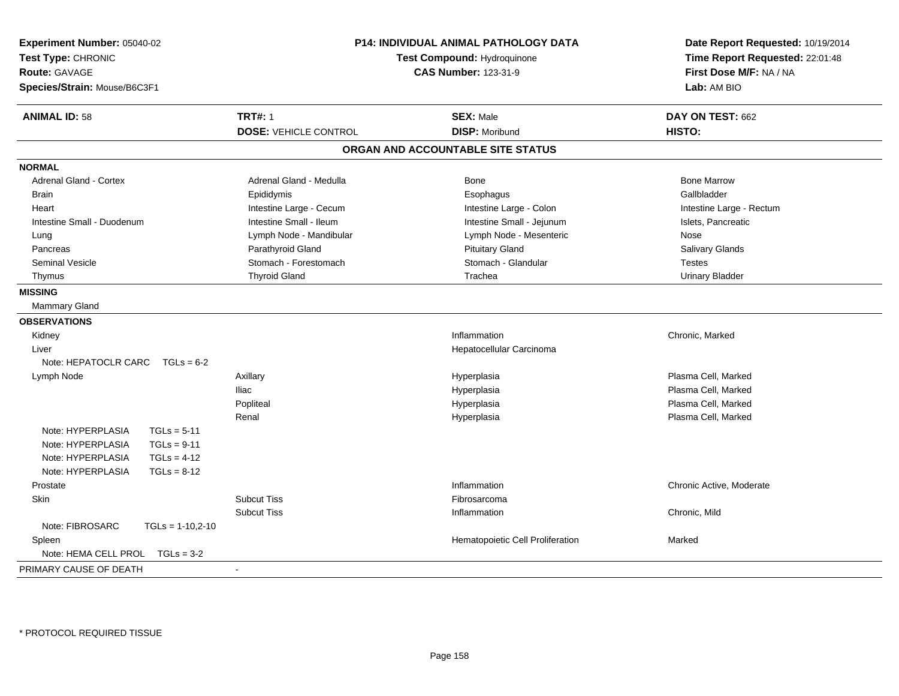| Experiment Number: 05040-02<br>Test Type: CHRONIC<br><b>Route: GAVAGE</b><br>Species/Strain: Mouse/B6C3F1 | <b>P14: INDIVIDUAL ANIMAL PATHOLOGY DATA</b><br>Test Compound: Hydroquinone<br><b>CAS Number: 123-31-9</b> |                                   | Date Report Requested: 10/19/2014<br>Time Report Requested: 22:01:48<br>First Dose M/F: NA / NA<br>Lab: AM BIO |  |
|-----------------------------------------------------------------------------------------------------------|------------------------------------------------------------------------------------------------------------|-----------------------------------|----------------------------------------------------------------------------------------------------------------|--|
| <b>ANIMAL ID: 58</b>                                                                                      | <b>TRT#: 1</b>                                                                                             | <b>SEX: Male</b>                  | DAY ON TEST: 662                                                                                               |  |
|                                                                                                           | <b>DOSE: VEHICLE CONTROL</b>                                                                               | <b>DISP: Moribund</b>             | HISTO:                                                                                                         |  |
|                                                                                                           |                                                                                                            | ORGAN AND ACCOUNTABLE SITE STATUS |                                                                                                                |  |
| <b>NORMAL</b>                                                                                             |                                                                                                            |                                   |                                                                                                                |  |
| <b>Adrenal Gland - Cortex</b>                                                                             | Adrenal Gland - Medulla                                                                                    | Bone                              | <b>Bone Marrow</b>                                                                                             |  |
| Brain                                                                                                     | Epididymis                                                                                                 | Esophagus                         | Gallbladder                                                                                                    |  |
| Heart                                                                                                     | Intestine Large - Cecum                                                                                    | Intestine Large - Colon           | Intestine Large - Rectum                                                                                       |  |
| Intestine Small - Duodenum                                                                                | Intestine Small - Ileum                                                                                    | Intestine Small - Jejunum         | Islets, Pancreatic                                                                                             |  |
| Lung                                                                                                      | Lymph Node - Mandibular                                                                                    | Lymph Node - Mesenteric           | Nose                                                                                                           |  |
| Pancreas                                                                                                  | Parathyroid Gland                                                                                          | <b>Pituitary Gland</b>            | Salivary Glands                                                                                                |  |
| <b>Seminal Vesicle</b>                                                                                    | Stomach - Forestomach                                                                                      | Stomach - Glandular               | <b>Testes</b>                                                                                                  |  |
| Thymus                                                                                                    | <b>Thyroid Gland</b>                                                                                       | Trachea                           | <b>Urinary Bladder</b>                                                                                         |  |
| <b>MISSING</b>                                                                                            |                                                                                                            |                                   |                                                                                                                |  |
| <b>Mammary Gland</b>                                                                                      |                                                                                                            |                                   |                                                                                                                |  |
| <b>OBSERVATIONS</b>                                                                                       |                                                                                                            |                                   |                                                                                                                |  |
| Kidney                                                                                                    |                                                                                                            | Inflammation                      | Chronic, Marked                                                                                                |  |
| Liver                                                                                                     |                                                                                                            | Hepatocellular Carcinoma          |                                                                                                                |  |
| Note: HEPATOCLR CARC<br>$TGLs = 6-2$                                                                      |                                                                                                            |                                   |                                                                                                                |  |
| Lymph Node                                                                                                | Axillary                                                                                                   | Hyperplasia                       | Plasma Cell, Marked                                                                                            |  |
|                                                                                                           | <b>Iliac</b>                                                                                               | Hyperplasia                       | Plasma Cell, Marked                                                                                            |  |
|                                                                                                           | Popliteal                                                                                                  | Hyperplasia                       | Plasma Cell, Marked                                                                                            |  |
|                                                                                                           | Renal                                                                                                      | Hyperplasia                       | Plasma Cell, Marked                                                                                            |  |
| Note: HYPERPLASIA<br>$TGLs = 5-11$                                                                        |                                                                                                            |                                   |                                                                                                                |  |
| Note: HYPERPLASIA<br>$TGLs = 9-11$                                                                        |                                                                                                            |                                   |                                                                                                                |  |
| $TGLs = 4-12$<br>Note: HYPERPLASIA                                                                        |                                                                                                            |                                   |                                                                                                                |  |
| Note: HYPERPLASIA<br>$TGLs = 8-12$                                                                        |                                                                                                            |                                   |                                                                                                                |  |
| Prostate                                                                                                  |                                                                                                            | Inflammation                      | Chronic Active, Moderate                                                                                       |  |
| Skin                                                                                                      | <b>Subcut Tiss</b>                                                                                         | Fibrosarcoma                      |                                                                                                                |  |
|                                                                                                           | <b>Subcut Tiss</b>                                                                                         | Inflammation                      | Chronic, Mild                                                                                                  |  |
| Note: FIBROSARC<br>$TGLs = 1-10,2-10$                                                                     |                                                                                                            |                                   |                                                                                                                |  |
| Spleen                                                                                                    |                                                                                                            | Hematopoietic Cell Proliferation  | Marked                                                                                                         |  |
| Note: HEMA CELL PROL TGLs = 3-2                                                                           |                                                                                                            |                                   |                                                                                                                |  |
| PRIMARY CAUSE OF DEATH                                                                                    |                                                                                                            |                                   |                                                                                                                |  |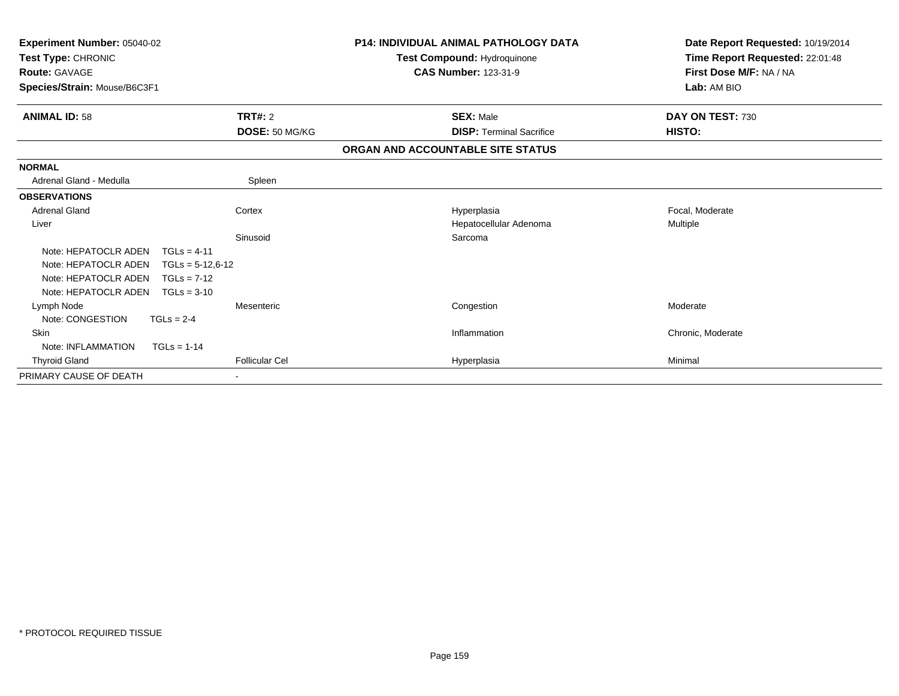| Experiment Number: 05040-02<br>Test Type: CHRONIC<br><b>Route: GAVAGE</b><br>Species/Strain: Mouse/B6C3F1 |                       | <b>P14: INDIVIDUAL ANIMAL PATHOLOGY DATA</b><br>Test Compound: Hydroquinone<br><b>CAS Number: 123-31-9</b> | Date Report Requested: 10/19/2014<br>Time Report Requested: 22:01:48<br>First Dose M/F: NA / NA<br>Lab: AM BIO |  |
|-----------------------------------------------------------------------------------------------------------|-----------------------|------------------------------------------------------------------------------------------------------------|----------------------------------------------------------------------------------------------------------------|--|
| <b>ANIMAL ID: 58</b>                                                                                      | TRT#: 2               | <b>SEX: Male</b>                                                                                           | DAY ON TEST: 730                                                                                               |  |
|                                                                                                           | DOSE: 50 MG/KG        | <b>DISP: Terminal Sacrifice</b>                                                                            | HISTO:                                                                                                         |  |
|                                                                                                           |                       | ORGAN AND ACCOUNTABLE SITE STATUS                                                                          |                                                                                                                |  |
| <b>NORMAL</b>                                                                                             |                       |                                                                                                            |                                                                                                                |  |
| Adrenal Gland - Medulla                                                                                   | Spleen                |                                                                                                            |                                                                                                                |  |
| <b>OBSERVATIONS</b>                                                                                       |                       |                                                                                                            |                                                                                                                |  |
| <b>Adrenal Gland</b>                                                                                      | Cortex                | Hyperplasia                                                                                                | Focal, Moderate                                                                                                |  |
| Liver                                                                                                     |                       | Hepatocellular Adenoma                                                                                     | Multiple                                                                                                       |  |
|                                                                                                           | Sinusoid              | Sarcoma                                                                                                    |                                                                                                                |  |
| Note: HEPATOCLR ADEN<br>$TGLs = 4-11$                                                                     |                       |                                                                                                            |                                                                                                                |  |
| Note: HEPATOCLR ADEN<br>$TGLs = 5-12,6-12$                                                                |                       |                                                                                                            |                                                                                                                |  |
| Note: HEPATOCLR ADEN<br>$TGLs = 7-12$                                                                     |                       |                                                                                                            |                                                                                                                |  |
| Note: HEPATOCLR ADEN<br>$TGLs = 3-10$                                                                     |                       |                                                                                                            |                                                                                                                |  |
| Lymph Node                                                                                                | Mesenteric            | Congestion                                                                                                 | Moderate                                                                                                       |  |
| Note: CONGESTION<br>$TGLs = 2-4$                                                                          |                       |                                                                                                            |                                                                                                                |  |
| Skin                                                                                                      |                       | Inflammation                                                                                               | Chronic, Moderate                                                                                              |  |
| Note: INFLAMMATION<br>$TGLs = 1-14$                                                                       |                       |                                                                                                            |                                                                                                                |  |
| <b>Thyroid Gland</b>                                                                                      | <b>Follicular Cel</b> | Hyperplasia                                                                                                | Minimal                                                                                                        |  |
| PRIMARY CAUSE OF DEATH                                                                                    |                       |                                                                                                            |                                                                                                                |  |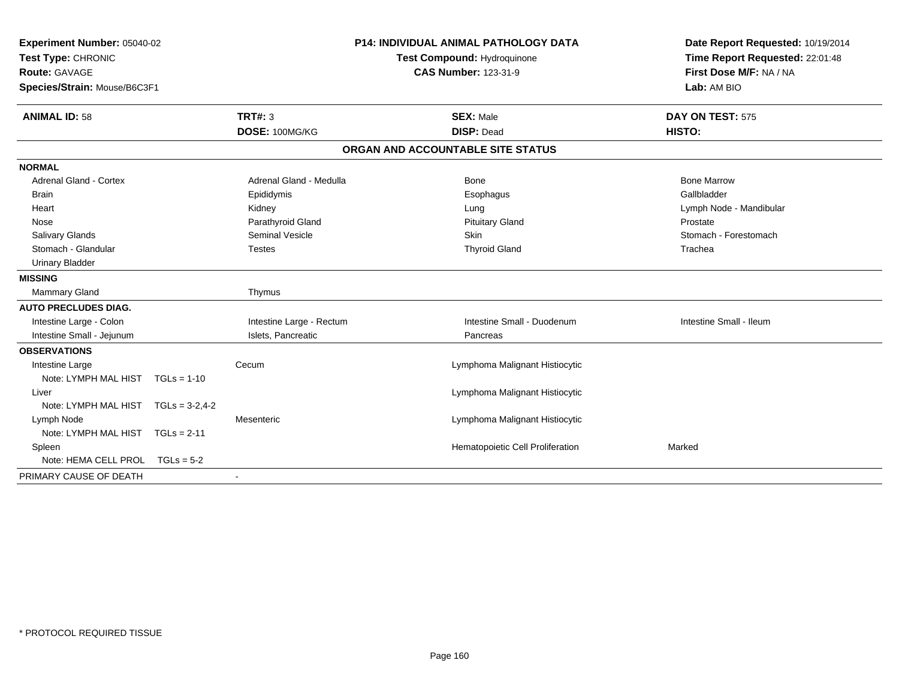| Experiment Number: 05040-02<br>Test Type: CHRONIC<br><b>Route: GAVAGE</b><br>Species/Strain: Mouse/B6C3F1 |                          | <b>P14: INDIVIDUAL ANIMAL PATHOLOGY DATA</b><br>Test Compound: Hydroquinone<br><b>CAS Number: 123-31-9</b> | Date Report Requested: 10/19/2014<br>Time Report Requested: 22:01:48<br>First Dose M/F: NA / NA<br>Lab: AM BIO |
|-----------------------------------------------------------------------------------------------------------|--------------------------|------------------------------------------------------------------------------------------------------------|----------------------------------------------------------------------------------------------------------------|
| <b>ANIMAL ID: 58</b>                                                                                      | <b>TRT#: 3</b>           | <b>SEX: Male</b>                                                                                           | DAY ON TEST: 575                                                                                               |
|                                                                                                           | DOSE: 100MG/KG           | <b>DISP: Dead</b>                                                                                          | HISTO:                                                                                                         |
|                                                                                                           |                          | ORGAN AND ACCOUNTABLE SITE STATUS                                                                          |                                                                                                                |
| <b>NORMAL</b>                                                                                             |                          |                                                                                                            |                                                                                                                |
| <b>Adrenal Gland - Cortex</b>                                                                             | Adrenal Gland - Medulla  | Bone                                                                                                       | <b>Bone Marrow</b>                                                                                             |
| <b>Brain</b>                                                                                              | Epididymis               | Esophagus                                                                                                  | Gallbladder                                                                                                    |
| Heart                                                                                                     | Kidney                   | Lung                                                                                                       | Lymph Node - Mandibular                                                                                        |
| Nose                                                                                                      | Parathyroid Gland        | <b>Pituitary Gland</b>                                                                                     | Prostate                                                                                                       |
| Salivary Glands                                                                                           | Seminal Vesicle          | Skin                                                                                                       | Stomach - Forestomach                                                                                          |
| Stomach - Glandular                                                                                       | <b>Testes</b>            | <b>Thyroid Gland</b>                                                                                       | Trachea                                                                                                        |
| <b>Urinary Bladder</b>                                                                                    |                          |                                                                                                            |                                                                                                                |
| <b>MISSING</b>                                                                                            |                          |                                                                                                            |                                                                                                                |
| Mammary Gland                                                                                             | Thymus                   |                                                                                                            |                                                                                                                |
| <b>AUTO PRECLUDES DIAG.</b>                                                                               |                          |                                                                                                            |                                                                                                                |
| Intestine Large - Colon                                                                                   | Intestine Large - Rectum | Intestine Small - Duodenum                                                                                 | Intestine Small - Ileum                                                                                        |
| Intestine Small - Jejunum                                                                                 | Islets, Pancreatic       | Pancreas                                                                                                   |                                                                                                                |
| <b>OBSERVATIONS</b>                                                                                       |                          |                                                                                                            |                                                                                                                |
| Intestine Large                                                                                           | Cecum                    | Lymphoma Malignant Histiocytic                                                                             |                                                                                                                |
| Note: LYMPH MAL HIST TGLs = 1-10                                                                          |                          |                                                                                                            |                                                                                                                |
| Liver                                                                                                     |                          | Lymphoma Malignant Histiocytic                                                                             |                                                                                                                |
| Note: LYMPH MAL HIST TGLs = 3-2.4-2                                                                       |                          |                                                                                                            |                                                                                                                |
| Lymph Node                                                                                                | Mesenteric               | Lymphoma Malignant Histiocytic                                                                             |                                                                                                                |
| Note: LYMPH MAL HIST TGLs = 2-11                                                                          |                          |                                                                                                            |                                                                                                                |
| Spleen                                                                                                    |                          | Hematopoietic Cell Proliferation                                                                           | Marked                                                                                                         |
| Note: HEMA CELL PROL                                                                                      | $TGLs = 5-2$             |                                                                                                            |                                                                                                                |
| PRIMARY CAUSE OF DEATH                                                                                    | $\sim$                   |                                                                                                            |                                                                                                                |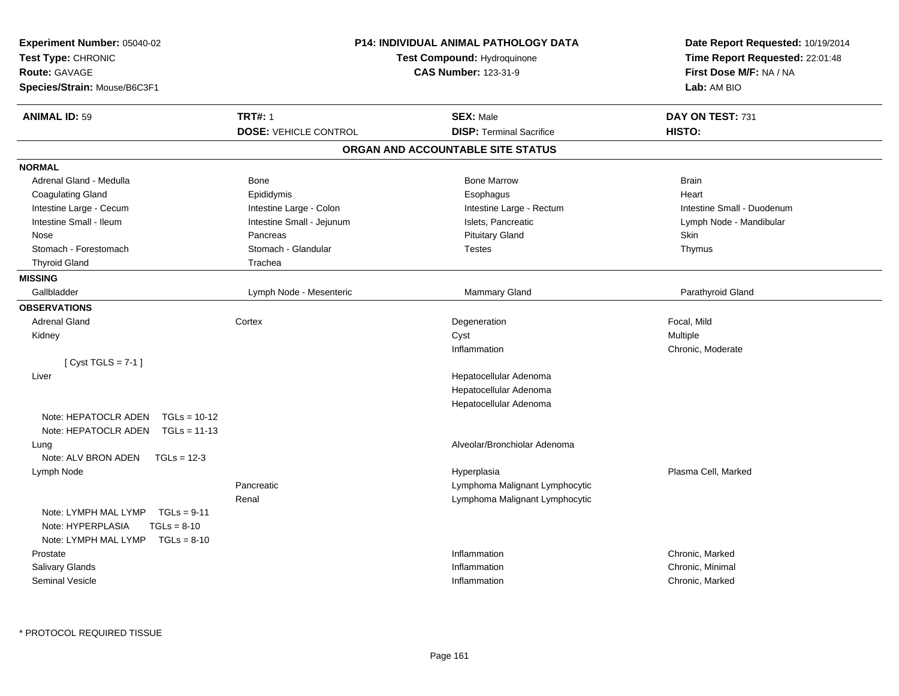| <b>Experiment Number: 05040-02</b><br>Test Type: CHRONIC<br><b>Route: GAVAGE</b><br>Species/Strain: Mouse/B6C3F1 | <b>P14: INDIVIDUAL ANIMAL PATHOLOGY DATA</b><br>Test Compound: Hydroquinone<br><b>CAS Number: 123-31-9</b> |                                                     | Date Report Requested: 10/19/2014<br>Time Report Requested: 22:01:48<br>First Dose M/F: NA / NA<br>Lab: AM BIO |  |
|------------------------------------------------------------------------------------------------------------------|------------------------------------------------------------------------------------------------------------|-----------------------------------------------------|----------------------------------------------------------------------------------------------------------------|--|
| <b>ANIMAL ID: 59</b>                                                                                             | <b>TRT#: 1</b><br><b>DOSE: VEHICLE CONTROL</b>                                                             | <b>SEX: Male</b><br><b>DISP: Terminal Sacrifice</b> | DAY ON TEST: 731<br>HISTO:                                                                                     |  |
|                                                                                                                  |                                                                                                            | ORGAN AND ACCOUNTABLE SITE STATUS                   |                                                                                                                |  |
| <b>NORMAL</b>                                                                                                    |                                                                                                            |                                                     |                                                                                                                |  |
| Adrenal Gland - Medulla                                                                                          | <b>Bone</b>                                                                                                | <b>Bone Marrow</b>                                  | <b>Brain</b>                                                                                                   |  |
| <b>Coagulating Gland</b>                                                                                         | Epididymis                                                                                                 | Esophagus                                           | Heart                                                                                                          |  |
| Intestine Large - Cecum                                                                                          | Intestine Large - Colon                                                                                    | Intestine Large - Rectum                            | Intestine Small - Duodenum                                                                                     |  |
| Intestine Small - Ileum                                                                                          | Intestine Small - Jejunum                                                                                  | Islets, Pancreatic                                  | Lymph Node - Mandibular                                                                                        |  |
| Nose                                                                                                             | Pancreas                                                                                                   | <b>Pituitary Gland</b>                              | Skin                                                                                                           |  |
| Stomach - Forestomach                                                                                            | Stomach - Glandular                                                                                        | <b>Testes</b>                                       | Thymus                                                                                                         |  |
| <b>Thyroid Gland</b>                                                                                             | Trachea                                                                                                    |                                                     |                                                                                                                |  |
| <b>MISSING</b>                                                                                                   |                                                                                                            |                                                     |                                                                                                                |  |
| Gallbladder                                                                                                      | Lymph Node - Mesenteric                                                                                    | Mammary Gland                                       | Parathyroid Gland                                                                                              |  |
| <b>OBSERVATIONS</b>                                                                                              |                                                                                                            |                                                     |                                                                                                                |  |
| <b>Adrenal Gland</b>                                                                                             | Cortex                                                                                                     | Degeneration                                        | Focal, Mild                                                                                                    |  |
| Kidney                                                                                                           |                                                                                                            | Cyst                                                | Multiple                                                                                                       |  |
|                                                                                                                  |                                                                                                            | Inflammation                                        | Chronic, Moderate                                                                                              |  |
| [Cyst TGLS = $7-1$ ]                                                                                             |                                                                                                            |                                                     |                                                                                                                |  |
| Liver                                                                                                            |                                                                                                            | Hepatocellular Adenoma                              |                                                                                                                |  |
|                                                                                                                  |                                                                                                            | Hepatocellular Adenoma                              |                                                                                                                |  |
|                                                                                                                  |                                                                                                            | Hepatocellular Adenoma                              |                                                                                                                |  |
| Note: HEPATOCLR ADEN<br>$TGLs = 10-12$                                                                           |                                                                                                            |                                                     |                                                                                                                |  |
| Note: HEPATOCLR ADEN<br>$TGLs = 11-13$                                                                           |                                                                                                            |                                                     |                                                                                                                |  |
| Lung                                                                                                             |                                                                                                            | Alveolar/Bronchiolar Adenoma                        |                                                                                                                |  |
| Note: ALV BRON ADEN<br>$TGLs = 12-3$                                                                             |                                                                                                            |                                                     |                                                                                                                |  |
| Lymph Node                                                                                                       |                                                                                                            | Hyperplasia                                         | Plasma Cell, Marked                                                                                            |  |
|                                                                                                                  | Pancreatic                                                                                                 | Lymphoma Malignant Lymphocytic                      |                                                                                                                |  |
|                                                                                                                  | Renal                                                                                                      | Lymphoma Malignant Lymphocytic                      |                                                                                                                |  |
| Note: LYMPH MAL LYMP<br>$TGLs = 9-11$                                                                            |                                                                                                            |                                                     |                                                                                                                |  |
| Note: HYPERPLASIA<br>$TGLs = 8-10$                                                                               |                                                                                                            |                                                     |                                                                                                                |  |
| Note: LYMPH MAL LYMP TGLs = 8-10                                                                                 |                                                                                                            |                                                     |                                                                                                                |  |
| Prostate                                                                                                         |                                                                                                            | Inflammation                                        | Chronic, Marked                                                                                                |  |
| Salivary Glands                                                                                                  |                                                                                                            | Inflammation                                        | Chronic, Minimal                                                                                               |  |
| <b>Seminal Vesicle</b>                                                                                           |                                                                                                            | Inflammation                                        | Chronic, Marked                                                                                                |  |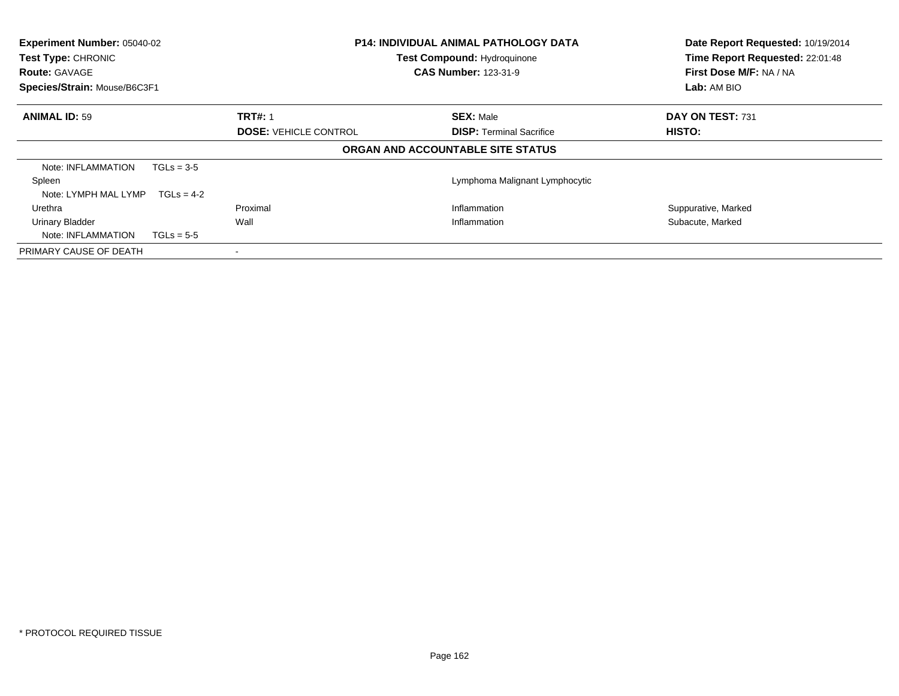| <b>Experiment Number: 05040-02</b><br>Test Type: CHRONIC<br><b>Route: GAVAGE</b><br>Species/Strain: Mouse/B6C3F1 |              |                              | <b>P14: INDIVIDUAL ANIMAL PATHOLOGY DATA</b><br><b>Test Compound: Hydroquinone</b><br><b>CAS Number: 123-31-9</b> | Date Report Requested: 10/19/2014<br>Time Report Requested: 22:01:48<br>First Dose M/F: NA / NA<br>Lab: AM BIO |  |
|------------------------------------------------------------------------------------------------------------------|--------------|------------------------------|-------------------------------------------------------------------------------------------------------------------|----------------------------------------------------------------------------------------------------------------|--|
| <b>ANIMAL ID: 59</b>                                                                                             |              | <b>TRT#: 1</b>               | <b>SEX: Male</b>                                                                                                  | DAY ON TEST: 731                                                                                               |  |
|                                                                                                                  |              | <b>DOSE: VEHICLE CONTROL</b> | <b>DISP:</b> Terminal Sacrifice                                                                                   | HISTO:                                                                                                         |  |
|                                                                                                                  |              |                              | ORGAN AND ACCOUNTABLE SITE STATUS                                                                                 |                                                                                                                |  |
| Note: INFLAMMATION                                                                                               | $TGLs = 3-5$ |                              |                                                                                                                   |                                                                                                                |  |
| Spleen                                                                                                           |              |                              | Lymphoma Malignant Lymphocytic                                                                                    |                                                                                                                |  |
| Note: LYMPH MAL LYMP                                                                                             | $TGLs = 4-2$ |                              |                                                                                                                   |                                                                                                                |  |
| Urethra                                                                                                          |              | Proximal                     | Inflammation                                                                                                      | Suppurative, Marked                                                                                            |  |
| <b>Urinary Bladder</b>                                                                                           |              | Wall                         | Inflammation                                                                                                      | Subacute, Marked                                                                                               |  |
| Note: INFLAMMATION                                                                                               | $TGLs = 5-5$ |                              |                                                                                                                   |                                                                                                                |  |
| PRIMARY CAUSE OF DEATH                                                                                           |              |                              |                                                                                                                   |                                                                                                                |  |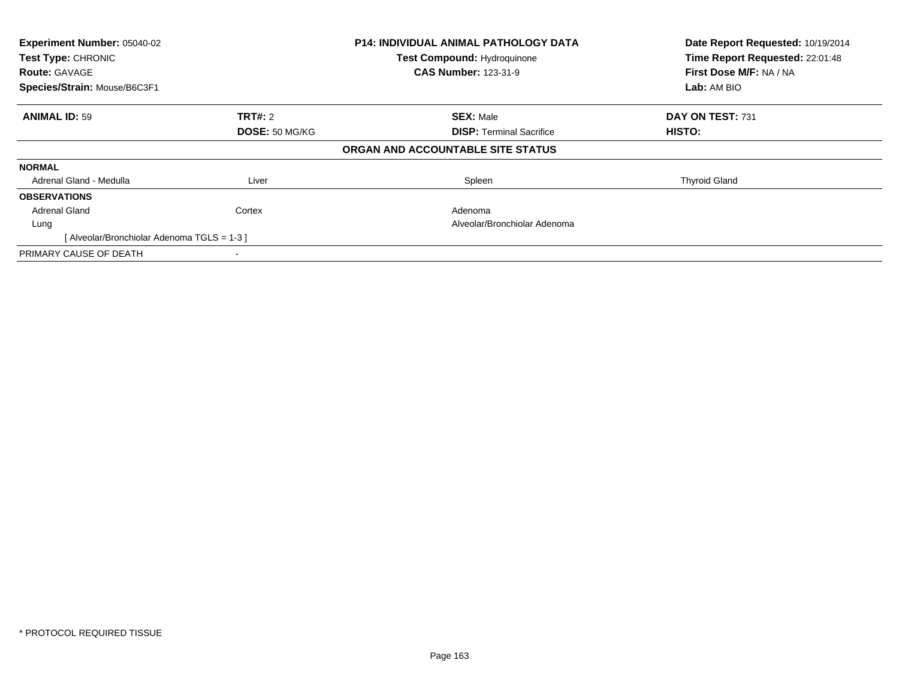| Experiment Number: 05040-02<br>Test Type: CHRONIC<br><b>Route: GAVAGE</b><br>Species/Strain: Mouse/B6C3F1 |                | <b>P14: INDIVIDUAL ANIMAL PATHOLOGY DATA</b><br><b>Test Compound: Hydroquinone</b><br><b>CAS Number: 123-31-9</b> | Date Report Requested: 10/19/2014<br>Time Report Requested: 22:01:48<br>First Dose M/F: NA / NA<br>Lab: AM BIO |
|-----------------------------------------------------------------------------------------------------------|----------------|-------------------------------------------------------------------------------------------------------------------|----------------------------------------------------------------------------------------------------------------|
| <b>ANIMAL ID: 59</b>                                                                                      | <b>TRT#: 2</b> | <b>SEX: Male</b>                                                                                                  | DAY ON TEST: 731                                                                                               |
|                                                                                                           | DOSE: 50 MG/KG | <b>DISP:</b> Terminal Sacrifice                                                                                   | HISTO:                                                                                                         |
|                                                                                                           |                | ORGAN AND ACCOUNTABLE SITE STATUS                                                                                 |                                                                                                                |
| <b>NORMAL</b>                                                                                             |                |                                                                                                                   |                                                                                                                |
| Adrenal Gland - Medulla                                                                                   | Liver          | Spleen                                                                                                            | <b>Thyroid Gland</b>                                                                                           |
| <b>OBSERVATIONS</b>                                                                                       |                |                                                                                                                   |                                                                                                                |
| <b>Adrenal Gland</b>                                                                                      | Cortex         | Adenoma                                                                                                           |                                                                                                                |
| Lung                                                                                                      |                | Alveolar/Bronchiolar Adenoma                                                                                      |                                                                                                                |
| [Alveolar/Bronchiolar Adenoma TGLS = 1-3 ]                                                                |                |                                                                                                                   |                                                                                                                |
| PRIMARY CAUSE OF DEATH                                                                                    |                |                                                                                                                   |                                                                                                                |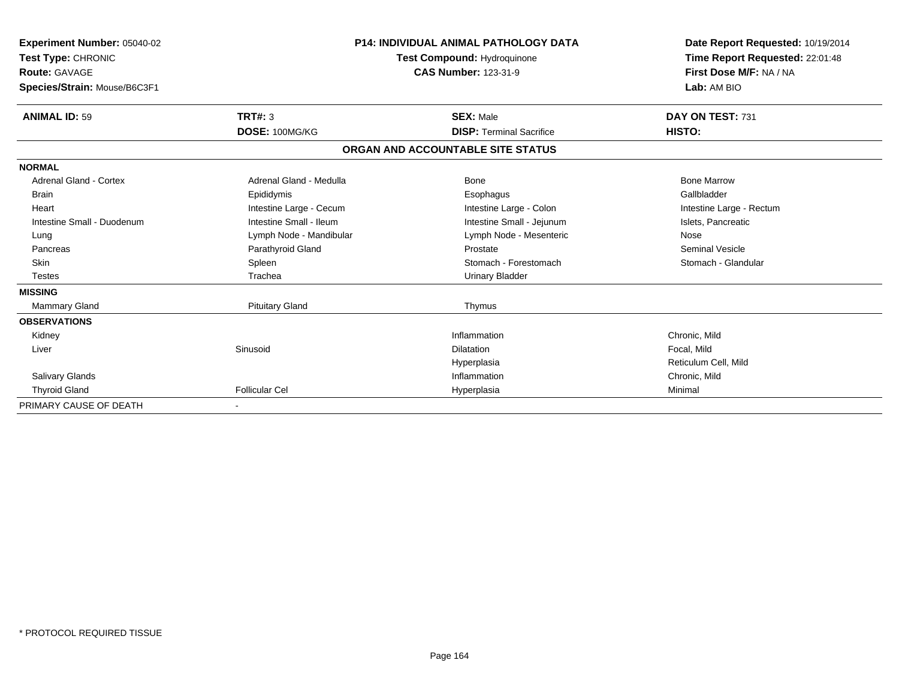| Experiment Number: 05040-02<br>Test Type: CHRONIC<br>Route: GAVAGE<br>Species/Strain: Mouse/B6C3F1 |                         | <b>P14: INDIVIDUAL ANIMAL PATHOLOGY DATA</b><br>Test Compound: Hydroquinone<br><b>CAS Number: 123-31-9</b> | Date Report Requested: 10/19/2014<br>Time Report Requested: 22:01:48<br>First Dose M/F: NA / NA<br>Lab: AM BIO |  |
|----------------------------------------------------------------------------------------------------|-------------------------|------------------------------------------------------------------------------------------------------------|----------------------------------------------------------------------------------------------------------------|--|
| <b>ANIMAL ID: 59</b>                                                                               | TRT#: 3                 | <b>SEX: Male</b>                                                                                           | DAY ON TEST: 731                                                                                               |  |
|                                                                                                    | DOSE: 100MG/KG          | <b>DISP: Terminal Sacrifice</b>                                                                            | HISTO:                                                                                                         |  |
|                                                                                                    |                         | ORGAN AND ACCOUNTABLE SITE STATUS                                                                          |                                                                                                                |  |
| <b>NORMAL</b>                                                                                      |                         |                                                                                                            |                                                                                                                |  |
| <b>Adrenal Gland - Cortex</b>                                                                      | Adrenal Gland - Medulla | <b>Bone</b>                                                                                                | <b>Bone Marrow</b>                                                                                             |  |
| <b>Brain</b>                                                                                       | Epididymis              | Esophagus                                                                                                  | Gallbladder                                                                                                    |  |
| Heart                                                                                              | Intestine Large - Cecum | Intestine Large - Colon                                                                                    | Intestine Large - Rectum                                                                                       |  |
| Intestine Small - Duodenum                                                                         | Intestine Small - Ileum | Intestine Small - Jejunum                                                                                  | Islets, Pancreatic                                                                                             |  |
| Lung                                                                                               | Lymph Node - Mandibular | Lymph Node - Mesenteric                                                                                    | Nose                                                                                                           |  |
| Pancreas                                                                                           | Parathyroid Gland       | Prostate                                                                                                   | Seminal Vesicle                                                                                                |  |
| <b>Skin</b>                                                                                        | Spleen                  | Stomach - Forestomach                                                                                      | Stomach - Glandular                                                                                            |  |
| <b>Testes</b>                                                                                      | Trachea                 | <b>Urinary Bladder</b>                                                                                     |                                                                                                                |  |
| <b>MISSING</b>                                                                                     |                         |                                                                                                            |                                                                                                                |  |
| Mammary Gland                                                                                      | <b>Pituitary Gland</b>  | Thymus                                                                                                     |                                                                                                                |  |
| <b>OBSERVATIONS</b>                                                                                |                         |                                                                                                            |                                                                                                                |  |
| Kidney                                                                                             |                         | Inflammation                                                                                               | Chronic, Mild                                                                                                  |  |
| Liver                                                                                              | Sinusoid                | <b>Dilatation</b>                                                                                          | Focal, Mild                                                                                                    |  |
|                                                                                                    |                         | Hyperplasia                                                                                                | Reticulum Cell. Mild                                                                                           |  |
| <b>Salivary Glands</b>                                                                             |                         | Inflammation                                                                                               | Chronic, Mild                                                                                                  |  |
| <b>Thyroid Gland</b>                                                                               | <b>Follicular Cel</b>   | Hyperplasia                                                                                                | Minimal                                                                                                        |  |
| PRIMARY CAUSE OF DEATH                                                                             |                         |                                                                                                            |                                                                                                                |  |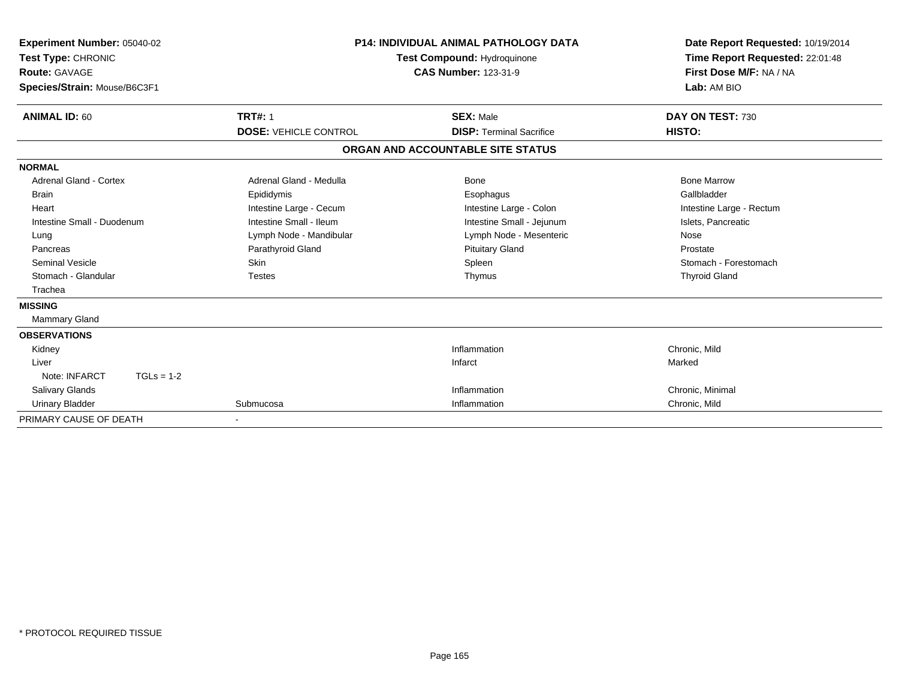| Experiment Number: 05040-02<br>Test Type: CHRONIC<br>Route: GAVAGE<br>Species/Strain: Mouse/B6C3F1 |                              | <b>P14: INDIVIDUAL ANIMAL PATHOLOGY DATA</b><br>Test Compound: Hydroquinone<br><b>CAS Number: 123-31-9</b> | Date Report Requested: 10/19/2014<br>Time Report Requested: 22:01:48<br>First Dose M/F: NA / NA<br>Lab: AM BIO |  |
|----------------------------------------------------------------------------------------------------|------------------------------|------------------------------------------------------------------------------------------------------------|----------------------------------------------------------------------------------------------------------------|--|
| <b>ANIMAL ID: 60</b>                                                                               | <b>TRT#: 1</b>               | <b>SEX: Male</b>                                                                                           | DAY ON TEST: 730                                                                                               |  |
|                                                                                                    | <b>DOSE: VEHICLE CONTROL</b> | <b>DISP: Terminal Sacrifice</b>                                                                            | HISTO:                                                                                                         |  |
|                                                                                                    |                              | ORGAN AND ACCOUNTABLE SITE STATUS                                                                          |                                                                                                                |  |
| <b>NORMAL</b>                                                                                      |                              |                                                                                                            |                                                                                                                |  |
| <b>Adrenal Gland - Cortex</b>                                                                      | Adrenal Gland - Medulla      | <b>Bone</b>                                                                                                | <b>Bone Marrow</b>                                                                                             |  |
| <b>Brain</b>                                                                                       | Epididymis                   | Esophagus                                                                                                  | Gallbladder                                                                                                    |  |
| Heart                                                                                              | Intestine Large - Cecum      | Intestine Large - Colon                                                                                    | Intestine Large - Rectum                                                                                       |  |
| Intestine Small - Duodenum                                                                         | Intestine Small - Ileum      | Intestine Small - Jejunum                                                                                  | Islets, Pancreatic                                                                                             |  |
| Lung                                                                                               | Lymph Node - Mandibular      | Lymph Node - Mesenteric                                                                                    | Nose                                                                                                           |  |
| Pancreas                                                                                           | Parathyroid Gland            | <b>Pituitary Gland</b>                                                                                     | Prostate                                                                                                       |  |
| <b>Seminal Vesicle</b>                                                                             | <b>Skin</b>                  | Spleen                                                                                                     | Stomach - Forestomach                                                                                          |  |
| Stomach - Glandular                                                                                | <b>Testes</b>                | Thymus                                                                                                     | <b>Thyroid Gland</b>                                                                                           |  |
| Trachea                                                                                            |                              |                                                                                                            |                                                                                                                |  |
| <b>MISSING</b>                                                                                     |                              |                                                                                                            |                                                                                                                |  |
| Mammary Gland                                                                                      |                              |                                                                                                            |                                                                                                                |  |
| <b>OBSERVATIONS</b>                                                                                |                              |                                                                                                            |                                                                                                                |  |
| Kidney                                                                                             |                              | Inflammation                                                                                               | Chronic, Mild                                                                                                  |  |
| Liver                                                                                              |                              | Infarct                                                                                                    | Marked                                                                                                         |  |
| Note: INFARCT<br>$TGLs = 1-2$                                                                      |                              |                                                                                                            |                                                                                                                |  |
| Salivary Glands                                                                                    |                              | Inflammation                                                                                               | Chronic, Minimal                                                                                               |  |
| <b>Urinary Bladder</b>                                                                             | Submucosa                    | Inflammation                                                                                               | Chronic, Mild                                                                                                  |  |
| PRIMARY CAUSE OF DEATH                                                                             |                              |                                                                                                            |                                                                                                                |  |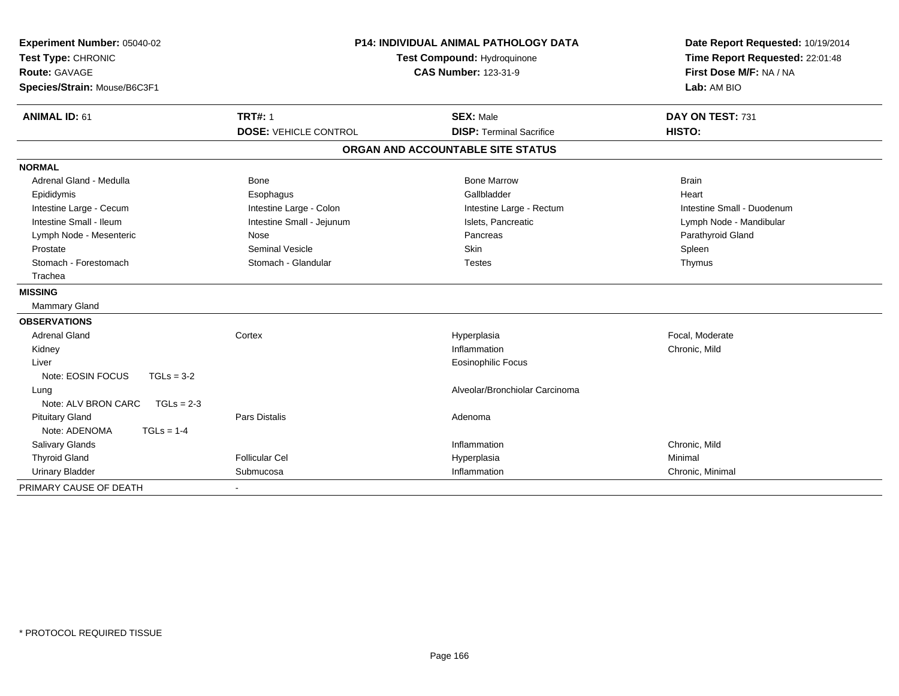| Experiment Number: 05040-02         |                              | <b>P14: INDIVIDUAL ANIMAL PATHOLOGY DATA</b><br>Test Compound: Hydroquinone |                            |  |
|-------------------------------------|------------------------------|-----------------------------------------------------------------------------|----------------------------|--|
| Test Type: CHRONIC                  |                              |                                                                             |                            |  |
| <b>Route: GAVAGE</b>                |                              | <b>CAS Number: 123-31-9</b>                                                 | First Dose M/F: NA / NA    |  |
| Species/Strain: Mouse/B6C3F1        |                              |                                                                             | Lab: AM BIO                |  |
| <b>ANIMAL ID: 61</b>                | <b>TRT#: 1</b>               | <b>SEX: Male</b>                                                            | DAY ON TEST: 731           |  |
|                                     | <b>DOSE: VEHICLE CONTROL</b> | <b>DISP: Terminal Sacrifice</b>                                             | HISTO:                     |  |
|                                     |                              | ORGAN AND ACCOUNTABLE SITE STATUS                                           |                            |  |
| <b>NORMAL</b>                       |                              |                                                                             |                            |  |
| Adrenal Gland - Medulla             | <b>Bone</b>                  | <b>Bone Marrow</b>                                                          | <b>Brain</b>               |  |
| Epididymis                          | Esophagus                    | Gallbladder                                                                 | Heart                      |  |
| Intestine Large - Cecum             | Intestine Large - Colon      | Intestine Large - Rectum                                                    | Intestine Small - Duodenum |  |
| Intestine Small - Ileum             | Intestine Small - Jejunum    | Islets, Pancreatic                                                          | Lymph Node - Mandibular    |  |
| Lymph Node - Mesenteric             | Nose                         | Pancreas                                                                    | Parathyroid Gland          |  |
| Prostate                            | <b>Seminal Vesicle</b>       | <b>Skin</b>                                                                 | Spleen                     |  |
| Stomach - Forestomach               | Stomach - Glandular          | <b>Testes</b>                                                               | Thymus                     |  |
| Trachea                             |                              |                                                                             |                            |  |
| <b>MISSING</b>                      |                              |                                                                             |                            |  |
| Mammary Gland                       |                              |                                                                             |                            |  |
| <b>OBSERVATIONS</b>                 |                              |                                                                             |                            |  |
| <b>Adrenal Gland</b>                | Cortex                       | Hyperplasia                                                                 | Focal, Moderate            |  |
| Kidney                              |                              | Inflammation                                                                | Chronic, Mild              |  |
| Liver                               |                              | Eosinophilic Focus                                                          |                            |  |
| Note: EOSIN FOCUS<br>$TGLs = 3-2$   |                              |                                                                             |                            |  |
| Lung                                |                              | Alveolar/Bronchiolar Carcinoma                                              |                            |  |
| Note: ALV BRON CARC<br>$TGLs = 2-3$ |                              |                                                                             |                            |  |
| <b>Pituitary Gland</b>              | <b>Pars Distalis</b>         | Adenoma                                                                     |                            |  |
| Note: ADENOMA<br>$TGLs = 1-4$       |                              |                                                                             |                            |  |
| <b>Salivary Glands</b>              |                              | Inflammation                                                                | Chronic, Mild              |  |
| <b>Thyroid Gland</b>                | <b>Follicular Cel</b>        | Hyperplasia                                                                 | Minimal                    |  |
| <b>Urinary Bladder</b>              | Submucosa                    | Inflammation                                                                | Chronic, Minimal           |  |
| PRIMARY CAUSE OF DEATH              |                              |                                                                             |                            |  |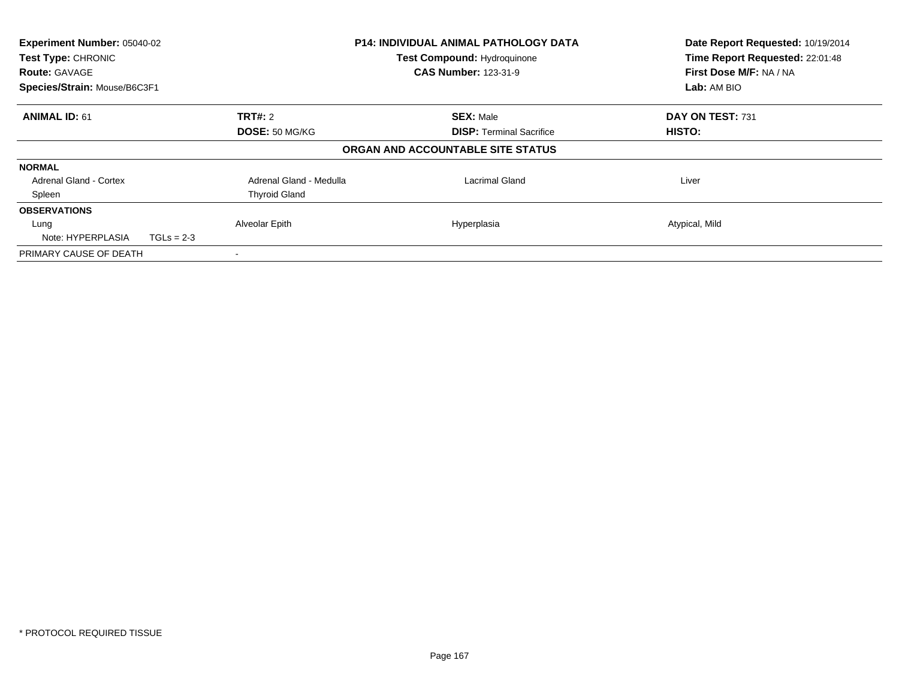| Experiment Number: 05040-02<br>Test Type: CHRONIC<br><b>Route: GAVAGE</b><br>Species/Strain: Mouse/B6C3F1 |                           | <b>P14: INDIVIDUAL ANIMAL PATHOLOGY DATA</b><br><b>Test Compound: Hydroquinone</b><br><b>CAS Number: 123-31-9</b> | Date Report Requested: 10/19/2014<br>Time Report Requested: 22:01:48<br>First Dose M/F: NA / NA<br>Lab: AM BIO |
|-----------------------------------------------------------------------------------------------------------|---------------------------|-------------------------------------------------------------------------------------------------------------------|----------------------------------------------------------------------------------------------------------------|
| <b>ANIMAL ID: 61</b>                                                                                      | TRT#: 2<br>DOSE: 50 MG/KG | <b>SEX: Male</b><br><b>DISP:</b> Terminal Sacrifice                                                               | DAY ON TEST: 731<br><b>HISTO:</b>                                                                              |
|                                                                                                           |                           | ORGAN AND ACCOUNTABLE SITE STATUS                                                                                 |                                                                                                                |
| <b>NORMAL</b>                                                                                             |                           |                                                                                                                   |                                                                                                                |
| <b>Adrenal Gland - Cortex</b>                                                                             | Adrenal Gland - Medulla   | Lacrimal Gland                                                                                                    | Liver                                                                                                          |
| Spleen                                                                                                    | <b>Thyroid Gland</b>      |                                                                                                                   |                                                                                                                |
| <b>OBSERVATIONS</b>                                                                                       |                           |                                                                                                                   |                                                                                                                |
| Lung                                                                                                      | Alveolar Epith            | Hyperplasia                                                                                                       | Atypical, Mild                                                                                                 |
| Note: HYPERPLASIA<br>$TGLs = 2-3$                                                                         |                           |                                                                                                                   |                                                                                                                |
| PRIMARY CAUSE OF DEATH                                                                                    |                           |                                                                                                                   |                                                                                                                |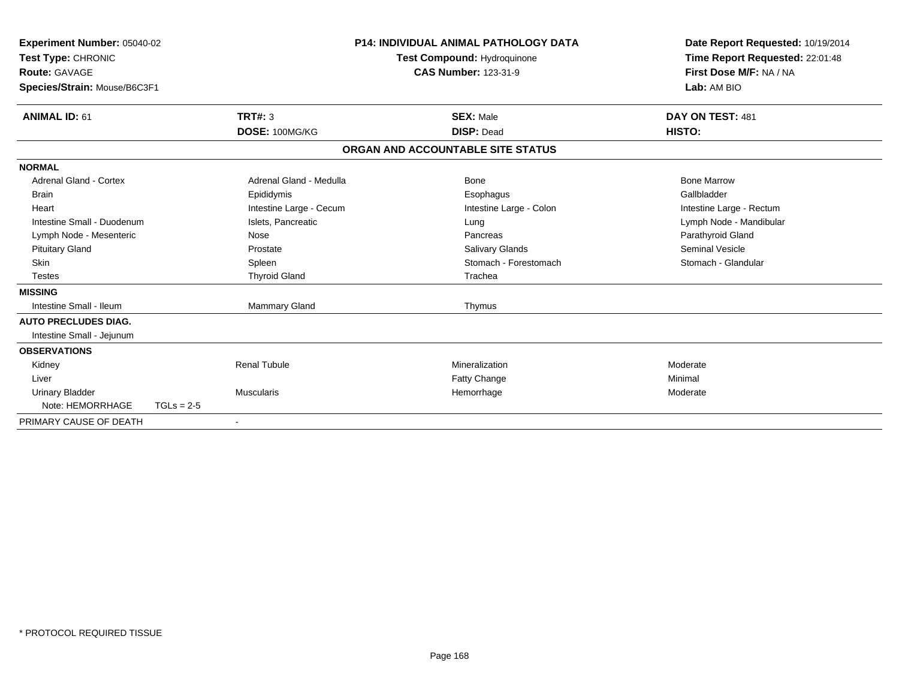| Experiment Number: 05040-02<br>Test Type: CHRONIC<br><b>Route: GAVAGE</b><br>Species/Strain: Mouse/B6C3F1 |              |                         | <b>P14: INDIVIDUAL ANIMAL PATHOLOGY DATA</b><br><b>Test Compound: Hydroquinone</b><br><b>CAS Number: 123-31-9</b> |                                   | Date Report Requested: 10/19/2014<br>Time Report Requested: 22:01:48<br>First Dose M/F: NA / NA<br>Lab: AM BIO |  |
|-----------------------------------------------------------------------------------------------------------|--------------|-------------------------|-------------------------------------------------------------------------------------------------------------------|-----------------------------------|----------------------------------------------------------------------------------------------------------------|--|
| <b>ANIMAL ID: 61</b>                                                                                      |              | TRT#: 3                 |                                                                                                                   | <b>SEX: Male</b>                  | DAY ON TEST: 481                                                                                               |  |
|                                                                                                           |              | DOSE: 100MG/KG          |                                                                                                                   | <b>DISP: Dead</b>                 | HISTO:                                                                                                         |  |
|                                                                                                           |              |                         |                                                                                                                   | ORGAN AND ACCOUNTABLE SITE STATUS |                                                                                                                |  |
| <b>NORMAL</b>                                                                                             |              |                         |                                                                                                                   |                                   |                                                                                                                |  |
| Adrenal Gland - Cortex                                                                                    |              | Adrenal Gland - Medulla |                                                                                                                   | <b>Bone</b>                       | <b>Bone Marrow</b>                                                                                             |  |
| <b>Brain</b>                                                                                              |              | Epididymis              |                                                                                                                   | Esophagus                         | Gallbladder                                                                                                    |  |
| Heart                                                                                                     |              | Intestine Large - Cecum |                                                                                                                   | Intestine Large - Colon           | Intestine Large - Rectum                                                                                       |  |
| Intestine Small - Duodenum                                                                                |              | Islets, Pancreatic      |                                                                                                                   | Lung                              | Lymph Node - Mandibular                                                                                        |  |
| Lymph Node - Mesenteric                                                                                   |              | Nose                    |                                                                                                                   | Pancreas                          | Parathyroid Gland                                                                                              |  |
| <b>Pituitary Gland</b>                                                                                    |              | Prostate                |                                                                                                                   | <b>Salivary Glands</b>            | <b>Seminal Vesicle</b>                                                                                         |  |
| <b>Skin</b>                                                                                               |              | Spleen                  |                                                                                                                   | Stomach - Forestomach             | Stomach - Glandular                                                                                            |  |
| <b>Testes</b>                                                                                             |              | <b>Thyroid Gland</b>    |                                                                                                                   | Trachea                           |                                                                                                                |  |
| <b>MISSING</b>                                                                                            |              |                         |                                                                                                                   |                                   |                                                                                                                |  |
| Intestine Small - Ileum                                                                                   |              | Mammary Gland           |                                                                                                                   | Thymus                            |                                                                                                                |  |
| <b>AUTO PRECLUDES DIAG.</b>                                                                               |              |                         |                                                                                                                   |                                   |                                                                                                                |  |
| Intestine Small - Jejunum                                                                                 |              |                         |                                                                                                                   |                                   |                                                                                                                |  |
| <b>OBSERVATIONS</b>                                                                                       |              |                         |                                                                                                                   |                                   |                                                                                                                |  |
| Kidney                                                                                                    |              | <b>Renal Tubule</b>     |                                                                                                                   | Mineralization                    | Moderate                                                                                                       |  |
| Liver                                                                                                     |              |                         |                                                                                                                   | Fatty Change                      | Minimal                                                                                                        |  |
| <b>Urinary Bladder</b>                                                                                    |              | Muscularis              |                                                                                                                   | Hemorrhage                        | Moderate                                                                                                       |  |
| Note: HEMORRHAGE                                                                                          | $TGLs = 2-5$ |                         |                                                                                                                   |                                   |                                                                                                                |  |
| PRIMARY CAUSE OF DEATH                                                                                    |              |                         |                                                                                                                   |                                   |                                                                                                                |  |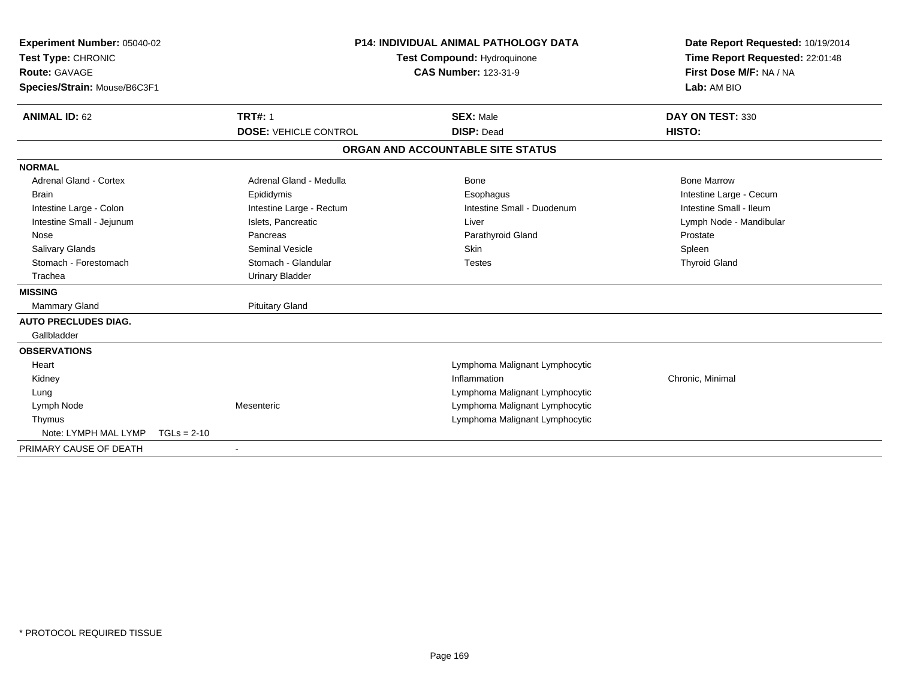| <b>Experiment Number: 05040-02</b><br>Test Type: CHRONIC<br>Route: GAVAGE<br>Species/Strain: Mouse/B6C3F1<br><b>ANIMAL ID: 62</b> | <b>TRT#: 1</b><br><b>DOSE: VEHICLE CONTROL</b> | <b>P14: INDIVIDUAL ANIMAL PATHOLOGY DATA</b><br><b>Test Compound: Hydroquinone</b><br><b>CAS Number: 123-31-9</b><br><b>SEX: Male</b><br><b>DISP: Dead</b> | Date Report Requested: 10/19/2014<br>Time Report Requested: 22:01:48<br>First Dose M/F: NA / NA<br>Lab: AM BIO<br>DAY ON TEST: 330<br>HISTO: |
|-----------------------------------------------------------------------------------------------------------------------------------|------------------------------------------------|------------------------------------------------------------------------------------------------------------------------------------------------------------|----------------------------------------------------------------------------------------------------------------------------------------------|
|                                                                                                                                   |                                                | ORGAN AND ACCOUNTABLE SITE STATUS                                                                                                                          |                                                                                                                                              |
| <b>NORMAL</b>                                                                                                                     |                                                |                                                                                                                                                            |                                                                                                                                              |
| <b>Adrenal Gland - Cortex</b>                                                                                                     | Adrenal Gland - Medulla                        | <b>Bone</b>                                                                                                                                                | <b>Bone Marrow</b>                                                                                                                           |
| <b>Brain</b>                                                                                                                      | Epididymis                                     | Esophagus                                                                                                                                                  | Intestine Large - Cecum                                                                                                                      |
| Intestine Large - Colon                                                                                                           | Intestine Large - Rectum                       | Intestine Small - Duodenum                                                                                                                                 | Intestine Small - Ileum                                                                                                                      |
| Intestine Small - Jejunum                                                                                                         | Islets, Pancreatic                             | Liver                                                                                                                                                      | Lymph Node - Mandibular                                                                                                                      |
| Nose                                                                                                                              | Pancreas                                       | Parathyroid Gland                                                                                                                                          | Prostate                                                                                                                                     |
| Salivary Glands                                                                                                                   | <b>Seminal Vesicle</b>                         | <b>Skin</b>                                                                                                                                                | Spleen                                                                                                                                       |
| Stomach - Forestomach                                                                                                             | Stomach - Glandular                            | <b>Testes</b>                                                                                                                                              | <b>Thyroid Gland</b>                                                                                                                         |
| Trachea                                                                                                                           | <b>Urinary Bladder</b>                         |                                                                                                                                                            |                                                                                                                                              |
| <b>MISSING</b>                                                                                                                    |                                                |                                                                                                                                                            |                                                                                                                                              |
| <b>Mammary Gland</b>                                                                                                              | <b>Pituitary Gland</b>                         |                                                                                                                                                            |                                                                                                                                              |
| <b>AUTO PRECLUDES DIAG.</b>                                                                                                       |                                                |                                                                                                                                                            |                                                                                                                                              |
| Gallbladder                                                                                                                       |                                                |                                                                                                                                                            |                                                                                                                                              |
| <b>OBSERVATIONS</b>                                                                                                               |                                                |                                                                                                                                                            |                                                                                                                                              |
| Heart                                                                                                                             |                                                | Lymphoma Malignant Lymphocytic                                                                                                                             |                                                                                                                                              |
| Kidney                                                                                                                            |                                                | Inflammation                                                                                                                                               | Chronic, Minimal                                                                                                                             |
| Lung                                                                                                                              |                                                | Lymphoma Malignant Lymphocytic                                                                                                                             |                                                                                                                                              |
| Lymph Node                                                                                                                        | Mesenteric                                     | Lymphoma Malignant Lymphocytic                                                                                                                             |                                                                                                                                              |
| Thymus                                                                                                                            |                                                | Lymphoma Malignant Lymphocytic                                                                                                                             |                                                                                                                                              |
| Note: LYMPH MAL LYMP                                                                                                              | $TGLs = 2-10$                                  |                                                                                                                                                            |                                                                                                                                              |
| PRIMARY CAUSE OF DEATH                                                                                                            |                                                |                                                                                                                                                            |                                                                                                                                              |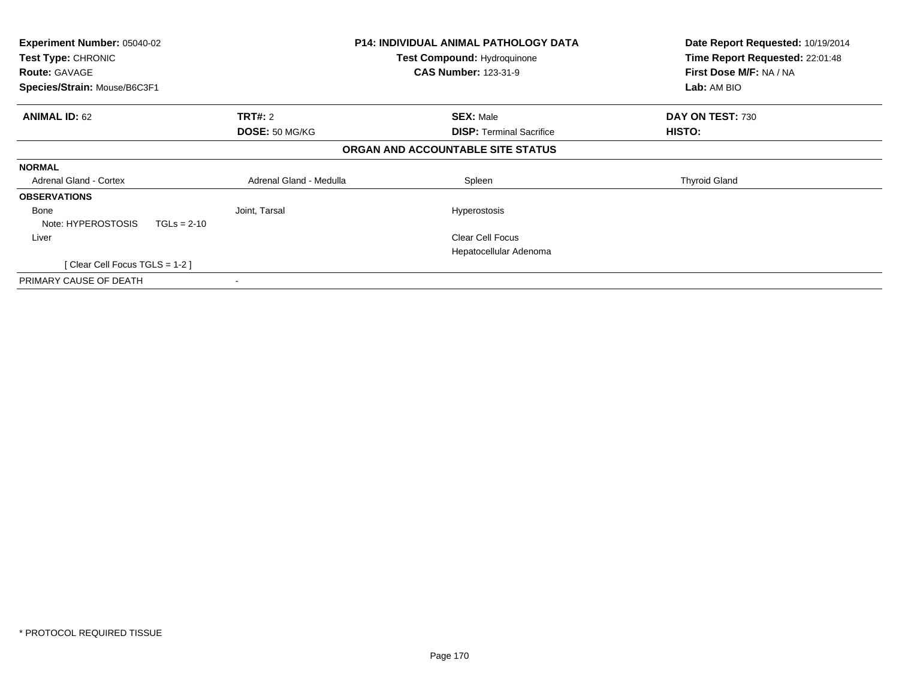| Experiment Number: 05040-02<br>Test Type: CHRONIC<br><b>Route: GAVAGE</b><br>Species/Strain: Mouse/B6C3F1 |                         | P14: INDIVIDUAL ANIMAL PATHOLOGY DATA<br><b>Test Compound: Hydroquinone</b><br><b>CAS Number: 123-31-9</b> | Date Report Requested: 10/19/2014<br>Time Report Requested: 22:01:48<br>First Dose M/F: NA / NA<br>Lab: AM BIO |
|-----------------------------------------------------------------------------------------------------------|-------------------------|------------------------------------------------------------------------------------------------------------|----------------------------------------------------------------------------------------------------------------|
|                                                                                                           |                         |                                                                                                            |                                                                                                                |
| <b>ANIMAL ID: 62</b>                                                                                      | <b>TRT#: 2</b>          | <b>SEX: Male</b>                                                                                           | DAY ON TEST: 730                                                                                               |
|                                                                                                           | DOSE: 50 MG/KG          | <b>DISP:</b> Terminal Sacrifice                                                                            | HISTO:                                                                                                         |
|                                                                                                           |                         | ORGAN AND ACCOUNTABLE SITE STATUS                                                                          |                                                                                                                |
| <b>NORMAL</b>                                                                                             |                         |                                                                                                            |                                                                                                                |
| Adrenal Gland - Cortex                                                                                    | Adrenal Gland - Medulla | Spleen                                                                                                     | <b>Thyroid Gland</b>                                                                                           |
| <b>OBSERVATIONS</b>                                                                                       |                         |                                                                                                            |                                                                                                                |
| Bone                                                                                                      | Joint, Tarsal           | <b>Hyperostosis</b>                                                                                        |                                                                                                                |
| Note: HYPEROSTOSIS<br>$TGLs = 2-10$                                                                       |                         |                                                                                                            |                                                                                                                |
| Liver                                                                                                     |                         | <b>Clear Cell Focus</b>                                                                                    |                                                                                                                |
|                                                                                                           |                         | Hepatocellular Adenoma                                                                                     |                                                                                                                |
| [Clear Cell Focus TGLS = 1-2]                                                                             |                         |                                                                                                            |                                                                                                                |
| PRIMARY CAUSE OF DEATH                                                                                    |                         |                                                                                                            |                                                                                                                |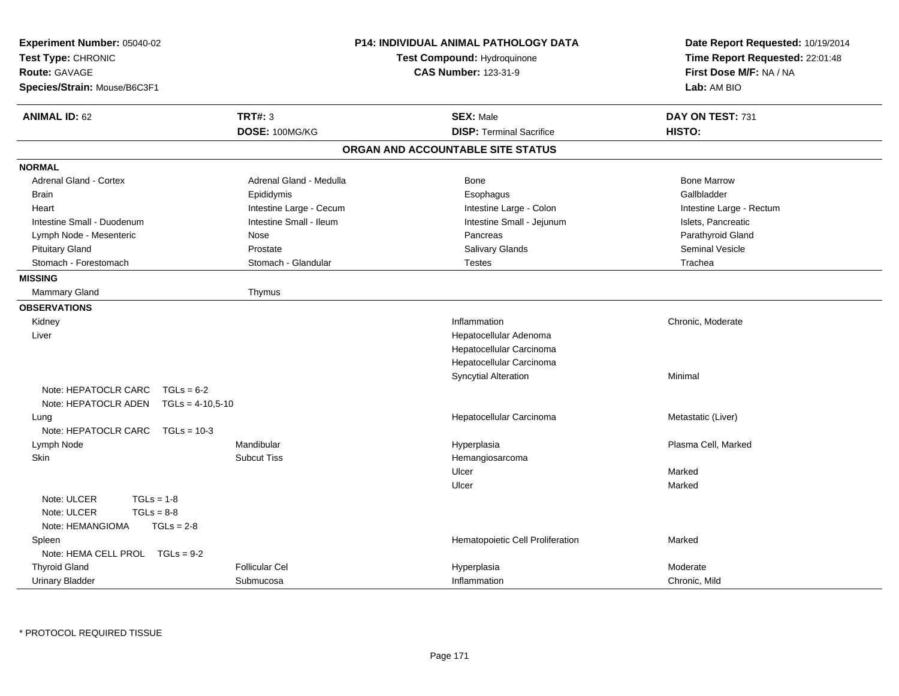| <b>Experiment Number: 05040-02</b><br>Test Type: CHRONIC<br><b>Route: GAVAGE</b><br>Species/Strain: Mouse/B6C3F1 |                         | <b>P14: INDIVIDUAL ANIMAL PATHOLOGY DATA</b><br>Test Compound: Hydroquinone<br><b>CAS Number: 123-31-9</b> | Date Report Requested: 10/19/2014<br>Time Report Requested: 22:01:48<br>First Dose M/F: NA / NA<br>Lab: AM BIO |  |
|------------------------------------------------------------------------------------------------------------------|-------------------------|------------------------------------------------------------------------------------------------------------|----------------------------------------------------------------------------------------------------------------|--|
| <b>ANIMAL ID: 62</b>                                                                                             | TRT#: 3                 | <b>SEX: Male</b>                                                                                           | DAY ON TEST: 731                                                                                               |  |
|                                                                                                                  | DOSE: 100MG/KG          | <b>DISP: Terminal Sacrifice</b>                                                                            | HISTO:                                                                                                         |  |
|                                                                                                                  |                         | ORGAN AND ACCOUNTABLE SITE STATUS                                                                          |                                                                                                                |  |
| <b>NORMAL</b>                                                                                                    |                         |                                                                                                            |                                                                                                                |  |
| <b>Adrenal Gland - Cortex</b>                                                                                    | Adrenal Gland - Medulla | Bone                                                                                                       | <b>Bone Marrow</b>                                                                                             |  |
| <b>Brain</b>                                                                                                     | Epididymis              | Esophagus                                                                                                  | Gallbladder                                                                                                    |  |
| Heart                                                                                                            | Intestine Large - Cecum | Intestine Large - Colon                                                                                    | Intestine Large - Rectum                                                                                       |  |
| Intestine Small - Duodenum                                                                                       | Intestine Small - Ileum | Intestine Small - Jejunum                                                                                  | Islets, Pancreatic                                                                                             |  |
| Lymph Node - Mesenteric                                                                                          | Nose                    | Pancreas                                                                                                   | Parathyroid Gland                                                                                              |  |
| <b>Pituitary Gland</b>                                                                                           | Prostate                | <b>Salivary Glands</b>                                                                                     | <b>Seminal Vesicle</b>                                                                                         |  |
| Stomach - Forestomach                                                                                            | Stomach - Glandular     | <b>Testes</b>                                                                                              | Trachea                                                                                                        |  |
| <b>MISSING</b>                                                                                                   |                         |                                                                                                            |                                                                                                                |  |
| Mammary Gland                                                                                                    | Thymus                  |                                                                                                            |                                                                                                                |  |
| <b>OBSERVATIONS</b>                                                                                              |                         |                                                                                                            |                                                                                                                |  |
| Kidney                                                                                                           |                         | Inflammation                                                                                               | Chronic, Moderate                                                                                              |  |
| Liver                                                                                                            |                         | Hepatocellular Adenoma                                                                                     |                                                                                                                |  |
|                                                                                                                  |                         | Hepatocellular Carcinoma                                                                                   |                                                                                                                |  |
|                                                                                                                  |                         | Hepatocellular Carcinoma                                                                                   |                                                                                                                |  |
|                                                                                                                  |                         | <b>Syncytial Alteration</b>                                                                                | Minimal                                                                                                        |  |
| Note: HEPATOCLR CARC $TGLs = 6-2$                                                                                |                         |                                                                                                            |                                                                                                                |  |
| Note: HEPATOCLR ADEN TGLs = 4-10,5-10                                                                            |                         |                                                                                                            |                                                                                                                |  |
| Lung                                                                                                             |                         | Hepatocellular Carcinoma                                                                                   | Metastatic (Liver)                                                                                             |  |
| Note: HEPATOCLR CARC TGLs = 10-3                                                                                 |                         |                                                                                                            |                                                                                                                |  |
| Lymph Node                                                                                                       | Mandibular              | Hyperplasia                                                                                                | Plasma Cell, Marked                                                                                            |  |
| Skin                                                                                                             | <b>Subcut Tiss</b>      | Hemangiosarcoma                                                                                            |                                                                                                                |  |
|                                                                                                                  |                         | Ulcer                                                                                                      | Marked                                                                                                         |  |
|                                                                                                                  |                         | Ulcer                                                                                                      | Marked                                                                                                         |  |
| Note: ULCER<br>$TGLs = 1-8$                                                                                      |                         |                                                                                                            |                                                                                                                |  |
| Note: ULCER<br>$TGLs = 8-8$                                                                                      |                         |                                                                                                            |                                                                                                                |  |
| Note: HEMANGIOMA<br>$TGLs = 2-8$                                                                                 |                         |                                                                                                            |                                                                                                                |  |
| Spleen                                                                                                           |                         | Hematopoietic Cell Proliferation                                                                           | Marked                                                                                                         |  |
| Note: HEMA CELL PROL TGLs = 9-2                                                                                  |                         |                                                                                                            |                                                                                                                |  |
| <b>Thyroid Gland</b>                                                                                             | <b>Follicular Cel</b>   | Hyperplasia                                                                                                | Moderate                                                                                                       |  |
| <b>Urinary Bladder</b>                                                                                           | Submucosa               | Inflammation                                                                                               | Chronic, Mild                                                                                                  |  |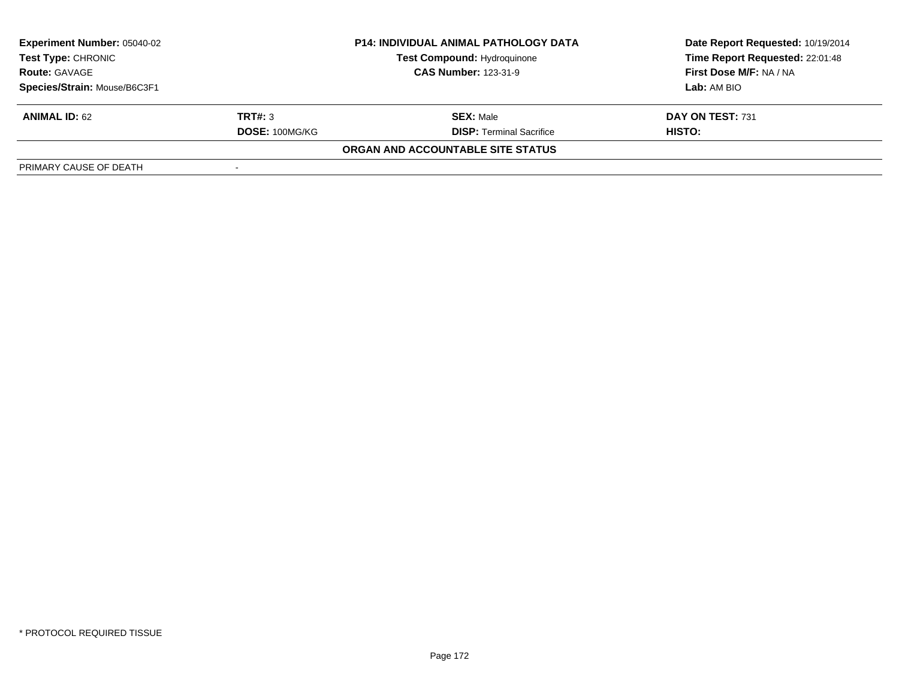| <b>Experiment Number: 05040-02</b>                |                | <b>P14: INDIVIDUAL ANIMAL PATHOLOGY DATA</b> | Date Report Requested: 10/19/2014 |  |
|---------------------------------------------------|----------------|----------------------------------------------|-----------------------------------|--|
| <b>Test Type: CHRONIC</b><br><b>Route: GAVAGE</b> |                | <b>Test Compound: Hydroquinone</b>           | Time Report Requested: 22:01:48   |  |
|                                                   |                | <b>CAS Number: 123-31-9</b>                  | First Dose M/F: NA / NA           |  |
| Species/Strain: Mouse/B6C3F1                      |                |                                              | <b>Lab:</b> AM BIO                |  |
| <b>ANIMAL ID: 62</b>                              | TRT#: 3        | <b>SEX: Male</b>                             | DAY ON TEST: 731                  |  |
|                                                   | DOSE: 100MG/KG | <b>DISP: Terminal Sacrifice</b>              | HISTO:                            |  |
|                                                   |                | ORGAN AND ACCOUNTABLE SITE STATUS            |                                   |  |
| PRIMARY CAUSE OF DEATH                            |                |                                              |                                   |  |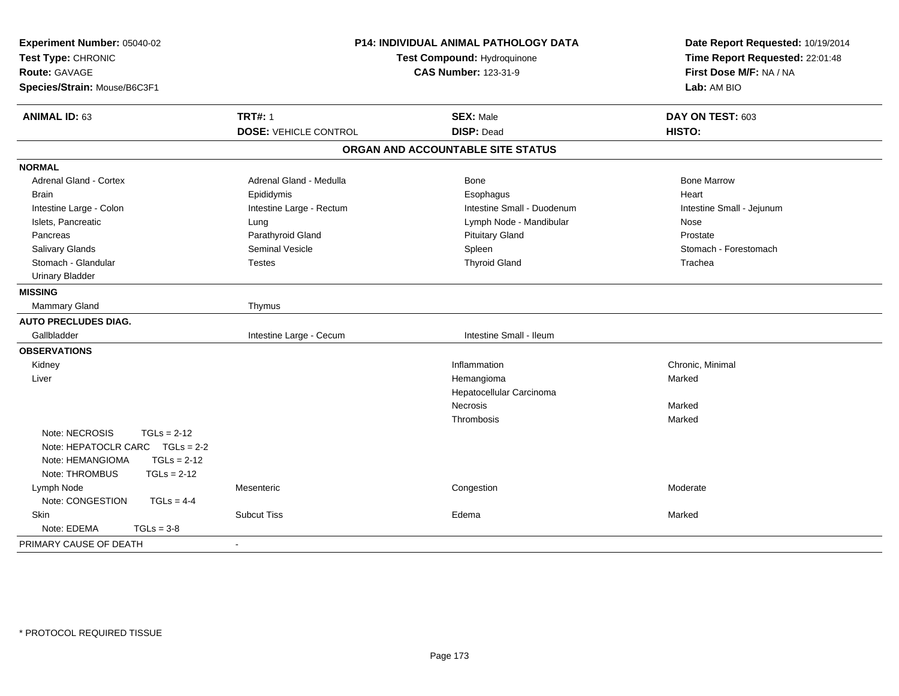| <b>ANIMAL ID: 63</b><br><b>TRT#: 1</b><br><b>SEX: Male</b><br>DAY ON TEST: 603<br><b>DISP: Dead</b><br><b>DOSE: VEHICLE CONTROL</b><br>HISTO:<br>ORGAN AND ACCOUNTABLE SITE STATUS<br><b>NORMAL</b><br><b>Bone Marrow</b><br>Adrenal Gland - Cortex<br>Adrenal Gland - Medulla<br>Bone<br><b>Brain</b><br>Epididymis<br>Esophagus<br>Heart<br>Intestine Large - Colon<br>Intestine Large - Rectum<br>Intestine Small - Duodenum<br>Intestine Small - Jejunum<br>Islets, Pancreatic<br>Lymph Node - Mandibular<br>Lung<br>Nose<br>Parathyroid Gland<br>Pancreas<br><b>Pituitary Gland</b><br>Prostate<br>Seminal Vesicle<br>Salivary Glands<br>Spleen<br>Stomach - Forestomach<br>Stomach - Glandular<br><b>Thyroid Gland</b><br><b>Testes</b><br>Trachea<br><b>Urinary Bladder</b><br><b>MISSING</b><br>Mammary Gland<br>Thymus<br><b>AUTO PRECLUDES DIAG.</b><br>Gallbladder<br>Intestine Large - Cecum<br>Intestine Small - Ileum<br><b>OBSERVATIONS</b><br>Kidney<br>Inflammation<br>Chronic, Minimal<br>Liver<br>Hemangioma<br>Marked<br>Hepatocellular Carcinoma<br><b>Necrosis</b><br>Marked<br>Thrombosis<br>Marked<br>Note: NECROSIS<br>$TGLs = 2-12$<br>Note: HEPATOCLR CARC TGLs = 2-2<br>Note: HEMANGIOMA<br>$TGLs = 2-12$<br>Note: THROMBUS<br>$TGLs = 2-12$<br>Lymph Node<br>Mesenteric<br>Congestion<br>Moderate<br>Note: CONGESTION<br>$TGLs = 4-4$<br><b>Skin</b><br><b>Subcut Tiss</b><br>Edema<br>Marked<br>$TGLs = 3-8$<br>Note: EDEMA<br>PRIMARY CAUSE OF DEATH | Experiment Number: 05040-02<br>Test Type: CHRONIC<br><b>Route: GAVAGE</b><br>Species/Strain: Mouse/B6C3F1 | P14: INDIVIDUAL ANIMAL PATHOLOGY DATA<br>Test Compound: Hydroquinone<br><b>CAS Number: 123-31-9</b> |  | Date Report Requested: 10/19/2014<br>Time Report Requested: 22:01:48<br>First Dose M/F: NA / NA<br>Lab: AM BIO |  |
|-------------------------------------------------------------------------------------------------------------------------------------------------------------------------------------------------------------------------------------------------------------------------------------------------------------------------------------------------------------------------------------------------------------------------------------------------------------------------------------------------------------------------------------------------------------------------------------------------------------------------------------------------------------------------------------------------------------------------------------------------------------------------------------------------------------------------------------------------------------------------------------------------------------------------------------------------------------------------------------------------------------------------------------------------------------------------------------------------------------------------------------------------------------------------------------------------------------------------------------------------------------------------------------------------------------------------------------------------------------------------------------------------------------------------------------------------------------------------------------|-----------------------------------------------------------------------------------------------------------|-----------------------------------------------------------------------------------------------------|--|----------------------------------------------------------------------------------------------------------------|--|
|                                                                                                                                                                                                                                                                                                                                                                                                                                                                                                                                                                                                                                                                                                                                                                                                                                                                                                                                                                                                                                                                                                                                                                                                                                                                                                                                                                                                                                                                                     |                                                                                                           |                                                                                                     |  |                                                                                                                |  |
|                                                                                                                                                                                                                                                                                                                                                                                                                                                                                                                                                                                                                                                                                                                                                                                                                                                                                                                                                                                                                                                                                                                                                                                                                                                                                                                                                                                                                                                                                     |                                                                                                           |                                                                                                     |  |                                                                                                                |  |
|                                                                                                                                                                                                                                                                                                                                                                                                                                                                                                                                                                                                                                                                                                                                                                                                                                                                                                                                                                                                                                                                                                                                                                                                                                                                                                                                                                                                                                                                                     |                                                                                                           |                                                                                                     |  |                                                                                                                |  |
|                                                                                                                                                                                                                                                                                                                                                                                                                                                                                                                                                                                                                                                                                                                                                                                                                                                                                                                                                                                                                                                                                                                                                                                                                                                                                                                                                                                                                                                                                     |                                                                                                           |                                                                                                     |  |                                                                                                                |  |
|                                                                                                                                                                                                                                                                                                                                                                                                                                                                                                                                                                                                                                                                                                                                                                                                                                                                                                                                                                                                                                                                                                                                                                                                                                                                                                                                                                                                                                                                                     |                                                                                                           |                                                                                                     |  |                                                                                                                |  |
|                                                                                                                                                                                                                                                                                                                                                                                                                                                                                                                                                                                                                                                                                                                                                                                                                                                                                                                                                                                                                                                                                                                                                                                                                                                                                                                                                                                                                                                                                     |                                                                                                           |                                                                                                     |  |                                                                                                                |  |
|                                                                                                                                                                                                                                                                                                                                                                                                                                                                                                                                                                                                                                                                                                                                                                                                                                                                                                                                                                                                                                                                                                                                                                                                                                                                                                                                                                                                                                                                                     |                                                                                                           |                                                                                                     |  |                                                                                                                |  |
|                                                                                                                                                                                                                                                                                                                                                                                                                                                                                                                                                                                                                                                                                                                                                                                                                                                                                                                                                                                                                                                                                                                                                                                                                                                                                                                                                                                                                                                                                     |                                                                                                           |                                                                                                     |  |                                                                                                                |  |
|                                                                                                                                                                                                                                                                                                                                                                                                                                                                                                                                                                                                                                                                                                                                                                                                                                                                                                                                                                                                                                                                                                                                                                                                                                                                                                                                                                                                                                                                                     |                                                                                                           |                                                                                                     |  |                                                                                                                |  |
|                                                                                                                                                                                                                                                                                                                                                                                                                                                                                                                                                                                                                                                                                                                                                                                                                                                                                                                                                                                                                                                                                                                                                                                                                                                                                                                                                                                                                                                                                     |                                                                                                           |                                                                                                     |  |                                                                                                                |  |
|                                                                                                                                                                                                                                                                                                                                                                                                                                                                                                                                                                                                                                                                                                                                                                                                                                                                                                                                                                                                                                                                                                                                                                                                                                                                                                                                                                                                                                                                                     |                                                                                                           |                                                                                                     |  |                                                                                                                |  |
|                                                                                                                                                                                                                                                                                                                                                                                                                                                                                                                                                                                                                                                                                                                                                                                                                                                                                                                                                                                                                                                                                                                                                                                                                                                                                                                                                                                                                                                                                     |                                                                                                           |                                                                                                     |  |                                                                                                                |  |
|                                                                                                                                                                                                                                                                                                                                                                                                                                                                                                                                                                                                                                                                                                                                                                                                                                                                                                                                                                                                                                                                                                                                                                                                                                                                                                                                                                                                                                                                                     |                                                                                                           |                                                                                                     |  |                                                                                                                |  |
|                                                                                                                                                                                                                                                                                                                                                                                                                                                                                                                                                                                                                                                                                                                                                                                                                                                                                                                                                                                                                                                                                                                                                                                                                                                                                                                                                                                                                                                                                     |                                                                                                           |                                                                                                     |  |                                                                                                                |  |
|                                                                                                                                                                                                                                                                                                                                                                                                                                                                                                                                                                                                                                                                                                                                                                                                                                                                                                                                                                                                                                                                                                                                                                                                                                                                                                                                                                                                                                                                                     |                                                                                                           |                                                                                                     |  |                                                                                                                |  |
|                                                                                                                                                                                                                                                                                                                                                                                                                                                                                                                                                                                                                                                                                                                                                                                                                                                                                                                                                                                                                                                                                                                                                                                                                                                                                                                                                                                                                                                                                     |                                                                                                           |                                                                                                     |  |                                                                                                                |  |
|                                                                                                                                                                                                                                                                                                                                                                                                                                                                                                                                                                                                                                                                                                                                                                                                                                                                                                                                                                                                                                                                                                                                                                                                                                                                                                                                                                                                                                                                                     |                                                                                                           |                                                                                                     |  |                                                                                                                |  |
|                                                                                                                                                                                                                                                                                                                                                                                                                                                                                                                                                                                                                                                                                                                                                                                                                                                                                                                                                                                                                                                                                                                                                                                                                                                                                                                                                                                                                                                                                     |                                                                                                           |                                                                                                     |  |                                                                                                                |  |
|                                                                                                                                                                                                                                                                                                                                                                                                                                                                                                                                                                                                                                                                                                                                                                                                                                                                                                                                                                                                                                                                                                                                                                                                                                                                                                                                                                                                                                                                                     |                                                                                                           |                                                                                                     |  |                                                                                                                |  |
|                                                                                                                                                                                                                                                                                                                                                                                                                                                                                                                                                                                                                                                                                                                                                                                                                                                                                                                                                                                                                                                                                                                                                                                                                                                                                                                                                                                                                                                                                     |                                                                                                           |                                                                                                     |  |                                                                                                                |  |
|                                                                                                                                                                                                                                                                                                                                                                                                                                                                                                                                                                                                                                                                                                                                                                                                                                                                                                                                                                                                                                                                                                                                                                                                                                                                                                                                                                                                                                                                                     |                                                                                                           |                                                                                                     |  |                                                                                                                |  |
|                                                                                                                                                                                                                                                                                                                                                                                                                                                                                                                                                                                                                                                                                                                                                                                                                                                                                                                                                                                                                                                                                                                                                                                                                                                                                                                                                                                                                                                                                     |                                                                                                           |                                                                                                     |  |                                                                                                                |  |
|                                                                                                                                                                                                                                                                                                                                                                                                                                                                                                                                                                                                                                                                                                                                                                                                                                                                                                                                                                                                                                                                                                                                                                                                                                                                                                                                                                                                                                                                                     |                                                                                                           |                                                                                                     |  |                                                                                                                |  |
|                                                                                                                                                                                                                                                                                                                                                                                                                                                                                                                                                                                                                                                                                                                                                                                                                                                                                                                                                                                                                                                                                                                                                                                                                                                                                                                                                                                                                                                                                     |                                                                                                           |                                                                                                     |  |                                                                                                                |  |
|                                                                                                                                                                                                                                                                                                                                                                                                                                                                                                                                                                                                                                                                                                                                                                                                                                                                                                                                                                                                                                                                                                                                                                                                                                                                                                                                                                                                                                                                                     |                                                                                                           |                                                                                                     |  |                                                                                                                |  |
|                                                                                                                                                                                                                                                                                                                                                                                                                                                                                                                                                                                                                                                                                                                                                                                                                                                                                                                                                                                                                                                                                                                                                                                                                                                                                                                                                                                                                                                                                     |                                                                                                           |                                                                                                     |  |                                                                                                                |  |
|                                                                                                                                                                                                                                                                                                                                                                                                                                                                                                                                                                                                                                                                                                                                                                                                                                                                                                                                                                                                                                                                                                                                                                                                                                                                                                                                                                                                                                                                                     |                                                                                                           |                                                                                                     |  |                                                                                                                |  |
|                                                                                                                                                                                                                                                                                                                                                                                                                                                                                                                                                                                                                                                                                                                                                                                                                                                                                                                                                                                                                                                                                                                                                                                                                                                                                                                                                                                                                                                                                     |                                                                                                           |                                                                                                     |  |                                                                                                                |  |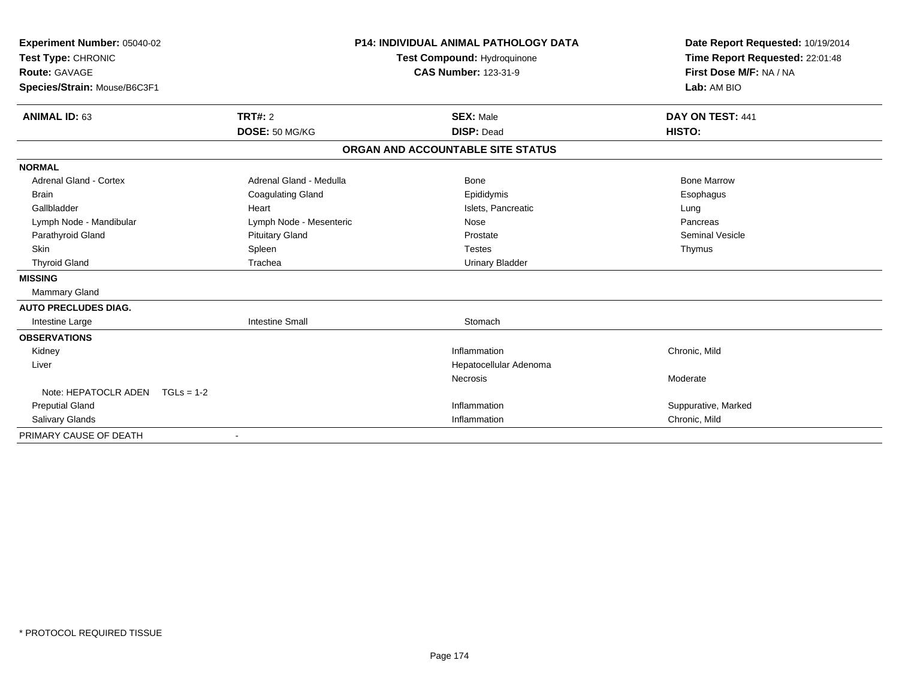| Experiment Number: 05040-02<br>Test Type: CHRONIC<br>Route: GAVAGE<br>Species/Strain: Mouse/B6C3F1 |                           | <b>P14: INDIVIDUAL ANIMAL PATHOLOGY DATA</b><br>Test Compound: Hydroquinone<br><b>CAS Number: 123-31-9</b> | Date Report Requested: 10/19/2014<br>Time Report Requested: 22:01:48<br>First Dose M/F: NA / NA<br>Lab: AM BIO |
|----------------------------------------------------------------------------------------------------|---------------------------|------------------------------------------------------------------------------------------------------------|----------------------------------------------------------------------------------------------------------------|
| <b>ANIMAL ID: 63</b>                                                                               | TRT#: 2<br>DOSE: 50 MG/KG | <b>SEX: Male</b><br><b>DISP: Dead</b>                                                                      | DAY ON TEST: 441<br>HISTO:                                                                                     |
|                                                                                                    |                           | ORGAN AND ACCOUNTABLE SITE STATUS                                                                          |                                                                                                                |
| <b>NORMAL</b>                                                                                      |                           |                                                                                                            |                                                                                                                |
| Adrenal Gland - Cortex                                                                             | Adrenal Gland - Medulla   | Bone                                                                                                       | <b>Bone Marrow</b>                                                                                             |
| <b>Brain</b>                                                                                       | <b>Coagulating Gland</b>  | Epididymis                                                                                                 | Esophagus                                                                                                      |
| Gallbladder                                                                                        | Heart                     | Islets, Pancreatic                                                                                         | Lung                                                                                                           |
| Lymph Node - Mandibular                                                                            | Lymph Node - Mesenteric   | Nose                                                                                                       | Pancreas                                                                                                       |
| Parathyroid Gland                                                                                  | <b>Pituitary Gland</b>    | Prostate                                                                                                   | <b>Seminal Vesicle</b>                                                                                         |
| <b>Skin</b>                                                                                        | Spleen                    | <b>Testes</b>                                                                                              | Thymus                                                                                                         |
| <b>Thyroid Gland</b>                                                                               | Trachea                   | <b>Urinary Bladder</b>                                                                                     |                                                                                                                |
| <b>MISSING</b>                                                                                     |                           |                                                                                                            |                                                                                                                |
| Mammary Gland                                                                                      |                           |                                                                                                            |                                                                                                                |
| <b>AUTO PRECLUDES DIAG.</b>                                                                        |                           |                                                                                                            |                                                                                                                |
| Intestine Large                                                                                    | <b>Intestine Small</b>    | Stomach                                                                                                    |                                                                                                                |
| <b>OBSERVATIONS</b>                                                                                |                           |                                                                                                            |                                                                                                                |
| Kidney                                                                                             |                           | Inflammation                                                                                               | Chronic, Mild                                                                                                  |
| Liver                                                                                              |                           | Hepatocellular Adenoma                                                                                     |                                                                                                                |
|                                                                                                    |                           | <b>Necrosis</b>                                                                                            | Moderate                                                                                                       |
| Note: HEPATOCLR ADEN TGLs = 1-2                                                                    |                           |                                                                                                            |                                                                                                                |
| <b>Preputial Gland</b>                                                                             |                           | Inflammation                                                                                               | Suppurative, Marked                                                                                            |
| Salivary Glands                                                                                    |                           | Inflammation                                                                                               | Chronic, Mild                                                                                                  |
| PRIMARY CAUSE OF DEATH                                                                             |                           |                                                                                                            |                                                                                                                |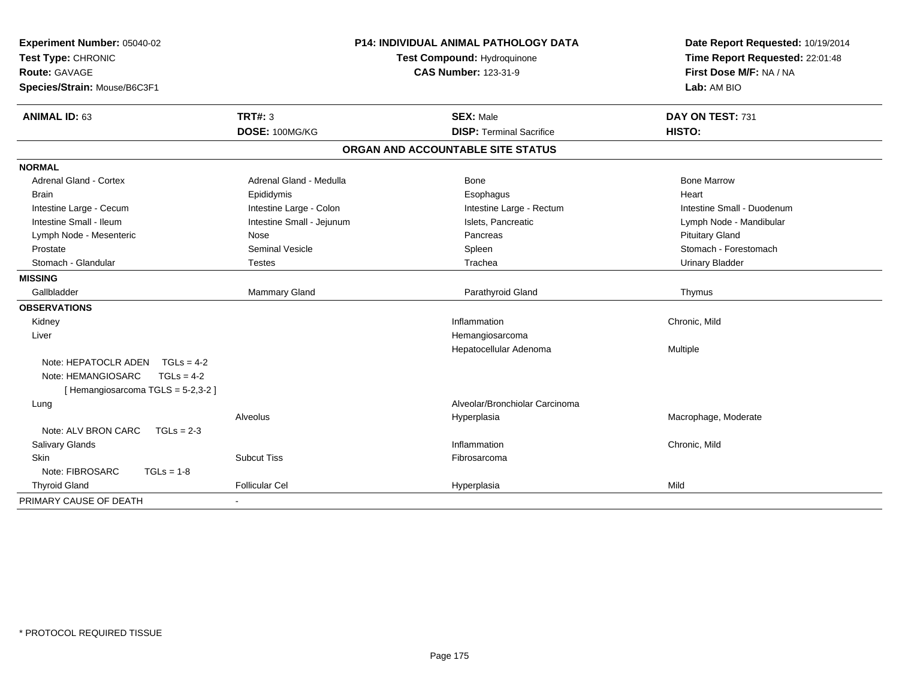| Experiment Number: 05040-02                |                           | <b>P14: INDIVIDUAL ANIMAL PATHOLOGY DATA</b>               | Date Report Requested: 10/19/2014<br>Time Report Requested: 22:01:48<br>First Dose M/F: NA / NA |  |
|--------------------------------------------|---------------------------|------------------------------------------------------------|-------------------------------------------------------------------------------------------------|--|
| Test Type: CHRONIC<br><b>Route: GAVAGE</b> |                           | Test Compound: Hydroquinone<br><b>CAS Number: 123-31-9</b> |                                                                                                 |  |
| Species/Strain: Mouse/B6C3F1               |                           |                                                            | Lab: AM BIO                                                                                     |  |
|                                            |                           |                                                            |                                                                                                 |  |
| <b>ANIMAL ID: 63</b>                       | <b>TRT#: 3</b>            | <b>SEX: Male</b>                                           | DAY ON TEST: 731                                                                                |  |
|                                            | DOSE: 100MG/KG            | <b>DISP: Terminal Sacrifice</b>                            | HISTO:                                                                                          |  |
|                                            |                           | ORGAN AND ACCOUNTABLE SITE STATUS                          |                                                                                                 |  |
| <b>NORMAL</b>                              |                           |                                                            |                                                                                                 |  |
| <b>Adrenal Gland - Cortex</b>              | Adrenal Gland - Medulla   | Bone                                                       | <b>Bone Marrow</b>                                                                              |  |
| <b>Brain</b>                               | Epididymis                | Esophagus                                                  | Heart                                                                                           |  |
| Intestine Large - Cecum                    | Intestine Large - Colon   | Intestine Large - Rectum                                   | Intestine Small - Duodenum                                                                      |  |
| Intestine Small - Ileum                    | Intestine Small - Jejunum | Islets, Pancreatic                                         | Lymph Node - Mandibular                                                                         |  |
| Lymph Node - Mesenteric                    | Nose                      | Pancreas                                                   | <b>Pituitary Gland</b>                                                                          |  |
| Prostate                                   | <b>Seminal Vesicle</b>    | Spleen                                                     | Stomach - Forestomach                                                                           |  |
| Stomach - Glandular                        | <b>Testes</b>             | Trachea                                                    | <b>Urinary Bladder</b>                                                                          |  |
| <b>MISSING</b>                             |                           |                                                            |                                                                                                 |  |
| Gallbladder                                | Mammary Gland             | Parathyroid Gland                                          | Thymus                                                                                          |  |
| <b>OBSERVATIONS</b>                        |                           |                                                            |                                                                                                 |  |
| Kidney                                     |                           | Inflammation                                               | Chronic, Mild                                                                                   |  |
| Liver                                      |                           | Hemangiosarcoma                                            |                                                                                                 |  |
|                                            |                           | Hepatocellular Adenoma                                     | Multiple                                                                                        |  |
| Note: HEPATOCLR ADEN $TGLs = 4-2$          |                           |                                                            |                                                                                                 |  |
| Note: HEMANGIOSARC<br>$TGLs = 4-2$         |                           |                                                            |                                                                                                 |  |
| [Hemangiosarcoma TGLS = 5-2,3-2]           |                           |                                                            |                                                                                                 |  |
| Lung                                       |                           | Alveolar/Bronchiolar Carcinoma                             |                                                                                                 |  |
|                                            | Alveolus                  | Hyperplasia                                                | Macrophage, Moderate                                                                            |  |
| Note: ALV BRON CARC<br>$TGLs = 2-3$        |                           |                                                            |                                                                                                 |  |
| <b>Salivary Glands</b>                     |                           | Inflammation                                               | Chronic, Mild                                                                                   |  |
| Skin                                       | <b>Subcut Tiss</b>        | Fibrosarcoma                                               |                                                                                                 |  |
| Note: FIBROSARC<br>$TGLs = 1-8$            |                           |                                                            |                                                                                                 |  |
| <b>Thyroid Gland</b>                       | <b>Follicular Cel</b>     | Hyperplasia                                                | Mild                                                                                            |  |
| PRIMARY CAUSE OF DEATH                     |                           |                                                            |                                                                                                 |  |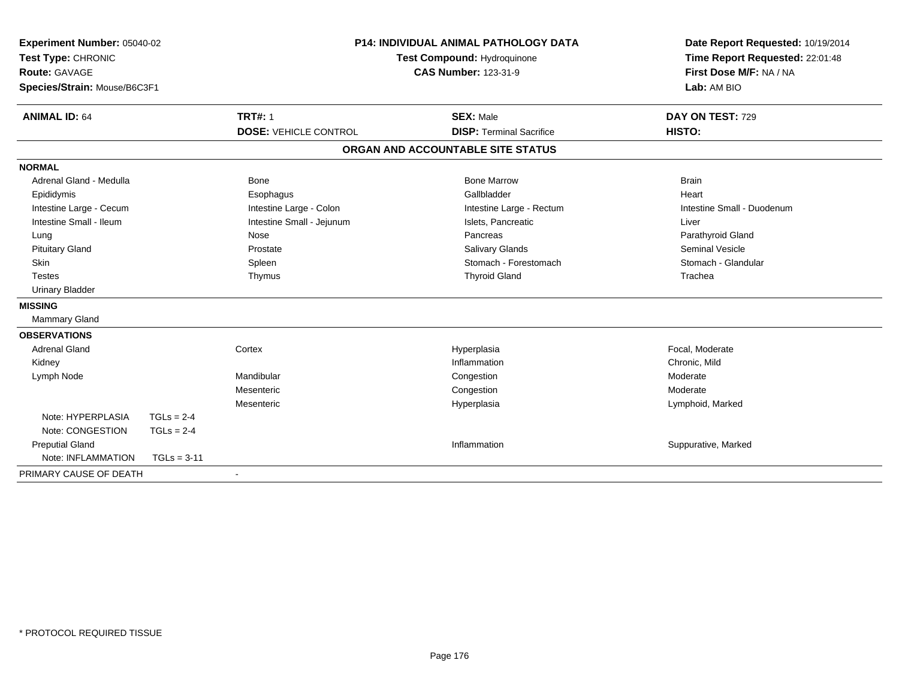| Experiment Number: 05040-02<br>Test Type: CHRONIC<br><b>Route: GAVAGE</b> |               |                              | P14: INDIVIDUAL ANIMAL PATHOLOGY DATA                      | Date Report Requested: 10/19/2014<br>Time Report Requested: 22:01:48 |
|---------------------------------------------------------------------------|---------------|------------------------------|------------------------------------------------------------|----------------------------------------------------------------------|
|                                                                           |               |                              | Test Compound: Hydroquinone<br><b>CAS Number: 123-31-9</b> | First Dose M/F: NA / NA                                              |
|                                                                           |               |                              |                                                            | Lab: AM BIO                                                          |
| Species/Strain: Mouse/B6C3F1                                              |               |                              |                                                            |                                                                      |
| <b>ANIMAL ID: 64</b>                                                      |               | <b>TRT#: 1</b>               | <b>SEX: Male</b>                                           | DAY ON TEST: 729                                                     |
|                                                                           |               | <b>DOSE: VEHICLE CONTROL</b> | <b>DISP: Terminal Sacrifice</b>                            | HISTO:                                                               |
|                                                                           |               |                              | ORGAN AND ACCOUNTABLE SITE STATUS                          |                                                                      |
| <b>NORMAL</b>                                                             |               |                              |                                                            |                                                                      |
| Adrenal Gland - Medulla                                                   |               | <b>Bone</b>                  | <b>Bone Marrow</b>                                         | <b>Brain</b>                                                         |
| Epididymis                                                                |               | Esophagus                    | Gallbladder                                                | Heart                                                                |
| Intestine Large - Cecum                                                   |               | Intestine Large - Colon      | Intestine Large - Rectum                                   | Intestine Small - Duodenum                                           |
| Intestine Small - Ileum                                                   |               | Intestine Small - Jejunum    | Islets, Pancreatic                                         | Liver                                                                |
| Lung                                                                      |               | Nose                         | Pancreas                                                   | Parathyroid Gland                                                    |
| <b>Pituitary Gland</b>                                                    |               | Prostate                     | Salivary Glands                                            | <b>Seminal Vesicle</b>                                               |
| <b>Skin</b>                                                               |               | Spleen                       | Stomach - Forestomach                                      | Stomach - Glandular                                                  |
| <b>Testes</b>                                                             |               | Thymus                       | <b>Thyroid Gland</b>                                       | Trachea                                                              |
| <b>Urinary Bladder</b>                                                    |               |                              |                                                            |                                                                      |
| <b>MISSING</b>                                                            |               |                              |                                                            |                                                                      |
| <b>Mammary Gland</b>                                                      |               |                              |                                                            |                                                                      |
| <b>OBSERVATIONS</b>                                                       |               |                              |                                                            |                                                                      |
| <b>Adrenal Gland</b>                                                      |               | Cortex                       | Hyperplasia                                                | Focal, Moderate                                                      |
| Kidney                                                                    |               |                              | Inflammation                                               | Chronic, Mild                                                        |
| Lymph Node                                                                |               | Mandibular                   | Congestion                                                 | Moderate                                                             |
|                                                                           |               | Mesenteric                   | Congestion                                                 | Moderate                                                             |
|                                                                           |               | Mesenteric                   | Hyperplasia                                                | Lymphoid, Marked                                                     |
| Note: HYPERPLASIA                                                         | $TGLs = 2-4$  |                              |                                                            |                                                                      |
| Note: CONGESTION                                                          | $TGLs = 2-4$  |                              |                                                            |                                                                      |
| <b>Preputial Gland</b>                                                    |               |                              | Inflammation                                               | Suppurative, Marked                                                  |
| Note: INFLAMMATION                                                        | $TGLs = 3-11$ |                              |                                                            |                                                                      |
| PRIMARY CAUSE OF DEATH                                                    |               |                              |                                                            |                                                                      |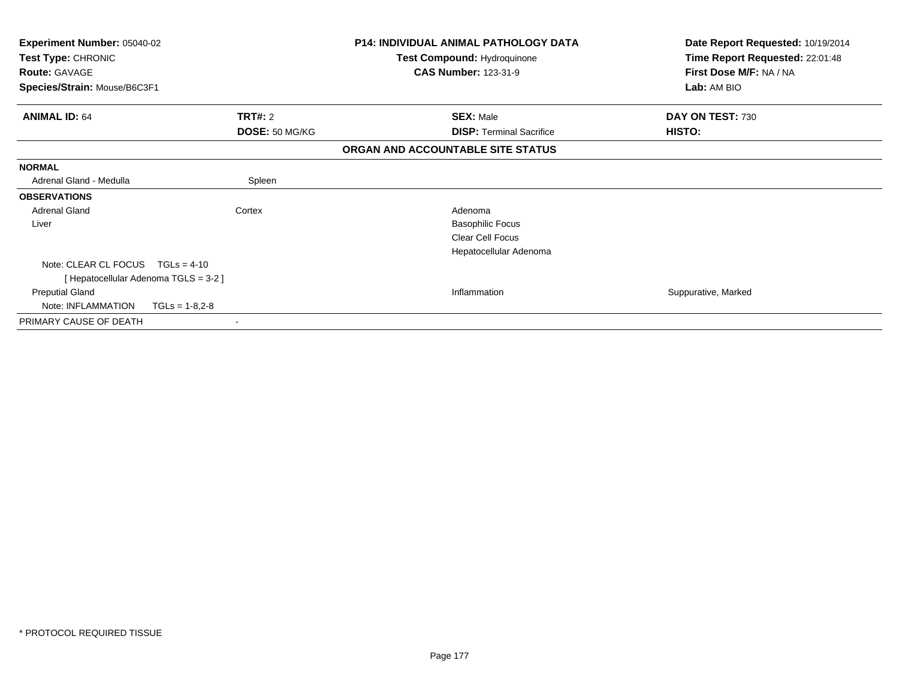| Experiment Number: 05040-02<br>Test Type: CHRONIC |                  | <b>P14: INDIVIDUAL ANIMAL PATHOLOGY DATA</b> | Date Report Requested: 10/19/2014 |
|---------------------------------------------------|------------------|----------------------------------------------|-----------------------------------|
|                                                   |                  | Test Compound: Hydroquinone                  | Time Report Requested: 22:01:48   |
| <b>Route: GAVAGE</b>                              |                  | <b>CAS Number: 123-31-9</b>                  | First Dose M/F: NA / NA           |
| Species/Strain: Mouse/B6C3F1                      |                  |                                              | Lab: AM BIO                       |
| <b>ANIMAL ID: 64</b>                              | <b>TRT#: 2</b>   | <b>SEX: Male</b>                             | DAY ON TEST: 730                  |
|                                                   | DOSE: 50 MG/KG   | <b>DISP: Terminal Sacrifice</b>              | HISTO:                            |
|                                                   |                  | ORGAN AND ACCOUNTABLE SITE STATUS            |                                   |
| <b>NORMAL</b>                                     |                  |                                              |                                   |
| Adrenal Gland - Medulla                           | Spleen           |                                              |                                   |
| <b>OBSERVATIONS</b>                               |                  |                                              |                                   |
| <b>Adrenal Gland</b>                              | Cortex           | Adenoma                                      |                                   |
| Liver                                             |                  | <b>Basophilic Focus</b>                      |                                   |
|                                                   |                  | Clear Cell Focus                             |                                   |
|                                                   |                  | Hepatocellular Adenoma                       |                                   |
| Note: CLEAR CL FOCUS                              | $TGLs = 4-10$    |                                              |                                   |
| [ Hepatocellular Adenoma TGLS = 3-2 ]             |                  |                                              |                                   |
| <b>Preputial Gland</b>                            |                  | Inflammation                                 | Suppurative, Marked               |
| Note: INFLAMMATION                                | $TGLs = 1-8,2-8$ |                                              |                                   |
| PRIMARY CAUSE OF DEATH                            |                  |                                              |                                   |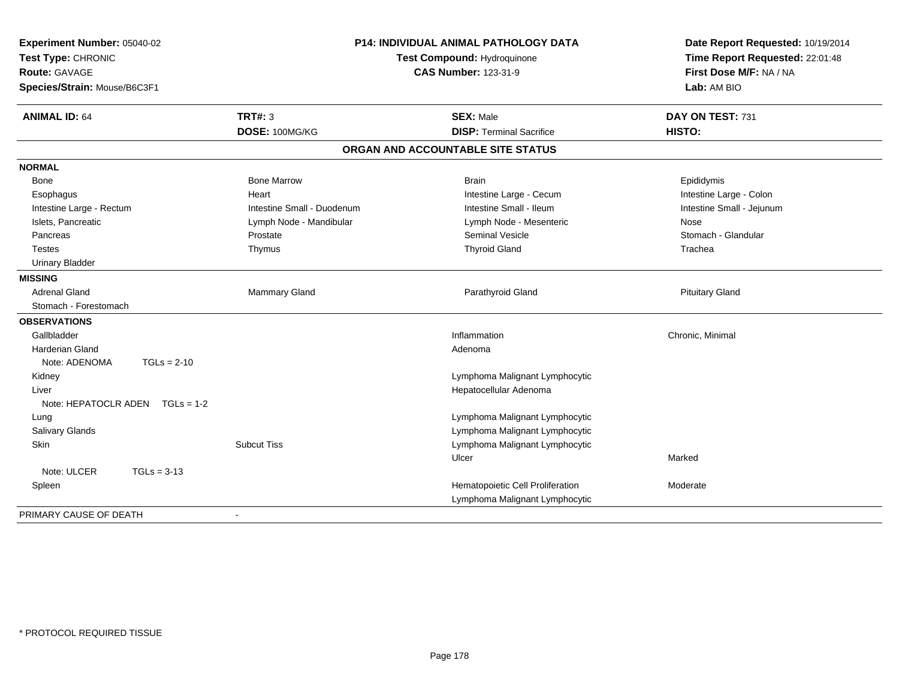| Experiment Number: 05040-02<br>Test Type: CHRONIC<br>Route: GAVAGE<br>Species/Strain: Mouse/B6C3F1 |                            | <b>P14: INDIVIDUAL ANIMAL PATHOLOGY DATA</b><br>Test Compound: Hydroquinone<br><b>CAS Number: 123-31-9</b> | Date Report Requested: 10/19/2014<br>Time Report Requested: 22:01:48<br>First Dose M/F: NA / NA<br>Lab: AM BIO |
|----------------------------------------------------------------------------------------------------|----------------------------|------------------------------------------------------------------------------------------------------------|----------------------------------------------------------------------------------------------------------------|
|                                                                                                    |                            |                                                                                                            |                                                                                                                |
| <b>ANIMAL ID: 64</b>                                                                               | <b>TRT#: 3</b>             | <b>SEX: Male</b>                                                                                           | DAY ON TEST: 731                                                                                               |
|                                                                                                    | DOSE: 100MG/KG             | <b>DISP: Terminal Sacrifice</b>                                                                            | HISTO:                                                                                                         |
|                                                                                                    |                            | ORGAN AND ACCOUNTABLE SITE STATUS                                                                          |                                                                                                                |
| <b>NORMAL</b>                                                                                      |                            |                                                                                                            |                                                                                                                |
| Bone                                                                                               | <b>Bone Marrow</b>         | <b>Brain</b>                                                                                               | Epididymis                                                                                                     |
| Esophagus                                                                                          | Heart                      | Intestine Large - Cecum                                                                                    | Intestine Large - Colon                                                                                        |
| Intestine Large - Rectum                                                                           | Intestine Small - Duodenum | Intestine Small - Ileum                                                                                    | Intestine Small - Jejunum                                                                                      |
| Islets, Pancreatic                                                                                 | Lymph Node - Mandibular    | Lymph Node - Mesenteric                                                                                    | Nose                                                                                                           |
| Pancreas                                                                                           | Prostate                   | <b>Seminal Vesicle</b>                                                                                     | Stomach - Glandular                                                                                            |
| <b>Testes</b>                                                                                      | Thymus                     | <b>Thyroid Gland</b>                                                                                       | Trachea                                                                                                        |
| <b>Urinary Bladder</b>                                                                             |                            |                                                                                                            |                                                                                                                |
| <b>MISSING</b>                                                                                     |                            |                                                                                                            |                                                                                                                |
| <b>Adrenal Gland</b>                                                                               | Mammary Gland              | Parathyroid Gland                                                                                          | <b>Pituitary Gland</b>                                                                                         |
| Stomach - Forestomach                                                                              |                            |                                                                                                            |                                                                                                                |
| <b>OBSERVATIONS</b>                                                                                |                            |                                                                                                            |                                                                                                                |
| Gallbladder                                                                                        |                            | Inflammation                                                                                               | Chronic, Minimal                                                                                               |
| <b>Harderian Gland</b>                                                                             |                            | Adenoma                                                                                                    |                                                                                                                |
| Note: ADENOMA<br>$TGLs = 2-10$                                                                     |                            |                                                                                                            |                                                                                                                |
| Kidney                                                                                             |                            | Lymphoma Malignant Lymphocytic                                                                             |                                                                                                                |
| Liver                                                                                              |                            | Hepatocellular Adenoma                                                                                     |                                                                                                                |
| Note: HEPATOCLR ADEN $TGLs = 1-2$                                                                  |                            |                                                                                                            |                                                                                                                |
| Lung                                                                                               |                            | Lymphoma Malignant Lymphocytic                                                                             |                                                                                                                |
| <b>Salivary Glands</b>                                                                             |                            | Lymphoma Malignant Lymphocytic                                                                             |                                                                                                                |
| Skin                                                                                               | <b>Subcut Tiss</b>         | Lymphoma Malignant Lymphocytic                                                                             |                                                                                                                |
|                                                                                                    |                            | Ulcer                                                                                                      | Marked                                                                                                         |
| Note: ULCER<br>$TGLs = 3-13$                                                                       |                            |                                                                                                            |                                                                                                                |
| Spleen                                                                                             |                            | Hematopoietic Cell Proliferation                                                                           | Moderate                                                                                                       |
|                                                                                                    |                            | Lymphoma Malignant Lymphocytic                                                                             |                                                                                                                |
| PRIMARY CAUSE OF DEATH                                                                             | $\blacksquare$             |                                                                                                            |                                                                                                                |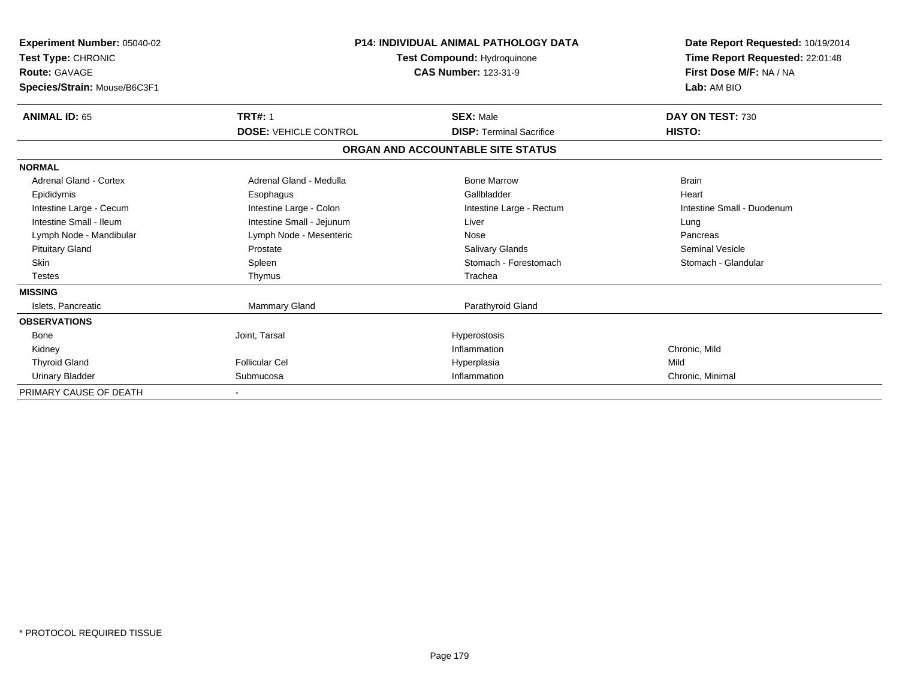| Experiment Number: 05040-02<br>Test Type: CHRONIC<br>Route: GAVAGE<br>Species/Strain: Mouse/B6C3F1 | <b>P14: INDIVIDUAL ANIMAL PATHOLOGY DATA</b><br>Test Compound: Hydroquinone<br><b>CAS Number: 123-31-9</b> |                                   | Date Report Requested: 10/19/2014<br>Time Report Requested: 22:01:48<br>First Dose M/F: NA / NA<br>Lab: AM BIO |
|----------------------------------------------------------------------------------------------------|------------------------------------------------------------------------------------------------------------|-----------------------------------|----------------------------------------------------------------------------------------------------------------|
| <b>ANIMAL ID: 65</b>                                                                               | <b>TRT#: 1</b>                                                                                             | <b>SEX: Male</b>                  | DAY ON TEST: 730                                                                                               |
|                                                                                                    | <b>DOSE: VEHICLE CONTROL</b>                                                                               | <b>DISP: Terminal Sacrifice</b>   | HISTO:                                                                                                         |
|                                                                                                    |                                                                                                            | ORGAN AND ACCOUNTABLE SITE STATUS |                                                                                                                |
| <b>NORMAL</b>                                                                                      |                                                                                                            |                                   |                                                                                                                |
| Adrenal Gland - Cortex                                                                             | Adrenal Gland - Medulla                                                                                    | <b>Bone Marrow</b>                | <b>Brain</b>                                                                                                   |
| Epididymis                                                                                         | Esophagus                                                                                                  | Gallbladder                       | Heart                                                                                                          |
| Intestine Large - Cecum                                                                            | Intestine Large - Colon                                                                                    | Intestine Large - Rectum          | Intestine Small - Duodenum                                                                                     |
| Intestine Small - Ileum                                                                            | Intestine Small - Jejunum                                                                                  | Liver                             | Lung                                                                                                           |
| Lymph Node - Mandibular                                                                            | Lymph Node - Mesenteric                                                                                    | Nose                              | Pancreas                                                                                                       |
| <b>Pituitary Gland</b>                                                                             | Prostate                                                                                                   | Salivary Glands                   | <b>Seminal Vesicle</b>                                                                                         |
| <b>Skin</b>                                                                                        | Spleen                                                                                                     | Stomach - Forestomach             | Stomach - Glandular                                                                                            |
| <b>Testes</b>                                                                                      | Thymus                                                                                                     | Trachea                           |                                                                                                                |
| <b>MISSING</b>                                                                                     |                                                                                                            |                                   |                                                                                                                |
| Islets, Pancreatic                                                                                 | Mammary Gland                                                                                              | Parathyroid Gland                 |                                                                                                                |
| <b>OBSERVATIONS</b>                                                                                |                                                                                                            |                                   |                                                                                                                |
| Bone                                                                                               | Joint, Tarsal                                                                                              | Hyperostosis                      |                                                                                                                |
| Kidney                                                                                             |                                                                                                            | Inflammation                      | Chronic, Mild                                                                                                  |
| <b>Thyroid Gland</b>                                                                               | <b>Follicular Cel</b>                                                                                      | Hyperplasia                       | Mild                                                                                                           |
| <b>Urinary Bladder</b>                                                                             | Submucosa                                                                                                  | Inflammation                      | Chronic, Minimal                                                                                               |
| PRIMARY CAUSE OF DEATH                                                                             |                                                                                                            |                                   |                                                                                                                |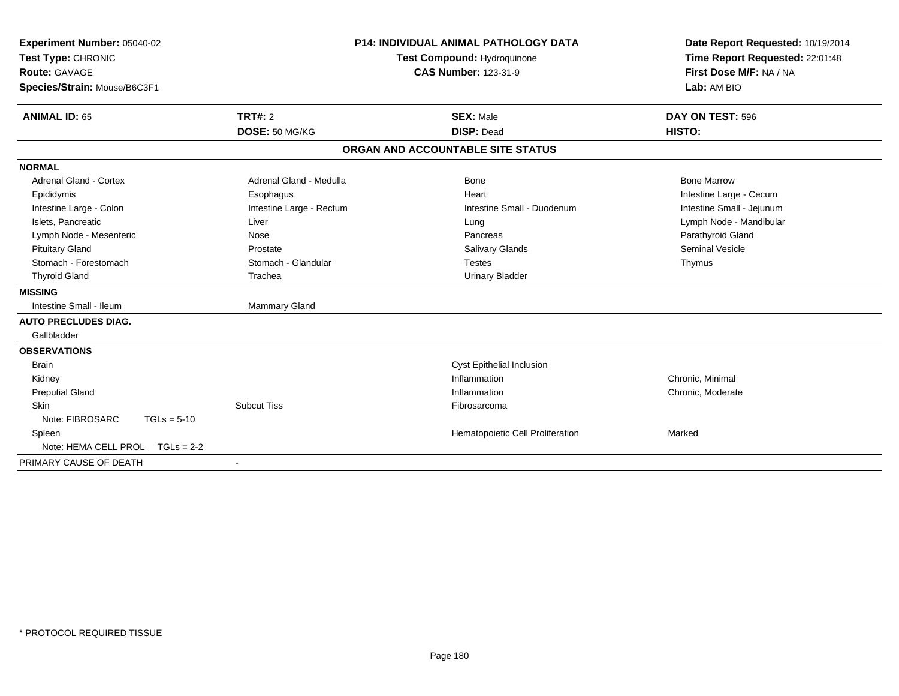| Experiment Number: 05040-02<br>Test Type: CHRONIC<br><b>Route: GAVAGE</b><br>Species/Strain: Mouse/B6C3F1 |                                  | <b>P14: INDIVIDUAL ANIMAL PATHOLOGY DATA</b><br>Test Compound: Hydroquinone<br><b>CAS Number: 123-31-9</b> | Date Report Requested: 10/19/2014<br>Time Report Requested: 22:01:48<br>First Dose M/F: NA / NA<br>Lab: AM BIO |
|-----------------------------------------------------------------------------------------------------------|----------------------------------|------------------------------------------------------------------------------------------------------------|----------------------------------------------------------------------------------------------------------------|
| <b>ANIMAL ID: 65</b>                                                                                      | <b>TRT#: 2</b><br>DOSE: 50 MG/KG | <b>SEX: Male</b><br><b>DISP: Dead</b>                                                                      | DAY ON TEST: 596<br>HISTO:                                                                                     |
|                                                                                                           |                                  |                                                                                                            |                                                                                                                |
|                                                                                                           |                                  | ORGAN AND ACCOUNTABLE SITE STATUS                                                                          |                                                                                                                |
| <b>NORMAL</b>                                                                                             |                                  |                                                                                                            |                                                                                                                |
| <b>Adrenal Gland - Cortex</b>                                                                             | Adrenal Gland - Medulla          | Bone                                                                                                       | <b>Bone Marrow</b>                                                                                             |
| Epididymis                                                                                                | Esophagus                        | Heart                                                                                                      | Intestine Large - Cecum                                                                                        |
| Intestine Large - Colon                                                                                   | Intestine Large - Rectum         | Intestine Small - Duodenum                                                                                 | Intestine Small - Jejunum                                                                                      |
| Islets, Pancreatic                                                                                        | Liver                            | Lung                                                                                                       | Lymph Node - Mandibular                                                                                        |
| Lymph Node - Mesenteric                                                                                   | Nose                             | Pancreas                                                                                                   | Parathyroid Gland                                                                                              |
| <b>Pituitary Gland</b>                                                                                    | Prostate                         | <b>Salivary Glands</b>                                                                                     | <b>Seminal Vesicle</b>                                                                                         |
| Stomach - Forestomach                                                                                     | Stomach - Glandular              | <b>Testes</b>                                                                                              | Thymus                                                                                                         |
| <b>Thyroid Gland</b>                                                                                      | Trachea                          | <b>Urinary Bladder</b>                                                                                     |                                                                                                                |
| <b>MISSING</b>                                                                                            |                                  |                                                                                                            |                                                                                                                |
| Intestine Small - Ileum                                                                                   | Mammary Gland                    |                                                                                                            |                                                                                                                |
| <b>AUTO PRECLUDES DIAG.</b>                                                                               |                                  |                                                                                                            |                                                                                                                |
| Gallbladder                                                                                               |                                  |                                                                                                            |                                                                                                                |
| <b>OBSERVATIONS</b>                                                                                       |                                  |                                                                                                            |                                                                                                                |
| <b>Brain</b>                                                                                              |                                  | Cyst Epithelial Inclusion                                                                                  |                                                                                                                |
| Kidney                                                                                                    |                                  | Inflammation                                                                                               | Chronic, Minimal                                                                                               |
| <b>Preputial Gland</b>                                                                                    |                                  | Inflammation                                                                                               | Chronic, Moderate                                                                                              |
| <b>Skin</b>                                                                                               | <b>Subcut Tiss</b>               | Fibrosarcoma                                                                                               |                                                                                                                |
| Note: FIBROSARC<br>$TGLs = 5-10$                                                                          |                                  |                                                                                                            |                                                                                                                |
| Spleen                                                                                                    |                                  | Hematopoietic Cell Proliferation                                                                           | Marked                                                                                                         |
| Note: HEMA CELL PROL<br>$TGLs = 2-2$                                                                      |                                  |                                                                                                            |                                                                                                                |
| PRIMARY CAUSE OF DEATH                                                                                    |                                  |                                                                                                            |                                                                                                                |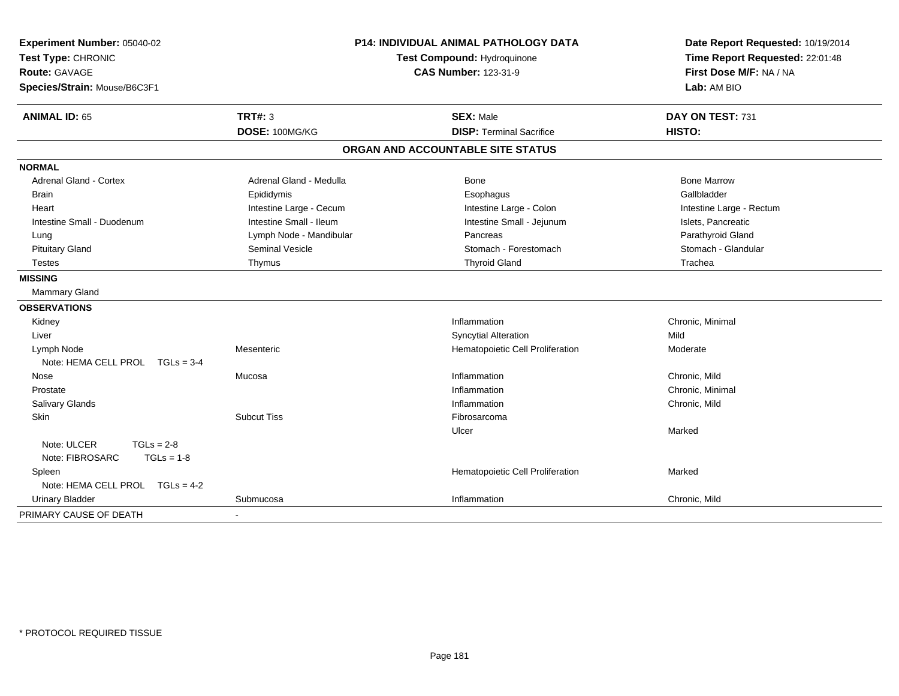| Experiment Number: 05040-02<br>Test Type: CHRONIC<br><b>Route: GAVAGE</b><br>Species/Strain: Mouse/B6C3F1 |                         | <b>P14: INDIVIDUAL ANIMAL PATHOLOGY DATA</b><br>Test Compound: Hydroquinone<br><b>CAS Number: 123-31-9</b> | Date Report Requested: 10/19/2014<br>Time Report Requested: 22:01:48<br>First Dose M/F: NA / NA<br>Lab: AM BIO |
|-----------------------------------------------------------------------------------------------------------|-------------------------|------------------------------------------------------------------------------------------------------------|----------------------------------------------------------------------------------------------------------------|
| <b>ANIMAL ID: 65</b>                                                                                      | <b>TRT#: 3</b>          | <b>SEX: Male</b>                                                                                           | DAY ON TEST: 731                                                                                               |
|                                                                                                           | DOSE: 100MG/KG          | <b>DISP: Terminal Sacrifice</b>                                                                            | HISTO:                                                                                                         |
|                                                                                                           |                         | ORGAN AND ACCOUNTABLE SITE STATUS                                                                          |                                                                                                                |
| <b>NORMAL</b>                                                                                             |                         |                                                                                                            |                                                                                                                |
| <b>Adrenal Gland - Cortex</b>                                                                             | Adrenal Gland - Medulla | Bone                                                                                                       | <b>Bone Marrow</b>                                                                                             |
| <b>Brain</b>                                                                                              | Epididymis              | Esophagus                                                                                                  | Gallbladder                                                                                                    |
| Heart                                                                                                     | Intestine Large - Cecum | Intestine Large - Colon                                                                                    | Intestine Large - Rectum                                                                                       |
| Intestine Small - Duodenum                                                                                | Intestine Small - Ileum | Intestine Small - Jejunum                                                                                  | Islets, Pancreatic                                                                                             |
| Lung                                                                                                      | Lymph Node - Mandibular | Pancreas                                                                                                   | Parathyroid Gland                                                                                              |
| <b>Pituitary Gland</b>                                                                                    | Seminal Vesicle         | Stomach - Forestomach                                                                                      | Stomach - Glandular                                                                                            |
| Testes                                                                                                    | Thymus                  | <b>Thyroid Gland</b>                                                                                       | Trachea                                                                                                        |
| <b>MISSING</b>                                                                                            |                         |                                                                                                            |                                                                                                                |
| <b>Mammary Gland</b>                                                                                      |                         |                                                                                                            |                                                                                                                |
| <b>OBSERVATIONS</b>                                                                                       |                         |                                                                                                            |                                                                                                                |
| Kidney                                                                                                    |                         | Inflammation                                                                                               | Chronic, Minimal                                                                                               |
| Liver                                                                                                     |                         | <b>Syncytial Alteration</b>                                                                                | Mild                                                                                                           |
| Lymph Node                                                                                                | Mesenteric              | Hematopoietic Cell Proliferation                                                                           | Moderate                                                                                                       |
| Note: HEMA CELL PROL TGLs = 3-4                                                                           |                         |                                                                                                            |                                                                                                                |
| Nose                                                                                                      | Mucosa                  | Inflammation                                                                                               | Chronic, Mild                                                                                                  |
| Prostate                                                                                                  |                         | Inflammation                                                                                               | Chronic, Minimal                                                                                               |
| Salivary Glands                                                                                           |                         | Inflammation                                                                                               | Chronic, Mild                                                                                                  |
| Skin                                                                                                      | <b>Subcut Tiss</b>      | Fibrosarcoma                                                                                               |                                                                                                                |
|                                                                                                           |                         | Ulcer                                                                                                      | Marked                                                                                                         |
| Note: ULCER<br>$TGLs = 2-8$                                                                               |                         |                                                                                                            |                                                                                                                |
| Note: FIBROSARC<br>$TGLs = 1-8$                                                                           |                         |                                                                                                            |                                                                                                                |
| Spleen                                                                                                    |                         | Hematopoietic Cell Proliferation                                                                           | Marked                                                                                                         |
| Note: HEMA CELL PROL TGLs = 4-2                                                                           |                         |                                                                                                            |                                                                                                                |
| <b>Urinary Bladder</b>                                                                                    | Submucosa               | Inflammation                                                                                               | Chronic, Mild                                                                                                  |
| PRIMARY CAUSE OF DEATH                                                                                    |                         |                                                                                                            |                                                                                                                |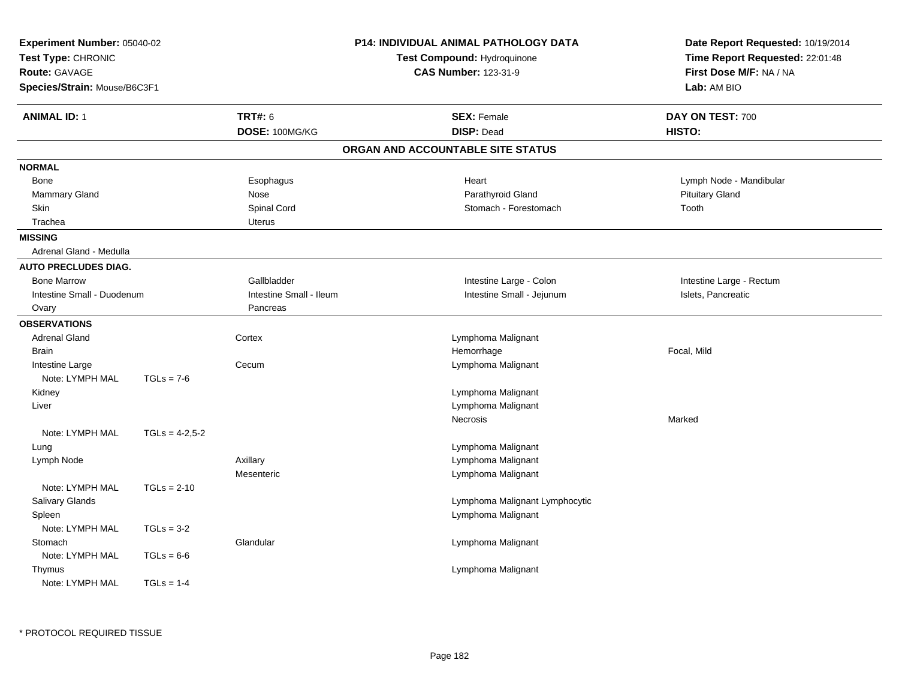| Experiment Number: 05040-02<br>Test Type: CHRONIC<br><b>Route: GAVAGE</b><br>Species/Strain: Mouse/B6C3F1 |                  |                                  | <b>P14: INDIVIDUAL ANIMAL PATHOLOGY DATA</b><br>Test Compound: Hydroquinone<br><b>CAS Number: 123-31-9</b> | Date Report Requested: 10/19/2014<br>Time Report Requested: 22:01:48<br>First Dose M/F: NA / NA<br>Lab: AM BIO |  |
|-----------------------------------------------------------------------------------------------------------|------------------|----------------------------------|------------------------------------------------------------------------------------------------------------|----------------------------------------------------------------------------------------------------------------|--|
| <b>ANIMAL ID: 1</b>                                                                                       |                  | <b>TRT#: 6</b><br>DOSE: 100MG/KG | <b>SEX: Female</b><br><b>DISP: Dead</b>                                                                    | DAY ON TEST: 700<br>HISTO:                                                                                     |  |
|                                                                                                           |                  |                                  | ORGAN AND ACCOUNTABLE SITE STATUS                                                                          |                                                                                                                |  |
| <b>NORMAL</b>                                                                                             |                  |                                  |                                                                                                            |                                                                                                                |  |
| <b>Bone</b>                                                                                               |                  | Esophagus                        | Heart                                                                                                      | Lymph Node - Mandibular                                                                                        |  |
| Mammary Gland                                                                                             |                  | Nose                             | Parathyroid Gland                                                                                          | <b>Pituitary Gland</b>                                                                                         |  |
| Skin                                                                                                      |                  | Spinal Cord                      | Stomach - Forestomach                                                                                      | Tooth                                                                                                          |  |
| Trachea                                                                                                   |                  | <b>Uterus</b>                    |                                                                                                            |                                                                                                                |  |
| <b>MISSING</b>                                                                                            |                  |                                  |                                                                                                            |                                                                                                                |  |
| Adrenal Gland - Medulla                                                                                   |                  |                                  |                                                                                                            |                                                                                                                |  |
| <b>AUTO PRECLUDES DIAG.</b>                                                                               |                  |                                  |                                                                                                            |                                                                                                                |  |
| <b>Bone Marrow</b>                                                                                        |                  | Gallbladder                      | Intestine Large - Colon                                                                                    | Intestine Large - Rectum                                                                                       |  |
| Intestine Small - Duodenum                                                                                |                  | Intestine Small - Ileum          | Intestine Small - Jejunum                                                                                  | Islets, Pancreatic                                                                                             |  |
| Ovary                                                                                                     |                  | Pancreas                         |                                                                                                            |                                                                                                                |  |
| <b>OBSERVATIONS</b>                                                                                       |                  |                                  |                                                                                                            |                                                                                                                |  |
| <b>Adrenal Gland</b>                                                                                      |                  | Cortex                           | Lymphoma Malignant                                                                                         |                                                                                                                |  |
| <b>Brain</b>                                                                                              |                  |                                  | Hemorrhage                                                                                                 | Focal, Mild                                                                                                    |  |
| Intestine Large                                                                                           |                  | Cecum                            | Lymphoma Malignant                                                                                         |                                                                                                                |  |
| Note: LYMPH MAL                                                                                           | $TGLs = 7-6$     |                                  |                                                                                                            |                                                                                                                |  |
| Kidney                                                                                                    |                  |                                  | Lymphoma Malignant                                                                                         |                                                                                                                |  |
| Liver                                                                                                     |                  |                                  | Lymphoma Malignant                                                                                         |                                                                                                                |  |
|                                                                                                           |                  |                                  | Necrosis                                                                                                   | Marked                                                                                                         |  |
| Note: LYMPH MAL                                                                                           | $TGLs = 4-2,5-2$ |                                  |                                                                                                            |                                                                                                                |  |
| Lung                                                                                                      |                  |                                  | Lymphoma Malignant                                                                                         |                                                                                                                |  |
| Lymph Node                                                                                                |                  | Axillary                         | Lymphoma Malignant                                                                                         |                                                                                                                |  |
|                                                                                                           |                  | Mesenteric                       | Lymphoma Malignant                                                                                         |                                                                                                                |  |
| Note: LYMPH MAL                                                                                           | $TGLs = 2-10$    |                                  |                                                                                                            |                                                                                                                |  |
| <b>Salivary Glands</b>                                                                                    |                  |                                  | Lymphoma Malignant Lymphocytic                                                                             |                                                                                                                |  |
| Spleen                                                                                                    |                  |                                  | Lymphoma Malignant                                                                                         |                                                                                                                |  |
| Note: LYMPH MAL                                                                                           | $TGLs = 3-2$     |                                  |                                                                                                            |                                                                                                                |  |
| Stomach                                                                                                   |                  | Glandular                        | Lymphoma Malignant                                                                                         |                                                                                                                |  |
| Note: LYMPH MAL                                                                                           | $TGLs = 6-6$     |                                  |                                                                                                            |                                                                                                                |  |
| Thymus                                                                                                    |                  |                                  | Lymphoma Malignant                                                                                         |                                                                                                                |  |
| Note: LYMPH MAL                                                                                           | $TGLs = 1-4$     |                                  |                                                                                                            |                                                                                                                |  |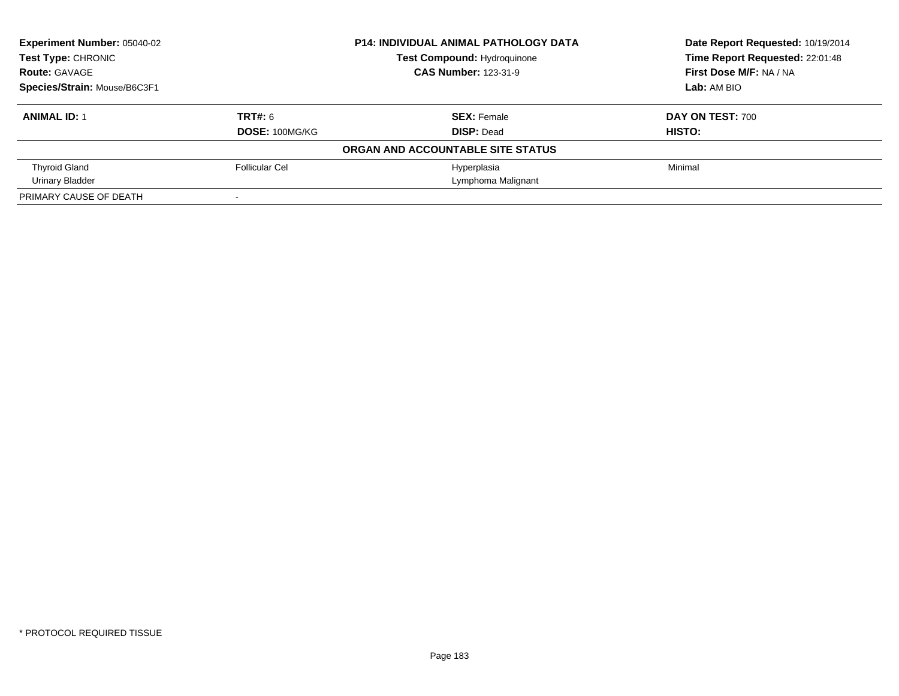| Experiment Number: 05040-02<br>Test Type: CHRONIC |                       | <b>P14: INDIVIDUAL ANIMAL PATHOLOGY DATA</b> | Date Report Requested: 10/19/2014 |
|---------------------------------------------------|-----------------------|----------------------------------------------|-----------------------------------|
|                                                   |                       | Test Compound: Hydroquinone                  | Time Report Requested: 22:01:48   |
| <b>Route: GAVAGE</b>                              |                       | <b>CAS Number: 123-31-9</b>                  | First Dose M/F: NA / NA           |
| Species/Strain: Mouse/B6C3F1                      |                       |                                              | Lab: AM BIO                       |
| <b>ANIMAL ID: 1</b>                               | TRT#: 6               | <b>SEX: Female</b>                           | <b>DAY ON TEST: 700</b>           |
|                                                   | <b>DOSE: 100MG/KG</b> | <b>DISP: Dead</b>                            | HISTO:                            |
|                                                   |                       | ORGAN AND ACCOUNTABLE SITE STATUS            |                                   |
| <b>Thyroid Gland</b>                              | Follicular Cel        | Hyperplasia                                  | Minimal                           |
| Urinary Bladder                                   |                       | Lymphoma Malignant                           |                                   |
| PRIMARY CAUSE OF DEATH                            | $\sim$                |                                              |                                   |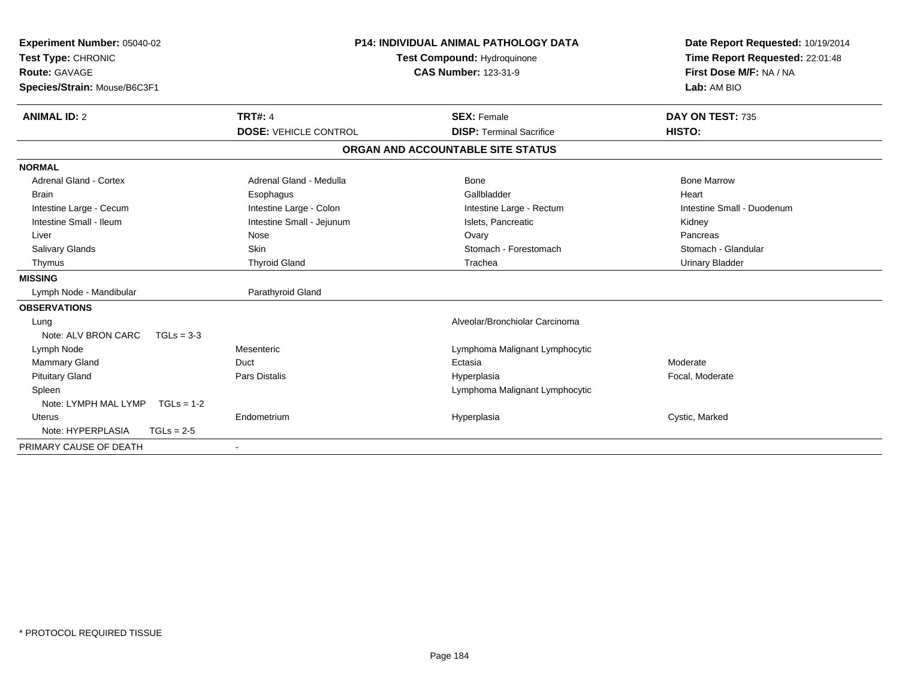| Experiment Number: 05040-02<br>Test Type: CHRONIC<br><b>Route: GAVAGE</b><br>Species/Strain: Mouse/B6C3F1<br><b>ANIMAL ID: 2</b> | <b>TRT#: 4</b>               | <b>P14: INDIVIDUAL ANIMAL PATHOLOGY DATA</b><br><b>Test Compound: Hydroquinone</b><br><b>CAS Number: 123-31-9</b><br><b>SEX: Female</b> | Date Report Requested: 10/19/2014<br>Time Report Requested: 22:01:48<br>First Dose M/F: NA / NA<br>Lab: AM BIO<br>DAY ON TEST: 735 |
|----------------------------------------------------------------------------------------------------------------------------------|------------------------------|-----------------------------------------------------------------------------------------------------------------------------------------|------------------------------------------------------------------------------------------------------------------------------------|
|                                                                                                                                  | <b>DOSE: VEHICLE CONTROL</b> | <b>DISP: Terminal Sacrifice</b>                                                                                                         | HISTO:                                                                                                                             |
|                                                                                                                                  |                              |                                                                                                                                         |                                                                                                                                    |
|                                                                                                                                  |                              | ORGAN AND ACCOUNTABLE SITE STATUS                                                                                                       |                                                                                                                                    |
| <b>NORMAL</b>                                                                                                                    |                              |                                                                                                                                         |                                                                                                                                    |
| <b>Adrenal Gland - Cortex</b>                                                                                                    | Adrenal Gland - Medulla      | <b>Bone</b>                                                                                                                             | <b>Bone Marrow</b>                                                                                                                 |
| <b>Brain</b>                                                                                                                     | Esophagus                    | Gallbladder                                                                                                                             | Heart                                                                                                                              |
| Intestine Large - Cecum                                                                                                          | Intestine Large - Colon      | Intestine Large - Rectum                                                                                                                | Intestine Small - Duodenum                                                                                                         |
| Intestine Small - Ileum                                                                                                          | Intestine Small - Jejunum    | Islets. Pancreatic                                                                                                                      | Kidney                                                                                                                             |
| Liver                                                                                                                            | Nose                         | Ovary                                                                                                                                   | Pancreas                                                                                                                           |
| <b>Salivary Glands</b>                                                                                                           | Skin                         | Stomach - Forestomach                                                                                                                   | Stomach - Glandular                                                                                                                |
| Thymus                                                                                                                           | <b>Thyroid Gland</b>         | Trachea                                                                                                                                 | <b>Urinary Bladder</b>                                                                                                             |
| <b>MISSING</b>                                                                                                                   |                              |                                                                                                                                         |                                                                                                                                    |
| Lymph Node - Mandibular                                                                                                          | Parathyroid Gland            |                                                                                                                                         |                                                                                                                                    |
| <b>OBSERVATIONS</b>                                                                                                              |                              |                                                                                                                                         |                                                                                                                                    |
| Lung                                                                                                                             |                              | Alveolar/Bronchiolar Carcinoma                                                                                                          |                                                                                                                                    |
| Note: ALV BRON CARC<br>$TGLs = 3-3$                                                                                              |                              |                                                                                                                                         |                                                                                                                                    |
| Lymph Node                                                                                                                       | Mesenteric                   | Lymphoma Malignant Lymphocytic                                                                                                          |                                                                                                                                    |
| <b>Mammary Gland</b>                                                                                                             | Duct                         | Ectasia                                                                                                                                 | Moderate                                                                                                                           |
| <b>Pituitary Gland</b>                                                                                                           | <b>Pars Distalis</b>         | Hyperplasia                                                                                                                             | Focal, Moderate                                                                                                                    |
| Spleen                                                                                                                           |                              | Lymphoma Malignant Lymphocytic                                                                                                          |                                                                                                                                    |
| Note: LYMPH MAL LYMP<br>$TGLs = 1-2$                                                                                             |                              |                                                                                                                                         |                                                                                                                                    |
| <b>Uterus</b>                                                                                                                    | Endometrium                  | Hyperplasia                                                                                                                             | Cystic, Marked                                                                                                                     |
| Note: HYPERPLASIA<br>$TGLs = 2-5$                                                                                                |                              |                                                                                                                                         |                                                                                                                                    |
| PRIMARY CAUSE OF DEATH                                                                                                           |                              |                                                                                                                                         |                                                                                                                                    |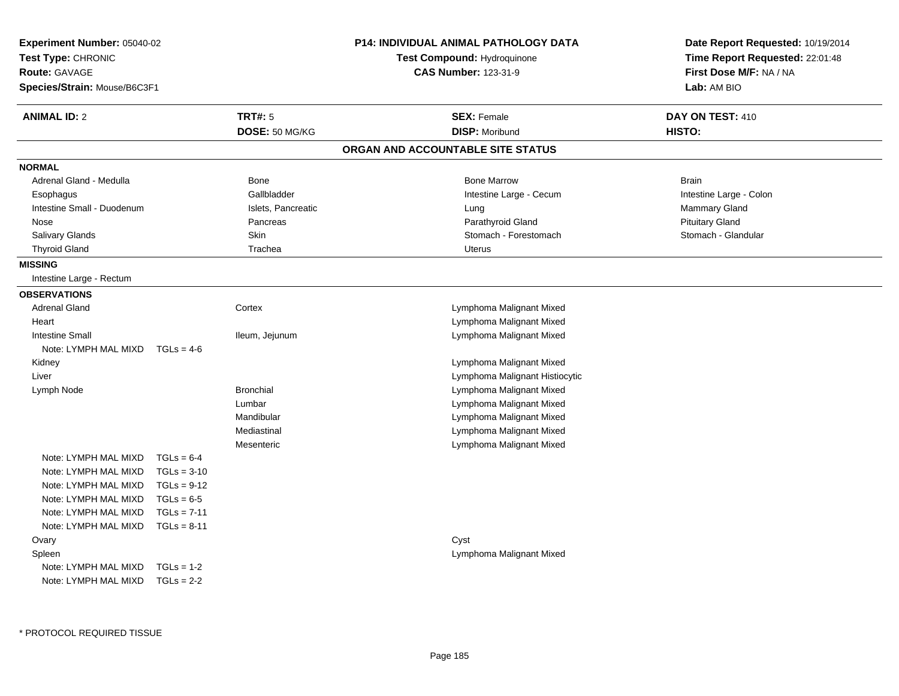| Experiment Number: 05040-02<br>Test Type: CHRONIC<br><b>Route: GAVAGE</b><br>Species/Strain: Mouse/B6C3F1 |               |                                  | P14: INDIVIDUAL ANIMAL PATHOLOGY DATA<br>Test Compound: Hydroquinone<br><b>CAS Number: 123-31-9</b> | Date Report Requested: 10/19/2014<br>Time Report Requested: 22:01:48<br>First Dose M/F: NA / NA<br>Lab: AM BIO |
|-----------------------------------------------------------------------------------------------------------|---------------|----------------------------------|-----------------------------------------------------------------------------------------------------|----------------------------------------------------------------------------------------------------------------|
| <b>ANIMAL ID: 2</b>                                                                                       |               | <b>TRT#: 5</b><br>DOSE: 50 MG/KG | <b>SEX: Female</b><br><b>DISP: Moribund</b>                                                         | DAY ON TEST: 410<br>HISTO:                                                                                     |
|                                                                                                           |               |                                  | ORGAN AND ACCOUNTABLE SITE STATUS                                                                   |                                                                                                                |
| <b>NORMAL</b>                                                                                             |               |                                  |                                                                                                     |                                                                                                                |
| Adrenal Gland - Medulla                                                                                   |               | Bone                             | <b>Bone Marrow</b>                                                                                  | <b>Brain</b>                                                                                                   |
| Esophagus                                                                                                 |               | Gallbladder                      | Intestine Large - Cecum                                                                             | Intestine Large - Colon                                                                                        |
| Intestine Small - Duodenum                                                                                |               | Islets, Pancreatic               | Lung                                                                                                | Mammary Gland                                                                                                  |
| Nose                                                                                                      |               | Pancreas                         | Parathyroid Gland                                                                                   | <b>Pituitary Gland</b>                                                                                         |
| Salivary Glands                                                                                           |               | Skin                             | Stomach - Forestomach                                                                               | Stomach - Glandular                                                                                            |
| <b>Thyroid Gland</b>                                                                                      |               | Trachea                          | Uterus                                                                                              |                                                                                                                |
| <b>MISSING</b>                                                                                            |               |                                  |                                                                                                     |                                                                                                                |
| Intestine Large - Rectum                                                                                  |               |                                  |                                                                                                     |                                                                                                                |
| <b>OBSERVATIONS</b>                                                                                       |               |                                  |                                                                                                     |                                                                                                                |
| <b>Adrenal Gland</b>                                                                                      |               | Cortex                           | Lymphoma Malignant Mixed                                                                            |                                                                                                                |
| Heart                                                                                                     |               |                                  | Lymphoma Malignant Mixed                                                                            |                                                                                                                |
| <b>Intestine Small</b>                                                                                    |               | Ileum, Jejunum                   | Lymphoma Malignant Mixed                                                                            |                                                                                                                |
| Note: LYMPH MAL MIXD $TGLs = 4-6$                                                                         |               |                                  |                                                                                                     |                                                                                                                |
| Kidney                                                                                                    |               |                                  | Lymphoma Malignant Mixed                                                                            |                                                                                                                |
| Liver                                                                                                     |               |                                  | Lymphoma Malignant Histiocytic                                                                      |                                                                                                                |
| Lymph Node                                                                                                |               | <b>Bronchial</b>                 | Lymphoma Malignant Mixed                                                                            |                                                                                                                |
|                                                                                                           |               | Lumbar                           | Lymphoma Malignant Mixed                                                                            |                                                                                                                |
|                                                                                                           |               | Mandibular                       | Lymphoma Malignant Mixed                                                                            |                                                                                                                |
|                                                                                                           |               | Mediastinal                      | Lymphoma Malignant Mixed                                                                            |                                                                                                                |
|                                                                                                           |               | Mesenteric                       | Lymphoma Malignant Mixed                                                                            |                                                                                                                |
| Note: LYMPH MAL MIXD                                                                                      | $TGLs = 6-4$  |                                  |                                                                                                     |                                                                                                                |
| Note: LYMPH MAL MIXD                                                                                      | $TGLs = 3-10$ |                                  |                                                                                                     |                                                                                                                |
| Note: LYMPH MAL MIXD                                                                                      | $TGLs = 9-12$ |                                  |                                                                                                     |                                                                                                                |
| Note: LYMPH MAL MIXD                                                                                      | $TGLs = 6-5$  |                                  |                                                                                                     |                                                                                                                |
| Note: LYMPH MAL MIXD                                                                                      | $TGLs = 7-11$ |                                  |                                                                                                     |                                                                                                                |
| Note: LYMPH MAL MIXD                                                                                      | $TGLs = 8-11$ |                                  |                                                                                                     |                                                                                                                |
| Ovary                                                                                                     |               |                                  | Cyst                                                                                                |                                                                                                                |
| Spleen                                                                                                    |               |                                  | Lymphoma Malignant Mixed                                                                            |                                                                                                                |
| Note: LYMPH MAL MIXD                                                                                      | $TGLs = 1-2$  |                                  |                                                                                                     |                                                                                                                |
| Note: LYMPH MAL MIXD                                                                                      | $TGLs = 2-2$  |                                  |                                                                                                     |                                                                                                                |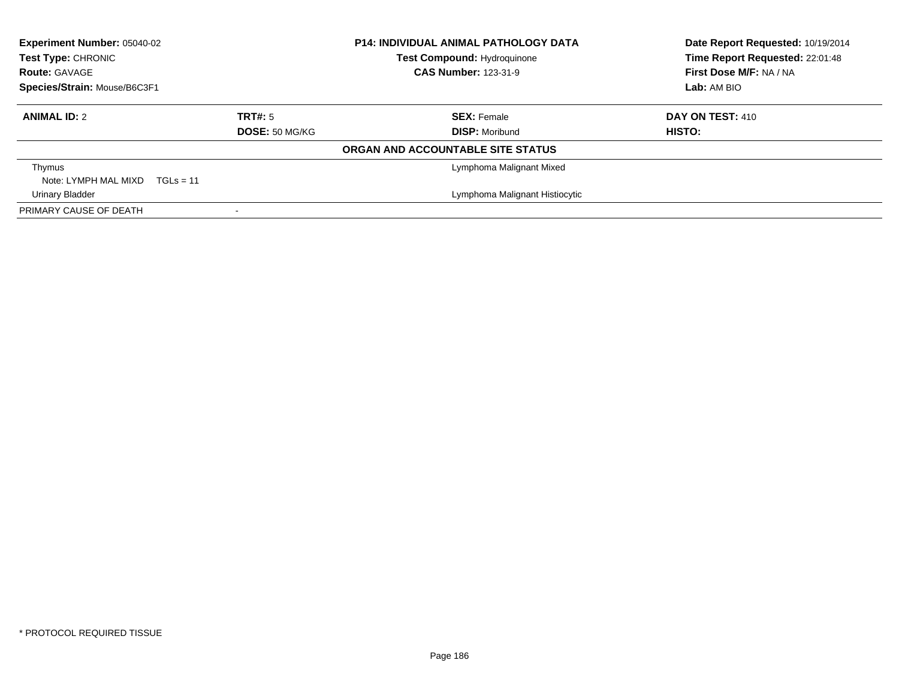| <b>Experiment Number: 05040-02</b><br>Test Type: CHRONIC<br><b>Route: GAVAGE</b> | <b>P14: INDIVIDUAL ANIMAL PATHOLOGY DATA</b><br>Test Compound: Hydroquinone<br><b>CAS Number: 123-31-9</b> |                                             | Species/Strain: Mouse/B6C3F1 |  | Date Report Requested: 10/19/2014<br>Time Report Requested: 22:01:48<br>First Dose M/F: NA / NA<br>Lab: AM BIO |
|----------------------------------------------------------------------------------|------------------------------------------------------------------------------------------------------------|---------------------------------------------|------------------------------|--|----------------------------------------------------------------------------------------------------------------|
| <b>ANIMAL ID: 2</b>                                                              | TRT#: 5<br><b>DOSE: 50 MG/KG</b>                                                                           | <b>SEX: Female</b><br><b>DISP: Moribund</b> | DAY ON TEST: 410<br>HISTO:   |  |                                                                                                                |
|                                                                                  |                                                                                                            | ORGAN AND ACCOUNTABLE SITE STATUS           |                              |  |                                                                                                                |
| Thymus<br>Note: LYMPH MAL MIXD $TGLs = 11$                                       |                                                                                                            | Lymphoma Malignant Mixed                    |                              |  |                                                                                                                |
| <b>Urinary Bladder</b>                                                           |                                                                                                            | Lymphoma Malignant Histiocytic              |                              |  |                                                                                                                |
| PRIMARY CAUSE OF DEATH                                                           |                                                                                                            |                                             |                              |  |                                                                                                                |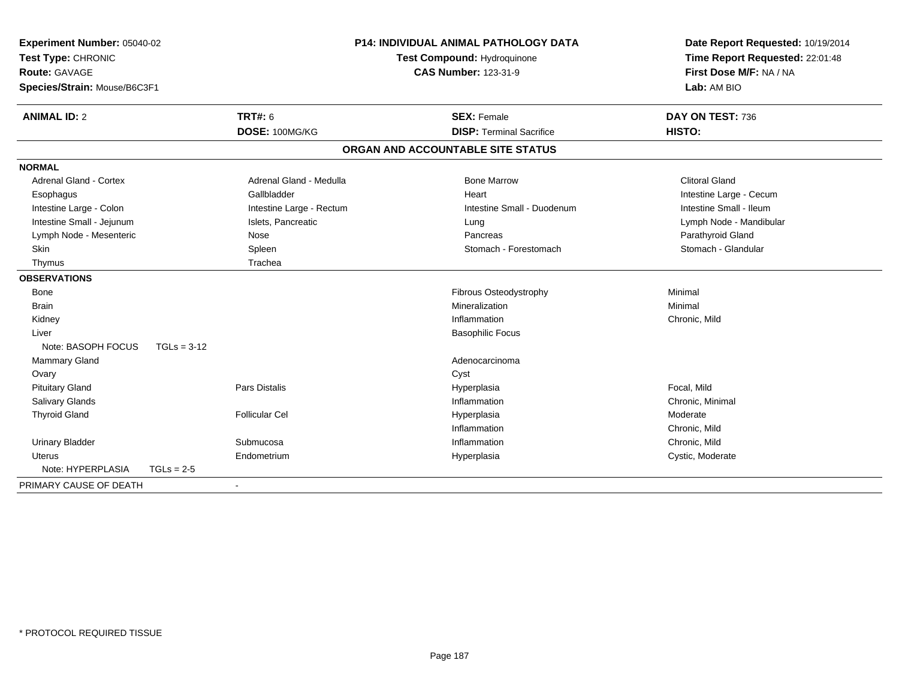| Experiment Number: 05040-02<br>Test Type: CHRONIC |                          | <b>P14: INDIVIDUAL ANIMAL PATHOLOGY DATA</b><br>Test Compound: Hydroquinone |                                 | Date Report Requested: 10/19/2014<br>Time Report Requested: 22:01:48 |
|---------------------------------------------------|--------------------------|-----------------------------------------------------------------------------|---------------------------------|----------------------------------------------------------------------|
| Route: GAVAGE                                     |                          | <b>CAS Number: 123-31-9</b>                                                 |                                 | First Dose M/F: NA / NA                                              |
| Species/Strain: Mouse/B6C3F1                      |                          |                                                                             | Lab: AM BIO                     |                                                                      |
| <b>ANIMAL ID: 2</b>                               | <b>TRT#: 6</b>           |                                                                             | <b>SEX: Female</b>              | DAY ON TEST: 736                                                     |
|                                                   | DOSE: 100MG/KG           |                                                                             | <b>DISP: Terminal Sacrifice</b> | HISTO:                                                               |
|                                                   |                          | ORGAN AND ACCOUNTABLE SITE STATUS                                           |                                 |                                                                      |
| <b>NORMAL</b>                                     |                          |                                                                             |                                 |                                                                      |
| Adrenal Gland - Cortex                            | Adrenal Gland - Medulla  |                                                                             | <b>Bone Marrow</b>              | <b>Clitoral Gland</b>                                                |
| Esophagus                                         | Gallbladder              | Heart                                                                       |                                 | Intestine Large - Cecum                                              |
| Intestine Large - Colon                           | Intestine Large - Rectum |                                                                             | Intestine Small - Duodenum      | Intestine Small - Ileum                                              |
| Intestine Small - Jejunum                         | Islets, Pancreatic       | Lung                                                                        |                                 | Lymph Node - Mandibular                                              |
| Lymph Node - Mesenteric                           | Nose                     |                                                                             | Pancreas                        | Parathyroid Gland                                                    |
| Skin                                              | Spleen                   |                                                                             | Stomach - Forestomach           | Stomach - Glandular                                                  |
| Thymus                                            | Trachea                  |                                                                             |                                 |                                                                      |
| <b>OBSERVATIONS</b>                               |                          |                                                                             |                                 |                                                                      |
| Bone                                              |                          |                                                                             | Fibrous Osteodystrophy          | Minimal                                                              |
| <b>Brain</b>                                      |                          |                                                                             | Mineralization                  | Minimal                                                              |
| Kidney                                            |                          |                                                                             | Inflammation                    | Chronic, Mild                                                        |
| Liver                                             |                          |                                                                             | <b>Basophilic Focus</b>         |                                                                      |
| Note: BASOPH FOCUS                                | $TGLs = 3-12$            |                                                                             |                                 |                                                                      |
| Mammary Gland                                     |                          |                                                                             | Adenocarcinoma                  |                                                                      |
| Ovary                                             |                          | Cyst                                                                        |                                 |                                                                      |
| <b>Pituitary Gland</b>                            | <b>Pars Distalis</b>     | Hyperplasia                                                                 |                                 | Focal, Mild                                                          |
| <b>Salivary Glands</b>                            |                          |                                                                             | Inflammation                    | Chronic, Minimal                                                     |
| <b>Thyroid Gland</b>                              | <b>Follicular Cel</b>    | Hyperplasia                                                                 |                                 | Moderate                                                             |
|                                                   |                          |                                                                             | Inflammation                    | Chronic, Mild                                                        |
| <b>Urinary Bladder</b>                            | Submucosa                |                                                                             | Inflammation                    | Chronic, Mild                                                        |
| <b>Uterus</b>                                     | Endometrium              | Hyperplasia                                                                 |                                 | Cystic, Moderate                                                     |
| Note: HYPERPLASIA                                 | $TGLs = 2-5$             |                                                                             |                                 |                                                                      |
| PRIMARY CAUSE OF DEATH                            |                          |                                                                             |                                 |                                                                      |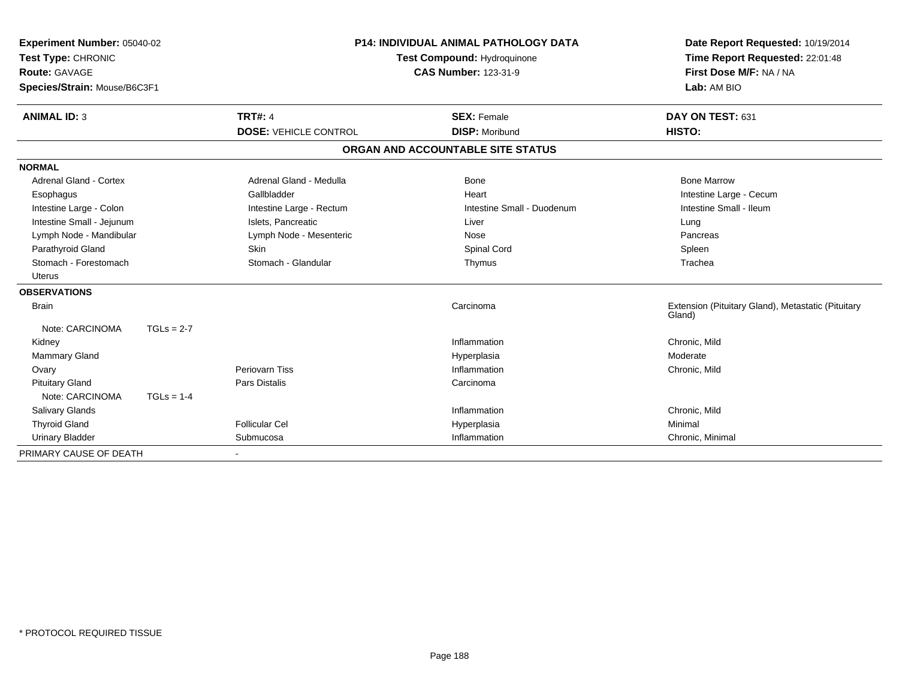| Experiment Number: 05040-02<br>Test Type: CHRONIC<br><b>Route: GAVAGE</b><br>Species/Strain: Mouse/B6C3F1<br><b>ANIMAL ID: 3</b> |              | <b>TRT#: 4</b>               | <b>P14: INDIVIDUAL ANIMAL PATHOLOGY DATA</b><br><b>Test Compound: Hydroquinone</b><br><b>CAS Number: 123-31-9</b><br><b>SEX: Female</b> |                                   | Date Report Requested: 10/19/2014<br>Time Report Requested: 22:01:48<br>First Dose M/F: NA / NA<br>Lab: AM BIO<br>DAY ON TEST: 631 |
|----------------------------------------------------------------------------------------------------------------------------------|--------------|------------------------------|-----------------------------------------------------------------------------------------------------------------------------------------|-----------------------------------|------------------------------------------------------------------------------------------------------------------------------------|
|                                                                                                                                  |              | <b>DOSE: VEHICLE CONTROL</b> |                                                                                                                                         | <b>DISP: Moribund</b>             | HISTO:                                                                                                                             |
|                                                                                                                                  |              |                              |                                                                                                                                         | ORGAN AND ACCOUNTABLE SITE STATUS |                                                                                                                                    |
|                                                                                                                                  |              |                              |                                                                                                                                         |                                   |                                                                                                                                    |
| <b>NORMAL</b><br><b>Adrenal Gland - Cortex</b>                                                                                   |              | Adrenal Gland - Medulla      |                                                                                                                                         | <b>Bone</b>                       | <b>Bone Marrow</b>                                                                                                                 |
| Esophagus                                                                                                                        |              | Gallbladder                  |                                                                                                                                         | Heart                             | Intestine Large - Cecum                                                                                                            |
| Intestine Large - Colon                                                                                                          |              | Intestine Large - Rectum     |                                                                                                                                         | Intestine Small - Duodenum        | Intestine Small - Ileum                                                                                                            |
| Intestine Small - Jejunum                                                                                                        |              | Islets, Pancreatic           |                                                                                                                                         | Liver                             | Lung                                                                                                                               |
| Lymph Node - Mandibular                                                                                                          |              | Lymph Node - Mesenteric      |                                                                                                                                         | Nose                              | Pancreas                                                                                                                           |
| Parathyroid Gland                                                                                                                |              | <b>Skin</b>                  |                                                                                                                                         | Spinal Cord                       | Spleen                                                                                                                             |
| Stomach - Forestomach                                                                                                            |              | Stomach - Glandular          |                                                                                                                                         | Thymus                            | Trachea                                                                                                                            |
| <b>Uterus</b>                                                                                                                    |              |                              |                                                                                                                                         |                                   |                                                                                                                                    |
| <b>OBSERVATIONS</b>                                                                                                              |              |                              |                                                                                                                                         |                                   |                                                                                                                                    |
| <b>Brain</b>                                                                                                                     |              |                              |                                                                                                                                         | Carcinoma                         | Extension (Pituitary Gland), Metastatic (Pituitary<br>Gland)                                                                       |
| Note: CARCINOMA                                                                                                                  | $TGLs = 2-7$ |                              |                                                                                                                                         |                                   |                                                                                                                                    |
| Kidney                                                                                                                           |              |                              |                                                                                                                                         | Inflammation                      | Chronic, Mild                                                                                                                      |
| <b>Mammary Gland</b>                                                                                                             |              |                              |                                                                                                                                         | Hyperplasia                       | Moderate                                                                                                                           |
| Ovary                                                                                                                            |              | Periovarn Tiss               |                                                                                                                                         | Inflammation                      | Chronic, Mild                                                                                                                      |
| <b>Pituitary Gland</b>                                                                                                           |              | <b>Pars Distalis</b>         |                                                                                                                                         | Carcinoma                         |                                                                                                                                    |
| Note: CARCINOMA                                                                                                                  | $TGLs = 1-4$ |                              |                                                                                                                                         |                                   |                                                                                                                                    |
| Salivary Glands                                                                                                                  |              |                              |                                                                                                                                         | Inflammation                      | Chronic, Mild                                                                                                                      |
| <b>Thyroid Gland</b>                                                                                                             |              | <b>Follicular Cel</b>        |                                                                                                                                         | Hyperplasia                       | Minimal                                                                                                                            |
| <b>Urinary Bladder</b>                                                                                                           |              | Submucosa                    |                                                                                                                                         | Inflammation                      | Chronic, Minimal                                                                                                                   |
| PRIMARY CAUSE OF DEATH                                                                                                           |              |                              |                                                                                                                                         |                                   |                                                                                                                                    |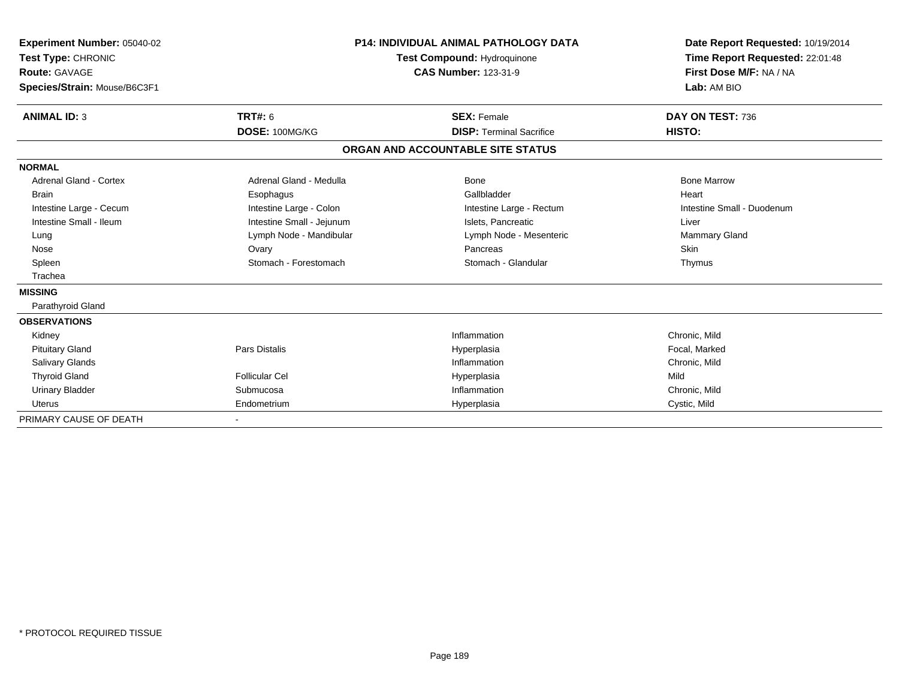| Experiment Number: 05040-02<br>Test Type: CHRONIC<br>Route: GAVAGE<br>Species/Strain: Mouse/B6C3F1 |                           | <b>P14: INDIVIDUAL ANIMAL PATHOLOGY DATA</b><br><b>Test Compound: Hydroquinone</b><br><b>CAS Number: 123-31-9</b> | Date Report Requested: 10/19/2014<br>Time Report Requested: 22:01:48<br>First Dose M/F: NA / NA<br>Lab: AM BIO |
|----------------------------------------------------------------------------------------------------|---------------------------|-------------------------------------------------------------------------------------------------------------------|----------------------------------------------------------------------------------------------------------------|
| <b>ANIMAL ID: 3</b>                                                                                | <b>TRT#: 6</b>            | <b>SEX: Female</b>                                                                                                | DAY ON TEST: 736                                                                                               |
|                                                                                                    | DOSE: 100MG/KG            | <b>DISP: Terminal Sacrifice</b>                                                                                   | HISTO:                                                                                                         |
|                                                                                                    |                           | ORGAN AND ACCOUNTABLE SITE STATUS                                                                                 |                                                                                                                |
| <b>NORMAL</b>                                                                                      |                           |                                                                                                                   |                                                                                                                |
| <b>Adrenal Gland - Cortex</b>                                                                      | Adrenal Gland - Medulla   | Bone                                                                                                              | <b>Bone Marrow</b>                                                                                             |
| <b>Brain</b>                                                                                       | Esophagus                 | Gallbladder                                                                                                       | Heart                                                                                                          |
| Intestine Large - Cecum                                                                            | Intestine Large - Colon   | Intestine Large - Rectum                                                                                          | Intestine Small - Duodenum                                                                                     |
| Intestine Small - Ileum                                                                            | Intestine Small - Jejunum | Islets, Pancreatic                                                                                                | Liver                                                                                                          |
| Lung                                                                                               | Lymph Node - Mandibular   | Lymph Node - Mesenteric                                                                                           | Mammary Gland                                                                                                  |
| Nose                                                                                               | Ovary                     | Pancreas                                                                                                          | <b>Skin</b>                                                                                                    |
| Spleen                                                                                             | Stomach - Forestomach     | Stomach - Glandular                                                                                               | Thymus                                                                                                         |
| Trachea                                                                                            |                           |                                                                                                                   |                                                                                                                |
| <b>MISSING</b>                                                                                     |                           |                                                                                                                   |                                                                                                                |
| Parathyroid Gland                                                                                  |                           |                                                                                                                   |                                                                                                                |
| <b>OBSERVATIONS</b>                                                                                |                           |                                                                                                                   |                                                                                                                |
| Kidney                                                                                             |                           | Inflammation                                                                                                      | Chronic, Mild                                                                                                  |
| <b>Pituitary Gland</b>                                                                             | <b>Pars Distalis</b>      | Hyperplasia                                                                                                       | Focal, Marked                                                                                                  |
| <b>Salivary Glands</b>                                                                             |                           | Inflammation                                                                                                      | Chronic, Mild                                                                                                  |
| <b>Thyroid Gland</b>                                                                               | <b>Follicular Cel</b>     | Hyperplasia                                                                                                       | Mild                                                                                                           |
| <b>Urinary Bladder</b>                                                                             | Submucosa                 | Inflammation                                                                                                      | Chronic, Mild                                                                                                  |
| Uterus                                                                                             | Endometrium               | Hyperplasia                                                                                                       | Cystic, Mild                                                                                                   |
| PRIMARY CAUSE OF DEATH                                                                             |                           |                                                                                                                   |                                                                                                                |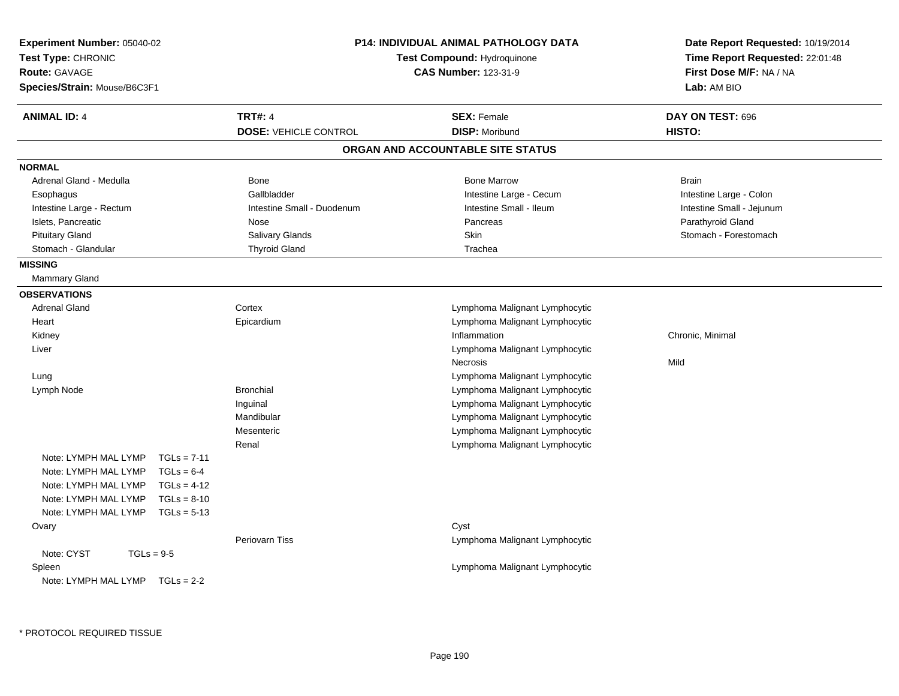| Experiment Number: 05040-02<br>Test Type: CHRONIC<br><b>Route: GAVAGE</b><br>Species/Strain: Mouse/B6C3F1 |                                                | <b>P14: INDIVIDUAL ANIMAL PATHOLOGY DATA</b><br>Test Compound: Hydroquinone<br><b>CAS Number: 123-31-9</b> | Date Report Requested: 10/19/2014<br>Time Report Requested: 22:01:48<br>First Dose M/F: NA / NA<br>Lab: AM BIO |
|-----------------------------------------------------------------------------------------------------------|------------------------------------------------|------------------------------------------------------------------------------------------------------------|----------------------------------------------------------------------------------------------------------------|
| <b>ANIMAL ID: 4</b>                                                                                       | <b>TRT#: 4</b><br><b>DOSE: VEHICLE CONTROL</b> | <b>SEX: Female</b><br><b>DISP: Moribund</b>                                                                | DAY ON TEST: 696<br>HISTO:                                                                                     |
|                                                                                                           |                                                | ORGAN AND ACCOUNTABLE SITE STATUS                                                                          |                                                                                                                |
| <b>NORMAL</b>                                                                                             |                                                |                                                                                                            |                                                                                                                |
| Adrenal Gland - Medulla                                                                                   | Bone                                           | <b>Bone Marrow</b>                                                                                         | <b>Brain</b>                                                                                                   |
| Esophagus                                                                                                 | Gallbladder                                    | Intestine Large - Cecum                                                                                    | Intestine Large - Colon                                                                                        |
| Intestine Large - Rectum                                                                                  | Intestine Small - Duodenum                     | Intestine Small - Ileum                                                                                    | Intestine Small - Jejunum                                                                                      |
| Islets, Pancreatic                                                                                        | Nose                                           | Pancreas                                                                                                   | Parathyroid Gland                                                                                              |
| <b>Pituitary Gland</b>                                                                                    | Salivary Glands                                | Skin                                                                                                       | Stomach - Forestomach                                                                                          |
| Stomach - Glandular                                                                                       | <b>Thyroid Gland</b>                           | Trachea                                                                                                    |                                                                                                                |
| <b>MISSING</b>                                                                                            |                                                |                                                                                                            |                                                                                                                |
| <b>Mammary Gland</b>                                                                                      |                                                |                                                                                                            |                                                                                                                |
| <b>OBSERVATIONS</b>                                                                                       |                                                |                                                                                                            |                                                                                                                |
| <b>Adrenal Gland</b>                                                                                      | Cortex                                         | Lymphoma Malignant Lymphocytic                                                                             |                                                                                                                |
| Heart                                                                                                     | Epicardium                                     | Lymphoma Malignant Lymphocytic                                                                             |                                                                                                                |
| Kidney                                                                                                    |                                                | Inflammation                                                                                               | Chronic, Minimal                                                                                               |
| Liver                                                                                                     |                                                | Lymphoma Malignant Lymphocytic                                                                             |                                                                                                                |
|                                                                                                           |                                                | <b>Necrosis</b>                                                                                            | Mild                                                                                                           |
| Lung                                                                                                      |                                                | Lymphoma Malignant Lymphocytic                                                                             |                                                                                                                |
| Lymph Node                                                                                                | <b>Bronchial</b>                               | Lymphoma Malignant Lymphocytic                                                                             |                                                                                                                |
|                                                                                                           | Inguinal                                       | Lymphoma Malignant Lymphocytic                                                                             |                                                                                                                |
|                                                                                                           | Mandibular                                     | Lymphoma Malignant Lymphocytic                                                                             |                                                                                                                |
|                                                                                                           | Mesenteric                                     | Lymphoma Malignant Lymphocytic                                                                             |                                                                                                                |
|                                                                                                           | Renal                                          | Lymphoma Malignant Lymphocytic                                                                             |                                                                                                                |
| Note: LYMPH MAL LYMP<br>$TGLs = 7-11$                                                                     |                                                |                                                                                                            |                                                                                                                |
| Note: LYMPH MAL LYMP<br>$TGLs = 6-4$                                                                      |                                                |                                                                                                            |                                                                                                                |
| Note: LYMPH MAL LYMP<br>$TGLs = 4-12$                                                                     |                                                |                                                                                                            |                                                                                                                |
| $TGLs = 8-10$<br>Note: LYMPH MAL LYMP                                                                     |                                                |                                                                                                            |                                                                                                                |
| Note: LYMPH MAL LYMP<br>$TGLs = 5-13$                                                                     |                                                |                                                                                                            |                                                                                                                |
| Ovary                                                                                                     |                                                | Cyst                                                                                                       |                                                                                                                |
|                                                                                                           | <b>Periovarn Tiss</b>                          | Lymphoma Malignant Lymphocytic                                                                             |                                                                                                                |
| Note: CYST<br>$TGLs = 9-5$                                                                                |                                                |                                                                                                            |                                                                                                                |
| Spleen                                                                                                    |                                                | Lymphoma Malignant Lymphocytic                                                                             |                                                                                                                |
| Note: LYMPH MAL LYMP<br>$TGLs = 2-2$                                                                      |                                                |                                                                                                            |                                                                                                                |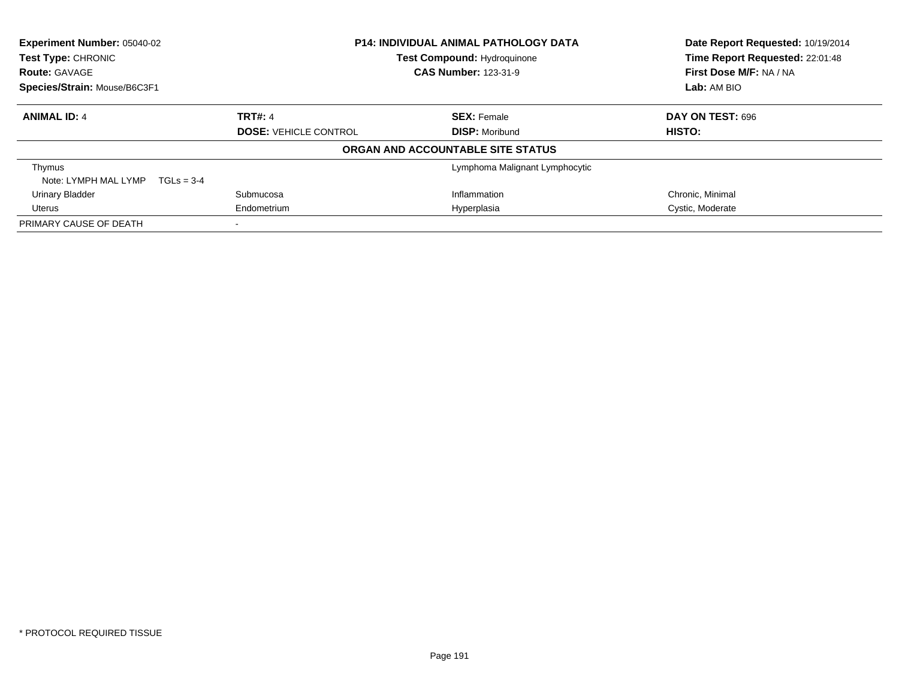| <b>Experiment Number: 05040-02</b><br><b>Test Type: CHRONIC</b> |                              | <b>P14: INDIVIDUAL ANIMAL PATHOLOGY DATA</b><br><b>Test Compound: Hydroquinone</b> | Date Report Requested: 10/19/2014<br>Time Report Requested: 22:01:48 |
|-----------------------------------------------------------------|------------------------------|------------------------------------------------------------------------------------|----------------------------------------------------------------------|
| <b>Route: GAVAGE</b>                                            |                              | <b>CAS Number: 123-31-9</b>                                                        | First Dose M/F: NA / NA                                              |
| Species/Strain: Mouse/B6C3F1                                    |                              |                                                                                    | Lab: AM BIO                                                          |
| <b>ANIMAL ID: 4</b>                                             | <b>TRT#: 4</b>               | <b>SEX:</b> Female                                                                 | DAY ON TEST: 696                                                     |
|                                                                 | <b>DOSE: VEHICLE CONTROL</b> | <b>DISP:</b> Moribund                                                              | HISTO:                                                               |
|                                                                 |                              | ORGAN AND ACCOUNTABLE SITE STATUS                                                  |                                                                      |
| Thymus                                                          |                              | Lymphoma Malignant Lymphocytic                                                     |                                                                      |
| Note: LYMPH MAL LYMP<br>$TGLs = 3-4$                            |                              |                                                                                    |                                                                      |
| <b>Urinary Bladder</b>                                          | Submucosa                    | Inflammation                                                                       | Chronic, Minimal                                                     |
| Uterus                                                          | Endometrium<br>Hyperplasia   |                                                                                    | Cystic, Moderate                                                     |
| PRIMARY CAUSE OF DEATH                                          |                              |                                                                                    |                                                                      |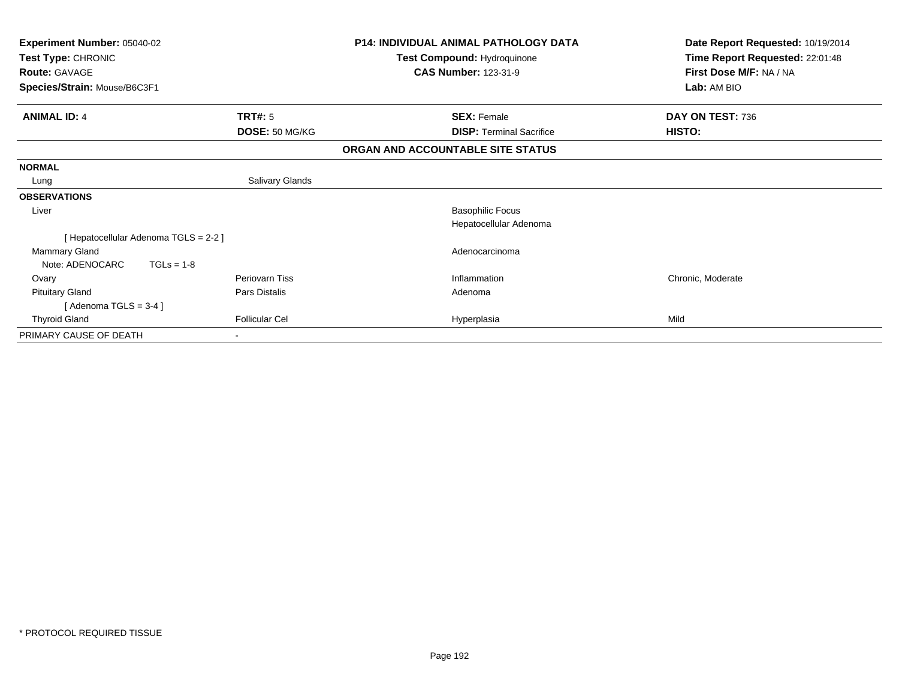| Experiment Number: 05040-02<br>Test Type: CHRONIC<br><b>Route: GAVAGE</b><br>Species/Strain: Mouse/B6C3F1 |                       | <b>P14: INDIVIDUAL ANIMAL PATHOLOGY DATA</b><br>Test Compound: Hydroquinone<br><b>CAS Number: 123-31-9</b> | Date Report Requested: 10/19/2014<br>Time Report Requested: 22:01:48<br>First Dose M/F: NA / NA<br>Lab: AM BIO |
|-----------------------------------------------------------------------------------------------------------|-----------------------|------------------------------------------------------------------------------------------------------------|----------------------------------------------------------------------------------------------------------------|
| <b>ANIMAL ID: 4</b>                                                                                       | <b>TRT#: 5</b>        | <b>SEX: Female</b>                                                                                         | DAY ON TEST: 736                                                                                               |
|                                                                                                           | DOSE: 50 MG/KG        | <b>DISP: Terminal Sacrifice</b>                                                                            | HISTO:                                                                                                         |
|                                                                                                           |                       | ORGAN AND ACCOUNTABLE SITE STATUS                                                                          |                                                                                                                |
| <b>NORMAL</b>                                                                                             |                       |                                                                                                            |                                                                                                                |
| Lung                                                                                                      | Salivary Glands       |                                                                                                            |                                                                                                                |
| <b>OBSERVATIONS</b>                                                                                       |                       |                                                                                                            |                                                                                                                |
| Liver                                                                                                     |                       | <b>Basophilic Focus</b>                                                                                    |                                                                                                                |
|                                                                                                           |                       | Hepatocellular Adenoma                                                                                     |                                                                                                                |
| [Hepatocellular Adenoma TGLS = 2-2]                                                                       |                       |                                                                                                            |                                                                                                                |
| <b>Mammary Gland</b>                                                                                      |                       | Adenocarcinoma                                                                                             |                                                                                                                |
| Note: ADENOCARC<br>$TGLs = 1-8$                                                                           |                       |                                                                                                            |                                                                                                                |
| Ovary                                                                                                     | Periovarn Tiss        | Inflammation                                                                                               | Chronic, Moderate                                                                                              |
| <b>Pituitary Gland</b>                                                                                    | Pars Distalis         | Adenoma                                                                                                    |                                                                                                                |
| [Adenoma TGLS = $3-4$ ]                                                                                   |                       |                                                                                                            |                                                                                                                |
| <b>Thyroid Gland</b>                                                                                      | <b>Follicular Cel</b> | Hyperplasia                                                                                                | Mild                                                                                                           |
| PRIMARY CAUSE OF DEATH                                                                                    |                       |                                                                                                            |                                                                                                                |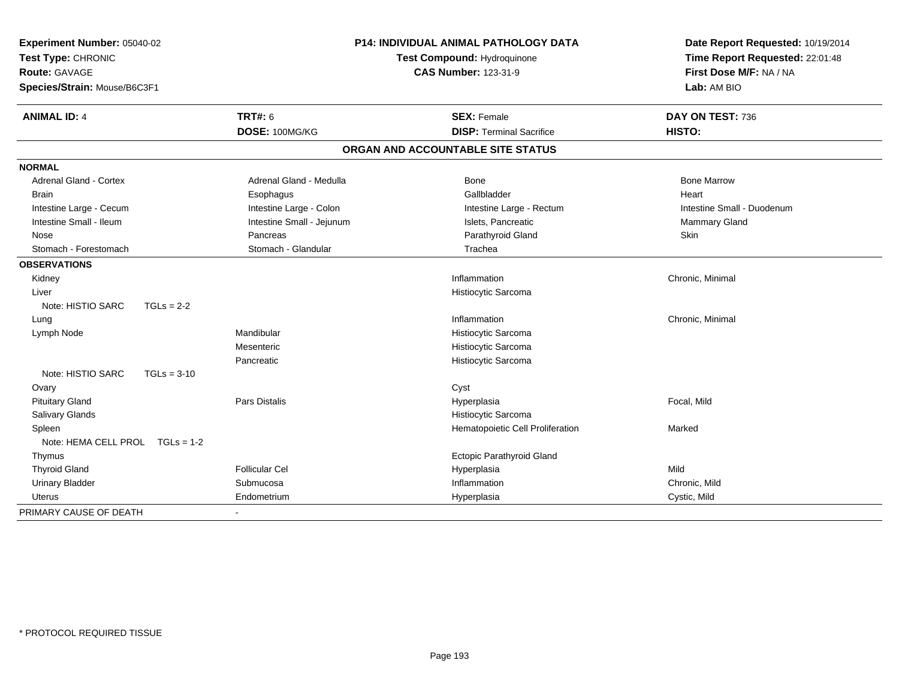| Experiment Number: 05040-02<br>Test Type: CHRONIC<br>Route: GAVAGE<br>Species/Strain: Mouse/B6C3F1 |                           | <b>P14: INDIVIDUAL ANIMAL PATHOLOGY DATA</b><br>Test Compound: Hydroquinone<br><b>CAS Number: 123-31-9</b> | Date Report Requested: 10/19/2014<br>Time Report Requested: 22:01:48<br>First Dose M/F: NA / NA<br>Lab: AM BIO |  |
|----------------------------------------------------------------------------------------------------|---------------------------|------------------------------------------------------------------------------------------------------------|----------------------------------------------------------------------------------------------------------------|--|
| <b>ANIMAL ID: 4</b>                                                                                | <b>TRT#: 6</b>            | <b>SEX: Female</b>                                                                                         | DAY ON TEST: 736                                                                                               |  |
|                                                                                                    | DOSE: 100MG/KG            | <b>DISP: Terminal Sacrifice</b>                                                                            | HISTO:                                                                                                         |  |
|                                                                                                    |                           | ORGAN AND ACCOUNTABLE SITE STATUS                                                                          |                                                                                                                |  |
| <b>NORMAL</b>                                                                                      |                           |                                                                                                            |                                                                                                                |  |
| <b>Adrenal Gland - Cortex</b>                                                                      | Adrenal Gland - Medulla   | Bone                                                                                                       | <b>Bone Marrow</b>                                                                                             |  |
| <b>Brain</b>                                                                                       | Esophagus                 | Gallbladder                                                                                                | Heart                                                                                                          |  |
| Intestine Large - Cecum                                                                            | Intestine Large - Colon   | Intestine Large - Rectum                                                                                   | Intestine Small - Duodenum                                                                                     |  |
| Intestine Small - Ileum                                                                            | Intestine Small - Jejunum | Islets, Pancreatic                                                                                         | <b>Mammary Gland</b>                                                                                           |  |
| Nose                                                                                               | Pancreas                  | Parathyroid Gland                                                                                          | Skin                                                                                                           |  |
| Stomach - Forestomach                                                                              | Stomach - Glandular       | Trachea                                                                                                    |                                                                                                                |  |
| <b>OBSERVATIONS</b>                                                                                |                           |                                                                                                            |                                                                                                                |  |
| Kidney                                                                                             |                           | Inflammation                                                                                               | Chronic, Minimal                                                                                               |  |
| Liver                                                                                              |                           | Histiocytic Sarcoma                                                                                        |                                                                                                                |  |
| Note: HISTIO SARC<br>$TGLs = 2-2$                                                                  |                           |                                                                                                            |                                                                                                                |  |
| Lung                                                                                               |                           | Inflammation                                                                                               | Chronic, Minimal                                                                                               |  |
| Lymph Node                                                                                         | Mandibular                | Histiocytic Sarcoma                                                                                        |                                                                                                                |  |
|                                                                                                    | Mesenteric                | Histiocytic Sarcoma                                                                                        |                                                                                                                |  |
|                                                                                                    | Pancreatic                | Histiocytic Sarcoma                                                                                        |                                                                                                                |  |
| Note: HISTIO SARC<br>$TGLs = 3-10$                                                                 |                           |                                                                                                            |                                                                                                                |  |
| Ovary                                                                                              |                           | Cyst                                                                                                       |                                                                                                                |  |
| <b>Pituitary Gland</b>                                                                             | <b>Pars Distalis</b>      | Hyperplasia                                                                                                | Focal, Mild                                                                                                    |  |
| Salivary Glands                                                                                    |                           | Histiocytic Sarcoma                                                                                        |                                                                                                                |  |
| Spleen                                                                                             |                           | Hematopoietic Cell Proliferation                                                                           | Marked                                                                                                         |  |
| Note: HEMA CELL PROL TGLs = 1-2                                                                    |                           |                                                                                                            |                                                                                                                |  |
| Thymus                                                                                             |                           | Ectopic Parathyroid Gland                                                                                  |                                                                                                                |  |
| <b>Thyroid Gland</b>                                                                               | <b>Follicular Cel</b>     | Hyperplasia                                                                                                | Mild                                                                                                           |  |
| <b>Urinary Bladder</b>                                                                             | Submucosa                 | Inflammation                                                                                               | Chronic, Mild                                                                                                  |  |
| <b>Uterus</b>                                                                                      | Endometrium               | Hyperplasia                                                                                                | Cystic, Mild                                                                                                   |  |
| PRIMARY CAUSE OF DEATH                                                                             |                           |                                                                                                            |                                                                                                                |  |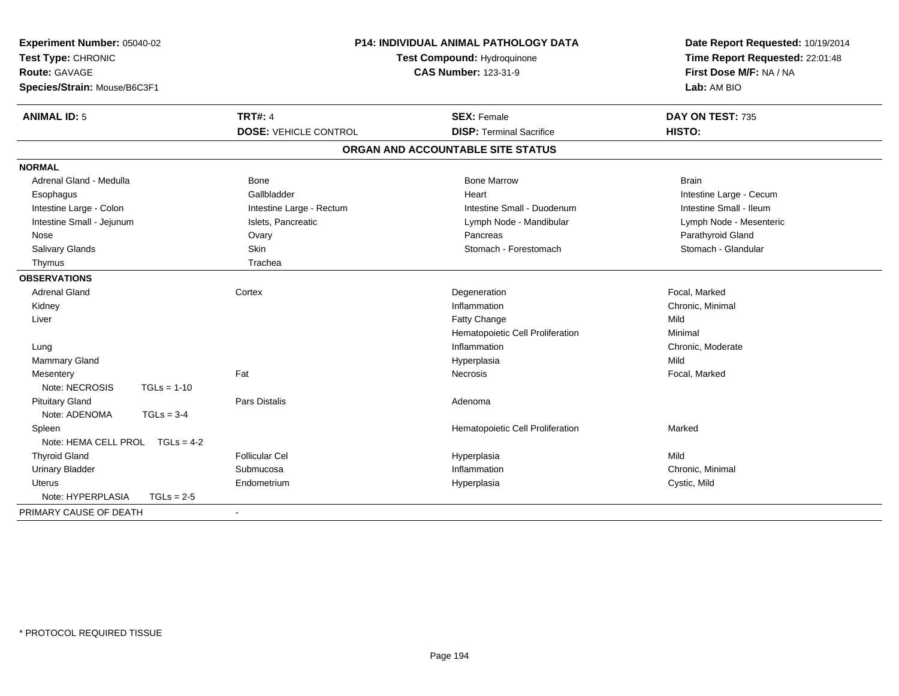| Experiment Number: 05040-02<br>Test Type: CHRONIC<br><b>Route: GAVAGE</b><br>Species/Strain: Mouse/B6C3F1 |                              | <b>P14: INDIVIDUAL ANIMAL PATHOLOGY DATA</b><br>Test Compound: Hydroquinone<br><b>CAS Number: 123-31-9</b> | Date Report Requested: 10/19/2014<br>Time Report Requested: 22:01:48<br>First Dose M/F: NA / NA<br>Lab: AM BIO |  |
|-----------------------------------------------------------------------------------------------------------|------------------------------|------------------------------------------------------------------------------------------------------------|----------------------------------------------------------------------------------------------------------------|--|
| <b>ANIMAL ID: 5</b>                                                                                       | <b>TRT#: 4</b>               | <b>SEX: Female</b>                                                                                         | DAY ON TEST: 735                                                                                               |  |
|                                                                                                           | <b>DOSE: VEHICLE CONTROL</b> | <b>DISP: Terminal Sacrifice</b>                                                                            | <b>HISTO:</b>                                                                                                  |  |
|                                                                                                           |                              | ORGAN AND ACCOUNTABLE SITE STATUS                                                                          |                                                                                                                |  |
| <b>NORMAL</b>                                                                                             |                              |                                                                                                            |                                                                                                                |  |
| Adrenal Gland - Medulla                                                                                   | <b>Bone</b>                  | <b>Bone Marrow</b>                                                                                         | <b>Brain</b>                                                                                                   |  |
| Esophagus                                                                                                 | Gallbladder                  | Heart                                                                                                      | Intestine Large - Cecum                                                                                        |  |
| Intestine Large - Colon                                                                                   | Intestine Large - Rectum     | Intestine Small - Duodenum                                                                                 | Intestine Small - Ileum                                                                                        |  |
| Intestine Small - Jejunum                                                                                 | Islets, Pancreatic           | Lymph Node - Mandibular                                                                                    | Lymph Node - Mesenteric                                                                                        |  |
| Nose                                                                                                      | Ovary                        | Pancreas                                                                                                   | Parathyroid Gland                                                                                              |  |
| Salivary Glands                                                                                           | Skin                         | Stomach - Forestomach                                                                                      | Stomach - Glandular                                                                                            |  |
| Thymus                                                                                                    | Trachea                      |                                                                                                            |                                                                                                                |  |
| <b>OBSERVATIONS</b>                                                                                       |                              |                                                                                                            |                                                                                                                |  |
| <b>Adrenal Gland</b>                                                                                      | Cortex                       | Degeneration                                                                                               | Focal, Marked                                                                                                  |  |
| Kidney                                                                                                    |                              | Inflammation                                                                                               | Chronic, Minimal                                                                                               |  |
| Liver                                                                                                     |                              | Fatty Change                                                                                               | Mild                                                                                                           |  |
|                                                                                                           |                              | Hematopoietic Cell Proliferation                                                                           | Minimal                                                                                                        |  |
| Lung                                                                                                      |                              | Inflammation                                                                                               | Chronic, Moderate                                                                                              |  |
| Mammary Gland                                                                                             |                              | Hyperplasia                                                                                                | Mild                                                                                                           |  |
| Mesentery                                                                                                 | Fat                          | Necrosis                                                                                                   | Focal, Marked                                                                                                  |  |
| Note: NECROSIS<br>$TGLs = 1-10$                                                                           |                              |                                                                                                            |                                                                                                                |  |
| <b>Pituitary Gland</b>                                                                                    | <b>Pars Distalis</b>         | Adenoma                                                                                                    |                                                                                                                |  |
| Note: ADENOMA<br>$TGLs = 3-4$                                                                             |                              |                                                                                                            |                                                                                                                |  |
| Spleen                                                                                                    |                              | Hematopoietic Cell Proliferation                                                                           | Marked                                                                                                         |  |
| Note: HEMA CELL PROL TGLs = 4-2                                                                           |                              |                                                                                                            |                                                                                                                |  |
| <b>Thyroid Gland</b>                                                                                      | <b>Follicular Cel</b>        | Hyperplasia                                                                                                | Mild                                                                                                           |  |
| <b>Urinary Bladder</b>                                                                                    | Submucosa                    | Inflammation                                                                                               | Chronic. Minimal                                                                                               |  |
| Uterus                                                                                                    | Endometrium                  | Hyperplasia                                                                                                | Cystic, Mild                                                                                                   |  |
| Note: HYPERPLASIA<br>$TGLs = 2-5$                                                                         |                              |                                                                                                            |                                                                                                                |  |
| PRIMARY CAUSE OF DEATH                                                                                    |                              |                                                                                                            |                                                                                                                |  |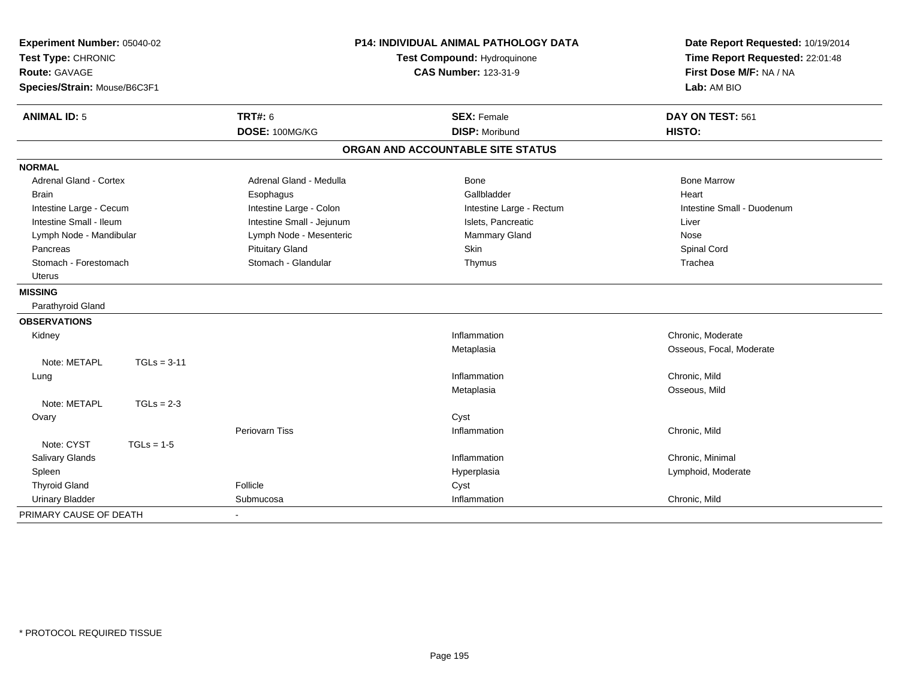| Experiment Number: 05040-02<br>Test Type: CHRONIC<br><b>Route: GAVAGE</b><br>Species/Strain: Mouse/B6C3F1 |               |                           | <b>P14: INDIVIDUAL ANIMAL PATHOLOGY DATA</b><br>Test Compound: Hydroquinone<br><b>CAS Number: 123-31-9</b> | Date Report Requested: 10/19/2014<br>Time Report Requested: 22:01:48<br>First Dose M/F: NA / NA<br>Lab: AM BIO |
|-----------------------------------------------------------------------------------------------------------|---------------|---------------------------|------------------------------------------------------------------------------------------------------------|----------------------------------------------------------------------------------------------------------------|
| <b>ANIMAL ID: 5</b>                                                                                       |               | TRT#: 6                   | <b>SEX: Female</b>                                                                                         | DAY ON TEST: 561                                                                                               |
|                                                                                                           |               | DOSE: 100MG/KG            | <b>DISP: Moribund</b>                                                                                      | HISTO:                                                                                                         |
|                                                                                                           |               |                           | ORGAN AND ACCOUNTABLE SITE STATUS                                                                          |                                                                                                                |
| <b>NORMAL</b>                                                                                             |               |                           |                                                                                                            |                                                                                                                |
| <b>Adrenal Gland - Cortex</b>                                                                             |               | Adrenal Gland - Medulla   | Bone                                                                                                       | <b>Bone Marrow</b>                                                                                             |
| <b>Brain</b>                                                                                              |               | Esophagus                 | Gallbladder                                                                                                | Heart                                                                                                          |
| Intestine Large - Cecum                                                                                   |               | Intestine Large - Colon   | Intestine Large - Rectum                                                                                   | Intestine Small - Duodenum                                                                                     |
| Intestine Small - Ileum                                                                                   |               | Intestine Small - Jejunum | Islets, Pancreatic                                                                                         | Liver                                                                                                          |
| Lymph Node - Mandibular                                                                                   |               | Lymph Node - Mesenteric   | Mammary Gland                                                                                              | Nose                                                                                                           |
| Pancreas                                                                                                  |               | <b>Pituitary Gland</b>    | Skin                                                                                                       | Spinal Cord                                                                                                    |
| Stomach - Forestomach                                                                                     |               | Stomach - Glandular       | Thymus                                                                                                     | Trachea                                                                                                        |
| <b>Uterus</b>                                                                                             |               |                           |                                                                                                            |                                                                                                                |
| <b>MISSING</b>                                                                                            |               |                           |                                                                                                            |                                                                                                                |
| Parathyroid Gland                                                                                         |               |                           |                                                                                                            |                                                                                                                |
| <b>OBSERVATIONS</b>                                                                                       |               |                           |                                                                                                            |                                                                                                                |
| Kidney                                                                                                    |               |                           | Inflammation                                                                                               | Chronic, Moderate                                                                                              |
|                                                                                                           |               |                           | Metaplasia                                                                                                 | Osseous, Focal, Moderate                                                                                       |
| Note: METAPL                                                                                              | $TGLs = 3-11$ |                           |                                                                                                            |                                                                                                                |
| Lung                                                                                                      |               |                           | Inflammation                                                                                               | Chronic, Mild                                                                                                  |
|                                                                                                           |               |                           | Metaplasia                                                                                                 | Osseous, Mild                                                                                                  |
| Note: METAPL                                                                                              | $TGLs = 2-3$  |                           |                                                                                                            |                                                                                                                |
| Ovary                                                                                                     |               |                           | Cyst                                                                                                       |                                                                                                                |
|                                                                                                           |               | <b>Periovarn Tiss</b>     | Inflammation                                                                                               | Chronic, Mild                                                                                                  |
| Note: CYST                                                                                                | $TGLs = 1-5$  |                           |                                                                                                            |                                                                                                                |
| Salivary Glands                                                                                           |               |                           | Inflammation                                                                                               | Chronic, Minimal                                                                                               |
| Spleen                                                                                                    |               |                           | Hyperplasia                                                                                                | Lymphoid, Moderate                                                                                             |
| <b>Thyroid Gland</b>                                                                                      |               | Follicle                  | Cyst                                                                                                       |                                                                                                                |
| <b>Urinary Bladder</b>                                                                                    |               | Submucosa                 | Inflammation                                                                                               | Chronic, Mild                                                                                                  |
| PRIMARY CAUSE OF DEATH                                                                                    |               |                           |                                                                                                            |                                                                                                                |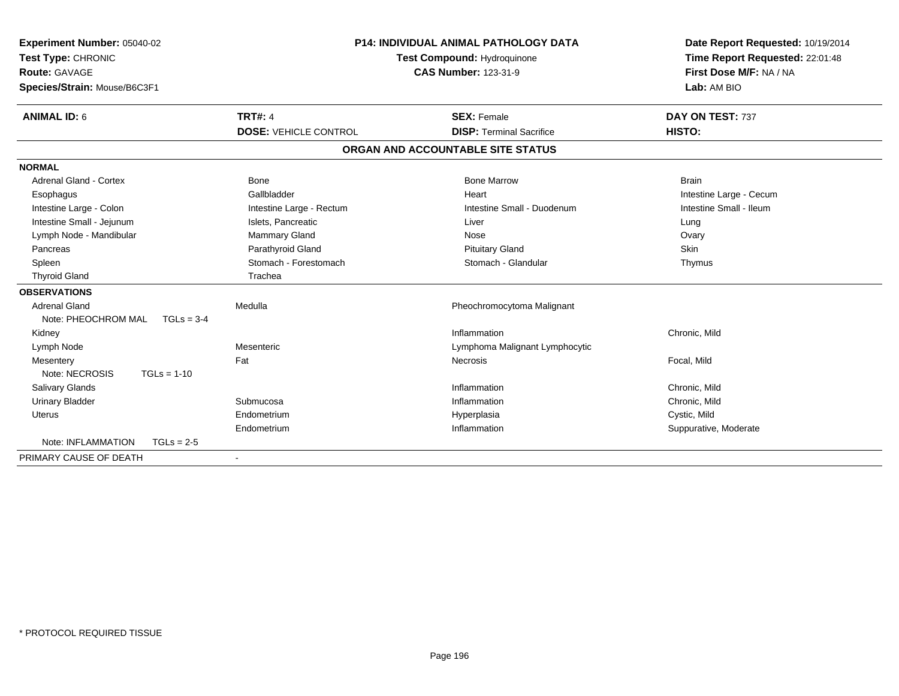| Experiment Number: 05040-02<br>Test Type: CHRONIC<br><b>Route: GAVAGE</b><br>Species/Strain: Mouse/B6C3F1 | <b>P14: INDIVIDUAL ANIMAL PATHOLOGY DATA</b><br>Test Compound: Hydroquinone<br><b>CAS Number: 123-31-9</b> |                                                       | Date Report Requested: 10/19/2014<br>Time Report Requested: 22:01:48<br>First Dose M/F: NA / NA<br>Lab: AM BIO |
|-----------------------------------------------------------------------------------------------------------|------------------------------------------------------------------------------------------------------------|-------------------------------------------------------|----------------------------------------------------------------------------------------------------------------|
| <b>ANIMAL ID: 6</b>                                                                                       | <b>TRT#: 4</b><br><b>DOSE: VEHICLE CONTROL</b>                                                             | <b>SEX: Female</b><br><b>DISP: Terminal Sacrifice</b> | DAY ON TEST: 737<br>HISTO:                                                                                     |
|                                                                                                           |                                                                                                            |                                                       |                                                                                                                |
|                                                                                                           |                                                                                                            | ORGAN AND ACCOUNTABLE SITE STATUS                     |                                                                                                                |
| <b>NORMAL</b>                                                                                             |                                                                                                            |                                                       |                                                                                                                |
| Adrenal Gland - Cortex                                                                                    | <b>Bone</b>                                                                                                | <b>Bone Marrow</b>                                    | <b>Brain</b>                                                                                                   |
| Esophagus                                                                                                 | Gallbladder                                                                                                | Heart                                                 | Intestine Large - Cecum                                                                                        |
| Intestine Large - Colon                                                                                   | Intestine Large - Rectum                                                                                   | Intestine Small - Duodenum                            | Intestine Small - Ileum                                                                                        |
| Intestine Small - Jejunum                                                                                 | Islets, Pancreatic                                                                                         | Liver                                                 | Lung                                                                                                           |
| Lymph Node - Mandibular                                                                                   | Mammary Gland                                                                                              | Nose                                                  | Ovary                                                                                                          |
| Pancreas                                                                                                  | Parathyroid Gland                                                                                          | <b>Pituitary Gland</b>                                | <b>Skin</b>                                                                                                    |
| Spleen                                                                                                    | Stomach - Forestomach                                                                                      | Stomach - Glandular                                   | Thymus                                                                                                         |
| <b>Thyroid Gland</b>                                                                                      | Trachea                                                                                                    |                                                       |                                                                                                                |
| <b>OBSERVATIONS</b>                                                                                       |                                                                                                            |                                                       |                                                                                                                |
| <b>Adrenal Gland</b>                                                                                      | Medulla                                                                                                    | Pheochromocytoma Malignant                            |                                                                                                                |
| Note: PHEOCHROM MAL<br>$TGLs = 3-4$                                                                       |                                                                                                            |                                                       |                                                                                                                |
| Kidney                                                                                                    |                                                                                                            | Inflammation                                          | Chronic, Mild                                                                                                  |
| Lymph Node                                                                                                | Mesenteric                                                                                                 | Lymphoma Malignant Lymphocytic                        |                                                                                                                |
| Mesentery                                                                                                 | Fat                                                                                                        | <b>Necrosis</b>                                       | Focal, Mild                                                                                                    |
| Note: NECROSIS<br>$TGLs = 1-10$                                                                           |                                                                                                            |                                                       |                                                                                                                |
| Salivary Glands                                                                                           |                                                                                                            | Inflammation                                          | Chronic, Mild                                                                                                  |
| <b>Urinary Bladder</b>                                                                                    | Submucosa                                                                                                  | Inflammation                                          | Chronic, Mild                                                                                                  |
| Uterus                                                                                                    | Endometrium                                                                                                | Hyperplasia                                           | Cystic, Mild                                                                                                   |
|                                                                                                           | Endometrium                                                                                                | Inflammation                                          | Suppurative, Moderate                                                                                          |
| Note: INFLAMMATION<br>$TGLs = 2-5$                                                                        |                                                                                                            |                                                       |                                                                                                                |
| PRIMARY CAUSE OF DEATH                                                                                    | $\blacksquare$                                                                                             |                                                       |                                                                                                                |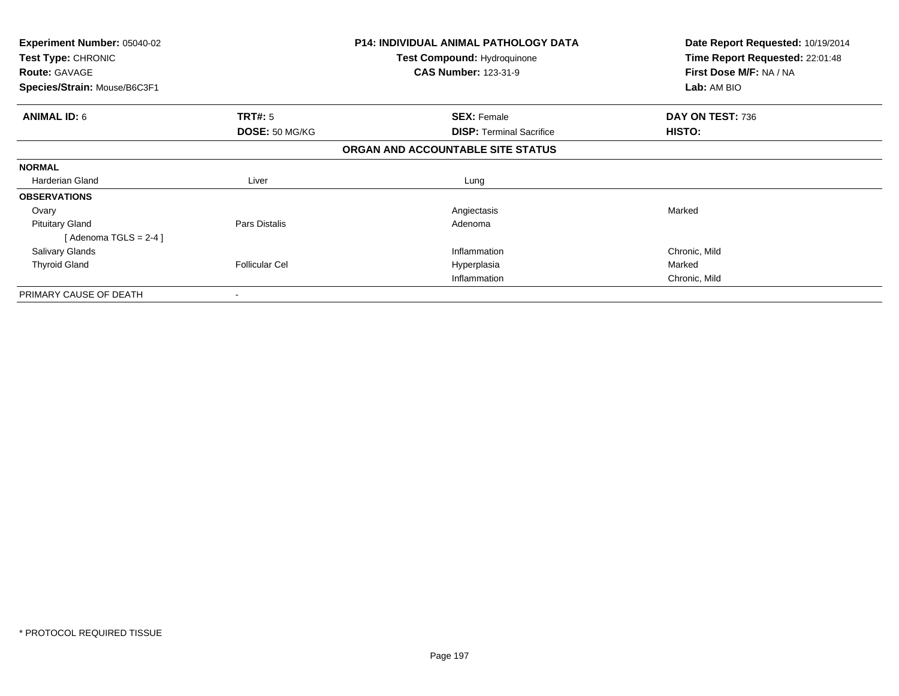| Experiment Number: 05040-02<br>Test Type: CHRONIC<br><b>Route: GAVAGE</b> |                       | P14: INDIVIDUAL ANIMAL PATHOLOGY DATA<br>Test Compound: Hydroquinone<br><b>CAS Number: 123-31-9</b> | Date Report Requested: 10/19/2014<br>Time Report Requested: 22:01:48<br>First Dose M/F: NA / NA<br>Lab: AM BIO |
|---------------------------------------------------------------------------|-----------------------|-----------------------------------------------------------------------------------------------------|----------------------------------------------------------------------------------------------------------------|
| Species/Strain: Mouse/B6C3F1                                              |                       |                                                                                                     |                                                                                                                |
| <b>ANIMAL ID: 6</b>                                                       | <b>TRT#:</b> 5        | <b>SEX: Female</b>                                                                                  | DAY ON TEST: 736                                                                                               |
|                                                                           | DOSE: 50 MG/KG        | <b>DISP:</b> Terminal Sacrifice                                                                     | <b>HISTO:</b>                                                                                                  |
|                                                                           |                       | ORGAN AND ACCOUNTABLE SITE STATUS                                                                   |                                                                                                                |
| <b>NORMAL</b>                                                             |                       |                                                                                                     |                                                                                                                |
| Harderian Gland                                                           | Liver                 | Lung                                                                                                |                                                                                                                |
| <b>OBSERVATIONS</b>                                                       |                       |                                                                                                     |                                                                                                                |
| Ovary                                                                     |                       | Angiectasis                                                                                         | Marked                                                                                                         |
| <b>Pituitary Gland</b>                                                    | Pars Distalis         | Adenoma                                                                                             |                                                                                                                |
| [Adenoma TGLS = $2-4$ ]                                                   |                       |                                                                                                     |                                                                                                                |
| <b>Salivary Glands</b>                                                    |                       | Inflammation                                                                                        | Chronic, Mild                                                                                                  |
| <b>Thyroid Gland</b>                                                      | <b>Follicular Cel</b> | Hyperplasia                                                                                         | Marked                                                                                                         |
|                                                                           |                       | Inflammation                                                                                        | Chronic, Mild                                                                                                  |
| PRIMARY CAUSE OF DEATH                                                    |                       |                                                                                                     |                                                                                                                |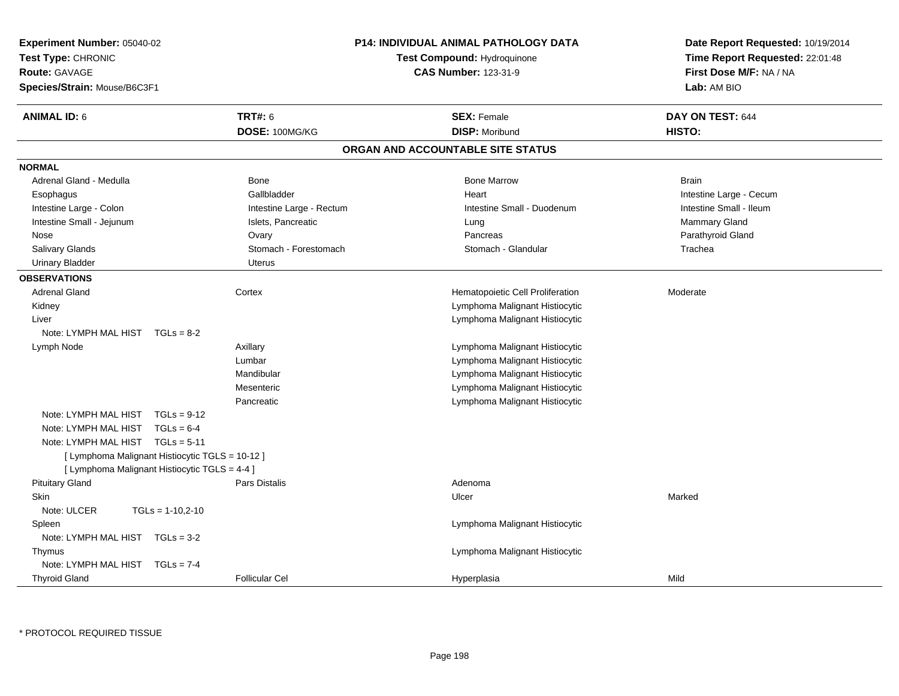| <b>Experiment Number: 05040-02</b><br>Test Type: CHRONIC<br><b>Route: GAVAGE</b><br>Species/Strain: Mouse/B6C3F1 | <b>P14: INDIVIDUAL ANIMAL PATHOLOGY DATA</b><br><b>Test Compound: Hydroquinone</b><br><b>CAS Number: 123-31-9</b> |                                   | Date Report Requested: 10/19/2014<br>Time Report Requested: 22:01:48<br>First Dose M/F: NA / NA<br>Lab: AM BIO |
|------------------------------------------------------------------------------------------------------------------|-------------------------------------------------------------------------------------------------------------------|-----------------------------------|----------------------------------------------------------------------------------------------------------------|
| <b>ANIMAL ID: 6</b>                                                                                              | <b>TRT#: 6</b>                                                                                                    | <b>SEX: Female</b>                | DAY ON TEST: 644                                                                                               |
|                                                                                                                  | DOSE: 100MG/KG                                                                                                    | <b>DISP: Moribund</b>             | HISTO:                                                                                                         |
|                                                                                                                  |                                                                                                                   | ORGAN AND ACCOUNTABLE SITE STATUS |                                                                                                                |
| <b>NORMAL</b>                                                                                                    |                                                                                                                   |                                   |                                                                                                                |
| Adrenal Gland - Medulla                                                                                          | Bone                                                                                                              | <b>Bone Marrow</b>                | <b>Brain</b>                                                                                                   |
| Esophagus                                                                                                        | Gallbladder                                                                                                       | Heart                             | Intestine Large - Cecum                                                                                        |
| Intestine Large - Colon                                                                                          | Intestine Large - Rectum                                                                                          | Intestine Small - Duodenum        | Intestine Small - Ileum                                                                                        |
| Intestine Small - Jejunum                                                                                        | Islets, Pancreatic                                                                                                | Lung                              | Mammary Gland                                                                                                  |
| Nose                                                                                                             | Ovary                                                                                                             | Pancreas                          | Parathyroid Gland                                                                                              |
| Salivary Glands                                                                                                  | Stomach - Forestomach                                                                                             | Stomach - Glandular               | Trachea                                                                                                        |
| <b>Urinary Bladder</b>                                                                                           | <b>Uterus</b>                                                                                                     |                                   |                                                                                                                |
| <b>OBSERVATIONS</b>                                                                                              |                                                                                                                   |                                   |                                                                                                                |
| <b>Adrenal Gland</b>                                                                                             | Cortex                                                                                                            | Hematopoietic Cell Proliferation  | Moderate                                                                                                       |
| Kidney                                                                                                           |                                                                                                                   | Lymphoma Malignant Histiocytic    |                                                                                                                |
| Liver                                                                                                            |                                                                                                                   | Lymphoma Malignant Histiocytic    |                                                                                                                |
| Note: LYMPH MAL HIST TGLs = 8-2                                                                                  |                                                                                                                   |                                   |                                                                                                                |
| Lymph Node                                                                                                       | Axillary                                                                                                          | Lymphoma Malignant Histiocytic    |                                                                                                                |
|                                                                                                                  | Lumbar                                                                                                            | Lymphoma Malignant Histiocytic    |                                                                                                                |
|                                                                                                                  | Mandibular                                                                                                        | Lymphoma Malignant Histiocytic    |                                                                                                                |
|                                                                                                                  | Mesenteric                                                                                                        | Lymphoma Malignant Histiocytic    |                                                                                                                |
|                                                                                                                  | Pancreatic                                                                                                        | Lymphoma Malignant Histiocytic    |                                                                                                                |
| Note: LYMPH MAL HIST<br>$TGLs = 9-12$                                                                            |                                                                                                                   |                                   |                                                                                                                |
| Note: LYMPH MAL HIST<br>$TGLs = 6-4$                                                                             |                                                                                                                   |                                   |                                                                                                                |
| Note: LYMPH MAL HIST TGLs = 5-11                                                                                 |                                                                                                                   |                                   |                                                                                                                |
| [ Lymphoma Malignant Histiocytic TGLS = 10-12 ]                                                                  |                                                                                                                   |                                   |                                                                                                                |
| [ Lymphoma Malignant Histiocytic TGLS = 4-4 ]                                                                    |                                                                                                                   |                                   |                                                                                                                |
| <b>Pituitary Gland</b>                                                                                           | <b>Pars Distalis</b>                                                                                              | Adenoma                           |                                                                                                                |
| <b>Skin</b>                                                                                                      |                                                                                                                   | Ulcer                             | Marked                                                                                                         |
| Note: ULCER<br>$TGLs = 1-10,2-10$                                                                                |                                                                                                                   |                                   |                                                                                                                |
| Spleen                                                                                                           |                                                                                                                   | Lymphoma Malignant Histiocytic    |                                                                                                                |
| Note: LYMPH MAL HIST TGLs = 3-2                                                                                  |                                                                                                                   |                                   |                                                                                                                |
| Thymus                                                                                                           |                                                                                                                   | Lymphoma Malignant Histiocytic    |                                                                                                                |
| Note: LYMPH MAL HIST TGLs = 7-4                                                                                  |                                                                                                                   |                                   |                                                                                                                |
| <b>Thyroid Gland</b>                                                                                             | <b>Follicular Cel</b>                                                                                             | Hyperplasia                       | Mild                                                                                                           |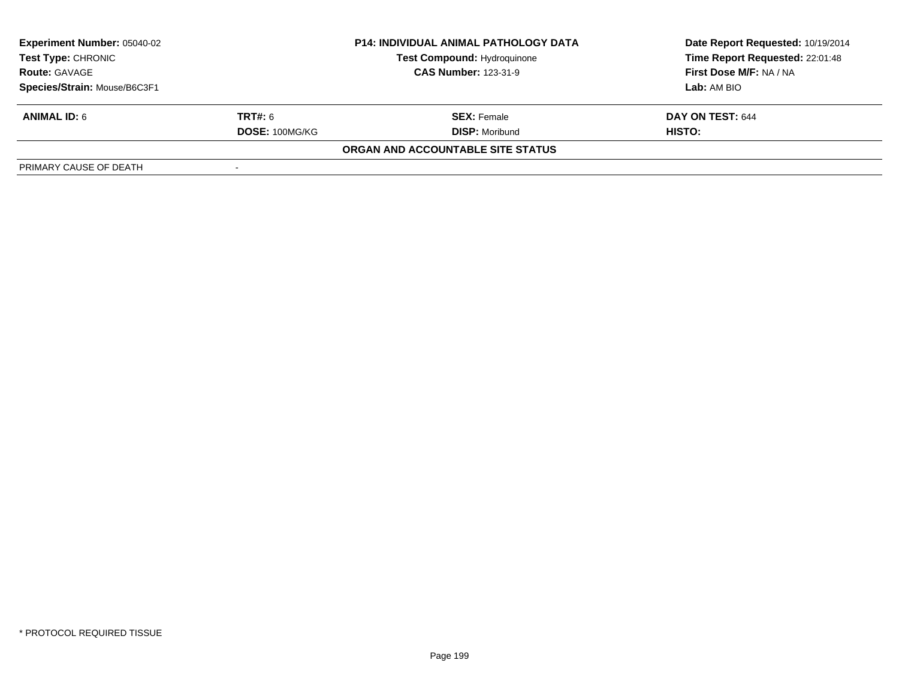| <b>Experiment Number: 05040-02</b><br><b>Test Type: CHRONIC</b> |                | <b>P14: INDIVIDUAL ANIMAL PATHOLOGY DATA</b> | Date Report Requested: 10/19/2014 |
|-----------------------------------------------------------------|----------------|----------------------------------------------|-----------------------------------|
|                                                                 |                | <b>Test Compound: Hydroquinone</b>           | Time Report Requested: 22:01:48   |
| <b>Route: GAVAGE</b>                                            |                | <b>CAS Number: 123-31-9</b>                  | First Dose M/F: NA / NA           |
| Species/Strain: Mouse/B6C3F1                                    |                |                                              | Lab: AM BIO                       |
| <b>ANIMAL ID: 6</b>                                             | <b>TRT#:</b> 6 | <b>SEX: Female</b>                           | DAY ON TEST: 644                  |
|                                                                 | DOSE: 100MG/KG | <b>DISP: Moribund</b>                        | <b>HISTO:</b>                     |
|                                                                 |                | ORGAN AND ACCOUNTABLE SITE STATUS            |                                   |
| PRIMARY CAUSE OF DEATH                                          |                |                                              |                                   |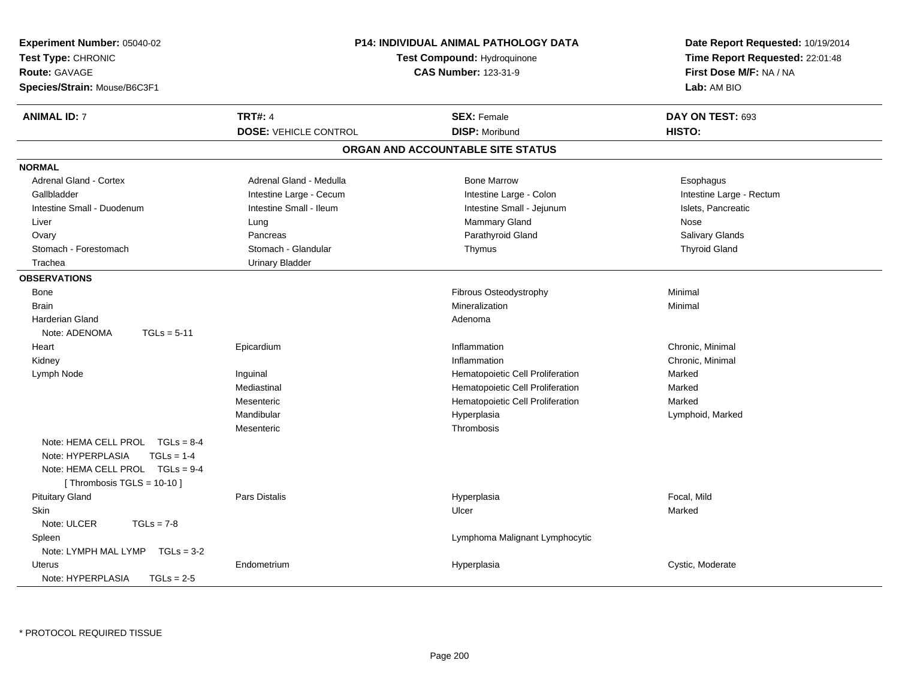| Experiment Number: 05040-02          |                              | <b>P14: INDIVIDUAL ANIMAL PATHOLOGY DATA</b> | Date Report Requested: 10/19/2014 |
|--------------------------------------|------------------------------|----------------------------------------------|-----------------------------------|
| Test Type: CHRONIC                   |                              | Test Compound: Hydroquinone                  | Time Report Requested: 22:01:48   |
| <b>Route: GAVAGE</b>                 |                              | <b>CAS Number: 123-31-9</b>                  | First Dose M/F: NA / NA           |
| Species/Strain: Mouse/B6C3F1         |                              |                                              | Lab: AM BIO                       |
| <b>ANIMAL ID: 7</b>                  | <b>TRT#: 4</b>               | <b>SEX: Female</b>                           | DAY ON TEST: 693                  |
|                                      | <b>DOSE: VEHICLE CONTROL</b> | <b>DISP: Moribund</b>                        | HISTO:                            |
|                                      |                              | ORGAN AND ACCOUNTABLE SITE STATUS            |                                   |
| <b>NORMAL</b>                        |                              |                                              |                                   |
| <b>Adrenal Gland - Cortex</b>        | Adrenal Gland - Medulla      | <b>Bone Marrow</b>                           | Esophagus                         |
| Gallbladder                          | Intestine Large - Cecum      | Intestine Large - Colon                      | Intestine Large - Rectum          |
| Intestine Small - Duodenum           | Intestine Small - Ileum      | Intestine Small - Jejunum                    | Islets, Pancreatic                |
| Liver                                | Lung                         | Mammary Gland                                | Nose                              |
| Ovary                                | Pancreas                     | Parathyroid Gland                            | Salivary Glands                   |
| Stomach - Forestomach                | Stomach - Glandular          | Thymus                                       | <b>Thyroid Gland</b>              |
| Trachea                              | <b>Urinary Bladder</b>       |                                              |                                   |
| <b>OBSERVATIONS</b>                  |                              |                                              |                                   |
| Bone                                 |                              | Fibrous Osteodystrophy                       | Minimal                           |
| <b>Brain</b>                         |                              | Mineralization                               | Minimal                           |
| <b>Harderian Gland</b>               |                              | Adenoma                                      |                                   |
| Note: ADENOMA<br>$TGLs = 5-11$       |                              |                                              |                                   |
| Heart                                | Epicardium                   | Inflammation                                 | Chronic, Minimal                  |
| Kidney                               |                              | Inflammation                                 | Chronic, Minimal                  |
| Lymph Node                           | Inguinal                     | Hematopoietic Cell Proliferation             | Marked                            |
|                                      | Mediastinal                  | Hematopoietic Cell Proliferation             | Marked                            |
|                                      | Mesenteric                   | Hematopoietic Cell Proliferation             | Marked                            |
|                                      | Mandibular                   | Hyperplasia                                  | Lymphoid, Marked                  |
|                                      | Mesenteric                   | Thrombosis                                   |                                   |
| Note: HEMA CELL PROL TGLs = 8-4      |                              |                                              |                                   |
| Note: HYPERPLASIA<br>$TGLs = 1-4$    |                              |                                              |                                   |
| Note: HEMA CELL PROL TGLs = 9-4      |                              |                                              |                                   |
| [Thrombosis $TGLS = 10-10$ ]         |                              |                                              |                                   |
| <b>Pituitary Gland</b>               | <b>Pars Distalis</b>         | Hyperplasia                                  | Focal, Mild                       |
| Skin                                 |                              | Ulcer                                        | Marked                            |
| Note: ULCER<br>$TGLs = 7-8$          |                              |                                              |                                   |
| Spleen                               |                              | Lymphoma Malignant Lymphocytic               |                                   |
| Note: LYMPH MAL LYMP<br>$TGLs = 3-2$ |                              |                                              |                                   |
| <b>Uterus</b>                        | Endometrium                  | Hyperplasia                                  | Cystic, Moderate                  |
| Note: HYPERPLASIA<br>$TGLs = 2-5$    |                              |                                              |                                   |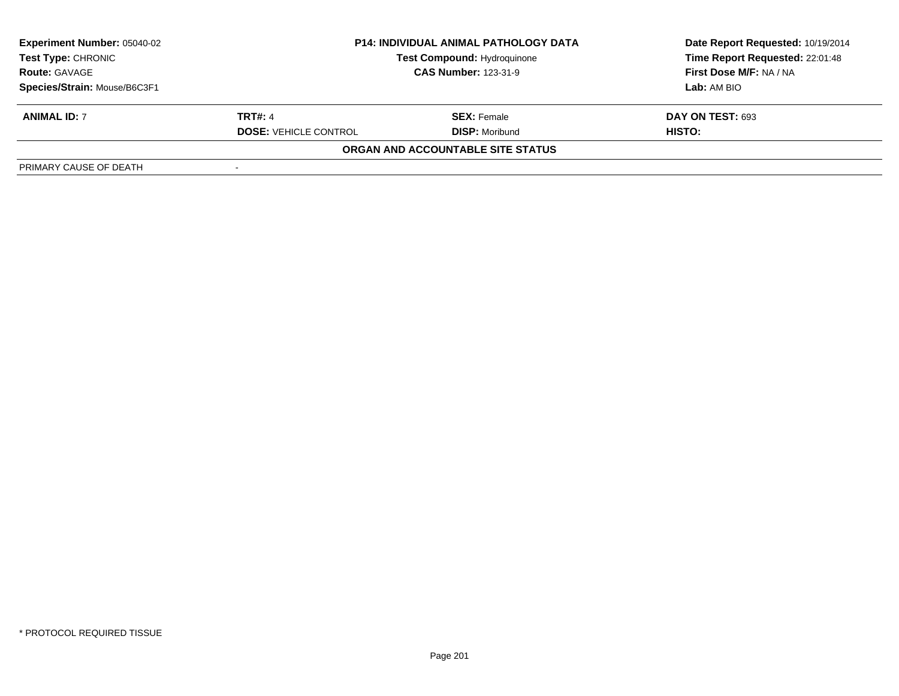| <b>Experiment Number: 05040-02</b><br><b>Test Type: CHRONIC</b><br><b>Route: GAVAGE</b> | <b>P14: INDIVIDUAL ANIMAL PATHOLOGY DATA</b><br><b>Test Compound: Hydroquinone</b><br><b>CAS Number: 123-31-9</b> |                                   | Date Report Requested: 10/19/2014<br>Time Report Requested: 22:01:48<br>First Dose M/F: NA / NA |
|-----------------------------------------------------------------------------------------|-------------------------------------------------------------------------------------------------------------------|-----------------------------------|-------------------------------------------------------------------------------------------------|
| Species/Strain: Mouse/B6C3F1                                                            |                                                                                                                   |                                   | Lab: AM BIO                                                                                     |
| <b>ANIMAL ID: 7</b>                                                                     | <b>TRT#: 4</b>                                                                                                    | <b>SEX: Female</b>                | <b>DAY ON TEST: 693</b>                                                                         |
|                                                                                         | <b>DOSE: VEHICLE CONTROL</b>                                                                                      | <b>DISP: Moribund</b>             | HISTO:                                                                                          |
|                                                                                         |                                                                                                                   | ORGAN AND ACCOUNTABLE SITE STATUS |                                                                                                 |
| PRIMARY CAUSE OF DEATH                                                                  |                                                                                                                   |                                   |                                                                                                 |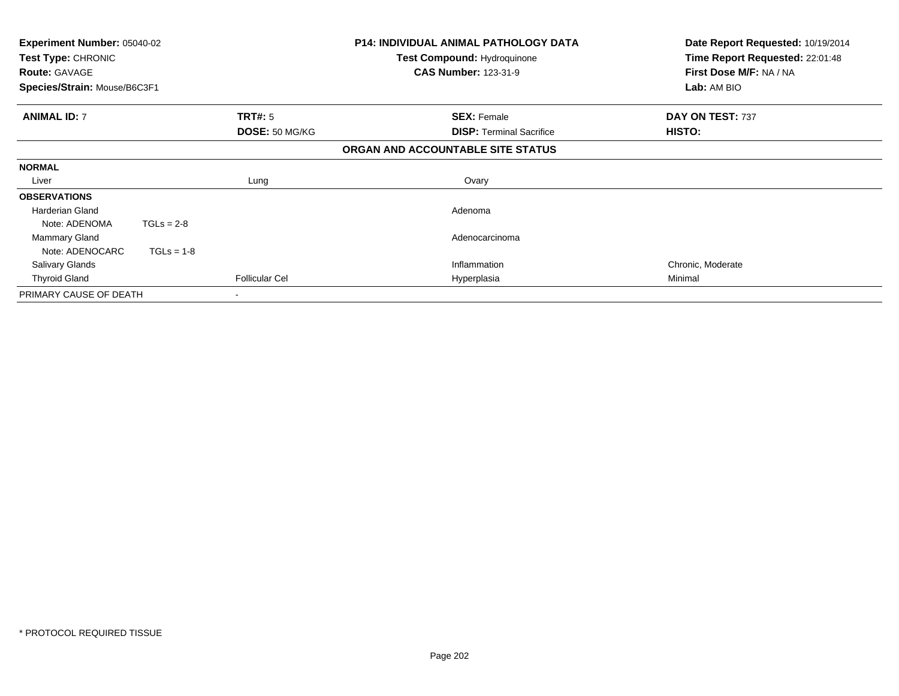| Experiment Number: 05040-02<br>Test Type: CHRONIC<br><b>Route: GAVAGE</b><br>Species/Strain: Mouse/B6C3F1 |                       | <b>P14: INDIVIDUAL ANIMAL PATHOLOGY DATA</b><br>Test Compound: Hydroquinone<br><b>CAS Number: 123-31-9</b> | Date Report Requested: 10/19/2014<br>Time Report Requested: 22:01:48<br>First Dose M/F: NA / NA<br>Lab: AM BIO |
|-----------------------------------------------------------------------------------------------------------|-----------------------|------------------------------------------------------------------------------------------------------------|----------------------------------------------------------------------------------------------------------------|
| <b>ANIMAL ID: 7</b>                                                                                       | <b>TRT#: 5</b>        | <b>SEX: Female</b>                                                                                         | DAY ON TEST: 737                                                                                               |
|                                                                                                           | DOSE: 50 MG/KG        | <b>DISP:</b> Terminal Sacrifice                                                                            | <b>HISTO:</b>                                                                                                  |
|                                                                                                           |                       | ORGAN AND ACCOUNTABLE SITE STATUS                                                                          |                                                                                                                |
| <b>NORMAL</b>                                                                                             |                       |                                                                                                            |                                                                                                                |
| Liver                                                                                                     | Lung                  | Ovary                                                                                                      |                                                                                                                |
| <b>OBSERVATIONS</b>                                                                                       |                       |                                                                                                            |                                                                                                                |
| Harderian Gland                                                                                           |                       | Adenoma                                                                                                    |                                                                                                                |
| $TGLs = 2-8$<br>Note: ADENOMA                                                                             |                       |                                                                                                            |                                                                                                                |
| Mammary Gland                                                                                             |                       | Adenocarcinoma                                                                                             |                                                                                                                |
| $TGLs = 1-8$<br>Note: ADENOCARC                                                                           |                       |                                                                                                            |                                                                                                                |
| <b>Salivary Glands</b>                                                                                    |                       | Inflammation                                                                                               | Chronic, Moderate                                                                                              |
| <b>Thyroid Gland</b>                                                                                      | <b>Follicular Cel</b> | Hyperplasia                                                                                                | Minimal                                                                                                        |
| PRIMARY CAUSE OF DEATH                                                                                    |                       |                                                                                                            |                                                                                                                |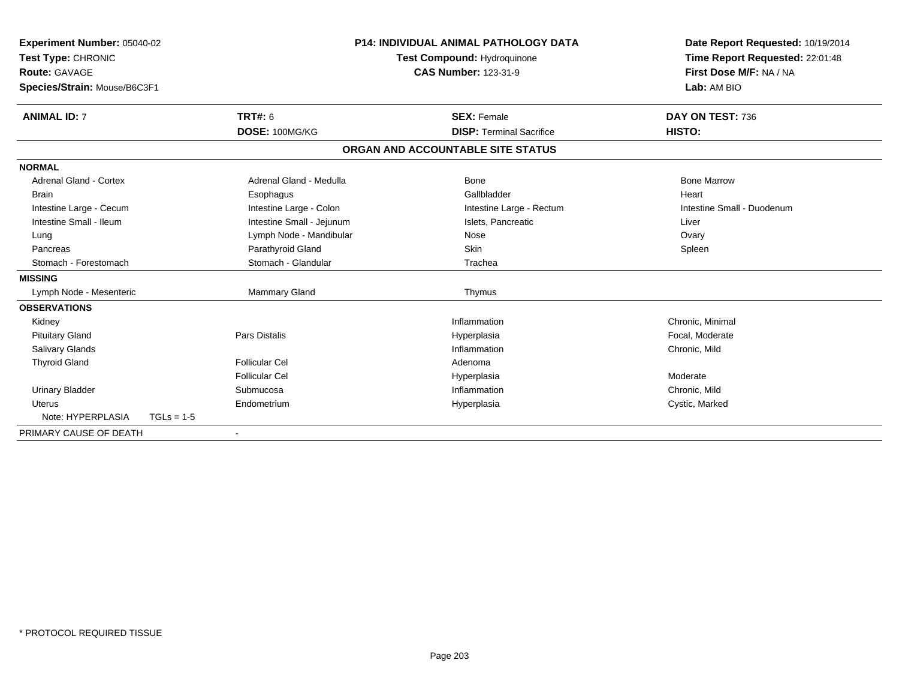| <b>Experiment Number: 05040-02</b><br>Test Type: CHRONIC<br><b>Route: GAVAGE</b><br>Species/Strain: Mouse/B6C3F1 |              |                           | <b>P14: INDIVIDUAL ANIMAL PATHOLOGY DATA</b><br><b>Test Compound: Hydroquinone</b><br><b>CAS Number: 123-31-9</b> |                                   | Date Report Requested: 10/19/2014<br>Time Report Requested: 22:01:48<br>First Dose M/F: NA / NA<br>Lab: AM BIO |  |
|------------------------------------------------------------------------------------------------------------------|--------------|---------------------------|-------------------------------------------------------------------------------------------------------------------|-----------------------------------|----------------------------------------------------------------------------------------------------------------|--|
|                                                                                                                  |              |                           |                                                                                                                   |                                   |                                                                                                                |  |
| <b>ANIMAL ID: 7</b>                                                                                              |              | <b>TRT#: 6</b>            |                                                                                                                   | <b>SEX: Female</b>                | DAY ON TEST: 736                                                                                               |  |
|                                                                                                                  |              | DOSE: 100MG/KG            |                                                                                                                   | <b>DISP: Terminal Sacrifice</b>   | HISTO:                                                                                                         |  |
|                                                                                                                  |              |                           |                                                                                                                   | ORGAN AND ACCOUNTABLE SITE STATUS |                                                                                                                |  |
| <b>NORMAL</b>                                                                                                    |              |                           |                                                                                                                   |                                   |                                                                                                                |  |
| <b>Adrenal Gland - Cortex</b>                                                                                    |              | Adrenal Gland - Medulla   |                                                                                                                   | <b>Bone</b>                       | <b>Bone Marrow</b>                                                                                             |  |
| Brain                                                                                                            |              | Esophagus                 |                                                                                                                   | Gallbladder                       | Heart                                                                                                          |  |
| Intestine Large - Cecum                                                                                          |              | Intestine Large - Colon   |                                                                                                                   | Intestine Large - Rectum          | Intestine Small - Duodenum                                                                                     |  |
| Intestine Small - Ileum                                                                                          |              | Intestine Small - Jejunum |                                                                                                                   | Islets. Pancreatic                | Liver                                                                                                          |  |
| Lung                                                                                                             |              | Lymph Node - Mandibular   |                                                                                                                   | Nose                              | Ovary                                                                                                          |  |
| Pancreas                                                                                                         |              | Parathyroid Gland         |                                                                                                                   | <b>Skin</b>                       | Spleen                                                                                                         |  |
| Stomach - Forestomach                                                                                            |              | Stomach - Glandular       |                                                                                                                   | Trachea                           |                                                                                                                |  |
| <b>MISSING</b>                                                                                                   |              |                           |                                                                                                                   |                                   |                                                                                                                |  |
| Lymph Node - Mesenteric                                                                                          |              | Mammary Gland             |                                                                                                                   | Thymus                            |                                                                                                                |  |
| <b>OBSERVATIONS</b>                                                                                              |              |                           |                                                                                                                   |                                   |                                                                                                                |  |
| Kidney                                                                                                           |              |                           |                                                                                                                   | Inflammation                      | Chronic, Minimal                                                                                               |  |
| <b>Pituitary Gland</b>                                                                                           |              | <b>Pars Distalis</b>      |                                                                                                                   | Hyperplasia                       | Focal, Moderate                                                                                                |  |
| Salivary Glands                                                                                                  |              |                           |                                                                                                                   | Inflammation                      | Chronic, Mild                                                                                                  |  |
| <b>Thyroid Gland</b>                                                                                             |              | <b>Follicular Cel</b>     |                                                                                                                   | Adenoma                           |                                                                                                                |  |
|                                                                                                                  |              | <b>Follicular Cel</b>     |                                                                                                                   | Hyperplasia                       | Moderate                                                                                                       |  |
| <b>Urinary Bladder</b>                                                                                           |              | Submucosa                 |                                                                                                                   | Inflammation                      | Chronic, Mild                                                                                                  |  |
| Uterus                                                                                                           |              | Endometrium               |                                                                                                                   | Hyperplasia                       | Cystic, Marked                                                                                                 |  |
| Note: HYPERPLASIA                                                                                                | $TGLs = 1-5$ |                           |                                                                                                                   |                                   |                                                                                                                |  |
| PRIMARY CAUSE OF DEATH                                                                                           |              |                           |                                                                                                                   |                                   |                                                                                                                |  |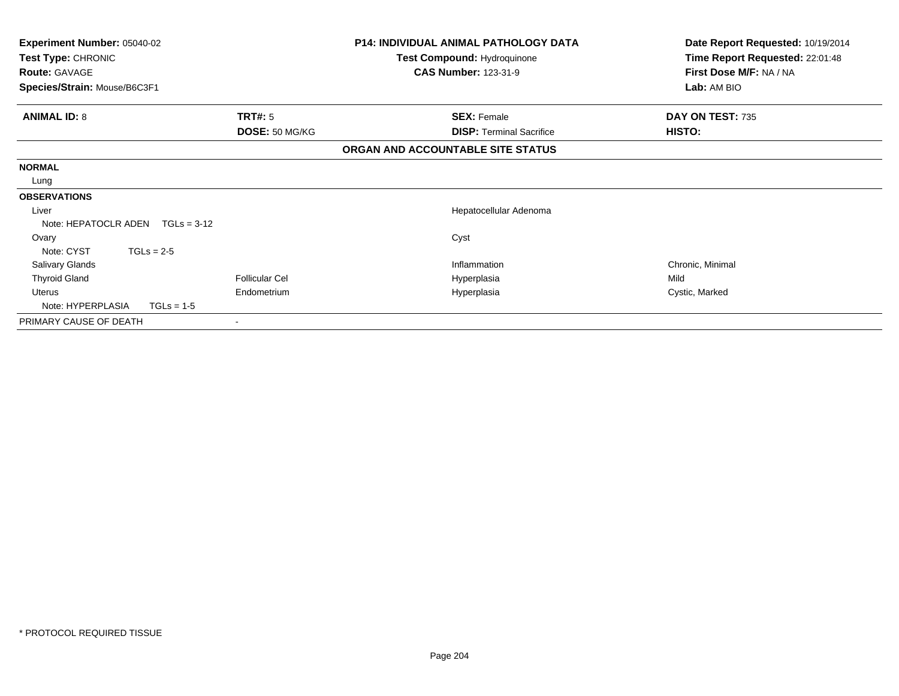| Experiment Number: 05040-02<br>Test Type: CHRONIC |                       | <b>P14: INDIVIDUAL ANIMAL PATHOLOGY DATA</b><br>Test Compound: Hydroquinone | Date Report Requested: 10/19/2014<br>Time Report Requested: 22:01:48 |
|---------------------------------------------------|-----------------------|-----------------------------------------------------------------------------|----------------------------------------------------------------------|
| <b>Route: GAVAGE</b>                              |                       | <b>CAS Number: 123-31-9</b>                                                 | First Dose M/F: NA / NA                                              |
| Species/Strain: Mouse/B6C3F1                      |                       |                                                                             | Lab: AM BIO                                                          |
| <b>ANIMAL ID: 8</b>                               | <b>TRT#: 5</b>        | <b>SEX: Female</b>                                                          | DAY ON TEST: 735                                                     |
|                                                   | DOSE: 50 MG/KG        | <b>DISP:</b> Terminal Sacrifice                                             | HISTO:                                                               |
|                                                   |                       | ORGAN AND ACCOUNTABLE SITE STATUS                                           |                                                                      |
| <b>NORMAL</b>                                     |                       |                                                                             |                                                                      |
| Lung                                              |                       |                                                                             |                                                                      |
| <b>OBSERVATIONS</b>                               |                       |                                                                             |                                                                      |
| Liver                                             |                       | Hepatocellular Adenoma                                                      |                                                                      |
| Note: HEPATOCLR ADEN<br>$TGLs = 3-12$             |                       |                                                                             |                                                                      |
| Ovary                                             |                       | Cyst                                                                        |                                                                      |
| Note: CYST<br>$TGLs = 2-5$                        |                       |                                                                             |                                                                      |
| <b>Salivary Glands</b>                            |                       | Inflammation                                                                | Chronic, Minimal                                                     |
| <b>Thyroid Gland</b>                              | <b>Follicular Cel</b> | Hyperplasia                                                                 | Mild                                                                 |
| <b>Uterus</b>                                     | Endometrium           | Hyperplasia                                                                 | Cystic, Marked                                                       |
| Note: HYPERPLASIA<br>$TGLs = 1-5$                 |                       |                                                                             |                                                                      |
| PRIMARY CAUSE OF DEATH                            |                       |                                                                             |                                                                      |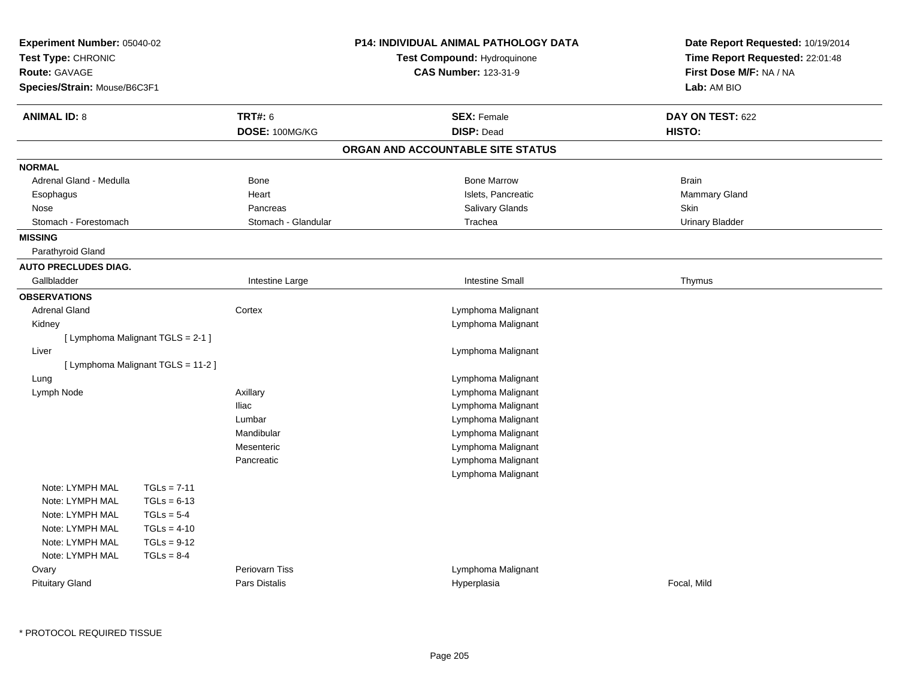| Experiment Number: 05040-02<br>Test Type: CHRONIC<br><b>Route: GAVAGE</b><br>Species/Strain: Mouse/B6C3F1 |                                    |                                  | P14: INDIVIDUAL ANIMAL PATHOLOGY DATA<br>Test Compound: Hydroquinone<br><b>CAS Number: 123-31-9</b> | Date Report Requested: 10/19/2014<br>Time Report Requested: 22:01:48<br>First Dose M/F: NA / NA<br>Lab: AM BIO |
|-----------------------------------------------------------------------------------------------------------|------------------------------------|----------------------------------|-----------------------------------------------------------------------------------------------------|----------------------------------------------------------------------------------------------------------------|
| <b>ANIMAL ID: 8</b>                                                                                       |                                    | <b>TRT#: 6</b><br>DOSE: 100MG/KG | <b>SEX: Female</b><br><b>DISP: Dead</b>                                                             | DAY ON TEST: 622<br>HISTO:                                                                                     |
|                                                                                                           |                                    |                                  | ORGAN AND ACCOUNTABLE SITE STATUS                                                                   |                                                                                                                |
| <b>NORMAL</b>                                                                                             |                                    |                                  |                                                                                                     |                                                                                                                |
| Adrenal Gland - Medulla                                                                                   |                                    | Bone                             | <b>Bone Marrow</b>                                                                                  | <b>Brain</b>                                                                                                   |
| Esophagus                                                                                                 |                                    | Heart                            | Islets, Pancreatic                                                                                  | Mammary Gland                                                                                                  |
| Nose                                                                                                      |                                    | Pancreas                         | <b>Salivary Glands</b>                                                                              | Skin                                                                                                           |
| Stomach - Forestomach                                                                                     |                                    | Stomach - Glandular              | Trachea                                                                                             | <b>Urinary Bladder</b>                                                                                         |
| <b>MISSING</b>                                                                                            |                                    |                                  |                                                                                                     |                                                                                                                |
| Parathyroid Gland                                                                                         |                                    |                                  |                                                                                                     |                                                                                                                |
| <b>AUTO PRECLUDES DIAG.</b>                                                                               |                                    |                                  |                                                                                                     |                                                                                                                |
| Gallbladder                                                                                               |                                    | Intestine Large                  | <b>Intestine Small</b>                                                                              | Thymus                                                                                                         |
| <b>OBSERVATIONS</b>                                                                                       |                                    |                                  |                                                                                                     |                                                                                                                |
| <b>Adrenal Gland</b>                                                                                      |                                    | Cortex                           | Lymphoma Malignant                                                                                  |                                                                                                                |
| Kidney                                                                                                    |                                    |                                  | Lymphoma Malignant                                                                                  |                                                                                                                |
|                                                                                                           | [ Lymphoma Malignant TGLS = 2-1 ]  |                                  |                                                                                                     |                                                                                                                |
| Liver                                                                                                     |                                    |                                  | Lymphoma Malignant                                                                                  |                                                                                                                |
|                                                                                                           | [ Lymphoma Malignant TGLS = 11-2 ] |                                  |                                                                                                     |                                                                                                                |
| Lung                                                                                                      |                                    |                                  | Lymphoma Malignant                                                                                  |                                                                                                                |
| Lymph Node                                                                                                |                                    | Axillary                         | Lymphoma Malignant                                                                                  |                                                                                                                |
|                                                                                                           |                                    | lliac                            | Lymphoma Malignant                                                                                  |                                                                                                                |
|                                                                                                           |                                    | Lumbar                           | Lymphoma Malignant                                                                                  |                                                                                                                |
|                                                                                                           |                                    | Mandibular                       | Lymphoma Malignant                                                                                  |                                                                                                                |
|                                                                                                           |                                    | Mesenteric                       | Lymphoma Malignant                                                                                  |                                                                                                                |
|                                                                                                           |                                    | Pancreatic                       | Lymphoma Malignant                                                                                  |                                                                                                                |
|                                                                                                           |                                    |                                  | Lymphoma Malignant                                                                                  |                                                                                                                |
| Note: LYMPH MAL                                                                                           | $TGLs = 7-11$                      |                                  |                                                                                                     |                                                                                                                |
| Note: LYMPH MAL                                                                                           | $TGLs = 6-13$                      |                                  |                                                                                                     |                                                                                                                |
| Note: LYMPH MAL                                                                                           | $TGLs = 5-4$                       |                                  |                                                                                                     |                                                                                                                |
| Note: LYMPH MAL                                                                                           | $TGLs = 4-10$                      |                                  |                                                                                                     |                                                                                                                |
| Note: LYMPH MAL                                                                                           | $TGLs = 9-12$                      |                                  |                                                                                                     |                                                                                                                |
| Note: LYMPH MAL                                                                                           | $TGLs = 8-4$                       | <b>Periovarn Tiss</b>            |                                                                                                     |                                                                                                                |
| Ovary<br><b>Pituitary Gland</b>                                                                           |                                    | Pars Distalis                    | Lymphoma Malignant<br>Hyperplasia                                                                   | Focal, Mild                                                                                                    |
|                                                                                                           |                                    |                                  |                                                                                                     |                                                                                                                |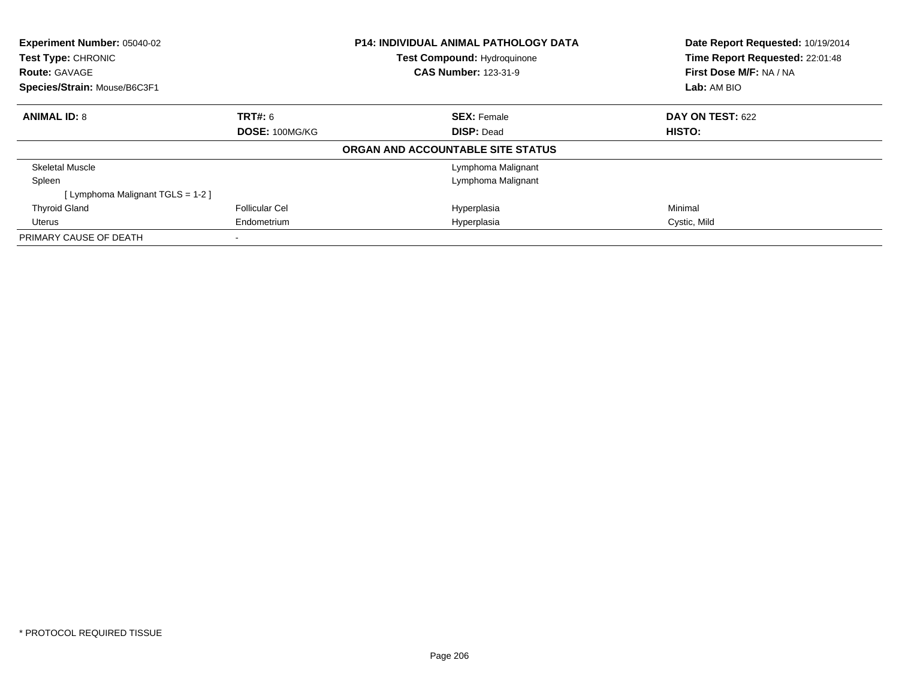| Experiment Number: 05040-02<br>Test Type: CHRONIC<br><b>Route: GAVAGE</b> |                       | <b>P14: INDIVIDUAL ANIMAL PATHOLOGY DATA</b><br><b>Test Compound: Hydroquinone</b><br><b>CAS Number: 123-31-9</b> | Date Report Requested: 10/19/2014<br>Time Report Requested: 22:01:48<br>First Dose M/F: NA / NA |
|---------------------------------------------------------------------------|-----------------------|-------------------------------------------------------------------------------------------------------------------|-------------------------------------------------------------------------------------------------|
| Species/Strain: Mouse/B6C3F1                                              |                       |                                                                                                                   | Lab: AM BIO                                                                                     |
| <b>ANIMAL ID: 8</b>                                                       | <b>TRT#: 6</b>        | <b>SEX: Female</b>                                                                                                | DAY ON TEST: 622                                                                                |
|                                                                           | DOSE: 100MG/KG        | <b>DISP: Dead</b>                                                                                                 | <b>HISTO:</b>                                                                                   |
|                                                                           |                       | ORGAN AND ACCOUNTABLE SITE STATUS                                                                                 |                                                                                                 |
| Skeletal Muscle                                                           |                       | Lymphoma Malignant                                                                                                |                                                                                                 |
| Spleen                                                                    |                       | Lymphoma Malignant                                                                                                |                                                                                                 |
| [Lymphoma Malignant TGLS = 1-2]                                           |                       |                                                                                                                   |                                                                                                 |
| <b>Thyroid Gland</b>                                                      | <b>Follicular Cel</b> | Hyperplasia                                                                                                       | Minimal                                                                                         |
| Uterus                                                                    | Endometrium           | Hyperplasia                                                                                                       | Cystic, Mild                                                                                    |
| PRIMARY CAUSE OF DEATH                                                    |                       |                                                                                                                   |                                                                                                 |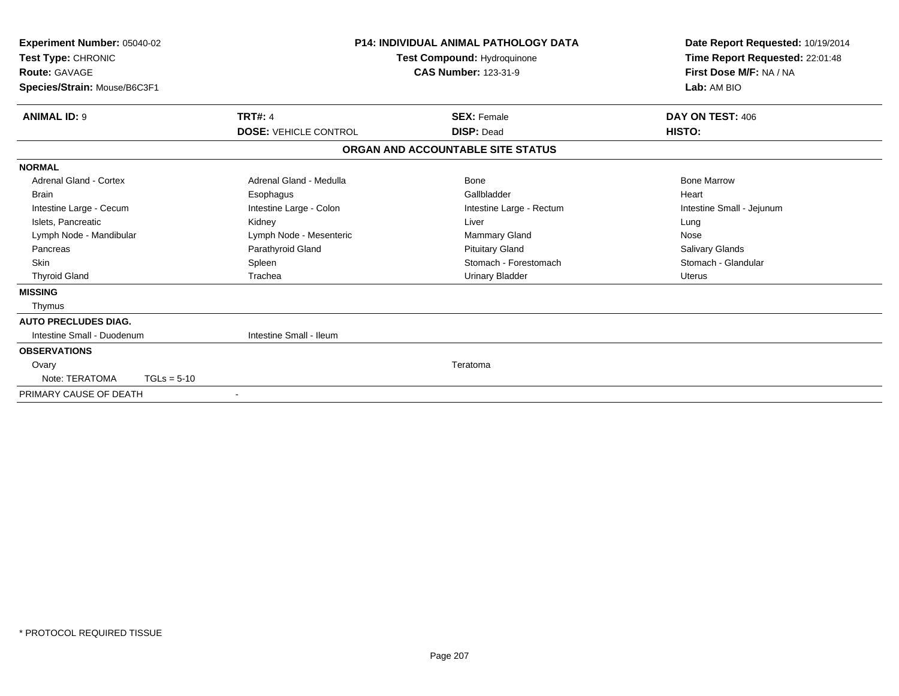| <b>Route: GAVAGE</b><br>Species/Strain: Mouse/B6C3F1     | <b>CAS Number: 123-31-9</b>       | First Dose M/F: NA / NA<br>Lab: AM BIO |
|----------------------------------------------------------|-----------------------------------|----------------------------------------|
| <b>ANIMAL ID: 9</b><br><b>TRT#: 4</b>                    | <b>SEX: Female</b>                | DAY ON TEST: 406                       |
| <b>DOSE: VEHICLE CONTROL</b>                             | <b>DISP: Dead</b>                 | HISTO:                                 |
|                                                          | ORGAN AND ACCOUNTABLE SITE STATUS |                                        |
| <b>NORMAL</b>                                            |                                   |                                        |
| <b>Adrenal Gland - Cortex</b><br>Adrenal Gland - Medulla | Bone                              | <b>Bone Marrow</b>                     |
| <b>Brain</b><br>Esophagus                                | Gallbladder                       | Heart                                  |
| Intestine Large - Colon<br>Intestine Large - Cecum       | Intestine Large - Rectum          | Intestine Small - Jejunum              |
| Islets, Pancreatic<br>Kidney                             | Liver                             | Lung                                   |
| Lymph Node - Mandibular<br>Lymph Node - Mesenteric       | <b>Mammary Gland</b>              | Nose                                   |
| Parathyroid Gland<br>Pancreas                            | <b>Pituitary Gland</b>            | <b>Salivary Glands</b>                 |
| <b>Skin</b><br>Spleen                                    | Stomach - Forestomach             | Stomach - Glandular                    |
| <b>Thyroid Gland</b><br>Trachea                          | <b>Urinary Bladder</b>            | Uterus                                 |
| <b>MISSING</b>                                           |                                   |                                        |
| Thymus                                                   |                                   |                                        |
| <b>AUTO PRECLUDES DIAG.</b>                              |                                   |                                        |
| Intestine Small - Duodenum<br>Intestine Small - Ileum    |                                   |                                        |
| <b>OBSERVATIONS</b>                                      |                                   |                                        |
| Ovary                                                    | Teratoma                          |                                        |
| Note: TERATOMA<br>$TGLs = 5-10$                          |                                   |                                        |
| PRIMARY CAUSE OF DEATH<br>$\overline{\phantom{a}}$       |                                   |                                        |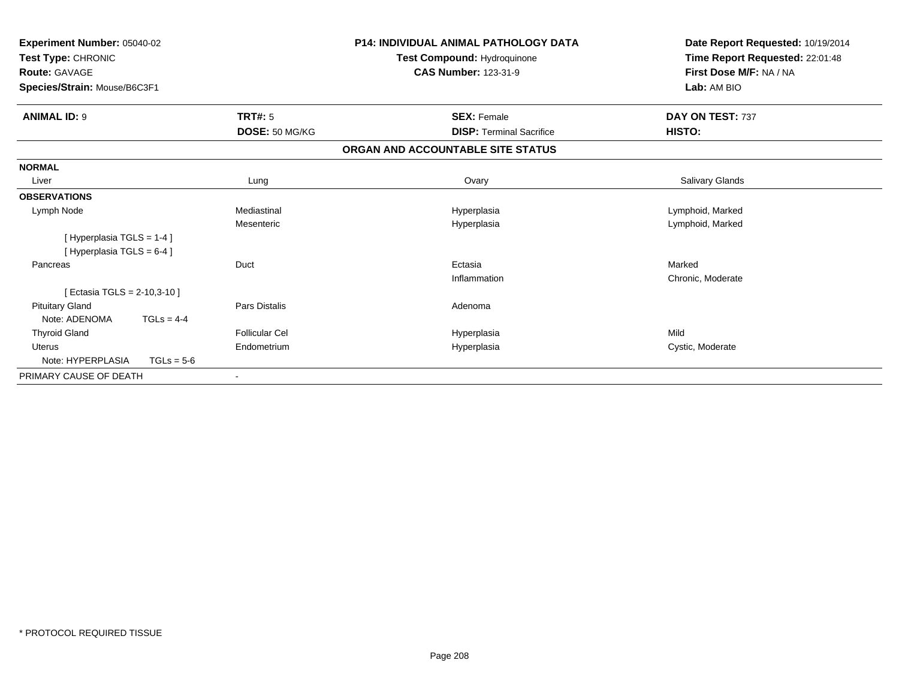| Experiment Number: 05040-02<br>Test Type: CHRONIC<br><b>Route: GAVAGE</b><br>Species/Strain: Mouse/B6C3F1 |              |                       | <b>P14: INDIVIDUAL ANIMAL PATHOLOGY DATA</b><br>Test Compound: Hydroquinone<br><b>CAS Number: 123-31-9</b> | Date Report Requested: 10/19/2014<br>Time Report Requested: 22:01:48<br>First Dose M/F: NA / NA<br>Lab: AM BIO |
|-----------------------------------------------------------------------------------------------------------|--------------|-----------------------|------------------------------------------------------------------------------------------------------------|----------------------------------------------------------------------------------------------------------------|
| <b>ANIMAL ID: 9</b>                                                                                       |              | <b>TRT#: 5</b>        | <b>SEX: Female</b>                                                                                         | DAY ON TEST: 737                                                                                               |
|                                                                                                           |              | DOSE: 50 MG/KG        | <b>DISP: Terminal Sacrifice</b>                                                                            | HISTO:                                                                                                         |
|                                                                                                           |              |                       | ORGAN AND ACCOUNTABLE SITE STATUS                                                                          |                                                                                                                |
| <b>NORMAL</b>                                                                                             |              |                       |                                                                                                            |                                                                                                                |
| Liver                                                                                                     |              | Lung                  | Ovary                                                                                                      | Salivary Glands                                                                                                |
| <b>OBSERVATIONS</b>                                                                                       |              |                       |                                                                                                            |                                                                                                                |
| Lymph Node                                                                                                |              | Mediastinal           | Hyperplasia                                                                                                | Lymphoid, Marked                                                                                               |
|                                                                                                           |              | Mesenteric            | Hyperplasia                                                                                                | Lymphoid, Marked                                                                                               |
| [Hyperplasia TGLS = 1-4]                                                                                  |              |                       |                                                                                                            |                                                                                                                |
| [Hyperplasia TGLS = 6-4]                                                                                  |              |                       |                                                                                                            |                                                                                                                |
| Pancreas                                                                                                  |              | Duct                  | Ectasia                                                                                                    | Marked                                                                                                         |
|                                                                                                           |              |                       | Inflammation                                                                                               | Chronic, Moderate                                                                                              |
| [ Ectasia TGLS = 2-10,3-10 ]                                                                              |              |                       |                                                                                                            |                                                                                                                |
| <b>Pituitary Gland</b>                                                                                    |              | <b>Pars Distalis</b>  | Adenoma                                                                                                    |                                                                                                                |
| Note: ADENOMA                                                                                             | $TGLs = 4-4$ |                       |                                                                                                            |                                                                                                                |
| <b>Thyroid Gland</b>                                                                                      |              | <b>Follicular Cel</b> | Hyperplasia                                                                                                | Mild                                                                                                           |
| <b>Uterus</b>                                                                                             |              | Endometrium           | Hyperplasia                                                                                                | Cystic, Moderate                                                                                               |
| Note: HYPERPLASIA                                                                                         | $TGLs = 5-6$ |                       |                                                                                                            |                                                                                                                |
| PRIMARY CAUSE OF DEATH                                                                                    |              |                       |                                                                                                            |                                                                                                                |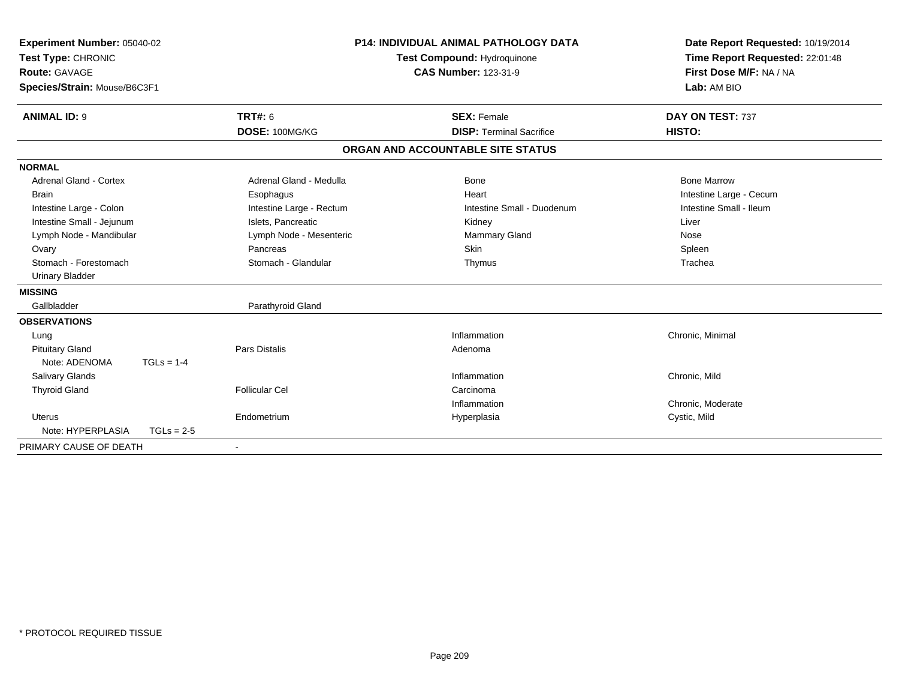| Experiment Number: 05040-02<br>Test Type: CHRONIC<br><b>Route: GAVAGE</b><br>Species/Strain: Mouse/B6C3F1 |              |                          | P14: INDIVIDUAL ANIMAL PATHOLOGY DATA<br>Test Compound: Hydroquinone<br><b>CAS Number: 123-31-9</b> |                                   | Date Report Requested: 10/19/2014<br>Time Report Requested: 22:01:48<br>First Dose M/F: NA / NA<br>Lab: AM BIO |  |
|-----------------------------------------------------------------------------------------------------------|--------------|--------------------------|-----------------------------------------------------------------------------------------------------|-----------------------------------|----------------------------------------------------------------------------------------------------------------|--|
| <b>ANIMAL ID: 9</b>                                                                                       |              | <b>TRT#: 6</b>           |                                                                                                     | <b>SEX: Female</b>                | DAY ON TEST: 737                                                                                               |  |
|                                                                                                           |              | DOSE: 100MG/KG           |                                                                                                     | <b>DISP: Terminal Sacrifice</b>   | HISTO:                                                                                                         |  |
|                                                                                                           |              |                          |                                                                                                     | ORGAN AND ACCOUNTABLE SITE STATUS |                                                                                                                |  |
| <b>NORMAL</b>                                                                                             |              |                          |                                                                                                     |                                   |                                                                                                                |  |
| <b>Adrenal Gland - Cortex</b>                                                                             |              | Adrenal Gland - Medulla  |                                                                                                     | <b>Bone</b>                       | <b>Bone Marrow</b>                                                                                             |  |
| <b>Brain</b>                                                                                              |              | Esophagus                |                                                                                                     | Heart                             | Intestine Large - Cecum                                                                                        |  |
| Intestine Large - Colon                                                                                   |              | Intestine Large - Rectum |                                                                                                     | Intestine Small - Duodenum        | Intestine Small - Ileum                                                                                        |  |
| Intestine Small - Jejunum                                                                                 |              | Islets, Pancreatic       |                                                                                                     | Kidney                            | Liver                                                                                                          |  |
| Lymph Node - Mandibular                                                                                   |              | Lymph Node - Mesenteric  |                                                                                                     | <b>Mammary Gland</b>              | Nose                                                                                                           |  |
| Ovary                                                                                                     |              | Pancreas                 |                                                                                                     | <b>Skin</b>                       | Spleen                                                                                                         |  |
| Stomach - Forestomach                                                                                     |              | Stomach - Glandular      |                                                                                                     | Thymus                            | Trachea                                                                                                        |  |
| <b>Urinary Bladder</b>                                                                                    |              |                          |                                                                                                     |                                   |                                                                                                                |  |
| <b>MISSING</b>                                                                                            |              |                          |                                                                                                     |                                   |                                                                                                                |  |
| Gallbladder                                                                                               |              | Parathyroid Gland        |                                                                                                     |                                   |                                                                                                                |  |
| <b>OBSERVATIONS</b>                                                                                       |              |                          |                                                                                                     |                                   |                                                                                                                |  |
| Lung                                                                                                      |              |                          |                                                                                                     | Inflammation                      | Chronic, Minimal                                                                                               |  |
| <b>Pituitary Gland</b>                                                                                    |              | <b>Pars Distalis</b>     |                                                                                                     | Adenoma                           |                                                                                                                |  |
| Note: ADENOMA                                                                                             | $TGLs = 1-4$ |                          |                                                                                                     |                                   |                                                                                                                |  |
| Salivary Glands                                                                                           |              |                          |                                                                                                     | Inflammation                      | Chronic, Mild                                                                                                  |  |
| <b>Thyroid Gland</b>                                                                                      |              | <b>Follicular Cel</b>    |                                                                                                     | Carcinoma                         |                                                                                                                |  |
|                                                                                                           |              |                          |                                                                                                     | Inflammation                      | Chronic, Moderate                                                                                              |  |
| Uterus                                                                                                    |              | Endometrium              |                                                                                                     | Hyperplasia                       | Cystic, Mild                                                                                                   |  |
| Note: HYPERPLASIA                                                                                         | $TGLs = 2-5$ |                          |                                                                                                     |                                   |                                                                                                                |  |
| PRIMARY CAUSE OF DEATH                                                                                    |              |                          |                                                                                                     |                                   |                                                                                                                |  |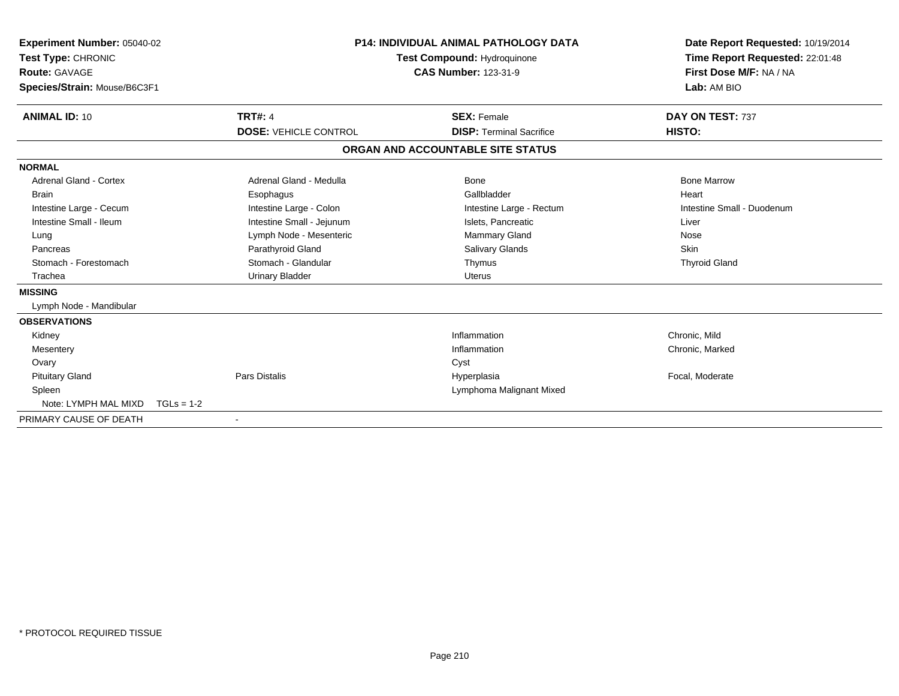| <b>Experiment Number: 05040-02</b><br>Test Type: CHRONIC<br>Route: GAVAGE<br>Species/Strain: Mouse/B6C3F1 |                              | <b>P14: INDIVIDUAL ANIMAL PATHOLOGY DATA</b><br>Test Compound: Hydroquinone<br><b>CAS Number: 123-31-9</b> | Date Report Requested: 10/19/2014<br>Time Report Requested: 22:01:48<br>First Dose M/F: NA / NA<br>Lab: AM BIO |
|-----------------------------------------------------------------------------------------------------------|------------------------------|------------------------------------------------------------------------------------------------------------|----------------------------------------------------------------------------------------------------------------|
| <b>ANIMAL ID: 10</b>                                                                                      | <b>TRT#: 4</b>               | <b>SEX: Female</b>                                                                                         | DAY ON TEST: 737                                                                                               |
|                                                                                                           | <b>DOSE: VEHICLE CONTROL</b> | <b>DISP: Terminal Sacrifice</b>                                                                            | HISTO:                                                                                                         |
|                                                                                                           |                              | ORGAN AND ACCOUNTABLE SITE STATUS                                                                          |                                                                                                                |
| <b>NORMAL</b>                                                                                             |                              |                                                                                                            |                                                                                                                |
| <b>Adrenal Gland - Cortex</b>                                                                             | Adrenal Gland - Medulla      | <b>Bone</b>                                                                                                | <b>Bone Marrow</b>                                                                                             |
| <b>Brain</b>                                                                                              | Esophagus                    | Gallbladder                                                                                                | Heart                                                                                                          |
| Intestine Large - Cecum                                                                                   | Intestine Large - Colon      | Intestine Large - Rectum                                                                                   | Intestine Small - Duodenum                                                                                     |
| Intestine Small - Ileum                                                                                   | Intestine Small - Jejunum    | Islets, Pancreatic                                                                                         | Liver                                                                                                          |
| Lung                                                                                                      | Lymph Node - Mesenteric      | Mammary Gland                                                                                              | Nose                                                                                                           |
| Pancreas                                                                                                  | Parathyroid Gland            | Salivary Glands                                                                                            | <b>Skin</b>                                                                                                    |
| Stomach - Forestomach                                                                                     | Stomach - Glandular          | Thymus                                                                                                     | <b>Thyroid Gland</b>                                                                                           |
| Trachea                                                                                                   | <b>Urinary Bladder</b>       | <b>Uterus</b>                                                                                              |                                                                                                                |
| <b>MISSING</b>                                                                                            |                              |                                                                                                            |                                                                                                                |
| Lymph Node - Mandibular                                                                                   |                              |                                                                                                            |                                                                                                                |
| <b>OBSERVATIONS</b>                                                                                       |                              |                                                                                                            |                                                                                                                |
| Kidney                                                                                                    |                              | Inflammation                                                                                               | Chronic, Mild                                                                                                  |
| Mesentery                                                                                                 |                              | Inflammation                                                                                               | Chronic, Marked                                                                                                |
| Ovary                                                                                                     |                              | Cyst                                                                                                       |                                                                                                                |
| <b>Pituitary Gland</b>                                                                                    | <b>Pars Distalis</b>         | Hyperplasia                                                                                                | Focal, Moderate                                                                                                |
| Spleen                                                                                                    |                              | Lymphoma Malignant Mixed                                                                                   |                                                                                                                |
| Note: LYMPH MAL MIXD                                                                                      | $TGLs = 1-2$                 |                                                                                                            |                                                                                                                |
| PRIMARY CAUSE OF DEATH                                                                                    |                              |                                                                                                            |                                                                                                                |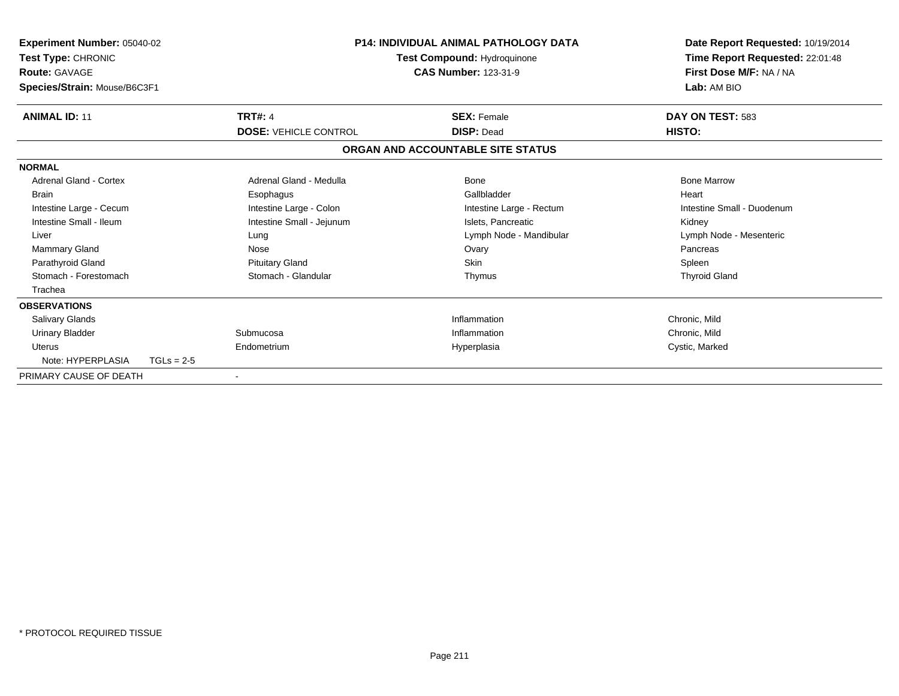| <b>Experiment Number: 05040-02</b><br>Test Type: CHRONIC<br><b>Route: GAVAGE</b><br>Species/Strain: Mouse/B6C3F1 |              |                              | <b>P14: INDIVIDUAL ANIMAL PATHOLOGY DATA</b><br>Test Compound: Hydroquinone<br><b>CAS Number: 123-31-9</b> | Date Report Requested: 10/19/2014<br>Time Report Requested: 22:01:48<br>First Dose M/F: NA / NA<br>Lab: AM BIO |
|------------------------------------------------------------------------------------------------------------------|--------------|------------------------------|------------------------------------------------------------------------------------------------------------|----------------------------------------------------------------------------------------------------------------|
| <b>ANIMAL ID: 11</b>                                                                                             |              | <b>TRT#: 4</b>               | <b>SEX: Female</b>                                                                                         | DAY ON TEST: 583                                                                                               |
|                                                                                                                  |              | <b>DOSE: VEHICLE CONTROL</b> | <b>DISP: Dead</b>                                                                                          | HISTO:                                                                                                         |
|                                                                                                                  |              |                              | ORGAN AND ACCOUNTABLE SITE STATUS                                                                          |                                                                                                                |
| <b>NORMAL</b>                                                                                                    |              |                              |                                                                                                            |                                                                                                                |
| Adrenal Gland - Cortex                                                                                           |              | Adrenal Gland - Medulla      | <b>Bone</b>                                                                                                | <b>Bone Marrow</b>                                                                                             |
| <b>Brain</b>                                                                                                     |              | Esophagus                    | Gallbladder                                                                                                | Heart                                                                                                          |
| Intestine Large - Cecum                                                                                          |              | Intestine Large - Colon      | Intestine Large - Rectum                                                                                   | Intestine Small - Duodenum                                                                                     |
| Intestine Small - Ileum                                                                                          |              | Intestine Small - Jejunum    | Islets, Pancreatic                                                                                         | Kidney                                                                                                         |
| Liver                                                                                                            |              | Lung                         | Lymph Node - Mandibular                                                                                    | Lymph Node - Mesenteric                                                                                        |
| <b>Mammary Gland</b>                                                                                             |              | Nose                         | Ovary                                                                                                      | Pancreas                                                                                                       |
| Parathyroid Gland                                                                                                |              | <b>Pituitary Gland</b>       | <b>Skin</b>                                                                                                | Spleen                                                                                                         |
| Stomach - Forestomach                                                                                            |              | Stomach - Glandular          | Thymus                                                                                                     | <b>Thyroid Gland</b>                                                                                           |
| Trachea                                                                                                          |              |                              |                                                                                                            |                                                                                                                |
| <b>OBSERVATIONS</b>                                                                                              |              |                              |                                                                                                            |                                                                                                                |
| Salivary Glands                                                                                                  |              |                              | Inflammation                                                                                               | Chronic, Mild                                                                                                  |
| <b>Urinary Bladder</b>                                                                                           |              | Submucosa                    | Inflammation                                                                                               | Chronic, Mild                                                                                                  |
| <b>Uterus</b>                                                                                                    |              | Endometrium                  | Hyperplasia                                                                                                | Cystic, Marked                                                                                                 |
| Note: HYPERPLASIA                                                                                                | $TGLs = 2-5$ |                              |                                                                                                            |                                                                                                                |
| PRIMARY CAUSE OF DEATH                                                                                           |              |                              |                                                                                                            |                                                                                                                |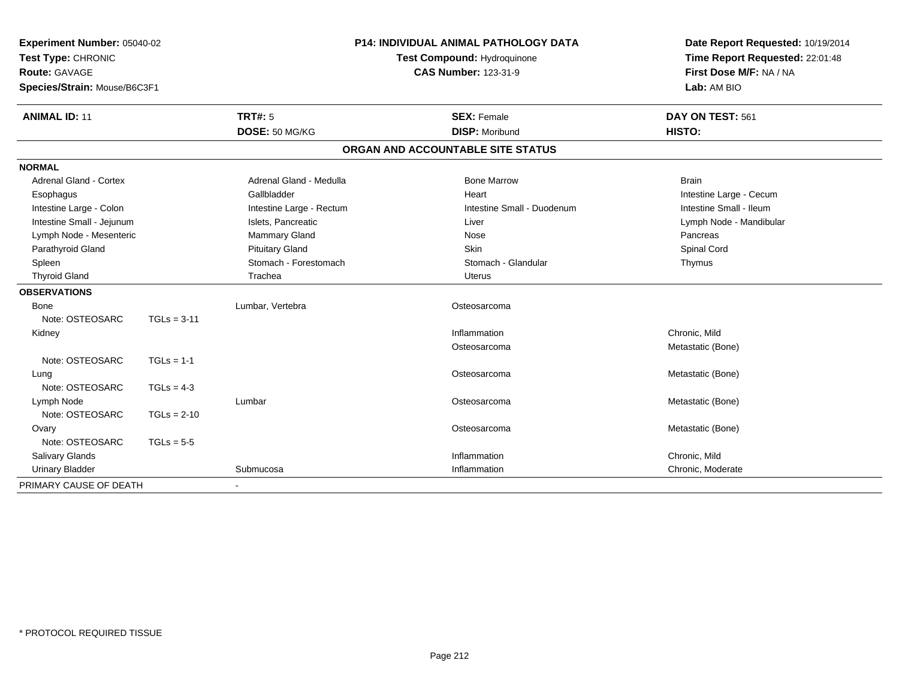| Experiment Number: 05040-02<br>Test Type: CHRONIC<br><b>Route: GAVAGE</b><br>Species/Strain: Mouse/B6C3F1 |               | <b>P14: INDIVIDUAL ANIMAL PATHOLOGY DATA</b><br>Test Compound: Hydroquinone<br><b>CAS Number: 123-31-9</b> |                                   | Date Report Requested: 10/19/2014<br>Time Report Requested: 22:01:48<br>First Dose M/F: NA / NA<br>Lab: AM BIO |  |
|-----------------------------------------------------------------------------------------------------------|---------------|------------------------------------------------------------------------------------------------------------|-----------------------------------|----------------------------------------------------------------------------------------------------------------|--|
| <b>ANIMAL ID: 11</b>                                                                                      |               | TRT#: 5                                                                                                    | <b>SEX: Female</b>                | DAY ON TEST: 561                                                                                               |  |
|                                                                                                           |               | DOSE: 50 MG/KG                                                                                             | <b>DISP: Moribund</b>             | HISTO:                                                                                                         |  |
|                                                                                                           |               |                                                                                                            | ORGAN AND ACCOUNTABLE SITE STATUS |                                                                                                                |  |
| <b>NORMAL</b>                                                                                             |               |                                                                                                            |                                   |                                                                                                                |  |
| Adrenal Gland - Cortex                                                                                    |               | Adrenal Gland - Medulla                                                                                    | <b>Bone Marrow</b>                | <b>Brain</b>                                                                                                   |  |
| Esophagus                                                                                                 |               | Gallbladder                                                                                                | Heart                             | Intestine Large - Cecum                                                                                        |  |
| Intestine Large - Colon                                                                                   |               | Intestine Large - Rectum                                                                                   | Intestine Small - Duodenum        | Intestine Small - Ileum                                                                                        |  |
| Intestine Small - Jejunum                                                                                 |               | Islets, Pancreatic                                                                                         | Liver                             | Lymph Node - Mandibular                                                                                        |  |
| Lymph Node - Mesenteric                                                                                   |               | Mammary Gland                                                                                              | Nose                              | Pancreas                                                                                                       |  |
| Parathyroid Gland                                                                                         |               | <b>Pituitary Gland</b>                                                                                     | Skin                              | Spinal Cord                                                                                                    |  |
| Spleen                                                                                                    |               | Stomach - Forestomach                                                                                      | Stomach - Glandular               | Thymus                                                                                                         |  |
| <b>Thyroid Gland</b>                                                                                      |               | Trachea                                                                                                    | <b>Uterus</b>                     |                                                                                                                |  |
| <b>OBSERVATIONS</b>                                                                                       |               |                                                                                                            |                                   |                                                                                                                |  |
| <b>Bone</b>                                                                                               |               | Lumbar, Vertebra                                                                                           | Osteosarcoma                      |                                                                                                                |  |
| Note: OSTEOSARC                                                                                           | $TGLs = 3-11$ |                                                                                                            |                                   |                                                                                                                |  |
| Kidney                                                                                                    |               |                                                                                                            | Inflammation                      | Chronic, Mild                                                                                                  |  |
|                                                                                                           |               |                                                                                                            | Osteosarcoma                      | Metastatic (Bone)                                                                                              |  |
| Note: OSTEOSARC                                                                                           | $TGLs = 1-1$  |                                                                                                            |                                   |                                                                                                                |  |
| Lung                                                                                                      |               |                                                                                                            | Osteosarcoma                      | Metastatic (Bone)                                                                                              |  |
| Note: OSTEOSARC                                                                                           | $TGLs = 4-3$  |                                                                                                            |                                   |                                                                                                                |  |
| Lymph Node                                                                                                |               | Lumbar                                                                                                     | Osteosarcoma                      | Metastatic (Bone)                                                                                              |  |
| Note: OSTEOSARC                                                                                           | $TGLs = 2-10$ |                                                                                                            |                                   |                                                                                                                |  |
| Ovary                                                                                                     |               |                                                                                                            | Osteosarcoma                      | Metastatic (Bone)                                                                                              |  |
| Note: OSTEOSARC                                                                                           | $TGLs = 5-5$  |                                                                                                            |                                   |                                                                                                                |  |
| Salivary Glands                                                                                           |               |                                                                                                            | Inflammation                      | Chronic, Mild                                                                                                  |  |
| <b>Urinary Bladder</b>                                                                                    |               | Submucosa                                                                                                  | Inflammation                      | Chronic, Moderate                                                                                              |  |
| PRIMARY CAUSE OF DEATH                                                                                    |               | $\blacksquare$                                                                                             |                                   |                                                                                                                |  |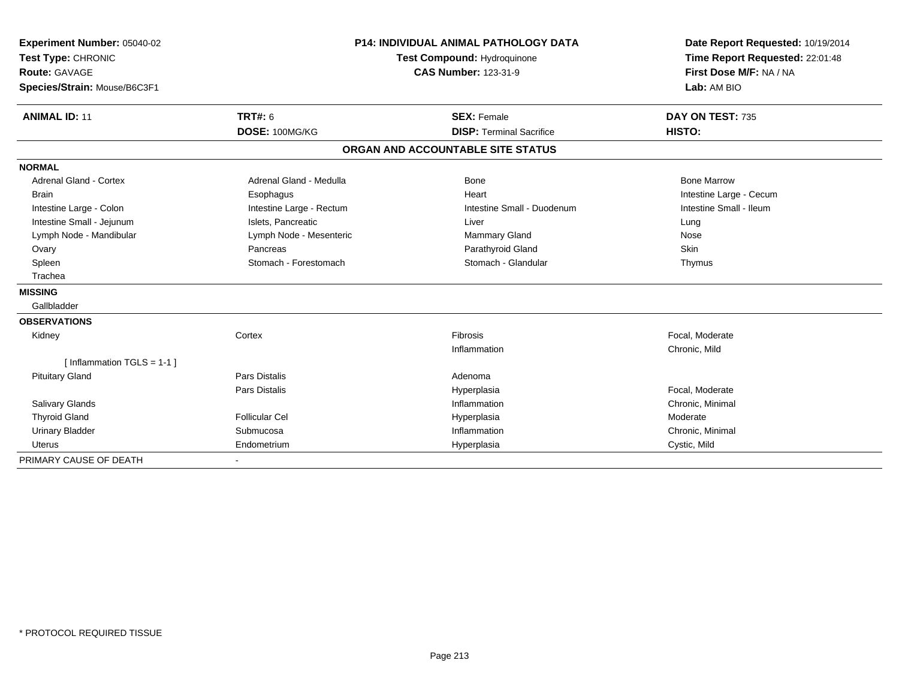| Experiment Number: 05040-02<br>Test Type: CHRONIC<br><b>Route: GAVAGE</b><br>Species/Strain: Mouse/B6C3F1 |                                  | <b>P14: INDIVIDUAL ANIMAL PATHOLOGY DATA</b><br><b>Test Compound: Hydroquinone</b><br><b>CAS Number: 123-31-9</b> | Date Report Requested: 10/19/2014<br>Time Report Requested: 22:01:48<br>First Dose M/F: NA / NA<br>Lab: AM BIO |
|-----------------------------------------------------------------------------------------------------------|----------------------------------|-------------------------------------------------------------------------------------------------------------------|----------------------------------------------------------------------------------------------------------------|
| <b>ANIMAL ID: 11</b>                                                                                      | <b>TRT#: 6</b><br>DOSE: 100MG/KG | <b>SEX: Female</b><br><b>DISP: Terminal Sacrifice</b>                                                             | DAY ON TEST: 735<br>HISTO:                                                                                     |
|                                                                                                           |                                  | ORGAN AND ACCOUNTABLE SITE STATUS                                                                                 |                                                                                                                |
| <b>NORMAL</b>                                                                                             |                                  |                                                                                                                   |                                                                                                                |
| Adrenal Gland - Cortex                                                                                    | Adrenal Gland - Medulla          | Bone                                                                                                              | <b>Bone Marrow</b>                                                                                             |
| <b>Brain</b>                                                                                              | Esophagus                        | Heart                                                                                                             | Intestine Large - Cecum                                                                                        |
| Intestine Large - Colon                                                                                   | Intestine Large - Rectum         | Intestine Small - Duodenum                                                                                        | Intestine Small - Ileum                                                                                        |
| Intestine Small - Jejunum                                                                                 | Islets, Pancreatic               | Liver                                                                                                             | Lung                                                                                                           |
| Lymph Node - Mandibular                                                                                   | Lymph Node - Mesenteric          | Mammary Gland                                                                                                     | Nose                                                                                                           |
| Ovary                                                                                                     | Pancreas                         | Parathyroid Gland                                                                                                 | Skin                                                                                                           |
| Spleen                                                                                                    | Stomach - Forestomach            | Stomach - Glandular                                                                                               | Thymus                                                                                                         |
| Trachea                                                                                                   |                                  |                                                                                                                   |                                                                                                                |
| <b>MISSING</b>                                                                                            |                                  |                                                                                                                   |                                                                                                                |
| Gallbladder                                                                                               |                                  |                                                                                                                   |                                                                                                                |
| <b>OBSERVATIONS</b>                                                                                       |                                  |                                                                                                                   |                                                                                                                |
| Kidney                                                                                                    | Cortex                           | Fibrosis                                                                                                          | Focal, Moderate                                                                                                |
|                                                                                                           |                                  | Inflammation                                                                                                      | Chronic, Mild                                                                                                  |
| [Inflammation TGLS = $1-1$ ]                                                                              |                                  |                                                                                                                   |                                                                                                                |
| <b>Pituitary Gland</b>                                                                                    | <b>Pars Distalis</b>             | Adenoma                                                                                                           |                                                                                                                |
|                                                                                                           | Pars Distalis                    | Hyperplasia                                                                                                       | Focal, Moderate                                                                                                |
| <b>Salivary Glands</b>                                                                                    |                                  | Inflammation                                                                                                      | Chronic, Minimal                                                                                               |
| <b>Thyroid Gland</b>                                                                                      | <b>Follicular Cel</b>            | Hyperplasia                                                                                                       | Moderate                                                                                                       |
| <b>Urinary Bladder</b>                                                                                    | Submucosa                        | Inflammation                                                                                                      | Chronic, Minimal                                                                                               |
| Uterus                                                                                                    | Endometrium                      | Hyperplasia                                                                                                       | Cystic, Mild                                                                                                   |
| PRIMARY CAUSE OF DEATH                                                                                    |                                  |                                                                                                                   |                                                                                                                |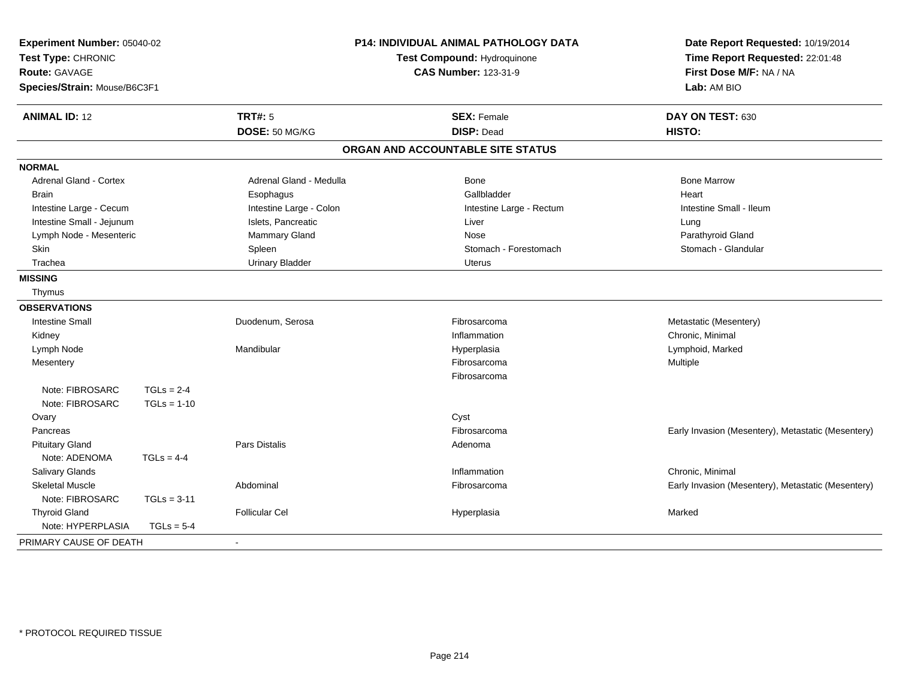| Experiment Number: 05040-02<br>Test Type: CHRONIC<br><b>Route: GAVAGE</b><br>Species/Strain: Mouse/B6C3F1 |               |                         | P14: INDIVIDUAL ANIMAL PATHOLOGY DATA<br>Test Compound: Hydroquinone<br><b>CAS Number: 123-31-9</b> | Date Report Requested: 10/19/2014<br>Time Report Requested: 22:01:48<br>First Dose M/F: NA / NA<br>Lab: AM BIO |  |
|-----------------------------------------------------------------------------------------------------------|---------------|-------------------------|-----------------------------------------------------------------------------------------------------|----------------------------------------------------------------------------------------------------------------|--|
| <b>ANIMAL ID: 12</b>                                                                                      |               | <b>TRT#: 5</b>          | <b>SEX: Female</b>                                                                                  | DAY ON TEST: 630                                                                                               |  |
|                                                                                                           |               | DOSE: 50 MG/KG          | <b>DISP: Dead</b>                                                                                   | HISTO:                                                                                                         |  |
|                                                                                                           |               |                         | ORGAN AND ACCOUNTABLE SITE STATUS                                                                   |                                                                                                                |  |
| <b>NORMAL</b>                                                                                             |               |                         |                                                                                                     |                                                                                                                |  |
| Adrenal Gland - Cortex                                                                                    |               | Adrenal Gland - Medulla | Bone                                                                                                | <b>Bone Marrow</b>                                                                                             |  |
| <b>Brain</b>                                                                                              |               | Esophagus               | Gallbladder                                                                                         | Heart                                                                                                          |  |
| Intestine Large - Cecum                                                                                   |               | Intestine Large - Colon | Intestine Large - Rectum                                                                            | Intestine Small - Ileum                                                                                        |  |
| Intestine Small - Jejunum                                                                                 |               | Islets, Pancreatic      | Liver                                                                                               | Lung                                                                                                           |  |
| Lymph Node - Mesenteric                                                                                   |               | Mammary Gland           | Nose                                                                                                | Parathyroid Gland                                                                                              |  |
| Skin                                                                                                      |               | Spleen                  | Stomach - Forestomach                                                                               | Stomach - Glandular                                                                                            |  |
| Trachea                                                                                                   |               | <b>Urinary Bladder</b>  | <b>Uterus</b>                                                                                       |                                                                                                                |  |
| <b>MISSING</b>                                                                                            |               |                         |                                                                                                     |                                                                                                                |  |
| Thymus                                                                                                    |               |                         |                                                                                                     |                                                                                                                |  |
| <b>OBSERVATIONS</b>                                                                                       |               |                         |                                                                                                     |                                                                                                                |  |
| <b>Intestine Small</b>                                                                                    |               | Duodenum, Serosa        | Fibrosarcoma                                                                                        | Metastatic (Mesentery)                                                                                         |  |
| Kidney                                                                                                    |               |                         | Inflammation                                                                                        | Chronic, Minimal                                                                                               |  |
| Lymph Node                                                                                                |               | Mandibular              | Hyperplasia                                                                                         | Lymphoid, Marked                                                                                               |  |
| Mesentery                                                                                                 |               |                         | Fibrosarcoma                                                                                        | Multiple                                                                                                       |  |
|                                                                                                           |               |                         | Fibrosarcoma                                                                                        |                                                                                                                |  |
| Note: FIBROSARC                                                                                           | $TGLs = 2-4$  |                         |                                                                                                     |                                                                                                                |  |
| Note: FIBROSARC                                                                                           | $TGLs = 1-10$ |                         |                                                                                                     |                                                                                                                |  |
| Ovary                                                                                                     |               |                         | Cyst                                                                                                |                                                                                                                |  |
| Pancreas                                                                                                  |               |                         | Fibrosarcoma                                                                                        | Early Invasion (Mesentery), Metastatic (Mesentery)                                                             |  |
| <b>Pituitary Gland</b>                                                                                    |               | Pars Distalis           | Adenoma                                                                                             |                                                                                                                |  |
| Note: ADENOMA                                                                                             | $TGLs = 4-4$  |                         |                                                                                                     |                                                                                                                |  |
| <b>Salivary Glands</b>                                                                                    |               |                         | Inflammation                                                                                        | Chronic. Minimal                                                                                               |  |
| <b>Skeletal Muscle</b>                                                                                    |               | Abdominal               | Fibrosarcoma                                                                                        | Early Invasion (Mesentery), Metastatic (Mesentery)                                                             |  |
| Note: FIBROSARC                                                                                           | $TGLs = 3-11$ |                         |                                                                                                     |                                                                                                                |  |
| <b>Thyroid Gland</b>                                                                                      |               | <b>Follicular Cel</b>   | Hyperplasia                                                                                         | Marked                                                                                                         |  |
| Note: HYPERPLASIA                                                                                         | $TGLs = 5-4$  |                         |                                                                                                     |                                                                                                                |  |
| PRIMARY CAUSE OF DEATH                                                                                    |               | $\sim$                  |                                                                                                     |                                                                                                                |  |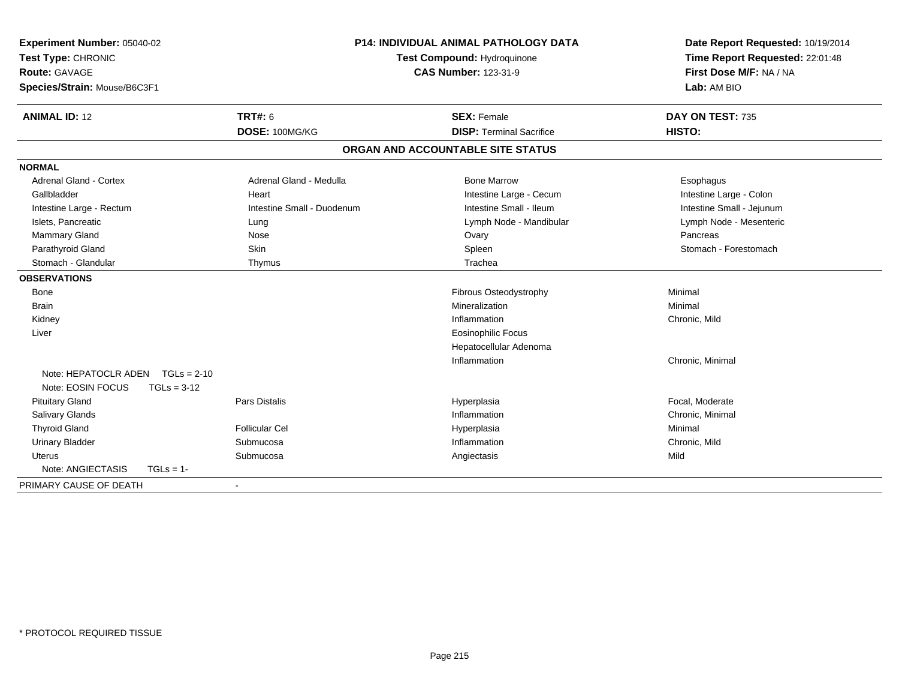| Experiment Number: 05040-02<br>Test Type: CHRONIC<br><b>Route: GAVAGE</b><br>Species/Strain: Mouse/B6C3F1 |               |                            | <b>P14: INDIVIDUAL ANIMAL PATHOLOGY DATA</b><br>Test Compound: Hydroquinone<br><b>CAS Number: 123-31-9</b> |                                 | Date Report Requested: 10/19/2014<br>Time Report Requested: 22:01:48<br>First Dose M/F: NA / NA<br>Lab: AM BIO |
|-----------------------------------------------------------------------------------------------------------|---------------|----------------------------|------------------------------------------------------------------------------------------------------------|---------------------------------|----------------------------------------------------------------------------------------------------------------|
| <b>ANIMAL ID: 12</b>                                                                                      |               | <b>TRT#: 6</b>             |                                                                                                            | <b>SEX: Female</b>              | DAY ON TEST: 735                                                                                               |
|                                                                                                           |               | DOSE: 100MG/KG             |                                                                                                            | <b>DISP: Terminal Sacrifice</b> | HISTO:                                                                                                         |
|                                                                                                           |               |                            | ORGAN AND ACCOUNTABLE SITE STATUS                                                                          |                                 |                                                                                                                |
| <b>NORMAL</b>                                                                                             |               |                            |                                                                                                            |                                 |                                                                                                                |
| <b>Adrenal Gland - Cortex</b>                                                                             |               | Adrenal Gland - Medulla    |                                                                                                            | <b>Bone Marrow</b>              | Esophagus                                                                                                      |
| Gallbladder                                                                                               |               | Heart                      |                                                                                                            | Intestine Large - Cecum         | Intestine Large - Colon                                                                                        |
| Intestine Large - Rectum                                                                                  |               | Intestine Small - Duodenum |                                                                                                            | Intestine Small - Ileum         | Intestine Small - Jejunum                                                                                      |
| Islets, Pancreatic                                                                                        |               | Lung                       |                                                                                                            | Lymph Node - Mandibular         | Lymph Node - Mesenteric                                                                                        |
| <b>Mammary Gland</b>                                                                                      |               | Nose                       |                                                                                                            | Ovary                           | Pancreas                                                                                                       |
| Parathyroid Gland                                                                                         |               | Skin                       |                                                                                                            | Spleen                          | Stomach - Forestomach                                                                                          |
| Stomach - Glandular                                                                                       |               | Thymus                     |                                                                                                            | Trachea                         |                                                                                                                |
| <b>OBSERVATIONS</b>                                                                                       |               |                            |                                                                                                            |                                 |                                                                                                                |
| <b>Bone</b>                                                                                               |               |                            |                                                                                                            | <b>Fibrous Osteodystrophy</b>   | Minimal                                                                                                        |
| <b>Brain</b>                                                                                              |               |                            |                                                                                                            | Mineralization                  | Minimal                                                                                                        |
| Kidney                                                                                                    |               |                            |                                                                                                            | Inflammation                    | Chronic, Mild                                                                                                  |
| Liver                                                                                                     |               |                            |                                                                                                            | <b>Eosinophilic Focus</b>       |                                                                                                                |
|                                                                                                           |               |                            |                                                                                                            | Hepatocellular Adenoma          |                                                                                                                |
|                                                                                                           |               |                            |                                                                                                            | Inflammation                    | Chronic, Minimal                                                                                               |
| Note: HEPATOCLR ADEN TGLs = 2-10                                                                          |               |                            |                                                                                                            |                                 |                                                                                                                |
| Note: EOSIN FOCUS                                                                                         | $TGLs = 3-12$ |                            |                                                                                                            |                                 |                                                                                                                |
| <b>Pituitary Gland</b>                                                                                    |               | <b>Pars Distalis</b>       |                                                                                                            | Hyperplasia                     | Focal, Moderate                                                                                                |
| <b>Salivary Glands</b>                                                                                    |               |                            |                                                                                                            | Inflammation                    | Chronic, Minimal                                                                                               |
| <b>Thyroid Gland</b>                                                                                      |               | <b>Follicular Cel</b>      |                                                                                                            | Hyperplasia                     | Minimal                                                                                                        |
| <b>Urinary Bladder</b>                                                                                    |               | Submucosa                  |                                                                                                            | Inflammation                    | Chronic, Mild                                                                                                  |
| Uterus                                                                                                    |               | Submucosa                  |                                                                                                            | Angiectasis                     | Mild                                                                                                           |
| Note: ANGIECTASIS                                                                                         | $TGLs = 1$ -  |                            |                                                                                                            |                                 |                                                                                                                |
| PRIMARY CAUSE OF DEATH                                                                                    |               | $\blacksquare$             |                                                                                                            |                                 |                                                                                                                |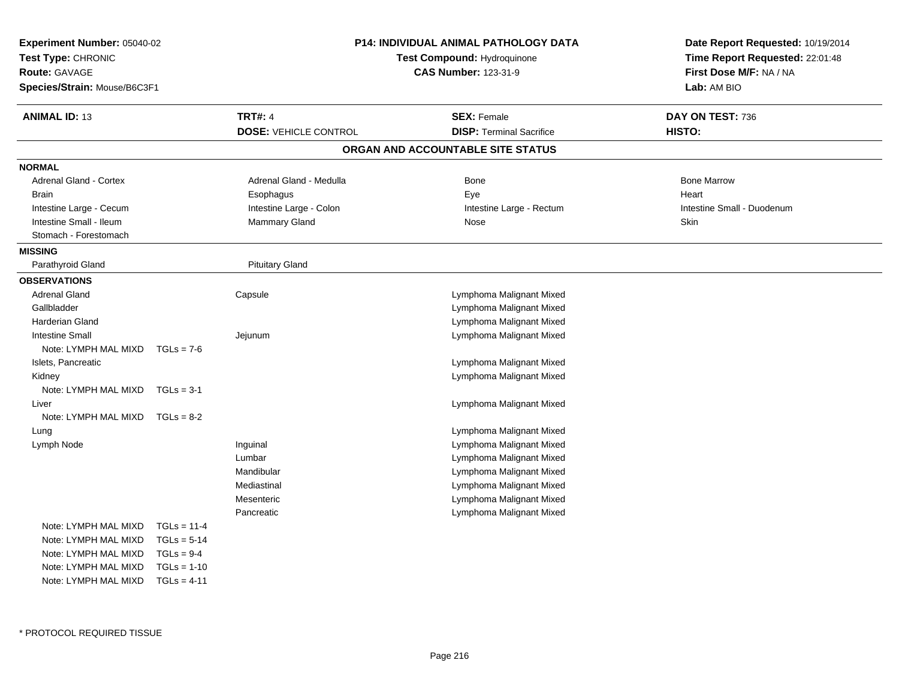| <b>Experiment Number: 05040-02</b><br>Test Type: CHRONIC<br>Route: GAVAGE<br>Species/Strain: Mouse/B6C3F1 |               | P14: INDIVIDUAL ANIMAL PATHOLOGY DATA<br>Test Compound: Hydroquinone<br><b>CAS Number: 123-31-9</b> |                                   | Date Report Requested: 10/19/2014<br>Time Report Requested: 22:01:48<br>First Dose M/F: NA / NA<br>Lab: AM BIO |  |
|-----------------------------------------------------------------------------------------------------------|---------------|-----------------------------------------------------------------------------------------------------|-----------------------------------|----------------------------------------------------------------------------------------------------------------|--|
| <b>ANIMAL ID: 13</b>                                                                                      |               | <b>TRT#: 4</b>                                                                                      | <b>SEX: Female</b>                | DAY ON TEST: 736                                                                                               |  |
|                                                                                                           |               | <b>DOSE: VEHICLE CONTROL</b>                                                                        | <b>DISP: Terminal Sacrifice</b>   | HISTO:                                                                                                         |  |
|                                                                                                           |               |                                                                                                     | ORGAN AND ACCOUNTABLE SITE STATUS |                                                                                                                |  |
| <b>NORMAL</b>                                                                                             |               |                                                                                                     |                                   |                                                                                                                |  |
| Adrenal Gland - Cortex                                                                                    |               | Adrenal Gland - Medulla                                                                             | Bone                              | <b>Bone Marrow</b>                                                                                             |  |
| <b>Brain</b>                                                                                              |               | Esophagus                                                                                           | Eye                               | Heart                                                                                                          |  |
| Intestine Large - Cecum                                                                                   |               | Intestine Large - Colon                                                                             | Intestine Large - Rectum          | Intestine Small - Duodenum                                                                                     |  |
| Intestine Small - Ileum                                                                                   |               | Mammary Gland                                                                                       | Nose                              | Skin                                                                                                           |  |
| Stomach - Forestomach                                                                                     |               |                                                                                                     |                                   |                                                                                                                |  |
| <b>MISSING</b>                                                                                            |               |                                                                                                     |                                   |                                                                                                                |  |
| Parathyroid Gland                                                                                         |               | <b>Pituitary Gland</b>                                                                              |                                   |                                                                                                                |  |
| <b>OBSERVATIONS</b>                                                                                       |               |                                                                                                     |                                   |                                                                                                                |  |
| <b>Adrenal Gland</b>                                                                                      |               | Capsule                                                                                             | Lymphoma Malignant Mixed          |                                                                                                                |  |
| Gallbladder                                                                                               |               |                                                                                                     | Lymphoma Malignant Mixed          |                                                                                                                |  |
| Harderian Gland                                                                                           |               |                                                                                                     | Lymphoma Malignant Mixed          |                                                                                                                |  |
| <b>Intestine Small</b>                                                                                    |               | Jejunum                                                                                             | Lymphoma Malignant Mixed          |                                                                                                                |  |
| Note: LYMPH MAL MIXD                                                                                      | $TGLs = 7-6$  |                                                                                                     |                                   |                                                                                                                |  |
| Islets, Pancreatic                                                                                        |               |                                                                                                     | Lymphoma Malignant Mixed          |                                                                                                                |  |
| Kidney                                                                                                    |               |                                                                                                     | Lymphoma Malignant Mixed          |                                                                                                                |  |
| Note: LYMPH MAL MIXD                                                                                      | $TGLs = 3-1$  |                                                                                                     |                                   |                                                                                                                |  |
| Liver                                                                                                     |               |                                                                                                     | Lymphoma Malignant Mixed          |                                                                                                                |  |
| Note: LYMPH MAL MIXD                                                                                      | $TGLs = 8-2$  |                                                                                                     |                                   |                                                                                                                |  |
| Lung                                                                                                      |               |                                                                                                     | Lymphoma Malignant Mixed          |                                                                                                                |  |
| Lymph Node                                                                                                |               | Inguinal                                                                                            | Lymphoma Malignant Mixed          |                                                                                                                |  |
|                                                                                                           |               | Lumbar                                                                                              | Lymphoma Malignant Mixed          |                                                                                                                |  |
|                                                                                                           |               | Mandibular                                                                                          | Lymphoma Malignant Mixed          |                                                                                                                |  |
|                                                                                                           |               | Mediastinal                                                                                         | Lymphoma Malignant Mixed          |                                                                                                                |  |
|                                                                                                           |               | Mesenteric                                                                                          | Lymphoma Malignant Mixed          |                                                                                                                |  |
|                                                                                                           |               | Pancreatic                                                                                          | Lymphoma Malignant Mixed          |                                                                                                                |  |
| Note: LYMPH MAL MIXD                                                                                      | $TGLs = 11-4$ |                                                                                                     |                                   |                                                                                                                |  |
| Note: LYMPH MAL MIXD                                                                                      | $TGLs = 5-14$ |                                                                                                     |                                   |                                                                                                                |  |
| Note: LYMPH MAL MIXD                                                                                      | $TGLs = 9-4$  |                                                                                                     |                                   |                                                                                                                |  |
| Note: LYMPH MAL MIXD                                                                                      | $TGLs = 1-10$ |                                                                                                     |                                   |                                                                                                                |  |
| Note: LYMPH MAL MIXD                                                                                      | $TGLs = 4-11$ |                                                                                                     |                                   |                                                                                                                |  |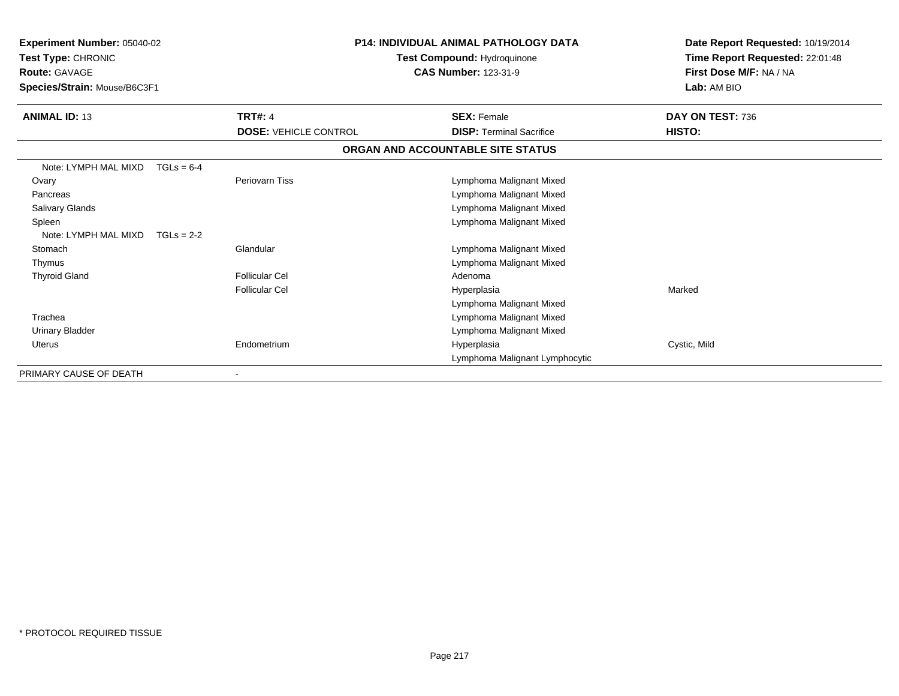| Experiment Number: 05040-02<br>Test Type: CHRONIC<br><b>Route: GAVAGE</b><br>Species/Strain: Mouse/B6C3F1 |                              | P14: INDIVIDUAL ANIMAL PATHOLOGY DATA<br>Test Compound: Hydroquinone<br><b>CAS Number: 123-31-9</b> | Date Report Requested: 10/19/2014<br>Time Report Requested: 22:01:48<br>First Dose M/F: NA / NA<br>Lab: AM BIO |
|-----------------------------------------------------------------------------------------------------------|------------------------------|-----------------------------------------------------------------------------------------------------|----------------------------------------------------------------------------------------------------------------|
| <b>ANIMAL ID: 13</b>                                                                                      | <b>TRT#: 4</b>               | <b>SEX: Female</b>                                                                                  | DAY ON TEST: 736                                                                                               |
|                                                                                                           | <b>DOSE: VEHICLE CONTROL</b> | <b>DISP: Terminal Sacrifice</b>                                                                     | HISTO:                                                                                                         |
|                                                                                                           |                              | ORGAN AND ACCOUNTABLE SITE STATUS                                                                   |                                                                                                                |
| Note: LYMPH MAL MIXD                                                                                      | $TGLs = 6-4$                 |                                                                                                     |                                                                                                                |
| Ovary                                                                                                     | Periovarn Tiss               | Lymphoma Malignant Mixed                                                                            |                                                                                                                |
| Pancreas                                                                                                  |                              | Lymphoma Malignant Mixed                                                                            |                                                                                                                |
| <b>Salivary Glands</b>                                                                                    |                              | Lymphoma Malignant Mixed                                                                            |                                                                                                                |
| Spleen                                                                                                    |                              | Lymphoma Malignant Mixed                                                                            |                                                                                                                |
| Note: LYMPH MAL MIXD                                                                                      | $TGLs = 2-2$                 |                                                                                                     |                                                                                                                |
| Stomach                                                                                                   | Glandular                    | Lymphoma Malignant Mixed                                                                            |                                                                                                                |
| Thymus                                                                                                    |                              | Lymphoma Malignant Mixed                                                                            |                                                                                                                |
| <b>Thyroid Gland</b>                                                                                      | <b>Follicular Cel</b>        | Adenoma                                                                                             |                                                                                                                |
|                                                                                                           | <b>Follicular Cel</b>        | Hyperplasia                                                                                         | Marked                                                                                                         |
|                                                                                                           |                              | Lymphoma Malignant Mixed                                                                            |                                                                                                                |
| Trachea                                                                                                   |                              | Lymphoma Malignant Mixed                                                                            |                                                                                                                |
| <b>Urinary Bladder</b>                                                                                    |                              | Lymphoma Malignant Mixed                                                                            |                                                                                                                |
| <b>Uterus</b>                                                                                             | Endometrium                  | Hyperplasia                                                                                         | Cystic, Mild                                                                                                   |
|                                                                                                           |                              | Lymphoma Malignant Lymphocytic                                                                      |                                                                                                                |
| PRIMARY CAUSE OF DEATH                                                                                    |                              |                                                                                                     |                                                                                                                |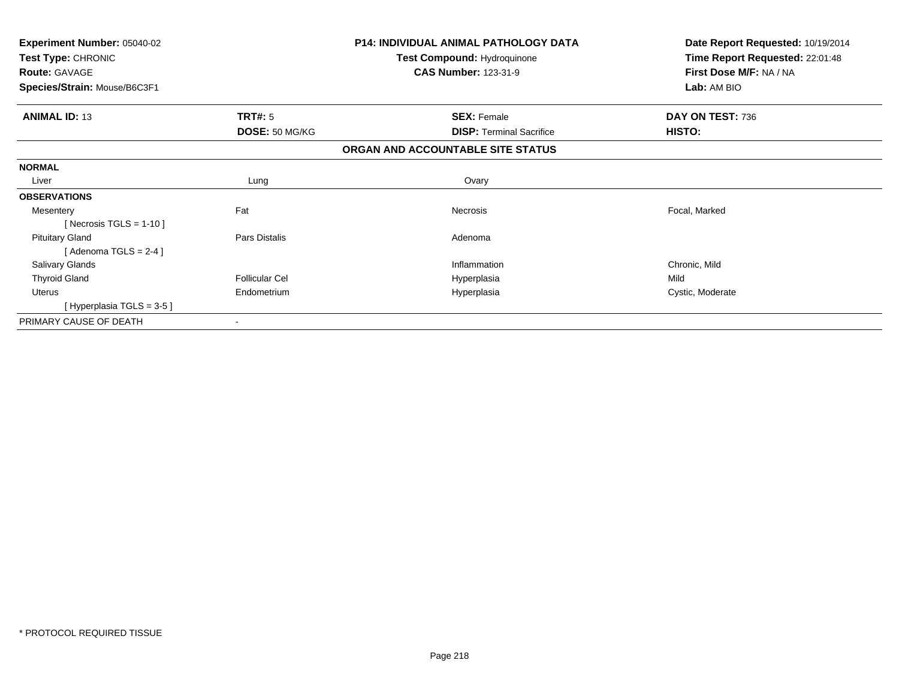| Experiment Number: 05040-02<br>Test Type: CHRONIC<br><b>Route: GAVAGE</b> |                       | <b>P14: INDIVIDUAL ANIMAL PATHOLOGY DATA</b><br><b>Test Compound: Hydroquinone</b><br><b>CAS Number: 123-31-9</b> | Date Report Requested: 10/19/2014<br>Time Report Requested: 22:01:48<br>First Dose M/F: NA / NA |  |
|---------------------------------------------------------------------------|-----------------------|-------------------------------------------------------------------------------------------------------------------|-------------------------------------------------------------------------------------------------|--|
| Species/Strain: Mouse/B6C3F1                                              |                       |                                                                                                                   | Lab: AM BIO                                                                                     |  |
| <b>ANIMAL ID: 13</b>                                                      | <b>TRT#: 5</b>        | <b>SEX: Female</b>                                                                                                | DAY ON TEST: 736                                                                                |  |
|                                                                           | DOSE: 50 MG/KG        | <b>DISP: Terminal Sacrifice</b>                                                                                   | HISTO:                                                                                          |  |
|                                                                           |                       | ORGAN AND ACCOUNTABLE SITE STATUS                                                                                 |                                                                                                 |  |
| <b>NORMAL</b>                                                             |                       |                                                                                                                   |                                                                                                 |  |
| Liver                                                                     | Lung                  | Ovary                                                                                                             |                                                                                                 |  |
| <b>OBSERVATIONS</b>                                                       |                       |                                                                                                                   |                                                                                                 |  |
| Mesentery                                                                 | Fat                   | Necrosis                                                                                                          | Focal, Marked                                                                                   |  |
| [Necrosis TGLS = $1-10$ ]                                                 |                       |                                                                                                                   |                                                                                                 |  |
| <b>Pituitary Gland</b>                                                    | Pars Distalis         | Adenoma                                                                                                           |                                                                                                 |  |
| [Adenoma TGLS = $2-4$ ]                                                   |                       |                                                                                                                   |                                                                                                 |  |
| Salivary Glands                                                           |                       | Inflammation                                                                                                      | Chronic, Mild                                                                                   |  |
| <b>Thyroid Gland</b>                                                      | <b>Follicular Cel</b> | Hyperplasia                                                                                                       | Mild                                                                                            |  |
| Uterus                                                                    | Endometrium           | Hyperplasia                                                                                                       | Cystic, Moderate                                                                                |  |
| [Hyperplasia TGLS = 3-5]                                                  |                       |                                                                                                                   |                                                                                                 |  |
| PRIMARY CAUSE OF DEATH                                                    |                       |                                                                                                                   |                                                                                                 |  |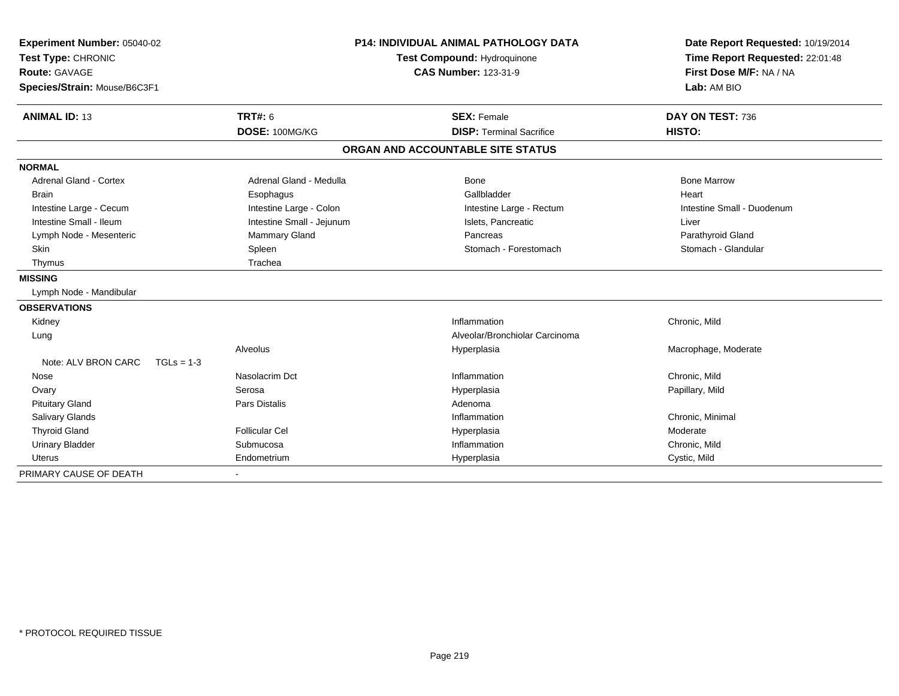| Experiment Number: 05040-02         | P14: INDIVIDUAL ANIMAL PATHOLOGY DATA<br><b>Test Compound: Hydroquinone</b> |                                   | Date Report Requested: 10/19/2014<br>Time Report Requested: 22:01:48 |  |
|-------------------------------------|-----------------------------------------------------------------------------|-----------------------------------|----------------------------------------------------------------------|--|
| Test Type: CHRONIC                  |                                                                             |                                   |                                                                      |  |
| <b>Route: GAVAGE</b>                |                                                                             | <b>CAS Number: 123-31-9</b>       | First Dose M/F: NA / NA                                              |  |
| Species/Strain: Mouse/B6C3F1        |                                                                             |                                   | Lab: AM BIO                                                          |  |
| <b>ANIMAL ID: 13</b>                | TRT#: 6                                                                     | <b>SEX: Female</b>                | DAY ON TEST: 736                                                     |  |
|                                     | DOSE: 100MG/KG                                                              | <b>DISP: Terminal Sacrifice</b>   | HISTO:                                                               |  |
|                                     |                                                                             | ORGAN AND ACCOUNTABLE SITE STATUS |                                                                      |  |
| <b>NORMAL</b>                       |                                                                             |                                   |                                                                      |  |
| <b>Adrenal Gland - Cortex</b>       | Adrenal Gland - Medulla                                                     | Bone                              | <b>Bone Marrow</b>                                                   |  |
| <b>Brain</b>                        | Esophagus                                                                   | Gallbladder                       | Heart                                                                |  |
| Intestine Large - Cecum             | Intestine Large - Colon                                                     | Intestine Large - Rectum          | Intestine Small - Duodenum                                           |  |
| Intestine Small - Ileum             | Intestine Small - Jejunum                                                   | Islets, Pancreatic                | Liver                                                                |  |
| Lymph Node - Mesenteric             | Mammary Gland                                                               | Pancreas                          | Parathyroid Gland                                                    |  |
| Skin                                | Spleen                                                                      | Stomach - Forestomach             | Stomach - Glandular                                                  |  |
| Thymus                              | Trachea                                                                     |                                   |                                                                      |  |
| <b>MISSING</b>                      |                                                                             |                                   |                                                                      |  |
| Lymph Node - Mandibular             |                                                                             |                                   |                                                                      |  |
| <b>OBSERVATIONS</b>                 |                                                                             |                                   |                                                                      |  |
| Kidney                              |                                                                             | Inflammation                      | Chronic, Mild                                                        |  |
| Lung                                |                                                                             | Alveolar/Bronchiolar Carcinoma    |                                                                      |  |
|                                     | Alveolus                                                                    | Hyperplasia                       | Macrophage, Moderate                                                 |  |
| Note: ALV BRON CARC<br>$TGLs = 1-3$ |                                                                             |                                   |                                                                      |  |
| Nose                                | Nasolacrim Dct                                                              | Inflammation                      | Chronic, Mild                                                        |  |
| Ovary                               | Serosa                                                                      | Hyperplasia                       | Papillary, Mild                                                      |  |
| <b>Pituitary Gland</b>              | <b>Pars Distalis</b>                                                        | Adenoma                           |                                                                      |  |
| <b>Salivary Glands</b>              |                                                                             | Inflammation                      | Chronic, Minimal                                                     |  |
| <b>Thyroid Gland</b>                | <b>Follicular Cel</b>                                                       | Hyperplasia                       | Moderate                                                             |  |
| <b>Urinary Bladder</b>              | Submucosa                                                                   | Inflammation                      | Chronic, Mild                                                        |  |
| <b>Uterus</b>                       | Endometrium                                                                 | Hyperplasia                       | Cystic, Mild                                                         |  |
| PRIMARY CAUSE OF DEATH              |                                                                             |                                   |                                                                      |  |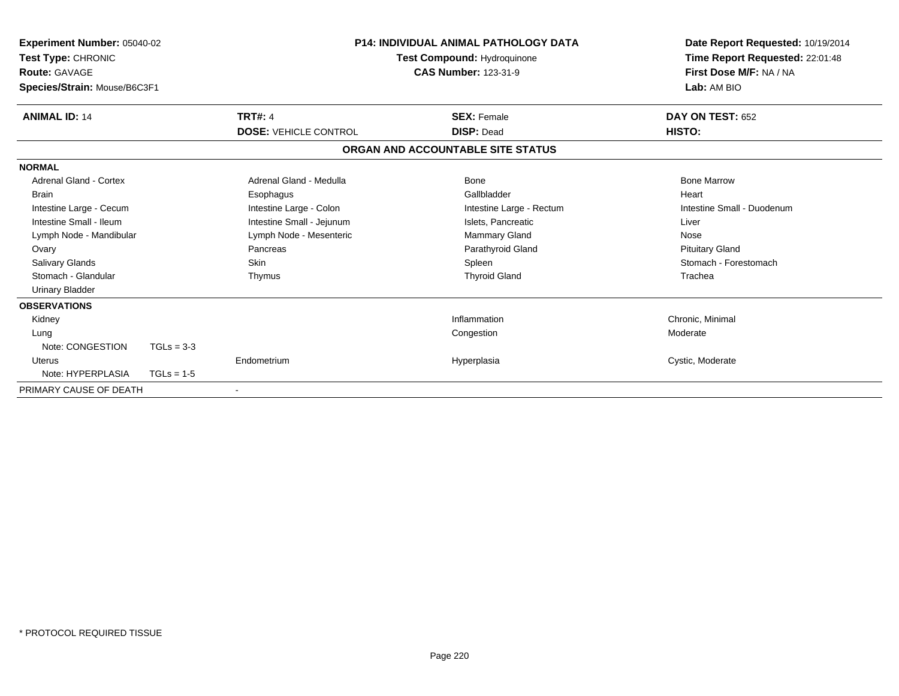| <b>Experiment Number: 05040-02</b><br>Test Type: CHRONIC<br><b>Route: GAVAGE</b><br>Species/Strain: Mouse/B6C3F1 |                              | <b>P14: INDIVIDUAL ANIMAL PATHOLOGY DATA</b><br>Test Compound: Hydroquinone<br><b>CAS Number: 123-31-9</b> | Date Report Requested: 10/19/2014<br>Time Report Requested: 22:01:48<br>First Dose M/F: NA / NA<br>Lab: AM BIO |
|------------------------------------------------------------------------------------------------------------------|------------------------------|------------------------------------------------------------------------------------------------------------|----------------------------------------------------------------------------------------------------------------|
| <b>ANIMAL ID: 14</b>                                                                                             | <b>TRT#: 4</b>               | <b>SEX: Female</b>                                                                                         | DAY ON TEST: 652                                                                                               |
|                                                                                                                  | <b>DOSE: VEHICLE CONTROL</b> | <b>DISP: Dead</b>                                                                                          | HISTO:                                                                                                         |
|                                                                                                                  |                              | ORGAN AND ACCOUNTABLE SITE STATUS                                                                          |                                                                                                                |
| <b>NORMAL</b>                                                                                                    |                              |                                                                                                            |                                                                                                                |
| <b>Adrenal Gland - Cortex</b>                                                                                    | Adrenal Gland - Medulla      | Bone                                                                                                       | <b>Bone Marrow</b>                                                                                             |
| <b>Brain</b>                                                                                                     | Esophagus                    | Gallbladder                                                                                                | Heart                                                                                                          |
| Intestine Large - Cecum                                                                                          | Intestine Large - Colon      | Intestine Large - Rectum                                                                                   | Intestine Small - Duodenum                                                                                     |
| Intestine Small - Ileum                                                                                          | Intestine Small - Jejunum    | Islets, Pancreatic                                                                                         | Liver                                                                                                          |
| Lymph Node - Mandibular                                                                                          | Lymph Node - Mesenteric      | Mammary Gland                                                                                              | Nose                                                                                                           |
| Ovary                                                                                                            | Pancreas                     | Parathyroid Gland                                                                                          | <b>Pituitary Gland</b>                                                                                         |
| <b>Salivary Glands</b>                                                                                           | <b>Skin</b>                  | Spleen                                                                                                     | Stomach - Forestomach                                                                                          |
| Stomach - Glandular                                                                                              | Thymus                       | <b>Thyroid Gland</b>                                                                                       | Trachea                                                                                                        |
| <b>Urinary Bladder</b>                                                                                           |                              |                                                                                                            |                                                                                                                |
| <b>OBSERVATIONS</b>                                                                                              |                              |                                                                                                            |                                                                                                                |
| Kidney                                                                                                           |                              | Inflammation                                                                                               | Chronic, Minimal                                                                                               |
| Lung                                                                                                             |                              | Congestion                                                                                                 | Moderate                                                                                                       |
| Note: CONGESTION                                                                                                 | $TGLs = 3-3$                 |                                                                                                            |                                                                                                                |
| Uterus                                                                                                           | Endometrium                  | Hyperplasia                                                                                                | Cystic, Moderate                                                                                               |
| Note: HYPERPLASIA                                                                                                | $TGLs = 1-5$                 |                                                                                                            |                                                                                                                |
| PRIMARY CAUSE OF DEATH                                                                                           |                              |                                                                                                            |                                                                                                                |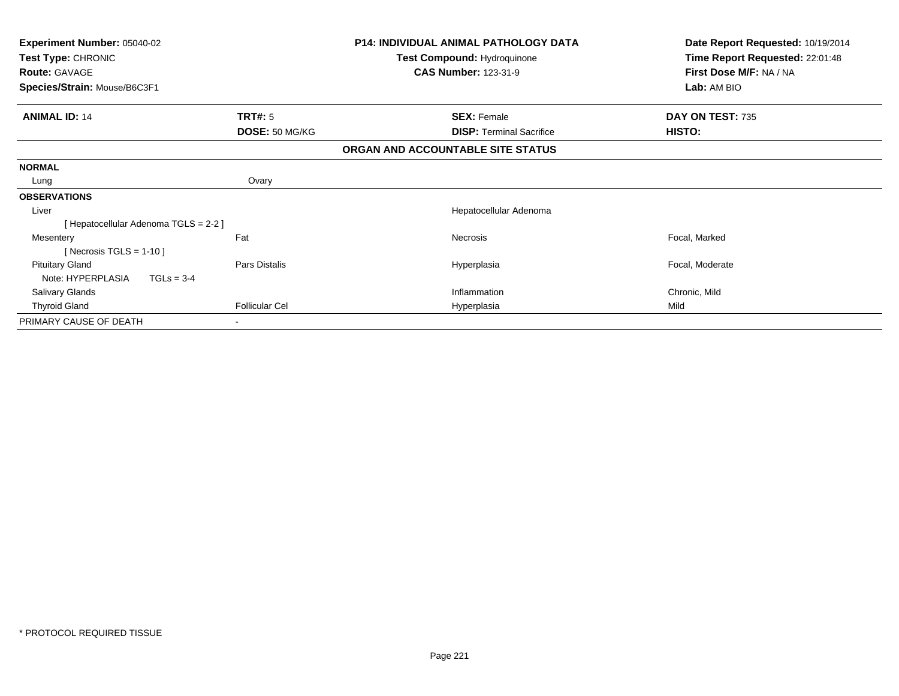| Experiment Number: 05040-02<br>Test Type: CHRONIC           |                                  | <b>P14: INDIVIDUAL ANIMAL PATHOLOGY DATA</b><br>Test Compound: Hydroquinone<br><b>CAS Number: 123-31-9</b> | Date Report Requested: 10/19/2014<br>Time Report Requested: 22:01:48<br>First Dose M/F: NA / NA |
|-------------------------------------------------------------|----------------------------------|------------------------------------------------------------------------------------------------------------|-------------------------------------------------------------------------------------------------|
| <b>Route: GAVAGE</b><br>Species/Strain: Mouse/B6C3F1        |                                  |                                                                                                            | Lab: AM BIO                                                                                     |
| <b>ANIMAL ID: 14</b>                                        | <b>TRT#: 5</b><br>DOSE: 50 MG/KG | <b>SEX: Female</b><br><b>DISP:</b> Terminal Sacrifice                                                      | DAY ON TEST: 735<br>HISTO:                                                                      |
|                                                             |                                  | ORGAN AND ACCOUNTABLE SITE STATUS                                                                          |                                                                                                 |
| <b>NORMAL</b>                                               |                                  |                                                                                                            |                                                                                                 |
| Lung                                                        | Ovary                            |                                                                                                            |                                                                                                 |
| <b>OBSERVATIONS</b>                                         |                                  |                                                                                                            |                                                                                                 |
| Liver                                                       |                                  | Hepatocellular Adenoma                                                                                     |                                                                                                 |
| [ Hepatocellular Adenoma TGLS = 2-2 ]                       |                                  |                                                                                                            |                                                                                                 |
| Mesentery<br>[Necrosis TGLS = $1-10$ ]                      | Fat                              | Necrosis                                                                                                   | Focal, Marked                                                                                   |
| <b>Pituitary Gland</b><br>$TGLs = 3-4$<br>Note: HYPERPLASIA | Pars Distalis                    | Hyperplasia                                                                                                | Focal, Moderate                                                                                 |
| <b>Salivary Glands</b>                                      |                                  | Inflammation                                                                                               | Chronic, Mild                                                                                   |
| <b>Thyroid Gland</b>                                        | <b>Follicular Cel</b>            | Hyperplasia                                                                                                | Mild                                                                                            |
| PRIMARY CAUSE OF DEATH                                      |                                  |                                                                                                            |                                                                                                 |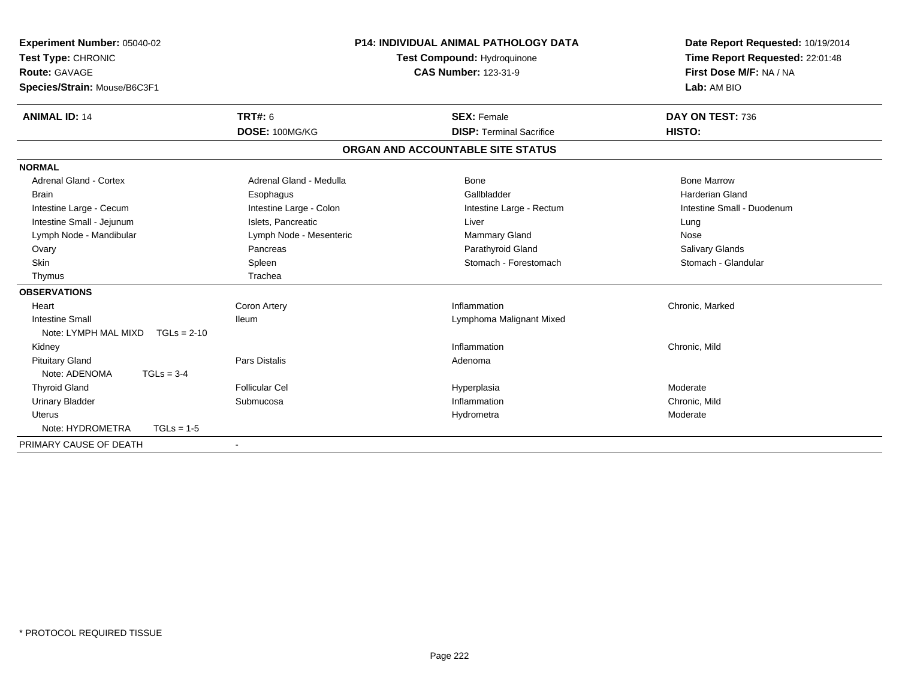| Experiment Number: 05040-02<br>Test Type: CHRONIC<br><b>Route: GAVAGE</b><br>Species/Strain: Mouse/B6C3F1 | <b>P14: INDIVIDUAL ANIMAL PATHOLOGY DATA</b><br>Test Compound: Hydroquinone<br><b>CAS Number: 123-31-9</b> |                                   | Date Report Requested: 10/19/2014<br>Time Report Requested: 22:01:48<br>First Dose M/F: NA / NA<br>Lab: AM BIO |  |
|-----------------------------------------------------------------------------------------------------------|------------------------------------------------------------------------------------------------------------|-----------------------------------|----------------------------------------------------------------------------------------------------------------|--|
| <b>ANIMAL ID: 14</b>                                                                                      | <b>TRT#: 6</b>                                                                                             | <b>SEX: Female</b>                | DAY ON TEST: 736                                                                                               |  |
|                                                                                                           | DOSE: 100MG/KG                                                                                             | <b>DISP: Terminal Sacrifice</b>   | HISTO:                                                                                                         |  |
|                                                                                                           |                                                                                                            | ORGAN AND ACCOUNTABLE SITE STATUS |                                                                                                                |  |
| <b>NORMAL</b>                                                                                             |                                                                                                            |                                   |                                                                                                                |  |
| <b>Adrenal Gland - Cortex</b>                                                                             | Adrenal Gland - Medulla                                                                                    | Bone                              | <b>Bone Marrow</b>                                                                                             |  |
| <b>Brain</b>                                                                                              | Esophagus                                                                                                  | Gallbladder                       | <b>Harderian Gland</b>                                                                                         |  |
| Intestine Large - Cecum                                                                                   | Intestine Large - Colon                                                                                    | Intestine Large - Rectum          | Intestine Small - Duodenum                                                                                     |  |
| Intestine Small - Jejunum                                                                                 | Islets, Pancreatic                                                                                         | Liver                             | Lung                                                                                                           |  |
| Lymph Node - Mandibular                                                                                   | Lymph Node - Mesenteric                                                                                    | Mammary Gland                     | Nose                                                                                                           |  |
| Ovary                                                                                                     | Pancreas                                                                                                   | Parathyroid Gland                 | Salivary Glands                                                                                                |  |
| Skin                                                                                                      | Spleen                                                                                                     | Stomach - Forestomach             | Stomach - Glandular                                                                                            |  |
| Thymus                                                                                                    | Trachea                                                                                                    |                                   |                                                                                                                |  |
| <b>OBSERVATIONS</b>                                                                                       |                                                                                                            |                                   |                                                                                                                |  |
| Heart                                                                                                     | Coron Artery                                                                                               | Inflammation                      | Chronic, Marked                                                                                                |  |
| <b>Intestine Small</b>                                                                                    | <b>Ileum</b>                                                                                               | Lymphoma Malignant Mixed          |                                                                                                                |  |
| Note: LYMPH MAL MIXD<br>$TGLs = 2-10$                                                                     |                                                                                                            |                                   |                                                                                                                |  |
| Kidney                                                                                                    |                                                                                                            | Inflammation                      | Chronic, Mild                                                                                                  |  |
| <b>Pituitary Gland</b>                                                                                    | <b>Pars Distalis</b>                                                                                       | Adenoma                           |                                                                                                                |  |
| Note: ADENOMA<br>$TGLs = 3-4$                                                                             |                                                                                                            |                                   |                                                                                                                |  |
| <b>Thyroid Gland</b>                                                                                      | <b>Follicular Cel</b>                                                                                      | Hyperplasia                       | Moderate                                                                                                       |  |
| <b>Urinary Bladder</b>                                                                                    | Submucosa                                                                                                  | Inflammation                      | Chronic, Mild                                                                                                  |  |
| Uterus                                                                                                    |                                                                                                            | Hydrometra                        | Moderate                                                                                                       |  |
| Note: HYDROMETRA<br>$TGLs = 1-5$                                                                          |                                                                                                            |                                   |                                                                                                                |  |
| PRIMARY CAUSE OF DEATH                                                                                    |                                                                                                            |                                   |                                                                                                                |  |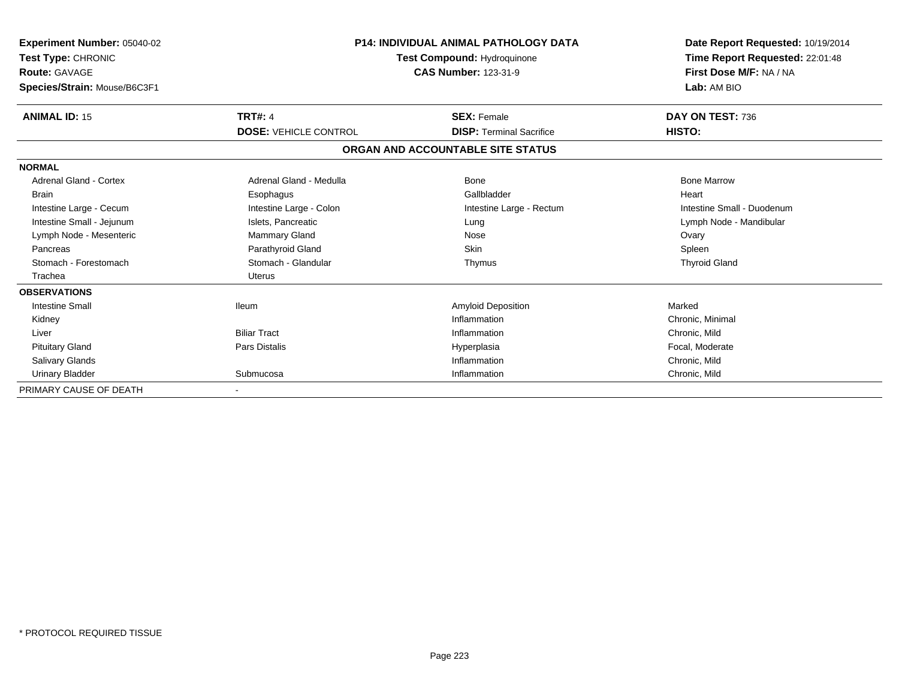| <b>Experiment Number: 05040-02</b><br>Test Type: CHRONIC<br><b>Route: GAVAGE</b><br>Species/Strain: Mouse/B6C3F1 |                              | P14: INDIVIDUAL ANIMAL PATHOLOGY DATA<br>Test Compound: Hydroquinone<br><b>CAS Number: 123-31-9</b> | Date Report Requested: 10/19/2014<br>Time Report Requested: 22:01:48<br>First Dose M/F: NA / NA<br>Lab: AM BIO |
|------------------------------------------------------------------------------------------------------------------|------------------------------|-----------------------------------------------------------------------------------------------------|----------------------------------------------------------------------------------------------------------------|
| <b>ANIMAL ID: 15</b>                                                                                             | <b>TRT#: 4</b>               | <b>SEX: Female</b>                                                                                  | DAY ON TEST: 736                                                                                               |
|                                                                                                                  | <b>DOSE: VEHICLE CONTROL</b> | <b>DISP: Terminal Sacrifice</b>                                                                     | HISTO:                                                                                                         |
|                                                                                                                  |                              | ORGAN AND ACCOUNTABLE SITE STATUS                                                                   |                                                                                                                |
| <b>NORMAL</b>                                                                                                    |                              |                                                                                                     |                                                                                                                |
| <b>Adrenal Gland - Cortex</b>                                                                                    | Adrenal Gland - Medulla      | Bone                                                                                                | <b>Bone Marrow</b>                                                                                             |
| <b>Brain</b>                                                                                                     | Esophagus                    | Gallbladder                                                                                         | Heart                                                                                                          |
| Intestine Large - Cecum                                                                                          | Intestine Large - Colon      | Intestine Large - Rectum                                                                            | Intestine Small - Duodenum                                                                                     |
| Intestine Small - Jejunum                                                                                        | Islets, Pancreatic           | Lung                                                                                                | Lymph Node - Mandibular                                                                                        |
| Lymph Node - Mesenteric                                                                                          | Mammary Gland                | Nose                                                                                                | Ovary                                                                                                          |
| Pancreas                                                                                                         | Parathyroid Gland            | <b>Skin</b>                                                                                         | Spleen                                                                                                         |
| Stomach - Forestomach                                                                                            | Stomach - Glandular          | Thymus                                                                                              | <b>Thyroid Gland</b>                                                                                           |
| Trachea                                                                                                          | <b>Uterus</b>                |                                                                                                     |                                                                                                                |
| <b>OBSERVATIONS</b>                                                                                              |                              |                                                                                                     |                                                                                                                |
| <b>Intestine Small</b>                                                                                           | <b>Ileum</b>                 | Amyloid Deposition                                                                                  | Marked                                                                                                         |
| Kidney                                                                                                           |                              | Inflammation                                                                                        | Chronic, Minimal                                                                                               |
| Liver                                                                                                            | <b>Biliar Tract</b>          | Inflammation                                                                                        | Chronic, Mild                                                                                                  |
| <b>Pituitary Gland</b>                                                                                           | Pars Distalis                | Hyperplasia                                                                                         | Focal, Moderate                                                                                                |
| <b>Salivary Glands</b>                                                                                           |                              | Inflammation                                                                                        | Chronic, Mild                                                                                                  |
| <b>Urinary Bladder</b>                                                                                           | Submucosa                    | Inflammation                                                                                        | Chronic, Mild                                                                                                  |
| PRIMARY CAUSE OF DEATH                                                                                           |                              |                                                                                                     |                                                                                                                |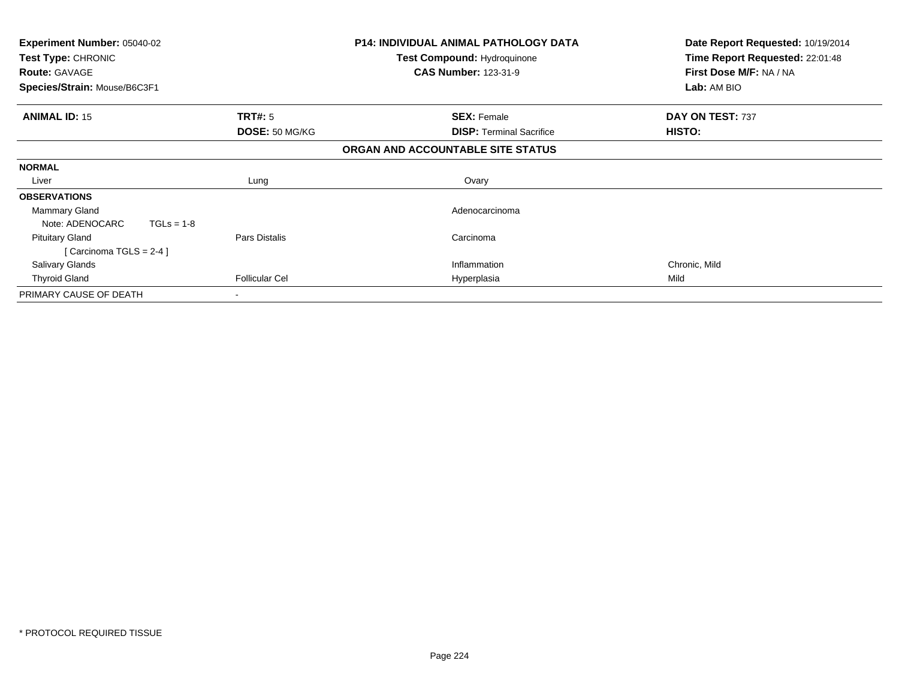| <b>Experiment Number: 05040-02</b><br>Test Type: CHRONIC<br><b>Route: GAVAGE</b><br>Species/Strain: Mouse/B6C3F1 |                       | <b>P14: INDIVIDUAL ANIMAL PATHOLOGY DATA</b><br><b>Test Compound: Hydroquinone</b><br><b>CAS Number: 123-31-9</b> | Date Report Requested: 10/19/2014<br>Time Report Requested: 22:01:48<br>First Dose M/F: NA / NA<br>Lab: AM BIO |
|------------------------------------------------------------------------------------------------------------------|-----------------------|-------------------------------------------------------------------------------------------------------------------|----------------------------------------------------------------------------------------------------------------|
| <b>ANIMAL ID: 15</b>                                                                                             | <b>TRT#:</b> 5        | <b>SEX: Female</b>                                                                                                | DAY ON TEST: 737                                                                                               |
|                                                                                                                  | DOSE: 50 MG/KG        | <b>DISP:</b> Terminal Sacrifice                                                                                   | HISTO:                                                                                                         |
|                                                                                                                  |                       | ORGAN AND ACCOUNTABLE SITE STATUS                                                                                 |                                                                                                                |
| <b>NORMAL</b>                                                                                                    |                       |                                                                                                                   |                                                                                                                |
| Liver                                                                                                            | Lung                  | Ovary                                                                                                             |                                                                                                                |
| <b>OBSERVATIONS</b>                                                                                              |                       |                                                                                                                   |                                                                                                                |
| Mammary Gland                                                                                                    |                       | Adenocarcinoma                                                                                                    |                                                                                                                |
| Note: ADENOCARC<br>$TGLs = 1-8$                                                                                  |                       |                                                                                                                   |                                                                                                                |
| <b>Pituitary Gland</b>                                                                                           | Pars Distalis         | Carcinoma                                                                                                         |                                                                                                                |
| [Carcinoma TGLS = $2-4$ ]                                                                                        |                       |                                                                                                                   |                                                                                                                |
| <b>Salivary Glands</b>                                                                                           |                       | Inflammation                                                                                                      | Chronic, Mild                                                                                                  |
| <b>Thyroid Gland</b>                                                                                             | <b>Follicular Cel</b> | Hyperplasia                                                                                                       | Mild                                                                                                           |
| PRIMARY CAUSE OF DEATH                                                                                           |                       |                                                                                                                   |                                                                                                                |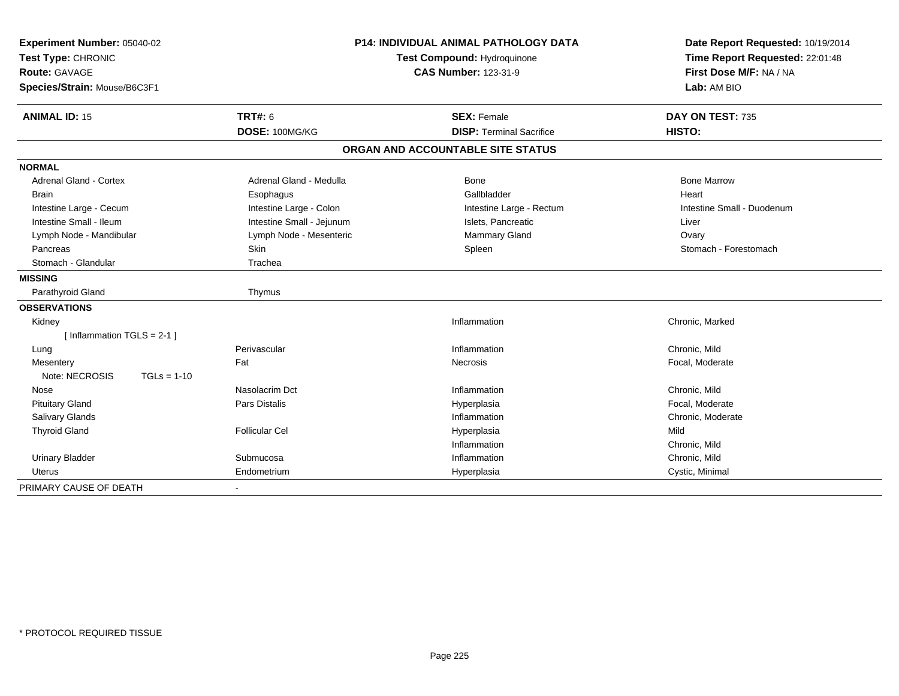| Experiment Number: 05040-02<br>Test Type: CHRONIC<br>Route: GAVAGE<br>Species/Strain: Mouse/B6C3F1 |                           | <b>P14: INDIVIDUAL ANIMAL PATHOLOGY DATA</b><br>Test Compound: Hydroquinone<br><b>CAS Number: 123-31-9</b> | Date Report Requested: 10/19/2014<br>Time Report Requested: 22:01:48<br>First Dose M/F: NA / NA<br>Lab: AM BIO |  |
|----------------------------------------------------------------------------------------------------|---------------------------|------------------------------------------------------------------------------------------------------------|----------------------------------------------------------------------------------------------------------------|--|
| <b>ANIMAL ID: 15</b>                                                                               | <b>TRT#: 6</b>            | <b>SEX: Female</b>                                                                                         | DAY ON TEST: 735                                                                                               |  |
|                                                                                                    | DOSE: 100MG/KG            | <b>DISP: Terminal Sacrifice</b>                                                                            | HISTO:                                                                                                         |  |
|                                                                                                    |                           | ORGAN AND ACCOUNTABLE SITE STATUS                                                                          |                                                                                                                |  |
| <b>NORMAL</b>                                                                                      |                           |                                                                                                            |                                                                                                                |  |
| <b>Adrenal Gland - Cortex</b>                                                                      | Adrenal Gland - Medulla   | <b>Bone</b>                                                                                                | <b>Bone Marrow</b>                                                                                             |  |
| <b>Brain</b>                                                                                       | Esophagus                 | Gallbladder                                                                                                | Heart                                                                                                          |  |
| Intestine Large - Cecum                                                                            | Intestine Large - Colon   | Intestine Large - Rectum                                                                                   | Intestine Small - Duodenum                                                                                     |  |
| Intestine Small - Ileum                                                                            | Intestine Small - Jejunum | Islets, Pancreatic                                                                                         | Liver                                                                                                          |  |
| Lymph Node - Mandibular                                                                            | Lymph Node - Mesenteric   | Mammary Gland                                                                                              | Ovary                                                                                                          |  |
| Pancreas                                                                                           | Skin                      | Spleen                                                                                                     | Stomach - Forestomach                                                                                          |  |
| Stomach - Glandular                                                                                | Trachea                   |                                                                                                            |                                                                                                                |  |
| <b>MISSING</b>                                                                                     |                           |                                                                                                            |                                                                                                                |  |
| Parathyroid Gland                                                                                  | Thymus                    |                                                                                                            |                                                                                                                |  |
| <b>OBSERVATIONS</b>                                                                                |                           |                                                                                                            |                                                                                                                |  |
| Kidney                                                                                             |                           | Inflammation                                                                                               | Chronic, Marked                                                                                                |  |
| [Inflammation TGLS = $2-1$ ]                                                                       |                           |                                                                                                            |                                                                                                                |  |
| Lung                                                                                               | Perivascular              | Inflammation                                                                                               | Chronic, Mild                                                                                                  |  |
| Mesentery                                                                                          | Fat                       | Necrosis                                                                                                   | Focal, Moderate                                                                                                |  |
| Note: NECROSIS<br>$TGLs = 1-10$                                                                    |                           |                                                                                                            |                                                                                                                |  |
| Nose                                                                                               | Nasolacrim Dct            | Inflammation                                                                                               | Chronic, Mild                                                                                                  |  |
| <b>Pituitary Gland</b>                                                                             | Pars Distalis             | Hyperplasia                                                                                                | Focal, Moderate                                                                                                |  |
| <b>Salivary Glands</b>                                                                             |                           | Inflammation                                                                                               | Chronic, Moderate                                                                                              |  |
| <b>Thyroid Gland</b>                                                                               | <b>Follicular Cel</b>     | Hyperplasia                                                                                                | Mild                                                                                                           |  |
|                                                                                                    |                           | Inflammation                                                                                               | Chronic, Mild                                                                                                  |  |
| <b>Urinary Bladder</b>                                                                             | Submucosa                 | Inflammation                                                                                               | Chronic, Mild                                                                                                  |  |
| <b>Uterus</b>                                                                                      | Endometrium               | Hyperplasia                                                                                                | Cystic, Minimal                                                                                                |  |
| PRIMARY CAUSE OF DEATH                                                                             | $\blacksquare$            |                                                                                                            |                                                                                                                |  |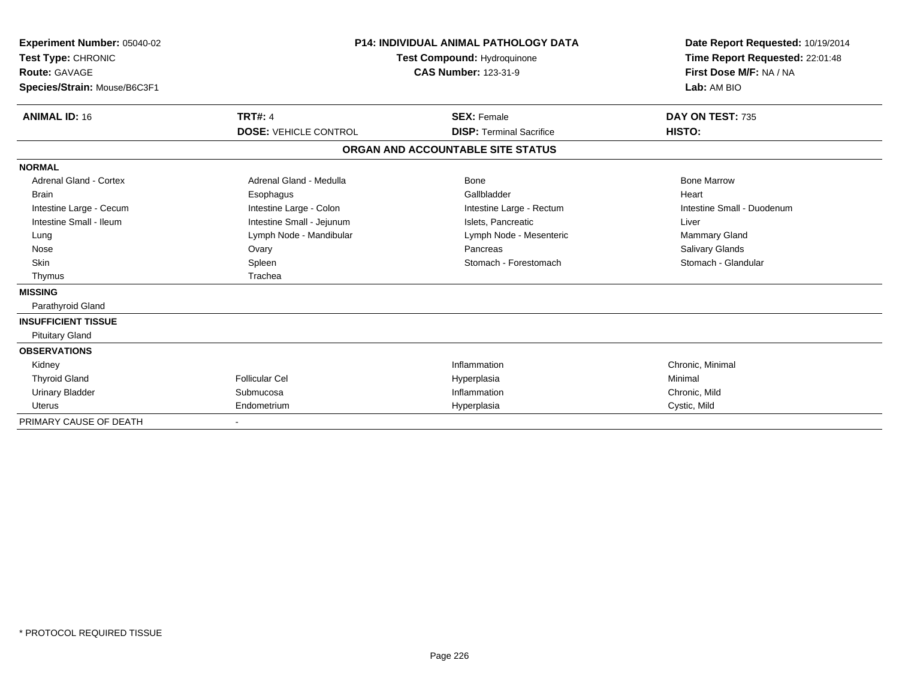| Experiment Number: 05040-02<br>Test Type: CHRONIC<br><b>Route: GAVAGE</b><br>Species/Strain: Mouse/B6C3F1 |                              | <b>P14: INDIVIDUAL ANIMAL PATHOLOGY DATA</b><br>Test Compound: Hydroquinone<br><b>CAS Number: 123-31-9</b> | Date Report Requested: 10/19/2014<br>Time Report Requested: 22:01:48<br>First Dose M/F: NA / NA<br>Lab: AM BIO |
|-----------------------------------------------------------------------------------------------------------|------------------------------|------------------------------------------------------------------------------------------------------------|----------------------------------------------------------------------------------------------------------------|
| <b>ANIMAL ID: 16</b>                                                                                      | <b>TRT#: 4</b>               | <b>SEX: Female</b>                                                                                         | DAY ON TEST: 735                                                                                               |
|                                                                                                           | <b>DOSE: VEHICLE CONTROL</b> | <b>DISP: Terminal Sacrifice</b>                                                                            | HISTO:                                                                                                         |
|                                                                                                           |                              | ORGAN AND ACCOUNTABLE SITE STATUS                                                                          |                                                                                                                |
| <b>NORMAL</b>                                                                                             |                              |                                                                                                            |                                                                                                                |
| Adrenal Gland - Cortex                                                                                    | Adrenal Gland - Medulla      | Bone                                                                                                       | <b>Bone Marrow</b>                                                                                             |
| <b>Brain</b>                                                                                              | Esophagus                    | Gallbladder                                                                                                | Heart                                                                                                          |
| Intestine Large - Cecum                                                                                   | Intestine Large - Colon      | Intestine Large - Rectum                                                                                   | Intestine Small - Duodenum                                                                                     |
| Intestine Small - Ileum                                                                                   | Intestine Small - Jejunum    | Islets, Pancreatic                                                                                         | Liver                                                                                                          |
| Lung                                                                                                      | Lymph Node - Mandibular      | Lymph Node - Mesenteric                                                                                    | <b>Mammary Gland</b>                                                                                           |
| Nose                                                                                                      | Ovary                        | Pancreas                                                                                                   | Salivary Glands                                                                                                |
| <b>Skin</b>                                                                                               | Spleen                       | Stomach - Forestomach                                                                                      | Stomach - Glandular                                                                                            |
| Thymus                                                                                                    | Trachea                      |                                                                                                            |                                                                                                                |
| <b>MISSING</b>                                                                                            |                              |                                                                                                            |                                                                                                                |
| Parathyroid Gland                                                                                         |                              |                                                                                                            |                                                                                                                |
| <b>INSUFFICIENT TISSUE</b>                                                                                |                              |                                                                                                            |                                                                                                                |
| <b>Pituitary Gland</b>                                                                                    |                              |                                                                                                            |                                                                                                                |
| <b>OBSERVATIONS</b>                                                                                       |                              |                                                                                                            |                                                                                                                |
| Kidney                                                                                                    |                              | Inflammation                                                                                               | Chronic, Minimal                                                                                               |
| <b>Thyroid Gland</b>                                                                                      | <b>Follicular Cel</b>        | Hyperplasia                                                                                                | Minimal                                                                                                        |
| <b>Urinary Bladder</b>                                                                                    | Submucosa                    | Inflammation                                                                                               | Chronic, Mild                                                                                                  |
| <b>Uterus</b>                                                                                             | Endometrium                  | Hyperplasia                                                                                                | Cystic, Mild                                                                                                   |
| PRIMARY CAUSE OF DEATH                                                                                    |                              |                                                                                                            |                                                                                                                |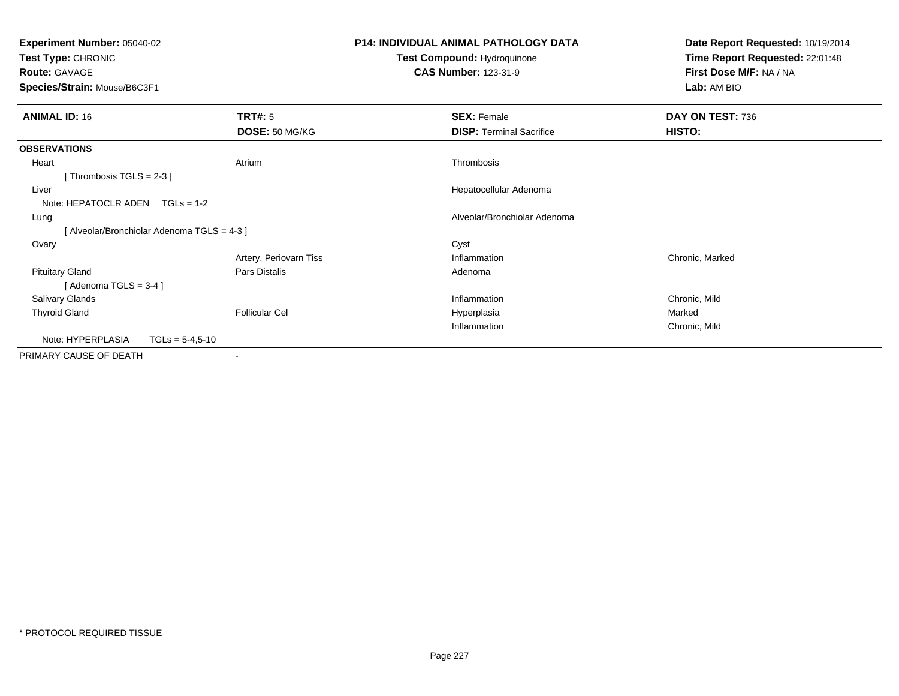| Experiment Number: 05040-02                   |                                           | <b>P14: INDIVIDUAL ANIMAL PATHOLOGY DATA</b> | Date Report Requested: 10/19/2014 |  |
|-----------------------------------------------|-------------------------------------------|----------------------------------------------|-----------------------------------|--|
| Test Type: CHRONIC                            |                                           | Test Compound: Hydroquinone                  | Time Report Requested: 22:01:48   |  |
| Route: GAVAGE<br>Species/Strain: Mouse/B6C3F1 |                                           | <b>CAS Number: 123-31-9</b>                  | First Dose M/F: NA / NA           |  |
|                                               |                                           |                                              | Lab: AM BIO                       |  |
| <b>ANIMAL ID: 16</b>                          | TRT#: 5                                   | <b>SEX: Female</b>                           | DAY ON TEST: 736                  |  |
|                                               | DOSE: 50 MG/KG                            | <b>DISP:</b> Terminal Sacrifice              | HISTO:                            |  |
| <b>OBSERVATIONS</b>                           |                                           |                                              |                                   |  |
| Heart                                         | Atrium                                    | Thrombosis                                   |                                   |  |
| [Thrombosis TGLS = $2-3$ ]                    |                                           |                                              |                                   |  |
| Liver                                         |                                           | Hepatocellular Adenoma                       |                                   |  |
| Note: HEPATOCLR ADEN                          | $TGLs = 1-2$                              |                                              |                                   |  |
| Lung                                          |                                           | Alveolar/Bronchiolar Adenoma                 |                                   |  |
|                                               | [Alveolar/Bronchiolar Adenoma TGLS = 4-3] |                                              |                                   |  |
| Ovary                                         |                                           | Cyst                                         |                                   |  |
|                                               | Artery, Periovarn Tiss                    | Inflammation                                 | Chronic, Marked                   |  |
| <b>Pituitary Gland</b>                        | Pars Distalis                             | Adenoma                                      |                                   |  |
| [Adenoma TGLS = $3-4$ ]                       |                                           |                                              |                                   |  |
| Salivary Glands                               |                                           | Inflammation                                 | Chronic, Mild                     |  |
| <b>Thyroid Gland</b>                          | <b>Follicular Cel</b>                     | Hyperplasia                                  | Marked                            |  |
|                                               |                                           | Inflammation                                 | Chronic, Mild                     |  |
| Note: HYPERPLASIA                             | $TGLs = 5-4,5-10$                         |                                              |                                   |  |
| PRIMARY CAUSE OF DEATH                        |                                           |                                              |                                   |  |
|                                               |                                           |                                              |                                   |  |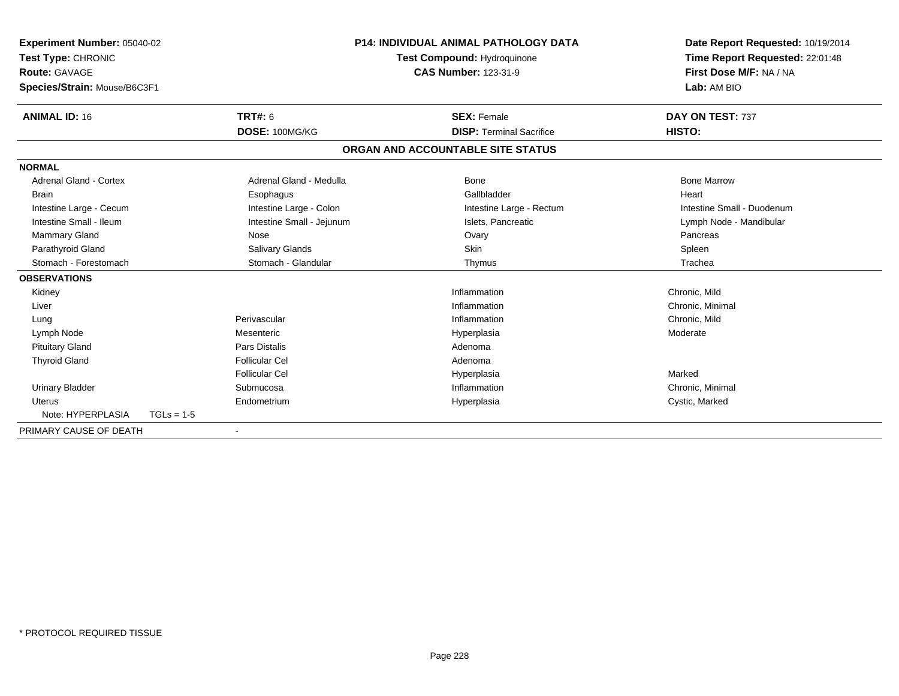| Experiment Number: 05040-02<br>Test Type: CHRONIC<br><b>Route: GAVAGE</b><br>Species/Strain: Mouse/B6C3F1<br><b>ANIMAL ID: 16</b> |              | <b>TRT#: 6</b>            | <b>P14: INDIVIDUAL ANIMAL PATHOLOGY DATA</b><br>Test Compound: Hydroquinone<br><b>CAS Number: 123-31-9</b> |                                                       | Date Report Requested: 10/19/2014<br>Time Report Requested: 22:01:48<br>First Dose M/F: NA / NA<br>Lab: AM BIO<br>DAY ON TEST: 737 |
|-----------------------------------------------------------------------------------------------------------------------------------|--------------|---------------------------|------------------------------------------------------------------------------------------------------------|-------------------------------------------------------|------------------------------------------------------------------------------------------------------------------------------------|
|                                                                                                                                   |              | DOSE: 100MG/KG            |                                                                                                            | <b>SEX: Female</b><br><b>DISP: Terminal Sacrifice</b> | HISTO:                                                                                                                             |
|                                                                                                                                   |              |                           |                                                                                                            | ORGAN AND ACCOUNTABLE SITE STATUS                     |                                                                                                                                    |
| <b>NORMAL</b>                                                                                                                     |              |                           |                                                                                                            |                                                       |                                                                                                                                    |
| <b>Adrenal Gland - Cortex</b>                                                                                                     |              | Adrenal Gland - Medulla   |                                                                                                            | Bone                                                  | <b>Bone Marrow</b>                                                                                                                 |
| <b>Brain</b>                                                                                                                      |              | Esophagus                 |                                                                                                            | Gallbladder                                           | Heart                                                                                                                              |
| Intestine Large - Cecum                                                                                                           |              | Intestine Large - Colon   |                                                                                                            | Intestine Large - Rectum                              | Intestine Small - Duodenum                                                                                                         |
| Intestine Small - Ileum                                                                                                           |              | Intestine Small - Jejunum |                                                                                                            | Islets. Pancreatic                                    | Lymph Node - Mandibular                                                                                                            |
| <b>Mammary Gland</b>                                                                                                              |              | Nose                      |                                                                                                            | Ovary                                                 | Pancreas                                                                                                                           |
| Parathyroid Gland                                                                                                                 |              | Salivary Glands           |                                                                                                            | Skin                                                  | Spleen                                                                                                                             |
| Stomach - Forestomach                                                                                                             |              | Stomach - Glandular       |                                                                                                            | Thymus                                                | Trachea                                                                                                                            |
| <b>OBSERVATIONS</b>                                                                                                               |              |                           |                                                                                                            |                                                       |                                                                                                                                    |
| Kidney                                                                                                                            |              |                           |                                                                                                            | Inflammation                                          | Chronic, Mild                                                                                                                      |
| Liver                                                                                                                             |              |                           |                                                                                                            | Inflammation                                          | Chronic, Minimal                                                                                                                   |
| Lung                                                                                                                              |              | Perivascular              |                                                                                                            | Inflammation                                          | Chronic, Mild                                                                                                                      |
| Lymph Node                                                                                                                        |              | Mesenteric                |                                                                                                            | Hyperplasia                                           | Moderate                                                                                                                           |
| <b>Pituitary Gland</b>                                                                                                            |              | <b>Pars Distalis</b>      |                                                                                                            | Adenoma                                               |                                                                                                                                    |
| <b>Thyroid Gland</b>                                                                                                              |              | <b>Follicular Cel</b>     |                                                                                                            | Adenoma                                               |                                                                                                                                    |
|                                                                                                                                   |              | <b>Follicular Cel</b>     |                                                                                                            | Hyperplasia                                           | Marked                                                                                                                             |
| <b>Urinary Bladder</b>                                                                                                            |              | Submucosa                 |                                                                                                            | Inflammation                                          | Chronic, Minimal                                                                                                                   |
| Uterus                                                                                                                            |              | Endometrium               |                                                                                                            | Hyperplasia                                           | Cystic, Marked                                                                                                                     |
| Note: HYPERPLASIA                                                                                                                 | $TGLs = 1-5$ |                           |                                                                                                            |                                                       |                                                                                                                                    |
| PRIMARY CAUSE OF DEATH                                                                                                            |              |                           |                                                                                                            |                                                       |                                                                                                                                    |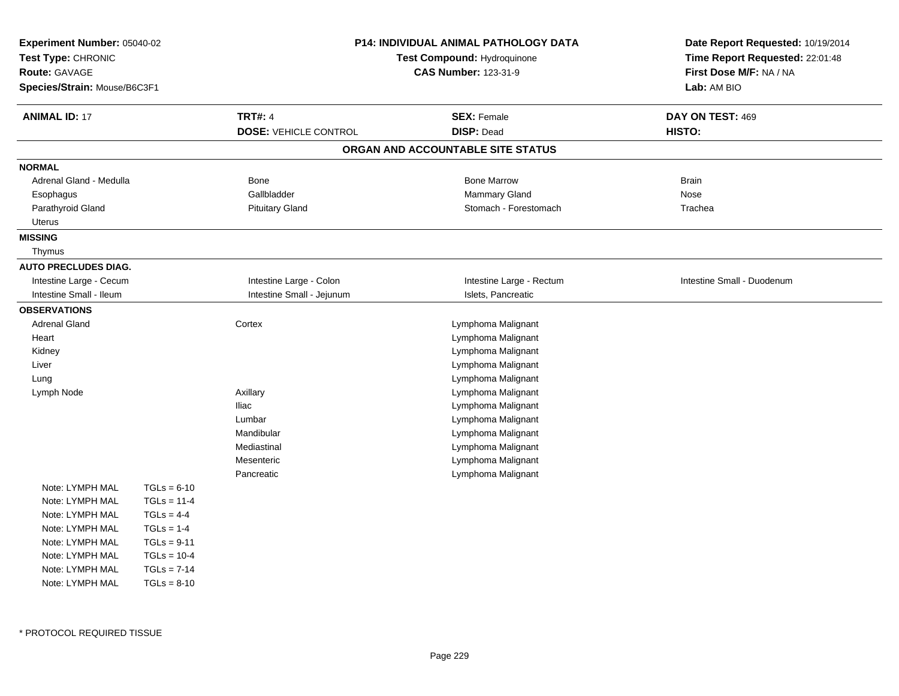| Experiment Number: 05040-02<br>Test Type: CHRONIC<br>Route: GAVAGE<br>Species/Strain: Mouse/B6C3F1 |               |                              | <b>P14: INDIVIDUAL ANIMAL PATHOLOGY DATA</b><br>Test Compound: Hydroquinone<br><b>CAS Number: 123-31-9</b> |                            |
|----------------------------------------------------------------------------------------------------|---------------|------------------------------|------------------------------------------------------------------------------------------------------------|----------------------------|
| <b>ANIMAL ID: 17</b>                                                                               |               | <b>TRT#: 4</b>               | <b>SEX: Female</b>                                                                                         | DAY ON TEST: 469           |
|                                                                                                    |               | <b>DOSE: VEHICLE CONTROL</b> | <b>DISP: Dead</b>                                                                                          | HISTO:                     |
|                                                                                                    |               |                              | ORGAN AND ACCOUNTABLE SITE STATUS                                                                          |                            |
| <b>NORMAL</b>                                                                                      |               |                              |                                                                                                            |                            |
| Adrenal Gland - Medulla                                                                            |               | <b>Bone</b>                  | <b>Bone Marrow</b>                                                                                         | <b>Brain</b>               |
| Esophagus                                                                                          |               | Gallbladder                  | Mammary Gland                                                                                              | Nose                       |
| Parathyroid Gland                                                                                  |               | <b>Pituitary Gland</b>       | Stomach - Forestomach                                                                                      | Trachea                    |
| Uterus                                                                                             |               |                              |                                                                                                            |                            |
| <b>MISSING</b><br>Thymus                                                                           |               |                              |                                                                                                            |                            |
| <b>AUTO PRECLUDES DIAG.</b>                                                                        |               |                              |                                                                                                            |                            |
| Intestine Large - Cecum                                                                            |               | Intestine Large - Colon      | Intestine Large - Rectum                                                                                   | Intestine Small - Duodenum |
| Intestine Small - Ileum                                                                            |               | Intestine Small - Jejunum    | Islets, Pancreatic                                                                                         |                            |
| <b>OBSERVATIONS</b>                                                                                |               |                              |                                                                                                            |                            |
| <b>Adrenal Gland</b>                                                                               |               | Cortex                       | Lymphoma Malignant                                                                                         |                            |
| Heart                                                                                              |               |                              | Lymphoma Malignant                                                                                         |                            |
| Kidney                                                                                             |               |                              | Lymphoma Malignant                                                                                         |                            |
| Liver                                                                                              |               |                              | Lymphoma Malignant                                                                                         |                            |
| Lung                                                                                               |               |                              | Lymphoma Malignant                                                                                         |                            |
| Lymph Node                                                                                         |               | Axillary                     | Lymphoma Malignant                                                                                         |                            |
|                                                                                                    |               | <b>Iliac</b>                 | Lymphoma Malignant                                                                                         |                            |
|                                                                                                    |               | Lumbar                       | Lymphoma Malignant                                                                                         |                            |
|                                                                                                    |               | Mandibular                   | Lymphoma Malignant                                                                                         |                            |
|                                                                                                    |               | Mediastinal                  | Lymphoma Malignant                                                                                         |                            |
|                                                                                                    |               | Mesenteric                   | Lymphoma Malignant                                                                                         |                            |
|                                                                                                    |               | Pancreatic                   | Lymphoma Malignant                                                                                         |                            |
| Note: LYMPH MAL                                                                                    | $TGLs = 6-10$ |                              |                                                                                                            |                            |
| Note: LYMPH MAL                                                                                    | $TGLs = 11-4$ |                              |                                                                                                            |                            |
| Note: LYMPH MAL                                                                                    | $TGLs = 4-4$  |                              |                                                                                                            |                            |
| Note: LYMPH MAL                                                                                    | $TGLs = 1-4$  |                              |                                                                                                            |                            |
| Note: LYMPH MAL                                                                                    | $TGLs = 9-11$ |                              |                                                                                                            |                            |
| Note: LYMPH MAL                                                                                    | $TGLs = 10-4$ |                              |                                                                                                            |                            |
| Note: LYMPH MAL                                                                                    | $TGLs = 7-14$ |                              |                                                                                                            |                            |
| Note: LYMPH MAL                                                                                    | $TGLs = 8-10$ |                              |                                                                                                            |                            |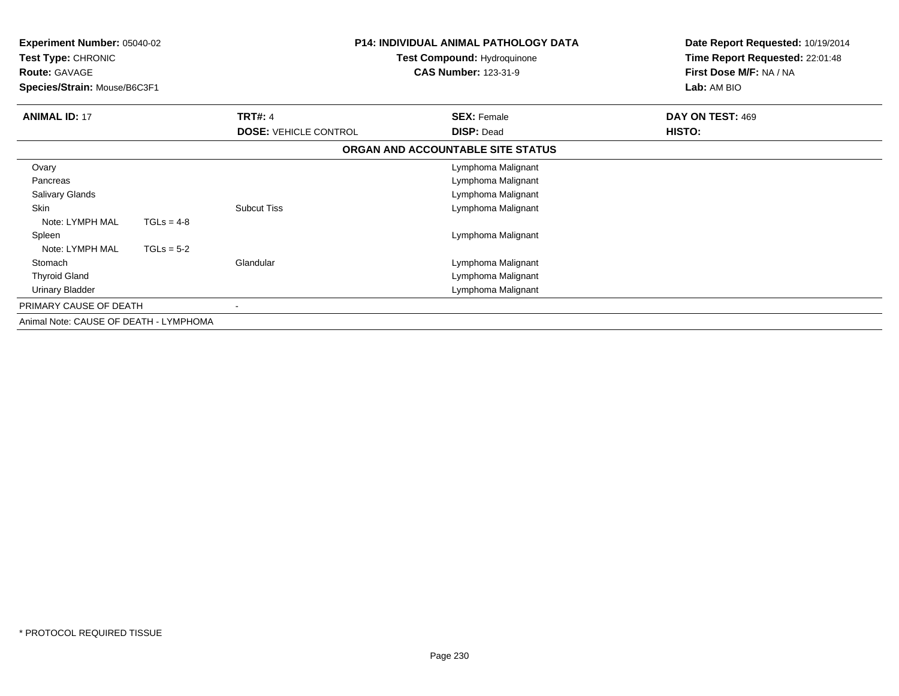| Experiment Number: 05040-02<br>Test Type: CHRONIC<br><b>Route: GAVAGE</b><br>Species/Strain: Mouse/B6C3F1 |              |                              | <b>P14: INDIVIDUAL ANIMAL PATHOLOGY DATA</b><br>Test Compound: Hydroquinone<br><b>CAS Number: 123-31-9</b> | Date Report Requested: 10/19/2014<br>Time Report Requested: 22:01:48<br>First Dose M/F: NA / NA<br>Lab: AM BIO |
|-----------------------------------------------------------------------------------------------------------|--------------|------------------------------|------------------------------------------------------------------------------------------------------------|----------------------------------------------------------------------------------------------------------------|
| <b>ANIMAL ID: 17</b>                                                                                      |              | <b>TRT#: 4</b>               | <b>SEX: Female</b>                                                                                         | DAY ON TEST: 469                                                                                               |
|                                                                                                           |              | <b>DOSE: VEHICLE CONTROL</b> | <b>DISP: Dead</b>                                                                                          | HISTO:                                                                                                         |
|                                                                                                           |              |                              | ORGAN AND ACCOUNTABLE SITE STATUS                                                                          |                                                                                                                |
| Ovary                                                                                                     |              |                              | Lymphoma Malignant                                                                                         |                                                                                                                |
| Pancreas                                                                                                  |              |                              | Lymphoma Malignant                                                                                         |                                                                                                                |
| Salivary Glands                                                                                           |              |                              | Lymphoma Malignant                                                                                         |                                                                                                                |
| <b>Skin</b>                                                                                               |              | <b>Subcut Tiss</b>           | Lymphoma Malignant                                                                                         |                                                                                                                |
| Note: LYMPH MAL                                                                                           | $TGLs = 4-8$ |                              |                                                                                                            |                                                                                                                |
| Spleen                                                                                                    |              |                              | Lymphoma Malignant                                                                                         |                                                                                                                |
| Note: LYMPH MAL                                                                                           | $TGLs = 5-2$ |                              |                                                                                                            |                                                                                                                |
| Stomach                                                                                                   |              | Glandular                    | Lymphoma Malignant                                                                                         |                                                                                                                |
| <b>Thyroid Gland</b>                                                                                      |              |                              | Lymphoma Malignant                                                                                         |                                                                                                                |
| Urinary Bladder                                                                                           |              |                              | Lymphoma Malignant                                                                                         |                                                                                                                |
| PRIMARY CAUSE OF DEATH                                                                                    |              |                              |                                                                                                            |                                                                                                                |
| Animal Note: CAUSE OF DEATH - LYMPHOMA                                                                    |              |                              |                                                                                                            |                                                                                                                |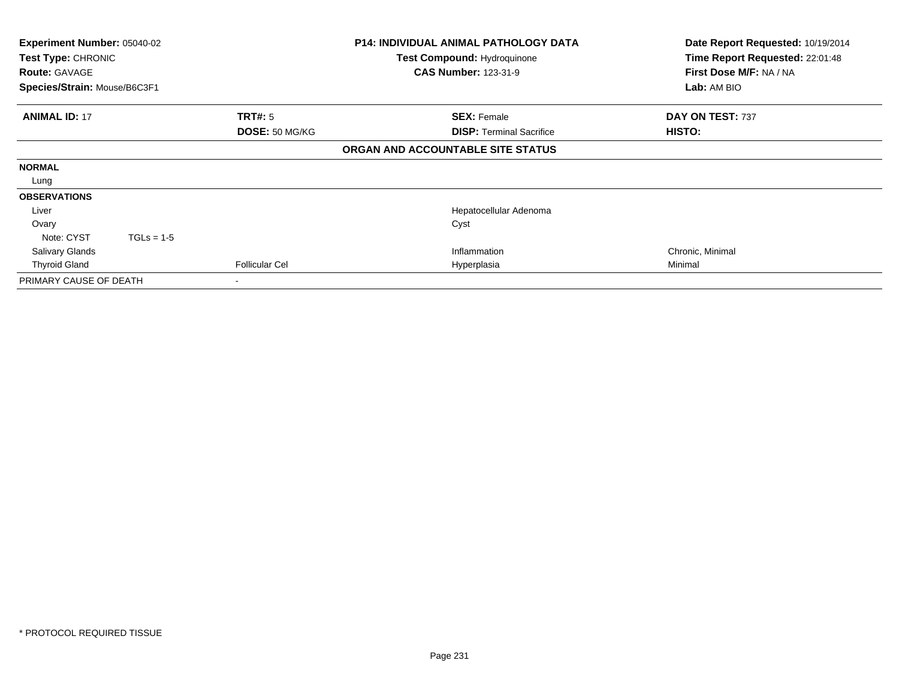| <b>Experiment Number: 05040-02</b><br>Test Type: CHRONIC<br><b>Route: GAVAGE</b><br>Species/Strain: Mouse/B6C3F1 |              |                           | <b>P14: INDIVIDUAL ANIMAL PATHOLOGY DATA</b><br>Test Compound: Hydroquinone<br><b>CAS Number: 123-31-9</b> | Date Report Requested: 10/19/2014<br>Time Report Requested: 22:01:48<br>First Dose M/F: NA / NA<br>Lab: AM BIO |
|------------------------------------------------------------------------------------------------------------------|--------------|---------------------------|------------------------------------------------------------------------------------------------------------|----------------------------------------------------------------------------------------------------------------|
| <b>ANIMAL ID: 17</b>                                                                                             |              | TRT#: 5<br>DOSE: 50 MG/KG | <b>SEX: Female</b><br><b>DISP: Terminal Sacrifice</b>                                                      | DAY ON TEST: 737<br>HISTO:                                                                                     |
|                                                                                                                  |              |                           | ORGAN AND ACCOUNTABLE SITE STATUS                                                                          |                                                                                                                |
| <b>NORMAL</b>                                                                                                    |              |                           |                                                                                                            |                                                                                                                |
| Lung                                                                                                             |              |                           |                                                                                                            |                                                                                                                |
| <b>OBSERVATIONS</b>                                                                                              |              |                           |                                                                                                            |                                                                                                                |
| Liver                                                                                                            |              |                           | Hepatocellular Adenoma                                                                                     |                                                                                                                |
| Ovary                                                                                                            |              |                           | Cyst                                                                                                       |                                                                                                                |
| Note: CYST                                                                                                       | $TGLs = 1-5$ |                           |                                                                                                            |                                                                                                                |
| <b>Salivary Glands</b>                                                                                           |              |                           | Inflammation                                                                                               | Chronic, Minimal                                                                                               |
| <b>Thyroid Gland</b>                                                                                             |              | <b>Follicular Cel</b>     | Hyperplasia                                                                                                | Minimal                                                                                                        |
| PRIMARY CAUSE OF DEATH                                                                                           |              |                           |                                                                                                            |                                                                                                                |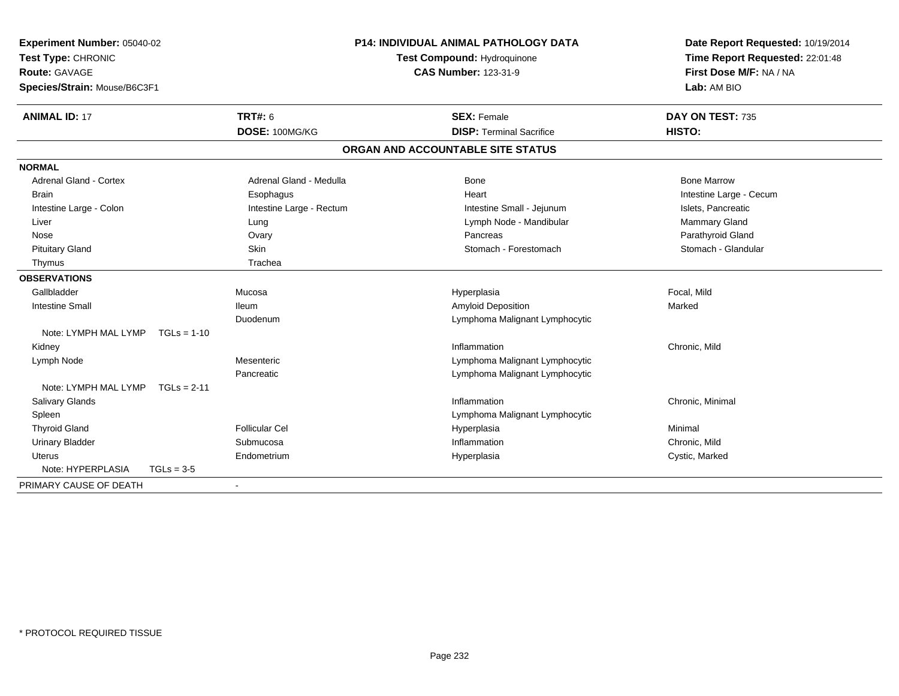| Experiment Number: 05040-02           |                          | P14: INDIVIDUAL ANIMAL PATHOLOGY DATA | Date Report Requested: 10/19/2014 |  |
|---------------------------------------|--------------------------|---------------------------------------|-----------------------------------|--|
| Test Type: CHRONIC                    |                          | Test Compound: Hydroquinone           | Time Report Requested: 22:01:48   |  |
| <b>Route: GAVAGE</b>                  |                          | <b>CAS Number: 123-31-9</b>           | First Dose M/F: NA / NA           |  |
| Species/Strain: Mouse/B6C3F1          |                          |                                       | Lab: AM BIO                       |  |
| <b>ANIMAL ID: 17</b>                  | <b>TRT#: 6</b>           | <b>SEX: Female</b>                    | DAY ON TEST: 735                  |  |
|                                       | DOSE: 100MG/KG           | <b>DISP: Terminal Sacrifice</b>       | HISTO:                            |  |
|                                       |                          | ORGAN AND ACCOUNTABLE SITE STATUS     |                                   |  |
| <b>NORMAL</b>                         |                          |                                       |                                   |  |
| Adrenal Gland - Cortex                | Adrenal Gland - Medulla  | <b>Bone</b>                           | <b>Bone Marrow</b>                |  |
| <b>Brain</b>                          | Esophagus                | Heart                                 | Intestine Large - Cecum           |  |
| Intestine Large - Colon               | Intestine Large - Rectum | Intestine Small - Jejunum             | Islets, Pancreatic                |  |
| Liver                                 | Lung                     | Lymph Node - Mandibular               | Mammary Gland                     |  |
| Nose                                  | Ovary                    | Pancreas                              | Parathyroid Gland                 |  |
| <b>Pituitary Gland</b>                | Skin                     | Stomach - Forestomach                 | Stomach - Glandular               |  |
| Thymus                                | Trachea                  |                                       |                                   |  |
| <b>OBSERVATIONS</b>                   |                          |                                       |                                   |  |
| Gallbladder                           | Mucosa                   | Hyperplasia                           | Focal, Mild                       |  |
| <b>Intestine Small</b>                | <b>Ileum</b>             | Amyloid Deposition                    | Marked                            |  |
|                                       | Duodenum                 | Lymphoma Malignant Lymphocytic        |                                   |  |
| Note: LYMPH MAL LYMP<br>$TGLs = 1-10$ |                          |                                       |                                   |  |
| Kidney                                |                          | Inflammation                          | Chronic, Mild                     |  |
| Lymph Node                            | Mesenteric               | Lymphoma Malignant Lymphocytic        |                                   |  |
|                                       | Pancreatic               | Lymphoma Malignant Lymphocytic        |                                   |  |
| Note: LYMPH MAL LYMP<br>$TGLs = 2-11$ |                          |                                       |                                   |  |
| Salivary Glands                       |                          | Inflammation                          | Chronic, Minimal                  |  |
| Spleen                                |                          | Lymphoma Malignant Lymphocytic        |                                   |  |
| <b>Thyroid Gland</b>                  | <b>Follicular Cel</b>    | Hyperplasia                           | Minimal                           |  |
| <b>Urinary Bladder</b>                | Submucosa                | Inflammation                          | Chronic, Mild                     |  |
| <b>Uterus</b>                         | Endometrium              | Hyperplasia                           | Cystic, Marked                    |  |
| Note: HYPERPLASIA<br>$TGLs = 3-5$     |                          |                                       |                                   |  |
| PRIMARY CAUSE OF DEATH                |                          |                                       |                                   |  |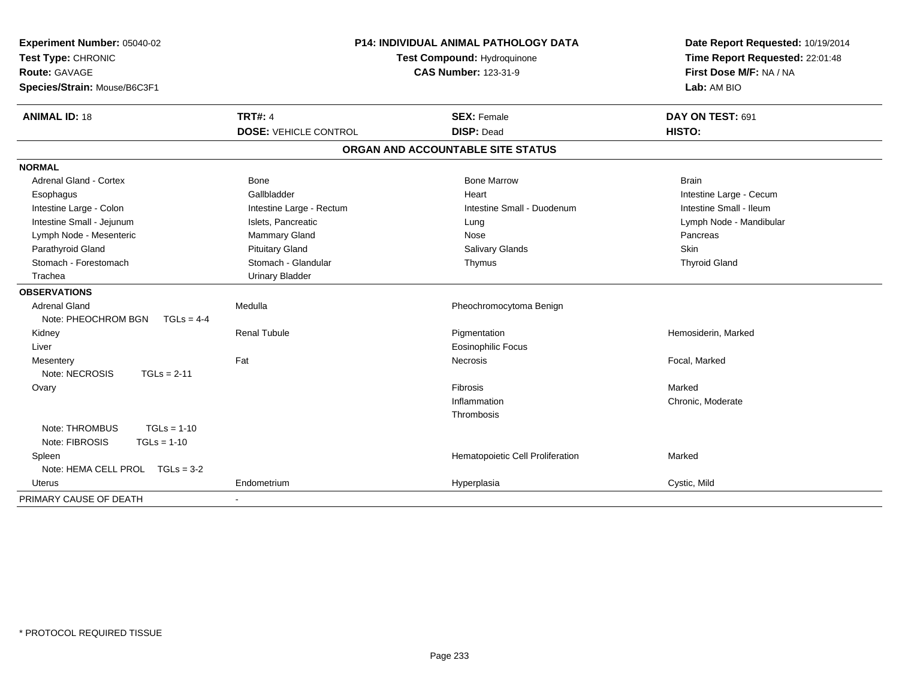| Experiment Number: 05040-02<br>Test Type: CHRONIC<br>Route: GAVAGE<br>Species/Strain: Mouse/B6C3F1 | P14: INDIVIDUAL ANIMAL PATHOLOGY DATA<br><b>Test Compound: Hydroquinone</b><br><b>CAS Number: 123-31-9</b> |                                   | Date Report Requested: 10/19/2014<br>Time Report Requested: 22:01:48<br>First Dose M/F: NA / NA<br>Lab: AM BIO |  |
|----------------------------------------------------------------------------------------------------|------------------------------------------------------------------------------------------------------------|-----------------------------------|----------------------------------------------------------------------------------------------------------------|--|
| <b>ANIMAL ID: 18</b>                                                                               | <b>TRT#: 4</b>                                                                                             | <b>SEX: Female</b>                | DAY ON TEST: 691                                                                                               |  |
|                                                                                                    | <b>DOSE: VEHICLE CONTROL</b>                                                                               | <b>DISP: Dead</b>                 | HISTO:                                                                                                         |  |
|                                                                                                    |                                                                                                            | ORGAN AND ACCOUNTABLE SITE STATUS |                                                                                                                |  |
| <b>NORMAL</b>                                                                                      |                                                                                                            |                                   |                                                                                                                |  |
| <b>Adrenal Gland - Cortex</b>                                                                      | Bone                                                                                                       | <b>Bone Marrow</b>                | <b>Brain</b>                                                                                                   |  |
| Esophagus                                                                                          | Gallbladder                                                                                                | Heart                             | Intestine Large - Cecum                                                                                        |  |
| Intestine Large - Colon                                                                            | Intestine Large - Rectum                                                                                   | Intestine Small - Duodenum        | Intestine Small - Ileum                                                                                        |  |
| Intestine Small - Jejunum                                                                          | Islets, Pancreatic                                                                                         | Lung                              | Lymph Node - Mandibular                                                                                        |  |
| Lymph Node - Mesenteric                                                                            | Mammary Gland                                                                                              | Nose                              | Pancreas                                                                                                       |  |
| Parathyroid Gland                                                                                  | <b>Pituitary Gland</b>                                                                                     | <b>Salivary Glands</b>            | Skin                                                                                                           |  |
| Stomach - Forestomach                                                                              | Stomach - Glandular                                                                                        | Thymus                            | <b>Thyroid Gland</b>                                                                                           |  |
| Trachea                                                                                            | <b>Urinary Bladder</b>                                                                                     |                                   |                                                                                                                |  |
| <b>OBSERVATIONS</b>                                                                                |                                                                                                            |                                   |                                                                                                                |  |
| <b>Adrenal Gland</b>                                                                               | Medulla                                                                                                    | Pheochromocytoma Benign           |                                                                                                                |  |
| Note: PHEOCHROM BGN<br>$TGLs = 4-4$                                                                |                                                                                                            |                                   |                                                                                                                |  |
| Kidney                                                                                             | <b>Renal Tubule</b>                                                                                        | Pigmentation                      | Hemosiderin, Marked                                                                                            |  |
| Liver                                                                                              |                                                                                                            | <b>Eosinophilic Focus</b>         |                                                                                                                |  |
| Mesentery                                                                                          | Fat                                                                                                        | <b>Necrosis</b>                   | Focal, Marked                                                                                                  |  |
| Note: NECROSIS<br>$TGLs = 2-11$                                                                    |                                                                                                            |                                   |                                                                                                                |  |
| Ovary                                                                                              |                                                                                                            | Fibrosis                          | Marked                                                                                                         |  |
|                                                                                                    |                                                                                                            | Inflammation                      | Chronic, Moderate                                                                                              |  |
|                                                                                                    |                                                                                                            | Thrombosis                        |                                                                                                                |  |
| Note: THROMBUS<br>$TGLs = 1-10$                                                                    |                                                                                                            |                                   |                                                                                                                |  |
| Note: FIBROSIS<br>$TGLs = 1-10$                                                                    |                                                                                                            |                                   |                                                                                                                |  |
| Spleen                                                                                             |                                                                                                            | Hematopoietic Cell Proliferation  | Marked                                                                                                         |  |
| Note: HEMA CELL PROL TGLs = 3-2                                                                    |                                                                                                            |                                   |                                                                                                                |  |
| Uterus                                                                                             | Endometrium                                                                                                | Hyperplasia                       | Cystic, Mild                                                                                                   |  |
| PRIMARY CAUSE OF DEATH                                                                             | $\sim$                                                                                                     |                                   |                                                                                                                |  |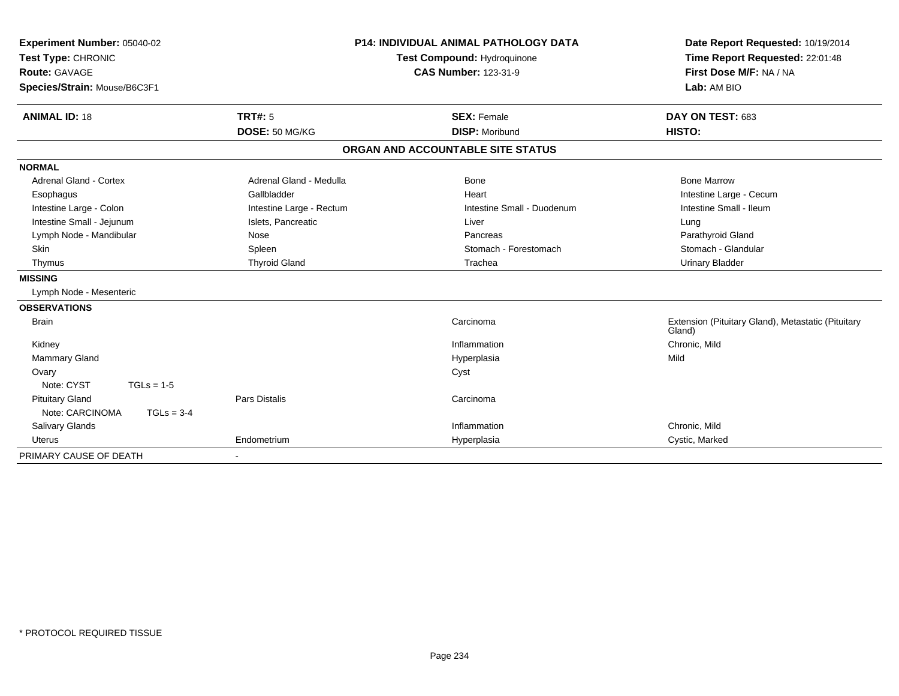| Experiment Number: 05040-02<br>Test Type: CHRONIC<br><b>Route: GAVAGE</b><br>Species/Strain: Mouse/B6C3F1 |                          | <b>P14: INDIVIDUAL ANIMAL PATHOLOGY DATA</b><br><b>Test Compound: Hydroquinone</b><br><b>CAS Number: 123-31-9</b> | Date Report Requested: 10/19/2014<br>Time Report Requested: 22:01:48<br>First Dose M/F: NA / NA<br>Lab: AM BIO |
|-----------------------------------------------------------------------------------------------------------|--------------------------|-------------------------------------------------------------------------------------------------------------------|----------------------------------------------------------------------------------------------------------------|
| <b>ANIMAL ID: 18</b>                                                                                      | <b>TRT#: 5</b>           | <b>SEX: Female</b>                                                                                                | DAY ON TEST: 683                                                                                               |
|                                                                                                           | DOSE: 50 MG/KG           | <b>DISP: Moribund</b>                                                                                             | HISTO:                                                                                                         |
|                                                                                                           |                          | ORGAN AND ACCOUNTABLE SITE STATUS                                                                                 |                                                                                                                |
| <b>NORMAL</b>                                                                                             |                          |                                                                                                                   |                                                                                                                |
| Adrenal Gland - Cortex                                                                                    | Adrenal Gland - Medulla  | <b>Bone</b>                                                                                                       | <b>Bone Marrow</b>                                                                                             |
| Esophagus                                                                                                 | Gallbladder              | Heart                                                                                                             | Intestine Large - Cecum                                                                                        |
| Intestine Large - Colon                                                                                   | Intestine Large - Rectum | Intestine Small - Duodenum                                                                                        | Intestine Small - Ileum                                                                                        |
| Intestine Small - Jejunum                                                                                 | Islets, Pancreatic       | Liver                                                                                                             | Lung                                                                                                           |
| Lymph Node - Mandibular                                                                                   | Nose                     | Pancreas                                                                                                          | Parathyroid Gland                                                                                              |
| Skin                                                                                                      | Spleen                   | Stomach - Forestomach                                                                                             | Stomach - Glandular                                                                                            |
| Thymus                                                                                                    | <b>Thyroid Gland</b>     | Trachea                                                                                                           | <b>Urinary Bladder</b>                                                                                         |
| <b>MISSING</b>                                                                                            |                          |                                                                                                                   |                                                                                                                |
| Lymph Node - Mesenteric                                                                                   |                          |                                                                                                                   |                                                                                                                |
| <b>OBSERVATIONS</b>                                                                                       |                          |                                                                                                                   |                                                                                                                |
| <b>Brain</b>                                                                                              |                          | Carcinoma                                                                                                         | Extension (Pituitary Gland), Metastatic (Pituitary<br>Gland)                                                   |
| Kidney                                                                                                    |                          | Inflammation                                                                                                      | Chronic, Mild                                                                                                  |
| <b>Mammary Gland</b>                                                                                      |                          | Hyperplasia                                                                                                       | Mild                                                                                                           |
| Ovary                                                                                                     |                          | Cyst                                                                                                              |                                                                                                                |
| Note: CYST<br>$TGLs = 1-5$                                                                                |                          |                                                                                                                   |                                                                                                                |
| <b>Pituitary Gland</b>                                                                                    | <b>Pars Distalis</b>     | Carcinoma                                                                                                         |                                                                                                                |
| Note: CARCINOMA<br>$TGLs = 3-4$                                                                           |                          |                                                                                                                   |                                                                                                                |
| <b>Salivary Glands</b>                                                                                    |                          | Inflammation                                                                                                      | Chronic, Mild                                                                                                  |
| <b>Uterus</b>                                                                                             | Endometrium              | Hyperplasia                                                                                                       | Cystic, Marked                                                                                                 |
| PRIMARY CAUSE OF DEATH                                                                                    | $\blacksquare$           |                                                                                                                   |                                                                                                                |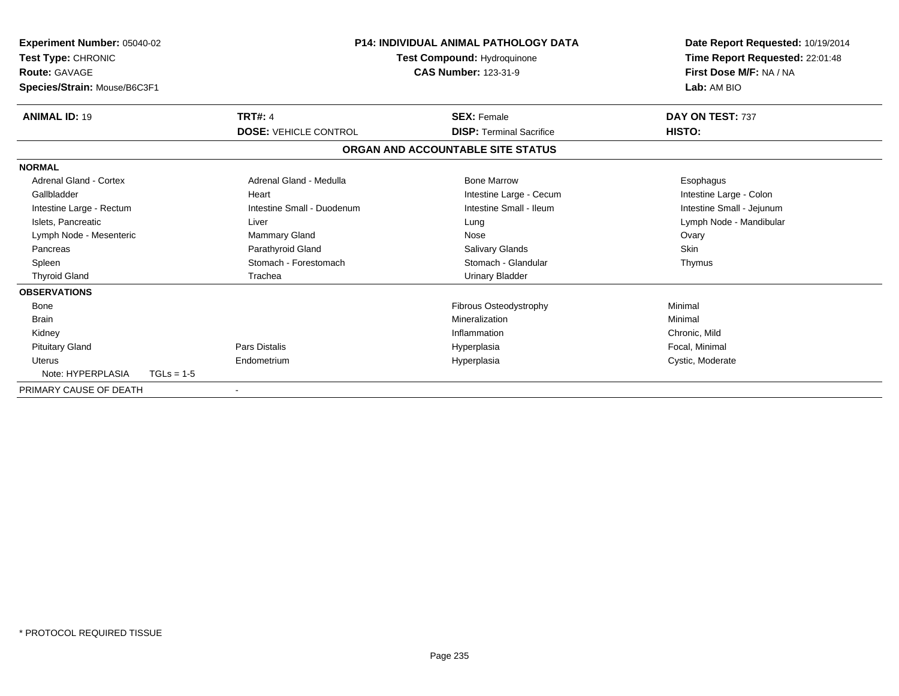| <b>Experiment Number: 05040-02</b><br><b>Test Type: CHRONIC</b><br>Route: GAVAGE<br>Species/Strain: Mouse/B6C3F1 |              |                              | <b>P14: INDIVIDUAL ANIMAL PATHOLOGY DATA</b><br>Test Compound: Hydroquinone<br><b>CAS Number: 123-31-9</b> | Date Report Requested: 10/19/2014<br>Time Report Requested: 22:01:48<br>First Dose M/F: NA / NA<br>Lab: AM BIO |  |
|------------------------------------------------------------------------------------------------------------------|--------------|------------------------------|------------------------------------------------------------------------------------------------------------|----------------------------------------------------------------------------------------------------------------|--|
| <b>ANIMAL ID: 19</b>                                                                                             |              | <b>TRT#: 4</b>               | <b>SEX: Female</b>                                                                                         | DAY ON TEST: 737                                                                                               |  |
|                                                                                                                  |              | <b>DOSE: VEHICLE CONTROL</b> | <b>DISP: Terminal Sacrifice</b>                                                                            | HISTO:                                                                                                         |  |
|                                                                                                                  |              |                              | ORGAN AND ACCOUNTABLE SITE STATUS                                                                          |                                                                                                                |  |
| <b>NORMAL</b>                                                                                                    |              |                              |                                                                                                            |                                                                                                                |  |
| Adrenal Gland - Cortex                                                                                           |              | Adrenal Gland - Medulla      | <b>Bone Marrow</b>                                                                                         | Esophagus                                                                                                      |  |
| Gallbladder                                                                                                      |              | Heart                        | Intestine Large - Cecum                                                                                    | Intestine Large - Colon                                                                                        |  |
| Intestine Large - Rectum                                                                                         |              | Intestine Small - Duodenum   | Intestine Small - Ileum                                                                                    | Intestine Small - Jejunum                                                                                      |  |
| Islets, Pancreatic                                                                                               |              | Liver                        | Lung                                                                                                       | Lymph Node - Mandibular                                                                                        |  |
| Lymph Node - Mesenteric                                                                                          |              | Mammary Gland                | Nose                                                                                                       | Ovary                                                                                                          |  |
| Pancreas                                                                                                         |              | Parathyroid Gland            | Salivary Glands                                                                                            | Skin                                                                                                           |  |
| Spleen                                                                                                           |              | Stomach - Forestomach        | Stomach - Glandular                                                                                        | Thymus                                                                                                         |  |
| <b>Thyroid Gland</b>                                                                                             |              | Trachea                      | <b>Urinary Bladder</b>                                                                                     |                                                                                                                |  |
| <b>OBSERVATIONS</b>                                                                                              |              |                              |                                                                                                            |                                                                                                                |  |
| <b>Bone</b>                                                                                                      |              |                              | Fibrous Osteodystrophy                                                                                     | Minimal                                                                                                        |  |
| <b>Brain</b>                                                                                                     |              |                              | Mineralization                                                                                             | Minimal                                                                                                        |  |
| Kidney                                                                                                           |              |                              | Inflammation                                                                                               | Chronic, Mild                                                                                                  |  |
| <b>Pituitary Gland</b>                                                                                           |              | Pars Distalis                | Hyperplasia                                                                                                | Focal, Minimal                                                                                                 |  |
| Uterus                                                                                                           |              | Endometrium                  | Hyperplasia                                                                                                | Cystic, Moderate                                                                                               |  |
| Note: HYPERPLASIA                                                                                                | $TGLs = 1-5$ |                              |                                                                                                            |                                                                                                                |  |
| PRIMARY CAUSE OF DEATH                                                                                           |              |                              |                                                                                                            |                                                                                                                |  |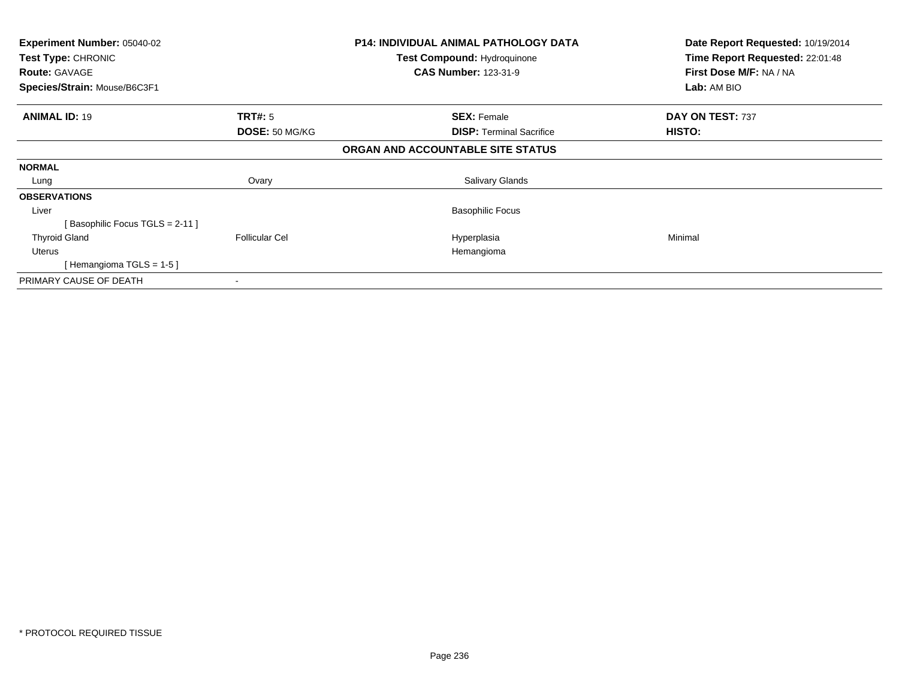| <b>Experiment Number: 05040-02</b><br>Test Type: CHRONIC |                       | <b>P14: INDIVIDUAL ANIMAL PATHOLOGY DATA</b><br><b>Test Compound: Hydroquinone</b> | Date Report Requested: 10/19/2014<br>Time Report Requested: 22:01:48 |
|----------------------------------------------------------|-----------------------|------------------------------------------------------------------------------------|----------------------------------------------------------------------|
| <b>Route: GAVAGE</b>                                     |                       | <b>CAS Number: 123-31-9</b>                                                        | First Dose M/F: NA / NA                                              |
| Species/Strain: Mouse/B6C3F1                             |                       |                                                                                    | Lab: AM BIO                                                          |
| <b>ANIMAL ID: 19</b>                                     | <b>TRT#: 5</b>        | <b>SEX: Female</b>                                                                 | DAY ON TEST: 737                                                     |
|                                                          | DOSE: 50 MG/KG        | <b>DISP:</b> Terminal Sacrifice                                                    | HISTO:                                                               |
|                                                          |                       | ORGAN AND ACCOUNTABLE SITE STATUS                                                  |                                                                      |
| <b>NORMAL</b>                                            |                       |                                                                                    |                                                                      |
| Lung                                                     | Ovary                 | Salivary Glands                                                                    |                                                                      |
| <b>OBSERVATIONS</b>                                      |                       |                                                                                    |                                                                      |
| Liver                                                    |                       | <b>Basophilic Focus</b>                                                            |                                                                      |
| [Basophilic Focus TGLS = 2-11]                           |                       |                                                                                    |                                                                      |
| <b>Thyroid Gland</b>                                     | <b>Follicular Cel</b> | Hyperplasia                                                                        | Minimal                                                              |
| Uterus                                                   |                       | Hemangioma                                                                         |                                                                      |
| [Hemangioma TGLS = $1-5$ ]                               |                       |                                                                                    |                                                                      |
| PRIMARY CAUSE OF DEATH                                   |                       |                                                                                    |                                                                      |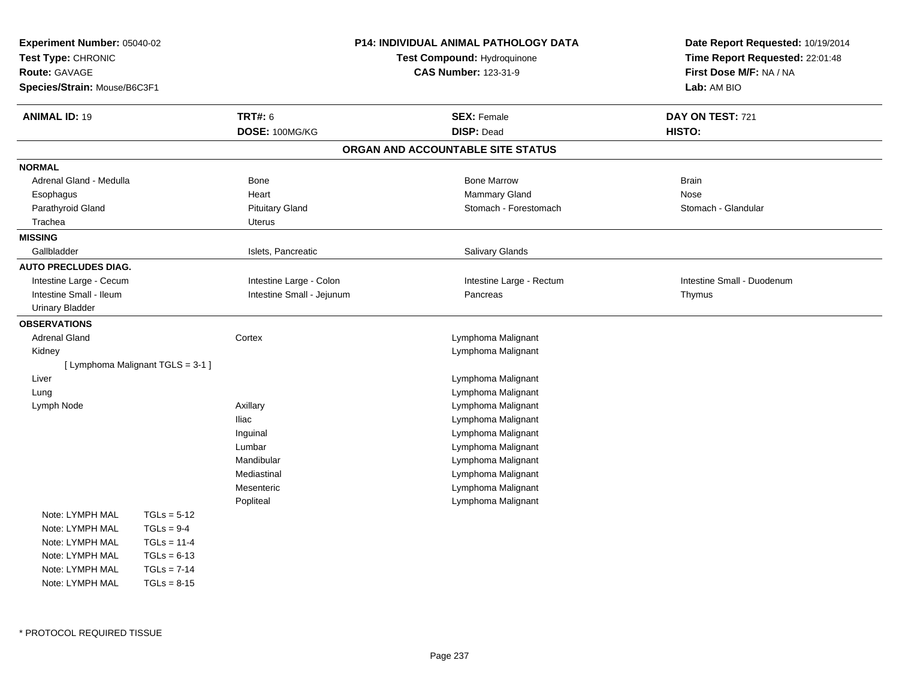| <b>Experiment Number: 05040-02</b><br>Test Type: CHRONIC<br><b>Route: GAVAGE</b><br>Species/Strain: Mouse/B6C3F1 |                                   | P14: INDIVIDUAL ANIMAL PATHOLOGY DATA<br>Test Compound: Hydroquinone<br><b>CAS Number: 123-31-9</b> |                                         | Date Report Requested: 10/19/2014<br>Time Report Requested: 22:01:48<br>First Dose M/F: NA / NA<br>Lab: AM BIO |  |
|------------------------------------------------------------------------------------------------------------------|-----------------------------------|-----------------------------------------------------------------------------------------------------|-----------------------------------------|----------------------------------------------------------------------------------------------------------------|--|
| <b>ANIMAL ID: 19</b>                                                                                             |                                   | <b>TRT#: 6</b><br>DOSE: 100MG/KG                                                                    | <b>SEX: Female</b><br><b>DISP: Dead</b> | DAY ON TEST: 721<br>HISTO:                                                                                     |  |
|                                                                                                                  |                                   |                                                                                                     | ORGAN AND ACCOUNTABLE SITE STATUS       |                                                                                                                |  |
| <b>NORMAL</b>                                                                                                    |                                   |                                                                                                     |                                         |                                                                                                                |  |
| Adrenal Gland - Medulla                                                                                          |                                   | Bone                                                                                                | <b>Bone Marrow</b>                      | <b>Brain</b>                                                                                                   |  |
| Esophagus                                                                                                        |                                   | Heart                                                                                               | Mammary Gland                           | <b>Nose</b>                                                                                                    |  |
| Parathyroid Gland                                                                                                |                                   | <b>Pituitary Gland</b>                                                                              | Stomach - Forestomach                   | Stomach - Glandular                                                                                            |  |
| Trachea                                                                                                          |                                   | Uterus                                                                                              |                                         |                                                                                                                |  |
| <b>MISSING</b>                                                                                                   |                                   |                                                                                                     |                                         |                                                                                                                |  |
| Gallbladder                                                                                                      |                                   | Islets, Pancreatic                                                                                  | Salivary Glands                         |                                                                                                                |  |
| <b>AUTO PRECLUDES DIAG.</b>                                                                                      |                                   |                                                                                                     |                                         |                                                                                                                |  |
| Intestine Large - Cecum                                                                                          |                                   | Intestine Large - Colon                                                                             | Intestine Large - Rectum                | Intestine Small - Duodenum                                                                                     |  |
| Intestine Small - Ileum                                                                                          |                                   | Intestine Small - Jejunum                                                                           | Pancreas                                | Thymus                                                                                                         |  |
| <b>Urinary Bladder</b>                                                                                           |                                   |                                                                                                     |                                         |                                                                                                                |  |
| <b>OBSERVATIONS</b>                                                                                              |                                   |                                                                                                     |                                         |                                                                                                                |  |
| <b>Adrenal Gland</b>                                                                                             |                                   | Cortex                                                                                              | Lymphoma Malignant                      |                                                                                                                |  |
| Kidney                                                                                                           |                                   |                                                                                                     | Lymphoma Malignant                      |                                                                                                                |  |
|                                                                                                                  | [ Lymphoma Malignant TGLS = 3-1 ] |                                                                                                     |                                         |                                                                                                                |  |
| Liver                                                                                                            |                                   |                                                                                                     | Lymphoma Malignant                      |                                                                                                                |  |
| Lung                                                                                                             |                                   |                                                                                                     | Lymphoma Malignant                      |                                                                                                                |  |
| Lymph Node                                                                                                       |                                   | Axillary                                                                                            | Lymphoma Malignant                      |                                                                                                                |  |
|                                                                                                                  |                                   | <b>Iliac</b>                                                                                        | Lymphoma Malignant                      |                                                                                                                |  |
|                                                                                                                  |                                   | Inguinal                                                                                            | Lymphoma Malignant                      |                                                                                                                |  |
|                                                                                                                  |                                   | Lumbar                                                                                              | Lymphoma Malignant                      |                                                                                                                |  |
|                                                                                                                  |                                   | Mandibular                                                                                          | Lymphoma Malignant                      |                                                                                                                |  |
|                                                                                                                  |                                   | Mediastinal                                                                                         | Lymphoma Malignant                      |                                                                                                                |  |
|                                                                                                                  |                                   | Mesenteric                                                                                          | Lymphoma Malignant                      |                                                                                                                |  |
|                                                                                                                  |                                   | Popliteal                                                                                           | Lymphoma Malignant                      |                                                                                                                |  |
| Note: LYMPH MAL                                                                                                  | $TGLs = 5-12$                     |                                                                                                     |                                         |                                                                                                                |  |
| Note: LYMPH MAL                                                                                                  | $TGLs = 9-4$                      |                                                                                                     |                                         |                                                                                                                |  |
| Note: LYMPH MAL                                                                                                  | $TGLs = 11-4$                     |                                                                                                     |                                         |                                                                                                                |  |
| Note: LYMPH MAL                                                                                                  | $TGLs = 6-13$                     |                                                                                                     |                                         |                                                                                                                |  |
| Note: LYMPH MAL                                                                                                  | $TGLs = 7-14$                     |                                                                                                     |                                         |                                                                                                                |  |
| Note: LYMPH MAL                                                                                                  | $TGLs = 8-15$                     |                                                                                                     |                                         |                                                                                                                |  |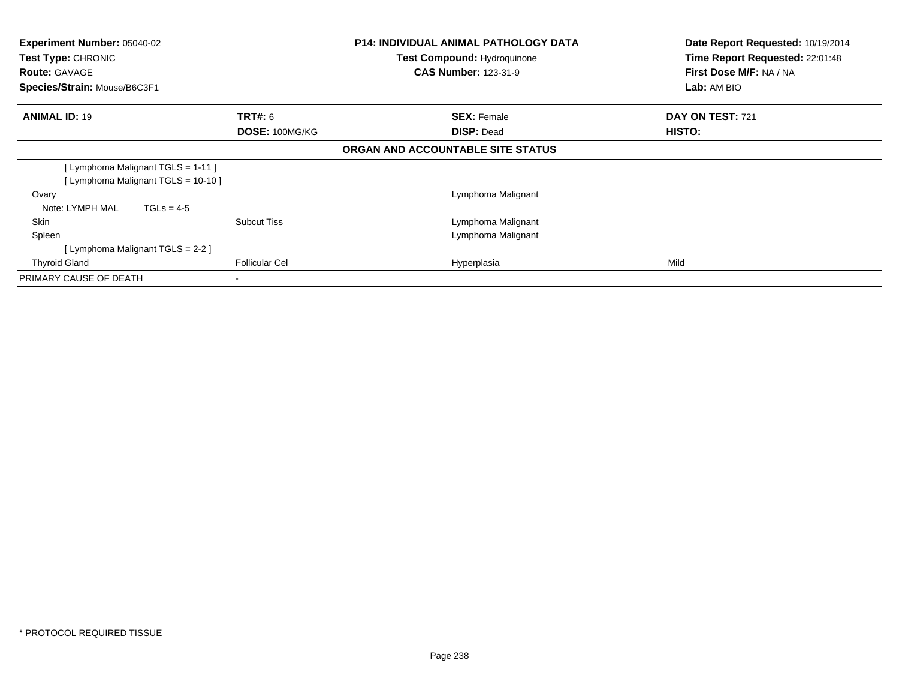| Experiment Number: 05040-02<br><b>Test Type: CHRONIC</b><br><b>Route: GAVAGE</b><br>Species/Strain: Mouse/B6C3F1 |                                         | <b>P14: INDIVIDUAL ANIMAL PATHOLOGY DATA</b><br><b>Test Compound: Hydroquinone</b><br><b>CAS Number: 123-31-9</b> | Date Report Requested: 10/19/2014<br>Time Report Requested: 22:01:48<br>First Dose M/F: NA / NA<br>Lab: AM BIO |
|------------------------------------------------------------------------------------------------------------------|-----------------------------------------|-------------------------------------------------------------------------------------------------------------------|----------------------------------------------------------------------------------------------------------------|
| <b>ANIMAL ID: 19</b>                                                                                             | <b>TRT#:</b> 6<br><b>DOSE: 100MG/KG</b> | <b>SEX: Female</b><br><b>DISP: Dead</b>                                                                           | DAY ON TEST: 721<br><b>HISTO:</b>                                                                              |
|                                                                                                                  |                                         | ORGAN AND ACCOUNTABLE SITE STATUS                                                                                 |                                                                                                                |
| [ Lymphoma Malignant TGLS = 1-11 ]<br>[ Lymphoma Malignant TGLS = 10-10 ]                                        |                                         |                                                                                                                   |                                                                                                                |
| Ovary<br>Note: LYMPH MAL<br>$TGLs = 4-5$                                                                         |                                         | Lymphoma Malignant                                                                                                |                                                                                                                |
| <b>Skin</b><br>Spleen<br>[Lymphoma Malignant TGLS = $2-2$ ]                                                      | <b>Subcut Tiss</b>                      | Lymphoma Malignant<br>Lymphoma Malignant                                                                          |                                                                                                                |
| <b>Thyroid Gland</b>                                                                                             | <b>Follicular Cel</b>                   | Hyperplasia                                                                                                       | Mild                                                                                                           |
| PRIMARY CAUSE OF DEATH                                                                                           |                                         |                                                                                                                   |                                                                                                                |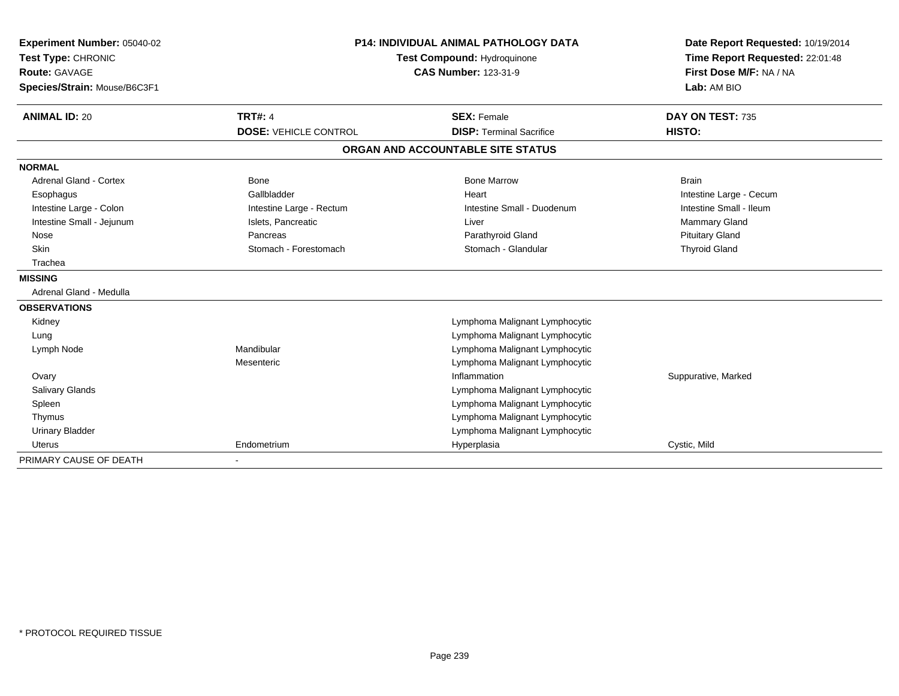| Experiment Number: 05040-02<br>Test Type: CHRONIC |                              | <b>P14: INDIVIDUAL ANIMAL PATHOLOGY DATA</b><br><b>Test Compound: Hydroquinone</b> | Date Report Requested: 10/19/2014<br>Time Report Requested: 22:01:48 |  |
|---------------------------------------------------|------------------------------|------------------------------------------------------------------------------------|----------------------------------------------------------------------|--|
| <b>Route: GAVAGE</b>                              |                              | <b>CAS Number: 123-31-9</b>                                                        | First Dose M/F: NA / NA                                              |  |
| Species/Strain: Mouse/B6C3F1                      |                              |                                                                                    | Lab: AM BIO                                                          |  |
| <b>ANIMAL ID: 20</b>                              | <b>TRT#: 4</b>               | <b>SEX: Female</b>                                                                 | DAY ON TEST: 735                                                     |  |
|                                                   | <b>DOSE: VEHICLE CONTROL</b> | <b>DISP: Terminal Sacrifice</b>                                                    | HISTO:                                                               |  |
|                                                   |                              | ORGAN AND ACCOUNTABLE SITE STATUS                                                  |                                                                      |  |
| <b>NORMAL</b>                                     |                              |                                                                                    |                                                                      |  |
| <b>Adrenal Gland - Cortex</b>                     | <b>Bone</b>                  | <b>Bone Marrow</b>                                                                 | <b>Brain</b>                                                         |  |
| Esophagus                                         | Gallbladder                  | Heart                                                                              | Intestine Large - Cecum                                              |  |
| Intestine Large - Colon                           | Intestine Large - Rectum     | Intestine Small - Duodenum                                                         | Intestine Small - Ileum                                              |  |
| Intestine Small - Jejunum                         | Islets, Pancreatic           | Liver                                                                              | <b>Mammary Gland</b>                                                 |  |
| Nose                                              | Pancreas                     | Parathyroid Gland                                                                  | <b>Pituitary Gland</b>                                               |  |
| <b>Skin</b>                                       | Stomach - Forestomach        | Stomach - Glandular                                                                | <b>Thyroid Gland</b>                                                 |  |
| Trachea                                           |                              |                                                                                    |                                                                      |  |
| <b>MISSING</b>                                    |                              |                                                                                    |                                                                      |  |
| Adrenal Gland - Medulla                           |                              |                                                                                    |                                                                      |  |
| <b>OBSERVATIONS</b>                               |                              |                                                                                    |                                                                      |  |
| Kidney                                            |                              | Lymphoma Malignant Lymphocytic                                                     |                                                                      |  |
| Lung                                              |                              | Lymphoma Malignant Lymphocytic                                                     |                                                                      |  |
| Lymph Node                                        | Mandibular                   | Lymphoma Malignant Lymphocytic                                                     |                                                                      |  |
|                                                   | Mesenteric                   | Lymphoma Malignant Lymphocytic                                                     |                                                                      |  |
| Ovary                                             |                              | Inflammation                                                                       | Suppurative, Marked                                                  |  |
| Salivary Glands                                   |                              | Lymphoma Malignant Lymphocytic                                                     |                                                                      |  |
| Spleen                                            |                              | Lymphoma Malignant Lymphocytic                                                     |                                                                      |  |
| Thymus                                            |                              | Lymphoma Malignant Lymphocytic                                                     |                                                                      |  |
| <b>Urinary Bladder</b>                            |                              | Lymphoma Malignant Lymphocytic                                                     |                                                                      |  |
| Uterus                                            | Endometrium                  | Hyperplasia                                                                        | Cystic, Mild                                                         |  |
| PRIMARY CAUSE OF DEATH                            |                              |                                                                                    |                                                                      |  |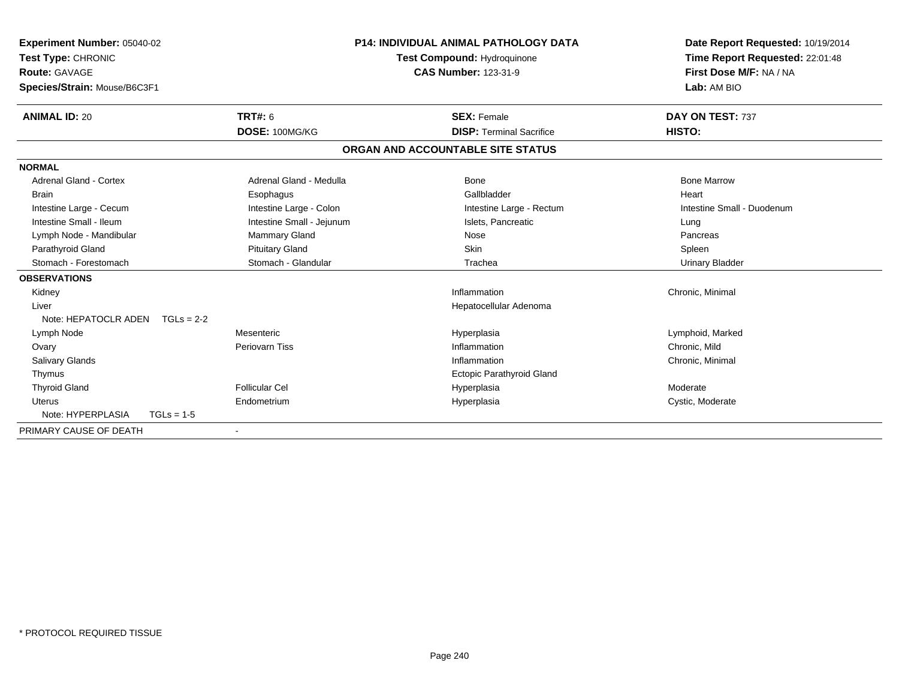| Experiment Number: 05040-02<br>Test Type: CHRONIC |              | <b>P14: INDIVIDUAL ANIMAL PATHOLOGY DATA</b><br>Test Compound: Hydroquinone |  | Date Report Requested: 10/19/2014<br>Time Report Requested: 22:01:48 |                            |
|---------------------------------------------------|--------------|-----------------------------------------------------------------------------|--|----------------------------------------------------------------------|----------------------------|
| Route: GAVAGE                                     |              |                                                                             |  | <b>CAS Number: 123-31-9</b>                                          | First Dose M/F: NA / NA    |
| Species/Strain: Mouse/B6C3F1                      |              |                                                                             |  |                                                                      | Lab: AM BIO                |
| <b>ANIMAL ID: 20</b>                              |              | <b>TRT#: 6</b>                                                              |  | <b>SEX: Female</b>                                                   | DAY ON TEST: 737           |
|                                                   |              | DOSE: 100MG/KG                                                              |  | <b>DISP: Terminal Sacrifice</b>                                      | HISTO:                     |
|                                                   |              |                                                                             |  | ORGAN AND ACCOUNTABLE SITE STATUS                                    |                            |
| <b>NORMAL</b>                                     |              |                                                                             |  |                                                                      |                            |
| <b>Adrenal Gland - Cortex</b>                     |              | Adrenal Gland - Medulla                                                     |  | Bone                                                                 | <b>Bone Marrow</b>         |
| <b>Brain</b>                                      |              | Esophagus                                                                   |  | Gallbladder                                                          | Heart                      |
| Intestine Large - Cecum                           |              | Intestine Large - Colon                                                     |  | Intestine Large - Rectum                                             | Intestine Small - Duodenum |
| Intestine Small - Ileum                           |              | Intestine Small - Jejunum                                                   |  | Islets. Pancreatic                                                   | Lung                       |
| Lymph Node - Mandibular                           |              | <b>Mammary Gland</b>                                                        |  | Nose                                                                 | Pancreas                   |
| Parathyroid Gland                                 |              | <b>Pituitary Gland</b>                                                      |  | Skin                                                                 | Spleen                     |
| Stomach - Forestomach                             |              | Stomach - Glandular                                                         |  | Trachea                                                              | <b>Urinary Bladder</b>     |
| <b>OBSERVATIONS</b>                               |              |                                                                             |  |                                                                      |                            |
| Kidney                                            |              |                                                                             |  | Inflammation                                                         | Chronic, Minimal           |
| Liver                                             |              |                                                                             |  | Hepatocellular Adenoma                                               |                            |
| Note: HEPATOCLR ADEN $TGLs = 2-2$                 |              |                                                                             |  |                                                                      |                            |
| Lymph Node                                        |              | Mesenteric                                                                  |  | Hyperplasia                                                          | Lymphoid, Marked           |
| Ovary                                             |              | Periovarn Tiss                                                              |  | Inflammation                                                         | Chronic, Mild              |
| <b>Salivary Glands</b>                            |              |                                                                             |  | Inflammation                                                         | Chronic, Minimal           |
| Thymus                                            |              |                                                                             |  | <b>Ectopic Parathyroid Gland</b>                                     |                            |
| <b>Thyroid Gland</b>                              |              | <b>Follicular Cel</b>                                                       |  | Hyperplasia                                                          | Moderate                   |
| Uterus                                            |              | Endometrium                                                                 |  | Hyperplasia                                                          | Cystic, Moderate           |
| Note: HYPERPLASIA                                 | $TGLs = 1-5$ |                                                                             |  |                                                                      |                            |
| PRIMARY CAUSE OF DEATH                            |              |                                                                             |  |                                                                      |                            |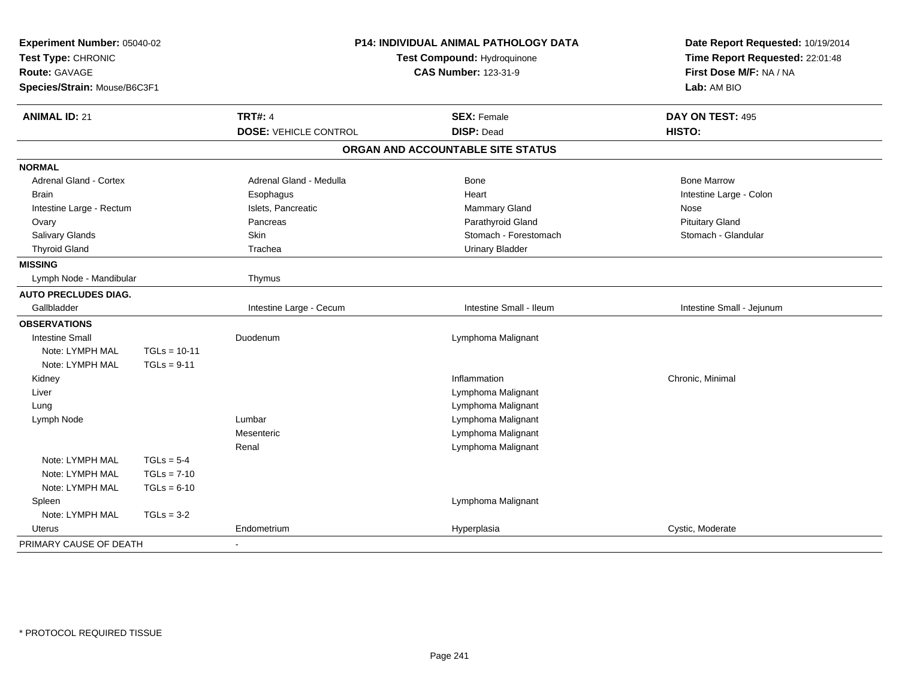| Experiment Number: 05040-02<br>Test Type: CHRONIC<br>Route: GAVAGE<br>Species/Strain: Mouse/B6C3F1 |                | P14: INDIVIDUAL ANIMAL PATHOLOGY DATA<br>Test Compound: Hydroquinone<br><b>CAS Number: 123-31-9</b> |                                   | Date Report Requested: 10/19/2014<br>Time Report Requested: 22:01:48<br>First Dose M/F: NA / NA<br>Lab: AM BIO |
|----------------------------------------------------------------------------------------------------|----------------|-----------------------------------------------------------------------------------------------------|-----------------------------------|----------------------------------------------------------------------------------------------------------------|
| <b>ANIMAL ID: 21</b>                                                                               |                | <b>TRT#: 4</b>                                                                                      | <b>SEX: Female</b>                | DAY ON TEST: 495                                                                                               |
|                                                                                                    |                | <b>DOSE: VEHICLE CONTROL</b>                                                                        | <b>DISP: Dead</b>                 | HISTO:                                                                                                         |
|                                                                                                    |                |                                                                                                     | ORGAN AND ACCOUNTABLE SITE STATUS |                                                                                                                |
| <b>NORMAL</b>                                                                                      |                |                                                                                                     |                                   |                                                                                                                |
| Adrenal Gland - Cortex                                                                             |                | Adrenal Gland - Medulla                                                                             | Bone                              | <b>Bone Marrow</b>                                                                                             |
| <b>Brain</b>                                                                                       |                | Esophagus                                                                                           | Heart                             | Intestine Large - Colon                                                                                        |
| Intestine Large - Rectum                                                                           |                | Islets, Pancreatic                                                                                  | Mammary Gland                     | Nose                                                                                                           |
| Ovary                                                                                              |                | Pancreas                                                                                            | Parathyroid Gland                 | <b>Pituitary Gland</b>                                                                                         |
| <b>Salivary Glands</b>                                                                             |                | <b>Skin</b>                                                                                         | Stomach - Forestomach             | Stomach - Glandular                                                                                            |
| <b>Thyroid Gland</b>                                                                               |                | Trachea                                                                                             | <b>Urinary Bladder</b>            |                                                                                                                |
| <b>MISSING</b>                                                                                     |                |                                                                                                     |                                   |                                                                                                                |
| Lymph Node - Mandibular                                                                            |                | Thymus                                                                                              |                                   |                                                                                                                |
| <b>AUTO PRECLUDES DIAG.</b>                                                                        |                |                                                                                                     |                                   |                                                                                                                |
| Gallbladder                                                                                        |                | Intestine Large - Cecum                                                                             | Intestine Small - Ileum           | Intestine Small - Jejunum                                                                                      |
| <b>OBSERVATIONS</b>                                                                                |                |                                                                                                     |                                   |                                                                                                                |
| <b>Intestine Small</b>                                                                             |                | Duodenum                                                                                            | Lymphoma Malignant                |                                                                                                                |
| Note: LYMPH MAL                                                                                    | $TGLs = 10-11$ |                                                                                                     |                                   |                                                                                                                |
| Note: LYMPH MAL                                                                                    | $TGLs = 9-11$  |                                                                                                     |                                   |                                                                                                                |
| Kidney                                                                                             |                |                                                                                                     | Inflammation                      | Chronic, Minimal                                                                                               |
| Liver                                                                                              |                |                                                                                                     | Lymphoma Malignant                |                                                                                                                |
| Lung                                                                                               |                |                                                                                                     | Lymphoma Malignant                |                                                                                                                |
| Lymph Node                                                                                         |                | Lumbar                                                                                              | Lymphoma Malignant                |                                                                                                                |
|                                                                                                    |                | Mesenteric                                                                                          | Lymphoma Malignant                |                                                                                                                |
|                                                                                                    |                | Renal                                                                                               | Lymphoma Malignant                |                                                                                                                |
| Note: LYMPH MAL                                                                                    | $TGLs = 5-4$   |                                                                                                     |                                   |                                                                                                                |
| Note: LYMPH MAL                                                                                    | $TGLs = 7-10$  |                                                                                                     |                                   |                                                                                                                |
| Note: LYMPH MAL                                                                                    | $TGLs = 6-10$  |                                                                                                     |                                   |                                                                                                                |
| Spleen                                                                                             |                |                                                                                                     | Lymphoma Malignant                |                                                                                                                |
| Note: LYMPH MAL                                                                                    | $TGLs = 3-2$   |                                                                                                     |                                   |                                                                                                                |
| Uterus                                                                                             |                | Endometrium                                                                                         | Hyperplasia                       | Cystic, Moderate                                                                                               |
| PRIMARY CAUSE OF DEATH                                                                             |                |                                                                                                     |                                   |                                                                                                                |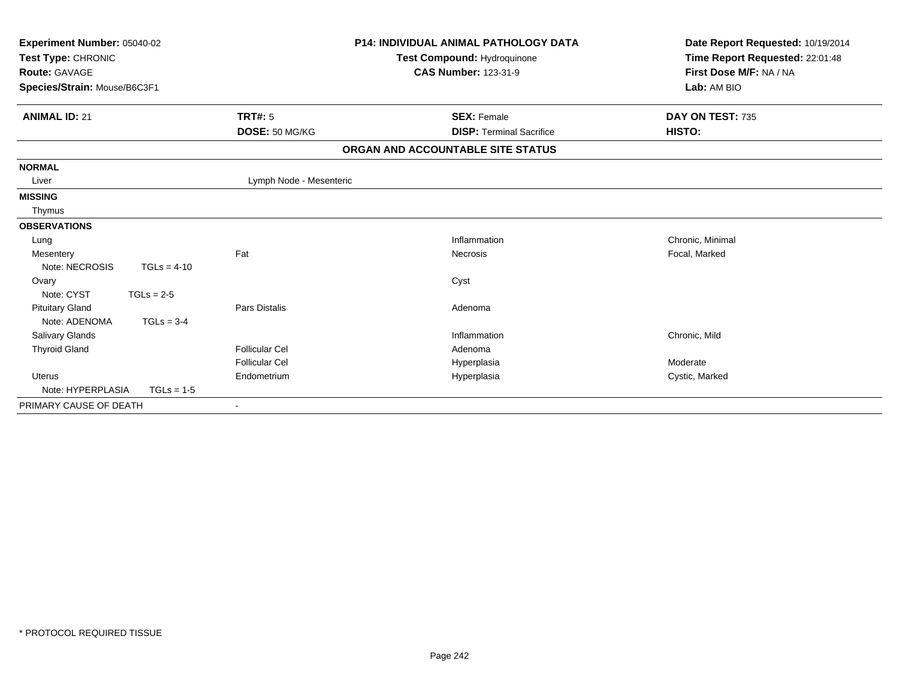| Experiment Number: 05040-02<br>Test Type: CHRONIC<br><b>Route: GAVAGE</b><br>Species/Strain: Mouse/B6C3F1 |               |                          | <b>P14: INDIVIDUAL ANIMAL PATHOLOGY DATA</b><br>Test Compound: Hydroquinone<br><b>CAS Number: 123-31-9</b> | Date Report Requested: 10/19/2014<br>Time Report Requested: 22:01:48<br>First Dose M/F: NA / NA<br>Lab: AM BIO |
|-----------------------------------------------------------------------------------------------------------|---------------|--------------------------|------------------------------------------------------------------------------------------------------------|----------------------------------------------------------------------------------------------------------------|
| <b>ANIMAL ID: 21</b>                                                                                      |               | <b>TRT#: 5</b>           | <b>SEX: Female</b>                                                                                         | DAY ON TEST: 735                                                                                               |
|                                                                                                           |               | DOSE: 50 MG/KG           | <b>DISP: Terminal Sacrifice</b>                                                                            | HISTO:                                                                                                         |
|                                                                                                           |               |                          | ORGAN AND ACCOUNTABLE SITE STATUS                                                                          |                                                                                                                |
| <b>NORMAL</b>                                                                                             |               |                          |                                                                                                            |                                                                                                                |
| Liver                                                                                                     |               | Lymph Node - Mesenteric  |                                                                                                            |                                                                                                                |
| <b>MISSING</b>                                                                                            |               |                          |                                                                                                            |                                                                                                                |
| Thymus                                                                                                    |               |                          |                                                                                                            |                                                                                                                |
| <b>OBSERVATIONS</b>                                                                                       |               |                          |                                                                                                            |                                                                                                                |
| Lung                                                                                                      |               |                          | Inflammation                                                                                               | Chronic, Minimal                                                                                               |
| Mesentery                                                                                                 |               | Fat                      | Necrosis                                                                                                   | Focal, Marked                                                                                                  |
| Note: NECROSIS                                                                                            | $TGLs = 4-10$ |                          |                                                                                                            |                                                                                                                |
| Ovary                                                                                                     |               |                          | Cyst                                                                                                       |                                                                                                                |
| Note: CYST                                                                                                | $TGLs = 2-5$  |                          |                                                                                                            |                                                                                                                |
| <b>Pituitary Gland</b>                                                                                    |               | Pars Distalis            | Adenoma                                                                                                    |                                                                                                                |
| Note: ADENOMA                                                                                             | $TGLs = 3-4$  |                          |                                                                                                            |                                                                                                                |
| Salivary Glands                                                                                           |               |                          | Inflammation                                                                                               | Chronic, Mild                                                                                                  |
| <b>Thyroid Gland</b>                                                                                      |               | <b>Follicular Cel</b>    | Adenoma                                                                                                    |                                                                                                                |
|                                                                                                           |               | <b>Follicular Cel</b>    | Hyperplasia                                                                                                | Moderate                                                                                                       |
| <b>Uterus</b>                                                                                             |               | Endometrium              | Hyperplasia                                                                                                | Cystic, Marked                                                                                                 |
| Note: HYPERPLASIA                                                                                         | $TGLs = 1-5$  |                          |                                                                                                            |                                                                                                                |
| PRIMARY CAUSE OF DEATH                                                                                    |               | $\overline{\phantom{a}}$ |                                                                                                            |                                                                                                                |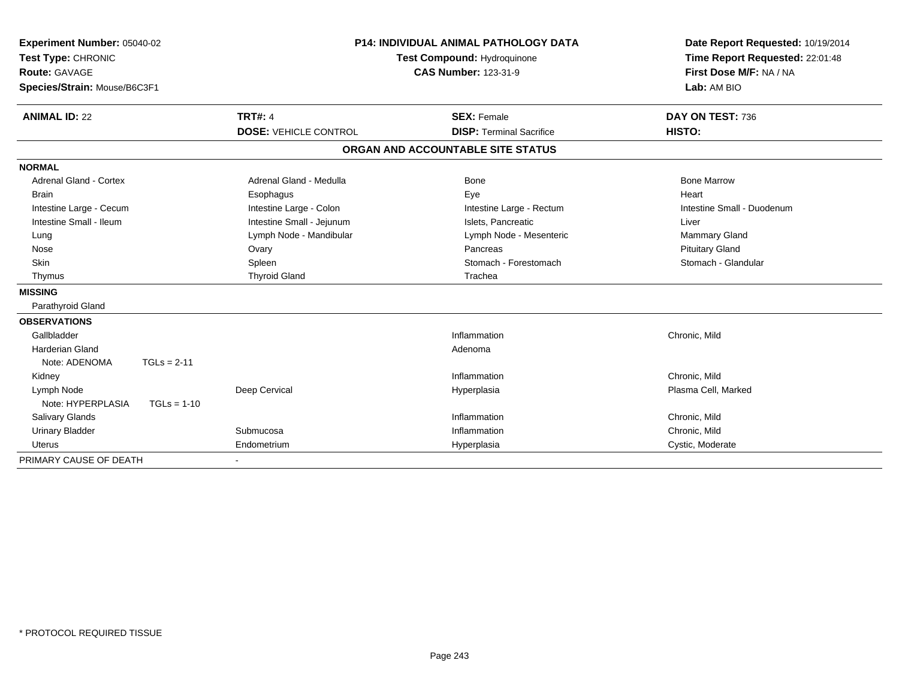| Experiment Number: 05040-02<br>Test Type: CHRONIC |               |                              | <b>P14: INDIVIDUAL ANIMAL PATHOLOGY DATA</b> | Date Report Requested: 10/19/2014 |
|---------------------------------------------------|---------------|------------------------------|----------------------------------------------|-----------------------------------|
|                                                   |               | Test Compound: Hydroquinone  |                                              | Time Report Requested: 22:01:48   |
| <b>Route: GAVAGE</b>                              |               |                              | <b>CAS Number: 123-31-9</b>                  | First Dose M/F: NA / NA           |
| Species/Strain: Mouse/B6C3F1                      |               |                              |                                              | Lab: AM BIO                       |
| <b>ANIMAL ID: 22</b>                              |               | <b>TRT#: 4</b>               | <b>SEX: Female</b>                           | DAY ON TEST: 736                  |
|                                                   |               | <b>DOSE: VEHICLE CONTROL</b> | <b>DISP: Terminal Sacrifice</b>              | HISTO:                            |
|                                                   |               |                              | ORGAN AND ACCOUNTABLE SITE STATUS            |                                   |
| <b>NORMAL</b>                                     |               |                              |                                              |                                   |
| Adrenal Gland - Cortex                            |               | Adrenal Gland - Medulla      | <b>Bone</b>                                  | <b>Bone Marrow</b>                |
| <b>Brain</b>                                      |               | Esophagus                    | Eye                                          | Heart                             |
| Intestine Large - Cecum                           |               | Intestine Large - Colon      | Intestine Large - Rectum                     | Intestine Small - Duodenum        |
| Intestine Small - Ileum                           |               | Intestine Small - Jejunum    | Islets. Pancreatic                           | Liver                             |
| Lung                                              |               | Lymph Node - Mandibular      | Lymph Node - Mesenteric                      | <b>Mammary Gland</b>              |
| Nose                                              |               | Ovary                        | Pancreas                                     | <b>Pituitary Gland</b>            |
| <b>Skin</b>                                       |               | Spleen                       | Stomach - Forestomach                        | Stomach - Glandular               |
| Thymus                                            |               | <b>Thyroid Gland</b>         | Trachea                                      |                                   |
| <b>MISSING</b>                                    |               |                              |                                              |                                   |
| Parathyroid Gland                                 |               |                              |                                              |                                   |
| <b>OBSERVATIONS</b>                               |               |                              |                                              |                                   |
| Gallbladder                                       |               |                              | Inflammation                                 | Chronic, Mild                     |
| <b>Harderian Gland</b>                            |               |                              | Adenoma                                      |                                   |
| Note: ADENOMA                                     | $TGLs = 2-11$ |                              |                                              |                                   |
| Kidney                                            |               |                              | Inflammation                                 | Chronic, Mild                     |
| Lymph Node                                        |               | Deep Cervical                | Hyperplasia                                  | Plasma Cell, Marked               |
| Note: HYPERPLASIA                                 | $TGLs = 1-10$ |                              |                                              |                                   |
| Salivary Glands                                   |               |                              | Inflammation                                 | Chronic, Mild                     |
| <b>Urinary Bladder</b>                            |               | Submucosa                    | Inflammation                                 | Chronic, Mild                     |
| <b>Uterus</b>                                     |               | Endometrium                  | Hyperplasia                                  | Cystic, Moderate                  |
| PRIMARY CAUSE OF DEATH                            |               |                              |                                              |                                   |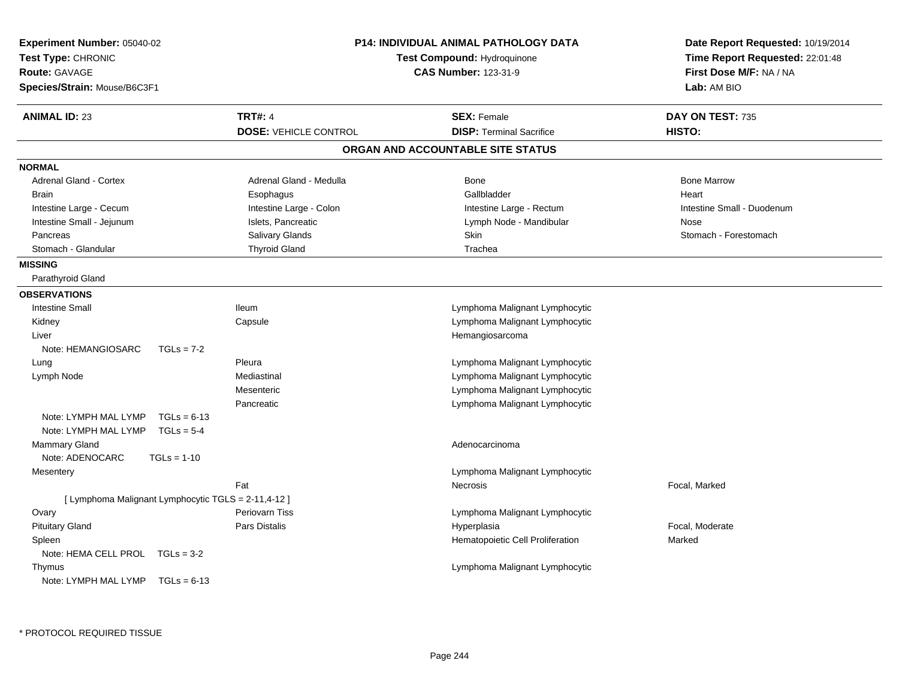| Experiment Number: 05040-02<br>Test Type: CHRONIC<br><b>Route: GAVAGE</b><br>Species/Strain: Mouse/B6C3F1 |                              | <b>P14: INDIVIDUAL ANIMAL PATHOLOGY DATA</b><br>Test Compound: Hydroquinone<br><b>CAS Number: 123-31-9</b> | Date Report Requested: 10/19/2014<br>Time Report Requested: 22:01:48<br>First Dose M/F: NA / NA<br>Lab: AM BIO |
|-----------------------------------------------------------------------------------------------------------|------------------------------|------------------------------------------------------------------------------------------------------------|----------------------------------------------------------------------------------------------------------------|
| <b>ANIMAL ID: 23</b>                                                                                      | <b>TRT#: 4</b>               | <b>SEX: Female</b>                                                                                         | DAY ON TEST: 735                                                                                               |
|                                                                                                           | <b>DOSE: VEHICLE CONTROL</b> | <b>DISP: Terminal Sacrifice</b>                                                                            | HISTO:                                                                                                         |
|                                                                                                           |                              | ORGAN AND ACCOUNTABLE SITE STATUS                                                                          |                                                                                                                |
| <b>NORMAL</b>                                                                                             |                              |                                                                                                            |                                                                                                                |
| <b>Adrenal Gland - Cortex</b>                                                                             | Adrenal Gland - Medulla      | Bone                                                                                                       | <b>Bone Marrow</b>                                                                                             |
| <b>Brain</b>                                                                                              | Esophagus                    | Gallbladder                                                                                                | Heart                                                                                                          |
| Intestine Large - Cecum                                                                                   | Intestine Large - Colon      | Intestine Large - Rectum                                                                                   | Intestine Small - Duodenum                                                                                     |
| Intestine Small - Jejunum                                                                                 | Islets, Pancreatic           | Lymph Node - Mandibular                                                                                    | Nose                                                                                                           |
| Pancreas                                                                                                  | <b>Salivary Glands</b>       | Skin                                                                                                       | Stomach - Forestomach                                                                                          |
| Stomach - Glandular                                                                                       | <b>Thyroid Gland</b>         | Trachea                                                                                                    |                                                                                                                |
| <b>MISSING</b>                                                                                            |                              |                                                                                                            |                                                                                                                |
| Parathyroid Gland                                                                                         |                              |                                                                                                            |                                                                                                                |
| <b>OBSERVATIONS</b>                                                                                       |                              |                                                                                                            |                                                                                                                |
| <b>Intestine Small</b>                                                                                    | <b>Ileum</b>                 | Lymphoma Malignant Lymphocytic                                                                             |                                                                                                                |
| Kidney                                                                                                    | Capsule                      | Lymphoma Malignant Lymphocytic                                                                             |                                                                                                                |
| Liver                                                                                                     |                              | Hemangiosarcoma                                                                                            |                                                                                                                |
| Note: HEMANGIOSARC<br>$TGLs = 7-2$                                                                        |                              |                                                                                                            |                                                                                                                |
| Lung                                                                                                      | Pleura                       | Lymphoma Malignant Lymphocytic                                                                             |                                                                                                                |
| Lymph Node                                                                                                | Mediastinal                  | Lymphoma Malignant Lymphocytic                                                                             |                                                                                                                |
|                                                                                                           | Mesenteric                   | Lymphoma Malignant Lymphocytic                                                                             |                                                                                                                |
|                                                                                                           | Pancreatic                   | Lymphoma Malignant Lymphocytic                                                                             |                                                                                                                |
| Note: LYMPH MAL LYMP<br>$TGLs = 6-13$                                                                     |                              |                                                                                                            |                                                                                                                |
| Note: LYMPH MAL LYMP<br>$TGLs = 5-4$                                                                      |                              |                                                                                                            |                                                                                                                |
| Mammary Gland                                                                                             |                              | Adenocarcinoma                                                                                             |                                                                                                                |
| Note: ADENOCARC<br>$TGLs = 1-10$                                                                          |                              |                                                                                                            |                                                                                                                |
| Mesentery                                                                                                 |                              | Lymphoma Malignant Lymphocytic                                                                             |                                                                                                                |
|                                                                                                           | Fat                          | Necrosis                                                                                                   | Focal, Marked                                                                                                  |
| [ Lymphoma Malignant Lymphocytic TGLS = 2-11,4-12 ]                                                       |                              |                                                                                                            |                                                                                                                |
| Ovary                                                                                                     | <b>Periovarn Tiss</b>        | Lymphoma Malignant Lymphocytic                                                                             |                                                                                                                |
| <b>Pituitary Gland</b>                                                                                    | Pars Distalis                | Hyperplasia                                                                                                | Focal, Moderate                                                                                                |
| Spleen                                                                                                    |                              | Hematopoietic Cell Proliferation                                                                           | Marked                                                                                                         |
| Note: HEMA CELL PROL TGLs = 3-2                                                                           |                              |                                                                                                            |                                                                                                                |
| Thymus                                                                                                    |                              | Lymphoma Malignant Lymphocytic                                                                             |                                                                                                                |
| Note: LYMPH MAL LYMP $TGLs = 6-13$                                                                        |                              |                                                                                                            |                                                                                                                |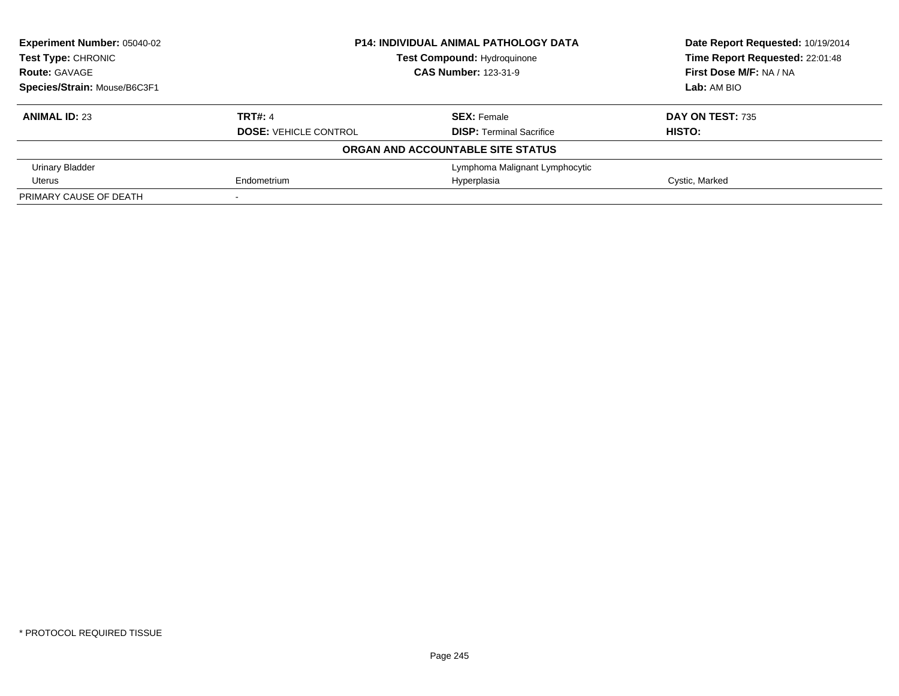| Experiment Number: 05040-02  |                              | <b>P14: INDIVIDUAL ANIMAL PATHOLOGY DATA</b> | Date Report Requested: 10/19/2014 |  |
|------------------------------|------------------------------|----------------------------------------------|-----------------------------------|--|
| Test Type: CHRONIC           |                              | <b>Test Compound: Hydroquinone</b>           |                                   |  |
| <b>Route: GAVAGE</b>         |                              | <b>CAS Number: 123-31-9</b>                  | First Dose M/F: NA / NA           |  |
| Species/Strain: Mouse/B6C3F1 |                              |                                              | Lab: AM BIO                       |  |
| <b>ANIMAL ID: 23</b>         | TRT#: 4                      | <b>SEX: Female</b>                           | DAY ON TEST: 735                  |  |
|                              | <b>DOSE: VEHICLE CONTROL</b> | <b>DISP:</b> Terminal Sacrifice              | HISTO:                            |  |
|                              |                              | ORGAN AND ACCOUNTABLE SITE STATUS            |                                   |  |
| Urinary Bladder              |                              | Lymphoma Malignant Lymphocytic               |                                   |  |
| Uterus                       | Endometrium                  | Hyperplasia                                  | Cystic, Marked                    |  |
| PRIMARY CAUSE OF DEATH       |                              |                                              |                                   |  |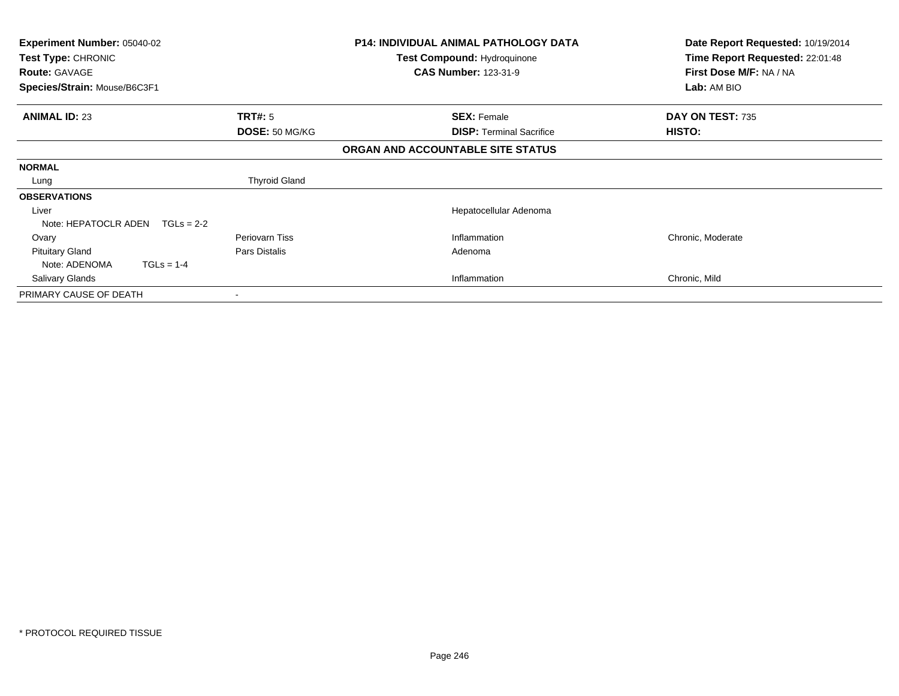| <b>Experiment Number: 05040-02</b><br>Test Type: CHRONIC<br><b>Route: GAVAGE</b> |                      | <b>P14: INDIVIDUAL ANIMAL PATHOLOGY DATA</b><br><b>Test Compound: Hydroquinone</b><br><b>CAS Number: 123-31-9</b> | Date Report Requested: 10/19/2014<br>Time Report Requested: 22:01:48<br>First Dose M/F: NA / NA |
|----------------------------------------------------------------------------------|----------------------|-------------------------------------------------------------------------------------------------------------------|-------------------------------------------------------------------------------------------------|
| Species/Strain: Mouse/B6C3F1                                                     |                      |                                                                                                                   | Lab: AM BIO                                                                                     |
| <b>ANIMAL ID: 23</b>                                                             | <b>TRT#:</b> 5       | <b>SEX: Female</b>                                                                                                | DAY ON TEST: 735                                                                                |
|                                                                                  | DOSE: 50 MG/KG       | <b>DISP:</b> Terminal Sacrifice                                                                                   | HISTO:                                                                                          |
|                                                                                  |                      | ORGAN AND ACCOUNTABLE SITE STATUS                                                                                 |                                                                                                 |
| <b>NORMAL</b>                                                                    |                      |                                                                                                                   |                                                                                                 |
| Lung                                                                             | <b>Thyroid Gland</b> |                                                                                                                   |                                                                                                 |
| <b>OBSERVATIONS</b>                                                              |                      |                                                                                                                   |                                                                                                 |
| Liver                                                                            |                      | Hepatocellular Adenoma                                                                                            |                                                                                                 |
| Note: HEPATOCLR ADEN<br>$TGLs = 2-2$                                             |                      |                                                                                                                   |                                                                                                 |
| Ovary                                                                            | Periovarn Tiss       | Inflammation                                                                                                      | Chronic, Moderate                                                                               |
| <b>Pituitary Gland</b>                                                           | Pars Distalis        | Adenoma                                                                                                           |                                                                                                 |
| Note: ADENOMA<br>$TGLs = 1-4$                                                    |                      |                                                                                                                   |                                                                                                 |
| Salivary Glands                                                                  |                      | Inflammation                                                                                                      | Chronic, Mild                                                                                   |
| PRIMARY CAUSE OF DEATH                                                           |                      |                                                                                                                   |                                                                                                 |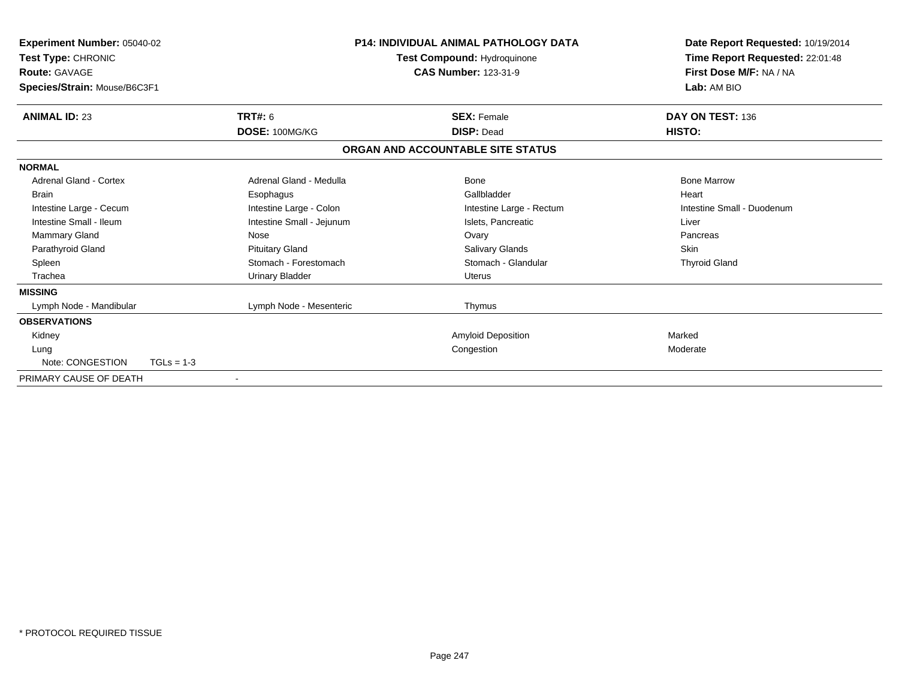| <b>Experiment Number: 05040-02</b><br>Test Type: CHRONIC<br><b>Route: GAVAGE</b><br>Species/Strain: Mouse/B6C3F1 |                           | <b>P14: INDIVIDUAL ANIMAL PATHOLOGY DATA</b><br>Test Compound: Hydroquinone<br><b>CAS Number: 123-31-9</b> |                                   | Date Report Requested: 10/19/2014<br>Time Report Requested: 22:01:48<br>First Dose M/F: NA / NA<br>Lab: AM BIO |
|------------------------------------------------------------------------------------------------------------------|---------------------------|------------------------------------------------------------------------------------------------------------|-----------------------------------|----------------------------------------------------------------------------------------------------------------|
| <b>ANIMAL ID: 23</b>                                                                                             | <b>TRT#: 6</b>            |                                                                                                            | <b>SEX: Female</b>                | DAY ON TEST: 136                                                                                               |
|                                                                                                                  | DOSE: 100MG/KG            |                                                                                                            | <b>DISP: Dead</b>                 | HISTO:                                                                                                         |
|                                                                                                                  |                           |                                                                                                            | ORGAN AND ACCOUNTABLE SITE STATUS |                                                                                                                |
| <b>NORMAL</b>                                                                                                    |                           |                                                                                                            |                                   |                                                                                                                |
| <b>Adrenal Gland - Cortex</b>                                                                                    | Adrenal Gland - Medulla   |                                                                                                            | Bone                              | <b>Bone Marrow</b>                                                                                             |
| <b>Brain</b>                                                                                                     | Esophagus                 |                                                                                                            | Gallbladder                       | Heart                                                                                                          |
| Intestine Large - Cecum                                                                                          | Intestine Large - Colon   |                                                                                                            | Intestine Large - Rectum          | Intestine Small - Duodenum                                                                                     |
| Intestine Small - Ileum                                                                                          | Intestine Small - Jejunum |                                                                                                            | Islets. Pancreatic                | Liver                                                                                                          |
| Mammary Gland                                                                                                    | Nose                      |                                                                                                            | Ovary                             | Pancreas                                                                                                       |
| Parathyroid Gland                                                                                                | <b>Pituitary Gland</b>    |                                                                                                            | Salivary Glands                   | Skin                                                                                                           |
| Spleen                                                                                                           | Stomach - Forestomach     |                                                                                                            | Stomach - Glandular               | <b>Thyroid Gland</b>                                                                                           |
| Trachea                                                                                                          | <b>Urinary Bladder</b>    |                                                                                                            | Uterus                            |                                                                                                                |
| <b>MISSING</b>                                                                                                   |                           |                                                                                                            |                                   |                                                                                                                |
| Lymph Node - Mandibular                                                                                          | Lymph Node - Mesenteric   |                                                                                                            | Thymus                            |                                                                                                                |
| <b>OBSERVATIONS</b>                                                                                              |                           |                                                                                                            |                                   |                                                                                                                |
| Kidney                                                                                                           |                           |                                                                                                            | Amyloid Deposition                | Marked                                                                                                         |
| Lung                                                                                                             |                           |                                                                                                            | Congestion                        | Moderate                                                                                                       |
| Note: CONGESTION                                                                                                 | $TGLs = 1-3$              |                                                                                                            |                                   |                                                                                                                |
| PRIMARY CAUSE OF DEATH                                                                                           | $\overline{\phantom{a}}$  |                                                                                                            |                                   |                                                                                                                |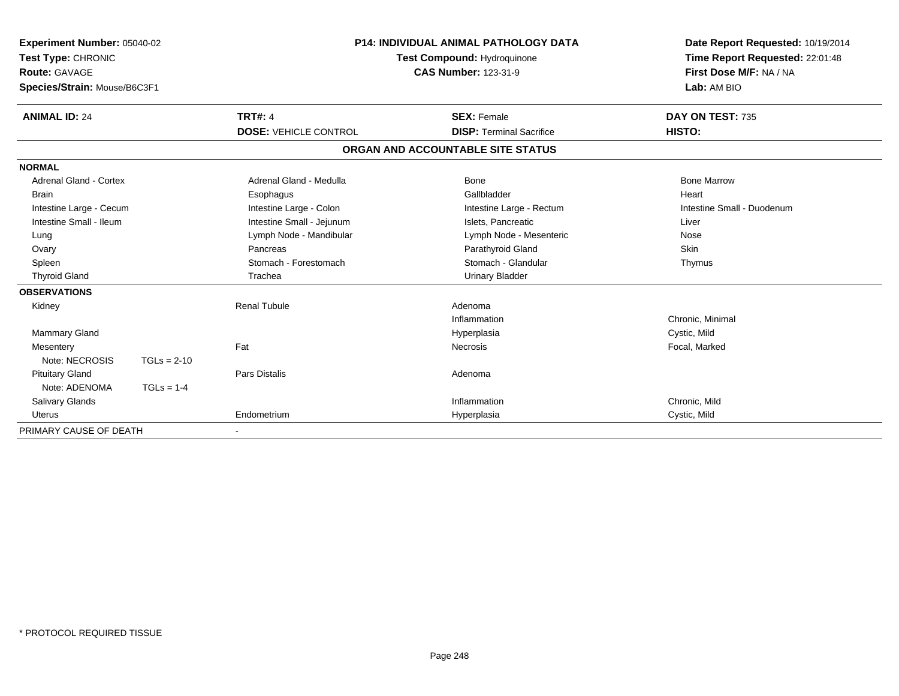| Experiment Number: 05040-02<br>Test Type: CHRONIC<br><b>Route: GAVAGE</b><br>Species/Strain: Mouse/B6C3F1 |               | <b>P14: INDIVIDUAL ANIMAL PATHOLOGY DATA</b><br><b>Test Compound: Hydroquinone</b><br><b>CAS Number: 123-31-9</b> |                                   | Date Report Requested: 10/19/2014<br>Time Report Requested: 22:01:48<br>First Dose M/F: NA / NA<br>Lab: AM BIO |
|-----------------------------------------------------------------------------------------------------------|---------------|-------------------------------------------------------------------------------------------------------------------|-----------------------------------|----------------------------------------------------------------------------------------------------------------|
| <b>ANIMAL ID: 24</b>                                                                                      |               | <b>TRT#: 4</b>                                                                                                    | <b>SEX: Female</b>                | DAY ON TEST: 735                                                                                               |
|                                                                                                           |               | <b>DOSE: VEHICLE CONTROL</b>                                                                                      | <b>DISP: Terminal Sacrifice</b>   | HISTO:                                                                                                         |
|                                                                                                           |               |                                                                                                                   | ORGAN AND ACCOUNTABLE SITE STATUS |                                                                                                                |
| <b>NORMAL</b>                                                                                             |               |                                                                                                                   |                                   |                                                                                                                |
| Adrenal Gland - Cortex                                                                                    |               | Adrenal Gland - Medulla                                                                                           | Bone                              | <b>Bone Marrow</b>                                                                                             |
| <b>Brain</b>                                                                                              |               | Esophagus                                                                                                         | Gallbladder                       | Heart                                                                                                          |
| Intestine Large - Cecum                                                                                   |               | Intestine Large - Colon                                                                                           | Intestine Large - Rectum          | Intestine Small - Duodenum                                                                                     |
| Intestine Small - Ileum                                                                                   |               | Intestine Small - Jejunum                                                                                         | Islets, Pancreatic                | Liver                                                                                                          |
| Lung                                                                                                      |               | Lymph Node - Mandibular                                                                                           | Lymph Node - Mesenteric           | Nose                                                                                                           |
| Ovary                                                                                                     |               | Pancreas                                                                                                          | Parathyroid Gland                 | <b>Skin</b>                                                                                                    |
| Spleen                                                                                                    |               | Stomach - Forestomach                                                                                             | Stomach - Glandular               | Thymus                                                                                                         |
| <b>Thyroid Gland</b>                                                                                      |               | Trachea                                                                                                           | <b>Urinary Bladder</b>            |                                                                                                                |
| <b>OBSERVATIONS</b>                                                                                       |               |                                                                                                                   |                                   |                                                                                                                |
| Kidney                                                                                                    |               | <b>Renal Tubule</b>                                                                                               | Adenoma                           |                                                                                                                |
|                                                                                                           |               |                                                                                                                   | Inflammation                      | Chronic, Minimal                                                                                               |
| <b>Mammary Gland</b>                                                                                      |               |                                                                                                                   | Hyperplasia                       | Cystic, Mild                                                                                                   |
| Mesentery                                                                                                 |               | Fat                                                                                                               | <b>Necrosis</b>                   | Focal, Marked                                                                                                  |
| Note: NECROSIS                                                                                            | $TGLs = 2-10$ |                                                                                                                   |                                   |                                                                                                                |
| <b>Pituitary Gland</b>                                                                                    |               | <b>Pars Distalis</b>                                                                                              | Adenoma                           |                                                                                                                |
| Note: ADENOMA                                                                                             | $TGLs = 1-4$  |                                                                                                                   |                                   |                                                                                                                |
| <b>Salivary Glands</b>                                                                                    |               |                                                                                                                   | Inflammation                      | Chronic, Mild                                                                                                  |
| <b>Uterus</b>                                                                                             |               | Endometrium                                                                                                       | Hyperplasia                       | Cystic, Mild                                                                                                   |
| PRIMARY CAUSE OF DEATH                                                                                    |               |                                                                                                                   |                                   |                                                                                                                |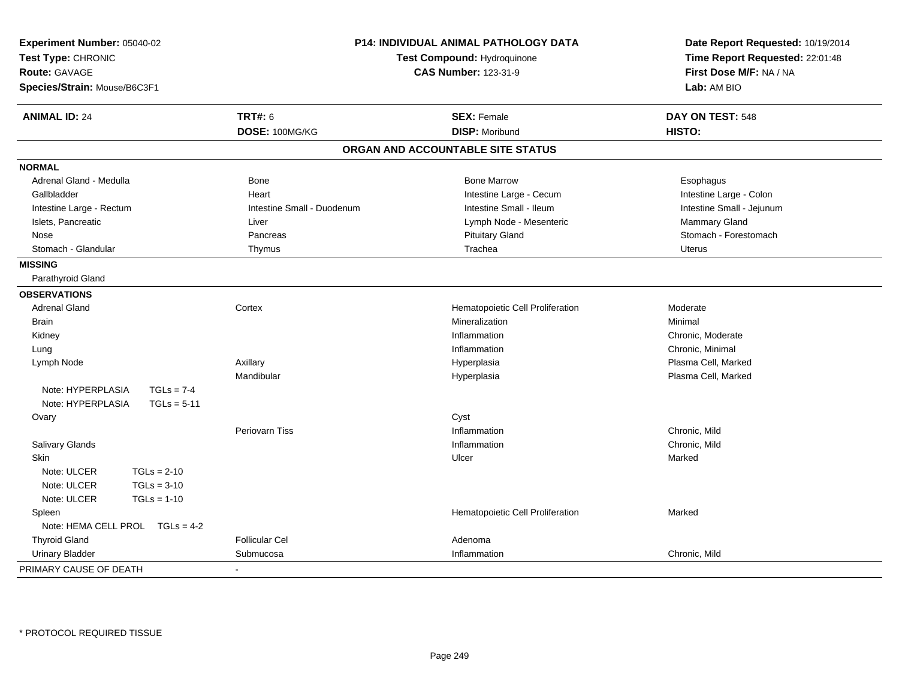| Experiment Number: 05040-02<br>Test Type: CHRONIC<br><b>Route: GAVAGE</b><br>Species/Strain: Mouse/B6C3F1 | <b>P14: INDIVIDUAL ANIMAL PATHOLOGY DATA</b><br>Test Compound: Hydroquinone<br><b>CAS Number: 123-31-9</b> |                                   | Date Report Requested: 10/19/2014<br>Time Report Requested: 22:01:48<br>First Dose M/F: NA / NA<br>Lab: AM BIO |
|-----------------------------------------------------------------------------------------------------------|------------------------------------------------------------------------------------------------------------|-----------------------------------|----------------------------------------------------------------------------------------------------------------|
| <b>ANIMAL ID: 24</b>                                                                                      | <b>TRT#: 6</b>                                                                                             | <b>SEX: Female</b>                | DAY ON TEST: 548                                                                                               |
|                                                                                                           | DOSE: 100MG/KG                                                                                             | <b>DISP: Moribund</b>             | HISTO:                                                                                                         |
|                                                                                                           |                                                                                                            | ORGAN AND ACCOUNTABLE SITE STATUS |                                                                                                                |
| <b>NORMAL</b>                                                                                             |                                                                                                            |                                   |                                                                                                                |
| Adrenal Gland - Medulla                                                                                   | Bone                                                                                                       | <b>Bone Marrow</b>                | Esophagus                                                                                                      |
| Gallbladder                                                                                               | Heart                                                                                                      | Intestine Large - Cecum           | Intestine Large - Colon                                                                                        |
| Intestine Large - Rectum                                                                                  | Intestine Small - Duodenum                                                                                 | Intestine Small - Ileum           | Intestine Small - Jejunum                                                                                      |
| Islets, Pancreatic                                                                                        | Liver                                                                                                      | Lymph Node - Mesenteric           | Mammary Gland                                                                                                  |
| Nose                                                                                                      | Pancreas                                                                                                   | <b>Pituitary Gland</b>            | Stomach - Forestomach                                                                                          |
| Stomach - Glandular                                                                                       | Thymus                                                                                                     | Trachea                           | <b>Uterus</b>                                                                                                  |
| <b>MISSING</b>                                                                                            |                                                                                                            |                                   |                                                                                                                |
| Parathyroid Gland                                                                                         |                                                                                                            |                                   |                                                                                                                |
| <b>OBSERVATIONS</b>                                                                                       |                                                                                                            |                                   |                                                                                                                |
| <b>Adrenal Gland</b>                                                                                      | Cortex                                                                                                     | Hematopoietic Cell Proliferation  | Moderate                                                                                                       |
| <b>Brain</b>                                                                                              |                                                                                                            | Mineralization                    | Minimal                                                                                                        |
| Kidney                                                                                                    |                                                                                                            | Inflammation                      | Chronic, Moderate                                                                                              |
| Lung                                                                                                      |                                                                                                            | Inflammation                      | Chronic, Minimal                                                                                               |
| Lymph Node                                                                                                | Axillary                                                                                                   | Hyperplasia                       | Plasma Cell, Marked                                                                                            |
|                                                                                                           | Mandibular                                                                                                 | Hyperplasia                       | Plasma Cell, Marked                                                                                            |
| Note: HYPERPLASIA<br>$TGLs = 7-4$                                                                         |                                                                                                            |                                   |                                                                                                                |
| Note: HYPERPLASIA<br>$TGLs = 5-11$                                                                        |                                                                                                            |                                   |                                                                                                                |
| Ovary                                                                                                     |                                                                                                            | Cyst                              |                                                                                                                |
|                                                                                                           | <b>Periovarn Tiss</b>                                                                                      | Inflammation                      | Chronic, Mild                                                                                                  |
| Salivary Glands                                                                                           |                                                                                                            | Inflammation                      | Chronic, Mild                                                                                                  |
| <b>Skin</b>                                                                                               |                                                                                                            | Ulcer                             | Marked                                                                                                         |
| Note: ULCER<br>$TGLs = 2-10$                                                                              |                                                                                                            |                                   |                                                                                                                |
| Note: ULCER<br>$TGLs = 3-10$                                                                              |                                                                                                            |                                   |                                                                                                                |
| Note: ULCER<br>$TGLs = 1-10$                                                                              |                                                                                                            |                                   |                                                                                                                |
| Spleen                                                                                                    |                                                                                                            | Hematopoietic Cell Proliferation  | Marked                                                                                                         |
| Note: HEMA CELL PROL TGLs = 4-2                                                                           |                                                                                                            |                                   |                                                                                                                |
| <b>Thyroid Gland</b>                                                                                      | <b>Follicular Cel</b>                                                                                      | Adenoma                           |                                                                                                                |
| <b>Urinary Bladder</b>                                                                                    | Submucosa                                                                                                  | Inflammation                      | Chronic, Mild                                                                                                  |
| PRIMARY CAUSE OF DEATH                                                                                    | $\blacksquare$                                                                                             |                                   |                                                                                                                |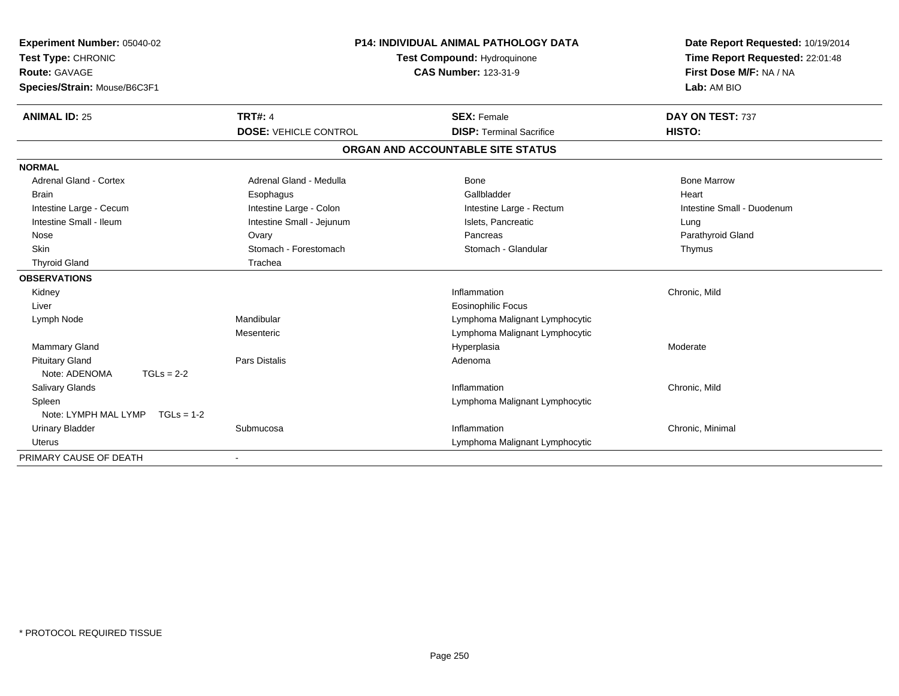| <b>Experiment Number: 05040-02</b>   |                              | <b>P14: INDIVIDUAL ANIMAL PATHOLOGY DATA</b> | Date Report Requested: 10/19/2014 |
|--------------------------------------|------------------------------|----------------------------------------------|-----------------------------------|
| Test Type: CHRONIC                   |                              | Test Compound: Hydroquinone                  | Time Report Requested: 22:01:48   |
| <b>Route: GAVAGE</b>                 |                              | <b>CAS Number: 123-31-9</b>                  | First Dose M/F: NA / NA           |
| Species/Strain: Mouse/B6C3F1         |                              |                                              | Lab: AM BIO                       |
| <b>ANIMAL ID: 25</b>                 | <b>TRT#: 4</b>               | <b>SEX: Female</b>                           | DAY ON TEST: 737                  |
|                                      | <b>DOSE: VEHICLE CONTROL</b> | <b>DISP: Terminal Sacrifice</b>              | HISTO:                            |
|                                      |                              | ORGAN AND ACCOUNTABLE SITE STATUS            |                                   |
| <b>NORMAL</b>                        |                              |                                              |                                   |
| <b>Adrenal Gland - Cortex</b>        | Adrenal Gland - Medulla      | <b>Bone</b>                                  | <b>Bone Marrow</b>                |
| Brain                                | Esophagus                    | Gallbladder                                  | Heart                             |
| Intestine Large - Cecum              | Intestine Large - Colon      | Intestine Large - Rectum                     | Intestine Small - Duodenum        |
| Intestine Small - Ileum              | Intestine Small - Jejunum    | Islets, Pancreatic                           | Lung                              |
| Nose                                 | Ovary                        | Pancreas                                     | Parathyroid Gland                 |
| <b>Skin</b>                          | Stomach - Forestomach        | Stomach - Glandular                          | Thymus                            |
| <b>Thyroid Gland</b>                 | Trachea                      |                                              |                                   |
| <b>OBSERVATIONS</b>                  |                              |                                              |                                   |
| Kidney                               |                              | Inflammation                                 | Chronic, Mild                     |
| Liver                                |                              | Eosinophilic Focus                           |                                   |
| Lymph Node                           | Mandibular                   | Lymphoma Malignant Lymphocytic               |                                   |
|                                      | Mesenteric                   | Lymphoma Malignant Lymphocytic               |                                   |
| <b>Mammary Gland</b>                 |                              | Hyperplasia                                  | Moderate                          |
| <b>Pituitary Gland</b>               | Pars Distalis                | Adenoma                                      |                                   |
| Note: ADENOMA<br>$TGLs = 2-2$        |                              |                                              |                                   |
| <b>Salivary Glands</b>               |                              | Inflammation                                 | Chronic, Mild                     |
| Spleen                               |                              | Lymphoma Malignant Lymphocytic               |                                   |
| Note: LYMPH MAL LYMP<br>$TGLs = 1-2$ |                              |                                              |                                   |
| <b>Urinary Bladder</b>               | Submucosa                    | Inflammation                                 | Chronic, Minimal                  |
| Uterus                               |                              | Lymphoma Malignant Lymphocytic               |                                   |
| PRIMARY CAUSE OF DEATH               |                              |                                              |                                   |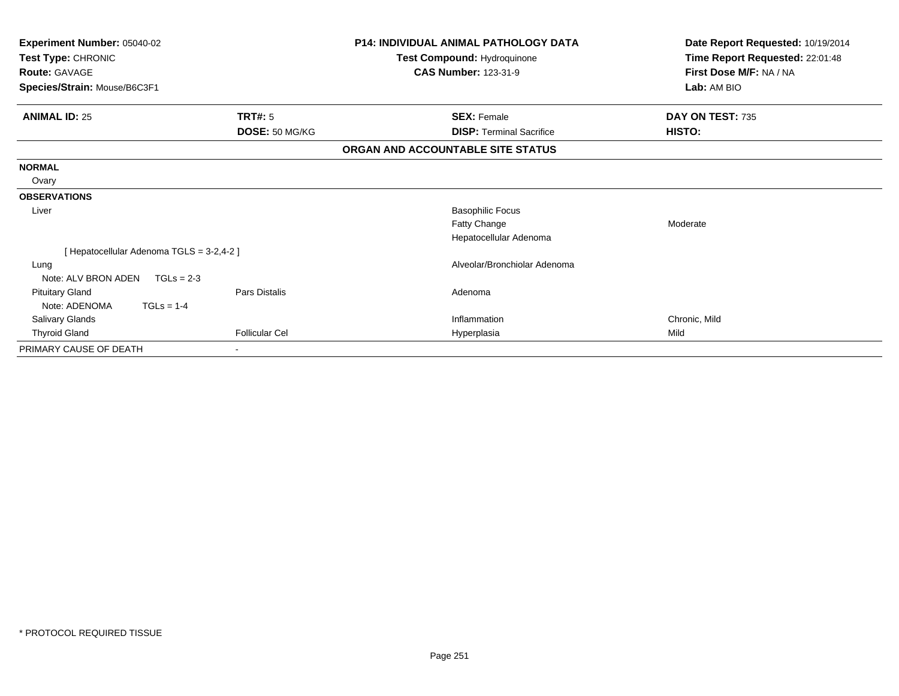| Experiment Number: 05040-02  |                                         | <b>P14: INDIVIDUAL ANIMAL PATHOLOGY DATA</b> | Date Report Requested: 10/19/2014 |
|------------------------------|-----------------------------------------|----------------------------------------------|-----------------------------------|
| Test Type: CHRONIC           |                                         | <b>Test Compound: Hydroquinone</b>           | Time Report Requested: 22:01:48   |
| <b>Route: GAVAGE</b>         |                                         | <b>CAS Number: 123-31-9</b>                  | First Dose M/F: NA / NA           |
| Species/Strain: Mouse/B6C3F1 |                                         |                                              | Lab: AM BIO                       |
| <b>ANIMAL ID: 25</b>         | <b>TRT#: 5</b>                          | <b>SEX: Female</b>                           | DAY ON TEST: 735                  |
|                              | DOSE: 50 MG/KG                          | <b>DISP:</b> Terminal Sacrifice              | HISTO:                            |
|                              |                                         | ORGAN AND ACCOUNTABLE SITE STATUS            |                                   |
| <b>NORMAL</b>                |                                         |                                              |                                   |
| Ovary                        |                                         |                                              |                                   |
| <b>OBSERVATIONS</b>          |                                         |                                              |                                   |
| Liver                        |                                         | <b>Basophilic Focus</b>                      |                                   |
|                              |                                         | Fatty Change                                 | Moderate                          |
|                              |                                         | Hepatocellular Adenoma                       |                                   |
|                              | [Hepatocellular Adenoma TGLS = 3-2,4-2] |                                              |                                   |
| Lung                         |                                         | Alveolar/Bronchiolar Adenoma                 |                                   |
| Note: ALV BRON ADEN          | $TGLs = 2-3$                            |                                              |                                   |
| <b>Pituitary Gland</b>       | Pars Distalis                           | Adenoma                                      |                                   |
| Note: ADENOMA                | $TGLs = 1-4$                            |                                              |                                   |
| Salivary Glands              |                                         | Inflammation                                 | Chronic, Mild                     |
| <b>Thyroid Gland</b>         | <b>Follicular Cel</b>                   | Hyperplasia                                  | Mild                              |
| PRIMARY CAUSE OF DEATH       |                                         |                                              |                                   |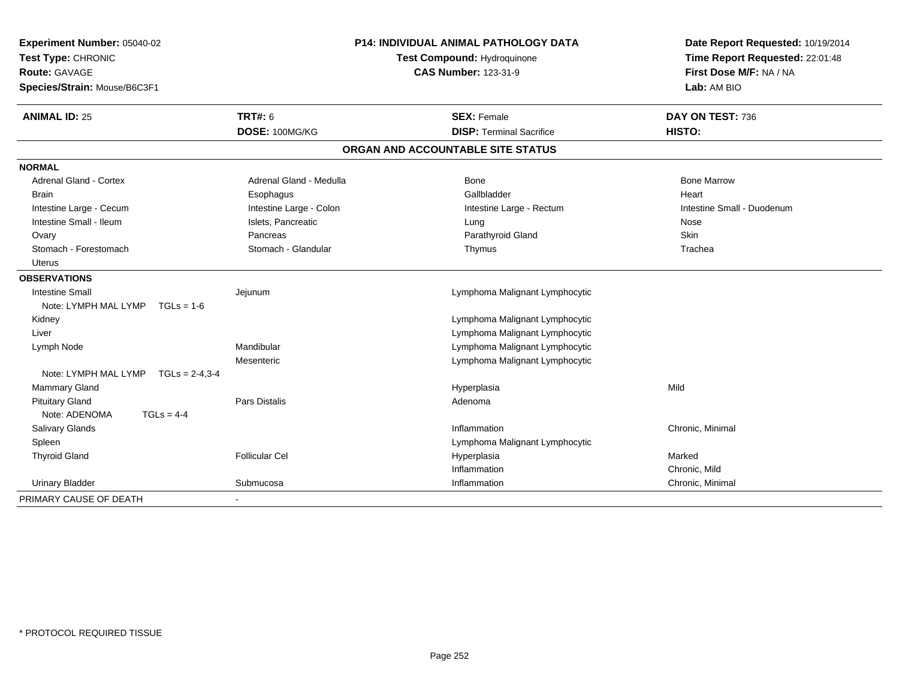| Experiment Number: 05040-02<br>Test Type: CHRONIC    |                         | <b>P14: INDIVIDUAL ANIMAL PATHOLOGY DATA</b><br><b>Test Compound: Hydroquinone</b> | Date Report Requested: 10/19/2014<br>Time Report Requested: 22:01:48 |  |
|------------------------------------------------------|-------------------------|------------------------------------------------------------------------------------|----------------------------------------------------------------------|--|
| <b>Route: GAVAGE</b><br>Species/Strain: Mouse/B6C3F1 |                         | <b>CAS Number: 123-31-9</b>                                                        | First Dose M/F: NA / NA<br>Lab: AM BIO                               |  |
| <b>ANIMAL ID: 25</b>                                 | <b>TRT#: 6</b>          | <b>SEX: Female</b>                                                                 | DAY ON TEST: 736                                                     |  |
|                                                      | DOSE: 100MG/KG          | <b>DISP: Terminal Sacrifice</b>                                                    | HISTO:                                                               |  |
|                                                      |                         | ORGAN AND ACCOUNTABLE SITE STATUS                                                  |                                                                      |  |
| <b>NORMAL</b>                                        |                         |                                                                                    |                                                                      |  |
| Adrenal Gland - Cortex                               | Adrenal Gland - Medulla | Bone                                                                               | <b>Bone Marrow</b>                                                   |  |
| <b>Brain</b>                                         | Esophagus               | Gallbladder                                                                        | Heart                                                                |  |
| Intestine Large - Cecum                              | Intestine Large - Colon | Intestine Large - Rectum                                                           | Intestine Small - Duodenum                                           |  |
| Intestine Small - Ileum                              | Islets, Pancreatic      | Lung                                                                               | Nose                                                                 |  |
| Ovary                                                | Pancreas                | Parathyroid Gland                                                                  | Skin                                                                 |  |
| Stomach - Forestomach                                | Stomach - Glandular     | Thymus                                                                             | Trachea                                                              |  |
| Uterus                                               |                         |                                                                                    |                                                                      |  |
| <b>OBSERVATIONS</b>                                  |                         |                                                                                    |                                                                      |  |
| <b>Intestine Small</b>                               | Jejunum                 | Lymphoma Malignant Lymphocytic                                                     |                                                                      |  |
| Note: LYMPH MAL LYMP<br>$TGLs = 1-6$                 |                         |                                                                                    |                                                                      |  |
| Kidney                                               |                         | Lymphoma Malignant Lymphocytic                                                     |                                                                      |  |
| Liver                                                |                         | Lymphoma Malignant Lymphocytic                                                     |                                                                      |  |
| Lymph Node                                           | Mandibular              | Lymphoma Malignant Lymphocytic                                                     |                                                                      |  |
|                                                      | Mesenteric              | Lymphoma Malignant Lymphocytic                                                     |                                                                      |  |
| Note: LYMPH MAL LYMP TGLs = 2-4,3-4                  |                         |                                                                                    |                                                                      |  |
| Mammary Gland                                        |                         | Hyperplasia                                                                        | Mild                                                                 |  |
| <b>Pituitary Gland</b>                               | <b>Pars Distalis</b>    | Adenoma                                                                            |                                                                      |  |
| Note: ADENOMA<br>$TGLs = 4-4$                        |                         |                                                                                    |                                                                      |  |
| <b>Salivary Glands</b>                               |                         | Inflammation                                                                       | Chronic, Minimal                                                     |  |
| Spleen                                               |                         | Lymphoma Malignant Lymphocytic                                                     |                                                                      |  |
| <b>Thyroid Gland</b>                                 | <b>Follicular Cel</b>   | Hyperplasia                                                                        | Marked                                                               |  |
|                                                      |                         | Inflammation                                                                       | Chronic. Mild                                                        |  |
| <b>Urinary Bladder</b>                               | Submucosa               | Inflammation                                                                       | Chronic, Minimal                                                     |  |
| PRIMARY CAUSE OF DEATH                               | $\blacksquare$          |                                                                                    |                                                                      |  |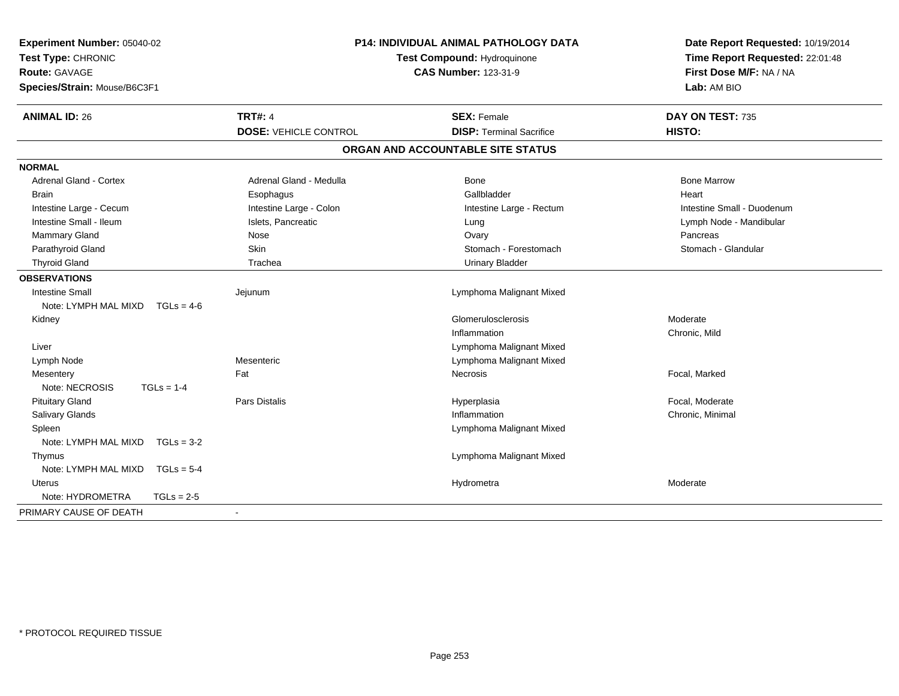| Experiment Number: 05040-02<br>Test Type: CHRONIC<br><b>Route: GAVAGE</b><br>Species/Strain: Mouse/B6C3F1 |                              | <b>P14: INDIVIDUAL ANIMAL PATHOLOGY DATA</b><br>Test Compound: Hydroquinone<br><b>CAS Number: 123-31-9</b> | Date Report Requested: 10/19/2014<br>Time Report Requested: 22:01:48<br>First Dose M/F: NA / NA<br>Lab: AM BIO |  |
|-----------------------------------------------------------------------------------------------------------|------------------------------|------------------------------------------------------------------------------------------------------------|----------------------------------------------------------------------------------------------------------------|--|
| <b>ANIMAL ID: 26</b>                                                                                      | <b>TRT#: 4</b>               | <b>SEX: Female</b>                                                                                         | DAY ON TEST: 735                                                                                               |  |
|                                                                                                           | <b>DOSE: VEHICLE CONTROL</b> | <b>DISP: Terminal Sacrifice</b>                                                                            | HISTO:                                                                                                         |  |
|                                                                                                           |                              | ORGAN AND ACCOUNTABLE SITE STATUS                                                                          |                                                                                                                |  |
| <b>NORMAL</b>                                                                                             |                              |                                                                                                            |                                                                                                                |  |
| <b>Adrenal Gland - Cortex</b>                                                                             | Adrenal Gland - Medulla      | <b>Bone</b>                                                                                                | <b>Bone Marrow</b>                                                                                             |  |
| <b>Brain</b>                                                                                              | Esophagus                    | Gallbladder                                                                                                | Heart                                                                                                          |  |
| Intestine Large - Cecum                                                                                   | Intestine Large - Colon      | Intestine Large - Rectum                                                                                   | Intestine Small - Duodenum                                                                                     |  |
| Intestine Small - Ileum                                                                                   | Islets, Pancreatic           | Lung                                                                                                       | Lymph Node - Mandibular                                                                                        |  |
| Mammary Gland                                                                                             | Nose                         | Ovary                                                                                                      | Pancreas                                                                                                       |  |
| Parathyroid Gland                                                                                         | Skin                         | Stomach - Forestomach                                                                                      | Stomach - Glandular                                                                                            |  |
| <b>Thyroid Gland</b>                                                                                      | Trachea                      | <b>Urinary Bladder</b>                                                                                     |                                                                                                                |  |
| <b>OBSERVATIONS</b>                                                                                       |                              |                                                                                                            |                                                                                                                |  |
| <b>Intestine Small</b>                                                                                    | Jejunum                      | Lymphoma Malignant Mixed                                                                                   |                                                                                                                |  |
| Note: LYMPH MAL MIXD<br>$TGLs = 4-6$                                                                      |                              |                                                                                                            |                                                                                                                |  |
| Kidney                                                                                                    |                              | Glomerulosclerosis                                                                                         | Moderate                                                                                                       |  |
|                                                                                                           |                              | Inflammation                                                                                               | Chronic, Mild                                                                                                  |  |
| Liver                                                                                                     |                              | Lymphoma Malignant Mixed                                                                                   |                                                                                                                |  |
| Lymph Node                                                                                                | Mesenteric                   | Lymphoma Malignant Mixed                                                                                   |                                                                                                                |  |
| Mesentery                                                                                                 | Fat                          | Necrosis                                                                                                   | Focal, Marked                                                                                                  |  |
| Note: NECROSIS<br>$TGLs = 1-4$                                                                            |                              |                                                                                                            |                                                                                                                |  |
| <b>Pituitary Gland</b>                                                                                    | Pars Distalis                | Hyperplasia                                                                                                | Focal, Moderate                                                                                                |  |
| <b>Salivary Glands</b>                                                                                    |                              | Inflammation                                                                                               | Chronic, Minimal                                                                                               |  |
| Spleen                                                                                                    |                              | Lymphoma Malignant Mixed                                                                                   |                                                                                                                |  |
| Note: LYMPH MAL MIXD<br>$TGLs = 3-2$                                                                      |                              |                                                                                                            |                                                                                                                |  |
| Thymus                                                                                                    |                              | Lymphoma Malignant Mixed                                                                                   |                                                                                                                |  |
| Note: LYMPH MAL MIXD<br>$TGLs = 5-4$                                                                      |                              |                                                                                                            |                                                                                                                |  |
| Uterus                                                                                                    |                              | Hydrometra                                                                                                 | Moderate                                                                                                       |  |
| Note: HYDROMETRA<br>$TGLs = 2-5$                                                                          |                              |                                                                                                            |                                                                                                                |  |
| PRIMARY CAUSE OF DEATH                                                                                    |                              |                                                                                                            |                                                                                                                |  |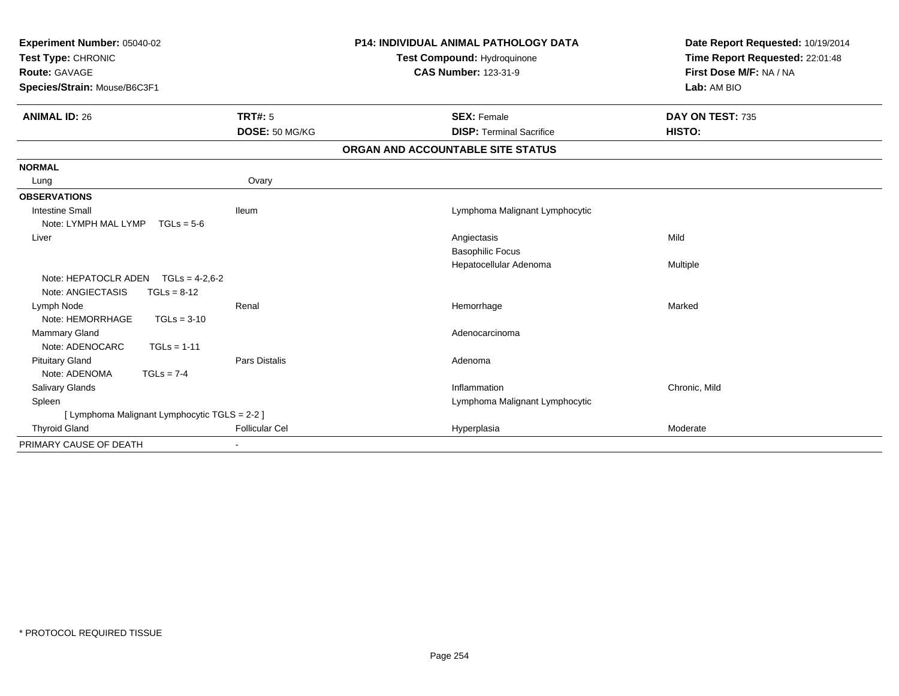| Experiment Number: 05040-02<br>Test Type: CHRONIC<br>Route: GAVAGE<br>Species/Strain: Mouse/B6C3F1 |                       | <b>P14: INDIVIDUAL ANIMAL PATHOLOGY DATA</b><br>Test Compound: Hydroquinone<br><b>CAS Number: 123-31-9</b> | Date Report Requested: 10/19/2014<br>Time Report Requested: 22:01:48<br>First Dose M/F: NA / NA<br>Lab: AM BIO |
|----------------------------------------------------------------------------------------------------|-----------------------|------------------------------------------------------------------------------------------------------------|----------------------------------------------------------------------------------------------------------------|
| <b>ANIMAL ID: 26</b>                                                                               | TRT#: 5               | <b>SEX: Female</b>                                                                                         | DAY ON TEST: 735                                                                                               |
|                                                                                                    | DOSE: 50 MG/KG        | <b>DISP: Terminal Sacrifice</b>                                                                            | HISTO:                                                                                                         |
|                                                                                                    |                       | ORGAN AND ACCOUNTABLE SITE STATUS                                                                          |                                                                                                                |
| <b>NORMAL</b>                                                                                      |                       |                                                                                                            |                                                                                                                |
| Lung                                                                                               | Ovary                 |                                                                                                            |                                                                                                                |
| <b>OBSERVATIONS</b>                                                                                |                       |                                                                                                            |                                                                                                                |
| <b>Intestine Small</b>                                                                             | <b>Ileum</b>          | Lymphoma Malignant Lymphocytic                                                                             |                                                                                                                |
| Note: LYMPH MAL LYMP<br>$TGLs = 5-6$                                                               |                       |                                                                                                            |                                                                                                                |
| Liver                                                                                              |                       | Angiectasis                                                                                                | Mild                                                                                                           |
|                                                                                                    |                       | <b>Basophilic Focus</b>                                                                                    |                                                                                                                |
|                                                                                                    |                       | Hepatocellular Adenoma                                                                                     | Multiple                                                                                                       |
| Note: HEPATOCLR ADEN<br>$TGLs = 4.2.6-2$                                                           |                       |                                                                                                            |                                                                                                                |
| Note: ANGIECTASIS<br>$TGLs = 8-12$                                                                 |                       |                                                                                                            |                                                                                                                |
| Lymph Node                                                                                         | Renal                 | Hemorrhage                                                                                                 | Marked                                                                                                         |
| Note: HEMORRHAGE<br>$TGLs = 3-10$                                                                  |                       |                                                                                                            |                                                                                                                |
| Mammary Gland                                                                                      |                       | Adenocarcinoma                                                                                             |                                                                                                                |
| Note: ADENOCARC<br>$TGLs = 1-11$                                                                   |                       |                                                                                                            |                                                                                                                |
| <b>Pituitary Gland</b>                                                                             | <b>Pars Distalis</b>  | Adenoma                                                                                                    |                                                                                                                |
| Note: ADENOMA<br>$TGLs = 7-4$                                                                      |                       |                                                                                                            |                                                                                                                |
| <b>Salivary Glands</b>                                                                             |                       | Inflammation                                                                                               | Chronic, Mild                                                                                                  |
| Spleen                                                                                             |                       | Lymphoma Malignant Lymphocytic                                                                             |                                                                                                                |
| [ Lymphoma Malignant Lymphocytic TGLS = 2-2 ]                                                      |                       |                                                                                                            |                                                                                                                |
| <b>Thyroid Gland</b>                                                                               | <b>Follicular Cel</b> | Hyperplasia                                                                                                | Moderate                                                                                                       |
| PRIMARY CAUSE OF DEATH                                                                             |                       |                                                                                                            |                                                                                                                |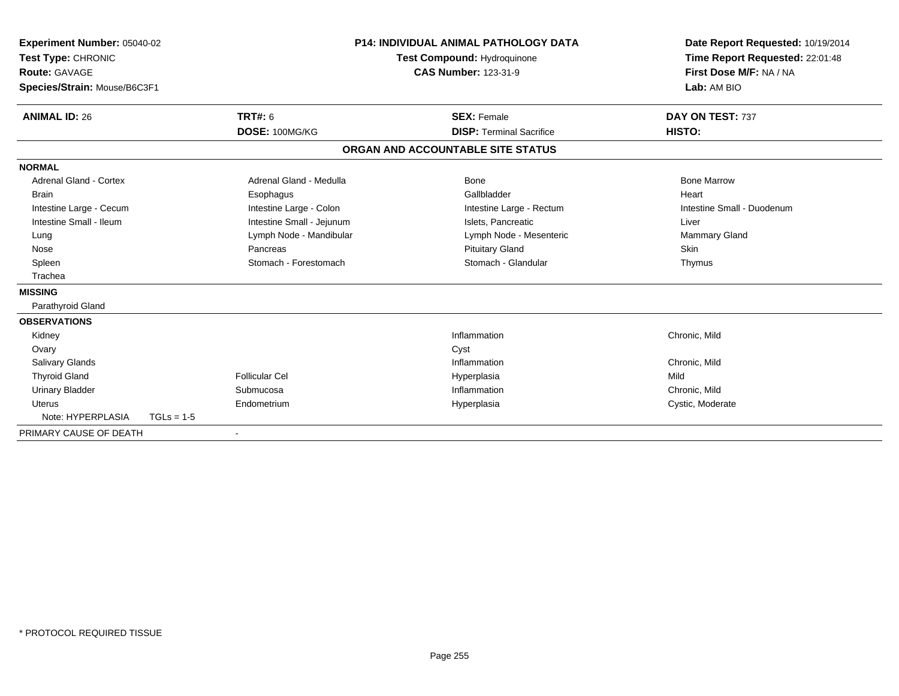| Experiment Number: 05040-02<br>Test Type: CHRONIC<br><b>Route: GAVAGE</b><br>Species/Strain: Mouse/B6C3F1 |              |                           | <b>P14: INDIVIDUAL ANIMAL PATHOLOGY DATA</b><br><b>Test Compound: Hydroquinone</b><br><b>CAS Number: 123-31-9</b> |                                   | Date Report Requested: 10/19/2014<br>Time Report Requested: 22:01:48<br>First Dose M/F: NA / NA<br>Lab: AM BIO |  |
|-----------------------------------------------------------------------------------------------------------|--------------|---------------------------|-------------------------------------------------------------------------------------------------------------------|-----------------------------------|----------------------------------------------------------------------------------------------------------------|--|
| <b>ANIMAL ID: 26</b>                                                                                      |              | <b>TRT#: 6</b>            |                                                                                                                   | <b>SEX: Female</b>                | DAY ON TEST: 737                                                                                               |  |
|                                                                                                           |              | DOSE: 100MG/KG            |                                                                                                                   | <b>DISP: Terminal Sacrifice</b>   | HISTO:                                                                                                         |  |
|                                                                                                           |              |                           |                                                                                                                   | ORGAN AND ACCOUNTABLE SITE STATUS |                                                                                                                |  |
| <b>NORMAL</b>                                                                                             |              |                           |                                                                                                                   |                                   |                                                                                                                |  |
| <b>Adrenal Gland - Cortex</b>                                                                             |              | Adrenal Gland - Medulla   |                                                                                                                   | Bone                              | <b>Bone Marrow</b>                                                                                             |  |
| <b>Brain</b>                                                                                              |              | Esophagus                 |                                                                                                                   | Gallbladder                       | Heart                                                                                                          |  |
| Intestine Large - Cecum                                                                                   |              | Intestine Large - Colon   |                                                                                                                   | Intestine Large - Rectum          | Intestine Small - Duodenum                                                                                     |  |
| Intestine Small - Ileum                                                                                   |              | Intestine Small - Jejunum |                                                                                                                   | Islets, Pancreatic                | Liver                                                                                                          |  |
| Lung                                                                                                      |              | Lymph Node - Mandibular   |                                                                                                                   | Lymph Node - Mesenteric           | Mammary Gland                                                                                                  |  |
| Nose                                                                                                      |              | Pancreas                  |                                                                                                                   | <b>Pituitary Gland</b>            | <b>Skin</b>                                                                                                    |  |
| Spleen                                                                                                    |              | Stomach - Forestomach     |                                                                                                                   | Stomach - Glandular               | Thymus                                                                                                         |  |
| Trachea                                                                                                   |              |                           |                                                                                                                   |                                   |                                                                                                                |  |
| <b>MISSING</b>                                                                                            |              |                           |                                                                                                                   |                                   |                                                                                                                |  |
| Parathyroid Gland                                                                                         |              |                           |                                                                                                                   |                                   |                                                                                                                |  |
| <b>OBSERVATIONS</b>                                                                                       |              |                           |                                                                                                                   |                                   |                                                                                                                |  |
| Kidney                                                                                                    |              |                           |                                                                                                                   | Inflammation                      | Chronic, Mild                                                                                                  |  |
| Ovary                                                                                                     |              |                           |                                                                                                                   | Cyst                              |                                                                                                                |  |
| <b>Salivary Glands</b>                                                                                    |              |                           |                                                                                                                   | Inflammation                      | Chronic, Mild                                                                                                  |  |
| <b>Thyroid Gland</b>                                                                                      |              | Follicular Cel            |                                                                                                                   | Hyperplasia                       | Mild                                                                                                           |  |
| <b>Urinary Bladder</b>                                                                                    |              | Submucosa                 |                                                                                                                   | Inflammation                      | Chronic, Mild                                                                                                  |  |
| <b>Uterus</b>                                                                                             |              | Endometrium               |                                                                                                                   | Hyperplasia                       | Cystic, Moderate                                                                                               |  |
| Note: HYPERPLASIA                                                                                         | $TGLs = 1-5$ |                           |                                                                                                                   |                                   |                                                                                                                |  |
| PRIMARY CAUSE OF DEATH                                                                                    |              |                           |                                                                                                                   |                                   |                                                                                                                |  |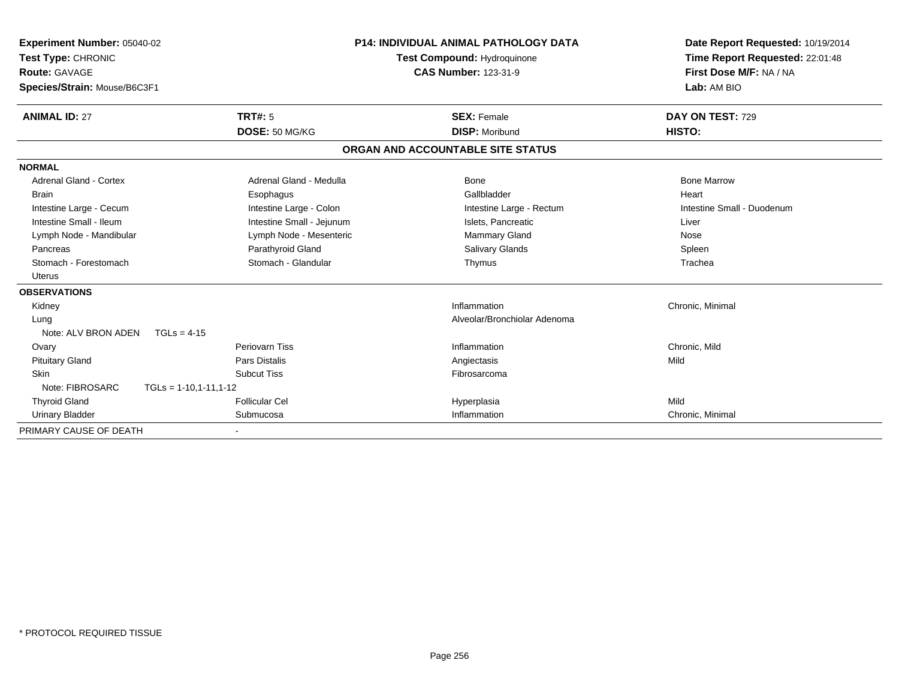| Experiment Number: 05040-02<br>Test Type: CHRONIC<br>Route: GAVAGE<br>Species/Strain: Mouse/B6C3F1 |                           | <b>P14: INDIVIDUAL ANIMAL PATHOLOGY DATA</b><br>Test Compound: Hydroquinone<br><b>CAS Number: 123-31-9</b> | Date Report Requested: 10/19/2014<br>Time Report Requested: 22:01:48<br>First Dose M/F: NA / NA<br>Lab: AM BIO |  |
|----------------------------------------------------------------------------------------------------|---------------------------|------------------------------------------------------------------------------------------------------------|----------------------------------------------------------------------------------------------------------------|--|
| <b>ANIMAL ID: 27</b>                                                                               | TRT#: 5<br>DOSE: 50 MG/KG | <b>SEX: Female</b><br><b>DISP: Moribund</b>                                                                | DAY ON TEST: 729<br>HISTO:                                                                                     |  |
|                                                                                                    |                           | ORGAN AND ACCOUNTABLE SITE STATUS                                                                          |                                                                                                                |  |
| <b>NORMAL</b>                                                                                      |                           |                                                                                                            |                                                                                                                |  |
| <b>Adrenal Gland - Cortex</b>                                                                      | Adrenal Gland - Medulla   | Bone                                                                                                       | <b>Bone Marrow</b>                                                                                             |  |
| <b>Brain</b>                                                                                       | Esophagus                 | Gallbladder                                                                                                | Heart                                                                                                          |  |
| Intestine Large - Cecum                                                                            | Intestine Large - Colon   | Intestine Large - Rectum                                                                                   | Intestine Small - Duodenum                                                                                     |  |
| Intestine Small - Ileum                                                                            | Intestine Small - Jejunum | Islets, Pancreatic                                                                                         | Liver                                                                                                          |  |
| Lymph Node - Mandibular                                                                            | Lymph Node - Mesenteric   | Mammary Gland                                                                                              | Nose                                                                                                           |  |
| Pancreas                                                                                           | Parathyroid Gland         | <b>Salivary Glands</b>                                                                                     | Spleen                                                                                                         |  |
| Stomach - Forestomach                                                                              | Stomach - Glandular       | Thymus                                                                                                     | Trachea                                                                                                        |  |
| <b>Uterus</b>                                                                                      |                           |                                                                                                            |                                                                                                                |  |
| <b>OBSERVATIONS</b>                                                                                |                           |                                                                                                            |                                                                                                                |  |
| Kidney                                                                                             |                           | Inflammation                                                                                               | Chronic, Minimal                                                                                               |  |
| Lung                                                                                               |                           | Alveolar/Bronchiolar Adenoma                                                                               |                                                                                                                |  |
| Note: ALV BRON ADEN<br>$TGLs = 4-15$                                                               |                           |                                                                                                            |                                                                                                                |  |
| Ovary                                                                                              | Periovarn Tiss            | Inflammation                                                                                               | Chronic, Mild                                                                                                  |  |
| <b>Pituitary Gland</b>                                                                             | <b>Pars Distalis</b>      | Angiectasis                                                                                                | Mild                                                                                                           |  |
| <b>Skin</b>                                                                                        | <b>Subcut Tiss</b>        | Fibrosarcoma                                                                                               |                                                                                                                |  |
| Note: FIBROSARC<br>$TGLs = 1-10,1-11,1-12$                                                         |                           |                                                                                                            |                                                                                                                |  |
| <b>Thyroid Gland</b>                                                                               | <b>Follicular Cel</b>     | Hyperplasia                                                                                                | Mild                                                                                                           |  |
| <b>Urinary Bladder</b>                                                                             | Submucosa                 | Inflammation                                                                                               | Chronic, Minimal                                                                                               |  |
| PRIMARY CAUSE OF DEATH                                                                             |                           |                                                                                                            |                                                                                                                |  |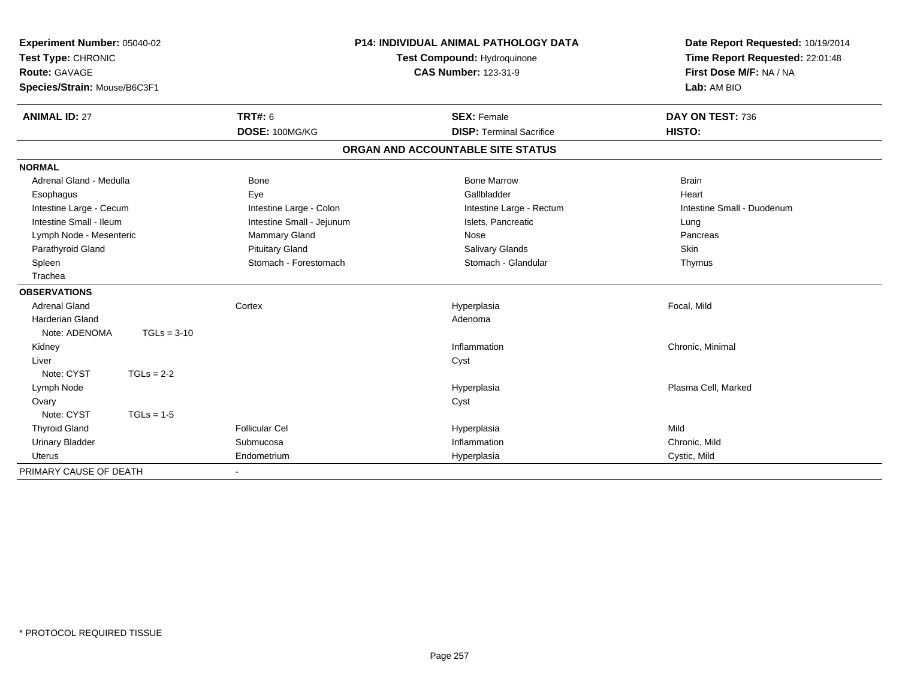| <b>P14: INDIVIDUAL ANIMAL PATHOLOGY DATA</b><br>Experiment Number: 05040-02<br>Test Type: CHRONIC<br>Test Compound: Hydroquinone<br><b>CAS Number: 123-31-9</b><br><b>Route: GAVAGE</b><br>Species/Strain: Mouse/B6C3F1 |                           | Date Report Requested: 10/19/2014<br>Time Report Requested: 22:01:48<br>First Dose M/F: NA / NA<br>Lab: AM BIO |                            |
|-------------------------------------------------------------------------------------------------------------------------------------------------------------------------------------------------------------------------|---------------------------|----------------------------------------------------------------------------------------------------------------|----------------------------|
| <b>ANIMAL ID: 27</b>                                                                                                                                                                                                    | <b>TRT#: 6</b>            | <b>SEX: Female</b>                                                                                             | DAY ON TEST: 736           |
|                                                                                                                                                                                                                         | DOSE: 100MG/KG            | <b>DISP: Terminal Sacrifice</b><br>ORGAN AND ACCOUNTABLE SITE STATUS                                           | <b>HISTO:</b>              |
|                                                                                                                                                                                                                         |                           |                                                                                                                |                            |
| <b>NORMAL</b>                                                                                                                                                                                                           |                           |                                                                                                                |                            |
| Adrenal Gland - Medulla                                                                                                                                                                                                 | <b>Bone</b>               | <b>Bone Marrow</b>                                                                                             | <b>Brain</b>               |
| Esophagus                                                                                                                                                                                                               | Eye                       | Gallbladder                                                                                                    | Heart                      |
| Intestine Large - Cecum                                                                                                                                                                                                 | Intestine Large - Colon   | Intestine Large - Rectum                                                                                       | Intestine Small - Duodenum |
| Intestine Small - Ileum                                                                                                                                                                                                 | Intestine Small - Jejunum | Islets, Pancreatic                                                                                             | Lung                       |
| Lymph Node - Mesenteric                                                                                                                                                                                                 | Mammary Gland             | Nose                                                                                                           | Pancreas                   |
| Parathyroid Gland                                                                                                                                                                                                       | <b>Pituitary Gland</b>    | <b>Salivary Glands</b>                                                                                         | <b>Skin</b>                |
| Spleen                                                                                                                                                                                                                  | Stomach - Forestomach     | Stomach - Glandular                                                                                            | Thymus                     |
| Trachea                                                                                                                                                                                                                 |                           |                                                                                                                |                            |
| <b>OBSERVATIONS</b>                                                                                                                                                                                                     |                           |                                                                                                                |                            |
| <b>Adrenal Gland</b>                                                                                                                                                                                                    | Cortex                    | Hyperplasia                                                                                                    | Focal, Mild                |
| <b>Harderian Gland</b>                                                                                                                                                                                                  |                           | Adenoma                                                                                                        |                            |
| Note: ADENOMA<br>$TGLs = 3-10$                                                                                                                                                                                          |                           |                                                                                                                |                            |
| Kidney                                                                                                                                                                                                                  |                           | Inflammation                                                                                                   | Chronic, Minimal           |
| Liver                                                                                                                                                                                                                   |                           | Cyst                                                                                                           |                            |
| Note: CYST<br>$TGLs = 2-2$                                                                                                                                                                                              |                           |                                                                                                                |                            |
| Lymph Node                                                                                                                                                                                                              |                           | Hyperplasia                                                                                                    | Plasma Cell, Marked        |
| Ovary                                                                                                                                                                                                                   |                           | Cyst                                                                                                           |                            |
| Note: CYST<br>$TGLs = 1-5$                                                                                                                                                                                              |                           |                                                                                                                |                            |
| <b>Thyroid Gland</b>                                                                                                                                                                                                    | <b>Follicular Cel</b>     | Hyperplasia                                                                                                    | Mild                       |
| <b>Urinary Bladder</b>                                                                                                                                                                                                  | Submucosa                 | Inflammation                                                                                                   | Chronic, Mild              |
| <b>Uterus</b>                                                                                                                                                                                                           | Endometrium               | Hyperplasia                                                                                                    | Cystic, Mild               |
| PRIMARY CAUSE OF DEATH                                                                                                                                                                                                  |                           |                                                                                                                |                            |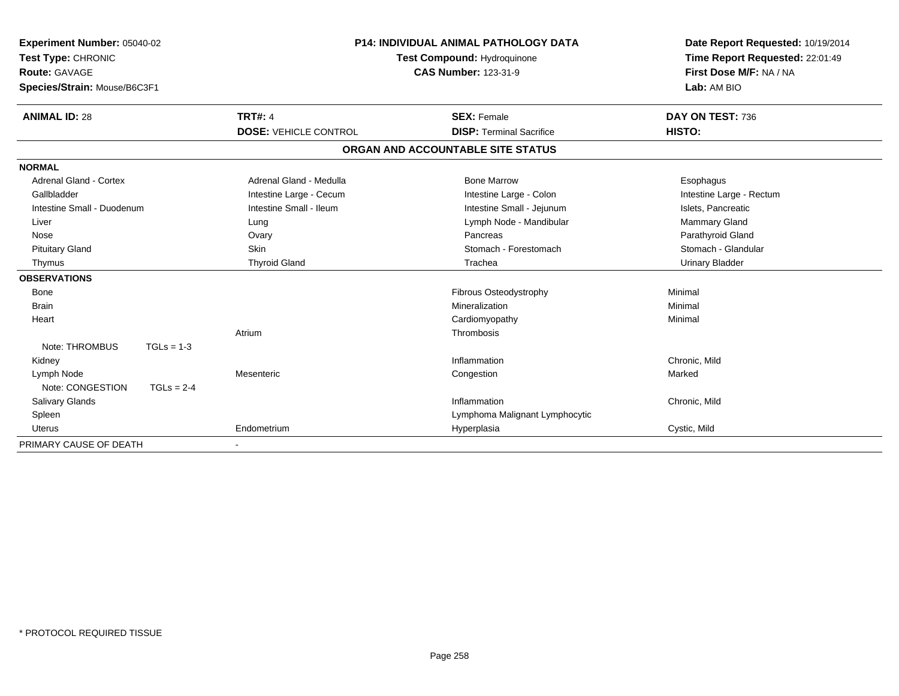| Experiment Number: 05040-02<br>Test Type: CHRONIC<br>Route: GAVAGE<br>Species/Strain: Mouse/B6C3F1 | <b>P14: INDIVIDUAL ANIMAL PATHOLOGY DATA</b><br><b>Test Compound: Hydroquinone</b><br><b>CAS Number: 123-31-9</b> |                              | Date Report Requested: 10/19/2014<br>Time Report Requested: 22:01:49<br>First Dose M/F: NA / NA<br>Lab: AM BIO |                          |
|----------------------------------------------------------------------------------------------------|-------------------------------------------------------------------------------------------------------------------|------------------------------|----------------------------------------------------------------------------------------------------------------|--------------------------|
| <b>ANIMAL ID: 28</b>                                                                               |                                                                                                                   | <b>TRT#: 4</b>               | <b>SEX: Female</b>                                                                                             | DAY ON TEST: 736         |
|                                                                                                    |                                                                                                                   | <b>DOSE: VEHICLE CONTROL</b> | <b>DISP: Terminal Sacrifice</b>                                                                                | HISTO:                   |
|                                                                                                    |                                                                                                                   |                              | ORGAN AND ACCOUNTABLE SITE STATUS                                                                              |                          |
| <b>NORMAL</b>                                                                                      |                                                                                                                   |                              |                                                                                                                |                          |
| Adrenal Gland - Cortex                                                                             |                                                                                                                   | Adrenal Gland - Medulla      | <b>Bone Marrow</b>                                                                                             | Esophagus                |
| Gallbladder                                                                                        |                                                                                                                   | Intestine Large - Cecum      | Intestine Large - Colon                                                                                        | Intestine Large - Rectum |
| Intestine Small - Duodenum                                                                         |                                                                                                                   | Intestine Small - Ileum      | Intestine Small - Jejunum                                                                                      | Islets, Pancreatic       |
| Liver                                                                                              |                                                                                                                   | Lung                         | Lymph Node - Mandibular                                                                                        | Mammary Gland            |
| Nose                                                                                               |                                                                                                                   | Ovary                        | Pancreas                                                                                                       | Parathyroid Gland        |
| <b>Pituitary Gland</b>                                                                             |                                                                                                                   | <b>Skin</b>                  | Stomach - Forestomach                                                                                          | Stomach - Glandular      |
| Thymus                                                                                             |                                                                                                                   | <b>Thyroid Gland</b>         | Trachea                                                                                                        | <b>Urinary Bladder</b>   |
| <b>OBSERVATIONS</b>                                                                                |                                                                                                                   |                              |                                                                                                                |                          |
| Bone                                                                                               |                                                                                                                   |                              | Fibrous Osteodystrophy                                                                                         | Minimal                  |
| <b>Brain</b>                                                                                       |                                                                                                                   |                              | Mineralization                                                                                                 | Minimal                  |
| Heart                                                                                              |                                                                                                                   |                              | Cardiomyopathy                                                                                                 | Minimal                  |
|                                                                                                    |                                                                                                                   | Atrium                       | Thrombosis                                                                                                     |                          |
| Note: THROMBUS                                                                                     | $TGLs = 1-3$                                                                                                      |                              |                                                                                                                |                          |
| Kidney                                                                                             |                                                                                                                   |                              | Inflammation                                                                                                   | Chronic, Mild            |
| Lymph Node                                                                                         |                                                                                                                   | Mesenteric                   | Congestion                                                                                                     | Marked                   |
| Note: CONGESTION                                                                                   | $TGLs = 2-4$                                                                                                      |                              |                                                                                                                |                          |
| <b>Salivary Glands</b>                                                                             |                                                                                                                   |                              | Inflammation                                                                                                   | Chronic, Mild            |
| Spleen                                                                                             |                                                                                                                   |                              | Lymphoma Malignant Lymphocytic                                                                                 |                          |
| <b>Uterus</b>                                                                                      |                                                                                                                   | Endometrium                  | Hyperplasia                                                                                                    | Cystic, Mild             |
| PRIMARY CAUSE OF DEATH                                                                             |                                                                                                                   |                              |                                                                                                                |                          |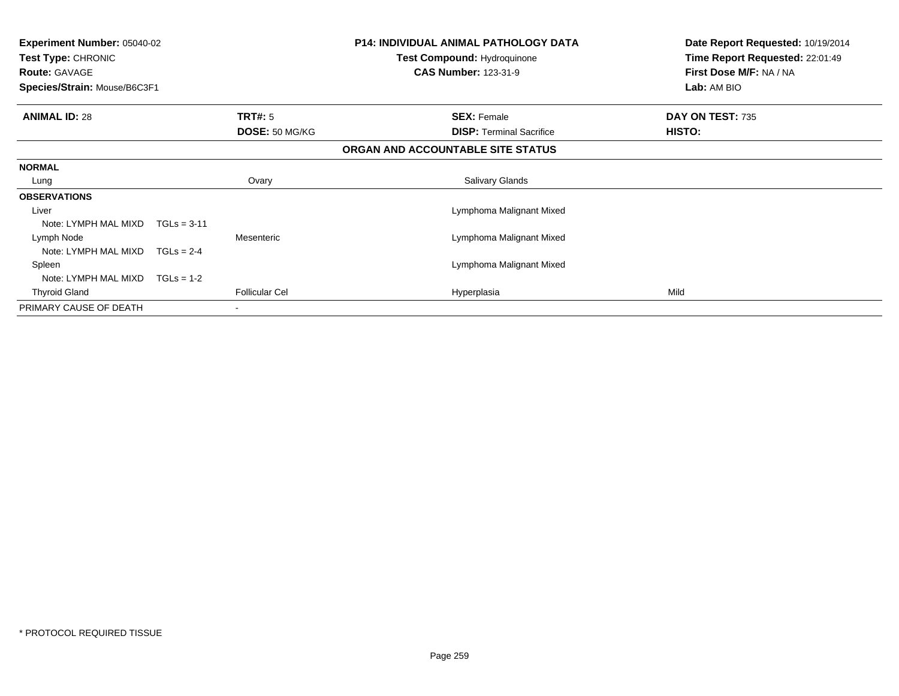| <b>Experiment Number: 05040-02</b><br><b>Test Type: CHRONIC</b><br><b>Route: GAVAGE</b><br>Species/Strain: Mouse/B6C3F1 |                                  | <b>P14: INDIVIDUAL ANIMAL PATHOLOGY DATA</b><br>Test Compound: Hydroquinone<br><b>CAS Number: 123-31-9</b> | Date Report Requested: 10/19/2014<br>Time Report Requested: 22:01:49<br>First Dose M/F: NA / NA<br>Lab: AM BIO |
|-------------------------------------------------------------------------------------------------------------------------|----------------------------------|------------------------------------------------------------------------------------------------------------|----------------------------------------------------------------------------------------------------------------|
| <b>ANIMAL ID: 28</b>                                                                                                    | <b>TRT#: 5</b><br>DOSE: 50 MG/KG | <b>SEX: Female</b><br><b>DISP:</b> Terminal Sacrifice                                                      | DAY ON TEST: 735<br>HISTO:                                                                                     |
|                                                                                                                         |                                  | ORGAN AND ACCOUNTABLE SITE STATUS                                                                          |                                                                                                                |
|                                                                                                                         |                                  |                                                                                                            |                                                                                                                |
| <b>NORMAL</b>                                                                                                           |                                  |                                                                                                            |                                                                                                                |
| Lung                                                                                                                    | Ovary                            | Salivary Glands                                                                                            |                                                                                                                |
| <b>OBSERVATIONS</b>                                                                                                     |                                  |                                                                                                            |                                                                                                                |
| Liver                                                                                                                   |                                  | Lymphoma Malignant Mixed                                                                                   |                                                                                                                |
| Note: LYMPH MAL MIXD                                                                                                    | $TGLs = 3-11$                    |                                                                                                            |                                                                                                                |
| Lymph Node                                                                                                              | Mesenteric                       | Lymphoma Malignant Mixed                                                                                   |                                                                                                                |
| Note: LYMPH MAL MIXD                                                                                                    | $TGLs = 2-4$                     |                                                                                                            |                                                                                                                |
| Spleen                                                                                                                  |                                  | Lymphoma Malignant Mixed                                                                                   |                                                                                                                |
| Note: LYMPH MAL MIXD                                                                                                    | $TGLs = 1-2$                     |                                                                                                            |                                                                                                                |
| <b>Thyroid Gland</b>                                                                                                    | <b>Follicular Cel</b>            | Hyperplasia                                                                                                | Mild                                                                                                           |
| PRIMARY CAUSE OF DEATH                                                                                                  |                                  |                                                                                                            |                                                                                                                |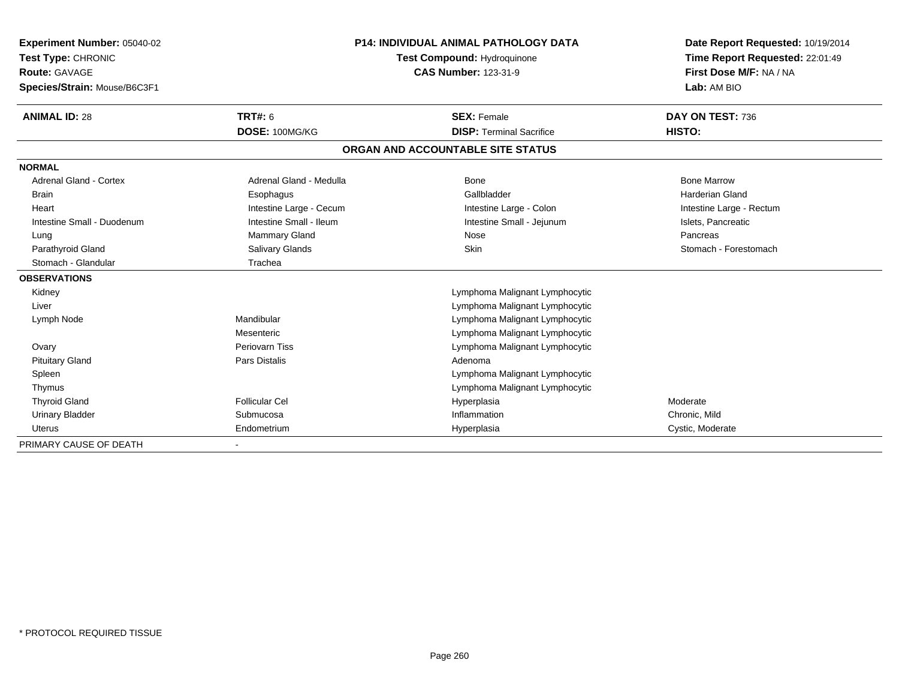| Experiment Number: 05040-02   |                         | <b>P14: INDIVIDUAL ANIMAL PATHOLOGY DATA</b> | Date Report Requested: 10/19/2014 |
|-------------------------------|-------------------------|----------------------------------------------|-----------------------------------|
| Test Type: CHRONIC            |                         | Test Compound: Hydroquinone                  | Time Report Requested: 22:01:49   |
| <b>Route: GAVAGE</b>          |                         | <b>CAS Number: 123-31-9</b>                  | First Dose M/F: NA / NA           |
| Species/Strain: Mouse/B6C3F1  |                         |                                              | Lab: AM BIO                       |
| <b>ANIMAL ID: 28</b>          | <b>TRT#: 6</b>          | <b>SEX: Female</b>                           | DAY ON TEST: 736                  |
|                               | DOSE: 100MG/KG          | <b>DISP: Terminal Sacrifice</b>              | HISTO:                            |
|                               |                         | ORGAN AND ACCOUNTABLE SITE STATUS            |                                   |
| <b>NORMAL</b>                 |                         |                                              |                                   |
| <b>Adrenal Gland - Cortex</b> | Adrenal Gland - Medulla | <b>Bone</b>                                  | <b>Bone Marrow</b>                |
| <b>Brain</b>                  | Esophagus               | Gallbladder                                  | <b>Harderian Gland</b>            |
| Heart                         | Intestine Large - Cecum | Intestine Large - Colon                      | Intestine Large - Rectum          |
| Intestine Small - Duodenum    | Intestine Small - Ileum | Intestine Small - Jejunum                    | Islets, Pancreatic                |
| Lung                          | Mammary Gland           | Nose                                         | Pancreas                          |
| Parathyroid Gland             | Salivary Glands         | Skin                                         | Stomach - Forestomach             |
| Stomach - Glandular           | Trachea                 |                                              |                                   |
| <b>OBSERVATIONS</b>           |                         |                                              |                                   |
| Kidney                        |                         | Lymphoma Malignant Lymphocytic               |                                   |
| Liver                         |                         | Lymphoma Malignant Lymphocytic               |                                   |
| Lymph Node                    | Mandibular              | Lymphoma Malignant Lymphocytic               |                                   |
|                               | Mesenteric              | Lymphoma Malignant Lymphocytic               |                                   |
| Ovary                         | Periovarn Tiss          | Lymphoma Malignant Lymphocytic               |                                   |
| <b>Pituitary Gland</b>        | <b>Pars Distalis</b>    | Adenoma                                      |                                   |
| Spleen                        |                         | Lymphoma Malignant Lymphocytic               |                                   |
| Thymus                        |                         | Lymphoma Malignant Lymphocytic               |                                   |
| <b>Thyroid Gland</b>          | <b>Follicular Cel</b>   | Hyperplasia                                  | Moderate                          |
| <b>Urinary Bladder</b>        | Submucosa               | Inflammation                                 | Chronic, Mild                     |
| Uterus                        | Endometrium             | Hyperplasia                                  | Cystic, Moderate                  |
| PRIMARY CAUSE OF DEATH        |                         |                                              |                                   |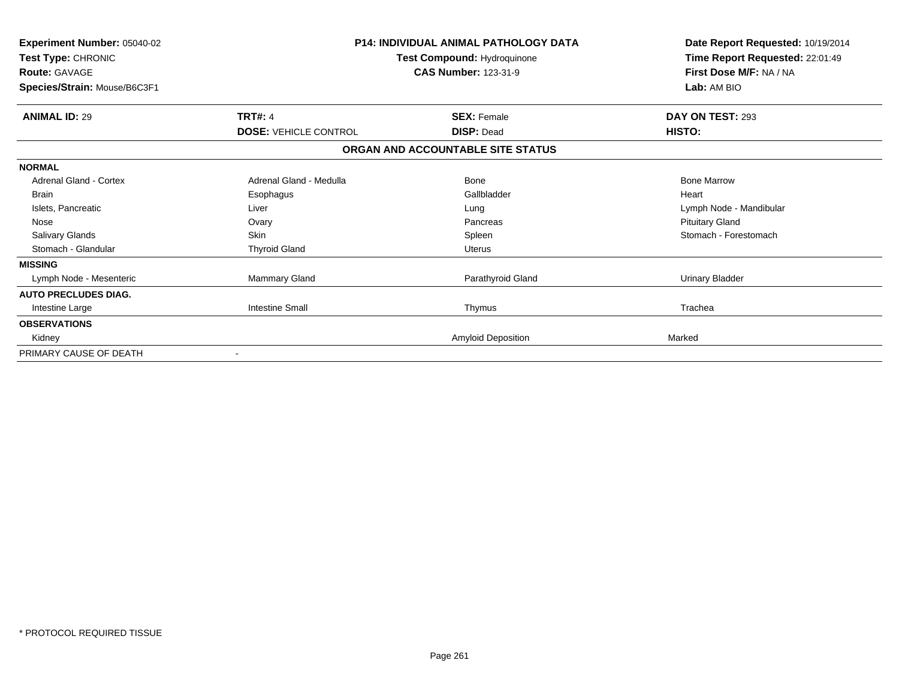| <b>Experiment Number: 05040-02</b><br>Test Type: CHRONIC<br><b>Route: GAVAGE</b><br>Species/Strain: Mouse/B6C3F1 |                              | <b>P14: INDIVIDUAL ANIMAL PATHOLOGY DATA</b><br>Test Compound: Hydroquinone<br><b>CAS Number: 123-31-9</b> | Date Report Requested: 10/19/2014<br>Time Report Requested: 22:01:49<br>First Dose M/F: NA / NA<br>Lab: AM BIO |
|------------------------------------------------------------------------------------------------------------------|------------------------------|------------------------------------------------------------------------------------------------------------|----------------------------------------------------------------------------------------------------------------|
| <b>ANIMAL ID: 29</b>                                                                                             | <b>TRT#: 4</b>               | <b>SEX: Female</b>                                                                                         | DAY ON TEST: 293                                                                                               |
|                                                                                                                  | <b>DOSE: VEHICLE CONTROL</b> | <b>DISP: Dead</b>                                                                                          | HISTO:                                                                                                         |
|                                                                                                                  |                              | ORGAN AND ACCOUNTABLE SITE STATUS                                                                          |                                                                                                                |
| <b>NORMAL</b>                                                                                                    |                              |                                                                                                            |                                                                                                                |
| <b>Adrenal Gland - Cortex</b>                                                                                    | Adrenal Gland - Medulla      | Bone                                                                                                       | <b>Bone Marrow</b>                                                                                             |
| <b>Brain</b>                                                                                                     | Esophagus                    | Gallbladder                                                                                                | Heart                                                                                                          |
| Islets, Pancreatic                                                                                               | Liver                        | Lung                                                                                                       | Lymph Node - Mandibular                                                                                        |
| Nose                                                                                                             | Ovary                        | Pancreas                                                                                                   | <b>Pituitary Gland</b>                                                                                         |
| <b>Salivary Glands</b>                                                                                           | <b>Skin</b>                  | Spleen                                                                                                     | Stomach - Forestomach                                                                                          |
| Stomach - Glandular                                                                                              | <b>Thyroid Gland</b>         | <b>Uterus</b>                                                                                              |                                                                                                                |
| <b>MISSING</b>                                                                                                   |                              |                                                                                                            |                                                                                                                |
| Lymph Node - Mesenteric                                                                                          | Mammary Gland                | Parathyroid Gland                                                                                          | <b>Urinary Bladder</b>                                                                                         |
| <b>AUTO PRECLUDES DIAG.</b>                                                                                      |                              |                                                                                                            |                                                                                                                |
| Intestine Large                                                                                                  | <b>Intestine Small</b>       | Thymus                                                                                                     | Trachea                                                                                                        |
| <b>OBSERVATIONS</b>                                                                                              |                              |                                                                                                            |                                                                                                                |
| Kidney                                                                                                           |                              | <b>Amyloid Deposition</b>                                                                                  | Marked                                                                                                         |
| PRIMARY CAUSE OF DEATH                                                                                           |                              |                                                                                                            |                                                                                                                |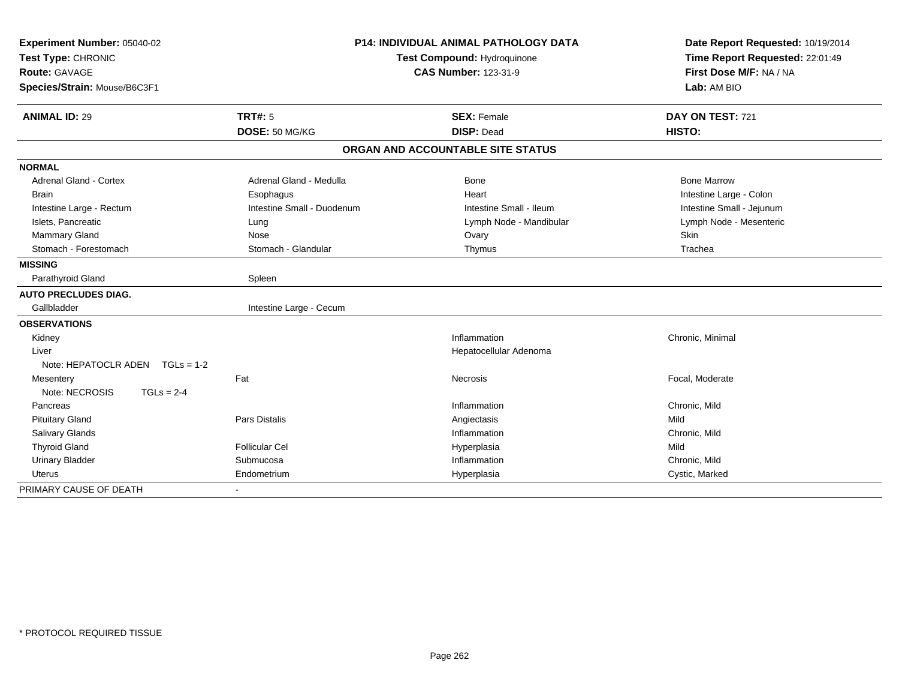| <b>P14: INDIVIDUAL ANIMAL PATHOLOGY DATA</b><br>Experiment Number: 05040-02 |                            |                                   | Date Report Requested: 10/19/2014 |  |
|-----------------------------------------------------------------------------|----------------------------|-----------------------------------|-----------------------------------|--|
| Test Type: CHRONIC                                                          |                            | Test Compound: Hydroquinone       | Time Report Requested: 22:01:49   |  |
| <b>Route: GAVAGE</b>                                                        |                            | <b>CAS Number: 123-31-9</b>       | First Dose M/F: NA / NA           |  |
| Species/Strain: Mouse/B6C3F1                                                |                            |                                   | Lab: AM BIO                       |  |
| <b>ANIMAL ID: 29</b>                                                        | <b>TRT#: 5</b>             | <b>SEX: Female</b>                | DAY ON TEST: 721                  |  |
|                                                                             | DOSE: 50 MG/KG             | <b>DISP: Dead</b>                 | HISTO:                            |  |
|                                                                             |                            | ORGAN AND ACCOUNTABLE SITE STATUS |                                   |  |
| <b>NORMAL</b>                                                               |                            |                                   |                                   |  |
| <b>Adrenal Gland - Cortex</b>                                               | Adrenal Gland - Medulla    | Bone                              | <b>Bone Marrow</b>                |  |
| <b>Brain</b>                                                                | Esophagus                  | Heart                             | Intestine Large - Colon           |  |
| Intestine Large - Rectum                                                    | Intestine Small - Duodenum | Intestine Small - Ileum           | Intestine Small - Jejunum         |  |
| Islets, Pancreatic                                                          | Lung                       | Lymph Node - Mandibular           | Lymph Node - Mesenteric           |  |
| Mammary Gland                                                               | Nose                       | Ovary                             | <b>Skin</b>                       |  |
| Stomach - Forestomach                                                       | Stomach - Glandular        | Thymus                            | Trachea                           |  |
| <b>MISSING</b>                                                              |                            |                                   |                                   |  |
| Parathyroid Gland                                                           | Spleen                     |                                   |                                   |  |
| <b>AUTO PRECLUDES DIAG.</b>                                                 |                            |                                   |                                   |  |
| Gallbladder                                                                 | Intestine Large - Cecum    |                                   |                                   |  |
| <b>OBSERVATIONS</b>                                                         |                            |                                   |                                   |  |
| Kidney                                                                      |                            | Inflammation                      | Chronic, Minimal                  |  |
| Liver                                                                       |                            | Hepatocellular Adenoma            |                                   |  |
| Note: HEPATOCLR ADEN $TGLs = 1-2$                                           |                            |                                   |                                   |  |
| Mesentery                                                                   | Fat                        | Necrosis                          | Focal, Moderate                   |  |
| Note: NECROSIS<br>$TGLs = 2-4$                                              |                            |                                   |                                   |  |
| Pancreas                                                                    |                            | Inflammation                      | Chronic, Mild                     |  |
| <b>Pituitary Gland</b>                                                      | <b>Pars Distalis</b>       | Angiectasis                       | Mild                              |  |
| Salivary Glands                                                             |                            | Inflammation                      | Chronic, Mild                     |  |
| <b>Thyroid Gland</b>                                                        | <b>Follicular Cel</b>      | Hyperplasia                       | Mild                              |  |
| <b>Urinary Bladder</b>                                                      | Submucosa                  | Inflammation                      | Chronic, Mild                     |  |
| <b>Uterus</b>                                                               | Endometrium                | Hyperplasia                       | Cystic, Marked                    |  |
| PRIMARY CAUSE OF DEATH                                                      |                            |                                   |                                   |  |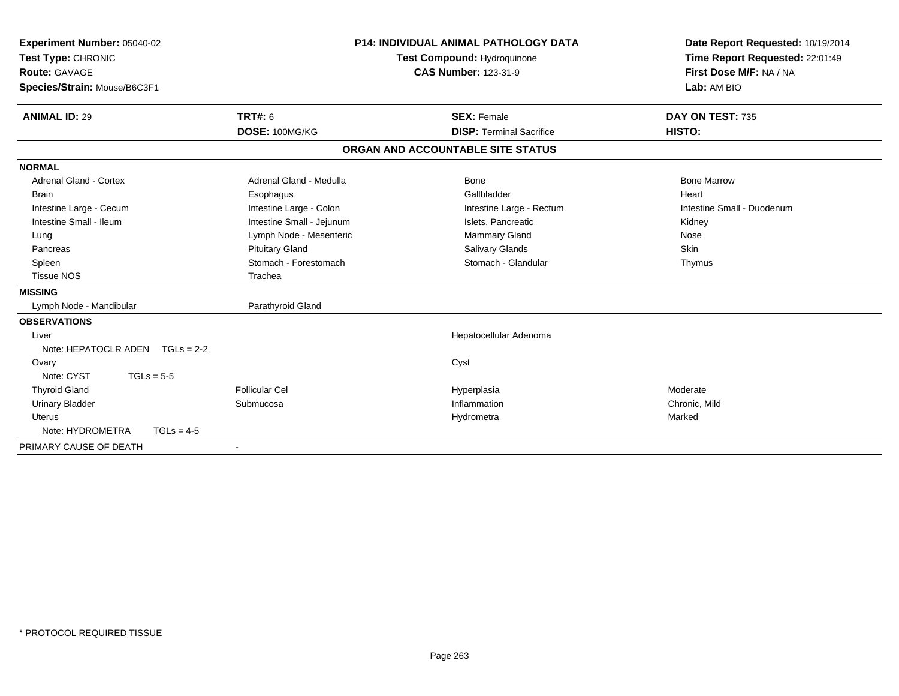| Experiment Number: 05040-02<br>Test Type: CHRONIC<br><b>Route: GAVAGE</b><br>Species/Strain: Mouse/B6C3F1<br><b>ANIMAL ID: 29</b> | <b>TRT#: 6</b>            | P14: INDIVIDUAL ANIMAL PATHOLOGY DATA<br><b>Test Compound: Hydroquinone</b><br><b>CAS Number: 123-31-9</b><br><b>SEX: Female</b> | Date Report Requested: 10/19/2014<br>Time Report Requested: 22:01:49<br>First Dose M/F: NA / NA<br>Lab: AM BIO<br>DAY ON TEST: 735 |
|-----------------------------------------------------------------------------------------------------------------------------------|---------------------------|----------------------------------------------------------------------------------------------------------------------------------|------------------------------------------------------------------------------------------------------------------------------------|
|                                                                                                                                   | DOSE: 100MG/KG            | <b>DISP: Terminal Sacrifice</b>                                                                                                  | HISTO:                                                                                                                             |
|                                                                                                                                   |                           | ORGAN AND ACCOUNTABLE SITE STATUS                                                                                                |                                                                                                                                    |
| <b>NORMAL</b>                                                                                                                     |                           |                                                                                                                                  |                                                                                                                                    |
| <b>Adrenal Gland - Cortex</b>                                                                                                     | Adrenal Gland - Medulla   | Bone                                                                                                                             | <b>Bone Marrow</b>                                                                                                                 |
| <b>Brain</b>                                                                                                                      | Esophagus                 | Gallbladder                                                                                                                      | Heart                                                                                                                              |
| Intestine Large - Cecum                                                                                                           | Intestine Large - Colon   | Intestine Large - Rectum                                                                                                         | Intestine Small - Duodenum                                                                                                         |
| Intestine Small - Ileum                                                                                                           | Intestine Small - Jejunum | Islets, Pancreatic                                                                                                               | Kidney                                                                                                                             |
| Lung                                                                                                                              | Lymph Node - Mesenteric   | Mammary Gland                                                                                                                    | Nose                                                                                                                               |
| Pancreas                                                                                                                          | <b>Pituitary Gland</b>    | Salivary Glands                                                                                                                  | Skin                                                                                                                               |
| Spleen                                                                                                                            | Stomach - Forestomach     | Stomach - Glandular                                                                                                              | Thymus                                                                                                                             |
| <b>Tissue NOS</b>                                                                                                                 | Trachea                   |                                                                                                                                  |                                                                                                                                    |
| <b>MISSING</b>                                                                                                                    |                           |                                                                                                                                  |                                                                                                                                    |
| Lymph Node - Mandibular                                                                                                           | Parathyroid Gland         |                                                                                                                                  |                                                                                                                                    |
| <b>OBSERVATIONS</b>                                                                                                               |                           |                                                                                                                                  |                                                                                                                                    |
| Liver                                                                                                                             |                           | Hepatocellular Adenoma                                                                                                           |                                                                                                                                    |
| Note: HEPATOCLR ADEN $TGLs = 2-2$                                                                                                 |                           |                                                                                                                                  |                                                                                                                                    |
| Ovary                                                                                                                             |                           | Cyst                                                                                                                             |                                                                                                                                    |
| Note: CYST<br>$TGLs = 5-5$                                                                                                        |                           |                                                                                                                                  |                                                                                                                                    |
| <b>Thyroid Gland</b>                                                                                                              | <b>Follicular Cel</b>     | Hyperplasia                                                                                                                      | Moderate                                                                                                                           |
| <b>Urinary Bladder</b>                                                                                                            | Submucosa                 | Inflammation                                                                                                                     | Chronic, Mild                                                                                                                      |
| <b>Uterus</b>                                                                                                                     |                           | Hydrometra                                                                                                                       | Marked                                                                                                                             |
| Note: HYDROMETRA<br>$TGLs = 4-5$                                                                                                  |                           |                                                                                                                                  |                                                                                                                                    |
| PRIMARY CAUSE OF DEATH                                                                                                            | $\overline{\phantom{a}}$  |                                                                                                                                  |                                                                                                                                    |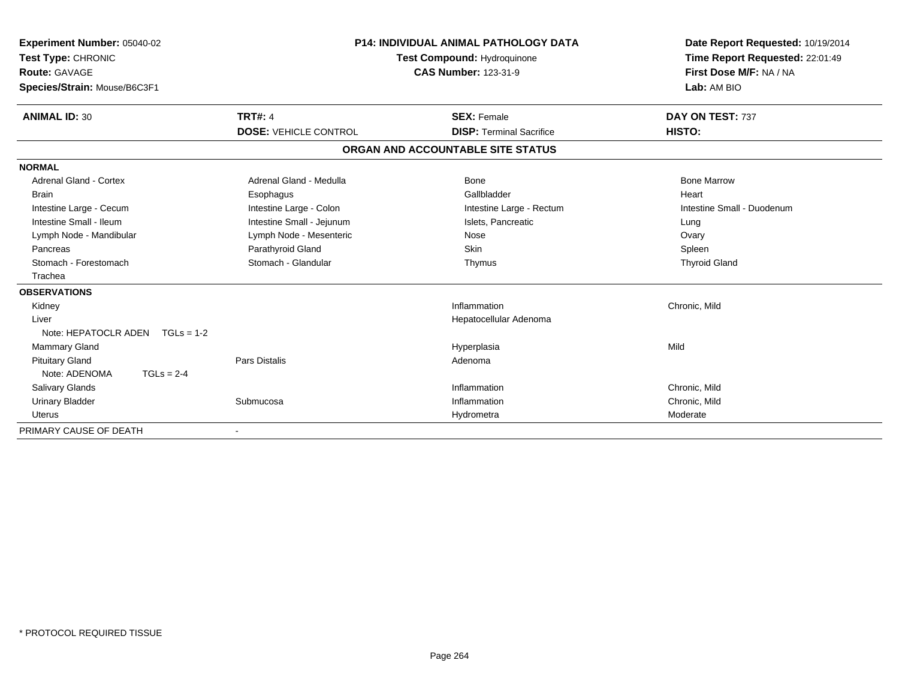| <b>Experiment Number: 05040-02</b><br>Test Type: CHRONIC<br>Route: GAVAGE<br>Species/Strain: Mouse/B6C3F1 |                                                | <b>P14: INDIVIDUAL ANIMAL PATHOLOGY DATA</b><br>Test Compound: Hydroquinone<br><b>CAS Number: 123-31-9</b> |                                                       | Date Report Requested: 10/19/2014<br>Time Report Requested: 22:01:49<br>First Dose M/F: NA / NA<br>Lab: AM BIO |
|-----------------------------------------------------------------------------------------------------------|------------------------------------------------|------------------------------------------------------------------------------------------------------------|-------------------------------------------------------|----------------------------------------------------------------------------------------------------------------|
| <b>ANIMAL ID: 30</b>                                                                                      | <b>TRT#: 4</b><br><b>DOSE: VEHICLE CONTROL</b> |                                                                                                            | <b>SEX: Female</b><br><b>DISP: Terminal Sacrifice</b> | DAY ON TEST: 737<br>HISTO:                                                                                     |
|                                                                                                           |                                                |                                                                                                            |                                                       |                                                                                                                |
|                                                                                                           |                                                |                                                                                                            | ORGAN AND ACCOUNTABLE SITE STATUS                     |                                                                                                                |
| <b>NORMAL</b>                                                                                             |                                                |                                                                                                            |                                                       |                                                                                                                |
| Adrenal Gland - Cortex                                                                                    | Adrenal Gland - Medulla                        |                                                                                                            | Bone                                                  | <b>Bone Marrow</b>                                                                                             |
| <b>Brain</b>                                                                                              | Esophagus                                      |                                                                                                            | Gallbladder                                           | Heart                                                                                                          |
| Intestine Large - Cecum                                                                                   | Intestine Large - Colon                        |                                                                                                            | Intestine Large - Rectum                              | Intestine Small - Duodenum                                                                                     |
| Intestine Small - Ileum                                                                                   | Intestine Small - Jejunum                      |                                                                                                            | Islets, Pancreatic                                    | Lung                                                                                                           |
| Lymph Node - Mandibular                                                                                   | Lymph Node - Mesenteric                        |                                                                                                            | Nose                                                  | Ovary                                                                                                          |
| Pancreas                                                                                                  | Parathyroid Gland                              |                                                                                                            | Skin                                                  | Spleen                                                                                                         |
| Stomach - Forestomach                                                                                     | Stomach - Glandular                            |                                                                                                            | Thymus                                                | <b>Thyroid Gland</b>                                                                                           |
| Trachea                                                                                                   |                                                |                                                                                                            |                                                       |                                                                                                                |
| <b>OBSERVATIONS</b>                                                                                       |                                                |                                                                                                            |                                                       |                                                                                                                |
| Kidney                                                                                                    |                                                |                                                                                                            | Inflammation                                          | Chronic, Mild                                                                                                  |
| Liver                                                                                                     |                                                |                                                                                                            | Hepatocellular Adenoma                                |                                                                                                                |
| Note: HEPATOCLR ADEN<br>$TGLs = 1-2$                                                                      |                                                |                                                                                                            |                                                       |                                                                                                                |
| <b>Mammary Gland</b>                                                                                      |                                                |                                                                                                            | Hyperplasia                                           | Mild                                                                                                           |
| <b>Pituitary Gland</b>                                                                                    | Pars Distalis                                  |                                                                                                            | Adenoma                                               |                                                                                                                |
| Note: ADENOMA<br>$TGLs = 2-4$                                                                             |                                                |                                                                                                            |                                                       |                                                                                                                |
| <b>Salivary Glands</b>                                                                                    |                                                |                                                                                                            | Inflammation                                          | Chronic, Mild                                                                                                  |
| <b>Urinary Bladder</b>                                                                                    | Submucosa                                      |                                                                                                            | Inflammation                                          | Chronic, Mild                                                                                                  |
| <b>Uterus</b>                                                                                             |                                                |                                                                                                            | Hydrometra                                            | Moderate                                                                                                       |
| PRIMARY CAUSE OF DEATH                                                                                    |                                                |                                                                                                            |                                                       |                                                                                                                |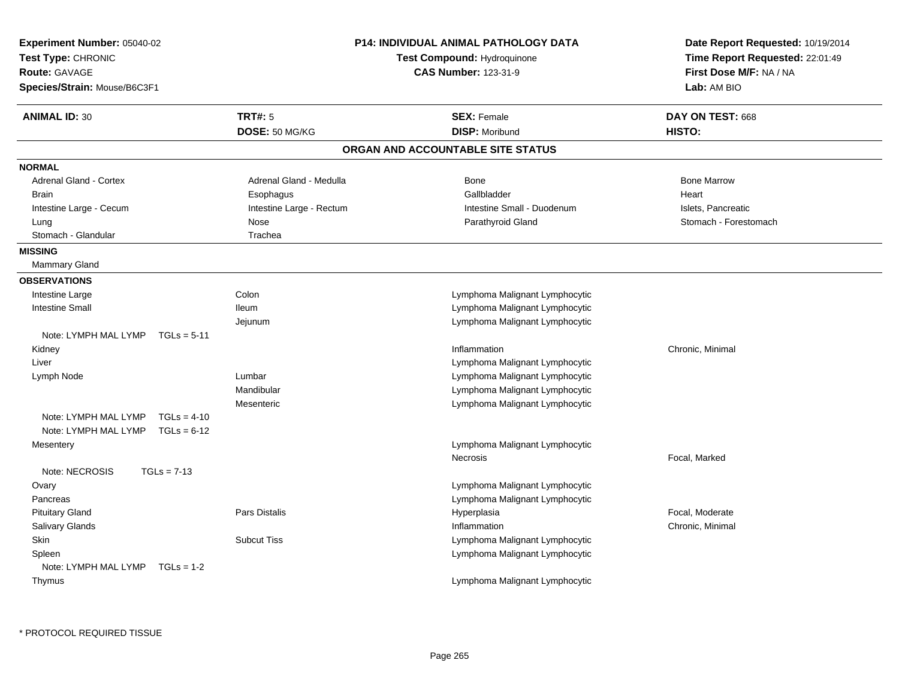| Experiment Number: 05040-02           |                             | P14: INDIVIDUAL ANIMAL PATHOLOGY DATA | Date Report Requested: 10/19/2014 |
|---------------------------------------|-----------------------------|---------------------------------------|-----------------------------------|
| Test Type: CHRONIC                    | Test Compound: Hydroquinone |                                       | Time Report Requested: 22:01:49   |
| Route: GAVAGE                         |                             | <b>CAS Number: 123-31-9</b>           | First Dose M/F: NA / NA           |
| Species/Strain: Mouse/B6C3F1          |                             |                                       | Lab: AM BIO                       |
| <b>ANIMAL ID: 30</b>                  | <b>TRT#: 5</b>              | <b>SEX: Female</b>                    | DAY ON TEST: 668                  |
|                                       | DOSE: 50 MG/KG              | <b>DISP: Moribund</b>                 | HISTO:                            |
|                                       |                             | ORGAN AND ACCOUNTABLE SITE STATUS     |                                   |
| <b>NORMAL</b>                         |                             |                                       |                                   |
| Adrenal Gland - Cortex                | Adrenal Gland - Medulla     | Bone                                  | <b>Bone Marrow</b>                |
| <b>Brain</b>                          | Esophagus                   | Gallbladder                           | Heart                             |
| Intestine Large - Cecum               | Intestine Large - Rectum    | Intestine Small - Duodenum            | Islets, Pancreatic                |
| Lung                                  | Nose                        | Parathyroid Gland                     | Stomach - Forestomach             |
| Stomach - Glandular                   | Trachea                     |                                       |                                   |
| <b>MISSING</b>                        |                             |                                       |                                   |
| Mammary Gland                         |                             |                                       |                                   |
| <b>OBSERVATIONS</b>                   |                             |                                       |                                   |
| Intestine Large                       | Colon                       | Lymphoma Malignant Lymphocytic        |                                   |
| <b>Intestine Small</b>                | <b>Ileum</b>                | Lymphoma Malignant Lymphocytic        |                                   |
|                                       | Jejunum                     | Lymphoma Malignant Lymphocytic        |                                   |
| Note: LYMPH MAL LYMP<br>$TGLs = 5-11$ |                             |                                       |                                   |
| Kidney                                |                             | Inflammation                          | Chronic, Minimal                  |
| Liver                                 |                             | Lymphoma Malignant Lymphocytic        |                                   |
| Lymph Node                            | Lumbar                      | Lymphoma Malignant Lymphocytic        |                                   |
|                                       | Mandibular                  | Lymphoma Malignant Lymphocytic        |                                   |
|                                       | Mesenteric                  | Lymphoma Malignant Lymphocytic        |                                   |
| Note: LYMPH MAL LYMP<br>$TGLs = 4-10$ |                             |                                       |                                   |
| Note: LYMPH MAL LYMP<br>$TGLs = 6-12$ |                             |                                       |                                   |
| Mesentery                             |                             | Lymphoma Malignant Lymphocytic        |                                   |
|                                       |                             | Necrosis                              | Focal, Marked                     |
| Note: NECROSIS<br>$TGLs = 7-13$       |                             |                                       |                                   |
| Ovary                                 |                             | Lymphoma Malignant Lymphocytic        |                                   |
| Pancreas                              |                             | Lymphoma Malignant Lymphocytic        |                                   |
| <b>Pituitary Gland</b>                | Pars Distalis               | Hyperplasia                           | Focal, Moderate                   |
| Salivary Glands                       |                             | Inflammation                          | Chronic, Minimal                  |
| Skin                                  | <b>Subcut Tiss</b>          | Lymphoma Malignant Lymphocytic        |                                   |
| Spleen                                |                             | Lymphoma Malignant Lymphocytic        |                                   |
| Note: LYMPH MAL LYMP<br>$TGLs = 1-2$  |                             |                                       |                                   |
| Thymus                                |                             | Lymphoma Malignant Lymphocytic        |                                   |
|                                       |                             |                                       |                                   |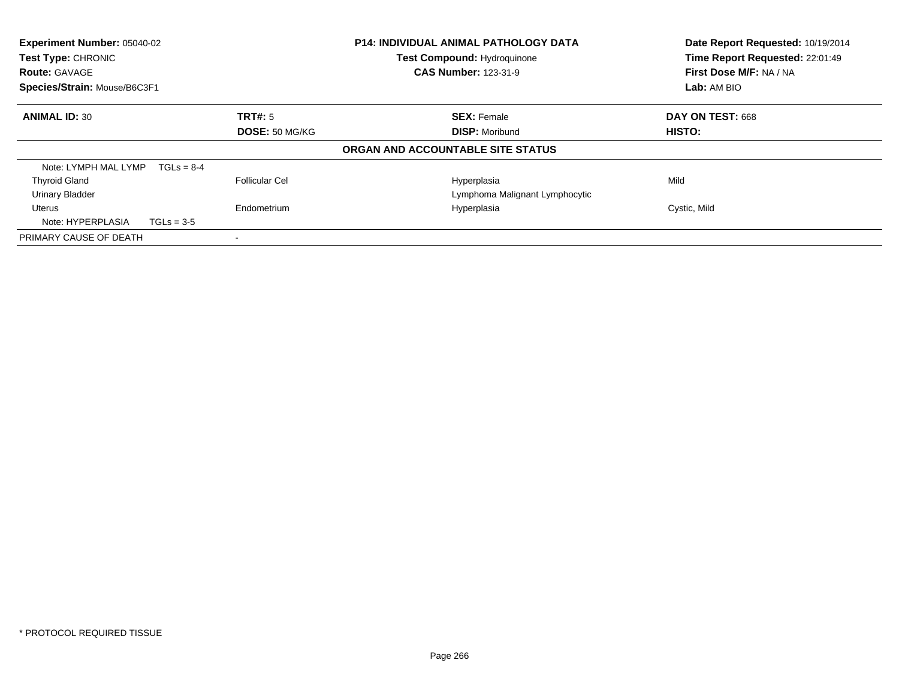| Experiment Number: 05040-02<br>Test Type: CHRONIC<br><b>Route: GAVAGE</b><br>Species/Strain: Mouse/B6C3F1 |                | <b>P14: INDIVIDUAL ANIMAL PATHOLOGY DATA</b><br><b>Test Compound: Hydroquinone</b><br><b>CAS Number: 123-31-9</b> | Date Report Requested: 10/19/2014<br>Time Report Requested: 22:01:49<br>First Dose M/F: NA / NA<br>Lab: AM BIO |  |
|-----------------------------------------------------------------------------------------------------------|----------------|-------------------------------------------------------------------------------------------------------------------|----------------------------------------------------------------------------------------------------------------|--|
| <b>ANIMAL ID: 30</b>                                                                                      | TRT#: 5        | <b>SEX: Female</b>                                                                                                | DAY ON TEST: 668                                                                                               |  |
|                                                                                                           | DOSE: 50 MG/KG | <b>DISP: Moribund</b>                                                                                             | HISTO:                                                                                                         |  |
|                                                                                                           |                | ORGAN AND ACCOUNTABLE SITE STATUS                                                                                 |                                                                                                                |  |
| Note: LYMPH MAL LYMP<br>$TGLS = 8-4$                                                                      |                |                                                                                                                   |                                                                                                                |  |
| <b>Thyroid Gland</b>                                                                                      | Follicular Cel | Hyperplasia                                                                                                       | Mild                                                                                                           |  |
| <b>Urinary Bladder</b>                                                                                    |                | Lymphoma Malignant Lymphocytic                                                                                    |                                                                                                                |  |
| Uterus                                                                                                    | Endometrium    | Hyperplasia                                                                                                       | Cystic, Mild                                                                                                   |  |
| Note: HYPERPLASIA<br>$TGLs = 3-5$                                                                         |                |                                                                                                                   |                                                                                                                |  |
| PRIMARY CAUSE OF DEATH                                                                                    |                |                                                                                                                   |                                                                                                                |  |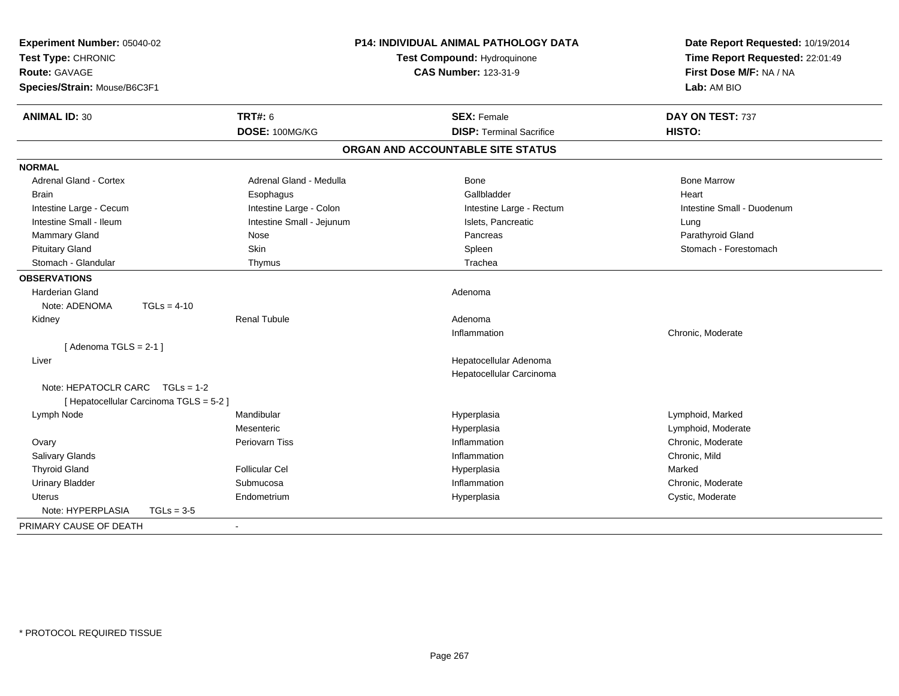| Experiment Number: 05040-02<br>Test Type: CHRONIC<br><b>Route: GAVAGE</b><br>Species/Strain: Mouse/B6C3F1 | P14: INDIVIDUAL ANIMAL PATHOLOGY DATA<br>Test Compound: Hydroquinone<br><b>CAS Number: 123-31-9</b> |                                   | Date Report Requested: 10/19/2014<br>Time Report Requested: 22:01:49<br>First Dose M/F: NA / NA<br>Lab: AM BIO |  |
|-----------------------------------------------------------------------------------------------------------|-----------------------------------------------------------------------------------------------------|-----------------------------------|----------------------------------------------------------------------------------------------------------------|--|
| <b>ANIMAL ID: 30</b>                                                                                      | <b>TRT#: 6</b>                                                                                      | <b>SEX: Female</b>                | DAY ON TEST: 737                                                                                               |  |
|                                                                                                           | DOSE: 100MG/KG                                                                                      | <b>DISP: Terminal Sacrifice</b>   | HISTO:                                                                                                         |  |
|                                                                                                           |                                                                                                     | ORGAN AND ACCOUNTABLE SITE STATUS |                                                                                                                |  |
| <b>NORMAL</b>                                                                                             |                                                                                                     |                                   |                                                                                                                |  |
| <b>Adrenal Gland - Cortex</b>                                                                             | Adrenal Gland - Medulla                                                                             | <b>Bone</b>                       | <b>Bone Marrow</b>                                                                                             |  |
| Brain                                                                                                     | Esophagus                                                                                           | Gallbladder                       | Heart                                                                                                          |  |
| Intestine Large - Cecum                                                                                   | Intestine Large - Colon                                                                             | Intestine Large - Rectum          | Intestine Small - Duodenum                                                                                     |  |
| Intestine Small - Ileum                                                                                   | Intestine Small - Jejunum                                                                           | Islets, Pancreatic                | Lung                                                                                                           |  |
| Mammary Gland                                                                                             | Nose                                                                                                | Pancreas                          | Parathyroid Gland                                                                                              |  |
| <b>Pituitary Gland</b>                                                                                    | Skin                                                                                                | Spleen                            | Stomach - Forestomach                                                                                          |  |
| Stomach - Glandular                                                                                       | Thymus                                                                                              | Trachea                           |                                                                                                                |  |
| <b>OBSERVATIONS</b>                                                                                       |                                                                                                     |                                   |                                                                                                                |  |
| <b>Harderian Gland</b>                                                                                    |                                                                                                     | Adenoma                           |                                                                                                                |  |
| Note: ADENOMA<br>$TGLs = 4-10$                                                                            |                                                                                                     |                                   |                                                                                                                |  |
| Kidney                                                                                                    | <b>Renal Tubule</b>                                                                                 | Adenoma                           |                                                                                                                |  |
|                                                                                                           |                                                                                                     | Inflammation                      | Chronic, Moderate                                                                                              |  |
| [Adenoma TGLS = $2-1$ ]                                                                                   |                                                                                                     |                                   |                                                                                                                |  |
| Liver                                                                                                     |                                                                                                     | Hepatocellular Adenoma            |                                                                                                                |  |
|                                                                                                           |                                                                                                     | Hepatocellular Carcinoma          |                                                                                                                |  |
| Note: HEPATOCLR CARC TGLs = 1-2                                                                           |                                                                                                     |                                   |                                                                                                                |  |
| [ Hepatocellular Carcinoma TGLS = 5-2 ]                                                                   |                                                                                                     |                                   |                                                                                                                |  |
| Lymph Node                                                                                                | Mandibular                                                                                          | Hyperplasia                       | Lymphoid, Marked                                                                                               |  |
|                                                                                                           | Mesenteric                                                                                          | Hyperplasia                       | Lymphoid, Moderate                                                                                             |  |
| Ovary                                                                                                     | <b>Periovarn Tiss</b>                                                                               | Inflammation                      | Chronic, Moderate                                                                                              |  |
| Salivary Glands                                                                                           |                                                                                                     | Inflammation                      | Chronic, Mild                                                                                                  |  |
| <b>Thyroid Gland</b>                                                                                      | <b>Follicular Cel</b>                                                                               | Hyperplasia                       | Marked                                                                                                         |  |
| <b>Urinary Bladder</b>                                                                                    | Submucosa                                                                                           | Inflammation                      | Chronic, Moderate                                                                                              |  |
| <b>Uterus</b>                                                                                             | Endometrium                                                                                         | Hyperplasia                       | Cystic, Moderate                                                                                               |  |
| Note: HYPERPLASIA<br>$TGLs = 3-5$                                                                         |                                                                                                     |                                   |                                                                                                                |  |
| PRIMARY CAUSE OF DEATH                                                                                    | $\blacksquare$                                                                                      |                                   |                                                                                                                |  |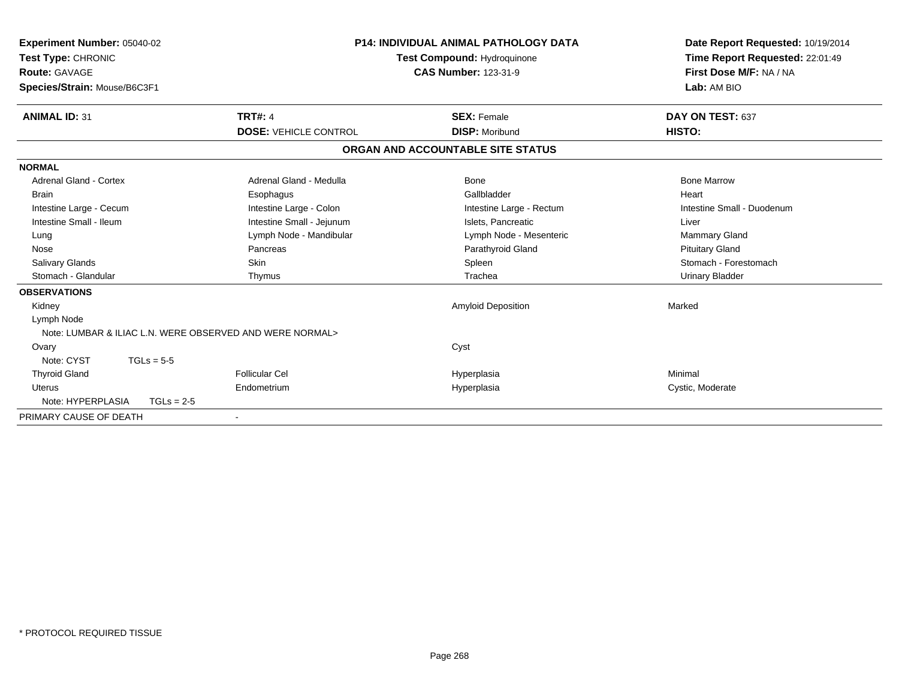| <b>Experiment Number: 05040-02</b><br>Test Type: CHRONIC<br><b>Route: GAVAGE</b><br>Species/Strain: Mouse/B6C3F1 |                                                          | <b>P14: INDIVIDUAL ANIMAL PATHOLOGY DATA</b><br><b>Test Compound: Hydroquinone</b><br><b>CAS Number: 123-31-9</b> | Date Report Requested: 10/19/2014<br>Time Report Requested: 22:01:49<br>First Dose M/F: NA / NA<br>Lab: AM BIO |  |
|------------------------------------------------------------------------------------------------------------------|----------------------------------------------------------|-------------------------------------------------------------------------------------------------------------------|----------------------------------------------------------------------------------------------------------------|--|
| <b>ANIMAL ID: 31</b>                                                                                             | <b>TRT#: 4</b>                                           | <b>SEX: Female</b>                                                                                                | DAY ON TEST: 637                                                                                               |  |
|                                                                                                                  | <b>DOSE: VEHICLE CONTROL</b>                             | <b>DISP: Moribund</b>                                                                                             | HISTO:                                                                                                         |  |
|                                                                                                                  |                                                          | ORGAN AND ACCOUNTABLE SITE STATUS                                                                                 |                                                                                                                |  |
| <b>NORMAL</b>                                                                                                    |                                                          |                                                                                                                   |                                                                                                                |  |
| <b>Adrenal Gland - Cortex</b>                                                                                    | Adrenal Gland - Medulla                                  | Bone                                                                                                              | <b>Bone Marrow</b>                                                                                             |  |
| <b>Brain</b>                                                                                                     | Esophagus                                                | Gallbladder                                                                                                       | Heart                                                                                                          |  |
| Intestine Large - Cecum                                                                                          | Intestine Large - Colon                                  | Intestine Large - Rectum                                                                                          | Intestine Small - Duodenum                                                                                     |  |
| Intestine Small - Ileum                                                                                          | Intestine Small - Jejunum                                | Islets. Pancreatic                                                                                                | Liver                                                                                                          |  |
| Lung                                                                                                             | Lymph Node - Mandibular                                  | Lymph Node - Mesenteric                                                                                           | Mammary Gland                                                                                                  |  |
| Nose                                                                                                             | Pancreas                                                 | Parathyroid Gland                                                                                                 | <b>Pituitary Gland</b>                                                                                         |  |
| Salivary Glands                                                                                                  | <b>Skin</b>                                              | Spleen                                                                                                            | Stomach - Forestomach                                                                                          |  |
| Stomach - Glandular                                                                                              | Thymus                                                   | Trachea                                                                                                           | <b>Urinary Bladder</b>                                                                                         |  |
| <b>OBSERVATIONS</b>                                                                                              |                                                          |                                                                                                                   |                                                                                                                |  |
| Kidney                                                                                                           |                                                          | <b>Amyloid Deposition</b>                                                                                         | Marked                                                                                                         |  |
| Lymph Node                                                                                                       |                                                          |                                                                                                                   |                                                                                                                |  |
|                                                                                                                  | Note: LUMBAR & ILIAC L.N. WERE OBSERVED AND WERE NORMAL> |                                                                                                                   |                                                                                                                |  |
| Ovary                                                                                                            |                                                          | Cyst                                                                                                              |                                                                                                                |  |
| Note: CYST<br>$TGLs = 5-5$                                                                                       |                                                          |                                                                                                                   |                                                                                                                |  |
| <b>Thyroid Gland</b>                                                                                             | <b>Follicular Cel</b>                                    | Hyperplasia                                                                                                       | Minimal                                                                                                        |  |
| <b>Uterus</b>                                                                                                    | Endometrium                                              | Hyperplasia                                                                                                       | Cystic, Moderate                                                                                               |  |
| Note: HYPERPLASIA                                                                                                | $TGLs = 2-5$                                             |                                                                                                                   |                                                                                                                |  |
| PRIMARY CAUSE OF DEATH                                                                                           |                                                          |                                                                                                                   |                                                                                                                |  |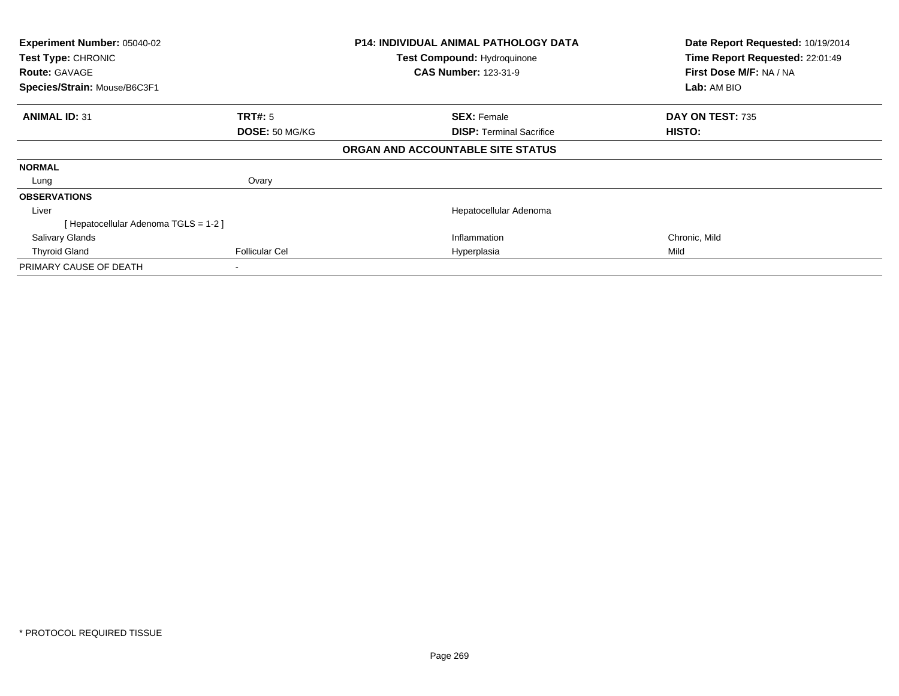| Experiment Number: 05040-02<br>Test Type: CHRONIC<br><b>Route: GAVAGE</b><br>Species/Strain: Mouse/B6C3F1 |                       | <b>P14: INDIVIDUAL ANIMAL PATHOLOGY DATA</b><br>Test Compound: Hydroquinone<br><b>CAS Number: 123-31-9</b> | Date Report Requested: 10/19/2014<br>Time Report Requested: 22:01:49<br>First Dose M/F: NA / NA<br>Lab: AM BIO |
|-----------------------------------------------------------------------------------------------------------|-----------------------|------------------------------------------------------------------------------------------------------------|----------------------------------------------------------------------------------------------------------------|
| <b>ANIMAL ID: 31</b>                                                                                      | <b>TRT#: 5</b>        | <b>SEX: Female</b>                                                                                         | DAY ON TEST: 735                                                                                               |
|                                                                                                           | DOSE: 50 MG/KG        | <b>DISP:</b> Terminal Sacrifice                                                                            | HISTO:                                                                                                         |
|                                                                                                           |                       | ORGAN AND ACCOUNTABLE SITE STATUS                                                                          |                                                                                                                |
| <b>NORMAL</b>                                                                                             |                       |                                                                                                            |                                                                                                                |
| Lung                                                                                                      | Ovary                 |                                                                                                            |                                                                                                                |
| <b>OBSERVATIONS</b>                                                                                       |                       |                                                                                                            |                                                                                                                |
| Liver                                                                                                     |                       | Hepatocellular Adenoma                                                                                     |                                                                                                                |
| Hepatocellular Adenoma TGLS = 1-2 ]                                                                       |                       |                                                                                                            |                                                                                                                |
| <b>Salivary Glands</b>                                                                                    |                       | Inflammation                                                                                               | Chronic, Mild                                                                                                  |
| <b>Thyroid Gland</b>                                                                                      | <b>Follicular Cel</b> | Hyperplasia                                                                                                | Mild                                                                                                           |
| PRIMARY CAUSE OF DEATH                                                                                    |                       |                                                                                                            |                                                                                                                |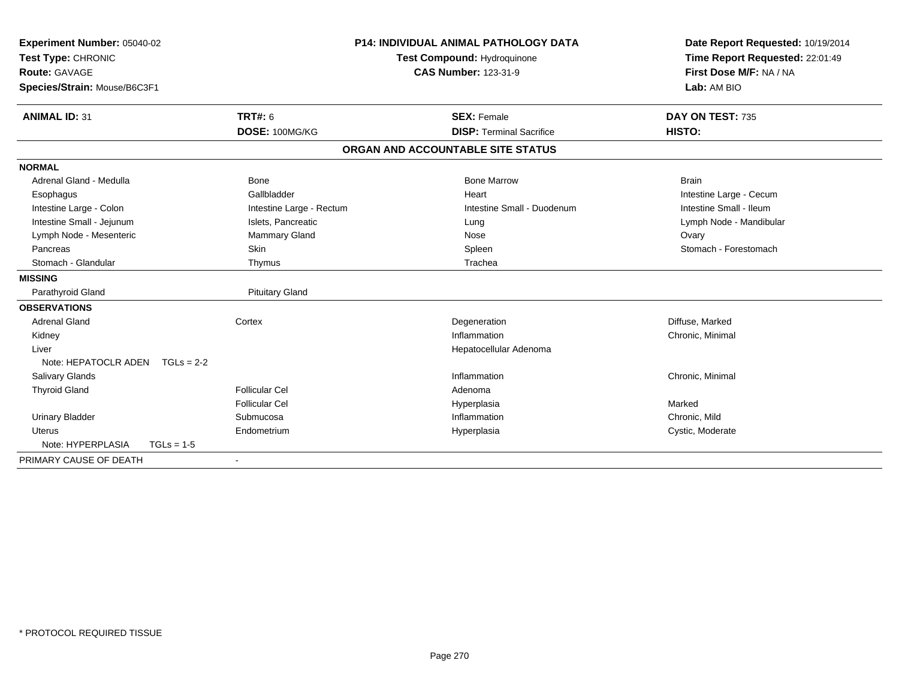| Experiment Number: 05040-02<br>Test Type: CHRONIC |                          | <b>P14: INDIVIDUAL ANIMAL PATHOLOGY DATA</b><br>Test Compound: Hydroquinone | Date Report Requested: 10/19/2014<br>Time Report Requested: 22:01:49 |
|---------------------------------------------------|--------------------------|-----------------------------------------------------------------------------|----------------------------------------------------------------------|
| <b>Route: GAVAGE</b>                              |                          | <b>CAS Number: 123-31-9</b>                                                 | First Dose M/F: NA / NA                                              |
| Species/Strain: Mouse/B6C3F1                      |                          |                                                                             | Lab: AM BIO                                                          |
|                                                   |                          |                                                                             |                                                                      |
| <b>ANIMAL ID: 31</b>                              | <b>TRT#: 6</b>           | <b>SEX: Female</b>                                                          | DAY ON TEST: 735                                                     |
|                                                   | DOSE: 100MG/KG           | <b>DISP: Terminal Sacrifice</b>                                             | HISTO:                                                               |
|                                                   |                          | ORGAN AND ACCOUNTABLE SITE STATUS                                           |                                                                      |
| <b>NORMAL</b>                                     |                          |                                                                             |                                                                      |
| Adrenal Gland - Medulla                           | <b>Bone</b>              | <b>Bone Marrow</b>                                                          | <b>Brain</b>                                                         |
| Esophagus                                         | Gallbladder              | Heart                                                                       | Intestine Large - Cecum                                              |
| Intestine Large - Colon                           | Intestine Large - Rectum | Intestine Small - Duodenum                                                  | Intestine Small - Ileum                                              |
| Intestine Small - Jejunum                         | Islets, Pancreatic       | Lung                                                                        | Lymph Node - Mandibular                                              |
| Lymph Node - Mesenteric                           | Mammary Gland            | Nose                                                                        | Ovary                                                                |
| Pancreas                                          | Skin                     | Spleen                                                                      | Stomach - Forestomach                                                |
| Stomach - Glandular                               | Thymus                   | Trachea                                                                     |                                                                      |
| <b>MISSING</b>                                    |                          |                                                                             |                                                                      |
| Parathyroid Gland                                 | <b>Pituitary Gland</b>   |                                                                             |                                                                      |
| <b>OBSERVATIONS</b>                               |                          |                                                                             |                                                                      |
| <b>Adrenal Gland</b>                              | Cortex                   | Degeneration                                                                | Diffuse, Marked                                                      |
| Kidney                                            |                          | Inflammation                                                                | Chronic, Minimal                                                     |
| Liver                                             |                          | Hepatocellular Adenoma                                                      |                                                                      |
| Note: HEPATOCLR ADEN<br>$TGLs = 2-2$              |                          |                                                                             |                                                                      |
| <b>Salivary Glands</b>                            |                          | Inflammation                                                                | Chronic, Minimal                                                     |
| <b>Thyroid Gland</b>                              | <b>Follicular Cel</b>    | Adenoma                                                                     |                                                                      |
|                                                   | <b>Follicular Cel</b>    | Hyperplasia                                                                 | Marked                                                               |
| <b>Urinary Bladder</b>                            | Submucosa                | Inflammation                                                                | Chronic, Mild                                                        |
| <b>Uterus</b>                                     | Endometrium              | Hyperplasia                                                                 | Cystic, Moderate                                                     |
| Note: HYPERPLASIA<br>$TGLs = 1-5$                 |                          |                                                                             |                                                                      |
| PRIMARY CAUSE OF DEATH                            |                          |                                                                             |                                                                      |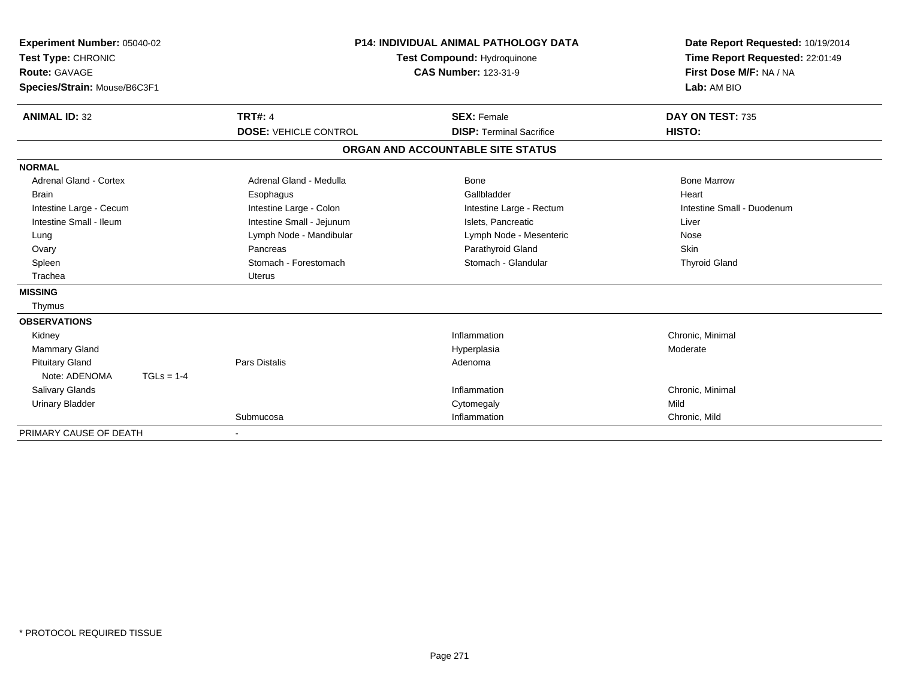| Experiment Number: 05040-02<br>Test Type: CHRONIC<br><b>Route: GAVAGE</b><br>Species/Strain: Mouse/B6C3F1 |              |                              | <b>P14: INDIVIDUAL ANIMAL PATHOLOGY DATA</b><br>Test Compound: Hydroquinone<br><b>CAS Number: 123-31-9</b> | Date Report Requested: 10/19/2014<br>Time Report Requested: 22:01:49<br>First Dose M/F: NA / NA<br>Lab: AM BIO |  |
|-----------------------------------------------------------------------------------------------------------|--------------|------------------------------|------------------------------------------------------------------------------------------------------------|----------------------------------------------------------------------------------------------------------------|--|
| <b>ANIMAL ID: 32</b>                                                                                      |              | <b>TRT#: 4</b>               | <b>SEX: Female</b>                                                                                         | DAY ON TEST: 735                                                                                               |  |
|                                                                                                           |              | <b>DOSE: VEHICLE CONTROL</b> | <b>DISP: Terminal Sacrifice</b>                                                                            | HISTO:                                                                                                         |  |
|                                                                                                           |              |                              | ORGAN AND ACCOUNTABLE SITE STATUS                                                                          |                                                                                                                |  |
| <b>NORMAL</b>                                                                                             |              |                              |                                                                                                            |                                                                                                                |  |
| <b>Adrenal Gland - Cortex</b>                                                                             |              | Adrenal Gland - Medulla      | <b>Bone</b>                                                                                                | <b>Bone Marrow</b>                                                                                             |  |
| <b>Brain</b>                                                                                              |              | Esophagus                    | Gallbladder                                                                                                | Heart                                                                                                          |  |
| Intestine Large - Cecum                                                                                   |              | Intestine Large - Colon      | Intestine Large - Rectum                                                                                   | Intestine Small - Duodenum                                                                                     |  |
| Intestine Small - Ileum                                                                                   |              | Intestine Small - Jejunum    | Islets, Pancreatic                                                                                         | Liver                                                                                                          |  |
| Lung                                                                                                      |              | Lymph Node - Mandibular      | Lymph Node - Mesenteric                                                                                    | Nose                                                                                                           |  |
| Ovary                                                                                                     |              | Pancreas                     | Parathyroid Gland                                                                                          | <b>Skin</b>                                                                                                    |  |
| Spleen                                                                                                    |              | Stomach - Forestomach        | Stomach - Glandular                                                                                        | <b>Thyroid Gland</b>                                                                                           |  |
| Trachea                                                                                                   |              | <b>Uterus</b>                |                                                                                                            |                                                                                                                |  |
| <b>MISSING</b>                                                                                            |              |                              |                                                                                                            |                                                                                                                |  |
| Thymus                                                                                                    |              |                              |                                                                                                            |                                                                                                                |  |
| <b>OBSERVATIONS</b>                                                                                       |              |                              |                                                                                                            |                                                                                                                |  |
| Kidney                                                                                                    |              |                              | Inflammation                                                                                               | Chronic, Minimal                                                                                               |  |
| <b>Mammary Gland</b>                                                                                      |              |                              | Hyperplasia                                                                                                | Moderate                                                                                                       |  |
| <b>Pituitary Gland</b>                                                                                    |              | <b>Pars Distalis</b>         | Adenoma                                                                                                    |                                                                                                                |  |
| Note: ADENOMA                                                                                             | $TGLs = 1-4$ |                              |                                                                                                            |                                                                                                                |  |
| Salivary Glands                                                                                           |              |                              | Inflammation                                                                                               | Chronic, Minimal                                                                                               |  |
| <b>Urinary Bladder</b>                                                                                    |              |                              | Cytomegaly                                                                                                 | Mild                                                                                                           |  |
|                                                                                                           |              | Submucosa                    | Inflammation                                                                                               | Chronic, Mild                                                                                                  |  |
| PRIMARY CAUSE OF DEATH                                                                                    |              |                              |                                                                                                            |                                                                                                                |  |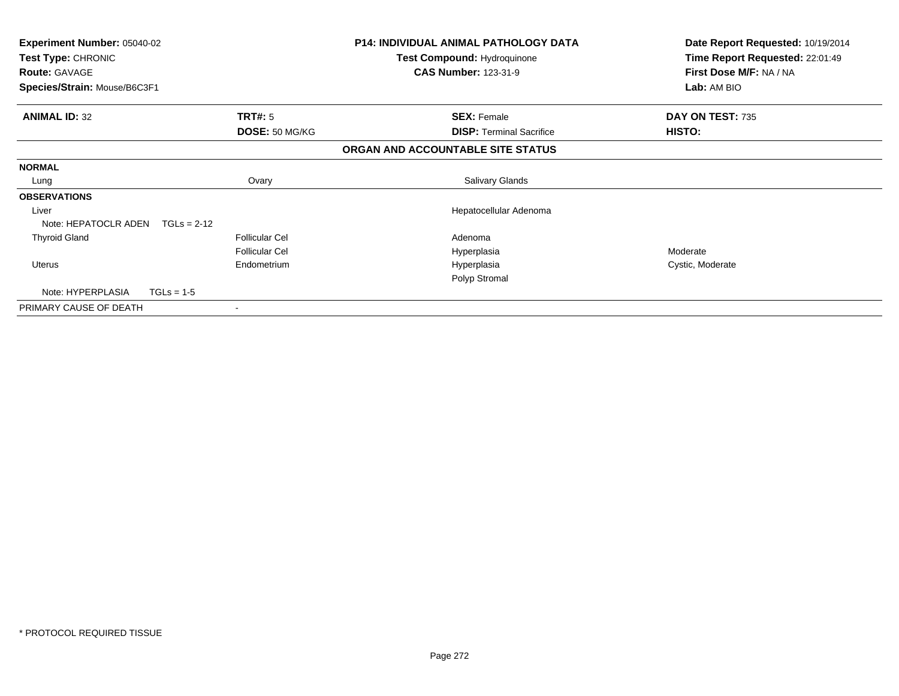| <b>Experiment Number: 05040-02</b><br>Test Type: CHRONIC |                       | <b>P14: INDIVIDUAL ANIMAL PATHOLOGY DATA</b><br>Test Compound: Hydroquinone | Date Report Requested: 10/19/2014<br>Time Report Requested: 22:01:49 |
|----------------------------------------------------------|-----------------------|-----------------------------------------------------------------------------|----------------------------------------------------------------------|
| <b>Route: GAVAGE</b>                                     |                       | <b>CAS Number: 123-31-9</b>                                                 | First Dose M/F: NA / NA                                              |
| Species/Strain: Mouse/B6C3F1                             |                       |                                                                             | Lab: AM BIO                                                          |
| <b>ANIMAL ID: 32</b>                                     | <b>TRT#: 5</b>        | <b>SEX: Female</b>                                                          | DAY ON TEST: 735                                                     |
|                                                          | DOSE: 50 MG/KG        | <b>DISP:</b> Terminal Sacrifice                                             | HISTO:                                                               |
|                                                          |                       | ORGAN AND ACCOUNTABLE SITE STATUS                                           |                                                                      |
| <b>NORMAL</b>                                            |                       |                                                                             |                                                                      |
| Lung                                                     | Ovary                 | Salivary Glands                                                             |                                                                      |
| <b>OBSERVATIONS</b>                                      |                       |                                                                             |                                                                      |
| Liver                                                    |                       | Hepatocellular Adenoma                                                      |                                                                      |
| Note: HEPATOCLR ADEN<br>$TGLs = 2-12$                    |                       |                                                                             |                                                                      |
| <b>Thyroid Gland</b>                                     | <b>Follicular Cel</b> | Adenoma                                                                     |                                                                      |
|                                                          | <b>Follicular Cel</b> | Hyperplasia                                                                 | Moderate                                                             |
| Uterus                                                   | Endometrium           | Hyperplasia                                                                 | Cystic, Moderate                                                     |
|                                                          |                       | Polyp Stromal                                                               |                                                                      |
| Note: HYPERPLASIA<br>$TGLs = 1-5$                        |                       |                                                                             |                                                                      |
| PRIMARY CAUSE OF DEATH                                   |                       |                                                                             |                                                                      |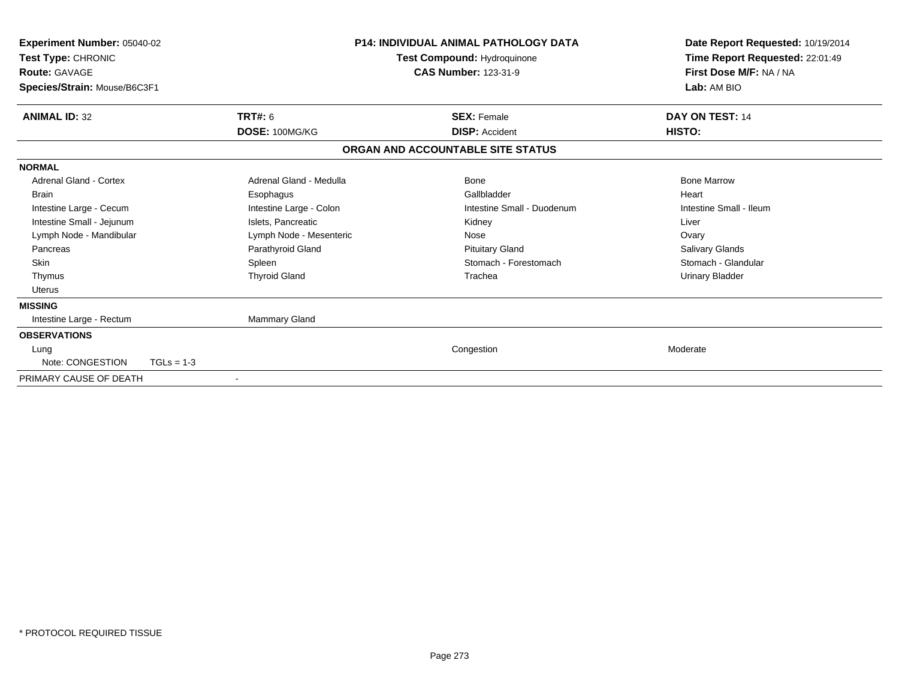| Experiment Number: 05040-02<br>Test Type: CHRONIC<br><b>Route: GAVAGE</b><br>Species/Strain: Mouse/B6C3F1 |                         | <b>P14: INDIVIDUAL ANIMAL PATHOLOGY DATA</b><br>Test Compound: Hydroquinone<br><b>CAS Number: 123-31-9</b> |                            | Date Report Requested: 10/19/2014<br>Time Report Requested: 22:01:49<br>First Dose M/F: NA / NA<br>Lab: AM BIO |  |
|-----------------------------------------------------------------------------------------------------------|-------------------------|------------------------------------------------------------------------------------------------------------|----------------------------|----------------------------------------------------------------------------------------------------------------|--|
| <b>ANIMAL ID: 32</b>                                                                                      | <b>TRT#: 6</b>          | <b>SEX: Female</b>                                                                                         |                            | DAY ON TEST: 14                                                                                                |  |
|                                                                                                           | DOSE: 100MG/KG          | <b>DISP: Accident</b>                                                                                      |                            | HISTO:                                                                                                         |  |
|                                                                                                           |                         | ORGAN AND ACCOUNTABLE SITE STATUS                                                                          |                            |                                                                                                                |  |
| <b>NORMAL</b>                                                                                             |                         |                                                                                                            |                            |                                                                                                                |  |
| <b>Adrenal Gland - Cortex</b>                                                                             | Adrenal Gland - Medulla | Bone                                                                                                       |                            | <b>Bone Marrow</b>                                                                                             |  |
| <b>Brain</b>                                                                                              | Esophagus               |                                                                                                            | Gallbladder                | Heart                                                                                                          |  |
| Intestine Large - Cecum                                                                                   | Intestine Large - Colon |                                                                                                            | Intestine Small - Duodenum | Intestine Small - Ileum                                                                                        |  |
| Intestine Small - Jejunum                                                                                 | Islets, Pancreatic      | Kidney                                                                                                     |                            | Liver                                                                                                          |  |
| Lymph Node - Mandibular                                                                                   | Lymph Node - Mesenteric | Nose                                                                                                       |                            | Ovary                                                                                                          |  |
| Pancreas                                                                                                  | Parathyroid Gland       |                                                                                                            | <b>Pituitary Gland</b>     | Salivary Glands                                                                                                |  |
| <b>Skin</b>                                                                                               | Spleen                  |                                                                                                            | Stomach - Forestomach      | Stomach - Glandular                                                                                            |  |
| Thymus                                                                                                    | <b>Thyroid Gland</b>    | Trachea                                                                                                    |                            | <b>Urinary Bladder</b>                                                                                         |  |
| Uterus                                                                                                    |                         |                                                                                                            |                            |                                                                                                                |  |
| <b>MISSING</b>                                                                                            |                         |                                                                                                            |                            |                                                                                                                |  |
| Intestine Large - Rectum                                                                                  | Mammary Gland           |                                                                                                            |                            |                                                                                                                |  |
| <b>OBSERVATIONS</b>                                                                                       |                         |                                                                                                            |                            |                                                                                                                |  |
| Lung                                                                                                      |                         | Congestion                                                                                                 |                            | Moderate                                                                                                       |  |
| Note: CONGESTION                                                                                          | $TGLs = 1-3$            |                                                                                                            |                            |                                                                                                                |  |
| PRIMARY CAUSE OF DEATH                                                                                    | $\blacksquare$          |                                                                                                            |                            |                                                                                                                |  |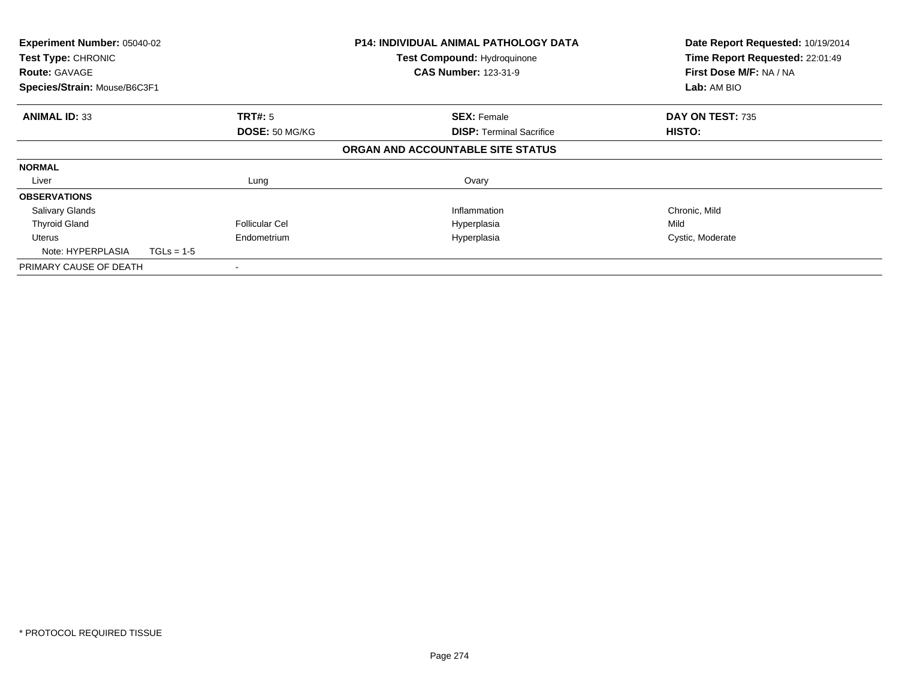| Experiment Number: 05040-02<br>Test Type: CHRONIC<br><b>Route: GAVAGE</b><br>Species/Strain: Mouse/B6C3F1 |              |                       | <b>P14: INDIVIDUAL ANIMAL PATHOLOGY DATA</b><br>Test Compound: Hydroquinone<br><b>CAS Number: 123-31-9</b> | Date Report Requested: 10/19/2014<br>Time Report Requested: 22:01:49<br>First Dose M/F: NA / NA<br>Lab: AM BIO |
|-----------------------------------------------------------------------------------------------------------|--------------|-----------------------|------------------------------------------------------------------------------------------------------------|----------------------------------------------------------------------------------------------------------------|
| <b>ANIMAL ID: 33</b>                                                                                      |              | <b>TRT#: 5</b>        | <b>SEX: Female</b>                                                                                         | DAY ON TEST: 735                                                                                               |
|                                                                                                           |              | DOSE: 50 MG/KG        | <b>DISP:</b> Terminal Sacrifice<br>ORGAN AND ACCOUNTABLE SITE STATUS                                       | HISTO:                                                                                                         |
| <b>NORMAL</b>                                                                                             |              |                       |                                                                                                            |                                                                                                                |
| Liver                                                                                                     |              | Lung                  | Ovary                                                                                                      |                                                                                                                |
| <b>OBSERVATIONS</b>                                                                                       |              |                       |                                                                                                            |                                                                                                                |
| <b>Salivary Glands</b>                                                                                    |              |                       | Inflammation                                                                                               | Chronic, Mild                                                                                                  |
| <b>Thyroid Gland</b>                                                                                      |              | <b>Follicular Cel</b> | Hyperplasia                                                                                                | Mild                                                                                                           |
| Uterus                                                                                                    |              | Endometrium           | Hyperplasia                                                                                                | Cystic, Moderate                                                                                               |
| Note: HYPERPLASIA                                                                                         | $TGLs = 1-5$ |                       |                                                                                                            |                                                                                                                |
| PRIMARY CAUSE OF DEATH                                                                                    |              |                       |                                                                                                            |                                                                                                                |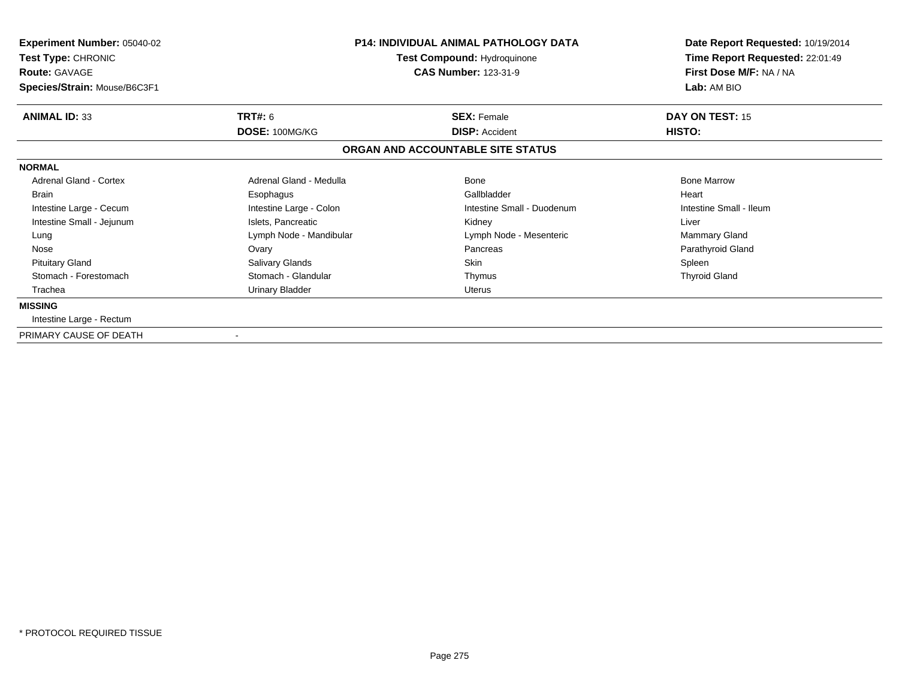| <b>Experiment Number: 05040-02</b><br>Test Type: CHRONIC<br><b>Route: GAVAGE</b><br>Species/Strain: Mouse/B6C3F1 | <b>P14: INDIVIDUAL ANIMAL PATHOLOGY DATA</b><br><b>Test Compound: Hydroquinone</b><br><b>CAS Number: 123-31-9</b> |                                   | Date Report Requested: 10/19/2014<br>Time Report Requested: 22:01:49<br>First Dose M/F: NA / NA<br>Lab: AM BIO |  |
|------------------------------------------------------------------------------------------------------------------|-------------------------------------------------------------------------------------------------------------------|-----------------------------------|----------------------------------------------------------------------------------------------------------------|--|
| <b>ANIMAL ID: 33</b>                                                                                             | <b>TRT#: 6</b>                                                                                                    | <b>SEX: Female</b>                | <b>DAY ON TEST: 15</b>                                                                                         |  |
|                                                                                                                  | DOSE: 100MG/KG                                                                                                    | <b>DISP: Accident</b>             | <b>HISTO:</b>                                                                                                  |  |
|                                                                                                                  |                                                                                                                   | ORGAN AND ACCOUNTABLE SITE STATUS |                                                                                                                |  |
| <b>NORMAL</b>                                                                                                    |                                                                                                                   |                                   |                                                                                                                |  |
| <b>Adrenal Gland - Cortex</b>                                                                                    | Adrenal Gland - Medulla                                                                                           | <b>Bone</b>                       | <b>Bone Marrow</b>                                                                                             |  |
| <b>Brain</b>                                                                                                     | Esophagus                                                                                                         | Gallbladder                       | Heart                                                                                                          |  |
| Intestine Large - Cecum                                                                                          | Intestine Large - Colon                                                                                           | Intestine Small - Duodenum        | Intestine Small - Ileum                                                                                        |  |
| Intestine Small - Jejunum                                                                                        | Islets, Pancreatic                                                                                                | Kidney                            | Liver                                                                                                          |  |
| Lung                                                                                                             | Lymph Node - Mandibular                                                                                           | Lymph Node - Mesenteric           | <b>Mammary Gland</b>                                                                                           |  |
| Nose                                                                                                             | Ovary                                                                                                             | Pancreas                          | Parathyroid Gland                                                                                              |  |
| <b>Pituitary Gland</b>                                                                                           | Salivary Glands                                                                                                   | <b>Skin</b>                       | Spleen                                                                                                         |  |
| Stomach - Forestomach                                                                                            | Stomach - Glandular                                                                                               | Thymus                            | <b>Thyroid Gland</b>                                                                                           |  |
| Trachea                                                                                                          | Urinary Bladder                                                                                                   | Uterus                            |                                                                                                                |  |
| <b>MISSING</b>                                                                                                   |                                                                                                                   |                                   |                                                                                                                |  |
| Intestine Large - Rectum                                                                                         |                                                                                                                   |                                   |                                                                                                                |  |
| PRIMARY CAUSE OF DEATH                                                                                           | $\blacksquare$                                                                                                    |                                   |                                                                                                                |  |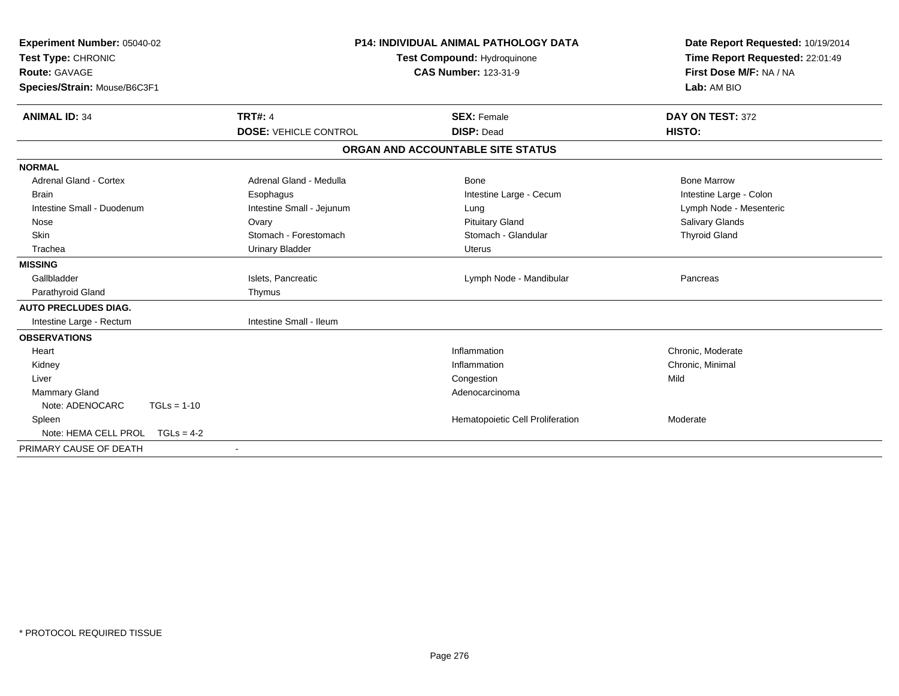| Experiment Number: 05040-02<br>Test Type: CHRONIC<br><b>Route: GAVAGE</b><br>Species/Strain: Mouse/B6C3F1 |                              | <b>P14: INDIVIDUAL ANIMAL PATHOLOGY DATA</b><br>Test Compound: Hydroquinone<br><b>CAS Number: 123-31-9</b> | Date Report Requested: 10/19/2014<br>Time Report Requested: 22:01:49<br>First Dose M/F: NA / NA<br>Lab: AM BIO |
|-----------------------------------------------------------------------------------------------------------|------------------------------|------------------------------------------------------------------------------------------------------------|----------------------------------------------------------------------------------------------------------------|
| <b>ANIMAL ID: 34</b>                                                                                      | <b>TRT#: 4</b>               | <b>SEX: Female</b>                                                                                         | DAY ON TEST: 372                                                                                               |
|                                                                                                           | <b>DOSE: VEHICLE CONTROL</b> | <b>DISP: Dead</b>                                                                                          | HISTO:                                                                                                         |
|                                                                                                           |                              | ORGAN AND ACCOUNTABLE SITE STATUS                                                                          |                                                                                                                |
| <b>NORMAL</b>                                                                                             |                              |                                                                                                            |                                                                                                                |
| <b>Adrenal Gland - Cortex</b>                                                                             | Adrenal Gland - Medulla      | Bone                                                                                                       | <b>Bone Marrow</b>                                                                                             |
| <b>Brain</b>                                                                                              | Esophagus                    | Intestine Large - Cecum                                                                                    | Intestine Large - Colon                                                                                        |
| Intestine Small - Duodenum                                                                                | Intestine Small - Jejunum    | Lung                                                                                                       | Lymph Node - Mesenteric                                                                                        |
| Nose                                                                                                      | Ovary                        | <b>Pituitary Gland</b>                                                                                     | Salivary Glands                                                                                                |
| Skin                                                                                                      | Stomach - Forestomach        | Stomach - Glandular                                                                                        | <b>Thyroid Gland</b>                                                                                           |
| Trachea                                                                                                   | <b>Urinary Bladder</b>       | Uterus                                                                                                     |                                                                                                                |
| <b>MISSING</b>                                                                                            |                              |                                                                                                            |                                                                                                                |
| Gallbladder                                                                                               | Islets, Pancreatic           | Lymph Node - Mandibular                                                                                    | Pancreas                                                                                                       |
| Parathyroid Gland                                                                                         | Thymus                       |                                                                                                            |                                                                                                                |
| <b>AUTO PRECLUDES DIAG.</b>                                                                               |                              |                                                                                                            |                                                                                                                |
| Intestine Large - Rectum                                                                                  | Intestine Small - Ileum      |                                                                                                            |                                                                                                                |
| <b>OBSERVATIONS</b>                                                                                       |                              |                                                                                                            |                                                                                                                |
| Heart                                                                                                     |                              | Inflammation                                                                                               | Chronic, Moderate                                                                                              |
| Kidney                                                                                                    |                              | Inflammation                                                                                               | Chronic, Minimal                                                                                               |
| Liver                                                                                                     |                              | Congestion                                                                                                 | Mild                                                                                                           |
| Mammary Gland                                                                                             |                              | Adenocarcinoma                                                                                             |                                                                                                                |
| Note: ADENOCARC<br>$TGLs = 1-10$                                                                          |                              |                                                                                                            |                                                                                                                |
| Spleen                                                                                                    |                              | Hematopoietic Cell Proliferation                                                                           | Moderate                                                                                                       |
| Note: HEMA CELL PROL $TGLs = 4-2$                                                                         |                              |                                                                                                            |                                                                                                                |
| PRIMARY CAUSE OF DEATH                                                                                    |                              |                                                                                                            |                                                                                                                |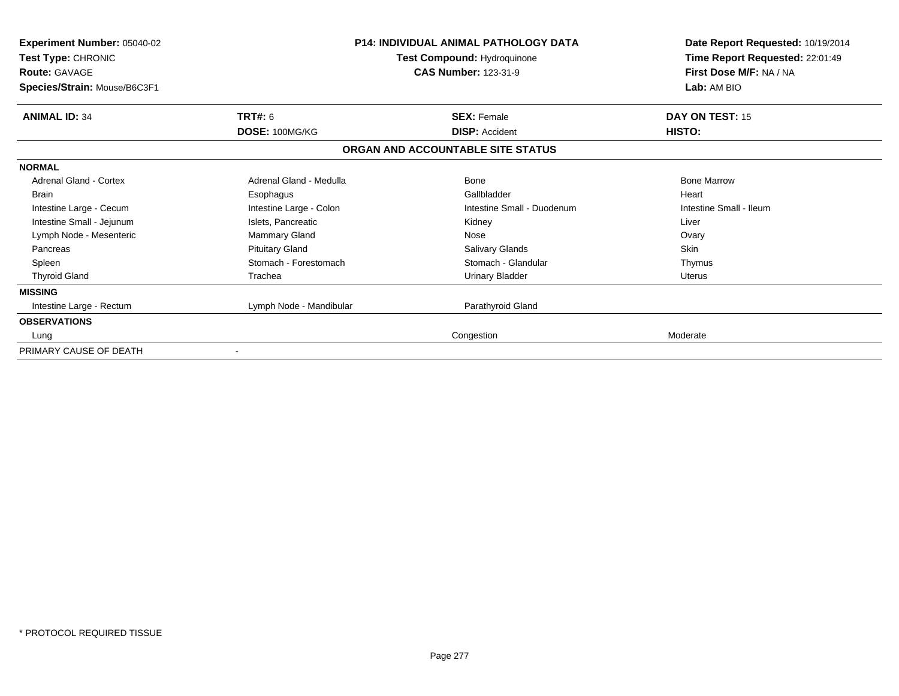| <b>Experiment Number: 05040-02</b><br>Test Type: CHRONIC<br><b>Route: GAVAGE</b><br>Species/Strain: Mouse/B6C3F1 |                         | <b>P14: INDIVIDUAL ANIMAL PATHOLOGY DATA</b><br>Test Compound: Hydroquinone<br><b>CAS Number: 123-31-9</b> | Date Report Requested: 10/19/2014<br>Time Report Requested: 22:01:49<br>First Dose M/F: NA / NA<br>Lab: AM BIO |
|------------------------------------------------------------------------------------------------------------------|-------------------------|------------------------------------------------------------------------------------------------------------|----------------------------------------------------------------------------------------------------------------|
| <b>ANIMAL ID: 34</b>                                                                                             | TRT#: 6                 | <b>SEX: Female</b>                                                                                         | DAY ON TEST: 15                                                                                                |
|                                                                                                                  | DOSE: 100MG/KG          | <b>DISP: Accident</b>                                                                                      | HISTO:                                                                                                         |
|                                                                                                                  |                         | ORGAN AND ACCOUNTABLE SITE STATUS                                                                          |                                                                                                                |
| <b>NORMAL</b>                                                                                                    |                         |                                                                                                            |                                                                                                                |
| Adrenal Gland - Cortex                                                                                           | Adrenal Gland - Medulla | Bone                                                                                                       | <b>Bone Marrow</b>                                                                                             |
| <b>Brain</b>                                                                                                     | Esophagus               | Gallbladder                                                                                                | Heart                                                                                                          |
| Intestine Large - Cecum                                                                                          | Intestine Large - Colon | Intestine Small - Duodenum                                                                                 | Intestine Small - Ileum                                                                                        |
| Intestine Small - Jejunum                                                                                        | Islets, Pancreatic      | Kidney                                                                                                     | Liver                                                                                                          |
| Lymph Node - Mesenteric                                                                                          | <b>Mammary Gland</b>    | Nose                                                                                                       | Ovary                                                                                                          |
| Pancreas                                                                                                         | <b>Pituitary Gland</b>  | <b>Salivary Glands</b>                                                                                     | <b>Skin</b>                                                                                                    |
| Spleen                                                                                                           | Stomach - Forestomach   | Stomach - Glandular                                                                                        | Thymus                                                                                                         |
| <b>Thyroid Gland</b>                                                                                             | Trachea                 | <b>Urinary Bladder</b>                                                                                     | Uterus                                                                                                         |
| <b>MISSING</b>                                                                                                   |                         |                                                                                                            |                                                                                                                |
| Intestine Large - Rectum                                                                                         | Lymph Node - Mandibular | Parathyroid Gland                                                                                          |                                                                                                                |
| <b>OBSERVATIONS</b>                                                                                              |                         |                                                                                                            |                                                                                                                |
| Lung                                                                                                             |                         | Congestion                                                                                                 | Moderate                                                                                                       |
| PRIMARY CAUSE OF DEATH                                                                                           | $\blacksquare$          |                                                                                                            |                                                                                                                |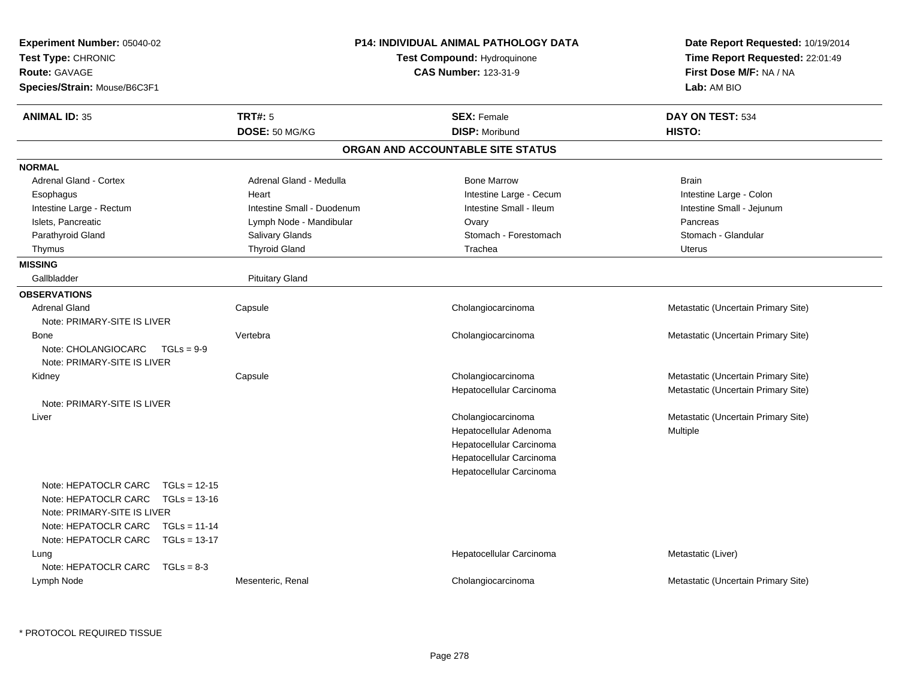| Experiment Number: 05040-02<br>Test Type: CHRONIC<br><b>Route: GAVAGE</b><br>Species/Strain: Mouse/B6C3F1                                                                                           |                                  | <b>P14: INDIVIDUAL ANIMAL PATHOLOGY DATA</b><br>Test Compound: Hydroquinone<br><b>CAS Number: 123-31-9</b>                       | Date Report Requested: 10/19/2014<br>Time Report Requested: 22:01:49<br>First Dose M/F: NA / NA<br>Lab: AM BIO |
|-----------------------------------------------------------------------------------------------------------------------------------------------------------------------------------------------------|----------------------------------|----------------------------------------------------------------------------------------------------------------------------------|----------------------------------------------------------------------------------------------------------------|
| <b>ANIMAL ID: 35</b>                                                                                                                                                                                | <b>TRT#: 5</b><br>DOSE: 50 MG/KG | <b>SEX: Female</b><br><b>DISP: Moribund</b>                                                                                      | DAY ON TEST: 534<br>HISTO:                                                                                     |
|                                                                                                                                                                                                     |                                  | ORGAN AND ACCOUNTABLE SITE STATUS                                                                                                |                                                                                                                |
| <b>NORMAL</b>                                                                                                                                                                                       |                                  |                                                                                                                                  |                                                                                                                |
| <b>Adrenal Gland - Cortex</b>                                                                                                                                                                       | Adrenal Gland - Medulla          | <b>Bone Marrow</b>                                                                                                               | <b>Brain</b>                                                                                                   |
| Esophagus                                                                                                                                                                                           | Heart                            | Intestine Large - Cecum                                                                                                          | Intestine Large - Colon                                                                                        |
| Intestine Large - Rectum                                                                                                                                                                            | Intestine Small - Duodenum       | Intestine Small - Ileum                                                                                                          | Intestine Small - Jejunum                                                                                      |
| Islets, Pancreatic                                                                                                                                                                                  | Lymph Node - Mandibular          | Ovary                                                                                                                            | Pancreas                                                                                                       |
| Parathyroid Gland                                                                                                                                                                                   | <b>Salivary Glands</b>           | Stomach - Forestomach                                                                                                            | Stomach - Glandular                                                                                            |
| Thymus                                                                                                                                                                                              | <b>Thyroid Gland</b>             | Trachea                                                                                                                          | Uterus                                                                                                         |
| <b>MISSING</b>                                                                                                                                                                                      |                                  |                                                                                                                                  |                                                                                                                |
| Gallbladder                                                                                                                                                                                         | <b>Pituitary Gland</b>           |                                                                                                                                  |                                                                                                                |
| <b>OBSERVATIONS</b>                                                                                                                                                                                 |                                  |                                                                                                                                  |                                                                                                                |
| <b>Adrenal Gland</b><br>Note: PRIMARY-SITE IS LIVER                                                                                                                                                 | Capsule                          | Cholangiocarcinoma                                                                                                               | Metastatic (Uncertain Primary Site)                                                                            |
| <b>Bone</b><br>Note: CHOLANGIOCARC<br>$TGLs = 9-9$<br>Note: PRIMARY-SITE IS LIVER                                                                                                                   | Vertebra                         | Cholangiocarcinoma                                                                                                               | Metastatic (Uncertain Primary Site)                                                                            |
| Kidney                                                                                                                                                                                              | Capsule                          | Cholangiocarcinoma<br>Hepatocellular Carcinoma                                                                                   | Metastatic (Uncertain Primary Site)<br>Metastatic (Uncertain Primary Site)                                     |
| Note: PRIMARY-SITE IS LIVER                                                                                                                                                                         |                                  |                                                                                                                                  |                                                                                                                |
| Liver                                                                                                                                                                                               |                                  | Cholangiocarcinoma<br>Hepatocellular Adenoma<br>Hepatocellular Carcinoma<br>Hepatocellular Carcinoma<br>Hepatocellular Carcinoma | Metastatic (Uncertain Primary Site)<br>Multiple                                                                |
| Note: HEPATOCLR CARC<br>$TGLs = 12-15$<br>Note: HEPATOCLR CARC<br>$TGLs = 13-16$<br>Note: PRIMARY-SITE IS LIVER<br>Note: HEPATOCLR CARC<br>$TGLs = 11-14$<br>Note: HEPATOCLR CARC<br>$TGLs = 13-17$ |                                  |                                                                                                                                  |                                                                                                                |
| Lung<br>Note: HEPATOCLR CARC<br>$TGLs = 8-3$                                                                                                                                                        |                                  | Hepatocellular Carcinoma                                                                                                         | Metastatic (Liver)                                                                                             |
| Lymph Node                                                                                                                                                                                          | Mesenteric, Renal                | Cholangiocarcinoma                                                                                                               | Metastatic (Uncertain Primary Site)                                                                            |

\* PROTOCOL REQUIRED TISSUE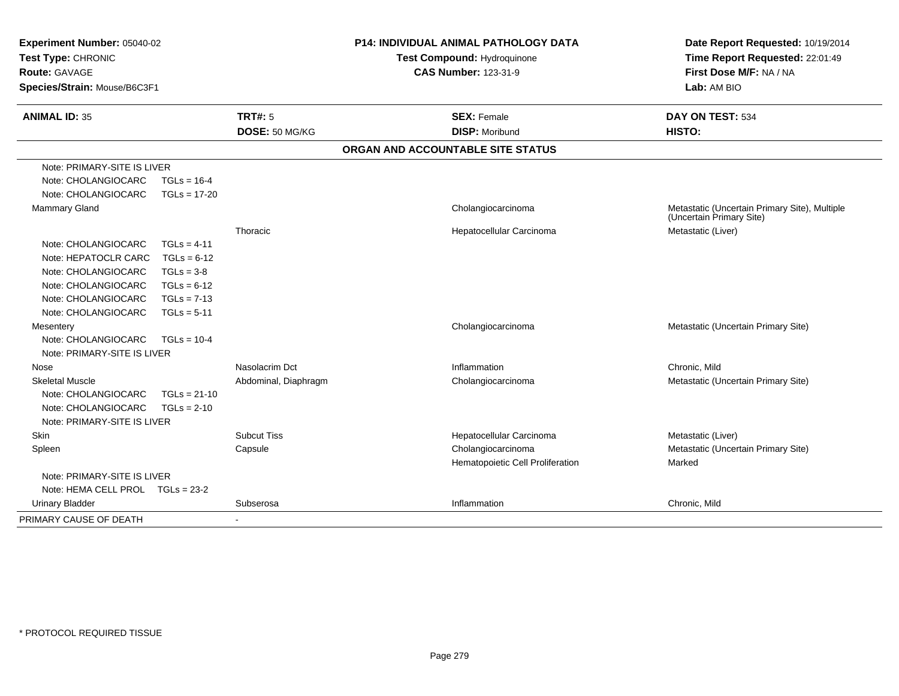| Experiment Number: 05040-02<br>Test Type: CHRONIC<br>Route: GAVAGE<br>Species/Strain: Mouse/B6C3F1 |                |                                  | <b>P14: INDIVIDUAL ANIMAL PATHOLOGY DATA</b><br>Test Compound: Hydroquinone<br><b>CAS Number: 123-31-9</b> |                                             | Date Report Requested: 10/19/2014<br>Time Report Requested: 22:01:49<br>First Dose M/F: NA / NA<br>Lab: AM BIO |
|----------------------------------------------------------------------------------------------------|----------------|----------------------------------|------------------------------------------------------------------------------------------------------------|---------------------------------------------|----------------------------------------------------------------------------------------------------------------|
| <b>ANIMAL ID: 35</b>                                                                               |                | <b>TRT#: 5</b><br>DOSE: 50 MG/KG |                                                                                                            | <b>SEX: Female</b><br><b>DISP: Moribund</b> | DAY ON TEST: 534<br>HISTO:                                                                                     |
|                                                                                                    |                |                                  |                                                                                                            | ORGAN AND ACCOUNTABLE SITE STATUS           |                                                                                                                |
| Note: PRIMARY-SITE IS LIVER                                                                        |                |                                  |                                                                                                            |                                             |                                                                                                                |
| Note: CHOLANGIOCARC                                                                                | $TGLs = 16-4$  |                                  |                                                                                                            |                                             |                                                                                                                |
| Note: CHOLANGIOCARC                                                                                | $TGLs = 17-20$ |                                  |                                                                                                            |                                             |                                                                                                                |
| Mammary Gland                                                                                      |                |                                  |                                                                                                            | Cholangiocarcinoma                          | Metastatic (Uncertain Primary Site), Multiple<br>(Uncertain Primary Site)                                      |
|                                                                                                    |                | Thoracic                         |                                                                                                            | Hepatocellular Carcinoma                    | Metastatic (Liver)                                                                                             |
| Note: CHOLANGIOCARC                                                                                | $TGLs = 4-11$  |                                  |                                                                                                            |                                             |                                                                                                                |
| Note: HEPATOCLR CARC                                                                               | $TGLs = 6-12$  |                                  |                                                                                                            |                                             |                                                                                                                |
| Note: CHOLANGIOCARC                                                                                | $TGLs = 3-8$   |                                  |                                                                                                            |                                             |                                                                                                                |
| Note: CHOLANGIOCARC                                                                                | $TGLs = 6-12$  |                                  |                                                                                                            |                                             |                                                                                                                |
| Note: CHOLANGIOCARC                                                                                | $TGLs = 7-13$  |                                  |                                                                                                            |                                             |                                                                                                                |
| Note: CHOLANGIOCARC                                                                                | $TGLs = 5-11$  |                                  |                                                                                                            |                                             |                                                                                                                |
| Mesentery                                                                                          |                |                                  |                                                                                                            | Cholangiocarcinoma                          | Metastatic (Uncertain Primary Site)                                                                            |
| Note: CHOLANGIOCARC                                                                                | $TGLs = 10-4$  |                                  |                                                                                                            |                                             |                                                                                                                |
| Note: PRIMARY-SITE IS LIVER                                                                        |                |                                  |                                                                                                            |                                             |                                                                                                                |
| Nose                                                                                               |                | Nasolacrim Dct                   |                                                                                                            | Inflammation                                | Chronic, Mild                                                                                                  |
| <b>Skeletal Muscle</b>                                                                             |                | Abdominal, Diaphragm             |                                                                                                            | Cholangiocarcinoma                          | Metastatic (Uncertain Primary Site)                                                                            |
| Note: CHOLANGIOCARC                                                                                | $TGLs = 21-10$ |                                  |                                                                                                            |                                             |                                                                                                                |
| Note: CHOLANGIOCARC                                                                                | $TGLs = 2-10$  |                                  |                                                                                                            |                                             |                                                                                                                |
| Note: PRIMARY-SITE IS LIVER                                                                        |                |                                  |                                                                                                            |                                             |                                                                                                                |
| Skin                                                                                               |                | <b>Subcut Tiss</b>               |                                                                                                            | Hepatocellular Carcinoma                    | Metastatic (Liver)                                                                                             |
| Spleen                                                                                             |                | Capsule                          |                                                                                                            | Cholangiocarcinoma                          | Metastatic (Uncertain Primary Site)                                                                            |
|                                                                                                    |                |                                  |                                                                                                            | Hematopoietic Cell Proliferation            | Marked                                                                                                         |
| Note: PRIMARY-SITE IS LIVER                                                                        |                |                                  |                                                                                                            |                                             |                                                                                                                |
| Note: HEMA CELL PROL TGLs = 23-2                                                                   |                |                                  |                                                                                                            |                                             |                                                                                                                |
| <b>Urinary Bladder</b>                                                                             |                | Subserosa                        |                                                                                                            | Inflammation                                | Chronic, Mild                                                                                                  |
| PRIMARY CAUSE OF DEATH                                                                             |                |                                  |                                                                                                            |                                             |                                                                                                                |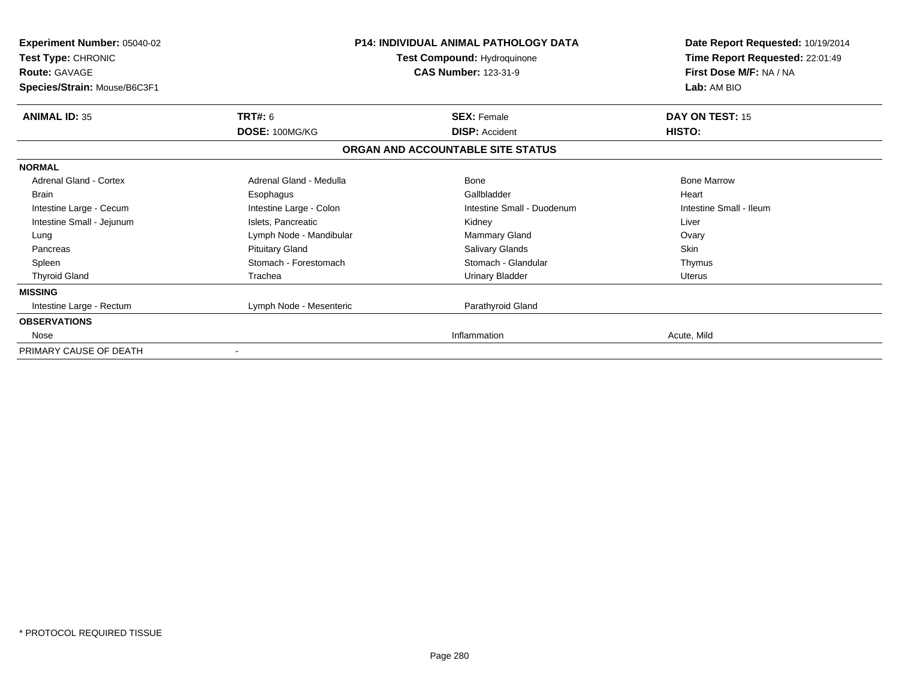| <b>Experiment Number: 05040-02</b><br>Test Type: CHRONIC<br><b>Route: GAVAGE</b><br>Species/Strain: Mouse/B6C3F1 |                         | <b>P14: INDIVIDUAL ANIMAL PATHOLOGY DATA</b><br>Test Compound: Hydroquinone<br><b>CAS Number: 123-31-9</b> | Date Report Requested: 10/19/2014<br>Time Report Requested: 22:01:49<br>First Dose M/F: NA / NA<br>Lab: AM BIO |
|------------------------------------------------------------------------------------------------------------------|-------------------------|------------------------------------------------------------------------------------------------------------|----------------------------------------------------------------------------------------------------------------|
| <b>ANIMAL ID: 35</b>                                                                                             | TRT#: 6                 | <b>SEX: Female</b>                                                                                         | DAY ON TEST: 15                                                                                                |
|                                                                                                                  | DOSE: 100MG/KG          | <b>DISP: Accident</b>                                                                                      | HISTO:                                                                                                         |
|                                                                                                                  |                         | ORGAN AND ACCOUNTABLE SITE STATUS                                                                          |                                                                                                                |
| <b>NORMAL</b>                                                                                                    |                         |                                                                                                            |                                                                                                                |
| <b>Adrenal Gland - Cortex</b>                                                                                    | Adrenal Gland - Medulla | Bone                                                                                                       | <b>Bone Marrow</b>                                                                                             |
| <b>Brain</b>                                                                                                     | Esophagus               | Gallbladder                                                                                                | Heart                                                                                                          |
| Intestine Large - Cecum                                                                                          | Intestine Large - Colon | Intestine Small - Duodenum                                                                                 | Intestine Small - Ileum                                                                                        |
| Intestine Small - Jejunum                                                                                        | Islets, Pancreatic      | Kidney                                                                                                     | Liver                                                                                                          |
| Lung                                                                                                             | Lymph Node - Mandibular | Mammary Gland                                                                                              | Ovary                                                                                                          |
| Pancreas                                                                                                         | <b>Pituitary Gland</b>  | <b>Salivary Glands</b>                                                                                     | <b>Skin</b>                                                                                                    |
| Spleen                                                                                                           | Stomach - Forestomach   | Stomach - Glandular                                                                                        | Thymus                                                                                                         |
| <b>Thyroid Gland</b>                                                                                             | Trachea                 | <b>Urinary Bladder</b>                                                                                     | <b>Uterus</b>                                                                                                  |
| <b>MISSING</b>                                                                                                   |                         |                                                                                                            |                                                                                                                |
| Intestine Large - Rectum                                                                                         | Lymph Node - Mesenteric | Parathyroid Gland                                                                                          |                                                                                                                |
| <b>OBSERVATIONS</b>                                                                                              |                         |                                                                                                            |                                                                                                                |
| Nose                                                                                                             |                         | Inflammation                                                                                               | Acute, Mild                                                                                                    |
| PRIMARY CAUSE OF DEATH                                                                                           | $\blacksquare$          |                                                                                                            |                                                                                                                |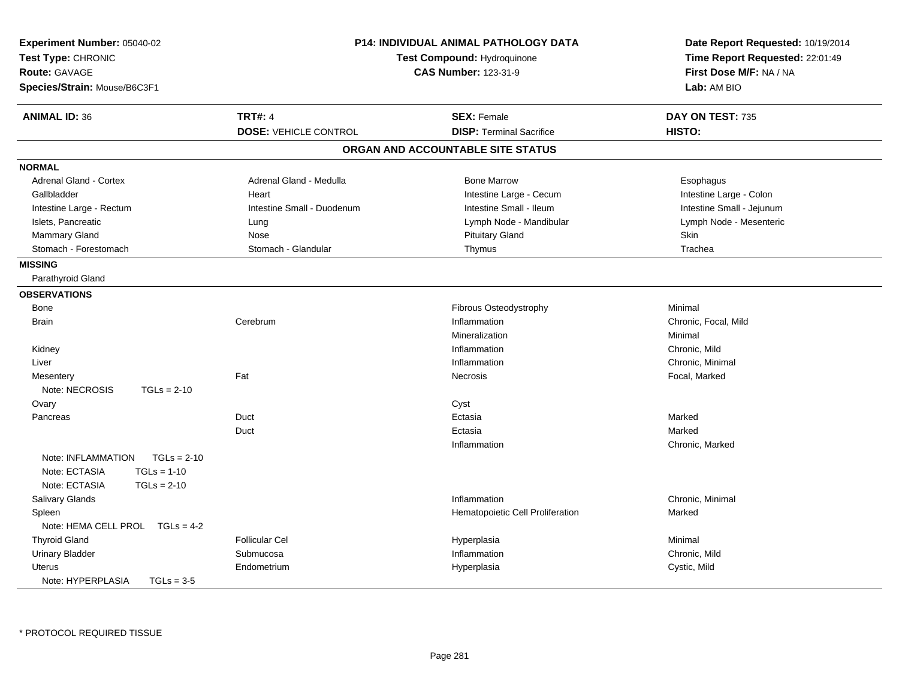| Experiment Number: 05040-02<br>Test Type: CHRONIC<br>Route: GAVAGE<br>Species/Strain: Mouse/B6C3F1 |                              | P14: INDIVIDUAL ANIMAL PATHOLOGY DATA<br>Test Compound: Hydroquinone<br><b>CAS Number: 123-31-9</b> | Date Report Requested: 10/19/2014<br>Time Report Requested: 22:01:49<br>First Dose M/F: NA / NA<br>Lab: AM BIO |
|----------------------------------------------------------------------------------------------------|------------------------------|-----------------------------------------------------------------------------------------------------|----------------------------------------------------------------------------------------------------------------|
| <b>ANIMAL ID: 36</b>                                                                               | <b>TRT#: 4</b>               | <b>SEX: Female</b>                                                                                  | DAY ON TEST: 735                                                                                               |
|                                                                                                    | <b>DOSE: VEHICLE CONTROL</b> | <b>DISP: Terminal Sacrifice</b>                                                                     | HISTO:                                                                                                         |
|                                                                                                    |                              | ORGAN AND ACCOUNTABLE SITE STATUS                                                                   |                                                                                                                |
| <b>NORMAL</b>                                                                                      |                              |                                                                                                     |                                                                                                                |
| <b>Adrenal Gland - Cortex</b>                                                                      | Adrenal Gland - Medulla      | <b>Bone Marrow</b>                                                                                  | Esophagus                                                                                                      |
| Gallbladder                                                                                        | Heart                        | Intestine Large - Cecum                                                                             | Intestine Large - Colon                                                                                        |
| Intestine Large - Rectum                                                                           | Intestine Small - Duodenum   | Intestine Small - Ileum                                                                             | Intestine Small - Jejunum                                                                                      |
| Islets, Pancreatic                                                                                 | Lung                         | Lymph Node - Mandibular                                                                             | Lymph Node - Mesenteric                                                                                        |
| Mammary Gland                                                                                      | Nose                         | <b>Pituitary Gland</b>                                                                              | Skin                                                                                                           |
| Stomach - Forestomach                                                                              | Stomach - Glandular          | Thymus                                                                                              | Trachea                                                                                                        |
| <b>MISSING</b>                                                                                     |                              |                                                                                                     |                                                                                                                |
| Parathyroid Gland                                                                                  |                              |                                                                                                     |                                                                                                                |
| <b>OBSERVATIONS</b>                                                                                |                              |                                                                                                     |                                                                                                                |
| Bone                                                                                               |                              | Fibrous Osteodystrophy                                                                              | Minimal                                                                                                        |
| <b>Brain</b>                                                                                       | Cerebrum                     | Inflammation                                                                                        | Chronic, Focal, Mild                                                                                           |
|                                                                                                    |                              | Mineralization                                                                                      | Minimal                                                                                                        |
| Kidney                                                                                             |                              | Inflammation                                                                                        | Chronic, Mild                                                                                                  |
| Liver                                                                                              |                              | Inflammation                                                                                        | Chronic, Minimal                                                                                               |
| Mesentery                                                                                          | Fat                          | Necrosis                                                                                            | Focal, Marked                                                                                                  |
| Note: NECROSIS<br>$TGLs = 2-10$                                                                    |                              |                                                                                                     |                                                                                                                |
| Ovary                                                                                              |                              | Cyst                                                                                                |                                                                                                                |
| Pancreas                                                                                           | Duct                         | Ectasia                                                                                             | Marked                                                                                                         |
|                                                                                                    | Duct                         | Ectasia                                                                                             | Marked                                                                                                         |
|                                                                                                    |                              | Inflammation                                                                                        | Chronic, Marked                                                                                                |
| Note: INFLAMMATION<br>$TGLs = 2-10$                                                                |                              |                                                                                                     |                                                                                                                |
| Note: ECTASIA<br>$TGLs = 1-10$                                                                     |                              |                                                                                                     |                                                                                                                |
| Note: ECTASIA<br>$TGLs = 2-10$                                                                     |                              |                                                                                                     |                                                                                                                |
| <b>Salivary Glands</b>                                                                             |                              | Inflammation                                                                                        | Chronic, Minimal                                                                                               |
| Spleen                                                                                             |                              | Hematopoietic Cell Proliferation                                                                    | Marked                                                                                                         |
| Note: HEMA CELL PROL TGLs = 4-2                                                                    |                              |                                                                                                     |                                                                                                                |
| <b>Thyroid Gland</b>                                                                               | <b>Follicular Cel</b>        | Hyperplasia                                                                                         | Minimal                                                                                                        |
| <b>Urinary Bladder</b>                                                                             | Submucosa                    | Inflammation                                                                                        | Chronic, Mild                                                                                                  |
| <b>Uterus</b>                                                                                      | Endometrium                  | Hyperplasia                                                                                         | Cystic, Mild                                                                                                   |
| Note: HYPERPLASIA<br>$TGLs = 3-5$                                                                  |                              |                                                                                                     |                                                                                                                |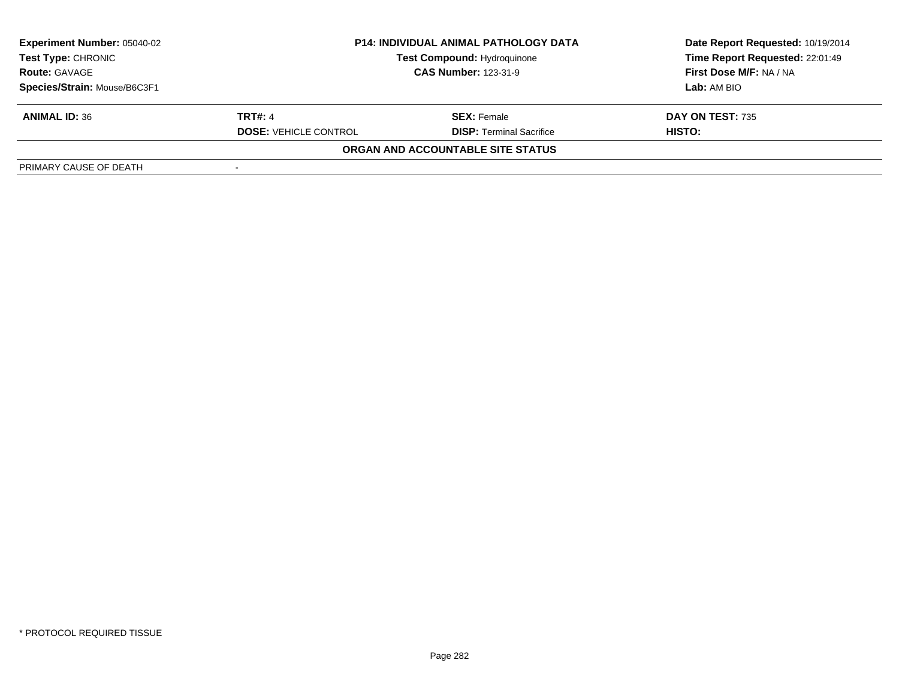| <b>Experiment Number: 05040-02</b> | <b>P14: INDIVIDUAL ANIMAL PATHOLOGY DATA</b> |                                    | Date Report Requested: 10/19/2014 |  |
|------------------------------------|----------------------------------------------|------------------------------------|-----------------------------------|--|
| <b>Test Type: CHRONIC</b>          |                                              | <b>Test Compound: Hydroquinone</b> | Time Report Requested: 22:01:49   |  |
| <b>Route: GAVAGE</b>               | <b>CAS Number: 123-31-9</b>                  |                                    | First Dose M/F: NA / NA           |  |
| Species/Strain: Mouse/B6C3F1       |                                              |                                    | Lab: AM BIO                       |  |
| <b>ANIMAL ID: 36</b>               | <b>TRT#: 4</b>                               | <b>SEX:</b> Female                 | <b>DAY ON TEST: 735</b>           |  |
|                                    | <b>DOSE: VEHICLE CONTROL</b>                 | <b>DISP: Terminal Sacrifice</b>    | HISTO:                            |  |
|                                    |                                              | ORGAN AND ACCOUNTABLE SITE STATUS  |                                   |  |
| PRIMARY CAUSE OF DEATH             |                                              |                                    |                                   |  |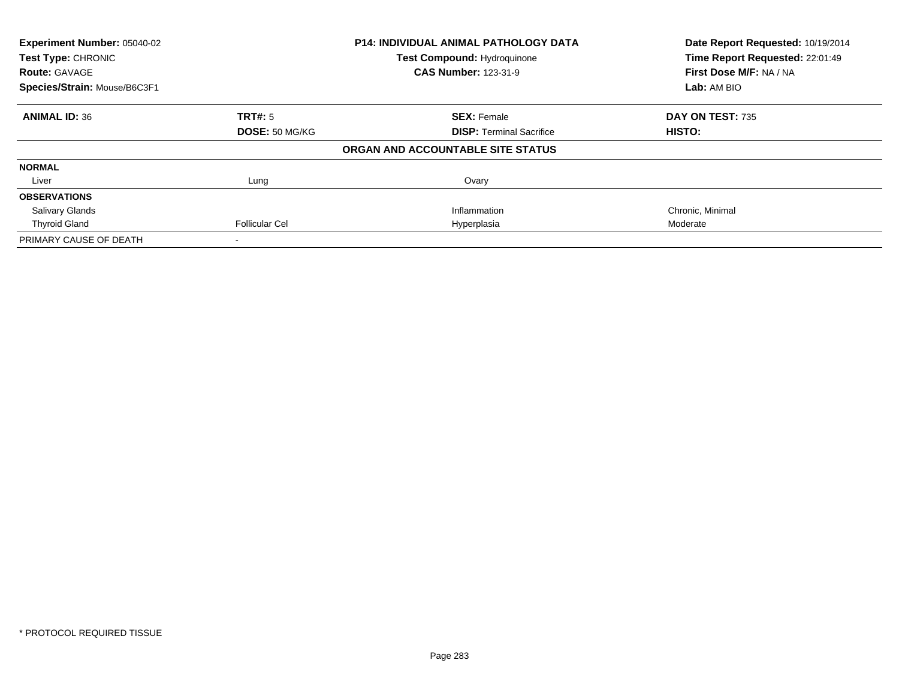| Experiment Number: 05040-02  |                       | <b>P14: INDIVIDUAL ANIMAL PATHOLOGY DATA</b> | Date Report Requested: 10/19/2014 |
|------------------------------|-----------------------|----------------------------------------------|-----------------------------------|
| Test Type: CHRONIC           |                       | <b>Test Compound: Hydroquinone</b>           | Time Report Requested: 22:01:49   |
| <b>Route: GAVAGE</b>         |                       | <b>CAS Number: 123-31-9</b>                  | First Dose M/F: NA / NA           |
| Species/Strain: Mouse/B6C3F1 |                       |                                              | Lab: AM BIO                       |
| <b>ANIMAL ID: 36</b>         | <b>TRT#: 5</b>        | <b>SEX: Female</b>                           | DAY ON TEST: 735                  |
|                              | DOSE: 50 MG/KG        | <b>DISP:</b> Terminal Sacrifice              | HISTO:                            |
|                              |                       | ORGAN AND ACCOUNTABLE SITE STATUS            |                                   |
| <b>NORMAL</b>                |                       |                                              |                                   |
| Liver                        | Lung                  | Ovary                                        |                                   |
| <b>OBSERVATIONS</b>          |                       |                                              |                                   |
| <b>Salivary Glands</b>       |                       | Inflammation                                 | Chronic, Minimal                  |
| <b>Thyroid Gland</b>         | <b>Follicular Cel</b> | Hyperplasia                                  | Moderate                          |
| PRIMARY CAUSE OF DEATH       |                       |                                              |                                   |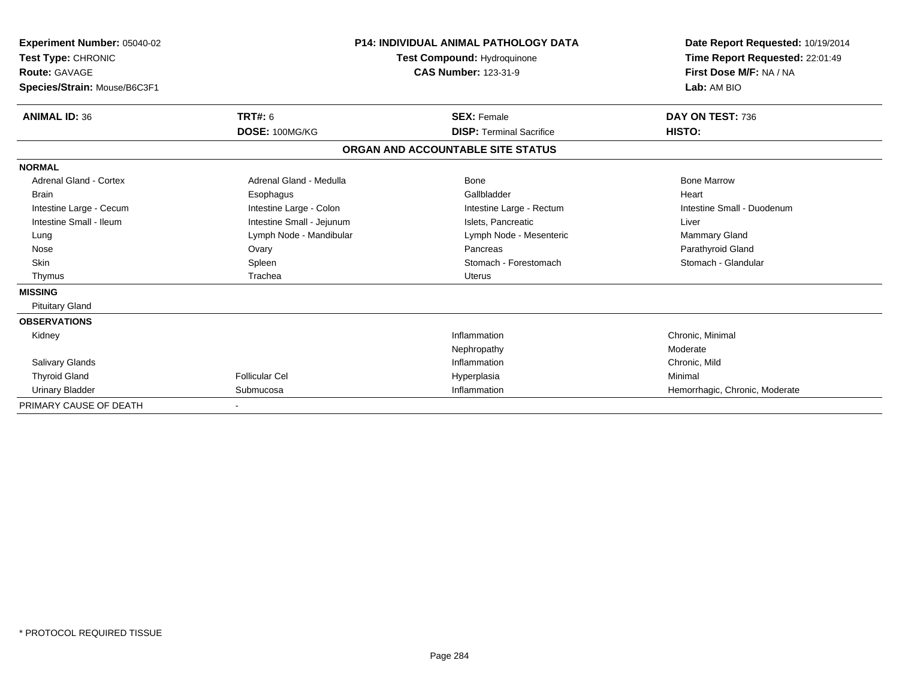| Experiment Number: 05040-02<br>Test Type: CHRONIC<br>Route: GAVAGE<br>Species/Strain: Mouse/B6C3F1 |                           | <b>P14: INDIVIDUAL ANIMAL PATHOLOGY DATA</b><br>Test Compound: Hydroquinone<br><b>CAS Number: 123-31-9</b> | Date Report Requested: 10/19/2014<br>Time Report Requested: 22:01:49<br>First Dose M/F: NA / NA<br>Lab: AM BIO |
|----------------------------------------------------------------------------------------------------|---------------------------|------------------------------------------------------------------------------------------------------------|----------------------------------------------------------------------------------------------------------------|
| <b>ANIMAL ID: 36</b>                                                                               | <b>TRT#: 6</b>            | <b>SEX: Female</b>                                                                                         | DAY ON TEST: 736                                                                                               |
|                                                                                                    | DOSE: 100MG/KG            | <b>DISP: Terminal Sacrifice</b>                                                                            | HISTO:                                                                                                         |
|                                                                                                    |                           | ORGAN AND ACCOUNTABLE SITE STATUS                                                                          |                                                                                                                |
| <b>NORMAL</b>                                                                                      |                           |                                                                                                            |                                                                                                                |
| <b>Adrenal Gland - Cortex</b>                                                                      | Adrenal Gland - Medulla   | <b>Bone</b>                                                                                                | <b>Bone Marrow</b>                                                                                             |
| <b>Brain</b>                                                                                       | Esophagus                 | Gallbladder                                                                                                | Heart                                                                                                          |
| Intestine Large - Cecum                                                                            | Intestine Large - Colon   | Intestine Large - Rectum                                                                                   | Intestine Small - Duodenum                                                                                     |
| Intestine Small - Ileum                                                                            | Intestine Small - Jejunum | Islets, Pancreatic                                                                                         | Liver                                                                                                          |
| Lung                                                                                               | Lymph Node - Mandibular   | Lymph Node - Mesenteric                                                                                    | Mammary Gland                                                                                                  |
| Nose                                                                                               | Ovary                     | Pancreas                                                                                                   | Parathyroid Gland                                                                                              |
| <b>Skin</b>                                                                                        | Spleen                    | Stomach - Forestomach                                                                                      | Stomach - Glandular                                                                                            |
| Thymus                                                                                             | Trachea                   | Uterus                                                                                                     |                                                                                                                |
| <b>MISSING</b>                                                                                     |                           |                                                                                                            |                                                                                                                |
| <b>Pituitary Gland</b>                                                                             |                           |                                                                                                            |                                                                                                                |
| <b>OBSERVATIONS</b>                                                                                |                           |                                                                                                            |                                                                                                                |
| Kidney                                                                                             |                           | Inflammation                                                                                               | Chronic, Minimal                                                                                               |
|                                                                                                    |                           | Nephropathy                                                                                                | Moderate                                                                                                       |
| <b>Salivary Glands</b>                                                                             |                           | Inflammation                                                                                               | Chronic, Mild                                                                                                  |
| <b>Thyroid Gland</b>                                                                               | <b>Follicular Cel</b>     | Hyperplasia                                                                                                | Minimal                                                                                                        |
| <b>Urinary Bladder</b>                                                                             | Submucosa                 | Inflammation                                                                                               | Hemorrhagic, Chronic, Moderate                                                                                 |
| PRIMARY CAUSE OF DEATH                                                                             |                           |                                                                                                            |                                                                                                                |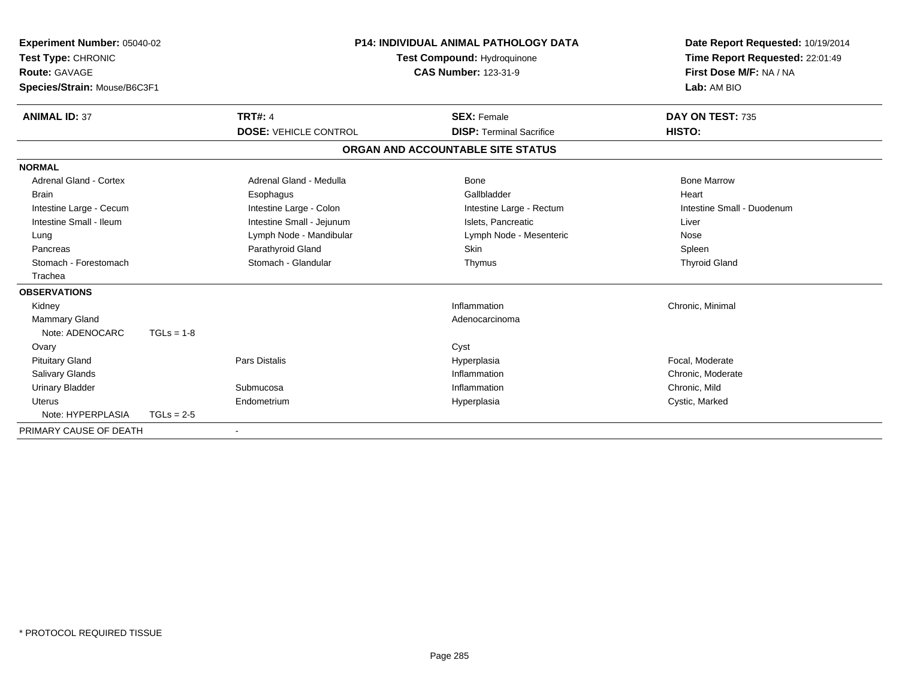| <b>Experiment Number: 05040-02</b><br>Test Type: CHRONIC<br><b>Route: GAVAGE</b><br>Species/Strain: Mouse/B6C3F1 |              |                              | <b>P14: INDIVIDUAL ANIMAL PATHOLOGY DATA</b><br>Test Compound: Hydroquinone<br><b>CAS Number: 123-31-9</b> | Date Report Requested: 10/19/2014<br>Time Report Requested: 22:01:49<br>First Dose M/F: NA / NA<br>Lab: AM BIO |
|------------------------------------------------------------------------------------------------------------------|--------------|------------------------------|------------------------------------------------------------------------------------------------------------|----------------------------------------------------------------------------------------------------------------|
| <b>ANIMAL ID: 37</b>                                                                                             |              | <b>TRT#: 4</b>               | <b>SEX: Female</b>                                                                                         | DAY ON TEST: 735                                                                                               |
|                                                                                                                  |              | <b>DOSE: VEHICLE CONTROL</b> | <b>DISP: Terminal Sacrifice</b>                                                                            | HISTO:                                                                                                         |
|                                                                                                                  |              |                              | ORGAN AND ACCOUNTABLE SITE STATUS                                                                          |                                                                                                                |
| <b>NORMAL</b>                                                                                                    |              |                              |                                                                                                            |                                                                                                                |
| Adrenal Gland - Cortex                                                                                           |              | Adrenal Gland - Medulla      | Bone                                                                                                       | <b>Bone Marrow</b>                                                                                             |
| <b>Brain</b>                                                                                                     |              | Esophagus                    | Gallbladder                                                                                                | Heart                                                                                                          |
| Intestine Large - Cecum                                                                                          |              | Intestine Large - Colon      | Intestine Large - Rectum                                                                                   | Intestine Small - Duodenum                                                                                     |
| Intestine Small - Ileum                                                                                          |              | Intestine Small - Jejunum    | Islets, Pancreatic                                                                                         | Liver                                                                                                          |
| Lung                                                                                                             |              | Lymph Node - Mandibular      | Lymph Node - Mesenteric                                                                                    | Nose                                                                                                           |
| Pancreas                                                                                                         |              | Parathyroid Gland            | Skin                                                                                                       | Spleen                                                                                                         |
| Stomach - Forestomach                                                                                            |              | Stomach - Glandular          | Thymus                                                                                                     | <b>Thyroid Gland</b>                                                                                           |
| Trachea                                                                                                          |              |                              |                                                                                                            |                                                                                                                |
| <b>OBSERVATIONS</b>                                                                                              |              |                              |                                                                                                            |                                                                                                                |
| Kidney                                                                                                           |              |                              | Inflammation                                                                                               | Chronic, Minimal                                                                                               |
| <b>Mammary Gland</b>                                                                                             |              |                              | Adenocarcinoma                                                                                             |                                                                                                                |
| Note: ADENOCARC                                                                                                  | $TGLs = 1-8$ |                              |                                                                                                            |                                                                                                                |
| Ovary                                                                                                            |              |                              | Cyst                                                                                                       |                                                                                                                |
| <b>Pituitary Gland</b>                                                                                           |              | Pars Distalis                | Hyperplasia                                                                                                | Focal. Moderate                                                                                                |
| Salivary Glands                                                                                                  |              |                              | Inflammation                                                                                               | Chronic, Moderate                                                                                              |
| <b>Urinary Bladder</b>                                                                                           |              | Submucosa                    | Inflammation                                                                                               | Chronic, Mild                                                                                                  |
| <b>Uterus</b>                                                                                                    |              | Endometrium                  | Hyperplasia                                                                                                | Cystic, Marked                                                                                                 |
| Note: HYPERPLASIA                                                                                                | $TGLs = 2-5$ |                              |                                                                                                            |                                                                                                                |
| PRIMARY CAUSE OF DEATH                                                                                           |              |                              |                                                                                                            |                                                                                                                |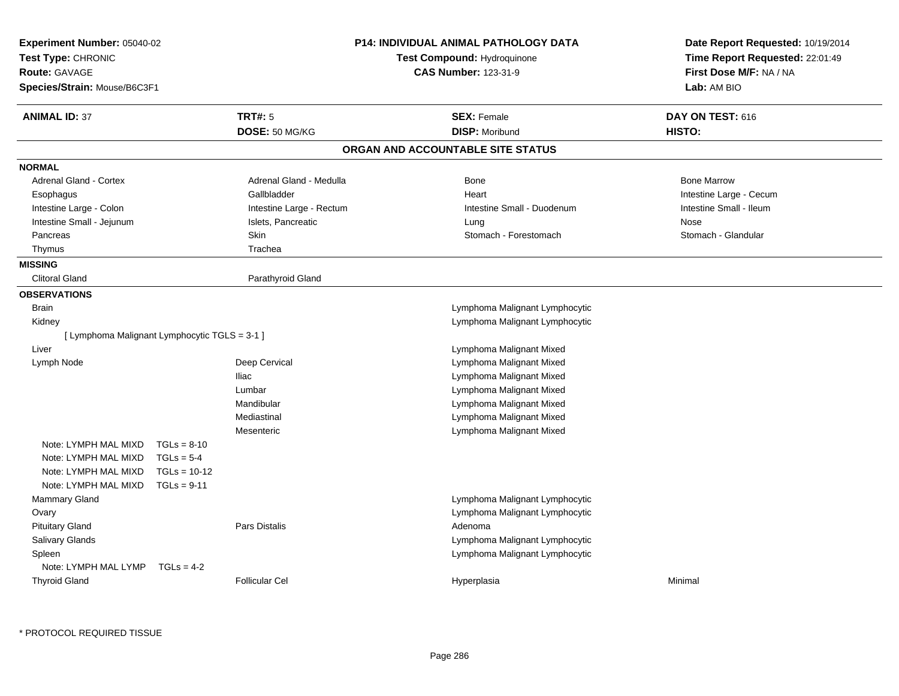| <b>TRT#: 5</b><br><b>SEX: Female</b><br>DAY ON TEST: 616<br><b>ANIMAL ID: 37</b><br>DOSE: 50 MG/KG<br><b>DISP: Moribund</b><br>HISTO:<br>ORGAN AND ACCOUNTABLE SITE STATUS<br><b>NORMAL</b><br><b>Adrenal Gland - Cortex</b><br>Adrenal Gland - Medulla<br><b>Bone Marrow</b><br>Bone<br>Intestine Large - Cecum<br>Esophagus<br>Gallbladder<br>Heart<br>Intestine Large - Colon<br>Intestine Large - Rectum<br>Intestine Small - Ileum<br>Intestine Small - Duodenum<br>Intestine Small - Jejunum<br>Islets, Pancreatic<br>Nose<br>Lung<br>Skin<br>Stomach - Glandular<br>Stomach - Forestomach<br>Pancreas<br>Trachea<br>Thymus<br><b>MISSING</b><br><b>Clitoral Gland</b><br>Parathyroid Gland<br><b>OBSERVATIONS</b><br><b>Brain</b><br>Lymphoma Malignant Lymphocytic<br>Kidney<br>Lymphoma Malignant Lymphocytic<br>[ Lymphoma Malignant Lymphocytic TGLS = 3-1 ]<br>Lymphoma Malignant Mixed<br>Liver<br>Deep Cervical<br>Lymphoma Malignant Mixed<br>Lymph Node<br><b>Iliac</b><br>Lymphoma Malignant Mixed<br>Lumbar<br>Lymphoma Malignant Mixed<br>Mandibular<br>Lymphoma Malignant Mixed<br>Mediastinal<br>Lymphoma Malignant Mixed<br>Lymphoma Malignant Mixed<br>Mesenteric<br>Note: LYMPH MAL MIXD<br>$TGLs = 8-10$<br>Note: LYMPH MAL MIXD<br>$TGLs = 5-4$<br>Note: LYMPH MAL MIXD<br>$TGLs = 10-12$ | Date Report Requested: 10/19/2014<br>Time Report Requested: 22:01:49<br>First Dose M/F: NA / NA |
|---------------------------------------------------------------------------------------------------------------------------------------------------------------------------------------------------------------------------------------------------------------------------------------------------------------------------------------------------------------------------------------------------------------------------------------------------------------------------------------------------------------------------------------------------------------------------------------------------------------------------------------------------------------------------------------------------------------------------------------------------------------------------------------------------------------------------------------------------------------------------------------------------------------------------------------------------------------------------------------------------------------------------------------------------------------------------------------------------------------------------------------------------------------------------------------------------------------------------------------------------------------------------------------------------------------------|-------------------------------------------------------------------------------------------------|
|                                                                                                                                                                                                                                                                                                                                                                                                                                                                                                                                                                                                                                                                                                                                                                                                                                                                                                                                                                                                                                                                                                                                                                                                                                                                                                                     |                                                                                                 |
|                                                                                                                                                                                                                                                                                                                                                                                                                                                                                                                                                                                                                                                                                                                                                                                                                                                                                                                                                                                                                                                                                                                                                                                                                                                                                                                     |                                                                                                 |
|                                                                                                                                                                                                                                                                                                                                                                                                                                                                                                                                                                                                                                                                                                                                                                                                                                                                                                                                                                                                                                                                                                                                                                                                                                                                                                                     |                                                                                                 |
|                                                                                                                                                                                                                                                                                                                                                                                                                                                                                                                                                                                                                                                                                                                                                                                                                                                                                                                                                                                                                                                                                                                                                                                                                                                                                                                     |                                                                                                 |
|                                                                                                                                                                                                                                                                                                                                                                                                                                                                                                                                                                                                                                                                                                                                                                                                                                                                                                                                                                                                                                                                                                                                                                                                                                                                                                                     |                                                                                                 |
|                                                                                                                                                                                                                                                                                                                                                                                                                                                                                                                                                                                                                                                                                                                                                                                                                                                                                                                                                                                                                                                                                                                                                                                                                                                                                                                     |                                                                                                 |
|                                                                                                                                                                                                                                                                                                                                                                                                                                                                                                                                                                                                                                                                                                                                                                                                                                                                                                                                                                                                                                                                                                                                                                                                                                                                                                                     |                                                                                                 |
|                                                                                                                                                                                                                                                                                                                                                                                                                                                                                                                                                                                                                                                                                                                                                                                                                                                                                                                                                                                                                                                                                                                                                                                                                                                                                                                     |                                                                                                 |
|                                                                                                                                                                                                                                                                                                                                                                                                                                                                                                                                                                                                                                                                                                                                                                                                                                                                                                                                                                                                                                                                                                                                                                                                                                                                                                                     |                                                                                                 |
|                                                                                                                                                                                                                                                                                                                                                                                                                                                                                                                                                                                                                                                                                                                                                                                                                                                                                                                                                                                                                                                                                                                                                                                                                                                                                                                     |                                                                                                 |
|                                                                                                                                                                                                                                                                                                                                                                                                                                                                                                                                                                                                                                                                                                                                                                                                                                                                                                                                                                                                                                                                                                                                                                                                                                                                                                                     |                                                                                                 |
|                                                                                                                                                                                                                                                                                                                                                                                                                                                                                                                                                                                                                                                                                                                                                                                                                                                                                                                                                                                                                                                                                                                                                                                                                                                                                                                     |                                                                                                 |
|                                                                                                                                                                                                                                                                                                                                                                                                                                                                                                                                                                                                                                                                                                                                                                                                                                                                                                                                                                                                                                                                                                                                                                                                                                                                                                                     |                                                                                                 |
|                                                                                                                                                                                                                                                                                                                                                                                                                                                                                                                                                                                                                                                                                                                                                                                                                                                                                                                                                                                                                                                                                                                                                                                                                                                                                                                     |                                                                                                 |
|                                                                                                                                                                                                                                                                                                                                                                                                                                                                                                                                                                                                                                                                                                                                                                                                                                                                                                                                                                                                                                                                                                                                                                                                                                                                                                                     |                                                                                                 |
|                                                                                                                                                                                                                                                                                                                                                                                                                                                                                                                                                                                                                                                                                                                                                                                                                                                                                                                                                                                                                                                                                                                                                                                                                                                                                                                     |                                                                                                 |
|                                                                                                                                                                                                                                                                                                                                                                                                                                                                                                                                                                                                                                                                                                                                                                                                                                                                                                                                                                                                                                                                                                                                                                                                                                                                                                                     |                                                                                                 |
|                                                                                                                                                                                                                                                                                                                                                                                                                                                                                                                                                                                                                                                                                                                                                                                                                                                                                                                                                                                                                                                                                                                                                                                                                                                                                                                     |                                                                                                 |
|                                                                                                                                                                                                                                                                                                                                                                                                                                                                                                                                                                                                                                                                                                                                                                                                                                                                                                                                                                                                                                                                                                                                                                                                                                                                                                                     |                                                                                                 |
|                                                                                                                                                                                                                                                                                                                                                                                                                                                                                                                                                                                                                                                                                                                                                                                                                                                                                                                                                                                                                                                                                                                                                                                                                                                                                                                     |                                                                                                 |
|                                                                                                                                                                                                                                                                                                                                                                                                                                                                                                                                                                                                                                                                                                                                                                                                                                                                                                                                                                                                                                                                                                                                                                                                                                                                                                                     |                                                                                                 |
|                                                                                                                                                                                                                                                                                                                                                                                                                                                                                                                                                                                                                                                                                                                                                                                                                                                                                                                                                                                                                                                                                                                                                                                                                                                                                                                     |                                                                                                 |
|                                                                                                                                                                                                                                                                                                                                                                                                                                                                                                                                                                                                                                                                                                                                                                                                                                                                                                                                                                                                                                                                                                                                                                                                                                                                                                                     |                                                                                                 |
|                                                                                                                                                                                                                                                                                                                                                                                                                                                                                                                                                                                                                                                                                                                                                                                                                                                                                                                                                                                                                                                                                                                                                                                                                                                                                                                     |                                                                                                 |
|                                                                                                                                                                                                                                                                                                                                                                                                                                                                                                                                                                                                                                                                                                                                                                                                                                                                                                                                                                                                                                                                                                                                                                                                                                                                                                                     |                                                                                                 |
| Note: LYMPH MAL MIXD<br>$TGLs = 9-11$                                                                                                                                                                                                                                                                                                                                                                                                                                                                                                                                                                                                                                                                                                                                                                                                                                                                                                                                                                                                                                                                                                                                                                                                                                                                               |                                                                                                 |
| Mammary Gland<br>Lymphoma Malignant Lymphocytic                                                                                                                                                                                                                                                                                                                                                                                                                                                                                                                                                                                                                                                                                                                                                                                                                                                                                                                                                                                                                                                                                                                                                                                                                                                                     |                                                                                                 |
| Lymphoma Malignant Lymphocytic<br>Ovary                                                                                                                                                                                                                                                                                                                                                                                                                                                                                                                                                                                                                                                                                                                                                                                                                                                                                                                                                                                                                                                                                                                                                                                                                                                                             |                                                                                                 |
| <b>Pituitary Gland</b><br><b>Pars Distalis</b><br>Adenoma                                                                                                                                                                                                                                                                                                                                                                                                                                                                                                                                                                                                                                                                                                                                                                                                                                                                                                                                                                                                                                                                                                                                                                                                                                                           |                                                                                                 |
| Salivary Glands<br>Lymphoma Malignant Lymphocytic                                                                                                                                                                                                                                                                                                                                                                                                                                                                                                                                                                                                                                                                                                                                                                                                                                                                                                                                                                                                                                                                                                                                                                                                                                                                   |                                                                                                 |
| Lymphoma Malignant Lymphocytic<br>Spleen                                                                                                                                                                                                                                                                                                                                                                                                                                                                                                                                                                                                                                                                                                                                                                                                                                                                                                                                                                                                                                                                                                                                                                                                                                                                            |                                                                                                 |
| Note: LYMPH MAL LYMP $TGLs = 4-2$                                                                                                                                                                                                                                                                                                                                                                                                                                                                                                                                                                                                                                                                                                                                                                                                                                                                                                                                                                                                                                                                                                                                                                                                                                                                                   |                                                                                                 |
| <b>Thyroid Gland</b><br><b>Follicular Cel</b><br>Minimal<br>Hyperplasia                                                                                                                                                                                                                                                                                                                                                                                                                                                                                                                                                                                                                                                                                                                                                                                                                                                                                                                                                                                                                                                                                                                                                                                                                                             |                                                                                                 |

\* PROTOCOL REQUIRED TISSUE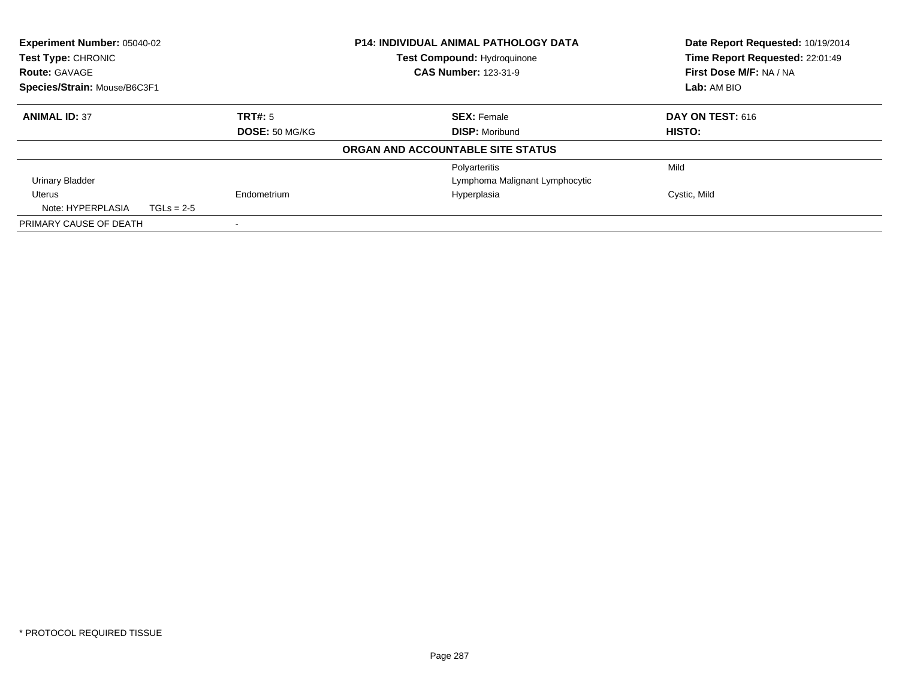| <b>Experiment Number: 05040-02</b><br>Test Type: CHRONIC |              |                | <b>P14: INDIVIDUAL ANIMAL PATHOLOGY DATA</b><br>Test Compound: Hydroquinone | Date Report Requested: 10/19/2014<br>Time Report Requested: 22:01:49 |
|----------------------------------------------------------|--------------|----------------|-----------------------------------------------------------------------------|----------------------------------------------------------------------|
| <b>Route: GAVAGE</b>                                     |              |                | <b>CAS Number: 123-31-9</b>                                                 | First Dose M/F: NA / NA                                              |
| Species/Strain: Mouse/B6C3F1                             |              |                |                                                                             | Lab: AM BIO                                                          |
| <b>ANIMAL ID: 37</b>                                     |              | TRT#: 5        | <b>SEX: Female</b>                                                          | <b>DAY ON TEST: 616</b>                                              |
|                                                          |              | DOSE: 50 MG/KG | <b>DISP: Moribund</b>                                                       | HISTO:                                                               |
|                                                          |              |                | ORGAN AND ACCOUNTABLE SITE STATUS                                           |                                                                      |
|                                                          |              |                | Polyarteritis                                                               | Mild                                                                 |
| <b>Urinary Bladder</b>                                   |              |                | Lymphoma Malignant Lymphocytic                                              |                                                                      |
| Uterus                                                   |              | Endometrium    | Hyperplasia                                                                 | Cystic, Mild                                                         |
| Note: HYPERPLASIA                                        | $TGLs = 2-5$ |                |                                                                             |                                                                      |
| PRIMARY CAUSE OF DEATH                                   |              |                |                                                                             |                                                                      |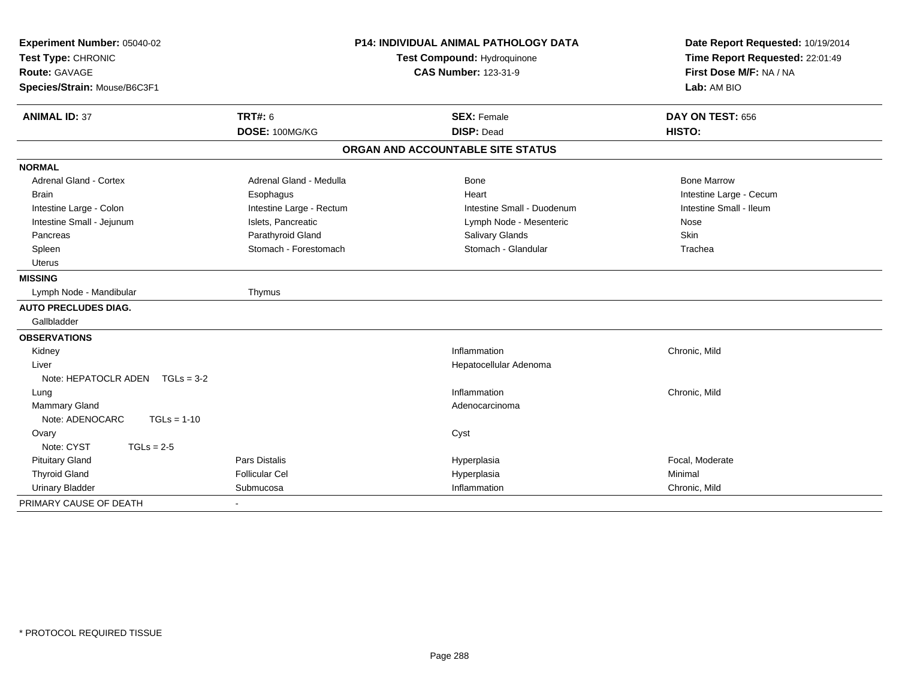| Experiment Number: 05040-02<br>Test Type: CHRONIC<br>Route: GAVAGE<br>Species/Strain: Mouse/B6C3F1 | <b>P14: INDIVIDUAL ANIMAL PATHOLOGY DATA</b><br>Test Compound: Hydroquinone<br><b>CAS Number: 123-31-9</b> |                                         | Date Report Requested: 10/19/2014<br>Time Report Requested: 22:01:49<br>First Dose M/F: NA / NA<br>Lab: AM BIO |  |
|----------------------------------------------------------------------------------------------------|------------------------------------------------------------------------------------------------------------|-----------------------------------------|----------------------------------------------------------------------------------------------------------------|--|
| <b>ANIMAL ID: 37</b>                                                                               | <b>TRT#: 6</b><br>DOSE: 100MG/KG                                                                           | <b>SEX: Female</b><br><b>DISP: Dead</b> | DAY ON TEST: 656<br>HISTO:                                                                                     |  |
|                                                                                                    |                                                                                                            | ORGAN AND ACCOUNTABLE SITE STATUS       |                                                                                                                |  |
| <b>NORMAL</b>                                                                                      |                                                                                                            |                                         |                                                                                                                |  |
| Adrenal Gland - Cortex                                                                             | Adrenal Gland - Medulla                                                                                    | <b>Bone</b>                             | <b>Bone Marrow</b>                                                                                             |  |
| <b>Brain</b>                                                                                       | Esophagus                                                                                                  | Heart                                   | Intestine Large - Cecum                                                                                        |  |
| Intestine Large - Colon                                                                            | Intestine Large - Rectum                                                                                   | Intestine Small - Duodenum              | Intestine Small - Ileum                                                                                        |  |
| Intestine Small - Jejunum                                                                          | Islets, Pancreatic                                                                                         | Lymph Node - Mesenteric                 | Nose                                                                                                           |  |
| Pancreas                                                                                           | Parathyroid Gland                                                                                          | Salivary Glands                         | Skin                                                                                                           |  |
| Spleen                                                                                             | Stomach - Forestomach                                                                                      | Stomach - Glandular                     | Trachea                                                                                                        |  |
| <b>Uterus</b>                                                                                      |                                                                                                            |                                         |                                                                                                                |  |
| <b>MISSING</b>                                                                                     |                                                                                                            |                                         |                                                                                                                |  |
| Lymph Node - Mandibular                                                                            | Thymus                                                                                                     |                                         |                                                                                                                |  |
| <b>AUTO PRECLUDES DIAG.</b>                                                                        |                                                                                                            |                                         |                                                                                                                |  |
| Gallbladder                                                                                        |                                                                                                            |                                         |                                                                                                                |  |
| <b>OBSERVATIONS</b>                                                                                |                                                                                                            |                                         |                                                                                                                |  |
| Kidney                                                                                             |                                                                                                            | Inflammation                            | Chronic, Mild                                                                                                  |  |
| Liver                                                                                              |                                                                                                            | Hepatocellular Adenoma                  |                                                                                                                |  |
| Note: HEPATOCLR ADEN TGLs = 3-2                                                                    |                                                                                                            |                                         |                                                                                                                |  |
| Lung                                                                                               |                                                                                                            | Inflammation                            | Chronic, Mild                                                                                                  |  |
| <b>Mammary Gland</b>                                                                               |                                                                                                            | Adenocarcinoma                          |                                                                                                                |  |
| Note: ADENOCARC<br>$TGLs = 1-10$                                                                   |                                                                                                            |                                         |                                                                                                                |  |
| Ovary                                                                                              |                                                                                                            | Cyst                                    |                                                                                                                |  |
| Note: CYST<br>$TGLs = 2-5$                                                                         |                                                                                                            |                                         |                                                                                                                |  |
| <b>Pituitary Gland</b>                                                                             | Pars Distalis                                                                                              | Hyperplasia                             | Focal, Moderate                                                                                                |  |
| <b>Thyroid Gland</b>                                                                               | <b>Follicular Cel</b>                                                                                      | Hyperplasia                             | Minimal                                                                                                        |  |
| <b>Urinary Bladder</b>                                                                             | Submucosa                                                                                                  | Inflammation                            | Chronic, Mild                                                                                                  |  |
| PRIMARY CAUSE OF DEATH                                                                             |                                                                                                            |                                         |                                                                                                                |  |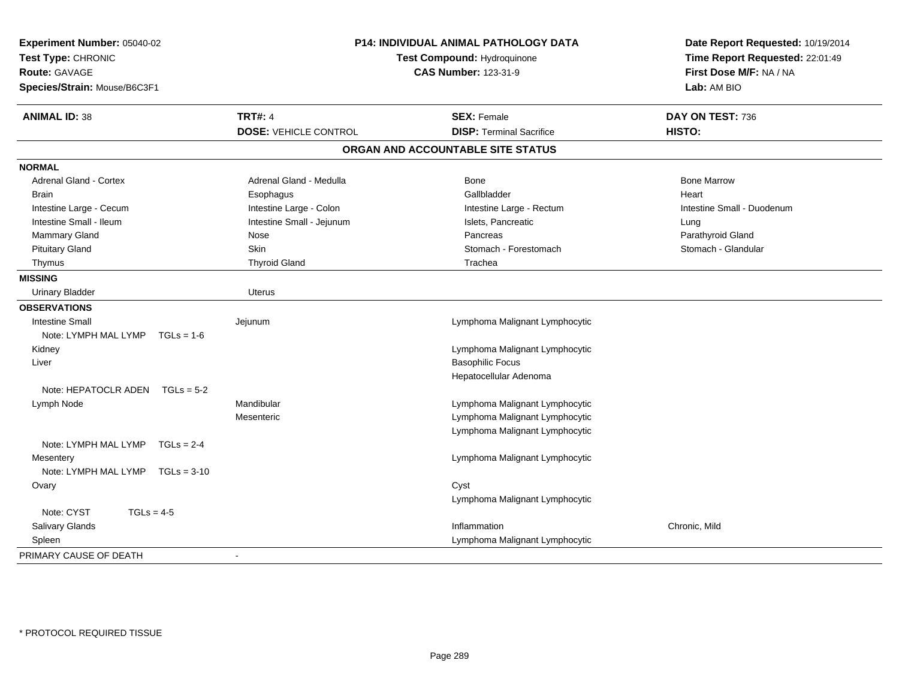| Experiment Number: 05040-02<br>Test Type: CHRONIC<br><b>Route: GAVAGE</b><br>Species/Strain: Mouse/B6C3F1 |                              | P14: INDIVIDUAL ANIMAL PATHOLOGY DATA<br>Test Compound: Hydroquinone<br><b>CAS Number: 123-31-9</b> | Date Report Requested: 10/19/2014<br>Time Report Requested: 22:01:49<br>First Dose M/F: NA / NA<br>Lab: AM BIO |  |
|-----------------------------------------------------------------------------------------------------------|------------------------------|-----------------------------------------------------------------------------------------------------|----------------------------------------------------------------------------------------------------------------|--|
| <b>ANIMAL ID: 38</b>                                                                                      | <b>TRT#: 4</b>               | <b>SEX: Female</b>                                                                                  | DAY ON TEST: 736                                                                                               |  |
|                                                                                                           | <b>DOSE: VEHICLE CONTROL</b> | <b>DISP: Terminal Sacrifice</b>                                                                     | <b>HISTO:</b>                                                                                                  |  |
|                                                                                                           |                              | ORGAN AND ACCOUNTABLE SITE STATUS                                                                   |                                                                                                                |  |
| <b>NORMAL</b>                                                                                             |                              |                                                                                                     |                                                                                                                |  |
| Adrenal Gland - Cortex                                                                                    | Adrenal Gland - Medulla      | <b>Bone</b>                                                                                         | <b>Bone Marrow</b>                                                                                             |  |
| <b>Brain</b>                                                                                              | Esophagus                    | Gallbladder                                                                                         | Heart                                                                                                          |  |
| Intestine Large - Cecum                                                                                   | Intestine Large - Colon      | Intestine Large - Rectum                                                                            | Intestine Small - Duodenum                                                                                     |  |
| Intestine Small - Ileum                                                                                   | Intestine Small - Jejunum    | Islets, Pancreatic                                                                                  | Lung                                                                                                           |  |
| Mammary Gland                                                                                             | Nose                         | Pancreas                                                                                            | Parathyroid Gland                                                                                              |  |
| <b>Pituitary Gland</b>                                                                                    | Skin                         | Stomach - Forestomach                                                                               | Stomach - Glandular                                                                                            |  |
| Thymus                                                                                                    | <b>Thyroid Gland</b>         | Trachea                                                                                             |                                                                                                                |  |
| <b>MISSING</b>                                                                                            |                              |                                                                                                     |                                                                                                                |  |
| <b>Urinary Bladder</b>                                                                                    | <b>Uterus</b>                |                                                                                                     |                                                                                                                |  |
| <b>OBSERVATIONS</b>                                                                                       |                              |                                                                                                     |                                                                                                                |  |
| <b>Intestine Small</b>                                                                                    | Jejunum                      | Lymphoma Malignant Lymphocytic                                                                      |                                                                                                                |  |
| Note: LYMPH MAL LYMP<br>$TGLs = 1-6$                                                                      |                              |                                                                                                     |                                                                                                                |  |
| Kidney                                                                                                    |                              | Lymphoma Malignant Lymphocytic                                                                      |                                                                                                                |  |
| Liver                                                                                                     |                              | <b>Basophilic Focus</b>                                                                             |                                                                                                                |  |
|                                                                                                           |                              | Hepatocellular Adenoma                                                                              |                                                                                                                |  |
| Note: HEPATOCLR ADEN<br>$TGLs = 5-2$                                                                      |                              |                                                                                                     |                                                                                                                |  |
| Lymph Node                                                                                                | Mandibular                   | Lymphoma Malignant Lymphocytic                                                                      |                                                                                                                |  |
|                                                                                                           | Mesenteric                   | Lymphoma Malignant Lymphocytic                                                                      |                                                                                                                |  |
|                                                                                                           |                              | Lymphoma Malignant Lymphocytic                                                                      |                                                                                                                |  |
| Note: LYMPH MAL LYMP<br>$TGLs = 2-4$                                                                      |                              |                                                                                                     |                                                                                                                |  |
| Mesentery                                                                                                 |                              | Lymphoma Malignant Lymphocytic                                                                      |                                                                                                                |  |
| Note: LYMPH MAL LYMP TGLs = 3-10                                                                          |                              |                                                                                                     |                                                                                                                |  |
| Ovary                                                                                                     |                              | Cyst                                                                                                |                                                                                                                |  |
|                                                                                                           |                              | Lymphoma Malignant Lymphocytic                                                                      |                                                                                                                |  |
| Note: CYST<br>$TGLs = 4-5$                                                                                |                              |                                                                                                     |                                                                                                                |  |
| Salivary Glands                                                                                           |                              | Inflammation                                                                                        | Chronic, Mild                                                                                                  |  |
| Spleen                                                                                                    |                              | Lymphoma Malignant Lymphocytic                                                                      |                                                                                                                |  |
| PRIMARY CAUSE OF DEATH                                                                                    | $\blacksquare$               |                                                                                                     |                                                                                                                |  |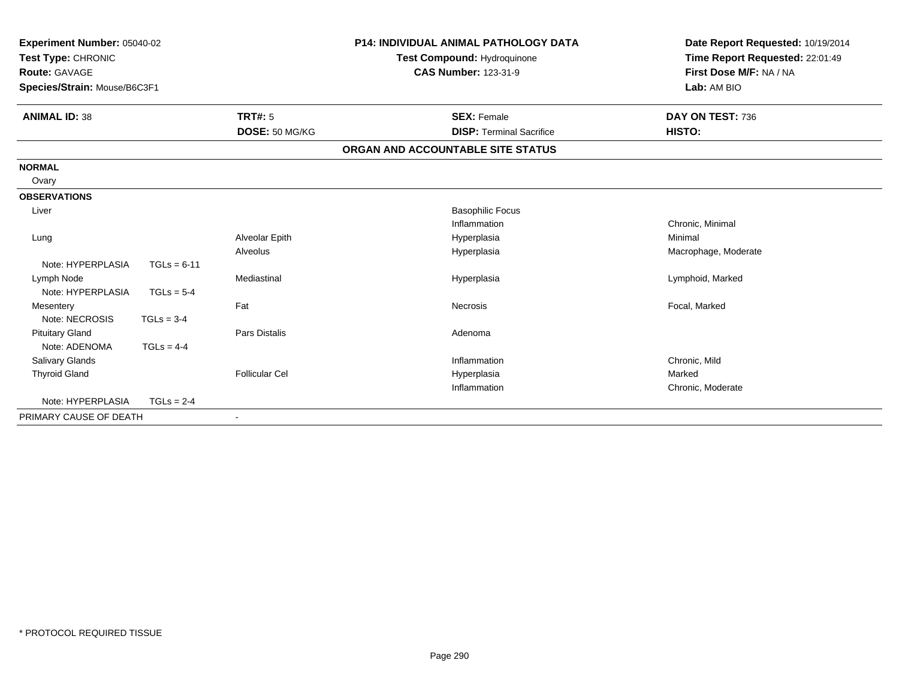| Experiment Number: 05040-02<br>Test Type: CHRONIC<br>Route: GAVAGE<br>Species/Strain: Mouse/B6C3F1 |               |                       | <b>P14: INDIVIDUAL ANIMAL PATHOLOGY DATA</b><br>Test Compound: Hydroquinone<br><b>CAS Number: 123-31-9</b> | Date Report Requested: 10/19/2014<br>Time Report Requested: 22:01:49<br>First Dose M/F: NA / NA<br>Lab: AM BIO |
|----------------------------------------------------------------------------------------------------|---------------|-----------------------|------------------------------------------------------------------------------------------------------------|----------------------------------------------------------------------------------------------------------------|
| <b>ANIMAL ID: 38</b>                                                                               |               | TRT#: 5               | <b>SEX: Female</b>                                                                                         | DAY ON TEST: 736                                                                                               |
|                                                                                                    |               | DOSE: 50 MG/KG        | <b>DISP: Terminal Sacrifice</b>                                                                            | HISTO:                                                                                                         |
|                                                                                                    |               |                       | ORGAN AND ACCOUNTABLE SITE STATUS                                                                          |                                                                                                                |
| <b>NORMAL</b>                                                                                      |               |                       |                                                                                                            |                                                                                                                |
| Ovary                                                                                              |               |                       |                                                                                                            |                                                                                                                |
| <b>OBSERVATIONS</b>                                                                                |               |                       |                                                                                                            |                                                                                                                |
| Liver                                                                                              |               |                       | <b>Basophilic Focus</b>                                                                                    |                                                                                                                |
|                                                                                                    |               |                       | Inflammation                                                                                               | Chronic, Minimal                                                                                               |
| Lung                                                                                               |               | Alveolar Epith        | Hyperplasia                                                                                                | Minimal                                                                                                        |
|                                                                                                    |               | Alveolus              | Hyperplasia                                                                                                | Macrophage, Moderate                                                                                           |
| Note: HYPERPLASIA                                                                                  | $TGLs = 6-11$ |                       |                                                                                                            |                                                                                                                |
| Lymph Node                                                                                         |               | Mediastinal           | Hyperplasia                                                                                                | Lymphoid, Marked                                                                                               |
| Note: HYPERPLASIA                                                                                  | $TGLs = 5-4$  |                       |                                                                                                            |                                                                                                                |
| Mesentery                                                                                          |               | Fat                   | Necrosis                                                                                                   | Focal, Marked                                                                                                  |
| Note: NECROSIS                                                                                     | $TGLs = 3-4$  |                       |                                                                                                            |                                                                                                                |
| <b>Pituitary Gland</b>                                                                             |               | Pars Distalis         | Adenoma                                                                                                    |                                                                                                                |
| Note: ADENOMA                                                                                      | $TGLs = 4-4$  |                       |                                                                                                            |                                                                                                                |
| <b>Salivary Glands</b>                                                                             |               |                       | Inflammation                                                                                               | Chronic, Mild                                                                                                  |
| <b>Thyroid Gland</b>                                                                               |               | <b>Follicular Cel</b> | Hyperplasia<br>Inflammation                                                                                | Marked                                                                                                         |
| Note: HYPERPLASIA                                                                                  |               |                       |                                                                                                            | Chronic, Moderate                                                                                              |
|                                                                                                    | $TGLs = 2-4$  |                       |                                                                                                            |                                                                                                                |
| PRIMARY CAUSE OF DEATH                                                                             |               |                       |                                                                                                            |                                                                                                                |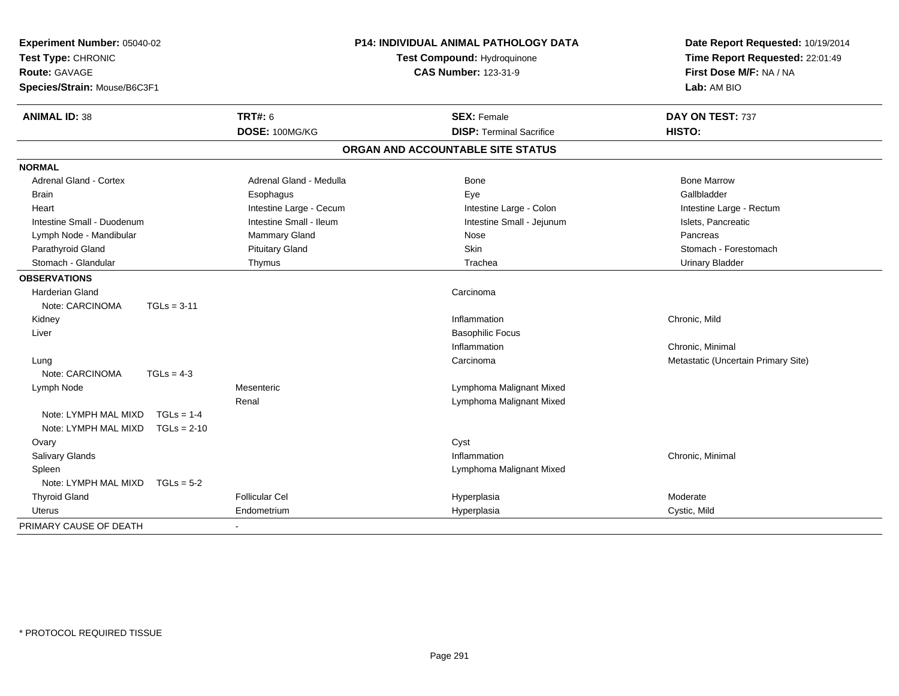| Experiment Number: 05040-02<br>Test Type: CHRONIC<br><b>Route: GAVAGE</b><br>Species/Strain: Mouse/B6C3F1 |                         | P14: INDIVIDUAL ANIMAL PATHOLOGY DATA<br>Test Compound: Hydroquinone<br><b>CAS Number: 123-31-9</b> | Date Report Requested: 10/19/2014<br>Time Report Requested: 22:01:49<br>First Dose M/F: NA / NA<br>Lab: AM BIO |
|-----------------------------------------------------------------------------------------------------------|-------------------------|-----------------------------------------------------------------------------------------------------|----------------------------------------------------------------------------------------------------------------|
| <b>ANIMAL ID: 38</b>                                                                                      | <b>TRT#: 6</b>          | <b>SEX: Female</b>                                                                                  | DAY ON TEST: 737                                                                                               |
|                                                                                                           | DOSE: 100MG/KG          | <b>DISP:</b> Terminal Sacrifice                                                                     | HISTO:                                                                                                         |
|                                                                                                           |                         | ORGAN AND ACCOUNTABLE SITE STATUS                                                                   |                                                                                                                |
| <b>NORMAL</b>                                                                                             |                         |                                                                                                     |                                                                                                                |
| <b>Adrenal Gland - Cortex</b>                                                                             | Adrenal Gland - Medulla | <b>Bone</b>                                                                                         | <b>Bone Marrow</b>                                                                                             |
| <b>Brain</b>                                                                                              | Esophagus               | Eye                                                                                                 | Gallbladder                                                                                                    |
| Heart                                                                                                     | Intestine Large - Cecum | Intestine Large - Colon                                                                             | Intestine Large - Rectum                                                                                       |
| Intestine Small - Duodenum                                                                                | Intestine Small - Ileum | Intestine Small - Jejunum                                                                           | Islets, Pancreatic                                                                                             |
| Lymph Node - Mandibular                                                                                   | <b>Mammary Gland</b>    | Nose                                                                                                | Pancreas                                                                                                       |
| Parathyroid Gland                                                                                         | <b>Pituitary Gland</b>  | Skin                                                                                                | Stomach - Forestomach                                                                                          |
| Stomach - Glandular                                                                                       | Thymus                  | Trachea                                                                                             | <b>Urinary Bladder</b>                                                                                         |
| <b>OBSERVATIONS</b>                                                                                       |                         |                                                                                                     |                                                                                                                |
| <b>Harderian Gland</b>                                                                                    |                         | Carcinoma                                                                                           |                                                                                                                |
| Note: CARCINOMA<br>$TGLs = 3-11$                                                                          |                         |                                                                                                     |                                                                                                                |
| Kidney                                                                                                    |                         | Inflammation                                                                                        | Chronic, Mild                                                                                                  |
| Liver                                                                                                     |                         | <b>Basophilic Focus</b>                                                                             |                                                                                                                |
|                                                                                                           |                         | Inflammation                                                                                        | Chronic, Minimal                                                                                               |
| Lung                                                                                                      |                         | Carcinoma                                                                                           | Metastatic (Uncertain Primary Site)                                                                            |
| Note: CARCINOMA<br>$TGLs = 4-3$                                                                           |                         |                                                                                                     |                                                                                                                |
| Lymph Node                                                                                                | Mesenteric              | Lymphoma Malignant Mixed                                                                            |                                                                                                                |
|                                                                                                           | Renal                   | Lymphoma Malignant Mixed                                                                            |                                                                                                                |
| Note: LYMPH MAL MIXD<br>$TGLs = 1-4$                                                                      |                         |                                                                                                     |                                                                                                                |
| Note: LYMPH MAL MIXD<br>$TGLs = 2-10$                                                                     |                         |                                                                                                     |                                                                                                                |
| Ovary                                                                                                     |                         | Cyst                                                                                                |                                                                                                                |
| Salivary Glands                                                                                           |                         | Inflammation                                                                                        | Chronic, Minimal                                                                                               |
| Spleen                                                                                                    |                         | Lymphoma Malignant Mixed                                                                            |                                                                                                                |
| Note: LYMPH MAL MIXD<br>$TGLs = 5-2$                                                                      |                         |                                                                                                     |                                                                                                                |
| <b>Thyroid Gland</b>                                                                                      | <b>Follicular Cel</b>   | Hyperplasia                                                                                         | Moderate                                                                                                       |
| <b>Uterus</b>                                                                                             | Endometrium             | Hyperplasia                                                                                         | Cystic, Mild                                                                                                   |
| PRIMARY CAUSE OF DEATH                                                                                    | $\sim$                  |                                                                                                     |                                                                                                                |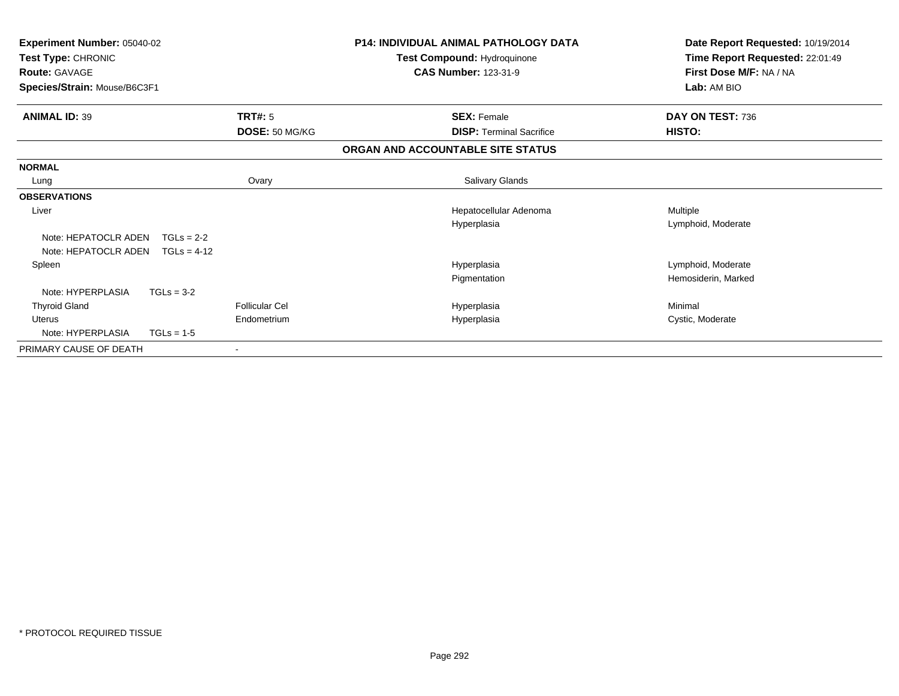| Experiment Number: 05040-02<br>Test Type: CHRONIC<br><b>Route: GAVAGE</b><br>Species/Strain: Mouse/B6C3F1 |                       | <b>P14: INDIVIDUAL ANIMAL PATHOLOGY DATA</b><br>Test Compound: Hydroquinone<br><b>CAS Number: 123-31-9</b> | Date Report Requested: 10/19/2014<br>Time Report Requested: 22:01:49<br>First Dose M/F: NA / NA |
|-----------------------------------------------------------------------------------------------------------|-----------------------|------------------------------------------------------------------------------------------------------------|-------------------------------------------------------------------------------------------------|
|                                                                                                           |                       |                                                                                                            | Lab: AM BIO                                                                                     |
| <b>ANIMAL ID: 39</b>                                                                                      | <b>TRT#: 5</b>        | <b>SEX: Female</b>                                                                                         | DAY ON TEST: 736                                                                                |
|                                                                                                           | DOSE: 50 MG/KG        | <b>DISP: Terminal Sacrifice</b>                                                                            | HISTO:                                                                                          |
|                                                                                                           |                       | ORGAN AND ACCOUNTABLE SITE STATUS                                                                          |                                                                                                 |
| <b>NORMAL</b>                                                                                             |                       |                                                                                                            |                                                                                                 |
| Lung                                                                                                      | Ovary                 | Salivary Glands                                                                                            |                                                                                                 |
| <b>OBSERVATIONS</b>                                                                                       |                       |                                                                                                            |                                                                                                 |
| Liver                                                                                                     |                       | Hepatocellular Adenoma                                                                                     | Multiple                                                                                        |
|                                                                                                           |                       | Hyperplasia                                                                                                | Lymphoid, Moderate                                                                              |
| Note: HEPATOCLR ADEN                                                                                      | $TGLs = 2-2$          |                                                                                                            |                                                                                                 |
| Note: HEPATOCLR ADEN                                                                                      | $TGLs = 4-12$         |                                                                                                            |                                                                                                 |
| Spleen                                                                                                    |                       | Hyperplasia                                                                                                | Lymphoid, Moderate                                                                              |
|                                                                                                           |                       | Pigmentation                                                                                               | Hemosiderin, Marked                                                                             |
| Note: HYPERPLASIA                                                                                         | $TGLs = 3-2$          |                                                                                                            |                                                                                                 |
| <b>Thyroid Gland</b>                                                                                      | <b>Follicular Cel</b> | Hyperplasia                                                                                                | Minimal                                                                                         |
| <b>Uterus</b>                                                                                             | Endometrium           | Hyperplasia                                                                                                | Cystic, Moderate                                                                                |
| Note: HYPERPLASIA                                                                                         | $TGLs = 1-5$          |                                                                                                            |                                                                                                 |
| PRIMARY CAUSE OF DEATH                                                                                    |                       |                                                                                                            |                                                                                                 |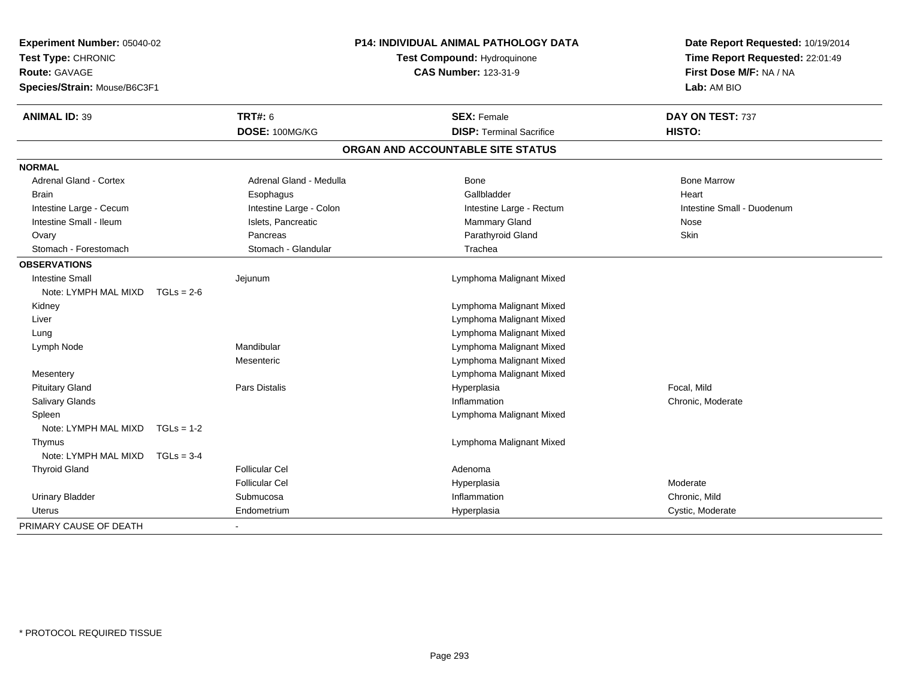| Experiment Number: 05040-02<br>Test Type: CHRONIC<br><b>Route: GAVAGE</b><br>Species/Strain: Mouse/B6C3F1 |              |                         | P14: INDIVIDUAL ANIMAL PATHOLOGY DATA<br>Test Compound: Hydroquinone<br><b>CAS Number: 123-31-9</b> |                                   | Date Report Requested: 10/19/2014<br>Time Report Requested: 22:01:49<br>First Dose M/F: NA / NA<br>Lab: AM BIO |
|-----------------------------------------------------------------------------------------------------------|--------------|-------------------------|-----------------------------------------------------------------------------------------------------|-----------------------------------|----------------------------------------------------------------------------------------------------------------|
| <b>ANIMAL ID: 39</b>                                                                                      |              | <b>TRT#: 6</b>          |                                                                                                     | <b>SEX: Female</b>                | DAY ON TEST: 737                                                                                               |
|                                                                                                           |              | DOSE: 100MG/KG          |                                                                                                     | <b>DISP: Terminal Sacrifice</b>   | HISTO:                                                                                                         |
|                                                                                                           |              |                         |                                                                                                     | ORGAN AND ACCOUNTABLE SITE STATUS |                                                                                                                |
| <b>NORMAL</b>                                                                                             |              |                         |                                                                                                     |                                   |                                                                                                                |
| Adrenal Gland - Cortex                                                                                    |              | Adrenal Gland - Medulla |                                                                                                     | <b>Bone</b>                       | <b>Bone Marrow</b>                                                                                             |
| Brain                                                                                                     |              | Esophagus               |                                                                                                     | Gallbladder                       | Heart                                                                                                          |
| Intestine Large - Cecum                                                                                   |              | Intestine Large - Colon |                                                                                                     | Intestine Large - Rectum          | Intestine Small - Duodenum                                                                                     |
| Intestine Small - Ileum                                                                                   |              | Islets, Pancreatic      |                                                                                                     | Mammary Gland                     | Nose                                                                                                           |
| Ovary                                                                                                     |              | Pancreas                |                                                                                                     | Parathyroid Gland                 | Skin                                                                                                           |
| Stomach - Forestomach                                                                                     |              | Stomach - Glandular     |                                                                                                     | Trachea                           |                                                                                                                |
| <b>OBSERVATIONS</b>                                                                                       |              |                         |                                                                                                     |                                   |                                                                                                                |
| <b>Intestine Small</b>                                                                                    |              | Jejunum                 |                                                                                                     | Lymphoma Malignant Mixed          |                                                                                                                |
| Note: LYMPH MAL MIXD                                                                                      | $TGLs = 2-6$ |                         |                                                                                                     |                                   |                                                                                                                |
| Kidney                                                                                                    |              |                         |                                                                                                     | Lymphoma Malignant Mixed          |                                                                                                                |
| Liver                                                                                                     |              |                         |                                                                                                     | Lymphoma Malignant Mixed          |                                                                                                                |
| Lung                                                                                                      |              |                         |                                                                                                     | Lymphoma Malignant Mixed          |                                                                                                                |
| Lymph Node                                                                                                |              | Mandibular              |                                                                                                     | Lymphoma Malignant Mixed          |                                                                                                                |
|                                                                                                           |              | Mesenteric              |                                                                                                     | Lymphoma Malignant Mixed          |                                                                                                                |
| Mesentery                                                                                                 |              |                         |                                                                                                     | Lymphoma Malignant Mixed          |                                                                                                                |
| <b>Pituitary Gland</b>                                                                                    |              | <b>Pars Distalis</b>    |                                                                                                     | Hyperplasia                       | Focal, Mild                                                                                                    |
| Salivary Glands                                                                                           |              |                         |                                                                                                     | Inflammation                      | Chronic, Moderate                                                                                              |
| Spleen                                                                                                    |              |                         |                                                                                                     | Lymphoma Malignant Mixed          |                                                                                                                |
| Note: LYMPH MAL MIXD                                                                                      | $TGLs = 1-2$ |                         |                                                                                                     |                                   |                                                                                                                |
| Thymus                                                                                                    |              |                         |                                                                                                     | Lymphoma Malignant Mixed          |                                                                                                                |
| Note: LYMPH MAL MIXD                                                                                      | $TGLs = 3-4$ |                         |                                                                                                     |                                   |                                                                                                                |
| <b>Thyroid Gland</b>                                                                                      |              | <b>Follicular Cel</b>   |                                                                                                     | Adenoma                           |                                                                                                                |
|                                                                                                           |              | <b>Follicular Cel</b>   |                                                                                                     | Hyperplasia                       | Moderate                                                                                                       |
| <b>Urinary Bladder</b>                                                                                    |              | Submucosa               |                                                                                                     | Inflammation                      | Chronic, Mild                                                                                                  |
| <b>Uterus</b>                                                                                             |              | Endometrium             |                                                                                                     | Hyperplasia                       | Cystic, Moderate                                                                                               |
| PRIMARY CAUSE OF DEATH                                                                                    |              |                         |                                                                                                     |                                   |                                                                                                                |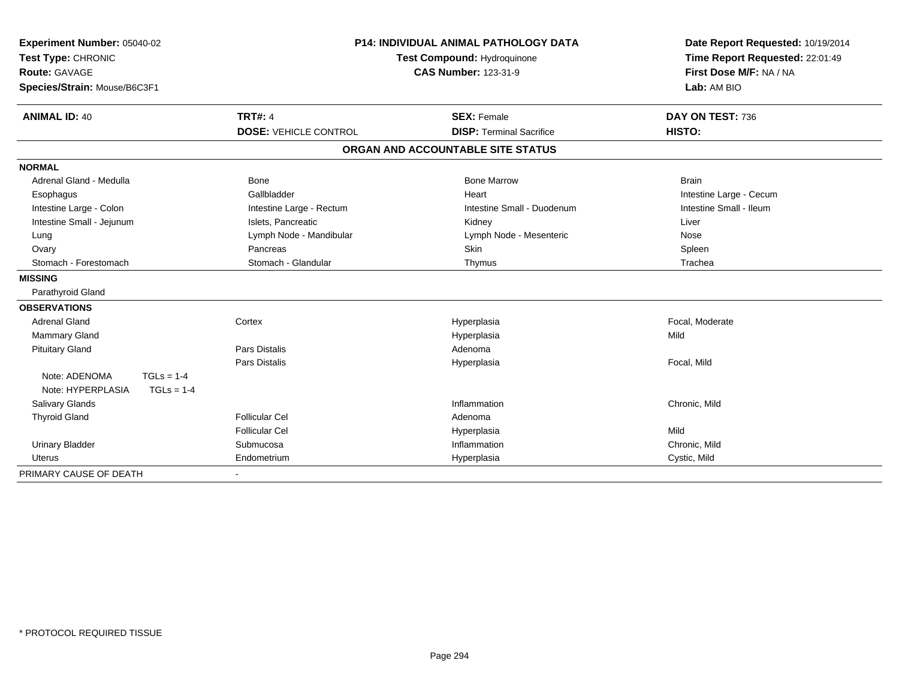| Experiment Number: 05040-02       |                              | <b>P14: INDIVIDUAL ANIMAL PATHOLOGY DATA</b> | Date Report Requested: 10/19/2014 |  |
|-----------------------------------|------------------------------|----------------------------------------------|-----------------------------------|--|
| Test Type: CHRONIC                |                              | Test Compound: Hydroquinone                  | Time Report Requested: 22:01:49   |  |
| Route: GAVAGE                     |                              | <b>CAS Number: 123-31-9</b>                  | First Dose M/F: NA / NA           |  |
| Species/Strain: Mouse/B6C3F1      |                              |                                              | Lab: AM BIO                       |  |
| <b>ANIMAL ID: 40</b>              | <b>TRT#: 4</b>               | <b>SEX: Female</b>                           | DAY ON TEST: 736                  |  |
|                                   | <b>DOSE: VEHICLE CONTROL</b> | <b>DISP: Terminal Sacrifice</b>              | HISTO:                            |  |
|                                   |                              | ORGAN AND ACCOUNTABLE SITE STATUS            |                                   |  |
| <b>NORMAL</b>                     |                              |                                              |                                   |  |
| Adrenal Gland - Medulla           | <b>Bone</b>                  | <b>Bone Marrow</b>                           | <b>Brain</b>                      |  |
| Esophagus                         | Gallbladder                  | Heart                                        | Intestine Large - Cecum           |  |
| Intestine Large - Colon           | Intestine Large - Rectum     | Intestine Small - Duodenum                   | Intestine Small - Ileum           |  |
| Intestine Small - Jejunum         | Islets, Pancreatic           | Kidney                                       | Liver                             |  |
| Lung                              | Lymph Node - Mandibular      | Lymph Node - Mesenteric                      | Nose                              |  |
| Ovary                             | Pancreas                     | Skin                                         | Spleen                            |  |
| Stomach - Forestomach             | Stomach - Glandular          | Thymus                                       | Trachea                           |  |
| <b>MISSING</b>                    |                              |                                              |                                   |  |
| Parathyroid Gland                 |                              |                                              |                                   |  |
| <b>OBSERVATIONS</b>               |                              |                                              |                                   |  |
| <b>Adrenal Gland</b>              | Cortex                       | Hyperplasia                                  | Focal, Moderate                   |  |
| Mammary Gland                     |                              | Hyperplasia                                  | Mild                              |  |
| <b>Pituitary Gland</b>            | <b>Pars Distalis</b>         | Adenoma                                      |                                   |  |
|                                   | <b>Pars Distalis</b>         | Hyperplasia                                  | Focal, Mild                       |  |
| Note: ADENOMA<br>$TGLs = 1-4$     |                              |                                              |                                   |  |
| Note: HYPERPLASIA<br>$TGLs = 1-4$ |                              |                                              |                                   |  |
| Salivary Glands                   |                              | Inflammation                                 | Chronic, Mild                     |  |
| <b>Thyroid Gland</b>              | <b>Follicular Cel</b>        | Adenoma                                      |                                   |  |
|                                   | <b>Follicular Cel</b>        | Hyperplasia                                  | Mild                              |  |
| <b>Urinary Bladder</b>            | Submucosa                    | Inflammation                                 | Chronic, Mild                     |  |
| Uterus                            | Endometrium                  | Hyperplasia                                  | Cystic, Mild                      |  |
| PRIMARY CAUSE OF DEATH            |                              |                                              |                                   |  |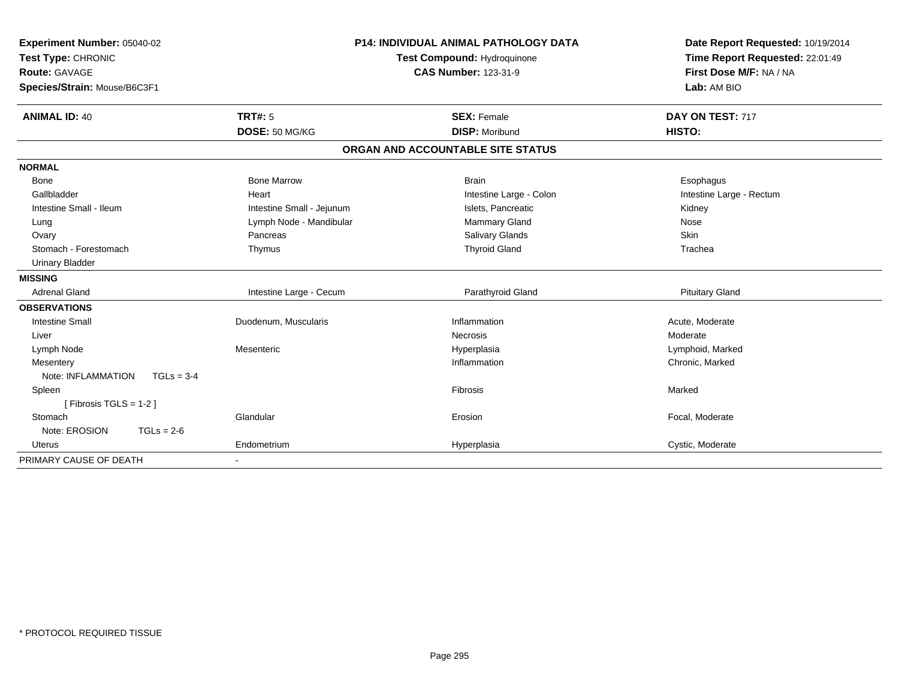| <b>Experiment Number: 05040-02</b> | <b>P14: INDIVIDUAL ANIMAL PATHOLOGY DATA</b> |                                   | Date Report Requested: 10/19/2014 |  |
|------------------------------------|----------------------------------------------|-----------------------------------|-----------------------------------|--|
| Test Type: CHRONIC                 |                                              | Test Compound: Hydroquinone       | Time Report Requested: 22:01:49   |  |
| <b>Route: GAVAGE</b>               |                                              | <b>CAS Number: 123-31-9</b>       | First Dose M/F: NA / NA           |  |
| Species/Strain: Mouse/B6C3F1       |                                              |                                   | Lab: AM BIO                       |  |
| <b>ANIMAL ID: 40</b>               | <b>TRT#: 5</b>                               | <b>SEX: Female</b>                | DAY ON TEST: 717                  |  |
|                                    | DOSE: 50 MG/KG                               | <b>DISP: Moribund</b>             | HISTO:                            |  |
|                                    |                                              | ORGAN AND ACCOUNTABLE SITE STATUS |                                   |  |
| <b>NORMAL</b>                      |                                              |                                   |                                   |  |
| <b>Bone</b>                        | <b>Bone Marrow</b>                           | <b>Brain</b>                      | Esophagus                         |  |
| Gallbladder                        | Heart                                        | Intestine Large - Colon           | Intestine Large - Rectum          |  |
| Intestine Small - Ileum            | Intestine Small - Jejunum                    | Islets, Pancreatic                | Kidney                            |  |
| Lung                               | Lymph Node - Mandibular                      | Mammary Gland                     | Nose                              |  |
| Ovary                              | Pancreas                                     | <b>Salivary Glands</b>            | Skin                              |  |
| Stomach - Forestomach              | Thymus                                       | <b>Thyroid Gland</b>              | Trachea                           |  |
| <b>Urinary Bladder</b>             |                                              |                                   |                                   |  |
| <b>MISSING</b>                     |                                              |                                   |                                   |  |
| <b>Adrenal Gland</b>               | Intestine Large - Cecum                      | Parathyroid Gland                 | <b>Pituitary Gland</b>            |  |
| <b>OBSERVATIONS</b>                |                                              |                                   |                                   |  |
| <b>Intestine Small</b>             | Duodenum, Muscularis                         | Inflammation                      | Acute, Moderate                   |  |
| Liver                              |                                              | Necrosis                          | Moderate                          |  |
| Lymph Node                         | Mesenteric                                   | Hyperplasia                       | Lymphoid, Marked                  |  |
| Mesentery                          |                                              | Inflammation                      | Chronic, Marked                   |  |
| Note: INFLAMMATION<br>$TGLs = 3-4$ |                                              |                                   |                                   |  |
| Spleen                             |                                              | Fibrosis                          | Marked                            |  |
| [Fibrosis TGLS = 1-2]              |                                              |                                   |                                   |  |
| Stomach                            | Glandular                                    | Erosion                           | Focal, Moderate                   |  |
| Note: EROSION<br>$TGLs = 2-6$      |                                              |                                   |                                   |  |
| <b>Uterus</b>                      | Endometrium                                  | Hyperplasia                       | Cystic, Moderate                  |  |
| PRIMARY CAUSE OF DEATH             |                                              |                                   |                                   |  |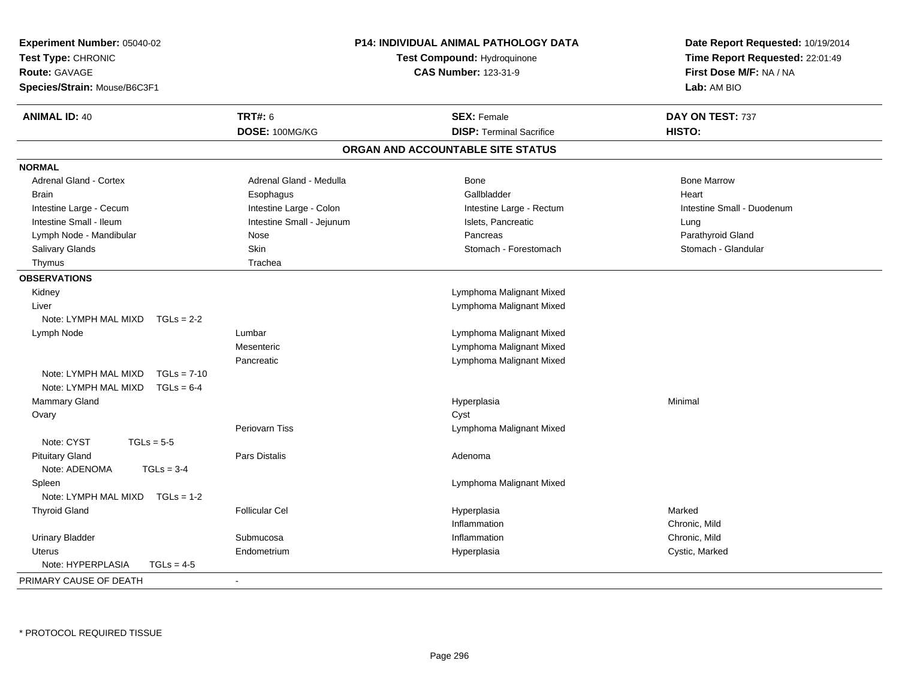| Experiment Number: 05040-02<br>Test Type: CHRONIC<br><b>Route: GAVAGE</b><br>Species/Strain: Mouse/B6C3F1 | <b>P14: INDIVIDUAL ANIMAL PATHOLOGY DATA</b><br>Test Compound: Hydroquinone<br><b>CAS Number: 123-31-9</b> |                                   | Date Report Requested: 10/19/2014<br>Time Report Requested: 22:01:49<br>First Dose M/F: NA / NA<br>Lab: AM BIO |  |
|-----------------------------------------------------------------------------------------------------------|------------------------------------------------------------------------------------------------------------|-----------------------------------|----------------------------------------------------------------------------------------------------------------|--|
| <b>ANIMAL ID: 40</b>                                                                                      | <b>TRT#: 6</b>                                                                                             | <b>SEX: Female</b>                | DAY ON TEST: 737                                                                                               |  |
|                                                                                                           | DOSE: 100MG/KG                                                                                             | <b>DISP: Terminal Sacrifice</b>   | HISTO:                                                                                                         |  |
|                                                                                                           |                                                                                                            | ORGAN AND ACCOUNTABLE SITE STATUS |                                                                                                                |  |
| <b>NORMAL</b>                                                                                             |                                                                                                            |                                   |                                                                                                                |  |
| <b>Adrenal Gland - Cortex</b>                                                                             | Adrenal Gland - Medulla                                                                                    | <b>Bone</b>                       | <b>Bone Marrow</b>                                                                                             |  |
| Brain                                                                                                     | Esophagus                                                                                                  | Gallbladder                       | Heart                                                                                                          |  |
| Intestine Large - Cecum                                                                                   | Intestine Large - Colon                                                                                    | Intestine Large - Rectum          | Intestine Small - Duodenum                                                                                     |  |
| Intestine Small - Ileum                                                                                   | Intestine Small - Jejunum                                                                                  | Islets, Pancreatic                | Lung                                                                                                           |  |
| Lymph Node - Mandibular                                                                                   | Nose                                                                                                       | Pancreas                          | Parathyroid Gland                                                                                              |  |
| Salivary Glands                                                                                           | Skin                                                                                                       | Stomach - Forestomach             | Stomach - Glandular                                                                                            |  |
| Thymus                                                                                                    | Trachea                                                                                                    |                                   |                                                                                                                |  |
| <b>OBSERVATIONS</b>                                                                                       |                                                                                                            |                                   |                                                                                                                |  |
| Kidney                                                                                                    |                                                                                                            | Lymphoma Malignant Mixed          |                                                                                                                |  |
| Liver                                                                                                     |                                                                                                            | Lymphoma Malignant Mixed          |                                                                                                                |  |
| Note: LYMPH MAL MIXD<br>$TGLs = 2-2$                                                                      |                                                                                                            |                                   |                                                                                                                |  |
| Lymph Node                                                                                                | Lumbar                                                                                                     | Lymphoma Malignant Mixed          |                                                                                                                |  |
|                                                                                                           | Mesenteric                                                                                                 | Lymphoma Malignant Mixed          |                                                                                                                |  |
|                                                                                                           | Pancreatic                                                                                                 | Lymphoma Malignant Mixed          |                                                                                                                |  |
| Note: LYMPH MAL MIXD<br>$TGLs = 7-10$                                                                     |                                                                                                            |                                   |                                                                                                                |  |
| Note: LYMPH MAL MIXD<br>$TGLs = 6-4$                                                                      |                                                                                                            |                                   |                                                                                                                |  |
| <b>Mammary Gland</b>                                                                                      |                                                                                                            | Hyperplasia                       | Minimal                                                                                                        |  |
| Ovary                                                                                                     |                                                                                                            | Cyst                              |                                                                                                                |  |
|                                                                                                           | Periovarn Tiss                                                                                             | Lymphoma Malignant Mixed          |                                                                                                                |  |
| Note: CYST<br>$TGLs = 5-5$                                                                                |                                                                                                            |                                   |                                                                                                                |  |
| <b>Pituitary Gland</b>                                                                                    | Pars Distalis                                                                                              | Adenoma                           |                                                                                                                |  |
| Note: ADENOMA<br>$TGLs = 3-4$                                                                             |                                                                                                            |                                   |                                                                                                                |  |
| Spleen                                                                                                    |                                                                                                            | Lymphoma Malignant Mixed          |                                                                                                                |  |
| Note: LYMPH MAL MIXD TGLs = 1-2                                                                           |                                                                                                            |                                   |                                                                                                                |  |
| <b>Thyroid Gland</b>                                                                                      | <b>Follicular Cel</b>                                                                                      | Hyperplasia                       | Marked                                                                                                         |  |
|                                                                                                           |                                                                                                            | Inflammation                      | Chronic, Mild                                                                                                  |  |
| <b>Urinary Bladder</b>                                                                                    | Submucosa                                                                                                  | Inflammation                      | Chronic, Mild                                                                                                  |  |
| <b>Uterus</b>                                                                                             | Endometrium                                                                                                | Hyperplasia                       | Cystic, Marked                                                                                                 |  |
| Note: HYPERPLASIA<br>$TGLs = 4-5$                                                                         |                                                                                                            |                                   |                                                                                                                |  |
| PRIMARY CAUSE OF DEATH                                                                                    | $\blacksquare$                                                                                             |                                   |                                                                                                                |  |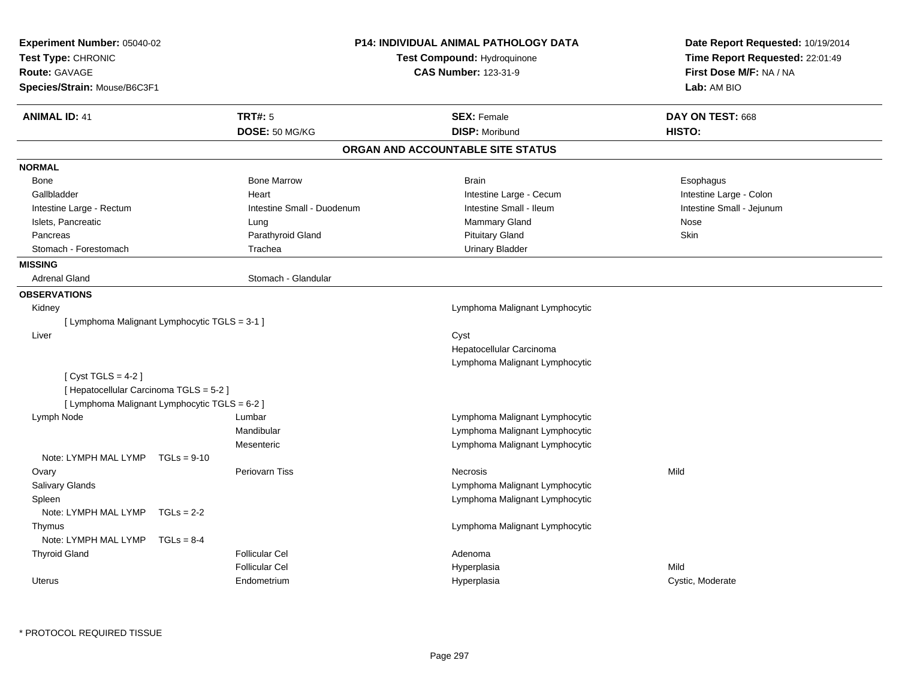| Experiment Number: 05040-02<br>Test Type: CHRONIC<br>Route: GAVAGE<br>Species/Strain: Mouse/B6C3F1 |              | <b>P14: INDIVIDUAL ANIMAL PATHOLOGY DATA</b><br>Test Compound: Hydroquinone<br><b>CAS Number: 123-31-9</b> |                                   | Date Report Requested: 10/19/2014<br>Time Report Requested: 22:01:49<br>First Dose M/F: NA / NA<br>Lab: AM BIO |
|----------------------------------------------------------------------------------------------------|--------------|------------------------------------------------------------------------------------------------------------|-----------------------------------|----------------------------------------------------------------------------------------------------------------|
| <b>ANIMAL ID: 41</b>                                                                               |              | <b>TRT#: 5</b>                                                                                             | <b>SEX: Female</b>                | DAY ON TEST: 668                                                                                               |
|                                                                                                    |              | DOSE: 50 MG/KG                                                                                             | <b>DISP: Moribund</b>             | HISTO:                                                                                                         |
|                                                                                                    |              |                                                                                                            | ORGAN AND ACCOUNTABLE SITE STATUS |                                                                                                                |
| <b>NORMAL</b>                                                                                      |              |                                                                                                            |                                   |                                                                                                                |
| <b>Bone</b>                                                                                        |              | <b>Bone Marrow</b>                                                                                         | <b>Brain</b>                      | Esophagus                                                                                                      |
| Gallbladder                                                                                        |              | Heart                                                                                                      | Intestine Large - Cecum           | Intestine Large - Colon                                                                                        |
| Intestine Large - Rectum                                                                           |              | Intestine Small - Duodenum                                                                                 | Intestine Small - Ileum           | Intestine Small - Jejunum                                                                                      |
| Islets, Pancreatic                                                                                 |              | Lung                                                                                                       | Mammary Gland                     | Nose                                                                                                           |
| Pancreas                                                                                           |              | Parathyroid Gland                                                                                          | <b>Pituitary Gland</b>            | Skin                                                                                                           |
| Stomach - Forestomach                                                                              |              | Trachea                                                                                                    | <b>Urinary Bladder</b>            |                                                                                                                |
| <b>MISSING</b>                                                                                     |              |                                                                                                            |                                   |                                                                                                                |
| <b>Adrenal Gland</b>                                                                               |              | Stomach - Glandular                                                                                        |                                   |                                                                                                                |
| <b>OBSERVATIONS</b>                                                                                |              |                                                                                                            |                                   |                                                                                                                |
| Kidney                                                                                             |              |                                                                                                            | Lymphoma Malignant Lymphocytic    |                                                                                                                |
| [ Lymphoma Malignant Lymphocytic TGLS = 3-1 ]                                                      |              |                                                                                                            |                                   |                                                                                                                |
| Liver                                                                                              |              |                                                                                                            | Cyst                              |                                                                                                                |
|                                                                                                    |              |                                                                                                            | Hepatocellular Carcinoma          |                                                                                                                |
|                                                                                                    |              |                                                                                                            | Lymphoma Malignant Lymphocytic    |                                                                                                                |
| [Cyst TGLS = $4-2$ ]                                                                               |              |                                                                                                            |                                   |                                                                                                                |
| [ Hepatocellular Carcinoma TGLS = 5-2 ]                                                            |              |                                                                                                            |                                   |                                                                                                                |
| [ Lymphoma Malignant Lymphocytic TGLS = 6-2 ]                                                      |              |                                                                                                            |                                   |                                                                                                                |
| Lymph Node                                                                                         |              | Lumbar                                                                                                     | Lymphoma Malignant Lymphocytic    |                                                                                                                |
|                                                                                                    |              | Mandibular                                                                                                 | Lymphoma Malignant Lymphocytic    |                                                                                                                |
|                                                                                                    |              | Mesenteric                                                                                                 | Lymphoma Malignant Lymphocytic    |                                                                                                                |
| Note: LYMPH MAL LYMP TGLs = 9-10                                                                   |              |                                                                                                            |                                   |                                                                                                                |
| Ovary                                                                                              |              | <b>Periovarn Tiss</b>                                                                                      | <b>Necrosis</b>                   | Mild                                                                                                           |
| Salivary Glands                                                                                    |              |                                                                                                            | Lymphoma Malignant Lymphocytic    |                                                                                                                |
| Spleen                                                                                             |              |                                                                                                            | Lymphoma Malignant Lymphocytic    |                                                                                                                |
| Note: LYMPH MAL LYMP                                                                               | $TGLs = 2-2$ |                                                                                                            |                                   |                                                                                                                |
| Thymus                                                                                             |              |                                                                                                            | Lymphoma Malignant Lymphocytic    |                                                                                                                |
| Note: LYMPH MAL LYMP                                                                               | $TGLs = 8-4$ |                                                                                                            |                                   |                                                                                                                |
| <b>Thyroid Gland</b>                                                                               |              | <b>Follicular Cel</b>                                                                                      | Adenoma                           |                                                                                                                |
|                                                                                                    |              | <b>Follicular Cel</b>                                                                                      | Hyperplasia                       | Mild                                                                                                           |
| Uterus                                                                                             |              | Endometrium                                                                                                | Hyperplasia                       | Cystic, Moderate                                                                                               |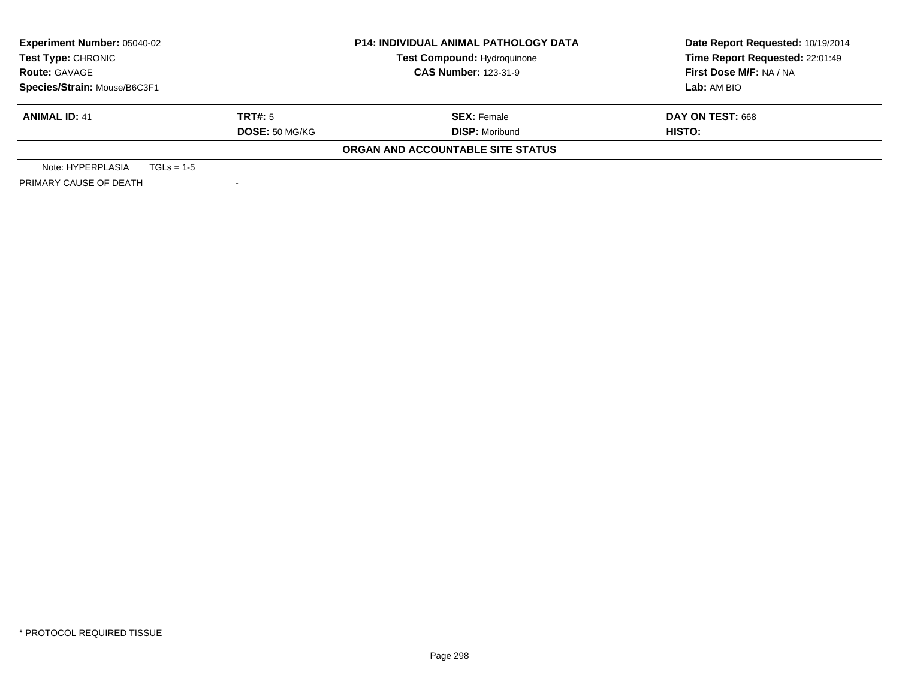| <b>Experiment Number: 05040-02</b><br>Test Type: CHRONIC |              |                       | <b>P14: INDIVIDUAL ANIMAL PATHOLOGY DATA</b> | Date Report Requested: 10/19/2014 |
|----------------------------------------------------------|--------------|-----------------------|----------------------------------------------|-----------------------------------|
|                                                          |              |                       | <b>Test Compound: Hydroquinone</b>           | Time Report Requested: 22:01:49   |
| <b>Route: GAVAGE</b>                                     |              |                       | <b>CAS Number: 123-31-9</b>                  | First Dose M/F: NA / NA           |
| Species/Strain: Mouse/B6C3F1                             |              |                       |                                              | Lab: AM BIO                       |
| <b>ANIMAL ID: 41</b>                                     |              | TRT#: 5               | <b>SEX: Female</b>                           | DAY ON TEST: 668                  |
|                                                          |              | <b>DOSE: 50 MG/KG</b> | <b>DISP: Moribund</b>                        | HISTO:                            |
|                                                          |              |                       | ORGAN AND ACCOUNTABLE SITE STATUS            |                                   |
| Note: HYPERPLASIA                                        | $TGLs = 1-5$ |                       |                                              |                                   |
| PRIMARY CAUSE OF DEATH                                   |              |                       |                                              |                                   |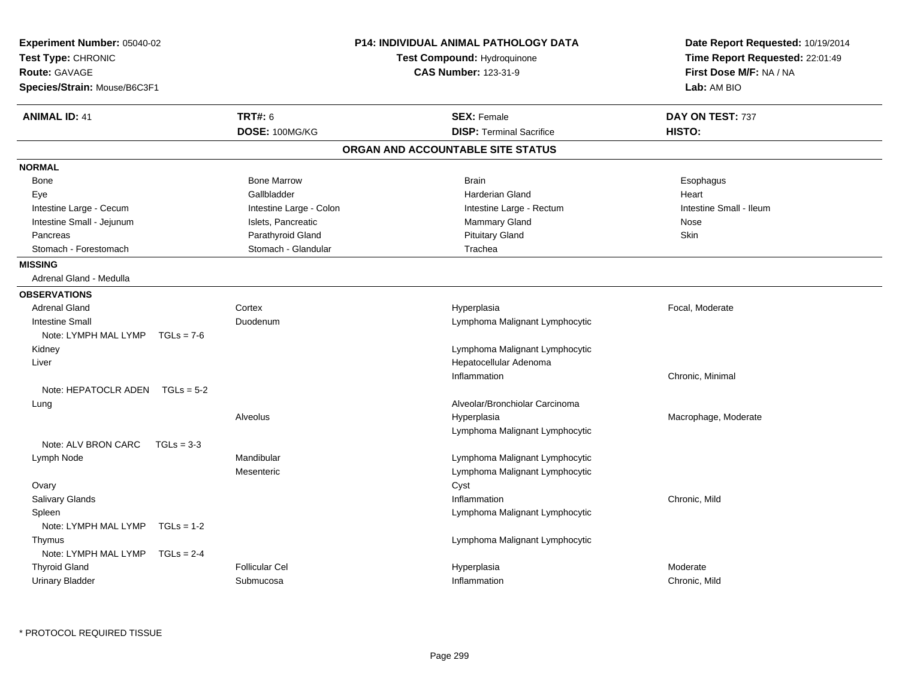| Experiment Number: 05040-02<br>Test Type: CHRONIC<br><b>Route: GAVAGE</b><br>Species/Strain: Mouse/B6C3F1 |                         | <b>P14: INDIVIDUAL ANIMAL PATHOLOGY DATA</b><br>Test Compound: Hydroquinone<br><b>CAS Number: 123-31-9</b> | Date Report Requested: 10/19/2014<br>Time Report Requested: 22:01:49<br>First Dose M/F: NA / NA<br>Lab: AM BIO |  |
|-----------------------------------------------------------------------------------------------------------|-------------------------|------------------------------------------------------------------------------------------------------------|----------------------------------------------------------------------------------------------------------------|--|
| <b>ANIMAL ID: 41</b>                                                                                      | <b>TRT#: 6</b>          | <b>SEX: Female</b>                                                                                         | DAY ON TEST: 737                                                                                               |  |
|                                                                                                           | DOSE: 100MG/KG          | <b>DISP: Terminal Sacrifice</b>                                                                            | HISTO:                                                                                                         |  |
|                                                                                                           |                         | ORGAN AND ACCOUNTABLE SITE STATUS                                                                          |                                                                                                                |  |
| <b>NORMAL</b>                                                                                             |                         |                                                                                                            |                                                                                                                |  |
| <b>Bone</b>                                                                                               | <b>Bone Marrow</b>      | <b>Brain</b>                                                                                               | Esophagus                                                                                                      |  |
| Eye                                                                                                       | Gallbladder             | Harderian Gland                                                                                            | Heart                                                                                                          |  |
| Intestine Large - Cecum                                                                                   | Intestine Large - Colon | Intestine Large - Rectum                                                                                   | Intestine Small - Ileum                                                                                        |  |
| Intestine Small - Jejunum                                                                                 | Islets, Pancreatic      | Mammary Gland                                                                                              | Nose                                                                                                           |  |
| Pancreas                                                                                                  | Parathyroid Gland       | <b>Pituitary Gland</b>                                                                                     | Skin                                                                                                           |  |
| Stomach - Forestomach                                                                                     | Stomach - Glandular     | Trachea                                                                                                    |                                                                                                                |  |
| <b>MISSING</b>                                                                                            |                         |                                                                                                            |                                                                                                                |  |
| Adrenal Gland - Medulla                                                                                   |                         |                                                                                                            |                                                                                                                |  |
| <b>OBSERVATIONS</b>                                                                                       |                         |                                                                                                            |                                                                                                                |  |
| <b>Adrenal Gland</b>                                                                                      | Cortex                  | Hyperplasia                                                                                                | Focal, Moderate                                                                                                |  |
| <b>Intestine Small</b>                                                                                    | Duodenum                | Lymphoma Malignant Lymphocytic                                                                             |                                                                                                                |  |
| Note: LYMPH MAL LYMP<br>$TGLs = 7-6$                                                                      |                         |                                                                                                            |                                                                                                                |  |
| Kidney                                                                                                    |                         | Lymphoma Malignant Lymphocytic                                                                             |                                                                                                                |  |
| Liver                                                                                                     |                         | Hepatocellular Adenoma                                                                                     |                                                                                                                |  |
|                                                                                                           |                         | Inflammation                                                                                               | Chronic, Minimal                                                                                               |  |
| Note: HEPATOCLR ADEN $TGLs = 5-2$                                                                         |                         |                                                                                                            |                                                                                                                |  |
| Lung                                                                                                      |                         | Alveolar/Bronchiolar Carcinoma                                                                             |                                                                                                                |  |
|                                                                                                           | <b>Alveolus</b>         | Hyperplasia                                                                                                | Macrophage, Moderate                                                                                           |  |
|                                                                                                           |                         | Lymphoma Malignant Lymphocytic                                                                             |                                                                                                                |  |
| Note: ALV BRON CARC<br>$TGLs = 3-3$                                                                       |                         |                                                                                                            |                                                                                                                |  |
| Lymph Node                                                                                                | Mandibular              | Lymphoma Malignant Lymphocytic                                                                             |                                                                                                                |  |
|                                                                                                           | Mesenteric              | Lymphoma Malignant Lymphocytic                                                                             |                                                                                                                |  |
| Ovary                                                                                                     |                         | Cyst                                                                                                       |                                                                                                                |  |
| Salivary Glands                                                                                           |                         | Inflammation                                                                                               | Chronic, Mild                                                                                                  |  |
| Spleen                                                                                                    |                         | Lymphoma Malignant Lymphocytic                                                                             |                                                                                                                |  |
| Note: LYMPH MAL LYMP<br>$TGLS = 1-2$                                                                      |                         |                                                                                                            |                                                                                                                |  |
| Thymus                                                                                                    |                         | Lymphoma Malignant Lymphocytic                                                                             |                                                                                                                |  |
| Note: LYMPH MAL LYMP<br>$TGLs = 2-4$                                                                      |                         |                                                                                                            |                                                                                                                |  |
| <b>Thyroid Gland</b>                                                                                      | <b>Follicular Cel</b>   | Hyperplasia                                                                                                | Moderate                                                                                                       |  |
| <b>Urinary Bladder</b>                                                                                    | Submucosa               | Inflammation                                                                                               | Chronic, Mild                                                                                                  |  |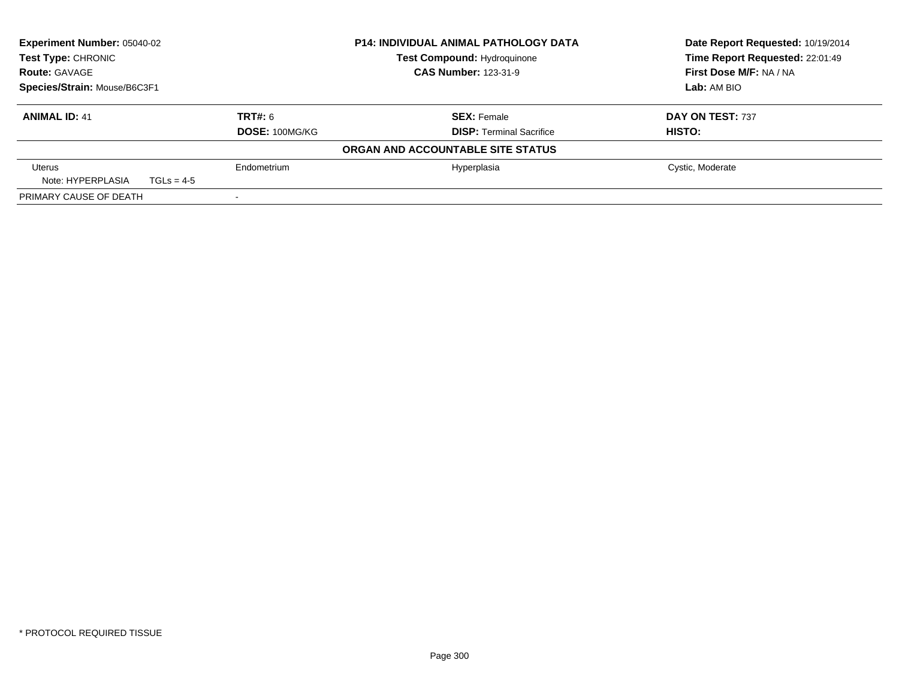| Experiment Number: 05040-02<br>Test Type: CHRONIC<br><b>Route: GAVAGE</b><br>Species/Strain: Mouse/B6C3F1 |              |                | <b>P14: INDIVIDUAL ANIMAL PATHOLOGY DATA</b><br><b>Test Compound: Hydroquinone</b><br><b>CAS Number: 123-31-9</b> |                                 | Date Report Requested: 10/19/2014<br>Time Report Requested: 22:01:49 |
|-----------------------------------------------------------------------------------------------------------|--------------|----------------|-------------------------------------------------------------------------------------------------------------------|---------------------------------|----------------------------------------------------------------------|
|                                                                                                           |              |                |                                                                                                                   |                                 | First Dose M/F: NA / NA                                              |
|                                                                                                           |              |                |                                                                                                                   | Lab: AM BIO                     |                                                                      |
| <b>ANIMAL ID: 41</b>                                                                                      |              | TRT#: 6        |                                                                                                                   | <b>SEX: Female</b>              | DAY ON TEST: 737                                                     |
|                                                                                                           |              | DOSE: 100MG/KG |                                                                                                                   | <b>DISP:</b> Terminal Sacrifice | HISTO:                                                               |
|                                                                                                           |              |                | ORGAN AND ACCOUNTABLE SITE STATUS                                                                                 |                                 |                                                                      |
| Uterus<br>Note: HYPERPLASIA                                                                               | $TGLs = 4-5$ | Endometrium    |                                                                                                                   | Hyperplasia                     | Cystic, Moderate                                                     |
| PRIMARY CAUSE OF DEATH                                                                                    |              |                |                                                                                                                   |                                 |                                                                      |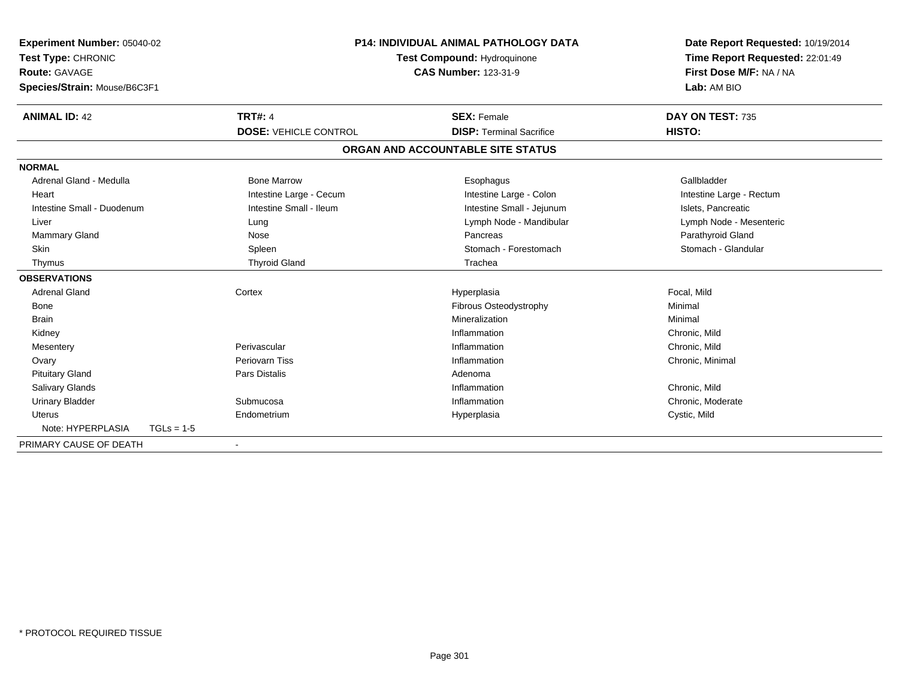| Experiment Number: 05040-02  |              |                                    | <b>P14: INDIVIDUAL ANIMAL PATHOLOGY DATA</b> |                                   |                                 | Date Report Requested: 10/19/2014 |  |
|------------------------------|--------------|------------------------------------|----------------------------------------------|-----------------------------------|---------------------------------|-----------------------------------|--|
| Test Type: CHRONIC           |              | <b>Test Compound: Hydroquinone</b> |                                              |                                   | Time Report Requested: 22:01:49 |                                   |  |
| <b>Route: GAVAGE</b>         |              |                                    |                                              | <b>CAS Number: 123-31-9</b>       |                                 | First Dose M/F: NA / NA           |  |
| Species/Strain: Mouse/B6C3F1 |              |                                    |                                              |                                   |                                 | Lab: AM BIO                       |  |
| <b>ANIMAL ID: 42</b>         |              | <b>TRT#: 4</b>                     |                                              | <b>SEX: Female</b>                |                                 | DAY ON TEST: 735                  |  |
|                              |              | <b>DOSE: VEHICLE CONTROL</b>       |                                              | <b>DISP: Terminal Sacrifice</b>   |                                 | HISTO:                            |  |
|                              |              |                                    |                                              | ORGAN AND ACCOUNTABLE SITE STATUS |                                 |                                   |  |
| <b>NORMAL</b>                |              |                                    |                                              |                                   |                                 |                                   |  |
| Adrenal Gland - Medulla      |              | <b>Bone Marrow</b>                 |                                              | Esophagus                         |                                 | Gallbladder                       |  |
| Heart                        |              | Intestine Large - Cecum            |                                              | Intestine Large - Colon           |                                 | Intestine Large - Rectum          |  |
| Intestine Small - Duodenum   |              | Intestine Small - Ileum            |                                              | Intestine Small - Jejunum         |                                 | Islets, Pancreatic                |  |
| Liver                        |              | Lung                               |                                              | Lymph Node - Mandibular           |                                 | Lymph Node - Mesenteric           |  |
| <b>Mammary Gland</b>         |              | Nose                               |                                              | Pancreas                          |                                 | Parathyroid Gland                 |  |
| Skin                         |              | Spleen                             |                                              | Stomach - Forestomach             |                                 | Stomach - Glandular               |  |
| Thymus                       |              | <b>Thyroid Gland</b>               |                                              | Trachea                           |                                 |                                   |  |
| <b>OBSERVATIONS</b>          |              |                                    |                                              |                                   |                                 |                                   |  |
| <b>Adrenal Gland</b>         |              | Cortex                             |                                              | Hyperplasia                       |                                 | Focal, Mild                       |  |
| Bone                         |              |                                    |                                              | Fibrous Osteodystrophy            |                                 | Minimal                           |  |
| <b>Brain</b>                 |              |                                    |                                              | Mineralization                    |                                 | Minimal                           |  |
| Kidney                       |              |                                    |                                              | Inflammation                      |                                 | Chronic, Mild                     |  |
| Mesentery                    |              | Perivascular                       |                                              | Inflammation                      |                                 | Chronic, Mild                     |  |
| Ovary                        |              | Periovarn Tiss                     |                                              | Inflammation                      |                                 | Chronic, Minimal                  |  |
| <b>Pituitary Gland</b>       |              | <b>Pars Distalis</b>               |                                              | Adenoma                           |                                 |                                   |  |
| <b>Salivary Glands</b>       |              |                                    |                                              | Inflammation                      |                                 | Chronic, Mild                     |  |
| <b>Urinary Bladder</b>       |              | Submucosa                          |                                              | Inflammation                      |                                 | Chronic, Moderate                 |  |
| <b>Uterus</b>                |              | Endometrium                        |                                              | Hyperplasia                       |                                 | Cystic, Mild                      |  |
| Note: HYPERPLASIA            | $TGLs = 1-5$ |                                    |                                              |                                   |                                 |                                   |  |
| PRIMARY CAUSE OF DEATH       |              |                                    |                                              |                                   |                                 |                                   |  |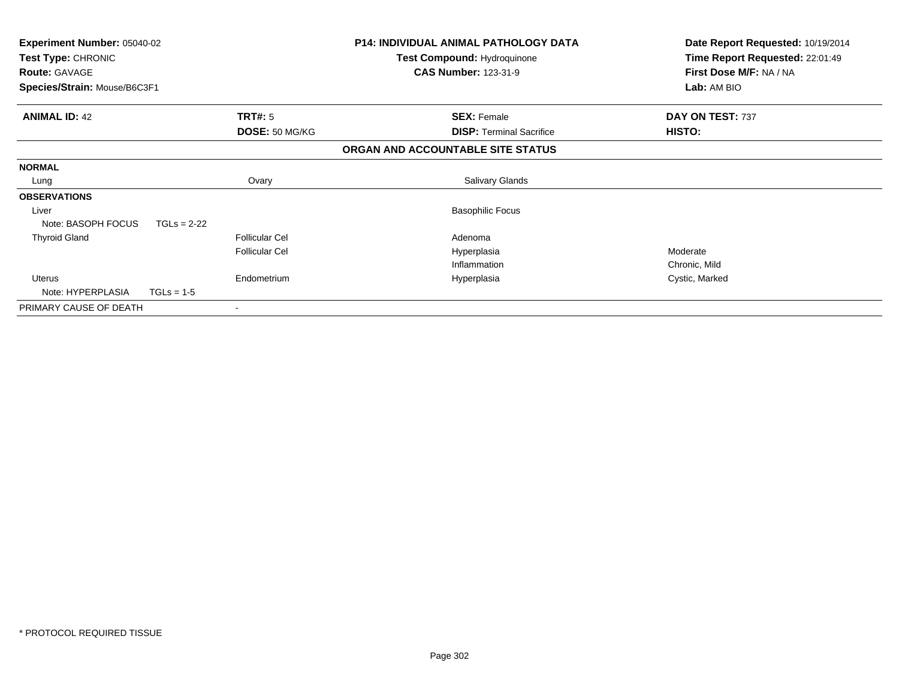| Experiment Number: 05040-02<br>Test Type: CHRONIC<br><b>Route: GAVAGE</b><br>Species/Strain: Mouse/B6C3F1 |                       | <b>P14: INDIVIDUAL ANIMAL PATHOLOGY DATA</b><br><b>Test Compound: Hydroquinone</b><br><b>CAS Number: 123-31-9</b> | Date Report Requested: 10/19/2014<br>Time Report Requested: 22:01:49<br>First Dose M/F: NA / NA<br>Lab: AM BIO |
|-----------------------------------------------------------------------------------------------------------|-----------------------|-------------------------------------------------------------------------------------------------------------------|----------------------------------------------------------------------------------------------------------------|
| <b>ANIMAL ID: 42</b>                                                                                      | TRT#: 5               | <b>SEX: Female</b>                                                                                                | DAY ON TEST: 737                                                                                               |
|                                                                                                           | DOSE: 50 MG/KG        | <b>DISP:</b> Terminal Sacrifice                                                                                   | HISTO:                                                                                                         |
|                                                                                                           |                       | ORGAN AND ACCOUNTABLE SITE STATUS                                                                                 |                                                                                                                |
| <b>NORMAL</b>                                                                                             |                       |                                                                                                                   |                                                                                                                |
| Lung                                                                                                      | Ovary                 | Salivary Glands                                                                                                   |                                                                                                                |
| <b>OBSERVATIONS</b>                                                                                       |                       |                                                                                                                   |                                                                                                                |
| Liver                                                                                                     |                       | <b>Basophilic Focus</b>                                                                                           |                                                                                                                |
| Note: BASOPH FOCUS<br>$TGLs = 2-22$                                                                       |                       |                                                                                                                   |                                                                                                                |
| <b>Thyroid Gland</b>                                                                                      | <b>Follicular Cel</b> | Adenoma                                                                                                           |                                                                                                                |
|                                                                                                           | <b>Follicular Cel</b> | Hyperplasia                                                                                                       | Moderate                                                                                                       |
|                                                                                                           |                       | Inflammation                                                                                                      | Chronic, Mild                                                                                                  |
| <b>Uterus</b>                                                                                             | Endometrium           | Hyperplasia                                                                                                       | Cystic, Marked                                                                                                 |
| Note: HYPERPLASIA<br>$TGLs = 1-5$                                                                         |                       |                                                                                                                   |                                                                                                                |
| PRIMARY CAUSE OF DEATH                                                                                    |                       |                                                                                                                   |                                                                                                                |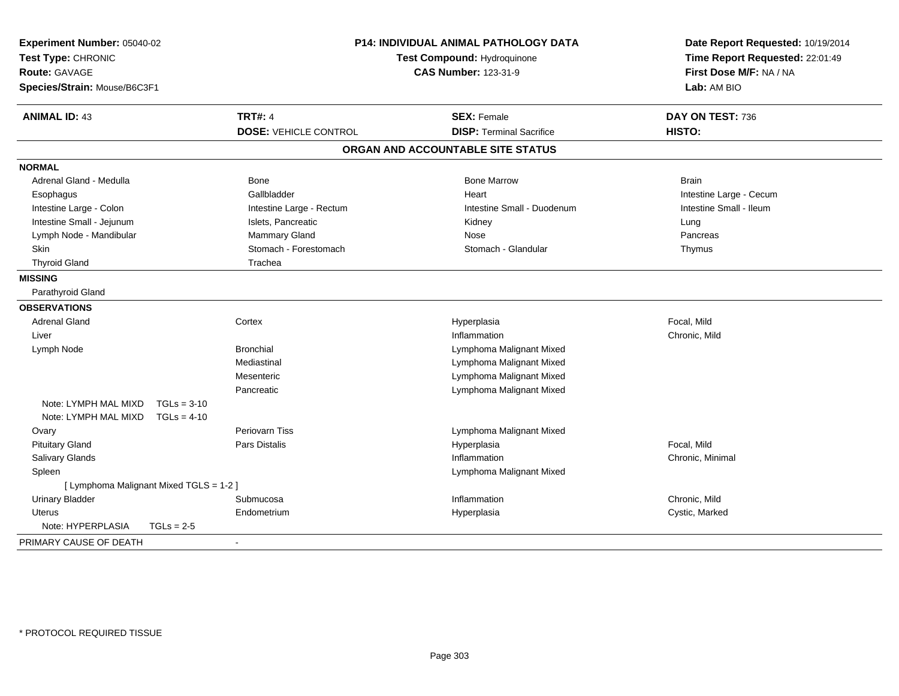| Experiment Number: 05040-02<br>Test Type: CHRONIC<br><b>Route: GAVAGE</b><br>Species/Strain: Mouse/B6C3F1 |               | <b>P14: INDIVIDUAL ANIMAL PATHOLOGY DATA</b><br><b>Test Compound: Hydroquinone</b><br><b>CAS Number: 123-31-9</b> |                                   | Date Report Requested: 10/19/2014<br>Time Report Requested: 22:01:49<br>First Dose M/F: NA / NA<br>Lab: AM BIO |  |
|-----------------------------------------------------------------------------------------------------------|---------------|-------------------------------------------------------------------------------------------------------------------|-----------------------------------|----------------------------------------------------------------------------------------------------------------|--|
| <b>ANIMAL ID: 43</b>                                                                                      |               | <b>TRT#: 4</b>                                                                                                    | <b>SEX: Female</b>                | DAY ON TEST: 736                                                                                               |  |
|                                                                                                           |               | <b>DOSE: VEHICLE CONTROL</b>                                                                                      | <b>DISP: Terminal Sacrifice</b>   | HISTO:                                                                                                         |  |
|                                                                                                           |               |                                                                                                                   | ORGAN AND ACCOUNTABLE SITE STATUS |                                                                                                                |  |
| <b>NORMAL</b>                                                                                             |               |                                                                                                                   |                                   |                                                                                                                |  |
| Adrenal Gland - Medulla                                                                                   |               | Bone                                                                                                              | <b>Bone Marrow</b>                | <b>Brain</b>                                                                                                   |  |
| Esophagus                                                                                                 |               | Gallbladder                                                                                                       | Heart                             | Intestine Large - Cecum                                                                                        |  |
| Intestine Large - Colon                                                                                   |               | Intestine Large - Rectum                                                                                          | Intestine Small - Duodenum        | Intestine Small - Ileum                                                                                        |  |
| Intestine Small - Jejunum                                                                                 |               | Islets, Pancreatic                                                                                                | Kidney                            | Lung                                                                                                           |  |
| Lymph Node - Mandibular                                                                                   |               | Mammary Gland                                                                                                     | Nose                              | Pancreas                                                                                                       |  |
| <b>Skin</b>                                                                                               |               | Stomach - Forestomach                                                                                             | Stomach - Glandular               | Thymus                                                                                                         |  |
| <b>Thyroid Gland</b>                                                                                      |               | Trachea                                                                                                           |                                   |                                                                                                                |  |
| <b>MISSING</b>                                                                                            |               |                                                                                                                   |                                   |                                                                                                                |  |
| Parathyroid Gland                                                                                         |               |                                                                                                                   |                                   |                                                                                                                |  |
| <b>OBSERVATIONS</b>                                                                                       |               |                                                                                                                   |                                   |                                                                                                                |  |
| <b>Adrenal Gland</b>                                                                                      |               | Cortex                                                                                                            | Hyperplasia                       | Focal, Mild                                                                                                    |  |
| Liver                                                                                                     |               |                                                                                                                   | Inflammation                      | Chronic, Mild                                                                                                  |  |
| Lymph Node                                                                                                |               | <b>Bronchial</b>                                                                                                  | Lymphoma Malignant Mixed          |                                                                                                                |  |
|                                                                                                           |               | Mediastinal                                                                                                       | Lymphoma Malignant Mixed          |                                                                                                                |  |
|                                                                                                           |               | Mesenteric                                                                                                        | Lymphoma Malignant Mixed          |                                                                                                                |  |
|                                                                                                           |               | Pancreatic                                                                                                        | Lymphoma Malignant Mixed          |                                                                                                                |  |
| Note: LYMPH MAL MIXD                                                                                      | $TGLs = 3-10$ |                                                                                                                   |                                   |                                                                                                                |  |
| Note: LYMPH MAL MIXD                                                                                      | $TGLs = 4-10$ |                                                                                                                   |                                   |                                                                                                                |  |
| Ovary                                                                                                     |               | Periovarn Tiss                                                                                                    | Lymphoma Malignant Mixed          |                                                                                                                |  |
| <b>Pituitary Gland</b>                                                                                    |               | Pars Distalis                                                                                                     | Hyperplasia                       | Focal, Mild                                                                                                    |  |
| Salivary Glands                                                                                           |               |                                                                                                                   | Inflammation                      | Chronic, Minimal                                                                                               |  |
| Spleen                                                                                                    |               |                                                                                                                   | Lymphoma Malignant Mixed          |                                                                                                                |  |
| [ Lymphoma Malignant Mixed TGLS = 1-2 ]                                                                   |               |                                                                                                                   |                                   |                                                                                                                |  |
| <b>Urinary Bladder</b>                                                                                    |               | Submucosa                                                                                                         | Inflammation                      | Chronic, Mild                                                                                                  |  |
| <b>Uterus</b>                                                                                             |               | Endometrium                                                                                                       | Hyperplasia                       | Cystic, Marked                                                                                                 |  |
| Note: HYPERPLASIA                                                                                         | $TGLs = 2-5$  |                                                                                                                   |                                   |                                                                                                                |  |
| PRIMARY CAUSE OF DEATH                                                                                    |               | $\overline{\phantom{a}}$                                                                                          |                                   |                                                                                                                |  |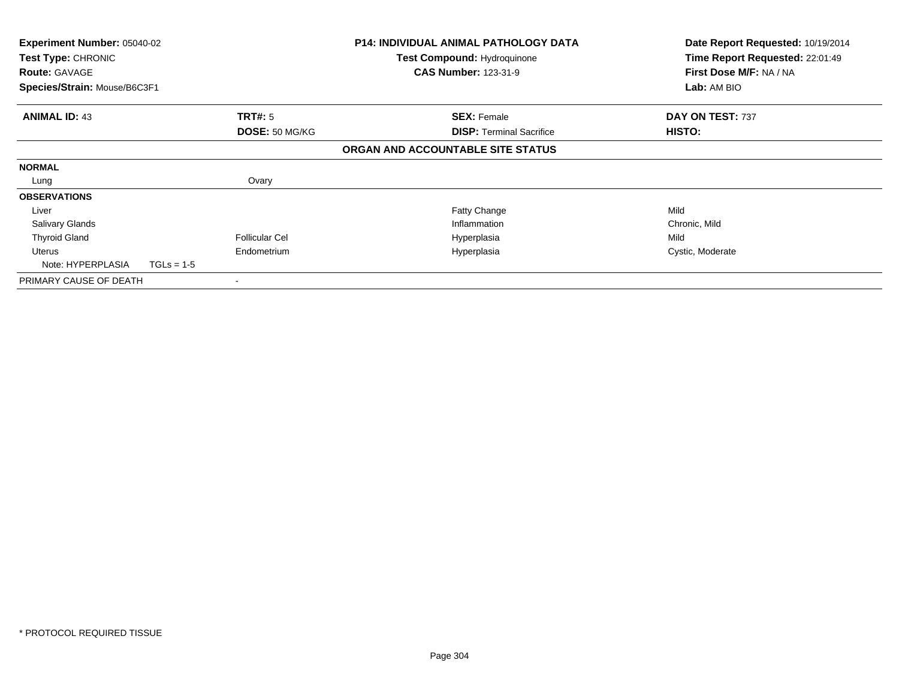| <b>Experiment Number: 05040-02</b><br>Test Type: CHRONIC<br><b>Route: GAVAGE</b> |              |                       | <b>P14: INDIVIDUAL ANIMAL PATHOLOGY DATA</b><br><b>Test Compound: Hydroquinone</b><br><b>CAS Number: 123-31-9</b> | Date Report Requested: 10/19/2014<br>Time Report Requested: 22:01:49<br>First Dose M/F: NA / NA |
|----------------------------------------------------------------------------------|--------------|-----------------------|-------------------------------------------------------------------------------------------------------------------|-------------------------------------------------------------------------------------------------|
| Species/Strain: Mouse/B6C3F1                                                     |              |                       |                                                                                                                   | Lab: AM BIO                                                                                     |
| <b>ANIMAL ID: 43</b>                                                             |              | <b>TRT#: 5</b>        | <b>SEX: Female</b>                                                                                                | DAY ON TEST: 737                                                                                |
|                                                                                  |              | DOSE: 50 MG/KG        | <b>DISP: Terminal Sacrifice</b>                                                                                   | HISTO:                                                                                          |
|                                                                                  |              |                       | ORGAN AND ACCOUNTABLE SITE STATUS                                                                                 |                                                                                                 |
| <b>NORMAL</b>                                                                    |              |                       |                                                                                                                   |                                                                                                 |
| Lung                                                                             |              | Ovary                 |                                                                                                                   |                                                                                                 |
| <b>OBSERVATIONS</b>                                                              |              |                       |                                                                                                                   |                                                                                                 |
| Liver                                                                            |              |                       | Fatty Change                                                                                                      | Mild                                                                                            |
| <b>Salivary Glands</b>                                                           |              |                       | Inflammation                                                                                                      | Chronic, Mild                                                                                   |
| <b>Thyroid Gland</b>                                                             |              | <b>Follicular Cel</b> | Hyperplasia                                                                                                       | Mild                                                                                            |
| Uterus                                                                           |              | Endometrium           | Hyperplasia                                                                                                       | Cystic, Moderate                                                                                |
| Note: HYPERPLASIA                                                                | $TGLs = 1-5$ |                       |                                                                                                                   |                                                                                                 |
| PRIMARY CAUSE OF DEATH                                                           |              | ۰                     |                                                                                                                   |                                                                                                 |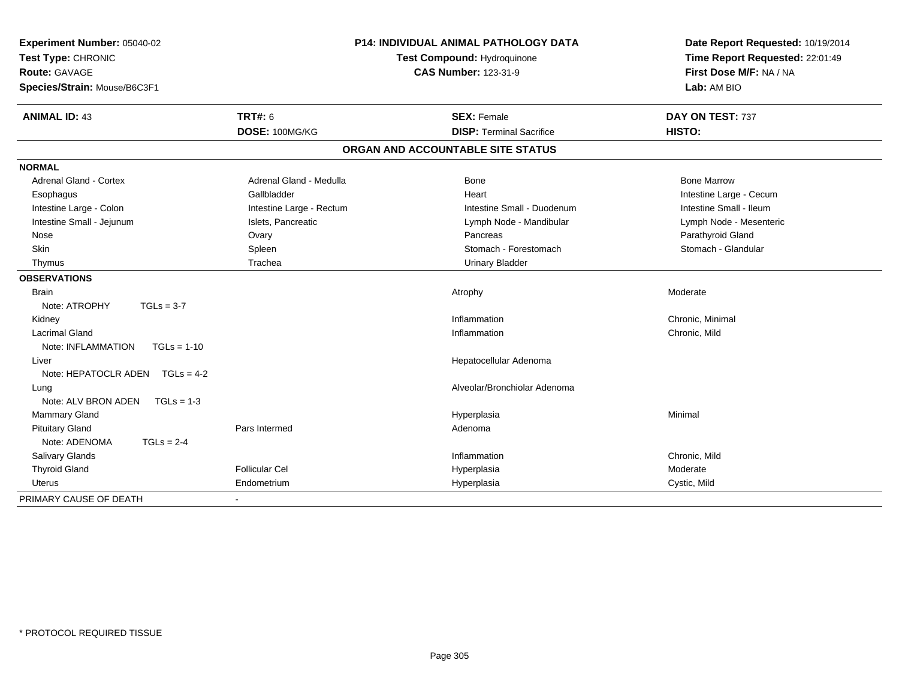| Experiment Number: 05040-02<br>Test Type: CHRONIC<br><b>Route: GAVAGE</b><br>Species/Strain: Mouse/B6C3F1 | <b>P14: INDIVIDUAL ANIMAL PATHOLOGY DATA</b><br>Test Compound: Hydroquinone<br><b>CAS Number: 123-31-9</b> |                                   | Date Report Requested: 10/19/2014<br>Time Report Requested: 22:01:49<br>First Dose M/F: NA / NA<br>Lab: AM BIO |  |
|-----------------------------------------------------------------------------------------------------------|------------------------------------------------------------------------------------------------------------|-----------------------------------|----------------------------------------------------------------------------------------------------------------|--|
| <b>ANIMAL ID: 43</b>                                                                                      | <b>TRT#: 6</b>                                                                                             | <b>SEX: Female</b>                | DAY ON TEST: 737                                                                                               |  |
|                                                                                                           | DOSE: 100MG/KG                                                                                             | <b>DISP: Terminal Sacrifice</b>   | HISTO:                                                                                                         |  |
|                                                                                                           |                                                                                                            | ORGAN AND ACCOUNTABLE SITE STATUS |                                                                                                                |  |
| <b>NORMAL</b>                                                                                             |                                                                                                            |                                   |                                                                                                                |  |
| <b>Adrenal Gland - Cortex</b>                                                                             | Adrenal Gland - Medulla                                                                                    | <b>Bone</b>                       | <b>Bone Marrow</b>                                                                                             |  |
| Esophagus                                                                                                 | Gallbladder                                                                                                | Heart                             | Intestine Large - Cecum                                                                                        |  |
| Intestine Large - Colon                                                                                   | Intestine Large - Rectum                                                                                   | Intestine Small - Duodenum        | Intestine Small - Ileum                                                                                        |  |
| Intestine Small - Jejunum                                                                                 | Islets, Pancreatic                                                                                         | Lymph Node - Mandibular           | Lymph Node - Mesenteric                                                                                        |  |
| Nose                                                                                                      | Ovary                                                                                                      | Pancreas                          | Parathyroid Gland                                                                                              |  |
| Skin                                                                                                      | Spleen                                                                                                     | Stomach - Forestomach             | Stomach - Glandular                                                                                            |  |
| Thymus                                                                                                    | Trachea                                                                                                    | Urinary Bladder                   |                                                                                                                |  |
| <b>OBSERVATIONS</b>                                                                                       |                                                                                                            |                                   |                                                                                                                |  |
| <b>Brain</b>                                                                                              |                                                                                                            | Atrophy                           | Moderate                                                                                                       |  |
| Note: ATROPHY<br>$TGLs = 3-7$                                                                             |                                                                                                            |                                   |                                                                                                                |  |
| Kidney                                                                                                    |                                                                                                            | Inflammation                      | Chronic, Minimal                                                                                               |  |
| <b>Lacrimal Gland</b>                                                                                     |                                                                                                            | Inflammation                      | Chronic, Mild                                                                                                  |  |
| Note: INFLAMMATION<br>$TGLs = 1-10$                                                                       |                                                                                                            |                                   |                                                                                                                |  |
| Liver                                                                                                     |                                                                                                            | Hepatocellular Adenoma            |                                                                                                                |  |
| Note: HEPATOCLR ADEN $TGLs = 4-2$                                                                         |                                                                                                            |                                   |                                                                                                                |  |
| Lung                                                                                                      |                                                                                                            | Alveolar/Bronchiolar Adenoma      |                                                                                                                |  |
| Note: ALV BRON ADEN<br>$TGLs = 1-3$                                                                       |                                                                                                            |                                   |                                                                                                                |  |
| Mammary Gland                                                                                             |                                                                                                            | Hyperplasia                       | Minimal                                                                                                        |  |
| <b>Pituitary Gland</b>                                                                                    | Pars Intermed                                                                                              | Adenoma                           |                                                                                                                |  |
| $TGLs = 2-4$<br>Note: ADENOMA                                                                             |                                                                                                            |                                   |                                                                                                                |  |
| <b>Salivary Glands</b>                                                                                    |                                                                                                            | Inflammation                      | Chronic, Mild                                                                                                  |  |
| <b>Thyroid Gland</b>                                                                                      | <b>Follicular Cel</b>                                                                                      | Hyperplasia                       | Moderate                                                                                                       |  |
| <b>Uterus</b>                                                                                             | Endometrium                                                                                                | Hyperplasia                       | Cystic, Mild                                                                                                   |  |
| PRIMARY CAUSE OF DEATH                                                                                    | $\blacksquare$                                                                                             |                                   |                                                                                                                |  |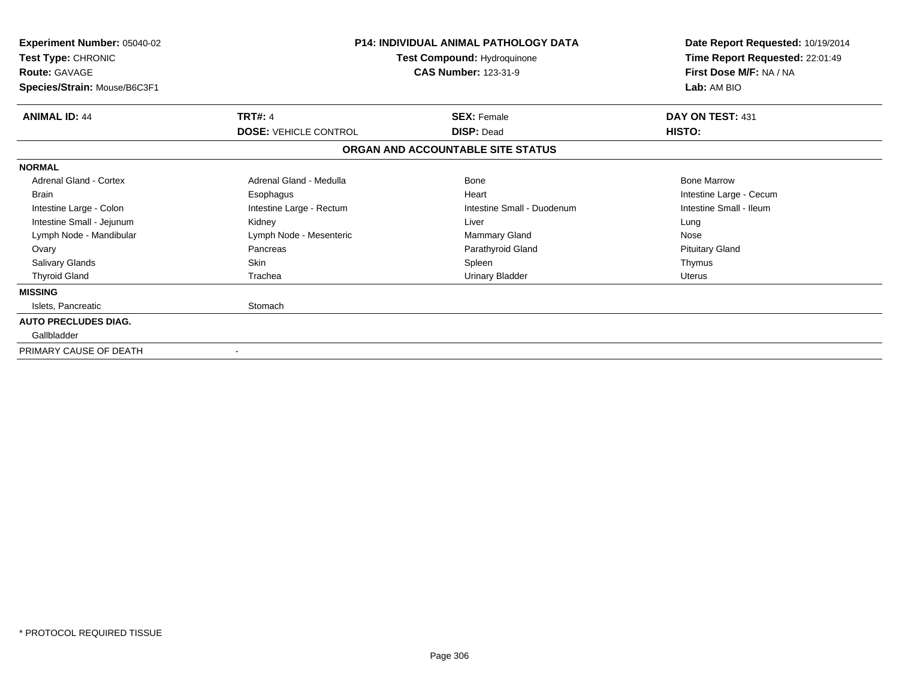| Experiment Number: 05040-02<br>Test Type: CHRONIC<br><b>Route: GAVAGE</b><br>Species/Strain: Mouse/B6C3F1 |                              | <b>P14: INDIVIDUAL ANIMAL PATHOLOGY DATA</b><br>Test Compound: Hydroquinone<br><b>CAS Number: 123-31-9</b> |                         |  |
|-----------------------------------------------------------------------------------------------------------|------------------------------|------------------------------------------------------------------------------------------------------------|-------------------------|--|
| <b>ANIMAL ID: 44</b>                                                                                      | <b>TRT#: 4</b>               | <b>SEX: Female</b>                                                                                         | DAY ON TEST: 431        |  |
|                                                                                                           | <b>DOSE: VEHICLE CONTROL</b> | <b>DISP: Dead</b>                                                                                          | <b>HISTO:</b>           |  |
|                                                                                                           |                              | ORGAN AND ACCOUNTABLE SITE STATUS                                                                          |                         |  |
| <b>NORMAL</b>                                                                                             |                              |                                                                                                            |                         |  |
| Adrenal Gland - Cortex                                                                                    | Adrenal Gland - Medulla      | <b>Bone</b>                                                                                                | <b>Bone Marrow</b>      |  |
| <b>Brain</b>                                                                                              | Esophagus                    | Heart                                                                                                      | Intestine Large - Cecum |  |
| Intestine Large - Colon                                                                                   | Intestine Large - Rectum     | Intestine Small - Duodenum                                                                                 | Intestine Small - Ileum |  |
| Intestine Small - Jejunum                                                                                 | Kidney                       | Liver                                                                                                      | Lung                    |  |
| Lymph Node - Mandibular                                                                                   | Lymph Node - Mesenteric      | <b>Mammary Gland</b>                                                                                       | Nose                    |  |
| Ovary                                                                                                     | Pancreas                     | Parathyroid Gland                                                                                          | <b>Pituitary Gland</b>  |  |
| <b>Salivary Glands</b>                                                                                    | Skin                         | Spleen                                                                                                     | Thymus                  |  |
| <b>Thyroid Gland</b>                                                                                      | Trachea                      | <b>Urinary Bladder</b>                                                                                     | <b>Uterus</b>           |  |
| <b>MISSING</b>                                                                                            |                              |                                                                                                            |                         |  |
| Islets, Pancreatic                                                                                        | Stomach                      |                                                                                                            |                         |  |
| <b>AUTO PRECLUDES DIAG.</b>                                                                               |                              |                                                                                                            |                         |  |
| Gallbladder                                                                                               |                              |                                                                                                            |                         |  |
| PRIMARY CAUSE OF DEATH                                                                                    |                              |                                                                                                            |                         |  |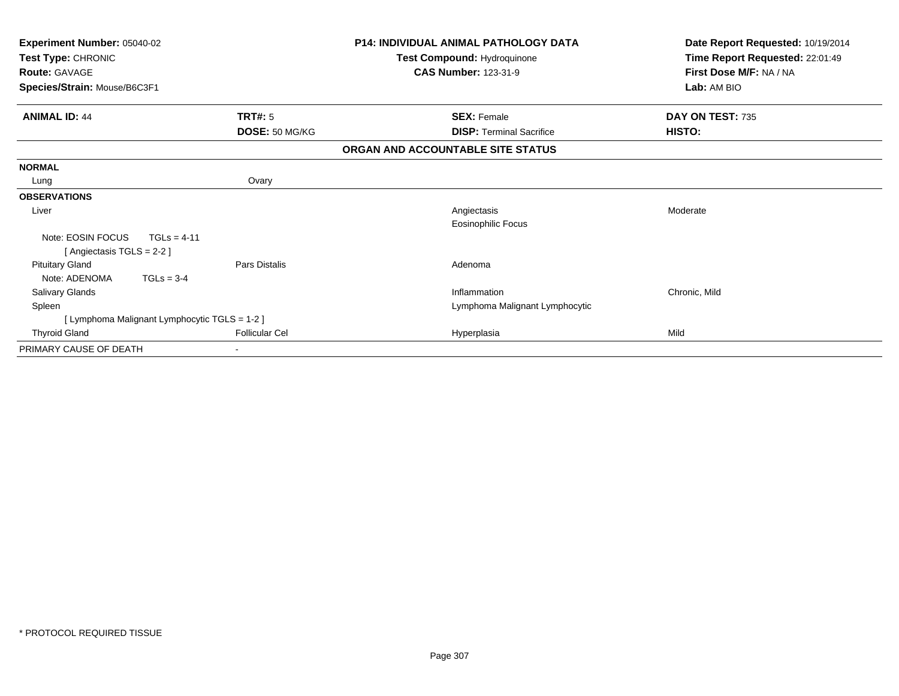| Experiment Number: 05040-02<br>Test Type: CHRONIC    |                                               |                       |                                   | <b>P14: INDIVIDUAL ANIMAL PATHOLOGY DATA</b><br>Test Compound: Hydroquinone | Date Report Requested: 10/19/2014<br>Time Report Requested: 22:01:49 |
|------------------------------------------------------|-----------------------------------------------|-----------------------|-----------------------------------|-----------------------------------------------------------------------------|----------------------------------------------------------------------|
| <b>Route: GAVAGE</b><br>Species/Strain: Mouse/B6C3F1 |                                               |                       | <b>CAS Number: 123-31-9</b>       |                                                                             | First Dose M/F: NA / NA<br>Lab: AM BIO                               |
| <b>ANIMAL ID: 44</b>                                 |                                               | <b>TRT#: 5</b>        |                                   | <b>SEX: Female</b>                                                          | DAY ON TEST: 735                                                     |
|                                                      |                                               | DOSE: 50 MG/KG        |                                   | <b>DISP:</b> Terminal Sacrifice                                             | HISTO:                                                               |
|                                                      |                                               |                       | ORGAN AND ACCOUNTABLE SITE STATUS |                                                                             |                                                                      |
| <b>NORMAL</b>                                        |                                               |                       |                                   |                                                                             |                                                                      |
| Lung                                                 |                                               | Ovary                 |                                   |                                                                             |                                                                      |
| <b>OBSERVATIONS</b>                                  |                                               |                       |                                   |                                                                             |                                                                      |
| Liver                                                |                                               |                       |                                   | Angiectasis<br>Eosinophilic Focus                                           | Moderate                                                             |
| Note: EOSIN FOCUS<br>[Angiectasis TGLS = 2-2]        | $TGLs = 4-11$                                 |                       |                                   |                                                                             |                                                                      |
| <b>Pituitary Gland</b><br>Note: ADENOMA              | $TGLs = 3-4$                                  | Pars Distalis         |                                   | Adenoma                                                                     |                                                                      |
| <b>Salivary Glands</b>                               |                                               |                       |                                   | Inflammation                                                                | Chronic, Mild                                                        |
| Spleen                                               |                                               |                       |                                   | Lymphoma Malignant Lymphocytic                                              |                                                                      |
|                                                      | [ Lymphoma Malignant Lymphocytic TGLS = 1-2 ] |                       |                                   |                                                                             |                                                                      |
| <b>Thyroid Gland</b>                                 |                                               | <b>Follicular Cel</b> |                                   | Hyperplasia                                                                 | Mild                                                                 |
| PRIMARY CAUSE OF DEATH                               |                                               |                       |                                   |                                                                             |                                                                      |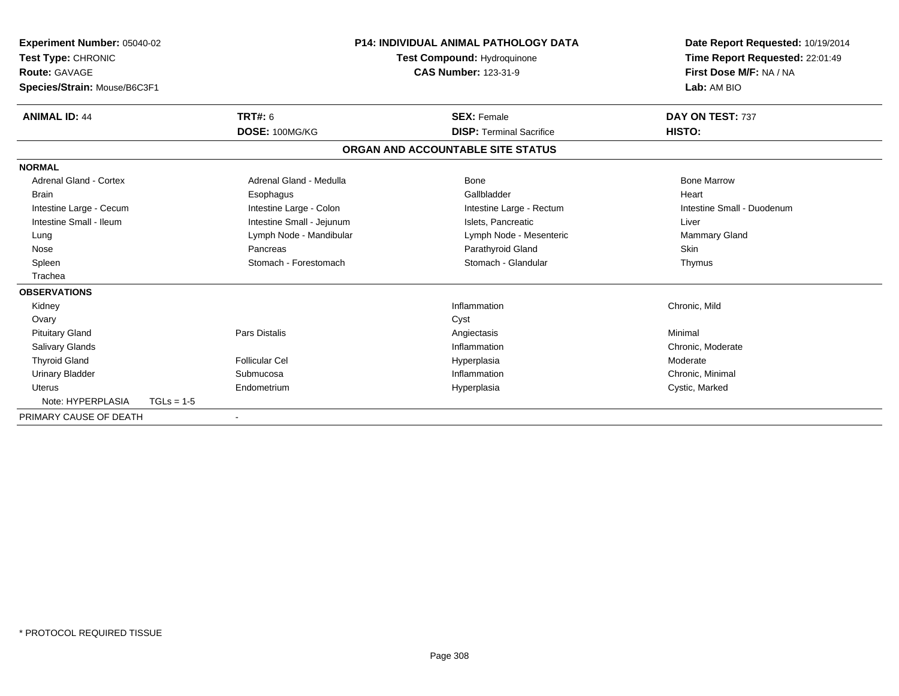| <b>Experiment Number: 05040-02</b><br>Test Type: CHRONIC<br><b>Route: GAVAGE</b><br>Species/Strain: Mouse/B6C3F1 |              |                           | <b>P14: INDIVIDUAL ANIMAL PATHOLOGY DATA</b><br>Test Compound: Hydroquinone<br><b>CAS Number: 123-31-9</b> |                                   |  | Date Report Requested: 10/19/2014<br>Time Report Requested: 22:01:49<br>First Dose M/F: NA / NA<br>Lab: AM BIO |  |
|------------------------------------------------------------------------------------------------------------------|--------------|---------------------------|------------------------------------------------------------------------------------------------------------|-----------------------------------|--|----------------------------------------------------------------------------------------------------------------|--|
| <b>ANIMAL ID: 44</b>                                                                                             |              | <b>TRT#: 6</b>            |                                                                                                            | <b>SEX: Female</b>                |  | DAY ON TEST: 737                                                                                               |  |
|                                                                                                                  |              | DOSE: 100MG/KG            |                                                                                                            | <b>DISP: Terminal Sacrifice</b>   |  | HISTO:                                                                                                         |  |
|                                                                                                                  |              |                           |                                                                                                            | ORGAN AND ACCOUNTABLE SITE STATUS |  |                                                                                                                |  |
| <b>NORMAL</b>                                                                                                    |              |                           |                                                                                                            |                                   |  |                                                                                                                |  |
| <b>Adrenal Gland - Cortex</b>                                                                                    |              | Adrenal Gland - Medulla   |                                                                                                            | Bone                              |  | <b>Bone Marrow</b>                                                                                             |  |
| <b>Brain</b>                                                                                                     |              | Esophagus                 |                                                                                                            | Gallbladder                       |  | Heart                                                                                                          |  |
| Intestine Large - Cecum                                                                                          |              | Intestine Large - Colon   |                                                                                                            | Intestine Large - Rectum          |  | Intestine Small - Duodenum                                                                                     |  |
| Intestine Small - Ileum                                                                                          |              | Intestine Small - Jejunum |                                                                                                            | Islets. Pancreatic                |  | Liver                                                                                                          |  |
| Lung                                                                                                             |              | Lymph Node - Mandibular   |                                                                                                            | Lymph Node - Mesenteric           |  | <b>Mammary Gland</b>                                                                                           |  |
| Nose                                                                                                             |              | Pancreas                  |                                                                                                            | Parathyroid Gland                 |  | Skin                                                                                                           |  |
| Spleen                                                                                                           |              | Stomach - Forestomach     |                                                                                                            | Stomach - Glandular               |  | Thymus                                                                                                         |  |
| Trachea                                                                                                          |              |                           |                                                                                                            |                                   |  |                                                                                                                |  |
| <b>OBSERVATIONS</b>                                                                                              |              |                           |                                                                                                            |                                   |  |                                                                                                                |  |
| Kidney                                                                                                           |              |                           |                                                                                                            | Inflammation                      |  | Chronic, Mild                                                                                                  |  |
| Ovary                                                                                                            |              |                           |                                                                                                            | Cyst                              |  |                                                                                                                |  |
| <b>Pituitary Gland</b>                                                                                           |              | Pars Distalis             |                                                                                                            | Angiectasis                       |  | Minimal                                                                                                        |  |
| <b>Salivary Glands</b>                                                                                           |              |                           |                                                                                                            | Inflammation                      |  | Chronic, Moderate                                                                                              |  |
| <b>Thyroid Gland</b>                                                                                             |              | <b>Follicular Cel</b>     |                                                                                                            | Hyperplasia                       |  | Moderate                                                                                                       |  |
| <b>Urinary Bladder</b>                                                                                           |              | Submucosa                 |                                                                                                            | Inflammation                      |  | Chronic, Minimal                                                                                               |  |
| Uterus                                                                                                           |              | Endometrium               |                                                                                                            | Hyperplasia                       |  | Cystic, Marked                                                                                                 |  |
| Note: HYPERPLASIA                                                                                                | $TGLs = 1-5$ |                           |                                                                                                            |                                   |  |                                                                                                                |  |
| PRIMARY CAUSE OF DEATH                                                                                           |              |                           |                                                                                                            |                                   |  |                                                                                                                |  |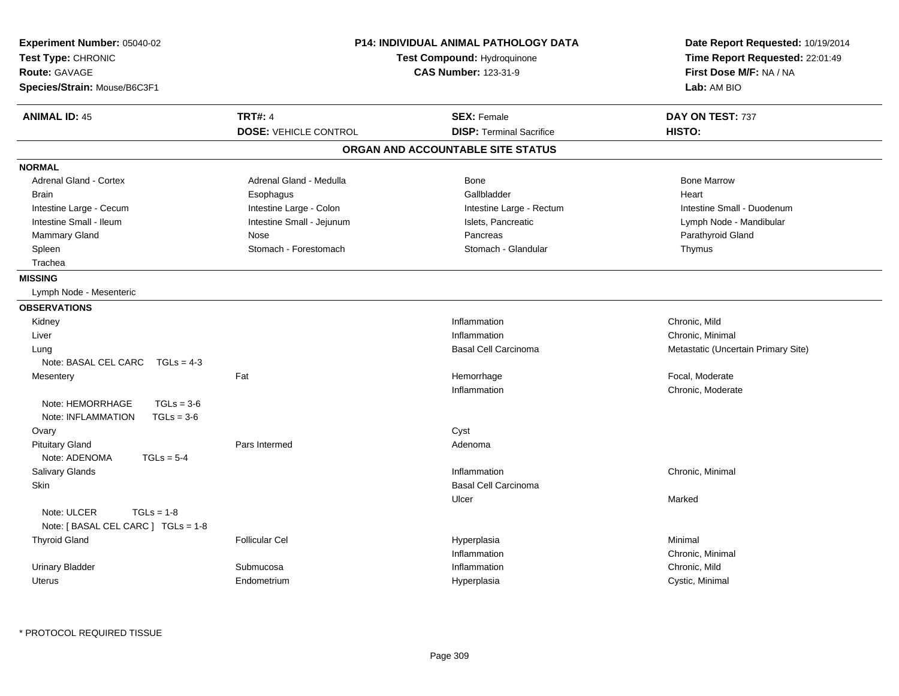| Experiment Number: 05040-02<br>Test Type: CHRONIC<br><b>Route: GAVAGE</b><br>Species/Strain: Mouse/B6C3F1 | <b>P14: INDIVIDUAL ANIMAL PATHOLOGY DATA</b><br>Test Compound: Hydroquinone<br><b>CAS Number: 123-31-9</b> |                                   | Date Report Requested: 10/19/2014<br>Time Report Requested: 22:01:49<br>First Dose M/F: NA / NA<br>Lab: AM BIO |  |
|-----------------------------------------------------------------------------------------------------------|------------------------------------------------------------------------------------------------------------|-----------------------------------|----------------------------------------------------------------------------------------------------------------|--|
| <b>ANIMAL ID: 45</b>                                                                                      | <b>TRT#: 4</b>                                                                                             | <b>SEX: Female</b>                | DAY ON TEST: 737                                                                                               |  |
|                                                                                                           | <b>DOSE: VEHICLE CONTROL</b>                                                                               | <b>DISP: Terminal Sacrifice</b>   | HISTO:                                                                                                         |  |
|                                                                                                           |                                                                                                            | ORGAN AND ACCOUNTABLE SITE STATUS |                                                                                                                |  |
| <b>NORMAL</b>                                                                                             |                                                                                                            |                                   |                                                                                                                |  |
| Adrenal Gland - Cortex                                                                                    | Adrenal Gland - Medulla                                                                                    | Bone                              | <b>Bone Marrow</b>                                                                                             |  |
| <b>Brain</b>                                                                                              | Esophagus                                                                                                  | Gallbladder                       | Heart                                                                                                          |  |
| Intestine Large - Cecum                                                                                   | Intestine Large - Colon                                                                                    | Intestine Large - Rectum          | Intestine Small - Duodenum                                                                                     |  |
| Intestine Small - Ileum                                                                                   | Intestine Small - Jejunum                                                                                  | Islets, Pancreatic                | Lymph Node - Mandibular                                                                                        |  |
| <b>Mammary Gland</b>                                                                                      | Nose                                                                                                       | Pancreas                          | Parathyroid Gland                                                                                              |  |
| Spleen                                                                                                    | Stomach - Forestomach                                                                                      | Stomach - Glandular               | Thymus                                                                                                         |  |
| Trachea                                                                                                   |                                                                                                            |                                   |                                                                                                                |  |
| <b>MISSING</b>                                                                                            |                                                                                                            |                                   |                                                                                                                |  |
| Lymph Node - Mesenteric                                                                                   |                                                                                                            |                                   |                                                                                                                |  |
| <b>OBSERVATIONS</b>                                                                                       |                                                                                                            |                                   |                                                                                                                |  |
| Kidney                                                                                                    |                                                                                                            | Inflammation                      | Chronic, Mild                                                                                                  |  |
| Liver                                                                                                     |                                                                                                            | Inflammation                      | Chronic, Minimal                                                                                               |  |
| Lung                                                                                                      |                                                                                                            | <b>Basal Cell Carcinoma</b>       | Metastatic (Uncertain Primary Site)                                                                            |  |
| Note: BASAL CEL CARC<br>$TGLS = 4-3$                                                                      |                                                                                                            |                                   |                                                                                                                |  |
| Mesentery                                                                                                 | Fat                                                                                                        | Hemorrhage                        | Focal, Moderate                                                                                                |  |
|                                                                                                           |                                                                                                            | Inflammation                      | Chronic, Moderate                                                                                              |  |
| Note: HEMORRHAGE<br>$TGLs = 3-6$<br>$TGLs = 3-6$<br>Note: INFLAMMATION                                    |                                                                                                            |                                   |                                                                                                                |  |
| Ovary                                                                                                     |                                                                                                            | Cyst                              |                                                                                                                |  |
| <b>Pituitary Gland</b><br>Note: ADENOMA<br>$TGLs = 5-4$                                                   | Pars Intermed                                                                                              | Adenoma                           |                                                                                                                |  |
| Salivary Glands                                                                                           |                                                                                                            | Inflammation                      | Chronic, Minimal                                                                                               |  |
| Skin                                                                                                      |                                                                                                            | <b>Basal Cell Carcinoma</b>       |                                                                                                                |  |
|                                                                                                           |                                                                                                            | Ulcer                             | Marked                                                                                                         |  |
| Note: ULCER<br>$TGLs = 1-8$<br>Note: [ BASAL CEL CARC ] TGLs = 1-8                                        |                                                                                                            |                                   |                                                                                                                |  |
| <b>Thyroid Gland</b>                                                                                      | <b>Follicular Cel</b>                                                                                      | Hyperplasia                       | Minimal                                                                                                        |  |
|                                                                                                           |                                                                                                            | Inflammation                      | Chronic, Minimal                                                                                               |  |
| <b>Urinary Bladder</b>                                                                                    | Submucosa                                                                                                  | Inflammation                      | Chronic, Mild                                                                                                  |  |
| <b>Uterus</b>                                                                                             | Endometrium                                                                                                | Hyperplasia                       | Cystic, Minimal                                                                                                |  |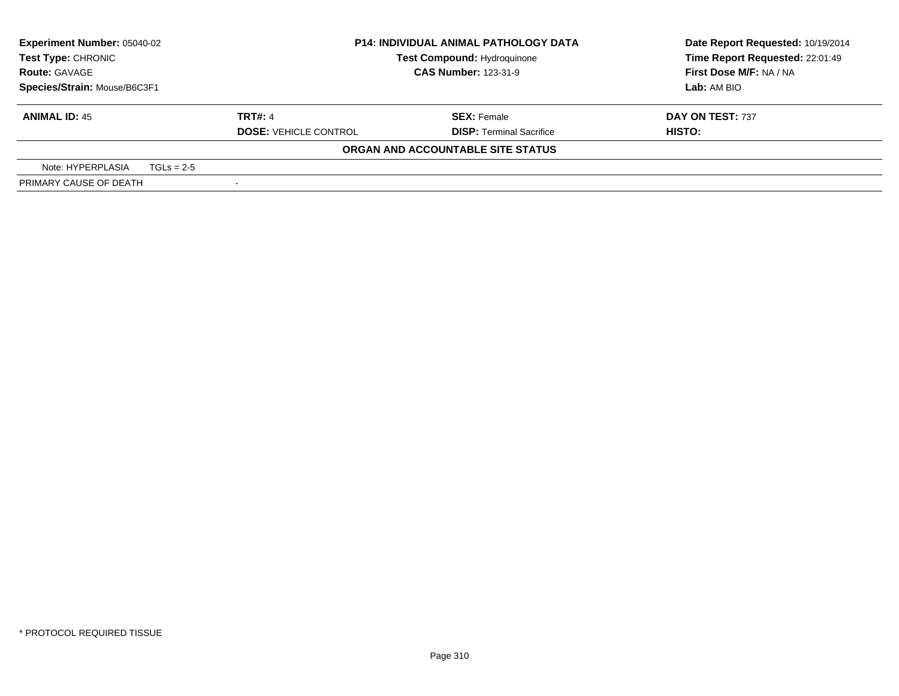| <b>Experiment Number: 05040-02</b> |              |                              | <b>P14: INDIVIDUAL ANIMAL PATHOLOGY DATA</b> | Date Report Requested: 10/19/2014 |
|------------------------------------|--------------|------------------------------|----------------------------------------------|-----------------------------------|
| Test Type: CHRONIC                 |              |                              | Test Compound: Hydroquinone                  | Time Report Requested: 22:01:49   |
| <b>Route: GAVAGE</b>               |              | <b>CAS Number: 123-31-9</b>  |                                              | First Dose M/F: NA / NA           |
| Species/Strain: Mouse/B6C3F1       |              |                              |                                              | Lab: AM BIO                       |
| <b>ANIMAL ID: 45</b>               |              | <b>TRT#: 4</b>               | <b>SEX: Female</b>                           | DAY ON TEST: 737                  |
|                                    |              | <b>DOSE: VEHICLE CONTROL</b> | <b>DISP: Terminal Sacrifice</b>              | HISTO:                            |
|                                    |              |                              | ORGAN AND ACCOUNTABLE SITE STATUS            |                                   |
| Note: HYPERPLASIA                  | $TGLs = 2-5$ |                              |                                              |                                   |
| PRIMARY CAUSE OF DEATH             |              |                              |                                              |                                   |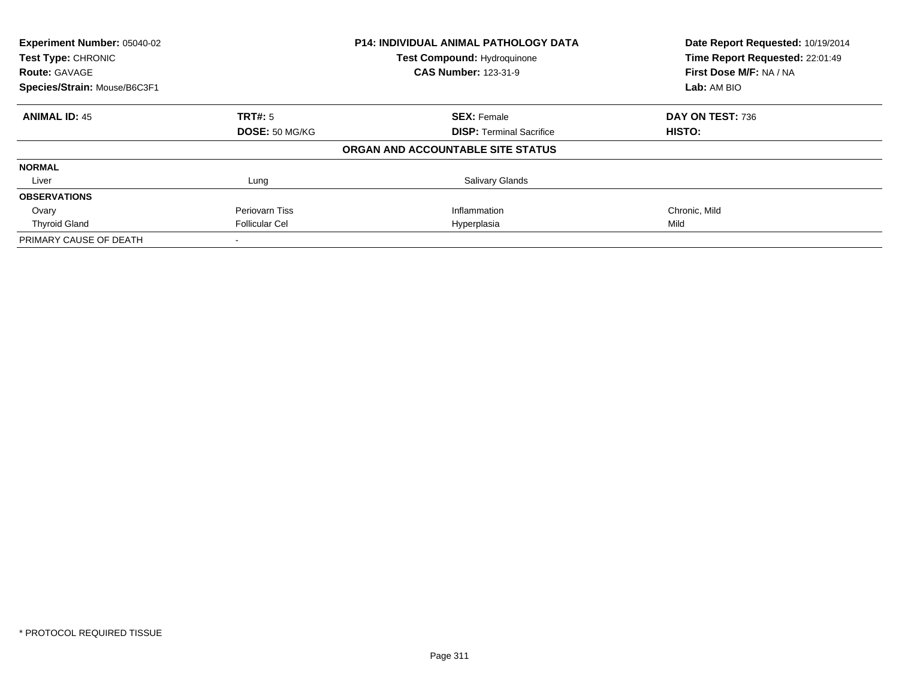| Experiment Number: 05040-02  |                       | <b>P14: INDIVIDUAL ANIMAL PATHOLOGY DATA</b> | Date Report Requested: 10/19/2014 |  |
|------------------------------|-----------------------|----------------------------------------------|-----------------------------------|--|
| Test Type: CHRONIC           |                       | <b>Test Compound: Hydroquinone</b>           | Time Report Requested: 22:01:49   |  |
| <b>Route: GAVAGE</b>         |                       | <b>CAS Number: 123-31-9</b>                  | First Dose M/F: NA / NA           |  |
| Species/Strain: Mouse/B6C3F1 |                       |                                              | Lab: AM BIO                       |  |
| <b>ANIMAL ID: 45</b>         | TRT#: 5               | <b>SEX: Female</b>                           | DAY ON TEST: 736                  |  |
|                              | DOSE: 50 MG/KG        | <b>DISP:</b> Terminal Sacrifice              | HISTO:                            |  |
|                              |                       | ORGAN AND ACCOUNTABLE SITE STATUS            |                                   |  |
| <b>NORMAL</b>                |                       |                                              |                                   |  |
| Liver                        | Lung                  | <b>Salivary Glands</b>                       |                                   |  |
| <b>OBSERVATIONS</b>          |                       |                                              |                                   |  |
| Ovary                        | Periovarn Tiss        | Inflammation                                 | Chronic, Mild                     |  |
| <b>Thyroid Gland</b>         | <b>Follicular Cel</b> | Hyperplasia                                  | Mild                              |  |
| PRIMARY CAUSE OF DEATH       |                       |                                              |                                   |  |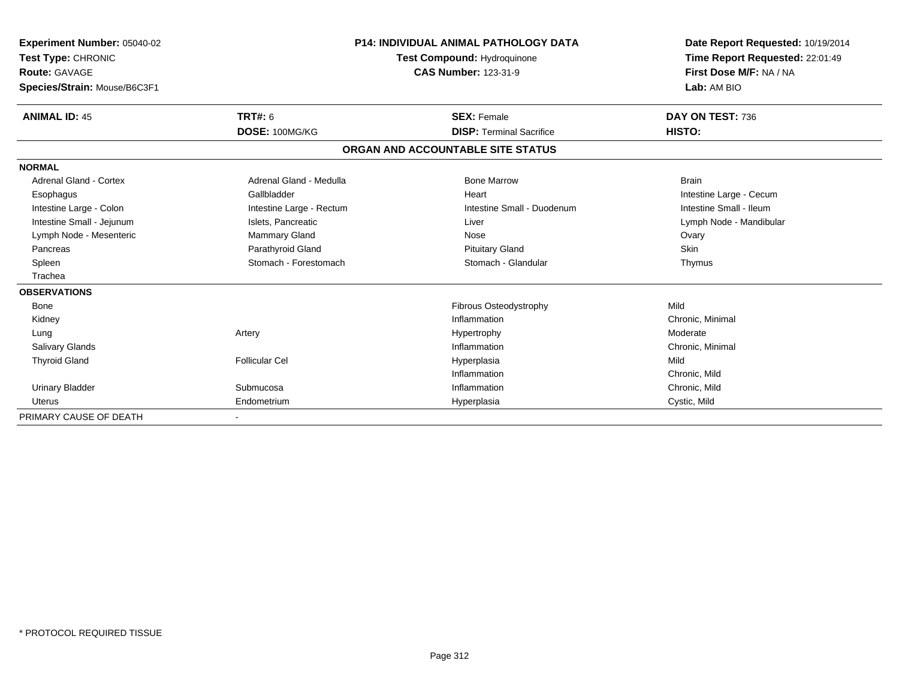| Experiment Number: 05040-02<br>Test Type: CHRONIC<br><b>Route: GAVAGE</b> |                          | <b>P14: INDIVIDUAL ANIMAL PATHOLOGY DATA</b><br>Test Compound: Hydroquinone<br><b>CAS Number: 123-31-9</b> | Date Report Requested: 10/19/2014<br>Time Report Requested: 22:01:49<br>First Dose M/F: NA / NA |  |
|---------------------------------------------------------------------------|--------------------------|------------------------------------------------------------------------------------------------------------|-------------------------------------------------------------------------------------------------|--|
| Species/Strain: Mouse/B6C3F1                                              |                          |                                                                                                            | Lab: AM BIO                                                                                     |  |
| <b>ANIMAL ID: 45</b>                                                      | <b>TRT#: 6</b>           | <b>SEX: Female</b>                                                                                         | DAY ON TEST: 736                                                                                |  |
|                                                                           | DOSE: 100MG/KG           | <b>DISP: Terminal Sacrifice</b>                                                                            | HISTO:                                                                                          |  |
|                                                                           |                          | ORGAN AND ACCOUNTABLE SITE STATUS                                                                          |                                                                                                 |  |
| <b>NORMAL</b>                                                             |                          |                                                                                                            |                                                                                                 |  |
| <b>Adrenal Gland - Cortex</b>                                             | Adrenal Gland - Medulla  | <b>Bone Marrow</b>                                                                                         | <b>Brain</b>                                                                                    |  |
| Esophagus                                                                 | Gallbladder              | Heart                                                                                                      | Intestine Large - Cecum                                                                         |  |
| Intestine Large - Colon                                                   | Intestine Large - Rectum | Intestine Small - Duodenum                                                                                 | Intestine Small - Ileum                                                                         |  |
| Intestine Small - Jejunum                                                 | Islets, Pancreatic       | Liver                                                                                                      | Lymph Node - Mandibular                                                                         |  |
| Lymph Node - Mesenteric                                                   | <b>Mammary Gland</b>     | Nose                                                                                                       | Ovary                                                                                           |  |
| Pancreas                                                                  | Parathyroid Gland        | <b>Pituitary Gland</b>                                                                                     | <b>Skin</b>                                                                                     |  |
| Spleen                                                                    | Stomach - Forestomach    | Stomach - Glandular                                                                                        | Thymus                                                                                          |  |
| Trachea                                                                   |                          |                                                                                                            |                                                                                                 |  |
| <b>OBSERVATIONS</b>                                                       |                          |                                                                                                            |                                                                                                 |  |
| <b>Bone</b>                                                               |                          | Fibrous Osteodystrophy                                                                                     | Mild                                                                                            |  |
| Kidney                                                                    |                          | Inflammation                                                                                               | Chronic, Minimal                                                                                |  |
| Lung                                                                      | Artery                   | Hypertrophy                                                                                                | Moderate                                                                                        |  |
| <b>Salivary Glands</b>                                                    |                          | Inflammation                                                                                               | Chronic, Minimal                                                                                |  |
| <b>Thyroid Gland</b>                                                      | <b>Follicular Cel</b>    | Hyperplasia                                                                                                | Mild                                                                                            |  |
|                                                                           |                          | Inflammation                                                                                               | Chronic, Mild                                                                                   |  |
| <b>Urinary Bladder</b>                                                    | Submucosa                | Inflammation                                                                                               | Chronic, Mild                                                                                   |  |
| Uterus                                                                    | Endometrium              | Hyperplasia                                                                                                | Cystic, Mild                                                                                    |  |
| PRIMARY CAUSE OF DEATH                                                    |                          |                                                                                                            |                                                                                                 |  |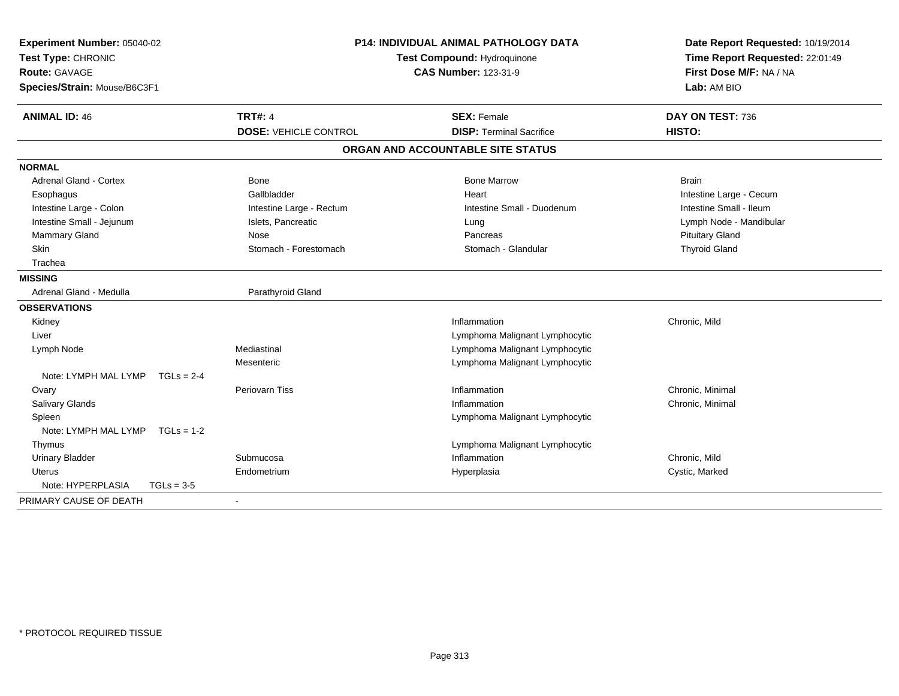| Experiment Number: 05040-02<br>Test Type: CHRONIC<br><b>Route: GAVAGE</b><br>Species/Strain: Mouse/B6C3F1 | <b>P14: INDIVIDUAL ANIMAL PATHOLOGY DATA</b><br>Test Compound: Hydroquinone<br><b>CAS Number: 123-31-9</b> |                                   | Date Report Requested: 10/19/2014<br>Time Report Requested: 22:01:49<br>First Dose M/F: NA / NA<br>Lab: AM BIO |  |
|-----------------------------------------------------------------------------------------------------------|------------------------------------------------------------------------------------------------------------|-----------------------------------|----------------------------------------------------------------------------------------------------------------|--|
| <b>ANIMAL ID: 46</b>                                                                                      | <b>TRT#: 4</b>                                                                                             | <b>SEX: Female</b>                | DAY ON TEST: 736                                                                                               |  |
|                                                                                                           | <b>DOSE: VEHICLE CONTROL</b>                                                                               | <b>DISP: Terminal Sacrifice</b>   | HISTO:                                                                                                         |  |
|                                                                                                           |                                                                                                            | ORGAN AND ACCOUNTABLE SITE STATUS |                                                                                                                |  |
| <b>NORMAL</b>                                                                                             |                                                                                                            |                                   |                                                                                                                |  |
| <b>Adrenal Gland - Cortex</b>                                                                             | Bone                                                                                                       | <b>Bone Marrow</b>                | <b>Brain</b>                                                                                                   |  |
| Esophagus                                                                                                 | Gallbladder                                                                                                | Heart                             | Intestine Large - Cecum                                                                                        |  |
| Intestine Large - Colon                                                                                   | Intestine Large - Rectum                                                                                   | Intestine Small - Duodenum        | Intestine Small - Ileum                                                                                        |  |
| Intestine Small - Jejunum                                                                                 | Islets, Pancreatic                                                                                         | Lung                              | Lymph Node - Mandibular                                                                                        |  |
| Mammary Gland                                                                                             | Nose                                                                                                       | Pancreas                          | <b>Pituitary Gland</b>                                                                                         |  |
| Skin                                                                                                      | Stomach - Forestomach                                                                                      | Stomach - Glandular               | <b>Thyroid Gland</b>                                                                                           |  |
| Trachea                                                                                                   |                                                                                                            |                                   |                                                                                                                |  |
| <b>MISSING</b>                                                                                            |                                                                                                            |                                   |                                                                                                                |  |
| Adrenal Gland - Medulla                                                                                   | Parathyroid Gland                                                                                          |                                   |                                                                                                                |  |
| <b>OBSERVATIONS</b>                                                                                       |                                                                                                            |                                   |                                                                                                                |  |
| Kidney                                                                                                    |                                                                                                            | Inflammation                      | Chronic, Mild                                                                                                  |  |
| Liver                                                                                                     |                                                                                                            | Lymphoma Malignant Lymphocytic    |                                                                                                                |  |
| Lymph Node                                                                                                | Mediastinal                                                                                                | Lymphoma Malignant Lymphocytic    |                                                                                                                |  |
|                                                                                                           | Mesenteric                                                                                                 | Lymphoma Malignant Lymphocytic    |                                                                                                                |  |
| Note: LYMPH MAL LYMP<br>$TGLs = 2-4$                                                                      |                                                                                                            |                                   |                                                                                                                |  |
| Ovary                                                                                                     | <b>Periovarn Tiss</b>                                                                                      | Inflammation                      | Chronic, Minimal                                                                                               |  |
| <b>Salivary Glands</b>                                                                                    |                                                                                                            | Inflammation                      | Chronic, Minimal                                                                                               |  |
| Spleen                                                                                                    |                                                                                                            | Lymphoma Malignant Lymphocytic    |                                                                                                                |  |
| Note: LYMPH MAL LYMP TGLs = 1-2                                                                           |                                                                                                            |                                   |                                                                                                                |  |
| Thymus                                                                                                    |                                                                                                            | Lymphoma Malignant Lymphocytic    |                                                                                                                |  |
| <b>Urinary Bladder</b>                                                                                    | Submucosa                                                                                                  | Inflammation                      | Chronic, Mild                                                                                                  |  |
| Uterus                                                                                                    | Endometrium                                                                                                | Hyperplasia                       | Cystic, Marked                                                                                                 |  |
| Note: HYPERPLASIA<br>$TGLs = 3-5$                                                                         |                                                                                                            |                                   |                                                                                                                |  |
| PRIMARY CAUSE OF DEATH                                                                                    | $\blacksquare$                                                                                             |                                   |                                                                                                                |  |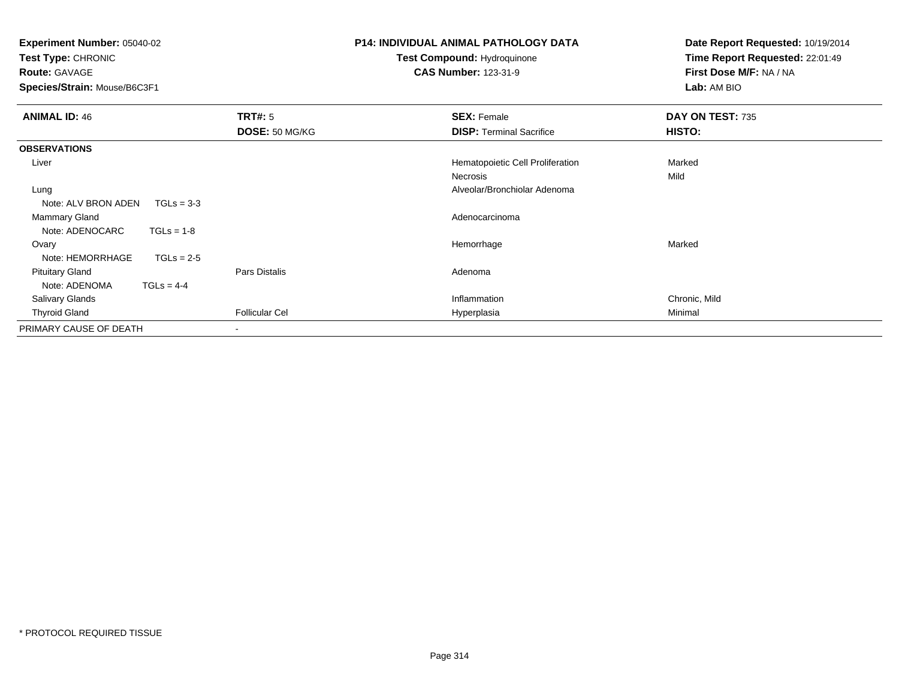| <b>Experiment Number: 05040-02</b><br>Test Type: CHRONIC<br><b>Route: GAVAGE</b><br>Species/Strain: Mouse/B6C3F1 |                           | <b>P14: INDIVIDUAL ANIMAL PATHOLOGY DATA</b><br><b>Test Compound: Hydroquinone</b><br><b>CAS Number: 123-31-9</b> | Date Report Requested: 10/19/2014<br>Time Report Requested: 22:01:49<br>First Dose M/F: NA / NA<br>Lab: AM BIO |  |
|------------------------------------------------------------------------------------------------------------------|---------------------------|-------------------------------------------------------------------------------------------------------------------|----------------------------------------------------------------------------------------------------------------|--|
| <b>ANIMAL ID: 46</b>                                                                                             | TRT#: 5<br>DOSE: 50 MG/KG | <b>SEX: Female</b><br><b>DISP:</b> Terminal Sacrifice                                                             | DAY ON TEST: 735<br>HISTO:                                                                                     |  |
| <b>OBSERVATIONS</b>                                                                                              |                           |                                                                                                                   |                                                                                                                |  |
| Liver                                                                                                            |                           | Hematopoietic Cell Proliferation                                                                                  | Marked                                                                                                         |  |
|                                                                                                                  |                           | Necrosis                                                                                                          | Mild                                                                                                           |  |
| Lung                                                                                                             |                           | Alveolar/Bronchiolar Adenoma                                                                                      |                                                                                                                |  |
| Note: ALV BRON ADEN<br>$TGLs = 3-3$                                                                              |                           |                                                                                                                   |                                                                                                                |  |
| <b>Mammary Gland</b>                                                                                             |                           | Adenocarcinoma                                                                                                    |                                                                                                                |  |
| Note: ADENOCARC<br>$TGLs = 1-8$                                                                                  |                           |                                                                                                                   |                                                                                                                |  |
| Ovary                                                                                                            |                           | Hemorrhage                                                                                                        | Marked                                                                                                         |  |
| Note: HEMORRHAGE<br>$TGLs = 2-5$                                                                                 |                           |                                                                                                                   |                                                                                                                |  |
| <b>Pituitary Gland</b>                                                                                           | Pars Distalis             | Adenoma                                                                                                           |                                                                                                                |  |
| Note: ADENOMA<br>$TGLs = 4-4$                                                                                    |                           |                                                                                                                   |                                                                                                                |  |
| <b>Salivary Glands</b>                                                                                           |                           | Inflammation                                                                                                      | Chronic, Mild                                                                                                  |  |
| <b>Thyroid Gland</b>                                                                                             | <b>Follicular Cel</b>     | Hyperplasia                                                                                                       | Minimal                                                                                                        |  |
| PRIMARY CAUSE OF DEATH                                                                                           |                           |                                                                                                                   |                                                                                                                |  |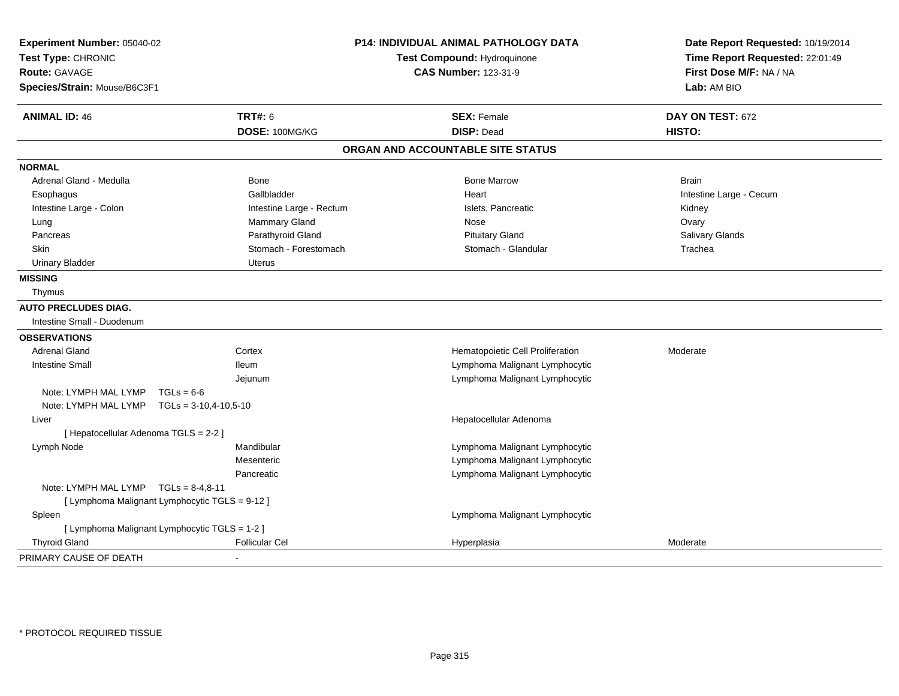| Experiment Number: 05040-02<br>Test Type: CHRONIC |                          | <b>P14: INDIVIDUAL ANIMAL PATHOLOGY DATA</b><br>Test Compound: Hydroquinone | Date Report Requested: 10/19/2014<br>Time Report Requested: 22:01:49 |  |
|---------------------------------------------------|--------------------------|-----------------------------------------------------------------------------|----------------------------------------------------------------------|--|
| <b>Route: GAVAGE</b>                              |                          | <b>CAS Number: 123-31-9</b>                                                 | First Dose M/F: NA / NA                                              |  |
| Species/Strain: Mouse/B6C3F1                      |                          |                                                                             | Lab: AM BIO                                                          |  |
| <b>ANIMAL ID: 46</b>                              | <b>TRT#: 6</b>           | <b>SEX: Female</b>                                                          | DAY ON TEST: 672                                                     |  |
|                                                   | DOSE: 100MG/KG           | <b>DISP: Dead</b>                                                           | HISTO:                                                               |  |
|                                                   |                          | ORGAN AND ACCOUNTABLE SITE STATUS                                           |                                                                      |  |
| <b>NORMAL</b>                                     |                          |                                                                             |                                                                      |  |
| Adrenal Gland - Medulla                           | Bone                     | <b>Bone Marrow</b>                                                          | <b>Brain</b>                                                         |  |
| Esophagus                                         | Gallbladder              | Heart                                                                       | Intestine Large - Cecum                                              |  |
| Intestine Large - Colon                           | Intestine Large - Rectum | Islets, Pancreatic                                                          | Kidney                                                               |  |
| Lung                                              | Mammary Gland            | Nose                                                                        | Ovary                                                                |  |
| Pancreas                                          | Parathyroid Gland        | <b>Pituitary Gland</b>                                                      | <b>Salivary Glands</b>                                               |  |
| <b>Skin</b>                                       | Stomach - Forestomach    | Stomach - Glandular                                                         | Trachea                                                              |  |
| <b>Urinary Bladder</b>                            | <b>Uterus</b>            |                                                                             |                                                                      |  |
| <b>MISSING</b>                                    |                          |                                                                             |                                                                      |  |
| Thymus                                            |                          |                                                                             |                                                                      |  |
| <b>AUTO PRECLUDES DIAG.</b>                       |                          |                                                                             |                                                                      |  |
| Intestine Small - Duodenum                        |                          |                                                                             |                                                                      |  |
| <b>OBSERVATIONS</b>                               |                          |                                                                             |                                                                      |  |
| <b>Adrenal Gland</b>                              | Cortex                   | Hematopoietic Cell Proliferation                                            | Moderate                                                             |  |
| <b>Intestine Small</b>                            | <b>Ileum</b>             | Lymphoma Malignant Lymphocytic                                              |                                                                      |  |
|                                                   | Jejunum                  | Lymphoma Malignant Lymphocytic                                              |                                                                      |  |
| Note: LYMPH MAL LYMP<br>$TGLs = 6-6$              |                          |                                                                             |                                                                      |  |
| Note: LYMPH MAL LYMP $TGLs = 3-10,4-10,5-10$      |                          |                                                                             |                                                                      |  |
| Liver                                             |                          | Hepatocellular Adenoma                                                      |                                                                      |  |
| [ Hepatocellular Adenoma TGLS = 2-2 ]             |                          |                                                                             |                                                                      |  |
| Lymph Node                                        | Mandibular               | Lymphoma Malignant Lymphocytic                                              |                                                                      |  |
|                                                   | Mesenteric               | Lymphoma Malignant Lymphocytic                                              |                                                                      |  |
|                                                   | Pancreatic               | Lymphoma Malignant Lymphocytic                                              |                                                                      |  |
| Note: LYMPH MAL LYMP $TGLs = 8-4,8-11$            |                          |                                                                             |                                                                      |  |
| [ Lymphoma Malignant Lymphocytic TGLS = 9-12 ]    |                          |                                                                             |                                                                      |  |
| Spleen                                            |                          | Lymphoma Malignant Lymphocytic                                              |                                                                      |  |
| [ Lymphoma Malignant Lymphocytic TGLS = 1-2 ]     |                          |                                                                             |                                                                      |  |
| <b>Thyroid Gland</b>                              | <b>Follicular Cel</b>    | Hyperplasia                                                                 | Moderate                                                             |  |
| PRIMARY CAUSE OF DEATH                            | ÷                        |                                                                             |                                                                      |  |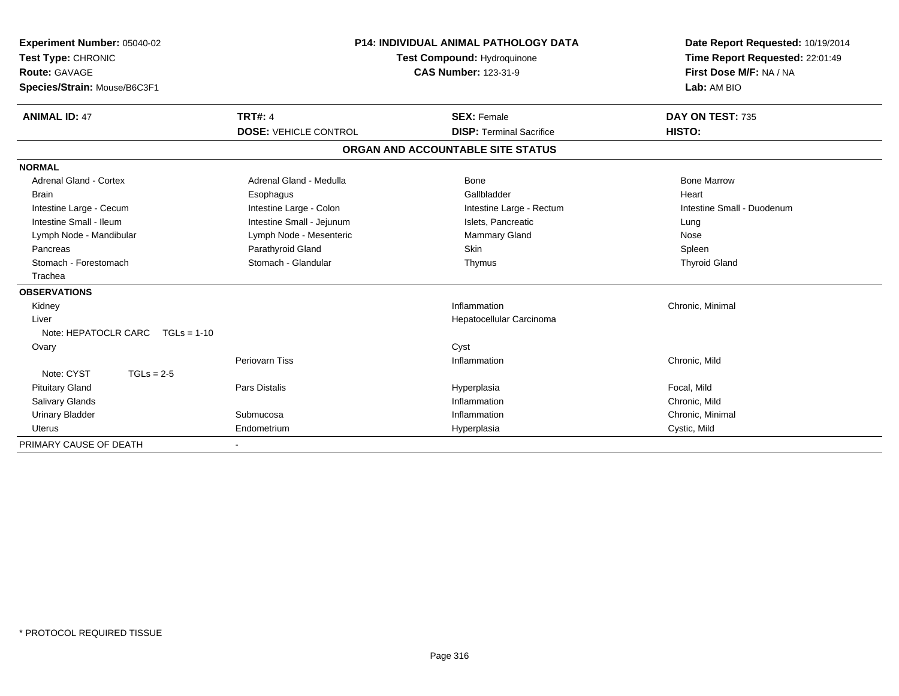| Experiment Number: 05040-02<br>Test Type: CHRONIC<br>Route: GAVAGE<br>Species/Strain: Mouse/B6C3F1 | <b>P14: INDIVIDUAL ANIMAL PATHOLOGY DATA</b><br>Test Compound: Hydroquinone<br><b>CAS Number: 123-31-9</b> |                                   | Date Report Requested: 10/19/2014<br>Time Report Requested: 22:01:49<br>First Dose M/F: NA / NA<br>Lab: AM BIO |  |
|----------------------------------------------------------------------------------------------------|------------------------------------------------------------------------------------------------------------|-----------------------------------|----------------------------------------------------------------------------------------------------------------|--|
| <b>ANIMAL ID: 47</b>                                                                               | <b>TRT#: 4</b>                                                                                             | <b>SEX: Female</b>                | DAY ON TEST: 735                                                                                               |  |
|                                                                                                    | <b>DOSE: VEHICLE CONTROL</b>                                                                               | <b>DISP: Terminal Sacrifice</b>   | HISTO:                                                                                                         |  |
|                                                                                                    |                                                                                                            | ORGAN AND ACCOUNTABLE SITE STATUS |                                                                                                                |  |
| <b>NORMAL</b>                                                                                      |                                                                                                            |                                   |                                                                                                                |  |
| <b>Adrenal Gland - Cortex</b>                                                                      | Adrenal Gland - Medulla                                                                                    | <b>Bone</b>                       | <b>Bone Marrow</b>                                                                                             |  |
| <b>Brain</b>                                                                                       | Esophagus                                                                                                  | Gallbladder                       | Heart                                                                                                          |  |
| Intestine Large - Cecum                                                                            | Intestine Large - Colon                                                                                    | Intestine Large - Rectum          | Intestine Small - Duodenum                                                                                     |  |
| Intestine Small - Ileum                                                                            | Intestine Small - Jejunum                                                                                  | Islets, Pancreatic                | Lung                                                                                                           |  |
| Lymph Node - Mandibular                                                                            | Lymph Node - Mesenteric                                                                                    | Mammary Gland                     | Nose                                                                                                           |  |
| Pancreas                                                                                           | Parathyroid Gland                                                                                          | Skin                              | Spleen                                                                                                         |  |
| Stomach - Forestomach                                                                              | Stomach - Glandular                                                                                        | Thymus                            | <b>Thyroid Gland</b>                                                                                           |  |
| Trachea                                                                                            |                                                                                                            |                                   |                                                                                                                |  |
| <b>OBSERVATIONS</b>                                                                                |                                                                                                            |                                   |                                                                                                                |  |
| Kidney                                                                                             |                                                                                                            | Inflammation                      | Chronic, Minimal                                                                                               |  |
| Liver                                                                                              |                                                                                                            | Hepatocellular Carcinoma          |                                                                                                                |  |
| Note: HEPATOCLR CARC $TGLs = 1-10$                                                                 |                                                                                                            |                                   |                                                                                                                |  |
| Ovary                                                                                              |                                                                                                            | Cyst                              |                                                                                                                |  |
|                                                                                                    | <b>Periovarn Tiss</b>                                                                                      | Inflammation                      | Chronic, Mild                                                                                                  |  |
| Note: CYST<br>$TGLs = 2-5$                                                                         |                                                                                                            |                                   |                                                                                                                |  |
| <b>Pituitary Gland</b>                                                                             | Pars Distalis                                                                                              | Hyperplasia                       | Focal, Mild                                                                                                    |  |
| <b>Salivary Glands</b>                                                                             |                                                                                                            | Inflammation                      | Chronic, Mild                                                                                                  |  |
| <b>Urinary Bladder</b>                                                                             | Submucosa                                                                                                  | Inflammation                      | Chronic, Minimal                                                                                               |  |
| <b>Uterus</b>                                                                                      | Endometrium                                                                                                | Hyperplasia                       | Cystic, Mild                                                                                                   |  |
| PRIMARY CAUSE OF DEATH                                                                             |                                                                                                            |                                   |                                                                                                                |  |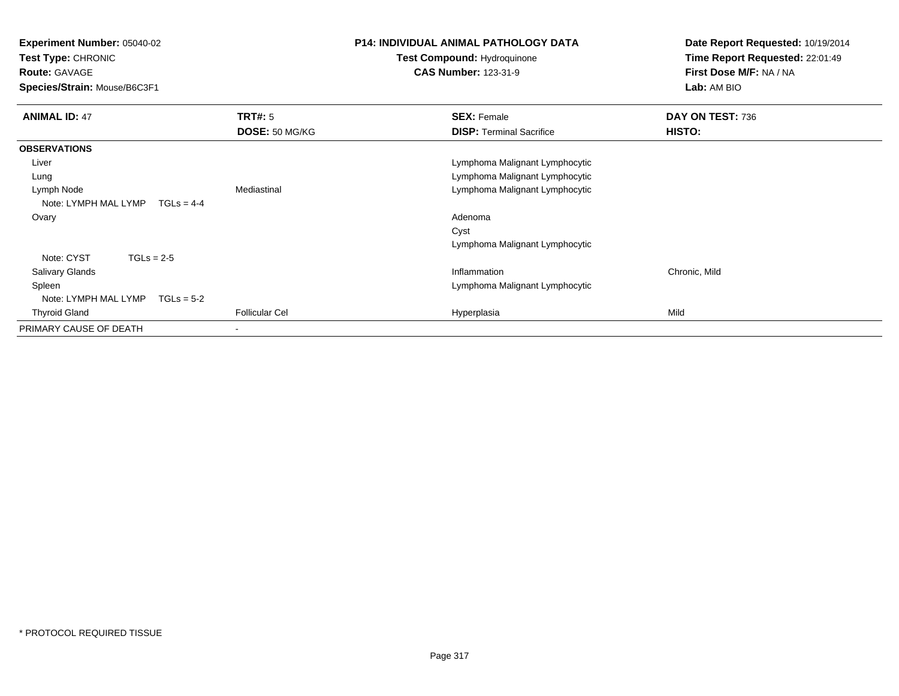**Experiment Number:** 05040-02**Test Type:** CHRONIC**Route:** GAVAGE **Species/Strain:** Mouse/B6C3F1**P14: INDIVIDUAL ANIMAL PATHOLOGY DATATest Compound:** Hydroquinone**CAS Number:** 123-31-9**Date Report Requested:** 10/19/2014**Time Report Requested:** 22:01:49**First Dose M/F:** NA / NA**Lab:** AM BIO**ANIMAL ID:** 47**TRT#:** 5 **SEX:** Female **DAY ON TEST:** 736 **DOSE:** 50 MG/KG**DISP:** Terminal Sacrifice **HISTO: OBSERVATIONS** Liver Lymphoma Malignant Lymphocytic Lymphoma Malignant Lymphocytic Lung Lymph NodeMediastinal Mediastinal Christian Mediastinal Lymphoma Malignant Lymphocytic Note: LYMPH MAL LYMP TGLs = 4-4 Ovaryy and the control of the control of the control of the control of the control of the control of the control of the control of the control of the control of the control of the control of the control of the control of the co CystLymphoma Malignant LymphocyticNote: CYST TGLs = 2-5 Salivary Glandss and the contract of the contract of the contract of the contract of the contract of the contract of the contract of the contract of the contract of the contract of the contract of the contract of the contract of the cont Inflammation **Chronic, Mild**  Spleen Lymphoma Malignant Lymphocytic Note: LYMPH MAL LYMP TGLs = 5-2 Thyroid Gland Follicular Cel Hyperplasia Mild PRIMARY CAUSE OF DEATH-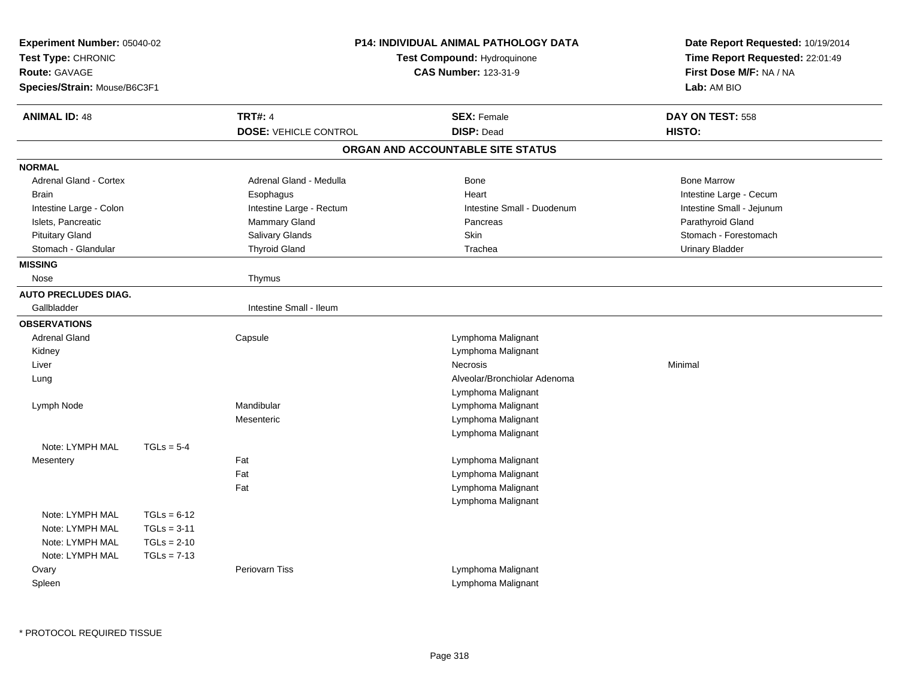| Experiment Number: 05040-02<br>Test Type: CHRONIC<br><b>Route: GAVAGE</b><br>Species/Strain: Mouse/B6C3F1 |                                                                  | <b>P14: INDIVIDUAL ANIMAL PATHOLOGY DATA</b><br>Test Compound: Hydroquinone<br><b>CAS Number: 123-31-9</b> |                                          | Date Report Requested: 10/19/2014<br>Time Report Requested: 22:01:49<br>First Dose M/F: NA / NA<br>Lab: AM BIO |  |
|-----------------------------------------------------------------------------------------------------------|------------------------------------------------------------------|------------------------------------------------------------------------------------------------------------|------------------------------------------|----------------------------------------------------------------------------------------------------------------|--|
| <b>ANIMAL ID: 48</b>                                                                                      |                                                                  | <b>TRT#: 4</b>                                                                                             | <b>SEX: Female</b>                       | DAY ON TEST: 558                                                                                               |  |
|                                                                                                           |                                                                  | <b>DOSE: VEHICLE CONTROL</b>                                                                               | <b>DISP: Dead</b>                        | HISTO:                                                                                                         |  |
|                                                                                                           |                                                                  |                                                                                                            | ORGAN AND ACCOUNTABLE SITE STATUS        |                                                                                                                |  |
| <b>NORMAL</b>                                                                                             |                                                                  |                                                                                                            |                                          |                                                                                                                |  |
| Adrenal Gland - Cortex                                                                                    |                                                                  | Adrenal Gland - Medulla                                                                                    | Bone<br>Heart                            | <b>Bone Marrow</b>                                                                                             |  |
| <b>Brain</b>                                                                                              |                                                                  | Esophagus<br>Intestine Large - Rectum                                                                      | Intestine Small - Duodenum               | Intestine Large - Cecum<br>Intestine Small - Jejunum                                                           |  |
| Intestine Large - Colon<br>Islets, Pancreatic                                                             |                                                                  | Mammary Gland                                                                                              | Pancreas                                 | Parathyroid Gland                                                                                              |  |
| <b>Pituitary Gland</b>                                                                                    |                                                                  | Salivary Glands                                                                                            | Skin                                     | Stomach - Forestomach                                                                                          |  |
| Stomach - Glandular                                                                                       |                                                                  | <b>Thyroid Gland</b>                                                                                       | Trachea                                  | <b>Urinary Bladder</b>                                                                                         |  |
| <b>MISSING</b>                                                                                            |                                                                  |                                                                                                            |                                          |                                                                                                                |  |
| Nose                                                                                                      |                                                                  | Thymus                                                                                                     |                                          |                                                                                                                |  |
| <b>AUTO PRECLUDES DIAG.</b>                                                                               |                                                                  |                                                                                                            |                                          |                                                                                                                |  |
| Gallbladder                                                                                               |                                                                  | Intestine Small - Ileum                                                                                    |                                          |                                                                                                                |  |
| <b>OBSERVATIONS</b>                                                                                       |                                                                  |                                                                                                            |                                          |                                                                                                                |  |
| <b>Adrenal Gland</b>                                                                                      |                                                                  | Capsule                                                                                                    | Lymphoma Malignant                       |                                                                                                                |  |
| Kidney                                                                                                    |                                                                  |                                                                                                            | Lymphoma Malignant                       |                                                                                                                |  |
| Liver                                                                                                     |                                                                  |                                                                                                            | <b>Necrosis</b>                          | Minimal                                                                                                        |  |
| Lung                                                                                                      |                                                                  |                                                                                                            | Alveolar/Bronchiolar Adenoma             |                                                                                                                |  |
|                                                                                                           |                                                                  |                                                                                                            | Lymphoma Malignant                       |                                                                                                                |  |
| Lymph Node                                                                                                |                                                                  | Mandibular                                                                                                 | Lymphoma Malignant                       |                                                                                                                |  |
|                                                                                                           |                                                                  | Mesenteric                                                                                                 | Lymphoma Malignant                       |                                                                                                                |  |
|                                                                                                           |                                                                  |                                                                                                            | Lymphoma Malignant                       |                                                                                                                |  |
| Note: LYMPH MAL                                                                                           | $TGLs = 5-4$                                                     |                                                                                                            |                                          |                                                                                                                |  |
| Mesentery                                                                                                 |                                                                  | Fat                                                                                                        | Lymphoma Malignant                       |                                                                                                                |  |
|                                                                                                           |                                                                  | Fat                                                                                                        | Lymphoma Malignant                       |                                                                                                                |  |
|                                                                                                           |                                                                  | Fat                                                                                                        | Lymphoma Malignant                       |                                                                                                                |  |
| Note: LYMPH MAL<br>Note: LYMPH MAL<br>Note: LYMPH MAL<br>Note: LYMPH MAL                                  | $TGLs = 6-12$<br>$TGLs = 3-11$<br>$TGLs = 2-10$<br>$TGLs = 7-13$ |                                                                                                            | Lymphoma Malignant                       |                                                                                                                |  |
| Ovary<br>Spleen                                                                                           |                                                                  | Periovarn Tiss                                                                                             | Lymphoma Malignant<br>Lymphoma Malignant |                                                                                                                |  |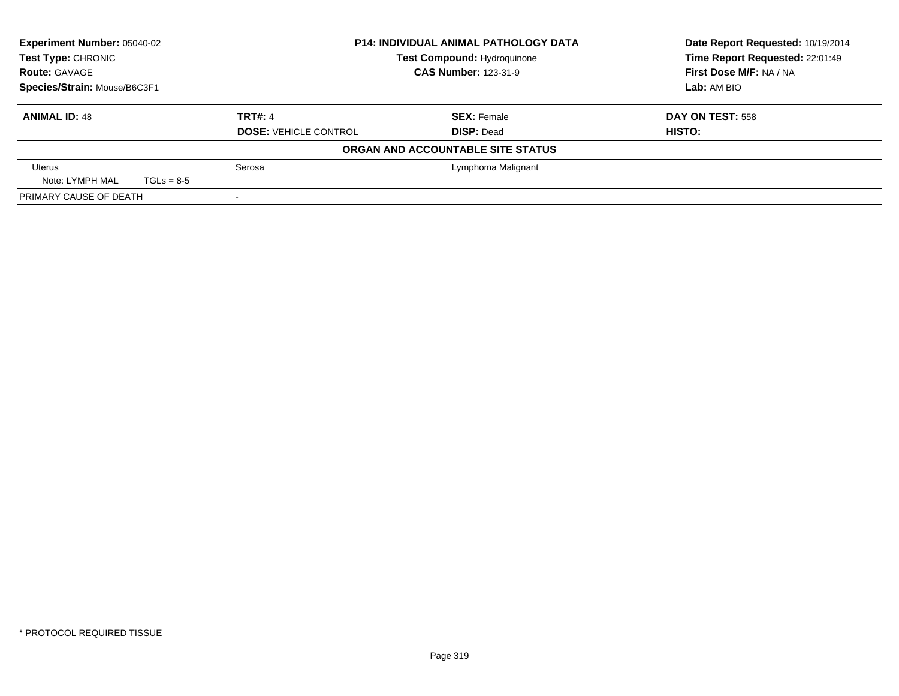| <b>Experiment Number: 05040-02</b><br><b>Test Type: CHRONIC</b> |              |                              | <b>P14: INDIVIDUAL ANIMAL PATHOLOGY DATA</b> | Date Report Requested: 10/19/2014 |
|-----------------------------------------------------------------|--------------|------------------------------|----------------------------------------------|-----------------------------------|
|                                                                 |              |                              | Test Compound: Hydroquinone                  | Time Report Requested: 22:01:49   |
| <b>Route: GAVAGE</b>                                            |              |                              | <b>CAS Number: 123-31-9</b>                  | First Dose M/F: NA / NA           |
| Species/Strain: Mouse/B6C3F1                                    |              |                              |                                              | Lab: AM BIO                       |
| <b>ANIMAL ID: 48</b>                                            |              | <b>TRT#: 4</b>               | <b>SEX: Female</b>                           | DAY ON TEST: 558                  |
|                                                                 |              | <b>DOSE: VEHICLE CONTROL</b> | <b>DISP: Dead</b>                            | HISTO:                            |
|                                                                 |              |                              | ORGAN AND ACCOUNTABLE SITE STATUS            |                                   |
| Uterus                                                          |              | Serosa                       | Lymphoma Malignant                           |                                   |
| Note: LYMPH MAL                                                 | $TGLs = 8-5$ |                              |                                              |                                   |
| PRIMARY CAUSE OF DEATH                                          |              |                              |                                              |                                   |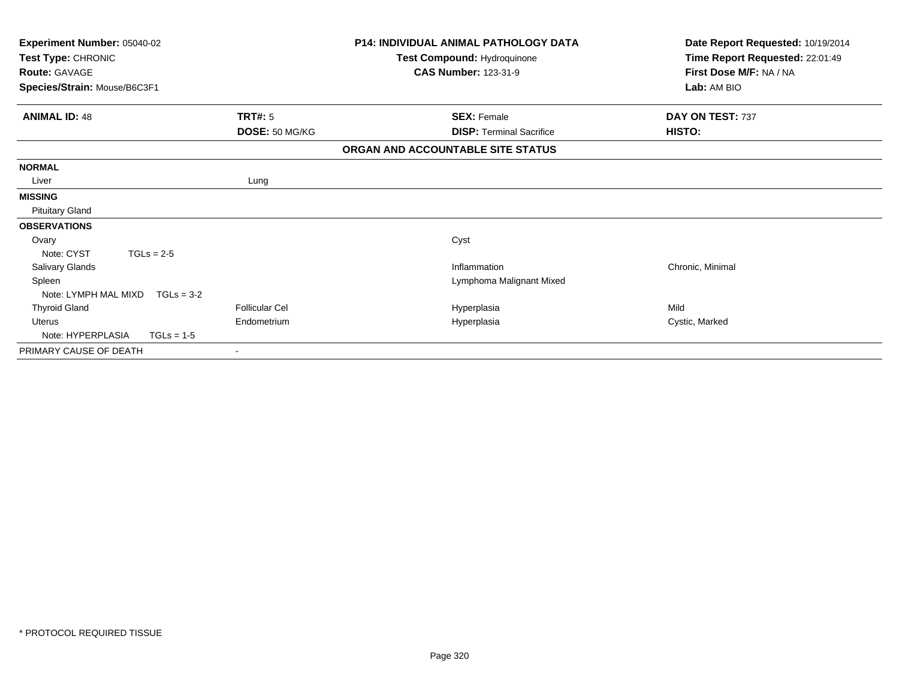| Experiment Number: 05040-02<br>Test Type: CHRONIC<br><b>Route: GAVAGE</b><br>Species/Strain: Mouse/B6C3F1 |                       | <b>P14: INDIVIDUAL ANIMAL PATHOLOGY DATA</b><br>Test Compound: Hydroquinone<br><b>CAS Number: 123-31-9</b> | Date Report Requested: 10/19/2014<br>Time Report Requested: 22:01:49<br>First Dose M/F: NA / NA<br>Lab: AM BIO |  |
|-----------------------------------------------------------------------------------------------------------|-----------------------|------------------------------------------------------------------------------------------------------------|----------------------------------------------------------------------------------------------------------------|--|
| <b>ANIMAL ID: 48</b>                                                                                      | <b>TRT#: 5</b>        | <b>SEX: Female</b>                                                                                         | DAY ON TEST: 737                                                                                               |  |
|                                                                                                           | DOSE: 50 MG/KG        | <b>DISP: Terminal Sacrifice</b>                                                                            | <b>HISTO:</b>                                                                                                  |  |
|                                                                                                           |                       | ORGAN AND ACCOUNTABLE SITE STATUS                                                                          |                                                                                                                |  |
| <b>NORMAL</b>                                                                                             |                       |                                                                                                            |                                                                                                                |  |
| Liver                                                                                                     | Lung                  |                                                                                                            |                                                                                                                |  |
| <b>MISSING</b>                                                                                            |                       |                                                                                                            |                                                                                                                |  |
| <b>Pituitary Gland</b>                                                                                    |                       |                                                                                                            |                                                                                                                |  |
| <b>OBSERVATIONS</b>                                                                                       |                       |                                                                                                            |                                                                                                                |  |
| Ovary                                                                                                     |                       | Cyst                                                                                                       |                                                                                                                |  |
| Note: CYST<br>$TGLs = 2-5$                                                                                |                       |                                                                                                            |                                                                                                                |  |
| <b>Salivary Glands</b>                                                                                    |                       | Inflammation                                                                                               | Chronic, Minimal                                                                                               |  |
| Spleen                                                                                                    |                       | Lymphoma Malignant Mixed                                                                                   |                                                                                                                |  |
| Note: LYMPH MAL MIXD<br>$TGLs = 3-2$                                                                      |                       |                                                                                                            |                                                                                                                |  |
| <b>Thyroid Gland</b>                                                                                      | <b>Follicular Cel</b> | Hyperplasia                                                                                                | Mild                                                                                                           |  |
| <b>Uterus</b>                                                                                             | Endometrium           | Hyperplasia                                                                                                | Cystic, Marked                                                                                                 |  |
| Note: HYPERPLASIA<br>$TGLs = 1-5$                                                                         |                       |                                                                                                            |                                                                                                                |  |
| PRIMARY CAUSE OF DEATH                                                                                    |                       |                                                                                                            |                                                                                                                |  |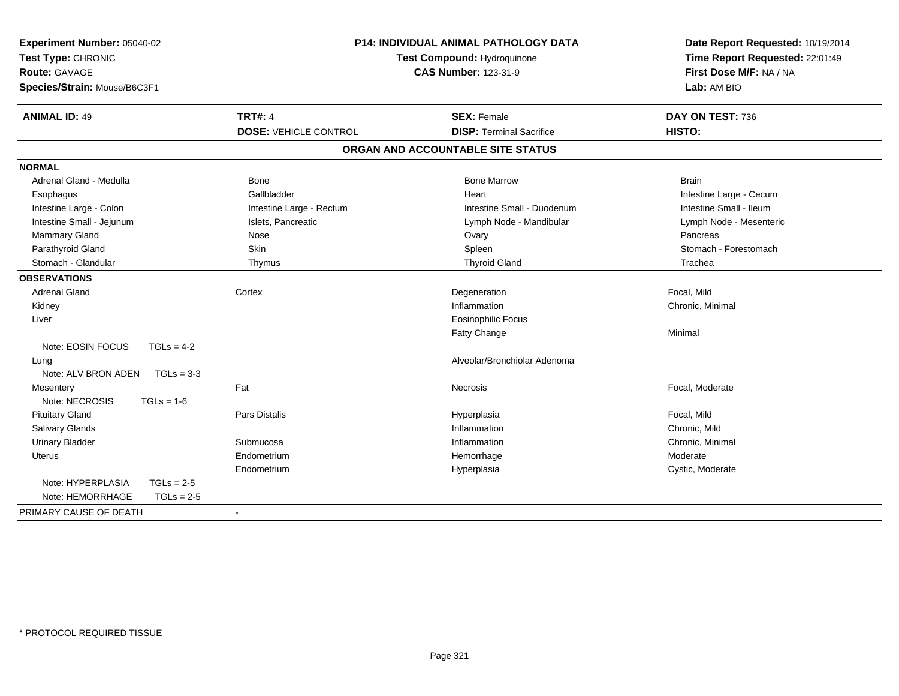| Experiment Number: 05040-02<br>Test Type: CHRONIC<br>Route: GAVAGE<br>Species/Strain: Mouse/B6C3F1 |              |                              | <b>P14: INDIVIDUAL ANIMAL PATHOLOGY DATA</b><br>Test Compound: Hydroquinone<br><b>CAS Number: 123-31-9</b> | Date Report Requested: 10/19/2014<br>Time Report Requested: 22:01:49<br>First Dose M/F: NA / NA<br>Lab: AM BIO |  |
|----------------------------------------------------------------------------------------------------|--------------|------------------------------|------------------------------------------------------------------------------------------------------------|----------------------------------------------------------------------------------------------------------------|--|
| <b>ANIMAL ID: 49</b>                                                                               |              | <b>TRT#: 4</b>               | <b>SEX: Female</b>                                                                                         | DAY ON TEST: 736                                                                                               |  |
|                                                                                                    |              | <b>DOSE: VEHICLE CONTROL</b> | <b>DISP: Terminal Sacrifice</b>                                                                            | HISTO:                                                                                                         |  |
|                                                                                                    |              |                              | ORGAN AND ACCOUNTABLE SITE STATUS                                                                          |                                                                                                                |  |
| <b>NORMAL</b>                                                                                      |              |                              |                                                                                                            |                                                                                                                |  |
| Adrenal Gland - Medulla                                                                            |              | <b>Bone</b>                  | <b>Bone Marrow</b>                                                                                         | <b>Brain</b>                                                                                                   |  |
| Esophagus                                                                                          |              | Gallbladder                  | Heart                                                                                                      | Intestine Large - Cecum                                                                                        |  |
| Intestine Large - Colon                                                                            |              | Intestine Large - Rectum     | Intestine Small - Duodenum                                                                                 | Intestine Small - Ileum                                                                                        |  |
| Intestine Small - Jejunum                                                                          |              | Islets, Pancreatic           | Lymph Node - Mandibular                                                                                    | Lymph Node - Mesenteric                                                                                        |  |
| Mammary Gland                                                                                      |              | Nose                         | Ovary                                                                                                      | Pancreas                                                                                                       |  |
| Parathyroid Gland                                                                                  |              | Skin                         | Spleen                                                                                                     | Stomach - Forestomach                                                                                          |  |
| Stomach - Glandular                                                                                |              | Thymus                       | <b>Thyroid Gland</b>                                                                                       | Trachea                                                                                                        |  |
| <b>OBSERVATIONS</b>                                                                                |              |                              |                                                                                                            |                                                                                                                |  |
| <b>Adrenal Gland</b>                                                                               |              | Cortex                       | Degeneration                                                                                               | Focal, Mild                                                                                                    |  |
| Kidney                                                                                             |              |                              | Inflammation                                                                                               | Chronic, Minimal                                                                                               |  |
| Liver                                                                                              |              |                              | <b>Eosinophilic Focus</b>                                                                                  |                                                                                                                |  |
|                                                                                                    |              |                              | Fatty Change                                                                                               | Minimal                                                                                                        |  |
| Note: EOSIN FOCUS                                                                                  | $TGLs = 4-2$ |                              |                                                                                                            |                                                                                                                |  |
| Lung                                                                                               |              |                              | Alveolar/Bronchiolar Adenoma                                                                               |                                                                                                                |  |
| Note: ALV BRON ADEN                                                                                | $TGLs = 3-3$ |                              |                                                                                                            |                                                                                                                |  |
| Mesentery                                                                                          |              | Fat                          | Necrosis                                                                                                   | Focal, Moderate                                                                                                |  |
| Note: NECROSIS                                                                                     | $TGLs = 1-6$ |                              |                                                                                                            |                                                                                                                |  |
| <b>Pituitary Gland</b>                                                                             |              | <b>Pars Distalis</b>         | Hyperplasia                                                                                                | Focal, Mild                                                                                                    |  |
| Salivary Glands                                                                                    |              |                              | Inflammation                                                                                               | Chronic, Mild                                                                                                  |  |
| <b>Urinary Bladder</b>                                                                             |              | Submucosa                    | Inflammation                                                                                               | Chronic, Minimal                                                                                               |  |
| <b>Uterus</b>                                                                                      |              | Endometrium                  | Hemorrhage                                                                                                 | Moderate                                                                                                       |  |
|                                                                                                    |              | Endometrium                  | Hyperplasia                                                                                                | Cystic, Moderate                                                                                               |  |
| Note: HYPERPLASIA                                                                                  | $TGLs = 2-5$ |                              |                                                                                                            |                                                                                                                |  |
| Note: HEMORRHAGE                                                                                   | $TGLs = 2-5$ |                              |                                                                                                            |                                                                                                                |  |
| PRIMARY CAUSE OF DEATH                                                                             |              | $\sim$                       |                                                                                                            |                                                                                                                |  |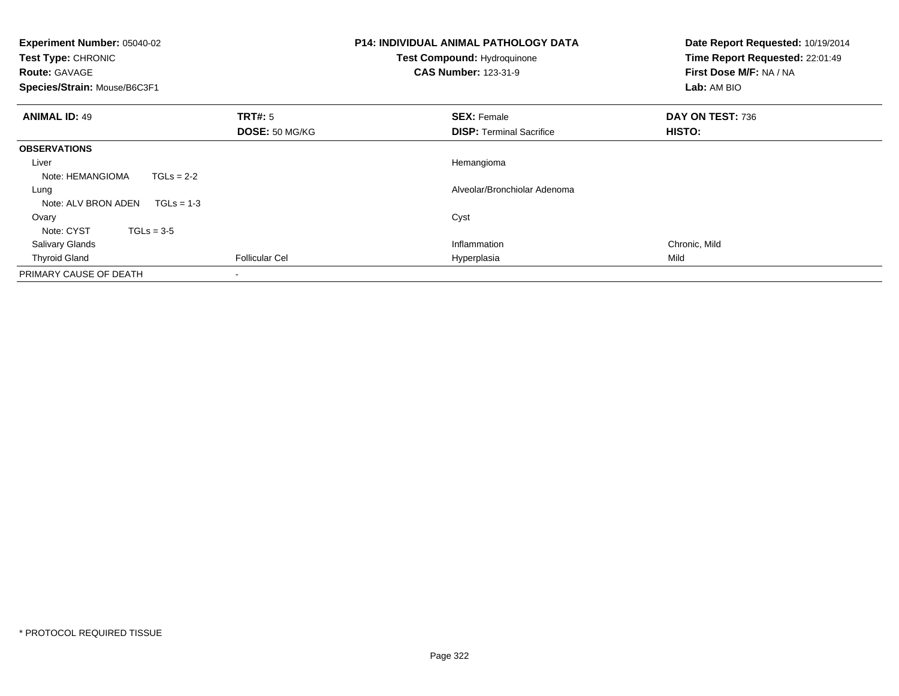| Experiment Number: 05040-02<br>Test Type: CHRONIC<br><b>Route: GAVAGE</b><br>Species/Strain: Mouse/B6C3F1 | <b>P14: INDIVIDUAL ANIMAL PATHOLOGY DATA</b><br>Test Compound: Hydroquinone<br><b>CAS Number: 123-31-9</b> |                                 | Date Report Requested: 10/19/2014<br>Time Report Requested: 22:01:49<br>First Dose M/F: NA / NA<br>Lab: AM BIO |
|-----------------------------------------------------------------------------------------------------------|------------------------------------------------------------------------------------------------------------|---------------------------------|----------------------------------------------------------------------------------------------------------------|
| <b>ANIMAL ID: 49</b>                                                                                      | <b>TRT#:</b> 5                                                                                             | <b>SEX: Female</b>              | DAY ON TEST: 736                                                                                               |
|                                                                                                           | DOSE: 50 MG/KG                                                                                             | <b>DISP: Terminal Sacrifice</b> | HISTO:                                                                                                         |
| <b>OBSERVATIONS</b>                                                                                       |                                                                                                            |                                 |                                                                                                                |
| Liver                                                                                                     |                                                                                                            | Hemangioma                      |                                                                                                                |
| Note: HEMANGIOMA<br>$TGLs = 2-2$                                                                          |                                                                                                            |                                 |                                                                                                                |
| Lung                                                                                                      |                                                                                                            | Alveolar/Bronchiolar Adenoma    |                                                                                                                |
| Note: ALV BRON ADEN<br>$TGLs = 1-3$                                                                       |                                                                                                            |                                 |                                                                                                                |
| Ovary                                                                                                     |                                                                                                            | Cyst                            |                                                                                                                |
| Note: CYST<br>$TGLs = 3-5$                                                                                |                                                                                                            |                                 |                                                                                                                |
| <b>Salivary Glands</b>                                                                                    |                                                                                                            | Inflammation                    | Chronic, Mild                                                                                                  |
| <b>Thyroid Gland</b>                                                                                      | <b>Follicular Cel</b>                                                                                      | Hyperplasia                     | Mild                                                                                                           |
| PRIMARY CAUSE OF DEATH                                                                                    |                                                                                                            |                                 |                                                                                                                |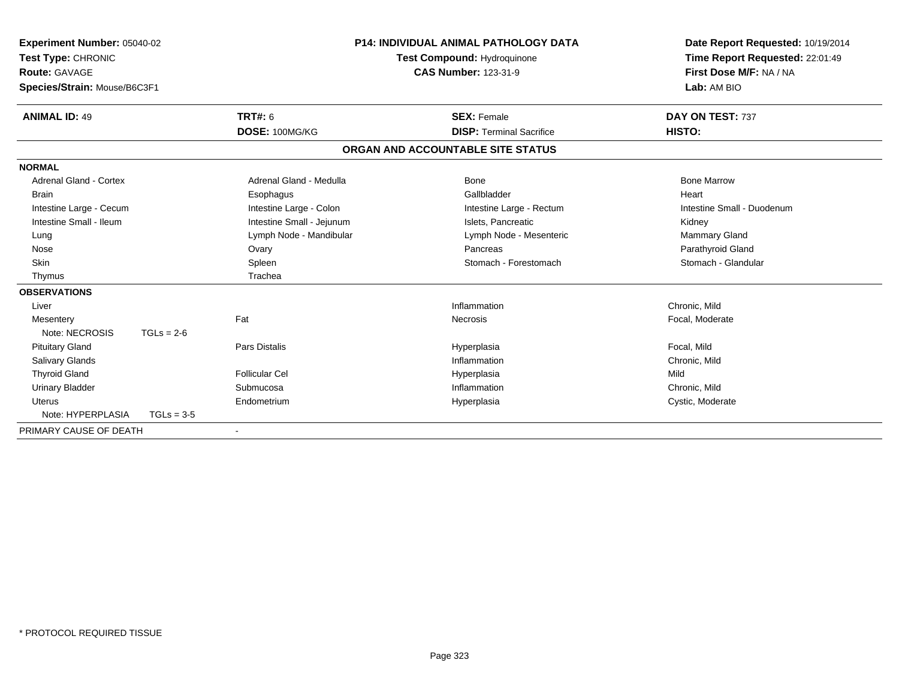| Experiment Number: 05040-02<br>Test Type: CHRONIC<br><b>Route: GAVAGE</b> |              |                           | <b>P14: INDIVIDUAL ANIMAL PATHOLOGY DATA</b><br>Test Compound: Hydroquinone<br><b>CAS Number: 123-31-9</b> |                                   | Date Report Requested: 10/19/2014<br>Time Report Requested: 22:01:49<br>First Dose M/F: NA / NA |  |
|---------------------------------------------------------------------------|--------------|---------------------------|------------------------------------------------------------------------------------------------------------|-----------------------------------|-------------------------------------------------------------------------------------------------|--|
| Species/Strain: Mouse/B6C3F1                                              |              |                           |                                                                                                            |                                   | Lab: AM BIO                                                                                     |  |
| <b>ANIMAL ID: 49</b>                                                      |              | <b>TRT#: 6</b>            |                                                                                                            | <b>SEX: Female</b>                | DAY ON TEST: 737                                                                                |  |
|                                                                           |              | DOSE: 100MG/KG            |                                                                                                            | <b>DISP: Terminal Sacrifice</b>   | HISTO:                                                                                          |  |
|                                                                           |              |                           |                                                                                                            | ORGAN AND ACCOUNTABLE SITE STATUS |                                                                                                 |  |
| <b>NORMAL</b>                                                             |              |                           |                                                                                                            |                                   |                                                                                                 |  |
| <b>Adrenal Gland - Cortex</b>                                             |              | Adrenal Gland - Medulla   |                                                                                                            | Bone                              | <b>Bone Marrow</b>                                                                              |  |
| <b>Brain</b>                                                              |              | Esophagus                 |                                                                                                            | Gallbladder                       | Heart                                                                                           |  |
| Intestine Large - Cecum                                                   |              | Intestine Large - Colon   |                                                                                                            | Intestine Large - Rectum          | Intestine Small - Duodenum                                                                      |  |
| Intestine Small - Ileum                                                   |              | Intestine Small - Jejunum |                                                                                                            | Islets, Pancreatic                | Kidney                                                                                          |  |
| Lung                                                                      |              | Lymph Node - Mandibular   |                                                                                                            | Lymph Node - Mesenteric           | <b>Mammary Gland</b>                                                                            |  |
| Nose                                                                      |              | Ovary                     |                                                                                                            | Pancreas                          | Parathyroid Gland                                                                               |  |
| <b>Skin</b>                                                               |              | Spleen                    |                                                                                                            | Stomach - Forestomach             | Stomach - Glandular                                                                             |  |
| Thymus                                                                    |              | Trachea                   |                                                                                                            |                                   |                                                                                                 |  |
| <b>OBSERVATIONS</b>                                                       |              |                           |                                                                                                            |                                   |                                                                                                 |  |
| Liver                                                                     |              |                           |                                                                                                            | Inflammation                      | Chronic, Mild                                                                                   |  |
| Mesentery                                                                 |              | Fat                       |                                                                                                            | Necrosis                          | Focal, Moderate                                                                                 |  |
| Note: NECROSIS                                                            | $TGLs = 2-6$ |                           |                                                                                                            |                                   |                                                                                                 |  |
| <b>Pituitary Gland</b>                                                    |              | <b>Pars Distalis</b>      |                                                                                                            | Hyperplasia                       | Focal, Mild                                                                                     |  |
| <b>Salivary Glands</b>                                                    |              |                           |                                                                                                            | Inflammation                      | Chronic, Mild                                                                                   |  |
| <b>Thyroid Gland</b>                                                      |              | Follicular Cel            |                                                                                                            | Hyperplasia                       | Mild                                                                                            |  |
| <b>Urinary Bladder</b>                                                    |              | Submucosa                 |                                                                                                            | Inflammation                      | Chronic, Mild                                                                                   |  |
| Uterus                                                                    |              | Endometrium               |                                                                                                            | Hyperplasia                       | Cystic, Moderate                                                                                |  |
| Note: HYPERPLASIA                                                         | $TGLs = 3-5$ |                           |                                                                                                            |                                   |                                                                                                 |  |
| PRIMARY CAUSE OF DEATH                                                    |              |                           |                                                                                                            |                                   |                                                                                                 |  |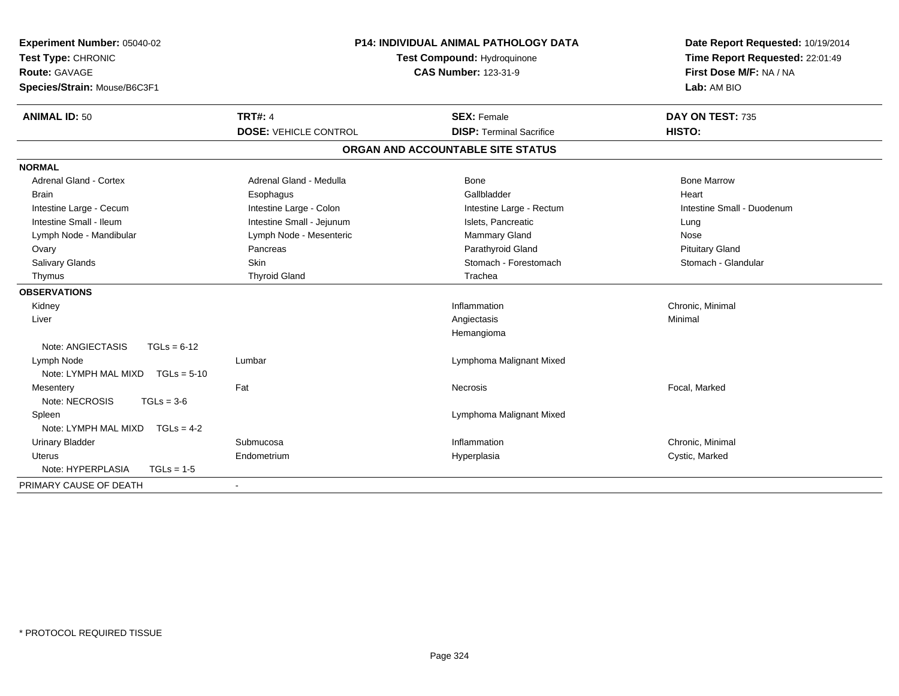| Experiment Number: 05040-02<br>Test Type: CHRONIC<br><b>Route: GAVAGE</b> | <b>P14: INDIVIDUAL ANIMAL PATHOLOGY DATA</b><br>Test Compound: Hydroquinone<br><b>CAS Number: 123-31-9</b> |                                   | Date Report Requested: 10/19/2014<br>Time Report Requested: 22:01:49<br>First Dose M/F: NA / NA |  |
|---------------------------------------------------------------------------|------------------------------------------------------------------------------------------------------------|-----------------------------------|-------------------------------------------------------------------------------------------------|--|
| Species/Strain: Mouse/B6C3F1                                              |                                                                                                            |                                   | Lab: AM BIO                                                                                     |  |
| <b>ANIMAL ID: 50</b>                                                      | <b>TRT#: 4</b>                                                                                             | <b>SEX: Female</b>                | DAY ON TEST: 735                                                                                |  |
|                                                                           | <b>DOSE: VEHICLE CONTROL</b>                                                                               | <b>DISP: Terminal Sacrifice</b>   | HISTO:                                                                                          |  |
|                                                                           |                                                                                                            | ORGAN AND ACCOUNTABLE SITE STATUS |                                                                                                 |  |
| <b>NORMAL</b>                                                             |                                                                                                            |                                   |                                                                                                 |  |
| Adrenal Gland - Cortex                                                    | Adrenal Gland - Medulla                                                                                    | Bone                              | <b>Bone Marrow</b>                                                                              |  |
| <b>Brain</b>                                                              | Esophagus                                                                                                  | Gallbladder                       | Heart                                                                                           |  |
| Intestine Large - Cecum                                                   | Intestine Large - Colon                                                                                    | Intestine Large - Rectum          | Intestine Small - Duodenum                                                                      |  |
| Intestine Small - Ileum                                                   | Intestine Small - Jejunum                                                                                  | Islets, Pancreatic                | Lung                                                                                            |  |
| Lymph Node - Mandibular                                                   | Lymph Node - Mesenteric                                                                                    | Mammary Gland                     | Nose                                                                                            |  |
| Ovary                                                                     | Pancreas                                                                                                   | Parathyroid Gland                 | <b>Pituitary Gland</b>                                                                          |  |
| Salivary Glands                                                           | <b>Skin</b>                                                                                                | Stomach - Forestomach             | Stomach - Glandular                                                                             |  |
| Thymus                                                                    | <b>Thyroid Gland</b>                                                                                       | Trachea                           |                                                                                                 |  |
| <b>OBSERVATIONS</b>                                                       |                                                                                                            |                                   |                                                                                                 |  |
| Kidney                                                                    |                                                                                                            | Inflammation                      | Chronic, Minimal                                                                                |  |
| Liver                                                                     |                                                                                                            | Angiectasis                       | Minimal                                                                                         |  |
|                                                                           |                                                                                                            | Hemangioma                        |                                                                                                 |  |
| Note: ANGIECTASIS<br>$TGLs = 6-12$                                        |                                                                                                            |                                   |                                                                                                 |  |
| Lymph Node                                                                | Lumbar                                                                                                     | Lymphoma Malignant Mixed          |                                                                                                 |  |
| Note: LYMPH MAL MIXD<br>$TGLs = 5-10$                                     |                                                                                                            |                                   |                                                                                                 |  |
| Mesentery                                                                 | Fat                                                                                                        | Necrosis                          | Focal, Marked                                                                                   |  |
| Note: NECROSIS<br>$TGLs = 3-6$                                            |                                                                                                            |                                   |                                                                                                 |  |
| Spleen                                                                    |                                                                                                            | Lymphoma Malignant Mixed          |                                                                                                 |  |
| Note: LYMPH MAL MIXD<br>$TGLs = 4-2$                                      |                                                                                                            |                                   |                                                                                                 |  |
| <b>Urinary Bladder</b>                                                    | Submucosa                                                                                                  | Inflammation                      | Chronic, Minimal                                                                                |  |
| <b>Uterus</b>                                                             | Endometrium                                                                                                | Hyperplasia                       | Cystic, Marked                                                                                  |  |
| Note: HYPERPLASIA<br>$TGLs = 1-5$                                         |                                                                                                            |                                   |                                                                                                 |  |
| PRIMARY CAUSE OF DEATH                                                    |                                                                                                            |                                   |                                                                                                 |  |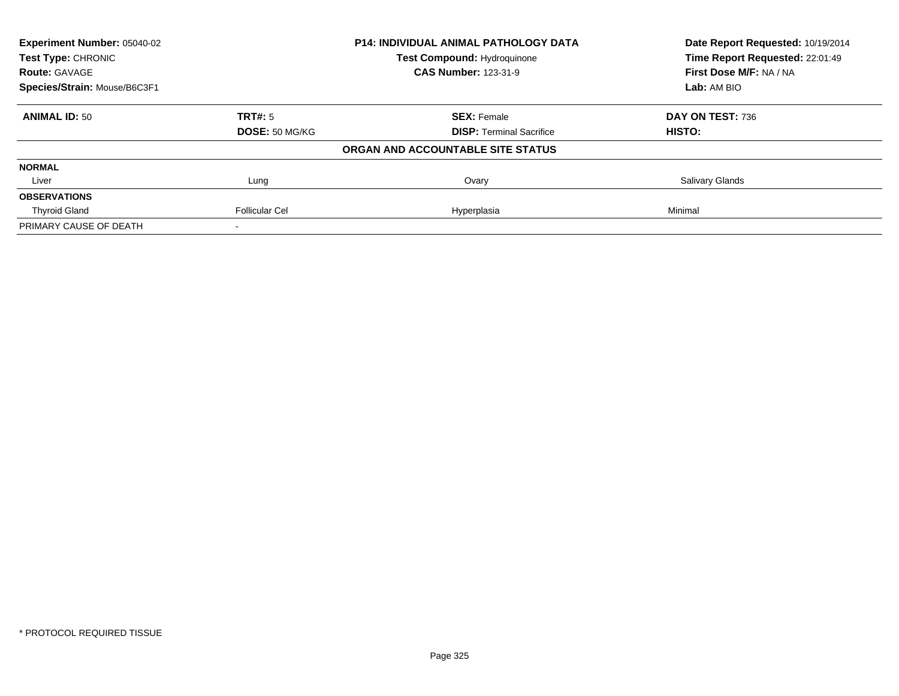| <b>Experiment Number: 05040-02</b><br>Test Type: CHRONIC |                       | <b>P14: INDIVIDUAL ANIMAL PATHOLOGY DATA</b> | Date Report Requested: 10/19/2014<br>Time Report Requested: 22:01:49 |  |
|----------------------------------------------------------|-----------------------|----------------------------------------------|----------------------------------------------------------------------|--|
|                                                          |                       | <b>Test Compound: Hydroquinone</b>           |                                                                      |  |
| <b>Route: GAVAGE</b>                                     |                       | <b>CAS Number: 123-31-9</b>                  | First Dose M/F: NA / NA                                              |  |
| Species/Strain: Mouse/B6C3F1                             |                       |                                              | Lab: AM BIO                                                          |  |
| <b>ANIMAL ID: 50</b>                                     | TRT#: 5               | <b>SEX: Female</b>                           | DAY ON TEST: 736                                                     |  |
|                                                          | <b>DOSE: 50 MG/KG</b> | <b>DISP:</b> Terminal Sacrifice              | HISTO:                                                               |  |
|                                                          |                       | ORGAN AND ACCOUNTABLE SITE STATUS            |                                                                      |  |
| <b>NORMAL</b>                                            |                       |                                              |                                                                      |  |
| Liver                                                    | Lung                  | Ovary                                        | Salivary Glands                                                      |  |
| <b>OBSERVATIONS</b>                                      |                       |                                              |                                                                      |  |
| <b>Thyroid Gland</b>                                     | <b>Follicular Cel</b> | Hyperplasia                                  | Minimal                                                              |  |
| PRIMARY CAUSE OF DEATH                                   |                       |                                              |                                                                      |  |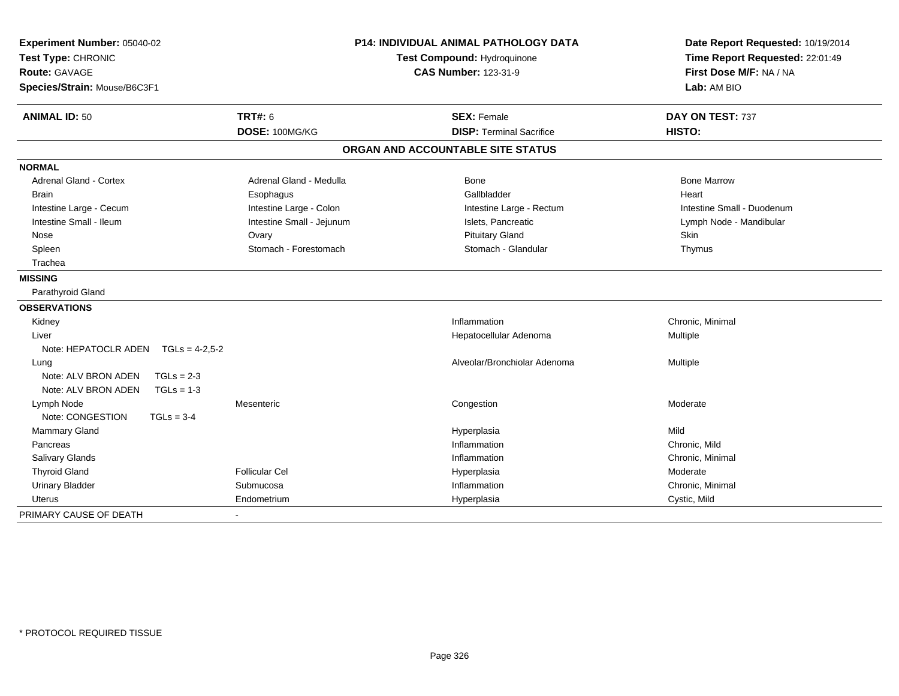| Experiment Number: 05040-02<br>Test Type: CHRONIC<br>Route: GAVAGE<br>Species/Strain: Mouse/B6C3F1 |                           | <b>P14: INDIVIDUAL ANIMAL PATHOLOGY DATA</b><br>Test Compound: Hydroquinone<br><b>CAS Number: 123-31-9</b> | Date Report Requested: 10/19/2014<br>Time Report Requested: 22:01:49<br>First Dose M/F: NA / NA<br>Lab: AM BIO |  |
|----------------------------------------------------------------------------------------------------|---------------------------|------------------------------------------------------------------------------------------------------------|----------------------------------------------------------------------------------------------------------------|--|
| <b>ANIMAL ID: 50</b>                                                                               | <b>TRT#: 6</b>            | <b>SEX: Female</b>                                                                                         | DAY ON TEST: 737                                                                                               |  |
|                                                                                                    | DOSE: 100MG/KG            | <b>DISP: Terminal Sacrifice</b>                                                                            | HISTO:                                                                                                         |  |
|                                                                                                    |                           | ORGAN AND ACCOUNTABLE SITE STATUS                                                                          |                                                                                                                |  |
| <b>NORMAL</b>                                                                                      |                           |                                                                                                            |                                                                                                                |  |
| <b>Adrenal Gland - Cortex</b>                                                                      | Adrenal Gland - Medulla   | Bone                                                                                                       | <b>Bone Marrow</b>                                                                                             |  |
| <b>Brain</b>                                                                                       | Esophagus                 | Gallbladder                                                                                                | Heart                                                                                                          |  |
| Intestine Large - Cecum                                                                            | Intestine Large - Colon   | Intestine Large - Rectum                                                                                   | Intestine Small - Duodenum                                                                                     |  |
| Intestine Small - Ileum                                                                            | Intestine Small - Jejunum | Islets, Pancreatic                                                                                         | Lymph Node - Mandibular                                                                                        |  |
| Nose                                                                                               | Ovary                     | <b>Pituitary Gland</b>                                                                                     | Skin                                                                                                           |  |
| Spleen                                                                                             | Stomach - Forestomach     | Stomach - Glandular                                                                                        | Thymus                                                                                                         |  |
| Trachea                                                                                            |                           |                                                                                                            |                                                                                                                |  |
| <b>MISSING</b>                                                                                     |                           |                                                                                                            |                                                                                                                |  |
| Parathyroid Gland                                                                                  |                           |                                                                                                            |                                                                                                                |  |
| <b>OBSERVATIONS</b>                                                                                |                           |                                                                                                            |                                                                                                                |  |
| Kidney                                                                                             |                           | Inflammation                                                                                               | Chronic, Minimal                                                                                               |  |
| Liver                                                                                              |                           | Hepatocellular Adenoma                                                                                     | Multiple                                                                                                       |  |
| Note: HEPATOCLR ADEN TGLs = 4-2,5-2                                                                |                           |                                                                                                            |                                                                                                                |  |
| Lung                                                                                               |                           | Alveolar/Bronchiolar Adenoma                                                                               | Multiple                                                                                                       |  |
| Note: ALV BRON ADEN<br>$TGLs = 2-3$                                                                |                           |                                                                                                            |                                                                                                                |  |
| Note: ALV BRON ADEN<br>$TGLs = 1-3$                                                                |                           |                                                                                                            |                                                                                                                |  |
| Lymph Node                                                                                         | Mesenteric                | Congestion                                                                                                 | Moderate                                                                                                       |  |
| Note: CONGESTION<br>$TGLs = 3-4$                                                                   |                           |                                                                                                            |                                                                                                                |  |
| Mammary Gland                                                                                      |                           | Hyperplasia                                                                                                | Mild                                                                                                           |  |
| Pancreas                                                                                           |                           | Inflammation                                                                                               | Chronic, Mild                                                                                                  |  |
| Salivary Glands                                                                                    |                           | Inflammation                                                                                               | Chronic, Minimal                                                                                               |  |
| <b>Thyroid Gland</b>                                                                               | <b>Follicular Cel</b>     | Hyperplasia                                                                                                | Moderate                                                                                                       |  |
| <b>Urinary Bladder</b>                                                                             | Submucosa                 | Inflammation                                                                                               | Chronic, Minimal                                                                                               |  |
| Uterus                                                                                             | Endometrium               | Hyperplasia                                                                                                | Cystic, Mild                                                                                                   |  |
| PRIMARY CAUSE OF DEATH                                                                             |                           |                                                                                                            |                                                                                                                |  |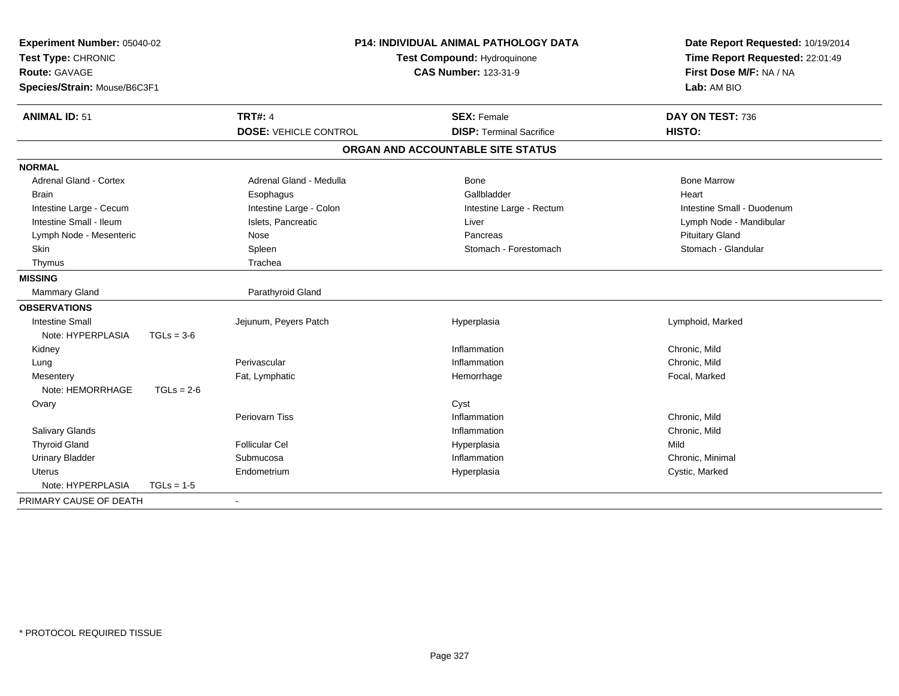| Experiment Number: 05040-02<br>Test Type: CHRONIC<br><b>Route: GAVAGE</b><br>Species/Strain: Mouse/B6C3F1 |              | <b>P14: INDIVIDUAL ANIMAL PATHOLOGY DATA</b><br>Test Compound: Hydroquinone<br><b>CAS Number: 123-31-9</b> |                                   | Date Report Requested: 10/19/2014<br>Time Report Requested: 22:01:49<br>First Dose M/F: NA / NA<br>Lab: AM BIO |
|-----------------------------------------------------------------------------------------------------------|--------------|------------------------------------------------------------------------------------------------------------|-----------------------------------|----------------------------------------------------------------------------------------------------------------|
| <b>ANIMAL ID: 51</b>                                                                                      |              | <b>TRT#: 4</b>                                                                                             | <b>SEX: Female</b>                | DAY ON TEST: 736                                                                                               |
|                                                                                                           |              | <b>DOSE: VEHICLE CONTROL</b>                                                                               | <b>DISP: Terminal Sacrifice</b>   | HISTO:                                                                                                         |
|                                                                                                           |              |                                                                                                            | ORGAN AND ACCOUNTABLE SITE STATUS |                                                                                                                |
| <b>NORMAL</b>                                                                                             |              |                                                                                                            |                                   |                                                                                                                |
| <b>Adrenal Gland - Cortex</b>                                                                             |              | Adrenal Gland - Medulla                                                                                    | <b>Bone</b>                       | <b>Bone Marrow</b>                                                                                             |
| <b>Brain</b>                                                                                              |              | Esophagus                                                                                                  | Gallbladder                       | Heart                                                                                                          |
| Intestine Large - Cecum                                                                                   |              | Intestine Large - Colon                                                                                    | Intestine Large - Rectum          | Intestine Small - Duodenum                                                                                     |
| Intestine Small - Ileum                                                                                   |              | Islets, Pancreatic                                                                                         | Liver                             | Lymph Node - Mandibular                                                                                        |
| Lymph Node - Mesenteric                                                                                   |              | Nose                                                                                                       | Pancreas                          | <b>Pituitary Gland</b>                                                                                         |
| Skin                                                                                                      |              | Spleen                                                                                                     | Stomach - Forestomach             | Stomach - Glandular                                                                                            |
| Thymus                                                                                                    |              | Trachea                                                                                                    |                                   |                                                                                                                |
| <b>MISSING</b>                                                                                            |              |                                                                                                            |                                   |                                                                                                                |
| <b>Mammary Gland</b>                                                                                      |              | Parathyroid Gland                                                                                          |                                   |                                                                                                                |
| <b>OBSERVATIONS</b>                                                                                       |              |                                                                                                            |                                   |                                                                                                                |
| <b>Intestine Small</b>                                                                                    |              | Jejunum, Peyers Patch                                                                                      | Hyperplasia                       | Lymphoid, Marked                                                                                               |
| Note: HYPERPLASIA                                                                                         | $TGLs = 3-6$ |                                                                                                            |                                   |                                                                                                                |
| Kidney                                                                                                    |              |                                                                                                            | Inflammation                      | Chronic, Mild                                                                                                  |
| Lung                                                                                                      |              | Perivascular                                                                                               | Inflammation                      | Chronic, Mild                                                                                                  |
| Mesentery                                                                                                 |              | Fat, Lymphatic                                                                                             | Hemorrhage                        | Focal, Marked                                                                                                  |
| Note: HEMORRHAGE                                                                                          | $TGLs = 2-6$ |                                                                                                            |                                   |                                                                                                                |
| Ovary                                                                                                     |              |                                                                                                            | Cyst                              |                                                                                                                |
|                                                                                                           |              | <b>Periovarn Tiss</b>                                                                                      | Inflammation                      | Chronic, Mild                                                                                                  |
| Salivary Glands                                                                                           |              |                                                                                                            | Inflammation                      | Chronic, Mild                                                                                                  |
| <b>Thyroid Gland</b>                                                                                      |              | <b>Follicular Cel</b>                                                                                      | Hyperplasia                       | Mild                                                                                                           |
| <b>Urinary Bladder</b>                                                                                    |              | Submucosa                                                                                                  | Inflammation                      | Chronic, Minimal                                                                                               |
| <b>Uterus</b>                                                                                             |              | Endometrium                                                                                                | Hyperplasia                       | Cystic, Marked                                                                                                 |
| Note: HYPERPLASIA                                                                                         | $TGLs = 1-5$ |                                                                                                            |                                   |                                                                                                                |
| PRIMARY CAUSE OF DEATH                                                                                    |              | $\blacksquare$                                                                                             |                                   |                                                                                                                |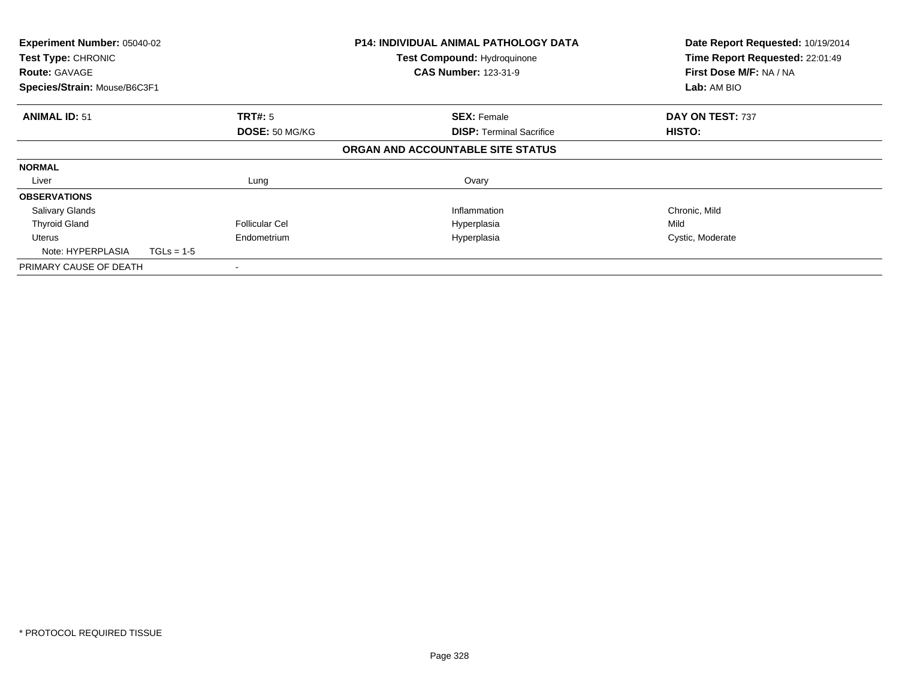| Experiment Number: 05040-02<br><b>Test Type: CHRONIC</b><br><b>Route: GAVAGE</b><br>Species/Strain: Mouse/B6C3F1 |              | <b>P14: INDIVIDUAL ANIMAL PATHOLOGY DATA</b><br><b>Test Compound: Hydroquinone</b><br><b>CAS Number: 123-31-9</b> | Date Report Requested: 10/19/2014<br>Time Report Requested: 22:01:49<br>First Dose M/F: NA / NA<br>Lab: AM BIO |                  |
|------------------------------------------------------------------------------------------------------------------|--------------|-------------------------------------------------------------------------------------------------------------------|----------------------------------------------------------------------------------------------------------------|------------------|
|                                                                                                                  |              |                                                                                                                   |                                                                                                                |                  |
| <b>ANIMAL ID: 51</b>                                                                                             |              | <b>TRT#:</b> 5                                                                                                    | <b>SEX: Female</b>                                                                                             | DAY ON TEST: 737 |
|                                                                                                                  |              | DOSE: 50 MG/KG                                                                                                    | <b>DISP:</b> Terminal Sacrifice                                                                                | HISTO:           |
|                                                                                                                  |              |                                                                                                                   | ORGAN AND ACCOUNTABLE SITE STATUS                                                                              |                  |
| <b>NORMAL</b>                                                                                                    |              |                                                                                                                   |                                                                                                                |                  |
| Liver                                                                                                            |              | Lung                                                                                                              | Ovary                                                                                                          |                  |
| <b>OBSERVATIONS</b>                                                                                              |              |                                                                                                                   |                                                                                                                |                  |
| <b>Salivary Glands</b>                                                                                           |              |                                                                                                                   | Inflammation                                                                                                   | Chronic, Mild    |
| <b>Thyroid Gland</b>                                                                                             |              | <b>Follicular Cel</b>                                                                                             | Hyperplasia                                                                                                    | Mild             |
| Uterus<br>Note: HYPERPLASIA                                                                                      | $TGLs = 1-5$ | Endometrium                                                                                                       | Hyperplasia                                                                                                    | Cystic, Moderate |
| PRIMARY CAUSE OF DEATH                                                                                           |              |                                                                                                                   |                                                                                                                |                  |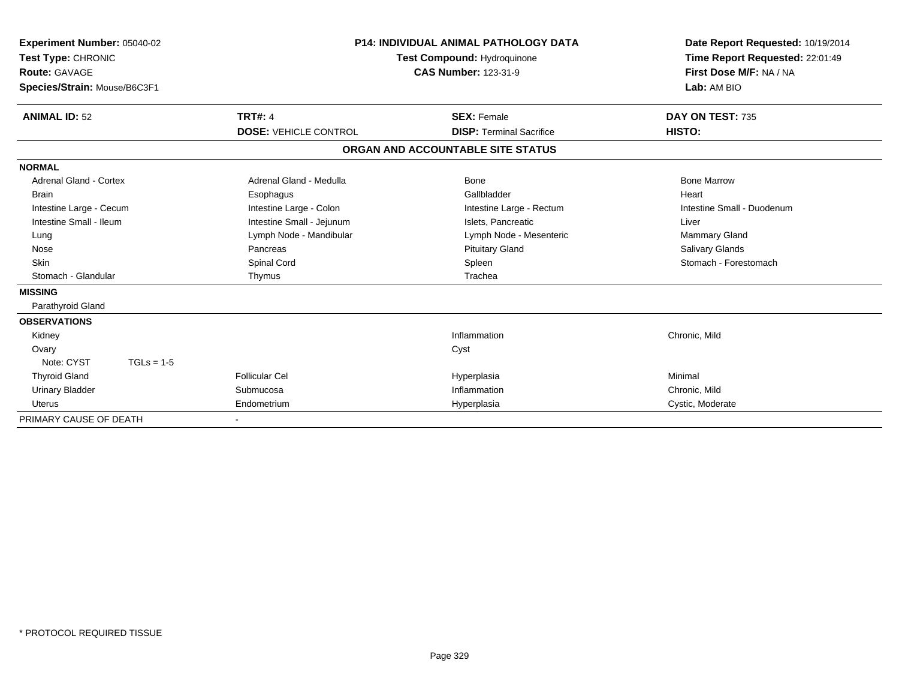| Experiment Number: 05040-02<br>Test Type: CHRONIC<br>Route: GAVAGE<br>Species/Strain: Mouse/B6C3F1 |                              | P14: INDIVIDUAL ANIMAL PATHOLOGY DATA<br>Test Compound: Hydroquinone<br><b>CAS Number: 123-31-9</b> | Date Report Requested: 10/19/2014<br>Time Report Requested: 22:01:49<br>First Dose M/F: NA / NA<br>Lab: AM BIO |  |
|----------------------------------------------------------------------------------------------------|------------------------------|-----------------------------------------------------------------------------------------------------|----------------------------------------------------------------------------------------------------------------|--|
| <b>ANIMAL ID: 52</b>                                                                               | <b>TRT#: 4</b>               | <b>SEX: Female</b>                                                                                  | DAY ON TEST: 735                                                                                               |  |
|                                                                                                    | <b>DOSE: VEHICLE CONTROL</b> | <b>DISP: Terminal Sacrifice</b>                                                                     | HISTO:                                                                                                         |  |
|                                                                                                    |                              | ORGAN AND ACCOUNTABLE SITE STATUS                                                                   |                                                                                                                |  |
| <b>NORMAL</b>                                                                                      |                              |                                                                                                     |                                                                                                                |  |
| <b>Adrenal Gland - Cortex</b>                                                                      | Adrenal Gland - Medulla      | <b>Bone</b>                                                                                         | <b>Bone Marrow</b>                                                                                             |  |
| <b>Brain</b>                                                                                       | Esophagus                    | Gallbladder                                                                                         | Heart                                                                                                          |  |
| Intestine Large - Cecum                                                                            | Intestine Large - Colon      | Intestine Large - Rectum                                                                            | Intestine Small - Duodenum                                                                                     |  |
| Intestine Small - Ileum                                                                            | Intestine Small - Jejunum    | Islets. Pancreatic                                                                                  | Liver                                                                                                          |  |
| Lung                                                                                               | Lymph Node - Mandibular      | Lymph Node - Mesenteric                                                                             | <b>Mammary Gland</b>                                                                                           |  |
| Nose                                                                                               | Pancreas                     | <b>Pituitary Gland</b>                                                                              | Salivary Glands                                                                                                |  |
| Skin                                                                                               | Spinal Cord                  | Spleen                                                                                              | Stomach - Forestomach                                                                                          |  |
| Stomach - Glandular                                                                                | Thymus                       | Trachea                                                                                             |                                                                                                                |  |
| <b>MISSING</b>                                                                                     |                              |                                                                                                     |                                                                                                                |  |
| Parathyroid Gland                                                                                  |                              |                                                                                                     |                                                                                                                |  |
| <b>OBSERVATIONS</b>                                                                                |                              |                                                                                                     |                                                                                                                |  |
| Kidney                                                                                             |                              | Inflammation                                                                                        | Chronic, Mild                                                                                                  |  |
| Ovary                                                                                              |                              | Cyst                                                                                                |                                                                                                                |  |
| Note: CYST<br>$TGLs = 1-5$                                                                         |                              |                                                                                                     |                                                                                                                |  |
| <b>Thyroid Gland</b>                                                                               | <b>Follicular Cel</b>        | Hyperplasia                                                                                         | Minimal                                                                                                        |  |
| <b>Urinary Bladder</b>                                                                             | Submucosa                    | Inflammation                                                                                        | Chronic, Mild                                                                                                  |  |
| <b>Uterus</b>                                                                                      | Endometrium                  | Hyperplasia                                                                                         | Cystic, Moderate                                                                                               |  |
| PRIMARY CAUSE OF DEATH                                                                             | $\overline{\phantom{a}}$     |                                                                                                     |                                                                                                                |  |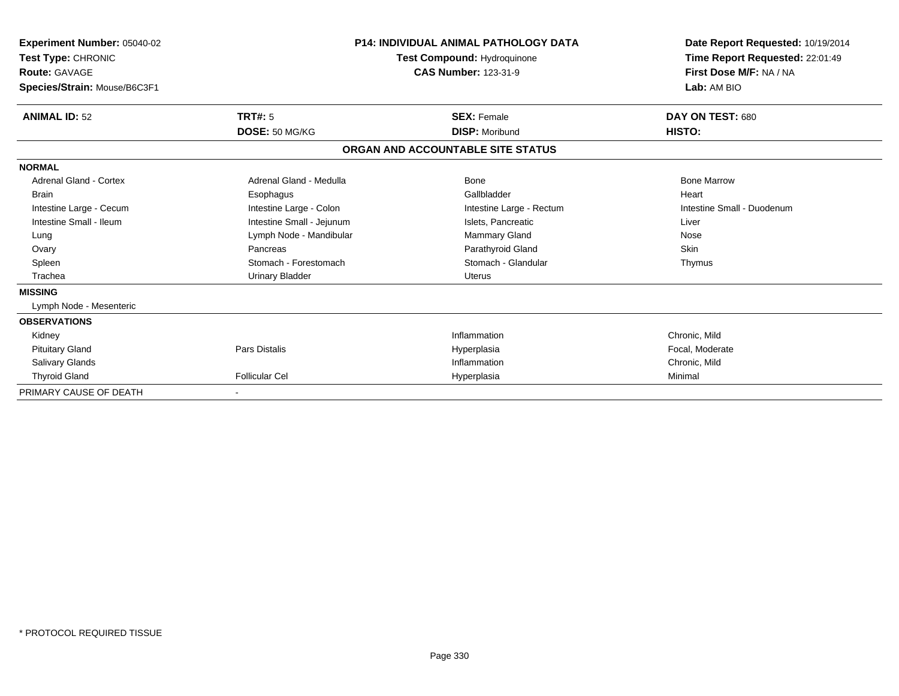| <b>Experiment Number: 05040-02</b><br>Test Type: CHRONIC<br><b>Route: GAVAGE</b><br>Species/Strain: Mouse/B6C3F1 | <b>P14: INDIVIDUAL ANIMAL PATHOLOGY DATA</b><br>Test Compound: Hydroquinone<br><b>CAS Number: 123-31-9</b> |                                   | Date Report Requested: 10/19/2014<br>Time Report Requested: 22:01:49<br>First Dose M/F: NA / NA<br>Lab: AM BIO |  |
|------------------------------------------------------------------------------------------------------------------|------------------------------------------------------------------------------------------------------------|-----------------------------------|----------------------------------------------------------------------------------------------------------------|--|
| <b>ANIMAL ID: 52</b>                                                                                             | <b>TRT#: 5</b>                                                                                             | <b>SEX: Female</b>                | DAY ON TEST: 680                                                                                               |  |
|                                                                                                                  | DOSE: 50 MG/KG                                                                                             | <b>DISP: Moribund</b>             | HISTO:                                                                                                         |  |
|                                                                                                                  |                                                                                                            | ORGAN AND ACCOUNTABLE SITE STATUS |                                                                                                                |  |
| <b>NORMAL</b>                                                                                                    |                                                                                                            |                                   |                                                                                                                |  |
| <b>Adrenal Gland - Cortex</b>                                                                                    | Adrenal Gland - Medulla                                                                                    | <b>Bone</b>                       | <b>Bone Marrow</b>                                                                                             |  |
| <b>Brain</b>                                                                                                     | Esophagus                                                                                                  | Gallbladder                       | Heart                                                                                                          |  |
| Intestine Large - Cecum                                                                                          | Intestine Large - Colon                                                                                    | Intestine Large - Rectum          | Intestine Small - Duodenum                                                                                     |  |
| Intestine Small - Ileum                                                                                          | Intestine Small - Jejunum                                                                                  | Islets, Pancreatic                | Liver                                                                                                          |  |
| Lung                                                                                                             | Lymph Node - Mandibular                                                                                    | <b>Mammary Gland</b>              | Nose                                                                                                           |  |
| Ovary                                                                                                            | Pancreas                                                                                                   | Parathyroid Gland                 | Skin                                                                                                           |  |
| Spleen                                                                                                           | Stomach - Forestomach                                                                                      | Stomach - Glandular               | Thymus                                                                                                         |  |
| Trachea                                                                                                          | <b>Urinary Bladder</b>                                                                                     | <b>Uterus</b>                     |                                                                                                                |  |
| <b>MISSING</b>                                                                                                   |                                                                                                            |                                   |                                                                                                                |  |
| Lymph Node - Mesenteric                                                                                          |                                                                                                            |                                   |                                                                                                                |  |
| <b>OBSERVATIONS</b>                                                                                              |                                                                                                            |                                   |                                                                                                                |  |
| Kidney                                                                                                           |                                                                                                            | Inflammation                      | Chronic, Mild                                                                                                  |  |
| <b>Pituitary Gland</b>                                                                                           | <b>Pars Distalis</b>                                                                                       | Hyperplasia                       | Focal, Moderate                                                                                                |  |
| <b>Salivary Glands</b>                                                                                           |                                                                                                            | Inflammation                      | Chronic, Mild                                                                                                  |  |
| <b>Thyroid Gland</b>                                                                                             | <b>Follicular Cel</b>                                                                                      | Hyperplasia                       | Minimal                                                                                                        |  |
| PRIMARY CAUSE OF DEATH                                                                                           |                                                                                                            |                                   |                                                                                                                |  |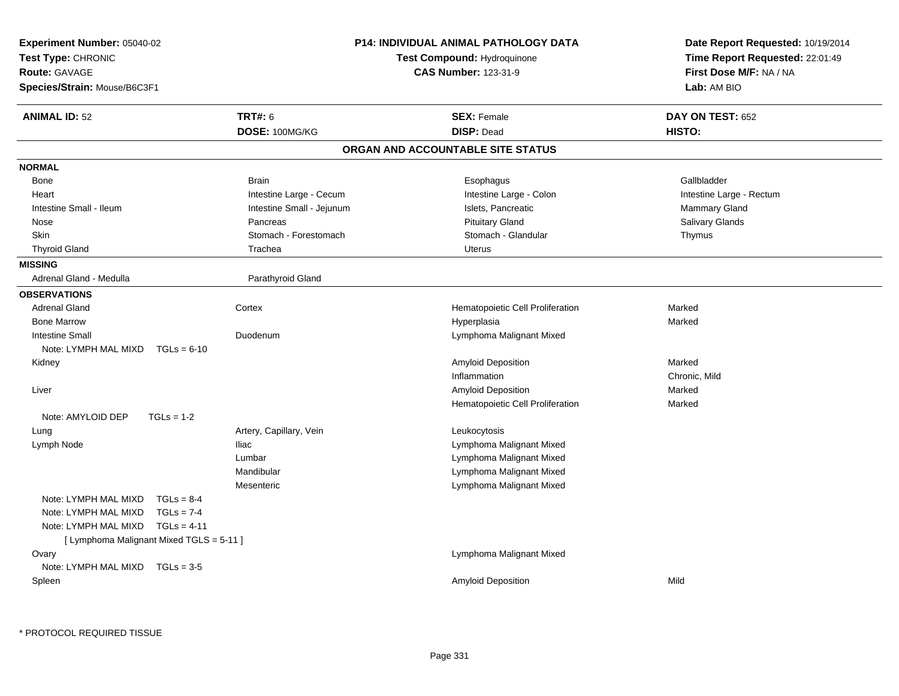| Experiment Number: 05040-02              |                           | <b>P14: INDIVIDUAL ANIMAL PATHOLOGY DATA</b> | Date Report Requested: 10/19/2014 |  |
|------------------------------------------|---------------------------|----------------------------------------------|-----------------------------------|--|
| Test Type: CHRONIC                       |                           | Test Compound: Hydroquinone                  | Time Report Requested: 22:01:49   |  |
| Route: GAVAGE                            |                           | <b>CAS Number: 123-31-9</b>                  | First Dose M/F: NA / NA           |  |
| Species/Strain: Mouse/B6C3F1             |                           |                                              | Lab: AM BIO                       |  |
| <b>ANIMAL ID: 52</b>                     | <b>TRT#: 6</b>            | <b>SEX: Female</b>                           | DAY ON TEST: 652                  |  |
|                                          | DOSE: 100MG/KG            | <b>DISP: Dead</b>                            | HISTO:                            |  |
|                                          |                           | ORGAN AND ACCOUNTABLE SITE STATUS            |                                   |  |
| <b>NORMAL</b>                            |                           |                                              |                                   |  |
| Bone                                     | <b>Brain</b>              | Esophagus                                    | Gallbladder                       |  |
| Heart                                    | Intestine Large - Cecum   | Intestine Large - Colon                      | Intestine Large - Rectum          |  |
| Intestine Small - Ileum                  | Intestine Small - Jejunum | Islets, Pancreatic                           | Mammary Gland                     |  |
| Nose                                     | Pancreas                  | <b>Pituitary Gland</b>                       | Salivary Glands                   |  |
| Skin                                     | Stomach - Forestomach     | Stomach - Glandular                          | Thymus                            |  |
| <b>Thyroid Gland</b>                     | Trachea                   | <b>Uterus</b>                                |                                   |  |
| <b>MISSING</b>                           |                           |                                              |                                   |  |
| Adrenal Gland - Medulla                  | Parathyroid Gland         |                                              |                                   |  |
| <b>OBSERVATIONS</b>                      |                           |                                              |                                   |  |
| <b>Adrenal Gland</b>                     | Cortex                    | Hematopoietic Cell Proliferation             | Marked                            |  |
| <b>Bone Marrow</b>                       |                           | Hyperplasia                                  | Marked                            |  |
| <b>Intestine Small</b>                   | Duodenum                  | Lymphoma Malignant Mixed                     |                                   |  |
| Note: LYMPH MAL MIXD<br>$TGLs = 6-10$    |                           |                                              |                                   |  |
| Kidney                                   |                           | <b>Amyloid Deposition</b>                    | Marked                            |  |
|                                          |                           | Inflammation                                 | Chronic, Mild                     |  |
| Liver                                    |                           | <b>Amyloid Deposition</b>                    | Marked                            |  |
|                                          |                           | Hematopoietic Cell Proliferation             | Marked                            |  |
| Note: AMYLOID DEP<br>$TGLs = 1-2$        |                           |                                              |                                   |  |
| Lung                                     | Artery, Capillary, Vein   | Leukocytosis                                 |                                   |  |
| Lymph Node                               | <b>Iliac</b>              | Lymphoma Malignant Mixed                     |                                   |  |
|                                          | Lumbar                    | Lymphoma Malignant Mixed                     |                                   |  |
|                                          | Mandibular                | Lymphoma Malignant Mixed                     |                                   |  |
|                                          | Mesenteric                | Lymphoma Malignant Mixed                     |                                   |  |
| Note: LYMPH MAL MIXD<br>$TGLs = 8-4$     |                           |                                              |                                   |  |
| Note: LYMPH MAL MIXD<br>$TGLs = 7-4$     |                           |                                              |                                   |  |
| Note: LYMPH MAL MIXD<br>$TGLs = 4-11$    |                           |                                              |                                   |  |
| [ Lymphoma Malignant Mixed TGLS = 5-11 ] |                           |                                              |                                   |  |
| Ovary                                    |                           | Lymphoma Malignant Mixed                     |                                   |  |
| Note: LYMPH MAL MIXD<br>$TGLs = 3-5$     |                           |                                              |                                   |  |
| Spleen                                   |                           | Amyloid Deposition                           | Mild                              |  |
|                                          |                           |                                              |                                   |  |
|                                          |                           |                                              |                                   |  |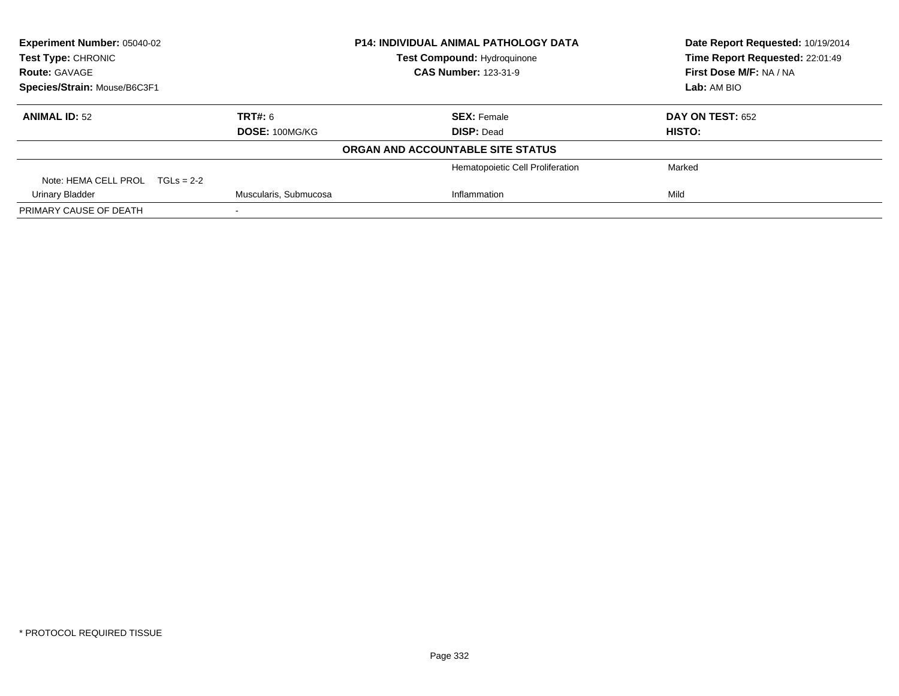| <b>Experiment Number: 05040-02</b><br>Test Type: CHRONIC |  | <b>P14: INDIVIDUAL ANIMAL PATHOLOGY DATA</b><br><b>Test Compound: Hydroquinone</b> |                                   | Date Report Requested: 10/19/2014 |
|----------------------------------------------------------|--|------------------------------------------------------------------------------------|-----------------------------------|-----------------------------------|
|                                                          |  |                                                                                    |                                   | Time Report Requested: 22:01:49   |
| <b>Route: GAVAGE</b>                                     |  |                                                                                    | <b>CAS Number: 123-31-9</b>       | First Dose M/F: NA / NA           |
| Species/Strain: Mouse/B6C3F1                             |  |                                                                                    |                                   | Lab: AM BIO                       |
| <b>ANIMAL ID: 52</b>                                     |  | <b>TRT#: 6</b>                                                                     | <b>SEX: Female</b>                | <b>DAY ON TEST: 652</b>           |
|                                                          |  | DOSE: 100MG/KG                                                                     | <b>DISP: Dead</b>                 | <b>HISTO:</b>                     |
|                                                          |  |                                                                                    | ORGAN AND ACCOUNTABLE SITE STATUS |                                   |
|                                                          |  |                                                                                    | Hematopoietic Cell Proliferation  | Marked                            |
| Note: HEMA CELL PROL $TGLs = 2-2$                        |  |                                                                                    |                                   |                                   |
| <b>Urinary Bladder</b>                                   |  | Muscularis, Submucosa                                                              | Inflammation                      | Mild                              |
| PRIMARY CAUSE OF DEATH                                   |  |                                                                                    |                                   |                                   |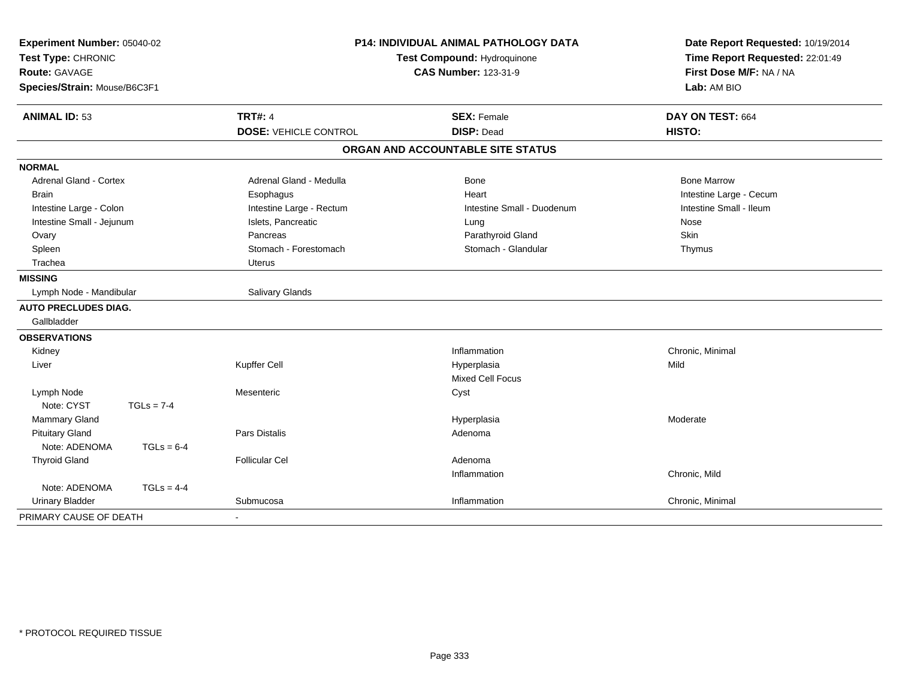| Experiment Number: 05040-02<br>Test Type: CHRONIC<br><b>Route: GAVAGE</b><br>Species/Strain: Mouse/B6C3F1 |              | <b>P14: INDIVIDUAL ANIMAL PATHOLOGY DATA</b><br>Test Compound: Hydroquinone<br><b>CAS Number: 123-31-9</b> |                                         | Date Report Requested: 10/19/2014<br>Time Report Requested: 22:01:49<br>First Dose M/F: NA / NA<br>Lab: AM BIO |
|-----------------------------------------------------------------------------------------------------------|--------------|------------------------------------------------------------------------------------------------------------|-----------------------------------------|----------------------------------------------------------------------------------------------------------------|
| <b>ANIMAL ID: 53</b>                                                                                      |              | <b>TRT#: 4</b><br><b>DOSE: VEHICLE CONTROL</b>                                                             | <b>SEX: Female</b><br><b>DISP: Dead</b> | DAY ON TEST: 664<br><b>HISTO:</b>                                                                              |
|                                                                                                           |              |                                                                                                            | ORGAN AND ACCOUNTABLE SITE STATUS       |                                                                                                                |
|                                                                                                           |              |                                                                                                            |                                         |                                                                                                                |
| <b>NORMAL</b>                                                                                             |              |                                                                                                            |                                         |                                                                                                                |
| <b>Adrenal Gland - Cortex</b><br><b>Brain</b>                                                             |              | Adrenal Gland - Medulla                                                                                    | <b>Bone</b><br>Heart                    | <b>Bone Marrow</b>                                                                                             |
| Intestine Large - Colon                                                                                   |              | Esophagus<br>Intestine Large - Rectum                                                                      | Intestine Small - Duodenum              | Intestine Large - Cecum<br>Intestine Small - Ileum                                                             |
| Intestine Small - Jejunum                                                                                 |              | Islets, Pancreatic                                                                                         | Lung                                    | Nose                                                                                                           |
| Ovary                                                                                                     |              | Pancreas                                                                                                   | Parathyroid Gland                       | Skin                                                                                                           |
| Spleen                                                                                                    |              | Stomach - Forestomach                                                                                      | Stomach - Glandular                     | Thymus                                                                                                         |
| Trachea                                                                                                   |              | <b>Uterus</b>                                                                                              |                                         |                                                                                                                |
| <b>MISSING</b>                                                                                            |              |                                                                                                            |                                         |                                                                                                                |
| Lymph Node - Mandibular                                                                                   |              | Salivary Glands                                                                                            |                                         |                                                                                                                |
| <b>AUTO PRECLUDES DIAG.</b>                                                                               |              |                                                                                                            |                                         |                                                                                                                |
| Gallbladder                                                                                               |              |                                                                                                            |                                         |                                                                                                                |
| <b>OBSERVATIONS</b>                                                                                       |              |                                                                                                            |                                         |                                                                                                                |
| Kidney                                                                                                    |              |                                                                                                            | Inflammation                            | Chronic, Minimal                                                                                               |
| Liver                                                                                                     |              | Kupffer Cell                                                                                               | Hyperplasia                             | Mild                                                                                                           |
|                                                                                                           |              |                                                                                                            | Mixed Cell Focus                        |                                                                                                                |
| Lymph Node                                                                                                |              | Mesenteric                                                                                                 | Cyst                                    |                                                                                                                |
| Note: CYST                                                                                                | $TGLs = 7-4$ |                                                                                                            |                                         |                                                                                                                |
| Mammary Gland                                                                                             |              |                                                                                                            | Hyperplasia                             | Moderate                                                                                                       |
| <b>Pituitary Gland</b>                                                                                    |              | <b>Pars Distalis</b>                                                                                       | Adenoma                                 |                                                                                                                |
| Note: ADENOMA                                                                                             | $TGLs = 6-4$ |                                                                                                            |                                         |                                                                                                                |
| <b>Thyroid Gland</b>                                                                                      |              | <b>Follicular Cel</b>                                                                                      | Adenoma                                 |                                                                                                                |
|                                                                                                           |              |                                                                                                            | Inflammation                            | Chronic, Mild                                                                                                  |
| Note: ADENOMA                                                                                             | $TGLs = 4-4$ |                                                                                                            |                                         |                                                                                                                |
| <b>Urinary Bladder</b>                                                                                    |              | Submucosa                                                                                                  | Inflammation                            | Chronic, Minimal                                                                                               |
| PRIMARY CAUSE OF DEATH                                                                                    |              |                                                                                                            |                                         |                                                                                                                |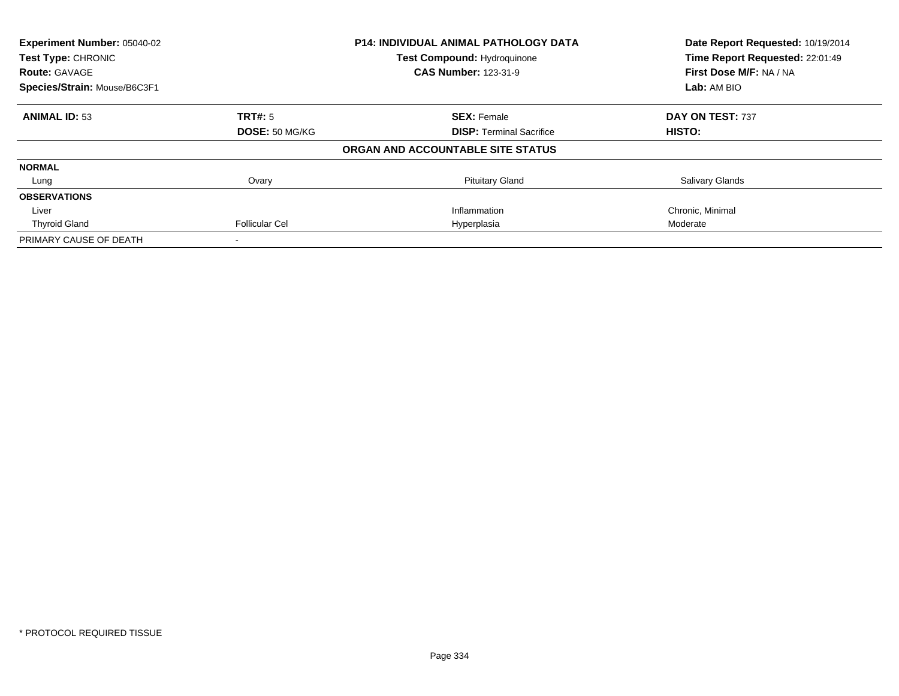| Experiment Number: 05040-02  |                       | <b>P14: INDIVIDUAL ANIMAL PATHOLOGY DATA</b> | Date Report Requested: 10/19/2014 |
|------------------------------|-----------------------|----------------------------------------------|-----------------------------------|
| Test Type: CHRONIC           |                       | <b>Test Compound: Hydroquinone</b>           | Time Report Requested: 22:01:49   |
| <b>Route: GAVAGE</b>         |                       | <b>CAS Number: 123-31-9</b>                  | First Dose M/F: NA / NA           |
| Species/Strain: Mouse/B6C3F1 |                       |                                              | Lab: AM BIO                       |
| <b>ANIMAL ID: 53</b>         | <b>TRT#: 5</b>        | <b>SEX: Female</b>                           | DAY ON TEST: 737                  |
|                              | DOSE: 50 MG/KG        | <b>DISP:</b> Terminal Sacrifice              | HISTO:                            |
|                              |                       | ORGAN AND ACCOUNTABLE SITE STATUS            |                                   |
| <b>NORMAL</b>                |                       |                                              |                                   |
| Lung                         | Ovary                 | <b>Pituitary Gland</b>                       | <b>Salivary Glands</b>            |
| <b>OBSERVATIONS</b>          |                       |                                              |                                   |
| Liver                        |                       | Inflammation                                 | Chronic, Minimal                  |
| <b>Thyroid Gland</b>         | <b>Follicular Cel</b> | Hyperplasia                                  | Moderate                          |
| PRIMARY CAUSE OF DEATH       |                       |                                              |                                   |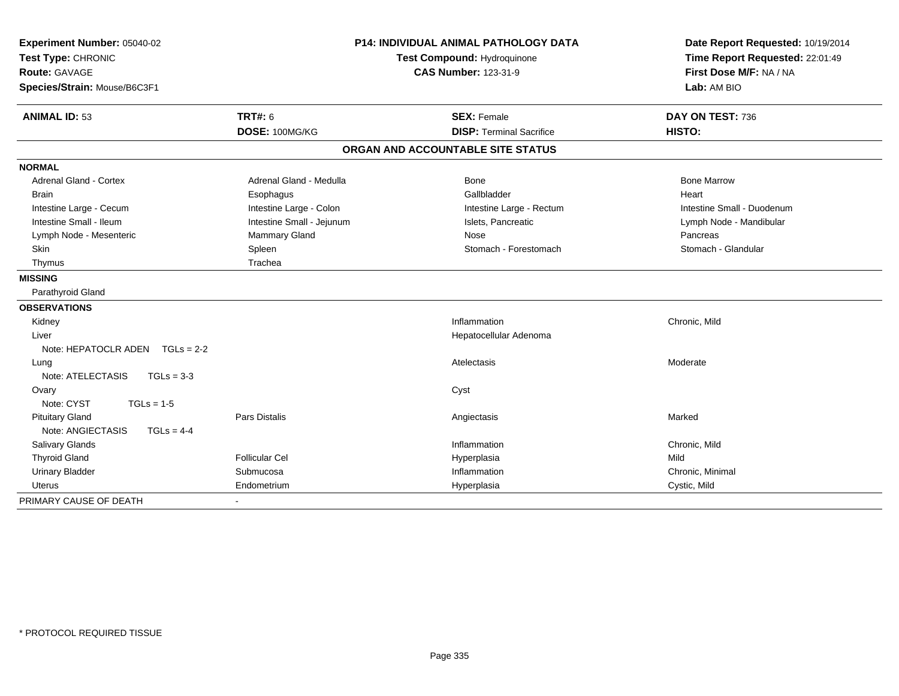| Experiment Number: 05040-02<br>Test Type: CHRONIC<br><b>Route: GAVAGE</b><br>Species/Strain: Mouse/B6C3F1 |                           | P14: INDIVIDUAL ANIMAL PATHOLOGY DATA<br>Test Compound: Hydroquinone<br><b>CAS Number: 123-31-9</b> | Date Report Requested: 10/19/2014<br>Time Report Requested: 22:01:49<br>First Dose M/F: NA / NA<br>Lab: AM BIO |
|-----------------------------------------------------------------------------------------------------------|---------------------------|-----------------------------------------------------------------------------------------------------|----------------------------------------------------------------------------------------------------------------|
| <b>ANIMAL ID: 53</b>                                                                                      | <b>TRT#: 6</b>            | <b>SEX: Female</b>                                                                                  | DAY ON TEST: 736                                                                                               |
|                                                                                                           | DOSE: 100MG/KG            | <b>DISP: Terminal Sacrifice</b>                                                                     | HISTO:                                                                                                         |
|                                                                                                           |                           | ORGAN AND ACCOUNTABLE SITE STATUS                                                                   |                                                                                                                |
| <b>NORMAL</b>                                                                                             |                           |                                                                                                     |                                                                                                                |
| Adrenal Gland - Cortex                                                                                    | Adrenal Gland - Medulla   | Bone                                                                                                | <b>Bone Marrow</b>                                                                                             |
| <b>Brain</b>                                                                                              | Esophagus                 | Gallbladder                                                                                         | Heart                                                                                                          |
| Intestine Large - Cecum                                                                                   | Intestine Large - Colon   | Intestine Large - Rectum                                                                            | Intestine Small - Duodenum                                                                                     |
| Intestine Small - Ileum                                                                                   | Intestine Small - Jejunum | Islets, Pancreatic                                                                                  | Lymph Node - Mandibular                                                                                        |
| Lymph Node - Mesenteric                                                                                   | Mammary Gland             | Nose                                                                                                | Pancreas                                                                                                       |
| Skin                                                                                                      | Spleen                    | Stomach - Forestomach                                                                               | Stomach - Glandular                                                                                            |
| Thymus                                                                                                    | Trachea                   |                                                                                                     |                                                                                                                |
| <b>MISSING</b>                                                                                            |                           |                                                                                                     |                                                                                                                |
| Parathyroid Gland                                                                                         |                           |                                                                                                     |                                                                                                                |
| <b>OBSERVATIONS</b>                                                                                       |                           |                                                                                                     |                                                                                                                |
| Kidney                                                                                                    |                           | Inflammation                                                                                        | Chronic, Mild                                                                                                  |
| Liver                                                                                                     |                           | Hepatocellular Adenoma                                                                              |                                                                                                                |
| Note: HEPATOCLR ADEN TGLs = 2-2                                                                           |                           |                                                                                                     |                                                                                                                |
| Lung                                                                                                      |                           | Atelectasis                                                                                         | Moderate                                                                                                       |
| Note: ATELECTASIS<br>$TGLs = 3-3$                                                                         |                           |                                                                                                     |                                                                                                                |
| Ovary                                                                                                     |                           | Cyst                                                                                                |                                                                                                                |
| Note: CYST<br>$TGLs = 1-5$                                                                                |                           |                                                                                                     |                                                                                                                |
| <b>Pituitary Gland</b>                                                                                    | <b>Pars Distalis</b>      | Angiectasis                                                                                         | Marked                                                                                                         |
| Note: ANGIECTASIS<br>$TGLs = 4-4$                                                                         |                           |                                                                                                     |                                                                                                                |
| Salivary Glands                                                                                           |                           | Inflammation                                                                                        | Chronic, Mild                                                                                                  |
| <b>Thyroid Gland</b>                                                                                      | <b>Follicular Cel</b>     | Hyperplasia                                                                                         | Mild                                                                                                           |
| <b>Urinary Bladder</b>                                                                                    | Submucosa                 | Inflammation                                                                                        | Chronic, Minimal                                                                                               |
| Uterus                                                                                                    | Endometrium               | Hyperplasia                                                                                         | Cystic, Mild                                                                                                   |
| PRIMARY CAUSE OF DEATH                                                                                    |                           |                                                                                                     |                                                                                                                |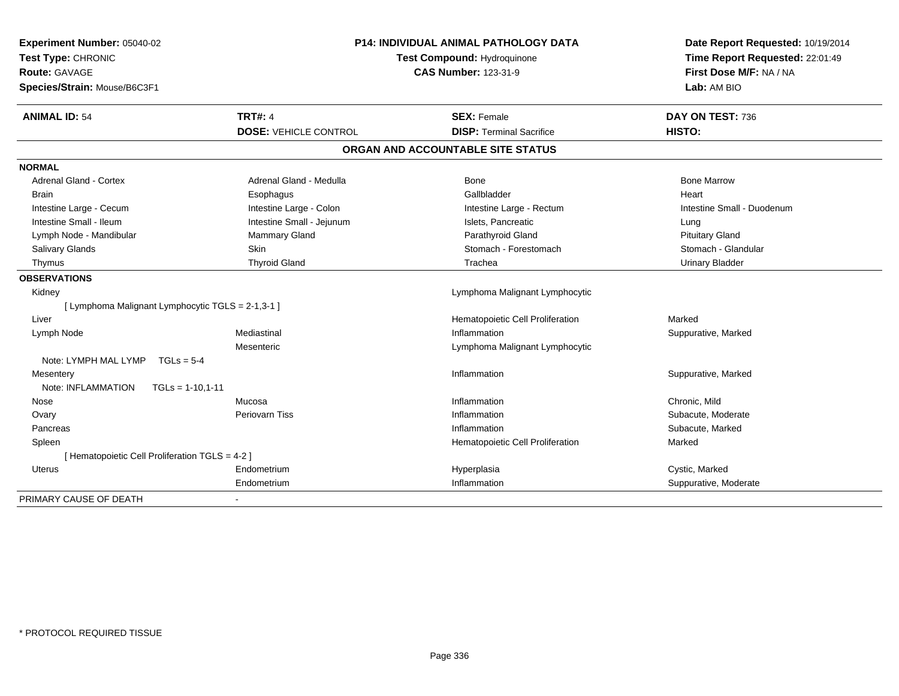| Experiment Number: 05040-02<br>Test Type: CHRONIC<br><b>Route: GAVAGE</b><br>Species/Strain: Mouse/B6C3F1 | <b>P14: INDIVIDUAL ANIMAL PATHOLOGY DATA</b><br><b>Test Compound: Hydroquinone</b><br><b>CAS Number: 123-31-9</b> |                                   | Date Report Requested: 10/19/2014<br>Time Report Requested: 22:01:49<br>First Dose M/F: NA / NA<br>Lab: AM BIO |
|-----------------------------------------------------------------------------------------------------------|-------------------------------------------------------------------------------------------------------------------|-----------------------------------|----------------------------------------------------------------------------------------------------------------|
| <b>ANIMAL ID: 54</b>                                                                                      | <b>TRT#: 4</b>                                                                                                    | <b>SEX: Female</b>                | DAY ON TEST: 736                                                                                               |
|                                                                                                           | <b>DOSE: VEHICLE CONTROL</b>                                                                                      | <b>DISP: Terminal Sacrifice</b>   | HISTO:                                                                                                         |
|                                                                                                           |                                                                                                                   | ORGAN AND ACCOUNTABLE SITE STATUS |                                                                                                                |
| <b>NORMAL</b>                                                                                             |                                                                                                                   |                                   |                                                                                                                |
| <b>Adrenal Gland - Cortex</b>                                                                             | Adrenal Gland - Medulla                                                                                           | Bone                              | <b>Bone Marrow</b>                                                                                             |
| <b>Brain</b>                                                                                              | Esophagus                                                                                                         | Gallbladder                       | Heart                                                                                                          |
| Intestine Large - Cecum                                                                                   | Intestine Large - Colon                                                                                           | Intestine Large - Rectum          | Intestine Small - Duodenum                                                                                     |
| Intestine Small - Ileum                                                                                   | Intestine Small - Jejunum                                                                                         | Islets, Pancreatic                | Lung                                                                                                           |
| Lymph Node - Mandibular                                                                                   | Mammary Gland                                                                                                     | Parathyroid Gland                 | <b>Pituitary Gland</b>                                                                                         |
| Salivary Glands                                                                                           | Skin                                                                                                              | Stomach - Forestomach             | Stomach - Glandular                                                                                            |
| Thymus                                                                                                    | <b>Thyroid Gland</b>                                                                                              | Trachea                           | <b>Urinary Bladder</b>                                                                                         |
| <b>OBSERVATIONS</b>                                                                                       |                                                                                                                   |                                   |                                                                                                                |
| Kidney                                                                                                    |                                                                                                                   | Lymphoma Malignant Lymphocytic    |                                                                                                                |
| [ Lymphoma Malignant Lymphocytic TGLS = 2-1,3-1 ]                                                         |                                                                                                                   |                                   |                                                                                                                |
| Liver                                                                                                     |                                                                                                                   | Hematopoietic Cell Proliferation  | Marked                                                                                                         |
| Lymph Node                                                                                                | Mediastinal                                                                                                       | Inflammation                      | Suppurative, Marked                                                                                            |
|                                                                                                           | Mesenteric                                                                                                        | Lymphoma Malignant Lymphocytic    |                                                                                                                |
| Note: LYMPH MAL LYMP TGLs = 5-4                                                                           |                                                                                                                   |                                   |                                                                                                                |
| Mesentery                                                                                                 |                                                                                                                   | Inflammation                      | Suppurative, Marked                                                                                            |
| Note: INFLAMMATION<br>$TGLs = 1-10.1-11$                                                                  |                                                                                                                   |                                   |                                                                                                                |
| Nose                                                                                                      | Mucosa                                                                                                            | Inflammation                      | Chronic, Mild                                                                                                  |
| Ovary                                                                                                     | <b>Periovarn Tiss</b>                                                                                             | Inflammation                      | Subacute, Moderate                                                                                             |
| Pancreas                                                                                                  |                                                                                                                   | Inflammation                      | Subacute, Marked                                                                                               |
| Spleen                                                                                                    |                                                                                                                   | Hematopoietic Cell Proliferation  | Marked                                                                                                         |
| [ Hematopoietic Cell Proliferation TGLS = 4-2 ]                                                           |                                                                                                                   |                                   |                                                                                                                |
| <b>Uterus</b>                                                                                             | Endometrium                                                                                                       | Hyperplasia                       | Cystic, Marked                                                                                                 |
|                                                                                                           | Endometrium                                                                                                       | Inflammation                      | Suppurative, Moderate                                                                                          |
| PRIMARY CAUSE OF DEATH                                                                                    |                                                                                                                   |                                   |                                                                                                                |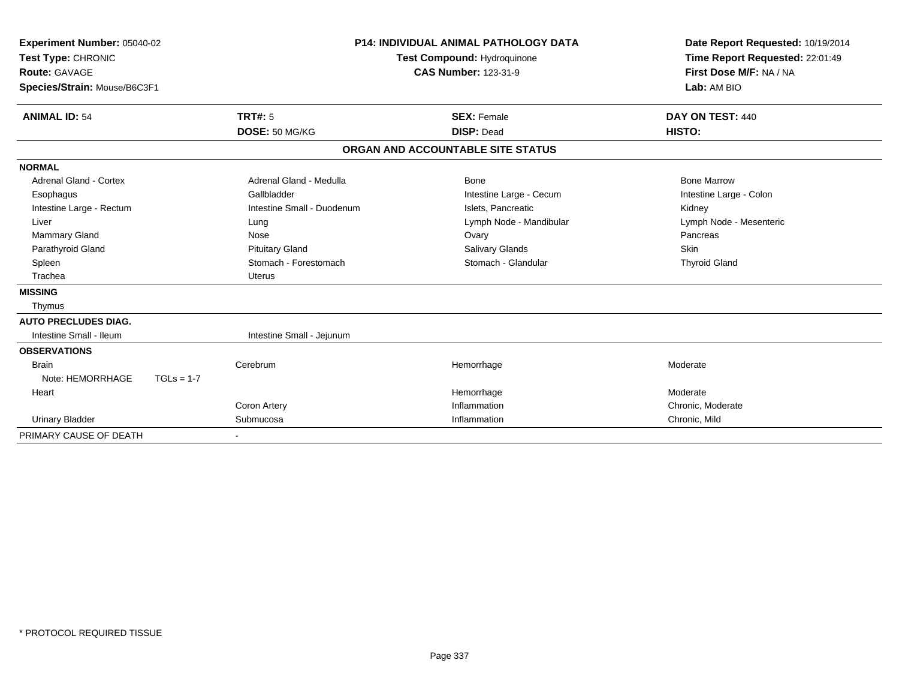| Experiment Number: 05040-02<br>Test Type: CHRONIC<br><b>Route: GAVAGE</b><br>Species/Strain: Mouse/B6C3F1<br><b>ANIMAL ID: 54</b> |              | <b>P14: INDIVIDUAL ANIMAL PATHOLOGY DATA</b><br><b>Test Compound: Hydroquinone</b><br><b>CAS Number: 123-31-9</b><br><b>TRT#: 5</b><br><b>SEX: Female</b> |  | Date Report Requested: 10/19/2014<br>Time Report Requested: 22:01:49<br>First Dose M/F: NA / NA<br>Lab: AM BIO<br>DAY ON TEST: 440 |                         |
|-----------------------------------------------------------------------------------------------------------------------------------|--------------|-----------------------------------------------------------------------------------------------------------------------------------------------------------|--|------------------------------------------------------------------------------------------------------------------------------------|-------------------------|
|                                                                                                                                   |              | DOSE: 50 MG/KG                                                                                                                                            |  | <b>DISP: Dead</b>                                                                                                                  | HISTO:                  |
|                                                                                                                                   |              |                                                                                                                                                           |  | ORGAN AND ACCOUNTABLE SITE STATUS                                                                                                  |                         |
| <b>NORMAL</b>                                                                                                                     |              |                                                                                                                                                           |  |                                                                                                                                    |                         |
| Adrenal Gland - Cortex                                                                                                            |              | Adrenal Gland - Medulla                                                                                                                                   |  | <b>Bone</b>                                                                                                                        | <b>Bone Marrow</b>      |
| Esophagus                                                                                                                         |              | Gallbladder                                                                                                                                               |  | Intestine Large - Cecum                                                                                                            | Intestine Large - Colon |
| Intestine Large - Rectum                                                                                                          |              | Intestine Small - Duodenum                                                                                                                                |  | Islets. Pancreatic                                                                                                                 | Kidney                  |
| Liver                                                                                                                             |              | Lung                                                                                                                                                      |  | Lymph Node - Mandibular                                                                                                            | Lymph Node - Mesenteric |
| Mammary Gland                                                                                                                     |              | Nose                                                                                                                                                      |  | Ovary                                                                                                                              | Pancreas                |
| Parathyroid Gland                                                                                                                 |              | <b>Pituitary Gland</b>                                                                                                                                    |  | <b>Salivary Glands</b>                                                                                                             | Skin                    |
| Spleen                                                                                                                            |              | Stomach - Forestomach                                                                                                                                     |  | Stomach - Glandular                                                                                                                | <b>Thyroid Gland</b>    |
| Trachea                                                                                                                           |              | <b>Uterus</b>                                                                                                                                             |  |                                                                                                                                    |                         |
| <b>MISSING</b>                                                                                                                    |              |                                                                                                                                                           |  |                                                                                                                                    |                         |
| Thymus                                                                                                                            |              |                                                                                                                                                           |  |                                                                                                                                    |                         |
| <b>AUTO PRECLUDES DIAG.</b>                                                                                                       |              |                                                                                                                                                           |  |                                                                                                                                    |                         |
| Intestine Small - Ileum                                                                                                           |              | Intestine Small - Jejunum                                                                                                                                 |  |                                                                                                                                    |                         |
| <b>OBSERVATIONS</b>                                                                                                               |              |                                                                                                                                                           |  |                                                                                                                                    |                         |
| <b>Brain</b>                                                                                                                      |              | Cerebrum                                                                                                                                                  |  | Hemorrhage                                                                                                                         | Moderate                |
| Note: HEMORRHAGE                                                                                                                  | $TGLs = 1-7$ |                                                                                                                                                           |  |                                                                                                                                    |                         |
| Heart                                                                                                                             |              |                                                                                                                                                           |  | Hemorrhage                                                                                                                         | Moderate                |
|                                                                                                                                   |              | Coron Artery                                                                                                                                              |  | Inflammation                                                                                                                       | Chronic, Moderate       |
| <b>Urinary Bladder</b>                                                                                                            |              | Submucosa                                                                                                                                                 |  | Inflammation                                                                                                                       | Chronic, Mild           |
| PRIMARY CAUSE OF DEATH                                                                                                            |              |                                                                                                                                                           |  |                                                                                                                                    |                         |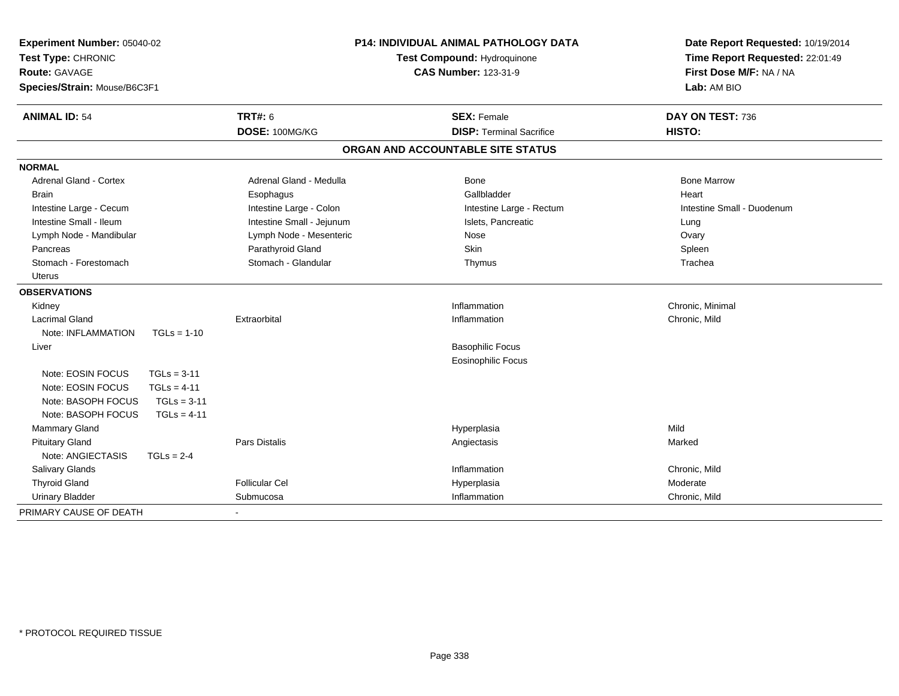| Experiment Number: 05040-02<br>Test Type: CHRONIC<br>Route: GAVAGE<br>Species/Strain: Mouse/B6C3F1 |                           | P14: INDIVIDUAL ANIMAL PATHOLOGY DATA<br>Test Compound: Hydroquinone<br><b>CAS Number: 123-31-9</b> | Date Report Requested: 10/19/2014<br>Time Report Requested: 22:01:49<br>First Dose M/F: NA / NA<br>Lab: AM BIO |  |
|----------------------------------------------------------------------------------------------------|---------------------------|-----------------------------------------------------------------------------------------------------|----------------------------------------------------------------------------------------------------------------|--|
| <b>ANIMAL ID: 54</b>                                                                               | <b>TRT#: 6</b>            | <b>SEX: Female</b>                                                                                  | DAY ON TEST: 736                                                                                               |  |
|                                                                                                    | DOSE: 100MG/KG            | <b>DISP: Terminal Sacrifice</b>                                                                     | HISTO:                                                                                                         |  |
|                                                                                                    |                           | ORGAN AND ACCOUNTABLE SITE STATUS                                                                   |                                                                                                                |  |
| <b>NORMAL</b>                                                                                      |                           |                                                                                                     |                                                                                                                |  |
| <b>Adrenal Gland - Cortex</b>                                                                      | Adrenal Gland - Medulla   | Bone                                                                                                | <b>Bone Marrow</b>                                                                                             |  |
| <b>Brain</b>                                                                                       | Esophagus                 | Gallbladder                                                                                         | Heart                                                                                                          |  |
| Intestine Large - Cecum                                                                            | Intestine Large - Colon   | Intestine Large - Rectum                                                                            | Intestine Small - Duodenum                                                                                     |  |
| Intestine Small - Ileum                                                                            | Intestine Small - Jejunum | Islets, Pancreatic                                                                                  | Lung                                                                                                           |  |
| Lymph Node - Mandibular                                                                            | Lymph Node - Mesenteric   | Nose                                                                                                | Ovary                                                                                                          |  |
| Pancreas                                                                                           | Parathyroid Gland         | Skin                                                                                                | Spleen                                                                                                         |  |
| Stomach - Forestomach                                                                              | Stomach - Glandular       | Thymus                                                                                              | Trachea                                                                                                        |  |
| <b>Uterus</b>                                                                                      |                           |                                                                                                     |                                                                                                                |  |
| <b>OBSERVATIONS</b>                                                                                |                           |                                                                                                     |                                                                                                                |  |
| Kidney                                                                                             |                           | Inflammation                                                                                        | Chronic, Minimal                                                                                               |  |
| <b>Lacrimal Gland</b>                                                                              | Extraorbital              | Inflammation                                                                                        | Chronic, Mild                                                                                                  |  |
| Note: INFLAMMATION<br>$TGLs = 1-10$                                                                |                           |                                                                                                     |                                                                                                                |  |
| Liver                                                                                              |                           | <b>Basophilic Focus</b>                                                                             |                                                                                                                |  |
|                                                                                                    |                           | <b>Eosinophilic Focus</b>                                                                           |                                                                                                                |  |
| Note: EOSIN FOCUS<br>$TGLs = 3-11$                                                                 |                           |                                                                                                     |                                                                                                                |  |
| $TGLs = 4-11$<br>Note: EOSIN FOCUS                                                                 |                           |                                                                                                     |                                                                                                                |  |
| $TGLs = 3-11$<br>Note: BASOPH FOCUS                                                                |                           |                                                                                                     |                                                                                                                |  |
| Note: BASOPH FOCUS<br>$TGLs = 4-11$                                                                |                           |                                                                                                     |                                                                                                                |  |
| Mammary Gland                                                                                      |                           | Hyperplasia                                                                                         | Mild                                                                                                           |  |
| <b>Pituitary Gland</b>                                                                             | <b>Pars Distalis</b>      | Angiectasis                                                                                         | Marked                                                                                                         |  |
| Note: ANGIECTASIS<br>$TGLs = 2-4$                                                                  |                           |                                                                                                     |                                                                                                                |  |
| Salivary Glands                                                                                    |                           | Inflammation                                                                                        | Chronic, Mild                                                                                                  |  |
| <b>Thyroid Gland</b>                                                                               | <b>Follicular Cel</b>     | Hyperplasia                                                                                         | Moderate                                                                                                       |  |
| <b>Urinary Bladder</b>                                                                             | Submucosa                 | Inflammation                                                                                        | Chronic, Mild                                                                                                  |  |
| PRIMARY CAUSE OF DEATH                                                                             |                           |                                                                                                     |                                                                                                                |  |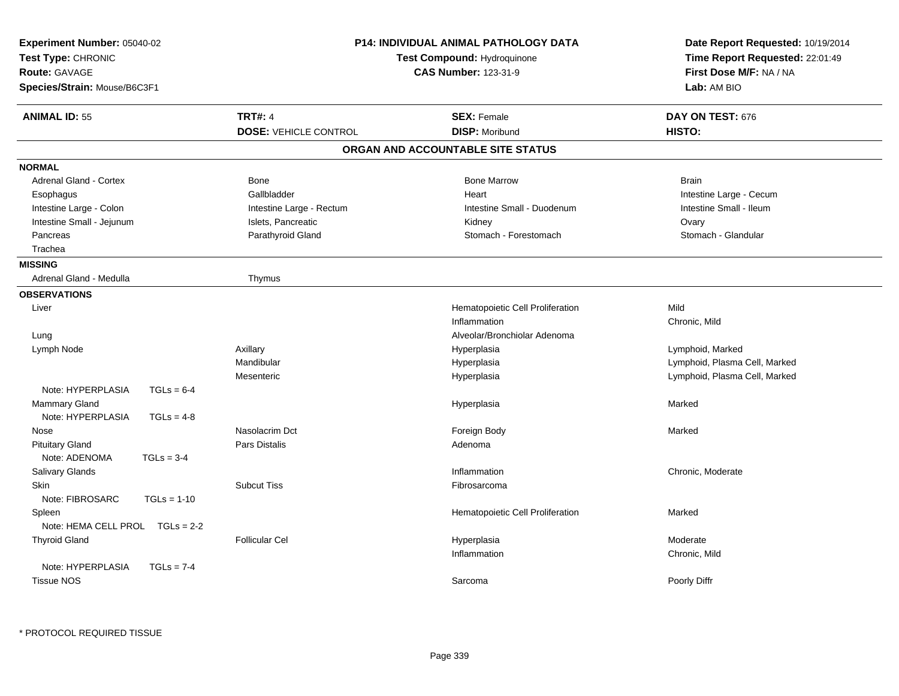| <b>TRT#: 4</b><br><b>ANIMAL ID: 55</b><br><b>SEX: Female</b><br>DAY ON TEST: 676<br><b>DISP: Moribund</b><br>HISTO:<br><b>DOSE: VEHICLE CONTROL</b><br>ORGAN AND ACCOUNTABLE SITE STATUS<br><b>NORMAL</b><br><b>Adrenal Gland - Cortex</b><br><b>Bone Marrow</b><br><b>Bone</b><br><b>Brain</b><br>Gallbladder<br>Heart<br>Intestine Large - Cecum<br>Esophagus<br>Intestine Small - Ileum<br>Intestine Large - Colon<br>Intestine Small - Duodenum<br>Intestine Large - Rectum<br>Intestine Small - Jejunum<br>Islets, Pancreatic<br>Kidney<br>Ovary<br>Pancreas<br>Parathyroid Gland<br>Stomach - Forestomach<br>Stomach - Glandular<br>Trachea<br><b>MISSING</b><br>Adrenal Gland - Medulla<br>Thymus<br><b>OBSERVATIONS</b><br>Hematopoietic Cell Proliferation<br>Mild<br>Liver<br>Inflammation<br>Chronic, Mild<br>Alveolar/Bronchiolar Adenoma<br>Lung<br>Axillary<br>Hyperplasia<br>Lymphoid, Marked<br>Lymph Node<br>Mandibular<br>Lymphoid, Plasma Cell, Marked<br>Hyperplasia<br>Mesenteric<br>Hyperplasia<br>Lymphoid, Plasma Cell, Marked<br>Note: HYPERPLASIA<br>$TGLs = 6-4$<br>Mammary Gland<br>Marked<br>Hyperplasia<br>Note: HYPERPLASIA<br>$TGLs = 4-8$<br>Nasolacrim Dct<br>Foreign Body<br>Nose<br>Marked<br><b>Pituitary Gland</b><br>Pars Distalis<br>Adenoma<br>Note: ADENOMA<br>$TGLs = 3-4$<br>Salivary Glands<br>Chronic, Moderate<br>Inflammation<br>Skin<br><b>Subcut Tiss</b><br>Fibrosarcoma<br>Note: FIBROSARC<br>$TGLs = 1-10$<br>Hematopoietic Cell Proliferation<br>Spleen<br>Marked<br>Note: HEMA CELL PROL TGLs = 2-2<br><b>Thyroid Gland</b><br><b>Follicular Cel</b><br>Hyperplasia<br>Moderate<br>Inflammation<br>Chronic, Mild<br>Note: HYPERPLASIA<br>$TGLs = 7-4$<br><b>Tissue NOS</b><br>Sarcoma<br>Poorly Diffr | Experiment Number: 05040-02<br>Test Type: CHRONIC<br><b>Route: GAVAGE</b><br>Species/Strain: Mouse/B6C3F1 | <b>P14: INDIVIDUAL ANIMAL PATHOLOGY DATA</b><br>Test Compound: Hydroquinone<br><b>CAS Number: 123-31-9</b> | Date Report Requested: 10/19/2014<br>Time Report Requested: 22:01:49<br>First Dose M/F: NA / NA<br>Lab: AM BIO |
|--------------------------------------------------------------------------------------------------------------------------------------------------------------------------------------------------------------------------------------------------------------------------------------------------------------------------------------------------------------------------------------------------------------------------------------------------------------------------------------------------------------------------------------------------------------------------------------------------------------------------------------------------------------------------------------------------------------------------------------------------------------------------------------------------------------------------------------------------------------------------------------------------------------------------------------------------------------------------------------------------------------------------------------------------------------------------------------------------------------------------------------------------------------------------------------------------------------------------------------------------------------------------------------------------------------------------------------------------------------------------------------------------------------------------------------------------------------------------------------------------------------------------------------------------------------------------------------------------------------------------------------------------------------------------------------------------------------------------------------------------------------|-----------------------------------------------------------------------------------------------------------|------------------------------------------------------------------------------------------------------------|----------------------------------------------------------------------------------------------------------------|
|                                                                                                                                                                                                                                                                                                                                                                                                                                                                                                                                                                                                                                                                                                                                                                                                                                                                                                                                                                                                                                                                                                                                                                                                                                                                                                                                                                                                                                                                                                                                                                                                                                                                                                                                                              |                                                                                                           |                                                                                                            |                                                                                                                |
|                                                                                                                                                                                                                                                                                                                                                                                                                                                                                                                                                                                                                                                                                                                                                                                                                                                                                                                                                                                                                                                                                                                                                                                                                                                                                                                                                                                                                                                                                                                                                                                                                                                                                                                                                              |                                                                                                           |                                                                                                            |                                                                                                                |
|                                                                                                                                                                                                                                                                                                                                                                                                                                                                                                                                                                                                                                                                                                                                                                                                                                                                                                                                                                                                                                                                                                                                                                                                                                                                                                                                                                                                                                                                                                                                                                                                                                                                                                                                                              |                                                                                                           |                                                                                                            |                                                                                                                |
|                                                                                                                                                                                                                                                                                                                                                                                                                                                                                                                                                                                                                                                                                                                                                                                                                                                                                                                                                                                                                                                                                                                                                                                                                                                                                                                                                                                                                                                                                                                                                                                                                                                                                                                                                              |                                                                                                           |                                                                                                            |                                                                                                                |
|                                                                                                                                                                                                                                                                                                                                                                                                                                                                                                                                                                                                                                                                                                                                                                                                                                                                                                                                                                                                                                                                                                                                                                                                                                                                                                                                                                                                                                                                                                                                                                                                                                                                                                                                                              |                                                                                                           |                                                                                                            |                                                                                                                |
|                                                                                                                                                                                                                                                                                                                                                                                                                                                                                                                                                                                                                                                                                                                                                                                                                                                                                                                                                                                                                                                                                                                                                                                                                                                                                                                                                                                                                                                                                                                                                                                                                                                                                                                                                              |                                                                                                           |                                                                                                            |                                                                                                                |
|                                                                                                                                                                                                                                                                                                                                                                                                                                                                                                                                                                                                                                                                                                                                                                                                                                                                                                                                                                                                                                                                                                                                                                                                                                                                                                                                                                                                                                                                                                                                                                                                                                                                                                                                                              |                                                                                                           |                                                                                                            |                                                                                                                |
|                                                                                                                                                                                                                                                                                                                                                                                                                                                                                                                                                                                                                                                                                                                                                                                                                                                                                                                                                                                                                                                                                                                                                                                                                                                                                                                                                                                                                                                                                                                                                                                                                                                                                                                                                              |                                                                                                           |                                                                                                            |                                                                                                                |
|                                                                                                                                                                                                                                                                                                                                                                                                                                                                                                                                                                                                                                                                                                                                                                                                                                                                                                                                                                                                                                                                                                                                                                                                                                                                                                                                                                                                                                                                                                                                                                                                                                                                                                                                                              |                                                                                                           |                                                                                                            |                                                                                                                |
|                                                                                                                                                                                                                                                                                                                                                                                                                                                                                                                                                                                                                                                                                                                                                                                                                                                                                                                                                                                                                                                                                                                                                                                                                                                                                                                                                                                                                                                                                                                                                                                                                                                                                                                                                              |                                                                                                           |                                                                                                            |                                                                                                                |
|                                                                                                                                                                                                                                                                                                                                                                                                                                                                                                                                                                                                                                                                                                                                                                                                                                                                                                                                                                                                                                                                                                                                                                                                                                                                                                                                                                                                                                                                                                                                                                                                                                                                                                                                                              |                                                                                                           |                                                                                                            |                                                                                                                |
|                                                                                                                                                                                                                                                                                                                                                                                                                                                                                                                                                                                                                                                                                                                                                                                                                                                                                                                                                                                                                                                                                                                                                                                                                                                                                                                                                                                                                                                                                                                                                                                                                                                                                                                                                              |                                                                                                           |                                                                                                            |                                                                                                                |
|                                                                                                                                                                                                                                                                                                                                                                                                                                                                                                                                                                                                                                                                                                                                                                                                                                                                                                                                                                                                                                                                                                                                                                                                                                                                                                                                                                                                                                                                                                                                                                                                                                                                                                                                                              |                                                                                                           |                                                                                                            |                                                                                                                |
|                                                                                                                                                                                                                                                                                                                                                                                                                                                                                                                                                                                                                                                                                                                                                                                                                                                                                                                                                                                                                                                                                                                                                                                                                                                                                                                                                                                                                                                                                                                                                                                                                                                                                                                                                              |                                                                                                           |                                                                                                            |                                                                                                                |
|                                                                                                                                                                                                                                                                                                                                                                                                                                                                                                                                                                                                                                                                                                                                                                                                                                                                                                                                                                                                                                                                                                                                                                                                                                                                                                                                                                                                                                                                                                                                                                                                                                                                                                                                                              |                                                                                                           |                                                                                                            |                                                                                                                |
|                                                                                                                                                                                                                                                                                                                                                                                                                                                                                                                                                                                                                                                                                                                                                                                                                                                                                                                                                                                                                                                                                                                                                                                                                                                                                                                                                                                                                                                                                                                                                                                                                                                                                                                                                              |                                                                                                           |                                                                                                            |                                                                                                                |
|                                                                                                                                                                                                                                                                                                                                                                                                                                                                                                                                                                                                                                                                                                                                                                                                                                                                                                                                                                                                                                                                                                                                                                                                                                                                                                                                                                                                                                                                                                                                                                                                                                                                                                                                                              |                                                                                                           |                                                                                                            |                                                                                                                |
|                                                                                                                                                                                                                                                                                                                                                                                                                                                                                                                                                                                                                                                                                                                                                                                                                                                                                                                                                                                                                                                                                                                                                                                                                                                                                                                                                                                                                                                                                                                                                                                                                                                                                                                                                              |                                                                                                           |                                                                                                            |                                                                                                                |
|                                                                                                                                                                                                                                                                                                                                                                                                                                                                                                                                                                                                                                                                                                                                                                                                                                                                                                                                                                                                                                                                                                                                                                                                                                                                                                                                                                                                                                                                                                                                                                                                                                                                                                                                                              |                                                                                                           |                                                                                                            |                                                                                                                |
|                                                                                                                                                                                                                                                                                                                                                                                                                                                                                                                                                                                                                                                                                                                                                                                                                                                                                                                                                                                                                                                                                                                                                                                                                                                                                                                                                                                                                                                                                                                                                                                                                                                                                                                                                              |                                                                                                           |                                                                                                            |                                                                                                                |
|                                                                                                                                                                                                                                                                                                                                                                                                                                                                                                                                                                                                                                                                                                                                                                                                                                                                                                                                                                                                                                                                                                                                                                                                                                                                                                                                                                                                                                                                                                                                                                                                                                                                                                                                                              |                                                                                                           |                                                                                                            |                                                                                                                |
|                                                                                                                                                                                                                                                                                                                                                                                                                                                                                                                                                                                                                                                                                                                                                                                                                                                                                                                                                                                                                                                                                                                                                                                                                                                                                                                                                                                                                                                                                                                                                                                                                                                                                                                                                              |                                                                                                           |                                                                                                            |                                                                                                                |
|                                                                                                                                                                                                                                                                                                                                                                                                                                                                                                                                                                                                                                                                                                                                                                                                                                                                                                                                                                                                                                                                                                                                                                                                                                                                                                                                                                                                                                                                                                                                                                                                                                                                                                                                                              |                                                                                                           |                                                                                                            |                                                                                                                |
|                                                                                                                                                                                                                                                                                                                                                                                                                                                                                                                                                                                                                                                                                                                                                                                                                                                                                                                                                                                                                                                                                                                                                                                                                                                                                                                                                                                                                                                                                                                                                                                                                                                                                                                                                              |                                                                                                           |                                                                                                            |                                                                                                                |
|                                                                                                                                                                                                                                                                                                                                                                                                                                                                                                                                                                                                                                                                                                                                                                                                                                                                                                                                                                                                                                                                                                                                                                                                                                                                                                                                                                                                                                                                                                                                                                                                                                                                                                                                                              |                                                                                                           |                                                                                                            |                                                                                                                |
|                                                                                                                                                                                                                                                                                                                                                                                                                                                                                                                                                                                                                                                                                                                                                                                                                                                                                                                                                                                                                                                                                                                                                                                                                                                                                                                                                                                                                                                                                                                                                                                                                                                                                                                                                              |                                                                                                           |                                                                                                            |                                                                                                                |
|                                                                                                                                                                                                                                                                                                                                                                                                                                                                                                                                                                                                                                                                                                                                                                                                                                                                                                                                                                                                                                                                                                                                                                                                                                                                                                                                                                                                                                                                                                                                                                                                                                                                                                                                                              |                                                                                                           |                                                                                                            |                                                                                                                |
|                                                                                                                                                                                                                                                                                                                                                                                                                                                                                                                                                                                                                                                                                                                                                                                                                                                                                                                                                                                                                                                                                                                                                                                                                                                                                                                                                                                                                                                                                                                                                                                                                                                                                                                                                              |                                                                                                           |                                                                                                            |                                                                                                                |
|                                                                                                                                                                                                                                                                                                                                                                                                                                                                                                                                                                                                                                                                                                                                                                                                                                                                                                                                                                                                                                                                                                                                                                                                                                                                                                                                                                                                                                                                                                                                                                                                                                                                                                                                                              |                                                                                                           |                                                                                                            |                                                                                                                |
|                                                                                                                                                                                                                                                                                                                                                                                                                                                                                                                                                                                                                                                                                                                                                                                                                                                                                                                                                                                                                                                                                                                                                                                                                                                                                                                                                                                                                                                                                                                                                                                                                                                                                                                                                              |                                                                                                           |                                                                                                            |                                                                                                                |
|                                                                                                                                                                                                                                                                                                                                                                                                                                                                                                                                                                                                                                                                                                                                                                                                                                                                                                                                                                                                                                                                                                                                                                                                                                                                                                                                                                                                                                                                                                                                                                                                                                                                                                                                                              |                                                                                                           |                                                                                                            |                                                                                                                |
|                                                                                                                                                                                                                                                                                                                                                                                                                                                                                                                                                                                                                                                                                                                                                                                                                                                                                                                                                                                                                                                                                                                                                                                                                                                                                                                                                                                                                                                                                                                                                                                                                                                                                                                                                              |                                                                                                           |                                                                                                            |                                                                                                                |
|                                                                                                                                                                                                                                                                                                                                                                                                                                                                                                                                                                                                                                                                                                                                                                                                                                                                                                                                                                                                                                                                                                                                                                                                                                                                                                                                                                                                                                                                                                                                                                                                                                                                                                                                                              |                                                                                                           |                                                                                                            |                                                                                                                |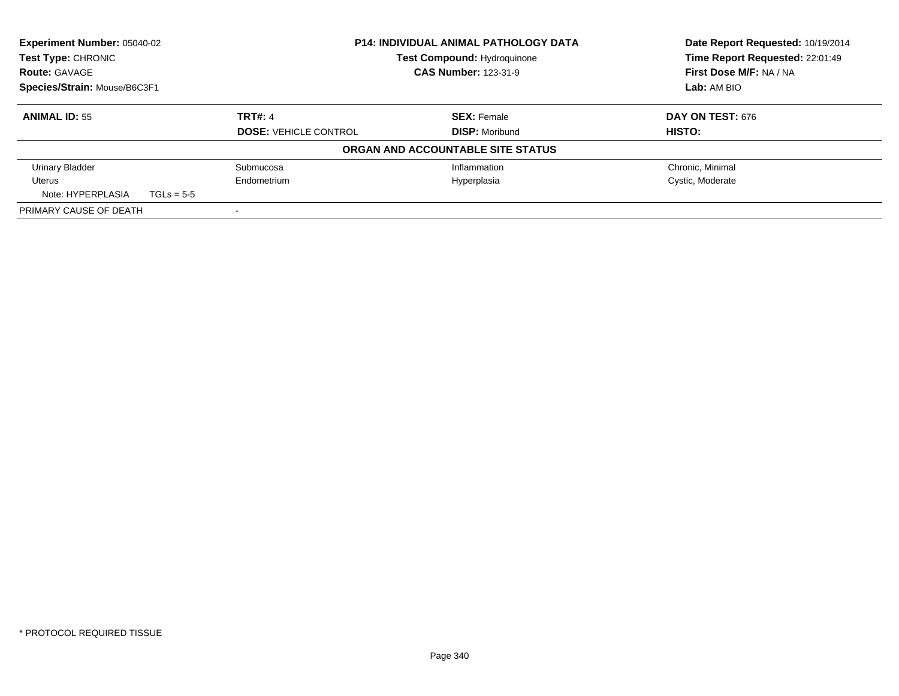| <b>Experiment Number: 05040-02</b>                                         |              |                              | <b>P14: INDIVIDUAL ANIMAL PATHOLOGY DATA</b> | Date Report Requested: 10/19/2014 |
|----------------------------------------------------------------------------|--------------|------------------------------|----------------------------------------------|-----------------------------------|
| Test Type: CHRONIC<br><b>Route: GAVAGE</b><br>Species/Strain: Mouse/B6C3F1 |              |                              | <b>Test Compound: Hydroquinone</b>           | Time Report Requested: 22:01:49   |
|                                                                            |              | <b>CAS Number: 123-31-9</b>  |                                              | First Dose M/F: NA / NA           |
|                                                                            |              |                              |                                              | Lab: AM BIO                       |
| <b>ANIMAL ID: 55</b>                                                       |              | <b>TRT#: 4</b>               | <b>SEX: Female</b>                           | <b>DAY ON TEST: 676</b>           |
|                                                                            |              | <b>DOSE: VEHICLE CONTROL</b> | <b>DISP: Moribund</b>                        | <b>HISTO:</b>                     |
|                                                                            |              |                              | ORGAN AND ACCOUNTABLE SITE STATUS            |                                   |
| <b>Urinary Bladder</b>                                                     |              | Submucosa                    | Inflammation                                 | Chronic, Minimal                  |
| Uterus                                                                     |              | Endometrium                  | Hyperplasia                                  | Cystic, Moderate                  |
| Note: HYPERPLASIA                                                          | $TGLs = 5-5$ |                              |                                              |                                   |
| PRIMARY CAUSE OF DEATH                                                     |              |                              |                                              |                                   |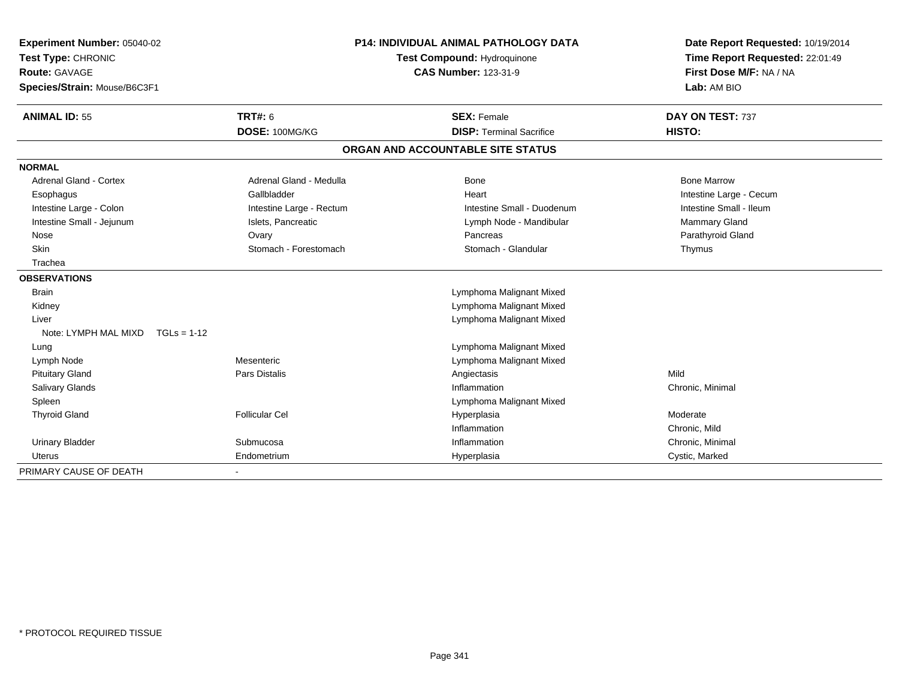| Experiment Number: 05040-02           |                          | <b>P14: INDIVIDUAL ANIMAL PATHOLOGY DATA</b> | Date Report Requested: 10/19/2014 |
|---------------------------------------|--------------------------|----------------------------------------------|-----------------------------------|
| Test Type: CHRONIC                    |                          | Test Compound: Hydroquinone                  | Time Report Requested: 22:01:49   |
| <b>Route: GAVAGE</b>                  |                          | <b>CAS Number: 123-31-9</b>                  | First Dose M/F: NA / NA           |
| Species/Strain: Mouse/B6C3F1          |                          |                                              | Lab: AM BIO                       |
| <b>ANIMAL ID: 55</b>                  | <b>TRT#: 6</b>           | <b>SEX: Female</b>                           | DAY ON TEST: 737                  |
|                                       | DOSE: 100MG/KG           | <b>DISP: Terminal Sacrifice</b>              | HISTO:                            |
|                                       |                          | ORGAN AND ACCOUNTABLE SITE STATUS            |                                   |
| <b>NORMAL</b>                         |                          |                                              |                                   |
| <b>Adrenal Gland - Cortex</b>         | Adrenal Gland - Medulla  | Bone                                         | <b>Bone Marrow</b>                |
| Esophagus                             | Gallbladder              | Heart                                        | Intestine Large - Cecum           |
| Intestine Large - Colon               | Intestine Large - Rectum | Intestine Small - Duodenum                   | Intestine Small - Ileum           |
| Intestine Small - Jejunum             | Islets, Pancreatic       | Lymph Node - Mandibular                      | Mammary Gland                     |
| Nose                                  | Ovary                    | Pancreas                                     | Parathyroid Gland                 |
| Skin                                  | Stomach - Forestomach    | Stomach - Glandular                          | Thymus                            |
| Trachea                               |                          |                                              |                                   |
| <b>OBSERVATIONS</b>                   |                          |                                              |                                   |
| <b>Brain</b>                          |                          | Lymphoma Malignant Mixed                     |                                   |
| Kidney                                |                          | Lymphoma Malignant Mixed                     |                                   |
| Liver                                 |                          | Lymphoma Malignant Mixed                     |                                   |
| Note: LYMPH MAL MIXD<br>$TGLs = 1-12$ |                          |                                              |                                   |
| Lung                                  |                          | Lymphoma Malignant Mixed                     |                                   |
| Lymph Node                            | Mesenteric               | Lymphoma Malignant Mixed                     |                                   |
| <b>Pituitary Gland</b>                | Pars Distalis            | Angiectasis                                  | Mild                              |
| Salivary Glands                       |                          | Inflammation                                 | Chronic, Minimal                  |
| Spleen                                |                          | Lymphoma Malignant Mixed                     |                                   |
| <b>Thyroid Gland</b>                  | <b>Follicular Cel</b>    | Hyperplasia                                  | Moderate                          |
|                                       |                          | Inflammation                                 | Chronic, Mild                     |
| <b>Urinary Bladder</b>                | Submucosa                | Inflammation                                 | Chronic, Minimal                  |
| Uterus                                | Endometrium              | Hyperplasia                                  | Cystic, Marked                    |
| PRIMARY CAUSE OF DEATH                | ٠                        |                                              |                                   |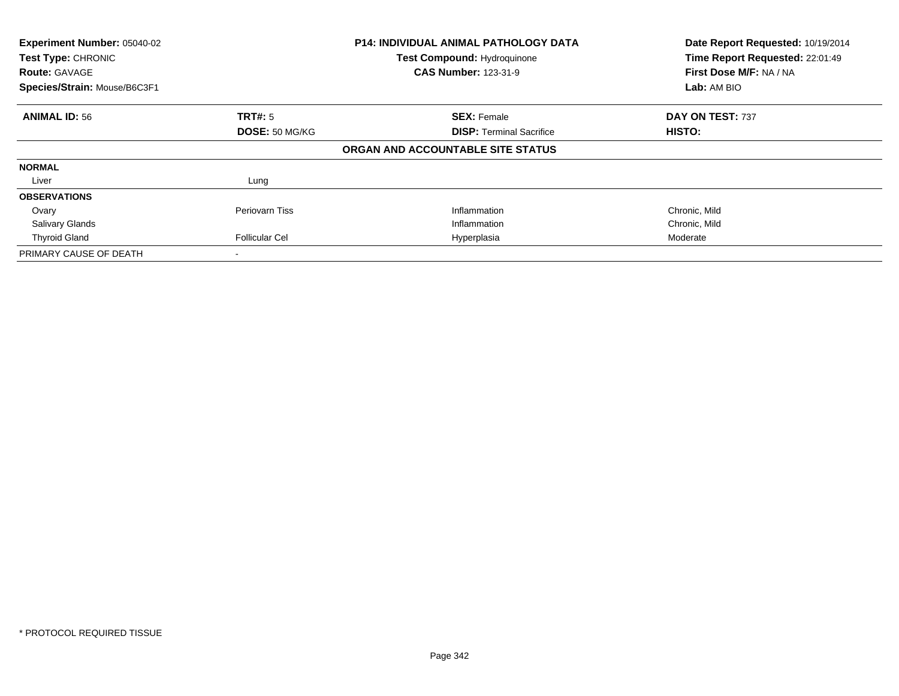| Experiment Number: 05040-02<br><b>Test Type: CHRONIC</b><br><b>Route: GAVAGE</b><br>Species/Strain: Mouse/B6C3F1 |                       | <b>P14: INDIVIDUAL ANIMAL PATHOLOGY DATA</b><br><b>Test Compound: Hydroquinone</b><br><b>CAS Number: 123-31-9</b> | Date Report Requested: 10/19/2014<br>Time Report Requested: 22:01:49<br>First Dose M/F: NA / NA<br><b>Lab: AM BIO</b> |
|------------------------------------------------------------------------------------------------------------------|-----------------------|-------------------------------------------------------------------------------------------------------------------|-----------------------------------------------------------------------------------------------------------------------|
|                                                                                                                  |                       |                                                                                                                   |                                                                                                                       |
| <b>ANIMAL ID: 56</b>                                                                                             | TRT#: 5               | <b>SEX: Female</b>                                                                                                | DAY ON TEST: 737                                                                                                      |
|                                                                                                                  | DOSE: 50 MG/KG        | <b>DISP:</b> Terminal Sacrifice                                                                                   | <b>HISTO:</b>                                                                                                         |
|                                                                                                                  |                       | ORGAN AND ACCOUNTABLE SITE STATUS                                                                                 |                                                                                                                       |
| <b>NORMAL</b>                                                                                                    |                       |                                                                                                                   |                                                                                                                       |
| Liver                                                                                                            | Lung                  |                                                                                                                   |                                                                                                                       |
| <b>OBSERVATIONS</b>                                                                                              |                       |                                                                                                                   |                                                                                                                       |
| Ovary                                                                                                            | <b>Periovarn Tiss</b> | Inflammation                                                                                                      | Chronic, Mild                                                                                                         |
| <b>Salivary Glands</b>                                                                                           |                       | Inflammation                                                                                                      | Chronic, Mild                                                                                                         |
| <b>Thyroid Gland</b>                                                                                             | <b>Follicular Cel</b> | Hyperplasia                                                                                                       | Moderate                                                                                                              |
| PRIMARY CAUSE OF DEATH                                                                                           |                       |                                                                                                                   |                                                                                                                       |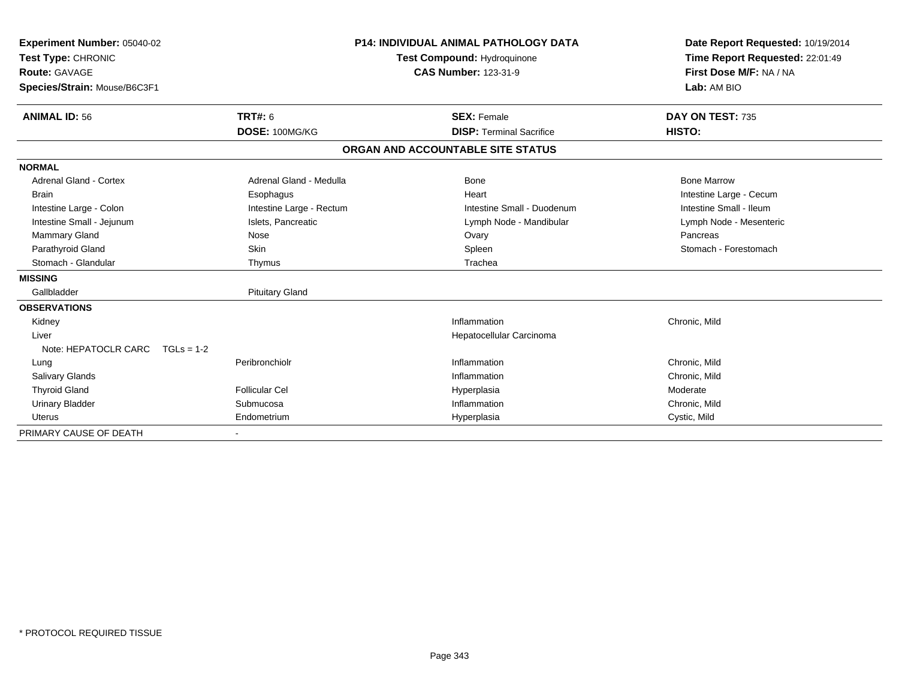| <b>Experiment Number: 05040-02</b> |                          | <b>P14: INDIVIDUAL ANIMAL PATHOLOGY DATA</b> | Date Report Requested: 10/19/2014 |  |
|------------------------------------|--------------------------|----------------------------------------------|-----------------------------------|--|
| Test Type: CHRONIC                 |                          | Test Compound: Hydroquinone                  | Time Report Requested: 22:01:49   |  |
| <b>Route: GAVAGE</b>               |                          | <b>CAS Number: 123-31-9</b>                  | First Dose M/F: NA / NA           |  |
| Species/Strain: Mouse/B6C3F1       |                          |                                              | Lab: AM BIO                       |  |
| <b>ANIMAL ID: 56</b>               | <b>TRT#: 6</b>           | <b>SEX: Female</b>                           | DAY ON TEST: 735                  |  |
|                                    | DOSE: 100MG/KG           | <b>DISP: Terminal Sacrifice</b>              | HISTO:                            |  |
|                                    |                          | ORGAN AND ACCOUNTABLE SITE STATUS            |                                   |  |
| <b>NORMAL</b>                      |                          |                                              |                                   |  |
| <b>Adrenal Gland - Cortex</b>      | Adrenal Gland - Medulla  | <b>Bone</b>                                  | <b>Bone Marrow</b>                |  |
| <b>Brain</b>                       | Esophagus                | Heart                                        | Intestine Large - Cecum           |  |
| Intestine Large - Colon            | Intestine Large - Rectum | Intestine Small - Duodenum                   | Intestine Small - Ileum           |  |
| Intestine Small - Jejunum          | Islets. Pancreatic       | Lymph Node - Mandibular                      | Lymph Node - Mesenteric           |  |
| <b>Mammary Gland</b>               | Nose                     | Ovary                                        | Pancreas                          |  |
| Parathyroid Gland                  | Skin                     | Spleen                                       | Stomach - Forestomach             |  |
| Stomach - Glandular                | Thymus                   | Trachea                                      |                                   |  |
| <b>MISSING</b>                     |                          |                                              |                                   |  |
| Gallbladder                        | <b>Pituitary Gland</b>   |                                              |                                   |  |
| <b>OBSERVATIONS</b>                |                          |                                              |                                   |  |
| Kidney                             |                          | Inflammation                                 | Chronic, Mild                     |  |
| Liver                              |                          | Hepatocellular Carcinoma                     |                                   |  |
| Note: HEPATOCLR CARC $TGLs = 1-2$  |                          |                                              |                                   |  |
| Lung                               | Peribronchiolr           | Inflammation                                 | Chronic, Mild                     |  |
| Salivary Glands                    |                          | Inflammation                                 | Chronic, Mild                     |  |
| <b>Thyroid Gland</b>               | Follicular Cel           | Hyperplasia                                  | Moderate                          |  |
| <b>Urinary Bladder</b>             | Submucosa                | Inflammation                                 | Chronic, Mild                     |  |
| <b>Uterus</b>                      | Endometrium              | Hyperplasia                                  | Cystic, Mild                      |  |
| PRIMARY CAUSE OF DEATH             |                          |                                              |                                   |  |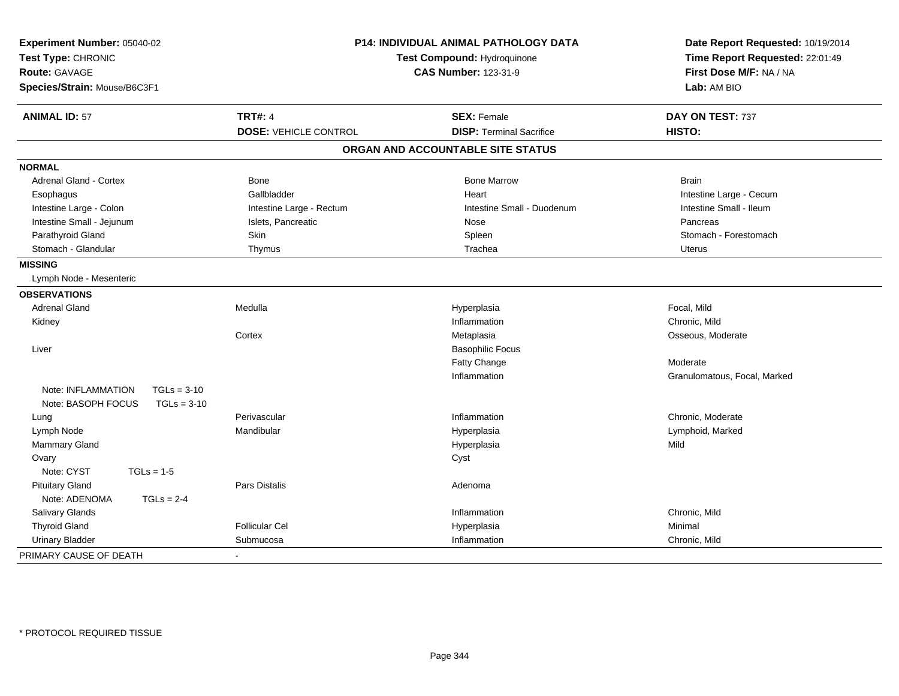| Experiment Number: 05040-02<br>Test Type: CHRONIC<br><b>Route: GAVAGE</b><br>Species/Strain: Mouse/B6C3F1 | <b>P14: INDIVIDUAL ANIMAL PATHOLOGY DATA</b><br>Test Compound: Hydroquinone<br><b>CAS Number: 123-31-9</b> |                                                       | Date Report Requested: 10/19/2014<br>Time Report Requested: 22:01:49<br>First Dose M/F: NA / NA<br>Lab: AM BIO |  |
|-----------------------------------------------------------------------------------------------------------|------------------------------------------------------------------------------------------------------------|-------------------------------------------------------|----------------------------------------------------------------------------------------------------------------|--|
|                                                                                                           |                                                                                                            |                                                       |                                                                                                                |  |
| <b>ANIMAL ID: 57</b>                                                                                      | <b>TRT#: 4</b><br><b>DOSE: VEHICLE CONTROL</b>                                                             | <b>SEX: Female</b><br><b>DISP: Terminal Sacrifice</b> | DAY ON TEST: 737<br>HISTO:                                                                                     |  |
|                                                                                                           |                                                                                                            |                                                       |                                                                                                                |  |
|                                                                                                           |                                                                                                            | ORGAN AND ACCOUNTABLE SITE STATUS                     |                                                                                                                |  |
| <b>NORMAL</b>                                                                                             |                                                                                                            |                                                       |                                                                                                                |  |
| <b>Adrenal Gland - Cortex</b>                                                                             | Bone                                                                                                       | <b>Bone Marrow</b>                                    | <b>Brain</b>                                                                                                   |  |
| Esophagus                                                                                                 | Gallbladder                                                                                                | Heart                                                 | Intestine Large - Cecum                                                                                        |  |
| Intestine Large - Colon                                                                                   | Intestine Large - Rectum                                                                                   | Intestine Small - Duodenum                            | Intestine Small - Ileum                                                                                        |  |
| Intestine Small - Jejunum                                                                                 | Islets, Pancreatic                                                                                         | Nose                                                  | Pancreas                                                                                                       |  |
| Parathyroid Gland                                                                                         | Skin                                                                                                       | Spleen                                                | Stomach - Forestomach                                                                                          |  |
| Stomach - Glandular                                                                                       | Thymus                                                                                                     | Trachea                                               | <b>Uterus</b>                                                                                                  |  |
| <b>MISSING</b>                                                                                            |                                                                                                            |                                                       |                                                                                                                |  |
| Lymph Node - Mesenteric                                                                                   |                                                                                                            |                                                       |                                                                                                                |  |
| <b>OBSERVATIONS</b>                                                                                       |                                                                                                            |                                                       |                                                                                                                |  |
| <b>Adrenal Gland</b>                                                                                      | Medulla                                                                                                    | Hyperplasia                                           | Focal, Mild                                                                                                    |  |
| Kidney                                                                                                    |                                                                                                            | Inflammation                                          | Chronic, Mild                                                                                                  |  |
|                                                                                                           | Cortex                                                                                                     | Metaplasia                                            | Osseous, Moderate                                                                                              |  |
| Liver                                                                                                     |                                                                                                            | <b>Basophilic Focus</b>                               |                                                                                                                |  |
|                                                                                                           |                                                                                                            | Fatty Change                                          | Moderate                                                                                                       |  |
|                                                                                                           |                                                                                                            | Inflammation                                          | Granulomatous, Focal, Marked                                                                                   |  |
| Note: INFLAMMATION<br>$TGLs = 3-10$                                                                       |                                                                                                            |                                                       |                                                                                                                |  |
| Note: BASOPH FOCUS<br>$TGLs = 3-10$                                                                       |                                                                                                            |                                                       |                                                                                                                |  |
| Lung                                                                                                      | Perivascular                                                                                               | Inflammation                                          | Chronic, Moderate                                                                                              |  |
| Lymph Node                                                                                                | Mandibular                                                                                                 | Hyperplasia                                           | Lymphoid, Marked                                                                                               |  |
| Mammary Gland                                                                                             |                                                                                                            | Hyperplasia                                           | Mild                                                                                                           |  |
| Ovary                                                                                                     |                                                                                                            | Cyst                                                  |                                                                                                                |  |
| Note: CYST<br>$TGLs = 1-5$                                                                                |                                                                                                            |                                                       |                                                                                                                |  |
| <b>Pituitary Gland</b>                                                                                    | Pars Distalis                                                                                              | Adenoma                                               |                                                                                                                |  |
| Note: ADENOMA<br>$TGLs = 2-4$                                                                             |                                                                                                            |                                                       |                                                                                                                |  |
| Salivary Glands                                                                                           |                                                                                                            | Inflammation                                          | Chronic, Mild                                                                                                  |  |
| <b>Thyroid Gland</b>                                                                                      | <b>Follicular Cel</b>                                                                                      | Hyperplasia                                           | Minimal                                                                                                        |  |
| <b>Urinary Bladder</b>                                                                                    | Submucosa                                                                                                  | Inflammation                                          | Chronic, Mild                                                                                                  |  |
| PRIMARY CAUSE OF DEATH                                                                                    |                                                                                                            |                                                       |                                                                                                                |  |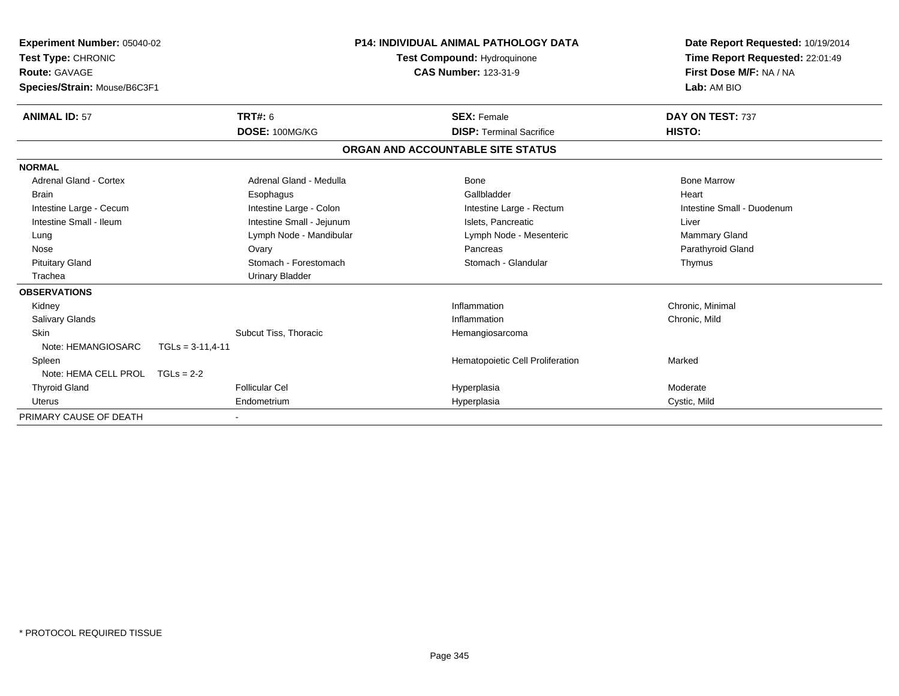| Experiment Number: 05040-02<br>Test Type: CHRONIC<br><b>Route: GAVAGE</b><br>Species/Strain: Mouse/B6C3F1 |                           | <b>P14: INDIVIDUAL ANIMAL PATHOLOGY DATA</b><br>Test Compound: Hydroquinone<br><b>CAS Number: 123-31-9</b> | Date Report Requested: 10/19/2014<br>Time Report Requested: 22:01:49<br>First Dose M/F: NA / NA<br>Lab: AM BIO |
|-----------------------------------------------------------------------------------------------------------|---------------------------|------------------------------------------------------------------------------------------------------------|----------------------------------------------------------------------------------------------------------------|
| <b>ANIMAL ID: 57</b>                                                                                      | <b>TRT#: 6</b>            | <b>SEX: Female</b>                                                                                         | DAY ON TEST: 737                                                                                               |
|                                                                                                           | DOSE: 100MG/KG            | <b>DISP: Terminal Sacrifice</b>                                                                            | HISTO:                                                                                                         |
|                                                                                                           |                           | ORGAN AND ACCOUNTABLE SITE STATUS                                                                          |                                                                                                                |
| <b>NORMAL</b>                                                                                             |                           |                                                                                                            |                                                                                                                |
| Adrenal Gland - Cortex                                                                                    | Adrenal Gland - Medulla   | Bone                                                                                                       | <b>Bone Marrow</b>                                                                                             |
| Brain                                                                                                     | Esophagus                 | Gallbladder                                                                                                | Heart                                                                                                          |
| Intestine Large - Cecum                                                                                   | Intestine Large - Colon   | Intestine Large - Rectum                                                                                   | Intestine Small - Duodenum                                                                                     |
| Intestine Small - Ileum                                                                                   | Intestine Small - Jejunum | Islets, Pancreatic                                                                                         | Liver                                                                                                          |
| Lung                                                                                                      | Lymph Node - Mandibular   | Lymph Node - Mesenteric                                                                                    | <b>Mammary Gland</b>                                                                                           |
| Nose                                                                                                      | Ovary                     | Pancreas                                                                                                   | Parathyroid Gland                                                                                              |
| <b>Pituitary Gland</b>                                                                                    | Stomach - Forestomach     | Stomach - Glandular                                                                                        | Thymus                                                                                                         |
| Trachea                                                                                                   | <b>Urinary Bladder</b>    |                                                                                                            |                                                                                                                |
| <b>OBSERVATIONS</b>                                                                                       |                           |                                                                                                            |                                                                                                                |
| Kidney                                                                                                    |                           | Inflammation                                                                                               | Chronic, Minimal                                                                                               |
| <b>Salivary Glands</b>                                                                                    |                           | Inflammation                                                                                               | Chronic, Mild                                                                                                  |
| <b>Skin</b>                                                                                               | Subcut Tiss, Thoracic     | Hemangiosarcoma                                                                                            |                                                                                                                |
| Note: HEMANGIOSARC                                                                                        | $TGLs = 3-11, 4-11$       |                                                                                                            |                                                                                                                |
| Spleen                                                                                                    |                           | Hematopoietic Cell Proliferation                                                                           | Marked                                                                                                         |
| Note: HEMA CELL PROL                                                                                      | $TGLs = 2-2$              |                                                                                                            |                                                                                                                |
| <b>Thyroid Gland</b>                                                                                      | <b>Follicular Cel</b>     | Hyperplasia                                                                                                | Moderate                                                                                                       |
| Uterus                                                                                                    | Endometrium               | Hyperplasia                                                                                                | Cystic, Mild                                                                                                   |
| PRIMARY CAUSE OF DEATH                                                                                    |                           |                                                                                                            |                                                                                                                |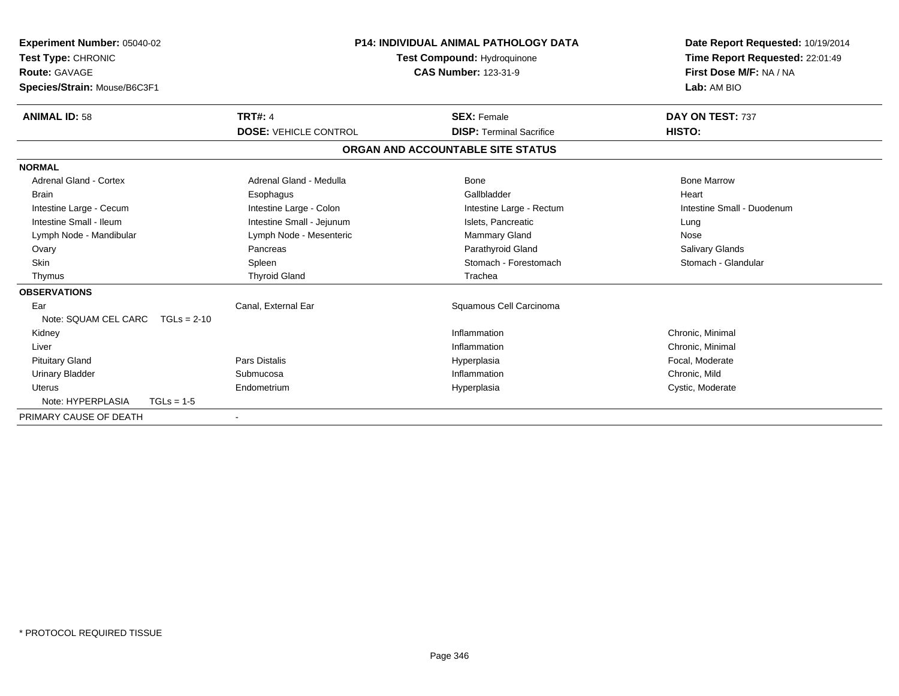| Experiment Number: 05040-02<br>Test Type: CHRONIC<br><b>Route: GAVAGE</b><br>Species/Strain: Mouse/B6C3F1 |                              | <b>P14: INDIVIDUAL ANIMAL PATHOLOGY DATA</b><br>Test Compound: Hydroquinone<br><b>CAS Number: 123-31-9</b> | Date Report Requested: 10/19/2014<br>Time Report Requested: 22:01:49<br>First Dose M/F: NA / NA<br>Lab: AM BIO |
|-----------------------------------------------------------------------------------------------------------|------------------------------|------------------------------------------------------------------------------------------------------------|----------------------------------------------------------------------------------------------------------------|
| <b>ANIMAL ID: 58</b>                                                                                      | <b>TRT#: 4</b>               | <b>SEX: Female</b>                                                                                         | DAY ON TEST: 737                                                                                               |
|                                                                                                           | <b>DOSE: VEHICLE CONTROL</b> | <b>DISP: Terminal Sacrifice</b>                                                                            | HISTO:                                                                                                         |
|                                                                                                           |                              | ORGAN AND ACCOUNTABLE SITE STATUS                                                                          |                                                                                                                |
| <b>NORMAL</b>                                                                                             |                              |                                                                                                            |                                                                                                                |
| <b>Adrenal Gland - Cortex</b>                                                                             | Adrenal Gland - Medulla      | <b>Bone</b>                                                                                                | <b>Bone Marrow</b>                                                                                             |
| <b>Brain</b>                                                                                              | Esophagus                    | Gallbladder                                                                                                | Heart                                                                                                          |
| Intestine Large - Cecum                                                                                   | Intestine Large - Colon      | Intestine Large - Rectum                                                                                   | Intestine Small - Duodenum                                                                                     |
| Intestine Small - Ileum                                                                                   | Intestine Small - Jejunum    | Islets, Pancreatic                                                                                         | Lung                                                                                                           |
| Lymph Node - Mandibular                                                                                   | Lymph Node - Mesenteric      | <b>Mammary Gland</b>                                                                                       | Nose                                                                                                           |
| Ovary                                                                                                     | Pancreas                     | Parathyroid Gland                                                                                          | Salivary Glands                                                                                                |
| <b>Skin</b>                                                                                               | Spleen                       | Stomach - Forestomach                                                                                      | Stomach - Glandular                                                                                            |
| Thymus                                                                                                    | <b>Thyroid Gland</b>         | Trachea                                                                                                    |                                                                                                                |
| <b>OBSERVATIONS</b>                                                                                       |                              |                                                                                                            |                                                                                                                |
| Ear                                                                                                       | Canal, External Ear          | Squamous Cell Carcinoma                                                                                    |                                                                                                                |
| Note: SQUAM CEL CARC                                                                                      | $TGLs = 2-10$                |                                                                                                            |                                                                                                                |
| Kidney                                                                                                    |                              | Inflammation                                                                                               | Chronic, Minimal                                                                                               |
| Liver                                                                                                     |                              | Inflammation                                                                                               | Chronic, Minimal                                                                                               |
| <b>Pituitary Gland</b>                                                                                    | Pars Distalis                | Hyperplasia                                                                                                | Focal, Moderate                                                                                                |
| <b>Urinary Bladder</b>                                                                                    | Submucosa                    | Inflammation                                                                                               | Chronic, Mild                                                                                                  |
| <b>Uterus</b>                                                                                             | Endometrium                  | Hyperplasia                                                                                                | Cystic, Moderate                                                                                               |
| Note: HYPERPLASIA                                                                                         | $TGLs = 1-5$                 |                                                                                                            |                                                                                                                |
| PRIMARY CAUSE OF DEATH                                                                                    |                              |                                                                                                            |                                                                                                                |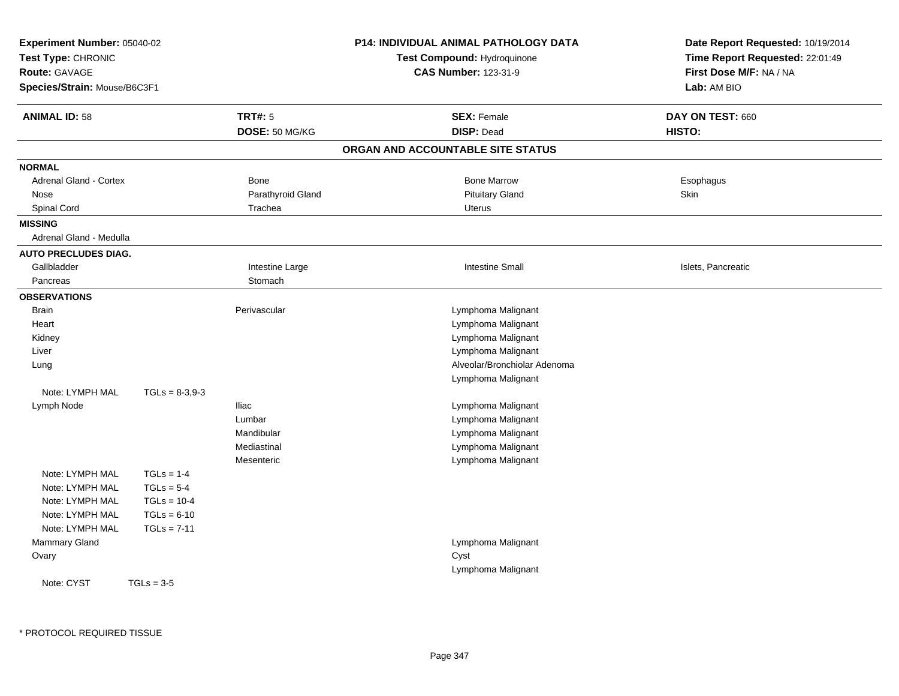| Experiment Number: 05040-02<br>Test Type: CHRONIC<br>Route: GAVAGE<br>Species/Strain: Mouse/B6C3F1 |                  |                   | <b>P14: INDIVIDUAL ANIMAL PATHOLOGY DATA</b><br>Test Compound: Hydroquinone<br><b>CAS Number: 123-31-9</b> | Date Report Requested: 10/19/2014<br>Time Report Requested: 22:01:49<br>First Dose M/F: NA / NA<br>Lab: AM BIO |
|----------------------------------------------------------------------------------------------------|------------------|-------------------|------------------------------------------------------------------------------------------------------------|----------------------------------------------------------------------------------------------------------------|
| <b>ANIMAL ID: 58</b>                                                                               |                  | <b>TRT#: 5</b>    | <b>SEX: Female</b>                                                                                         | DAY ON TEST: 660                                                                                               |
|                                                                                                    |                  | DOSE: 50 MG/KG    | <b>DISP: Dead</b>                                                                                          | HISTO:                                                                                                         |
|                                                                                                    |                  |                   | ORGAN AND ACCOUNTABLE SITE STATUS                                                                          |                                                                                                                |
| <b>NORMAL</b>                                                                                      |                  |                   |                                                                                                            |                                                                                                                |
| <b>Adrenal Gland - Cortex</b>                                                                      |                  | <b>Bone</b>       | <b>Bone Marrow</b>                                                                                         | Esophagus                                                                                                      |
| Nose                                                                                               |                  | Parathyroid Gland | <b>Pituitary Gland</b>                                                                                     | Skin                                                                                                           |
| Spinal Cord                                                                                        |                  | Trachea           | Uterus                                                                                                     |                                                                                                                |
| <b>MISSING</b>                                                                                     |                  |                   |                                                                                                            |                                                                                                                |
| Adrenal Gland - Medulla                                                                            |                  |                   |                                                                                                            |                                                                                                                |
| <b>AUTO PRECLUDES DIAG.</b>                                                                        |                  |                   |                                                                                                            |                                                                                                                |
| Gallbladder                                                                                        |                  | Intestine Large   | <b>Intestine Small</b>                                                                                     | Islets, Pancreatic                                                                                             |
| Pancreas                                                                                           |                  | Stomach           |                                                                                                            |                                                                                                                |
| <b>OBSERVATIONS</b>                                                                                |                  |                   |                                                                                                            |                                                                                                                |
| <b>Brain</b>                                                                                       |                  | Perivascular      | Lymphoma Malignant                                                                                         |                                                                                                                |
| Heart                                                                                              |                  |                   | Lymphoma Malignant                                                                                         |                                                                                                                |
| Kidney                                                                                             |                  |                   | Lymphoma Malignant                                                                                         |                                                                                                                |
| Liver                                                                                              |                  |                   | Lymphoma Malignant                                                                                         |                                                                                                                |
| Lung                                                                                               |                  |                   | Alveolar/Bronchiolar Adenoma                                                                               |                                                                                                                |
|                                                                                                    |                  |                   | Lymphoma Malignant                                                                                         |                                                                                                                |
| Note: LYMPH MAL                                                                                    | $TGLs = 8-3.9-3$ |                   |                                                                                                            |                                                                                                                |
| Lymph Node                                                                                         |                  | <b>Iliac</b>      | Lymphoma Malignant                                                                                         |                                                                                                                |
|                                                                                                    |                  | Lumbar            | Lymphoma Malignant                                                                                         |                                                                                                                |
|                                                                                                    |                  | Mandibular        | Lymphoma Malignant                                                                                         |                                                                                                                |
|                                                                                                    |                  | Mediastinal       | Lymphoma Malignant                                                                                         |                                                                                                                |
|                                                                                                    |                  | Mesenteric        | Lymphoma Malignant                                                                                         |                                                                                                                |
| Note: LYMPH MAL                                                                                    | $TGLs = 1-4$     |                   |                                                                                                            |                                                                                                                |
| Note: LYMPH MAL                                                                                    | $TGLs = 5-4$     |                   |                                                                                                            |                                                                                                                |
| Note: LYMPH MAL                                                                                    | $TGLs = 10-4$    |                   |                                                                                                            |                                                                                                                |
| Note: LYMPH MAL<br>Note: LYMPH MAL                                                                 | $TGLs = 6-10$    |                   |                                                                                                            |                                                                                                                |
| Mammary Gland                                                                                      | $TGLs = 7-11$    |                   | Lymphoma Malignant                                                                                         |                                                                                                                |
|                                                                                                    |                  |                   | Cyst                                                                                                       |                                                                                                                |
| Ovary                                                                                              |                  |                   | Lymphoma Malignant                                                                                         |                                                                                                                |
| Note: CYST                                                                                         | $TGLs = 3-5$     |                   |                                                                                                            |                                                                                                                |
|                                                                                                    |                  |                   |                                                                                                            |                                                                                                                |
|                                                                                                    |                  |                   |                                                                                                            |                                                                                                                |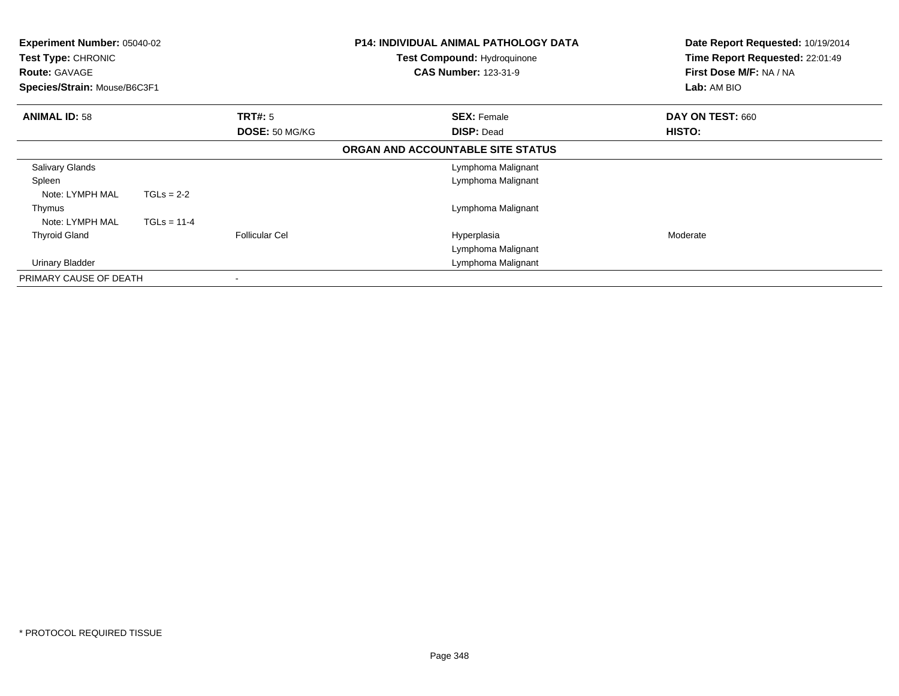| <b>Experiment Number: 05040-02</b><br><b>Test Type: CHRONIC</b><br><b>Route: GAVAGE</b><br>Species/Strain: Mouse/B6C3F1 |               |                          | <b>P14: INDIVIDUAL ANIMAL PATHOLOGY DATA</b><br><b>Test Compound: Hydroquinone</b><br><b>CAS Number: 123-31-9</b> | Date Report Requested: 10/19/2014<br>Time Report Requested: 22:01:49<br>First Dose M/F: NA / NA<br>Lab: AM BIO |
|-------------------------------------------------------------------------------------------------------------------------|---------------|--------------------------|-------------------------------------------------------------------------------------------------------------------|----------------------------------------------------------------------------------------------------------------|
| <b>ANIMAL ID: 58</b>                                                                                                    |               | TRT#: 5                  | <b>SEX: Female</b>                                                                                                | DAY ON TEST: 660                                                                                               |
|                                                                                                                         |               | DOSE: 50 MG/KG           | <b>DISP: Dead</b>                                                                                                 | HISTO:                                                                                                         |
|                                                                                                                         |               |                          | ORGAN AND ACCOUNTABLE SITE STATUS                                                                                 |                                                                                                                |
| <b>Salivary Glands</b>                                                                                                  |               |                          | Lymphoma Malignant                                                                                                |                                                                                                                |
| Spleen                                                                                                                  |               |                          | Lymphoma Malignant                                                                                                |                                                                                                                |
| Note: LYMPH MAL                                                                                                         | $TGLs = 2-2$  |                          |                                                                                                                   |                                                                                                                |
| Thymus                                                                                                                  |               |                          | Lymphoma Malignant                                                                                                |                                                                                                                |
| Note: LYMPH MAL                                                                                                         | $TGLs = 11-4$ |                          |                                                                                                                   |                                                                                                                |
| <b>Thyroid Gland</b>                                                                                                    |               | <b>Follicular Cel</b>    | Hyperplasia                                                                                                       | Moderate                                                                                                       |
|                                                                                                                         |               |                          | Lymphoma Malignant                                                                                                |                                                                                                                |
| Urinary Bladder                                                                                                         |               |                          | Lymphoma Malignant                                                                                                |                                                                                                                |
| PRIMARY CAUSE OF DEATH                                                                                                  |               | $\overline{\phantom{a}}$ |                                                                                                                   |                                                                                                                |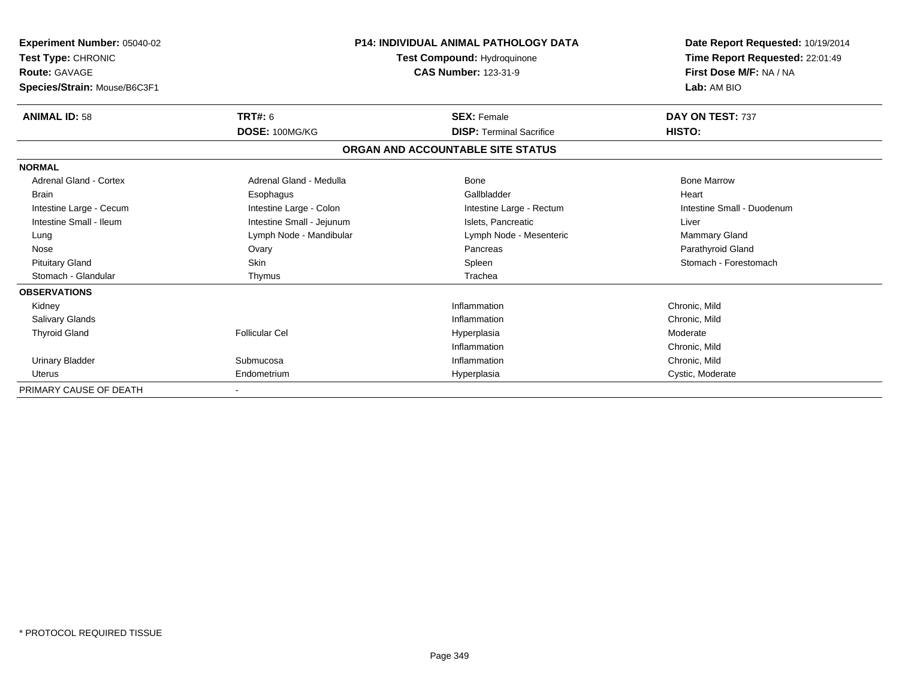| <b>Experiment Number: 05040-02</b><br>Test Type: CHRONIC<br><b>Route: GAVAGE</b><br>Species/Strain: Mouse/B6C3F1 |                           | <b>P14: INDIVIDUAL ANIMAL PATHOLOGY DATA</b><br>Test Compound: Hydroquinone<br><b>CAS Number: 123-31-9</b> | Date Report Requested: 10/19/2014<br>Time Report Requested: 22:01:49<br>First Dose M/F: NA / NA<br>Lab: AM BIO |  |
|------------------------------------------------------------------------------------------------------------------|---------------------------|------------------------------------------------------------------------------------------------------------|----------------------------------------------------------------------------------------------------------------|--|
| <b>ANIMAL ID: 58</b>                                                                                             | TRT#: 6                   | <b>SEX: Female</b>                                                                                         | DAY ON TEST: 737                                                                                               |  |
|                                                                                                                  | DOSE: 100MG/KG            | <b>DISP: Terminal Sacrifice</b>                                                                            | HISTO:                                                                                                         |  |
|                                                                                                                  |                           | ORGAN AND ACCOUNTABLE SITE STATUS                                                                          |                                                                                                                |  |
| <b>NORMAL</b>                                                                                                    |                           |                                                                                                            |                                                                                                                |  |
| <b>Adrenal Gland - Cortex</b>                                                                                    | Adrenal Gland - Medulla   | Bone                                                                                                       | <b>Bone Marrow</b>                                                                                             |  |
| <b>Brain</b>                                                                                                     | Esophagus                 | Gallbladder                                                                                                | Heart                                                                                                          |  |
| Intestine Large - Cecum                                                                                          | Intestine Large - Colon   | Intestine Large - Rectum                                                                                   | Intestine Small - Duodenum                                                                                     |  |
| Intestine Small - Ileum                                                                                          | Intestine Small - Jejunum | Islets, Pancreatic                                                                                         | Liver                                                                                                          |  |
| Lung                                                                                                             | Lymph Node - Mandibular   | Lymph Node - Mesenteric                                                                                    | <b>Mammary Gland</b>                                                                                           |  |
| Nose                                                                                                             | Ovary                     | Pancreas                                                                                                   | Parathyroid Gland                                                                                              |  |
| <b>Pituitary Gland</b>                                                                                           | Skin                      | Spleen                                                                                                     | Stomach - Forestomach                                                                                          |  |
| Stomach - Glandular                                                                                              | Thymus                    | Trachea                                                                                                    |                                                                                                                |  |
| <b>OBSERVATIONS</b>                                                                                              |                           |                                                                                                            |                                                                                                                |  |
| Kidney                                                                                                           |                           | Inflammation                                                                                               | Chronic, Mild                                                                                                  |  |
| <b>Salivary Glands</b>                                                                                           |                           | Inflammation                                                                                               | Chronic, Mild                                                                                                  |  |
| <b>Thyroid Gland</b>                                                                                             | Follicular Cel            | Hyperplasia                                                                                                | Moderate                                                                                                       |  |
|                                                                                                                  |                           | Inflammation                                                                                               | Chronic, Mild                                                                                                  |  |
| <b>Urinary Bladder</b>                                                                                           | Submucosa                 | Inflammation                                                                                               | Chronic, Mild                                                                                                  |  |
| <b>Uterus</b>                                                                                                    | Endometrium               | Hyperplasia                                                                                                | Cystic, Moderate                                                                                               |  |
| PRIMARY CAUSE OF DEATH                                                                                           |                           |                                                                                                            |                                                                                                                |  |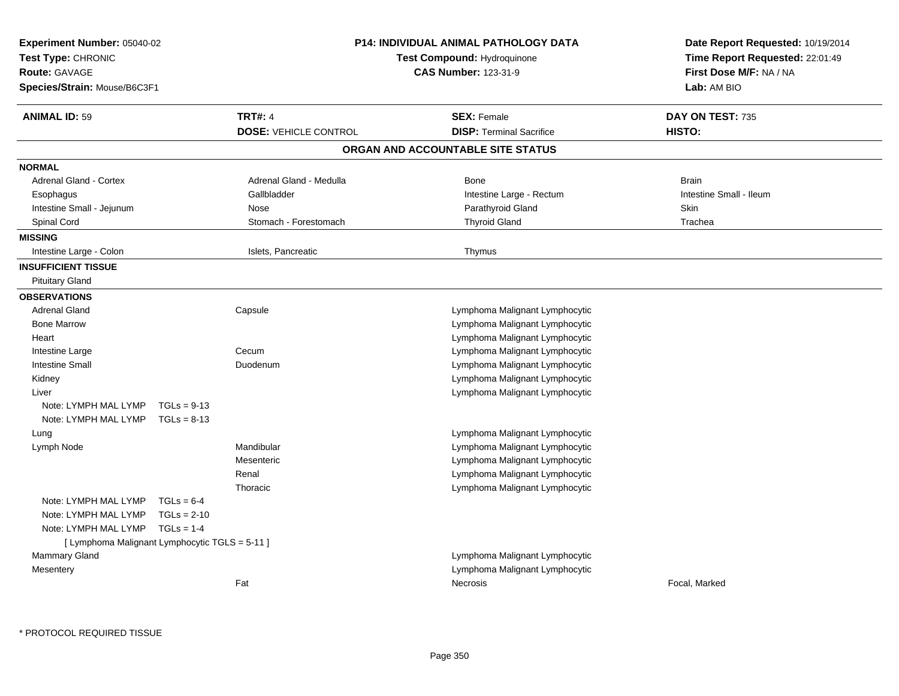| Experiment Number: 05040-02<br>Test Type: CHRONIC<br><b>Route: GAVAGE</b><br>Species/Strain: Mouse/B6C3F1 |               |                              | <b>P14: INDIVIDUAL ANIMAL PATHOLOGY DATA</b><br>Test Compound: Hydroquinone<br><b>CAS Number: 123-31-9</b> | Date Report Requested: 10/19/2014<br>Time Report Requested: 22:01:49<br>First Dose M/F: NA / NA<br>Lab: AM BIO |
|-----------------------------------------------------------------------------------------------------------|---------------|------------------------------|------------------------------------------------------------------------------------------------------------|----------------------------------------------------------------------------------------------------------------|
| <b>ANIMAL ID: 59</b>                                                                                      |               | <b>TRT#: 4</b>               | <b>SEX: Female</b>                                                                                         | DAY ON TEST: 735                                                                                               |
|                                                                                                           |               | <b>DOSE: VEHICLE CONTROL</b> | <b>DISP: Terminal Sacrifice</b>                                                                            | HISTO:                                                                                                         |
|                                                                                                           |               |                              | ORGAN AND ACCOUNTABLE SITE STATUS                                                                          |                                                                                                                |
| <b>NORMAL</b>                                                                                             |               |                              |                                                                                                            |                                                                                                                |
| <b>Adrenal Gland - Cortex</b>                                                                             |               | Adrenal Gland - Medulla      | <b>Bone</b>                                                                                                | <b>Brain</b>                                                                                                   |
| Esophagus                                                                                                 |               | Gallbladder                  | Intestine Large - Rectum                                                                                   | Intestine Small - Ileum                                                                                        |
| Intestine Small - Jejunum                                                                                 |               | Nose                         | Parathyroid Gland                                                                                          | <b>Skin</b>                                                                                                    |
| Spinal Cord                                                                                               |               | Stomach - Forestomach        | <b>Thyroid Gland</b>                                                                                       | Trachea                                                                                                        |
| <b>MISSING</b>                                                                                            |               |                              |                                                                                                            |                                                                                                                |
| Intestine Large - Colon                                                                                   |               | Islets, Pancreatic           | Thymus                                                                                                     |                                                                                                                |
| <b>INSUFFICIENT TISSUE</b>                                                                                |               |                              |                                                                                                            |                                                                                                                |
| <b>Pituitary Gland</b>                                                                                    |               |                              |                                                                                                            |                                                                                                                |
| <b>OBSERVATIONS</b>                                                                                       |               |                              |                                                                                                            |                                                                                                                |
| <b>Adrenal Gland</b>                                                                                      |               | Capsule                      | Lymphoma Malignant Lymphocytic                                                                             |                                                                                                                |
| <b>Bone Marrow</b>                                                                                        |               |                              | Lymphoma Malignant Lymphocytic                                                                             |                                                                                                                |
| Heart                                                                                                     |               |                              | Lymphoma Malignant Lymphocytic                                                                             |                                                                                                                |
| Intestine Large                                                                                           |               | Cecum                        | Lymphoma Malignant Lymphocytic                                                                             |                                                                                                                |
| <b>Intestine Small</b>                                                                                    |               | Duodenum                     | Lymphoma Malignant Lymphocytic                                                                             |                                                                                                                |
| Kidney                                                                                                    |               |                              | Lymphoma Malignant Lymphocytic                                                                             |                                                                                                                |
| Liver                                                                                                     |               |                              | Lymphoma Malignant Lymphocytic                                                                             |                                                                                                                |
| Note: LYMPH MAL LYMP                                                                                      | $TGLs = 9-13$ |                              |                                                                                                            |                                                                                                                |
| Note: LYMPH MAL LYMP                                                                                      | $TGLs = 8-13$ |                              |                                                                                                            |                                                                                                                |
| Lung                                                                                                      |               |                              | Lymphoma Malignant Lymphocytic                                                                             |                                                                                                                |
| Lymph Node                                                                                                |               | Mandibular                   | Lymphoma Malignant Lymphocytic                                                                             |                                                                                                                |
|                                                                                                           |               | Mesenteric                   | Lymphoma Malignant Lymphocytic                                                                             |                                                                                                                |
|                                                                                                           |               | Renal                        | Lymphoma Malignant Lymphocytic                                                                             |                                                                                                                |
|                                                                                                           |               | Thoracic                     | Lymphoma Malignant Lymphocytic                                                                             |                                                                                                                |
| Note: LYMPH MAL LYMP                                                                                      | $TGLs = 6-4$  |                              |                                                                                                            |                                                                                                                |
| Note: LYMPH MAL LYMP                                                                                      | $TGLs = 2-10$ |                              |                                                                                                            |                                                                                                                |
| Note: LYMPH MAL LYMP                                                                                      | $TGLs = 1-4$  |                              |                                                                                                            |                                                                                                                |
| [ Lymphoma Malignant Lymphocytic TGLS = 5-11 ]<br>Mammary Gland                                           |               |                              | Lymphoma Malignant Lymphocytic                                                                             |                                                                                                                |
|                                                                                                           |               |                              | Lymphoma Malignant Lymphocytic                                                                             |                                                                                                                |
| Mesentery                                                                                                 |               | Fat                          | Necrosis                                                                                                   | Focal, Marked                                                                                                  |
|                                                                                                           |               |                              |                                                                                                            |                                                                                                                |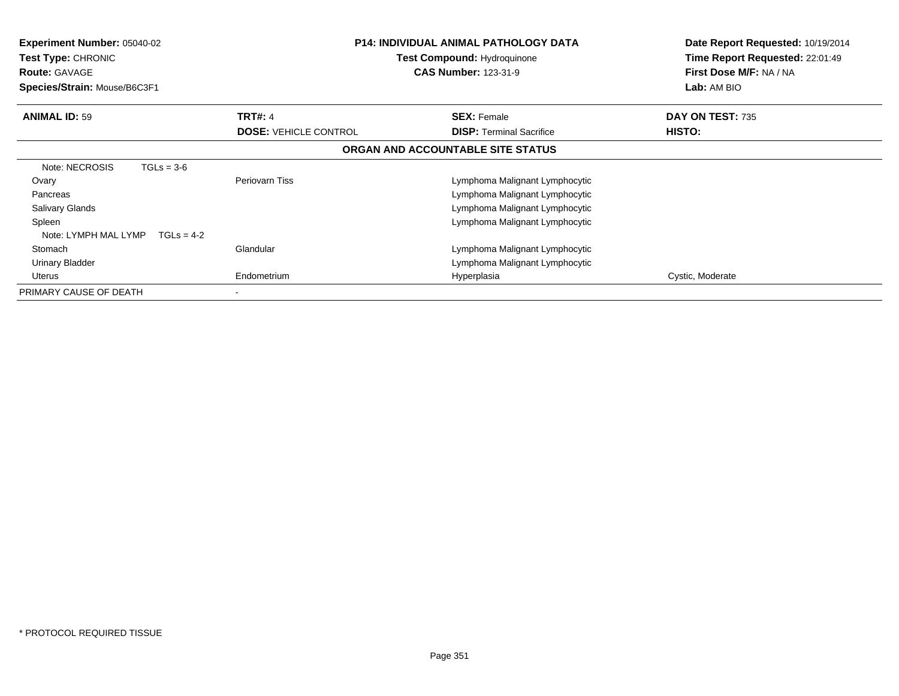| <b>Experiment Number: 05040-02</b><br><b>Test Type: CHRONIC</b><br><b>Route: GAVAGE</b><br>Species/Strain: Mouse/B6C3F1 |                              | <b>P14: INDIVIDUAL ANIMAL PATHOLOGY DATA</b><br><b>Test Compound: Hydroquinone</b><br><b>CAS Number: 123-31-9</b> | Date Report Requested: 10/19/2014<br>Time Report Requested: 22:01:49<br>First Dose M/F: NA / NA<br>Lab: AM BIO |
|-------------------------------------------------------------------------------------------------------------------------|------------------------------|-------------------------------------------------------------------------------------------------------------------|----------------------------------------------------------------------------------------------------------------|
| <b>ANIMAL ID: 59</b>                                                                                                    | <b>TRT#: 4</b>               | <b>SEX: Female</b>                                                                                                | DAY ON TEST: 735                                                                                               |
|                                                                                                                         | <b>DOSE: VEHICLE CONTROL</b> | <b>DISP: Terminal Sacrifice</b>                                                                                   | <b>HISTO:</b>                                                                                                  |
|                                                                                                                         |                              | ORGAN AND ACCOUNTABLE SITE STATUS                                                                                 |                                                                                                                |
| Note: NECROSIS<br>$TGLs = 3-6$                                                                                          |                              |                                                                                                                   |                                                                                                                |
| Ovary                                                                                                                   | Periovarn Tiss               | Lymphoma Malignant Lymphocytic                                                                                    |                                                                                                                |
| Pancreas                                                                                                                |                              | Lymphoma Malignant Lymphocytic                                                                                    |                                                                                                                |
| <b>Salivary Glands</b>                                                                                                  |                              | Lymphoma Malignant Lymphocytic                                                                                    |                                                                                                                |
| Spleen                                                                                                                  |                              | Lymphoma Malignant Lymphocytic                                                                                    |                                                                                                                |
| Note: LYMPH MAL LYMP<br>$TGLs = 4-2$                                                                                    |                              |                                                                                                                   |                                                                                                                |
| Stomach                                                                                                                 | Glandular                    | Lymphoma Malignant Lymphocytic                                                                                    |                                                                                                                |
| Urinary Bladder                                                                                                         |                              | Lymphoma Malignant Lymphocytic                                                                                    |                                                                                                                |
| Uterus                                                                                                                  | Endometrium                  | Hyperplasia                                                                                                       | Cystic, Moderate                                                                                               |
| PRIMARY CAUSE OF DEATH                                                                                                  |                              |                                                                                                                   |                                                                                                                |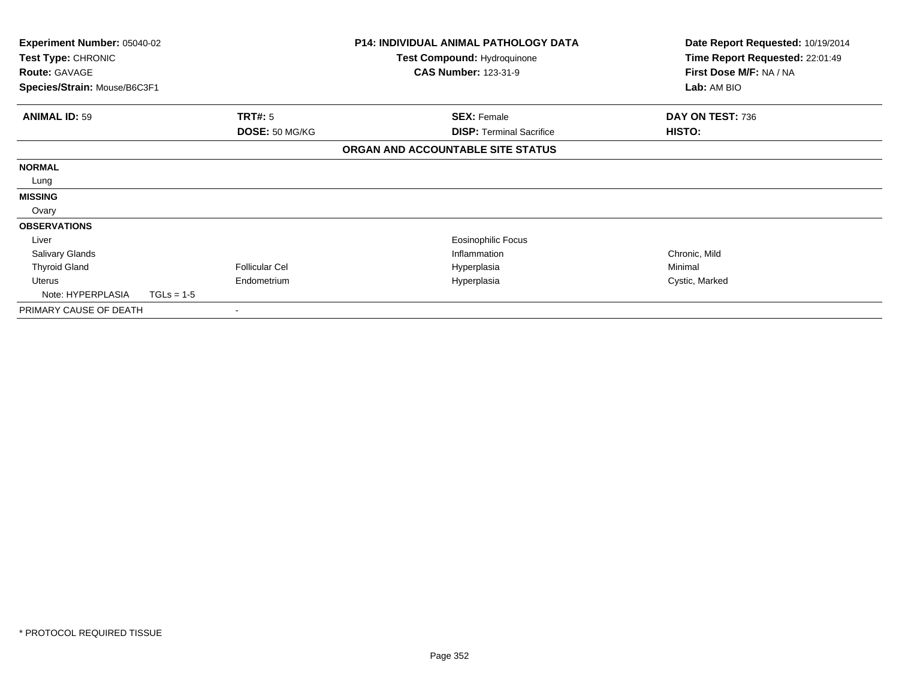| Experiment Number: 05040-02<br>Test Type: CHRONIC<br><b>Route: GAVAGE</b> |              | <b>P14: INDIVIDUAL ANIMAL PATHOLOGY DATA</b><br>Test Compound: Hydroquinone<br><b>CAS Number: 123-31-9</b> |  | Date Report Requested: 10/19/2014<br>Time Report Requested: 22:01:49<br>First Dose M/F: NA / NA |                  |
|---------------------------------------------------------------------------|--------------|------------------------------------------------------------------------------------------------------------|--|-------------------------------------------------------------------------------------------------|------------------|
| Species/Strain: Mouse/B6C3F1                                              |              |                                                                                                            |  |                                                                                                 | Lab: AM BIO      |
| <b>ANIMAL ID: 59</b>                                                      |              | TRT#: 5                                                                                                    |  | <b>SEX: Female</b>                                                                              | DAY ON TEST: 736 |
|                                                                           |              | DOSE: 50 MG/KG                                                                                             |  | <b>DISP:</b> Terminal Sacrifice                                                                 | <b>HISTO:</b>    |
|                                                                           |              |                                                                                                            |  | ORGAN AND ACCOUNTABLE SITE STATUS                                                               |                  |
| <b>NORMAL</b>                                                             |              |                                                                                                            |  |                                                                                                 |                  |
| Lung                                                                      |              |                                                                                                            |  |                                                                                                 |                  |
| <b>MISSING</b>                                                            |              |                                                                                                            |  |                                                                                                 |                  |
| Ovary                                                                     |              |                                                                                                            |  |                                                                                                 |                  |
| <b>OBSERVATIONS</b>                                                       |              |                                                                                                            |  |                                                                                                 |                  |
| Liver                                                                     |              |                                                                                                            |  | Eosinophilic Focus                                                                              |                  |
| <b>Salivary Glands</b>                                                    |              |                                                                                                            |  | Inflammation                                                                                    | Chronic, Mild    |
| <b>Thyroid Gland</b>                                                      |              | <b>Follicular Cel</b>                                                                                      |  | Hyperplasia                                                                                     | Minimal          |
| Uterus                                                                    |              | Endometrium                                                                                                |  | Hyperplasia                                                                                     | Cystic, Marked   |
| Note: HYPERPLASIA                                                         | $TGLs = 1-5$ |                                                                                                            |  |                                                                                                 |                  |
| PRIMARY CAUSE OF DEATH                                                    |              |                                                                                                            |  |                                                                                                 |                  |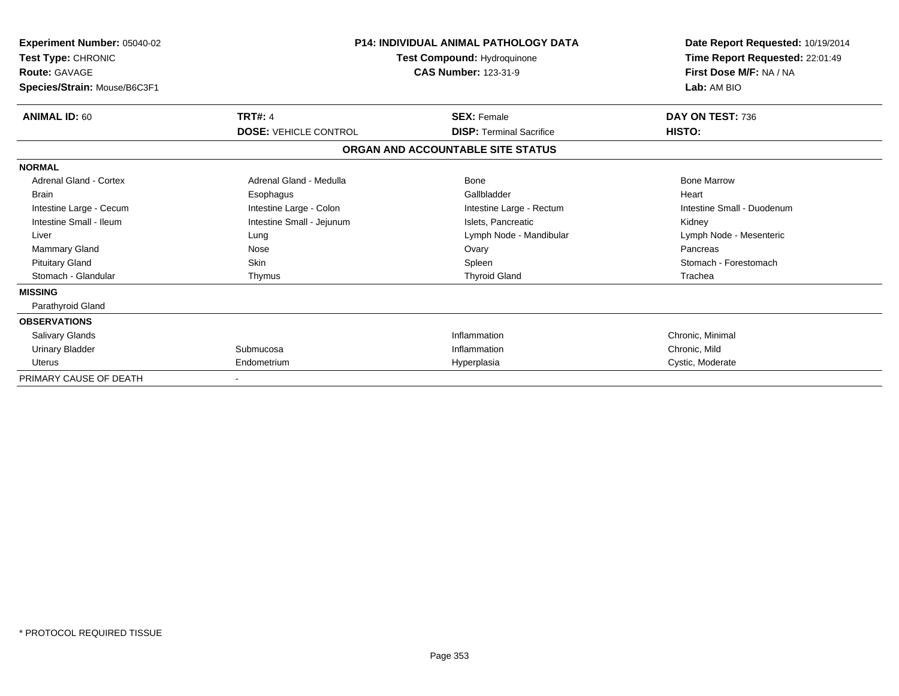| <b>Experiment Number: 05040-02</b><br>Test Type: CHRONIC<br><b>Route: GAVAGE</b><br>Species/Strain: Mouse/B6C3F1 | <b>P14: INDIVIDUAL ANIMAL PATHOLOGY DATA</b><br>Test Compound: Hydroquinone | Date Report Requested: 10/19/2014<br>Time Report Requested: 22:01:49<br>First Dose M/F: NA / NA<br>Lab: AM BIO |                            |
|------------------------------------------------------------------------------------------------------------------|-----------------------------------------------------------------------------|----------------------------------------------------------------------------------------------------------------|----------------------------|
| <b>ANIMAL ID: 60</b>                                                                                             | <b>TRT#: 4</b>                                                              | <b>SEX: Female</b>                                                                                             | DAY ON TEST: 736           |
|                                                                                                                  | <b>DOSE: VEHICLE CONTROL</b>                                                | <b>DISP: Terminal Sacrifice</b>                                                                                | HISTO:                     |
|                                                                                                                  |                                                                             | ORGAN AND ACCOUNTABLE SITE STATUS                                                                              |                            |
| <b>NORMAL</b>                                                                                                    |                                                                             |                                                                                                                |                            |
| <b>Adrenal Gland - Cortex</b>                                                                                    | Adrenal Gland - Medulla                                                     | <b>Bone</b>                                                                                                    | <b>Bone Marrow</b>         |
| <b>Brain</b>                                                                                                     | Esophagus                                                                   | Gallbladder                                                                                                    | Heart                      |
| Intestine Large - Cecum                                                                                          | Intestine Large - Colon                                                     | Intestine Large - Rectum                                                                                       | Intestine Small - Duodenum |
| Intestine Small - Ileum                                                                                          | Intestine Small - Jejunum                                                   | Islets, Pancreatic                                                                                             | Kidney                     |
| Liver                                                                                                            | Lung                                                                        | Lymph Node - Mandibular                                                                                        | Lymph Node - Mesenteric    |
| <b>Mammary Gland</b>                                                                                             | Nose                                                                        | Ovary                                                                                                          | Pancreas                   |
| <b>Pituitary Gland</b>                                                                                           | <b>Skin</b>                                                                 | Spleen                                                                                                         | Stomach - Forestomach      |
| Stomach - Glandular                                                                                              | Thymus                                                                      | <b>Thyroid Gland</b>                                                                                           | Trachea                    |
| <b>MISSING</b>                                                                                                   |                                                                             |                                                                                                                |                            |
| Parathyroid Gland                                                                                                |                                                                             |                                                                                                                |                            |
| <b>OBSERVATIONS</b>                                                                                              |                                                                             |                                                                                                                |                            |
| Salivary Glands                                                                                                  |                                                                             | Inflammation                                                                                                   | Chronic, Minimal           |
| <b>Urinary Bladder</b>                                                                                           | Submucosa                                                                   | Inflammation                                                                                                   | Chronic, Mild              |
| <b>Uterus</b>                                                                                                    | Endometrium                                                                 | Hyperplasia                                                                                                    | Cystic, Moderate           |
| PRIMARY CAUSE OF DEATH                                                                                           |                                                                             |                                                                                                                |                            |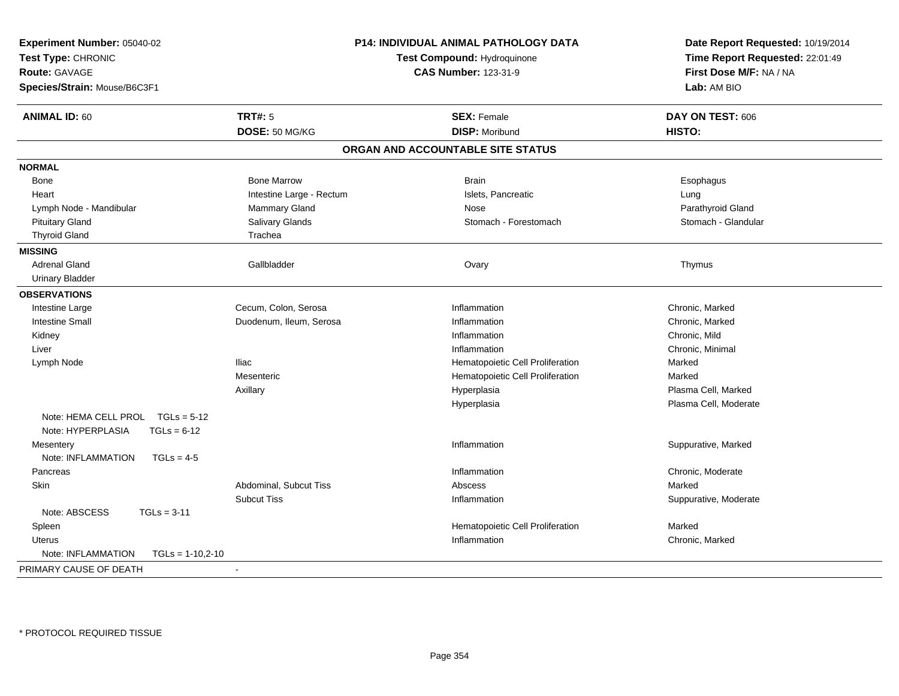| Experiment Number: 05040-02<br>Test Type: CHRONIC<br>Route: GAVAGE<br>Species/Strain: Mouse/B6C3F1 |                          | P14: INDIVIDUAL ANIMAL PATHOLOGY DATA<br>Test Compound: Hydroquinone<br><b>CAS Number: 123-31-9</b> | Date Report Requested: 10/19/2014<br>Time Report Requested: 22:01:49<br>First Dose M/F: NA / NA<br>Lab: AM BIO |
|----------------------------------------------------------------------------------------------------|--------------------------|-----------------------------------------------------------------------------------------------------|----------------------------------------------------------------------------------------------------------------|
| <b>ANIMAL ID: 60</b>                                                                               | <b>TRT#: 5</b>           | <b>SEX: Female</b>                                                                                  | DAY ON TEST: 606                                                                                               |
|                                                                                                    | DOSE: 50 MG/KG           | <b>DISP: Moribund</b>                                                                               | HISTO:                                                                                                         |
|                                                                                                    |                          | ORGAN AND ACCOUNTABLE SITE STATUS                                                                   |                                                                                                                |
| <b>NORMAL</b>                                                                                      |                          |                                                                                                     |                                                                                                                |
| Bone                                                                                               | <b>Bone Marrow</b>       | <b>Brain</b>                                                                                        | Esophagus                                                                                                      |
| Heart                                                                                              | Intestine Large - Rectum | Islets, Pancreatic                                                                                  | Lung                                                                                                           |
| Lymph Node - Mandibular                                                                            | <b>Mammary Gland</b>     | Nose                                                                                                | Parathyroid Gland                                                                                              |
| <b>Pituitary Gland</b>                                                                             | Salivary Glands          | Stomach - Forestomach                                                                               | Stomach - Glandular                                                                                            |
| <b>Thyroid Gland</b>                                                                               | Trachea                  |                                                                                                     |                                                                                                                |
| <b>MISSING</b>                                                                                     |                          |                                                                                                     |                                                                                                                |
| <b>Adrenal Gland</b>                                                                               | Gallbladder              | Ovary                                                                                               | Thymus                                                                                                         |
| <b>Urinary Bladder</b>                                                                             |                          |                                                                                                     |                                                                                                                |
| <b>OBSERVATIONS</b>                                                                                |                          |                                                                                                     |                                                                                                                |
| Intestine Large                                                                                    | Cecum, Colon, Serosa     | Inflammation                                                                                        | Chronic, Marked                                                                                                |
| <b>Intestine Small</b>                                                                             | Duodenum, Ileum, Serosa  | Inflammation                                                                                        | Chronic, Marked                                                                                                |
| Kidney                                                                                             |                          | Inflammation                                                                                        | Chronic, Mild                                                                                                  |
| Liver                                                                                              |                          | Inflammation                                                                                        | Chronic, Minimal                                                                                               |
| Lymph Node                                                                                         | <b>Iliac</b>             | Hematopoietic Cell Proliferation                                                                    | Marked                                                                                                         |
|                                                                                                    | Mesenteric               | Hematopoietic Cell Proliferation                                                                    | Marked                                                                                                         |
|                                                                                                    | Axillary                 | Hyperplasia                                                                                         | Plasma Cell, Marked                                                                                            |
|                                                                                                    |                          | Hyperplasia                                                                                         | Plasma Cell, Moderate                                                                                          |
| Note: HEMA CELL PROL TGLs = 5-12<br>Note: HYPERPLASIA<br>$TGLs = 6-12$                             |                          |                                                                                                     |                                                                                                                |
| Mesentery                                                                                          |                          | Inflammation                                                                                        | Suppurative, Marked                                                                                            |
| Note: INFLAMMATION<br>$TGLs = 4-5$                                                                 |                          |                                                                                                     |                                                                                                                |
| Pancreas                                                                                           |                          | Inflammation                                                                                        | Chronic, Moderate                                                                                              |
| Skin                                                                                               | Abdominal, Subcut Tiss   | Abscess                                                                                             | Marked                                                                                                         |
|                                                                                                    | <b>Subcut Tiss</b>       | Inflammation                                                                                        | Suppurative, Moderate                                                                                          |
| Note: ABSCESS<br>$TGLs = 3-11$                                                                     |                          |                                                                                                     |                                                                                                                |
| Spleen                                                                                             |                          | Hematopoietic Cell Proliferation                                                                    | Marked                                                                                                         |
| Uterus                                                                                             |                          | Inflammation                                                                                        | Chronic, Marked                                                                                                |
| Note: INFLAMMATION<br>$TGLs = 1-10,2-10$                                                           |                          |                                                                                                     |                                                                                                                |
| PRIMARY CAUSE OF DEATH                                                                             | $\blacksquare$           |                                                                                                     |                                                                                                                |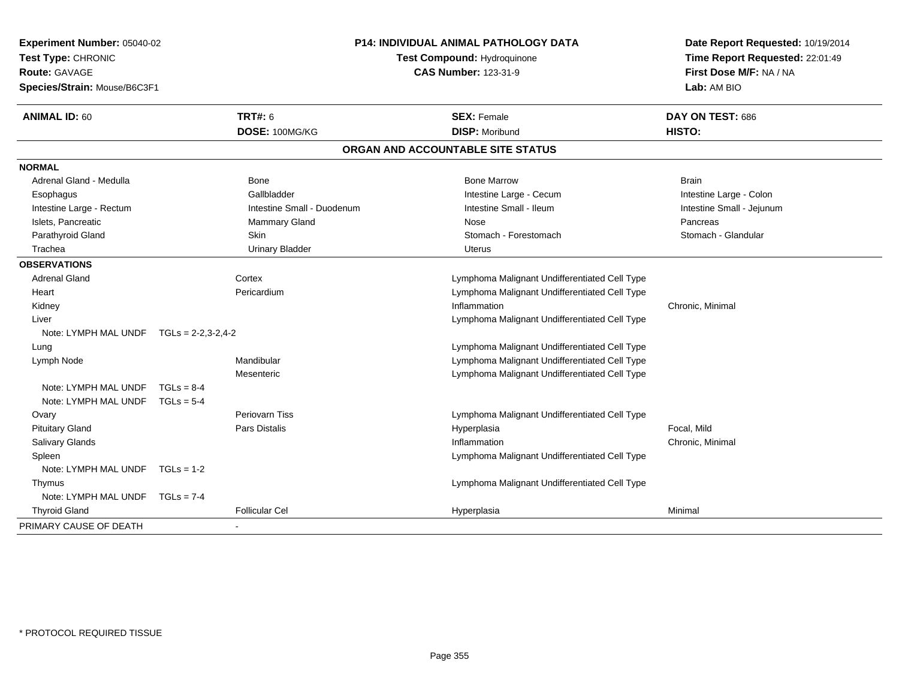| Experiment Number: 05040-02<br>Test Type: CHRONIC<br><b>Route: GAVAGE</b> |                      |                            | <b>P14: INDIVIDUAL ANIMAL PATHOLOGY DATA</b><br>Test Compound: Hydroquinone |                           |  |
|---------------------------------------------------------------------------|----------------------|----------------------------|-----------------------------------------------------------------------------|---------------------------|--|
|                                                                           |                      |                            | <b>CAS Number: 123-31-9</b>                                                 | First Dose M/F: NA / NA   |  |
| Species/Strain: Mouse/B6C3F1                                              |                      |                            |                                                                             | Lab: AM BIO               |  |
| <b>ANIMAL ID: 60</b>                                                      |                      | <b>TRT#: 6</b>             | <b>SEX: Female</b>                                                          | DAY ON TEST: 686          |  |
|                                                                           |                      | DOSE: 100MG/KG             | <b>DISP: Moribund</b>                                                       | HISTO:                    |  |
|                                                                           |                      |                            | ORGAN AND ACCOUNTABLE SITE STATUS                                           |                           |  |
| <b>NORMAL</b>                                                             |                      |                            |                                                                             |                           |  |
| Adrenal Gland - Medulla                                                   |                      | Bone                       | <b>Bone Marrow</b>                                                          | <b>Brain</b>              |  |
| Esophagus                                                                 |                      | Gallbladder                | Intestine Large - Cecum                                                     | Intestine Large - Colon   |  |
| Intestine Large - Rectum                                                  |                      | Intestine Small - Duodenum | Intestine Small - Ileum                                                     | Intestine Small - Jejunum |  |
| Islets, Pancreatic                                                        |                      | Mammary Gland              | Nose                                                                        | Pancreas                  |  |
| Parathyroid Gland                                                         |                      | Skin                       | Stomach - Forestomach                                                       | Stomach - Glandular       |  |
| Trachea                                                                   |                      | <b>Urinary Bladder</b>     | Uterus                                                                      |                           |  |
| <b>OBSERVATIONS</b>                                                       |                      |                            |                                                                             |                           |  |
| <b>Adrenal Gland</b>                                                      |                      | Cortex                     | Lymphoma Malignant Undifferentiated Cell Type                               |                           |  |
| Heart                                                                     |                      | Pericardium                | Lymphoma Malignant Undifferentiated Cell Type                               |                           |  |
| Kidney                                                                    |                      |                            | Inflammation                                                                | Chronic, Minimal          |  |
| Liver                                                                     |                      |                            | Lymphoma Malignant Undifferentiated Cell Type                               |                           |  |
| Note: LYMPH MAL UNDF                                                      | $TGLs = 2-2,3-2,4-2$ |                            |                                                                             |                           |  |
| Lung                                                                      |                      |                            | Lymphoma Malignant Undifferentiated Cell Type                               |                           |  |
| Lymph Node                                                                |                      | Mandibular                 | Lymphoma Malignant Undifferentiated Cell Type                               |                           |  |
|                                                                           |                      | Mesenteric                 | Lymphoma Malignant Undifferentiated Cell Type                               |                           |  |
| Note: LYMPH MAL UNDF                                                      | $TGLs = 8-4$         |                            |                                                                             |                           |  |
| Note: LYMPH MAL UNDF                                                      | $TGLs = 5-4$         |                            |                                                                             |                           |  |
| Ovary                                                                     |                      | Periovarn Tiss             | Lymphoma Malignant Undifferentiated Cell Type                               |                           |  |
| <b>Pituitary Gland</b>                                                    |                      | <b>Pars Distalis</b>       | Hyperplasia                                                                 | Focal, Mild               |  |
| Salivary Glands                                                           |                      |                            | Inflammation                                                                | Chronic, Minimal          |  |
| Spleen                                                                    |                      |                            | Lymphoma Malignant Undifferentiated Cell Type                               |                           |  |
| Note: LYMPH MAL UNDF $TGLs = 1-2$                                         |                      |                            |                                                                             |                           |  |
| Thymus                                                                    |                      |                            | Lymphoma Malignant Undifferentiated Cell Type                               |                           |  |
| Note: LYMPH MAL UNDF                                                      | $TGLs = 7-4$         |                            |                                                                             |                           |  |
| <b>Thyroid Gland</b>                                                      |                      | <b>Follicular Cel</b>      | Hyperplasia                                                                 | Minimal                   |  |
| PRIMARY CAUSE OF DEATH                                                    |                      |                            |                                                                             |                           |  |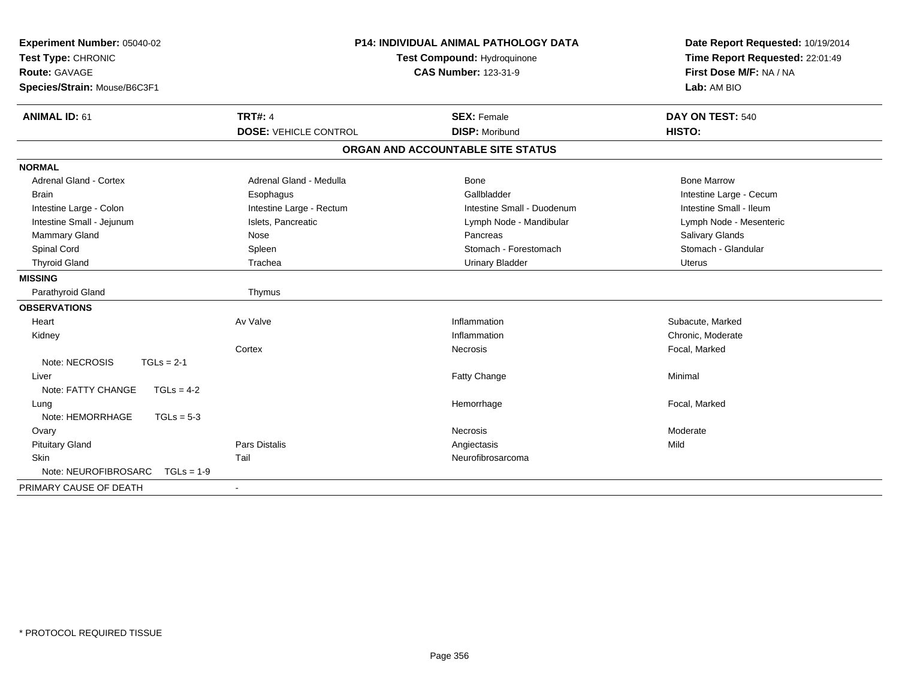| Experiment Number: 05040-02<br>Test Type: CHRONIC<br>Route: GAVAGE<br>Species/Strain: Mouse/B6C3F1 |                              | <b>P14: INDIVIDUAL ANIMAL PATHOLOGY DATA</b><br>Test Compound: Hydroquinone<br><b>CAS Number: 123-31-9</b> | Date Report Requested: 10/19/2014<br>Time Report Requested: 22:01:49<br>First Dose M/F: NA / NA<br>Lab: AM BIO |
|----------------------------------------------------------------------------------------------------|------------------------------|------------------------------------------------------------------------------------------------------------|----------------------------------------------------------------------------------------------------------------|
| <b>ANIMAL ID: 61</b>                                                                               | <b>TRT#: 4</b>               | <b>SEX: Female</b>                                                                                         | DAY ON TEST: 540                                                                                               |
|                                                                                                    | <b>DOSE: VEHICLE CONTROL</b> | <b>DISP: Moribund</b>                                                                                      | HISTO:                                                                                                         |
|                                                                                                    |                              | ORGAN AND ACCOUNTABLE SITE STATUS                                                                          |                                                                                                                |
| <b>NORMAL</b>                                                                                      |                              |                                                                                                            |                                                                                                                |
| <b>Adrenal Gland - Cortex</b>                                                                      | Adrenal Gland - Medulla      | Bone                                                                                                       | <b>Bone Marrow</b>                                                                                             |
| Brain                                                                                              | Esophagus                    | Gallbladder                                                                                                | Intestine Large - Cecum                                                                                        |
| Intestine Large - Colon                                                                            | Intestine Large - Rectum     | Intestine Small - Duodenum                                                                                 | Intestine Small - Ileum                                                                                        |
| Intestine Small - Jejunum                                                                          | Islets, Pancreatic           | Lymph Node - Mandibular                                                                                    | Lymph Node - Mesenteric                                                                                        |
| Mammary Gland                                                                                      | Nose                         | Pancreas                                                                                                   | Salivary Glands                                                                                                |
| Spinal Cord                                                                                        | Spleen                       | Stomach - Forestomach                                                                                      | Stomach - Glandular                                                                                            |
| <b>Thyroid Gland</b>                                                                               | Trachea                      | <b>Urinary Bladder</b>                                                                                     | <b>Uterus</b>                                                                                                  |
| <b>MISSING</b>                                                                                     |                              |                                                                                                            |                                                                                                                |
| Parathyroid Gland                                                                                  | Thymus                       |                                                                                                            |                                                                                                                |
| <b>OBSERVATIONS</b>                                                                                |                              |                                                                                                            |                                                                                                                |
| Heart                                                                                              | Av Valve                     | Inflammation                                                                                               | Subacute, Marked                                                                                               |
| Kidney                                                                                             |                              | Inflammation                                                                                               | Chronic, Moderate                                                                                              |
|                                                                                                    | Cortex                       | Necrosis                                                                                                   | Focal, Marked                                                                                                  |
| Note: NECROSIS<br>$TGLs = 2-1$                                                                     |                              |                                                                                                            |                                                                                                                |
| Liver                                                                                              |                              | Fatty Change                                                                                               | Minimal                                                                                                        |
| Note: FATTY CHANGE<br>$TGLs = 4-2$                                                                 |                              |                                                                                                            |                                                                                                                |
| Lung                                                                                               |                              | Hemorrhage                                                                                                 | Focal, Marked                                                                                                  |
| Note: HEMORRHAGE<br>$TGLs = 5-3$                                                                   |                              |                                                                                                            |                                                                                                                |
| Ovary                                                                                              |                              | Necrosis                                                                                                   | Moderate                                                                                                       |
| <b>Pituitary Gland</b>                                                                             | Pars Distalis                | Angiectasis                                                                                                | Mild                                                                                                           |
| Skin                                                                                               | Tail                         | Neurofibrosarcoma                                                                                          |                                                                                                                |
| Note: NEUROFIBROSARC<br>$TGLs = 1-9$                                                               |                              |                                                                                                            |                                                                                                                |
| PRIMARY CAUSE OF DEATH                                                                             |                              |                                                                                                            |                                                                                                                |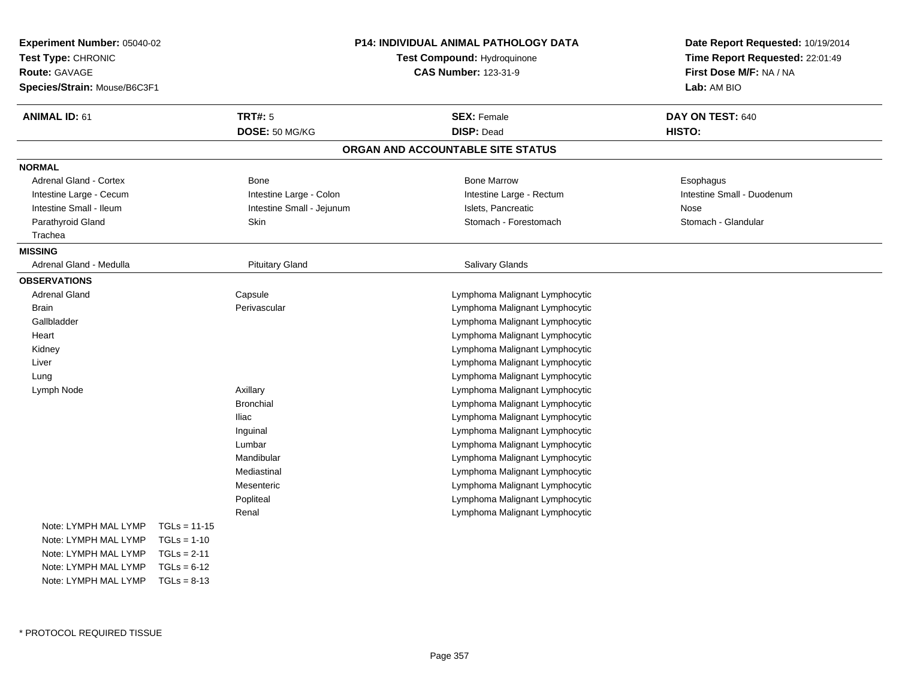|                |                                                             | Date Report Requested: 10/19/2014                                                                                                                                                                                                                                                                           |                                                                                                                                                                                                                                                                                                |  |
|----------------|-------------------------------------------------------------|-------------------------------------------------------------------------------------------------------------------------------------------------------------------------------------------------------------------------------------------------------------------------------------------------------------|------------------------------------------------------------------------------------------------------------------------------------------------------------------------------------------------------------------------------------------------------------------------------------------------|--|
|                |                                                             | Time Report Requested: 22:01:49                                                                                                                                                                                                                                                                             |                                                                                                                                                                                                                                                                                                |  |
|                |                                                             |                                                                                                                                                                                                                                                                                                             | First Dose M/F: NA / NA                                                                                                                                                                                                                                                                        |  |
|                |                                                             |                                                                                                                                                                                                                                                                                                             | Lab: AM BIO                                                                                                                                                                                                                                                                                    |  |
|                |                                                             | <b>SEX: Female</b>                                                                                                                                                                                                                                                                                          | DAY ON TEST: 640                                                                                                                                                                                                                                                                               |  |
|                |                                                             | <b>DISP: Dead</b>                                                                                                                                                                                                                                                                                           | HISTO:                                                                                                                                                                                                                                                                                         |  |
|                |                                                             |                                                                                                                                                                                                                                                                                                             |                                                                                                                                                                                                                                                                                                |  |
|                |                                                             |                                                                                                                                                                                                                                                                                                             |                                                                                                                                                                                                                                                                                                |  |
|                |                                                             | <b>Bone Marrow</b>                                                                                                                                                                                                                                                                                          | Esophagus                                                                                                                                                                                                                                                                                      |  |
|                |                                                             | Intestine Large - Rectum                                                                                                                                                                                                                                                                                    | Intestine Small - Duodenum                                                                                                                                                                                                                                                                     |  |
|                |                                                             | Islets, Pancreatic                                                                                                                                                                                                                                                                                          | Nose                                                                                                                                                                                                                                                                                           |  |
|                |                                                             | Stomach - Forestomach                                                                                                                                                                                                                                                                                       | Stomach - Glandular                                                                                                                                                                                                                                                                            |  |
|                |                                                             |                                                                                                                                                                                                                                                                                                             |                                                                                                                                                                                                                                                                                                |  |
|                |                                                             |                                                                                                                                                                                                                                                                                                             |                                                                                                                                                                                                                                                                                                |  |
|                |                                                             | <b>Salivary Glands</b>                                                                                                                                                                                                                                                                                      |                                                                                                                                                                                                                                                                                                |  |
|                |                                                             |                                                                                                                                                                                                                                                                                                             |                                                                                                                                                                                                                                                                                                |  |
|                |                                                             | Lymphoma Malignant Lymphocytic                                                                                                                                                                                                                                                                              |                                                                                                                                                                                                                                                                                                |  |
|                |                                                             | Lymphoma Malignant Lymphocytic                                                                                                                                                                                                                                                                              |                                                                                                                                                                                                                                                                                                |  |
|                |                                                             | Lymphoma Malignant Lymphocytic                                                                                                                                                                                                                                                                              |                                                                                                                                                                                                                                                                                                |  |
|                |                                                             | Lymphoma Malignant Lymphocytic                                                                                                                                                                                                                                                                              |                                                                                                                                                                                                                                                                                                |  |
|                |                                                             | Lymphoma Malignant Lymphocytic                                                                                                                                                                                                                                                                              |                                                                                                                                                                                                                                                                                                |  |
|                |                                                             | Lymphoma Malignant Lymphocytic                                                                                                                                                                                                                                                                              |                                                                                                                                                                                                                                                                                                |  |
|                |                                                             | Lymphoma Malignant Lymphocytic                                                                                                                                                                                                                                                                              |                                                                                                                                                                                                                                                                                                |  |
|                |                                                             | Lymphoma Malignant Lymphocytic                                                                                                                                                                                                                                                                              |                                                                                                                                                                                                                                                                                                |  |
|                |                                                             | Lymphoma Malignant Lymphocytic                                                                                                                                                                                                                                                                              |                                                                                                                                                                                                                                                                                                |  |
|                |                                                             | Lymphoma Malignant Lymphocytic                                                                                                                                                                                                                                                                              |                                                                                                                                                                                                                                                                                                |  |
|                |                                                             | Lymphoma Malignant Lymphocytic                                                                                                                                                                                                                                                                              |                                                                                                                                                                                                                                                                                                |  |
|                |                                                             | Lymphoma Malignant Lymphocytic                                                                                                                                                                                                                                                                              |                                                                                                                                                                                                                                                                                                |  |
|                |                                                             |                                                                                                                                                                                                                                                                                                             |                                                                                                                                                                                                                                                                                                |  |
|                |                                                             | Lymphoma Malignant Lymphocytic                                                                                                                                                                                                                                                                              |                                                                                                                                                                                                                                                                                                |  |
|                |                                                             |                                                                                                                                                                                                                                                                                                             |                                                                                                                                                                                                                                                                                                |  |
|                |                                                             |                                                                                                                                                                                                                                                                                                             |                                                                                                                                                                                                                                                                                                |  |
|                |                                                             |                                                                                                                                                                                                                                                                                                             |                                                                                                                                                                                                                                                                                                |  |
| $TGLs = 11-15$ |                                                             |                                                                                                                                                                                                                                                                                                             |                                                                                                                                                                                                                                                                                                |  |
| $TGLs = 1-10$  |                                                             |                                                                                                                                                                                                                                                                                                             |                                                                                                                                                                                                                                                                                                |  |
| $TGLs = 2-11$  |                                                             |                                                                                                                                                                                                                                                                                                             |                                                                                                                                                                                                                                                                                                |  |
| $TGLs = 6-12$  |                                                             |                                                                                                                                                                                                                                                                                                             |                                                                                                                                                                                                                                                                                                |  |
| $TGLs = 8-13$  |                                                             |                                                                                                                                                                                                                                                                                                             |                                                                                                                                                                                                                                                                                                |  |
|                | Experiment Number: 05040-02<br>Species/Strain: Mouse/B6C3F1 | <b>TRT#: 5</b><br>DOSE: 50 MG/KG<br><b>Bone</b><br>Intestine Large - Colon<br>Intestine Small - Jejunum<br>Skin<br><b>Pituitary Gland</b><br>Capsule<br>Perivascular<br>Axillary<br><b>Bronchial</b><br><b>Iliac</b><br>Inguinal<br>Lumbar<br>Mandibular<br>Mediastinal<br>Mesenteric<br>Popliteal<br>Renal | <b>P14: INDIVIDUAL ANIMAL PATHOLOGY DATA</b><br><b>Test Compound: Hydroquinone</b><br><b>CAS Number: 123-31-9</b><br>ORGAN AND ACCOUNTABLE SITE STATUS<br>Lymphoma Malignant Lymphocytic<br>Lymphoma Malignant Lymphocytic<br>Lymphoma Malignant Lymphocytic<br>Lymphoma Malignant Lymphocytic |  |

\* PROTOCOL REQUIRED TISSUE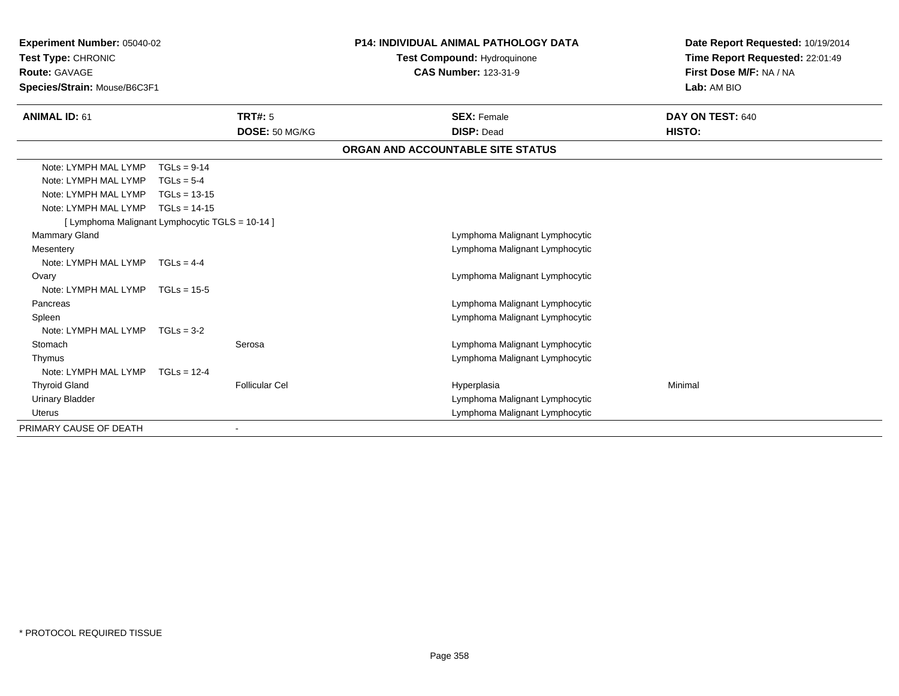| Experiment Number: 05040-02                     |                | <b>P14: INDIVIDUAL ANIMAL PATHOLOGY DATA</b> |                                                                   | Date Report Requested: 10/19/2014 |                                 |
|-------------------------------------------------|----------------|----------------------------------------------|-------------------------------------------------------------------|-----------------------------------|---------------------------------|
| Test Type: CHRONIC                              |                |                                              | <b>Test Compound: Hydroquinone</b><br><b>CAS Number: 123-31-9</b> |                                   | Time Report Requested: 22:01:49 |
| <b>Route: GAVAGE</b>                            |                |                                              |                                                                   |                                   | First Dose M/F: NA / NA         |
| Species/Strain: Mouse/B6C3F1                    |                |                                              |                                                                   |                                   | Lab: AM BIO                     |
| <b>ANIMAL ID: 61</b>                            |                | <b>TRT#: 5</b>                               |                                                                   | <b>SEX: Female</b>                | DAY ON TEST: 640                |
|                                                 |                | DOSE: 50 MG/KG                               |                                                                   | <b>DISP: Dead</b>                 | HISTO:                          |
|                                                 |                |                                              |                                                                   | ORGAN AND ACCOUNTABLE SITE STATUS |                                 |
| Note: LYMPH MAL LYMP                            | $TGLs = 9-14$  |                                              |                                                                   |                                   |                                 |
| Note: LYMPH MAL LYMP                            | $TGLs = 5-4$   |                                              |                                                                   |                                   |                                 |
| Note: LYMPH MAL LYMP                            | $TGLs = 13-15$ |                                              |                                                                   |                                   |                                 |
| Note: LYMPH MAL LYMP                            | $TGLs = 14-15$ |                                              |                                                                   |                                   |                                 |
| [ Lymphoma Malignant Lymphocytic TGLS = 10-14 ] |                |                                              |                                                                   |                                   |                                 |
| <b>Mammary Gland</b>                            |                |                                              |                                                                   | Lymphoma Malignant Lymphocytic    |                                 |
| Mesentery                                       |                |                                              |                                                                   | Lymphoma Malignant Lymphocytic    |                                 |
| Note: LYMPH MAL LYMP TGLs = 4-4                 |                |                                              |                                                                   |                                   |                                 |
| Ovary                                           |                |                                              |                                                                   | Lymphoma Malignant Lymphocytic    |                                 |
| Note: LYMPH MAL LYMP TGLs = 15-5                |                |                                              |                                                                   |                                   |                                 |
| Pancreas                                        |                |                                              |                                                                   | Lymphoma Malignant Lymphocytic    |                                 |
| Spleen                                          |                |                                              |                                                                   | Lymphoma Malignant Lymphocytic    |                                 |
| Note: LYMPH MAL LYMP                            | $TGLs = 3-2$   |                                              |                                                                   |                                   |                                 |
| Stomach                                         |                | Serosa                                       |                                                                   | Lymphoma Malignant Lymphocytic    |                                 |
| Thymus                                          |                |                                              |                                                                   | Lymphoma Malignant Lymphocytic    |                                 |
| Note: LYMPH MAL LYMP                            | $TGLs = 12-4$  |                                              |                                                                   |                                   |                                 |
| <b>Thyroid Gland</b>                            |                | <b>Follicular Cel</b>                        |                                                                   | Hyperplasia                       | Minimal                         |
| <b>Urinary Bladder</b>                          |                |                                              |                                                                   | Lymphoma Malignant Lymphocytic    |                                 |
| <b>Uterus</b>                                   |                |                                              |                                                                   | Lymphoma Malignant Lymphocytic    |                                 |
| PRIMARY CAUSE OF DEATH                          |                |                                              |                                                                   |                                   |                                 |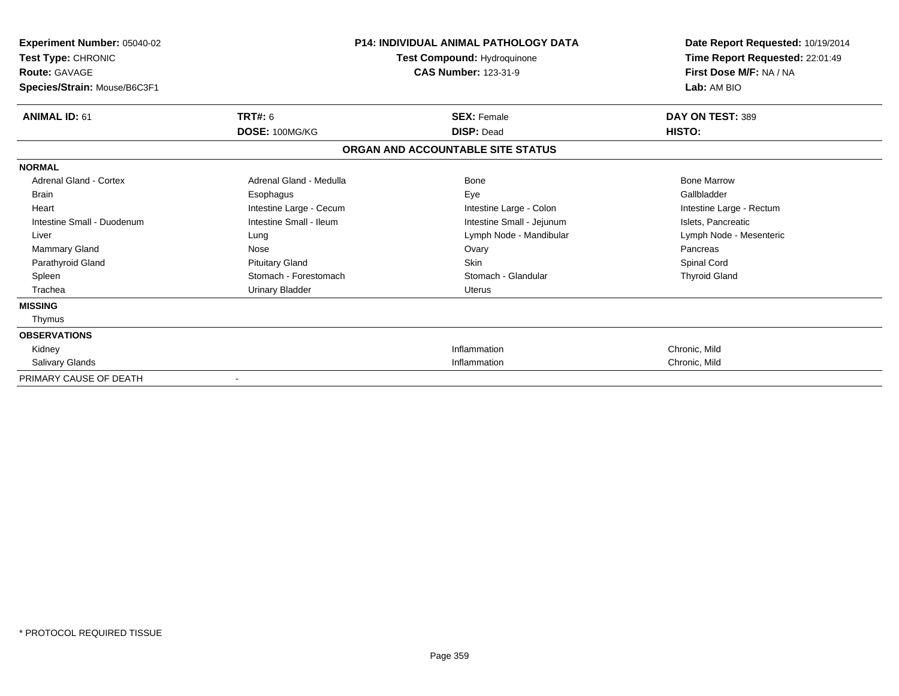| Experiment Number: 05040-02<br>Test Type: CHRONIC    |                         | <b>P14: INDIVIDUAL ANIMAL PATHOLOGY DATA</b><br>Test Compound: Hydroquinone | Date Report Requested: 10/19/2014<br>Time Report Requested: 22:01:49 |
|------------------------------------------------------|-------------------------|-----------------------------------------------------------------------------|----------------------------------------------------------------------|
| <b>Route: GAVAGE</b><br>Species/Strain: Mouse/B6C3F1 |                         | <b>CAS Number: 123-31-9</b>                                                 | First Dose M/F: NA / NA<br>Lab: AM BIO                               |
| <b>ANIMAL ID: 61</b>                                 | <b>TRT#: 6</b>          | <b>SEX: Female</b>                                                          | DAY ON TEST: 389                                                     |
|                                                      | DOSE: 100MG/KG          | <b>DISP: Dead</b>                                                           | HISTO:                                                               |
|                                                      |                         | ORGAN AND ACCOUNTABLE SITE STATUS                                           |                                                                      |
| <b>NORMAL</b>                                        |                         |                                                                             |                                                                      |
| Adrenal Gland - Cortex                               | Adrenal Gland - Medulla | <b>Bone</b>                                                                 | <b>Bone Marrow</b>                                                   |
| <b>Brain</b>                                         | Esophagus               | Eye                                                                         | Gallbladder                                                          |
| Heart                                                | Intestine Large - Cecum | Intestine Large - Colon                                                     | Intestine Large - Rectum                                             |
| Intestine Small - Duodenum                           | Intestine Small - Ileum | Intestine Small - Jejunum                                                   | Islets, Pancreatic                                                   |
| Liver                                                | Lung                    | Lymph Node - Mandibular                                                     | Lymph Node - Mesenteric                                              |
| <b>Mammary Gland</b>                                 | Nose                    | Ovary                                                                       | Pancreas                                                             |
| Parathyroid Gland                                    | <b>Pituitary Gland</b>  | <b>Skin</b>                                                                 | Spinal Cord                                                          |
| Spleen                                               | Stomach - Forestomach   | Stomach - Glandular                                                         | <b>Thyroid Gland</b>                                                 |
| Trachea                                              | <b>Urinary Bladder</b>  | <b>Uterus</b>                                                               |                                                                      |
| <b>MISSING</b>                                       |                         |                                                                             |                                                                      |
| Thymus                                               |                         |                                                                             |                                                                      |
| <b>OBSERVATIONS</b>                                  |                         |                                                                             |                                                                      |
| Kidney                                               |                         | Inflammation                                                                | Chronic, Mild                                                        |
| Salivary Glands                                      |                         | Inflammation                                                                | Chronic, Mild                                                        |
| PRIMARY CAUSE OF DEATH                               |                         |                                                                             |                                                                      |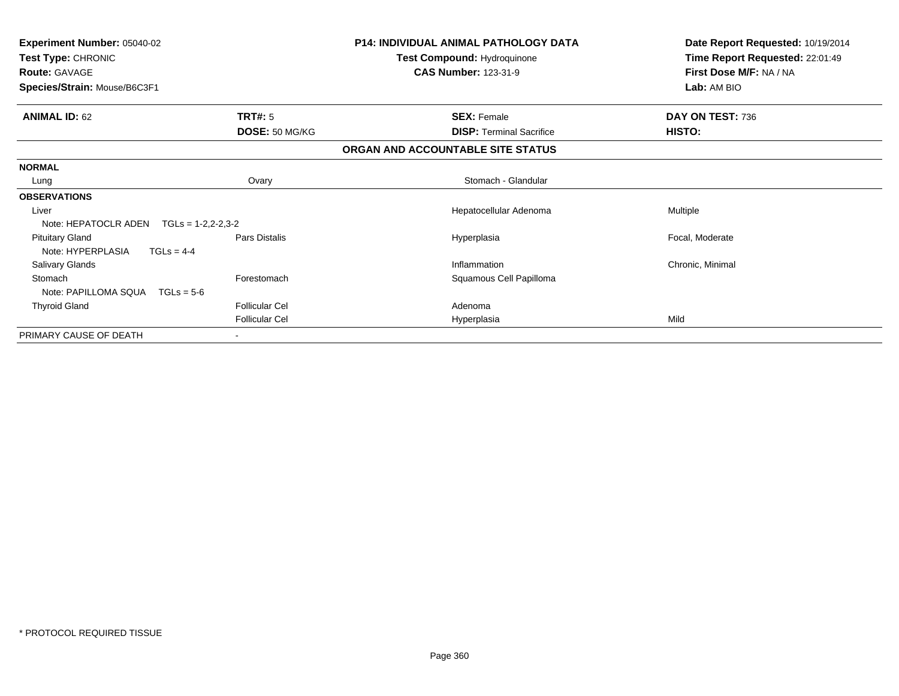| <b>Experiment Number: 05040-02</b><br>Test Type: CHRONIC<br><b>Route: GAVAGE</b><br>Species/Strain: Mouse/B6C3F1 |                       | <b>P14: INDIVIDUAL ANIMAL PATHOLOGY DATA</b><br>Test Compound: Hydroquinone<br><b>CAS Number: 123-31-9</b> | Date Report Requested: 10/19/2014<br>Time Report Requested: 22:01:49<br>First Dose M/F: NA / NA<br>Lab: AM BIO |
|------------------------------------------------------------------------------------------------------------------|-----------------------|------------------------------------------------------------------------------------------------------------|----------------------------------------------------------------------------------------------------------------|
| <b>ANIMAL ID: 62</b>                                                                                             | TRT#: 5               | <b>SEX: Female</b>                                                                                         | DAY ON TEST: 736                                                                                               |
|                                                                                                                  | DOSE: 50 MG/KG        | <b>DISP:</b> Terminal Sacrifice                                                                            | HISTO:                                                                                                         |
|                                                                                                                  |                       | ORGAN AND ACCOUNTABLE SITE STATUS                                                                          |                                                                                                                |
| <b>NORMAL</b>                                                                                                    |                       |                                                                                                            |                                                                                                                |
| Lung                                                                                                             | Ovary                 | Stomach - Glandular                                                                                        |                                                                                                                |
| <b>OBSERVATIONS</b>                                                                                              |                       |                                                                                                            |                                                                                                                |
| Liver                                                                                                            |                       | Hepatocellular Adenoma                                                                                     | <b>Multiple</b>                                                                                                |
| Note: HEPATOCLR ADEN<br>$TGLs = 1-2,2-2,3-2$                                                                     |                       |                                                                                                            |                                                                                                                |
| <b>Pituitary Gland</b><br>Note: HYPERPLASIA<br>$TGLs = 4-4$                                                      | Pars Distalis         | Hyperplasia                                                                                                | Focal, Moderate                                                                                                |
| Salivary Glands                                                                                                  |                       | Inflammation                                                                                               | Chronic, Minimal                                                                                               |
| Stomach<br>Note: PAPILLOMA SQUA<br>$TGLs = 5-6$                                                                  | Forestomach           | Squamous Cell Papilloma                                                                                    |                                                                                                                |
| <b>Thyroid Gland</b>                                                                                             | <b>Follicular Cel</b> | Adenoma                                                                                                    |                                                                                                                |
|                                                                                                                  | <b>Follicular Cel</b> | Hyperplasia                                                                                                | Mild                                                                                                           |
| PRIMARY CAUSE OF DEATH                                                                                           |                       |                                                                                                            |                                                                                                                |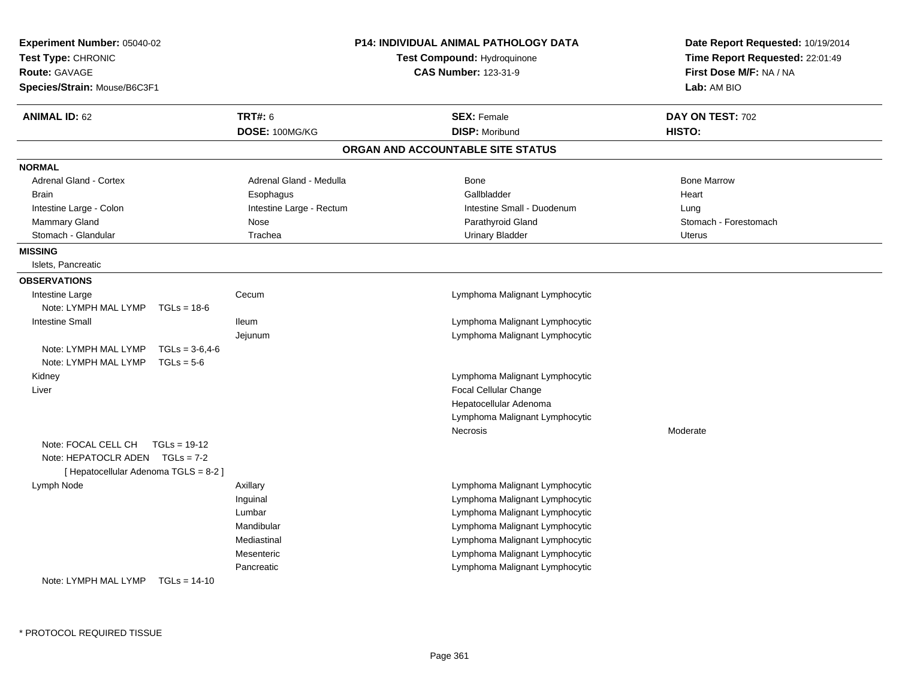| <b>TRT#: 6</b><br><b>ANIMAL ID: 62</b><br>DOSE: 100MG/KG<br><b>NORMAL</b><br><b>Adrenal Gland - Cortex</b><br>Adrenal Gland - Medulla<br><b>Brain</b><br>Esophagus<br>Intestine Large - Rectum<br>Intestine Large - Colon<br>Mammary Gland<br>Nose<br>Stomach - Glandular<br>Trachea<br><b>MISSING</b><br>Islets, Pancreatic<br><b>OBSERVATIONS</b><br>Intestine Large<br>Cecum<br>Note: LYMPH MAL LYMP<br>$TGLs = 18-6$<br><b>Intestine Small</b><br>lleum | <b>SEX: Female</b><br><b>DISP: Moribund</b><br>ORGAN AND ACCOUNTABLE SITE STATUS | DAY ON TEST: 702      |
|-------------------------------------------------------------------------------------------------------------------------------------------------------------------------------------------------------------------------------------------------------------------------------------------------------------------------------------------------------------------------------------------------------------------------------------------------------------|----------------------------------------------------------------------------------|-----------------------|
|                                                                                                                                                                                                                                                                                                                                                                                                                                                             |                                                                                  |                       |
|                                                                                                                                                                                                                                                                                                                                                                                                                                                             |                                                                                  | HISTO:                |
|                                                                                                                                                                                                                                                                                                                                                                                                                                                             |                                                                                  |                       |
|                                                                                                                                                                                                                                                                                                                                                                                                                                                             |                                                                                  |                       |
|                                                                                                                                                                                                                                                                                                                                                                                                                                                             | <b>Bone</b>                                                                      | <b>Bone Marrow</b>    |
|                                                                                                                                                                                                                                                                                                                                                                                                                                                             | Gallbladder                                                                      | Heart                 |
|                                                                                                                                                                                                                                                                                                                                                                                                                                                             | Intestine Small - Duodenum                                                       | Lung                  |
|                                                                                                                                                                                                                                                                                                                                                                                                                                                             | Parathyroid Gland                                                                | Stomach - Forestomach |
|                                                                                                                                                                                                                                                                                                                                                                                                                                                             | <b>Urinary Bladder</b>                                                           | <b>Uterus</b>         |
|                                                                                                                                                                                                                                                                                                                                                                                                                                                             |                                                                                  |                       |
|                                                                                                                                                                                                                                                                                                                                                                                                                                                             |                                                                                  |                       |
|                                                                                                                                                                                                                                                                                                                                                                                                                                                             |                                                                                  |                       |
|                                                                                                                                                                                                                                                                                                                                                                                                                                                             | Lymphoma Malignant Lymphocytic                                                   |                       |
|                                                                                                                                                                                                                                                                                                                                                                                                                                                             |                                                                                  |                       |
|                                                                                                                                                                                                                                                                                                                                                                                                                                                             | Lymphoma Malignant Lymphocytic                                                   |                       |
| Jejunum                                                                                                                                                                                                                                                                                                                                                                                                                                                     | Lymphoma Malignant Lymphocytic                                                   |                       |
| Note: LYMPH MAL LYMP<br>$TGLs = 3-6.4-6$                                                                                                                                                                                                                                                                                                                                                                                                                    |                                                                                  |                       |
| Note: LYMPH MAL LYMP<br>$TGLs = 5-6$                                                                                                                                                                                                                                                                                                                                                                                                                        |                                                                                  |                       |
| Kidney                                                                                                                                                                                                                                                                                                                                                                                                                                                      | Lymphoma Malignant Lymphocytic                                                   |                       |
| Liver                                                                                                                                                                                                                                                                                                                                                                                                                                                       | Focal Cellular Change                                                            |                       |
|                                                                                                                                                                                                                                                                                                                                                                                                                                                             | Hepatocellular Adenoma                                                           |                       |
|                                                                                                                                                                                                                                                                                                                                                                                                                                                             | Lymphoma Malignant Lymphocytic                                                   |                       |
|                                                                                                                                                                                                                                                                                                                                                                                                                                                             | Necrosis                                                                         | Moderate              |
| Note: FOCAL CELL CH<br>$TGLs = 19-12$<br>Note: HEPATOCLR ADEN TGLs = 7-2                                                                                                                                                                                                                                                                                                                                                                                    |                                                                                  |                       |
| [ Hepatocellular Adenoma TGLS = 8-2 ]                                                                                                                                                                                                                                                                                                                                                                                                                       |                                                                                  |                       |
| Lymph Node<br>Axillary                                                                                                                                                                                                                                                                                                                                                                                                                                      | Lymphoma Malignant Lymphocytic                                                   |                       |
| Inguinal                                                                                                                                                                                                                                                                                                                                                                                                                                                    | Lymphoma Malignant Lymphocytic                                                   |                       |
| Lumbar                                                                                                                                                                                                                                                                                                                                                                                                                                                      | Lymphoma Malignant Lymphocytic                                                   |                       |
| Mandibular                                                                                                                                                                                                                                                                                                                                                                                                                                                  | Lymphoma Malignant Lymphocytic                                                   |                       |
| Mediastinal                                                                                                                                                                                                                                                                                                                                                                                                                                                 | Lymphoma Malignant Lymphocytic                                                   |                       |
| Mesenteric                                                                                                                                                                                                                                                                                                                                                                                                                                                  | Lymphoma Malignant Lymphocytic                                                   |                       |
| Pancreatic                                                                                                                                                                                                                                                                                                                                                                                                                                                  | Lymphoma Malignant Lymphocytic                                                   |                       |
| Note: LYMPH MAL LYMP<br>$TGLs = 14-10$                                                                                                                                                                                                                                                                                                                                                                                                                      |                                                                                  |                       |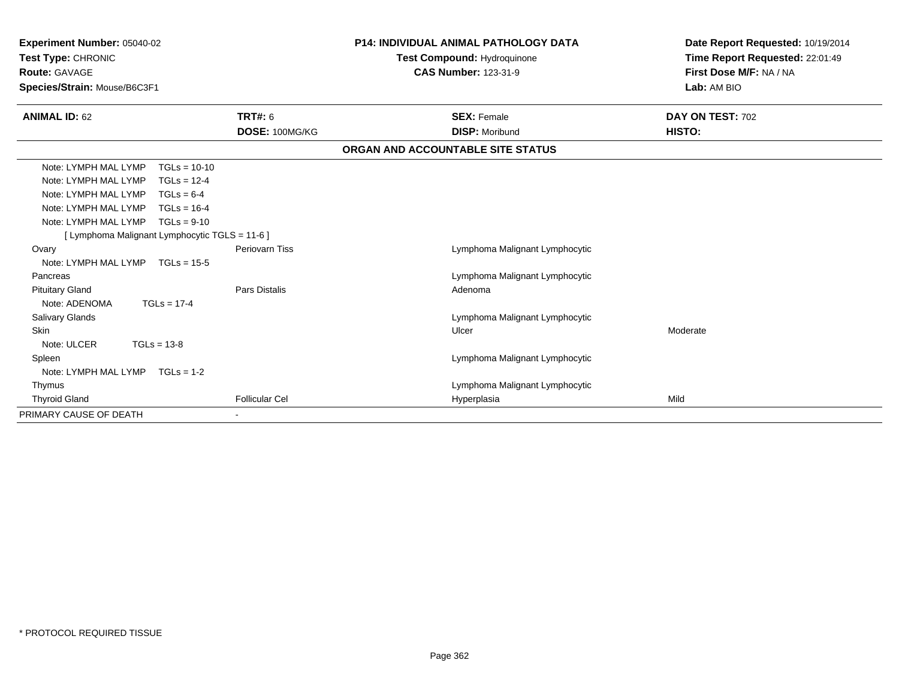| <b>Experiment Number: 05040-02</b><br>Test Type: CHRONIC<br>Route: GAVAGE<br>Species/Strain: Mouse/B6C3F1 |                       | <b>P14: INDIVIDUAL ANIMAL PATHOLOGY DATA</b><br>Test Compound: Hydroquinone<br><b>CAS Number: 123-31-9</b> | Date Report Requested: 10/19/2014<br>Time Report Requested: 22:01:49<br>First Dose M/F: NA / NA<br>Lab: AM BIO |
|-----------------------------------------------------------------------------------------------------------|-----------------------|------------------------------------------------------------------------------------------------------------|----------------------------------------------------------------------------------------------------------------|
| <b>ANIMAL ID: 62</b>                                                                                      | <b>TRT#: 6</b>        | <b>SEX: Female</b>                                                                                         | DAY ON TEST: 702                                                                                               |
|                                                                                                           | DOSE: 100MG/KG        | <b>DISP: Moribund</b>                                                                                      | HISTO:                                                                                                         |
|                                                                                                           |                       | ORGAN AND ACCOUNTABLE SITE STATUS                                                                          |                                                                                                                |
| Note: LYMPH MAL LYMP<br>$TGLs = 10-10$                                                                    |                       |                                                                                                            |                                                                                                                |
| Note: LYMPH MAL LYMP<br>$TGLs = 12-4$                                                                     |                       |                                                                                                            |                                                                                                                |
| Note: LYMPH MAL LYMP<br>$TGLs = 6-4$                                                                      |                       |                                                                                                            |                                                                                                                |
| Note: LYMPH MAL LYMP<br>$TGLs = 16-4$                                                                     |                       |                                                                                                            |                                                                                                                |
| Note: LYMPH MAL LYMP<br>$TGLs = 9-10$                                                                     |                       |                                                                                                            |                                                                                                                |
| [ Lymphoma Malignant Lymphocytic TGLS = 11-6 ]                                                            |                       |                                                                                                            |                                                                                                                |
| Ovary                                                                                                     | <b>Periovarn Tiss</b> | Lymphoma Malignant Lymphocytic                                                                             |                                                                                                                |
| Note: LYMPH MAL LYMP<br>$TGLs = 15-5$                                                                     |                       |                                                                                                            |                                                                                                                |
| Pancreas                                                                                                  |                       | Lymphoma Malignant Lymphocytic                                                                             |                                                                                                                |
| <b>Pituitary Gland</b>                                                                                    | Pars Distalis         | Adenoma                                                                                                    |                                                                                                                |
| Note: ADENOMA<br>$TGLs = 17-4$                                                                            |                       |                                                                                                            |                                                                                                                |
| <b>Salivary Glands</b>                                                                                    |                       | Lymphoma Malignant Lymphocytic                                                                             |                                                                                                                |
| <b>Skin</b>                                                                                               |                       | Ulcer                                                                                                      | Moderate                                                                                                       |
| Note: ULCER<br>$TGLs = 13-8$                                                                              |                       |                                                                                                            |                                                                                                                |
| Spleen                                                                                                    |                       | Lymphoma Malignant Lymphocytic                                                                             |                                                                                                                |
| Note: LYMPH MAL LYMP $TGLs = 1-2$                                                                         |                       |                                                                                                            |                                                                                                                |
| Thymus                                                                                                    |                       | Lymphoma Malignant Lymphocytic                                                                             |                                                                                                                |
| <b>Thyroid Gland</b>                                                                                      | <b>Follicular Cel</b> | Hyperplasia                                                                                                | Mild                                                                                                           |
| PRIMARY CAUSE OF DEATH                                                                                    |                       |                                                                                                            |                                                                                                                |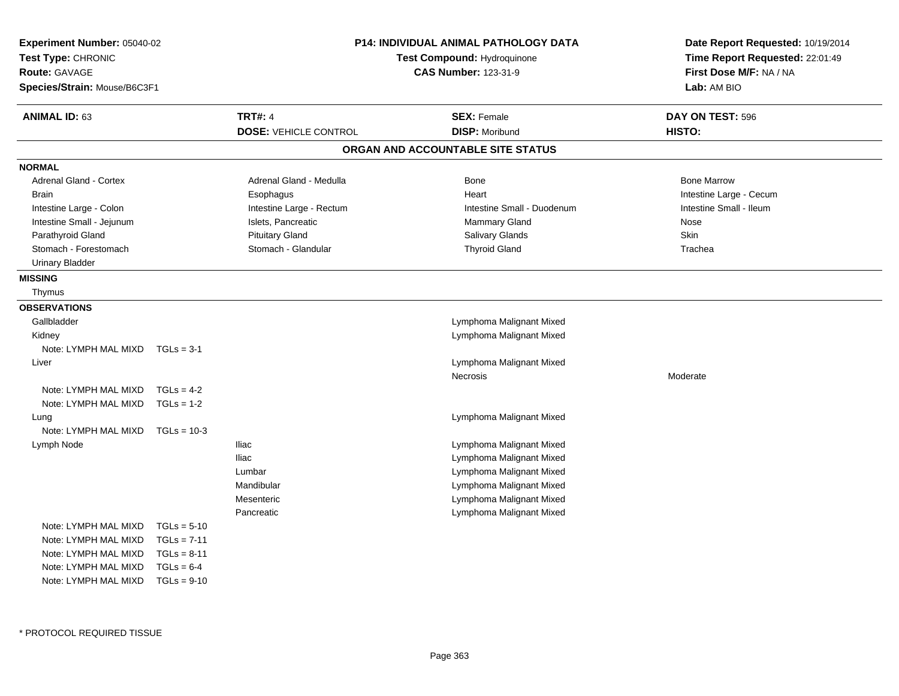| Experiment Number: 05040-02<br>Test Type: CHRONIC<br>Route: GAVAGE<br>Species/Strain: Mouse/B6C3F1 |               |                                                | P14: INDIVIDUAL ANIMAL PATHOLOGY DATA<br>Test Compound: Hydroquinone<br><b>CAS Number: 123-31-9</b> | Date Report Requested: 10/19/2014<br>Time Report Requested: 22:01:49<br>First Dose M/F: NA / NA<br>Lab: AM BIO |
|----------------------------------------------------------------------------------------------------|---------------|------------------------------------------------|-----------------------------------------------------------------------------------------------------|----------------------------------------------------------------------------------------------------------------|
| <b>ANIMAL ID: 63</b>                                                                               |               | <b>TRT#: 4</b><br><b>DOSE: VEHICLE CONTROL</b> | <b>SEX: Female</b><br><b>DISP: Moribund</b>                                                         | DAY ON TEST: 596<br>HISTO:                                                                                     |
|                                                                                                    |               |                                                | ORGAN AND ACCOUNTABLE SITE STATUS                                                                   |                                                                                                                |
| <b>NORMAL</b>                                                                                      |               |                                                |                                                                                                     |                                                                                                                |
| Adrenal Gland - Cortex                                                                             |               | Adrenal Gland - Medulla                        | Bone                                                                                                | <b>Bone Marrow</b>                                                                                             |
| <b>Brain</b>                                                                                       |               | Esophagus                                      | Heart                                                                                               | Intestine Large - Cecum                                                                                        |
| Intestine Large - Colon                                                                            |               | Intestine Large - Rectum                       | Intestine Small - Duodenum                                                                          | Intestine Small - Ileum                                                                                        |
| Intestine Small - Jejunum                                                                          |               | Islets, Pancreatic                             | <b>Mammary Gland</b>                                                                                | Nose                                                                                                           |
| Parathyroid Gland                                                                                  |               | <b>Pituitary Gland</b>                         | Salivary Glands                                                                                     | Skin                                                                                                           |
| Stomach - Forestomach                                                                              |               | Stomach - Glandular                            | <b>Thyroid Gland</b>                                                                                | Trachea                                                                                                        |
| <b>Urinary Bladder</b>                                                                             |               |                                                |                                                                                                     |                                                                                                                |
| <b>MISSING</b>                                                                                     |               |                                                |                                                                                                     |                                                                                                                |
| Thymus                                                                                             |               |                                                |                                                                                                     |                                                                                                                |
| <b>OBSERVATIONS</b>                                                                                |               |                                                |                                                                                                     |                                                                                                                |
| Gallbladder                                                                                        |               |                                                | Lymphoma Malignant Mixed                                                                            |                                                                                                                |
| Kidney                                                                                             |               |                                                | Lymphoma Malignant Mixed                                                                            |                                                                                                                |
| Note: LYMPH MAL MIXD                                                                               | $TGLs = 3-1$  |                                                |                                                                                                     |                                                                                                                |
| Liver                                                                                              |               |                                                | Lymphoma Malignant Mixed                                                                            |                                                                                                                |
|                                                                                                    |               |                                                | <b>Necrosis</b>                                                                                     | Moderate                                                                                                       |
| Note: LYMPH MAL MIXD                                                                               | $TGLs = 4-2$  |                                                |                                                                                                     |                                                                                                                |
| Note: LYMPH MAL MIXD                                                                               | $TGLs = 1-2$  |                                                |                                                                                                     |                                                                                                                |
| Lung                                                                                               |               |                                                | Lymphoma Malignant Mixed                                                                            |                                                                                                                |
| Note: LYMPH MAL MIXD                                                                               | $TGLs = 10-3$ |                                                |                                                                                                     |                                                                                                                |
| Lymph Node                                                                                         |               | <b>Iliac</b>                                   | Lymphoma Malignant Mixed                                                                            |                                                                                                                |
|                                                                                                    |               | <b>Iliac</b>                                   | Lymphoma Malignant Mixed                                                                            |                                                                                                                |
|                                                                                                    |               | Lumbar                                         | Lymphoma Malignant Mixed                                                                            |                                                                                                                |
|                                                                                                    |               | Mandibular                                     | Lymphoma Malignant Mixed                                                                            |                                                                                                                |
|                                                                                                    |               | Mesenteric                                     | Lymphoma Malignant Mixed                                                                            |                                                                                                                |
|                                                                                                    |               | Pancreatic                                     | Lymphoma Malignant Mixed                                                                            |                                                                                                                |
| Note: LYMPH MAL MIXD                                                                               | $TGLs = 5-10$ |                                                |                                                                                                     |                                                                                                                |
| Note: LYMPH MAL MIXD                                                                               | $TGLs = 7-11$ |                                                |                                                                                                     |                                                                                                                |
| Note: LYMPH MAL MIXD                                                                               | $TGLs = 8-11$ |                                                |                                                                                                     |                                                                                                                |
| Note: LYMPH MAL MIXD                                                                               | $TGLs = 6-4$  |                                                |                                                                                                     |                                                                                                                |
| Note: LYMPH MAL MIXD                                                                               | $TGLs = 9-10$ |                                                |                                                                                                     |                                                                                                                |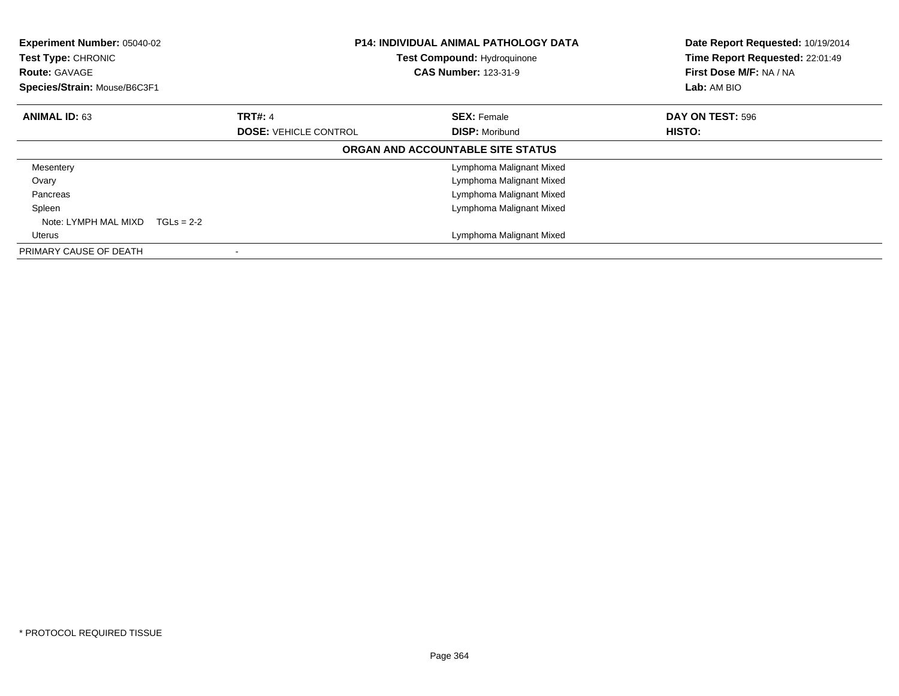| Experiment Number: 05040-02<br>Test Type: CHRONIC<br><b>Route: GAVAGE</b><br>Species/Strain: Mouse/B6C3F1 |                                                | <b>P14: INDIVIDUAL ANIMAL PATHOLOGY DATA</b><br><b>Test Compound: Hydroquinone</b><br><b>CAS Number: 123-31-9</b> | Date Report Requested: 10/19/2014<br>Time Report Requested: 22:01:49<br>First Dose M/F: NA / NA<br>Lab: AM BIO |
|-----------------------------------------------------------------------------------------------------------|------------------------------------------------|-------------------------------------------------------------------------------------------------------------------|----------------------------------------------------------------------------------------------------------------|
| <b>ANIMAL ID: 63</b>                                                                                      | <b>TRT#: 4</b><br><b>DOSE: VEHICLE CONTROL</b> | <b>SEX: Female</b><br><b>DISP: Moribund</b>                                                                       | DAY ON TEST: 596<br>HISTO:                                                                                     |
|                                                                                                           |                                                | ORGAN AND ACCOUNTABLE SITE STATUS                                                                                 |                                                                                                                |
| Mesentery                                                                                                 |                                                | Lymphoma Malignant Mixed                                                                                          |                                                                                                                |
| Ovary                                                                                                     |                                                | Lymphoma Malignant Mixed                                                                                          |                                                                                                                |
| Pancreas                                                                                                  |                                                | Lymphoma Malignant Mixed                                                                                          |                                                                                                                |
| Spleen                                                                                                    |                                                | Lymphoma Malignant Mixed                                                                                          |                                                                                                                |
| Note: LYMPH MAL MIXD<br>$TGLs = 2-2$                                                                      |                                                |                                                                                                                   |                                                                                                                |
| Uterus                                                                                                    |                                                | Lymphoma Malignant Mixed                                                                                          |                                                                                                                |
| PRIMARY CAUSE OF DEATH                                                                                    |                                                |                                                                                                                   |                                                                                                                |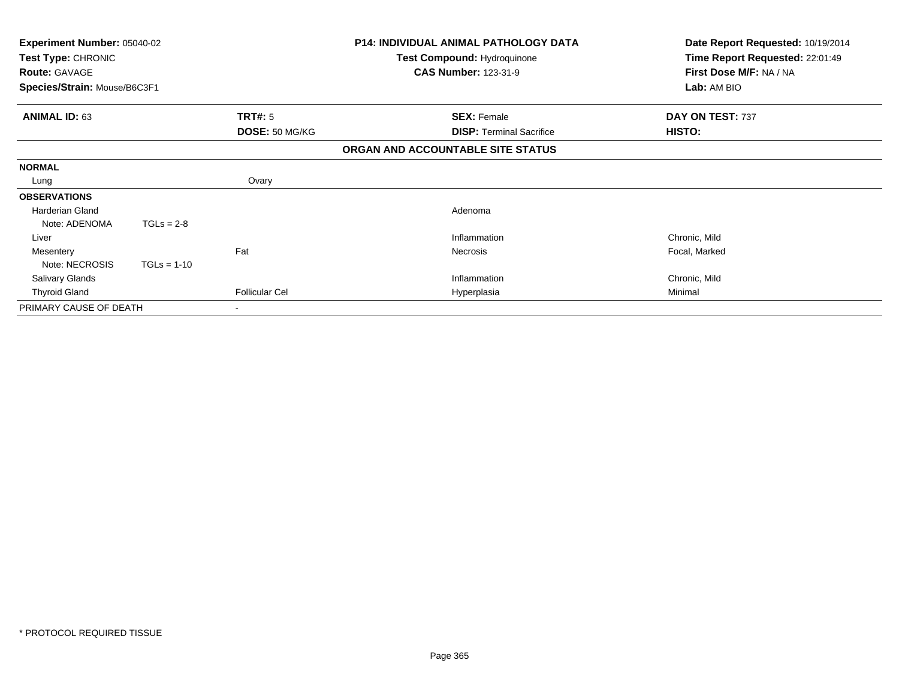| <b>Experiment Number: 05040-02</b><br>Test Type: CHRONIC<br><b>Route: GAVAGE</b><br>Species/Strain: Mouse/B6C3F1 |               |                       | <b>P14: INDIVIDUAL ANIMAL PATHOLOGY DATA</b><br>Test Compound: Hydroquinone<br><b>CAS Number: 123-31-9</b> | Date Report Requested: 10/19/2014<br>Time Report Requested: 22:01:49<br>First Dose M/F: NA / NA |
|------------------------------------------------------------------------------------------------------------------|---------------|-----------------------|------------------------------------------------------------------------------------------------------------|-------------------------------------------------------------------------------------------------|
|                                                                                                                  |               |                       |                                                                                                            | Lab: AM BIO                                                                                     |
| <b>ANIMAL ID: 63</b>                                                                                             |               | TRT#: 5               | <b>SEX: Female</b>                                                                                         | DAY ON TEST: 737                                                                                |
|                                                                                                                  |               | DOSE: 50 MG/KG        | <b>DISP:</b> Terminal Sacrifice                                                                            | <b>HISTO:</b>                                                                                   |
|                                                                                                                  |               |                       | ORGAN AND ACCOUNTABLE SITE STATUS                                                                          |                                                                                                 |
| <b>NORMAL</b>                                                                                                    |               |                       |                                                                                                            |                                                                                                 |
| Lung                                                                                                             |               | Ovary                 |                                                                                                            |                                                                                                 |
| <b>OBSERVATIONS</b>                                                                                              |               |                       |                                                                                                            |                                                                                                 |
| <b>Harderian Gland</b>                                                                                           |               |                       | Adenoma                                                                                                    |                                                                                                 |
| Note: ADENOMA                                                                                                    | $TGLs = 2-8$  |                       |                                                                                                            |                                                                                                 |
| Liver                                                                                                            |               |                       | Inflammation                                                                                               | Chronic, Mild                                                                                   |
| Mesentery                                                                                                        |               | Fat                   | Necrosis                                                                                                   | Focal, Marked                                                                                   |
| Note: NECROSIS                                                                                                   | $TGLs = 1-10$ |                       |                                                                                                            |                                                                                                 |
| <b>Salivary Glands</b>                                                                                           |               |                       | Inflammation                                                                                               | Chronic, Mild                                                                                   |
| <b>Thyroid Gland</b>                                                                                             |               | <b>Follicular Cel</b> | Hyperplasia                                                                                                | Minimal                                                                                         |
| PRIMARY CAUSE OF DEATH                                                                                           |               |                       |                                                                                                            |                                                                                                 |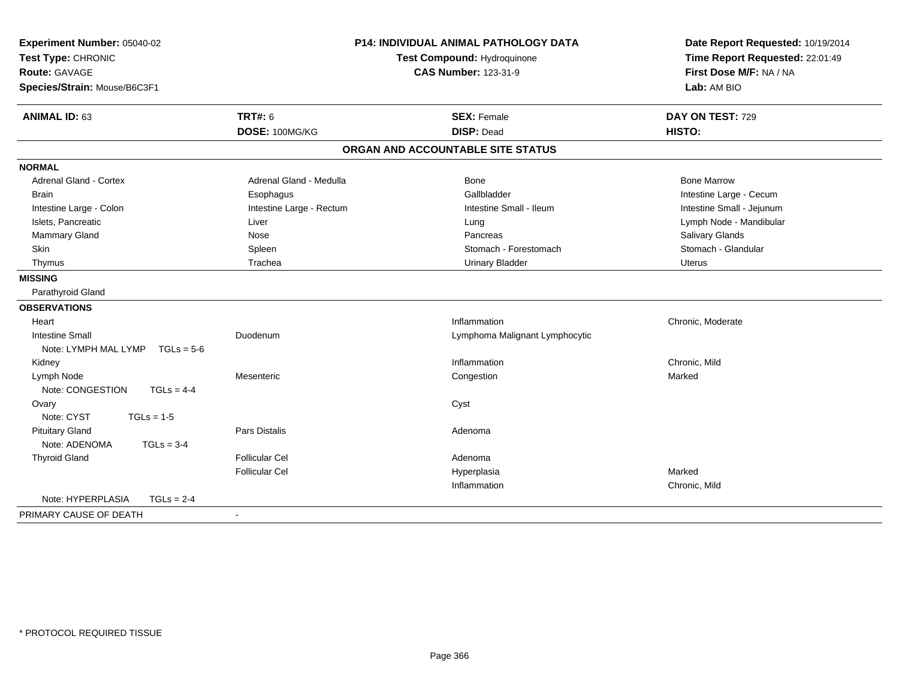| Experiment Number: 05040-02<br>Test Type: CHRONIC<br>Route: GAVAGE<br>Species/Strain: Mouse/B6C3F1 |                          | <b>P14: INDIVIDUAL ANIMAL PATHOLOGY DATA</b><br>Test Compound: Hydroquinone<br><b>CAS Number: 123-31-9</b> | Date Report Requested: 10/19/2014<br>Time Report Requested: 22:01:49<br>First Dose M/F: NA / NA<br>Lab: AM BIO |
|----------------------------------------------------------------------------------------------------|--------------------------|------------------------------------------------------------------------------------------------------------|----------------------------------------------------------------------------------------------------------------|
| <b>ANIMAL ID: 63</b>                                                                               | <b>TRT#: 6</b>           | <b>SEX: Female</b>                                                                                         | DAY ON TEST: 729                                                                                               |
|                                                                                                    | DOSE: 100MG/KG           | <b>DISP: Dead</b>                                                                                          | HISTO:                                                                                                         |
|                                                                                                    |                          | ORGAN AND ACCOUNTABLE SITE STATUS                                                                          |                                                                                                                |
| <b>NORMAL</b>                                                                                      |                          |                                                                                                            |                                                                                                                |
| <b>Adrenal Gland - Cortex</b>                                                                      | Adrenal Gland - Medulla  | <b>Bone</b>                                                                                                | <b>Bone Marrow</b>                                                                                             |
| <b>Brain</b>                                                                                       | Esophagus                | Gallbladder                                                                                                | Intestine Large - Cecum                                                                                        |
| Intestine Large - Colon                                                                            | Intestine Large - Rectum | Intestine Small - Ileum                                                                                    | Intestine Small - Jejunum                                                                                      |
| Islets, Pancreatic                                                                                 | Liver                    | Lung                                                                                                       | Lymph Node - Mandibular                                                                                        |
| Mammary Gland                                                                                      | Nose                     | Pancreas                                                                                                   | Salivary Glands                                                                                                |
| Skin                                                                                               | Spleen                   | Stomach - Forestomach                                                                                      | Stomach - Glandular                                                                                            |
| Thymus                                                                                             | Trachea                  | <b>Urinary Bladder</b>                                                                                     | <b>Uterus</b>                                                                                                  |
| <b>MISSING</b>                                                                                     |                          |                                                                                                            |                                                                                                                |
| Parathyroid Gland                                                                                  |                          |                                                                                                            |                                                                                                                |
| <b>OBSERVATIONS</b>                                                                                |                          |                                                                                                            |                                                                                                                |
| Heart                                                                                              |                          | Inflammation                                                                                               | Chronic, Moderate                                                                                              |
| <b>Intestine Small</b>                                                                             | Duodenum                 | Lymphoma Malignant Lymphocytic                                                                             |                                                                                                                |
| Note: LYMPH MAL LYMP<br>$TGLs = 5-6$                                                               |                          |                                                                                                            |                                                                                                                |
| Kidney                                                                                             |                          | Inflammation                                                                                               | Chronic, Mild                                                                                                  |
| Lymph Node                                                                                         | Mesenteric               | Congestion                                                                                                 | Marked                                                                                                         |
| Note: CONGESTION<br>$TGLs = 4-4$                                                                   |                          |                                                                                                            |                                                                                                                |
| Ovary                                                                                              |                          | Cyst                                                                                                       |                                                                                                                |
| Note: CYST<br>$TGLs = 1-5$                                                                         |                          |                                                                                                            |                                                                                                                |
| <b>Pituitary Gland</b>                                                                             | <b>Pars Distalis</b>     | Adenoma                                                                                                    |                                                                                                                |
| Note: ADENOMA<br>$TGLs = 3-4$                                                                      |                          |                                                                                                            |                                                                                                                |
| <b>Thyroid Gland</b>                                                                               | <b>Follicular Cel</b>    | Adenoma                                                                                                    |                                                                                                                |
|                                                                                                    | <b>Follicular Cel</b>    | Hyperplasia                                                                                                | Marked                                                                                                         |
|                                                                                                    |                          | Inflammation                                                                                               | Chronic, Mild                                                                                                  |
| Note: HYPERPLASIA<br>$TGLs = 2-4$                                                                  |                          |                                                                                                            |                                                                                                                |
| PRIMARY CAUSE OF DEATH                                                                             | $\sim$                   |                                                                                                            |                                                                                                                |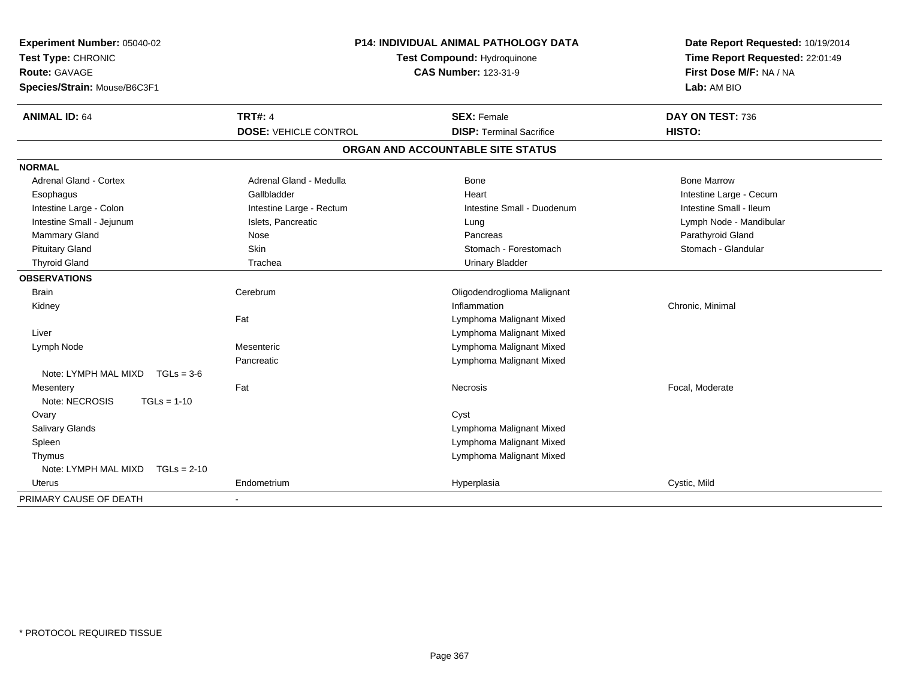| Experiment Number: 05040-02<br>Test Type: CHRONIC<br><b>Route: GAVAGE</b><br>Species/Strain: Mouse/B6C3F1 | <b>P14: INDIVIDUAL ANIMAL PATHOLOGY DATA</b><br>Test Compound: Hydroquinone<br><b>CAS Number: 123-31-9</b> |                                   | Date Report Requested: 10/19/2014<br>Time Report Requested: 22:01:49<br>First Dose M/F: NA / NA<br>Lab: AM BIO |
|-----------------------------------------------------------------------------------------------------------|------------------------------------------------------------------------------------------------------------|-----------------------------------|----------------------------------------------------------------------------------------------------------------|
| <b>ANIMAL ID: 64</b>                                                                                      | <b>TRT#: 4</b>                                                                                             | <b>SEX: Female</b>                | DAY ON TEST: 736                                                                                               |
|                                                                                                           | <b>DOSE: VEHICLE CONTROL</b>                                                                               | <b>DISP: Terminal Sacrifice</b>   | HISTO:                                                                                                         |
|                                                                                                           |                                                                                                            | ORGAN AND ACCOUNTABLE SITE STATUS |                                                                                                                |
| <b>NORMAL</b>                                                                                             |                                                                                                            |                                   |                                                                                                                |
| <b>Adrenal Gland - Cortex</b>                                                                             | Adrenal Gland - Medulla                                                                                    | Bone                              | <b>Bone Marrow</b>                                                                                             |
| Esophagus                                                                                                 | Gallbladder                                                                                                | Heart                             | Intestine Large - Cecum                                                                                        |
| Intestine Large - Colon                                                                                   | Intestine Large - Rectum                                                                                   | Intestine Small - Duodenum        | Intestine Small - Ileum                                                                                        |
| Intestine Small - Jejunum                                                                                 | Islets, Pancreatic                                                                                         | Lung                              | Lymph Node - Mandibular                                                                                        |
| Mammary Gland                                                                                             | Nose                                                                                                       | Pancreas                          | Parathyroid Gland                                                                                              |
| <b>Pituitary Gland</b>                                                                                    | Skin                                                                                                       | Stomach - Forestomach             | Stomach - Glandular                                                                                            |
| <b>Thyroid Gland</b>                                                                                      | Trachea                                                                                                    | <b>Urinary Bladder</b>            |                                                                                                                |
| <b>OBSERVATIONS</b>                                                                                       |                                                                                                            |                                   |                                                                                                                |
| <b>Brain</b>                                                                                              | Cerebrum                                                                                                   | Oligodendroglioma Malignant       |                                                                                                                |
| Kidney                                                                                                    |                                                                                                            | Inflammation                      | Chronic, Minimal                                                                                               |
|                                                                                                           | Fat                                                                                                        | Lymphoma Malignant Mixed          |                                                                                                                |
| Liver                                                                                                     |                                                                                                            | Lymphoma Malignant Mixed          |                                                                                                                |
| Lymph Node                                                                                                | Mesenteric                                                                                                 | Lymphoma Malignant Mixed          |                                                                                                                |
|                                                                                                           | Pancreatic                                                                                                 | Lymphoma Malignant Mixed          |                                                                                                                |
| Note: LYMPH MAL MIXD<br>$TGLs = 3-6$                                                                      |                                                                                                            |                                   |                                                                                                                |
| Mesentery                                                                                                 | Fat                                                                                                        | Necrosis                          | Focal, Moderate                                                                                                |
| Note: NECROSIS<br>$TGLs = 1-10$                                                                           |                                                                                                            |                                   |                                                                                                                |
| Ovary                                                                                                     |                                                                                                            | Cyst                              |                                                                                                                |
| Salivary Glands                                                                                           |                                                                                                            | Lymphoma Malignant Mixed          |                                                                                                                |
| Spleen                                                                                                    |                                                                                                            | Lymphoma Malignant Mixed          |                                                                                                                |
| Thymus                                                                                                    |                                                                                                            | Lymphoma Malignant Mixed          |                                                                                                                |
| Note: LYMPH MAL MIXD<br>$TGLs = 2-10$                                                                     |                                                                                                            |                                   |                                                                                                                |
| Uterus                                                                                                    | Endometrium                                                                                                | Hyperplasia                       | Cystic, Mild                                                                                                   |
| PRIMARY CAUSE OF DEATH                                                                                    | $\blacksquare$                                                                                             |                                   |                                                                                                                |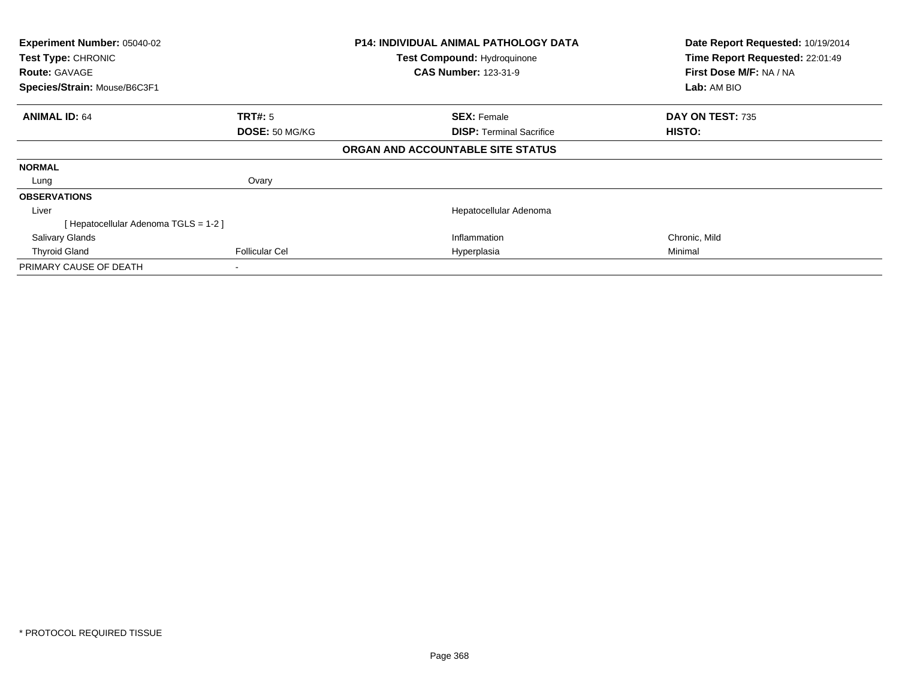| Experiment Number: 05040-02<br>Test Type: CHRONIC<br><b>Route: GAVAGE</b><br>Species/Strain: Mouse/B6C3F1 |                       | <b>P14: INDIVIDUAL ANIMAL PATHOLOGY DATA</b><br><b>Test Compound: Hydroquinone</b><br><b>CAS Number: 123-31-9</b> |               | Date Report Requested: 10/19/2014<br>Time Report Requested: 22:01:49<br>First Dose M/F: NA / NA<br>Lab: AM BIO |
|-----------------------------------------------------------------------------------------------------------|-----------------------|-------------------------------------------------------------------------------------------------------------------|---------------|----------------------------------------------------------------------------------------------------------------|
| <b>ANIMAL ID: 64</b>                                                                                      | <b>TRT#:</b> 5        | <b>SEX: Female</b>                                                                                                |               | DAY ON TEST: 735                                                                                               |
|                                                                                                           | DOSE: 50 MG/KG        | <b>DISP: Terminal Sacrifice</b>                                                                                   | <b>HISTO:</b> |                                                                                                                |
|                                                                                                           |                       | ORGAN AND ACCOUNTABLE SITE STATUS                                                                                 |               |                                                                                                                |
| <b>NORMAL</b>                                                                                             |                       |                                                                                                                   |               |                                                                                                                |
| Lung                                                                                                      | Ovary                 |                                                                                                                   |               |                                                                                                                |
| <b>OBSERVATIONS</b>                                                                                       |                       |                                                                                                                   |               |                                                                                                                |
| Liver                                                                                                     |                       | Hepatocellular Adenoma                                                                                            |               |                                                                                                                |
| Hepatocellular Adenoma TGLS = 1-2 ]                                                                       |                       |                                                                                                                   |               |                                                                                                                |
| <b>Salivary Glands</b>                                                                                    |                       | Inflammation                                                                                                      |               | Chronic, Mild                                                                                                  |
| <b>Thyroid Gland</b>                                                                                      | <b>Follicular Cel</b> | Hyperplasia                                                                                                       | Minimal       |                                                                                                                |
| PRIMARY CAUSE OF DEATH                                                                                    |                       |                                                                                                                   |               |                                                                                                                |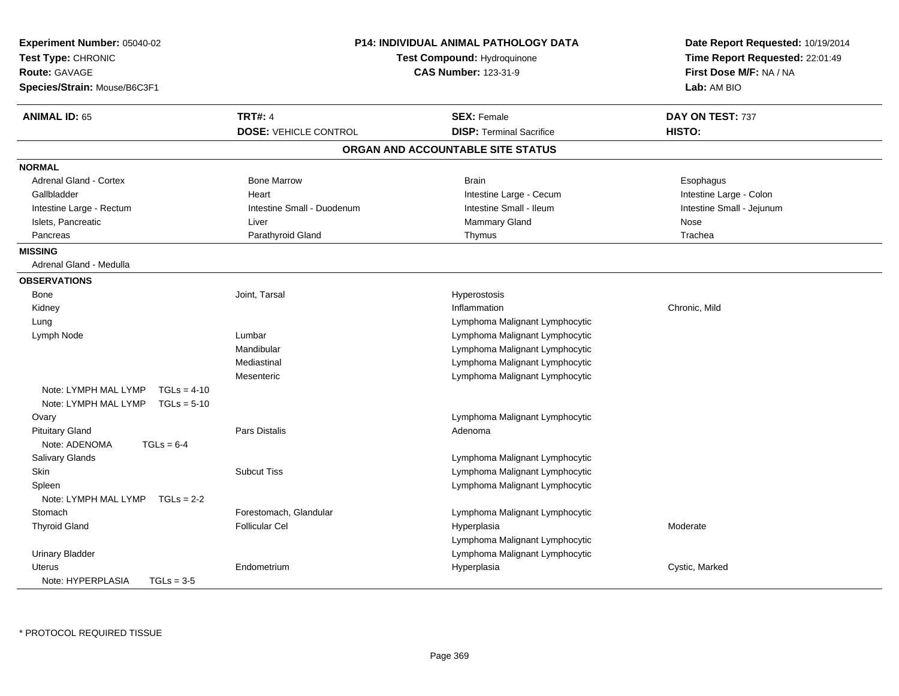| Experiment Number: 05040-02<br>Test Type: CHRONIC<br><b>Route: GAVAGE</b><br>Species/Strain: Mouse/B6C3F1 |                              | <b>P14: INDIVIDUAL ANIMAL PATHOLOGY DATA</b><br>Test Compound: Hydroquinone<br><b>CAS Number: 123-31-9</b> | Date Report Requested: 10/19/2014<br>Time Report Requested: 22:01:49<br>First Dose M/F: NA / NA<br>Lab: AM BIO |
|-----------------------------------------------------------------------------------------------------------|------------------------------|------------------------------------------------------------------------------------------------------------|----------------------------------------------------------------------------------------------------------------|
| <b>ANIMAL ID: 65</b>                                                                                      | <b>TRT#: 4</b>               | <b>SEX: Female</b>                                                                                         | DAY ON TEST: 737                                                                                               |
|                                                                                                           | <b>DOSE: VEHICLE CONTROL</b> | <b>DISP: Terminal Sacrifice</b>                                                                            | HISTO:                                                                                                         |
|                                                                                                           |                              | ORGAN AND ACCOUNTABLE SITE STATUS                                                                          |                                                                                                                |
| <b>NORMAL</b>                                                                                             |                              |                                                                                                            |                                                                                                                |
| Adrenal Gland - Cortex                                                                                    | <b>Bone Marrow</b>           | <b>Brain</b>                                                                                               | Esophagus                                                                                                      |
| Gallbladder                                                                                               | Heart                        | Intestine Large - Cecum                                                                                    | Intestine Large - Colon                                                                                        |
| Intestine Large - Rectum                                                                                  | Intestine Small - Duodenum   | Intestine Small - Ileum                                                                                    | Intestine Small - Jejunum                                                                                      |
| Islets, Pancreatic                                                                                        | Liver                        | Mammary Gland                                                                                              | Nose                                                                                                           |
| Pancreas                                                                                                  | Parathyroid Gland            | Thymus                                                                                                     | Trachea                                                                                                        |
| <b>MISSING</b>                                                                                            |                              |                                                                                                            |                                                                                                                |
| Adrenal Gland - Medulla                                                                                   |                              |                                                                                                            |                                                                                                                |
| <b>OBSERVATIONS</b>                                                                                       |                              |                                                                                                            |                                                                                                                |
| Bone                                                                                                      | Joint, Tarsal                | Hyperostosis                                                                                               |                                                                                                                |
| Kidney                                                                                                    |                              | Inflammation                                                                                               | Chronic, Mild                                                                                                  |
| Lung                                                                                                      |                              | Lymphoma Malignant Lymphocytic                                                                             |                                                                                                                |
| Lymph Node                                                                                                | Lumbar                       | Lymphoma Malignant Lymphocytic                                                                             |                                                                                                                |
|                                                                                                           | Mandibular                   | Lymphoma Malignant Lymphocytic                                                                             |                                                                                                                |
|                                                                                                           | Mediastinal                  | Lymphoma Malignant Lymphocytic                                                                             |                                                                                                                |
|                                                                                                           | Mesenteric                   | Lymphoma Malignant Lymphocytic                                                                             |                                                                                                                |
| Note: LYMPH MAL LYMP<br>$TGLs = 4-10$                                                                     |                              |                                                                                                            |                                                                                                                |
| Note: LYMPH MAL LYMP<br>$TGLs = 5-10$                                                                     |                              |                                                                                                            |                                                                                                                |
| Ovary                                                                                                     |                              | Lymphoma Malignant Lymphocytic                                                                             |                                                                                                                |
| <b>Pituitary Gland</b>                                                                                    | Pars Distalis                | Adenoma                                                                                                    |                                                                                                                |
| Note: ADENOMA<br>$TGLs = 6-4$                                                                             |                              |                                                                                                            |                                                                                                                |
| Salivary Glands                                                                                           |                              | Lymphoma Malignant Lymphocytic                                                                             |                                                                                                                |
| Skin                                                                                                      | <b>Subcut Tiss</b>           | Lymphoma Malignant Lymphocytic                                                                             |                                                                                                                |
| Spleen                                                                                                    |                              | Lymphoma Malignant Lymphocytic                                                                             |                                                                                                                |
| Note: LYMPH MAL LYMP<br>$TGLs = 2-2$                                                                      |                              |                                                                                                            |                                                                                                                |
| Stomach                                                                                                   | Forestomach, Glandular       | Lymphoma Malignant Lymphocytic                                                                             |                                                                                                                |
| <b>Thyroid Gland</b>                                                                                      | <b>Follicular Cel</b>        | Hyperplasia                                                                                                | Moderate                                                                                                       |
|                                                                                                           |                              | Lymphoma Malignant Lymphocytic                                                                             |                                                                                                                |
| <b>Urinary Bladder</b>                                                                                    |                              | Lymphoma Malignant Lymphocytic                                                                             |                                                                                                                |
| Uterus                                                                                                    | Endometrium                  | Hyperplasia                                                                                                | Cystic, Marked                                                                                                 |
| Note: HYPERPLASIA<br>$TGLs = 3-5$                                                                         |                              |                                                                                                            |                                                                                                                |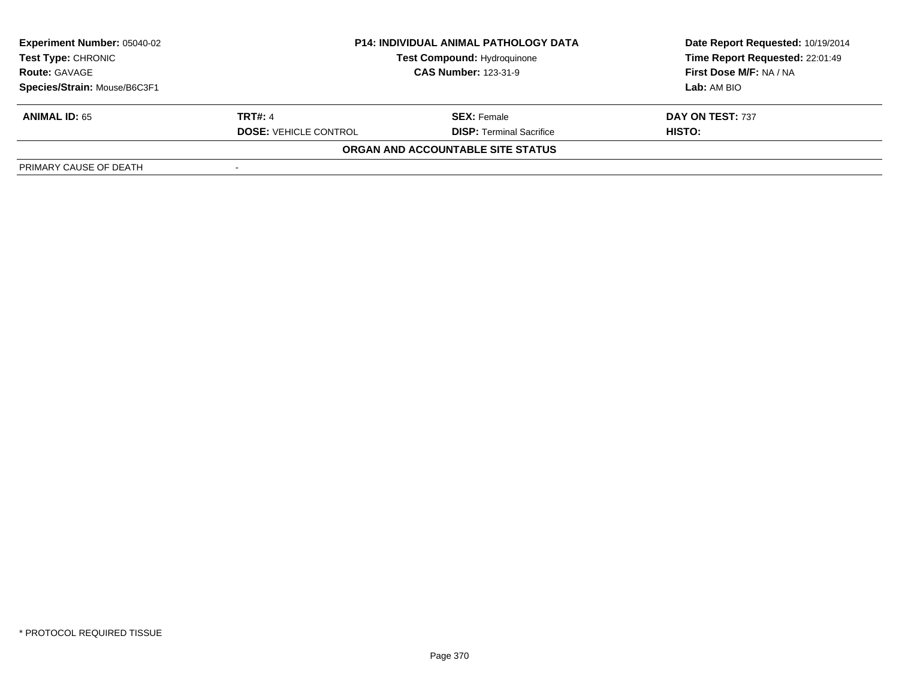| <b>Experiment Number: 05040-02</b> | <b>P14: INDIVIDUAL ANIMAL PATHOLOGY DATA</b><br><b>Test Compound: Hydroquinone</b> |                                   | Date Report Requested: 10/19/2014 |  |
|------------------------------------|------------------------------------------------------------------------------------|-----------------------------------|-----------------------------------|--|
| <b>Test Type: CHRONIC</b>          |                                                                                    |                                   | Time Report Requested: 22:01:49   |  |
| <b>Route: GAVAGE</b>               |                                                                                    | <b>CAS Number: 123-31-9</b>       | First Dose M/F: NA / NA           |  |
| Species/Strain: Mouse/B6C3F1       |                                                                                    |                                   | Lab: AM BIO                       |  |
| <b>ANIMAL ID: 65</b>               | <b>TRT#: 4</b>                                                                     | <b>SEX:</b> Female                | DAY ON TEST: 737                  |  |
|                                    | <b>DOSE: VEHICLE CONTROL</b>                                                       | <b>DISP: Terminal Sacrifice</b>   | HISTO:                            |  |
|                                    |                                                                                    | ORGAN AND ACCOUNTABLE SITE STATUS |                                   |  |
| PRIMARY CAUSE OF DEATH             |                                                                                    |                                   |                                   |  |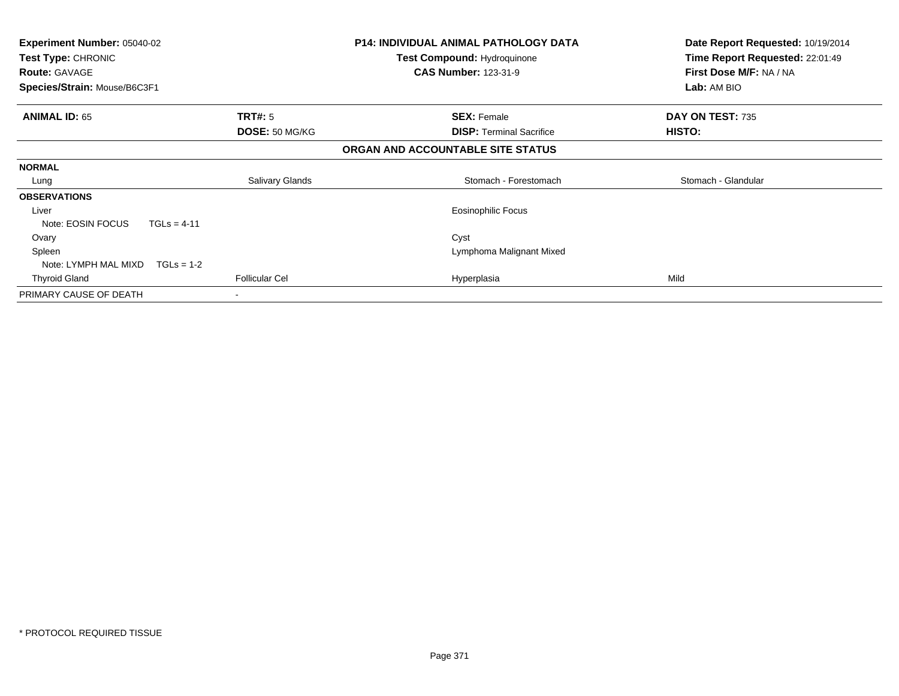| <b>Experiment Number: 05040-02</b><br>Test Type: CHRONIC<br><b>Route: GAVAGE</b><br>Species/Strain: Mouse/B6C3F1 |                        | P14: INDIVIDUAL ANIMAL PATHOLOGY DATA<br>Test Compound: Hydroquinone<br><b>CAS Number: 123-31-9</b> | Date Report Requested: 10/19/2014<br>Time Report Requested: 22:01:49<br>First Dose M/F: NA / NA<br>Lab: AM BIO |
|------------------------------------------------------------------------------------------------------------------|------------------------|-----------------------------------------------------------------------------------------------------|----------------------------------------------------------------------------------------------------------------|
| <b>ANIMAL ID: 65</b>                                                                                             | <b>TRT#: 5</b>         | <b>SEX: Female</b>                                                                                  | DAY ON TEST: 735                                                                                               |
|                                                                                                                  | DOSE: 50 MG/KG         | <b>DISP:</b> Terminal Sacrifice                                                                     | <b>HISTO:</b>                                                                                                  |
|                                                                                                                  |                        | ORGAN AND ACCOUNTABLE SITE STATUS                                                                   |                                                                                                                |
| <b>NORMAL</b>                                                                                                    |                        |                                                                                                     |                                                                                                                |
| Lung                                                                                                             | <b>Salivary Glands</b> | Stomach - Forestomach                                                                               | Stomach - Glandular                                                                                            |
| <b>OBSERVATIONS</b>                                                                                              |                        |                                                                                                     |                                                                                                                |
| Liver                                                                                                            |                        | <b>Eosinophilic Focus</b>                                                                           |                                                                                                                |
| Note: EOSIN FOCUS                                                                                                | $TGLs = 4-11$          |                                                                                                     |                                                                                                                |
| Ovary                                                                                                            |                        | Cyst                                                                                                |                                                                                                                |
| Spleen                                                                                                           |                        | Lymphoma Malignant Mixed                                                                            |                                                                                                                |
| Note: LYMPH MAL MIXD                                                                                             | $TGLs = 1-2$           |                                                                                                     |                                                                                                                |
| <b>Thyroid Gland</b>                                                                                             | <b>Follicular Cel</b>  | Hyperplasia                                                                                         | Mild                                                                                                           |
| PRIMARY CAUSE OF DEATH                                                                                           | ۰                      |                                                                                                     |                                                                                                                |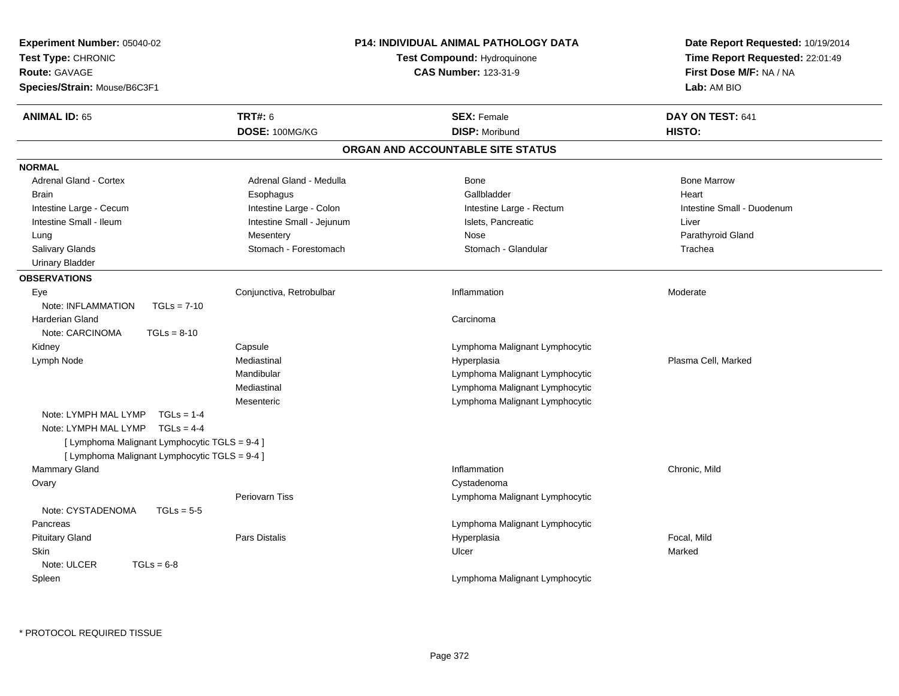| Experiment Number: 05040-02<br>Date Report Requested: 10/19/2014<br>Test Type: CHRONIC<br>Time Report Requested: 22:01:49<br><b>Test Compound: Hydroguinone</b> |  |
|-----------------------------------------------------------------------------------------------------------------------------------------------------------------|--|
|                                                                                                                                                                 |  |
| <b>Route: GAVAGE</b><br><b>CAS Number: 123-31-9</b><br>First Dose M/F: NA / NA                                                                                  |  |
| Species/Strain: Mouse/B6C3F1<br>Lab: AM BIO                                                                                                                     |  |
| <b>TRT#: 6</b><br><b>ANIMAL ID: 65</b><br><b>SEX: Female</b><br>DAY ON TEST: 641                                                                                |  |
| DOSE: 100MG/KG<br><b>DISP: Moribund</b><br>HISTO:                                                                                                               |  |
| ORGAN AND ACCOUNTABLE SITE STATUS                                                                                                                               |  |
| <b>NORMAL</b>                                                                                                                                                   |  |
| <b>Bone Marrow</b><br><b>Adrenal Gland - Cortex</b><br>Adrenal Gland - Medulla<br>Bone                                                                          |  |
| Gallbladder<br>Heart<br><b>Brain</b><br>Esophagus                                                                                                               |  |
| Intestine Large - Cecum<br>Intestine Large - Colon<br>Intestine Small - Duodenum<br>Intestine Large - Rectum                                                    |  |
| Intestine Small - Ileum<br>Intestine Small - Jejunum<br>Islets, Pancreatic<br>Liver                                                                             |  |
| Mesentery<br>Parathyroid Gland<br>Nose<br>Lung                                                                                                                  |  |
| Salivary Glands<br>Stomach - Forestomach<br>Stomach - Glandular<br>Trachea                                                                                      |  |
| <b>Urinary Bladder</b>                                                                                                                                          |  |
| <b>OBSERVATIONS</b>                                                                                                                                             |  |
| Conjunctiva, Retrobulbar<br>Eye<br>Inflammation<br>Moderate                                                                                                     |  |
| Note: INFLAMMATION<br>$TGLs = 7-10$                                                                                                                             |  |
| <b>Harderian Gland</b><br>Carcinoma                                                                                                                             |  |
| Note: CARCINOMA<br>$TGLs = 8-10$                                                                                                                                |  |
| Capsule<br>Lymphoma Malignant Lymphocytic<br>Kidney                                                                                                             |  |
| Mediastinal<br>Plasma Cell, Marked<br>Lymph Node<br>Hyperplasia                                                                                                 |  |
| Mandibular<br>Lymphoma Malignant Lymphocytic                                                                                                                    |  |
| Mediastinal<br>Lymphoma Malignant Lymphocytic                                                                                                                   |  |
| Lymphoma Malignant Lymphocytic<br>Mesenteric                                                                                                                    |  |
| Note: LYMPH MAL LYMP<br>$TGLs = 1-4$                                                                                                                            |  |
| Note: LYMPH MAL LYMP TGLs = 4-4                                                                                                                                 |  |
| [ Lymphoma Malignant Lymphocytic TGLS = 9-4 ]                                                                                                                   |  |
| [ Lymphoma Malignant Lymphocytic TGLS = 9-4 ]                                                                                                                   |  |
| Mammary Gland<br>Chronic, Mild<br>Inflammation                                                                                                                  |  |
| Cystadenoma<br>Ovary                                                                                                                                            |  |
| <b>Periovarn Tiss</b><br>Lymphoma Malignant Lymphocytic                                                                                                         |  |
| Note: CYSTADENOMA<br>$TGLs = 5-5$                                                                                                                               |  |
| Lymphoma Malignant Lymphocytic<br>Pancreas                                                                                                                      |  |
| <b>Pituitary Gland</b><br>Pars Distalis<br>Hyperplasia<br>Focal, Mild                                                                                           |  |
| Ulcer<br>Marked<br><b>Skin</b>                                                                                                                                  |  |
| Note: ULCER<br>$TGLs = 6-8$                                                                                                                                     |  |
| Spleen<br>Lymphoma Malignant Lymphocytic                                                                                                                        |  |